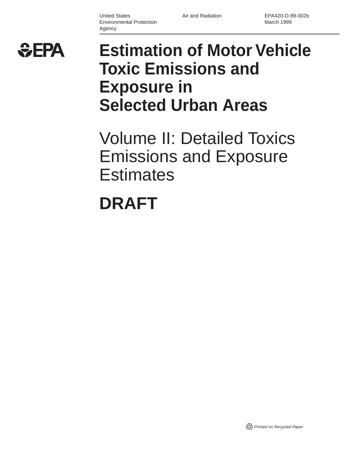United States Environmental Protection Agency

Air and Radiation EPA420-D-99-002b March 1999



# **Estimation of Motor Vehicle Toxic Emissions and Exposure in Selected Urban Areas**

Volume II: Detailed Toxics Emissions and Exposure **Estimates** 

# **DRAFT**

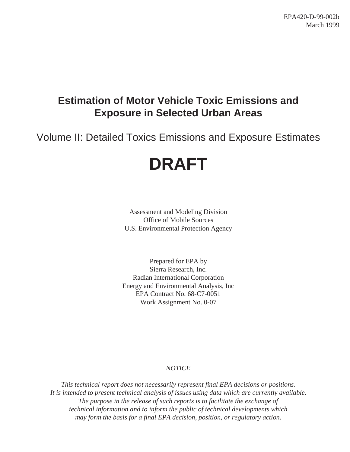## **Estimation of Motor Vehicle Toxic Emissions and Exposure in Selected Urban Areas**

Volume II: Detailed Toxics Emissions and Exposure Estimates

# **DRAFT**

Assessment and Modeling Division Office of Mobile Sources U.S. Environmental Protection Agency

Prepared for EPA by Sierra Research, Inc. Radian International Corporation Energy and Environmental Analysis, Inc EPA Contract No. 68-C7-0051 Work Assignment No. 0-07

### *NOTICE*

*This technical report does not necessarily represent final EPA decisions or positions. It is intended to present technical analysis of issues using data which are currently available. The purpose in the release of such reports is to facilitate the exchange of technical information and to inform the public of technical developments which may form the basis for a final EPA decision, position, or regulatory action.*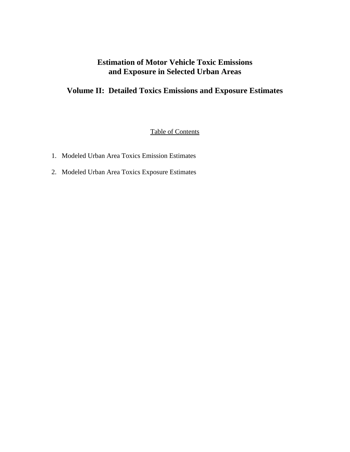### **Estimation of Motor Vehicle Toxic Emissions and Exposure in Selected Urban Areas**

## **Volume II: Detailed Toxics Emissions and Exposure Estimates**

Table of Contents

- 1. Modeled Urban Area Toxics Emission Estimates
- 2. Modeled Urban Area Toxics Exposure Estimates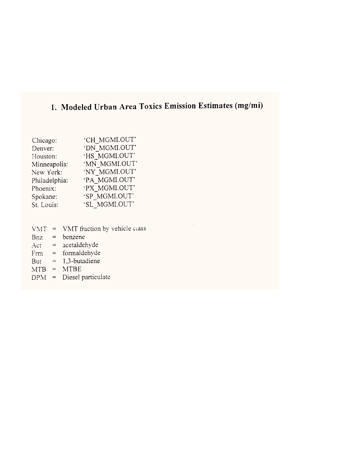## 1. Modeled Urban Area Toxics Emission Estimates (mg/mi)

 $\mathcal{L}^{\mathcal{L}}(\mathcal{L}^{\mathcal{L}})$  and  $\mathcal{L}^{\mathcal{L}}(\mathcal{L}^{\mathcal{L}})$  . In the  $\mathcal{L}^{\mathcal{L}}(\mathcal{L}^{\mathcal{L}})$ 

| Chicago:      | 'CH MGMI.OUT' |
|---------------|---------------|
| Denver:       | 'DN MGMI.OUT' |
| Houston:      | 'HS MGMI.OUT' |
| Minneapolis:  | 'MN MGMI.OUT' |
| New York:     | 'NY MGMI.OUT' |
| Philadelphia: | 'PA MGMI.OUT' |
| Phoenix:      | 'PX MGMI.OUT' |
| Spokane:      | 'SP MGMI.OUT' |
| St. Louis:    | 'SL MGMI.OUT' |
|               |               |

- $VMT = VMT$  fraction by vehicle class
- $Bnz = benzene$
- Act =  $acetaldehyde$
- $Frm = formuladehydro$
- But =  $1,3$ -butadiene
- $MTB = MTBE$
- $DPM =$  Diesel particulate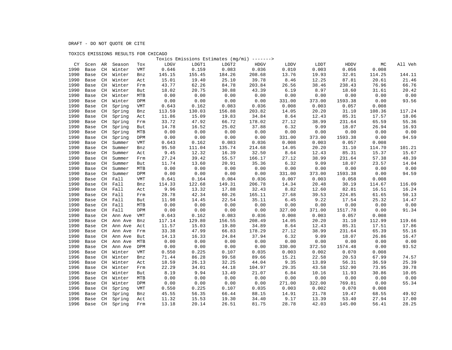### TOXICS EMISSIONS RESULTS FOR CHICAGO

|      |      |                         |                |            |        |        |        | Toxics Emissions Estimates (mg/mi) -------> |        |        |         |        |         |
|------|------|-------------------------|----------------|------------|--------|--------|--------|---------------------------------------------|--------|--------|---------|--------|---------|
| CY   | Scen | AR                      | Season         | Tox        | LDGV   | LDGT1  | LDGT2  | HDGV                                        | LDDV   | LDDT   | HDDV    | МC     | All Veh |
| 1990 | Base | CH                      | Winter         | VMT        | 0.646  | 0.159  | 0.083  | 0.036                                       | 0.010  | 0.003  | 0.056   | 0.008  |         |
| 1990 | Base | CH                      | Winter         | Bnz        | 145.15 | 155.45 | 184.26 | 208.68                                      | 13.76  | 19.93  | 32.01   | 114.25 | 144.11  |
| 1990 | Base | CH                      | Winter         | Act        | 15.01  | 19.40  | 25.10  | 39.78                                       | 8.46   | 12.25  | 87.81   | 20.61  | 21.46   |
| 1990 | Base | CH                      | Winter         | Frm        | 43.77  | 62.26  | 84.78  | 203.84                                      | 26.56  | 38.46  | 238.43  | 76.96  | 66.76   |
| 1990 | Base | CH                      | Winter         | But        | 18.02  | 20.75  | 30.88  | 43.39                                       | 6.19   | 8.97   | 18.60   | 31.61  | 20.42   |
| 1990 | Base | CH                      | Winter         | MTB        | 0.00   | 0.00   | 0.00   | 0.00                                        | 0.00   | 0.00   | 0.00    | 0.00   | 0.00    |
| 1990 | Base | CH                      | Winter         | DPM        | 0.00   | 0.00   | 0.00   | 0.00                                        | 331.00 | 373.00 | 1593.38 | 0.00   | 93.56   |
| 1990 | Base | CH                      | Spring         | <b>VMT</b> | 0.643  | 0.162  | 0.083  | 0.036                                       | 0.008  | 0.003  | 0.057   | 0.008  |         |
| 1990 | Base | CH                      | Spring         | Bnz        | 113.59 | 130.03 | 156.88 | 203.82                                      | 14.05  | 20.20  | 31.10   | 108.36 | 117.24  |
| 1990 | Base | CH                      | Spring         | Act        | 11.86  | 15.09  | 19.83  | 34.84                                       | 8.64   | 12.43  | 85.31   | 17.57  | 18.06   |
| 1990 | Base | CH                      | Spring         | Frm        | 33.72  | 47.92  | 66.72  | 178.02                                      | 27.12  | 38.99  | 231.64  | 65.59  | 55.36   |
| 1990 | Base | CH                      | Spring         | But        | 14.78  | 16.52  | 25.02  | 37.88                                       | 6.32   | 9.09   | 18.07   | 26.94  | 16.93   |
| 1990 | Base | $\mathbb{C} \mathbb{H}$ | Spring         | MTB        | 0.00   | 0.00   | 0.00   | 0.00                                        | 0.00   | 0.00   | 0.00    | 0.00   | 0.00    |
| 1990 | Base | CH                      | Spring         | DPM        | 0.00   | 0.00   | 0.00   | 0.00                                        | 331.00 | 373.00 | 1593.38 | 0.00   | 94.59   |
| 1990 | Base | CH                      | Summer         | VMT        | 0.643  | 0.162  | 0.083  | 0.036                                       | 0.008  | 0.003  | 0.057   | 0.008  |         |
| 1990 | Base | CH                      | Summer         | Bnz        | 95.50  | 111.04 | 135.74 | 214.68                                      | 14.05  | 20.20  | 31.10   | 114.70 | 101.21  |
| 1990 | Base | CH                      | Summer         | Act        | 9.45   | 12.32  | 16.39  | 32.50                                       | 8.64   | 12.43  | 85.31   | 15.37  | 15.67   |
| 1990 | Base | CH                      | Summer         | Frm        | 27.24  | 39.42  | 55.57  | 166.17                                      | 27.12  | 38.99  | 231.64  | 57.38  | 48.39   |
| 1990 | Base | CH                      | Summer         | But        | 11.74  | 13.60  | 20.91  | 35.36                                       | 6.32   | 9.09   | 18.07   | 23.57  | 14.04   |
| 1990 | Base | CH                      | Summer         | MTB        | 0.00   | 0.00   | 0.00   | 0.00                                        | 0.00   | 0.00   | 0.00    | 0.00   | 0.00    |
| 1990 | Base | CH                      | Summer         | DPM        | 0.00   | 0.00   | 0.00   | 0.00                                        | 331.00 | 373.00 | 1593.38 | 0.00   | 94.59   |
| 1990 | Base | CH                      | Fall           | <b>VMT</b> | 0.641  | 0.164  | 0.084  | 0.036                                       | 0.007  | 0.003  | 0.058   | 0.008  |         |
| 1990 | Base | CH                      | Fall           | Bnz        | 114.33 | 122.68 | 149.31 | 206.78                                      | 14.34  | 20.48  | 30.19   | 114.67 | 116.09  |
| 1990 | Base | CH                      | Fall           | Act        | 9.96   | 13.32  | 17.88  | 32.43                                       | 8.82   | 12.60  | 82.81   | 16.51  | 16.24   |
| 1990 | Base | CH                      | Fall           | Frm        | 28.78  | 42.34  | 60.26  | 165.11                                      | 27.68  | 39.53  | 224.85  | 61.65  | 50.13   |
| 1990 | Base | CH                      | Fall           | But        | 11.98  | 14.45  | 22.54  | 35.11                                       | 6.45   | 9.22   | 17.54   | 25.32  | 14.47   |
| 1990 | Base | CH                      | Fall           | MTB        | 0.00   | 0.00   | 0.00   | 0.00                                        | 0.00   | 0.00   | 0.00    | 0.00   | 0.00    |
| 1990 | Base | CH                      | Fall           | DPM        | 0.00   | 0.00   | 0.00   | 0.00                                        | 327.00 | 371.00 | 1517.78 | 0.00   | 91.34   |
| 1990 | Base | CH                      | Ann Ave        | VMT        | 0.643  | 0.162  | 0.083  | 0.036                                       | 0.008  | 0.003  | 0.057   | 0.008  |         |
| 1990 | Base | CH                      | Ann Ave        | Bnz        | 117.14 | 129.80 | 156.55 | 208.49                                      | 14.05  | 20.20  | 31.10   | 112.99 | 119.66  |
| 1990 | Base | CH                      | Ann Ave        | Act        | 11.57  | 15.03  | 19.80  | 34.89                                       | 8.64   | 12.43  | 85.31   | 17.51  | 17.86   |
| 1990 | Base | CH                      | Ann Ave        | Frm        | 33.38  | 47.99  | 66.83  | 178.29                                      | 27.12  | 38.99  | 231.64  | 65.39  | 55.16   |
| 1990 | Base | CH                      | Ann Ave        | But        | 14.13  | 16.33  | 24.84  | 37.94                                       | 6.32   | 9.09   | 18.07   | 26.86  | 16.47   |
| 1990 | Base | CH                      | Ann Ave        | <b>MTB</b> | 0.00   | 0.00   | 0.00   | 0.00                                        | 0.00   | 0.00   | 0.00    | 0.00   | 0.00    |
| 1990 | Base | CH                      | Ann Ave        | DPM        | 0.00   | 0.00   | 0.00   | 0.00                                        | 330.00 | 372.50 | 1574.48 | 0.00   | 93.52   |
| 1996 | Base | CH                      | Winter         | VMT        | 0.550  | 0.225  | 0.107  | 0.035                                       | 0.003  | 0.002  | 0.070   | 0.008  |         |
| 1996 | Base | CH                      | Winter         | Bnz        | 71.44  | 86.28  | 99.58  | 89.66                                       | 15.21  | 22.58  | 20.53   | 67.99  | 74.57   |
| 1996 | Base | CH                      | Winter         | Act        | 18.59  | 26.13  | 32.25  | 44.04                                       | 9.35   | 13.89  | 56.31   | 36.59  | 25.39   |
| 1996 | Base | CH                      | Winter         | Frm        | 22.29  | 34.01  | 44.18  | 104.97                                      | 29.35  | 43.58  | 152.90  | 73.95  | 39.78   |
| 1996 | Base | CH                      | Winter         | But        | 8.19   | 9.94   | 13.49  | 21.07                                       | 6.84   | 10.16  | 11.93   | 30.86  | 10.05   |
| 1996 | Base | CH                      | Winter         | MTB        | 0.00   | 0.00   | 0.00   | 0.00                                        | 0.00   | 0.00   | 0.00    | 0.00   | 0.00    |
| 1996 | Base | CH                      | Winter         | DPM        | 0.00   | 0.00   | 0.00   | 0.00                                        | 271.00 | 322.00 | 769.81  | 0.00   | 55.34   |
| 1996 | Base | CH                      | Spring         | <b>VMT</b> | 0.550  | 0.225  | 0.107  | 0.035                                       | 0.003  | 0.002  | 0.070   | 0.008  |         |
| 1996 | Base | CH                      | Spring         | Bnz        | 45.55  | 56.35  | 66.44  | 88.15                                       | 14.91  | 21.78  | 19.47   | 68.55  | 49.92   |
| 1996 | Base | CH                      | Spring         | Act        | 11.32  | 15.53  | 19.30  | 34.40                                       | 9.17   | 13.39  | 53.40   | 27.94  | 17.00   |
| 1996 |      |                         | Base CH Spring | Frm        | 13.18  | 20.14  | 26.51  | 81.75                                       | 28.78  | 42.03  | 145.00  | 56.41  | 28.25   |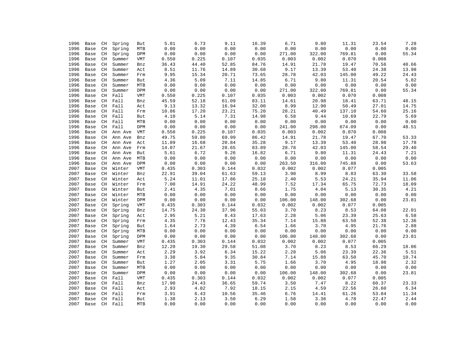| 1996 |      |                         |              |            | 5.81  | 6.73  | 9.11  | 16.39 | 6.71   | 9.80   | 11.31  | 23.54 | 7.28  |
|------|------|-------------------------|--------------|------------|-------|-------|-------|-------|--------|--------|--------|-------|-------|
|      | Base | CH                      | Spring       | But        |       |       |       |       |        |        |        |       |       |
| 1996 | Base | $\mathbb{C} \mathbb{H}$ | Spring       | MTB        | 0.00  | 0.00  | 0.00  | 0.00  | 0.00   | 0.00   | 0.00   | 0.00  | 0.00  |
| 1996 | Base | CH                      | Spring       | DPM        | 0.00  | 0.00  | 0.00  | 0.00  | 271.00 | 322.00 | 769.81 | 0.00  | 55.34 |
| 1996 | Base | CH                      | Summer       | <b>VMT</b> | 0.550 | 0.225 | 0.107 | 0.035 | 0.003  | 0.002  | 0.070  | 0.008 |       |
| 1996 | Base | $\mathbb{C} \mathbb{H}$ | Summer       | Bnz        | 36.43 | 44.40 | 52.85 | 84.76 | 14.91  | 21.78  | 19.47  | 70.56 | 40.66 |
| 1996 | Base | $\mathbb{C} \mathbb{H}$ | Summer       | Act        | 8.51  | 11.76 | 14.89 | 30.68 | 9.17   | 13.39  | 53.40  | 24.38 | 13.98 |
| 1996 | Base | CH                      | Summer       | Frm        | 9.95  | 15.34 | 20.71 | 73.65 | 28.78  | 42.03  | 145.00 | 49.22 | 24.43 |
| 1996 | Base | $\mathbb{C} \mathbb{H}$ | Summer       | But        | 4.36  | 5.09  | 7.11  | 14.85 | 6.71   | 9.80   | 11.31  | 20.54 | 5.82  |
| 1996 | Base | $\mathbb{C} \mathbb{H}$ | Summer       | MTB        | 0.00  | 0.00  | 0.00  | 0.00  | 0.00   | 0.00   | 0.00   | 0.00  | 0.00  |
| 1996 | Base | CH                      | Summer       | DPM        | 0.00  | 0.00  | 0.00  | 0.00  | 271.00 | 322.00 | 769.81 | 0.00  | 55.34 |
| 1996 | Base | CH                      | Fall         | <b>VMT</b> | 0.550 | 0.225 | 0.107 | 0.035 | 0.003  | 0.002  | 0.070  | 0.008 |       |
| 1996 | Base | CH                      | Fall         | Bnz        | 45.59 | 52.18 | 61.09 | 83.11 | 14.61  | 20.98  | 18.41  | 63.71 | 48.15 |
| 1996 | Base | CH                      | Fall         | Act        | 9.13  | 13.32 | 16.94 | 32.00 | 8.99   | 12.90  | 50.49  | 27.01 | 14.75 |
| 1996 | Base | CH                      | Fall         | Frm        | 10.86 | 17.20 | 23.21 | 75.20 | 28.21  | 40.49  | 137.10 | 54.60 | 25.16 |
| 1996 | Base | CH                      | Fall         | But        | 4.10  | 5.14  | 7.31  | 14.98 | 6.58   | 9.44   | 10.69  | 22.79 | 5.69  |
| 1996 | Base | CH                      | Fall         | MTB        | 0.00  | 0.00  | 0.00  | 0.00  | 0.00   | 0.00   | 0.00   | 0.00  | 0.00  |
| 1996 | Base | CH                      | Fall         | DPM        | 0.00  | 0.00  | 0.00  | 0.00  | 241.00 | 298.00 | 674.09 | 0.00  | 48.51 |
| 1996 | Base | CH                      | Ann Ave      | VMT        | 0.550 | 0.225 | 0.107 | 0.035 | 0.003  | 0.002  | 0.070  | 0.008 |       |
| 1996 | Base | CH                      | Ann Ave      | Bnz        | 49.75 | 59.80 | 69.99 | 86.42 | 14.91  | 21.78  | 19.47  | 67.70 | 53.33 |
| 1996 | Base | CH                      | Ann Ave      | Act        | 11.89 | 16.68 | 20.84 | 35.28 | 9.17   | 13.39  | 53.40  | 28.98 | 17.78 |
| 1996 | Base | $\mathbb{C} \mathbb{H}$ | Ann Ave      | Frm        | 14.07 | 21.67 | 28.65 | 83.89 | 28.78  | 42.03  | 145.00 | 58.54 | 29.40 |
| 1996 | Base | CH                      | Ann Ave      | But        | 5.61  | 6.72  | 9.26  | 16.82 | 6.71   | 9.80   | 11.31  | 24.43 | 7.21  |
| 1996 | Base | CH                      | Ann Ave      | MTB        | 0.00  | 0.00  | 0.00  | 0.00  | 0.00   | 0.00   | 0.00   | 0.00  | 0.00  |
| 1996 | Base | $\mathbb{C} \mathbb{H}$ | Ann Ave      | DPM        | 0.00  | 0.00  | 0.00  | 0.00  | 263.50 | 316.00 | 745.88 | 0.00  | 53.63 |
| 2007 | Base | $\mathbb{C} \mathbb{H}$ | Winter       | VMT        | 0.435 | 0.303 | 0.144 | 0.032 | 0.002  | 0.002  | 0.077  | 0.005 |       |
| 2007 | Base | CH                      | Winter       | Bnz        | 22.91 | 39.04 | 61.63 | 59.13 | 3.90   | 8.99   | 8.83   | 63.30 | 33.58 |
| 2007 | Base | CH                      | Winter       | Act        | 5.24  | 11.01 | 17.86 | 25.18 | 2.40   | 5.53   | 24.21  | 35.94 | 11.06 |
| 2007 | Base | CH                      | Winter       | Frm        | 7.00  | 14.91 | 24.22 | 48.99 | 7.52   | 17.34  | 65.75  | 72.73 | 18.09 |
| 2007 | Base | CH                      | Winter       | But        | 2.41  | 4.35  | 7.01  | 8.66  | 1.75   | 4.04   | 5.13   | 30.35 | 4.21  |
| 2007 |      | CH                      | Winter       | MTB        | 0.00  | 0.00  | 0.00  | 0.00  | 0.00   | 0.00   | 0.00   | 0.00  | 0.00  |
|      | Base |                         |              |            |       |       |       |       |        |        |        |       |       |
| 2007 | Base | CH                      | Winter       | DPM        | 0.00  | 0.00  | 0.00  | 0.00  | 106.00 | 148.00 | 302.68 | 0.00  | 23.81 |
| 2007 | Base | CH                      | Spring       | VMT        | 0.435 | 0.303 | 0.144 | 0.032 | 0.002  | 0.002  | 0.077  | 0.005 |       |
| 2007 | Base | CH                      | Spring       | Bnz        | 14.75 | 24.30 | 37.96 | 55.03 | 3.70   | 8.23   | 8.53   | 64.08 | 22.01 |
| 2007 | Base | CH                      | Spring       | Act        | 2.95  | 5.21  | 8.43  | 17.63 | 2.28   | 5.06   | 23.39  | 25.63 | 6.58  |
| 2007 | Base | CH                      | Spring       | Frm        | 4.35  | 7.76  | 12.43 | 35.34 | 7.14   | 15.88  | 63.50  | 52.38 | 12.36 |
| 2007 | Base | $\mathbb{C} \mathbb{H}$ | Spring       | But        | 1.64  | 2.73  | 4.39  | 6.54  | 1.66   | 3.70   | 4.95   | 21.76 | 2.88  |
| 2007 | Base | $\mathbb{C} \mathbb{H}$ | Spring       | MTB        | 0.00  | 0.00  | 0.00  | 0.00  | 0.00   | 0.00   | 0.00   | 0.00  | 0.00  |
| 2007 | Base | $\mathbb{C} \mathbb{H}$ | Spring       | DPM        | 0.00  | 0.00  | 0.00  | 0.00  | 106.00 | 148.00 | 302.68 | 0.00  | 23.81 |
| 2007 | Base | CH                      | Summer       | <b>VMT</b> | 0.435 | 0.303 | 0.144 | 0.032 | 0.002  | 0.002  | 0.077  | 0.005 |       |
| 2007 | Base | CH                      | Summer       | Bnz        | 12.20 | 19.30 | 29.58 | 51.08 | 3.70   | 8.23   | 8.53   | 66.29 | 18.06 |
| 2007 | Base | $\mathbb{C} \mathbb{H}$ | Summer       | Act        | 2.29  | 3.92  | 6.34  | 15.22 | 2.28   | 5.06   | 23.39  | 22.36 | 5.51  |
| 2007 | Base | CH                      | Summer       | Frm        | 3.38  | 5.84  | 9.35  | 30.84 | 7.14   | 15.88  | 63.50  | 45.70 | 10.74 |
| 2007 | Base | CH                      | Summer       | But        | 1.27  | 2.05  | 3.31  | 5.75  | 1.66   | 3.70   | 4.95   | 18.98 | 2.32  |
| 2007 | Base | CH                      | Summer       | MTB        | 0.00  | 0.00  | 0.00  | 0.00  | 0.00   | 0.00   | 0.00   | 0.00  | 0.00  |
| 2007 | Base | CH                      | Summer       | DPM        | 0.00  | 0.00  | 0.00  | 0.00  | 106.00 | 148.00 | 302.68 | 0.00  | 23.81 |
| 2007 | Base | CH                      | Fall         | <b>VMT</b> | 0.435 | 0.303 | 0.144 | 0.032 | 0.002  | 0.002  | 0.077  | 0.005 |       |
| 2007 | Base | CH                      | Fall         | Bnz        | 17.90 | 24.43 | 36.65 | 59.74 | 3.50   | 7.47   | 8.22   | 60.37 | 23.33 |
| 2007 | Base | CH                      | Fall         | Act        | 2.93  | 4.82  | 7.92  | 18.15 | 2.15   | 4.59   | 22.56  | 26.60 | 6.34  |
| 2007 | Base | CH                      | Fall         | Frm        | 3.91  | 6.43  | 10.56 | 35.46 | 6.76   | 14.41  | 61.26  | 53.84 | 11.34 |
| 2007 | Base | CH                      | Fall         | But        | 1.38  | 2.13  | 3.50  | 6.29  | 1.58   | 3.36   | 4.78   | 22.47 | 2.44  |
| 2007 |      |                         | Base CH Fall | <b>MTR</b> | 0.00  | 0.00  | 0.00  | 0.00  | 0.00   | 0.00   | 0.00   | 0.00  | 0.00  |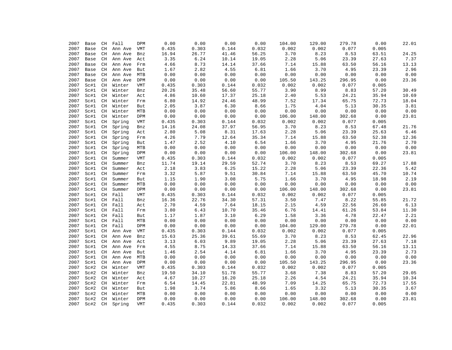| 2007 | Base | CH                      | Fall    | DPM                                                              | 0.00  | 0.00  | 0.00  | 0.00  | 104.00 | 129.00 | 279.78 | 0.00  | 22.01 |
|------|------|-------------------------|---------|------------------------------------------------------------------|-------|-------|-------|-------|--------|--------|--------|-------|-------|
| 2007 | Base | CH                      | Ann Ave | VMT                                                              | 0.435 | 0.303 | 0.144 | 0.032 | 0.002  | 0.002  | 0.077  | 0.005 |       |
| 2007 | Base | CH                      | Ann Ave | Bnz                                                              | 16.94 | 26.77 | 41.46 | 56.25 | 3.70   | 8.23   | 8.53   | 63.51 | 24.25 |
| 2007 | Base | CH                      | Ann Ave | Act                                                              | 3.35  | 6.24  | 10.14 | 19.05 | 2.28   | 5.06   | 23.39  | 27.63 | 7.37  |
| 2007 | Base | CH                      | Ann Ave | Frm                                                              | 4.66  | 8.73  | 14.14 | 37.66 | 7.14   | 15.88  | 63.50  | 56.16 | 13.13 |
| 2007 | Base | CH                      | Ann Ave | But                                                              | 1.67  | 2.82  | 4.55  | 6.81  | 1.66   | 3.70   | 4.95   | 23.39 | 2.96  |
| 2007 | Base | CH                      | Ann Ave | MTB                                                              | 0.00  | 0.00  | 0.00  | 0.00  | 0.00   | 0.00   | 0.00   | 0.00  | 0.00  |
| 2007 | Base | CH                      | Ann Ave | DPM                                                              | 0.00  | 0.00  | 0.00  | 0.00  | 105.50 | 143.25 | 296.95 | 0.00  | 23.36 |
| 2007 | Sc#1 | CH                      | Winter  | <b>VMT</b>                                                       | 0.435 | 0.303 | 0.144 | 0.032 | 0.002  | 0.002  | 0.077  | 0.005 |       |
| 2007 | Sc#1 | CH                      | Winter  | Bnz                                                              | 20.26 | 35.48 | 56.60 | 55.77 | 3.90   | 8.99   | 8.83   | 57.20 | 30.49 |
| 2007 | Sc#1 | CH                      | Winter  | Act                                                              | 4.86  | 10.60 | 17.37 | 25.18 | 2.40   | 5.53   | 24.21  | 35.94 | 10.69 |
| 2007 | Sc#1 | CH                      | Winter  | Frm                                                              | 6.80  | 14.92 | 24.46 | 48.99 | 7.52   | 17.34  | 65.75  | 72.73 | 18.04 |
| 2007 | Sc#1 | CH                      | Winter  | But                                                              | 2.05  | 3.87  | 6.30  | 8.66  | 1.75   | 4.04   | 5.13   | 30.35 | 3.81  |
| 2007 | Sc#1 | CH                      | Winter  | MTB                                                              | 0.00  | 0.00  | 0.00  | 0.00  | 0.00   | 0.00   | 0.00   | 0.00  | 0.00  |
| 2007 | Sc#1 | CH                      | Winter  | DPM                                                              | 0.00  | 0.00  | 0.00  | 0.00  | 106.00 | 148.00 | 302.68 | 0.00  | 23.81 |
| 2007 | Sc#1 | CH                      | Spring  | <b>VMT</b>                                                       | 0.435 | 0.303 | 0.144 | 0.032 | 0.002  | 0.002  | 0.077  | 0.005 |       |
| 2007 | Sc#1 | CH                      | Spring  | Bnz                                                              | 14.16 | 24.08 | 37.97 | 56.95 | 3.70   | 8.23   | 8.53   | 67.48 | 21.76 |
| 2007 | Sc#1 | $\mathbb{C} \mathbb{H}$ | Spring  | Act                                                              | 2.80  | 5.08  | 8.31  | 17.63 | 2.28   | 5.06   | 23.39  | 25.63 | 6.46  |
| 2007 | Sc#1 | $\mathbb{C} \mathbb{H}$ | Spring  | Frm                                                              | 4.26  | 7.79  | 12.64 | 35.34 | 7.14   | 15.88  | 63.50  | 52.38 | 12.36 |
| 2007 | Sc#1 | $\rm CH$                | Spring  | But                                                              | 1.47  | 2.52  | 4.10  | 6.54  | 1.66   | 3.70   | 4.95   | 21.76 | 2.70  |
| 2007 | Sc#1 | $\mathbb{C} \mathbb{H}$ | Spring  | MTB                                                              | 0.00  | 0.00  | 0.00  | 0.00  | 0.00   | 0.00   | 0.00   | 0.00  | 0.00  |
| 2007 | Sc#1 | <b>CH</b>               | Spring  | DPM                                                              | 0.00  | 0.00  | 0.00  | 0.00  | 106.00 | 148.00 | 302.68 | 0.00  | 23.81 |
| 2007 | Sc#1 | CH                      | Summer  | <b>VMT</b>                                                       | 0.435 | 0.303 | 0.144 | 0.032 | 0.002  | 0.002  | 0.077  | 0.005 |       |
| 2007 | Sc#1 | <b>CH</b>               | Summer  | Bnz                                                              | 11.74 | 19.14 | 29.59 | 52.74 | 3.70   | 8.23   | 8.53   | 69.27 | 17.88 |
| 2007 | Sc#1 | $\mathbb{C} \mathbb{H}$ | Summer  | Act                                                              | 2.18  | 3.83  | 6.25  | 15.22 | 2.28   | 5.06   | 23.39  | 22.36 | 5.42  |
| 2007 | Sc#1 | <b>CH</b>               | Summer  | Frm                                                              | 3.32  | 5.87  | 9.51  | 30.84 | 7.14   | 15.88  | 63.50  | 45.70 | 10.74 |
| 2007 | Sc#1 | CH                      | Summer  | But                                                              | 1.15  | 1.90  | 3.08  | 5.75  | 1.66   | 3.70   | 4.95   | 18.98 | 2.19  |
| 2007 | Sc#1 | $\mathbb{C} \mathbb{H}$ | Summer  | MTB                                                              | 0.00  | 0.00  | 0.00  | 0.00  | 0.00   | 0.00   | 0.00   | 0.00  | 0.00  |
| 2007 | Sc#1 | CH                      | Summer  | DPM                                                              | 0.00  | 0.00  | 0.00  | 0.00  | 106.00 | 148.00 | 302.68 | 0.00  | 23.81 |
| 2007 | Sc#1 | CH                      | Fall    | <b>VMT</b>                                                       | 0.435 | 0.303 | 0.144 | 0.032 | 0.002  | 0.002  | 0.077  | 0.005 |       |
| 2007 | Sc#1 | $\mathbb{C} \mathbb{H}$ | Fall    | Bnz                                                              | 16.36 | 22.76 | 34.30 | 57.31 | 3.50   | 7.47   | 8.22   | 55.85 | 21.72 |
| 2007 | Sc#1 | CH                      | Fall    | Act                                                              | 2.70  | 4.59  | 7.64  | 18.15 | 2.15   | 4.59   | 22.56  | 26.60 | 6.13  |
| 2007 | Sc#1 | CH                      | Fall    | Frm                                                              | 3.80  | 6.43  | 10.70 | 35.46 | 6.76   | 14.41  | 61.26  | 53.84 | 11.30 |
| 2007 | Sc#1 | CH                      | Fall    | But                                                              | 1.17  | 1.87  | 3.10  | 6.29  | 1.58   | 3.36   | 4.78   | 22.47 | 2.21  |
| 2007 | Sc#1 | CH                      | Fall    | MTB                                                              | 0.00  | 0.00  | 0.00  | 0.00  | 0.00   | 0.00   | 0.00   | 0.00  | 0.00  |
| 2007 | Sc#1 | $\mathbb{C} \mathbb{H}$ | Fall    | DPM                                                              | 0.00  | 0.00  | 0.00  | 0.00  | 104.00 | 129.00 | 279.78 | 0.00  | 22.01 |
| 2007 | Sc#1 | CH                      | Ann Ave | VMT                                                              | 0.435 | 0.303 | 0.144 | 0.032 | 0.002  | 0.002  | 0.077  | 0.005 |       |
| 2007 | Sc#1 | CH                      | Ann Ave | Bnz                                                              | 15.63 | 25.36 | 39.61 | 55.69 | 3.70   | 8.23   | 8.53   | 62.45 | 22.96 |
| 2007 | Sc#1 | $\mathbb{C} \mathbb{H}$ | Ann Ave | Act                                                              | 3.13  | 6.03  | 9.89  | 19.05 | 2.28   | 5.06   | 23.39  | 27.63 | 7.18  |
| 2007 | Sc#1 | CH                      | Ann Ave | $\ensuremath{\operatorname{Fr}}\xspace\ensuremath{\mathfrak{m}}$ | 4.55  | 8.75  | 14.33 | 37.66 | 7.14   | 15.88  | 63.50  | 56.16 | 13.11 |
| 2007 | Sc#1 | CH                      | Ann Ave | But                                                              | 1.46  | 2.54  | 4.14  | 6.81  | 1.66   | 3.70   | 4.95   | 23.39 | 2.73  |
| 2007 | Sc#1 | CH                      | Ann Ave | MTB                                                              | 0.00  | 0.00  | 0.00  | 0.00  | 0.00   | 0.00   | 0.00   | 0.00  | 0.00  |
| 2007 | Sc#1 | CH                      | Ann Ave | DPM                                                              | 0.00  | 0.00  | 0.00  | 0.00  | 105.50 | 143.25 | 296.95 | 0.00  | 23.36 |
| 2007 | Sc#2 | CH                      | Winter  | <b>VMT</b>                                                       | 0.435 | 0.303 | 0.144 | 0.032 | 0.002  | 0.002  | 0.077  | 0.005 |       |
| 2007 | Sc#2 | CH                      | Winter  | Bnz                                                              | 19.50 | 34.10 | 51.78 | 55.77 | 3.68   | 7.38   | 8.83   | 57.20 | 29.05 |
| 2007 | Sc#2 | CH                      | Winter  | Act                                                              | 4.67  | 10.27 | 16.20 | 25.18 | 2.26   | 4.54   | 24.21  | 35.94 | 10.34 |
| 2007 | Sc#2 | $\mathbb{C} \mathbb{H}$ | Winter  | Frm                                                              | 6.54  | 14.45 | 22.81 | 48.99 | 7.09   | 14.25  | 65.75  | 72.73 | 17.55 |
| 2007 | Sc#2 | CH                      | Winter  | But                                                              | 1.98  | 3.74  | 5.86  | 8.66  | 1.65   | 3.32   | 5.13   | 30.35 | 3.67  |
| 2007 | Sc#2 | $\rm CH$                | Winter  | MTB                                                              | 0.00  | 0.00  | 0.00  | 0.00  | 0.00   | 0.00   | 0.00   | 0.00  | 0.00  |
| 2007 | Sc#2 | $\mathbb{C} \mathbb{H}$ | Winter  | DPM                                                              | 0.00  | 0.00  | 0.00  | 0.00  | 106.00 | 148.00 | 302.68 | 0.00  | 23.81 |
| 2007 | Sc#2 | <b>CH</b>               | Spring  | <b>VMT</b>                                                       | 0.435 | 0.303 | 0.144 | 0.032 | 0.002  | 0.002  | 0.077  | 0.005 |       |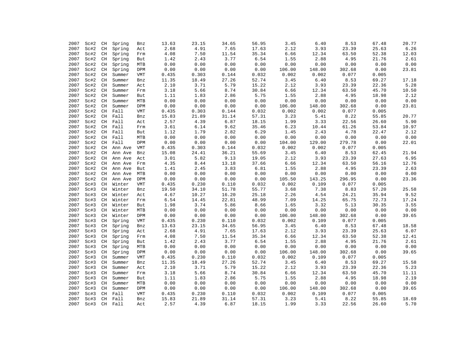| 2007 | Sc#2 | CH                         | Spring  | Bnz        | 13.63 | 23.15    | 34.65 | 56.95 | 3.45   | 6.40   | 8.53                   | 67.48          | 20.77 |
|------|------|----------------------------|---------|------------|-------|----------|-------|-------|--------|--------|------------------------|----------------|-------|
| 2007 | Sc#2 | $\mathbb{C} \mathbb{H}$    | Spring  | Act        | 2.68  | 4.91     | 7.65  | 17.63 | 2.12   | 3.93   | 23.39                  | 25.63          | 6.26  |
| 2007 | Sc#2 | $\rm CH$                   | Spring  | Frm        | 4.08  | 7.50     | 11.54 | 35.34 | 6.66   | 12.34  | 63.50                  | 52.38          | 12.03 |
| 2007 | Sc#2 | CH                         | Spring  | But        | 1.42  | 2.43     | 3.77  | 6.54  | 1.55   | 2.88   | 4.95                   | 21.76          | 2.61  |
| 2007 | Sc#2 | $\mathbb{C} \mathbb{H}$    | Spring  | MTB        | 0.00  | 0.00     | 0.00  | 0.00  | 0.00   | 0.00   | ${\bf 0}$ . ${\bf 00}$ | 0.00           | 0.00  |
| 2007 | Sc#2 | $\rm CH$                   | Spring  | DPM        | 0.00  | 0.00     | 0.00  | 0.00  | 106.00 | 148.00 | 302.68                 | 0.00           | 23.81 |
| 2007 | Sc#2 | CH                         | Summer  | VMT        | 0.435 | 0.303    | 0.144 | 0.032 | 0.002  | 0.002  | 0.077                  | 0.005          |       |
| 2007 | Sc#2 | CH                         | Summer  | Bnz        | 11.35 | 18.49    | 27.26 | 52.74 | 3.45   | 6.40   | 8.53                   | 69.27          | 17.18 |
| 2007 | Sc#2 | CH                         | Summer  | Act        | 2.10  | 3.71     | 5.79  | 15.22 | 2.12   | 3.93   | 23.39                  | 22.36          | 5.28  |
| 2007 | Sc#2 | $\mathbb{C} \mathbb{H}$    | Summer  | Frm        | 3.18  | 5.66     | 8.74  | 30.84 | 6.66   | 12.34  | 63.50                  | 45.70          | 10.50 |
| 2007 | Sc#2 | CH                         | Summer  | But        | 1.11  | 1.83     | 2.86  | 5.75  | 1.55   | 2.88   | 4.95                   | 18.98          | 2.12  |
| 2007 | Sc#2 | CH                         | Summer  | MTB        | 0.00  | 0.00     | 0.00  | 0.00  | 0.00   | 0.00   | ${\bf 0}$ . ${\bf 00}$ | 0.00           | 0.00  |
| 2007 | Sc#2 | $\rm CH$                   | Summer  | DPM        | 0.00  | 0.00     | 0.00  | 0.00  | 106.00 | 148.00 | 302.68                 | 0.00           | 23.81 |
| 2007 |      |                            |         |            |       |          |       | 0.032 | 0.002  | 0.002  | 0.077                  |                |       |
|      | Sc#2 | CH                         | Fall    | VMT        | 0.435 | 0.303    | 0.144 |       | 3.23   | 5.41   |                        | 0.005<br>55.85 |       |
| 2007 | Sc#2 | CH                         | Fall    | Bnz        | 15.83 | 21.89    | 31.14 | 57.31 |        |        | 8.22                   |                | 20.77 |
| 2007 | Sc#2 | CH                         | Fall    | Act        | 2.57  | 4.39     | 6.87  | 18.15 | 1.99   | 3.33   | 22.56                  | 26.60          | 5.90  |
| 2007 | Sc#2 | $\mathbb{C} \mathbb{H}$    | Fall    | Frm        | 3.61  | 6.14     | 9.62  | 35.46 | 6.23   | 10.44  | 61.26                  | 53.84          | 10.97 |
| 2007 | Sc#2 | CH                         | Fall    | But        | 1.12  | 1.79     | 2.82  | 6.29  | 1.45   | 2.43   | 4.78                   | 22.47          | 2.12  |
| 2007 | Sc#2 | CH                         | Fall    | MTB        | 0.00  | 0.00     | 0.00  | 0.00  | 0.00   | 0.00   | 0.00                   | 0.00           | 0.00  |
| 2007 | Sc#2 | $\mathbb{C} \mathbb{H}$    | Fall    | DPM        | 0.00  | 0.00     | 0.00  | 0.00  | 104.00 | 129.00 | 279.78                 | 0.00           | 22.01 |
| 2007 | Sc#2 | $\mathbb{C} \mathbb{H}$    | Ann Ave | VMT        | 0.435 | 0.303    | 0.144 | 0.032 | 0.002  | 0.002  | 0.077                  | 0.005          |       |
| 2007 | Sc#2 | CH                         | Ann Ave | Bnz        | 15.08 | 24.41    | 36.21 | 55.69 | 3.45   | 6.40   | 8.53                   | 62.45          | 21.94 |
| 2007 | Sc#2 | CH                         | Ann Ave | Act        | 3.01  | 5.82     | 9.13  | 19.05 | 2.12   | 3.93   | 23.39                  | 27.63          | 6.95  |
| 2007 | Sc#2 | CH                         | Ann Ave | Frm        | 4.35  | $8\,.44$ | 13.18 | 37.66 | 6.66   | 12.34  | 63.50                  | 56.16          | 12.76 |
| 2007 | Sc#2 | CH                         | Ann Ave | But        | 1.41  | 2.45     | 3.83  | 6.81  | 1.55   | 2.88   | 4.95                   | 23.39          | 2.63  |
| 2007 | Sc#2 | CH                         | Ann Ave | MTB        | 0.00  | 0.00     | 0.00  | 0.00  | 0.00   | 0.00   | 0.00                   | 0.00           | 0.00  |
| 2007 | Sc#2 | CH                         | Ann Ave | DPM        | 0.00  | 0.00     | 0.00  | 0.00  | 105.50 | 143.25 | 296.95                 | 0.00           | 23.36 |
| 2007 | Sc#3 | $\rm CH$                   | Winter  | VMT        | 0.435 | 0.230    | 0.110 | 0.032 | 0.002  | 0.109  | 0.077                  | 0.005          |       |
| 2007 | Sc#3 | CH                         | Winter  | Bnz        | 19.50 | 34.10    | 51.78 | 55.77 | 3.68   | 7.38   | 8.83                   | 57.20          | 25.58 |
| 2007 | Sc#3 | CH                         | Winter  | Act        | 4.67  | 10.27    | 16.20 | 25.18 | 2.26   | 4.54   | 24.21                  | 35.94          | 9.52  |
| 2007 | Sc#3 | CH                         | Winter  | Frm        | 6.54  | 14.45    | 22.81 | 48.99 | 7.09   | 14.25  | 65.75                  | 72.73          | 17.24 |
| 2007 | Sc#3 | $\mathbb{C} \mathbb{H}$    | Winter  | But        | 1.98  | 3.74     | 5.86  | 8.66  | 1.65   | 3.32   | 5.13                   | 30.35          | 3.55  |
| 2007 | Sc#3 | CH                         | Winter  | MTB        | 0.00  | 0.00     | 0.00  | 0.00  | 0.00   | 0.00   | 0.00                   | 0.00           | 0.00  |
| 2007 | Sc#3 | CH                         | Winter  | DPM        | 0.00  | 0.00     | 0.00  | 0.00  | 106.00 | 148.00 | 302.68                 | 0.00           | 39.65 |
| 2007 | Sc#3 | $\mathop{\rm CH}\nolimits$ | Spring  | <b>VMT</b> | 0.435 | 0.230    | 0.110 | 0.032 | 0.002  | 0.109  | 0.077                  | 0.005          |       |
| 2007 | Sc#3 | CH                         | Spring  | Bnz        | 13.63 | 23.15    | 34.65 | 56.95 | 3.45   | 6.40   | 8.53                   | 67.48          | 18.58 |
| 2007 | Sc#3 | CH                         | Spring  | Act        | 2.68  | 4.91     | 7.65  | 17.63 | 2.12   | 3.93   | 23.39                  | 25.63          | 6.07  |
| 2007 | Sc#3 | CH                         | Spring  | Frm        | 4.08  | 7.50     | 11.54 | 35.34 | 6.66   | 12.34  | 63.50                  | 52.38          | 12.41 |
| 2007 | Sc#3 | $\mathbb{C} \mathbb{H}$    | Spring  | But        | 1.42  | 2.43     | 3.77  | 6.54  | 1.55   | 2.88   | 4.95                   | 21.76          | 2.61  |
| 2007 | Sc#3 | CH                         | Spring  | MTB        | 0.00  | 0.00     | 0.00  | 0.00  | 0.00   | 0.00   | 0.00                   | 0.00           | 0.00  |
| 2007 | Sc#3 | CH                         | Spring  | DPM        | 0.00  | 0.00     | 0.00  | 0.00  | 106.00 | 148.00 | 302.68                 | 0.00           | 39.65 |
| 2007 | Sc#3 | $\rm CH$                   | Summer  | VMT        | 0.435 | 0.230    | 0.110 | 0.032 | 0.002  | 0.109  | 0.077                  | 0.005          |       |
| 2007 | Sc#3 | $\mathbb{C} \mathbb{H}$    | Summer  | Bnz        | 11.35 | 18.49    | 27.26 | 52.74 | 3.45   | 6.40   | 8.53                   | 69.27          | 15.58 |
| 2007 | Sc#3 | CH                         | Summer  | Act        | 2.10  | 3.71     | 5.79  | 15.22 | 2.12   | 3.93   | 23.39                  | 22.36          | 5.23  |
| 2007 | Sc#3 | CH                         | Summer  | Frm        | 3.18  | 5.66     | 8.74  | 30.84 | 6.66   | 12.34  | 63.50                  | 45.70          | 11.11 |
| 2007 | Sc#3 | CH                         | Summer  | But        | 1.11  | 1.83     | 2.86  | 5.75  | 1.55   | 2.88   | 4.95                   | 18.98          | 2.19  |
| 2007 | Sc#3 | $\mathbb{C} \mathbb{H}$    | Summer  | MTB        | 0.00  | 0.00     | 0.00  | 0.00  | 0.00   | 0.00   | 0.00                   | 0.00           | 0.00  |
| 2007 | Sc#3 | CH                         | Summer  | DPM        | 0.00  | 0.00     | 0.00  | 0.00  | 106.00 | 148.00 | 302.68                 | 0.00           | 39.65 |
| 2007 | Sc#3 | CH                         | Fall    | VMT        | 0.435 | 0.230    | 0.110 | 0.032 | 0.002  | 0.109  | 0.077                  | 0.005          |       |
| 2007 | Sc#3 | CH                         | Fall    | Bnz        | 15.83 | 21.89    | 31.14 | 57.31 | 3.23   | 5.41   | 8.22                   | 55.85          | 18.69 |
| 2007 | Sc#3 | CH                         | Fall    | Act        | 2.57  | 4.39     | 6.87  | 18.15 | 1.99   | 3.33   | 22.56                  | 26.60          | 5.70  |
|      |      |                            |         |            |       |          |       |       |        |        |                        |                |       |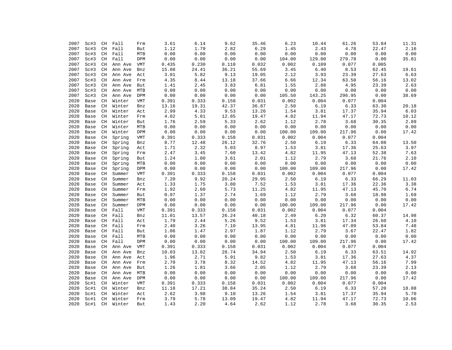| 2007         | Sc#3 | CH                            | Fall    | Frm        | 3.61           | 6.14                   | 9.62          | 35.46          | 6.23          | 10.44         | 61.26  | 53.84 | 11.31         |
|--------------|------|-------------------------------|---------|------------|----------------|------------------------|---------------|----------------|---------------|---------------|--------|-------|---------------|
| 2007         | Sc#3 | $\mathbb{C} \mathbb{H}$       | Fall    | But        | 1.12           | 1.79                   | 2.82          | 6.29           | 1.45          | 2.43          | 4.78   | 22.47 | 2.16          |
| 2007         | Sc#3 | CH                            | Fall    | MTB        | 0.00           | 0.00                   | 0.00          | 0.00           | 0.00          | 0.00          | 0.00   | 0.00  | 0.00          |
| 2007         | Sc#3 | CH                            | Fall    | DPM        | 0.00           | 0.00                   | 0.00          | 0.00           | 104.00        | 129.00        | 279.78 | 0.00  | 35.81         |
| 2007         | Sc#3 | CH                            | Ann Ave | VMT        | 0.435          | 0.230                  | 0.110         | 0.032          | 0.002         | 0.109         | 0.077  | 0.005 |               |
| 2007         | Sc#3 | CH                            | Ann Ave | Bnz        | 15.08          | 24.41                  | 36.21         | 55.69          | 3.45          | 6.40          | 8.53   | 62.45 | 19.61         |
| 2007         | Sc#3 | CH                            | Ann Ave | Act        | 3.01           | 5.82                   | 9.13          | 19.05          | 2.12          | 3.93          | 23.39  | 27.63 | 6.63          |
| 2007         | Sc#3 | CH                            | Ann Ave | Frm        | 4.35           | 8.44                   | 13.18         | 37.66          | 6.66          | 12.34         | 63.50  | 56.16 | 13.02         |
| 2007         | Sc#3 | CH                            | Ann Ave | But        | 1.41           | 2.45                   | 3.83          | 6.81           | 1.55          | 2.88          | 4.95   | 23.39 | 2.63          |
| 2007         | Sc#3 | CH                            | Ann Ave | MTB        | 0.00           | ${\bf 0}$ . ${\bf 00}$ | 0.00          | 0.00           | 0.00          | 0.00          | 0.00   | 0.00  | 0.00          |
| 2007         | Sc#3 | CH                            | Ann Ave | DPM        | 0.00           | 0.00                   | 0.00          | 0.00           | 105.50        | 143.25        | 296.95 | 0.00  | 38.69         |
| 2020         |      | CH                            | Winter  |            |                |                        | 0.158         | 0.031          | 0.002         | 0.004         | 0.077  | 0.004 |               |
|              | Base |                               |         | VMT        | 0.391          | 0.333                  |               |                |               |               |        |       |               |
| 2020         | Base | CH                            | Winter  | Bnz        | 13.16          | 19.31                  | 42.37         | 36.87          | 2.50          | 6.19          | 6.33   | 63.30 | 20.18         |
| 2020         | Base | CH                            | Winter  | Act        | 2.99           | 4.33                   | 9.53          | 13.26          | 1.54          | 3.81          | 17.37  | 35.94 | 6.03          |
| 2020         | Base | CH                            | Winter  | Frm        | 4.02           | 5.81                   | 12.85         | 19.47          | 4.82          | 11.94         | 47.17  | 72.73 | 10.12         |
| 2020         | Base | CH                            | Winter  | But        | 1.76           | 2.59                   | 5.33          | 2.62           | 1.12          | 2.78          | 3.68   | 30.35 | 2.89          |
| 2020         | Base | CH                            | Winter  | MTB        | 0.00           | 0.00                   | 0.00          | 0.00           | 0.00          | 0.00          | 0.00   | 0.00  | 0.00          |
| 2020         | Base | CH                            | Winter  | DPM        | 0.00           | 0.00                   | 0.00          | 0.00           | 100.00        | 109.00        | 217.96 | 0.00  | 17.42         |
| 2020         | Base | $\mathbb{C} \mathbb{H}$       | Spring  | <b>VMT</b> | 0.391          | 0.333                  | 0.158         | 0.031          | 0.002         | 0.004         | 0.077  | 0.004 |               |
| 2020         | Base | CH                            | Spring  | Bnz        | 8.77           | 12.48                  | 26.12         | 32.76          | 2.50          | 6.19          | 6.33   | 64.08 | 13.50         |
| 2020         | Base | CH                            | Spring  | Act        | 1.71           | 2.32                   | 5.03          | 8.97           | 1.53          | 3.81          | 17.36  | 25.63 | 3.97          |
| 2020         | Base | CH                            | Spring  | Frm        | 2.47           | 3.45                   | 7.60          | 13.42          | 4.82          | 11.95         | 47.13  | 52.38 | 7.63          |
| 2020         | Base | CH                            | Spring  | But        | 1.24           | 1.80                   | 3.61          | 2.01           | 1.12          | 2.79          | 3.68   | 21.76 | 2.10          |
| 2020         | Base | $\mathbb{C} \mathbb{H}$       | Spring  | MTB        | 0.00           | 0.00                   | 0.00          | 0.00           | 0.00          | 0.00          | 0.00   | 0.00  | 0.00          |
| 2020         | Base | $\mathbb{C} \mathbb{H}$       | Spring  | DPM        | 0.00           | 0.00                   | 0.00          | 0.00           | 100.00        | 109.00        | 217.96 | 0.00  | 17.42         |
| 2020         | Base | CH                            | Summer  | <b>VMT</b> | 0.391          | 0.333                  | 0.158         | 0.031          | 0.002         | 0.004         | 0.077  | 0.004 |               |
| 2020         | Base | CH                            | Summer  | Bnz        | 7.20           | 9.92                   | 20.24         | 29.95          | 2.50          | 6.19          | 6.33   | 66.29 | 11.03         |
| 2020         | Base | $\mathbb{C} \mathbb{H}$       | Summer  | Act        | 1.33           | 1.75                   | 3.80          | 7.52           | 1.53          | 3.81          | 17.36  | 22.36 | 3.38          |
| 2020         | Base | CH                            | Summer  | Frm        | 1.92           | 2.60                   | 5.73          | 11.25          | 4.82          | 11.95         | 47.13  | 45.70 | 6.74          |
| 2020         | Base | CH                            | Summer  | But        | 0.97           | 1.37                   | 2.74          | 1.69           | 1.12          | 2.79          | 3.68   | 18.98 | 1.69          |
| 2020         | Base | CH                            | Summer  | MTB        | 0.00           | 0.00                   | 0.00          | 0.00           | 0.00          | 0.00          | 0.00   | 0.00  | 0.00          |
| 2020         | Base | CH                            | Summer  | DPM        | 0.00           | 0.00                   | 0.00          | 0.00           | 100.00        | 109.00        | 217.96 | 0.00  | 17.42         |
| 2020         | Base | CH                            | Fall    | <b>VMT</b> | 0.391          | 0.333                  | 0.158         | 0.031          | 0.002         | 0.004         | 0.077  | 0.004 |               |
| 2020         | Base | CH                            | Fall    | Bnz        | 11.01          | 13.57                  | 26.24         | 40.18          | 2.49          | 6.20          | 6.32   | 60.37 | 14.98         |
| 2020         | Base | CH                            | Fall    | Act        | 1.79           | 2.44                   | 5.26          | 9.52           | 1.53          | 3.81          | 17.34  | 26.60 | 4.10          |
| 2020         | Base | CH                            | Fall    | Frm        | 2.40           | 3.26                   | 7.10          | 13.95          | 4.81          | 11.96         | 47.09  | 53.84 | 7.48          |
| 2020         | Base | CH                            | Fall    | But        | 1.06           | 1.47                   | 2.97          | 1.87           | 1.12          | 2.79          | 3.67   | 22.47 | 1.82          |
| 2020         | Base | CH                            | Fall    | MTB        | 0.00           | 0.00                   | 0.00          | 0.00           | 0.00          | 0.00          | 0.00   | 0.00  | 0.00          |
| 2020         | Base | CH                            | Fall    | DPM        | 0.00           | 0.00                   | 0.00          | 0.00           | 100.00        | 109.00        | 217.96 | 0.00  | 17.42         |
| 2020         | Base | CH                            | Ann Ave | <b>VMT</b> | 0.391          | 0.333                  | 0.158         | 0.031          | 0.002         | 0.004         | 0.077  | 0.004 |               |
| 2020         | Base | CH                            | Ann Ave | Bnz        | 10.03          | 13.82                  | 28.74         | 34.94          | 2.50          | 6.19          | 6.33   | 63.51 | 14.92         |
| 2020         | Base | $\mathbb{C} \mathbb{H}$       | Ann Ave | Act        | 1.96           | 2.71                   | 5.91          | 9.82           | 1.53          | 3.81          | 17.36  | 27.63 | 4.37          |
| 2020         | Base | CH                            | Ann Ave | Frm        | 2.70           | 3.78                   | 8.32          | 14.52          | 4.82          | 11.95         | 47.13  | 56.16 | 7.99          |
| 2020         | Base | CH                            | Ann Ave | But        | 1.26           | 1.81                   | 3.66          | 2.05           | 1.12          | 2.79          | 3.68   | 23.39 | 2.13          |
| 2020         | Base | CH                            | Ann Ave | MTB        | 0.00           | 0.00                   | 0.00          | 0.00           | 0.00          | 0.00          | 0.00   | 0.00  | 0.00          |
| 2020         | Base | CH                            | Ann Ave | DPM        | 0.00           | 0.00                   | 0.00          | 0.00           | 100.00        | 109.00        | 217.96 | 0.00  | 17.42         |
|              |      |                               |         |            |                |                        |               |                |               |               | 0.077  | 0.004 |               |
| 2020         | Sc#1 | $\mathbb{C} \mathbb{H}$<br>CH | Winter  | VMT        | 0.391<br>11.18 | 0.333<br>17.21         | 0.158         | 0.031<br>35.24 | 0.002<br>2.50 | 0.004<br>6.19 | 6.33   | 57.20 |               |
| 2020<br>2020 | Sc#1 |                               | Winter  | Bnz        | 2.62           | 3.98                   | 38.84<br>9.10 | 13.26          | 1.54          | 3.81          | 17.37  | 35.94 | 18.08<br>5.70 |
|              | Sc#1 | CH                            | Winter  | Act        |                |                        |               |                |               |               |        |       |               |
| 2020         | Sc#1 | CH                            | Winter  | Frm        | 3.79           | 5.78                   | 13.09         | 19.47          | 4.82          | 11.94         | 47.17  | 72.73 | 10.06         |
| 2020         | Sc#1 | CH                            | Winter  | <b>But</b> | 1.43           | 2.20                   | 4.64          | 2.62           | 1.12          | 2.78          | 3.68   | 30.35 | 2.53          |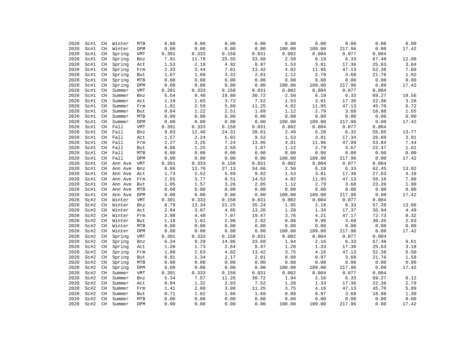| 2020 | Sc#1 | CH                      | Winter  | MTB         | 0.00  | 0.00                   | 0.00  | 0.00  | 0.00   | 0.00   | 0.00   | 0.00  | 0.00  |
|------|------|-------------------------|---------|-------------|-------|------------------------|-------|-------|--------|--------|--------|-------|-------|
| 2020 | Sc#1 | CH                      | Winter  | DPM         | 0.00  | 0.00                   | 0.00  | 0.00  | 100.00 | 109.00 | 217.96 | 0.00  | 17.42 |
| 2020 | Sc#1 | $\mathbb{C} \mathbb{H}$ | Spring  | VMT         | 0.391 | 0.333                  | 0.158 | 0.031 | 0.002  | 0.004  | 0.077  | 0.004 |       |
| 2020 | Sc#1 | CH                      | Spring  | Bnz         | 7.91  | 11.78                  | 25.55 | 33.68 | 2.50   | 6.19   | 6.33   | 67.48 | 12.88 |
| 2020 | Sc#1 | $\rm CH$                | Spring  | Act         | 1.53  | 2.19                   | 4.92  | 8.97  | 1.53   | 3.81   | 17.36  | 25.63 | 3.84  |
| 2020 | Sc#1 | $\rm CH$                | Spring  | Frm         | 2.33  | 3.44                   | 7.81  | 13.42 | 4.82   | 11.95  | 47.13  | 52.38 | 7.60  |
| 2020 | Sc#1 | CH                      | Spring  | But         | 1.07  | 1.60                   | 3.31  | 2.01  | 1.12   | 2.79   | 3.68   | 21.76 | 1.92  |
| 2020 | Sc#1 | CH                      | Spring  | MTB         | 0.00  | ${\bf 0}$ . ${\bf 00}$ | 0.00  | 0.00  | 0.00   | 0.00   | 0.00   | 0.00  | 0.00  |
| 2020 | Sc#1 | $\rm CH$                | Spring  | DPM         | 0.00  | ${\bf 0}$ . ${\bf 00}$ | 0.00  | 0.00  | 100.00 | 109.00 | 217.96 | 0.00  | 17.42 |
| 2020 | Sc#1 | CH                      | Summer  | <b>VMT</b>  | 0.391 | 0.333                  | 0.158 | 0.031 | 0.002  | 0.004  | 0.077  | 0.004 |       |
| 2020 | Sc#1 | <b>CH</b>               | Summer  | Bnz         | 6.54  | 9.40                   | 19.80 | 30.72 | 2.50   | 6.19   | 6.33   | 69.27 | 10.56 |
| 2020 | Sc#1 | CH                      | Summer  | Act         | 1.19  | 1.65                   | 3.72  | 7.52  | 1.53   | 3.81   | 17.36  | 22.36 | 3.28  |
| 2020 | Sc#1 | <b>CH</b>               | Summer  | Frm         | 1.81  | 2.59                   | 5.89  | 11.25 | 4.82   | 11.95  | 47.13  | 45.70 | 6.72  |
| 2020 | Sc#1 | CH                      | Summer  | But         | 0.84  | 1.22                   | 2.51  | 1.69  | 1.12   | 2.79   | 3.68   | 18.98 | 1.55  |
| 2020 | Sc#1 | CH                      | Summer  | MTB         | 0.00  | 0.00                   | 0.00  | 0.00  | 0.00   | 0.00   | 0.00   | 0.00  | 0.00  |
| 2020 | Sc#1 | CH                      | Summer  | DPM         | 0.00  | 0.00                   | 0.00  | 0.00  | 100.00 | 109.00 | 217.96 | 0.00  | 17.42 |
| 2020 | Sc#1 | CH                      | Fall    | <b>VMT</b>  | 0.391 | 0.333                  | 0.158 | 0.031 | 0.002  | 0.004  | 0.077  | 0.004 |       |
| 2020 | Sc#1 | CH                      | Fall    | Bnz         | 9.83  | 12.40                  | 24.31 | 39.01 | 2.49   | 6.20   | 6.32   | 55.85 | 13.77 |
| 2020 | Sc#1 | $\mathbb{C} \mathbb{H}$ | Fall    | Act         | 1.57  | 2.24                   | 5.02  | 9.52  | 1.53   | 3.81   | 17.34  | 26.60 | 3.91  |
| 2020 | Sc#1 | CH                      | Fall    | Frm         | 2.27  | 3.25                   | 7.24  | 13.95 | 4.81   | 11.96  | 47.09  | 53.84 | 7.44  |
| 2020 | Sc#1 | CH                      | Fall    | But         | 0.86  | 1.25                   | 2.59  | 1.87  | 1.12   | 2.79   | 3.67   | 22.47 | 1.61  |
| 2020 | Sc#1 | CH                      | Fall    | MTB         | 0.00  | 0.00                   | 0.00  | 0.00  | 0.00   | 0.00   | 0.00   | 0.00  | 0.00  |
| 2020 | Sc#1 | CH                      | Fall    | DPM         | 0.00  | 0.00                   | 0.00  | 0.00  | 100.00 | 109.00 | 217.96 | 0.00  | 17.42 |
| 2020 | Sc#1 | CH                      | Ann Ave | VMT         | 0.391 | 0.333                  | 0.158 | 0.031 | 0.002  | 0.004  | 0.077  | 0.004 |       |
|      |      |                         |         |             | 8.86  | 12.70                  | 27.13 | 34.66 | 2.50   | 6.19   | 6.33   | 62.45 |       |
| 2020 | Sc#1 | CH                      | Ann Ave | Bnz         |       |                        |       |       |        |        |        |       | 13.82 |
| 2020 | Sc#1 | CH                      | Ann Ave | Act         | 1.73  | 2.52<br>3.77           | 5.69  | 9.82  | 1.53   | 3.81   | 17.36  | 27.63 | 4.18  |
| 2020 | Sc#1 | CH                      | Ann Ave | Frm         | 2.55  |                        | 8.51  | 14.52 | 4.82   | 11.95  | 47.13  | 56.16 | 7.96  |
| 2020 | Sc#1 | CH                      | Ann Ave | But         | 1.05  | 1.57                   | 3.26  | 2.05  | 1.12   | 2.79   | 3.68   | 23.39 | 1.90  |
| 2020 | Sc#1 | $\mathbb{C} \mathbb{H}$ | Ann Ave | ${\tt MTB}$ | 0.00  | ${\bf 0}$ . ${\bf 00}$ | 0.00  | 0.00  | 0.00   | 0.00   | 0.00   | 0.00  | 0.00  |
| 2020 | Sc#1 | CH                      | Ann Ave | DPM         | 0.00  | 0.00                   | 0.00  | 0.00  | 100.00 | 109.00 | 217.96 | 0.00  | 17.42 |
| 2020 | Sc#2 | CH                      | Winter  | <b>VMT</b>  | 0.391 | 0.333                  | 0.158 | 0.031 | 0.002  | 0.004  | 0.077  | 0.004 |       |
| 2020 | Sc#2 | CH                      | Winter  | Bnz         | 8.79  | 13.34                  | 21.25 | 35.24 | 1.95   | 2.18   | 6.33   | 57.20 | 13.06 |
| 2020 | Sc#2 | CH                      | Winter  | Act         | 2.04  | 3.07                   | 4.85  | 13.26 | 1.20   | 1.34   | 17.37  | 35.94 | 4.49  |
| 2020 | Sc#2 | CH                      | Winter  | Frm         | 2.98  | 4.48                   | 7.07  | 19.47 | 3.76   | 4.21   | 47.17  | 72.73 | 8.32  |
| 2020 | Sc#2 | CH                      | Winter  | But         | 1.18  | 1.81                   | 2.98  | 2.62  | 0.88   | 0.98   | 3.68   | 30.35 | 2.03  |
| 2020 | Sc#2 | CH                      | Winter  | MTB         | 0.00  | 0.00                   | 0.00  | 0.00  | 0.00   | 0.00   | 0.00   | 0.00  | 0.00  |
| 2020 | Sc#2 | CH                      | Winter  | DPM         | 0.00  | 0.00                   | 0.00  | 0.00  | 100.00 | 109.00 | 217.96 | 0.00  | 17.42 |
| 2020 | Sc#2 | CH                      | Spring  | <b>VMT</b>  | 0.391 | 0.333                  | 0.158 | 0.031 | 0.002  | 0.004  | 0.077  | 0.004 |       |
| 2020 | Sc#2 | CH                      | Spring  | Bnz         | 6.34  | 9.29                   | 14.06 | 33.68 | 1.94   | 2.16   | 6.33   | 67.48 | 9.61  |
| 2020 | Sc#2 | $\mathbb{C} \mathbb{H}$ | Spring  | Act         | 1.20  | 1.73                   | 2.64  | 8.97  | 1.20   | 1.33   | 17.36  | 25.63 | 3.18  |
| 2020 | Sc#2 | CH                      | Spring  | Frm         | 1.80  | 2.63                   | 4.02  | 13.42 | 3.75   | 4.16   | 47.13  | 52.38 | 6.50  |
| 2020 | Sc#2 | $\mathbb{C} \mathbb{H}$ | Spring  | But         | 0.91  | 1.34                   | 2.17  | 2.01  | 0.88   | 0.97   | 3.68   | 21.76 | 1.58  |
| 2020 | Sc#2 | $\rm CH$                | Spring  | MTB         | 0.00  | 0.00                   | 0.00  | 0.00  | 0.00   | 0.00   | 0.00   | 0.00  | 0.00  |
| 2020 | Sc#2 | $\mathbb{C} \mathbb{H}$ | Spring  | DPM         | 0.00  | 0.00                   | 0.00  | 0.00  | 100.00 | 109.00 | 217.96 | 0.00  | 17.42 |
| 2020 | Sc#2 | CH                      | Summer  | <b>VMT</b>  | 0.391 | 0.333                  | 0.158 | 0.031 | 0.002  | 0.004  | 0.077  | 0.004 |       |
| 2020 | Sc#2 | $\rm CH$                | Summer  | Bnz         | 5.34  | 7.57                   | 11.26 | 30.72 | 1.94   | 2.16   | 6.33   | 69.27 | 8.12  |
| 2020 | Sc#2 | $\rm CH$                | Summer  | Act         | 0.94  | 1.32                   | 2.03  | 7.52  | 1.20   | 1.33   | 17.36  | 22.36 | 2.79  |
| 2020 | Sc#2 | CH                      | Summer  | Frm         | 1.41  | 2.00                   | 3.08  | 11.25 | 3.75   | 4.16   | 47.13  | 45.70 | 5.89  |
| 2020 | Sc#2 | $\mathbb{C} \mathbb{H}$ | Summer  | But         | 0.71  | 1.02                   | 1.66  | 1.69  | 0.88   | 0.97   | 3.68   | 18.98 | 1.30  |
| 2020 | Sc#2 | $\mathbb{C} \mathbb{H}$ | Summer  | MTB         | 0.00  | 0.00                   | 0.00  | 0.00  | 0.00   | 0.00   | 0.00   | 0.00  | 0.00  |
| 2020 | Sc#2 | CH                      | Summer  | <b>DPM</b>  | 0.00  | 0.00                   | 0.00  | 0.00  | 100.00 | 109.00 | 217.96 | 0.00  | 17.42 |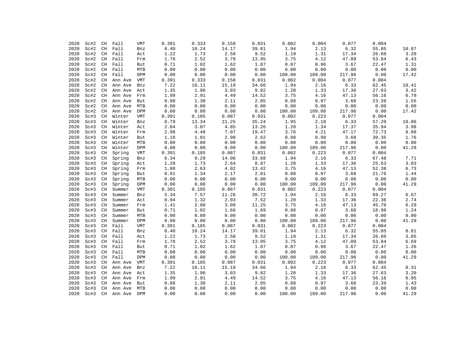| 2020 | Sc#2 | CH                         | Fall    | VMT        | 0.391    | 0.333    | 0.158 | 0.031 | 0.002  | 0.004  | 0.077  | 0.004 |       |
|------|------|----------------------------|---------|------------|----------|----------|-------|-------|--------|--------|--------|-------|-------|
| 2020 | Sc#2 | CH                         | Fall    | Bnz        | 8.40     | 10.24    | 14.17 | 39.01 | 1.94   | 2.13   | 6.32   | 55.85 | 10.87 |
| 2020 | Sc#2 | CH                         | Fall    | Act        | 1.22     | 1.73     | 2.58  | 9.52  | 1.19   | 1.31   | 17.34  | 26.60 | 3.20  |
| 2020 | Sc#2 | CH                         | Fall    | Frm        | 1.78     | 2.52     | 3.78  | 13.95 | 3.75   | 4.12   | 47.09  | 53.84 | 6.43  |
| 2020 | Sc#2 | CH                         | Fall    | But        | 0.71     | 1.02     | 1.62  | 1.87  | 0.87   | 0.96   | 3.67   | 22.47 | 1.31  |
| 2020 | Sc#2 | $\mathbb{C} \mathbb{H}$    | Fall    | MTB        | 0.00     | 0.00     | 0.00  | 0.00  | 0.00   | 0.00   | 0.00   | 0.00  | 0.00  |
| 2020 | Sc#2 | CH                         | Fall    | DPM        | 0.00     | 0.00     | 0.00  | 0.00  | 100.00 | 109.00 | 217.96 | 0.00  | 17.42 |
| 2020 | Sc#2 | CH                         | Ann Ave | VMT        | 0.391    | 0.333    | 0.158 | 0.031 | 0.002  | 0.004  | 0.077  | 0.004 |       |
| 2020 | Sc#2 | $\rm CH$                   | Ann Ave | Bnz        | 7.22     | 10.11    | 15.19 | 34.66 | 1.94   | 2.16   | 6.33   | 62.45 | 10.41 |
| 2020 | Sc#2 | CH                         | Ann Ave | Act        | 1.35     | 1.96     | 3.03  | 9.82  | 1.20   | 1.33   | 17.36  | 27.63 | 3.42  |
| 2020 | Sc#2 | $\mathbb{C} \mathbb{H}$    | Ann Ave | Frm        | 1.99     | 2.91     | 4.49  | 14.52 | 3.75   | 4.16   | 47.13  | 56.16 | 6.79  |
| 2020 | Sc#2 | CH                         | Ann Ave | But        | 0.88     | 1.30     | 2.11  | 2.05  | 0.88   | 0.97   | 3.68   | 23.39 | 1.55  |
| 2020 | Sc#2 | CH                         | Ann Ave | MTB        | 0.00     | 0.00     | 0.00  | 0.00  | 0.00   | 0.00   | 0.00   | 0.00  | 0.00  |
| 2020 | Sc#2 | CH                         | Ann Ave | DPM        | 0.00     | 0.00     | 0.00  | 0.00  | 100.00 | 109.00 | 217.96 | 0.00  | 17.42 |
| 2020 | Sc#3 | CH                         | Winter  | VMT        | 0.391    | 0.185    | 0.087 | 0.031 | 0.002  | 0.223  | 0.077  | 0.004 |       |
| 2020 | Sc#3 | CH                         | Winter  | Bnz        | 8.79     | 13.34    | 21.25 | 35.24 | 1.95   | 2.18   | 6.33   | 57.20 | 10.06 |
| 2020 | Sc#3 | CH                         | Winter  | Act        | 2.04     | 3.07     | 4.85  | 13.26 | 1.20   | 1.34   | 17.37  | 35.94 | 3.98  |
| 2020 | Sc#3 | CH                         | Winter  | Frm        | 2.98     | $4.48\,$ | 7.07  | 19.47 | 3.76   | 4.21   | 47.17  | 72.73 | 8.08  |
| 2020 | Sc#3 | CH                         | Winter  | But        | 1.18     | 1.81     | 2.98  | 2.62  | 0.88   | 0.98   | 3.68   | 30.35 | 1.76  |
| 2020 | Sc#3 | $\mathbb{C}\mathbb{H}$     | Winter  | MTB        | 0.00     | 0.00     | 0.00  | 0.00  | 0.00   | 0.00   | 0.00   | 0.00  | 0.00  |
| 2020 | Sc#3 | CH                         | Winter  | DPM        | 0.00     | 0.00     | 0.00  | 0.00  | 100.00 | 109.00 | 217.96 | 0.00  | 41.29 |
| 2020 | Sc#3 | CH                         | Spring  | VMT        | 0.391    | 0.185    | 0.087 | 0.031 | 0.002  | 0.223  | 0.077  | 0.004 |       |
| 2020 | Sc#3 | $\mathop{\rm CH}\nolimits$ | Spring  | Bnz        | 6.34     | 9.29     | 14.06 | 33.68 | 1.94   | 2.16   | 6.33   | 67.48 | 7.71  |
| 2020 | Sc#3 | $\rm CH$                   | Spring  | Act        | 1.20     | 1.73     | 2.64  | 8.97  | 1.20   | 1.33   | 17.36  | 25.63 | 3.03  |
| 2020 | Sc#3 | $\rm CH$                   | Spring  | Frm        | 1.80     | 2.63     | 4.02  | 13.42 | 3.75   | 4.16   | 47.13  | 52.38 | 6.73  |
| 2020 | Sc#3 | CH                         | Spring  | But        | 0.91     | 1.34     | 2.17  | 2.01  | 0.88   | 0.97   | 3.68   | 21.76 | 1.44  |
| 2020 | Sc#3 | $\mathop{\rm CH}\nolimits$ | Spring  | MTB        | 0.00     | 0.00     | 0.00  | 0.00  | 0.00   | 0.00   | 0.00   | 0.00  | 0.00  |
| 2020 | Sc#3 | $\rm CH$                   | Spring  | DPM        | 0.00     | 0.00     | 0.00  | 0.00  | 100.00 | 109.00 | 217.96 | 0.00  | 41.29 |
| 2020 | Sc#3 | $\rm CH$                   | Summer  | VMT        | 0.391    | 0.185    | 0.087 | 0.031 | 0.002  | 0.223  | 0.077  | 0.004 |       |
| 2020 | Sc#3 | $\mathbb{C} \mathbb{H}$    | Summer  | Bnz        | 5.34     | 7.57     | 11.26 | 30.72 | 1.94   | 2.16   | 6.33   | 69.27 | 6.67  |
| 2020 | Sc#3 | $\rm CH$                   | Summer  | Act        | 0.94     | 1.32     | 2.03  | 7.52  | 1.20   | 1.33   | 17.36  | 22.36 | 2.74  |
| 2020 | Sc#3 | $\mathbb{C} \mathbb{H}$    | Summer  | Frm        | 1.41     | 2.00     | 3.08  | 11.25 | 3.75   | 4.16   | 47.13  | 45.70 | 6.29  |
| 2020 | Sc#3 | CH                         | Summer  | But        | 0.71     | 1.02     | 1.66  | 1.69  | 0.88   | 0.97   | 3.68   | 18.98 | 1.24  |
| 2020 | Sc#3 | CH                         | Summer  | MTB        | 0.00     | 0.00     | 0.00  | 0.00  | 0.00   | 0.00   | 0.00   | 0.00  | 0.00  |
| 2020 | Sc#3 | $\rm CH$                   | Summer  | DPM        | 0.00     | 0.00     | 0.00  | 0.00  | 100.00 | 109.00 | 217.96 | 0.00  | 41.29 |
| 2020 | Sc#3 | $\rm CH$                   | Fall    | <b>VMT</b> | 0.391    | 0.185    | 0.087 | 0.031 | 0.002  | 0.223  | 0.077  | 0.004 |       |
| 2020 | Sc#3 | CH                         | Fall    | Bnz        | $8\,.40$ | 10.24    | 14.17 | 39.01 | 1.94   | 2.13   | 6.32   | 55.85 | 8.81  |
| 2020 | Sc#3 | CH                         | Fall    | Act        | 1.22     | 1.73     | 2.58  | 9.52  | 1.19   | 1.31   | 17.34  | 26.60 | 3.05  |
| 2020 | Sc#3 | CH                         | Fall    | Frm        | 1.78     | 2.52     | 3.78  | 13.95 | 3.75   | 4.12   | 47.09  | 53.84 | 6.69  |
| 2020 | Sc#3 | CH                         | Fall    | But        | 0.71     | 1.02     | 1.62  | 1.87  | 0.87   | 0.96   | 3.67   | 22.47 | 1.26  |
| 2020 | Sc#3 | CH                         | Fall    | MTB        | 0.00     | 0.00     | 0.00  | 0.00  | 0.00   | 0.00   | 0.00   | 0.00  | 0.00  |
| 2020 | Sc#3 | CH                         | Fall    | DPM        | 0.00     | 0.00     | 0.00  | 0.00  | 100.00 | 109.00 | 217.96 | 0.00  | 41.29 |
| 2020 | Sc#3 | CH                         | Ann Ave | VMT        | 0.391    | 0.185    | 0.087 | 0.031 | 0.002  | 0.223  | 0.077  | 0.004 |       |
| 2020 | Sc#3 | CH                         | Ann Ave | Bnz        | 7.22     | 10.11    | 15.19 | 34.66 | 1.94   | 2.16   | 6.33   | 62.45 | 8.31  |
| 2020 | Sc#3 | CH                         | Ann Ave | Act        | 1.35     | 1.96     | 3.03  | 9.82  | 1.20   | 1.33   | 17.36  | 27.63 | 3.20  |
| 2020 | Sc#3 | CH                         | Ann Ave | Frm        | 1.99     | 2.91     | 4.49  | 14.52 | 3.75   | 4.16   | 47.13  | 56.16 | 6.95  |
| 2020 | Sc#3 | CH                         | Ann Ave | But        | 0.88     | 1.30     | 2.11  | 2.05  | 0.88   | 0.97   | 3.68   | 23.39 | 1.43  |
| 2020 | Sc#3 | CH                         | Ann Ave | MTB        | 0.00     | 0.00     | 0.00  | 0.00  | 0.00   | 0.00   | 0.00   | 0.00  | 0.00  |
| 2020 | Sc#3 | CH                         | Ann Ave | DPM        | 0.00     | 0.00     | 0.00  | 0.00  | 100.00 | 109.00 | 217.96 | 0.00  | 41.29 |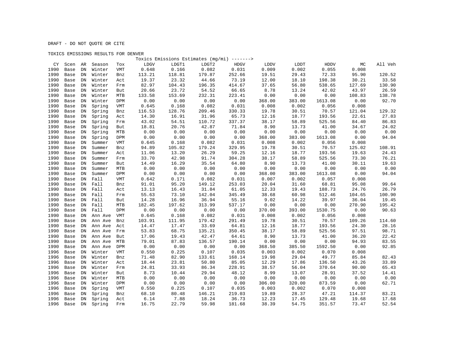|      |              |            |                  |            | Toxics Emissions Estimates (mg/mi) -------> |        |        |             |                |                |                  |        |                |
|------|--------------|------------|------------------|------------|---------------------------------------------|--------|--------|-------------|----------------|----------------|------------------|--------|----------------|
|      | CY Scen AR   |            | Season           | Tox        | LDGV                                        | LDGT1  | LDGT2  | <b>HDGV</b> | LDDV           | LDDT           | HDDV             | МC     | All Veh        |
| 1990 | Base         | DN         | Winter           | <b>VMT</b> | 0.648                                       | 0.166  | 0.082  | 0.031       | 0.009          | 0.002          | 0.055            | 0.008  |                |
| 1990 | Base         | ${\rm DN}$ | Winter           | Bnz        | 113.21                                      | 118.81 | 179.87 | 252.66      | 19.51          | 29.43          | 72.33            | 95.90  | 120.52         |
| 1990 | Base         | DN         | Winter           | Act        | 19.37                                       | 23.32  | 44.66  | 73.19       | 12.00          | 18.10          | 198.38           | 30.21  | 33.58          |
| 1990 | Base         | DN         | Winter           | Frm        | 82.97                                       | 104.43 | 196.35 | 414.67      | 37.65          | 56.80          | 538.65           | 127.69 | 130.90         |
| 1990 | Base         | ${\rm DN}$ | Winter           | But        | 20.66                                       | 23.72  | 54.52  | 66.65       | 8.78           | 13.24          | 42.02            | 43.97  | 26.59          |
| 1990 | Base         | ${\rm DN}$ | Winter           | <b>MTB</b> | 133.58                                      | 153.69 | 232.31 | 223.41      | 0.00           | 0.00           | 0.00             | 108.83 | 138.78         |
| 1990 | Base         | ${\rm DN}$ | Winter           | DPM        | 0.00                                        | 0.00   | 0.00   | 0.00        | 368.00         | 383.00         | 1613.08          | 0.00   | 92.70          |
| 1990 | Base         | ${\rm DN}$ | Spring           | <b>VMT</b> | 0.645                                       | 0.168  | 0.082  | 0.031       | 0.008          | 0.002          | 0.056            | 0.008  |                |
| 1990 | Base         | DN         | Spring           | Bnz        | 116.53                                      | 128.76 | 209.46 | 330.33      | 19.78          | 30.51          | 70.57            | 121.04 | 129.32         |
| 1990 | Base         | ${\rm DN}$ | Spring           | Act        | 14.30                                       | 16.91  | 31.96  | 65.73       | 12.16          | 18.77          | 193.56           | 22.61  | 27.83          |
| 1990 | Base         | DN         | Spring           | Frm        | 43.02                                       | 54.51  | 110.72 | 337.37      | 38.17          | 58.89          | 525.56           | 84.40  | 86.83          |
| 1990 | Base         | ${\rm DN}$ | Spring           | But        | 18.81                                       | 20.76  | 42.87  | 71.84       | 8.90           | 13.73          | 41.00            | 34.67  | 24.02          |
| 1990 | Base         | DN         | Spring           | <b>MTB</b> | 0.00                                        | 0.00   | 0.00   | 0.00        | 0.00           | 0.00           | 0.00             | 0.00   | 0.00           |
| 1990 | Base         | ${\rm DN}$ | Spring           | DPM        | 0.00                                        | 0.00   | 0.00   | 0.00        | 368.00         | 383.00         | 1613.08          | 0.00   | 94.04          |
| 1990 | Base         | ${\rm DN}$ | Summer           | <b>VMT</b> | 0.645                                       | 0.168  | 0.082  | 0.031       | 0.008          | 0.002          | 0.056            | 0.008  |                |
| 1990 | Base         | ${\rm DN}$ | Summer           | Bnz        | 94.89                                       | 105.02 | 179.24 | 329.95      | 19.78          | 30.51          | 70.57            | 125.02 | 108.91         |
| 1990 | Base         | DN         | Summer           | Act        | 11.06                                       | 13.20  | 26.29  | 59.25       | 12.16          | 18.77          | 193.56           | 19.63  | 24.43          |
| 1990 | Base         | ${\rm DN}$ | Summer           | Frm        | 33.70                                       | 42.98  | 91.74  | 304.28      | 38.17          | 58.89          | 525.56           | 73.30  | 76.21          |
| 1990 | Base         | ${\rm DN}$ | Summer           | But        | 14.49                                       | 16.29  | 35.54  | 64.80       | 8.90           | 13.73          | 41.00            | 30.11  | 19.63          |
| 1990 | Base         | ${\rm DN}$ | Summer           | MTB        | 0.00                                        | 0.00   | 0.00   | 0.00        | 0.00           | 0.00           | 0.00             | 0.00   | 0.00           |
| 1990 | Base         | ${\rm DN}$ | Summer           | DPM        | 0.00                                        | 0.00   | 0.00   | 0.00        | 368.00         | 383.00         | 1613.08          | 0.00   | 94.04          |
| 1990 | Base         | DN         | Fall             | <b>VMT</b> | 0.642                                       | 0.171  | 0.082  | 0.031       | 0.007          | 0.002          | 0.057            | 0.008  |                |
| 1990 | Base         | DN         | Fall             | Bnz        | 91.01                                       | 95.20  | 149.12 | 253.03      | 20.04          | 31.60          | 68.81            | 95.08  | 99.64          |
| 1990 | Base         | DN         | Fall             | Act        | 13.13                                       | 16.43  | 31.84  | 61.05       | 12.33          | 19.43          | 188.73           | 24.76  | 26.79          |
| 1990 | Base         | ${\rm DN}$ | Fall             | Frm        | 55.63                                       | 73.10  | 142.04 | 345.49      | 38.68          | 60.98          | 512.46           | 104.65 | 100.90         |
| 1990 | Base         | DN         | Fall             | But        | 14.28                                       | 16.96  | 36.94  | 55.16       | 9.02           | 14.22          | 39.97            | 36.04  | 19.45          |
| 1990 | Base         | DN         | Fall             | MTB        | 182.45                                      | 197.62 | 313.99 | 537.17      | 0.00           | 0.00           | 0.00             | 270.90 | 195.42         |
| 1990 | Base         | DN         | Fall             | DPM        | 0.00                                        | 0.00   | 0.00   | 0.00        | 370.00         | 393.00         | 1530.75          | 0.00   | 90.63          |
| 1990 | Base         | DN         | Ann Ave          | <b>VMT</b> | 0.645                                       | 0.168  | 0.082  | 0.031       | 0.008          | 0.002          | 0.056            | 0.008  |                |
| 1990 | Base         | DN         | Ann Ave          | Bnz        | 103.91                                      | 111.95 | 179.42 | 291.49      | 19.78          | 30.51          | 70.57            | 109.26 | 114.60         |
| 1990 | Base         | ${\rm DN}$ | Ann Ave          | Act        | 14.47                                       | 17.47  | 33.69  | 64.81       | 12.16          | 18.77          | 193.56           | 24.30  | 28.16          |
| 1990 | Base         | DN         | Ann Ave          | Frm        | 53.83                                       | 68.75  | 135.21 | 350.45      | 38.17          | 58.89          | 525.56           | 97.51  | 98.71          |
| 1990 | Base         | DN         | Ann Ave          | But        | 17.06                                       | 19.43  | 42.47  | 64.61       | 8.90           | 13.73          | 41.00            | 36.20  | 22.42          |
| 1990 | Base         | DN         | Ann Ave          | MTB        | 79.01                                       | 87.83  | 136.57 | 190.14      | 0.00           | 0.00           | 0.00             | 94.93  | 83.55          |
| 1990 | Base         | DN         | Ann Ave          | DPM        | 0.00                                        | 0.00   | 0.00   | 0.00        | 368.50         | 385.50         | 1592.50          | 0.00   | 92.85          |
| 1996 | Base         | DN         | Winter           | <b>VMT</b> | 0.550                                       | 0.225  | 0.107  | 0.035       | 0.003          | 0.002          | 0.070            | 0.008  |                |
| 1996 | Base         | DN         | Winter           | Bnz        | 71.48                                       | 82.90  | 133.61 | 168.14      | 19.98          | 29.04          | 49.77            | 85.84  | 82.43          |
| 1996 | Base         | ${\rm DN}$ | Winter           | Act        | 18.44                                       | 23.81  | 50.80  | 85.05       | 12.29          | 17.86          | 136.50           | 43.26  | 33.89          |
| 1996 | Base         | DN         | Winter           | Frm        | 24.81                                       | 33.93  | 86.34  | 228.91      | 38.57          | 56.04          | 370.64           | 90.00  | 65.43          |
| 1996 | Base         | DN         | Winter           | But        | 8.73                                        | 10.44  | 29.94  | 48.12       | 8.99           | 13.07          | 28.91            | 37.52  | 14.41          |
| 1996 | Base         | ${\rm DN}$ | Winter           | <b>MTB</b> | 0.00                                        | 0.00   | 0.00   | 0.00        | 0.00           | 0.00           | 0.00             | 0.00   | 0.00           |
| 1996 | Base         | ${\rm DN}$ | Winter           | DPM        | 0.00                                        | 0.00   | 0.00   | 0.00        | 306.00         | 320.00         | 873.59           | 0.00   | 62.71          |
| 1996 |              | ${\rm DN}$ |                  | <b>VMT</b> | 0.550                                       | 0.225  | 0.107  | 0.035       | 0.003          | 0.002          | 0.070            | 0.008  |                |
| 1996 | Base<br>Base | ${\rm DN}$ | Spring<br>Spring |            | 68.10                                       | 80.48  | 146.21 | 219.03      | 19.89          | 28.37          | 47.21            | 114.37 | 83.21          |
| 1996 |              |            |                  | Bnz        | 6.14                                        | 7.88   | 18.24  | 36.73       |                |                |                  | 19.68  |                |
| 1996 | Base         | DN         | Spring           | Act        |                                             |        |        |             | 12.23<br>38.39 | 17.45<br>54.75 | 129.48<br>351.57 | 73.47  | 17.68<br>52.54 |
|      | Base         | DN         | Spring           | Frm        | 16.75                                       | 22.79  | 59.98  | 181.68      |                |                |                  |        |                |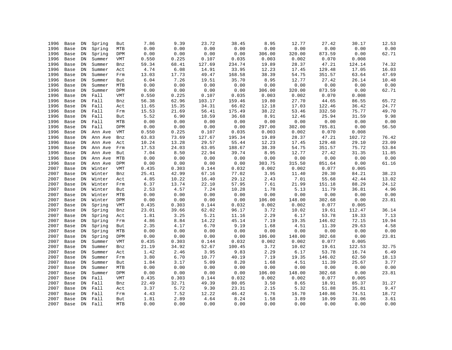| 1996         | Base | DN         | Spring  | But        | 7.86  | 9.39                   | 23.72  | 38.45  | 8.95            | 12.77           | 27.42           | 30.17  | 12.53 |
|--------------|------|------------|---------|------------|-------|------------------------|--------|--------|-----------------|-----------------|-----------------|--------|-------|
| 1996         | Base | ${\rm DN}$ | Spring  | MTB        | 0.00  | 0.00                   | 0.00   | 0.00   | 0.00            | 0.00            | 0.00            | 0.00   | 0.00  |
| 1996         | Base | ${\rm DN}$ | Spring  | DPM        | 0.00  | 0.00                   | 0.00   | 0.00   | 306.00          | 320.00          | 873.59          | 0.00   | 62.71 |
| 1996         | Base | ${\rm DN}$ | Summer  | VMT        | 0.550 | 0.225                  | 0.107  | 0.035  | 0.003           | 0.002           | 0.070           | 0.008  |       |
| 1996         | Base | ${\rm DN}$ | Summer  | Bnz        | 59.34 | 68.41                  | 127.69 | 234.74 | 19.89           | 28.37           | 47.21           | 124.14 | 74.32 |
| 1996         | Base | ${\rm DN}$ | Summer  | Act        | 4.74  | 6.08                   | 14.91  | 33.95  | 12.23           | 17.45           | 129.48          | 17.05  | 16.03 |
| 1996         | Base | ${\rm DN}$ | Summer  | Frm        | 13.03 | 17.73                  | 49.47  | 168.58 | 38.39           | 54.75           | 351.57          | 63.64  | 47.69 |
| 1996         | Base | DN         | Summer  | But        | 6.04  | 7.26                   | 19.51  | 35.70  | 8.95            | 12.77           | 27.42           | 26.14  | 10.48 |
| 1996         | Base | DN         | Summer  | MTB        | 0.00  | 0.00                   | 0.00   | 0.00   | 0.00            | 0.00            | 0.00            | 0.00   | 0.00  |
| 1996         | Base | ${\rm DN}$ | Summer  | DPM        | 0.00  | 0.00                   | 0.00   | 0.00   | 306.00          | 320.00          | 873.59          | 0.00   | 62.71 |
| 1996         | Base | DN         | Fall    | VMT        | 0.550 | 0.225                  | 0.107  | 0.035  | 0.003           | 0.002           | 0.070           | 0.008  |       |
| 1996         | Base | DN         | Fall    | Bnz        | 56.38 | 62.96                  | 103.17 | 159.46 | 19.80           | 27.70           | 44.65           | 86.55  | 65.72 |
| 1996         | Base | DN         | Fall    | Act        | 11.65 | 15.35                  | 34.31  | 66.02  | 12.18           | 17.03           | 122.46          | 36.42  | 24.77 |
| 1996         | Base | DN         | Fall    | Frm        | 15.53 | 21.69                  | 56.41  | 175.49 | 38.22           | 53.46           | 332.50          | 75.77  | 49.70 |
| 1996         | Base | DN         | Fall    | But        | 5.52  | 6.90                   | 18.59  | 36.68  | 8.91            | 12.46           | 25.94           | 31.59  | 9.98  |
| 1996         | Base | DN         | Fall    | MTB        | 0.00  | 0.00                   | 0.00   | 0.00   | 0.00            | 0.00            | 0.00            | 0.00   | 0.00  |
| 1996         | Base | DN         | Fall    | DPM        | 0.00  | 0.00                   | 0.00   | 0.00   | 297.00          | 302.00          | 785.81          | 0.00   | 56.50 |
| 1996         | Base | DN         | Ann Ave | VMT        | 0.550 | 0.225                  | 0.107  | 0.035  | 0.003           | 0.002           | 0.070           | 0.008  |       |
| 1996         | Base | DN         | Ann Ave | Bnz        | 63.83 | 73.69                  | 127.67 | 195.34 | 19.89           | 28.37           | 47.21           | 102.72 | 76.42 |
| 1996         | Base | DN         | Ann Ave | Act        | 10.24 | 13.28                  | 29.57  | 55.44  | 12.23           | 17.45           | 129.48          | 29.10  | 23.09 |
| 1996         | Base | DN         | Ann Ave | Frm        | 17.53 | 24.03                  | 63.05  | 188.67 | 38.39           | 54.75           | 351.57          | 75.72  | 53.84 |
| 1996         | Base | ${\rm DN}$ | Ann Ave | But        | 7.04  | 8.50                   | 22.94  | 39.74  | 8.95            | 12.77           | 27.42           | 31.35  | 11.85 |
| 1996         | Base | DN         | Ann Ave | MTB        | 0.00  | 0.00                   | 0.00   | 0.00   | 0.00            | 0.00            | 0.00            | 0.00   | 0.00  |
| 1996         | Base | ${\rm DN}$ | Ann Ave | DPM        | 0.00  | 0.00                   | 0.00   | 0.00   | 303.75          | 315.50          | 851.64          | 0.00   | 61.16 |
| 2007         | Base | DN         | Winter  | VMT        | 0.435 | 0.303                  | 0.144  | 0.032  | 0.002           | 0.002           | 0.077           | 0.005  |       |
| 2007         | Base | ${\rm DN}$ | Winter  | Bnz        | 25.41 | 42.99                  | 67.16  | 77.02  | 3.95            | 11.40           | 20.30           | 84.21  | 38.23 |
| 2007         | Base | ${\rm DN}$ | Winter  | Act        | 4.85  | 10.22                  | 16.40  | 29.12  | 2.43            | 7.01            | 55.68           | 42.44  | 13.02 |
| 2007         | Base | ${\rm DN}$ | Winter  | Frm        | 6.37  | 13.74                  | 22.10  | 57.95  | 7.61            | 21.99           | 151.18          | 88.29  | 24.12 |
| 2007         | Base | DN         | Winter  |            | 2.53  | 4.57                   | 7.24   | 10.28  | 1.78            | 5.13            | 11.79           | 36.81  | 4.96  |
| 2007         |      | DN         | Winter  | But<br>MTB | 0.00  | 0.00                   | 0.00   | 0.00   | 0.00            | 0.00            | 0.00            | 0.00   | 0.00  |
|              | Base |            |         |            | 0.00  | ${\bf 0}$ . ${\bf 00}$ | 0.00   | 0.00   |                 |                 |                 | 0.00   |       |
| 2007<br>2007 | Base | DN         | Winter  | DPM        | 0.435 | 0.303                  | 0.144  | 0.032  | 106.00<br>0.002 | 148.00<br>0.002 | 302.68<br>0.077 | 0.005  | 23.81 |
|              | Base | DN         | Spring  | VMT        |       |                        |        |        |                 |                 |                 |        |       |
| 2007         | Base | DN         | Spring  | Bnz        | 23.01 | 39.66                  | 62.02  | 96.17  | 3.72            | 10.02           | 19.61           | 112.47 | 36.14 |
| 2007         | Base | ${\rm DN}$ | Spring  | Act        | 1.81  | 3.25                   | 5.21   | 11.16  | 2.29            | 6.17            | 53.78           | 19.33  | 7.13  |
| 2007         | Base | ${\rm DN}$ | Spring  | Frm        | 4.86  | 8.84                   | 14.22  | 45.14  | 7.19            | 19.35           | 146.02          | 72.15  | 19.94 |
| 2007         | Base | DN         | Spring  | But        | 2.35  | 4.17                   | 6.70   | 9.19   | 1.68            | 4.51            | 11.39           | 29.63  | 4.58  |
| 2007         | Base | DN         | Spring  | MTB        | 0.00  | 0.00                   | 0.00   | 0.00   | 0.00            | 0.00            | 0.00            | 0.00   | 0.00  |
| 2007         | Base | ${\rm DN}$ | Spring  | DPM        | 0.00  | 0.00                   | 0.00   | 0.00   | 106.00          | 148.00          | 302.68          | 0.00   | 23.81 |
| 2007         | Base | DN         | Summer  | VMT        | 0.435 | 0.303                  | 0.144  | 0.032  | 0.002           | 0.002           | 0.077           | 0.005  |       |
| 2007         | Base | ${\rm DN}$ | Summer  | Bnz        | 21.19 | 34.92                  | 52.67  | 100.45 | 3.72            | 10.02           | 19.61           | 122.53 | 32.75 |
| 2007         | Base | DN         | Summer  | Act        | 1.42  | 2.46                   | 3.95   | 9.83   | 2.29            | 6.17            | 53.78           | 16.74  | 6.49  |
| 2007         | Base | ${\rm DN}$ | Summer  | Frm        | 3.80  | 6.70                   | 10.77  | 40.19  | 7.19            | 19.35           | 146.02          | 62.50  | 18.13 |
| 2007         | Base | ${\rm DN}$ | Summer  | But        | 1.84  | 3.17                   | 5.09   | 8.20   | 1.68            | 4.51            | 11.39           | 25.67  | 3.77  |
| 2007         | Base | ${\rm DN}$ | Summer  | <b>MTB</b> | 0.00  | 0.00                   | 0.00   | 0.00   | 0.00            | 0.00            | 0.00            | 0.00   | 0.00  |
| 2007         | Base | DN         | Summer  | DPM        | 0.00  | 0.00                   | 0.00   | 0.00   | 106.00          | 148.00          | 302.68          | 0.00   | 23.81 |
| 2007         | Base | ${\rm DN}$ | Fall    | VMT        | 0.435 | 0.303                  | 0.144  | 0.032  | 0.002           | 0.002           | 0.077           | 0.005  |       |
| 2007         | Base | DN         | Fall    | Bnz        | 22.49 | 32.71                  | 49.39  | 80.05  | 3.50            | 8.65            | 18.91           | 85.37  | 31.27 |
| 2007         | Base | DN         | Fall    | Act        | 3.37  | 5.72                   | 9.30   | 23.31  | 2.15            | 5.32            | 51.88           | 35.81  | 9.47  |
| 2007         | Base | DN         | Fall    | Frm        | 4.43  | 7.52                   | 12.22  | 46.42  | 6.76            | 16.70           | 140.86          | 74.51  | 18.72 |
| 2007         | Base |            | DN Fall | But        | 1.81  | 2.89                   | 4.64   | 8.24   | 1.58            | 3.89            | 10.99           | 31.06  | 3.61  |
| 2007         | Base |            | DN Fall | <b>MTB</b> | 0.00  | 0.00                   | 0.00   | 0.00   | 0.00            | 0.00            | 0.00            | 0.00   | 0.00  |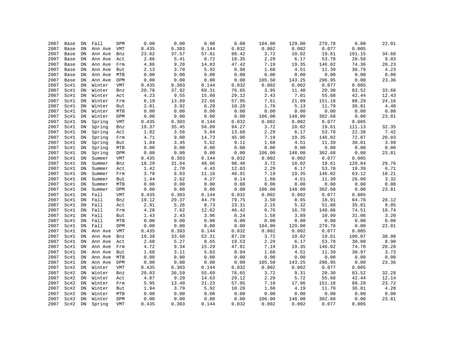| 2007 | Base | DN         | Fall    | <b>DPM</b> | 0.00  | 0.00  | 0.00  | 0.00  | 104.00 | 129.00 | 279.78                 | 0.00   | 22.01 |
|------|------|------------|---------|------------|-------|-------|-------|-------|--------|--------|------------------------|--------|-------|
| 2007 | Base | ${\rm DN}$ | Ann Ave | VMT        | 0.435 | 0.303 | 0.144 | 0.032 | 0.002  | 0.002  | 0.077                  | 0.005  |       |
| 2007 | Base | ${\rm DN}$ | Ann Ave | Bnz        | 23.02 | 37.57 | 57.81 | 88.42 | 3.72   | 10.02  | 19.61                  | 101.15 | 34.60 |
| 2007 | Base | ${\rm DN}$ | Ann Ave | Act        | 2.86  | 5.41  | 8.72  | 18.35 | 2.29   | 6.17   | 53.78                  | 28.58  | 9.03  |
| 2007 | Base | ${\rm DN}$ | Ann Ave | Frm        | 4.86  | 9.20  | 14.83 | 47.42 | 7.19   | 19.35  | 146.02                 | 74.36  | 20.23 |
| 2007 | Base | DN         | Ann Ave | But        | 2.13  | 3.70  | 5.92  | 8.98  | 1.68   | 4.51   | 11.39                  | 30.79  | 4.23  |
| 2007 | Base | ${\rm DN}$ | Ann Ave | MTB        | 0.00  | 0.00  | 0.00  | 0.00  | 0.00   | 0.00   | 0.00                   | 0.00   | 0.00  |
| 2007 | Base | ${\rm DN}$ | Ann Ave | DPM        | 0.00  | 0.00  | 0.00  | 0.00  | 105.50 | 143.25 | 296.95                 | 0.00   | 23.36 |
| 2007 | Sc#1 | ${\rm DN}$ | Winter  | VMT        | 0.435 | 0.303 | 0.144 | 0.032 | 0.002  | 0.002  | 0.077                  | 0.005  |       |
| 2007 | Sc#1 | DN         | Winter  | Bnz        | 20.78 | 37.92 | 60.31 | 76.65 | 3.95   | 11.40  | 20.30                  | 83.52  | 33.68 |
| 2007 | Sc#1 | ${\rm DN}$ | Winter  | Act        | 4.23  | 9.55  | 15.60 | 29.12 | 2.43   | 7.01   | 55.68                  | 42.44  | 12.43 |
| 2007 | Sc#1 | ${\rm DN}$ | Winter  | Frm        | 6.19  | 13.89 | 22.66 | 57.95 | 7.61   | 21.99  | 151.18                 | 88.29  | 24.16 |
| 2007 | Sc#1 | ${\rm DN}$ | Winter  | But        | 2.01  | 3.92  | 6.29  | 10.28 | 1.78   | 5.13   | 11.79                  | 36.81  | 4.40  |
| 2007 | Sc#1 | ${\rm DN}$ | Winter  | <b>MTB</b> | 0.00  | 0.00  | 0.00  | 0.00  | 0.00   | 0.00   | 0.00                   | 0.00   | 0.00  |
| 2007 | Sc#1 | ${\rm DN}$ | Winter  | DPM        | 0.00  | 0.00  | 0.00  | 0.00  | 106.00 | 148.00 | 302.68                 | 0.00   | 23.81 |
| 2007 | Sc#1 | ${\rm DN}$ | Spring  | VMT        | 0.435 | 0.303 | 0.144 | 0.032 | 0.002  | 0.002  | 0.077                  | 0.005  |       |
| 2007 | Sc#1 | ${\rm DN}$ | Spring  | Bnz        | 19.37 | 35.45 | 56.09 | 94.27 | 3.72   | 10.02  | 19.61                  | 111.13 | 32.35 |
| 2007 | Sc#1 | ${\rm DN}$ | Spring  | Act        | 1.82  | 3.56  | 5.84  | 13.68 | 2.29   | 6.17   | 53.78                  | 22.38  | 7.42  |
| 2007 | Sc#1 | ${\rm DN}$ | Spring  | Frm        | 4.71  | 9.00  | 14.73 | 45.96 | 7.19   | 19.35  | 146.02                 | 72.87  | 20.03 |
| 2007 | Sc#1 | ${\rm DN}$ | Spring  | But        | 1.84  | 3.45  | 5.62  | 9.11  | 1.68   | 4.51   | 11.39                  | 30.01  | 3.99  |
| 2007 | Sc#1 | DN         | Spring  | <b>MTB</b> | 0.00  | 0.00  | 0.00  | 0.00  | 0.00   | 0.00   | 0.00                   | 0.00   | 0.00  |
| 2007 | Sc#1 | ${\rm DN}$ | Spring  | DPM        | 0.00  | 0.00  | 0.00  | 0.00  | 106.00 | 148.00 | 302.68                 | 0.00   | 23.81 |
| 2007 | Sc#1 | DN         | Summer  | VMT        | 0.435 | 0.303 | 0.144 | 0.032 | 0.002  | 0.002  | 0.077                  | 0.005  |       |
| 2007 | Sc#1 | ${\rm DN}$ | Summer  | Bnz        | 18.29 | 31.64 | 48.06 | 98.46 | 3.72   | 10.02  | 19.61                  | 120.84 | 29.76 |
| 2007 | Sc#1 | ${\rm DN}$ | Summer  | Act        | 1.42  | 2.70  | 4.43  | 12.03 | 2.29   | 6.17   | 53.78                  | 19.39  | 6.71  |
| 2007 | Sc#1 | ${\rm DN}$ | Summer  | Frm        | 3.70  | 6.83  | 11.16 | 40.91 | 7.19   | 19.35  | 146.02                 | 63.12  | 18.21 |
| 2007 | Sc#1 | ${\rm DN}$ | Summer  | But        | 1.44  | 2.62  | 4.27  | 8.14  | 1.68   | 4.51   | 11.39                  | 26.00  | 3.32  |
| 2007 | Sc#1 | ${\rm DN}$ | Summer  | MTB        | 0.00  | 0.00  | 0.00  | 0.00  | 0.00   | 0.00   | ${\bf 0}$ . ${\bf 00}$ | 0.00   | 0.00  |
| 2007 | Sc#1 | ${\rm DN}$ | Summer  | DPM        | 0.00  | 0.00  | 0.00  | 0.00  | 106.00 | 148.00 | 302.68                 | 0.00   | 23.81 |
| 2007 | Sc#1 | ${\rm DN}$ | Fall    | <b>VMT</b> | 0.435 | 0.303 | 0.144 | 0.032 | 0.002  | 0.002  | 0.077                  | 0.005  |       |
| 2007 | Sc#1 | DN         | Fall    | Bnz        | 19.12 | 29.37 | 44.79 | 79.75 | 3.50   | 8.65   | 18.91                  | 84.78  | 28.12 |
| 2007 | Sc#1 | ${\rm DN}$ | Fall    | Act        | 2.91  | 5.26  | 8.73  | 23.31 | 2.15   | 5.32   | 51.88                  | 35.81  | 9.05  |
| 2007 | Sc#1 | ${\rm DN}$ | Fall    | Frm        | 4.28  | 7.62  | 12.62 | 46.42 | 6.76   | 16.70  | 140.86                 | 74.51  | 18.74 |
| 2007 | Sc#1 | ${\rm DN}$ | Fall    | But        | 1.43  | 2.43  | 3.96  | 8.24  | 1.58   | 3.89   | 10.99                  | 31.06  | 3.20  |
| 2007 | Sc#1 | DN         | Fall    | MTB        | 0.00  | 0.00  | 0.00  | 0.00  | 0.00   | 0.00   | 0.00                   | 0.00   | 0.00  |
| 2007 | Sc#1 | ${\rm DN}$ | Fall    | DPM        | 0.00  | 0.00  | 0.00  | 0.00  | 104.00 | 129.00 | 279.78                 | 0.00   | 22.01 |
| 2007 | Sc#1 | ${\rm DN}$ | Ann Ave | VMT        | 0.435 | 0.303 | 0.144 | 0.032 | 0.002  | 0.002  | 0.077                  | 0.005  |       |
| 2007 | Sc#1 | ${\rm DN}$ | Ann Ave | Bnz        | 19.39 | 33.60 | 52.31 | 87.28 | 3.72   | 10.02  | 19.61                  | 100.07 | 30.98 |
| 2007 | Sc#1 | ${\rm DN}$ | Ann Ave | Act        | 2.60  | 5.27  | 8.65  | 19.53 | 2.29   | 6.17   | 53.78                  | 30.00  | 8.90  |
| 2007 | Sc#1 | DN         | Ann Ave | Frm        | 4.72  | 9.34  | 15.29 | 47.81 | 7.19   | 19.35  | 146.02                 | 74.70  | 20.28 |
| 2007 | Sc#1 | ${\rm DN}$ | Ann Ave | But        | 1.68  | 3.11  | 5.03  | 8.94  | 1.68   | 4.51   | 11.39                  | 30.97  | 3.73  |
| 2007 | Sc#1 | ${\rm DN}$ | Ann Ave | MTB        | 0.00  | 0.00  | 0.00  | 0.00  | 0.00   | 0.00   | 0.00                   | 0.00   | 0.00  |
| 2007 | Sc#1 | ${\rm DN}$ | Ann Ave | DPM        | 0.00  | 0.00  | 0.00  | 0.00  | 105.50 | 143.25 | 296.95                 | 0.00   | 23.36 |
| 2007 | Sc#2 | ${\rm DN}$ | Winter  | VMT        | 0.435 | 0.303 | 0.144 | 0.032 | 0.002  | 0.002  | 0.077                  | 0.005  |       |
| 2007 | Sc#2 | ${\rm DN}$ | Winter  | Bnz        | 20.03 | 36.59 | 55.69 | 76.65 | 3.72   | 9.31   | 20.30                  | 83.52  | 32.28 |
| 2007 | Sc#2 | ${\rm DN}$ | Winter  | Act        | 4.07  | 9.29  | 14.63 | 29.12 | 2.29   | 5.72   | 55.68                  | 42.44  | 12.14 |
| 2007 | Sc#2 | DN         | Winter  | Frm        | 5.95  | 13.49 | 21.23 | 57.95 | 7.18   | 17.96  | 151.18                 | 88.29  | 23.72 |
| 2007 | Sc#2 | DN         | Winter  | But        | 1.94  | 3.79  | 5.92  | 10.28 | 1.68   | 4.19   | 11.79                  | 36.81  | 4.28  |
| 2007 | Sc#2 | ${\rm DN}$ | Winter  | <b>MTB</b> | 0.00  | 0.00  | 0.00  | 0.00  | 0.00   | 0.00   | 0.00                   | 0.00   | 0.00  |
| 2007 | Sc#2 | ${\rm DN}$ | Winter  | DPM        | 0.00  | 0.00  | 0.00  | 0.00  | 106.00 | 148.00 | 302.68                 | 0.00   | 23.81 |
| 2007 | Sc#2 | DN         | Spring  | <b>VMT</b> | 0.435 | 0.303 | 0.144 | 0.032 | 0.002  | 0.002  | 0.077                  | 0.005  |       |
|      |      |            |         |            |       |       |       |       |        |        |                        |        |       |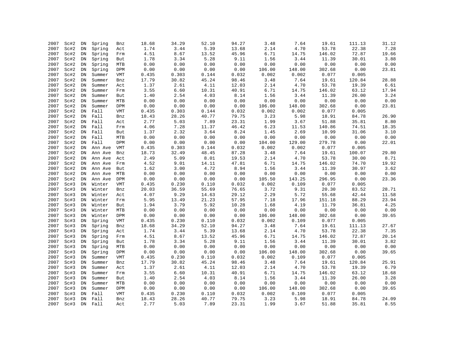| 2007 | Sc#2 | DN         | Spring  | Bnz        | 18.68 | 34.29 | 52.10 | 94.27    | 3.48   | 7.64   | 19.61  | 111.13 | 31.12 |
|------|------|------------|---------|------------|-------|-------|-------|----------|--------|--------|--------|--------|-------|
| 2007 | Sc#2 | ${\rm DN}$ | Spring  | Act        | 1.74  | 3.44  | 5.39  | 13.68    | 2.14   | 4.70   | 53.78  | 22.38  | 7.28  |
| 2007 | Sc#2 | ${\rm DN}$ | Spring  | Frm        | 4.51  | 8.67  | 13.52 | 45.96    | 6.71   | 14.75  | 146.02 | 72.87  | 19.66 |
| 2007 | Sc#2 | ${\rm DN}$ | Spring  | But        | 1.78  | 3.34  | 5.28  | 9.11     | 1.56   | 3.44   | 11.39  | 30.01  | 3.88  |
| 2007 | Sc#2 | DN         | Spring  | <b>MTB</b> | 0.00  | 0.00  | 0.00  | 0.00     | 0.00   | 0.00   | 0.00   | 0.00   | 0.00  |
| 2007 | Sc#2 | DN         | Spring  | DPM        | 0.00  | 0.00  | 0.00  | 0.00     | 106.00 | 148.00 | 302.68 | 0.00   | 23.81 |
| 2007 | Sc#2 | ${\rm DN}$ | Summer  | <b>VMT</b> | 0.435 | 0.303 | 0.144 | 0.032    | 0.002  | 0.002  | 0.077  | 0.005  |       |
| 2007 | Sc#2 | ${\rm DN}$ | Summer  | Bnz        | 17.79 | 30.82 | 45.24 | 98.46    | 3.48   | 7.64   | 19.61  | 120.84 | 28.88 |
| 2007 | Sc#2 | ${\rm DN}$ | Summer  | Act        | 1.37  | 2.61  | 4.11  | 12.03    | 2.14   | 4.70   | 53.78  | 19.39  | 6.61  |
| 2007 | Sc#2 | ${\rm DN}$ | Summer  | Frm        | 3.55  | 6.60  | 10.31 | 40.91    | 6.71   | 14.75  | 146.02 | 63.12  | 17.94 |
| 2007 | Sc#2 | ${\rm DN}$ | Summer  | But        | 1.40  | 2.54  | 4.03  | $8\,.14$ | 1.56   | 3.44   | 11.39  | 26.00  | 3.24  |
| 2007 | Sc#2 | ${\rm DN}$ | Summer  | <b>MTB</b> | 0.00  | 0.00  | 0.00  | 0.00     | 0.00   | 0.00   | 0.00   | 0.00   | 0.00  |
| 2007 | Sc#2 | DN         | Summer  | DPM        | 0.00  | 0.00  | 0.00  | 0.00     | 106.00 | 148.00 | 302.68 | 0.00   | 23.81 |
| 2007 | Sc#2 | ${\rm DN}$ | Fall    | <b>VMT</b> | 0.435 | 0.303 | 0.144 | 0.032    | 0.002  | 0.002  | 0.077  | 0.005  |       |
| 2007 | Sc#2 | ${\rm DN}$ | Fall    | Bnz        | 18.43 | 28.26 | 40.77 | 79.75    | 3.23   | 5.98   | 18.91  | 84.78  | 26.90 |
| 2007 | Sc#2 | ${\rm DN}$ | Fall    | Act        | 2.77  | 5.03  | 7.89  | 23.31    | 1.99   | 3.67   | 51.88  | 35.81  | 8.80  |
| 2007 | Sc#2 | DN         | Fall    | Frm        | 4.06  | 7.28  | 11.37 | 46.42    | 6.23   | 11.53  | 140.86 | 74.51  | 18.35 |
| 2007 | Sc#2 | ${\rm DN}$ | Fall    | But        | 1.37  | 2.32  | 3.64  | 8.24     | 1.45   | 2.69   | 10.99  | 31.06  | 3.10  |
| 2007 | Sc#2 | ${\rm DN}$ | Fall    | MTB        | 0.00  | 0.00  | 0.00  | 0.00     | 0.00   | 0.00   | 0.00   | 0.00   | 0.00  |
| 2007 | Sc#2 | DN         | Fall    | DPM        | 0.00  | 0.00  | 0.00  | 0.00     | 104.00 | 129.00 | 279.78 | 0.00   | 22.01 |
| 2007 | Sc#2 | ${\rm DN}$ | Ann Ave | VMT        | 0.435 | 0.303 | 0.144 | 0.032    | 0.002  | 0.002  | 0.077  | 0.005  |       |
| 2007 | Sc#2 | ${\rm DN}$ | Ann Ave | Bnz        | 18.73 | 32.49 | 48.45 | 87.28    | 3.48   | 7.64   | 19.61  | 100.07 | 29.80 |
| 2007 | Sc#2 | ${\rm DN}$ | Ann Ave | Act        | 2.49  | 5.09  | 8.01  | 19.53    | 2.14   | 4.70   | 53.78  | 30.00  | 8.71  |
| 2007 | Sc#2 | ${\rm DN}$ | Ann Ave | Frm        | 4.52  | 9.01  | 14.11 | 47.81    | 6.71   | 14.75  | 146.02 | 74.70  | 19.92 |
| 2007 | Sc#2 | ${\rm DN}$ | Ann Ave | But        | 1.62  | 3.00  | 4.72  | 8.94     | 1.56   | 3.44   | 11.39  | 30.97  | 3.62  |
| 2007 | Sc#2 | ${\rm DN}$ | Ann Ave | MTB        | 0.00  | 0.00  | 0.00  | 0.00     | 0.00   | 0.00   | 0.00   | 0.00   | 0.00  |
| 2007 | Sc#2 | ${\rm DN}$ | Ann Ave | DPM        | 0.00  | 0.00  | 0.00  | 0.00     | 105.50 | 143.25 | 296.95 | 0.00   | 23.36 |
| 2007 | Sc#3 | ${\rm DN}$ | Winter  | VMT        | 0.435 | 0.230 | 0.110 | 0.032    | 0.002  | 0.109  | 0.077  | 0.005  |       |
| 2007 | Sc#3 | DN         | Winter  | Bnz        | 20.03 | 36.59 | 55.69 | 76.65    | 3.72   | 9.31   | 20.30  | 83.52  | 28.71 |
| 2007 | Sc#3 | ${\rm DN}$ | Winter  | Act        | 4.07  | 9.29  | 14.63 | 29.12    | 2.29   | 5.72   | 55.68  | 42.44  | 11.58 |
| 2007 | Sc#3 | ${\rm DN}$ | Winter  | Frm        | 5.95  | 13.49 | 21.23 | 57.95    | 7.18   | 17.96  | 151.18 | 88.29  | 23.94 |
| 2007 | Sc#3 | DN         | Winter  | But        | 1.94  | 3.79  | 5.92  | 10.28    | 1.68   | 4.19   | 11.79  | 36.81  | 4.25  |
| 2007 | Sc#3 | DN         | Winter  | MTB        | 0.00  | 0.00  | 0.00  | 0.00     | 0.00   | 0.00   | 0.00   | 0.00   | 0.00  |
| 2007 | Sc#3 | DN         | Winter  | DPM        | 0.00  | 0.00  | 0.00  | 0.00     | 106.00 | 148.00 | 302.68 | 0.00   | 39.65 |
| 2007 | Sc#3 | ${\rm DN}$ | Spring  | VMT        | 0.435 | 0.230 | 0.110 | 0.032    | 0.002  | 0.109  | 0.077  | 0.005  |       |
| 2007 | Sc#3 | DN         | Spring  | Bnz        | 18.68 | 34.29 | 52.10 | 94.27    | 3.48   | 7.64   | 19.61  | 111.13 | 27.67 |
| 2007 | Sc#3 | DN         | Spring  | Act        | 1.74  | 3.44  | 5.39  | 13.68    | 2.14   | 4.70   | 53.78  | 22.38  | 7.35  |
| 2007 | Sc#3 | ${\rm DN}$ | Spring  | Frm        | 4.51  | 8.67  | 13.52 | 45.96    | 6.71   | 14.75  | 146.02 | 72.87  | 20.14 |
| 2007 | Sc#3 | ${\rm DN}$ | Spring  | But        | 1.78  | 3.34  | 5.28  | 9.11     | 1.56   | 3.44   | 11.39  | 30.01  | 3.82  |
| 2007 | Sc#3 | DN         | Spring  | MTB        | 0.00  | 0.00  | 0.00  | 0.00     | 0.00   | 0.00   | 0.00   | 0.00   | 0.00  |
| 2007 | Sc#3 | ${\rm DN}$ | Spring  | DPM        | 0.00  | 0.00  | 0.00  | 0.00     | 106.00 | 148.00 | 302.68 | 0.00   | 39.65 |
| 2007 | Sc#3 | ${\rm DN}$ | Summer  | VMT        | 0.435 | 0.230 | 0.110 | 0.032    | 0.002  | 0.109  | 0.077  | 0.005  |       |
| 2007 | Sc#3 | ${\rm DN}$ | Summer  | Bnz        | 17.79 | 30.82 | 45.24 | 98.46    | 3.48   | 7.64   | 19.61  | 120.84 | 25.91 |
| 2007 | Sc#3 | ${\rm DN}$ | Summer  | Act        | 1.37  | 2.61  | 4.11  | 12.03    | 2.14   | 4.70   | 53.78  | 19.39  | 6.79  |
| 2007 | Sc#3 | ${\rm DN}$ | Summer  | Frm        | 3.55  | 6.60  | 10.31 | 40.91    | 6.71   | 14.75  | 146.02 | 63.12  | 18.68 |
| 2007 | Sc#3 | ${\rm DN}$ | Summer  | But        | 1.40  | 2.54  | 4.03  | $8\,.14$ | 1.56   | 3.44   | 11.39  | 26.00  | 3.28  |
| 2007 | Sc#3 | ${\rm DN}$ | Summer  | MTB        | 0.00  | 0.00  | 0.00  | 0.00     | 0.00   | 0.00   | 0.00   | 0.00   | 0.00  |
| 2007 | Sc#3 | DN         | Summer  | DPM        | 0.00  | 0.00  | 0.00  | 0.00     | 106.00 | 148.00 | 302.68 | 0.00   | 39.65 |
| 2007 | Sc#3 | DN         | Fall    | VMT        | 0.435 | 0.230 | 0.110 | 0.032    | 0.002  | 0.109  | 0.077  | 0.005  |       |
| 2007 | Sc#3 | DN         | Fall    | Bnz        | 18.43 | 28.26 | 40.77 | 79.75    | 3.23   | 5.98   | 18.91  | 84.78  | 24.09 |
| 2007 | Sc#3 | DN         | Fall    | Act        | 2.77  | 5.03  | 7.89  | 23.31    | 1.99   | 3.67   | 51.88  | 35.81  | 8.55  |
|      |      |            |         |            |       |       |       |          |        |        |        |        |       |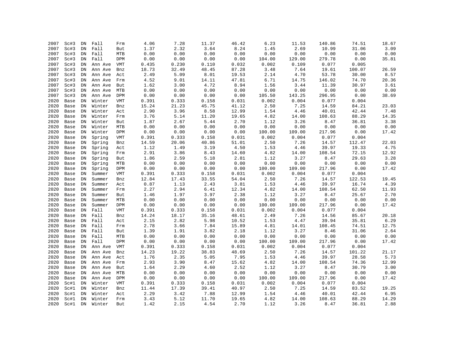| 2007 | Sc#3 | DN         | Fall    | Frm        | 4.06  | 7.28  | 11.37 | 46.42 | 6.23   | 11.53  | 140.86                 | 74.51  | 18.67                           |
|------|------|------------|---------|------------|-------|-------|-------|-------|--------|--------|------------------------|--------|---------------------------------|
| 2007 | Sc#3 | ${\rm DN}$ | Fall    | But        | 1.37  | 2.32  | 3.64  | 8.24  | 1.45   | 2.69   | 10.99                  | 31.06  | 3.09                            |
| 2007 | Sc#3 | ${\rm DN}$ | Fall    | MTB        | 0.00  | 0.00  | 0.00  | 0.00  | 0.00   | 0.00   | ${\bf 0}$ . ${\bf 00}$ | 0.00   | 0.00                            |
| 2007 | Sc#3 | ${\rm DN}$ | Fall    | DPM        | 0.00  | 0.00  | 0.00  | 0.00  | 104.00 | 129.00 | 279.78                 | 0.00   | 35.81                           |
| 2007 | Sc#3 | DN         | Ann Ave | VMT        | 0.435 | 0.230 | 0.110 | 0.032 | 0.002  | 0.109  | 0.077                  | 0.005  |                                 |
| 2007 | Sc#3 | ${\rm DN}$ | Ann Ave | Bnz        | 18.73 | 32.49 | 48.45 | 87.28 | 3.48   | 7.64   | 19.61                  | 100.07 | 26.59                           |
| 2007 | Sc#3 | ${\rm DN}$ | Ann Ave | Act        | 2.49  | 5.09  | 8.01  | 19.53 | 2.14   | 4.70   | 53.78                  | 30.00  | 8.57                            |
| 2007 | Sc#3 | ${\rm DN}$ | Ann Ave | Frm        | 4.52  | 9.01  | 14.11 | 47.81 | 6.71   | 14.75  | 146.02                 | 74.70  | 20.36                           |
| 2007 | Sc#3 | DN         | Ann Ave | But        | 1.62  | 3.00  | 4.72  | 8.94  | 1.56   | 3.44   | 11.39                  | 30.97  | 3.61                            |
| 2007 | Sc#3 | ${\rm DN}$ | Ann Ave | MTB        | 0.00  | 0.00  | 0.00  | 0.00  | 0.00   | 0.00   | 0.00                   | 0.00   | 0.00                            |
| 2007 | Sc#3 | ${\rm DN}$ | Ann Ave | DPM        | 0.00  | 0.00  | 0.00  | 0.00  | 105.50 | 143.25 | 296.95                 | 0.00   | 38.69                           |
| 2020 | Base | DN         | Winter  | <b>VMT</b> | 0.391 | 0.333 | 0.158 | 0.031 | 0.002  | 0.004  | 0.077                  | 0.004  |                                 |
| 2020 | Base | DN         | Winter  | Bnz        | 15.24 | 21.23 | 45.75 | 41.12 | 2.50   | 7.25   | 14.59                  | 84.21  | 23.03                           |
| 2020 | Base | ${\rm DN}$ | Winter  | Act        | 2.90  | 3.96  | 8.58  | 12.99 | 1.54   | 4.46   | 40.01                  | 42.44  | 7.48                            |
| 2020 | Base | ${\rm DN}$ | Winter  | Frm        | 3.76  | 5.14  | 11.20 | 19.65 | 4.82   | 14.00  | 108.63                 | 88.29  | 14.35                           |
| 2020 | Base | DN         | Winter  | But        | 1.87  | 2.67  | 5.44  | 2.70  | 1.12   | 3.26   | 8.47                   | 36.81  | 3.38                            |
| 2020 | Base | DN         | Winter  | MTB        | 0.00  | 0.00  | 0.00  | 0.00  | 0.00   | 0.00   | 0.00                   | 0.00   | 0.00                            |
| 2020 | Base | ${\rm DN}$ | Winter  | DPM        | 0.00  | 0.00  | 0.00  | 0.00  | 100.00 | 109.00 | 217.96                 | 0.00   | 17.42                           |
| 2020 | Base | ${\rm DN}$ | Spring  | VMT        | 0.391 | 0.333 | 0.158 | 0.031 | 0.002  | 0.004  | 0.077                  | 0.004  |                                 |
| 2020 | Base | ${\rm DN}$ | Spring  | Bnz        | 14.59 | 20.06 | 40.86 | 51.01 | 2.50   | 7.26   | 14.57                  | 112.47 | 22.03                           |
| 2020 | Base | ${\rm DN}$ | Spring  | Act        | 1.12  | 1.49  | 3.19  | 4.50  | 1.53   | 4.46   | 39.97                  | 19.33  | 4.75                            |
| 2020 | Base | ${\rm DN}$ | Spring  | Frm        | 2.91  | 3.86  | 8.43  | 14.60 | 4.82   | 14.00  | 108.54                 | 72.15  | 12.92                           |
| 2020 | Base | ${\rm DN}$ | Spring  | But        | 1.86  | 2.59  | 5.18  | 2.81  | 1.12   | 3.27   | $8.47\,$               | 29.63  | 3.28                            |
| 2020 | Base | DN         | Spring  | <b>MTB</b> | 0.00  | 0.00  | 0.00  | 0.00  | 0.00   | 0.00   | 0.00                   | 0.00   | ${\bf 0}$ . ${\bf 0}$ ${\bf 0}$ |
| 2020 | Base | DN         | Spring  | DPM        | 0.00  | 0.00  | 0.00  | 0.00  | 100.00 | 109.00 | 217.96                 | 0.00   | 17.42                           |
| 2020 | Base | ${\rm DN}$ | Summer  | <b>VMT</b> | 0.391 | 0.333 | 0.158 | 0.031 | 0.002  | 0.004  | 0.077                  | 0.004  |                                 |
| 2020 | Base | ${\rm DN}$ | Summer  | Bnz        | 12.84 | 17.43 | 33.55 | 54.04 | 2.50   | 7.26   | 14.57                  | 122.53 | 19.45                           |
| 2020 | Base | ${\rm DN}$ | Summer  | Act        | 0.87  | 1.13  | 2.43  | 3.81  | 1.53   | 4.46   | 39.97                  | 16.74  | 4.39                            |
| 2020 | Base | ${\rm DN}$ | Summer  | Frm        | 2.27  | 2.94  | 6.41  | 12.34 | 4.82   | 14.00  | 108.54                 | 62.50  | 11.93                           |
| 2020 | Base | ${\rm DN}$ | Summer  | But        | 1.46  | 1.97  | 3.97  | 2.38  | 1.12   | 3.27   | $8\,.47$               | 25.67  | 2.70                            |
| 2020 | Base | ${\rm DN}$ | Summer  | MTB        | 0.00  | 0.00  | 0.00  | 0.00  | 0.00   | 0.00   | ${\bf 0}$ . ${\bf 00}$ | 0.00   | 0.00                            |
| 2020 | Base | DN         | Summer  | DPM        | 0.00  | 0.00  | 0.00  | 0.00  | 100.00 | 109.00 | 217.96                 | 0.00   | 17.42                           |
| 2020 | Base | DN         | Fall    | VMT        | 0.391 | 0.333 | 0.158 | 0.031 | 0.002  | 0.004  | 0.077                  | 0.004  |                                 |
| 2020 | Base | DN         | Fall    | Bnz        | 14.24 | 18.17 | 35.16 | 48.61 | 2.49   | 7.26   | 14.56                  | 85.67  | 20.18                           |
| 2020 | Base | ${\rm DN}$ | Fall    | Act        | 2.15  | 2.82  | 5.98  | 10.52 | 1.53   | 4.47   | 39.94                  | 35.81  | 6.29                            |
| 2020 | Base | DN         | Fall    | Frm        | 2.78  | 3.66  | 7.84  | 15.89 | 4.81   | 14.01  | 108.45                 | 74.51  | 12.75                           |
| 2020 | Base | DN         | Fall    | But        | 1.39  | 1.91  | 3.82  | 2.18  | 1.12   | 3.27   | 8.46                   | 31.06  | 2.64                            |
| 2020 | Base | ${\rm DN}$ | Fall    | MTB        | 0.00  | 0.00  | 0.00  | 0.00  | 0.00   | 0.00   | 0.00                   | 0.00   | 0.00                            |
| 2020 | Base | DN         | Fall    | DPM        | 0.00  | 0.00  | 0.00  | 0.00  | 100.00 | 109.00 | 217.96                 | 0.00   | 17.42                           |
| 2020 | Base | DN         | Ann Ave | VMT        | 0.391 | 0.333 | 0.158 | 0.031 | 0.002  | 0.004  | 0.077                  | 0.004  |                                 |
| 2020 | Base | DN         | Ann Ave | Bnz        | 14.23 | 19.22 | 38.83 | 48.69 | 2.50   | 7.26   | 14.57                  | 101.22 | 21.17                           |
| 2020 | Base | ${\rm DN}$ | Ann Ave | Act        | 1.76  | 2.35  | 5.05  | 7.95  | 1.53   | 4.46   | 39.97                  | 28.58  | 5.73                            |
| 2020 | Base | DN         | Ann Ave | Frm        | 2.93  | 3.90  | 8.47  | 15.62 | 4.82   | 14.00  | 108.54                 | 74.36  | 12.99                           |
| 2020 | Base | DN         | Ann Ave | But        | 1.64  | 2.29  | 4.60  | 2.52  | 1.12   | 3.27   | 8.47                   | 30.79  | 3.00                            |
| 2020 | Base | ${\rm DN}$ | Ann Ave | MTB        | 0.00  | 0.00  | 0.00  | 0.00  | 0.00   | 0.00   | 0.00                   | 0.00   | 0.00                            |
| 2020 | Base | ${\rm DN}$ | Ann Ave | DPM        | 0.00  | 0.00  | 0.00  | 0.00  | 100.00 | 109.00 | 217.96                 | 0.00   | 17.42                           |
| 2020 | Sc#1 | ${\rm DN}$ | Winter  | VMT        | 0.391 | 0.333 | 0.158 | 0.031 | 0.002  | 0.004  | 0.077                  | 0.004  |                                 |
| 2020 | Sc#1 | DN         | Winter  | Bnz        | 11.44 | 17.39 | 39.41 | 40.97 | 2.50   | 7.25   | 14.59                  | 83.52  | 19.25                           |
| 2020 | Sc#1 | DN         | Winter  | Act        | 2.29  | 3.42  | 7.88  | 12.99 | 1.54   | 4.46   | 40.01                  | 42.44  | 6.95                            |
| 2020 | Sc#1 | DN         | Winter  | Frm        | 3.43  | 5.12  | 11.70 | 19.65 | 4.82   | 14.00  | 108.63                 | 88.29  | 14.29                           |
| 2020 | Sc#1 | DN         | Winter  | But        | 1.42  | 2.15  | 4.54  | 2.70  | 1.12   | 3.26   | 8.47                   | 36.81  | 2.88                            |
|      |      |            |         |            |       |       |       |       |        |        |                        |        |                                 |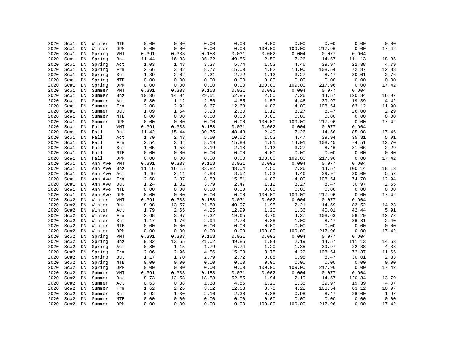| 2020 | Sc#1 | DN         | Winter  | MTB        | 0.00  | 0.00  | 0.00  | 0.00  | 0.00   | 0.00   | 0.00     | 0.00   | 0.00  |
|------|------|------------|---------|------------|-------|-------|-------|-------|--------|--------|----------|--------|-------|
| 2020 | Sc#1 | ${\rm DN}$ | Winter  | DPM        | 0.00  | 0.00  | 0.00  | 0.00  | 100.00 | 109.00 | 217.96   | 0.00   | 17.42 |
| 2020 | Sc#1 | ${\rm DN}$ | Spring  | VMT        | 0.391 | 0.333 | 0.158 | 0.031 | 0.002  | 0.004  | 0.077    | 0.004  |       |
| 2020 | Sc#1 | ${\rm DN}$ | Spring  | Bnz        | 11.44 | 16.83 | 35.62 | 49.86 | 2.50   | 7.26   | 14.57    | 111.13 | 18.85 |
| 2020 | Sc#1 | ${\rm DN}$ | Spring  | Act        | 1.03  | 1.48  | 3.37  | 5.74  | 1.53   | 4.46   | 39.97    | 22.38  | 4.79  |
| 2020 | Sc#1 | ${\rm DN}$ | Spring  | Frm        | 2.66  | 3.82  | 8.77  | 15.00 | 4.82   | 14.00  | 108.54   | 72.87  | 12.88 |
| 2020 | Sc#1 | ${\rm DN}$ | Spring  | But        | 1.39  | 2.02  | 4.21  | 2.72  | 1.12   | 3.27   | 8.47     | 30.01  | 2.76  |
| 2020 | Sc#1 | DN         | Spring  | MTB        | 0.00  | 0.00  | 0.00  | 0.00  | 0.00   | 0.00   | 0.00     | 0.00   | 0.00  |
| 2020 | Sc#1 | ${\rm DN}$ | Spring  | DPM        | 0.00  | 0.00  | 0.00  | 0.00  | 100.00 | 109.00 | 217.96   | 0.00   | 17.42 |
| 2020 | Sc#1 | ${\rm DN}$ | Summer  | VMT        | 0.391 | 0.333 | 0.158 | 0.031 | 0.002  | 0.004  | 0.077    | 0.004  |       |
| 2020 | Sc#1 | DN         | Summer  | Bnz        | 10.36 | 14.94 | 29.51 | 52.85 | 2.50   | 7.26   | 14.57    | 120.84 | 16.97 |
| 2020 | Sc#1 | DN         | Summer  | Act        | 0.80  | 1.12  | 2.56  | 4.85  | 1.53   | 4.46   | 39.97    | 19.39  | 4.42  |
| 2020 | Sc#1 | ${\rm DN}$ | Summer  | Frm        | 2.08  | 2.91  | 6.67  | 12.68 | 4.82   | 14.00  | 108.54   | 63.12  | 11.90 |
| 2020 | Sc#1 | ${\rm DN}$ | Summer  | But        | 1.09  | 1.54  | 3.23  | 2.30  | 1.12   | 3.27   | 8.47     | 26.00  | 2.29  |
| 2020 | Sc#1 | DN         | Summer  | MTB        | 0.00  | 0.00  | 0.00  | 0.00  | 0.00   | 0.00   | 0.00     | 0.00   | 0.00  |
| 2020 | Sc#1 | ${\rm DN}$ | Summer  | <b>DPM</b> | 0.00  | 0.00  | 0.00  | 0.00  | 100.00 | 109.00 | 217.96   | 0.00   | 17.42 |
| 2020 | Sc#1 | ${\rm DN}$ | Fall    |            | 0.391 | 0.333 | 0.158 | 0.031 | 0.002  | 0.004  | 0.077    | 0.004  |       |
| 2020 |      | DN         |         | VMT        |       |       |       |       |        |        |          |        |       |
|      | Sc#1 |            | Fall    | Bnz        | 11.42 | 15.44 | 30.75 | 48.48 | 2.49   | 7.26   | 14.56    | 85.08  | 17.46 |
| 2020 | Sc#1 | DN         | Fall    | Act        | 1.70  | 2.43  | 5.50  | 10.52 | 1.53   | 4.47   | 39.94    | 35.81  | 5.91  |
| 2020 | Sc#1 | ${\rm DN}$ | Fall    | Frm        | 2.54  | 3.64  | 8.19  | 15.89 | 4.81   | 14.01  | 108.45   | 74.51  | 12.70 |
| 2020 | Sc#1 | ${\rm DN}$ | Fall    | But        | 1.05  | 1.53  | 3.19  | 2.18  | 1.12   | 3.27   | 8.46     | 31.06  | 2.29  |
| 2020 | Sc#1 | DN         | Fall    | MTB        | 0.00  | 0.00  | 0.00  | 0.00  | 0.00   | 0.00   | 0.00     | 0.00   | 0.00  |
| 2020 | Sc#1 | ${\rm DN}$ | Fall    | <b>DPM</b> | 0.00  | 0.00  | 0.00  | 0.00  | 100.00 | 109.00 | 217.96   | 0.00   | 17.42 |
| 2020 | Sc#1 | ${\rm DN}$ | Ann Ave | VMT        | 0.391 | 0.333 | 0.158 | 0.031 | 0.002  | 0.004  | 0.077    | 0.004  |       |
| 2020 | Sc#1 | ${\rm DN}$ | Ann Ave | Bnz        | 11.16 | 16.15 | 33.82 | 48.04 | 2.50   | 7.26   | 14.57    | 100.14 | 18.13 |
| 2020 | Sc#1 | DN         | Ann Ave | Act        | 1.46  | 2.11  | 4.83  | 8.52  | 1.53   | 4.46   | 39.97    | 30.00  | 5.52  |
| 2020 | Sc#1 | DN         | Ann Ave | Frm        | 2.68  | 3.87  | 8.83  | 15.81 | 4.82   | 14.00  | 108.54   | 74.70  | 12.94 |
| 2020 | Sc#1 | ${\rm DN}$ | Ann Ave | But        | 1.24  | 1.81  | 3.79  | 2.47  | 1.12   | 3.27   | 8.47     | 30.97  | 2.55  |
| 2020 | Sc#1 | DN         | Ann Ave | MTB        | 0.00  | 0.00  | 0.00  | 0.00  | 0.00   | 0.00   | 0.00     | 0.00   | 0.00  |
| 2020 | Sc#1 | DN         | Ann Ave | DPM        | 0.00  | 0.00  | 0.00  | 0.00  | 100.00 | 109.00 | 217.96   | 0.00   | 17.42 |
| 2020 | Sc#2 | DN         | Winter  | VMT        | 0.391 | 0.333 | 0.158 | 0.031 | 0.002  | 0.004  | 0.077    | 0.004  |       |
| 2020 | Sc#2 | DN         | Winter  | Bnz        | 8.98  | 13.57 | 21.88 | 40.97 | 1.95   | 2.21   | 14.59    | 83.52  | 14.23 |
| 2020 | Sc#2 | ${\rm DN}$ | Winter  | Act        | 1.79  | 2.65  | 4.25  | 12.99 | 1.20   | 1.36   | 40.01    | 42.44  | 5.91  |
| 2020 | Sc#2 | DN         | Winter  | Frm        | 2.68  | 3.97  | 6.32  | 19.65 | 3.76   | 4.27   | 108.63   | 88.29  | 12.72 |
| 2020 | Sc#2 | ${\rm DN}$ | Winter  | But        | 1.17  | 1.76  | 2.94  | 2.70  | 0.88   | 1.00   | 8.47     | 36.81  | 2.40  |
| 2020 | Sc#2 | ${\rm DN}$ | Winter  | MTB        | 0.00  | 0.00  | 0.00  | 0.00  | 0.00   | 0.00   | 0.00     | 0.00   | 0.00  |
| 2020 | Sc#2 | ${\rm DN}$ | Winter  | DPM        | 0.00  | 0.00  | 0.00  | 0.00  | 100.00 | 109.00 | 217.96   | 0.00   | 17.42 |
| 2020 | Sc#2 | DN         | Spring  | VMT        | 0.391 | 0.333 | 0.158 | 0.031 | 0.002  | 0.004  | 0.077    | 0.004  |       |
| 2020 | Sc#2 | ${\rm DN}$ | Spring  | Bnz        | 9.32  | 13.65 | 21.02 | 49.86 | 1.94   | 2.19   | 14.57    | 111.13 | 14.63 |
| 2020 | Sc#2 | DN         | Spring  | Act        | 0.80  | 1.15  | 1.79  | 5.74  | 1.20   | 1.35   | 39.97    | 22.38  | 4.33  |
| 2020 | Sc#2 | ${\rm DN}$ | Spring  | Frm        | 2.06  | 2.96  | 4.56  | 15.00 | 3.75   | 4.22   | 108.54   | 72.87  | 11.65 |
| 2020 | Sc#2 | ${\rm DN}$ | Spring  | But        | 1.17  | 1.70  | 2.79  | 2.72  | 0.88   | 0.98   | $8\,.47$ | 30.01  | 2.33  |
| 2020 | Sc#2 | ${\rm DN}$ | Spring  | MTB        | 0.00  | 0.00  | 0.00  | 0.00  | 0.00   | 0.00   | 0.00     | 0.00   | 0.00  |
| 2020 | Sc#2 | DN         | Spring  | DPM        | 0.00  | 0.00  | 0.00  | 0.00  | 100.00 | 109.00 | 217.96   | 0.00   | 17.42 |
| 2020 | Sc#2 | DN         | Summer  | <b>VMT</b> | 0.391 | 0.333 | 0.158 | 0.031 | 0.002  | 0.004  | 0.077    | 0.004  |       |
| 2020 | Sc#2 | ${\rm DN}$ | Summer  | Bnz        | 8.73  | 12.58 | 18.58 | 52.85 | 1.94   | 2.19   | 14.57    | 120.84 | 13.79 |
| 2020 | Sc#2 | ${\rm DN}$ | Summer  | Act        | 0.63  | 0.88  | 1.38  | 4.85  | 1.20   | 1.35   | 39.97    | 19.39  | 4.07  |
| 2020 | Sc#2 | DN         | Summer  | Frm        | 1.62  | 2.26  | 3.52  | 12.68 | 3.75   | 4.22   | 108.54   | 63.12  | 10.97 |
| 2020 | Sc#2 | DN         | Summer  | But        | 0.92  | 1.30  | 2.16  | 2.30  | 0.88   | 0.98   | 8.47     | 26.00  | 1.97  |
| 2020 | Sc#2 | DN         | Summer  | MTB        | 0.00  | 0.00  | 0.00  | 0.00  | 0.00   | 0.00   | 0.00     | 0.00   | 0.00  |
| 2020 | Sc#2 | DN         | Summer  | <b>DPM</b> | 0.00  | 0.00  | 0.00  | 0.00  | 100.00 | 109.00 | 217.96   | 0.00   | 17.42 |
|      |      |            |         |            |       |       |       |       |        |        |          |        |       |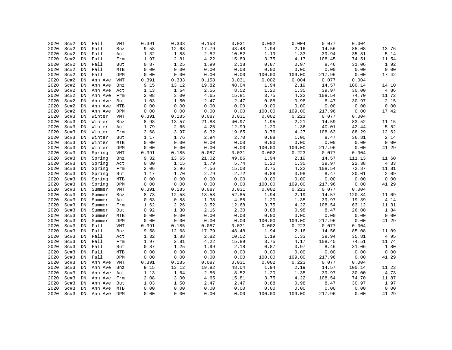| 2020 | Sc#2 | DN         | Fall    | <b>VMT</b> | 0.391 | 0.333 | 0.158 | 0.031 | 0.002  | 0.004  | 0.077    | 0.004  |                                 |
|------|------|------------|---------|------------|-------|-------|-------|-------|--------|--------|----------|--------|---------------------------------|
| 2020 | Sc#2 | ${\rm DN}$ | Fall    | Bnz        | 9.58  | 12.68 | 17.79 | 48.48 | 1.94   | 2.16   | 14.56    | 85.08  | 13.76                           |
| 2020 | Sc#2 | ${\rm DN}$ | Fall    | Act        | 1.32  | 1.88  | 2.82  | 10.52 | 1.19   | 1.33   | 39.94    | 35.81  | 5.14                            |
| 2020 | Sc#2 | DN         | Fall    | Frm        | 1.97  | 2.81  | 4.22  | 15.89 | 3.75   | 4.17   | 108.45   | 74.51  | 11.54                           |
| 2020 | Sc#2 | DN         | Fall    | But        | 0.87  | 1.25  | 1.99  | 2.18  | 0.87   | 0.97   | 8.46     | 31.06  | 1.92                            |
| 2020 | Sc#2 | DN         | Fall    | MTB        | 0.00  | 0.00  | 0.00  | 0.00  | 0.00   | 0.00   | 0.00     | 0.00   | 0.00                            |
| 2020 | Sc#2 | ${\rm DN}$ | Fall    | DPM        | 0.00  | 0.00  | 0.00  | 0.00  | 100.00 | 109.00 | 217.96   | 0.00   | 17.42                           |
| 2020 | Sc#2 | DN         | Ann Ave | VMT        | 0.391 | 0.333 | 0.158 | 0.031 | 0.002  | 0.004  | 0.077    | 0.004  |                                 |
| 2020 | Sc#2 | ${\rm DN}$ | Ann Ave | Bnz        | 9.15  | 13.12 | 19.82 | 48.04 | 1.94   | 2.19   | 14.57    | 100.14 | 14.10                           |
| 2020 | Sc#2 | ${\rm DN}$ | Ann Ave | Act        | 1.13  | 1.64  | 2.56  | 8.52  | 1.20   | 1.35   | 39.97    | 30.00  | 4.86                            |
| 2020 | Sc#2 | ${\rm DN}$ | Ann Ave | Frm        | 2.08  | 3.00  | 4.65  | 15.81 | 3.75   | 4.22   | 108.54   | 74.70  | 11.72                           |
| 2020 | Sc#2 | DN         | Ann Ave | But        | 1.03  | 1.50  | 2.47  | 2.47  | 0.88   | 0.98   | 8.47     | 30.97  | 2.15                            |
| 2020 | Sc#2 | DN         | Ann Ave | MTB        | 0.00  | 0.00  | 0.00  | 0.00  | 0.00   | 0.00   | 0.00     | 0.00   | 0.00                            |
| 2020 | Sc#2 | DN         | Ann Ave | DPM        | 0.00  | 0.00  | 0.00  | 0.00  | 100.00 | 109.00 | 217.96   | 0.00   | 17.42                           |
| 2020 | Sc#3 | ${\rm DN}$ | Winter  | VMT        | 0.391 | 0.185 | 0.087 | 0.031 | 0.002  | 0.223  | 0.077    | 0.004  |                                 |
| 2020 | Sc#3 | ${\rm DN}$ | Winter  | Bnz        | 8.98  | 13.57 | 21.88 | 40.97 | 1.95   | 2.21   | 14.59    | 83.52  | 11.15                           |
| 2020 | Sc#3 | ${\rm DN}$ | Winter  | Act        | 1.79  | 2.65  | 4.25  | 12.99 | 1.20   | 1.36   | 40.01    | 42.44  | 5.52                            |
| 2020 | Sc#3 | DN         | Winter  | Frm        | 2.68  | 3.97  | 6.32  | 19.65 | 3.76   | 4.27   | 108.63   | 88.29  | 12.62                           |
| 2020 | Sc#3 | ${\rm DN}$ | Winter  | But        | 1.17  | 1.76  | 2.94  | 2.70  | 0.88   | 1.00   | 8.47     | 36.81  | 2.14                            |
| 2020 | Sc#3 | ${\rm DN}$ | Winter  | MTB        | 0.00  | 0.00  | 0.00  | 0.00  | 0.00   | 0.00   | 0.00     | 0.00   | ${\bf 0}$ . ${\bf 0}$ ${\bf 0}$ |
| 2020 | Sc#3 | ${\rm DN}$ | Winter  | DPM        | 0.00  | 0.00  | 0.00  | 0.00  | 100.00 | 109.00 | 217.96   | 0.00   | 41.29                           |
| 2020 | Sc#3 | ${\rm DN}$ | Spring  | VMT        | 0.391 | 0.185 | 0.087 | 0.031 | 0.002  | 0.223  | 0.077    | 0.004  |                                 |
| 2020 | Sc#3 | ${\rm DN}$ | Spring  | Bnz        | 9.32  | 13.65 | 21.02 | 49.86 | 1.94   | 2.19   | 14.57    | 111.13 | 11.60                           |
| 2020 | Sc#3 | ${\rm DN}$ | Spring  | Act        | 0.80  | 1.15  | 1.79  | 5.74  | 1.20   | 1.35   | 39.97    | 22.38  | 4.33                            |
| 2020 | Sc#3 | ${\rm DN}$ | Spring  | Frm        | 2.06  | 2.96  | 4.56  | 15.00 | 3.75   | 4.22   | 108.54   | 72.87  | 11.81                           |
| 2020 | Sc#3 | ${\rm DN}$ | Spring  | But        | 1.17  | 1.70  | 2.79  | 2.72  | 0.88   | 0.98   | $8.47\,$ | 30.01  | 2.09                            |
| 2020 | Sc#3 | ${\rm DN}$ | Spring  | MTB        | 0.00  | 0.00  | 0.00  | 0.00  | 0.00   | 0.00   | 0.00     | 0.00   | 0.00                            |
| 2020 | Sc#3 | ${\rm DN}$ | Spring  | DPM        | 0.00  | 0.00  | 0.00  | 0.00  | 100.00 | 109.00 | 217.96   | 0.00   | 41.29                           |
| 2020 | Sc#3 | ${\rm DN}$ | Summer  | VMT        | 0.391 | 0.185 | 0.087 | 0.031 | 0.002  | 0.223  | 0.077    | 0.004  |                                 |
| 2020 | Sc#3 | ${\rm DN}$ | Summer  | Bnz        | 8.73  | 12.58 | 18.58 | 52.85 | 1.94   | 2.19   | 14.57    | 120.84 | 11.09                           |
| 2020 | Sc#3 | ${\rm DN}$ | Summer  | Act        | 0.63  | 0.88  | 1.38  | 4.85  | 1.20   | 1.35   | 39.97    | 19.39  | 4.14                            |
| 2020 | Sc#3 | ${\rm DN}$ | Summer  | Frm        | 1.62  | 2.26  | 3.52  | 12.68 | 3.75   | 4.22   | 108.54   | 63.12  | 11.31                           |
| 2020 | Sc#3 | ${\rm DN}$ | Summer  | But        | 0.92  | 1.30  | 2.16  | 2.30  | 0.88   | 0.98   | 8.47     | 26.00  | 1.84                            |
| 2020 | Sc#3 | DN         | Summer  | MTB        | 0.00  | 0.00  | 0.00  | 0.00  | 0.00   | 0.00   | 0.00     | 0.00   | 0.00                            |
| 2020 | Sc#3 | DN         | Summer  | DPM        | 0.00  | 0.00  | 0.00  | 0.00  | 100.00 | 109.00 | 217.96   | 0.00   | 41.29                           |
| 2020 | Sc#3 | DN         | Fall    | VMT        | 0.391 | 0.185 | 0.087 | 0.031 | 0.002  | 0.223  | 0.077    | 0.004  |                                 |
| 2020 | Sc#3 | ${\rm DN}$ | Fall    | Bnz        | 9.58  | 12.68 | 17.79 | 48.48 | 1.94   | 2.16   | 14.56    | 85.08  | 11.09                           |
| 2020 | Sc#3 | ${\rm DN}$ | Fall    | Act        | 1.32  | 1.88  | 2.82  | 10.52 | 1.19   | 1.33   | 39.94    | 35.81  | 4.95                            |
| 2020 | Sc#3 | ${\rm DN}$ | Fall    | Frm        | 1.97  | 2.81  | 4.22  | 15.89 | 3.75   | 4.17   | 108.45   | 74.51  | 11.74                           |
| 2020 | Sc#3 | DN         | Fall    | But        | 0.87  | 1.25  | 1.99  | 2.18  | 0.87   | 0.97   | $8.46\,$ | 31.06  | 1.80                            |
| 2020 | Sc#3 | ${\rm DN}$ | Fall    | MTB        | 0.00  | 0.00  | 0.00  | 0.00  | 0.00   | 0.00   | 0.00     | 0.00   | 0.00                            |
| 2020 | Sc#3 | ${\rm DN}$ | Fall    | DPM        | 0.00  | 0.00  | 0.00  | 0.00  | 100.00 | 109.00 | 217.96   | 0.00   | 41.29                           |
| 2020 | Sc#3 | ${\rm DN}$ | Ann Ave | VMT        | 0.391 | 0.185 | 0.087 | 0.031 | 0.002  | 0.223  | 0.077    | 0.004  |                                 |
| 2020 | Sc#3 | DN         | Ann Ave | Bnz        | 9.15  | 13.12 | 19.82 | 48.04 | 1.94   | 2.19   | 14.57    | 100.14 | 11.23                           |
| 2020 | Sc#3 | DN         | Ann Ave | Act        | 1.13  | 1.64  | 2.56  | 8.52  | 1.20   | 1.35   | 39.97    | 30.00  | 4.73                            |
| 2020 | Sc#3 | ${\rm DN}$ | Ann Ave | Frm        | 2.08  | 3.00  | 4.65  | 15.81 | 3.75   | 4.22   | 108.54   | 74.70  | 11.87                           |
| 2020 | Sc#3 | ${\rm DN}$ | Ann Ave | But        | 1.03  | 1.50  | 2.47  | 2.47  | 0.88   | 0.98   | 8.47     | 30.97  | 1.97                            |
| 2020 | Sc#3 | DN         | Ann Ave | MTB        | 0.00  | 0.00  | 0.00  | 0.00  | 0.00   | 0.00   | 0.00     | 0.00   | 0.00                            |
| 2020 | Sc#3 | ${\rm DN}$ | Ann Ave | DPM        | 0.00  | 0.00  | 0.00  | 0.00  | 100.00 | 109.00 | 217.96   | 0.00   | 41.29                           |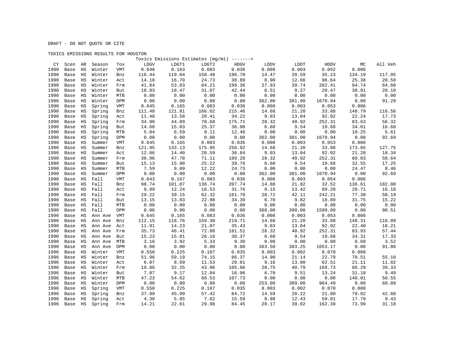### TOXICS EMISSIONS RESULTS FOR HOUSTON

|      |            |             |         |            |        |        | Toxics Emissions Estimates (mg/mi) -------> |        |        |        |         |        |         |
|------|------------|-------------|---------|------------|--------|--------|---------------------------------------------|--------|--------|--------|---------|--------|---------|
|      | CY<br>Scen | AR          | Season  | Tox        | LDGV   | LDGT1  | LDGT2                                       | HDGV   | LDDV   | LDDT   | HDDV    | МC     | All Veh |
| 1990 | Base       | $_{\rm HS}$ | Winter  | VMT        | 0.648  | 0.163  | 0.083                                       | 0.036  | 0.009  | 0.003  | 0.052   | 0.006  |         |
| 1990 | Base       | $_{\rm HS}$ | Winter  | Bnz        | 116.44 | 119.04 | 158.48                                      | 196.70 | 14.47  | 20.59  | 35.23   | 134.19 | 117.95  |
| 1990 | Base       | $_{\rm HS}$ | Winter  | Act        | 14.10  | 16.70  | 24.73                                       | 38.89  | 8.90   | 12.66  | 96.64   | 25.38  | 20.59   |
| 1990 | Base       | $_{\rm HS}$ | Winter  | Frm        | 41.84  | 53.83  | 84.21                                       | 199.36 | 27.93  | 39.74  | 262.41  | 94.74  | 64.60   |
| 1990 | Base       | $_{\rm HS}$ | Winter  | But        | 18.03  | 18.47  | 31.07                                       | 42.44  | 6.51   | 9.27   | 20.47   | 38.91  | 20.19   |
| 1990 | Base       | $_{\rm HS}$ | Winter  | MTB        | 0.00   | 0.00   | 0.00                                        | 0.00   | 0.00   | 0.00   | 0.00    | 0.00   | 0.00    |
| 1990 | Base       | HS          | Winter  | DPM        | 0.00   | 0.00   | 0.00                                        | 0.00   | 362.00 | 381.00 | 1670.94 | 0.00   | 91.29   |
| 1990 | Base       | $_{\rm HS}$ | Spring  | <b>VMT</b> | 0.645  | 0.165  | 0.083                                       | 0.036  | 0.008  | 0.003  | 0.053   | 0.006  |         |
| 1990 | Base       | HS          | Spring  | Bnz        | 111.48 | 121.81 | 166.02                                      | 215.46 | 14.68  | 21.20  | 33.88   | 148.79 | 116.56  |
| 1990 | Base       | $_{\rm HS}$ | Spring  | Act        | 11.48  | 13.58  | 20.41                                       | 34.22  | 9.03   | 13.04  | 92.92   | 22.24  | 17.73   |
| 1990 | Base       | $_{\rm HS}$ | Spring  | Frm        | 34.90  | 44.89  | 70.68                                       | 175.71 | 28.32  | 40.92  | 252.31  | 83.63  | 56.32   |
| 1990 | Base       | ΗS          | Spring  | But        | 14.60  | 15.03  | 25.37                                       | 36.90  | 6.60   | 9.54   | 19.68   | 34.01  | 16.68   |
| 1990 | Base       | $_{\rm HS}$ | Spring  | MTB        | 5.04   | 6.59   | 9.11                                        | 12.46  | 0.00   | 0.00   | 0.00    | 10.25  | 5.61    |
| 1990 | Base       | $_{\rm HS}$ | Spring  | DPM        | 0.00   | 0.00   | 0.00                                        | 0.00   | 362.00 | 381.00 | 1670.94 | 0.00   | 92.69   |
| 1990 | Base       | $_{\rm HS}$ | Summer  | VMT        | 0.645  | 0.165  | 0.083                                       | 0.036  | 0.008  | 0.003  | 0.053   | 0.006  |         |
| 1990 | Base       | HS          | Summer  | Bnz        | 121.95 | 133.13 | 175.95                                      | 258.92 | 14.68  | 21.20  | 33.88   | 173.65 | 127.75  |
| 1990 | Base       | HS          | Summer  | Act        | 12.06  | 14.40  | 20.59                                       | 36.84  | 9.03   | 13.04  | 92.92   | 21.28  | 18.34   |
| 1990 | Base       | $_{\rm HS}$ | Summer  | Frm        | 36.96  | 47.78  | 71.11                                       | 189.28 | 28.32  | 40.92  | 252.31  | 80.03  | 58.64   |
| 1990 | Base       | $_{\rm HS}$ | Summer  | But        | 15.13  | 15.90  | 25.22                                       | 39.76  | 6.60   | 9.54   | 19.68   | 32.55  | 17.25   |
| 1990 | Base       | HS          | Summer  | MTB        | 7.59   | 9.09   | 12.22                                       | 24.73  | 0.00   | 0.00   | 0.00    | 24.47  | 8.46    |
| 1990 | Base       | $_{\rm HS}$ | Summer  | DPM        | 0.00   | 0.00   | 0.00                                        | 0.00   | 362.00 | 381.00 | 1670.94 | 0.00   | 92.69   |
| 1990 | Base       | $_{\rm HS}$ | Fall    | <b>VMT</b> | 0.643  | 0.167  | 0.083                                       | 0.036  | 0.008  | 0.003  | 0.054   | 0.006  |         |
| 1990 | Base       | ΗS          | Fall    | Bnz        | 98.74  | 101.07 | 136.74                                      | 207.74 | 14.88  | 21.82  | 32.52   | 136.61 | 102.08  |
| 1990 | Base       | HS          | Fall    | Act        | 9.99   | 12.24  | 18.53                                       | 31.76  | 9.15   | 13.42  | 89.20   | 20.71  | 16.18   |
| 1990 | Base       | HS          | Fall    | Frm        | 29.22  | 39.15  | 62.32                                       | 161.70 | 28.72  | 42.11  | 242.21  | 77.30  | 50.19   |
| 1990 | Base       | HS          | Fall    | But        | 13.15  | 13.83  | 22.98                                       | 34.39  | 6.70   | 9.82   | 18.89   | 31.75  | 15.22   |
| 1990 | Base       | HS          | Fall    | MTB        | 0.00   | 0.00   | 0.00                                        | 0.00   | 0.00   | 0.00   | 0.00    | 0.00   | 0.00    |
| 1990 | Base       | ΗS          | Fall    | DPM        | 0.00   | 0.00   | 0.00                                        | 0.00   | 368.00 | 390.00 | 1599.89 | 0.00   | 90.51   |
| 1990 | Base       | HS          | Ann Ave | VMT        | 0.645  | 0.165  | 0.083                                       | 0.036  | 0.008  | 0.003  | 0.053   | 0.006  |         |
| 1990 | Base       | $_{\rm HS}$ | Ann Ave | Bnz        | 112.15 | 118.76 | 159.30                                      | 219.71 | 14.68  | 21.20  | 33.88   | 148.31 | 116.09  |
| 1990 | Base       | HS          | Ann Ave | Act        | 11.91  | 14.23  | 21.07                                       | 35.43  | 9.03   | 13.04  | 92.92   | 22.40  | 18.21   |
| 1990 | Base       | HS          | Ann Ave | Frm        | 35.73  | 46.41  | 72.08                                       | 181.51 | 28.32  | 40.92  | 252.31  | 83.93  | 57.44   |
| 1990 | Base       | $_{\rm HS}$ | Ann Ave | But        | 15.23  | 15.81  | 26.16                                       | 38.37  | 6.60   | 9.54   | 19.68   | 34.31  | 17.33   |
| 1990 | Base       | HS          | Ann Ave | MTB        | 3.16   | 3.92   | 5.33                                        | 9.30   | 0.00   | 0.00   | 0.00    | 8.68   | 3.52    |
| 1990 | Base       | $_{\rm HS}$ | Ann Ave | DPM        | 0.00   | 0.00   | 0.00                                        | 0.00   | 363.50 | 383.25 | 1653.17 | 0.00   | 91.80   |
| 1996 | Base       | $_{\rm HS}$ | Winter  | VMT        | 0.550  | 0.225  | 0.107                                       | 0.035  | 0.003  | 0.002  | 0.070   | 0.008  |         |
| 1996 | Base       | ΗS          | Winter  | Bnz        | 51.96  | 59.19  | 74.15                                       | 86.37  | 14.90  | 21.14  | 22.79   | 70.51  | 55.10   |
| 1996 | Base       | $_{\rm HS}$ | Winter  | Act        | 6.07   | 8.69   | 11.53                                       | 20.01  | 9.16   | 13.00  | 62.51   | 21.11  | 11.82   |
| 1996 | Base       | $_{\rm HS}$ | Winter  | Frm        | 19.86  | 32.25  | 43.96                                       | 105.96 | 28.75  | 40.79  | 169.73  | 86.29  | 39.33   |
| 1996 | Base       | HS          | Winter  | But        | 7.87   | 9.17   | 12.04                                       | 16.96  | 6.70   | 9.51   | 13.24   | 31.18  | 9.49    |
| 1996 | Base       | $_{\rm HS}$ | Winter  | MTB        | 47.23  | 54.62  | 68.53                                       | 107.73 | 0.00   | 0.00   | 0.00    | 148.01 | 50.55   |
| 1996 | Base       | $_{\rm HS}$ | Winter  | DPM        | 0.00   | 0.00   | 0.00                                        | 0.00   | 253.00 | 309.00 | 964.49  | 0.00   | 68.89   |
| 1996 | Base       | $_{\rm HS}$ | Spring  | VMT        | 0.550  | 0.225  | 0.107                                       | 0.035  | 0.003  | 0.002  | 0.070   | 0.008  |         |
| 1996 | Base       | $_{\rm HS}$ | Spring  | Bnz        | 37.99  | 45.99  | 57.42                                       | 84.72  | 14.59  | 20.22  | 21.80   | 79.82  | 42.60   |
| 1996 | Base       | HS          | Spring  | Act        | 4.30   | 5.85   | 7.62                                        | 15.59  | 8.98   | 12.43  | 59.81   | 17.79  | 9.43    |
| 1996 | Base       | $_{\rm HS}$ | Spring  | Frm        | 14.21  | 22.61  | 29.98                                       | 84.45  | 28.17  | 39.02  | 162.39  | 73.99  | 31.18   |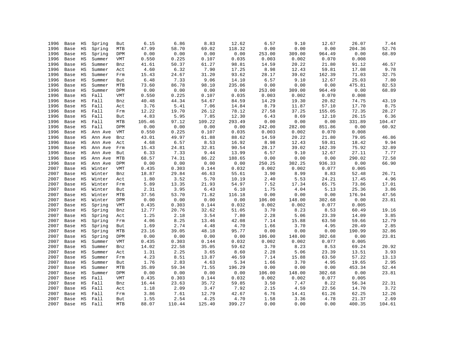| 1996 | Base | ΗS          | Spring  | But        | 6.15   | 6.86   | 8.83   | 12.62          | 6.57   | 9.10   | 12.67  | 26.07  | 7.44           |
|------|------|-------------|---------|------------|--------|--------|--------|----------------|--------|--------|--------|--------|----------------|
| 1996 | Base | $_{\rm HS}$ | Spring  | MTB        | 47.99  | 58.70  | 69.02  | 118.32         | 0.00   | 0.00   | 0.00   | 204.36 | 52.76          |
| 1996 | Base | $_{\rm HS}$ | Spring  | DPM        | 0.00   | 0.00   | 0.00   | 0.00           | 253.00 | 309.00 | 964.49 | 0.00   | 68.89          |
| 1996 | Base | $_{\rm HS}$ | Summer  | VMT        | 0.550  | 0.225  | 0.107  | 0.035          | 0.003  | 0.002  | 0.070  | 0.008  |                |
| 1996 | Base | $_{\rm HS}$ | Summer  | Bnz        | 41.61  | 50.37  | 61.27  | 98.81          | 14.59  | 20.22  | 21.80  | 91.12  | 46.57          |
| 1996 | Base | $_{\rm HS}$ | Summer  | Act        | 4.60   | 6.32   | 7.90   | 17.25          | 8.98   | 12.43  | 59.81  | 17.08  | 9.78           |
| 1996 | Base | HS          | Summer  | Frm        | 15.43  | 24.67  | 31.20  | 93.62          | 28.17  | 39.02  | 162.39 | 71.03  | 32.75          |
| 1996 | Base | $_{\rm HS}$ | Summer  | But        | 6.48   | 7.33   | 9.06   | 14.10          | 6.57   | 9.10   | 12.67  | 25.03  | 7.80           |
| 1996 | Base | $_{\rm HS}$ | Summer  | MTB        | 73.60  | 86.78  | 98.10  | 235.06         | 0.00   | 0.00   | 0.00   | 475.81 | 82.53          |
| 1996 | Base | HS          | Summer  | DPM        | 0.00   | 0.00   | 0.00   | 0.00           | 253.00 | 309.00 | 964.49 | 0.00   | 68.89          |
| 1996 | Base | HS          | Fall    | VMT        | 0.550  | 0.225  | 0.107  | 0.035          | 0.003  | 0.002  | 0.070  | 0.008  |                |
| 1996 | Base | $_{\rm HS}$ | Fall    | Bnz        | 40.48  | 44.34  | 54.67  | 84.59          | 14.29  | 19.30  | 20.82  | 74.75  | 43.19          |
| 1996 | Base | $_{\rm HS}$ | Fall    | Act        | 3.76   | 5.41   | 7.06   | 14.84          | 8.79   | 11.87  | 57.10  | 17.70  | 8.75           |
| 1996 | Base | HS          | Fall    | Frm        | 12.22  | 19.70  | 26.12  | 78.12          | 27.58  | 37.25  | 155.05 | 72.35  | 28.27          |
| 1996 | Base | HS          | Fall    | But        | 4.83   | 5.95   | 7.85   | 12.30          | 6.43   | 8.69   | 12.10  | 26.15  | 6.36           |
| 1996 | Base | HS          | Fall    | MTB        | 105.46 | 97.12  | 109.22 | 293.49         | 0.00   | 0.00   | 0.00   | 331.89 | 104.47         |
| 1996 | Base | $_{\rm HS}$ | Fall    | DPM        | 0.00   | 0.00   | 0.00   | 0.00           | 242.00 | 282.00 | 851.86 | 0.00   | 60.92          |
| 1996 | Base | HS          | Ann Ave | VMT        | 0.550  | 0.225  | 0.107  | 0.035          | 0.003  | 0.002  | 0.070  | 0.008  |                |
| 1996 | Base | $_{\rm HS}$ | Ann Ave | Bnz        | 43.01  | 49.97  | 61.88  | 88.62          | 14.59  | 20.22  | 21.80  | 79.05  | 46.86          |
| 1996 | Base | HS          | Ann Ave | Act        | 4.68   | 6.57   | 8.53   | 16.92          | 8.98   | 12.43  | 59.81  | 18.42  | 9.94           |
| 1996 | Base | $_{\rm HS}$ | Ann Ave | Frm        | 15.43  | 24.81  | 32.81  | 90.54          | 28.17  | 39.02  | 162.39 | 75.92  | 32.89          |
| 1996 | Base | $_{\rm HS}$ | Ann Ave | But        | 6.33   | 7.33   | 9.44   | 13.99          | 6.57   | 9.10   | 12.67  | 27.11  | 7.77           |
| 1996 | Base | $_{\rm HS}$ | Ann Ave | <b>MTB</b> | 68.57  | 74.31  | 86.22  |                | 0.00   | 0.00   | 0.00   | 290.02 |                |
| 1996 | Base | HS          |         | DPM        | 0.00   | 0.00   | 0.00   | 188.65<br>0.00 | 250.25 | 302.25 | 936.33 | 0.00   | 72.58<br>66.90 |
|      |      |             | Ann Ave |            |        |        |        |                |        | 0.002  |        |        |                |
| 2007 | Base | $_{\rm HS}$ | Winter  | VMT        | 0.435  | 0.303  | 0.144  | 0.032          | 0.002  |        | 0.077  | 0.005  |                |
| 2007 | Base | $_{\rm HS}$ | Winter  | Bnz        | 18.87  | 29.84  | 46.63  | 55.61          | 3.90   | 8.99   | 8.83   | 52.48  | 26.71          |
| 2007 | Base | HS          | Winter  | Act        | 1.80   | 3.52   | 5.70   | 10.19          | 2.40   | 5.53   | 24.21  | 17.45  | 4.96           |
| 2007 | Base | HS          | Winter  | Frm        | 5.89   | 13.35  | 21.93  | 54.97          | 7.52   | 17.34  | 65.75  | 73.86  | 17.01          |
| 2007 | Base | HS          | Winter  | But        | 2.31   | 3.95   | 6.43   | 6.10           | 1.75   | 4.04   | 5.13   | 25.36  | 3.86           |
| 2007 | Base | $_{\rm HS}$ | Winter  | MTB        | 37.56  | 53.70  | 71.82  | 116.18         | 0.00   | 0.00   | 0.00   | 176.94 | 47.56          |
| 2007 | Base | $_{\rm HS}$ | Winter  | DPM        | 0.00   | 0.00   | 0.00   | 0.00           | 106.00 | 148.00 | 302.68 | 0.00   | 23.81          |
| 2007 | Base | $_{\rm HS}$ | Spring  | VMT        | 0.435  | 0.303  | 0.144  | 0.032          | 0.002  | 0.002  | 0.077  | 0.005  |                |
| 2007 | Base | $_{\rm HS}$ | Spring  | Bnz        | 12.77  | 20.76  | 32.62  | 51.05          | 3.70   | 8.23   | 8.53   | 60.49  | 19.16          |
| 2007 | Base | HS          | Spring  | Act        | 1.25   | 2.18   | 3.54   | 7.80           | 2.28   | 5.06   | 23.39  | 14.09  | 3.85           |
| 2007 | Base | $_{\rm HS}$ | Spring  | Frm        | 4.06   | 8.25   | 13.46  | 42.08          | 7.14   | 15.88  | 63.50  | 59.66  | 12.79          |
| 2007 | Base | $_{\rm HS}$ | Spring  | But        | 1.69   | 2.74   | 4.48   | 4.70           | 1.66   | 3.70   | 4.95   | 20.49  | 2.85           |
| 2007 | Base | $_{\rm HS}$ | Spring  | MTB        | 23.16  | 39.05  | 48.18  | 95.77          | 0.00   | 0.00   | 0.00   | 190.99 | 32.86          |
| 2007 | Base | HS          | Spring  | DPM        | 0.00   | 0.00   | 0.00   | 0.00           | 106.00 | 148.00 | 302.68 | 0.00   | 23.81          |
| 2007 | Base | HS          | Summer  | VMT        | 0.435  | 0.303  | 0.144  | 0.032          | 0.002  | 0.002  | 0.077  | 0.005  |                |
| 2007 | Base | $_{\rm HS}$ | Summer  | Bnz        | 14.02  | 22.58  | 35.05  | 59.62          | 3.70   | 8.23   | 8.53   | 69.24  | 20.92          |
| 2007 | Base | $_{\rm HS}$ | Summer  | Act        | 1.31   | 2.25   | 3.65   | 8.60           | 2.28   | 5.06   | 23.39  | 13.51  | 3.93           |
| 2007 | Base | $_{\rm HS}$ | Summer  | Frm        | 4.23   | 8.51   | 13.87  | 46.59          | 7.14   | 15.88  | 63.50  | 57.22  | 13.13          |
| 2007 | Base | HS          | Summer  | But        | 1.76   | 2.83   | 4.63   | 5.34           | 1.66   | 3.70   | 4.95   | 19.65  | 2.95           |
| 2007 | Base | HS          | Summer  | <b>MTB</b> | 35.89  | 59.34  | 71.55  | 196.29         | 0.00   | 0.00   | 0.00   | 453.34 | 52.44          |
| 2007 | Base | $_{\rm HS}$ | Summer  | DPM        | 0.00   | 0.00   | 0.00   | 0.00           | 106.00 | 148.00 | 302.68 | 0.00   | 23.81          |
| 2007 | Base | $_{\rm HS}$ | Fall    | VMT        | 0.435  | 0.303  | 0.144  | 0.032          | 0.002  | 0.002  | 0.077  | 0.005  |                |
| 2007 | Base | HS          | Fall    | Bnz        | 16.44  | 23.63  | 35.72  | 59.85          | 3.50   | 7.47   | 8.22   | 56.34  | 22.31          |
| 2007 | Base | ΗS          | Fall    | Act        | 1.18   | 2.09   | 3.47   | 7.92           | 2.15   | 4.59   | 22.56  | 14.70  | 3.72           |
| 2007 | Base | HS          | Fall    | Frm        | 3.86   | 7.61   | 12.79  | 42.67          | 6.76   | 14.41  | 61.26  | 62.25  | 12.26          |
| 2007 | Base | $_{\rm HS}$ | Fall    | But        | 1.55   | 2.54   | 4.25   | 4.70           | 1.58   | 3.36   | 4.78   | 21.37  | 2.69           |
| 2007 | Base | HS          | Fall    | <b>MTB</b> | 88.07  | 110.44 | 125.40 | 399.27         | 0.00   | 0.00   | 0.00   | 400.35 | 104.61         |
|      |      |             |         |            |        |        |        |                |        |        |        |        |                |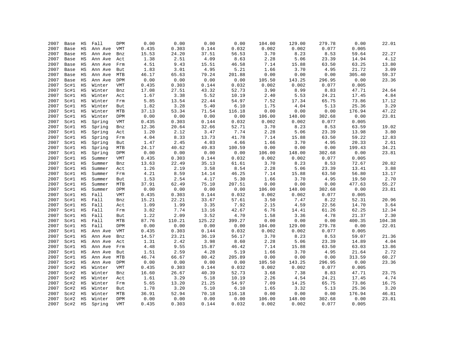| 2007 | Base | HS          | Fall    | DPM        | 0.00  | 0.00         | 0.00          | 0.00          | 104.00 | 129.00        | 279.78        | 0.00           | 22.01         |
|------|------|-------------|---------|------------|-------|--------------|---------------|---------------|--------|---------------|---------------|----------------|---------------|
| 2007 | Base | $_{\rm HS}$ | Ann Ave | VMT        | 0.435 | 0.303        | 0.144         | 0.032         | 0.002  | 0.002         | 0.077         | 0.005          |               |
| 2007 | Base | $_{\rm HS}$ | Ann Ave | Bnz        | 15.53 | 24.20        | 37.51         | 56.53         | 3.70   | 8.23          | 8.53          | 59.64          | 22.27         |
| 2007 | Base | $_{\rm HS}$ | Ann Ave | Act        | 1.38  | 2.51         | 4.09          | 8.63          | 2.28   | 5.06          | 23.39         | 14.94          | 4.12          |
| 2007 | Base | HS          | Ann Ave | Frm        | 4.51  | 9.43         | 15.51         | 46.58         | 7.14   | 15.88         | 63.50         | 63.25          | 13.80         |
| 2007 | Base | $_{\rm HS}$ | Ann Ave | But        | 1.83  | 3.01         | 4.95          | 5.21          | 1.66   | 3.70          | 4.95          | 21.72          | 3.09          |
| 2007 | Base | $_{\rm HS}$ | Ann Ave | MTB        | 46.17 | 65.63        | 79.24         | 201.88        | 0.00   | 0.00          | 0.00          | 305.40         | 59.37         |
| 2007 | Base | HS          | Ann Ave | DPM        | 0.00  | 0.00         | 0.00          | 0.00          | 105.50 | 143.25        | 296.95        | 0.00           | 23.36         |
| 2007 | Sc#1 | HS          | Winter  | <b>VMT</b> | 0.435 | 0.303        | 0.144         | 0.032         | 0.002  | 0.002         | 0.077         | 0.005          |               |
| 2007 | Sc#1 | $_{\rm HS}$ | Winter  | Bnz        | 17.08 | 27.51        | 43.32         | 52.73         | 3.90   | 8.99          | 8.83          | 47.71          | 24.64         |
| 2007 | Sc#1 | $_{\rm HS}$ | Winter  | Act        | 1.67  | 3.38         | 5.52          | 10.19         | 2.40   | 5.53          | 24.21         | 17.45          | 4.84          |
| 2007 | Sc#1 | HS          | Winter  | Frm        | 5.85  | 13.54        | 22.44         | 54.97         | 7.52   | 17.34         | 65.75         | 73.86          | 17.12         |
| 2007 | Sc#1 | $_{\rm HS}$ | Winter  | But        | 1.82  | 3.28         | 5.40          | 6.10          | 1.75   | 4.04          | 5.13          | 25.36          | 3.29          |
| 2007 | Sc#1 | $_{\rm HS}$ | Winter  | MTB        | 37.13 | 53.34        | 71.54         | 116.18        | 0.00   | 0.00          | 0.00          | 176.94         | 47.22         |
| 2007 | Sc#1 | $_{\rm HS}$ | Winter  | DPM        | 0.00  | 0.00         | 0.00          | 0.00          | 106.00 | 148.00        | 302.68        | 0.00           | 23.81         |
| 2007 | Sc#1 | $_{\rm HS}$ | Spring  | <b>VMT</b> | 0.435 | 0.303        | 0.144         | 0.032         | 0.002  | 0.002         | 0.077         | 0.005          |               |
| 2007 | Sc#1 | $_{\rm HS}$ | Spring  | Bnz        | 12.36 | 20.64        | 32.66         | 52.71         | 3.70   | 8.23          | 8.53          | 63.59          | 19.02         |
| 2007 | Sc#1 | $_{\rm HS}$ | Spring  | Act        | 1.20  | 2.12         | 3.47          | 7.74          | 2.28   | 5.06          | 23.39         | 13.98          | 3.80          |
|      |      |             |         |            |       |              |               |               |        |               |               |                |               |
| 2007 | Sc#1 | $_{\rm HS}$ | Spring  | Frm        | 4.04  | 8.33<br>2.45 | 13.73<br>4.03 | 41.78<br>4.66 | 7.14   | 15.88<br>3.70 | 63.50<br>4.95 | 59.22<br>20.33 | 12.83<br>2.61 |
| 2007 | Sc#1 | $_{\rm HS}$ | Spring  | But        | 1.47  |              | 49.83         |               | 1.66   |               |               |                |               |
| 2007 | Sc#1 | HS          | Spring  | MTB        | 24.17 | 40.62        |               | 100.59        | 0.00   | 0.00          | 0.00          | 199.43         | 34.21         |
| 2007 | Sc#1 | $_{\rm HS}$ | Spring  | DPM        | 0.00  | 0.00         | 0.00          | 0.00          | 106.00 | 148.00        | 302.68        | 0.00           | 23.81         |
| 2007 | Sc#1 | $_{\rm HS}$ | Summer  | VMT        | 0.435 | 0.303        | 0.144         | 0.032         | 0.002  | 0.002         | 0.077         | 0.005          |               |
| 2007 | Sc#1 | $_{\rm HS}$ | Summer  | Bnz        | 13.63 | 22.49        | 35.13         | 61.61         | 3.70   | 8.23          | 8.53          | 72.67          | 20.82         |
| 2007 | Sc#1 | $_{\rm HS}$ | Summer  | Act        | 1.26  | 2.19         | 3.58          | 8.54          | 2.28   | 5.06          | 23.39         | 13.41          | 3.88          |
| 2007 | Sc#1 | $_{\rm HS}$ | Summer  | Frm        | 4.21  | 8.59         | 14.14         | 46.25         | 7.14   | 15.88         | 63.50         | 56.80          | 13.17         |
| 2007 | Sc#1 | HS          | Summer  | But        | 1.53  | 2.54         | 4.17          | 5.30          | 1.66   | 3.70          | 4.95          | 19.50          | 2.70          |
| 2007 | Sc#1 | HS          | Summer  | <b>MTB</b> | 37.91 | 62.49        | 75.10         | 207.51        | 0.00   | 0.00          | 0.00          | 477.63         | 55.27         |
| 2007 | Sc#1 | HS          | Summer  | DPM        | 0.00  | 0.00         | 0.00          | 0.00          | 106.00 | 148.00        | 302.68        | 0.00           | 23.81         |
| 2007 | Sc#1 | $_{\rm HS}$ | Fall    | <b>VMT</b> | 0.435 | 0.303        | 0.144         | 0.032         | 0.002  | 0.002         | 0.077         | 0.005          |               |
| 2007 | Sc#1 | $_{\rm HS}$ | Fall    | Bnz        | 15.21 | 22.21        | 33.67         | 57.61         | 3.50   | 7.47          | 8.22          | 52.31          | 20.96         |
| 2007 | Sc#1 | HS          | Fall    | Act        | 1.09  | 1.99         | 3.35          | 7.92          | 2.15   | 4.59          | 22.56         | 14.70          | 3.64          |
| 2007 | Sc#1 | HS          | Fall    | Frm        | 3.82  | 7.74         | 13.16         | 42.67         | 6.76   | 14.41         | 61.26         | 62.25          | 12.34         |
| 2007 | Sc#1 | $_{\rm HS}$ | Fall    | But        | 1.22  | 2.09         | 3.52          | 4.70          | 1.58   | 3.36          | 4.78          | 21.37          | 2.30          |
| 2007 | Sc#1 | $_{\rm HS}$ | Fall    | MTB        | 87.76 | 110.21       | 125.22        | 399.27        | 0.00   | 0.00          | 0.00          | 400.35         | 104.38        |
| 2007 | Sc#1 | $_{\rm HS}$ | Fall    | DPM        | 0.00  | 0.00         | 0.00          | 0.00          | 104.00 | 129.00        | 279.78        | 0.00           | 22.01         |
| 2007 | Sc#1 | HS          | Ann Ave | VMT        | 0.435 | 0.303        | 0.144         | 0.032         | 0.002  | 0.002         | 0.077         | 0.005          |               |
| 2007 | Sc#1 | $_{\rm HS}$ | Ann Ave | Bnz        | 14.57 | 23.21        | 36.19         | 56.17         | 3.70   | 8.23          | 8.53          | 59.07          | 21.36         |
| 2007 | Sc#1 | $_{\rm HS}$ | Ann Ave | Act        | 1.31  | 2.42         | 3.98          | 8.60          | 2.28   | 5.06          | 23.39         | 14.89          | 4.04          |
| 2007 | Sc#1 | $_{\rm HS}$ | Ann Ave | Frm        | 4.48  | 9.55         | 15.87         | 46.42         | 7.14   | 15.88         | 63.50         | 63.03          | 13.86         |
| 2007 | Sc#1 | HS          | Ann Ave | But        | 1.51  | 2.59         | 4.28          | 5.19          | 1.66   | 3.70          | 4.95          | 21.64          | 2.72          |
| 2007 | Sc#1 | $_{\rm HS}$ | Ann Ave | MTB        | 46.74 | 66.67        | 80.42         | 205.89        | 0.00   | 0.00          | 0.00          | 313.59         | 60.27         |
| 2007 | Sc#1 | $_{\rm HS}$ | Ann Ave | DPM        | 0.00  | 0.00         | 0.00          | 0.00          | 105.50 | 143.25        | 296.95        | 0.00           | 23.36         |
| 2007 | Sc#2 | $_{\rm HS}$ | Winter  | <b>VMT</b> | 0.435 | 0.303        | 0.144         | 0.032         | 0.002  | 0.002         | 0.077         | 0.005          |               |
| 2007 | Sc#2 | $_{\rm HS}$ | Winter  | Bnz        | 16.60 | 26.67        | 40.39         | 52.73         | 3.68   | 7.38          | 8.83          | 47.71          | 23.75         |
| 2007 | Sc#2 | $_{\rm HS}$ | Winter  | Act        | 1.61  | 3.29         | 5.18          | 10.19         | 2.26   | 4.54          | 24.21         | 17.45          | 4.74          |
| 2007 | Sc#2 | $_{\rm HS}$ | Winter  | Frm        | 5.65  | 13.20        | 21.25         | 54.97         | 7.09   | 14.25         | 65.75         | 73.86          | 16.75         |
| 2007 | Sc#2 | $_{\rm HS}$ | Winter  | But        | 1.78  | 3.20         | 5.10          | 6.10          | 1.65   | 3.32          | 5.13          | 25.36          | 3.20          |
| 2007 | Sc#2 | $_{\rm HS}$ | Winter  | <b>MTB</b> | 36.91 | 52.94        | 70.18         | 116.18        | 0.00   | 0.00          | 0.00          | 176.94         | 46.81         |
| 2007 | Sc#2 | $_{\rm HS}$ | Winter  | DPM        | 0.00  | 0.00         | 0.00          | 0.00          | 106.00 | 148.00        | 302.68        | 0.00           | 23.81         |
| 2007 | Sc#2 | $_{\rm HS}$ | Spring  | <b>VMT</b> | 0.435 | 0.303        | 0.144         | 0.032         | 0.002  | 0.002         | 0.077         | 0.005          |               |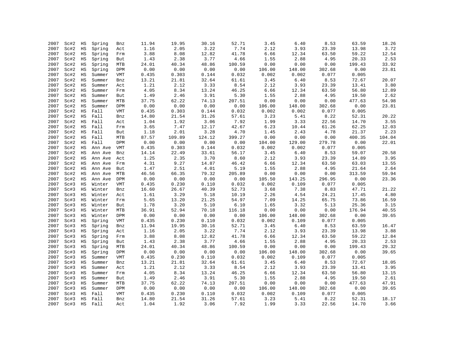| 2007 | Sc#2 | ΗS          | Spring  | Bnz        | 11.94 | 19.95  | 30.16  | 52.71    | 3.45   | 6.40   | 8.53   | 63.59  | 18.26  |
|------|------|-------------|---------|------------|-------|--------|--------|----------|--------|--------|--------|--------|--------|
| 2007 | Sc#2 | $_{\rm HS}$ | Spring  | Act        | 1.16  | 2.05   | 3.22   | 7.74     | 2.12   | 3.93   | 23.39  | 13.98  | 3.72   |
| 2007 | Sc#2 | $_{\rm HS}$ | Spring  | Frm        | 3.88  | 8.08   | 12.82  | 41.78    | 6.66   | 12.34  | 63.50  | 59.22  | 12.54  |
| 2007 | Sc#2 | $_{\rm HS}$ | Spring  | But        | 1.43  | 2.38   | 3.77   | 4.66     | 1.55   | 2.88   | 4.95   | 20.33  | 2.53   |
| 2007 | Sc#2 | $_{\rm HS}$ | Spring  | MTB        | 24.01 | 40.34  | 48.86  | 100.59   | 0.00   | 0.00   | 0.00   | 199.43 | 33.92  |
| 2007 | Sc#2 | $_{\rm HS}$ | Spring  | DPM        | 0.00  | 0.00   | 0.00   | 0.00     | 106.00 | 148.00 | 302.68 | 0.00   | 23.81  |
| 2007 | Sc#2 | $_{\rm HS}$ | Summer  | VMT        | 0.435 | 0.303  | 0.144  | 0.032    | 0.002  | 0.002  | 0.077  | 0.005  |        |
| 2007 | Sc#2 | HS          | Summer  | Bnz        | 13.21 | 21.81  | 32.64  | 61.61    | 3.45   | 6.40   | 8.53   | 72.67  | 20.07  |
| 2007 | Sc#2 | $_{\rm HS}$ | Summer  |            | 1.21  | 2.12   | 3.33   | $8\,.54$ | 2.12   | 3.93   | 23.39  | 13.41  | 3.80   |
| 2007 | Sc#2 | $_{\rm HS}$ | Summer  | Act        | 4.05  | 8.34   | 13.24  | 46.25    | 6.66   | 12.34  | 63.50  | 56.80  | 12.89  |
| 2007 | Sc#2 | $_{\rm HS}$ |         | Frm        | 1.49  | 2.46   | 3.91   | 5.30     | 1.55   | 2.88   | 4.95   | 19.50  | 2.62   |
| 2007 | Sc#2 |             | Summer  | But        | 37.75 | 62.22  | 74.13  |          | 0.00   | 0.00   | 0.00   | 477.63 |        |
|      |      | $_{\rm HS}$ | Summer  | <b>MTB</b> |       |        |        | 207.51   |        |        |        |        | 54.98  |
| 2007 | Sc#2 | $_{\rm HS}$ | Summer  | DPM        | 0.00  | 0.00   | 0.00   | 0.00     | 106.00 | 148.00 | 302.68 | 0.00   | 23.81  |
| 2007 | Sc#2 | $_{\rm HS}$ | Fall    | <b>VMT</b> | 0.435 | 0.303  | 0.144  | 0.032    | 0.002  | 0.002  | 0.077  | 0.005  |        |
| 2007 | Sc#2 | $_{\rm HS}$ | Fall    | Bnz        | 14.80 | 21.54  | 31.26  | 57.61    | 3.23   | 5.41   | 8.22   | 52.31  | 20.22  |
| 2007 | Sc#2 | $_{\rm HS}$ | Fall    | Act        | 1.04  | 1.92   | 3.06   | 7.92     | 1.99   | 3.33   | 22.56  | 14.70  | 3.55   |
| 2007 | Sc#2 | $_{\rm HS}$ | Fall    | Frm        | 3.65  | 7.47   | 12.17  | 42.67    | 6.23   | 10.44  | 61.26  | 62.25  | 12.03  |
| 2007 | Sc#2 | $_{\rm HS}$ | Fall    | But        | 1.18  | 2.01   | 3.28   | 4.70     | 1.45   | 2.43   | 4.78   | 21.37  | 2.23   |
| 2007 | Sc#2 | $_{\rm HS}$ | Fall    | MTB        | 87.57 | 109.89 | 124.12 | 399.27   | 0.00   | 0.00   | 0.00   | 400.35 | 104.04 |
| 2007 | Sc#2 | $_{\rm HS}$ | Fall    | DPM        | 0.00  | 0.00   | 0.00   | 0.00     | 104.00 | 129.00 | 279.78 | 0.00   | 22.01  |
| 2007 | Sc#2 | $_{\rm HS}$ | Ann Ave | VMT        | 0.435 | 0.303  | 0.144  | 0.032    | 0.002  | 0.002  | 0.077  | 0.005  |        |
| 2007 | Sc#2 | HS          | Ann Ave | Bnz        | 14.14 | 22.49  | 33.61  | 56.17    | 3.45   | 6.40   | 8.53   | 59.07  | 20.58  |
| 2007 | Sc#2 | $_{\rm HS}$ | Ann Ave | Act        | 1.25  | 2.35   | 3.70   | 8.60     | 2.12   | 3.93   | 23.39  | 14.89  | 3.95   |
| 2007 | Sc#2 | $_{\rm HS}$ | Ann Ave | Frm        | 4.31  | 9.27   | 14.87  | 46.42    | 6.66   | 12.34  | 63.50  | 63.03  | 13.55  |
| 2007 | Sc#2 | $_{\rm HS}$ | Ann Ave | But        | 1.47  | 2.51   | 4.01   | 5.19     | 1.55   | 2.88   | 4.95   | 21.64  | 2.64   |
| 2007 | Sc#2 | $_{\rm HS}$ | Ann Ave | MTB        | 46.56 | 66.35  | 79.32  | 205.89   | 0.00   | 0.00   | 0.00   | 313.59 | 59.94  |
| 2007 | Sc#2 | HS          | Ann Ave | DPM        | 0.00  | 0.00   | 0.00   | 0.00     | 105.50 | 143.25 | 296.95 | 0.00   | 23.36  |
| 2007 | Sc#3 | $_{\rm HS}$ | Winter  | VMT        | 0.435 | 0.230  | 0.110  | 0.032    | 0.002  | 0.109  | 0.077  | 0.005  |        |
| 2007 | Sc#3 | $_{\rm HS}$ | Winter  | Bnz        | 16.60 | 26.67  | 40.39  | 52.73    | 3.68   | 7.38   | 8.83   | 47.71  | 21.22  |
| 2007 | Sc#3 | $_{\rm HS}$ | Winter  | Act        | 1.61  | 3.29   | 5.18   | 10.19    | 2.26   | 4.54   | 24.21  | 17.45  | 4.80   |
| 2007 | Sc#3 | $_{\rm HS}$ | Winter  | Frm        | 5.65  | 13.20  | 21.25  | 54.97    | 7.09   | 14.25  | 65.75  | 73.86  | 16.59  |
| 2007 | Sc#3 | $_{\rm HS}$ | Winter  | But        | 1.78  | 3.20   | 5.10   | 6.10     | 1.65   | 3.32   | 5.13   | 25.36  | 3.15   |
| 2007 | Sc#3 | $_{\rm HS}$ | Winter  | MTB        | 36.91 | 52.94  | 70.18  | 116.18   | 0.00   | 0.00   | 0.00   | 176.94 | 40.55  |
| 2007 | Sc#3 | $_{\rm HS}$ | Winter  | DPM        | 0.00  | 0.00   | 0.00   | 0.00     | 106.00 | 148.00 | 302.68 | 0.00   | 39.65  |
| 2007 | Sc#3 | $_{\rm HS}$ | Spring  | <b>VMT</b> | 0.435 | 0.230  | 0.110  | 0.032    | 0.002  | 0.109  | 0.077  | 0.005  |        |
| 2007 | Sc#3 | $_{\rm HS}$ | Spring  | Bnz        | 11.94 | 19.95  | 30.16  | 52.71    | 3.45   | 6.40   | 8.53   | 63.59  | 16.47  |
| 2007 | Sc#3 | $_{\rm HS}$ | Spring  | Act        | 1.16  | 2.05   | 3.22   | 7.74     | 2.12   | 3.93   | 23.39  | 13.98  | 3.88   |
| 2007 | Sc#3 | $_{\rm HS}$ | Spring  | Frm        | 3.88  | 8.08   | 12.82  | 41.78    | 6.66   | 12.34  | 63.50  | 59.22  | 12.84  |
| 2007 | Sc#3 | $_{\rm HS}$ | Spring  | But        | 1.43  | 2.38   | 3.77   | 4.66     | 1.55   | 2.88   | 4.95   | 20.33  | 2.53   |
| 2007 | Sc#3 | $_{\rm HS}$ | Spring  | MTB        | 24.01 | 40.34  | 48.86  | 100.59   | 0.00   | 0.00   | 0.00   | 199.43 | 29.32  |
| 2007 | Sc#3 | $_{\rm HS}$ | Spring  | DPM        | 0.00  | 0.00   | 0.00   | 0.00     | 106.00 | 148.00 | 302.68 | 0.00   | 39.65  |
| 2007 | Sc#3 | $_{\rm HS}$ | Summer  | VMT        | 0.435 | 0.230  | 0.110  | 0.032    | 0.002  | 0.109  | 0.077  | 0.005  |        |
| 2007 | Sc#3 | $_{\rm HS}$ | Summer  | Bnz        | 13.21 | 21.81  | 32.64  | 61.61    | 3.45   | 6.40   | 8.53   | 72.67  | 18.05  |
| 2007 | Sc#3 | $_{\rm HS}$ | Summer  | Act        | 1.21  | 2.12   | 3.33   | 8.54     | 2.12   | 3.93   | 23.39  | 13.41  | 3.95   |
| 2007 | Sc#3 | $_{\rm HS}$ | Summer  | Frm        | 4.05  | 8.34   | 13.24  | 46.25    | 6.66   | 12.34  | 63.50  | 56.80  | 13.15  |
| 2007 | Sc#3 | $_{\rm HS}$ | Summer  | But        | 1.49  | 2.46   | 3.91   | 5.30     | 1.55   | 2.88   | 4.95   | 19.50  | 2.61   |
| 2007 | Sc#3 | $_{\rm HS}$ | Summer  | MTB        | 37.75 | 62.22  | 74.13  | 207.51   | 0.00   | 0.00   | 0.00   | 477.63 | 47.91  |
| 2007 | Sc#3 | $_{\rm HS}$ | Summer  | DPM        | 0.00  | 0.00   | 0.00   | 0.00     | 106.00 | 148.00 | 302.68 | 0.00   | 39.65  |
| 2007 | Sc#3 | $_{\rm HS}$ | Fall    | VMT        | 0.435 | 0.230  | 0.110  | 0.032    | 0.002  | 0.109  | 0.077  | 0.005  |        |
| 2007 | Sc#3 | $_{\rm HS}$ | Fall    | Bnz        | 14.80 | 21.54  | 31.26  | 57.61    | 3.23   | 5.41   | 8.22   | 52.31  | 18.17  |
| 2007 | Sc#3 | HS          | Fall    | Act        | 1.04  | 1.92   | 3.06   | 7.92     | 1.99   | 3.33   | 22.56  | 14.70  | 3.66   |
|      |      |             |         |            |       |        |        |          |        |        |        |        |        |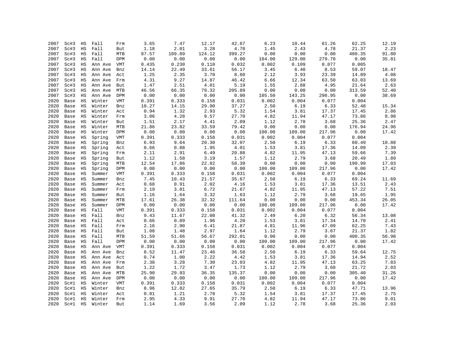| 2007 | Sc#3 | HS          | Fall    | Frm        | 3.65  | 7.47   | 12.17  | 42.67  | 6.23   | 10.44  | 61.26  | 62.25  | 12.19 |
|------|------|-------------|---------|------------|-------|--------|--------|--------|--------|--------|--------|--------|-------|
| 2007 | Sc#3 | $_{\rm HS}$ | Fall    | But        | 1.18  | 2.01   | 3.28   | 4.70   | 1.45   | 2.43   | 4.78   | 21.37  | 2.23  |
| 2007 | Sc#3 | $_{\rm HS}$ | Fall    | MTB        | 87.57 | 109.89 | 124.12 | 399.27 | 0.00   | 0.00   | 0.00   | 400.35 | 91.80 |
| 2007 | Sc#3 | $_{\rm HS}$ | Fall    | DPM        | 0.00  | 0.00   | 0.00   | 0.00   | 104.00 | 129.00 | 279.78 | 0.00   | 35.81 |
| 2007 | Sc#3 | $_{\rm HS}$ | Ann Ave | VMT        | 0.435 | 0.230  | 0.110  | 0.032  | 0.002  | 0.109  | 0.077  | 0.005  |       |
| 2007 | Sc#3 | $_{\rm HS}$ | Ann Ave | Bnz        | 14.14 | 22.49  | 33.61  | 56.17  | 3.45   | 6.40   | 8.53   | 59.07  | 18.47 |
| 2007 | Sc#3 | $_{\rm HS}$ | Ann Ave | Act        | 1.25  | 2.35   | 3.70   | 8.60   | 2.12   | 3.93   | 23.39  | 14.89  | 4.08  |
| 2007 | Sc#3 | $_{\rm HS}$ | Ann Ave | Frm        | 4.31  | 9.27   | 14.87  | 46.42  | 6.66   | 12.34  | 63.50  | 63.03  | 13.69 |
| 2007 | Sc#3 | $_{\rm HS}$ | Ann Ave | But        | 1.47  | 2.51   | 4.01   | 5.19   | 1.55   | 2.88   | 4.95   | 21.64  | 2.63  |
| 2007 | Sc#3 | $_{\rm HS}$ | Ann Ave | MTB        | 46.56 | 66.35  | 79.32  | 205.89 | 0.00   | 0.00   | 0.00   | 313.59 | 52.40 |
| 2007 | Sc#3 | HS          | Ann Ave | DPM        | 0.00  | 0.00   | 0.00   | 0.00   | 105.50 | 143.25 | 296.95 | 0.00   | 38.69 |
| 2020 | Base | HS          | Winter  | <b>VMT</b> | 0.391 | 0.333  | 0.158  | 0.031  | 0.002  | 0.004  | 0.077  | 0.004  |       |
| 2020 | Base | ΗS          | Winter  | Bnz        | 10.27 | 14.15  | 29.90  | 37.27  | 2.50   | 6.19   | 6.33   | 52.48  | 15.34 |
| 2020 | Base | HS          | Winter  | Act        | 0.94  | 1.32   | 2.93   | 5.32   | 1.54   | 3.81   | 17.37  | 17.45  | 2.86  |
| 2020 | Base | $_{\rm HS}$ | Winter  | Frm        | 3.06  | 4.28   | 9.57   | 27.70  | 4.82   | 11.94  | 47.17  | 73.86  | 8.98  |
| 2020 | Base | HS          | Winter  | But        | 1.51  | 2.17   | 4.41   | 2.09   | 1.12   | 2.78   | 3.68   | 25.36  | 2.47  |
| 2020 | Base | ΗS          | Winter  | MTB        | 21.86 | 23.82  | 33.59  | 79.42  | 0.00   | 0.00   | 0.00   | 176.94 | 24.96 |
| 2020 | Base | $_{\rm HS}$ | Winter  | DPM        | 0.00  | 0.00   | 0.00   | 0.00   | 100.00 | 109.00 | 217.96 | 0.00   | 17.42 |
| 2020 | Base | $_{\rm HS}$ | Spring  | VMT        | 0.391 | 0.333  | 0.158  | 0.031  | 0.002  | 0.004  | 0.077  | 0.004  |       |
| 2020 | Base | HS          | Spring  | Bnz        | 6.93  | 9.64   | 20.30  | 32.07  | 2.50   | 6.19   | 6.33   | 60.49  | 10.88 |
| 2020 | Base | HS          | Spring  | Act        | 0.66  | 0.88   | 1.95   | 4.01   | 1.53   | 3.81   | 17.36  | 14.09  | 2.39  |
| 2020 | Base | $_{\rm HS}$ | Spring  | Frm        | 2.11  | 2.91   | 6.49   | 20.88  | 4.82   | 11.95  | 47.13  | 59.66  | 7.39  |
| 2020 | Base | $_{\rm HS}$ | Spring  | But        | 1.12  | 1.58   | 3.19   | 1.57   | 1.12   | 2.79   | 3.68   | 20.49  | 1.89  |
| 2020 | Base | HS          | Spring  | MTB        | 12.54 | 17.86  | 22.82  | 58.39  | 0.00   | 0.00   | 0.00   | 190.99 | 17.03 |
| 2020 | Base | HS          | Spring  | DPM        | 0.00  | 0.00   | 0.00   | 0.00   | 100.00 | 109.00 | 217.96 | 0.00   | 17.42 |
| 2020 | Base | $_{\rm HS}$ | Summer  | <b>VMT</b> | 0.391 | 0.333  | 0.158  | 0.031  | 0.002  | 0.004  | 0.077  | 0.004  |       |
| 2020 | Base | $_{\rm HS}$ | Summer  | Bnz        | 7.45  | 10.43  | 21.57  | 35.67  | 2.50   | 6.19   | 6.33   | 69.24  | 11.69 |
|      |      |             |         |            | 0.68  | 0.91   | 2.02   | 4.16   | 1.53   | 3.81   | 17.36  |        | 2.43  |
| 2020 | Base | $_{\rm HS}$ | Summer  | Act        |       | 3.01   | 6.72   |        | 4.82   | 11.95  | 47.13  | 13.51  |       |
| 2020 | Base | HS          | Summer  | Frm        | 2.19  |        |        | 21.67  |        |        |        | 57.22  | 7.51  |
| 2020 | Base | $_{\rm HS}$ | Summer  | But        | 1.16  | 1.64   | 3.32   | 1.63   | 1.12   | 2.79   | 3.68   | 19.65  | 1.95  |
| 2020 | Base | $_{\rm HS}$ | Summer  | MTB        | 17.61 | 26.38  | 32.32  | 111.64 | 0.00   | 0.00   | 0.00   | 453.34 | 26.05 |
| 2020 | Base | HS          | Summer  | DPM        | 0.00  | 0.00   | 0.00   | 0.00   | 100.00 | 109.00 | 217.96 | 0.00   | 17.42 |
| 2020 | Base | ΗS          | Fall    | VMT        | 0.391 | 0.333  | 0.158  | 0.031  | 0.002  | 0.004  | 0.077  | 0.004  |       |
| 2020 | Base | $_{\rm HS}$ | Fall    | Bnz        | 9.43  | 11.67  | 22.08  | 41.32  | 2.49   | 6.20   | 6.32   | 56.34  | 13.08 |
| 2020 | Base | $_{\rm HS}$ | Fall    | Act        | 0.66  | 0.89   | 1.96   | 4.20   | 1.53   | 3.81   | 17.34  | 14.70  | 2.41  |
| 2020 | Base | ΗS          | Fall    | Frm        | 2.16  | 2.90   | 6.41   | 21.87  | 4.81   | 11.96  | 47.09  | 62.25  | 7.43  |
| 2020 | Base | $_{\rm HS}$ | Fall    | But        | 1.08  | 1.48   | 2.97   | 1.64   | 1.12   | 2.79   | 3.67   | 21.37  | 1.82  |
| 2020 | Base | $_{\rm HS}$ | Fall    | MTB        | 51.59 | 51.66  | 56.67  | 292.01 | 0.00   | 0.00   | 0.00   | 400.35 | 56.98 |
| 2020 | Base | $_{\rm HS}$ | Fall    | DPM        | 0.00  | 0.00   | 0.00   | 0.00   | 100.00 | 109.00 | 217.96 | 0.00   | 17.42 |
| 2020 | Base | HS          | Ann Ave | VMT        | 0.391 | 0.333  | 0.158  | 0.031  | 0.002  | 0.004  | 0.077  | 0.004  |       |
| 2020 | Base | HS          | Ann Ave | Bnz        | 8.52  | 11.47  | 23.46  | 36.58  | 2.50   | 6.19   | 6.33   | 59.64  | 12.75 |
| 2020 | Base | $_{\rm HS}$ | Ann Ave | Act        | 0.74  | 1.00   | 2.22   | 4.42   | 1.53   | 3.81   | 17.36  | 14.94  | 2.52  |
| 2020 | Base | $_{\rm HS}$ | Ann Ave | Frm        | 2.38  | 3.28   | 7.30   | 23.03  | 4.82   | 11.95  | 47.13  | 63.25  | 7.83  |
| 2020 | Base | HS          | Ann Ave | But        | 1.22  | 1.72   | 3.47   | 1.73   | 1.12   | 2.79   | 3.68   | 21.72  | 2.03  |
| 2020 | Base | HS          | Ann Ave | MTB        | 25.90 | 29.93  | 36.35  | 135.37 | 0.00   | 0.00   | 0.00   | 305.40 | 31.26 |
| 2020 | Base | $_{\rm HS}$ | Ann Ave | DPM        | 0.00  | 0.00   | 0.00   | 0.00   | 100.00 | 109.00 | 217.96 | 0.00   | 17.42 |
| 2020 | Sc#1 | $_{\rm HS}$ | Winter  | VMT        | 0.391 | 0.333  | 0.158  | 0.031  | 0.002  | 0.004  | 0.077  | 0.004  |       |
| 2020 | Sc#1 | HS          | Winter  | Bnz        | 8.96  | 12.82  | 27.65  | 35.79  | 2.50   | 6.19   | 6.33   | 47.71  | 13.96 |
| 2020 | Sc#1 | HS          | Winter  | Act        | 0.81  | 1.21   | 2.78   | 5.32   | 1.54   | 3.81   | 17.37  | 17.45  | 2.75  |
| 2020 | Sc#1 | $_{\rm HS}$ | Winter  | Frm        | 2.95  | 4.33   | 9.91   | 27.70  | 4.82   | 11.94  | 47.17  | 73.86  | 9.01  |
| 2020 | Sc#1 | <b>HS</b>   | Winter  | But        | 1.14  | 1.69   | 3.56   | 2.09   | 1.12   | 2.78   | 3.68   | 25.36  | 2.03  |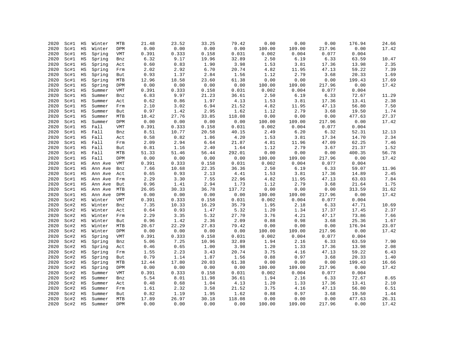| 2020         | Sc#1         | HS                         | Winter  | MTB               | 21.48            | 23.52         | 33.25         | 79.42          | 0.00           | 0.00           | 0.00           | 176.94         | 24.66          |
|--------------|--------------|----------------------------|---------|-------------------|------------------|---------------|---------------|----------------|----------------|----------------|----------------|----------------|----------------|
| 2020         | Sc#1         | $_{\rm HS}$                | Winter  | DPM               | 0.00             | 0.00          | 0.00          | 0.00           | 100.00         | 109.00         | 217.96         | 0.00           | 17.42          |
| 2020         | Sc#1         | $_{\rm HS}$                | Spring  | VMT               | 0.391            | 0.333         | 0.158         | 0.031          | 0.002          | 0.004          | 0.077          | 0.004          |                |
| 2020         | Sc#1         | $_{\rm HS}$                | Spring  | Bnz               | 6.32             | 9.17          | 19.96         | 32.89          | 2.50           | 6.19           | 6.33           | 63.59          | 10.47          |
| 2020         | Sc#1         | $_{\rm HS}$                | Spring  | Act               | 0.60             | 0.83          | 1.90          | 3.98           | 1.53           | 3.81           | 17.36          | 13.98          | 2.35           |
| 2020         | Sc#1         | $_{\rm HS}$                | Spring  | Frm               | 2.02             | 2.92          | 6.70          | 20.74          | 4.82           | 11.95          | 47.13          | 59.22          | 7.39           |
| 2020         | Sc#1         | $_{\rm HS}$                | Spring  | But               | 0.93             | 1.37          | 2.84          | 1.56           | 1.12           | 2.79           | 3.68           | 20.33          | 1.69           |
| 2020         | Sc#1         | HS                         | Spring  | MTB               | 12.96            | 18.58         | 23.60         | 61.38          | 0.00           | 0.00           | 0.00           | 199.43         | 17.69          |
| 2020         | Sc#1         | $_{\rm HS}$                | Spring  | DPM               | 0.00             | 0.00          | 0.00          | 0.00           | 100.00         | 109.00         | 217.96         | 0.00           | 17.42          |
| 2020         | Sc#1         | $_{\rm HS}$                | Summer  | VMT               | 0.391            | 0.333         | 0.158         | 0.031          | 0.002          | 0.004          | 0.077          | 0.004          |                |
| 2020         | Sc#1         | HS                         | Summer  | Bnz               | 6.83             | 9.97          | 21.23         | 36.61          | 2.50           | 6.19           | 6.33           | 72.67          | 11.29          |
| 2020         | Sc#1         | HS                         | Summer  | Act               | 0.62             | 0.86          | 1.97          | 4.13           | 1.53           | 3.81           | 17.36          | 13.41          | 2.38           |
| 2020         | Sc#1         | $_{\rm HS}$                | Summer  | Frm               | 2.10             | 3.02          | 6.94          | 21.52          | 4.82           | 11.95          | 47.13          | 56.80          | 7.50           |
| 2020         | Sc#1         | $_{\rm HS}$                | Summer  | But               | 0.97             | 1.42          | 2.95          | 1.62           | 1.12           | 2.79           | 3.68           | 19.50          | 1.74           |
| 2020         | Sc#1         | $_{\rm HS}$                | Summer  | MTB               | 18.42            | 27.76         | 33.85         | 118.08         | 0.00           | 0.00           | 0.00           | 477.63         | 27.37          |
| 2020         | Sc#1         | HS                         | Summer  | DPM               | 0.00             | 0.00          | 0.00          | 0.00           | 100.00         | 109.00         | 217.96         | 0.00           | 17.42          |
| 2020         | Sc#1         | $_{\rm HS}$                | Fall    | VMT               | 0.391            | 0.333         | 0.158         | 0.031          | 0.002          | 0.004          | 0.077          | 0.004          |                |
| 2020         | Sc#1         | $_{\rm HS}$                | Fall    | Bnz               | 8.51             | 10.77         | 20.58         | 40.15          | 2.49           | 6.20           | 6.32           | 52.31          | 12.13          |
| 2020         | Sc#1         | $_{\rm HS}$                | Fall    | Act               | 0.58             | 0.82          | 1.86          | 4.20           | 1.53           | 3.81           | 17.34          | 14.70          | 2.34           |
| 2020         | Sc#1         | HS                         | Fall    | Frm               | 2.09             | 2.94          | 6.64          | 21.87          | 4.81           | 11.96          | 47.09          | 62.25          | 7.46           |
| 2020         | Sc#1         | $_{\rm HS}$                | Fall    | But               | 0.81             | 1.16          | 2.40          | 1.64           | 1.12           | 2.79           | 3.67           | 21.37          | 1.52           |
| 2020         | Sc#1         | $_{\rm HS}$                | Fall    | MTB               | 51.33            | 51.46         | 56.44         | 292.01         | 0.00           | 0.00           | 0.00           | 400.35         | 56.78          |
| 2020         | Sc#1         | $_{\rm HS}$                | Fall    | DPM               | 0.00             | 0.00          | 0.00          | 0.00           | 100.00         | 109.00         | 217.96         | 0.00           | 17.42          |
| 2020         | Sc#1         | $_{\rm HS}$                | Ann Ave | VMT               | 0.391            | 0.333         | 0.158         | 0.031          | 0.002          | 0.004          | 0.077          | 0.004          |                |
| 2020         | Sc#1         | $_{\rm HS}$                | Ann Ave | Bnz               | 7.66             | 10.68         | 22.35         | 36.36          | 2.50           | 6.19           | 6.33           | 59.07          | 11.96          |
| 2020         | Sc#1         | $_{\rm HS}$                | Ann Ave | Act               | 0.65             | 0.93          | 2.13          | 4.41           | 1.53           | 3.81           | 17.36          | 14.89          | 2.45           |
| 2020         | Sc#1         | $_{\rm HS}$                | Ann Ave | Frm               | 2.29             | 3.30          | 7.55          | 22.96          | 4.82           | 11.95          | 47.13          | 63.03          | 7.84           |
| 2020         | Sc#1         | $_{\rm HS}$                | Ann Ave | But               | 0.96             | 1.41          | 2.94          | 1.73           | 1.12           | 2.79           | 3.68           | 21.64          | 1.75           |
| 2020         | Sc#1         | HS                         | Ann Ave | MTB               | 26.05            | 30.33         | 36.78         | 137.72         | 0.00           | 0.00           | 0.00           | 313.59         | 31.62          |
| 2020         | Sc#1         | $_{\rm HS}$                | Ann Ave | DPM               | 0.00             | 0.00          | 0.00          | 0.00           | 100.00         | 109.00         | 217.96         | 0.00           | 17.42          |
| 2020         | Sc#2         | $_{\rm HS}$                | Winter  | VMT               | 0.391            | 0.333         | 0.158         | 0.031          | 0.002          | 0.004          | 0.077          | 0.004          |                |
| 2020         | Sc#2         | HS                         | Winter  | Bnz               | 7.35             | 10.33         | 16.29         | 35.79          | 1.95           | 2.18           | 6.33           | 47.71          | 10.69          |
| 2020         | Sc#2         | $_{\rm HS}$                | Winter  | Act               | 0.64             | 0.93          | 1.47          | 5.32           | 1.20           | 1.34           | 17.37          | 17.45          | 2.37           |
| 2020         | Sc#2         | $_{\rm HS}$                | Winter  | Frm               | 2.29             | 3.35          | 5.32          | 27.70          | 3.76           | 4.21           | 47.17          | 73.86          | 7.66           |
| 2020         | Sc#2         | $_{\rm HS}$                | Winter  | But               | 0.96             | 1.42          | 2.36          | 2.09           | 0.88           | 0.98           | 3.68           | 25.36          | 1.67           |
| 2020         | Sc#2         | $_{\rm HS}$                | Winter  | MTB               | 20.67            | 22.29         | 27.83         | 79.42          | 0.00           | 0.00           | 0.00           | 176.94         | 23.07          |
| 2020         | Sc#2         | HS                         | Winter  | DPM               | 0.00             | 0.00          | 0.00          | 0.00           | 100.00         | 109.00         | 217.96         | 0.00           | 17.42          |
| 2020         | Sc#2         | $_{\rm HS}$                | Spring  | VMT               | 0.391            | 0.333         | 0.158         | 0.031          | 0.002          | 0.004          | 0.077          | 0.004          |                |
| 2020         | Sc#2         | $_{\rm HS}$                | Spring  | Bnz               | 5.06             | 7.25          | 10.96         | 32.89          | 1.94           | 2.16           | 6.33           | 63.59          | 7.90           |
| 2020         | Sc#2         | $_{\rm HS}$                | Spring  | Act               | 0.46             | 0.65          | 1.00          | 3.98           | 1.20           | 1.33           | 17.36          | 13.98          | 2.08           |
| 2020         | Sc#2         | $_{\rm HS}$                | Spring  | Frm               | 1.55             | 2.23          | 3.43          | 20.74          | 3.75           | 4.16           | 47.13          | 59.22          | 6.43           |
| 2020         | Sc#2         | $_{\rm HS}$                | Spring  | But               | 0.79             | 1.14          | 1.87          | 1.56           | 0.88           | 0.97           | 3.68           | 20.33          | 1.40           |
| 2020         | Sc#2         | $_{\rm HS}$                | Spring  | MTB               | 12.44            | 17.80         | 20.03         | 61.38          | 0.00           | 0.00           | 0.00           | 199.43         | 16.66          |
| 2020         | Sc#2         | $_{\rm HS}$                | Spring  | DPM               | 0.00             | 0.00          | 0.00          | 0.00           | 100.00         | 109.00         | 217.96         | 0.00           | 17.42          |
| 2020         | Sc#2         | HS                         | Summer  | VMT               | 0.391            | 0.333         | 0.158         | 0.031          | 0.002          | 0.004          | 0.077          | 0.004          |                |
| 2020         | Sc#2         | HS                         |         |                   | 5.54             | $8\,.01$      | 11.98         | 36.61          | 1.94           | 2.16           | 6.33           | 72.67          |                |
| 2020         |              |                            | Summer  | Bnz               |                  |               | 1.04          |                | 1.20           | 1.33           |                |                | 8.65<br>2.10   |
| 2020         | Sc#2<br>Sc#2 | $_{\rm HS}$<br>$_{\rm HS}$ | Summer  | Act               | $0.48\,$<br>1.61 | 0.68<br>2.32  | 3.58          | 4.13<br>21.52  | 3.75           | 4.16           | 17.36<br>47.13 | 13.41<br>56.80 | 6.51           |
| 2020         | Sc#2         | HS                         | Summer  | Frm               | 0.82             | 1.19          | 1.95          | 1.62           | 0.88           | 0.97           | 3.68           | 19.50          | 1.44           |
|              |              |                            | Summer  | But               |                  |               |               |                |                |                |                |                |                |
| 2020<br>2020 | Sc#2<br>Sc#2 | $_{\rm HS}$<br><b>HS</b>   | Summer  | MTB<br><b>DPM</b> | 17.89<br>0.00    | 26.97<br>0.00 | 30.18<br>0.00 | 118.08<br>0.00 | 0.00<br>100.00 | 0.00<br>109.00 | 0.00<br>217.96 | 477.63<br>0.00 | 26.31<br>17.42 |
|              |              |                            | Summer  |                   |                  |               |               |                |                |                |                |                |                |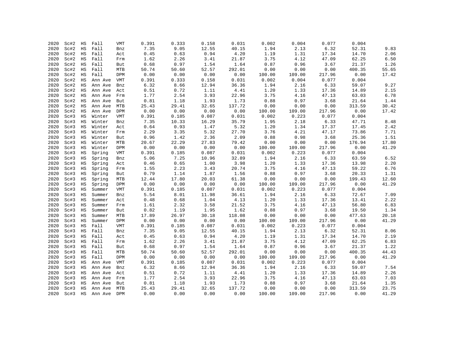| 2020         | Sc#2         | HS                | Fall           | <b>VMT</b> | 0.391         | 0.333         | 0.158         | 0.031         | 0.002           | 0.004           | 0.077          | 0.004         |                |
|--------------|--------------|-------------------|----------------|------------|---------------|---------------|---------------|---------------|-----------------|-----------------|----------------|---------------|----------------|
| 2020         | Sc#2         | $_{\rm HS}$       | Fall           | Bnz        | 7.35          | 9.05          | 12.55         | 40.15         | 1.94            | 2.13            | 6.32           | 52.31         | 9.83           |
| 2020         | Sc#2         | $_{\rm HS}$       | Fall           | Act        | 0.45          | 0.63          | 0.94          | 4.20          | 1.19            | 1.31            | 17.34          | 14.70         | 2.06           |
| 2020         | Sc#2         | $_{\rm HS}$       | Fall           | Frm        | 1.62          | 2.26          | 3.41          | 21.87         | 3.75            | 4.12            | 47.09          | 62.25         | 6.50           |
| 2020         | Sc#2         | HS                | Fall           | But        | 0.68          | 0.97          | 1.54          | 1.64          | 0.87            | 0.96            | 3.67           | 21.37         | 1.26           |
| 2020         | Sc#2         | $_{\rm HS}$       | Fall           | MTB        | 50.74         | 50.60         | 52.57         | 292.01        | 0.00            | 0.00            | 0.00           | 400.35        | 55.65          |
| 2020         | Sc#2         | $_{\rm HS}$       | Fall           | DPM        | 0.00          | 0.00          | 0.00          | 0.00          | 100.00          | 109.00          | 217.96         | 0.00          | 17.42          |
| 2020         | Sc#2         | $_{\rm HS}$       | Ann Ave        | VMT        | 0.391         | 0.333         | 0.158         | 0.031         | 0.002           | 0.004           | 0.077          | 0.004         |                |
| 2020         | Sc#2         | $_{\rm HS}$       | Ann Ave        | Bnz        | 6.32          | 8.66          | 12.94         | 36.36         | 1.94            | 2.16            | 6.33           | 59.07         | 9.27           |
| 2020         | Sc#2         | $_{\rm HS}$       | Ann Ave        | Act        | 0.51          | 0.72          | 1.11          | 4.41          | 1.20            | 1.33            | 17.36          | 14.89         | 2.15           |
| 2020         | Sc#2         | $_{\rm HS}$       | Ann Ave        | Frm        | 1.77          | 2.54          | 3.93          | 22.96         | 3.75            | 4.16            | 47.13          | 63.03         | 6.78           |
| 2020         | Sc#2         | $_{\rm HS}$       | Ann Ave        | But        | 0.81          | 1.18          | 1.93          | 1.73          | 0.88            | 0.97            | 3.68           | 21.64         | 1.44           |
| 2020         | Sc#2         | $_{\rm HS}$       | Ann Ave        | MTB        | 25.43         | 29.41         | 32.65         | 137.72        | 0.00            | 0.00            | 0.00           | 313.59        | 30.42          |
| 2020         | Sc#2         | HS                | Ann Ave        | DPM        | 0.00          | 0.00          | 0.00          | 0.00          | 100.00          | 109.00          | 217.96         | 0.00          | 17.42          |
| 2020         | Sc#3         | $_{\rm HS}$       | Winter         | VMT        | 0.391         | 0.185         | 0.087         | 0.031         | 0.002           | 0.223           | 0.077          | 0.004         |                |
| 2020         | Sc#3         | $_{\rm HS}$       | Winter         | Bnz        | 7.35          | 10.33         | 16.29         | 35.79         | 1.95            | 2.18            | 6.33           | 47.71         | 8.48           |
| 2020         | Sc#3         | $_{\rm HS}$       | Winter         | Act        | 0.64          | 0.93          | 1.47          | 5.32          | 1.20            | 1.34            | 17.37          | 17.45         | 2.42           |
| 2020         | Sc#3         | HS                | Winter         | Frm        | 2.29          | 3.35          | 5.32          | 27.70         | 3.76            | 4.21            | 47.17          | 73.86         | 7.71           |
| 2020         | Sc#3         | $_{\rm HS}$       | Winter         | But        | 0.96          | 1.42          | 2.36          | 2.09          | 0.88            | 0.98            | 3.68           | 25.36         | 1.51           |
| 2020         | Sc#3         | $_{\rm HS}$       | Winter         | MTB        | 20.67         | 22.29         | 27.83         | 79.42         | 0.00            | 0.00            | 0.00           | 176.94        | 17.80          |
| 2020         | Sc#3         | $_{\rm HS}$       | Winter         | DPM        | 0.00          | 0.00          | 0.00          | 0.00          | 100.00          | 109.00          | 217.96         | 0.00          | 41.29          |
| 2020         | Sc#3         | $_{\rm HS}$       | Spring         | VMT        | 0.391         | 0.185         | 0.087         | 0.031         | 0.002           | 0.223           | 0.077          | 0.004         |                |
| 2020         | Sc#3         | HS                | Spring         | Bnz        | 5.06          | 7.25          | 10.96         | 32.89         | 1.94            | 2.16            | 6.33           | 63.59         | 6.52           |
| 2020         | Sc#3         | $_{\rm HS}$       | Spring         | Act        | 0.46          | 0.65          | 1.00          | 3.98          | 1.20            | 1.33            | 17.36          | 13.98         | 2.20           |
| 2020         | Sc#3         | $_{\rm HS}$       | Spring         | Frm        | 1.55          | 2.23          | 3.43          | 20.74         | 3.75            | 4.16            | 47.13          | 59.22         | 6.76           |
| 2020         | Sc#3         | $_{\rm HS}$       | Spring         | But        | 0.79          | 1.14          | 1.87          | 1.56          | 0.88            | 0.97            | 3.68           | 20.33         | 1.31           |
| 2020         | Sc#3         | $_{\rm HS}$       | Spring         | MTB        | 12.44         | 17.80         | 20.03         | 61.38         | 0.00            | 0.00            | 0.00           | 199.43        | 12.60          |
| 2020         | Sc#3         | $_{\rm HS}$       | Spring         | DPM        | 0.00          | 0.00          | 0.00          | 0.00          | 100.00          | 109.00          | 217.96         | 0.00          | 41.29          |
| 2020         | Sc#3         | $_{\rm HS}$       | Summer         | <b>VMT</b> | 0.391         | 0.185         | 0.087         | 0.031         | 0.002           | 0.223           | 0.077          | 0.004         |                |
| 2020         | Sc#3         | $_{\rm HS}$       | Summer         | Bnz        | 5.54          | 8.01          | 11.98         | 36.61         | 1.94            | 2.16            | 6.33           | 72.67         | 7.09           |
| 2020         | Sc#3         | $_{\rm HS}$       | Summer         | Act        | 0.48          | 0.68          | 1.04          | 4.13          | 1.20            | 1.33            | 17.36          | 13.41         | 2.22           |
| 2020         | Sc#3         | $_{\rm HS}$       | Summer         | Frm        | 1.61          | 2.32          | 3.58          | 21.52         | 3.75            | 4.16            | 47.13          | 56.80         | 6.83           |
| 2020         | Sc#3         | $_{\rm HS}$       | Summer         | But        | 0.82          | 1.19          | 1.95          | 1.62          | 0.88            | 0.97            | 3.68           | 19.50         | 1.34           |
| 2020<br>2020 | Sc#3         | $_{\rm HS}$       | Summer         | MTB        | 17.89<br>0.00 | 26.97         | 30.18         | 118.08        | 0.00            | 0.00            | 0.00<br>217.96 | 477.63        | 20.18<br>41.29 |
| 2020         | Sc#3         | $_{\rm HS}$<br>HS | Summer<br>Fall | DPM        | 0.391         | 0.00<br>0.185 | 0.00<br>0.087 | 0.00<br>0.031 | 100.00<br>0.002 | 109.00<br>0.223 | 0.077          | 0.00<br>0.004 |                |
| 2020         | Sc#3<br>Sc#3 | $_{\rm HS}$       | Fall           | <b>VMT</b> | 7.35          | 9.05          | 12.55         | 40.15         | 1.94            | 2.13            | 6.32           | 52.31         |                |
| 2020         | Sc#3         | HS                | Fall           | Bnz        | 0.45          | 0.63          | 0.94          | 4.20          | 1.19            | 1.31            | 17.34          | 14.70         | 8.06<br>2.19   |
| 2020         | Sc#3         | $_{\rm HS}$       | Fall           | Act        | 1.62          | 2.26          | 3.41          | 21.87         | 3.75            | 4.12            | 47.09          | 62.25         | 6.83           |
| 2020         | Sc#3         | $_{\rm HS}$       | Fall           | Frm<br>But | 0.68          | 0.97          | 1.54          | 1.64          | 0.87            | 0.96            | 3.67           | 21.37         | 1.22           |
| 2020         | Sc#3         | $_{\rm HS}$       | Fall           | MTB        | 50.74         | 50.60         | 52.57         | 292.01        | 0.00            | 0.00            | 0.00           | 400.35        | 44.43          |
| 2020         | Sc#3         | $_{\rm HS}$       | Fall           | DPM        | 0.00          | 0.00          | 0.00          | 0.00          | 100.00          | 109.00          | 217.96         | 0.00          | 41.29          |
| 2020         | Sc#3         | $_{\rm HS}$       | Ann Ave        | VMT        | 0.391         | 0.185         | 0.087         | 0.031         | 0.002           | 0.223           | 0.077          | 0.004         |                |
| 2020         | Sc#3         | $_{\rm HS}$       | Ann Ave        | Bnz        | 6.32          | 8.66          | 12.94         | 36.36         | 1.94            | 2.16            | 6.33           | 59.07         | 7.54           |
| 2020         | Sc#3         | HS                | Ann Ave        | Act        | 0.51          | 0.72          | 1.11          | 4.41          | 1.20            | 1.33            | 17.36          | 14.89         | 2.26           |
| 2020         | Sc#3         | HS                | Ann Ave        | Frm        | 1.77          | 2.54          | 3.93          | 22.96         | 3.75            | 4.16            | 47.13          | 63.03         | 7.03           |
| 2020         | Sc#3         | $_{\rm HS}$       | Ann Ave        | But        | 0.81          | 1.18          | 1.93          | 1.73          | 0.88            | 0.97            | 3.68           | 21.64         | 1.35           |
| 2020         | Sc#3         | $_{\rm HS}$       | Ann Ave        | MTB        | 25.43         | 29.41         | 32.65         | 137.72        | 0.00            | 0.00            | 0.00           | 313.59        | 23.75          |
| 2020         | Sc#3         | HS                | Ann Ave        | <b>DPM</b> | 0.00          | 0.00          | 0.00          | 0.00          | 100.00          | 109.00          | 217.96         | 0.00          | 41.29          |
|              |              |                   |                |            |               |               |               |               |                 |                 |                |               |                |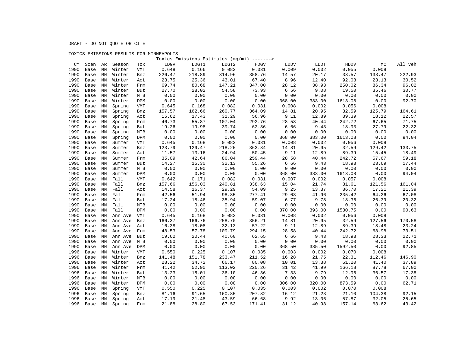### TOXICS EMISSIONS RESULTS FOR MINNEAPOLIS

|      |      |               |         |            |        |        | Toxics Emissions Estimates (mg/mi) -------> |        |        |        |         |        |         |
|------|------|---------------|---------|------------|--------|--------|---------------------------------------------|--------|--------|--------|---------|--------|---------|
| CY   | Scen | AR            | Season  | Tox        | LDGV   | LDGT1  | LDGT2                                       | HDGV   | LDDV   | LDDT   | HDDV    | МC     | All Veh |
| 1990 | Base | MN            | Winter  | VMT        | 0.648  | 0.166  | 0.082                                       | 0.031  | 0.009  | 0.002  | 0.055   | 0.008  |         |
| 1990 | Base | MN            | Winter  | Bnz        | 226.47 | 218.89 | 314.96                                      | 358.76 | 14.57  | 20.17  | 33.57   | 133.47 | 222.93  |
| 1990 | Base | MN            | Winter  | Act        | 23.75  | 25.36  | 43.01                                       | 67.40  | 8.96   | 12.40  | 92.08   | 23.13  | 30.52   |
| 1990 | Base | MN            | Winter  | Frm        | 69.74  | 80.68  | 147.21                                      | 347.00 | 28.12  | 38.93  | 250.02  | 86.34  | 96.02   |
| 1990 | Base | MN            | Winter  | But        | 27.70  | 28.02  | 54.58                                       | 73.93  | 6.56   | 9.08   | 19.50   | 35.46  | 30.77   |
| 1990 | Base | MN            | Winter  | MTB        | 0.00   | 0.00   | 0.00                                        | 0.00   | 0.00   | 0.00   | 0.00    | 0.00   | 0.00    |
| 1990 | Base | MN            | Winter  | DPM        | 0.00   | 0.00   | 0.00                                        | 0.00   | 368.00 | 383.00 | 1613.08 | 0.00   | 92.70   |
| 1990 | Base | MN            | Spring  | <b>VMT</b> | 0.645  | 0.168  | 0.082                                       | 0.031  | 0.008  | 0.002  | 0.056   | 0.008  |         |
| 1990 | Base | MN            | Spring  | Bnz        | 157.57 | 162.66 | 260.77                                      | 364.09 | 14.81  | 20.95  | 32.59   | 125.79 | 164.61  |
| 1990 | Base | MN            | Spring  | Act        | 15.62  | 17.43  | 31.29                                       | 56.96  | 9.11   | 12.89  | 89.39   | 18.12  | 22.57   |
| 1990 | Base | MN            | Spring  | Frm        | 46.73  | 55.87  | 107.04                                      | 292.76 | 28.58  | 40.44  | 242.72  | 67.65  | 71.75   |
| 1990 | Base | MN            | Spring  | But        | 19.26  | 19.98  | 39.74                                       | 62.36  | 6.66   | 9.43   | 18.93   | 27.79  | 22.32   |
| 1990 | Base | MN            | Spring  | MTB        | 0.00   | 0.00   | 0.00                                        | 0.00   | 0.00   | 0.00   | 0.00    | 0.00   | 0.00    |
| 1990 | Base | MN            | Spring  | DPM        | 0.00   | 0.00   | 0.00                                        | 0.00   | 368.00 | 383.00 | 1613.08 | 0.00   | 94.04   |
| 1990 | Base | MN            | Summer  | VMT        | 0.645  | 0.168  | 0.082                                       | 0.031  | 0.008  | 0.002  | 0.056   | 0.008  |         |
| 1990 | Base | MN            | Summer  | Bnz        | 123.79 | 129.47 | 218.25                                      | 363.34 | 14.81  | 20.95  | 32.59   | 129.42 | 133.75  |
| 1990 | Base | MN            | Summer  | Act        | 11.57  | 13.16  | 24.94                                       | 50.45  | 9.11   | 12.89  | 89.39   | 15.45  | 18.49   |
| 1990 | Base | $\texttt{MN}$ | Summer  | Frm        | 35.09  | 42.64  | 86.04                                       | 259.44 | 28.58  | 40.44  | 242.72  | 57.67  | 59.18   |
| 1990 | Base | MN            | Summer  | But        | 14.27  | 15.30  | 32.13                                       | 55.26  | 6.66   | 9.43   | 18.93   | 23.69  | 17.44   |
| 1990 | Base | MN            | Summer  | MTB        | 0.00   | 0.00   | 0.00                                        | 0.00   | 0.00   | 0.00   | 0.00    | 0.00   | 0.00    |
| 1990 | Base | MN            | Summer  | DPM        | 0.00   | 0.00   | 0.00                                        | 0.00   | 368.00 | 383.00 | 1613.08 | 0.00   | 94.04   |
| 1990 | Base | MN            | Fall    | <b>VMT</b> | 0.642  | 0.171  | 0.082                                       | 0.031  | 0.007  | 0.002  | 0.057   | 0.008  |         |
| 1990 | Base | MN            | Fall    | Bnz        | 157.66 | 156.03 | 240.81                                      | 338.63 | 15.04  | 21.74  | 31.61   | 121.56 | 161.04  |
| 1990 | Base | MN            | Fall    | Act        | 14.58  | 16.37  | 29.29                                       | 54.09  | 9.25   | 13.37  | 86.70   | 17.21  | 21.39   |
| 1990 | Base | MN            | Fall    | Frm        | 42.56  | 51.94  | 98.85                                       | 277.41 | 29.03  | 41.96  | 235.42  | 64.26  | 67.08   |
| 1990 | Base | MN            | Fall    | But        | 17.24  | 18.46  | 35.94                                       | 59.07  | 6.77   | 9.78   | 18.36   | 26.39  | 20.32   |
| 1990 | Base | MN            | Fall    | MTB        | 0.00   | 0.00   | 0.00                                        | 0.00   | 0.00   | 0.00   | 0.00    | 0.00   | 0.00    |
| 1990 | Base | MN            | Fall    | DPM        | 0.00   | 0.00   | 0.00                                        | 0.00   | 370.00 | 393.00 | 1530.75 | 0.00   | 90.63   |
| 1990 | Base | MN            | Ann Ave | VMT        | 0.645  | 0.168  | 0.082                                       | 0.031  | 0.008  | 0.002  | 0.056   | 0.008  |         |
| 1990 | Base | MN            | Ann Ave | Bnz        | 166.37 | 166.76 | 258.70                                      | 356.21 | 14.81  | 20.95  | 32.59   | 127.56 | 170.58  |
| 1990 | Base | MN            | Ann Ave | Act        | 16.38  | 18.08  | 32.13                                       | 57.22  | 9.11   | 12.89  | 89.39   | 18.48  | 23.24   |
| 1990 | Base | MN            | Ann Ave | Frm        | 48.53  | 57.78  | 109.79                                      | 294.15 | 28.58  | 40.44  | 242.72  | 68.98  | 73.51   |
| 1990 | Base | MN            | Ann Ave | But        | 19.62  | 20.44  | 40.60                                       | 62.65  | 6.66   | 9.43   | 18.93   | 28.33  | 22.71   |
| 1990 | Base | MN            | Ann Ave | <b>MTB</b> | 0.00   | 0.00   | 0.00                                        | 0.00   | 0.00   | 0.00   | 0.00    | 0.00   | 0.00    |
| 1990 | Base | MN            | Ann Ave | DPM        | 0.00   | 0.00   | 0.00                                        | 0.00   | 368.50 | 385.50 | 1592.50 | 0.00   | 92.85   |
| 1996 | Base | MN            | Winter  | VMT        | 0.550  | 0.225  | 0.107                                       | 0.035  | 0.003  | 0.002  | 0.070   | 0.008  |         |
| 1996 | Base | MN            | Winter  | Bnz        | 141.48 | 151.78 | 233.47                                      | 211.52 | 16.28  | 21.75  | 22.31   | 112.46 | 146.90  |
| 1996 | Base | MN            | Winter  | Act        | 28.22  | 34.72  | 66.17                                       | 80.08  | 10.01  | 13.38  | 61.20   | 41.40  | 37.89   |
| 1996 | Base | MN            | Winter  | Frm        | 41.42  | 52.90  | 113.02                                      | 220.26 | 31.42  | 41.99  | 166.18  | 87.78  | 67.00   |
| 1996 | Base | MN            | Winter  | But        | 13.23  | 15.01  | 36.10                                       | 46.36  | 7.33   | 9.79   | 12.96   | 36.57  | 17.38   |
| 1996 | Base | MN            | Winter  | MTB        | 0.00   | 0.00   | 0.00                                        | 0.00   | 0.00   | 0.00   | 0.00    | 0.00   | 0.00    |
| 1996 | Base | ΜN            | Winter  | DPM        | 0.00   | 0.00   | 0.00                                        | 0.00   | 306.00 | 320.00 | 873.59  | 0.00   | 62.71   |
| 1996 | Base | MN            | Spring  | VMT        | 0.550  | 0.225  | 0.107                                       | 0.035  | 0.003  | 0.002  | 0.070   | 0.008  |         |
| 1996 | Base | MN            | Spring  | Bnz        | 81.16  | 91.65  | 160.85                                      | 207.82 | 16.12  | 21.23  | 21.10   | 104.38 | 92.15   |
| 1996 | Base | MN            | Spring  | Act        | 17.19  | 21.48  | 43.59                                       | 66.68  | 9.92   | 13.06  | 57.87   | 32.05  | 25.65   |
| 1996 | Base | MN            | Spring  | Frm        | 21.88  | 28.80  | 67.53                                       | 171.41 | 31.12  | 40.98  | 157.14  | 63.62  | 43.42   |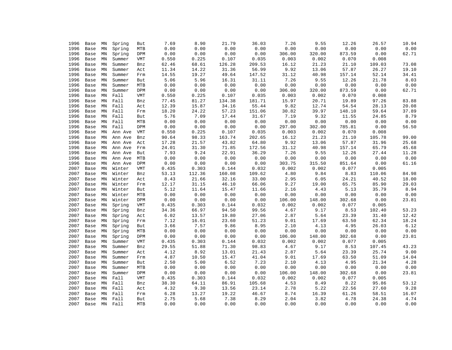| 1996 | Base         | ΜN | Spring  | But        | 7.69  | 8.90                   | 21.79  | 36.03         | 7.26   | 9.55   | 12.26  | 26.57  | 10.94 |
|------|--------------|----|---------|------------|-------|------------------------|--------|---------------|--------|--------|--------|--------|-------|
| 1996 | Base         | MN | Spring  | MTB        | 0.00  | 0.00                   | 0.00   | 0.00          | 0.00   | 0.00   | 0.00   | 0.00   | 0.00  |
| 1996 | Base         | MN | Spring  | DPM        | 0.00  | 0.00                   | 0.00   | 0.00          | 306.00 | 320.00 | 873.59 | 0.00   | 62.71 |
| 1996 | Base         | MN | Summer  | <b>VMT</b> | 0.550 | 0.225                  | 0.107  | 0.035         | 0.003  | 0.002  | 0.070  | 0.008  |       |
| 1996 | Base         | MN | Summer  | Bnz        | 62.46 | 68.61                  | 126.28 | 209.53        | 16.12  | 21.23  | 21.10  | 109.03 | 73.08 |
| 1996 | Base         | MN | Summer  | Act        | 11.34 | 14.22                  | 31.36  | 56.99         | 9.92   | 13.06  | 57.87  | 26.27  | 19.10 |
| 1996 | Base         | MN | Summer  | Frm        | 14.55 | 19.27                  | 49.64  | 147.52        | 31.12  | 40.98  | 157.14 | 52.14  | 34.41 |
| 1996 | Base         | MN | Summer  | But        | 5.06  | 5.96                   | 16.31  | 31.11         | 7.26   | 9.55   | 12.26  | 21.78  | 8.03  |
| 1996 | Base         | MN | Summer  | MTB        | 0.00  | 0.00                   | 0.00   | 0.00          | 0.00   | 0.00   | 0.00   | 0.00   | 0.00  |
| 1996 | Base         | MN | Summer  | DPM        | 0.00  | 0.00                   | 0.00   | 0.00          | 306.00 | 320.00 | 873.59 | 0.00   | 62.71 |
| 1996 | Base         | MN | Fall    | VMT        | 0.550 | 0.225                  | 0.107  | 0.035         | 0.003  | 0.002  | 0.070  | 0.008  |       |
| 1996 | Base         | MN | Fall    | Bnz        | 77.45 | 81.27                  | 134.38 | 181.71        | 15.97  | 20.71  | 19.89  | 97.26  | 83.88 |
| 1996 | Base         | MN | Fall    | Act        | 12.39 | 15.87                  | 34.16  | 55.44         | 9.82   | 12.74  | 54.54  | 28.13  | 20.08 |
| 1996 | Base         | MN | Fall    | Frm        | 18.20 | 24.22                  | 57.23  | 151.06        | 30.82  | 39.97  | 148.10 | 59.64  | 37.89 |
| 1996 | Base         | MN | Fall    | But        | 5.76  | 7.09                   | 17.44  | 31.67         | 7.19   | 9.32   | 11.55  | 24.85  | 8.79  |
| 1996 | Base         | MN | Fall    | MTB        | 0.00  | 0.00                   | 0.00   | 0.00          | 0.00   | 0.00   | 0.00   | 0.00   | 0.00  |
| 1996 | Base         | MN | Fall    | DPM        | 0.00  | 0.00                   | 0.00   | 0.00          | 297.00 | 302.00 | 785.81 | 0.00   | 56.50 |
| 1996 | Base         | MN | Ann Ave | VMT        | 0.550 | 0.225                  | 0.107  | 0.035         | 0.003  | 0.002  | 0.070  | 0.008  |       |
| 1996 | Base         | MN | Ann Ave | Bnz        | 90.64 | 98.33                  | 163.74 | 202.65        | 16.12  | 21.23  | 21.10  | 105.78 | 99.00 |
| 1996 | Base         | MN | Ann Ave | Act        | 17.28 | 21.57                  | 43.82  | 64.80         | 9.92   | 13.06  | 57.87  | 31.96  | 25.68 |
| 1996 | Base         | MN | Ann Ave | Frm        | 24.01 | 31.30                  | 71.85  | 172.56        | 31.12  | 40.98  | 157.14 | 65.79  | 45.68 |
| 1996 | Base         | MN | Ann Ave | But        | 7.93  | 9.24                   | 22.91  | 36.29         | 7.26   | 9.55   | 12.26  | 27.44  | 11.28 |
| 1996 | Base         | MN | Ann Ave | MTB        | 0.00  | 0.00                   | 0.00   | 0.00          | 0.00   | 0.00   | 0.00   | 0.00   | 0.00  |
| 1996 | Base         | MN | Ann Ave | DPM        | 0.00  | ${\bf 0}$ . ${\bf 00}$ | 0.00   | 0.00          | 303.75 | 315.50 | 851.64 | 0.00   | 61.16 |
| 2007 | Base         | MN | Winter  | VMT        | 0.435 | 0.303                  | 0.144  | 0.032         | 0.002  | 0.002  | 0.077  | 0.005  |       |
| 2007 | Base         | MN | Winter  | Bnz        | 53.13 | 112.36                 | 160.08 | 109.62        | 4.80   | 9.84   | 8.83   | 110.06 | 84.98 |
| 2007 | Base         | MN | Winter  | Act        | 8.43  | 21.66                  | 32.16  | 33.00         | 2.95   | 6.05   | 24.21  | 40.52  | 18.00 |
| 2007 | Base         | MN | Winter  | Frm        | 12.17 | 31.15                  | 46.10  | 66.06         | 9.27   | 19.00  | 65.75  | 85.90  | 29.03 |
| 2007 |              | MN | Winter  |            | 5.12  | 11.64                  | 15.47  |               | 2.16   | 4.43   | 5.13   | 35.79  | 8.94  |
|      | Base         |    |         | But        | 0.00  | 0.00                   | 0.00   | 11.66<br>0.00 | 0.00   | 0.00   | 0.00   | 0.00   |       |
| 2007 | Base         | MN | Winter  | MTB        |       |                        |        |               |        |        |        |        | 0.00  |
| 2007 | Base         | MN | Winter  | DPM        | 0.00  | 0.00                   | 0.00   | 0.00          | 106.00 | 148.00 | 302.68 | 0.00   | 23.81 |
| 2007 | Base         | MN | Spring  | VMT        | 0.435 | 0.303                  | 0.144  | 0.032         | 0.002  | 0.002  | 0.077  | 0.005  |       |
| 2007 | Base         | MN | Spring  | Bnz        | 34.36 | 66.97                  | 94.50  | 99.56         | 4.67   | 9.17   | 8.53   | 102.40 | 53.23 |
| 2007 | Base         | MN | Spring  | Act        | 6.02  | 13.57                  | 19.80  | 27.06         | 2.87   | 5.64   | 23.39  | 31.40  | 12.42 |
| 2007 | Base         | MN | Spring  | Frm        | 7.12  | 16.01                  | 23.60  | 51.23         | 9.01   | 17.69  | 63.50  | 62.34  | 18.24 |
| 2007 | Base         | MN | Spring  | But        | 3.66  | 7.57                   | 9.86   | 8.95          | 2.10   | 4.13   | 4.95   | 26.03  | 6.12  |
| 2007 | Base         | MN | Spring  | MTB        | 0.00  | 0.00                   | 0.00   | 0.00          | 0.00   | 0.00   | 0.00   | 0.00   | 0.00  |
| 2007 | Base         | MN | Spring  | DPM        | 0.00  | 0.00                   | 0.00   | 0.00          | 106.00 | 148.00 | 302.68 | 0.00   | 23.81 |
| 2007 | Base         | MN | Summer  | <b>VMT</b> | 0.435 | 0.303                  | 0.144  | 0.032         | 0.002  | 0.002  | 0.077  | 0.005  |       |
| 2007 | Base         | MN | Summer  | Bnz        | 29.55 | 51.88                  | 71.30  | 98.83         | 4.67   | 9.17   | 8.53   | 107.45 | 43.23 |
| 2007 | Base         | MN | Summer  | Act        | 4.12  | 8.92                   | 13.01  | 21.43         | 2.87   | 5.64   | 23.39  | 25.74  | 9.00  |
| 2007 | Base         | MN | Summer  | Frm        | 4.87  | 10.50                  | 15.47  | 41.04         | 9.01   | 17.69  | 63.50  | 51.09  | 14.04 |
| 2007 | Base         | MN | Summer  | But        | 2.50  | 5.00                   | 6.52   | 7.23          | 2.10   | 4.13   | 4.95   | 21.34  | 4.28  |
| 2007 | Base         | MN | Summer  | MTB        | 0.00  | 0.00                   | 0.00   | 0.00          | 0.00   | 0.00   | 0.00   | 0.00   | 0.00  |
| 2007 | Base         | MN | Summer  | DPM        | 0.00  | 0.00                   | 0.00   | 0.00          | 106.00 | 148.00 | 302.68 | 0.00   | 23.81 |
| 2007 | Base         | MN | Fall    | <b>VMT</b> | 0.435 | 0.303                  | 0.144  | 0.032         | 0.002  | 0.002  | 0.077  | 0.005  |       |
| 2007 | Base         | MN | Fall    | Bnz        | 38.30 | 64.11                  | 86.91  | 105.68        | 4.53   | 8.49   | 8.22   | 95.86  | 53.12 |
| 2007 | Base         | MN | Fall    | Act        | 4.32  | 9.30                   | 13.56  | 23.14         | 2.78   | 5.22   | 22.56  | 27.60  | 9.28  |
| 2007 | Base         | MN | Fall    | Frm        | 6.28  | 13.27                  | 19.22  | 46.67         | 8.74   | 16.39  | 61.26  | 58.51  | 16.07 |
| 2007 | Base         | MN | Fall    | But        | 2.75  | 5.68                   | 7.38   | 8.29          | 2.04   | 3.82   | 4.78   | 24.38  | 4.74  |
| 2007 | Base MN Fall |    |         | <b>MTR</b> | 0.00  | 0.00                   | 0.00   | 0.00          | 0.00   | 0.00   | 0.00   | 0.00   | 0.00  |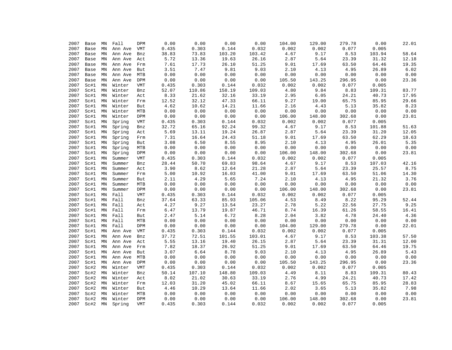| 2007 | Base | ΜN                  | Fall         | DPM         | 0.00         | 0.00         | 0.00         | 0.00         | 104.00        | 129.00         | 279.78         | 0.00         | 22.01         |
|------|------|---------------------|--------------|-------------|--------------|--------------|--------------|--------------|---------------|----------------|----------------|--------------|---------------|
| 2007 | Base | MN                  | Ann Ave      | VMT         | 0.435        | 0.303        | 0.144        | 0.032        | 0.002         | 0.002          | 0.077          | 0.005        |               |
| 2007 | Base | MN                  | Ann Ave      | Bnz         | 38.83        | 73.83        | 103.20       | 103.42       | 4.67          | 9.17           | 8.53           | 103.94       | 58.64         |
| 2007 | Base | MN                  | Ann Ave      | Act         | 5.72         | 13.36        | 19.63        | 26.16        | 2.87          | 5.64           | 23.39          | 31.32        | 12.18         |
| 2007 | Base | MN                  | Ann Ave      | Frm         | 7.61         | 17.73        | 26.10        | 51.25        | 9.01          | 17.69          | 63.50          | 64.46        | 19.35         |
| 2007 | Base | MN                  | Ann Ave      | But         | 3.51         | 7.47         | 9.81         | 9.03         | 2.10          | 4.13           | 4.95           | 26.89        | 6.02          |
| 2007 | Base | MN                  | Ann Ave      | ${\tt MTB}$ | 0.00         | 0.00         | 0.00         | 0.00         | 0.00          | 0.00           | 0.00           | 0.00         | 0.00          |
| 2007 | Base | MN                  | Ann Ave      | DPM         | 0.00         | 0.00         | 0.00         | 0.00         | 105.50        | 143.25         | 296.95         | 0.00         | 23.36         |
| 2007 | Sc#1 | MN                  | Winter       | <b>VMT</b>  | 0.435        | 0.303        | 0.144        | 0.032        | 0.002         | 0.002          | 0.077          | 0.005        |               |
| 2007 | Sc#1 | MN                  | Winter       | Bnz         | 52.07        | 110.86       | 158.19       | 109.03       | 4.80          | 9.84           | 8.83           | 109.31       | 83.77         |
| 2007 | Sc#1 | MN                  | Winter       | Act         | 8.33         | 21.62        | 32.16        | 33.19        | 2.95          | 6.05           | 24.21          | 40.73        | 17.95         |
| 2007 | Sc#1 | MN                  | Winter       | Frm         | 12.52        | 32.12        | 47.33        | 66.11        | 9.27          | 19.00          | 65.75          | 85.95        | 29.66         |
| 2007 | Sc#1 | MN                  | Winter       | But         | 4.62         | 10.62        | 14.21        | 11.66        | 2.16          | 4.43           | 5.13           | 35.82        | 8.23          |
| 2007 | Sc#1 | MN                  | Winter       | MTB         | 0.00         | 0.00         | 0.00         | 0.00         | 0.00          | 0.00           | 0.00           | 0.00         | 0.00          |
| 2007 | Sc#1 | MN                  | Winter       | DPM         | 0.00         | 0.00         | 0.00         | 0.00         | 106.00        | 148.00         | 302.68         | 0.00         | 23.81         |
| 2007 | Sc#1 | MN                  | Spring       | <b>VMT</b>  | 0.435        | 0.303        | 0.144        | 0.032        | 0.002         | 0.002          | 0.077          | 0.005        |               |
| 2007 | Sc#1 | MN                  | Spring       | Bnz         | 32.72        | 65.16        | 92.24        | 99.32        | 4.67          | 9.17           | 8.53           | 101.88       | 51.63         |
| 2007 | Sc#1 | MN                  | Spring       | Act         | 5.69         | 13.11        | 19.24        | 26.87        | 2.87          | 5.64           | 23.39          | 31.20        | 12.05         |
| 2007 | Sc#1 | MN                  | Spring       | Frm         | 7.31         | 16.64        | 24.43        | 51.18        | 9.01          | 17.69          | 63.50          | 62.29        | 18.63         |
| 2007 | Sc#1 | MN                  | Spring       | But         | 3.08         | 6.50         | 8.55         | 8.95         | 2.10          | 4.13           | 4.95           | 26.01        | 5.35          |
| 2007 | Sc#1 | MN                  | Spring       | ${\tt MTB}$ | 0.00         | 0.00         | 0.00         | 0.00         | 0.00          | 0.00           | 0.00           | 0.00         | 0.00          |
| 2007 | Sc#1 | MN                  | Spring       | DPM         | 0.00         | 0.00         | 0.00         | 0.00         | 106.00        | 148.00         | 302.68         | 0.00         | 23.81         |
| 2007 | Sc#1 | MN                  | Summer       | VMT         | 0.435        | 0.303        | 0.144        | 0.032        | 0.002         | 0.002          | 0.077          | 0.005        |               |
| 2007 | Sc#1 | MN                  | Summer       | Bnz         | 28.44        | 50.70        | 69.83        | 98.64        | 4.67          | 9.17           | 8.53           | 107.03       | 42.16         |
| 2007 | Sc#1 | MN                  | Summer       | Act         | 3.90         | 8.62         | 12.64        | 21.28        | 2.87          | 5.64           | 23.39          | 25.57        | 8.75          |
| 2007 | Sc#1 | MN                  | Summer       | Frm         | 5.00         | 10.92        | 16.03        | 41.00        | 9.01          | 17.69          | 63.50          | 51.06        | 14.30         |
| 2007 | Sc#1 | MN                  | Summer       | But         | 2.11         | 4.29         | 5.65         | 7.24         | 2.10          | 4.13           | 4.95           | 21.32        | 3.76          |
| 2007 | Sc#1 | MN                  | Summer       | MTB         | 0.00         | 0.00         | 0.00         | 0.00         | 0.00          | 0.00           | 0.00           | 0.00         | 0.00          |
| 2007 | Sc#1 | MN                  | Summer       | DPM         | 0.00         | 0.00         | 0.00         | 0.00         | 106.00        | 148.00         | 302.68         | 0.00         | 23.81         |
| 2007 | Sc#1 | MN                  | Fall         | <b>VMT</b>  | 0.435        | 0.303        | 0.144        | 0.032        | 0.002         | 0.002          | 0.077          | 0.005        |               |
| 2007 | Sc#1 | MN                  | Fall         | Bnz         | 37.64        | 63.33        | 85.93        | 105.06       | 4.53          | 8.49           | 8.22           | 95.29        | 52.44         |
| 2007 | Sc#1 | MN                  | Fall         |             | 4.27         | 9.27         | 13.54        | 23.27        | 2.78          | 5.22           | 22.56          | 27.75        | 9.25          |
| 2007 | Sc#1 | MN                  | Fall         | Act         | 6.47         | 13.79        | 19.87        | 46.71        | 8.74          | 16.39          | 61.26          | 58.55        | 16.41         |
|      |      |                     |              | Frm         |              | 5.14         | 6.72         | 8.28         | 2.04          | 3.82           | 4.78           | 24.40        | 4.36          |
| 2007 | Sc#1 | MN<br>$\texttt{MN}$ | Fall<br>Fall | But         | 2.47         |              |              |              |               |                |                |              |               |
| 2007 | Sc#1 | MN                  |              | MTB<br>DPM  | 0.00<br>0.00 | 0.00<br>0.00 | 0.00<br>0.00 | 0.00<br>0.00 | 0.00          | 0.00<br>129.00 | 0.00<br>279.78 | 0.00<br>0.00 | 0.00<br>22.01 |
| 2007 | Sc#1 |                     | Fall         |             |              |              |              |              | 104.00        |                |                | 0.005        |               |
| 2007 | Sc#1 | MN                  | Ann Ave      | VMT         | 0.435        | 0.303        | 0.144        | 0.032        | 0.002<br>4.67 | 0.002<br>9.17  | 0.077          |              |               |
| 2007 | Sc#1 | $\texttt{MN}$       | Ann Ave      | Bnz         | 37.72        | 72.51        | 101.55       | 103.01       |               |                | 8.53           | 103.38       | 57.50         |
| 2007 | Sc#1 | MN                  | Ann Ave      | Act         | 5.55         | 13.16        | 19.40        | 26.15        | 2.87          | 5.64           | 23.39          | 31.31        | 12.00         |
| 2007 | Sc#1 | $\texttt{MN}$       | Ann Ave      | Frm         | 7.82         | 18.37        | 26.92        | 51.25        | 9.01          | 17.69          | 63.50          | 64.46        | 19.75         |
| 2007 | Sc#1 | MN                  | Ann Ave      | <b>But</b>  | 3.07         | 6.64         | 8.78         | 9.03         | 2.10          | 4.13           | 4.95           | 26.89        | 5.43          |
| 2007 | Sc#1 | MN                  | Ann Ave      | MTB         | 0.00         | 0.00         | 0.00         | 0.00         | 0.00          | 0.00           | 0.00           | 0.00         | 0.00          |
| 2007 | Sc#1 | MN                  | Ann Ave      | DPM         | 0.00         | 0.00         | 0.00         | 0.00         | 105.50        | 143.25         | 296.95         | 0.00         | 23.36         |
| 2007 | Sc#2 | MN                  | Winter       | VMT         | 0.435        | 0.303        | 0.144        | 0.032        | 0.002         | 0.002          | 0.077          | 0.005        |               |
| 2007 | Sc#2 | MN                  | Winter       | Bnz         | 50.14        | 107.10       | 148.80       | 109.03       | 4.49          | 8.11           | 8.83           | 109.31       | 80.43         |
| 2007 | Sc#2 | MN                  | Winter       | Act         | 8.02         | 21.02        | 30.63        | 33.19        | 2.76          | 4.99           | 24.21          | 40.73        | 17.42         |
| 2007 | Sc#2 | MN                  | Winter       | Frm         | 12.03        | 31.20        | 45.02        | 66.11        | 8.67          | 15.65          | 65.75          | 85.95        | 28.83         |
| 2007 | Sc#2 | MN                  | Winter       | But         | 4.46         | 10.29        | 13.64        | 11.66        | 2.02          | 3.65           | 5.13           | 35.82        | 7.98          |
| 2007 | Sc#2 | MN                  | Winter       | MTB         | 0.00         | 0.00         | 0.00         | 0.00         | 0.00          | 0.00           | 0.00           | 0.00         | 0.00          |
| 2007 | Sc#2 | MN                  | Winter       | DPM         | 0.00         | 0.00         | 0.00         | 0.00         | 106.00        | 148.00         | 302.68         | 0.00         | 23.81         |
| 2007 | Sc#2 | MN                  | Spring       | <b>VMT</b>  | 0.435        | 0.303        | 0.144        | 0.032        | 0.002         | 0.002          | 0.077          | 0.005        |               |
|      |      |                     |              |             |              |              |              |              |               |                |                |              |               |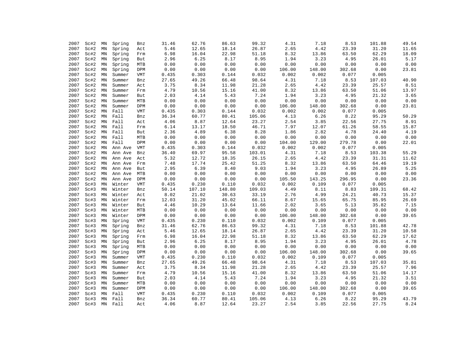| 2007 | Sc#2 | ΜN            | Spring  | Bnz         | 31.46 | 62.76  | 86.63  | 99.32  | 4.31   | 7.18   | 8.53   | 101.88 | 49.54 |
|------|------|---------------|---------|-------------|-------|--------|--------|--------|--------|--------|--------|--------|-------|
| 2007 | Sc#2 | MN            | Spring  | Act         | 5.46  | 12.65  | 18.14  | 26.87  | 2.65   | 4.42   | 23.39  | 31.20  | 11.65 |
| 2007 | Sc#2 | MN            | Spring  | Frm         | 6.98  | 16.04  | 22.98  | 51.18  | 8.32   | 13.86  | 63.50  | 62.29  | 18.09 |
| 2007 | Sc#2 | MN            | Spring  | But         | 2.96  | 6.25   | 8.17   | 8.95   | 1.94   | 3.23   | 4.95   | 26.01  | 5.17  |
| 2007 | Sc#2 | MN            | Spring  | MTB         | 0.00  | 0.00   | 0.00   | 0.00   | 0.00   | 0.00   | 0.00   | 0.00   | 0.00  |
| 2007 | Sc#2 | MN            | Spring  | DPM         | 0.00  | 0.00   | 0.00   | 0.00   | 106.00 | 148.00 | 302.68 | 0.00   | 23.81 |
| 2007 | Sc#2 | MN            | Summer  | <b>VMT</b>  | 0.435 | 0.303  | 0.144  | 0.032  | 0.002  | 0.002  | 0.077  | 0.005  |       |
| 2007 | Sc#2 | MN            | Summer  | Bnz         | 27.65 | 49.26  | 66.48  | 98.64  | 4.31   | 7.18   | 8.53   | 107.03 | 40.90 |
| 2007 | Sc#2 | MN            | Summer  | Act         | 3.75  | 8.34   | 11.98  | 21.28  | 2.65   | 4.42   | 23.39  | 25.57  | 8.51  |
| 2007 | Sc#2 | MN            | Summer  | Frm         | 4.79  | 10.56  | 15.16  | 41.00  | 8.32   | 13.86  | 63.50  | 51.06  | 13.97 |
| 2007 | Sc#2 | MN            | Summer  | But         | 2.03  | 4.14   | 5.43   | 7.24   | 1.94   | 3.23   | 4.95   | 21.32  | 3.65  |
| 2007 | Sc#2 | MN            | Summer  | ${\tt MTB}$ | 0.00  | 0.00   | 0.00   | 0.00   | 0.00   | 0.00   | 0.00   | 0.00   | 0.00  |
| 2007 | Sc#2 | MN            | Summer  | DPM         | 0.00  | 0.00   | 0.00   | 0.00   | 106.00 | 148.00 | 302.68 | 0.00   | 23.81 |
| 2007 | Sc#2 | MN            | Fall    | <b>VMT</b>  | 0.435 | 0.303  | 0.144  | 0.032  | 0.002  | 0.002  | 0.077  | 0.005  |       |
| 2007 | Sc#2 | $\texttt{MN}$ | Fall    | Bnz         | 36.34 | 60.77  | 80.41  | 105.06 | 4.13   | 6.26   | 8.22   | 95.29  | 50.29 |
| 2007 | Sc#2 | MN            | Fall    | Act         | 4.06  | 8.87   | 12.64  | 23.27  | 2.54   | 3.85   | 22.56  | 27.75  | 8.91  |
| 2007 | Sc#2 | MN            | Fall    | Frm         | 6.14  | 13.17  | 18.50  | 46.71  | 7.97   | 12.07  | 61.26  | 58.55  | 15.87 |
| 2007 | Sc#2 | MN            | Fall    | But         | 2.36  | 4.89   | 6.38   | 8.28   | 1.86   | 2.82   | 4.78   | 24.40  | 4.19  |
| 2007 | Sc#2 | $\texttt{MN}$ | Fall    | MTB         | 0.00  | 0.00   | 0.00   | 0.00   | 0.00   | 0.00   | 0.00   | 0.00   | 0.00  |
| 2007 | Sc#2 | MN            | Fall    | DPM         | 0.00  | 0.00   | 0.00   | 0.00   | 104.00 | 129.00 | 279.78 | 0.00   | 22.01 |
| 2007 | Sc#2 | MN            | Ann Ave | <b>VMT</b>  | 0.435 | 0.303  | 0.144  | 0.032  | 0.002  | 0.002  | 0.077  | 0.005  |       |
| 2007 | Sc#2 | MN            | Ann Ave | Bnz         | 36.40 | 69.97  | 95.58  | 103.01 | 4.31   | 7.18   | 8.53   | 103.38 | 55.29 |
| 2007 | Sc#2 | MN            | Ann Ave | Act         | 5.32  | 12.72  | 18.35  | 26.15  | 2.65   | 4.42   | 23.39  | 31.31  | 11.62 |
| 2007 | Sc#2 | MN            | Ann Ave | Frm         | 7.48  | 17.74  | 25.42  | 51.25  | 8.32   | 13.86  | 63.50  | 64.46  | 19.19 |
| 2007 | Sc#2 | MN            | Ann Ave | But         | 2.95  | 6.39   | 8.40   | 9.03   | 1.94   | 3.23   | 4.95   | 26.89  | 5.25  |
| 2007 | Sc#2 | MN            | Ann Ave | MTB         | 0.00  | 0.00   | 0.00   | 0.00   | 0.00   | 0.00   | 0.00   | 0.00   | 0.00  |
| 2007 | Sc#2 | MN            | Ann Ave | DPM         | 0.00  | 0.00   | 0.00   | 0.00   | 105.50 | 143.25 | 296.95 | 0.00   | 23.36 |
| 2007 | Sc#3 | MN            | Winter  | <b>VMT</b>  | 0.435 | 0.230  | 0.110  | 0.032  | 0.002  | 0.109  | 0.077  | 0.005  |       |
| 2007 | Sc#3 | MN            | Winter  | Bnz         | 50.14 | 107.10 | 148.80 | 109.03 | 4.49   | 8.11   | 8.83   | 109.31 | 68.42 |
| 2007 | Sc#3 | MN            | Winter  | Act         | 8.02  | 21.02  | 30.63  | 33.19  | 2.76   | 4.99   | 24.21  | 40.73  | 15.37 |
| 2007 | Sc#3 | MN            | Winter  | Frm         | 12.03 | 31.20  | 45.02  | 66.11  | 8.67   | 15.65  | 65.75  | 85.95  | 26.69 |
| 2007 | Sc#3 | MN            | Winter  | But         | 4.46  | 10.29  | 13.64  | 11.66  | 2.02   | 3.65   | 5.13   | 35.82  | 7.15  |
| 2007 | Sc#3 | $\texttt{MN}$ | Winter  | MTB         | 0.00  | 0.00   | 0.00   | 0.00   | 0.00   | 0.00   | 0.00   | 0.00   | 0.00  |
| 2007 | Sc#3 | MN            | Winter  | DPM         | 0.00  | 0.00   | 0.00   | 0.00   | 106.00 | 148.00 | 302.68 | 0.00   | 39.65 |
| 2007 | Sc#3 | MN            | Spring  | <b>VMT</b>  | 0.435 | 0.230  | 0.110  | 0.032  | 0.002  | 0.109  | 0.077  | 0.005  |       |
| 2007 | Sc#3 | $\texttt{MN}$ | Spring  | Bnz         | 31.46 | 62.76  | 86.63  | 99.32  | 4.31   | 7.18   | 8.53   | 101.88 | 42.78 |
| 2007 | Sc#3 | MN            | Spring  | Act         | 5.46  | 12.65  | 18.14  | 26.87  | 2.65   | 4.42   | 23.39  | 31.20  | 10.58 |
| 2007 | Sc#3 | MN            | Spring  | Frm         | 6.98  | 16.04  | 22.98  | 51.18  | 8.32   | 13.86  | 63.50  | 62.29  | 17.62 |
| 2007 | Sc#3 | $\texttt{MN}$ | Spring  | But         | 2.96  | 6.25   | 8.17   | 8.95   | 1.94   | 3.23   | 4.95   | 26.01  | 4.78  |
| 2007 | Sc#3 | MN            | Spring  | MTB         | 0.00  | 0.00   | 0.00   | 0.00   | 0.00   | 0.00   | 0.00   | 0.00   | 0.00  |
| 2007 | Sc#3 | MN            | Spring  | DPM         | 0.00  | 0.00   | 0.00   | 0.00   | 106.00 | 148.00 | 302.68 | 0.00   | 39.65 |
| 2007 | Sc#3 | MN            | Summer  | <b>VMT</b>  | 0.435 | 0.230  | 0.110  | 0.032  | 0.002  | 0.109  | 0.077  | 0.005  |       |
| 2007 | Sc#3 | MN            | Summer  | Bnz         | 27.65 | 49.26  | 66.48  | 98.64  | 4.31   | 7.18   | 8.53   | 107.03 | 35.81 |
| 2007 | Sc#3 | MN            | Summer  | Act         | 3.75  | 8.34   | 11.98  | 21.28  | 2.65   | 4.42   | 23.39  | 25.57  | 7.96  |
| 2007 | Sc#3 | MN            | Summer  | Frm         | 4.79  | 10.56  | 15.16  | 41.00  | 8.32   | 13.86  | 63.50  | 51.06  | 14.17 |
| 2007 | Sc#3 | $\texttt{MN}$ | Summer  | But         | 2.03  | 4.14   | 5.43   | 7.24   | 1.94   | 3.23   | 4.95   | 21.32  | 3.51  |
| 2007 | Sc#3 | $\texttt{MN}$ | Summer  | MTB         | 0.00  | 0.00   | 0.00   | 0.00   | 0.00   | 0.00   | 0.00   | 0.00   | 0.00  |
| 2007 | Sc#3 | MN            | Summer  | DPM         | 0.00  | 0.00   | 0.00   | 0.00   | 106.00 | 148.00 | 302.68 | 0.00   | 39.65 |
| 2007 | Sc#3 | MN            | Fall    | <b>VMT</b>  | 0.435 | 0.230  | 0.110  | 0.032  | 0.002  | 0.109  | 0.077  | 0.005  |       |
| 2007 | Sc#3 | $\texttt{MN}$ | Fall    | Bnz         | 36.34 | 60.77  | 80.41  | 105.06 | 4.13   | 6.26   | 8.22   | 95.29  | 43.79 |
| 2007 | Sc#3 | MN            | Fall    | Act         | 4.06  | 8.87   | 12.64  | 23.27  | 2.54   | 3.85   | 22.56  | 27.75  | 8.24  |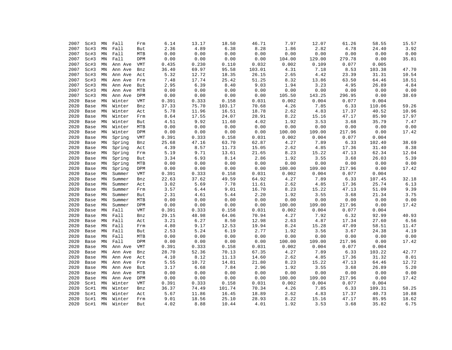|      |      |               |         |            | 6.14  | 13.17 | 18.50  | 46.71  | 7.97   | 12.07  |        |        |       |
|------|------|---------------|---------|------------|-------|-------|--------|--------|--------|--------|--------|--------|-------|
| 2007 | Sc#3 | ΜN            | Fall    | Frm        |       |       |        |        |        |        | 61.26  | 58.55  | 15.57 |
| 2007 | Sc#3 | MN            | Fall    | But        | 2.36  | 4.89  | 6.38   | 8.28   | 1.86   | 2.82   | 4.78   | 24.40  | 3.92  |
| 2007 | Sc#3 | MN            | Fall    | MTB        | 0.00  | 0.00  | 0.00   | 0.00   | 0.00   | 0.00   | 0.00   | 0.00   | 0.00  |
| 2007 | Sc#3 | MN            | Fall    | DPM        | 0.00  | 0.00  | 0.00   | 0.00   | 104.00 | 129.00 | 279.78 | 0.00   | 35.81 |
| 2007 | Sc#3 | MN            | Ann Ave | VMT        | 0.435 | 0.230 | 0.110  | 0.032  | 0.002  | 0.109  | 0.077  | 0.005  |       |
| 2007 | Sc#3 | MN            | Ann Ave | Bnz        | 36.40 | 69.97 | 95.58  | 103.01 | 4.31   | 7.18   | 8.53   | 103.38 | 47.70 |
| 2007 | Sc#3 | $\texttt{MN}$ | Ann Ave | Act        | 5.32  | 12.72 | 18.35  | 26.15  | 2.65   | 4.42   | 23.39  | 31.31  | 10.54 |
| 2007 | Sc#3 | MN            | Ann Ave | Frm        | 7.48  | 17.74 | 25.42  | 51.25  | 8.32   | 13.86  | 63.50  | 64.46  | 18.51 |
| 2007 | Sc#3 | MN            | Ann Ave | But        | 2.95  | 6.39  | 8.40   | 9.03   | 1.94   | 3.23   | 4.95   | 26.89  | 4.84  |
| 2007 | Sc#3 | MN            | Ann Ave | MTB        | 0.00  | 0.00  | 0.00   | 0.00   | 0.00   | 0.00   | 0.00   | 0.00   | 0.00  |
| 2007 | Sc#3 | MN            | Ann Ave | DPM        | 0.00  | 0.00  | 0.00   | 0.00   | 105.50 | 143.25 | 296.95 | 0.00   | 38.69 |
| 2020 | Base | MN            | Winter  | <b>VMT</b> | 0.391 | 0.333 | 0.158  | 0.031  | 0.002  | 0.004  | 0.077  | 0.004  |       |
| 2020 | Base | MN            | Winter  | Bnz        | 37.33 | 75.70 | 103.17 | 70.68  | 4.26   | 7.85   | 6.33   | 110.06 | 59.26 |
| 2020 | Base | MN            | Winter  | Act        | 5.78  | 11.96 | 16.51  | 18.78  | 2.62   | 4.83   | 17.37  | 40.52  | 10.96 |
| 2020 | Base | MN            | Winter  | Frm        | 8.64  | 17.55 | 24.07  | 28.91  | 8.22   | 15.16  | 47.17  | 85.90  | 17.97 |
| 2020 | Base | MN            | Winter  | But        | 4.51  | 9.92  | 11.60  | 4.02   | 1.92   | 3.53   | 3.68   | 35.79  | 7.47  |
| 2020 | Base | MN            | Winter  | MTB        | 0.00  | 0.00  | 0.00   | 0.00   | 0.00   | 0.00   | 0.00   | 0.00   | 0.00  |
| 2020 | Base | MN            | Winter  | DPM        | 0.00  | 0.00  | 0.00   | 0.00   | 100.00 | 109.00 | 217.96 | 0.00   | 17.42 |
| 2020 | Base | MN            | Spring  | VMT        | 0.391 | 0.333 | 0.158  | 0.031  | 0.002  | 0.004  | 0.077  | 0.004  |       |
| 2020 | Base | MN            | Spring  | Bnz        | 25.68 | 47.16 | 63.70  | 62.87  | 4.27   | 7.89   | 6.33   | 102.40 | 38.69 |
| 2020 | Base | MN            | Spring  | Act        | 4.39  | 8.57  | 11.73  | 15.05  | 2.62   | 4.85   | 17.36  | 31.40  | 8.38  |
| 2020 | Base | MN            | Spring  | Frm        | 5.19  | 9.71  | 13.61  | 21.65  | 8.23   | 15.22  | 47.13  | 62.34  | 12.04 |
| 2020 | Base | MN            | Spring  | But        | 3.34  | 6.93  | 8.14   | 2.86   | 1.92   | 3.55   | 3.68   | 26.03  | 5.39  |
| 2020 | Base | MN            | Spring  | MTB        | 0.00  | 0.00  | 0.00   | 0.00   | 0.00   | 0.00   | 0.00   | 0.00   | 0.00  |
| 2020 | Base | MN            | Spring  | DPM        | 0.00  | 0.00  | 0.00   | 0.00   | 100.00 | 109.00 | 217.96 | 0.00   | 17.42 |
| 2020 | Base | MN            | Summer  | <b>VMT</b> | 0.391 | 0.333 | 0.158  | 0.031  | 0.002  | 0.004  | 0.077  | 0.004  |       |
| 2020 | Base | MN            | Summer  | Bnz        | 22.63 | 37.62 | 49.59  | 64.92  | 4.27   | 7.89   | 6.33   | 107.45 | 32.18 |
| 2020 | Base | MN            | Summer  | Act        | 3.02  | 5.69  | 7.78   | 11.61  | 2.62   | 4.85   | 17.36  | 25.74  | 6.13  |
| 2020 |      | MN            | Summer  |            | 3.57  | 6.44  | 9.01   | 16.70  | 8.23   | 15.22  | 47.13  | 51.09  | 9.39  |
| 2020 | Base | MN            | Summer  | Frm        | 2.31  | 4.61  | 5.44   | 2.20   | 1.92   | 3.55   | 3.68   | 21.34  | 3.75  |
|      | Base |               |         | But        |       |       |        |        |        |        |        |        |       |
| 2020 | Base | MN            | Summer  | MTB        | 0.00  | 0.00  | 0.00   | 0.00   | 0.00   | 0.00   | 0.00   | 0.00   | 0.00  |
| 2020 | Base | MN            | Summer  | DPM        | 0.00  | 0.00  | 0.00   | 0.00   | 100.00 | 109.00 | 217.96 | 0.00   | 17.42 |
| 2020 | Base | MN            | Fall    | <b>VMT</b> | 0.391 | 0.333 | 0.158  | 0.031  | 0.002  | 0.004  | 0.077  | 0.004  |       |
| 2020 | Base | MN            | Fall    | Bnz        | 29.15 | 48.98 | 64.06  | 70.94  | 4.27   | 7.92   | 6.32   | 92.99  | 40.93 |
| 2020 | Base | MN            | Fall    | Act        | 3.21  | 6.27  | 8.50   | 12.98  | 2.63   | 4.87   | 17.34  | 27.60  | 6.56  |
| 2020 | Base | MN            | Fall    | Frm        | 4.80  | 9.17  | 12.53  | 19.94  | 8.24   | 15.28  | 47.09  | 58.51  | 11.47 |
| 2020 | Base | MN            | Fall    | But        | 2.53  | 5.24  | 6.19   | 2.77   | 1.92   | 3.56   | 3.67   | 24.38  | 4.19  |
| 2020 | Base | MN            | Fall    | MTB        | 0.00  | 0.00  | 0.00   | 0.00   | 0.00   | 0.00   | 0.00   | 0.00   | 0.00  |
| 2020 | Base | MN            | Fall    | DPM        | 0.00  | 0.00  | 0.00   | 0.00   | 100.00 | 109.00 | 217.96 | 0.00   | 17.42 |
| 2020 | Base | MN            | Ann Ave | VMT        | 0.391 | 0.333 | 0.158  | 0.031  | 0.002  | 0.004  | 0.077  | 0.004  |       |
| 2020 | Base | MN            | Ann Ave | Bnz        | 28.70 | 52.36 | 70.13  | 67.35  | 4.27   | 7.89   | 6.33   | 103.22 | 42.77 |
| 2020 | Base | MN            | Ann Ave | Act        | 4.10  | 8.12  | 11.13  | 14.60  | 2.62   | 4.85   | 17.36  | 31.32  | 8.01  |
| 2020 | Base | MN            | Ann Ave | Frm        | 5.55  | 10.72 | 14.81  | 21.80  | 8.23   | 15.22  | 47.13  | 64.46  | 12.72 |
| 2020 | Base | MN            | Ann Ave | But        | 3.17  | 6.68  | 7.84   | 2.96   | 1.92   | 3.55   | 3.68   | 26.89  | 5.20  |
| 2020 | Base | MN            | Ann Ave | MTB        | 0.00  | 0.00  | 0.00   | 0.00   | 0.00   | 0.00   | 0.00   | 0.00   | 0.00  |
| 2020 | Base | MN            | Ann Ave | DPM        | 0.00  | 0.00  | 0.00   | 0.00   | 100.00 | 109.00 | 217.96 | 0.00   | 17.42 |
| 2020 | Sc#1 | MN            | Winter  | <b>VMT</b> | 0.391 | 0.333 | 0.158  | 0.031  | 0.002  | 0.004  | 0.077  | 0.004  |       |
| 2020 | Sc#1 | MN            | Winter  | Bnz        | 36.37 | 74.49 | 101.74 | 70.34  | 4.26   | 7.85   | 6.33   | 109.31 | 58.25 |
| 2020 | Sc#1 | MN            | Winter  | Act        | 5.67  | 11.86 | 16.45  | 18.89  | 2.62   | 4.83   | 17.37  | 40.73  | 10.88 |
| 2020 | Sc#1 | $\texttt{MN}$ | Winter  | Frm        | 9.01  | 18.56 | 25.10  | 28.93  | 8.22   | 15.16  | 47.17  | 85.95  | 18.62 |
| 2020 | Sc#1 | MN            | Winter  | But        | 4.02  | 8.88  | 10.44  | 4.01   | 1.92   | 3.53   | 3.68   | 35.82  | 6.75  |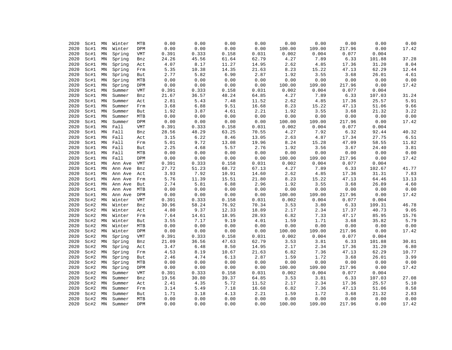| 2020 | Sc#1 | ΜN            | Winter  | MTB        | 0.00  | 0.00     | 0.00  | 0.00  | 0.00   | 0.00   | 0.00   | 0.00   | 0.00  |
|------|------|---------------|---------|------------|-------|----------|-------|-------|--------|--------|--------|--------|-------|
| 2020 | Sc#1 | MN            | Winter  | DPM        | 0.00  | 0.00     | 0.00  | 0.00  | 100.00 | 109.00 | 217.96 | 0.00   | 17.42 |
| 2020 | Sc#1 | MN            | Spring  | VMT        | 0.391 | 0.333    | 0.158 | 0.031 | 0.002  | 0.004  | 0.077  | 0.004  |       |
| 2020 | Sc#1 | MN            | Spring  | Bnz        | 24.26 | 45.56    | 61.64 | 62.79 | 4.27   | 7.89   | 6.33   | 101.88 | 37.28 |
| 2020 | Sc#1 | MN            | Spring  | Act        | 4.07  | 8.17     | 11.27 | 14.95 | 2.62   | 4.85   | 17.36  | 31.20  | 8.04  |
| 2020 | Sc#1 | MN            | Spring  | Frm        | 5.35  | 10.38    | 14.35 | 21.63 | 8.23   | 15.22  | 47.13  | 62.29  | 12.44 |
| 2020 | Sc#1 | MN            | Spring  | But        | 2.77  | 5.82     | 6.90  | 2.87  | 1.92   | 3.55   | 3.68   | 26.01  | 4.61  |
| 2020 | Sc#1 | MN            | Spring  | MTB        | 0.00  | 0.00     | 0.00  | 0.00  | 0.00   | 0.00   | 0.00   | 0.00   | 0.00  |
| 2020 | Sc#1 | MN            | Spring  | DPM        | 0.00  | 0.00     | 0.00  | 0.00  | 100.00 | 109.00 | 217.96 | 0.00   | 17.42 |
| 2020 | Sc#1 | MN            | Summer  | VMT        | 0.391 | 0.333    | 0.158 | 0.031 | 0.002  | 0.004  | 0.077  | 0.004  |       |
| 2020 | Sc#1 | MN            | Summer  | Bnz        | 21.67 | 36.57    | 48.24 | 64.85 | 4.27   | 7.89   | 6.33   | 107.03 | 31.24 |
| 2020 |      |               |         |            | 2.81  | 5.43     | 7.48  | 11.52 | 2.62   | 4.85   | 17.36  | 25.57  | 5.91  |
|      | Sc#1 | MN            | Summer  | Act        |       | 6.88     |       |       | 8.23   | 15.22  |        |        | 9.66  |
| 2020 | Sc#1 | MN            | Summer  | Frm        | 3.68  |          | 9.51  | 16.68 |        |        | 47.13  | 51.06  |       |
| 2020 | Sc#1 | MN            | Summer  | But        | 1.92  | 3.87     | 4.61  | 2.21  | 1.92   | 3.55   | 3.68   | 21.32  | 3.22  |
| 2020 | Sc#1 | MN            | Summer  | MTB        | 0.00  | 0.00     | 0.00  | 0.00  | 0.00   | 0.00   | 0.00   | 0.00   | 0.00  |
| 2020 | Sc#1 | MN            | Summer  | DPM        | 0.00  | 0.00     | 0.00  | 0.00  | 100.00 | 109.00 | 217.96 | 0.00   | 17.42 |
| 2020 | Sc#1 | $\texttt{MN}$ | Fall    | VMT        | 0.391 | 0.333    | 0.158 | 0.031 | 0.002  | 0.004  | 0.077  | 0.004  |       |
| 2020 | Sc#1 | MN            | Fall    | Bnz        | 28.56 | 48.29    | 63.25 | 70.55 | 4.27   | 7.92   | 6.32   | 92.44  | 40.32 |
| 2020 | Sc#1 | MN            | Fall    | Act        | 3.15  | 6.22     | 8.46  | 13.05 | 2.63   | 4.87   | 17.34  | 27.75  | 6.51  |
| 2020 | Sc#1 | MN            | Fall    | Frm        | 5.01  | 9.72     | 13.08 | 19.96 | 8.24   | 15.28  | 47.09  | 58.55  | 11.82 |
| 2020 | Sc#1 | MN            | Fall    | But        | 2.25  | 4.68     | 5.57  | 2.76  | 1.92   | 3.56   | 3.67   | 24.40  | 3.81  |
| 2020 | Sc#1 | MN            | Fall    | MTB        | 0.00  | 0.00     | 0.00  | 0.00  | 0.00   | 0.00   | 0.00   | 0.00   | 0.00  |
| 2020 | Sc#1 | MN            | Fall    | DPM        | 0.00  | 0.00     | 0.00  | 0.00  | 100.00 | 109.00 | 217.96 | 0.00   | 17.42 |
| 2020 | Sc#1 | MN            | Ann Ave | VMT        | 0.391 | 0.333    | 0.158 | 0.031 | 0.002  | 0.004  | 0.077  | 0.004  |       |
| 2020 | Sc#1 | MN            | Ann Ave | Bnz        | 27.72 | 51.23    | 68.72 | 67.13 | 4.27   | 7.89   | 6.33   | 102.67 | 41.77 |
| 2020 | Sc#1 | MN            | Ann Ave | Act        | 3.93  | 7.92     | 10.91 | 14.60 | 2.62   | 4.85   | 17.36  | 31.31  | 7.83  |
| 2020 | Sc#1 | MN            | Ann Ave | Frm        | 5.76  | 11.39    | 15.51 | 21.80 | 8.23   | 15.22  | 47.13  | 64.46  | 13.13 |
| 2020 | Sc#1 | MN            | Ann Ave | But        | 2.74  | 5.81     | 6.88  | 2.96  | 1.92   | 3.55   | 3.68   | 26.89  | 4.60  |
| 2020 | Sc#1 | MN            | Ann Ave | MTB        | 0.00  | 0.00     | 0.00  | 0.00  | 0.00   | 0.00   | 0.00   | 0.00   | 0.00  |
| 2020 | Sc#1 | MN            | Ann Ave | DPM        | 0.00  | 0.00     | 0.00  | 0.00  | 100.00 | 109.00 | 217.96 | 0.00   | 17.42 |
| 2020 | Sc#2 | MN            | Winter  | <b>VMT</b> | 0.391 | 0.333    | 0.158 | 0.031 | 0.002  | 0.004  | 0.077  | 0.004  |       |
| 2020 | Sc#2 | MN            | Winter  | Bnz        | 30.96 | 58.24    | 76.92 | 70.34 | 3.53   | 3.80   | 6.33   | 109.31 | 46.78 |
| 2020 | Sc#2 | MN            | Winter  | Act        | 4.80  | 9.37     | 12.33 | 18.89 | 2.17   | 2.34   | 17.37  | 40.73  | 9.05  |
| 2020 | Sc#2 | MN            | Winter  | Frm        | 7.64  | 14.61    | 18.95 | 28.93 | 6.82   | 7.33   | 47.17  | 85.95  | 15.76 |
| 2020 | Sc#2 | MN            | Winter  | <b>But</b> | 3.55  | 7.17     | 9.19  | 4.01  | 1.59   | 1.71   | 3.68   | 35.82  | 5.79  |
| 2020 | Sc#2 | $\texttt{MN}$ | Winter  | MTB        | 0.00  | 0.00     | 0.00  | 0.00  | 0.00   | 0.00   | 0.00   | 0.00   | 0.00  |
| 2020 | Sc#2 | MN            | Winter  | DPM        | 0.00  | 0.00     | 0.00  | 0.00  | 100.00 | 109.00 | 217.96 | 0.00   | 17.42 |
| 2020 | Sc#2 | MN            | Spring  | VMT        | 0.391 | 0.333    | 0.158 | 0.031 | 0.002  | 0.004  | 0.077  | 0.004  |       |
| 2020 | Sc#2 | $\texttt{MN}$ | Spring  | Bnz        | 21.09 | 36.56    | 47.63 | 62.79 | 3.53   | 3.81   | 6.33   | 101.88 | 30.81 |
| 2020 | Sc#2 | MN            | Spring  | Act        | 3.47  | $6.48\,$ | 8.50  | 14.95 | 2.17   | 2.34   | 17.36  | 31.20  | 6.80  |
| 2020 | Sc#2 | MN            | Spring  | Frm        | 4.53  | 8.19     | 10.67 | 21.63 | 6.82   | 7.36   | 47.13  | 62.29  | 10.77 |
| 2020 | Sc#2 | MN            |         |            |       | 4.74     | 6.13  | 2.87  | 1.59   | 1.72   | 3.68   | 26.01  | 3.99  |
|      |      |               | Spring  | But        | 2.46  |          |       |       |        |        |        |        |       |
| 2020 | Sc#2 | MN            | Spring  | MTB        | 0.00  | 0.00     | 0.00  | 0.00  | 0.00   | 0.00   | 0.00   | 0.00   | 0.00  |
| 2020 | Sc#2 | MN            | Spring  | DPM        | 0.00  | 0.00     | 0.00  | 0.00  | 100.00 | 109.00 | 217.96 | 0.00   | 17.42 |
| 2020 | Sc#2 | MN            | Summer  | <b>VMT</b> | 0.391 | 0.333    | 0.158 | 0.031 | 0.002  | 0.004  | 0.077  | 0.004  |       |
| 2020 | Sc#2 | MN            | Summer  | Bnz        | 19.56 | 30.80    | 39.37 | 64.85 | 3.53   | 3.81   | 6.33   | 107.03 | 27.08 |
| 2020 | Sc#2 | MN            | Summer  | Act        | 2.41  | 4.35     | 5.72  | 11.52 | 2.17   | 2.34   | 17.36  | 25.57  | 5.10  |
| 2020 | Sc#2 | MN            | Summer  | Frm        | 3.14  | 5.49     | 7.18  | 16.68 | 6.82   | 7.36   | 47.13  | 51.06  | 8.58  |
| 2020 | Sc#2 | MN            | Summer  | But        | 1.71  | 3.18     | 4.13  | 2.21  | 1.59   | 1.72   | 3.68   | 21.32  | 2.83  |
| 2020 | Sc#2 | MN            | Summer  | MTB        | 0.00  | 0.00     | 0.00  | 0.00  | 0.00   | 0.00   | 0.00   | 0.00   | 0.00  |
| 2020 | Sc#2 | MN            | Summer  | <b>DPM</b> | 0.00  | 0.00     | 0.00  | 0.00  | 100.00 | 109.00 | 217.96 | 0.00   | 17.42 |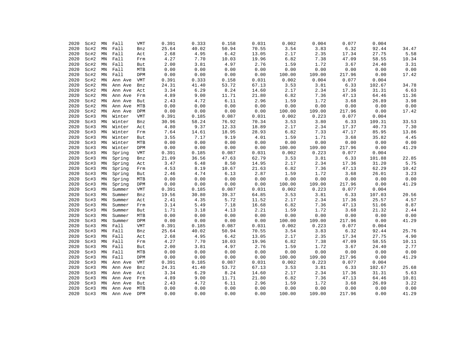| 2020 | Sc#2 | MN            | Fall    | <b>VMT</b> | 0.391 | 0.333 | 0.158 | 0.031 | 0.002  | 0.004  | 0.077  | 0.004  |       |
|------|------|---------------|---------|------------|-------|-------|-------|-------|--------|--------|--------|--------|-------|
| 2020 | Sc#2 | MN            | Fall    | Bnz        | 25.64 | 40.02 | 50.94 | 70.55 | 3.54   | 3.83   | 6.32   | 92.44  | 34.47 |
| 2020 | Sc#2 | $\texttt{MN}$ | Fall    | Act        | 2.68  | 4.95  | 6.42  | 13.05 | 2.17   | 2.35   | 17.34  | 27.75  | 5.58  |
| 2020 | Sc#2 | MN            | Fall    | Frm        | 4.27  | 7.70  | 10.03 | 19.96 | 6.82   | 7.38   | 47.09  | 58.55  | 10.34 |
| 2020 | Sc#2 | MN            | Fall    | But        | 2.00  | 3.81  | 4.97  | 2.76  | 1.59   | 1.72   | 3.67   | 24.40  | 3.31  |
| 2020 | Sc#2 | MN            | Fall    | MTB        | 0.00  | 0.00  | 0.00  | 0.00  | 0.00   | 0.00   | 0.00   | 0.00   | 0.00  |
| 2020 | Sc#2 | $\texttt{MN}$ | Fall    | DPM        | 0.00  | 0.00  | 0.00  | 0.00  | 100.00 | 109.00 | 217.96 | 0.00   | 17.42 |
| 2020 | Sc#2 | MN            | Ann Ave | VMT        | 0.391 | 0.333 | 0.158 | 0.031 | 0.002  | 0.004  | 0.077  | 0.004  |       |
| 2020 | Sc#2 | MN            | Ann Ave | Bnz        | 24.31 | 41.40 | 53.72 | 67.13 | 3.53   | 3.81   | 6.33   | 102.67 | 34.78 |
| 2020 | Sc#2 | MN            | Ann Ave | Act        | 3.34  | 6.29  | 8.24  | 14.60 | 2.17   | 2.34   | 17.36  | 31.31  | 6.63  |
| 2020 | Sc#2 | MN            | Ann Ave | Frm        | 4.89  | 9.00  | 11.71 | 21.80 | 6.82   | 7.36   | 47.13  | 64.46  | 11.36 |
| 2020 | Sc#2 | MN            | Ann Ave | But        | 2.43  | 4.72  | 6.11  | 2.96  | 1.59   | 1.72   | 3.68   | 26.89  | 3.98  |
| 2020 | Sc#2 | MN            | Ann Ave | MTB        | 0.00  | 0.00  | 0.00  | 0.00  | 0.00   | 0.00   | 0.00   | 0.00   | 0.00  |
| 2020 | Sc#2 | MN            | Ann Ave | DPM        | 0.00  | 0.00  | 0.00  | 0.00  | 100.00 | 109.00 | 217.96 | 0.00   | 17.42 |
| 2020 | Sc#3 | MN            | Winter  | VMT        | 0.391 | 0.185 | 0.087 | 0.031 | 0.002  | 0.223  | 0.077  | 0.004  |       |
| 2020 | Sc#3 | MN            | Winter  | Bnz        | 30.96 | 58.24 | 76.92 | 70.34 | 3.53   | 3.80   | 6.33   | 109.31 | 33.53 |
| 2020 | Sc#3 | MN            | Winter  | Act        | 4.80  | 9.37  | 12.33 | 18.89 | 2.17   | 2.34   | 17.37  | 40.73  | 7.30  |
| 2020 | Sc#3 | $\texttt{MN}$ | Winter  | Frm        | 7.64  | 14.61 | 18.95 | 28.93 | 6.82   | 7.33   | 47.17  | 85.95  | 13.86 |
| 2020 | Sc#3 | MN            | Winter  | But        | 3.55  | 7.17  | 9.19  | 4.01  | 1.59   | 1.71   | 3.68   | 35.82  | 4.45  |
| 2020 | Sc#3 | $\texttt{MN}$ | Winter  | MTB        | 0.00  | 0.00  | 0.00  | 0.00  | 0.00   | 0.00   | 0.00   | 0.00   | 0.00  |
| 2020 | Sc#3 | MN            | Winter  | DPM        | 0.00  | 0.00  | 0.00  | 0.00  | 100.00 | 109.00 | 217.96 | 0.00   | 41.29 |
| 2020 | Sc#3 | MN            | Spring  | VMT        | 0.391 | 0.185 | 0.087 | 0.031 | 0.002  | 0.223  | 0.077  | 0.004  |       |
| 2020 | Sc#3 | MN            | Spring  | Bnz        | 21.09 | 36.56 | 47.63 | 62.79 | 3.53   | 3.81   | 6.33   | 101.88 | 22.85 |
| 2020 | Sc#3 | MN            | Spring  | Act        | 3.47  | 6.48  | 8.50  | 14.95 | 2.17   | 2.34   | 17.36  | 31.20  | 5.75  |
| 2020 | Sc#3 | MN            | Spring  | Frm        | 4.53  | 8.19  | 10.67 | 21.63 | 6.82   | 7.36   | 47.13  | 62.29  | 10.42 |
| 2020 | Sc#3 | $\texttt{MN}$ | Spring  | But        | 2.46  | 4.74  | 6.13  | 2.87  | 1.59   | 1.72   | 3.68   | 26.01  | 3.23  |
| 2020 | Sc#3 | $\texttt{MN}$ | Spring  | MTB        | 0.00  | 0.00  | 0.00  | 0.00  | 0.00   | 0.00   | 0.00   | 0.00   | 0.00  |
| 2020 | Sc#3 | MN            | Spring  | DPM        | 0.00  | 0.00  | 0.00  | 0.00  | 100.00 | 109.00 | 217.96 | 0.00   | 41.29 |
| 2020 | Sc#3 | MN            | Summer  | <b>VMT</b> | 0.391 | 0.185 | 0.087 | 0.031 | 0.002  | 0.223  | 0.077  | 0.004  |       |
| 2020 | Sc#3 | MN            | Summer  | Bnz        | 19.56 | 30.80 | 39.37 | 64.85 | 3.53   | 3.81   | 6.33   | 107.03 | 20.56 |
| 2020 | Sc#3 | MN            | Summer  | Act        | 2.41  | 4.35  | 5.72  | 11.52 | 2.17   | 2.34   | 17.36  | 25.57  | 4.57  |
| 2020 | Sc#3 | MN            | Summer  | Frm        | 3.14  | 5.49  | 7.18  | 16.68 | 6.82   | 7.36   | 47.13  | 51.06  | 8.87  |
| 2020 | Sc#3 | $\texttt{MN}$ | Summer  | But        | 1.71  | 3.18  | 4.13  | 2.21  | 1.59   | 1.72   | 3.68   | 21.32  | 2.44  |
| 2020 | Sc#3 | MN            | Summer  | MTB        | 0.00  | 0.00  | 0.00  | 0.00  | 0.00   | 0.00   | 0.00   | 0.00   | 0.00  |
| 2020 | Sc#3 | MN            | Summer  | DPM        | 0.00  | 0.00  | 0.00  | 0.00  | 100.00 | 109.00 | 217.96 | 0.00   | 41.29 |
| 2020 | Sc#3 | $\texttt{MN}$ | Fall    | <b>VMT</b> | 0.391 | 0.185 | 0.087 | 0.031 | 0.002  | 0.223  | 0.077  | 0.004  |       |
| 2020 | Sc#3 | MN            | Fall    | Bnz        | 25.64 | 40.02 | 50.94 | 70.55 | 3.54   | 3.83   | 6.32   | 92.44  | 25.76 |
| 2020 | Sc#3 | MN            | Fall    | Act        | 2.68  | 4.95  | 6.42  | 13.05 | 2.17   | 2.35   | 17.34  | 27.75  | 4.90  |
| 2020 | Sc#3 | MN            | Fall    | Frm        | 4.27  | 7.70  | 10.03 | 19.96 | 6.82   | 7.38   | 47.09  | 58.55  | 10.11 |
| 2020 | Sc#3 | $\texttt{MN}$ | Fall    | But        | 2.00  | 3.81  | 4.97  | 2.76  | 1.59   | 1.72   | 3.67   | 24.40  | 2.77  |
| 2020 | Sc#3 | $\texttt{MN}$ | Fall    | MTB        | 0.00  | 0.00  | 0.00  | 0.00  | 0.00   | 0.00   | 0.00   | 0.00   | 0.00  |
| 2020 | Sc#3 | MN            | Fall    | DPM        | 0.00  | 0.00  | 0.00  | 0.00  | 100.00 | 109.00 | 217.96 | 0.00   | 41.29 |
| 2020 | Sc#3 | MN            | Ann Ave | <b>VMT</b> | 0.391 | 0.185 | 0.087 | 0.031 | 0.002  | 0.223  | 0.077  | 0.004  |       |
| 2020 | Sc#3 | MN            | Ann Ave | Bnz        | 24.31 | 41.40 | 53.72 | 67.13 | 3.53   | 3.81   | 6.33   | 102.67 | 25.68 |
| 2020 | Sc#3 | MN            | Ann Ave | Act        | 3.34  | 6.29  | 8.24  | 14.60 | 2.17   | 2.34   | 17.36  | 31.31  | 5.63  |
| 2020 | Sc#3 | MN            | Ann Ave | Frm        | 4.89  | 9.00  | 11.71 | 21.80 | 6.82   | 7.36   | 47.13  | 64.46  | 10.81 |
| 2020 | Sc#3 | MN            | Ann Ave | But        | 2.43  | 4.72  | 6.11  | 2.96  | 1.59   | 1.72   | 3.68   | 26.89  | 3.22  |
| 2020 | Sc#3 | MN            | Ann Ave | MTB        | 0.00  | 0.00  | 0.00  | 0.00  | 0.00   | 0.00   | 0.00   | 0.00   | 0.00  |
| 2020 | Sc#3 | $\texttt{MN}$ | Ann Ave | DPM        | 0.00  | 0.00  | 0.00  | 0.00  | 100.00 | 109.00 | 217.96 | 0.00   | 41.29 |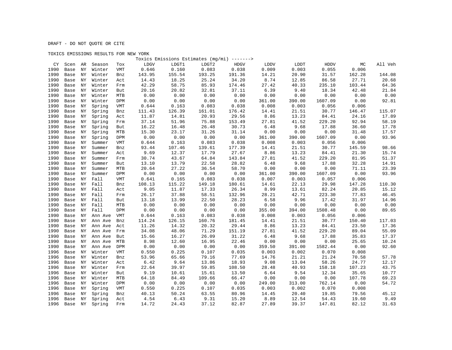### TOXICS EMISSIONS RESULTS FOR NEW YORK

|      |            |     |                |            |        |        | Toxics Emissions Estimates (mg/mi) -------> |        |        |        |             |        |         |
|------|------------|-----|----------------|------------|--------|--------|---------------------------------------------|--------|--------|--------|-------------|--------|---------|
|      | CY<br>Scen | AR  | Season         | Tox        | LDGV   | LDGT1  | LDGT2                                       | HDGV   | LDDV   | LDDT   | <b>HDDV</b> | МC     | All Veh |
| 1990 | Base       | ΝY  | Winter         | <b>VMT</b> | 0.646  | 0.160  | 0.083                                       | 0.038  | 0.009  | 0.003  | 0.055       | 0.006  |         |
| 1990 | Base       | ΝY  | Winter         | Bnz        | 143.95 | 155.54 | 193.25                                      | 191.36 | 14.21  | 20.90  | 31.57       | 162.28 | 144.08  |
| 1990 | Base       | ΝY  | Winter         | Act        | 14.43  | 18.25  | 25.24                                       | 34.20  | 8.74   | 12.85  | 86.58       | 27.71  | 20.68   |
| 1990 | Base       | ΝY  | Winter         | Frm        | 42.29  | 58.75  | 85.93                                       | 174.46 | 27.42  | 40.33  | 235.10      | 103.44 | 64.36   |
| 1990 | Base       | ΝY  | Winter         | But        | 20.16  | 20.82  | 32.81                                       | 37.11  | 6.39   | 9.40   | 18.34       | 42.48  | 21.84   |
| 1990 | Base       | ΝY  | Winter         | MTB        | 0.00   | 0.00   | 0.00                                        | 0.00   | 0.00   | 0.00   | 0.00        | 0.00   | 0.00    |
| 1990 | Base       | ΝY  | Winter         | DPM        | 0.00   | 0.00   | 0.00                                        | 0.00   | 361.00 | 390.00 | 1607.09     | 0.00   | 92.81   |
| 1990 | Base       | ΝY  | Spring         | <b>VMT</b> | 0.644  | 0.163  | 0.083                                       | 0.038  | 0.008  | 0.003  | 0.056       | 0.006  |         |
| 1990 | Base       | ΝY  | Spring         | Bnz        | 111.43 | 126.39 | 161.01                                      | 176.42 | 14.41  | 21.51  | 30.77       | 146.47 | 115.07  |
| 1990 | Base       | NY  | Spring         | Act        | 11.87  | 14.81  | 20.93                                       | 29.56  | 8.86   | 13.23  | 84.41       | 24.16  | 17.89   |
| 1990 | Base       | ΝY  | Spring         | Frm        | 37.14  | 51.96  | 75.88                                       | 153.49 | 27.81  | 41.52  | 229.20      | 92.94  | 58.19   |
| 1990 | Base       | ΝY  | Spring         | But        | 16.22  | 16.48  | 26.48                                       | 30.73  | 6.48   | 9.68   | 17.88       | 36.60  | 17.78   |
| 1990 | Base       | ΝY  | Spring         | MTB        | 15.30  | 23.17  | 31.26                                       | 31.14  | 0.00   | 0.00   | 0.00        | 31.48  | 17.57   |
| 1990 | Base       | ΝY  | Spring         | <b>DPM</b> | 0.00   | 0.00   | 0.00                                        | 0.00   | 361.00 | 390.00 | 1607.09     | 0.00   | 93.96   |
| 1990 | Base       | ΝY  | Summer         | VMT        | 0.644  | 0.163  | 0.083                                       | 0.038  | 0.008  | 0.003  | 0.056       | 0.006  |         |
| 1990 | Base       | ΝY  | Summer         | Bnz        | 93.44  | 107.46 | 139.61                                      | 177.39 | 14.41  | 21.51  | 30.77       | 145.59 | 98.66   |
| 1990 | Base       | ΝY  | Summer         | Act        | 9.69   | 12.37  | 17.79                                       | 27.67  | 8.86   | 13.23  | 84.41       | 21.30  | 15.74   |
| 1990 | Base       | ΝY  | Summer         | Frm        | 30.74  | 43.67  | 64.84                                       | 143.84 | 27.81  | 41.52  | 229.20      | 81.95  | 51.37   |
| 1990 | Base       | ΝY  | Summer         | But        | 13.10  | 13.79  | 22.58                                       | 28.82  | 6.48   | 9.68   | 17.88       | 32.28  | 14.91   |
| 1990 | Base       | ΝY  | Summer         | MTB        | 20.64  | 27.22  | 36.54                                       | 58.70  | 0.00   | 0.00   | 0.00        | 71.11  | 23.39   |
| 1990 | Base       | ΝY  | Summer         | DPM        | 0.00   | 0.00   | 0.00                                        | 0.00   | 361.00 | 390.00 | 1607.09     | 0.00   | 93.96   |
| 1990 | Base       | ΝY  | Fall           | <b>VMT</b> | 0.641  | 0.165  | 0.083                                       | 0.038  | 0.007  | 0.003  | 0.057       | 0.006  |         |
| 1990 | Base       | NY  | Fall           | Bnz        | 108.13 | 115.22 | 149.18                                      | 180.61 | 14.61  | 22.13  | 29.98       | 147.28 | 110.30  |
| 1990 | Base       | ΝY  | Fall           | Act        | 9.05   | 11.87  | 17.33                                       | 26.34  | 8.99   | 13.61  | 82.24       | 20.85  | 15.12   |
| 1990 | Base       | ΝY  | Fall           | Frm        | 26.17  | 37.88  | 58.51                                       | 132.96 | 28.21  | 42.71  | 223.30      | 77.83  | 46.45   |
| 1990 | Base       | NY  | Fall           | But        | 13.18  | 13.99  | 22.50                                       | 28.23  | 6.58   | 9.96   | 17.42       | 31.97  | 14.96   |
| 1990 | Base       | ΝY  | Fall           | MTB        | 0.00   | 0.00   | 0.00                                        | 0.00   | 0.00   | 0.00   | 0.00        | 0.00   | 0.00    |
| 1990 | Base       | ΝY  | Fall           | DPM        | 0.00   | 0.00   | 0.00                                        | 0.00   | 355.00 | 394.00 | 1508.48     | 0.00   | 89.65   |
| 1990 | Base       | ΝY  | Ann Ave        | VMT        | 0.644  | 0.163  | 0.083                                       | 0.038  | 0.008  | 0.003  | 0.056       | 0.006  |         |
| 1990 | Base       | ΝY  | Ann Ave        | Bnz        | 114.24 | 126.15 | 160.76                                      | 181.45 | 14.41  | 21.51  | 30.77       | 150.40 | 117.03  |
| 1990 | Base       | ΝY  | Ann Ave        | Act        | 11.26  | 14.32  | 20.32                                       | 29.44  | 8.86   | 13.23  | 84.41       | 23.50  | 17.36   |
| 1990 | Base       | ΝY  | Ann Ave        | Frm        | 34.08  | 48.06  | 71.29                                       | 151.19 | 27.81  | 41.52  | 229.20      | 89.04  | 55.09   |
| 1990 | Base       | ΝY  | Ann Ave        | But        | 15.66  | 16.27  | 26.09                                       | 31.22  | 6.48   | 9.68   | 17.88       | 35.83  | 17.37   |
| 1990 | Base       | ΝY  | Ann Ave        | MTB        | 8.98   | 12.60  | 16.95                                       | 22.46  | 0.00   | 0.00   | 0.00        | 25.65  | 10.24   |
| 1990 | Base       | ΝY  | Ann Ave        | DPM        | 0.00   | 0.00   | 0.00                                        | 0.00   | 359.50 | 391.00 | 1582.44     | 0.00   | 92.60   |
| 1996 | Base       | ΝY  | Winter         | <b>VMT</b> | 0.550  | 0.225  | 0.107                                       | 0.035  | 0.003  | 0.002  | 0.070       | 0.008  |         |
| 1996 | Base       | ΝY  | Winter         | Bnz        | 53.96  | 65.66  | 79.16                                       | 77.69  | 14.76  | 21.21  | 21.24       | 70.58  | 57.78   |
| 1996 | Base       | ΝY  | Winter         | Act        | 6.42   | 9.64   | 13.86                                       | 18.93  | 9.08   | 13.04  | 58.26       | 24.77  | 12.17   |
| 1996 | Base       | NY. | Winter         | Frm        | 22.64  | 39.97  | 59.85                                       | 108.50 | 28.48  | 40.93  | 158.18      | 107.23 | 43.75   |
| 1996 | Base       | ΝY  | Winter         | But        | 9.19   | 10.61  | 15.61                                       | 13.50  | 6.64   | 9.54   | 12.34       | 35.65  | 10.77   |
| 1996 | Base       | ΝY  | Winter         | MTB        | 64.18  | 84.49  | 109.66                                      | 66.47  | 0.00   | 0.00   | 0.00        | 107.78 | 69.23   |
| 1996 | Base       | ΝY  | Winter         | DPM        | 0.00   | 0.00   | 0.00                                        | 0.00   | 249.00 | 313.00 | 762.14      | 0.00   | 54.72   |
| 1996 | Base       | ΝY  | Spring         | VMT        | 0.550  | 0.225  | 0.107                                       | 0.035  | 0.003  | 0.002  | 0.070       | 0.008  |         |
| 1996 | Base       | ΝY  | Spring         | Bnz        | 40.13  | 50.24  | 63.55                                       | 80.96  | 14.45  | 20.40  | 19.85       | 79.56  | 45.12   |
| 1996 | Base       | ΝY  | Spring         | Act        | 4.54   | 6.43   | 9.31                                        | 15.20  | 8.89   | 12.54  | 54.43       | 19.60  | 9.49    |
| 1996 |            |     | Base NY Spring | Frm        | 14.72  | 24.43  | 37.12                                       | 82.87  | 27.89  | 39.37  | 147.81      | 82.12  | 31.63   |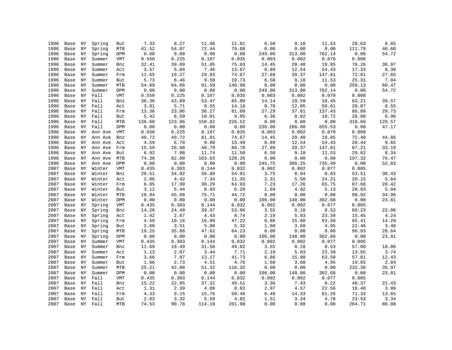| 1996 | Base    | ΝY | Spring  | But        | 7.33   | 8.27   | 11.86  | 11.81  | 6.50   | 9.18   | 11.53  | 28.63  | 8.65   |
|------|---------|----|---------|------------|--------|--------|--------|--------|--------|--------|--------|--------|--------|
| 1996 | Base    | ΝY | Spring  | MTB        | 41.52  | 54.87  | 72.44  | 79.08  | 0.00   | 0.00   | 0.00   | 111.79 | 46.60  |
| 1996 | Base    | NY | Spring  | DPM        | 0.00   | 0.00   | 0.00   | 0.00   | 249.00 | 313.00 | 762.14 | 0.00   | 54.72  |
| 1996 | Base    | ΝY | Summer  | <b>VMT</b> | 0.550  | 0.225  | 0.107  | 0.035  | 0.003  | 0.002  | 0.070  | 0.008  |        |
| 1996 | Base    | ΝY | Summer  | Bnz        | 32.41  | 39.89  | 51.05  | 75.03  | 14.45  | 20.40  | 19.85  | 76.26  | 36.97  |
| 1996 | Base    | NY | Summer  | Act        | 3.57   | 5.04   | 7.46   | 13.67  | 8.89   | 12.54  | 54.43  | 17.33  | 8.38   |
| 1996 | Base    | ΝY | Summer  | Frm        | 11.65  | 19.27  | 29.93  | 74.67  | 27.89  | 39.37  | 147.81 | 72.61  | 27.65  |
| 1996 | Base    | ΝY | Summer  | But        | 5.73   | 6.46   | 9.50   | 10.73  | 6.50   | 9.18   | 11.53  | 25.31  | 7.04   |
| 1996 | Base    | ΝY | Summer  | <b>MTB</b> | 54.89  | 64.66  | 81.59  | 140.98 | 0.00   | 0.00   | 0.00   | 259.13 | 60.47  |
| 1996 | Base    | ΝY | Summer  | DPM        | 0.00   | 0.00   | 0.00   | 0.00   | 249.00 | 313.00 | 762.14 | 0.00   | 54.72  |
| 1996 | Base    | ΝY | Fall    | VMT        | 0.550  | 0.225  | 0.107  | 0.035  | 0.003  | 0.002  | 0.070  | 0.008  |        |
| 1996 | Base    | ΝY | Fall    | Bnz        | 36.36  | 43.09  | 53.47  | 65.00  | 14.14  | 19.59  | 18.45  | 63.21  | 39.57  |
| 1996 | Base    | ΝY | Fall    | Act        | 3.81   | 5.71   | 8.55   | 14.16  | 8.70   | 12.05  | 50.61  | 20.07  | 8.55   |
| 1996 | Base    | ΝY | Fall    | Frm        | 13.36  | 23.06  | 36.27  | 81.09  | 27.29  | 37.81  | 137.43 | 86.88  | 29.73  |
| 1996 | Base    | ΝY | Fall    | But        | 5.42   | 6.59   | 10.01  | 9.95   | 6.36   | 8.82   | 10.72  | 28.88  | 6.90   |
| 1996 | Base    | ΝY | Fall    | MTB        | 136.60 | 123.96 | 150.82 | 226.52 | 0.00   | 0.00   | 0.00   | 310.60 | 129.57 |
| 1996 | Base    | ΝY | Fall    | DPM        | 0.00   | 0.00   | 0.00   | 0.00   | 236.00 | 286.00 | 655.53 | 0.00   | 47.17  |
| 1996 | Base    | ΝY | Ann Ave | VMT        | 0.550  | 0.225  | 0.107  | 0.035  | 0.003  | 0.002  | 0.070  | 0.008  |        |
| 1996 | Base    | ΝY | Ann Ave | Bnz        | 40.72  | 49.72  | 61.81  | 74.67  | 14.45  | 20.40  | 19.85  | 72.40  | 44.86  |
| 1996 | Base    | ΝY | Ann Ave | Act        | 4.59   | 6.70   | 9.80   | 15.49  | 8.89   | 12.54  | 54.43  | 20.44  | 9.65   |
| 1996 | Base    | ΝY | Ann Ave | Frm        | 15.59  | 26.68  | 40.79  | 86.78  | 27.89  | 39.37  | 147.81 | 87.21  | 33.19  |
| 1996 | Base    | ΝY | Ann Ave | But        | 6.92   | 7.98   | 11.74  | 11.50  | 6.50   | 9.18   | 11.53  | 29.62  | 8.34   |
| 1996 | Base    | ΝY | Ann Ave | MTB        | 74.30  | 82.00  | 103.63 | 128.26 | 0.00   | 0.00   | 0.00   | 197.32 | 76.47  |
| 1996 | Base    | ΝY | Ann Ave | DPM        | 0.00   | 0.00   | 0.00   | 0.00   | 245.75 | 306.25 | 735.49 | 0.00   | 52.83  |
| 2007 | Base    | ΝY | Winter  | <b>VMT</b> | 0.435  | 0.303  | 0.144  | 0.032  | 0.002  | 0.002  | 0.077  | 0.005  |        |
| 2007 | Base    | ΝY | Winter  | Bnz        | 20.51  | 34.92  | 56.89  | 54.91  | 3.75   | 8.94   | 8.83   | 53.51  | 30.43  |
| 2007 | Base    | NY | Winter  | Act        | 2.06   | 4.42   | 7.34   | 11.35  | 2.31   | 5.50   | 24.21  | 20.15  | 5.64   |
| 2007 | Base    | ΝY | Winter  | Frm        | 6.85   | 17.99  | 30.29  | 64.93  | 7.23   | 17.26  | 65.75  | 87.68  | 20.42  |
| 2007 | Base    | ΝY | Winter  | But        | 3.12   | 5.44   | 8.93   | 6.20   | 1.69   | 4.02   | 5.13   | 28.93  | 5.04   |
| 2007 | Base    | NY | Winter  | MTB        | 18.94  | 45.98  | 75.71  | 44.72  | 0.00   | 0.00   | 0.00   | 90.92  | 34.96  |
| 2007 | Base    | NY | Winter  | DPM        | 0.00   | 0.00   | 0.00   | 0.00   | 106.00 | 148.00 | 302.68 | 0.00   | 23.81  |
| 2007 | Base    | ΝY | Spring  | VMT        | 0.435  | 0.303  | 0.144  | 0.032  | 0.002  | 0.002  | 0.077  | 0.005  |        |
| 2007 | Base    | ΝY | Spring  | Bnz        | 14.20  | 24.49  | 39.97  | 53.96  | 3.55   | 8.18   | 8.53   | 60.23  | 22.06  |
| 2007 | Base    | ΝY | Spring  | Act        | 1.42   | 2.67   | 4.43   | 8.74   | 2.19   | 5.03   | 23.39  | 15.45  | 4.24   |
| 2007 | Base    | ΝY | Spring  | Frm        | 4.59   | 10.16  | 16.99  | 47.22  | 6.86   | 15.80  | 63.50  | 65.41  | 14.29  |
| 2007 | Base    | ΝY | Spring  | But        | 2.08   | 3.51   | 5.80   | 5.32   | 1.60   | 3.68   | 4.95   | 22.46  | 3.48   |
| 2007 | Base    | ΝY | Spring  | MTB        | 19.25  | 35.88  | 47.62  | 64.23  | 0.00   | 0.00   | 0.00   | 96.93  | 28.64  |
| 2007 | Base    | NY | Spring  | DPM        | 0.00   | 0.00   | 0.00   | 0.00   | 106.00 | 148.00 | 302.68 | 0.00   | 23.81  |
| 2007 | Base    | ΝY | Summer  | VMT        | 0.435  | 0.303  | 0.144  | 0.032  | 0.002  | 0.002  | 0.077  | 0.005  |        |
| 2007 | Base    | ΝY | Summer  | Bnz        | 11.69  | 19.49  | 31.50  | 49.02  | 3.55   | 8.18   | 8.53   | 57.60  | 18.06  |
| 2007 | Base    | ΝY | Summer  | Act        | 1.13   | 2.07   | 3.44   | 7.71   | 2.19   | 5.03   | 23.39  | 13.65  | 3.74   |
| 2007 | Base    | NY | Summer  | Frm        | 3.66   | 7.87   | 13.17  | 41.73  | 6.86   | 15.80  | 63.50  | 57.81  | 12.43  |
| 2007 | Base    | NY | Summer  | But        | 1.66   | 2.73   | 4.51   | 4.76   | 1.60   | 3.68   | 4.95   | 19.85  | 2.84   |
| 2007 | Base    | ΝY | Summer  | <b>MTB</b> | 25.21  | 42.00  | 51.32  | 116.32 | 0.00   | 0.00   | 0.00   | 232.38 | 35.97  |
| 2007 | Base    | ΝY | Summer  | DPM        | 0.00   | 0.00   | 0.00   | 0.00   | 106.00 | 148.00 | 302.68 | 0.00   | 23.81  |
| 2007 | Base    | ΝY | Fall    | VMT        | 0.435  | 0.303  | 0.144  | 0.032  | 0.002  | 0.002  | 0.077  | 0.005  |        |
| 2007 | Base    | NY | Fall    | Bnz        | 15.22  | 22.95  | 37.32  | 49.51  | 3.36   | 7.43   | 8.22   | 48.37  | 21.43  |
| 2007 | Base    | ΝY | Fall    | Act        | 1.31   | 2.39   | 4.08   | 8.82   | 2.07   | 4.57   | 22.56  | 16.40  | 3.99   |
| 2007 | Base    | ΝY | Fall    | Frm        | 4.33   | 9.15   | 15.76  | 50.46  | 6.49   | 14.33  | 61.26  | 71.33  | 13.65  |
| 2007 | Base NY |    | Fall    | But        | 2.03   | 3.32   | 5.59   | 4.82   | 1.51   | 3.34   | 4.78   | 23.53  | 3.34   |
| 2007 | Base    |    | NY Fall | <b>MTB</b> | 74.53  | 90.78  | 114.19 | 261.90 | 0.00   | 0.00   | 0.00   | 264.71 | 86.08  |
|      |         |    |         |            |        |        |        |        |        |        |        |        |        |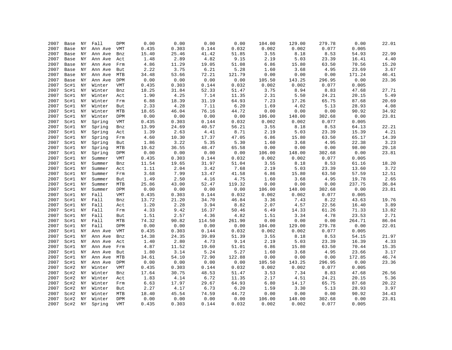| 2007 | Base | ΝY         | Fall    | DPM        | 0.00  | 0.00  | 0.00   | 0.00   | 104.00 | 129.00 | 279.78 | 0.00   | 22.01    |
|------|------|------------|---------|------------|-------|-------|--------|--------|--------|--------|--------|--------|----------|
| 2007 | Base | ΝY         | Ann Ave | VMT        | 0.435 | 0.303 | 0.144  | 0.032  | 0.002  | 0.002  | 0.077  | 0.005  |          |
| 2007 | Base | ΝY         | Ann Ave | Bnz        | 15.40 | 25.46 | 41.42  | 51.85  | 3.55   | 8.18   | 8.53   | 54.93  | 22.99    |
| 2007 | Base | ΝY         | Ann Ave | Act        | 1.48  | 2.89  | 4.82   | 9.15   | 2.19   | 5.03   | 23.39  | 16.41  | $4\,.40$ |
| 2007 | Base | ΝY         | Ann Ave | Frm        | 4.86  | 11.29 | 19.05  | 51.08  | 6.86   | 15.80  | 63.50  | 70.56  | 15.20    |
| 2007 | Base | ΝY         | Ann Ave | But        | 2.22  | 3.75  | 6.21   | 5.28   | 1.60   | 3.68   | 4.95   | 23.69  | 3.67     |
| 2007 | Base | ΝY         | Ann Ave | MTB        | 34.48 | 53.66 | 72.21  | 121.79 | 0.00   | 0.00   | 0.00   | 171.24 | 46.41    |
|      |      |            |         |            |       | 0.00  | 0.00   |        |        |        | 296.95 |        |          |
| 2007 | Base | NY         | Ann Ave | DPM        | 0.00  |       |        | 0.00   | 105.50 | 143.25 |        | 0.00   | 23.36    |
| 2007 | Sc#1 | ΝY         | Winter  | VMT        | 0.435 | 0.303 | 0.144  | 0.032  | 0.002  | 0.002  | 0.077  | 0.005  |          |
| 2007 | Sc#1 | ΝY         | Winter  | Bnz        | 18.25 | 31.84 | 52.33  | 51.47  | 3.75   | 8.94   | 8.83   | 47.68  | 27.71    |
| 2007 | Sc#1 | NY         | Winter  | Act        | 1.90  | 4.25  | 7.14   | 11.35  | 2.31   | 5.50   | 24.21  | 20.15  | 5.49     |
| 2007 | Sc#1 | ΝY         | Winter  | Frm        | 6.88  | 18.39 | 31.19  | 64.93  | 7.23   | 17.26  | 65.75  | 87.68  | 20.69    |
| 2007 | Sc#1 | ΝY         | Winter  | But        | 2.33  | 4.28  | 7.11   | 6.20   | 1.69   | 4.02   | 5.13   | 28.93  | 4.08     |
| 2007 | Sc#1 | NY         | Winter  | <b>MTB</b> | 18.65 | 46.04 | 76.16  | 44.72  | 0.00   | 0.00   | 0.00   | 90.92  | 34.92    |
| 2007 | Sc#1 | ΝY         | Winter  | DPM        | 0.00  | 0.00  | 0.00   | 0.00   | 106.00 | 148.00 | 302.68 | 0.00   | 23.81    |
| 2007 | Sc#1 | ΝY         | Spring  | VMT        | 0.435 | 0.303 | 0.144  | 0.032  | 0.002  | 0.002  | 0.077  | 0.005  |          |
| 2007 | Sc#1 | ΝY         | Spring  | Bnz        | 13.99 | 24.69 | 40.57  | 56.21  | 3.55   | 8.18   | 8.53   | 64.13  | 22.21    |
| 2007 | Sc#1 | ΝY         | Spring  | Act        | 1.39  | 2.63  | 4.41   | 8.71   | 2.19   | 5.03   | 23.39  | 15.39  | 4.21     |
| 2007 | Sc#1 | NY         | Spring  | Frm        | 4.60  | 10.30 | 17.37  | 47.05  | 6.86   | 15.80  | 63.50  | 65.17  | 14.39    |
| 2007 | Sc#1 | NY         | Spring  | But        | 1.86  | 3.22  | 5.35   | 5.30   | 1.60   | 3.68   | 4.95   | 22.38  | 3.23     |
| 2007 | Sc#1 | ΝY         | Spring  | <b>MTB</b> | 19.62 | 36.55 | 48.47  | 65.58  | 0.00   | 0.00   | 0.00   | 98.00  | 29.18    |
| 2007 | Sc#1 | NY         | Spring  | DPM        | 0.00  | 0.00  | 0.00   | 0.00   | 106.00 | 148.00 | 302.68 | 0.00   | 23.81    |
| 2007 | Sc#1 | ΝY         | Summer  | VMT        | 0.435 | 0.303 | 0.144  | 0.032  | 0.002  | 0.002  | 0.077  | 0.005  |          |
| 2007 | Sc#1 | NY         | Summer  | Bnz        | 11.54 | 19.65 | 31.97  | 51.04  | 3.55   | 8.18   | 8.53   | 61.16  | 18.20    |
| 2007 | Sc#1 | NY         | Summer  | Act        | 1.11  | 2.04  | 3.42   | 7.68   | 2.19   | 5.03   | 23.39  | 13.60  | 3.72     |
| 2007 | Sc#1 | ΝY         | Summer  | Frm        | 3.68  | 7.99  | 13.47  | 41.58  | 6.86   | 15.80  | 63.50  | 57.59  | 12.51    |
| 2007 | Sc#1 | ΝY         | Summer  | But        | 1.49  | 2.50  | 4.16   | 4.75   | 1.60   | 3.68   | 4.95   | 19.78  | 2.65     |
| 2007 | Sc#1 | NY         | Summer  | MTB        | 25.86 | 43.00 | 52.47  | 119.32 | 0.00   | 0.00   | 0.00   | 237.75 | 36.84    |
| 2007 | Sc#1 | NY         | Summer  | DPM        | 0.00  | 0.00  | 0.00   | 0.00   | 106.00 | 148.00 | 302.68 | 0.00   | 23.81    |
| 2007 | Sc#1 | ΝY         | Fall    | <b>VMT</b> | 0.435 | 0.303 | 0.144  | 0.032  | 0.002  | 0.002  | 0.077  | 0.005  |          |
| 2007 | Sc#1 | ΝY         | Fall    | Bnz        | 13.72 | 21.20 | 34.70  | 46.84  | 3.36   | 7.43   | 8.22   | 43.63  | 19.76    |
| 2007 | Sc#1 | ΝY         | Fall    | Act        | 1.20  | 2.28  | 3.94   | 8.82   | 2.07   | 4.57   | 22.56  | 16.40  | 3.89     |
| 2007 | Sc#1 | ΝY         | Fall    | Frm        | 4.33  | 9.42  | 16.37  | 50.46  | 6.49   | 14.33  | 61.26  | 71.33  | 13.82    |
| 2007 | Sc#1 | ΝY         | Fall    | But        | 1.51  | 2.57  | 4.36   | 4.82   | 1.51   | 3.34   | 4.78   | 23.53  | 2.71     |
| 2007 | Sc#1 | ΝY         | Fall    | MTB        | 74.32 | 90.82 | 114.50 | 261.90 | 0.00   | 0.00   | 0.00   | 264.71 | 86.04    |
| 2007 | Sc#1 | NY         | Fall    | DPM        | 0.00  | 0.00  | 0.00   | 0.00   | 104.00 | 129.00 | 279.78 | 0.00   | 22.01    |
| 2007 | Sc#1 | ΝY         | Ann Ave | VMT        | 0.435 | 0.303 | 0.144  | 0.032  | 0.002  | 0.002  | 0.077  | 0.005  |          |
| 2007 | Sc#1 | NY         | Ann Ave | Bnz        | 14.38 | 24.35 | 39.89  | 51.39  | 3.55   | 8.18   | 8.53   | 54.15  | 21.97    |
| 2007 | Sc#1 | ΝY         | Ann Ave | Act        | 1.40  | 2.80  | 4.73   | 9.14   | 2.19   | 5.03   | 23.39  | 16.39  | 4.33     |
| 2007 | Sc#1 | ΝY         | Ann Ave | Frm        | 4.87  | 11.52 | 19.60  | 51.01  | 6.86   | 15.80  | 63.50  | 70.44  | 15.35    |
| 2007 | Sc#1 |            |         |            | 1.80  |       |        | 5.27   | 1.60   |        | 4.95   | 23.66  | 3.17     |
|      |      | ΝY         | Ann Ave | But        |       | 3.14  | 5.24   |        |        | 3.68   |        |        |          |
| 2007 | Sc#1 | NY         | Ann Ave | MTB        | 34.61 | 54.10 | 72.90  | 122.88 | 0.00   | 0.00   | 0.00   | 172.85 | 46.74    |
| 2007 | Sc#1 | ΝY         | Ann Ave | DPM        | 0.00  | 0.00  | 0.00   | 0.00   | 105.50 | 143.25 | 296.95 | 0.00   | 23.36    |
| 2007 | Sc#2 | ΝY         | Winter  | VMT        | 0.435 | 0.303 | 0.144  | 0.032  | 0.002  | 0.002  | 0.077  | 0.005  |          |
| 2007 | Sc#2 | ΝY         | Winter  | Bnz        | 17.64 | 30.75 | 48.53  | 51.47  | 3.53   | 7.34   | 8.83   | 47.68  | 26.56    |
| 2007 | Sc#2 | ΝY         | Winter  | Act        | 1.83  | 4.14  | 6.72   | 11.35  | 2.17   | 4.51   | 24.21  | 20.15  | 5.36     |
| 2007 | Sc#2 | ΝY         | Winter  | Frm        | 6.63  | 17.97 | 29.67  | 64.93  | 6.80   | 14.17  | 65.75  | 87.68  | 20.22    |
| 2007 | Sc#2 | ΝY         | Winter  | But        | 2.27  | 4.17  | 6.73   | 6.20   | 1.59   | 3.30   | 5.13   | 28.93  | 3.97     |
| 2007 | Sc#2 | NY         | Winter  | <b>MTB</b> | 18.40 | 45.54 | 74.59  | 44.72  | 0.00   | 0.00   | 0.00   | 90.92  | 34.43    |
| 2007 | Sc#2 | ${\rm NY}$ | Winter  | DPM        | 0.00  | 0.00  | 0.00   | 0.00   | 106.00 | 148.00 | 302.68 | 0.00   | 23.81    |
| 2007 | Sc#2 | NY         | Spring  | <b>VMT</b> | 0.435 | 0.303 | 0.144  | 0.032  | 0.002  | 0.002  | 0.077  | 0.005  |          |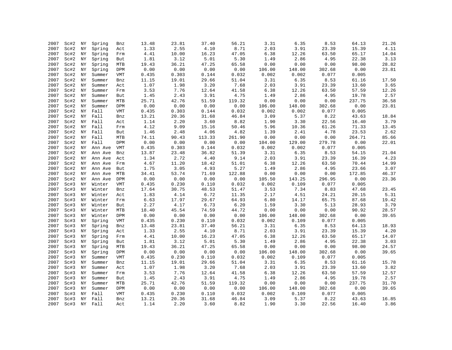| 2007         | Sc#2 | ΝY       | Spring       | Bnz        | 13.48        | 23.81 | 37.40  | 56.21  | 3.31         | 6.35   | 8.53                   | 64.13  | 21.26         |
|--------------|------|----------|--------------|------------|--------------|-------|--------|--------|--------------|--------|------------------------|--------|---------------|
| 2007         | Sc#2 | NY       | Spring       | Act        | 1.33         | 2.55  | 4.10   | 8.71   | 2.03         | 3.91   | 23.39                  | 15.39  | 4.11          |
| 2007         | Sc#2 | NY       | Spring       | Frm        | 4.41         | 10.00 | 16.23  | 47.05  | 6.38         | 12.26  | 63.50                  | 65.17  | 14.04         |
| 2007         | Sc#2 | ΝY       | Spring       | But        | 1.81         | 3.12  | 5.01   | 5.30   | 1.49         | 2.86   | 4.95                   | 22.38  | 3.13          |
| 2007         | Sc#2 | ΝY       | Spring       | MTB        | 19.43        | 36.21 | 47.25  | 65.58  | 0.00         | 0.00   | ${\bf 0}$ . ${\bf 00}$ | 98.00  | 28.82         |
| 2007         | Sc#2 | ΝY       | Spring       | DPM        | 0.00         | 0.00  | 0.00   | 0.00   | 106.00       | 148.00 | 302.68                 | 0.00   | 23.81         |
| 2007         | Sc#2 | ΝY       | Summer       | VMT        | 0.435        | 0.303 | 0.144  | 0.032  | 0.002        | 0.002  | 0.077                  | 0.005  |               |
| 2007         | Sc#2 | ΝY       | Summer       | Bnz        | 11.15        | 19.01 | 29.66  | 51.04  | 3.31         | 6.35   | 8.53                   | 61.16  | 17.50         |
| 2007         | Sc#2 | NY       | Summer       | Act        | 1.07         | 1.98  | 3.20   | 7.68   | 2.03         | 3.91   | 23.39                  | 13.60  | 3.65          |
| 2007         | Sc#2 | NY       | Summer       | Frm        | 3.53         | 7.76  | 12.64  | 41.58  | 6.38         | 12.26  | 63.50                  | 57.59  | 12.26         |
| 2007         | Sc#2 | ΝY       | Summer       | But        | 1.45         | 2.43  | 3.91   | 4.75   | 1.49         | 2.86   | 4.95                   | 19.78  | 2.57          |
| 2007         | Sc#2 | ΝY       | Summer       | <b>MTB</b> | 25.71        | 42.76 | 51.59  | 119.32 | 0.00         | 0.00   | 0.00                   | 237.75 | 36.58         |
| 2007         | Sc#2 | NY       | Summer       | DPM        | 0.00         | 0.00  | 0.00   | 0.00   | 106.00       | 148.00 | 302.68                 | 0.00   | 23.81         |
| 2007         | Sc#2 | ΝY       | Fall         | <b>VMT</b> | 0.435        | 0.303 | 0.144  | 0.032  | 0.002        | 0.002  | 0.077                  | 0.005  |               |
| 2007         | Sc#2 | ΝY       | Fall         | Bnz        | 13.21        | 20.36 | 31.68  | 46.84  | 3.09         | 5.37   | 8.22                   | 43.63  | 18.84         |
| 2007         |      | ΝY       |              |            |              | 2.20  | 3.60   | 8.82   |              | 3.30   | 22.56                  | 16.40  |               |
|              | Sc#2 |          | Fall<br>Fall | Act        | 1.14<br>4.12 | 9.09  |        |        | 1.90<br>5.96 |        |                        | 71.33  | 3.79          |
| 2007<br>2007 | Sc#2 | ΝY<br>ΝY | Fall         | Frm        |              |       | 15.16  | 50.46  |              | 10.36  | 61.26                  |        | 13.45<br>2.62 |
|              | Sc#2 |          |              | But        | 1.46         | 2.48  | 4.06   | 4.82   | 1.39         | 2.41   | 4.78                   | 23.53  |               |
| 2007         | Sc#2 | ΝY       | Fall         | MTB        | 74.11        | 90.43 | 113.33 | 261.90 | 0.00         | 0.00   | 0.00                   | 264.71 | 85.66         |
| 2007         | Sc#2 | ΝY       | Fall         | DPM        | 0.00         | 0.00  | 0.00   | 0.00   | 104.00       | 129.00 | 279.78                 | 0.00   | 22.01         |
| 2007         | Sc#2 | ΝY       | Ann Ave      | VMT        | 0.435        | 0.303 | 0.144  | 0.032  | 0.002        | 0.002  | 0.077                  | 0.005  |               |
| 2007         | Sc#2 | ΝY       | Ann Ave      | Bnz        | 13.87        | 23.48 | 36.82  | 51.39  | 3.31         | 6.35   | 8.53                   | 54.15  | 21.04         |
| 2007         | Sc#2 | ΝY       | Ann Ave      | Act        | 1.34         | 2.72  | 4.40   | 9.14   | 2.03         | 3.91   | 23.39                  | 16.39  | 4.23          |
| 2007         | Sc#2 | ΝY       | Ann Ave      | Frm        | 4.67         | 11.20 | 18.42  | 51.01  | 6.38         | 12.26  | 63.50                  | 70.44  | 14.99         |
| 2007         | Sc#2 | ΝY       | Ann Ave      | But        | 1.75         | 3.05  | 4.93   | 5.27   | 1.49         | 2.86   | 4.95                   | 23.66  | 3.07          |
| 2007         | Sc#2 | ΝY       | Ann Ave      | MTB        | 34.41        | 53.74 | 71.69  | 122.88 | 0.00         | 0.00   | 0.00                   | 172.85 | 46.37         |
| 2007         | Sc#2 | ΝY       | Ann Ave      | DPM        | 0.00         | 0.00  | 0.00   | 0.00   | 105.50       | 143.25 | 296.95                 | 0.00   | 23.36         |
| 2007         | Sc#3 | ΝY       | Winter       | VMT        | 0.435        | 0.230 | 0.110  | 0.032  | 0.002        | 0.109  | 0.077                  | 0.005  |               |
| 2007         | Sc#3 | ΝY       | Winter       | Bnz        | 17.64        | 30.75 | 48.53  | 51.47  | 3.53         | 7.34   | 8.83                   | 47.68  | 23.45         |
| 2007         | Sc#3 | ΝY       | Winter       | Act        | 1.83         | 4.14  | 6.72   | 11.35  | 2.17         | 4.51   | 24.21                  | 20.15  | 5.31          |
| 2007         | Sc#3 | ΝY       | Winter       | Frm        | 6.63         | 17.97 | 29.67  | 64.93  | 6.80         | 14.17  | 65.75                  | 87.68  | 19.42         |
| 2007         | Sc#3 | ΝY       | Winter       | But        | 2.27         | 4.17  | 6.73   | 6.20   | 1.59         | 3.30   | 5.13                   | 28.93  | 3.79          |
| 2007         | Sc#3 | ΝY       | Winter       | MTB        | 18.40        | 45.54 | 74.59  | 44.72  | 0.00         | 0.00   | 0.00                   | 90.92  | 28.57         |
| 2007         | Sc#3 | ΝY       | Winter       | DPM        | 0.00         | 0.00  | 0.00   | 0.00   | 106.00       | 148.00 | 302.68                 | 0.00   | 39.65         |
| 2007         | Sc#3 | ΝY       | Spring       | <b>VMT</b> | 0.435        | 0.230 | 0.110  | 0.032  | 0.002        | 0.109  | 0.077                  | 0.005  |               |
| 2007         | Sc#3 | NY       | Spring       | Bnz        | 13.48        | 23.81 | 37.40  | 56.21  | 3.31         | 6.35   | 8.53                   | 64.13  | 18.93         |
| 2007         | Sc#3 | ΝY       | Spring       | Act        | 1.33         | 2.55  | 4.10   | 8.71   | 2.03         | 3.91   | 23.39                  | 15.39  | 4.20          |
| 2007         | Sc#3 | ΝY       | Spring       | Frm        | 4.41         | 10.00 | 16.23  | 47.05  | 6.38         | 12.26  | 63.50                  | 65.17  | 14.07         |
| 2007         | Sc#3 | ΝY       | Spring       | But        | 1.81         | 3.12  | 5.01   | 5.30   | 1.49         | 2.86   | 4.95                   | 22.38  | 3.03          |
| 2007         | Sc#3 | ΝY       | Spring       | MTB        | 19.43        | 36.21 | 47.25  | 65.58  | 0.00         | 0.00   | 0.00                   | 98.00  | 24.57         |
| 2007         | Sc#3 | ΝY       | Spring       | DPM        | 0.00         | 0.00  | 0.00   | 0.00   | 106.00       | 148.00 | 302.68                 | 0.00   | 39.65         |
| 2007         | Sc#3 | NY       | Summer       | <b>VMT</b> | 0.435        | 0.230 | 0.110  | 0.032  | 0.002        | 0.109  | 0.077                  | 0.005  |               |
| 2007         | Sc#3 | NY       | Summer       | Bnz        | 11.15        | 19.01 | 29.66  | 51.04  | 3.31         | 6.35   | 8.53                   | 61.16  | 15.78         |
| 2007         | Sc#3 | ΝY       | Summer       | Act        | 1.07         | 1.98  | 3.20   | 7.68   | 2.03         | 3.91   | 23.39                  | 13.60  | 3.82          |
| 2007         | Sc#3 | ΝY       | Summer       | Frm        | 3.53         | 7.76  | 12.64  | 41.58  | 6.38         | 12.26  | 63.50                  | 57.59  | 12.57         |
| 2007         | Sc#3 | NY       | Summer       | But        | 1.45         | 2.43  | 3.91   | 4.75   | 1.49         | 2.86   | 4.95                   | 19.78  | 2.57          |
| 2007         | Sc#3 | NY       | Summer       | MTB        | 25.71        | 42.76 | 51.59  | 119.32 | 0.00         | 0.00   | 0.00                   | 237.75 | 31.70         |
| 2007         | Sc#3 | ΝY       | Summer       | DPM        | 0.00         | 0.00  | 0.00   | 0.00   | 106.00       | 148.00 | 302.68                 | 0.00   | 39.65         |
| 2007         | Sc#3 | ΝY       | Fall         | VMT        | 0.435        | 0.230 | 0.110  | 0.032  | 0.002        | 0.109  | 0.077                  | 0.005  |               |
| 2007         | Sc#3 | NY       | Fall         | Bnz        | 13.21        | 20.36 | 31.68  | 46.84  | 3.09         | 5.37   | 8.22                   | 43.63  | 16.85         |
| 2007         | Sc#3 | NY       | Fall         | Act        | 1.14         | 2.20  | 3.60   | 8.82   | 1.90         | 3.30   | 22.56                  | 16.40  | 3.86          |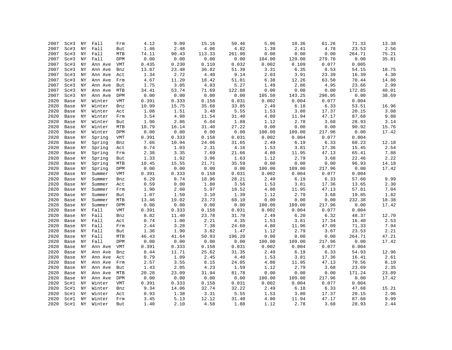| 2007 | Sc#3 | ΝY | Fall    | Frm        | 4.12  | 9.09       | 15.16  | 50.46  | 5.96   | 10.36  | 61.26                  | 71.33  | 13.38 |
|------|------|----|---------|------------|-------|------------|--------|--------|--------|--------|------------------------|--------|-------|
| 2007 | Sc#3 | NY | Fall    | But        | 1.46  | 2.48       | 4.06   | 4.82   | 1.39   | 2.41   | 4.78                   | 23.53  | 2.56  |
| 2007 | Sc#3 | ΝY | Fall    | MTB        | 74.11 | 90.43      | 113.33 | 261.90 | 0.00   | 0.00   | 0.00                   | 264.71 | 75.21 |
| 2007 | Sc#3 | ΝY | Fall    | DPM        | 0.00  | 0.00       | 0.00   | 0.00   | 104.00 | 129.00 | 279.78                 | 0.00   | 35.81 |
| 2007 | Sc#3 | ΝY | Ann Ave | VMT        | 0.435 | 0.230      | 0.110  | 0.032  | 0.002  | 0.109  | 0.077                  | 0.005  |       |
| 2007 | Sc#3 | ΝY | Ann Ave | Bnz        | 13.87 | 23.48      | 36.82  | 51.39  | 3.31   | 6.35   | 8.53                   | 54.15  | 18.75 |
| 2007 | Sc#3 | ΝY | Ann Ave | Act        | 1.34  | 2.72       | 4.40   | 9.14   | 2.03   | 3.91   | 23.39                  | 16.39  | 4.30  |
| 2007 | Sc#3 | ΝY | Ann Ave | Frm        | 4.67  | 11.20      | 18.42  | 51.01  | 6.38   | 12.26  | 63.50                  | 70.44  | 14.86 |
| 2007 | Sc#3 | ΝY | Ann Ave | But        | 1.75  | 3.05       | 4.93   | 5.27   | 1.49   | 2.86   | 4.95                   | 23.66  | 2.99  |
| 2007 | Sc#3 | ΝY | Ann Ave | MTB        | 34.41 | 53.74      | 71.69  | 122.88 | 0.00   | 0.00   | ${\bf 0}$ . ${\bf 00}$ | 172.85 | 40.01 |
| 2007 | Sc#3 | ΝY | Ann Ave | DPM        | 0.00  | 0.00       | 0.00   | 0.00   | 105.50 | 143.25 | 296.95                 | 0.00   | 38.69 |
| 2020 | Base | ΝY | Winter  | <b>VMT</b> | 0.391 | 0.333      | 0.158  | 0.031  | 0.002  | 0.004  | 0.077                  | 0.004  |       |
| 2020 | Base | ΝY | Winter  | Bnz        | 10.99 | 15.75      | 35.68  | 33.85  | 2.49   | 6.18   | 6.33                   | 53.51  | 16.96 |
| 2020 | Base | ΝY | Winter  | Act        | 1.08  | 1.51       | 3.48   | 5.55   | 1.53   | 3.80   | 17.37                  | 20.15  | 3.08  |
| 2020 | Base | ΝY | Winter  | Frm        | 3.54  | 4.98       | 11.54  | 31.40  | 4.80   | 11.94  | 47.17                  | 87.68  | 9.88  |
| 2020 | Base | ΝY | Winter  | But        | 1.96  | 2.86       | 6.04   | 1.88   | 1.12   | 2.78   | 3.68                   | 28.93  | 3.14  |
| 2020 | Base | ΝY | Winter  | MTB        | 10.79 | 16.14      | 31.40  | 27.22  | 0.00   | 0.00   | 0.00                   | 90.92  | 15.76 |
| 2020 | Base | ΝY | Winter  | DPM        | 0.00  | 0.00       | 0.00   | 0.00   | 100.00 | 109.00 | 217.96                 | 0.00   | 17.42 |
| 2020 | Base | NY | Spring  | VMT        | 0.391 | 0.333      | 0.158  | 0.031  | 0.002  | 0.004  | 0.077                  | 0.004  |       |
| 2020 | Base | ΝY | Spring  | Bnz        | 7.66  | 10.94      | 24.06  | 31.65  | 2.49   | 6.19   | 6.33                   | 60.23  | 12.18 |
| 2020 | Base | ΝY | Spring  | Act        | 0.74  | 1.03       | 2.31   | 4.16   | 1.53   | 3.81   | 17.36                  | 15.45  | 2.54  |
| 2020 | Base | ΝY | Spring  | Frm        | 2.38  | 3.35       | 7.69   | 21.66  | 4.80   | 11.95  | 47.13                  | 65.41  | 7.88  |
| 2020 | Base | ΝY | Spring  | But        | 1.33  | 1.92       | 3.96   | 1.63   | 1.12   | 2.79   | 3.68                   | 22.46  | 2.22  |
| 2020 | Base | ΝY | Spring  | <b>MTB</b> | 10.45 | 15.55      | 21.71  | 35.59  | 0.00   | 0.00   | 0.00                   | 96.93  | 14.18 |
| 2020 | Base | ΝY | Spring  | DPM        | 0.00  | 0.00       | 0.00   | 0.00   | 100.00 | 109.00 | 217.96                 | 0.00   | 17.42 |
| 2020 | Base | ΝY | Summer  | <b>VMT</b> | 0.391 | 0.333      | 0.158  | 0.031  | 0.002  | 0.004  | 0.077                  | 0.004  |       |
| 2020 | Base | NY | Summer  | Bnz        | 6.29  | $\bf 8.74$ | 18.96  | 28.21  | 2.49   | 6.19   | 6.33                   | 57.60  | 9.99  |
| 2020 | Base | ΝY | Summer  | Act        | 0.59  | 0.80       | 1.80   | 3.56   | 1.53   | 3.81   | 17.36                  | 13.65  | 2.30  |
| 2020 | Base | ΝY | Summer  | Frm        | 1.90  | 2.60       | 5.97   | 18.52  | 4.80   | 11.95  | 47.13                  | 57.81  | 7.04  |
| 2020 | Base | NY | Summer  | But        | 1.07  | 1.50       | 3.10   | 1.39   | 1.12   | 2.79   | 3.68                   | 19.85  | 1.82  |
| 2020 | Base | NY | Summer  | MTB        | 13.46 | 19.02      | 23.73  | 68.10  | 0.00   | 0.00   | ${\bf 0}$ . ${\bf 00}$ | 232.38 | 18.38 |
| 2020 | Base | ΝY | Summer  | DPM        | 0.00  | 0.00       | 0.00   | 0.00   | 100.00 | 109.00 | 217.96                 | 0.00   | 17.42 |
| 2020 | Base | ΝY | Fall    | <b>VMT</b> | 0.391 | 0.333      | 0.158  | 0.031  | 0.002  | 0.004  | 0.077                  | 0.004  |       |
| 2020 | Base | ΝY | Fall    | Bnz        | 8.82  | 11.40      | 23.78  | 31.70  | 2.49   | 6.20   | 6.32                   | 48.37  | 12.70 |
| 2020 | Base | ΝY | Fall    | Act        | 0.74  | 1.00       | 2.21   | 4.35   | 1.53   | 3.81   | 17.34                  | 16.40  | 2.53  |
| 2020 | Base | ΝY | Fall    | Frm        | 2.44  | 3.28       | 7.38   | 24.60  | 4.80   | 11.96  | 47.09                  | 71.33  | 7.94  |
| 2020 | Base | ΝY | Fall    | But        | 1.36  | 1.90       | 3.82   | 1.47   | 1.12   | 2.79   | 3.67                   | 23.53  | 2.21  |
| 2020 | Base | ΝY | Fall    | MTB        | 46.43 | 41.64      | 50.93  | 196.20 | 0.00   | 0.00   | 0.00                   | 264.71 | 47.21 |
| 2020 | Base | ΝY | Fall    | DPM        | 0.00  | 0.00       | 0.00   | 0.00   | 100.00 | 109.00 | 217.96                 | 0.00   | 17.42 |
| 2020 | Base | ΝY | Ann Ave | VMT        | 0.391 | 0.333      | 0.158  | 0.031  | 0.002  | 0.004  | 0.077                  | 0.004  |       |
| 2020 | Base | ΝY | Ann Ave | Bnz        | 8.44  | 11.71      | 25.62  | 31.35  | 2.49   | 6.19   | 6.33                   | 54.93  | 12.96 |
| 2020 | Base | ΝY | Ann Ave | Act        | 0.79  | 1.09       | 2.45   | 4.40   | 1.53   | 3.81   | 17.36                  | 16.41  | 2.61  |
| 2020 | Base | ΝY | Ann Ave | Frm        | 2.57  | 3.55       | 8.15   | 24.05  | 4.80   | 11.95  | 47.13                  | 70.56  | 8.19  |
| 2020 | Base | ΝY | Ann Ave | But        | 1.43  | 2.05       | 4.23   | 1.59   | 1.12   | 2.79   | 3.68                   | 23.69  | 2.35  |
| 2020 | Base | ΝY | Ann Ave | <b>MTB</b> | 20.28 | 23.09      | 31.94  | 81.78  | 0.00   | 0.00   | 0.00                   | 171.24 | 23.89 |
| 2020 | Base | NY | Ann Ave | DPM        | 0.00  | 0.00       | 0.00   | 0.00   | 100.00 | 109.00 | 217.96                 | 0.00   | 17.42 |
| 2020 | Sc#1 | NY | Winter  | VMT        | 0.391 | 0.333      | 0.158  | 0.031  | 0.002  | 0.004  | 0.077                  | 0.004  |       |
| 2020 | Sc#1 | ΝY | Winter  | Bnz        | 9.34  | 14.06      | 32.74  | 32.22  | 2.49   | 6.18   | 6.33                   | 47.68  | 15.21 |
| 2020 | Sc#1 | ΝY | Winter  | Act        | 0.93  | 1.38       | 3.31   | 5.55   | 1.53   | 3.80   | 17.37                  | 20.15  | 2.96  |
| 2020 | Sc#1 | ΝY | Winter  | Frm        | 3.45  | 5.13       | 12.12  | 31.40  | 4.80   | 11.94  | 47.17                  | 87.68  | 9.99  |
| 2020 | Sc#1 | NY | Winter  | But        | 1.40  | 2.10       | 4.58   | 1.88   | 1.12   | 2.78   | 3.68                   | 28.93  | 2.44  |
|      |      |    |         |            |       |            |        |        |        |        |                        |        |       |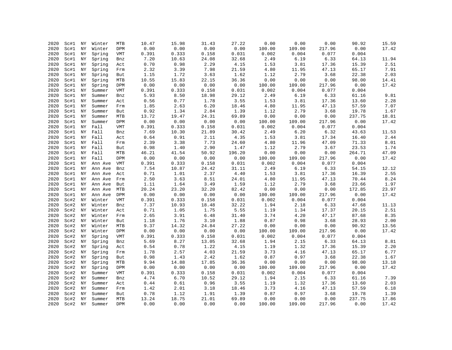| 2020 | Sc#1 | ΝY         | Winter           | <b>MTB</b> | 10.47                 | 15.98 | 31.43    | 27.22         | 0.00   | 0.00   | 0.00   | 90.92  | 15.59 |
|------|------|------------|------------------|------------|-----------------------|-------|----------|---------------|--------|--------|--------|--------|-------|
| 2020 | Sc#1 | NY         | Winter           | DPM        | 0.00                  | 0.00  | 0.00     | 0.00          | 100.00 | 109.00 | 217.96 | 0.00   | 17.42 |
| 2020 | Sc#1 | NY         | Spring           | VMT        | 0.391                 | 0.333 | 0.158    | 0.031         | 0.002  | 0.004  | 0.077  | 0.004  |       |
| 2020 | Sc#1 | ΝY         | Spring           | Bnz        | 7.20                  | 10.63 | 24.08    | 32.68         | 2.49   | 6.19   | 6.33   | 64.13  | 11.94 |
| 2020 | Sc#1 | NY         | Spring           | Act        | 0.70                  | 0.98  | 2.29     | 4.15          | 1.53   | 3.81   | 17.36  | 15.39  | 2.51  |
| 2020 | Sc#1 | NY         | Spring           | Frm        | 2.32                  | 3.39  | 7.98     | 21.59         | 4.80   | 11.95  | 47.13  | 65.17  | 7.91  |
| 2020 | Sc#1 | NY         | Spring           | But        | 1.15                  | 1.72  | 3.63     | 1.62          | 1.12   | 2.79   | 3.68   | 22.38  | 2.03  |
| 2020 | Sc#1 | ΝY         | Spring           | MTB        | 10.55                 | 15.83 | 22.15    | 36.36         | 0.00   | 0.00   | 0.00   | 98.00  | 14.41 |
| 2020 | Sc#1 | ΝY         | Spring           | DPM        | 0.00                  | 0.00  | 0.00     | 0.00          | 100.00 | 109.00 | 217.96 | 0.00   | 17.42 |
| 2020 | Sc#1 | NY         | Summer           | VMT        | 0.391                 | 0.333 | 0.158    | 0.031         | 0.002  | 0.004  | 0.077  | 0.004  |       |
| 2020 | Sc#1 | NY         | Summer           | Bnz        | 5.93                  | 8.50  | 18.98    | 29.12         | 2.49   | 6.19   | 6.33   | 61.16  | 9.81  |
| 2020 | Sc#1 | ΝY         | Summer           | Act        | 0.56                  | 0.77  | 1.78     | 3.55          | 1.53   | 3.81   | 17.36  | 13.60  | 2.28  |
| 2020 | Sc#1 | ΝY         | Summer           | Frm        | 1.85                  | 2.63  | 6.20     | 18.46         | 4.80   | 11.95  | 47.13  | 57.59  | 7.07  |
| 2020 | Sc#1 | NY         | Summer           | But        | 0.92                  | 1.34  | 2.84     | 1.39          | 1.12   | 2.79   | 3.68   | 19.78  | 1.67  |
| 2020 | Sc#1 | NY         | Summer           | MTB        | 13.72                 | 19.47 | 24.31    | 69.89         | 0.00   | 0.00   | 0.00   | 237.75 | 18.81 |
| 2020 | Sc#1 | ΝY         | Summer           | DPM        | 0.00                  | 0.00  | 0.00     | 0.00          | 100.00 | 109.00 | 217.96 | 0.00   | 17.42 |
| 2020 | Sc#1 | ΝY         | Fall             | VMT        | 0.391                 | 0.333 | 0.158    | 0.031         | 0.002  | 0.004  | 0.077  | 0.004  |       |
| 2020 | Sc#1 | ${\rm NY}$ | Fall             | Bnz        | 7.69                  | 10.30 | 21.89    | 30.42         | 2.49   | 6.20   | 6.32   | 43.63  | 11.53 |
| 2020 | Sc#1 | NY         | Fall             | Act        | 0.64                  | 0.91  | 2.11     | 4.35          | 1.53   | 3.81   | 17.34  | 16.40  | 2.44  |
| 2020 | Sc#1 | ΝY         | Fall             | Frm        | 2.39                  | 3.38  | 7.73     | 24.60         | 4.80   | 11.96  | 47.09  | 71.33  | 8.01  |
| 2020 | Sc#1 | NY         | Fall             | But        | 0.98                  | 1.40  | 2.90     | 1.47          | 1.12   | 2.79   | 3.67   | 23.53  | 1.74  |
| 2020 | Sc#1 | ΝY         | Fall             | MTB        | 46.21                 | 41.54 | 50.92    | 196.20        | 0.00   | 0.00   | 0.00   | 264.71 | 47.09 |
| 2020 | Sc#1 | NY         | Fall             | DPM        | 0.00                  | 0.00  | 0.00     | 0.00          | 100.00 | 109.00 | 217.96 | 0.00   | 17.42 |
| 2020 | Sc#1 | ΝY         | Ann Ave          | VMT        | 0.391                 | 0.333 | 0.158    | 0.031         | 0.002  | 0.004  | 0.077  | 0.004  |       |
| 2020 | Sc#1 | ΝY         | Ann Ave          | Bnz        | 7.54                  | 10.87 | 24.42    | 31.11         | 2.49   | 6.19   | 6.33   | 54.15  | 12.12 |
| 2020 | Sc#1 | ΝY         | Ann Ave          | Act        | 0.71                  | 1.01  | 2.37     | 4.40          | 1.53   | 3.81   | 17.36  | 16.39  | 2.55  |
| 2020 | Sc#1 | NY         | Ann Ave          | Frm        | 2.50                  | 3.63  | $8\,.51$ | 24.01         | 4.80   | 11.95  | 47.13  | 70.44  | 8.24  |
| 2020 | Sc#1 | ΝY         | Ann Ave          | But        | 1.11                  | 1.64  | 3.49     | 1.59          | 1.12   | 2.79   | 3.68   | 23.66  | 1.97  |
| 2020 | Sc#1 | ΝY         | Ann Ave          | MTB        | 20.24                 | 23.20 | 32.20    | 82.42         | 0.00   | 0.00   | 0.00   | 172.85 | 23.97 |
| 2020 | Sc#1 | NY         | Ann Ave          | DPM        | 0.00                  | 0.00  | 0.00     | 0.00          | 100.00 | 109.00 | 217.96 | 0.00   | 17.42 |
| 2020 | Sc#2 | ΝY         | Winter           | VMT        | 0.391                 | 0.333 | 0.158    | 0.031         | 0.002  | 0.004  | 0.077  | 0.004  |       |
| 2020 | Sc#2 | ΝY         | Winter           | Bnz        | 7.37                  | 10.93 | 18.48    | 32.22         | 1.94   | 2.18   | 6.33   | 47.68  | 11.13 |
| 2020 | Sc#2 | ΝY         | Winter           |            | 0.71                  | 1.05  | 1.75     | 5.55          | 1.19   | 1.34   | 17.37  | 20.15  | 2.51  |
| 2020 | Sc#2 | NY         |                  | Act        | 2.65                  | 3.91  | 6.48     |               | 3.74   | 4.20   | 47.17  | 87.68  | 8.35  |
| 2020 |      |            | Winter           | Frm        |                       | 1.76  |          | 31.40<br>1.88 | 0.87   | 0.98   | 3.68   | 28.93  |       |
|      | Sc#2 | ΝY<br>ΝY   | Winter<br>Winter | But        | 1.18                  |       | 3.10     |               |        |        |        |        | 2.00  |
| 2020 | Sc#2 |            |                  | MTB        | 9.37                  | 14.32 | 24.84    | 27.22         | 0.00   | 0.00   | 0.00   | 90.92  | 13.56 |
| 2020 | Sc#2 | ΝY         | Winter           | DPM        | 0.00                  | 0.00  | 0.00     | 0.00          | 100.00 | 109.00 | 217.96 | 0.00   | 17.42 |
| 2020 | Sc#2 | NY         | Spring           | VMT        | 0.391                 | 0.333 | 0.158    | 0.031         | 0.002  | 0.004  | 0.077  | 0.004  |       |
| 2020 | Sc#2 | ΝY         | Spring           | Bnz        | 5.69                  | 8.27  | 13.05    | 32.68         | 1.94   | 2.15   | 6.33   | 64.13  | 8.81  |
| 2020 | Sc#2 | ΝY         | Spring           | Act        | 0.54                  | 0.78  | 1.22     | 4.15          | 1.19   | 1.32   | 17.36  | 15.39  | 2.20  |
| 2020 | Sc#2 | ΝY         | Spring           | Frm        | 1.78                  | 2.57  | 4.03     | 21.59         | 3.73   | 4.16   | 47.13  | 65.17  | 6.77  |
| 2020 | Sc#2 | NY         | Spring           | But        | 0.98                  | 1.43  | 2.42     | 1.62          | 0.87   | 0.97   | 3.68   | 22.38  | 1.67  |
| 2020 | Sc#2 | ΝY         | Spring           | MTB        | 9.94                  | 14.88 | 17.85    | 36.36         | 0.00   | 0.00   | 0.00   | 98.00  | 13.18 |
| 2020 | Sc#2 | ΝY         | Spring           | DPM        | 0.00                  | 0.00  | 0.00     | 0.00          | 100.00 | 109.00 | 217.96 | 0.00   | 17.42 |
| 2020 | Sc#2 | ΝY         | Summer           | VMT        | 0.391                 | 0.333 | 0.158    | 0.031         | 0.002  | 0.004  | 0.077  | 0.004  |       |
| 2020 | Sc#2 | NY         | Summer           | Bnz        | 4.74                  | 6.70  | 10.52    | 29.12         | 1.94   | 2.15   | 6.33   | 61.16  | 7.39  |
| 2020 | Sc#2 | NY         | Summer           | Act        | $\ensuremath{0}$ . 44 | 0.61  | 0.96     | 3.55          | 1.19   | 1.32   | 17.36  | 13.60  | 2.03  |
| 2020 | Sc#2 | ΝY         | Summer           | Frm        | 1.42                  | 2.01  | 3.18     | 18.46         | 3.73   | 4.16   | 47.13  | 57.59  | 6.18  |
| 2020 | Sc#2 | ΝY         | Summer           | But        | 0.78                  | 1.12  | 1.91     | 1.39          | 0.87   | 0.97   | 3.68   | 19.78  | 1.39  |
| 2020 | Sc#2 | NY         | Summer           | MTB        | 13.24                 | 18.75 | 21.01    | 69.89         | 0.00   | 0.00   | 0.00   | 237.75 | 17.86 |
| 2020 | Sc#2 | NY         | Summer           | <b>DPM</b> | 0.00                  | 0.00  | 0.00     | 0.00          | 100.00 | 109.00 | 217.96 | 0.00   | 17.42 |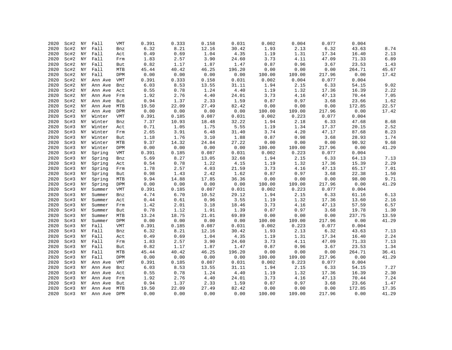| 2020 | Sc#2 | ΝY | Fall    | <b>VMT</b> | 0.391                 | 0.333 | 0.158    | 0.031  | 0.002  | 0.004  | 0.077  | 0.004  |       |
|------|------|----|---------|------------|-----------------------|-------|----------|--------|--------|--------|--------|--------|-------|
| 2020 | Sc#2 | ΝY | Fall    | Bnz        | 6.32                  | 8.21  | 12.16    | 30.42  | 1.93   | 2.13   | 6.32   | 43.63  | 8.74  |
| 2020 | Sc#2 | ΝY | Fall    | Act        | 0.49                  | 0.69  | 1.04     | 4.35   | 1.19   | 1.31   | 17.34  | 16.40  | 2.13  |
| 2020 | Sc#2 | ΝY | Fall    | Frm        | 1.83                  | 2.57  | 3.90     | 24.60  | 3.73   | 4.11   | 47.09  | 71.33  | 6.89  |
| 2020 | Sc#2 | ΝY | Fall    | But        | 0.82                  | 1.17  | 1.87     | 1.47   | 0.87   | 0.96   | 3.67   | 23.53  | 1.43  |
| 2020 | Sc#2 | ΝY | Fall    | MTB        | 45.44                 | 40.42 | 46.25    | 196.20 | 0.00   | 0.00   | 0.00   | 264.71 | 45.67 |
| 2020 | Sc#2 | ΝY | Fall    | DPM        | 0.00                  | 0.00  | 0.00     | 0.00   | 100.00 | 109.00 | 217.96 | 0.00   | 17.42 |
| 2020 | Sc#2 | ΝY | Ann Ave | VMT        | 0.391                 | 0.333 | 0.158    | 0.031  | 0.002  | 0.004  | 0.077  | 0.004  |       |
| 2020 | Sc#2 | ΝY | Ann Ave | Bnz        | 6.03                  | 8.53  | 13.55    | 31.11  | 1.94   | 2.15   | 6.33   | 54.15  | 9.02  |
| 2020 | Sc#2 | ΝY | Ann Ave | Act        | 0.55                  | 0.78  | 1.24     | 4.40   | 1.19   | 1.32   | 17.36  | 16.39  | 2.22  |
| 2020 | Sc#2 | ΝY | Ann Ave | Frm        | 1.92                  | 2.76  | $4\,.40$ | 24.01  | 3.73   | 4.16   | 47.13  | 70.44  | 7.05  |
| 2020 | Sc#2 | ΝY | Ann Ave | But        | 0.94                  | 1.37  | 2.33     | 1.59   | 0.87   | 0.97   | 3.68   | 23.66  | 1.62  |
| 2020 | Sc#2 | ΝY | Ann Ave | MTB        | 19.50                 | 22.09 | 27.49    | 82.42  | 0.00   | 0.00   | 0.00   | 172.85 | 22.57 |
| 2020 | Sc#2 | ΝY | Ann Ave | DPM        | 0.00                  | 0.00  | 0.00     | 0.00   | 100.00 | 109.00 | 217.96 | 0.00   | 17.42 |
| 2020 | Sc#3 | ΝY | Winter  | VMT        | 0.391                 | 0.185 | 0.087    | 0.031  | 0.002  | 0.223  | 0.077  | 0.004  |       |
| 2020 | Sc#3 | ΝY | Winter  | Bnz        | 7.37                  | 10.93 | 18.48    | 32.22  | 1.94   | 2.18   | 6.33   | 47.68  | 8.68  |
| 2020 | Sc#3 | ΝY | Winter  | Act        | 0.71                  | 1.05  | 1.75     | 5.55   | 1.19   | 1.34   | 17.37  | 20.15  | 2.52  |
| 2020 | Sc#3 | ΝY | Winter  | Frm        | 2.65                  | 3.91  | 6.48     | 31.40  | 3.74   | 4.20   | 47.17  | 87.68  | 8.23  |
| 2020 | Sc#3 | ΝY | Winter  | But        | 1.18                  | 1.76  | 3.10     | 1.88   | 0.87   | 0.98   | 3.68   | 28.93  | 1.74  |
| 2020 | Sc#3 | ΝY | Winter  | MTB        | 9.37                  | 14.32 | 24.84    | 27.22  | 0.00   | 0.00   | 0.00   | 90.92  | 9.68  |
| 2020 | Sc#3 | ΝY | Winter  | DPM        | 0.00                  | 0.00  | 0.00     | 0.00   | 100.00 | 109.00 | 217.96 | 0.00   | 41.29 |
| 2020 | Sc#3 | ΝY | Spring  | VMT        | 0.391                 | 0.185 | 0.087    | 0.031  | 0.002  | 0.223  | 0.077  | 0.004  |       |
| 2020 | Sc#3 | ΝY | Spring  | Bnz        | 5.69                  | 8.27  | 13.05    | 32.68  | 1.94   | 2.15   | 6.33   | 64.13  | 7.13  |
| 2020 | Sc#3 | NY | Spring  | Act        | $\ensuremath{0}$ . 54 | 0.78  | 1.22     | 4.15   | 1.19   | 1.32   | 17.36  | 15.39  | 2.29  |
| 2020 | Sc#3 | ΝY | Spring  | Frm        | 1.78                  | 2.57  | 4.03     | 21.59  | 3.73   | 4.16   | 47.13  | 65.17  | 7.01  |
| 2020 | Sc#3 | ΝY | Spring  | But        | 0.98                  | 1.43  | 2.42     | 1.62   | 0.87   | 0.97   | 3.68   | 22.38  | 1.50  |
| 2020 | Sc#3 | ΝY | Spring  | MTB        | 9.94                  | 14.88 | 17.85    | 36.36  | 0.00   | 0.00   | 0.00   | 98.00  | 9.71  |
| 2020 | Sc#3 | ΝY | Spring  | DPM        | 0.00                  | 0.00  | 0.00     | 0.00   | 100.00 | 109.00 | 217.96 | 0.00   | 41.29 |
| 2020 | Sc#3 | ΝY | Summer  | VMT        | 0.391                 | 0.185 | 0.087    | 0.031  | 0.002  | 0.223  | 0.077  | 0.004  |       |
| 2020 | Sc#3 | ΝY | Summer  | Bnz        | 4.74                  | 6.70  | 10.52    | 29.12  | 1.94   | 2.15   | 6.33   | 61.16  | 6.13  |
| 2020 | Sc#3 | ΝY | Summer  | Act        | 0.44                  | 0.61  | 0.96     | 3.55   | 1.19   | 1.32   | 17.36  | 13.60  | 2.16  |
| 2020 | Sc#3 | ΝY | Summer  | Frm        | 1.42                  | 2.01  | 3.18     | 18.46  | 3.73   | 4.16   | 47.13  | 57.59  | 6.57  |
| 2020 | Sc#3 | ΝY | Summer  | But        | 0.78                  | 1.12  | 1.91     | 1.39   | 0.87   | 0.97   | 3.68   | 19.78  | 1.30  |
| 2020 | Sc#3 | ΝY | Summer  | MTB        | 13.24                 | 18.75 | 21.01    | 69.89  | 0.00   | 0.00   | 0.00   | 237.75 | 13.59 |
| 2020 | Sc#3 | ΝY | Summer  | DPM        | 0.00                  | 0.00  | 0.00     | 0.00   | 100.00 | 109.00 | 217.96 | 0.00   | 41.29 |
| 2020 | Sc#3 | ΝY | Fall    | VMT        | 0.391                 | 0.185 | 0.087    | 0.031  | 0.002  | 0.223  | 0.077  | 0.004  |       |
| 2020 | Sc#3 | ΝY | Fall    | Bnz        | 6.32                  | 8.21  | 12.16    | 30.42  | 1.93   | 2.13   | 6.32   | 43.63  | 7.13  |
| 2020 | Sc#3 | ΝY | Fall    | Act        | 0.49                  | 0.69  | 1.04     | 4.35   | 1.19   | 1.31   | 17.34  | 16.40  | 2.24  |
| 2020 | Sc#3 | NY | Fall    | Frm        | 1.83                  | 2.57  | 3.90     | 24.60  | 3.73   | 4.11   | 47.09  | 71.33  | 7.13  |
| 2020 | Sc#3 | ΝY | Fall    | But        | 0.82                  | 1.17  | 1.87     | 1.47   | 0.87   | 0.96   | 3.67   | 23.53  | 1.34  |
| 2020 | Sc#3 | ΝY | Fall    | MTB        | 45.44                 | 40.42 | 46.25    | 196.20 | 0.00   | 0.00   | 0.00   | 264.71 | 36.41 |
| 2020 | Sc#3 | NY | Fall    | DPM        | 0.00                  | 0.00  | 0.00     | 0.00   | 100.00 | 109.00 | 217.96 | 0.00   | 41.29 |
| 2020 | Sc#3 | NY | Ann Ave | VMT        | 0.391                 | 0.185 | 0.087    | 0.031  | 0.002  | 0.223  | 0.077  | 0.004  |       |
| 2020 | Sc#3 | ΝY | Ann Ave | Bnz        | 6.03                  | 8.53  | 13.55    | 31.11  | 1.94   | 2.15   | 6.33   | 54.15  | 7.27  |
| 2020 | Sc#3 | ΝY | Ann Ave | Act        | 0.55                  | 0.78  | 1.24     | 4.40   | 1.19   | 1.32   | 17.36  | 16.39  | 2.30  |
| 2020 | Sc#3 | ΝY | Ann Ave | Frm        | 1.92                  | 2.76  | 4.40     | 24.01  | 3.73   | 4.16   | 47.13  | 70.44  | 7.24  |
| 2020 | Sc#3 | ΝY | Ann Ave | But        | 0.94                  | 1.37  | 2.33     | 1.59   | 0.87   | 0.97   | 3.68   | 23.66  | 1.47  |
| 2020 | Sc#3 | NY | Ann Ave | MTB        | 19.50                 | 22.09 | 27.49    | 82.42  | 0.00   | 0.00   | 0.00   | 172.85 | 17.35 |
| 2020 | Sc#3 | NY | Ann Ave | DPM        | 0.00                  | 0.00  | 0.00     | 0.00   | 100.00 | 109.00 | 217.96 | 0.00   | 41.29 |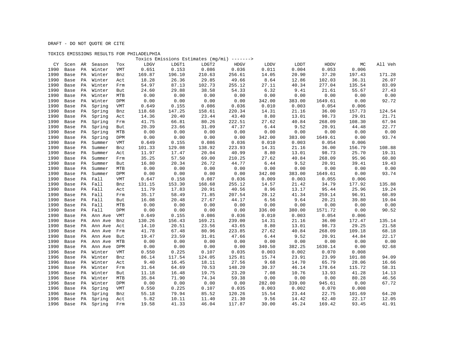|      |            |    |         |            | TOXICS EMISSIONS RESULTS FOR PHILADELPHIA |                                             |        |             |        |        |         |        |         |
|------|------------|----|---------|------------|-------------------------------------------|---------------------------------------------|--------|-------------|--------|--------|---------|--------|---------|
|      |            |    |         |            |                                           | Toxics Emissions Estimates (mg/mi) -------> |        |             |        |        |         |        |         |
|      | CY Scen AR |    | Season  | Tox        | LDGV                                      | LDGT1                                       | LDGT2  | <b>HDGV</b> | LDDV   | LDDT   | HDDV    | МC     | All Veh |
| 1990 | Base       | PA | Winter  | <b>VMT</b> | 0.651                                     | 0.153                                       | 0.086  | 0.036       | 0.011  | 0.004  | 0.053   | 0.006  |         |
| 1990 | Base       | PA | Winter  | Bnz        | 169.87                                    | 196.10                                      | 210.63 | 256.61      | 14.05  | 20.90  | 37.20   | 197.43 | 171.28  |
| 1990 | Base       | PA | Winter  | Act        | 18.28                                     | 26.36                                       | 29.85  | 49.66       | 8.64   | 12.86  | 102.03  | 36.31  | 26.07   |
| 1990 | Base       | PA | Winter  | Frm        | 54.97                                     | 87.13                                       | 102.73 | 255.12      | 27.11  | 40.34  | 277.04  | 135.54 | 83.09   |
| 1990 | Base       | PA | Winter  | But        | 24.60                                     | 29.88                                       | 38.58  | 54.33       | 6.32   | 9.41   | 21.61   | 55.67  | 27.43   |
| 1990 | Base       | PA | Winter  | <b>MTB</b> | 0.00                                      | 0.00                                        | 0.00   | 0.00        | 0.00   | 0.00   | 0.00    | 0.00   | 0.00    |
| 1990 | Base       | PA | Winter  | DPM        | 0.00                                      | 0.00                                        | 0.00   | 0.00        | 342.00 | 383.00 | 1649.61 | 0.00   | 92.72   |
| 1990 | Base       | PA | Spring  | <b>VMT</b> | 0.649                                     | 0.155                                       | 0.086  | 0.036       | 0.010  | 0.003  | 0.054   | 0.006  |         |
| 1990 | Base       | PA | Spring  | Bnz        | 118.68                                    | 147.25                                      | 158.61 | 220.34      | 14.31  | 21.16  | 36.00   | 157.73 | 124.54  |
| 1990 | Base       | PA | Spring  | Act        | 14.36                                     | 20.40                                       | 23.44  | 43.40       | 8.80   | 13.01  | 98.73   | 29.01  | 21.71   |
| 1990 | Base       | PA | Spring  | Frm        | 41.75                                     | 66.81                                       | 80.26  | 222.51      | 27.62  | 40.84  | 268.09  | 108.30 | 67.94   |
| 1990 | Base       | РA | Spring  | But        | 20.39                                     | 23.66                                       | 31.09  | 47.37       | 6.44   | 9.52   | 20.91   | 44.48  | 22.77   |
| 1990 | Base       | PA | Spring  | <b>MTB</b> | 0.00                                      | 0.00                                        | 0.00   | 0.00        | 0.00   | 0.00   | 0.00    | 0.00   | 0.00    |
| 1990 | Base       | PA | Spring  | DPM        | 0.00                                      | 0.00                                        | 0.00   | 0.00        | 342.00 | 383.00 | 1649.61 | 0.00   | 93.74   |
| 1990 | Base       | PA | Summer  | <b>VMT</b> | 0.649                                     | 0.155                                       | 0.086  | 0.036       | 0.010  | 0.003  | 0.054   | 0.006  |         |
| 1990 | Base       | PA | Summer  | Bnz        | 101.33                                    | 129.08                                      | 138.92 | 223.93      | 14.31  | 21.16  | 36.00   | 156.79 | 108.88  |
| 1990 | Base       | PA | Summer  | Act        | 11.97                                     | 17.47                                       | 20.04  | 40.99       | 8.80   | 13.01  | 98.73   | 25.70  | 19.31   |
| 1990 | Base       | PA | Summer  | Frm        | 35.25                                     | 57.50                                       | 69.00  | 210.25      | 27.62  | 40.84  | 268.09  | 95.96  | 60.80   |
| 1990 | Base       | PA | Summer  | But        | 16.80                                     | 20.34                                       | 26.72  | 44.77       | 6.44   | 9.52   | 20.91   | 39.41  | 19.43   |
| 1990 | Base       | PA | Summer  | MTB        | 0.00                                      | 0.00                                        | 0.00   | 0.00        | 0.00   | 0.00   | 0.00    | 0.00   | 0.00    |
| 1990 | Base       | PA | Summer  | DPM        | 0.00                                      | 0.00                                        | 0.00   | 0.00        | 342.00 | 383.00 | 1649.61 | 0.00   | 93.74   |
| 1990 | Base       | PA | Fall    | <b>VMT</b> | 0.647                                     | 0.158                                       | 0.087  | 0.036       | 0.009  | 0.003  | 0.055   | 0.006  |         |
| 1990 | Base       | PA | Fall    | Bnz        | 131.15                                    | 153.30                                      | 168.68 | 255.12      | 14.57  | 21.42  | 34.79   | 177.92 | 135.88  |
| 1990 | Base       | PA | Fall    | Act        | 11.79                                     | 17.83                                       | 20.91  | 40.56       | 8.96   | 13.17  | 95.44   | 25.96  | 19.24   |
| 1990 | Base       | PA | Fall    | Frm        | 35.17                                     | 58.49                                       | 71.85  | 207.54      | 28.12  | 41.34  | 259.14  | 96.91  | 60.89   |
| 1990 | Base       | PA | Fall    | But        | 16.08                                     | 20.48                                       | 27.67  | 44.17       | 6.56   | 9.64   | 20.21   | 39.80  | 19.04   |
| 1990 | Base       | PA | Fall    | MTB        | 0.00                                      | 0.00                                        | 0.00   | 0.00        | 0.00   | 0.00   | 0.00    | 0.00   | 0.00    |
| 1990 | Base       | PA | Fall    | DPM        | 0.00                                      | 0.00                                        | 0.00   | 0.00        | 336.00 | 380.00 | 1571.72 | 0.00   | 90.52   |
| 1990 | Base       | PA | Ann Ave | VMT        | 0.649                                     | 0.155                                       | 0.086  | 0.036       | 0.010  | 0.003  | 0.054   | 0.006  |         |
| 1990 | Base       | PA | Ann Ave | Bnz        | 130.26                                    | 156.43                                      | 169.21 | 239.00      | 14.31  | 21.16  | 36.00   | 172.47 | 135.14  |
| 1990 | Base       | PA | Ann Ave | Act        | 14.10                                     | 20.51                                       | 23.56  | 43.65       | 8.80   | 13.01  | 98.73   | 29.25  | 21.58   |
| 1990 | Base       | PA | Ann Ave | Frm        | 41.78                                     | 67.48                                       | 80.96  | 223.85      | 27.62  | 40.84  | 268.09  | 109.18 | 68.18   |
| 1990 | Base       | PA | Ann Ave | But        | 19.47                                     | 23.59                                       | 31.01  | 47.66       | 6.44   | 9.52   | 20.91   | 44.84  | 22.17   |
| 1990 | Base       | PA | Ann Ave | MTB        | 0.00                                      | 0.00                                        | 0.00   | 0.00        | 0.00   | 0.00   | 0.00    | 0.00   | 0.00    |
| 1990 | Base       | PA | Ann Ave | DPM        | 0.00                                      | 0.00                                        | 0.00   | 0.00        | 340.50 | 382.25 | 1630.14 | 0.00   | 92.68   |
| 1996 | Base       | PA | Winter  | <b>VMT</b> | 0.550                                     | 0.225                                       | 0.107  | 0.035       | 0.003  | 0.002  | 0.070   | 0.008  |         |
| 1996 | Base       | PA | Winter  | Bnz        | 86.14                                     | 117.54                                      | 124.05 | 125.81      | 15.74  | 23.91  | 23.99   | 101.88 | 94.09   |
| 1996 | Base       | PA | Winter  | Act        | 9.40                                      | 16.45                                       | 18.11  | 27.56       | 9.68   | 14.70  | 65.79   | 28.06  | 16.66   |
| 1996 | Base       | PA | Winter  | Frm        | 31.64                                     | 64.69                                       | 70.53  | 148.20      | 30.37  | 46.14  | 178.64  | 115.72 | 58.31   |
| 1996 | Base       | PA | Winter  | But        | 11.18                                     | 16.48                                       | 19.75  | 23.20       | 7.08   | 10.76  | 13.93   | 41.28  | 14.13   |
| 1996 | Base       | PA | Winter  | <b>MTB</b> | 35.84                                     | 71.90                                       | 74.34  | 59.38       | 0.00   | 0.00   | 0.00    | 80.28  | 46.56   |
| 1996 | Base       | PA | Winter  | DPM        | 0.00                                      | 0.00                                        | 0.00   | 0.00        | 282.00 | 339.00 | 945.61  | 0.00   | 67.72   |
| 1996 | Base       | PA | Spring  | <b>VMT</b> | 0.550                                     | 0.225                                       | 0.107  | 0.035       | 0.003  | 0.002  | 0.070   | 0.008  |         |
| 1996 | Base       | PA | Spring  | Bnz        | 55.18                                     | 79.94                                       | 85.52  | 120.26      | 15.54  | 23.44  | 22.75   | 101.69 | 64.20   |
| 1996 | Base       | PA | Spring  | Act        | 5.82                                      | 10.11                                       | 11.40  | 21.30       | 9.56   | 14.42  | 62.40   | 22.17  | 12.05   |
| 1996 | Base       | PA | Spring  | Frm        | 19.58                                     | 41.33                                       | 46.04  | 117.87      | 30.00  | 45.24  | 169.42  | 93.45  | 41.91   |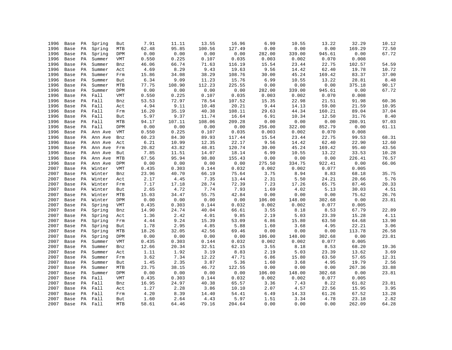| 1996 | Base | PA | Spring       | But        | 7.91  | 11.11                  | 13.55  | 16.96  | 6.99   | 10.55  | 13.22  | 32.29  | 10.12 |
|------|------|----|--------------|------------|-------|------------------------|--------|--------|--------|--------|--------|--------|-------|
| 1996 | Base | PA | Spring       | MTB        | 62.48 | 95.85                  | 100.56 | 127.49 | 0.00   | 0.00   | 0.00   | 169.29 | 72.50 |
| 1996 | Base | PA | Spring       | DPM        | 0.00  | 0.00                   | 0.00   | 0.00   | 282.00 | 339.00 | 945.61 | 0.00   | 67.72 |
| 1996 | Base | PA | Summer       | VMT        | 0.550 | 0.225                  | 0.107  | 0.035  | 0.003  | 0.002  | 0.070  | 0.008  |       |
| 1996 | Base | PA | Summer       | Bnz        | 46.06 | 66.74                  | 71.63  | 116.19 | 15.54  | 23.44  | 22.75  | 102.57 | 54.59 |
| 1996 | Base | PA | Summer       | Act        | 4.69  | 8.29                   | 9.43   | 19.63  | 9.56   | 14.42  | 62.40  | 19.78  | 10.72 |
| 1996 | Base | PA | Summer       | Frm        | 15.86 | 34.08                  | 38.29  | 108.76 | 30.00  | 45.24  | 169.42 | 83.37  | 37.00 |
| 1996 | Base | PA | Summer       | But        | 6.34  | 9.09                   | 11.23  | 15.76  | 6.99   | 10.55  | 13.22  | 28.81  | 8.48  |
| 1996 | Base | PA | Summer       | MTB        | 77.75 | 108.90                 | 112.23 | 225.55 | 0.00   | 0.00   | 0.00   | 375.18 | 90.17 |
| 1996 | Base | PA | Summer       | DPM        | 0.00  | 0.00                   | 0.00   | 0.00   | 282.00 | 339.00 | 945.61 | 0.00   | 67.72 |
| 1996 | Base | PA | Fall         | VMT        | 0.550 | 0.225                  | 0.107  | 0.035  | 0.003  | 0.002  | 0.070  | 0.008  |       |
| 1996 | Base | PA | Fall         | Bnz        | 53.53 | 72.97                  | 78.54  | 107.52 | 15.35  | 22.98  | 21.51  | 91.98  | 60.36 |
| 1996 | Base | PA | Fall         | Act        | 4.94  | 9.11                   | 10.48  | 20.21  | 9.44   | 14.13  | 59.00  | 21.59  | 10.95 |
| 1996 | Base | PA | Fall         | Frm        | 16.20 | 35.19                  | 40.38  | 108.11 | 29.63  | 44.34  | 160.21 | 89.04  | 37.04 |
| 1996 | Base | PA | Fall         | But        | 5.97  | 9.37                   | 11.74  | 16.64  | 6.91   | 10.34  | 12.50  | 31.76  | 8.40  |
| 1996 | Base | PA | Fall         | MTB        | 94.17 | 107.11                 | 108.06 | 209.28 | 0.00   | 0.00   | 0.00   | 280.91 | 97.03 |
| 1996 | Base | PA | Fall         | DPM        | 0.00  | 0.00                   | 0.00   | 0.00   | 256.00 | 322.00 | 852.79 | 0.00   | 61.11 |
| 1996 | Base | PA | Ann Ave      | VMT        | 0.550 | 0.225                  | 0.107  | 0.035  | 0.003  | 0.002  | 0.070  | 0.008  |       |
| 1996 | Base | PA | Ann Ave      | Bnz        | 60.23 | 84.30                  | 89.93  | 117.44 | 15.54  | 23.44  | 22.75  | 99.53  | 68.31 |
| 1996 | Base | PA | Ann Ave      | Act        | 6.21  | 10.99                  | 12.35  | 22.17  | 9.56   | 14.42  | 62.40  | 22.90  | 12.60 |
| 1996 | Base | PA | Ann Ave      | Frm        | 20.82 | 43.82                  | 48.81  | 120.74 | 30.00  | 45.24  | 169.42 | 95.40  | 43.56 |
| 1996 | Base | PA | Ann Ave      | But        | 7.85  | 11.51                  | 14.07  | 18.14  | 6.99   | 10.55  | 13.22  | 33.53  | 10.28 |
| 1996 | Base | PA | Ann Ave      | MTB        | 67.56 | 95.94                  | 98.80  | 155.43 | 0.00   | 0.00   | 0.00   | 226.41 | 76.57 |
| 1996 | Base | РA | Ann Ave      | DPM        | 0.00  | 0.00                   | 0.00   | 0.00   | 275.50 | 334.75 | 922.41 | 0.00   | 66.06 |
| 2007 | Base | РA | Winter       | VMT        | 0.435 | 0.303                  | 0.144  | 0.032  | 0.002  | 0.002  | 0.077  | 0.005  |       |
| 2007 | Base | PA | Winter       | Bnz        | 23.96 | 40.70                  | 66.19  | 75.64  | 3.75   | 8.94   | 8.83   | 68.18  | 35.75 |
| 2007 | Base | PA | Winter       | Act        | 2.17  | 4.45                   | 7.35   | 13.44  | 2.31   | 5.50   | 24.21  | 20.66  | 5.76  |
| 2007 | Base | PA | Winter       | Frm        | 7.17  | 17.18                  | 28.74  | 72.39  | 7.23   | 17.26  | 65.75  | 87.46  | 20.33 |
| 2007 | Base | PA | Winter       | But        | 2.65  | 4.72                   | 7.74   | 7.93   | 1.69   | 4.02   | 5.13   | 30.03  | 4.51  |
| 2007 | Base | PA | Winter       | MTB        | 15.03 | 34.47                  | 55.75  | 42.84  | 0.00   | 0.00   | 0.00   | 75.62  | 26.76 |
| 2007 | Base | PA | Winter       | DPM        | 0.00  | ${\bf 0}$ . ${\bf 00}$ | 0.00   | 0.00   | 106.00 | 148.00 | 302.68 | 0.00   | 23.81 |
| 2007 | Base | PA | Spring       | VMT        | 0.435 | 0.303                  | 0.144  | 0.032  | 0.002  | 0.002  | 0.077  | 0.005  |       |
| 2007 | Base | PA | Spring       | Bnz        | 14.90 | 24.74                  | 40.04  | 66.61  | 3.55   | 8.18   | 8.53   | 67.79  | 22.89 |
| 2007 | Base | PA | Spring       | Act        | 1.36  | 2.42                   | 4.01   | 9.85   | 2.19   | 5.03   | 23.39  | 15.28  | 4.11  |
| 2007 | Base | PA | Spring       | Frm        | 4.44  | 9.24                   | 15.39  | 53.09  | 6.86   | 15.80  | 63.50  | 64.68  | 13.90 |
| 2007 | Base | РA | Spring       | But        | 1.78  | 2.95                   | 4.85   | 5.88   | 1.60   | 3.68   | 4.95   | 22.21  | 3.06  |
| 2007 | Base | PA | Spring       | MTB        | 18.26 | 32.05                  | 42.56  | 69.46  | 0.00   | 0.00   | 0.00   | 113.78 | 26.58 |
| 2007 | Base | PA | Spring       | DPM        | 0.00  | 0.00                   | 0.00   | 0.00   | 106.00 | 148.00 | 302.68 | 0.00   | 23.81 |
| 2007 | Base | PA | Summer       | VMT        | 0.435 | 0.303                  | 0.144  | 0.032  | 0.002  | 0.002  | 0.077  | 0.005  |       |
| 2007 | Base | PA | Summer       | Bnz        | 12.66 | 20.34                  | 32.51  | 62.15  | 3.55   | 8.18   | 8.53   | 68.20  | 19.36 |
| 2007 | Base | PA | Summer       | Act        | 1.11  | 1.92                   | 3.19   | 8.83   | 2.19   | 5.03   | 23.39  | 13.62  | 3.69  |
| 2007 | Base | PA | Summer       | Frm        | 3.62  | 7.34                   | 12.22  | 47.71  | 6.86   | 15.80  | 63.50  | 57.65  | 12.31 |
| 2007 | Base | PA | Summer       | But        | 1.45  | 2.35                   | 3.87   | 5.36   | 1.60   | 3.68   | 4.95   | 19.79  | 2.56  |
| 2007 | Base | PA | Summer       | <b>MTB</b> | 23.75 | 38.15                  | 46.72  | 122.55 | 0.00   | 0.00   | 0.00   | 267.36 | 33.88 |
| 2007 | Base | PA | Summer       | DPM        | 0.00  | 0.00                   | 0.00   | 0.00   | 106.00 | 148.00 | 302.68 | 0.00   | 23.81 |
| 2007 | Base | PA | Fall         | VMT        | 0.435 | 0.303                  | 0.144  | 0.032  | 0.002  | 0.002  | 0.077  | 0.005  |       |
| 2007 | Base | PA | Fall         | Bnz        | 16.95 | 24.97                  | 40.38  | 65.57  | 3.36   | 7.43   | 8.22   | 61.82  | 23.81 |
| 2007 | Base | PA | Fall         | Act        | 1.27  | 2.28                   | 3.86   | 10.10  | 2.07   | 4.57   | 22.56  | 15.95  | 3.95  |
| 2007 | Base | PA | Fall         | Frm        | 4.20  | 8.39                   | 14.40  | 54.41  | 6.49   | 14.33  | 61.26  | 67.52  | 13.28 |
| 2007 |      |    | Base PA Fall | But        | 1.60  | 2.64                   | 4.43   | 5.97   | 1.51   | 3.34   | 4.78   | 23.18  | 2.82  |
| 2007 | Base |    | PA Fall      | <b>MTB</b> | 58.61 | 64.46                  | 79.16  | 204.64 | 0.00   | 0.00   | 0.00   | 262.09 | 64.28 |
|      |      |    |              |            |       |                        |        |        |        |        |        |        |       |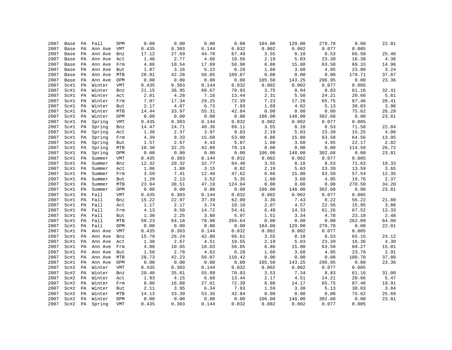| 2007 | Base | PA | Fall    | DPM        | 0.00  | 0.00  | 0.00  | 0.00   | 104.00 | 129.00 | 279.78 | 0.00   | 22.01 |
|------|------|----|---------|------------|-------|-------|-------|--------|--------|--------|--------|--------|-------|
| 2007 | Base | PA | Ann Ave | VMT        | 0.435 | 0.303 | 0.144 | 0.032  | 0.002  | 0.002  | 0.077  | 0.005  |       |
| 2007 | Base | PA | Ann Ave | Bnz        | 17.12 | 27.69 | 44.78 | 67.49  | 3.55   | 8.18   | 8.53   | 66.50  | 25.46 |
| 2007 | Base | PA | Ann Ave | Act        | 1.48  | 2.77  | 4.60  | 10.56  | 2.19   | 5.03   | 23.39  | 16.38  | 4.38  |
| 2007 | Base | PA | Ann Ave | Frm        | 4.86  | 10.54 | 17.69 | 56.90  | 6.86   | 15.80  | 63.50  | 69.33  | 14.96 |
| 2007 | Base | PA | Ann Ave | But        | 1.87  | 3.16  | 5.22  | 6.28   | 1.60   | 3.68   | 4.95   | 23.80  | 3.24  |
| 2007 | Base | PA | Ann Ave | MTB        | 28.91 | 42.28 | 56.05 | 109.87 | 0.00   | 0.00   | 0.00   | 179.71 | 37.87 |
| 2007 | Base | PA | Ann Ave | DPM        | 0.00  | 0.00  | 0.00  | 0.00   | 105.50 | 143.25 | 296.95 | 0.00   | 23.36 |
| 2007 | Sc#1 | PA | Winter  | <b>VMT</b> | 0.435 | 0.303 | 0.144 | 0.032  | 0.002  | 0.002  | 0.077  | 0.005  |       |
| 2007 | Sc#1 | PA | Winter  | Bnz        | 21.15 | 36.95 | 60.67 | 70.93  | 3.75   | 8.94   | 8.83   | 61.16  | 32.41 |
| 2007 | Sc#1 | PA | Winter  | Act        | 2.01  | 4.28  | 7.16  | 13.44  | 2.31   | 5.50   | 24.21  | 20.66  | 5.61  |
| 2007 | Sc#1 | PA | Winter  | Frm        | 7.07  | 17.34 | 29.25 | 72.39  | 7.23   | 17.26  | 65.75  | 87.46  | 20.41 |
| 2007 | Sc#1 | PA | Winter  | But        | 2.17  | 4.07  | 6.73  | 7.93   | 1.69   | 4.02   | 5.13   | 30.03  | 3.96  |
| 2007 | Sc#1 | PA | Winter  | MTB        | 14.44 | 33.97 | 55.31 | 42.84  | 0.00   | 0.00   | 0.00   | 75.62  | 26.29 |
| 2007 | Sc#1 | PA | Winter  | DPM        | 0.00  | 0.00  | 0.00  | 0.00   | 106.00 | 148.00 | 302.68 | 0.00   | 23.81 |
| 2007 | Sc#1 | PA | Spring  | <b>VMT</b> | 0.435 | 0.303 | 0.144 | 0.032  | 0.002  | 0.002  | 0.077  | 0.005  |       |
| 2007 | Sc#1 | PA | Spring  | Bnz        | 14.47 | 24.71 | 40.36 | 69.11  | 3.55   | 8.18   | 8.53   | 71.58  | 22.84 |
| 2007 | Sc#1 | PA | Spring  | Act        | 1.30  | 2.37  | 3.97  | 9.83   | 2.19   | 5.03   | 23.39  | 15.25  | 4.06  |
| 2007 | Sc#1 | PA | Spring  | Frm        | 4.39  | 9.33  | 15.68 | 53.00  | 6.86   | 15.80  | 63.50  | 64.56  | 13.95 |
| 2007 | Sc#1 | PA | Spring  | But        | 1.57  | 2.67  | 4.43  | 5.87   | 1.60   | 3.68   | 4.95   | 22.17  | 2.82  |
| 2007 | Sc#1 | PA | Spring  | MTB        | 18.30 | 32.25 | 42.89 | 70.14  | 0.00   | 0.00   | 0.00   | 114.58 | 26.72 |
| 2007 | Sc#1 | PA | Spring  | DPM        | 0.00  | 0.00  | 0.00  | 0.00   | 106.00 | 148.00 | 302.68 | 0.00   | 23.81 |
| 2007 | Sc#1 | PA | Summer  | VMT        | 0.435 | 0.303 | 0.144 | 0.032  | 0.002  | 0.002  | 0.077  | 0.005  |       |
| 2007 | Sc#1 | PA | Summer  | Bnz        | 12.32 | 20.32 | 32.77 | 64.40  | 3.55   | 8.18   | 8.53   | 71.63  | 19.33 |
| 2007 | Sc#1 | PA | Summer  | Act        | 1.06  | 1.88  | 3.15  | 8.82   | 2.19   | 5.03   | 23.39  | 13.59  | 3.65  |
| 2007 | Sc#1 | PA | Summer  | Frm        | 3.59  | 7.41  | 12.46 | 47.62  | 6.86   | 15.80  | 63.50  | 57.54  | 12.35 |
| 2007 | Sc#1 | PA | Summer  | But        | 1.29  | 2.13  | 3.52  | 5.35   | 1.60   | 3.68   | 4.95   | 19.76  | 2.37  |
| 2007 | Sc#1 | PA | Summer  | <b>MTB</b> | 23.94 | 38.51 | 47.19 | 124.04 | 0.00   | 0.00   | 0.00   | 270.50 | 34.20 |
| 2007 | Sc#1 | PA | Summer  | DPM        | 0.00  | 0.00  | 0.00  | 0.00   | 106.00 | 148.00 | 302.68 | 0.00   | 23.81 |
| 2007 | Sc#1 | PA | Fall    | <b>VMT</b> | 0.435 | 0.303 | 0.144 | 0.032  | 0.002  | 0.002  | 0.077  | 0.005  |       |
| 2007 | Sc#1 | PA | Fall    | Bnz        | 15.22 | 22.97 | 37.39 | 62.00  | 3.36   | 7.43   | 8.22   | 56.22  | 21.88 |
| 2007 | Sc#1 | PA | Fall    | Act        | 1.17  | 2.17  | 3.74  | 10.10  | 2.07   | 4.57   | 22.56  | 15.95  | 3.86  |
| 2007 | Sc#1 | PA | Fall    | Frm        | 4.13  | 8.50  | 14.72 | 54.41  | 6.49   | 14.33  | 61.26  | 67.52  | 13.33 |
| 2007 | Sc#1 | PA | Fall    | But        | 1.30  | 2.25  | 3.80  | 5.97   | 1.51   | 3.34   | 4.78   | 23.18  | 2.48  |
| 2007 | Sc#1 | PA | Fall    | MTB        | 58.23 | 64.18 | 78.90 | 204.64 | 0.00   | 0.00   | 0.00   | 262.09 | 64.00 |
| 2007 | Sc#1 | PA | Fall    | DPM        | 0.00  | 0.00  | 0.00  | 0.00   | 104.00 | 129.00 | 279.78 | 0.00   | 22.01 |
| 2007 | Sc#1 | PA | Ann Ave | VMT        | 0.435 | 0.303 | 0.144 | 0.032  | 0.002  | 0.002  | 0.077  | 0.005  |       |
| 2007 | Sc#1 | PA | Ann Ave | Bnz        | 15.79 | 26.24 | 42.80 | 66.61  | 3.55   | 8.18   | 8.53   | 65.15  | 24.12 |
| 2007 | Sc#1 | PA | Ann Ave | Act        | 1.38  | 2.67  | 4.51  | 10.55  | 2.19   | 5.03   | 23.39  | 16.36  | 4.30  |
| 2007 | Sc#1 | PA | Ann Ave | Frm        | 4.80  | 10.65 | 18.03 | 56.85  | 6.86   | 15.80  | 63.50  | 69.27  | 15.01 |
| 2007 | Sc#1 | PA | Ann Ave | But        | 1.58  | 2.78  | 4.62  | 6.28   | 1.60   | 3.68   | 4.95   | 23.78  | 2.91  |
| 2007 | Sc#1 | PA | Ann Ave | MTB        | 28.73 | 42.23 | 56.07 | 110.42 | 0.00   | 0.00   | 0.00   | 180.70 | 37.80 |
| 2007 | Sc#1 | PA | Ann Ave | DPM        | 0.00  | 0.00  | 0.00  | 0.00   | 105.50 | 143.25 | 296.95 | 0.00   | 23.36 |
| 2007 | Sc#2 | PA | Winter  | <b>VMT</b> | 0.435 | 0.303 | 0.144 | 0.032  | 0.002  | 0.002  | 0.077  | 0.005  |       |
| 2007 | Sc#2 | PA | Winter  | Bnz        | 20.40 | 35.61 | 55.99 | 70.93  | 3.53   | 7.34   | 8.83   | 61.16  | 31.00 |
| 2007 | Sc#2 | PA | Winter  | Act        | 1.93  | 4.15  | 6.68  | 13.44  | 2.17   | 4.51   | 24.21  | 20.66  | 5.47  |
| 2007 | Sc#2 | PA | Winter  | Frm        | 6.80  | 16.88 | 27.61 | 72.39  | 6.80   | 14.17  | 65.75  | 87.46  | 19.91 |
| 2007 | Sc#2 | PA | Winter  | But        | 2.11  | 3.95  | 6.34  | 7.93   | 1.59   | 3.30   | 5.13   | 30.03  | 3.84  |
| 2007 | Sc#2 | PA | Winter  | <b>MTB</b> | 14.13 | 33.39 | 53.35 | 42.84  | 0.00   | 0.00   | 0.00   | 75.62  | 25.69 |
| 2007 | Sc#2 | PA | Winter  | DPM        | 0.00  | 0.00  | 0.00  | 0.00   | 106.00 | 148.00 | 302.68 | 0.00   | 23.81 |
| 2007 | Sc#2 | PA | Spring  | <b>VMT</b> | 0.435 | 0.303 | 0.144 | 0.032  | 0.002  | 0.002  | 0.077  | 0.005  |       |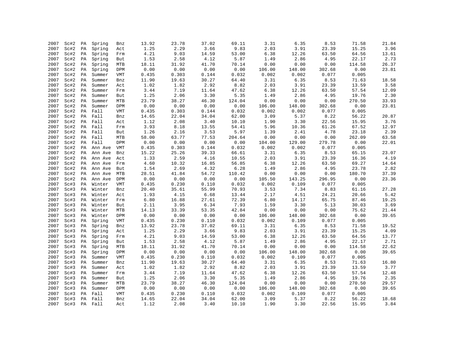| 2007 | Sc#2 | PA | Spring  | Bnz        | 13.92 | 23.78 | 37.02 | 69.11  | 3.31   | 6.35   | 8.53            | 71.58  | 21.84 |
|------|------|----|---------|------------|-------|-------|-------|--------|--------|--------|-----------------|--------|-------|
| 2007 | Sc#2 | PA | Spring  | Act        | 1.25  | 2.29  | 3.66  | 9.83   | 2.03   | 3.91   | 23.39           | 15.25  | 3.96  |
| 2007 | Sc#2 | PA | Spring  | Frm        | 4.21  | 9.03  | 14.59 | 53.00  | 6.38   | 12.26  | 63.50           | 64.56  | 13.61 |
| 2007 | Sc#2 | PA | Spring  | But        | 1.53  | 2.58  | 4.12  | 5.87   | 1.49   | 2.86   | 4.95            | 22.17  | 2.73  |
| 2007 | Sc#2 | PA | Spring  | MTB        | 18.11 | 31.92 | 41.70 | 70.14  | 0.00   | 0.00   | 0.00            | 114.58 | 26.37 |
|      |      |    |         |            | 0.00  | 0.00  | 0.00  |        |        |        |                 | 0.00   |       |
| 2007 | Sc#2 | PA | Spring  | DPM        |       |       |       | 0.00   | 106.00 | 148.00 | 302.68<br>0.077 |        | 23.81 |
| 2007 | Sc#2 | PA | Summer  | VMT        | 0.435 | 0.303 | 0.144 | 0.032  | 0.002  | 0.002  |                 | 0.005  |       |
| 2007 | Sc#2 | PA | Summer  | Bnz        | 11.90 | 19.63 | 30.27 | 64.40  | 3.31   | 6.35   | 8.53            | 71.63  | 18.58 |
| 2007 | Sc#2 | PA | Summer  | Act        | 1.02  | 1.82  | 2.92  | 8.82   | 2.03   | 3.91   | 23.39           | 13.59  | 3.58  |
| 2007 | Sc#2 | PA | Summer  | Frm        | 3.44  | 7.19  | 11.64 | 47.62  | 6.38   | 12.26  | 63.50           | 57.54  | 12.09 |
| 2007 | Sc#2 | PA | Summer  | But        | 1.25  | 2.06  | 3.30  | 5.35   | 1.49   | 2.86   | 4.95            | 19.76  | 2.30  |
| 2007 | Sc#2 | PA | Summer  | <b>MTB</b> | 23.79 | 38.27 | 46.30 | 124.04 | 0.00   | 0.00   | 0.00            | 270.50 | 33.93 |
| 2007 | Sc#2 | PA | Summer  | DPM        | 0.00  | 0.00  | 0.00  | 0.00   | 106.00 | 148.00 | 302.68          | 0.00   | 23.81 |
| 2007 | Sc#2 | PA | Fall    | <b>VMT</b> | 0.435 | 0.303 | 0.144 | 0.032  | 0.002  | 0.002  | 0.077           | 0.005  |       |
| 2007 | Sc#2 | PA | Fall    | Bnz        | 14.65 | 22.04 | 34.04 | 62.00  | 3.09   | 5.37   | 8.22            | 56.22  | 20.87 |
| 2007 | Sc#2 | PA | Fall    | Act        | 1.12  | 2.08  | 3.40  | 10.10  | 1.90   | 3.30   | 22.56           | 15.95  | 3.76  |
| 2007 | Sc#2 | PA | Fall    | Frm        | 3.93  | 8.18  | 13.55 | 54.41  | 5.96   | 10.36  | 61.26           | 67.52  | 12.97 |
| 2007 | Sc#2 | PA | Fall    | But        | 1.26  | 2.16  | 3.53  | 5.97   | 1.39   | 2.41   | 4.78            | 23.18  | 2.39  |
| 2007 | Sc#2 | PA | Fall    | MTB        | 58.00 | 63.77 | 77.53 | 204.64 | 0.00   | 0.00   | 0.00            | 262.09 | 63.58 |
| 2007 | Sc#2 | PA | Fall    | DPM        | 0.00  | 0.00  | 0.00  | 0.00   | 104.00 | 129.00 | 279.78          | 0.00   | 22.01 |
| 2007 | Sc#2 | PA | Ann Ave | VMT        | 0.435 | 0.303 | 0.144 | 0.032  | 0.002  | 0.002  | 0.077           | 0.005  |       |
| 2007 | Sc#2 | PA | Ann Ave | Bnz        | 15.22 | 25.26 | 39.33 | 66.61  | 3.31   | 6.35   | 8.53            | 65.15  | 23.07 |
| 2007 | Sc#2 | PA | Ann Ave | Act        | 1.33  | 2.59  | 4.16  | 10.55  | 2.03   | 3.91   | 23.39           | 16.36  | 4.19  |
| 2007 | Sc#2 | PA | Ann Ave | Frm        | 4.60  | 10.32 | 16.85 | 56.85  | 6.38   | 12.26  | 63.50           | 69.27  | 14.64 |
| 2007 | Sc#2 | PA | Ann Ave | But        | 1.54  | 2.69  | 4.32  | 6.28   | 1.49   | 2.86   | 4.95            | 23.78  | 2.82  |
| 2007 | Sc#2 | PA | Ann Ave | MTB        | 28.51 | 41.84 | 54.72 | 110.42 | 0.00   | 0.00   | 0.00            | 180.70 | 37.39 |
| 2007 | Sc#2 | PA | Ann Ave | DPM        | 0.00  | 0.00  | 0.00  | 0.00   | 105.50 | 143.25 | 296.95          | 0.00   | 23.36 |
| 2007 | Sc#3 | PA | Winter  | VMT        | 0.435 | 0.230 | 0.110 | 0.032  | 0.002  | 0.109  | 0.077           | 0.005  |       |
| 2007 | Sc#3 | PA | Winter  | Bnz        | 20.40 | 35.61 | 55.99 | 70.93  | 3.53   | 7.34   | 8.83            | 61.16  | 27.28 |
| 2007 | Sc#3 | PA | Winter  | Act        | 1.93  | 4.15  | 6.68  | 13.44  | 2.17   | 4.51   | 24.21           | 20.66  | 5.42  |
| 2007 | Sc#3 | PA | Winter  | Frm        | 6.80  | 16.88 | 27.61 | 72.39  | 6.80   | 14.17  | 65.75           | 87.46  | 19.25 |
| 2007 | Sc#3 | PA | Winter  | But        | 2.11  | 3.95  | 6.34  | 7.93   | 1.59   | 3.30   | 5.13            | 30.03  | 3.69  |
| 2007 | Sc#3 | PA | Winter  | <b>MTB</b> | 14.13 | 33.39 | 53.35 | 42.84  | 0.00   | 0.00   | 0.00            | 75.62  | 21.44 |
| 2007 | Sc#3 | PA | Winter  | DPM        | 0.00  | 0.00  | 0.00  | 0.00   | 106.00 | 148.00 | 302.68          | 0.00   | 39.65 |
| 2007 | Sc#3 | PA | Spring  | <b>VMT</b> | 0.435 | 0.230 | 0.110 | 0.032  | 0.002  | 0.109  | 0.077           | 0.005  |       |
| 2007 | Sc#3 | PA | Spring  | Bnz        | 13.92 | 23.78 | 37.02 | 69.11  | 3.31   | 6.35   | 8.53            | 71.58  | 19.52 |
| 2007 | Sc#3 | PA | Spring  | Act        | 1.25  | 2.29  | 3.66  | 9.83   | 2.03   | 3.91   | 23.39           | 15.25  | 4.09  |
| 2007 | Sc#3 | PA | Spring  | Frm        | 4.21  | 9.03  | 14.59 | 53.00  | 6.38   | 12.26  | 63.50           | 64.56  | 13.77 |
| 2007 | Sc#3 | PA | Spring  | But        | 1.53  | 2.58  | 4.12  | 5.87   | 1.49   | 2.86   | 4.95            | 22.17  | 2.71  |
| 2007 | Sc#3 | PA | Spring  | MTB        | 18.11 | 31.92 | 41.70 | 70.14  | 0.00   | 0.00   | 0.00            | 114.58 | 22.62 |
| 2007 |      | PA |         |            | 0.00  | 0.00  | 0.00  | 0.00   |        |        |                 | 0.00   | 39.65 |
|      | Sc#3 |    | Spring  | DPM        | 0.435 |       |       |        | 106.00 | 148.00 | 302.68<br>0.077 | 0.005  |       |
| 2007 | Sc#3 | PA | Summer  | VMT        |       | 0.230 | 0.110 | 0.032  | 0.002  | 0.109  |                 |        |       |
| 2007 | Sc#3 | PA | Summer  | Bnz        | 11.90 | 19.63 | 30.27 | 64.40  | 3.31   | 6.35   | 8.53            | 71.63  | 16.80 |
| 2007 | Sc#3 | PA | Summer  | Act        | 1.02  | 1.82  | 2.92  | 8.82   | 2.03   | 3.91   | 23.39           | 13.59  | 3.77  |
| 2007 | Sc#3 | PA | Summer  | Frm        | 3.44  | 7.19  | 11.64 | 47.62  | 6.38   | 12.26  | 63.50           | 57.54  | 12.48 |
| 2007 | Sc#3 | PA | Summer  | But        | 1.25  | 2.06  | 3.30  | 5.35   | 1.49   | 2.86   | 4.95            | 19.76  | 2.35  |
| 2007 | Sc#3 | PA | Summer  | MTB        | 23.79 | 38.27 | 46.30 | 124.04 | 0.00   | 0.00   | 0.00            | 270.50 | 29.57 |
| 2007 | Sc#3 | PA | Summer  | DPM        | 0.00  | 0.00  | 0.00  | 0.00   | 106.00 | 148.00 | 302.68          | 0.00   | 39.65 |
| 2007 | Sc#3 | PA | Fall    | VMT        | 0.435 | 0.230 | 0.110 | 0.032  | 0.002  | 0.109  | 0.077           | 0.005  |       |
| 2007 | Sc#3 | PA | Fall    | Bnz        | 14.65 | 22.04 | 34.04 | 62.00  | 3.09   | 5.37   | 8.22            | 56.22  | 18.68 |
| 2007 | Sc#3 | PA | Fall    | Act        | 1.12  | 2.08  | 3.40  | 10.10  | 1.90   | 3.30   | 22.56           | 15.95  | 3.84  |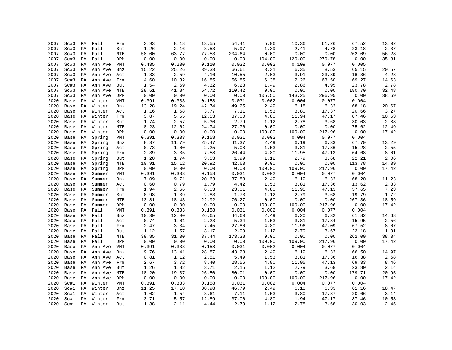| 2007 | Sc#3 | PA | Fall    | Frm        | 3.93  | 8.18  | 13.55        | 54.41  | 5.96   | 10.36  | 61.26                  | 67.52  | 13.02         |
|------|------|----|---------|------------|-------|-------|--------------|--------|--------|--------|------------------------|--------|---------------|
| 2007 | Sc#3 | PA | Fall    | But        | 1.26  | 2.16  | 3.53         | 5.97   | 1.39   | 2.41   | 4.78                   | 23.18  | 2.37          |
| 2007 | Sc#3 | PA | Fall    | MTB        | 58.00 | 63.77 | 77.53        | 204.64 | 0.00   | 0.00   | 0.00                   | 262.09 | 56.28         |
| 2007 | Sc#3 | PA | Fall    | DPM        | 0.00  | 0.00  | 0.00         | 0.00   | 104.00 | 129.00 | 279.78                 | 0.00   | 35.81         |
| 2007 | Sc#3 | PA | Ann Ave | VMT        | 0.435 | 0.230 | 0.110        | 0.032  | 0.002  | 0.109  | 0.077                  | 0.005  |               |
| 2007 | Sc#3 | PA | Ann Ave | Bnz        | 15.22 | 25.26 | 39.33        | 66.61  | 3.31   | 6.35   | 8.53                   | 65.15  | 20.57         |
| 2007 | Sc#3 | PA | Ann Ave | Act        | 1.33  | 2.59  | 4.16         | 10.55  | 2.03   | 3.91   | 23.39                  | 16.36  | 4.28          |
| 2007 | Sc#3 | PA | Ann Ave | Frm        | 4.60  | 10.32 | 16.85        | 56.85  | 6.38   | 12.26  | 63.50                  | 69.27  | 14.63         |
| 2007 | Sc#3 | PA | Ann Ave | But        | 1.54  | 2.69  | 4.32         | 6.28   | 1.49   | 2.86   | 4.95                   | 23.78  | 2.78          |
| 2007 | Sc#3 | PA | Ann Ave | MTB        | 28.51 | 41.84 | 54.72        | 110.42 | 0.00   | 0.00   | ${\bf 0}$ . ${\bf 00}$ | 180.70 | 32.48         |
| 2007 | Sc#3 | PA | Ann Ave | DPM        | 0.00  | 0.00  | 0.00         | 0.00   | 105.50 | 143.25 | 296.95                 | 0.00   | 38.69         |
| 2020 | Base | PA | Winter  | <b>VMT</b> | 0.391 | 0.333 | 0.158        | 0.031  | 0.002  | 0.004  | 0.077                  | 0.004  |               |
| 2020 | Base | PA | Winter  | Bnz        | 13.28 | 19.24 | 42.74        | 49.25  | 2.49   | 6.18   | 6.33                   | 68.18  | 20.67         |
| 2020 | Base | PA | Winter  | Act        | 1.16  | 1.68  | 3.77         | 7.11   | 1.53   | 3.80   | 17.37                  | 20.66  | 3.27          |
| 2020 | Base | PA | Winter  | Frm        | 3.87  | 5.55  | 12.53        | 37.00  | 4.80   | 11.94  | 47.17                  | 87.46  | 10.53         |
| 2020 | Base | PA | Winter  | But        | 1.74  | 2.57  | 5.30         | 2.79   | 1.12   | 2.78   | 3.68                   | 30.03  | 2.88          |
| 2020 | Base | PA | Winter  | MTB        | 8.23  | 12.62 | 24.74        | 27.76  | 0.00   | 0.00   | 0.00                   | 75.62  | 12.49         |
| 2020 | Base | PA | Winter  | DPM        | 0.00  | 0.00  | 0.00         | 0.00   | 100.00 | 109.00 | 217.96                 | 0.00   | 17.42         |
| 2020 | Base | PA | Spring  | VMT        | 0.391 | 0.333 | 0.158        | 0.031  | 0.002  | 0.004  | 0.077                  | 0.004  |               |
| 2020 | Base | PA | Spring  | Bnz        | 8.37  | 11.79 | 25.47        | 41.37  | 2.49   | 6.19   | 6.33                   | 67.79  | 13.29         |
| 2020 | Base | PA | Spring  | Act        | 0.73  | 1.00  | 2.25         | 5.08   | 1.53   | 3.81   | 17.36                  | 15.28  | 2.55          |
| 2020 | Base | PA | Spring  | Frm        | 2.39  | 3.35  | 7.58         | 26.44  | 4.80   | 11.95  | 47.13                  | 64.68  | 8.01          |
| 2020 | Base | PA | Spring  | But        | 1.20  | 1.74  | 3.53         | 1.99   | 1.12   | 2.79   | 3.68                   | 22.21  | 2.06          |
| 2020 | Base | PA | Spring  | MTB        | 10.91 | 15.12 | 20.92        | 42.63  | 0.00   | 0.00   | 0.00                   | 113.78 | 14.39         |
| 2020 | Base | PA | Spring  | DPM        | 0.00  | 0.00  | 0.00         | 0.00   | 100.00 | 109.00 | 217.96                 | 0.00   | 17.42         |
| 2020 | Base | PA | Summer  | VMT        | 0.391 | 0.333 | 0.158        | 0.031  | 0.002  | 0.004  | 0.077                  | 0.004  |               |
| 2020 | Base | PA | Summer  | Bnz        | 7.09  | 9.71  | 20.63        | 37.88  | 2.49   | 6.19   | 6.33                   | 68.20  |               |
|      |      |    |         |            | 0.60  | 0.79  |              | 4.42   | 1.53   | 3.81   | 17.36                  | 13.62  | 11.23<br>2.33 |
| 2020 | Base | PA | Summer  | Act        |       |       | 1.79<br>6.03 |        | 4.80   | 11.95  | 47.13                  |        |               |
| 2020 | Base | PA | Summer  | Frm        | 1.94  | 2.66  |              | 23.01  |        |        |                        | 57.65  | 7.23          |
| 2020 | Base | PA | Summer  | But        | 0.98  | 1.39  | 2.83         | 1.73   | 1.12   | 2.79   | 3.68                   | 19.79  | 1.72          |
| 2020 | Base | PA | Summer  | MTB        | 13.81 | 18.43 | 22.92        | 76.27  | 0.00   | 0.00   | ${\bf 0}$ . ${\bf 00}$ | 267.36 | 18.59         |
| 2020 | Base | PA | Summer  | DPM        | 0.00  | 0.00  | 0.00         | 0.00   | 100.00 | 109.00 | 217.96                 | 0.00   | 17.42         |
| 2020 | Base | PA | Fall    | <b>VMT</b> | 0.391 | 0.333 | 0.158        | 0.031  | 0.002  | 0.004  | 0.077                  | 0.004  |               |
| 2020 | Base | PA | Fall    | Bnz        | 10.30 | 12.90 | 26.65        | 44.60  | 2.49   | 6.20   | 6.32                   | 61.82  | 14.68         |
| 2020 | Base | PA | Fall    | Act        | 0.74  | 1.01  | 2.23         | 5.34   | 1.53   | 3.81   | 17.34                  | 15.95  | 2.56          |
| 2020 | Base | PA | Fall    | Frm        | 2.47  | 3.34  | 7.45         | 27.80  | 4.80   | 11.96  | 47.09                  | 67.52  | 8.07          |
| 2020 | Base | PA | Fall    | But        | 1.12  | 1.57  | 3.17         | 2.09   | 1.12   | 2.79   | 3.67                   | 23.18  | 1.91          |
| 2020 | Base | PA | Fall    | MTB        | 39.85 | 31.30 | 37.44        | 173.38 | 0.00   | 0.00   | 0.00                   | 262.09 | 38.34         |
| 2020 | Base | PA | Fall    | DPM        | 0.00  | 0.00  | 0.00         | 0.00   | 100.00 | 109.00 | 217.96                 | 0.00   | 17.42         |
| 2020 | Base | PA | Ann Ave | VMT        | 0.391 | 0.333 | 0.158        | 0.031  | 0.002  | 0.004  | 0.077                  | 0.004  |               |
| 2020 | Base | PA | Ann Ave | Bnz        | 9.76  | 13.41 | 28.87        | 43.28  | 2.49   | 6.19   | 6.33                   | 66.50  | 14.97         |
| 2020 | Base | PA | Ann Ave | Act        | 0.81  | 1.12  | 2.51         | 5.49   | 1.53   | 3.81   | 17.36                  | 16.38  | 2.68          |
| 2020 | Base | PA | Ann Ave | Frm        | 2.67  | 3.72  | $8.40\,$     | 28.56  | 4.80   | 11.95  | 47.13                  | 69.33  | $8.46\,$      |
| 2020 | Base | PA | Ann Ave | But        | 1.26  | 1.82  | 3.71         | 2.15   | 1.12   | 2.79   | 3.68                   | 23.80  | 2.14          |
| 2020 | Base | PA | Ann Ave | <b>MTB</b> | 18.20 | 19.37 | 26.50        | 80.01  | 0.00   | 0.00   | 0.00                   | 179.71 | 20.95         |
| 2020 | Base | PA | Ann Ave | DPM        | 0.00  | 0.00  | 0.00         | 0.00   | 100.00 | 109.00 | 217.96                 | 0.00   | 17.42         |
| 2020 | Sc#1 | PA | Winter  | VMT        | 0.391 | 0.333 | 0.158        | 0.031  | 0.002  | 0.004  | 0.077                  | 0.004  |               |
| 2020 | Sc#1 | PA | Winter  | Bnz        | 11.25 | 17.10 | 38.98        | 46.79  | 2.49   | 6.18   | 6.33                   | 61.16  | 18.47         |
| 2020 | Sc#1 | PA | Winter  | Act        | 1.02  | 1.54  | 3.61         | 7.11   | 1.53   | 3.80   | 17.37                  | 20.66  | 3.14          |
| 2020 | Sc#1 | PA | Winter  | Frm        | 3.71  | 5.57  | 12.89        | 37.00  | 4.80   | 11.94  | 47.17                  | 87.46  | 10.53         |
| 2020 | Sc#1 | PA | Winter  | But        | 1.38  | 2.11  | 4.44         | 2.79   | 1.12   | 2.78   | 3.68                   | 30.03  | 2.45          |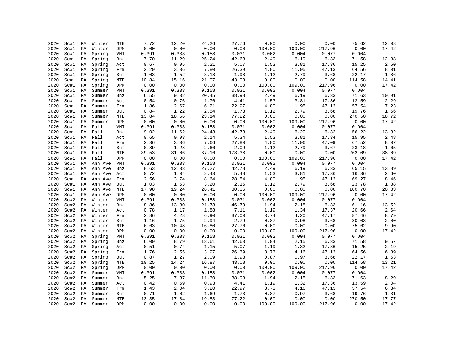| 2020         | Sc#1 | PA       | Winter  | MTB        | 7.72  | 12.20         | 24.26 | 27.76  | 0.00   | 0.00   | 0.00                   | 75.62         | 12.08    |
|--------------|------|----------|---------|------------|-------|---------------|-------|--------|--------|--------|------------------------|---------------|----------|
| 2020         | Sc#1 | PA       | Winter  | DPM        | 0.00  | 0.00          | 0.00  | 0.00   | 100.00 | 109.00 | 217.96                 | 0.00          | 17.42    |
| 2020         | Sc#1 | PA       | Spring  | VMT        | 0.391 | 0.333         | 0.158 | 0.031  | 0.002  | 0.004  | 0.077                  | 0.004         |          |
| 2020         | Sc#1 | PA       | Spring  | Bnz        | 7.70  | 11.29         | 25.24 | 42.63  | 2.49   | 6.19   | 6.33                   | 71.58         | 12.88    |
| 2020         | Sc#1 | PA       | Spring  | Act        | 0.67  | 0.95          | 2.21  | 5.07   | 1.53   | 3.81   | 17.36                  | 15.25         | 2.50     |
| 2020         | Sc#1 | PA       | Spring  | Frm        | 2.29  | 3.36          | 7.80  | 26.39  | 4.80   | 11.95  | 47.13                  | 64.56         | $8\,.01$ |
| 2020         | Sc#1 | PA       | Spring  | But        | 1.03  | 1.52          | 3.18  | 1.98   | 1.12   | 2.79   | 3.68                   | 22.17         | 1.86     |
| 2020         | Sc#1 | PA       | Spring  | MTB        | 10.84 | 15.16         | 21.07 | 43.08  | 0.00   | 0.00   | 0.00                   | 114.58        | 14.41    |
| 2020         | Sc#1 | PA       | Spring  | DPM        | 0.00  | 0.00          | 0.00  | 0.00   | 100.00 | 109.00 | 217.96                 | 0.00          | 17.42    |
| 2020         | Sc#1 | PA       | Summer  | VMT        | 0.391 | 0.333         | 0.158 | 0.031  | 0.002  | 0.004  | 0.077                  | 0.004         |          |
| 2020         | Sc#1 | PA       | Summer  | Bnz        | 6.55  | 9.32          | 20.45 | 38.98  | 2.49   | 6.19   | 6.33                   | 71.63         | 10.91    |
| 2020         | Sc#1 | PA       | Summer  | Act        | 0.54  | 0.76          | 1.76  | 4.41   | 1.53   | 3.81   | 17.36                  | 13.59         | 2.29     |
| 2020         | Sc#1 | PA       | Summer  | Frm        | 1.86  | 2.67          | 6.21  | 22.97  | 4.80   | 11.95  | 47.13                  | 57.54         | 7.23     |
| 2020         | Sc#1 | PA       | Summer  | But        | 0.84  | 1.22          | 2.54  | 1.73   | 1.12   | 2.79   | 3.68                   | 19.76         | 1.56     |
| 2020         | Sc#1 | PA       | Summer  | MTB        | 13.84 | 18.56         | 23.14 | 77.22  | 0.00   | 0.00   | 0.00                   | 270.50        | 18.72    |
| 2020         | Sc#1 | PA       | Summer  | DPM        | 0.00  | 0.00          | 0.00  | 0.00   | 100.00 | 109.00 | 217.96                 | 0.00          | 17.42    |
| 2020         | Sc#1 | PA       | Fall    | VMT        | 0.391 | 0.333         | 0.158 | 0.031  | 0.002  | 0.004  | 0.077                  | 0.004         |          |
| 2020         | Sc#1 | PA       | Fall    | Bnz        | 9.02  | 11.62         | 24.43 | 42.73  | 2.49   | 6.20   | 6.32                   | 56.22         | 13.32    |
| 2020         | Sc#1 | PA       | Fall    | Act        | 0.65  | 0.93          | 2.14  | 5.34   | 1.53   | 3.81   | 17.34                  | 15.95         | 2.48     |
| 2020         | Sc#1 | PA       | Fall    | Frm        | 2.36  | 3.36          | 7.66  | 27.80  | 4.80   | 11.96  | 47.09                  | 67.52         | 8.07     |
| 2020         | Sc#1 | PA       | Fall    | But        | 0.89  | 1.28          | 2.66  | 2.09   | 1.12   | 2.79   | 3.67                   | 23.18         | 1.65     |
| 2020         | Sc#1 | PA       | Fall    | MTB        | 39.53 | 31.06         | 37.16 | 173.38 | 0.00   | 0.00   | 0.00                   | 262.09        | 38.09    |
| 2020         | Sc#1 | PA       | Fall    | DPM        | 0.00  | 0.00          | 0.00  | 0.00   | 100.00 | 109.00 | 217.96                 | 0.00          | 17.42    |
| 2020         | Sc#1 | PA       | Ann Ave | VMT        | 0.391 | 0.333         | 0.158 | 0.031  | 0.002  | 0.004  | 0.077                  | 0.004         |          |
| 2020         | Sc#1 | PA       | Ann Ave | Bnz        | 8.63  | 12.33         | 27.27 | 42.78  | 2.49   | 6.19   | 6.33                   | 65.15         | 13.89    |
| 2020         | Sc#1 | PA       | Ann Ave | Act        | 0.72  | 1.04          | 2.43  | 5.48   | 1.53   | 3.81   | 17.36                  | 16.36         | 2.60     |
| 2020         | Sc#1 | PA       | Ann Ave | Frm        | 2.56  | 3.74          | 8.64  | 28.54  | 4.80   | 11.95  | 47.13                  | 69.27         | $8.46\,$ |
| 2020         | Sc#1 | PA       | Ann Ave | But        | 1.03  | 1.53          | 3.20  | 2.15   | 1.12   | 2.79   | 3.68                   | 23.78         | 1.88     |
| 2020         | Sc#1 | PA       | Ann Ave | MTB        | 17.98 | 19.24         | 26.41 | 80.36  | 0.00   | 0.00   | ${\bf 0}$ . ${\bf 00}$ | 180.70        | 20.83    |
| 2020         | Sc#1 | PA       | Ann Ave | DPM        | 0.00  | 0.00          | 0.00  | 0.00   | 100.00 | 109.00 | 217.96                 | 0.00          | 17.42    |
| 2020         | Sc#2 | PA       | Winter  | VMT        | 0.391 | 0.333         | 0.158 | 0.031  | 0.002  | 0.004  | 0.077                  | 0.004         |          |
| 2020         | Sc#2 | PA       | Winter  | Bnz        | 8.86  | 13.30         | 21.73 | 46.79  | 1.94   | 2.18   | 6.33                   | 61.16         | 13.52    |
| 2020         | Sc#2 | PA       | Winter  | Act        | 0.78  | 1.17          | 1.88  | 7.11   | 1.19   | 1.34   | 17.37                  | 20.66         | 2.64     |
| 2020         | Sc#2 | PA       | Winter  | Frm        | 2.86  | 4.28          | 6.90  | 37.00  | 3.74   | 4.20   | 47.17                  | 87.46         | 8.79     |
| 2020         | Sc#2 | PA       | Winter  | But        | 1.16  | 1.75          | 2.94  | 2.79   | 0.87   | 0.98   | 3.68                   | 30.03         | 2.00     |
| 2020         | Sc#2 | PA       | Winter  | MTB        | 6.63  | 10.48         | 16.80 | 27.76  | 0.00   | 0.00   | 0.00                   | 75.62         | 9.90     |
| 2020         | Sc#2 | PA       | Winter  | DPM        | 0.00  | 0.00          | 0.00  | 0.00   | 100.00 | 109.00 | 217.96                 | 0.00          | 17.42    |
| 2020         | Sc#2 | PA       | Spring  | VMT        | 0.391 | 0.333         | 0.158 | 0.031  | 0.002  | 0.004  | 0.077                  | 0.004         |          |
| 2020         | Sc#2 | PA       | Spring  | Bnz        | 6.09  | 8.79          | 13.61 | 42.63  | 1.94   | 2.15   | 6.33                   | 71.58         | 9.57     |
| 2020         | Sc#2 | PA       | Spring  | Act        | 0.51  | 0.74          | 1.15  | 5.07   | 1.19   | 1.32   | 17.36                  | 15.25         | 2.19     |
| 2020         | Sc#2 |          | Spring  |            | 1.76  | 2.55          | 3.97  | 26.39  | 3.73   | 4.16   | 47.13                  | 64.56         | 6.89     |
| 2020         | Sc#2 | PA<br>PA |         | Frm        | 0.87  | 1.27          | 2.09  | 1.98   | 0.87   | 0.97   | 3.68                   | 22.17         | 1.53     |
| 2020         |      |          | Spring  | But        |       |               |       |        |        |        |                        |               |          |
|              | Sc#2 | PA       | Spring  | MTB        | 10.25 | 14.24         | 16.87 | 43.08  | 0.00   | 0.00   | 0.00                   | 114.58        | 13.21    |
| 2020<br>2020 | Sc#2 | PA       | Spring  | DPM        | 0.00  | 0.00<br>0.333 | 0.00  | 0.00   | 100.00 | 109.00 | 217.96<br>0.077        | 0.00<br>0.004 | 17.42    |
|              | Sc#2 | PA       | Summer  | VMT        | 0.391 |               | 0.158 | 0.031  | 0.002  | 0.004  |                        |               |          |
| 2020         | Sc#2 | PA       | Summer  | Bnz        | 5.25  | 7.37          | 11.30 | 38.98  | 1.94   | 2.15   | 6.33                   | 71.63         | 8.29     |
| 2020         | Sc#2 | PA       | Summer  | Act        | 0.42  | 0.59          | 0.93  | 4.41   | 1.19   | 1.32   | 17.36                  | 13.59         | 2.04     |
| 2020         | Sc#2 | PA       | Summer  | Frm        | 1.43  | 2.04          | 3.20  | 22.97  | 3.73   | 4.16   | 47.13                  | 57.54         | 6.34     |
| 2020         | Sc#2 | PA       | Summer  | But        | 0.71  | 1.02          | 1.69  | 1.73   | 0.87   | 0.97   | 3.68                   | 19.76         | 1.31     |
| 2020         | Sc#2 | PA       | Summer  | MTB        | 13.35 | 17.84         | 19.83 | 77.22  | 0.00   | 0.00   | 0.00                   | 270.50        | 17.77    |
| 2020         | Sc#2 | PA       | Summer  | <b>DPM</b> | 0.00  | 0.00          | 0.00  | 0.00   | 100.00 | 109.00 | 217.96                 | 0.00          | 17.42    |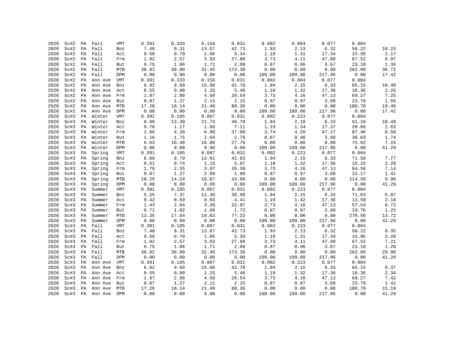| 2020 | Sc#2 | PA | Fall    | <b>VMT</b> | 0.391 | 0.333 | 0.158 | 0.031  | 0.002  | 0.004  | 0.077  | 0.004  |       |
|------|------|----|---------|------------|-------|-------|-------|--------|--------|--------|--------|--------|-------|
| 2020 | Sc#2 | PA | Fall    | Bnz        | 7.48  | 9.31  | 13.67 | 42.73  | 1.93   | 2.13   | 6.32   | 56.22  | 10.23 |
| 2020 | Sc#2 | PA | Fall    | Act        | 0.50  | 0.70  | 1.06  | 5.34   | 1.19   | 1.31   | 17.34  | 15.95  | 2.17  |
| 2020 | Sc#2 | PA | Fall    | Frm        | 1.82  | 2.57  | 3.93  | 27.80  | 3.73   | 4.11   | 47.09  | 67.52  | 6.97  |
| 2020 | Sc#2 | PA | Fall    | But        | 0.75  | 1.06  | 1.71  | 2.09   | 0.87   | 0.96   | 3.67   | 23.18  | 1.36  |
| 2020 | Sc#2 | PA | Fall    | MTB        | 38.82 | 30.00 | 32.45 | 173.38 | 0.00   | 0.00   | 0.00   | 262.09 | 36.72 |
| 2020 | Sc#2 | PA | Fall    | DPM        | 0.00  | 0.00  | 0.00  | 0.00   | 100.00 | 109.00 | 217.96 | 0.00   | 17.42 |
| 2020 | Sc#2 | PA | Ann Ave | VMT        | 0.391 | 0.333 | 0.158 | 0.031  | 0.002  | 0.004  | 0.077  | 0.004  |       |
| 2020 | Sc#2 | PA | Ann Ave | Bnz        | 6.92  | 9.69  | 15.08 | 42.78  | 1.94   | 2.15   | 6.33   | 65.15  | 10.40 |
| 2020 | Sc#2 | PA | Ann Ave | Act        | 0.55  | 0.80  | 1.25  | 5.48   | 1.19   | 1.32   | 17.36  | 16.36  | 2.26  |
| 2020 | Sc#2 | PA | Ann Ave | Frm        | 1.97  | 2.86  | 4.50  | 28.54  | 3.73   | 4.16   | 47.13  | 69.27  | 7.25  |
| 2020 | Sc#2 | PA | Ann Ave | But        | 0.87  | 1.27  | 2.11  | 2.15   | 0.87   | 0.97   | 3.68   | 23.78  | 1.55  |
| 2020 | Sc#2 | РA | Ann Ave | MTB        | 17.26 | 18.14 | 21.49 | 80.36  | 0.00   | 0.00   | 0.00   | 180.70 | 19.40 |
| 2020 | Sc#2 | PA | Ann Ave | DPM        | 0.00  | 0.00  | 0.00  | 0.00   | 100.00 | 109.00 | 217.96 | 0.00   | 17.42 |
| 2020 | Sc#3 | PA | Winter  | VMT        | 0.391 | 0.185 | 0.087 | 0.031  | 0.002  | 0.223  | 0.077  | 0.004  |       |
| 2020 | Sc#3 | PA | Winter  | Bnz        | 8.86  | 13.30 | 21.73 | 46.79  | 1.94   | 2.18   | 6.33   | 61.16  | 10.49 |
| 2020 | Sc#3 | PA | Winter  | Act        | 0.78  | 1.17  | 1.88  | 7.11   | 1.19   | 1.34   | 17.37  | 20.66  | 2.63  |
| 2020 | Sc#3 | PA | Winter  | Frm        | 2.86  | 4.28  | 6.90  | 37.00  | 3.74   | 4.20   | 47.17  | 87.46  | 8.59  |
| 2020 | Sc#3 | PA | Winter  | But        | 1.16  | 1.75  | 2.94  | 2.79   | 0.87   | 0.98   | 3.68   | 30.03  | 1.74  |
| 2020 | Sc#3 | PA | Winter  | MTB        | 6.63  | 10.48 | 16.80 | 27.76  | 0.00   | 0.00   | 0.00   | 75.62  | 7.15  |
| 2020 | Sc#3 | РA | Winter  | <b>DPM</b> | 0.00  | 0.00  | 0.00  | 0.00   | 100.00 | 109.00 | 217.96 | 0.00   | 41.29 |
| 2020 | Sc#3 | PA | Spring  | VMT        | 0.391 | 0.185 | 0.087 | 0.031  | 0.002  | 0.223  | 0.077  | 0.004  |       |
| 2020 | Sc#3 | PA | Spring  | Bnz        | 6.09  | 8.79  | 13.61 | 42.63  | 1.94   | 2.15   | 6.33   | 71.58  | 7.77  |
| 2020 | Sc#3 | PA | Spring  | Act        | 0.51  | 0.74  | 1.15  | 5.07   | 1.19   | 1.32   | 17.36  | 15.25  | 2.29  |
| 2020 | Sc#3 | PA | Spring  | Frm        | 1.76  | 2.55  | 3.97  | 26.39  | 3.73   | 4.16   | 47.13  | 64.56  | 7.14  |
| 2020 | Sc#3 | PA | Spring  | But        | 0.87  | 1.27  | 2.09  | 1.98   | 0.87   | 0.97   | 3.68   | 22.17  | 1.41  |
| 2020 | Sc#3 | PA | Spring  | MTB        | 10.25 | 14.24 | 16.87 | 43.08  | 0.00   | 0.00   | 0.00   | 114.58 | 9.90  |
| 2020 | Sc#3 | PA | Spring  | DPM        | 0.00  | 0.00  | 0.00  | 0.00   | 100.00 | 109.00 | 217.96 | 0.00   | 41.29 |
| 2020 | Sc#3 | PA | Summer  | <b>VMT</b> | 0.391 | 0.185 | 0.087 | 0.031  | 0.002  | 0.223  | 0.077  | 0.004  |       |
| 2020 | Sc#3 | PA | Summer  | Bnz        | 5.25  | 7.37  | 11.30 | 38.98  | 1.94   | 2.15   | 6.33   | 71.63  | 6.87  |
| 2020 | Sc#3 | PA | Summer  | Act        | 0.42  | 0.59  | 0.93  | 4.41   | 1.19   | 1.32   | 17.36  | 13.59  | 2.18  |
| 2020 | Sc#3 | PA | Summer  | Frm        | 1.43  | 2.04  | 3.20  | 22.97  | 3.73   | 4.16   | 47.13  | 57.54  | 6.72  |
| 2020 | Sc#3 | PA | Summer  | But        | 0.71  | 1.02  | 1.69  | 1.73   | 0.87   | 0.97   | 3.68   | 19.76  | 1.25  |
| 2020 | Sc#3 | PA | Summer  | MTB        | 13.35 | 17.84 | 19.83 | 77.22  | 0.00   | 0.00   | 0.00   | 270.50 | 13.72 |
| 2020 | Sc#3 | PA | Summer  | DPM        | 0.00  | 0.00  | 0.00  | 0.00   | 100.00 | 109.00 | 217.96 | 0.00   | 41.29 |
| 2020 | Sc#3 | PA | Fall    | VMT        | 0.391 | 0.185 | 0.087 | 0.031  | 0.002  | 0.223  | 0.077  | 0.004  |       |
| 2020 | Sc#3 | PA | Fall    | Bnz        | 7.48  | 9.31  | 13.67 | 42.73  | 1.93   | 2.13   | 6.32   | 56.22  | 8.35  |
| 2020 | Sc#3 |    | PA Fall | Act        | 0.50  | 0.70  | 1.06  | 5.34   | 1.19   | 1.31   | 17.34  | 15.95  | 2.28  |
| 2020 | Sc#3 | PA | Fall    | Frm        | 1.82  | 2.57  | 3.93  | 27.80  | 3.73   | 4.11   | 47.09  | 67.52  | 7.21  |
| 2020 | Sc#3 |    | PA Fall | But        | 0.75  | 1.06  | 1.71  | 2.09   | 0.87   | 0.96   | 3.67   | 23.18  | 1.29  |
| 2020 | Sc#3 | PA | Fall    | MTB        | 38.82 | 30.00 | 32.45 | 173.38 | 0.00   | 0.00   | 0.00   | 262.09 | 29.98 |
| 2020 | Sc#3 | PA | Fall    | DPM        | 0.00  | 0.00  | 0.00  | 0.00   | 100.00 | 109.00 | 217.96 | 0.00   | 41.29 |
| 2020 | Sc#3 | PA | Ann Ave | VMT        | 0.391 | 0.185 | 0.087 | 0.031  | 0.002  | 0.223  | 0.077  | 0.004  |       |
| 2020 | Sc#3 | PA | Ann Ave | Bnz        | 6.92  | 9.69  | 15.08 | 42.78  | 1.94   | 2.15   | 6.33   | 65.15  | 8.37  |
| 2020 | Sc#3 | PA | Ann Ave | Act        | 0.55  | 0.80  | 1.25  | 5.48   | 1.19   | 1.32   | 17.36  | 16.36  | 2.34  |
| 2020 | Sc#3 | PA | Ann Ave | Frm        | 1.97  | 2.86  | 4.50  | 28.54  | 3.73   | 4.16   | 47.13  | 69.27  | 7.42  |
| 2020 | Sc#3 | PA | Ann Ave | But        | 0.87  | 1.27  | 2.11  | 2.15   | 0.87   | 0.97   | 3.68   | 23.78  | 1.42  |
| 2020 | Sc#3 | PA | Ann Ave | MTB        | 17.26 | 18.14 | 21.49 | 80.36  | 0.00   | 0.00   | 0.00   | 180.70 | 15.19 |
| 2020 | Sc#3 | PA | Ann Ave | <b>DPM</b> | 0.00  | 0.00  | 0.00  | 0.00   | 100.00 | 109.00 | 217.96 | 0.00   | 41.29 |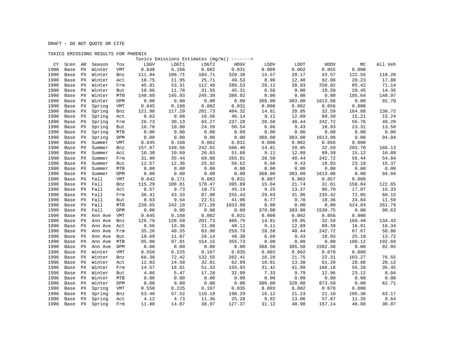## TOXICS EMISSIONS RESULTS FOR PHOENIX

|      |      |    |                |            |        |        |        | Toxics Emissions Estimates (mg/mi) -------> |        |        |             |        |         |
|------|------|----|----------------|------------|--------|--------|--------|---------------------------------------------|--------|--------|-------------|--------|---------|
| CY   | Scen | AR | Season         | Tox        | LDGV   | LDGT1  | LDGT2  | HDGV                                        | LDDV   | LDDT   | <b>HDDV</b> | МC     | All Veh |
| 1990 | Base | PX | Winter         | <b>VMT</b> | 0.648  | 0.166  | 0.082  | 0.031                                       | 0.009  | 0.002  | 0.055       | 0.008  |         |
| 1990 | Base | PХ | Winter         | Bnz        | 111.94 | 106.71 | 184.71 | 320.38                                      | 14.57  | 20.17  | 33.57       | 122.55 | 118.20  |
| 1990 | Base | PX | Winter         | Act        | 10.75  | 11.95  | 25.71  | 49.53                                       | 8.96   | 12.40  | 92.08       | 20.23  | 17.88   |
| 1990 | Base | PХ | Winter         | Frm        | 45.91  | 53.31  | 112.49 | 280.53                                      | 28.12  | 38.93  | 250.02      | 85.42  | 71.14   |
| 1990 | Base | PХ | Winter         | But        | 10.86  | 11.78  | 31.55  | 45.31                                       | 6.56   | 9.08   | 19.50       | 29.45  | 14.35   |
| 1990 | Base | PХ | Winter         | MTB        | 140.69 | 145.93 | 245.39 | 388.92                                      | 0.00   | 0.00   | 0.00        | 195.64 | 148.97  |
| 1990 | Base | РX | Winter         | DPM        | 0.00   | 0.00   | 0.00   | 0.00                                        | 368.00 | 383.00 | 1613.08     | 0.00   | 92.70   |
| 1990 | Base | PХ | Spring         | <b>VMT</b> | 0.645  | 0.168  | 0.082  | 0.031                                       | 0.008  | 0.002  | 0.056       | 0.008  |         |
| 1990 | Base | РX | Spring         | Bnz        | 121.98 | 117.29 | 201.73 | 404.32                                      | 14.81  | 20.95  | 32.59       | 164.88 | 130.72  |
| 1990 | Base | PX | Spring         | Act        | 8.63   | 9.08   | 18.56  | 46.14                                       | 9.11   | 12.89  | 89.39       | 15.21  | 15.24   |
| 1990 | Base | РX | Spring         | Frm        | 26.73  | 30.13  | 65.27  | 237.28                                      | 28.58  | 40.44  | 242.72      | 56.76  | 49.29   |
| 1990 | Base | РX | Spring         | But        | 10.70  | 10.60  | 24.59  | 50.54                                       | 6.66   | 9.43   | 18.93       | 23.31  | 13.58   |
| 1990 | Base | PX | Spring         | MTB        | 0.00   | 0.00   | 0.00   | 0.00                                        | 0.00   | 0.00   | 0.00        | 0.00   | 0.00    |
| 1990 | Base | PХ | Spring         | <b>DPM</b> | 0.00   | 0.00   | 0.00   | 0.00                                        | 368.00 | 383.00 | 1613.08     | 0.00   | 94.04   |
| 1990 | Base | РX | Summer         | VMT        | 0.645  | 0.168  | 0.082  | 0.031                                       | 0.008  | 0.002  | 0.056       | 0.008  |         |
| 1990 | Base | РX | Summer         | Bnz        | 157.97 | 149.56 | 242.01 | 506.40                                      | 14.81  | 20.95  | 32.59       | 203.70 | 166.13  |
| 1990 | Base | РX | Summer         | Act        | 10.30  | 10.69  | 20.03  | 51.68                                       | 9.11   | 12.89  | 89.39       | 15.12  | 16.88   |
| 1990 | Base | РX | Summer         | Frm        | 31.99  | 35.44  | 69.88  | 265.81                                      | 28.58  | 40.44  | 242.72      | 56.44  | 54.84   |
| 1990 | Base | PX | Summer         | But        | 12.57  | 12.36  | 25.92  | 56.62                                       | 6.66   | 9.43   | 18.93       | 23.18  | 15.37   |
| 1990 | Base | РX | Summer         | MTB        | 0.00   | 0.00   | 0.00   | 0.00                                        | 0.00   | 0.00   | 0.00        | 0.00   | 0.00    |
| 1990 | Base | РX | Summer         | DPM        | 0.00   | 0.00   | 0.00   | 0.00                                        | 368.00 | 383.00 | 1613.08     | 0.00   | 94.04   |
| 1990 | Base | PХ | Fall           | <b>VMT</b> | 0.642  | 0.171  | 0.082  | 0.031                                       | 0.007  | 0.002  | 0.057       | 0.008  |         |
| 1990 | Base |    | PX Fall        | Bnz        | 115.29 | 108.81 | 178.47 | 395.89                                      | 15.04  | 21.74  | 31.61       | 150.84 | 122.65  |
| 1990 | Base |    | PX Fall        | Act        | 8.57   | 9.73   | 19.72  | 45.14                                       | 9.25   | 13.37  | 86.70       | 17.07  | 15.33   |
| 1990 | Base |    | PX Fall        | Frm        | 36.41  | 43.33  | 87.98  | 255.43                                      | 29.03  | 41.96  | 235.42      | 72.05  | 60.15   |
| 1990 | Base | PX | Fall           | But        | 8.63   | 9.54   | 22.51  | 41.06                                       | 6.77   | 9.78   | 18.36       | 24.84  | 11.59   |
| 1990 | Base | PX | Fall           | MTB        | 239.65 | 242.10 | 371.20 | 1033.98                                     | 0.00   | 0.00   | 0.00        | 524.84 | 261.79  |
| 1990 | Base | PX | Fall           | DPM        | 0.00   | 0.00   | 0.00   | 0.00                                        | 370.00 | 393.00 | 1530.75     | 0.00   | 90.63   |
| 1990 | Base | РX | Ann Ave        | VMT        | 0.645  | 0.168  | 0.082  | 0.031                                       | 0.008  | 0.002  | 0.056       | 0.008  |         |
| 1990 | Base | PХ | Ann Ave        | Bnz        | 126.79 | 120.59 | 201.73 | 406.75                                      | 14.81  | 20.95  | 32.59       | 160.49 | 134.43  |
| 1990 | Base | РX | Ann Ave        | Act        | 9.56   | 10.36  | 21.00  | 48.12                                       | 9.11   | 12.89  | 89.39       | 16.91  | 16.34   |
| 1990 | Base | РX | Ann Ave        | Frm        | 35.26  | 40.55  | 83.90  | 259.76                                      | 28.58  | 40.44  | 242.72      | 67.67  | 58.86   |
| 1990 | Base | PХ | Ann Ave        | But        | 10.69  | 11.07  | 26.14  | 48.38                                       | 6.66   | 9.43   | 18.93       | 25.19  | 13.72   |
| 1990 | Base | PX | Ann Ave        | MTB        | 95.08  | 97.01  | 154.15 | 355.73                                      | 0.00   | 0.00   | 0.00        | 180.12 | 102.69  |
| 1990 | Base | РX | Ann Ave        | DPM        | 0.00   | 0.00   | 0.00   | 0.00                                        | 368.50 | 385.50 | 1592.50     | 0.00   | 92.85   |
| 1996 | Base | PХ | Winter         | <b>VMT</b> | 0.550  | 0.225  | 0.107  | 0.035                                       | 0.003  | 0.002  | 0.070       | 0.008  |         |
| 1996 | Base | PX | Winter         | Bnz        | 66.38  | 72.42  | 132.55 | 202.41                                      | 16.28  | 21.75  | 22.31       | 103.27 | 76.55   |
| 1996 | Base | PХ | Winter         | Act        | 12.03  | 14.50  | 32.81  | 62.09                                       | 10.01  | 13.38  | 61.20       | 28.88  | 20.13   |
| 1996 | Base | PX | Winter         | Frm        | 14.57  | 18.81  | 51.32  | 155.93                                      | 31.42  | 41.99  | 166.18      | 55.28  | 35.45   |
| 1996 | Base | РX | Winter         | But        | 4.86   | 5.47   | 17.28  | 32.99                                       | 7.33   | 9.79   | 12.96       | 23.12  | 8.04    |
| 1996 | Base | PX | Winter         | MTB        | 0.00   | 0.00   | 0.00   | 0.00                                        | 0.00   | 0.00   | 0.00        | 0.00   | 0.00    |
| 1996 | Base | PX | Winter         | DPM        | 0.00   | 0.00   | 0.00   | 0.00                                        | 306.00 | 320.00 | 873.59      | 0.00   | 62.71   |
| 1996 | Base | РX | Spring         | VMT        | 0.550  | 0.225  | 0.107  | 0.035                                       | 0.003  | 0.002  | 0.070       | 0.008  |         |
| 1996 | Base | PX | Spring         | Bnz        | 53.40  | 57.52  | 110.19 | 190.29                                      | 16.12  | 21.23  | 21.10       | 105.38 | 63.17   |
| 1996 | Base |    | PX Spring      | Act        | 4.12   | 4.73   | 11.36  | 25.28                                       | 9.92   | 13.06  | 57.87       | 12.35  | 9.64    |
| 1996 |      |    | Base PX Spring | Frm        | 11.90  | 14.87  | 38.97  | 127.37                                      | 31.12  | 40.98  | 157.14      | 46.60  | 30.07   |
|      |      |    |                |            |        |        |        |                                             |        |        |             |        |         |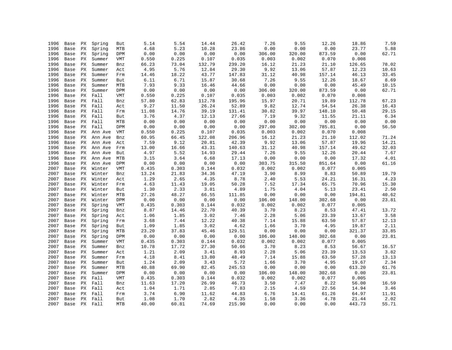| 1996 | Base | PX | Spring       | But        | 5.14  | 5.54                   | 14.44  | 26.42  | 7.26   | 9.55   | 12.26  | 18.86  | 7.59  |
|------|------|----|--------------|------------|-------|------------------------|--------|--------|--------|--------|--------|--------|-------|
| 1996 | Base | PX | Spring       | MTB        | 4.68  | 5.23                   | 10.28  | 23.86  | 0.00   | 0.00   | 0.00   | 23.77  | 5.88  |
| 1996 | Base | PX | Spring       | DPM        | 0.00  | 0.00                   | 0.00   | 0.00   | 306.00 | 320.00 | 873.59 | 0.00   | 62.71 |
| 1996 | Base | PХ | Summer       | VMT        | 0.550 | 0.225                  | 0.107  | 0.035  | 0.003  | 0.002  | 0.070  | 0.008  |       |
| 1996 | Base | РX | Summer       | Bnz        | 66.23 | 73.04                  | 132.79 | 239.20 | 16.12  | 21.23  | 21.10  | 126.65 | 78.02 |
| 1996 | Base | PХ | Summer       | Act        | 4.95  | 5.76                   | 12.84  | 29.30  | 9.92   | 13.06  | 57.87  | 12.23  | 10.63 |
| 1996 | Base | PХ | Summer       | Frm        | 14.46 | 18.22                  | 43.77  | 147.83 | 31.12  | 40.98  | 157.14 | 46.13  | 33.45 |
| 1996 | Base | PX | Summer       | But        | 6.11  | 6.71                   | 15.87  | 30.68  | 7.26   | 9.55   | 12.26  | 18.67  | 8.69  |
| 1996 | Base | РX | Summer       | MTB        | 7.93  | 9.33                   | 16.46  | 44.66  | 0.00   | 0.00   | 0.00   | 45.49  | 10.15 |
| 1996 | Base | PX | Summer       | DPM        | 0.00  | 0.00                   | 0.00   | 0.00   | 306.00 | 320.00 | 873.59 | 0.00   | 62.71 |
| 1996 | Base | PX | Fall         | VMT        | 0.550 | 0.225                  | 0.107  | 0.035  | 0.003  | 0.002  | 0.070  | 0.008  |       |
| 1996 | Base | PX | Fall         | Bnz        | 57.80 | 62.83                  | 112.78 | 195.96 | 15.97  | 20.71  | 19.89  | 112.78 | 67.23 |
| 1996 | Base | PX | Fall         | Act        | 9.27  | 11.50                  | 26.24  | 52.89  | 9.82   | 12.74  | 54.54  | 26.38  | 16.43 |
| 1996 | Base | PX | Fall         | Frm        | 11.08 | 14.76                  | 39.19  | 131.41 | 30.82  | 39.97  | 148.10 | 50.48  | 29.15 |
| 1996 | Base | PX | Fall         | But        | 3.76  | 4.37                   | 12.13  | 27.66  | 7.19   | 9.32   | 11.55  | 21.11  | 6.34  |
| 1996 | Base | PX | Fall         | MTB        | 0.00  | 0.00                   | 0.00   | 0.00   | 0.00   | 0.00   | 0.00   | 0.00   | 0.00  |
| 1996 | Base |    | PX Fall      | DPM        | 0.00  | 0.00                   | 0.00   | 0.00   | 297.00 | 302.00 | 785.81 | 0.00   | 56.50 |
| 1996 | Base | PX | Ann Ave      | VMT        | 0.550 | 0.225                  | 0.107  | 0.035  | 0.003  | 0.002  | 0.070  | 0.008  |       |
| 1996 | Base | PX | Ann Ave      | Bnz        | 60.95 | 66.45                  | 122.08 | 206.96 | 16.12  | 21.23  | 21.10  | 112.02 | 71.24 |
| 1996 | Base | PX | Ann Ave      | Act        | 7.59  | 9.12                   | 20.81  | 42.39  | 9.92   | 13.06  | 57.87  | 19.96  | 14.21 |
| 1996 | Base | РX | Ann Ave      | Frm        | 13.00 | 16.66                  | 43.31  | 140.63 | 31.12  | 40.98  | 157.14 | 49.62  | 32.03 |
| 1996 | Base | PX | Ann Ave      | But        | 4.97  | 5.52                   | 14.93  | 29.44  | 7.26   | 9.55   | 12.26  | 20.44  | 7.67  |
| 1996 | Base | PX | Ann Ave      | MTB        | 3.15  | 3.64                   | 6.68   | 17.13  | 0.00   | 0.00   | 0.00   | 17.32  | 4.01  |
| 1996 | Base | PХ | Ann Ave      | DPM        | 0.00  | 0.00                   | 0.00   | 0.00   | 303.75 | 315.50 | 851.64 | 0.00   | 61.16 |
| 2007 | Base | PХ | Winter       | VMT        | 0.435 | 0.303                  | 0.144  | 0.032  | 0.002  | 0.002  | 0.077  | 0.005  |       |
| 2007 | Base | PX | Winter       | Bnz        | 13.24 | 21.83                  | 34.36  | 47.19  | 3.90   | 8.99   | 8.83   | 50.89  | 19.79 |
| 2007 | Base | PX | Winter       | Act        | 1.29  | 2.65                   | 4.35   | 8.78   | 2.40   | 5.53   | 24.21  | 16.31  | 4.23  |
| 2007 | Base | PX | Winter       | Frm        | 4.63  | 11.43                  | 19.05  | 50.28  | 7.52   | 17.34  | 65.75  | 70.96  | 15.30 |
| 2007 | Base | РX | Winter       | But        | 1.30  | 2.33                   | 3.81   | 4.89   | 1.75   | 4.04   | 5.13   | 23.41  | 2.50  |
| 2007 | Base | PX | Winter       | MTB        | 27.26 | 48.27                  | 66.55  | 111.85 | 0.00   | 0.00   | 0.00   | 194.81 | 40.62 |
| 2007 | Base | PX | Winter       | DPM        | 0.00  | ${\bf 0}$ . ${\bf 00}$ | 0.00   | 0.00   | 106.00 | 148.00 | 302.68 | 0.00   | 23.81 |
| 2007 | Base | PX | Spring       | VMT        | 0.435 | 0.303                  | 0.144  | 0.032  | 0.002  | 0.002  | 0.077  | 0.005  |       |
| 2007 | Base | РX | Spring       | Bnz        | 8.87  | 14.46                  | 22.70  | 40.39  | 3.70   | 8.23   | 8.53   | 47.41  | 13.72 |
| 2007 | Base | PХ | Spring       | Act        | 1.06  | 1.85                   | 3.02   | 7.46   | 2.28   | 5.06   | 23.39  | 13.67  | 3.58  |
| 2007 | Base | PX | Spring       | Frm        | 3.68  | 7.44                   | 12.22  | 40.38  | 7.14   | 15.88  | 63.50  | 57.87  | 12.13 |
| 2007 | Base | PХ | Spring       | But        | 1.09  | 1.85                   | 3.02   | 4.62   | 1.66   | 3.70   | 4.95   | 19.87  | 2.11  |
| 2007 | Base | PX | Spring       | MTB        | 23.20 | 37.83                  | 45.46  | 129.51 | 0.00   | 0.00   | 0.00   | 321.37 | 33.85 |
| 2007 | Base | PX | Spring       | DPM        | 0.00  | 0.00                   | 0.00   | 0.00   | 106.00 | 148.00 | 302.68 | 0.00   | 23.81 |
| 2007 | Base | PX | Summer       | VMT        | 0.435 | 0.303                  | 0.144  | 0.032  | 0.002  | 0.002  | 0.077  | 0.005  |       |
| 2007 | Base | PХ | Summer       | Bnz        | 10.78 | 17.72                  | 27.30  | 50.66  | 3.70   | 8.23   | 8.53   | 56.67  | 16.57 |
| 2007 | Base | РX | Summer       | Act        | 1.21  | 2.09                   | 3.41   | 8.93   | 2.28   | 5.06   | 23.39  | 13.53  | 3.82  |
| 2007 | Base | PX | Summer       | Frm        | 4.18  | $8.41\,$               | 13.80  | 48.49  | 7.14   | 15.88  | 63.50  | 57.28  | 13.13 |
| 2007 | Base | PX | Summer       | But        | 1.24  | 2.09                   | 3.43   | 5.72   | 1.66   | 3.70   | 4.95   | 19.67  | 2.34  |
| 2007 | Base | PХ | Summer       | <b>MTB</b> | 40.88 | 69.90                  | 82.45  | 245.53 | 0.00   | 0.00   | 0.00   | 613.20 | 61.76 |
| 2007 | Base | РX | Summer       | DPM        | 0.00  | 0.00                   | 0.00   | 0.00   | 106.00 | 148.00 | 302.68 | 0.00   | 23.81 |
| 2007 | Base | PX | Fall         | VMT        | 0.435 | 0.303                  | 0.144  | 0.032  | 0.002  | 0.002  | 0.077  | 0.005  |       |
| 2007 | Base | PX | Fall         | Bnz        | 11.63 | 17.20                  | 26.99  | 46.73  | 3.50   | 7.47   | 8.22   | 56.00  | 16.59 |
| 2007 | Base | РX | Fall         | Act        | 1.04  | 1.71                   | 2.85   | 7.83   | 2.15   | 4.59   | 22.56  | 14.94  | 3.46  |
| 2007 | Base |    | PX Fall      | Frm        | 3.74  | 6.90                   | 11.62  | 44.83  | 6.76   | 14.41  | 61.26  | 64.97  | 11.91 |
| 2007 |      |    | Base PX Fall | But        | 1.08  | 1.70                   | 2.82   | 4.35   | 1.58   | 3.36   | 4.78   | 21.44  | 2.02  |
| 2007 | Base |    | PX Fall      | <b>MTB</b> | 40.00 | 60.81                  | 74.69  | 215.90 | 0.00   | 0.00   | 0.00   | 443.73 | 55.71 |
|      |      |    |              |            |       |                        |        |        |        |        |        |        |       |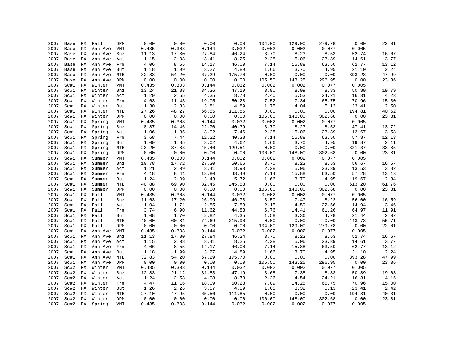| 2007         | Base | PX | Fall             | DPM        | 0.00  | 0.00  | 0.00  | 0.00          | 104.00          | 129.00          | 279.78          | 0.00   | 22.01 |
|--------------|------|----|------------------|------------|-------|-------|-------|---------------|-----------------|-----------------|-----------------|--------|-------|
| 2007         | Base | PX | Ann Ave          | VMT        | 0.435 | 0.303 | 0.144 | 0.032         | 0.002           | 0.002           | 0.077           | 0.005  |       |
| 2007         | Base | PX | Ann Ave          | Bnz        | 11.13 | 17.80 | 27.84 | 46.24         | 3.70            | 8.23            | 8.53            | 52.74  | 16.67 |
| 2007         | Base | PХ | Ann Ave          | Act        | 1.15  | 2.08  | 3.41  | 8.25          | 2.28            | 5.06            | 23.39           | 14.61  | 3.77  |
| 2007         | Base | PX | Ann Ave          | Frm        | 4.06  | 8.55  | 14.17 | 46.00         | 7.14            | 15.88           | 63.50           | 62.77  | 13.12 |
| 2007         | Base | PХ | Ann Ave          | But        | 1.18  | 1.99  | 3.27  | 4.89          | 1.66            | 3.70            | 4.95            | 21.10  | 2.24  |
| 2007         | Base | PX | Ann Ave          | MTB        | 32.83 | 54.20 | 67.29 | 175.70        | 0.00            | 0.00            | 0.00            | 393.28 | 47.99 |
| 2007         | Base | РX | Ann Ave          | DPM        | 0.00  | 0.00  | 0.00  | 0.00          | 105.50          | 143.25          | 296.95          | 0.00   | 23.36 |
| 2007         | Sc#1 | РX | Winter           | <b>VMT</b> | 0.435 | 0.303 | 0.144 | 0.032         | 0.002           | 0.002           | 0.077           | 0.005  |       |
| 2007         | Sc#1 | PX | Winter           | Bnz        | 13.24 | 21.83 | 34.36 | 47.19         | 3.90            | 8.99            | 8.83            | 50.89  | 19.79 |
| 2007         | Sc#1 | PX | Winter           | Act        | 1.29  | 2.65  | 4.35  | 8.78          | 2.40            | 5.53            | 24.21           | 16.31  | 4.23  |
| 2007         | Sc#1 | PХ | Winter           | Frm        | 4.63  | 11.43 | 19.05 | 50.28         | 7.52            | 17.34           | 65.75           | 70.96  | 15.30 |
| 2007         | Sc#1 | PХ | Winter           | But        | 1.30  | 2.33  | 3.81  | 4.89          | 1.75            | 4.04            | 5.13            | 23.41  | 2.50  |
| 2007         | Sc#1 | PX | Winter           | MTB        | 27.26 | 48.27 | 66.55 | 111.85        | 0.00            | 0.00            | 0.00            | 194.81 | 40.62 |
| 2007         | Sc#1 | PX | Winter           | DPM        | 0.00  | 0.00  | 0.00  | 0.00          | 106.00          | 148.00          | 302.68          | 0.00   | 23.81 |
| 2007         | Sc#1 | PХ | Spring           | <b>VMT</b> | 0.435 | 0.303 | 0.144 | 0.032         | 0.002           | 0.002           | 0.077           | 0.005  |       |
| 2007         | Sc#1 | ΡX | Spring           | Bnz        | 8.87  | 14.46 | 22.70 | 40.39         | 3.70            | 8.23            | 8.53            | 47.41  | 13.72 |
| 2007         | Sc#1 | PX | Spring           | Act        | 1.06  | 1.85  | 3.02  | 7.46          | 2.28            | 5.06            | 23.39           | 13.67  | 3.58  |
| 2007         | Sc#1 | PX | Spring           | Frm        | 3.68  | 7.44  | 12.22 | 40.38         | 7.14            | 15.88           | 63.50           | 57.87  | 12.13 |
| 2007         | Sc#1 | PX | Spring           | But        | 1.09  | 1.85  | 3.02  | 4.62          | 1.66            | 3.70            | 4.95            | 19.87  | 2.11  |
| 2007         | Sc#1 | РX | Spring           | MTB        | 23.20 | 37.83 | 45.46 | 129.51        | 0.00            | 0.00            | 0.00            | 321.37 | 33.85 |
| 2007         | Sc#1 | PX | Spring           | DPM        | 0.00  | 0.00  | 0.00  | 0.00          | 106.00          | 148.00          | 302.68          | 0.00   | 23.81 |
| 2007         | Sc#1 | PX | Summer           | VMT        | 0.435 | 0.303 | 0.144 | 0.032         | 0.002           | 0.002           | 0.077           | 0.005  |       |
| 2007         | Sc#1 | PX | Summer           | Bnz        | 10.78 | 17.72 | 27.30 | 50.66         | 3.70            | 8.23            | 8.53            | 56.67  | 16.57 |
| 2007         | Sc#1 | PX |                  |            | 1.21  | 2.09  | 3.41  | 8.93          | 2.28            | 5.06            | 23.39           | 13.53  | 3.82  |
| 2007         | Sc#1 | PX | Summer<br>Summer | Act        | 4.18  | 8.41  | 13.80 | 48.49         | 7.14            | 15.88           | 63.50           | 57.28  | 13.13 |
| 2007         |      |    |                  | Frm        | 1.24  | 2.09  | 3.43  | 5.72          | 1.66            | 3.70            | 4.95            | 19.67  | 2.34  |
| 2007         | Sc#1 | ΡX | Summer           | But        | 40.88 | 69.90 | 82.45 | 245.53        | 0.00            | 0.00            | 0.00            | 613.20 | 61.76 |
|              | Sc#1 | РX | Summer           | <b>MTB</b> | 0.00  |       | 0.00  |               |                 |                 |                 | 0.00   |       |
| 2007<br>2007 | Sc#1 | РX | Summer<br>Fall   | DPM        |       | 0.00  | 0.144 | 0.00<br>0.032 | 106.00<br>0.002 | 148.00<br>0.002 | 302.68<br>0.077 | 0.005  | 23.81 |
|              | Sc#1 | PX |                  | <b>VMT</b> | 0.435 | 0.303 |       | 46.73         |                 |                 | 8.22            |        |       |
| 2007         | Sc#1 | PX | Fall             | Bnz        | 11.63 | 17.20 | 26.99 | 7.83          | 3.50            | 7.47<br>4.59    | 22.56           | 56.00  | 16.59 |
| 2007         | Sc#1 | PХ | Fall             | Act        | 1.04  | 1.71  | 2.85  |               | 2.15            |                 |                 | 14.94  | 3.46  |
| 2007         | Sc#1 | ΡX | Fall             | Frm        | 3.74  | 6.90  | 11.62 | 44.83         | 6.76            | 14.41           | 61.26           | 64.97  | 11.91 |
| 2007         | Sc#1 | PX | Fall             | But        | 1.08  | 1.70  | 2.82  | 4.35          | 1.58            | 3.36            | 4.78            | 21.44  | 2.02  |
| 2007         | Sc#1 | PX | Fall             | MTB        | 40.00 | 60.81 | 74.69 | 215.90        | 0.00            | 0.00            | 0.00            | 443.73 | 55.71 |
| 2007         | Sc#1 | РX | Fall             | DPM        | 0.00  | 0.00  | 0.00  | 0.00          | 104.00          | 129.00          | 279.78          | 0.00   | 22.01 |
| 2007         | Sc#1 | ΡX | Ann Ave          | VMT        | 0.435 | 0.303 | 0.144 | 0.032         | 0.002           | 0.002           | 0.077           | 0.005  |       |
| 2007         | Sc#1 | PX | Ann Ave          | Bnz        | 11.13 | 17.80 | 27.84 | 46.24         | 3.70            | 8.23            | 8.53            | 52.74  | 16.67 |
| 2007         | Sc#1 | PX | Ann Ave          | Act        | 1.15  | 2.08  | 3.41  | 8.25          | 2.28            | 5.06            | 23.39           | 14.61  | 3.77  |
| 2007         | Sc#1 | РX | Ann Ave          | Frm        | 4.06  | 8.55  | 14.17 | 46.00         | 7.14            | 15.88           | 63.50           | 62.77  | 13.12 |
| 2007         | Sc#1 | РX | Ann Ave          | But        | 1.18  | 1.99  | 3.27  | 4.89          | 1.66            | 3.70            | 4.95            | 21.10  | 2.24  |
| 2007         | Sc#1 | PX | Ann Ave          | MTB        | 32.83 | 54.20 | 67.29 | 175.70        | 0.00            | 0.00            | 0.00            | 393.28 | 47.99 |
| 2007         | Sc#1 | PХ | Ann Ave          | DPM        | 0.00  | 0.00  | 0.00  | 0.00          | 105.50          | 143.25          | 296.95          | 0.00   | 23.36 |
| 2007         | Sc#2 | PХ | Winter           | VMT        | 0.435 | 0.303 | 0.144 | 0.032         | 0.002           | 0.002           | 0.077           | 0.005  |       |
| 2007         | Sc#2 | PХ | Winter           | Bnz        | 12.83 | 21.12 | 31.83 | 47.19         | 3.68            | 7.38            | 8.83            | 50.89  | 19.03 |
| 2007         | Sc#2 | PX | Winter           | Act        | 1.24  | 2.58  | 4.08  | 8.78          | 2.26            | 4.54            | 24.21           | 16.31  | 4.15  |
| 2007         | Sc#2 | PX | Winter           | Frm        | 4.47  | 11.16 | 18.09 | 50.28         | 7.09            | 14.25           | 65.75           | 70.96  | 15.00 |
| 2007         | Sc#2 | PX | Winter           | But        | 1.26  | 2.26  | 3.57  | 4.89          | 1.65            | 3.32            | 5.13            | 23.41  | 2.42  |
| 2007         | Sc#2 | PХ | Winter           | <b>MTB</b> | 27.10 | 47.95 | 65.56 | 111.85        | 0.00            | 0.00            | 0.00            | 194.81 | 40.31 |
| 2007         | Sc#2 | PX | Winter           | DPM        | 0.00  | 0.00  | 0.00  | 0.00          | 106.00          | 148.00          | 302.68          | 0.00   | 23.81 |
| 2007         | Sc#2 | PX | Spring           | <b>VMT</b> | 0.435 | 0.303 | 0.144 | 0.032         | 0.002           | 0.002           | 0.077           | 0.005  |       |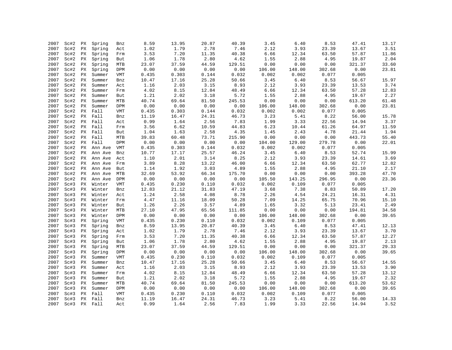| 2007 | Sc#2 | PX                     | Spring  | Bnz        | 8.59  | 13.95 | 20.87 | 40.39  | 3.45   | 6.40   | 8.53   | 47.41  | 13.17 |
|------|------|------------------------|---------|------------|-------|-------|-------|--------|--------|--------|--------|--------|-------|
| 2007 | Sc#2 | PX                     | Spring  | Act        | 1.02  | 1.79  | 2.78  | 7.46   | 2.12   | 3.93   | 23.39  | 13.67  | 3.51  |
| 2007 | Sc#2 | $\mathop{\mathrm{PX}}$ | Spring  | Frm        | 3.53  | 7.20  | 11.35 | 40.38  | 6.66   | 12.34  | 63.50  | 57.87  | 11.86 |
| 2007 | Sc#2 | PХ                     | Spring  | But        | 1.06  | 1.78  | 2.80  | 4.62   | 1.55   | 2.88   | 4.95   | 19.87  | 2.04  |
| 2007 | Sc#2 | PX                     | Spring  | MTB        | 23.07 | 37.59 | 44.59 | 129.51 | 0.00   | 0.00   | 0.00   | 321.37 | 33.60 |
| 2007 | Sc#2 | PХ                     | Spring  | DPM        | 0.00  | 0.00  | 0.00  | 0.00   | 106.00 | 148.00 | 302.68 | 0.00   | 23.81 |
| 2007 | Sc#2 | PХ                     | Summer  | VMT        | 0.435 | 0.303 | 0.144 | 0.032  | 0.002  | 0.002  | 0.077  | 0.005  |       |
| 2007 | Sc#2 | РX                     | Summer  | Bnz        | 10.47 | 17.16 | 25.28 | 50.66  | 3.45   | 6.40   | 8.53   | 56.67  | 15.97 |
| 2007 | Sc#2 | PХ                     | Summer  | Act        | 1.16  | 2.03  | 3.15  | 8.93   | 2.12   | 3.93   | 23.39  | 13.53  | 3.74  |
| 2007 | Sc#2 | PX                     | Summer  | Frm        | 4.02  | 8.15  | 12.84 | 48.49  | 6.66   | 12.34  | 63.50  | 57.28  | 12.83 |
| 2007 | Sc#2 | PX                     | Summer  | But        | 1.21  | 2.02  | 3.18  | 5.72   | 1.55   | 2.88   | 4.95   | 19.67  | 2.27  |
| 2007 | Sc#2 | РX                     | Summer  | <b>MTB</b> | 40.74 | 69.64 | 81.50 | 245.53 | 0.00   | 0.00   | 0.00   | 613.20 | 61.48 |
| 2007 | Sc#2 | PХ                     | Summer  | DPM        | 0.00  | 0.00  | 0.00  | 0.00   | 106.00 | 148.00 | 302.68 | 0.00   | 23.81 |
| 2007 | Sc#2 |                        | Fall    | <b>VMT</b> |       | 0.303 |       | 0.032  | 0.002  | 0.002  | 0.077  | 0.005  |       |
|      |      | PX<br>PХ               |         |            | 0.435 |       | 0.144 | 46.73  | 3.23   | 5.41   | 8.22   | 56.00  |       |
| 2007 | Sc#2 |                        | Fall    | Bnz        | 11.19 | 16.47 | 24.31 |        |        |        |        |        | 15.78 |
| 2007 | Sc#2 | PХ                     | Fall    | Act        | 0.99  | 1.64  | 2.56  | 7.83   | 1.99   | 3.33   | 22.56  | 14.94  | 3.37  |
| 2007 | Sc#2 | PX                     | Fall    | Frm        | 3.56  | 6.62  | 10.59 | 44.83  | 6.23   | 10.44  | 61.26  | 64.97  | 11.59 |
| 2007 | Sc#2 | PX                     | Fall    | But        | 1.04  | 1.63  | 2.58  | 4.35   | 1.45   | 2.43   | 4.78   | 21.44  | 1.94  |
| 2007 | Sc#2 | PX                     | Fall    | MTB        | 39.83 | 60.48 | 73.71 | 215.90 | 0.00   | 0.00   | 0.00   | 443.73 | 55.40 |
| 2007 | Sc#2 | PX                     | Fall    | DPM        | 0.00  | 0.00  | 0.00  | 0.00   | 104.00 | 129.00 | 279.78 | 0.00   | 22.01 |
| 2007 | Sc#2 | PX                     | Ann Ave | VMT        | 0.435 | 0.303 | 0.144 | 0.032  | 0.002  | 0.002  | 0.077  | 0.005  |       |
| 2007 | Sc#2 | PХ                     | Ann Ave | Bnz        | 10.77 | 17.17 | 25.57 | 46.24  | 3.45   | 6.40   | 8.53   | 52.74  | 15.99 |
| 2007 | Sc#2 | PХ                     | Ann Ave | Act        | 1.10  | 2.01  | 3.14  | 8.25   | 2.12   | 3.93   | 23.39  | 14.61  | 3.69  |
| 2007 | Sc#2 | PX                     | Ann Ave | Frm        | 3.89  | 8.28  | 13.22 | 46.00  | 6.66   | 12.34  | 63.50  | 62.77  | 12.82 |
| 2007 | Sc#2 | PX                     | Ann Ave | But        | 1.14  | 1.92  | 3.03  | 4.89   | 1.55   | 2.88   | 4.95   | 21.10  | 2.17  |
| 2007 | Sc#2 | PХ                     | Ann Ave | MTB        | 32.69 | 53.92 | 66.34 | 175.70 | 0.00   | 0.00   | 0.00   | 393.28 | 47.70 |
| 2007 | Sc#2 | РX                     | Ann Ave | DPM        | 0.00  | 0.00  | 0.00  | 0.00   | 105.50 | 143.25 | 296.95 | 0.00   | 23.36 |
| 2007 | Sc#3 | PХ                     | Winter  | VMT        | 0.435 | 0.230 | 0.110 | 0.032  | 0.002  | 0.109  | 0.077  | 0.005  |       |
| 2007 | Sc#3 | PХ                     | Winter  | Bnz        | 12.83 | 21.12 | 31.83 | 47.19  | 3.68   | 7.38   | 8.83   | 50.89  | 17.20 |
| 2007 | Sc#3 | PX                     | Winter  | Act        | 1.24  | 2.58  | 4.08  | 8.78   | 2.26   | 4.54   | 24.21  | 16.31  | 4.31  |
| 2007 | Sc#3 | PX                     | Winter  | Frm        | 4.47  | 11.16 | 18.09 | 50.28  | 7.09   | 14.25  | 65.75  | 70.96  | 15.10 |
| 2007 | Sc#3 | PХ                     | Winter  | But        | 1.26  | 2.26  | 3.57  | 4.89   | 1.65   | 3.32   | 5.13   | 23.41  | 2.49  |
| 2007 | Sc#3 | PХ                     | Winter  | <b>MTB</b> | 27.10 | 47.95 | 65.56 | 111.85 | 0.00   | 0.00   | 0.00   | 194.81 | 34.58 |
| 2007 | Sc#3 | PХ                     | Winter  | DPM        | 0.00  | 0.00  | 0.00  | 0.00   | 106.00 | 148.00 | 302.68 | 0.00   | 39.65 |
| 2007 | Sc#3 | PX                     | Spring  | <b>VMT</b> | 0.435 | 0.230 | 0.110 | 0.032  | 0.002  | 0.109  | 0.077  | 0.005  |       |
| 2007 | Sc#3 | PX                     | Spring  | Bnz        | 8.59  | 13.95 | 20.87 | 40.39  | 3.45   | 6.40   | 8.53   | 47.41  | 12.13 |
| 2007 | Sc#3 | PХ                     | Spring  | Act        | 1.02  | 1.79  | 2.78  | 7.46   | 2.12   | 3.93   | 23.39  | 13.67  | 3.70  |
| 2007 | Sc#3 | РX                     | Spring  | Frm        | 3.53  | 7.20  | 11.35 | 40.38  | 6.66   | 12.34  | 63.50  | 57.87  | 12.27 |
| 2007 | Sc#3 | PX                     | Spring  | But        | 1.06  | 1.78  | 2.80  | 4.62   | 1.55   | 2.88   | 4.95   | 19.87  | 2.13  |
| 2007 | Sc#3 | $\mathop{\mathrm{PX}}$ | Spring  | MTB        | 23.07 | 37.59 | 44.59 | 129.51 | 0.00   | 0.00   | 0.00   | 321.37 | 29.33 |
| 2007 | Sc#3 | PX                     | Spring  | DPM        | 0.00  | 0.00  | 0.00  | 0.00   | 106.00 | 148.00 | 302.68 | 0.00   | 39.65 |
| 2007 | Sc#3 | PX                     | Summer  | <b>VMT</b> | 0.435 | 0.230 | 0.110 | 0.032  | 0.002  | 0.109  | 0.077  | 0.005  |       |
| 2007 | Sc#3 | PX                     | Summer  | Bnz        | 10.47 | 17.16 | 25.28 | 50.66  | 3.45   | 6.40   | 8.53   | 56.67  | 14.55 |
| 2007 | Sc#3 | PХ                     | Summer  | Act        | 1.16  | 2.03  | 3.15  | 8.93   | 2.12   | 3.93   | 23.39  | 13.53  | 3.90  |
| 2007 | Sc#3 | PX                     | Summer  | Frm        | 4.02  | 8.15  | 12.84 | 48.49  | 6.66   | 12.34  | 63.50  | 57.28  | 13.12 |
| 2007 | Sc#3 | PX                     | Summer  | But        | 1.21  | 2.02  | 3.18  | 5.72   | 1.55   | 2.88   | 4.95   | 19.67  | 2.32  |
| 2007 | Sc#3 | PX                     | Summer  | MTB        | 40.74 | 69.64 | 81.50 | 245.53 | 0.00   | 0.00   | 0.00   | 613.20 | 53.62 |
| 2007 | Sc#3 | PX                     | Summer  | DPM        | 0.00  | 0.00  | 0.00  | 0.00   | 106.00 | 148.00 | 302.68 | 0.00   | 39.65 |
| 2007 | Sc#3 | РX                     | Fall    | VMT        | 0.435 | 0.230 | 0.110 | 0.032  | 0.002  | 0.109  | 0.077  | 0.005  |       |
| 2007 | Sc#3 | PX                     | Fall    | Bnz        | 11.19 | 16.47 | 24.31 | 46.73  | 3.23   | 5.41   | 8.22   | 56.00  | 14.33 |
| 2007 | Sc#3 | PX                     | Fall    | Act        | 0.99  | 1.64  | 2.56  | 7.83   | 1.99   | 3.33   | 22.56  | 14.94  | 3.52  |
|      |      |                        |         |            |       |       |       |        |        |        |        |        |       |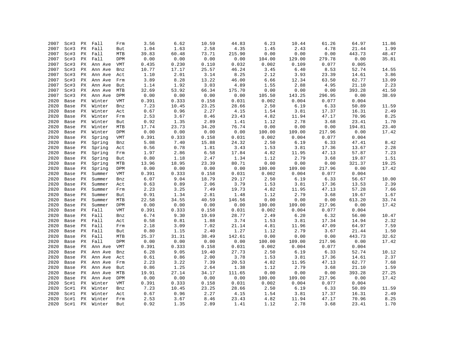| 2007 | Sc#3 | РX | Fall    | Frm        | 3.56  | 6.62  | 10.59 | 44.83  | 6.23   | 10.44  | 61.26                  | 64.97  | 11.86 |
|------|------|----|---------|------------|-------|-------|-------|--------|--------|--------|------------------------|--------|-------|
| 2007 | Sc#3 | PX | Fall    | But        | 1.04  | 1.63  | 2.58  | 4.35   | 1.45   | 2.43   | 4.78                   | 21.44  | 1.99  |
| 2007 | Sc#3 | PX | Fall    | MTB        | 39.83 | 60.48 | 73.71 | 215.90 | 0.00   | 0.00   | 0.00                   | 443.73 | 48.47 |
| 2007 | Sc#3 | PХ | Fall    | DPM        | 0.00  | 0.00  | 0.00  | 0.00   | 104.00 | 129.00 | 279.78                 | 0.00   | 35.81 |
| 2007 | Sc#3 | ΡX | Ann Ave | VMT        | 0.435 | 0.230 | 0.110 | 0.032  | 0.002  | 0.109  | 0.077                  | 0.005  |       |
| 2007 | Sc#3 | PХ | Ann Ave | Bnz        | 10.77 | 17.17 | 25.57 | 46.24  | 3.45   | 6.40   | 8.53                   | 52.74  | 14.55 |
| 2007 | Sc#3 | PX | Ann Ave | Act        | 1.10  | 2.01  | 3.14  | 8.25   | 2.12   | 3.93   | 23.39                  | 14.61  | 3.86  |
| 2007 | Sc#3 | PX | Ann Ave | Frm        | 3.89  | 8.28  | 13.22 | 46.00  | 6.66   | 12.34  | 63.50                  | 62.77  | 13.09 |
| 2007 | Sc#3 | PX | Ann Ave | But        | 1.14  | 1.92  | 3.03  | 4.89   | 1.55   | 2.88   | 4.95                   | 21.10  | 2.23  |
| 2007 | Sc#3 | PХ | Ann Ave | MTB        | 32.69 | 53.92 | 66.34 | 175.70 | 0.00   | 0.00   | ${\bf 0}$ . ${\bf 00}$ | 393.28 | 41.50 |
| 2007 | Sc#3 | РX | Ann Ave | DPM        | 0.00  | 0.00  | 0.00  | 0.00   | 105.50 | 143.25 | 296.95                 | 0.00   | 38.69 |
| 2020 | Base | РX | Winter  | <b>VMT</b> | 0.391 | 0.333 | 0.158 | 0.031  | 0.002  | 0.004  | 0.077                  | 0.004  |       |
| 2020 | Base | PX | Winter  | Bnz        | 7.23  | 10.45 | 23.25 | 28.66  | 2.50   | 6.19   | 6.33                   | 50.89  | 11.59 |
| 2020 | Base | PХ | Winter  | Act        | 0.67  | 0.96  | 2.27  | 4.15   | 1.54   | 3.81   | 17.37                  | 16.31  | 2.49  |
| 2020 | Base | PХ | Winter  | Frm        | 2.53  | 3.67  | 8.46  | 23.43  | 4.82   | 11.94  | 47.17                  | 70.96  | 8.25  |
| 2020 | Base | PХ | Winter  | But        | 0.92  | 1.35  | 2.89  | 1.41   | 1.12   | 2.78   | 3.68                   | 23.41  | 1.70  |
| 2020 | Base | PX | Winter  | MTB        | 17.74 | 23.73 | 34.20 | 76.74  | 0.00   | 0.00   | 0.00                   | 194.81 | 23.40 |
| 2020 | Base | PX | Winter  | DPM        | 0.00  | 0.00  | 0.00  | 0.00   | 100.00 | 109.00 | 217.96                 | 0.00   | 17.42 |
| 2020 | Base | PX | Spring  | VMT        | 0.391 | 0.333 | 0.158 | 0.031  | 0.002  | 0.004  | 0.077                  | 0.004  |       |
| 2020 | Base | РX | Spring  | Bnz        | 5.08  | 7.40  | 15.88 | 24.32  | 2.50   | 6.19   | 6.33                   | 47.41  | 8.42  |
| 2020 | Base | РX | Spring  | Act        | 0.56  | 0.78  | 1.81  | 3.43   | 1.53   | 3.81   | 17.36                  | 13.67  | 2.28  |
| 2020 | Base | PX | Spring  | Frm        | 1.97  | 2.86  | 6.58  | 17.84  | 4.82   | 11.95  | 47.13                  | 57.87  | 7.23  |
| 2020 | Base | PX | Spring  | But        | 0.80  | 1.18  | 2.47  | 1.34   | 1.12   | 2.79   | 3.68                   | 19.87  | 1.51  |
| 2020 | Base | РX | Spring  | MTB        | 13.96 | 18.95 | 23.39 | 80.71  | 0.00   | 0.00   | 0.00                   | 321.37 | 19.25 |
| 2020 | Base | PХ | Spring  | DPM        | 0.00  | 0.00  | 0.00  | 0.00   | 100.00 | 109.00 | 217.96                 | 0.00   | 17.42 |
| 2020 | Base | PX | Summer  | <b>VMT</b> | 0.391 | 0.333 | 0.158 | 0.031  | 0.002  | 0.004  | 0.077                  | 0.004  |       |
| 2020 | Base | PX | Summer  | Bnz        | 6.07  | 9.04  | 18.79 | 29.17  | 2.50   | 6.19   | 6.33                   | 56.67  | 10.00 |
| 2020 | Base | PХ | Summer  | Act        | 0.63  | 0.89  | 2.06  | 3.79   | 1.53   | 3.81   | 17.36                  | 13.53  | 2.39  |
| 2020 | Base | PX | Summer  | Frm        | 2.23  | 3.25  | 7.49  | 19.73  | 4.82   | 11.95  | 47.13                  | 57.28  | 7.66  |
| 2020 | Base | PX | Summer  | But        | 0.91  | 1.34  | 2.81  | 1.48   | 1.12   | 2.79   | 3.68                   | 19.67  | 1.67  |
| 2020 | Base | PX | Summer  | MTB        | 22.58 | 34.55 | 40.59 | 146.56 | 0.00   | 0.00   | 0.00                   | 613.20 | 33.74 |
| 2020 | Base | PX | Summer  | DPM        | 0.00  | 0.00  | 0.00  | 0.00   | 100.00 | 109.00 | 217.96                 | 0.00   | 17.42 |
| 2020 | Base | PX | Fall    | VMT        | 0.391 | 0.333 | 0.158 | 0.031  | 0.002  | 0.004  | 0.077                  | 0.004  |       |
| 2020 | Base | PХ | Fall    | Bnz        | 6.74  | 9.30  | 19.69 | 28.77  | 2.49   | 6.20   | 6.32                   | 56.00  | 10.47 |
| 2020 | Base | PX | Fall    | Act        | 0.58  | 0.81  | 1.88  | 3.74   | 1.53   | 3.81   | 17.34                  | 14.94  | 2.32  |
| 2020 | Base | PХ | Fall    | Frm        | 2.18  | 3.09  | 7.02  | 21.14  | 4.81   | 11.96  | 47.09                  | 64.97  | 7.59  |
| 2020 | Base | PХ | Fall    | But        | 0.80  | 1.15  | 2.40  | 1.27   | 1.12   | 2.79   | 3.67                   | 21.44  | 1.50  |
| 2020 | Base | PX | Fall    | MTB        | 25.37 | 31.31 | 38.49 | 142.61 | 0.00   | 0.00   | 0.00                   | 443.73 | 32.62 |
| 2020 | Base | РX | Fall    | DPM        | 0.00  | 0.00  | 0.00  | 0.00   | 100.00 | 109.00 | 217.96                 | 0.00   | 17.42 |
| 2020 | Base | PX | Ann Ave | VMT        | 0.391 | 0.333 | 0.158 | 0.031  | 0.002  | 0.004  | 0.077                  | 0.004  |       |
| 2020 | Base | PX | Ann Ave | Bnz        | 6.28  | 9.05  | 19.40 | 27.73  | 2.50   | 6.19   | 6.33                   | 52.74  | 10.12 |
| 2020 | Base | PX | Ann Ave | Act        | 0.61  | 0.86  | 2.00  | 3.78   | 1.53   | 3.81   | 17.36                  | 14.61  | 2.37  |
| 2020 | Base | PX | Ann Ave | Frm        | 2.23  | 3.22  | 7.39  | 20.53  | 4.82   | 11.95  | 47.13                  | 62.77  | 7.68  |
| 2020 | Base | PХ | Ann Ave | But        | 0.86  | 1.25  | 2.64  | 1.38   | 1.12   | 2.79   | 3.68                   | 21.10  | 1.59  |
| 2020 | Base | PX | Ann Ave | MTB        | 19.91 | 27.14 | 34.17 | 111.65 | 0.00   | 0.00   | 0.00                   | 393.28 | 27.25 |
| 2020 | Base | PX | Ann Ave | DPM        | 0.00  | 0.00  | 0.00  | 0.00   | 100.00 | 109.00 | 217.96                 | 0.00   | 17.42 |
| 2020 | Sc#1 | PX | Winter  | VMT        | 0.391 | 0.333 | 0.158 | 0.031  | 0.002  | 0.004  | 0.077                  | 0.004  |       |
| 2020 | Sc#1 | PX | Winter  | Bnz        | 7.23  | 10.45 | 23.25 | 28.66  | 2.50   | 6.19   | 6.33                   | 50.89  | 11.59 |
| 2020 | Sc#1 | РX | Winter  | Act        | 0.67  | 0.96  | 2.27  | 4.15   | 1.54   | 3.81   | 17.37                  | 16.31  | 2.49  |
| 2020 | Sc#1 | PX | Winter  | Frm        | 2.53  | 3.67  | 8.46  | 23.43  | 4.82   | 11.94  | 47.17                  | 70.96  | 8.25  |
| 2020 | Sc#1 | PX | Winter  | But        | 0.92  | 1.35  | 2.89  | 1.41   | 1.12   | 2.78   | 3.68                   | 23.41  | 1.70  |
|      |      |    |         |            |       |       |       |        |        |        |                        |        |       |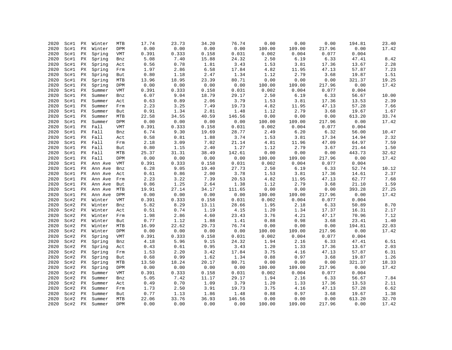| 2020 | Sc#1 | РX                     | Winter     | MTB        | 17.74 | 23.73 | 34.20 | 76.74  | 0.00   | 0.00   | 0.00   | 194.81 | 23.40 |
|------|------|------------------------|------------|------------|-------|-------|-------|--------|--------|--------|--------|--------|-------|
| 2020 | Sc#1 | PX                     | Winter     | DPM        | 0.00  | 0.00  | 0.00  | 0.00   | 100.00 | 109.00 | 217.96 | 0.00   | 17.42 |
| 2020 | Sc#1 | PX                     | Spring     | VMT        | 0.391 | 0.333 | 0.158 | 0.031  | 0.002  | 0.004  | 0.077  | 0.004  |       |
| 2020 | Sc#1 | PХ                     | Spring     | Bnz        | 5.08  | 7.40  | 15.88 | 24.32  | 2.50   | 6.19   | 6.33   | 47.41  | 8.42  |
| 2020 | Sc#1 | PX                     | Spring     | Act        | 0.56  | 0.78  | 1.81  | 3.43   | 1.53   | 3.81   | 17.36  | 13.67  | 2.28  |
| 2020 | Sc#1 | PX                     | Spring     | Frm        | 1.97  | 2.86  | 6.58  | 17.84  | 4.82   | 11.95  | 47.13  | 57.87  | 7.23  |
| 2020 | Sc#1 | PХ                     | Spring     | But        | 0.80  | 1.18  | 2.47  | 1.34   | 1.12   | 2.79   | 3.68   | 19.87  | 1.51  |
| 2020 | Sc#1 | РX                     | Spring     | MTB        | 13.96 | 18.95 | 23.39 | 80.71  | 0.00   | 0.00   | 0.00   | 321.37 | 19.25 |
| 2020 | Sc#1 | PX                     | Spring     | DPM        | 0.00  | 0.00  | 0.00  | 0.00   | 100.00 | 109.00 | 217.96 | 0.00   | 17.42 |
| 2020 | Sc#1 | PX                     | Summer     | VMT        | 0.391 | 0.333 | 0.158 | 0.031  | 0.002  | 0.004  | 0.077  | 0.004  |       |
| 2020 | Sc#1 | PХ                     | Summer     | Bnz        | 6.07  | 9.04  | 18.79 | 29.17  | 2.50   | 6.19   | 6.33   | 56.67  | 10.00 |
| 2020 |      |                        |            |            | 0.63  | 0.89  | 2.06  | 3.79   |        |        | 17.36  | 13.53  | 2.39  |
|      | Sc#1 | PХ                     | Summer     | Act        |       |       |       |        | 1.53   | 3.81   |        |        |       |
| 2020 | Sc#1 | PX                     | Summer     | Frm        | 2.23  | 3.25  | 7.49  | 19.73  | 4.82   | 11.95  | 47.13  | 57.28  | 7.66  |
| 2020 | Sc#1 | PX                     | Summer     | But        | 0.91  | 1.34  | 2.81  | 1.48   | 1.12   | 2.79   | 3.68   | 19.67  | 1.67  |
| 2020 | Sc#1 | РX                     | Summer     | MTB        | 22.58 | 34.55 | 40.59 | 146.56 | 0.00   | 0.00   | 0.00   | 613.20 | 33.74 |
| 2020 | Sc#1 | PX                     | Summer     | <b>DPM</b> | 0.00  | 0.00  | 0.00  | 0.00   | 100.00 | 109.00 | 217.96 | 0.00   | 17.42 |
| 2020 | Sc#1 |                        | PX Fall    | VMT        | 0.391 | 0.333 | 0.158 | 0.031  | 0.002  | 0.004  | 0.077  | 0.004  |       |
| 2020 | Sc#1 | PX                     | Fall       | Bnz        | 6.74  | 9.30  | 19.69 | 28.77  | 2.49   | 6.20   | 6.32   | 56.00  | 10.47 |
| 2020 | Sc#1 | PX                     | Fall       | Act        | 0.58  | 0.81  | 1.88  | 3.74   | 1.53   | 3.81   | 17.34  | 14.94  | 2.32  |
| 2020 | Sc#1 | PX                     | Fall       | Frm        | 2.18  | 3.09  | 7.02  | 21.14  | 4.81   | 11.96  | 47.09  | 64.97  | 7.59  |
| 2020 | Sc#1 | PX                     | Fall       | But        | 0.80  | 1.15  | 2.40  | 1.27   | 1.12   | 2.79   | 3.67   | 21.44  | 1.50  |
| 2020 | Sc#1 | PХ                     | Fall       | MTB        | 25.37 | 31.31 | 38.49 | 142.61 | 0.00   | 0.00   | 0.00   | 443.73 | 32.62 |
| 2020 | Sc#1 | PX                     | Fall       | DPM        | 0.00  | 0.00  | 0.00  | 0.00   | 100.00 | 109.00 | 217.96 | 0.00   | 17.42 |
| 2020 | Sc#1 |                        | PX Ann Ave | VMT        | 0.391 | 0.333 | 0.158 | 0.031  | 0.002  | 0.004  | 0.077  | 0.004  |       |
| 2020 | Sc#1 | PX                     | Ann Ave    | Bnz        | 6.28  | 9.05  | 19.40 | 27.73  | 2.50   | 6.19   | 6.33   | 52.74  | 10.12 |
| 2020 | Sc#1 | РX                     | Ann Ave    | Act        | 0.61  | 0.86  | 2.00  | 3.78   | 1.53   | 3.81   | 17.36  | 14.61  | 2.37  |
| 2020 | Sc#1 | РX                     | Ann Ave    | Frm        | 2.23  | 3.22  | 7.39  | 20.53  | 4.82   | 11.95  | 47.13  | 62.77  | 7.68  |
| 2020 | Sc#1 | PX                     | Ann Ave    | But        | 0.86  | 1.25  | 2.64  | 1.38   | 1.12   | 2.79   | 3.68   | 21.10  | 1.59  |
| 2020 | Sc#1 | РX                     | Ann Ave    | MTB        | 19.91 | 27.14 | 34.17 | 111.65 | 0.00   | 0.00   | 0.00   | 393.28 | 27.25 |
| 2020 | Sc#1 | PX                     | Ann Ave    | DPM        | 0.00  | 0.00  | 0.00  | 0.00   | 100.00 | 109.00 | 217.96 | 0.00   | 17.42 |
| 2020 | Sc#2 | PX                     | Winter     | VMT        | 0.391 | 0.333 | 0.158 | 0.031  | 0.002  | 0.004  | 0.077  | 0.004  |       |
| 2020 | Sc#2 | PX                     | Winter     | Bnz        | 5.82  | 8.29  | 13.11 | 28.66  | 1.95   | 2.18   | 6.33   | 50.89  | 8.70  |
| 2020 | Sc#2 | PХ                     | Winter     | Act        | 0.51  | 0.74  | 1.19  | 4.15   | 1.20   | 1.34   | 17.37  | 16.31  | 2.17  |
| 2020 | Sc#2 | PX                     | Winter     | Frm        | 1.98  | 2.86  | 4.60  | 23.43  | 3.76   | 4.21   | 47.17  | 70.96  | 7.12  |
| 2020 | Sc#2 | PX                     | Winter     | But        | 0.77  | 1.12  | 1.88  | 1.41   | 0.88   | 0.98   | 3.68   | 23.41  | 1.40  |
| 2020 | Sc#2 | PX                     | Winter     | MTB        | 16.99 | 22.62 | 29.73 | 76.74  | 0.00   | 0.00   | 0.00   | 194.81 | 22.03 |
| 2020 | Sc#2 | PХ                     | Winter     | DPM        | 0.00  | 0.00  | 0.00  | 0.00   | 100.00 | 109.00 | 217.96 | 0.00   | 17.42 |
| 2020 | Sc#2 | ΡX                     | Spring     | VMT        | 0.391 | 0.333 | 0.158 | 0.031  | 0.002  | 0.004  | 0.077  | 0.004  |       |
| 2020 | Sc#2 | PX                     | Spring     | Bnz        | 4.18  | 5.96  | 9.15  | 24.32  | 1.94   | 2.16   | 6.33   | 47.41  | 6.51  |
|      |      |                        |            |            |       |       | 0.95  |        | 1.20   |        |        | 13.67  | 2.03  |
| 2020 | Sc#2 | $\mathop{\mathrm{PX}}$ | Spring     | Act        | 0.43  | 0.61  |       | 3.43   |        | 1.33   | 17.36  |        |       |
| 2020 | Sc#2 | PX                     | Spring     | Frm        | 1.53  | 2.20  | 3.42  | 17.84  | 3.75   | 4.16   | 47.13  | 57.87  | 6.31  |
| 2020 | Sc#2 | PX                     | Spring     | But        | 0.68  | 0.99  | 1.62  | 1.34   | 0.88   | 0.97   | 3.68   | 19.87  | 1.26  |
| 2020 | Sc#2 | $\mathop{\mathrm{PX}}$ | Spring     | MTB        | 13.50 | 18.24 | 20.17 | 80.71  | 0.00   | 0.00   | 0.00   | 321.37 | 18.33 |
| 2020 | Sc#2 | PХ                     | Spring     | DPM        | 0.00  | 0.00  | 0.00  | 0.00   | 100.00 | 109.00 | 217.96 | 0.00   | 17.42 |
| 2020 | Sc#2 | PХ                     | Summer     | <b>VMT</b> | 0.391 | 0.333 | 0.158 | 0.031  | 0.002  | 0.004  | 0.077  | 0.004  |       |
| 2020 | Sc#2 | PX                     | Summer     | Bnz        | 5.05  | 7.42  | 11.17 | 29.17  | 1.94   | 2.16   | 6.33   | 56.67  | 7.84  |
| 2020 | Sc#2 | PX                     | Summer     | Act        | 0.49  | 0.70  | 1.09  | 3.79   | 1.20   | 1.33   | 17.36  | 13.53  | 2.11  |
| 2020 | Sc#2 | РX                     | Summer     | Frm        | 1.73  | 2.50  | 3.91  | 19.73  | 3.75   | 4.16   | 47.13  | 57.28  | 6.62  |
| 2020 | Sc#2 | РX                     | Summer     | But        | 0.77  | 1.13  | 1.86  | 1.48   | 0.88   | 0.97   | 3.68   | 19.67  | 1.38  |
| 2020 | Sc#2 | PX                     | Summer     | MTB        | 22.06 | 33.76 | 36.93 | 146.56 | 0.00   | 0.00   | 0.00   | 613.20 | 32.70 |
| 2020 | Sc#2 | PX                     | Summer     | <b>DPM</b> | 0.00  | 0.00  | 0.00  | 0.00   | 100.00 | 109.00 | 217.96 | 0.00   | 17.42 |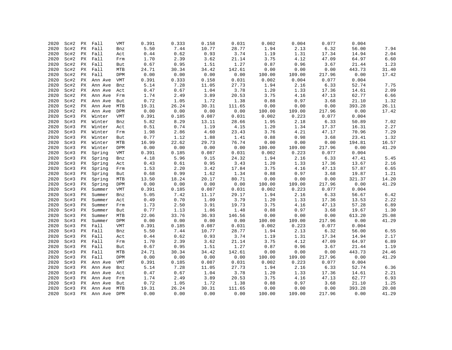| 2020 | Sc#2 | PX | Fall            | <b>VMT</b> | 0.391 | 0.333 | 0.158 | 0.031  | 0.002  | 0.004  | 0.077  | 0.004  |       |
|------|------|----|-----------------|------------|-------|-------|-------|--------|--------|--------|--------|--------|-------|
| 2020 | Sc#2 | PX | Fall            | Bnz        | 5.50  | 7.44  | 10.77 | 28.77  | 1.94   | 2.13   | 6.32   | 56.00  | 7.94  |
| 2020 | Sc#2 | PХ | Fall            | Act        | 0.44  | 0.62  | 0.93  | 3.74   | 1.19   | 1.31   | 17.34  | 14.94  | 2.04  |
| 2020 | Sc#2 | PX | Fall            | Frm        | 1.70  | 2.39  | 3.62  | 21.14  | 3.75   | 4.12   | 47.09  | 64.97  | 6.60  |
| 2020 | Sc#2 | PХ | Fall            | But        | 0.67  | 0.95  | 1.51  | 1.27   | 0.87   | 0.96   | 3.67   | 21.44  | 1.23  |
| 2020 | Sc#2 | PХ | Fall            | MTB        | 24.71 | 30.34 | 34.42 | 142.61 | 0.00   | 0.00   | 0.00   | 443.73 | 31.40 |
| 2020 | Sc#2 | PX | Fall            | DPM        | 0.00  | 0.00  | 0.00  | 0.00   | 100.00 | 109.00 | 217.96 | 0.00   | 17.42 |
| 2020 | Sc#2 | РX | Ann Ave         | VMT        | 0.391 | 0.333 | 0.158 | 0.031  | 0.002  | 0.004  | 0.077  | 0.004  |       |
| 2020 | Sc#2 | РX | Ann Ave         | Bnz        | 5.14  | 7.28  | 11.05 | 27.73  | 1.94   | 2.16   | 6.33   | 52.74  | 7.75  |
| 2020 | Sc#2 | PХ | Ann Ave         | Act        | 0.47  | 0.67  | 1.04  | 3.78   | 1.20   | 1.33   | 17.36  | 14.61  | 2.09  |
| 2020 | Sc#2 | PХ | Ann Ave         | Frm        | 1.74  | 2.49  | 3.89  | 20.53  | 3.75   | 4.16   | 47.13  | 62.77  | 6.66  |
| 2020 | Sc#2 | PX | Ann Ave         | But        | 0.72  | 1.05  | 1.72  | 1.38   | 0.88   | 0.97   | 3.68   | 21.10  | 1.32  |
| 2020 | Sc#2 | ΡX | Ann Ave         | MTB        | 19.31 | 26.24 | 30.31 | 111.65 | 0.00   | 0.00   | 0.00   | 393.28 | 26.11 |
| 2020 | Sc#2 | РX | Ann Ave         | DPM        | 0.00  | 0.00  | 0.00  | 0.00   | 100.00 | 109.00 | 217.96 | 0.00   | 17.42 |
| 2020 | Sc#3 | PX | Winter          | VMT        | 0.391 | 0.185 | 0.087 | 0.031  | 0.002  | 0.223  | 0.077  | 0.004  |       |
| 2020 | Sc#3 | PX | Winter          | Bnz        | 5.82  | 8.29  | 13.11 | 28.66  | 1.95   | 2.18   | 6.33   | 50.89  | 7.02  |
| 2020 | Sc#3 | PX | Winter          | Act        | 0.51  | 0.74  | 1.19  | 4.15   | 1.20   | 1.34   | 17.37  | 16.31  | 2.27  |
| 2020 | Sc#3 | PХ | Winter          | Frm        | 1.98  | 2.86  | 4.60  | 23.43  | 3.76   | 4.21   | 47.17  | 70.96  | 7.29  |
| 2020 | Sc#3 | PХ | Winter          | But        | 0.77  | 1.12  | 1.88  | 1.41   | 0.88   | 0.98   | 3.68   | 23.41  | 1.32  |
| 2020 | Sc#3 | PХ | Winter          | MTB        | 16.99 | 22.62 | 29.73 | 76.74  | 0.00   | 0.00   | 0.00   | 194.81 | 16.57 |
| 2020 | Sc#3 | PХ | Winter          | DPM        | 0.00  | 0.00  | 0.00  | 0.00   | 100.00 | 109.00 | 217.96 | 0.00   | 41.29 |
| 2020 | Sc#3 | PX | Spring          | VMT        | 0.391 | 0.185 | 0.087 | 0.031  | 0.002  | 0.223  | 0.077  | 0.004  |       |
| 2020 | Sc#3 | PХ | Spring          | Bnz        | 4.18  | 5.96  | 9.15  | 24.32  | 1.94   | 2.16   | 6.33   | 47.41  | 5.45  |
| 2020 | Sc#3 | PX | Spring          | Act        | 0.43  | 0.61  | 0.95  | 3.43   | 1.20   | 1.33   | 17.36  | 13.67  | 2.16  |
| 2020 | Sc#3 | PX | Spring          | Frm        | 1.53  | 2.20  | 3.42  | 17.84  | 3.75   | 4.16   | 47.13  | 57.87  | 6.65  |
| 2020 | Sc#3 | PX | Spring          | But        | 0.68  | 0.99  | 1.62  | 1.34   | 0.88   | 0.97   | 3.68   | 19.87  | 1.21  |
| 2020 | Sc#3 | РX | Spring          | MTB        | 13.50 | 18.24 | 20.17 | 80.71  | 0.00   | 0.00   | 0.00   | 321.37 | 14.20 |
| 2020 | Sc#3 | PX | Spring          | DPM        | 0.00  | 0.00  | 0.00  | 0.00   | 100.00 | 109.00 | 217.96 | 0.00   | 41.29 |
| 2020 | Sc#3 | PX | Summer          | VMT        | 0.391 | 0.185 | 0.087 | 0.031  | 0.002  | 0.223  | 0.077  | 0.004  |       |
| 2020 | Sc#3 | PX | Summer          | Bnz        | 5.05  | 7.42  | 11.17 | 29.17  | 1.94   | 2.16   | 6.33   | 56.67  | 6.42  |
| 2020 | Sc#3 | PX | Summer          | Act        | 0.49  | 0.70  | 1.09  | 3.79   | 1.20   | 1.33   | 17.36  | 13.53  | 2.22  |
| 2020 | Sc#3 | PХ | Summer          | Frm        | 1.73  | 2.50  | 3.91  | 19.73  | 3.75   | 4.16   | 47.13  | 57.28  | 6.89  |
| 2020 | Sc#3 | PX | Summer          | But        | 0.77  | 1.13  | 1.86  | 1.48   | 0.88   | 0.97   | 3.68   | 19.67  | 1.30  |
| 2020 | Sc#3 | PX | Summer          | MTB        | 22.06 | 33.76 | 36.93 | 146.56 | 0.00   | 0.00   | 0.00   | 613.20 | 25.08 |
| 2020 | Sc#3 | РX | Summer          | DPM        | 0.00  | 0.00  | 0.00  | 0.00   | 100.00 | 109.00 | 217.96 | 0.00   | 41.29 |
| 2020 | Sc#3 | PX | Fall            | VMT        | 0.391 | 0.185 | 0.087 | 0.031  | 0.002  | 0.223  | 0.077  | 0.004  |       |
| 2020 | Sc#3 | PХ | Fall            | Bnz        | 5.50  | 7.44  | 10.77 | 28.77  | 1.94   | 2.13   | 6.32   | 56.00  | 6.55  |
| 2020 | Sc#3 | PX | Fall            | Act        | 0.44  | 0.62  | 0.93  | 3.74   | 1.19   | 1.31   | 17.34  | 14.94  | 2.17  |
| 2020 | Sc#3 | PX | Fall            | Frm        | 1.70  | 2.39  | 3.62  | 21.14  | 3.75   | 4.12   | 47.09  | 64.97  | 6.89  |
| 2020 | Sc#3 | PX | Fall            | But        | 0.67  | 0.95  | 1.51  | 1.27   | 0.87   | 0.96   | 3.67   | 21.44  | 1.19  |
| 2020 | Sc#3 | PX | Fall            | MTB        | 24.71 | 30.34 | 34.42 | 142.61 | 0.00   | 0.00   | 0.00   | 443.73 | 24.46 |
| 2020 | Sc#3 | PX | Fall            | DPM        | 0.00  | 0.00  | 0.00  | 0.00   | 100.00 | 109.00 | 217.96 | 0.00   | 41.29 |
| 2020 | Sc#3 | PX | Ann Ave         | VMT        | 0.391 | 0.185 | 0.087 | 0.031  | 0.002  | 0.223  | 0.077  | 0.004  |       |
| 2020 | Sc#3 | РX | Ann Ave         | Bnz        | 5.14  | 7.28  | 11.05 | 27.73  | 1.94   | 2.16   | 6.33   | 52.74  | 6.36  |
| 2020 | Sc#3 | PX | Ann Ave         | Act        | 0.47  | 0.67  | 1.04  | 3.78   | 1.20   | 1.33   | 17.36  | 14.61  | 2.21  |
| 2020 | Sc#3 | PX | Ann Ave         | Frm        | 1.74  | 2.49  | 3.89  | 20.53  | 3.75   | 4.16   | 47.13  | 62.77  | 6.93  |
| 2020 | Sc#3 | PХ | Ann Ave         | But        | 0.72  | 1.05  | 1.72  | 1.38   | 0.88   | 0.97   | 3.68   | 21.10  | 1.25  |
| 2020 | Sc#3 |    | PX Ann Ave      | MTB        | 19.31 | 26.24 | 30.31 | 111.65 | 0.00   | 0.00   | 0.00   | 393.28 | 20.08 |
| 2020 |      |    | Sc#3 PX Ann Ave | DPM        | 0.00  | 0.00  | 0.00  | 0.00   | 100.00 | 109.00 | 217.96 | 0.00   | 41.29 |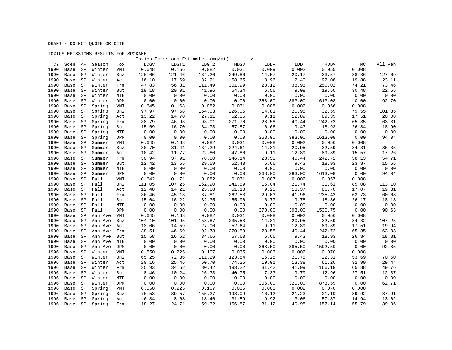## TOXICS EMISSIONS RESULTS FOR SPOKANE

|      |      |             |         |            |        |        | Toxics Emissions Estimates (mg/mi) -------> |        |        |        |         |       |         |
|------|------|-------------|---------|------------|--------|--------|---------------------------------------------|--------|--------|--------|---------|-------|---------|
| CY   | Scen | AR          | Season  | Tox        | LDGV   | LDGT1  | LDGT2                                       | HDGV   | LDDV   | LDDT   | HDDV    | MC    | All Veh |
| 1990 | Base | $\mbox{SP}$ | Winter  | VMT        | 0.648  | 0.166  | 0.082                                       | 0.031  | 0.009  | 0.002  | 0.055   | 0.008 |         |
| 1990 | Base | SP          | Winter  | Bnz        | 126.66 | 121.46 | 184.26                                      | 249.86 | 14.57  | 20.17  | 33.57   | 88.36 | 127.69  |
| 1990 | Base | SP          | Winter  | Act        | 16.10  | 17.69  | 32.21                                       | 58.65  | 8.96   | 12.40  | 92.08   | 19.88 | 23.11   |
| 1990 | Base | SP          | Winter  | Frm        | 47.83  | 56.81  | 111.49                                      | 301.99 | 28.12  | 38.93  | 250.02  | 74.21 | 73.46   |
| 1990 | Base | SP          | Winter  | But        | 19.18  | 20.01  | 41.96                                       | 64.34  | 6.56   | 9.08   | 19.50   | 30.48 | 22.55   |
| 1990 | Base | SP          | Winter  | MTB        | 0.00   | 0.00   | 0.00                                        | 0.00   | 0.00   | 0.00   | 0.00    | 0.00  | 0.00    |
| 1990 | Base | SP          | Winter  | DPM        | 0.00   | 0.00   | 0.00                                        | 0.00   | 368.00 | 383.00 | 1613.08 | 0.00  | 92.70   |
| 1990 | Base | SP          | Spring  | <b>VMT</b> | 0.645  | 0.168  | 0.082                                       | 0.031  | 0.008  | 0.002  | 0.056   | 0.008 |         |
| 1990 | Base | SP          | Spring  | Bnz        | 97.97  | 97.68  | 154.03                                      | 226.05 | 14.81  | 20.95  | 32.59   | 79.55 | 101.85  |
| 1990 | Base | SP          | Spring  | Act        | 13.22  | 14.70  | 27.11                                       | 52.85  | 9.11   | 12.89  | 89.39   | 17.51 | 20.08   |
| 1990 | Base | SP          | Spring  | Frm        | 38.79  | 46.93  | 93.01                                       | 271.70 | 28.58  | 40.44  | 242.72  | 65.35 | 63.31   |
| 1990 | Base | SP          | Spring  | But        | 15.69  | 16.70  | 34.73                                       | 57.87  | 6.66   | 9.43   | 18.93   | 26.84 | 18.90   |
| 1990 | Base | SP          | Spring  | MTB        | 0.00   | 0.00   | 0.00                                        | 0.00   | 0.00   | 0.00   | 0.00    | 0.00  | 0.00    |
| 1990 | Base | SP          | Spring  | DPM        | 0.00   | 0.00   | 0.00                                        | 0.00   | 368.00 | 383.00 | 1613.08 | 0.00  | 94.04   |
| 1990 | Base | SP          | Summer  | VMT        | 0.645  | 0.168  | 0.082                                       | 0.031  | 0.008  | 0.002  | 0.056   | 0.008 |         |
| 1990 | Base | SP          | Summer  | Bnz        | 80.70  | 81.41  | 134.29                                      | 224.61 | 14.81  | 20.95  | 32.59   | 84.31 | 86.35   |
| 1990 | Base | SP          | Summer  | Act        | 10.42  | 11.77  | 22.80                                       | 47.86  | 9.11   | 12.89  | 89.39   | 15.57 | 17.26   |
| 1990 | Base | SP          | Summer  | Frm        | 30.94  | 37.91  | 78.80                                       | 246.14 | 28.58  | 40.44  | 242.72  | 58.13 | 54.71   |
| 1990 | Base | $\mbox{SP}$ | Summer  | But        | 12.42  | 13.55  | 29.59                                       | 52.43  | 6.66   | 9.43   | 18.93   | 23.87 | 15.65   |
| 1990 | Base | SP          | Summer  | MTB        | 0.00   | 0.00   | 0.00                                        | 0.00   | 0.00   | 0.00   | 0.00    | 0.00  | 0.00    |
| 1990 | Base | SP          | Summer  | DPM        | 0.00   | 0.00   | 0.00                                        | 0.00   | 368.00 | 383.00 | 1613.08 | 0.00  | 94.04   |
| 1990 | Base | SP          | Fall    | <b>VMT</b> | 0.642  | 0.171  | 0.082                                       | 0.031  | 0.007  | 0.002  | 0.057   | 0.008 |         |
| 1990 | Base | SP          | Fall    | Bnz        | 111.05 | 107.25 | 162.90                                      | 241.59 | 15.04  | 21.74  | 31.61   | 85.08 | 113.10  |
| 1990 | Base | SP          | Fall    | Act        | 12.48  | 14.21  | 25.88                                       | 51.18  | 9.25   | 13.37  | 86.70   | 17.07 | 19.31   |
| 1990 | Base | SP          | Fall    | Frm        | 36.46  | 45.13  | 87.81                                       | 262.53 | 29.03  | 41.96  | 235.42  | 63.73 | 60.63   |
| 1990 | Base | SP          | Fall    | But        | 15.04  | 16.22  | 32.35                                       | 55.90  | 6.77   | 9.78   | 18.36   | 26.17 | 18.13   |
| 1990 | Base | SP          | Fall    | MTB        | 0.00   | 0.00   | 0.00                                        | 0.00   | 0.00   | 0.00   | 0.00    | 0.00  | 0.00    |
| 1990 | Base | SP          | Fall    | DPM        | 0.00   | 0.00   | 0.00                                        | 0.00   | 370.00 | 393.00 | 1530.75 | 0.00  | 90.63   |
| 1990 | Base | SP          | Ann Ave | VMT        | 0.645  | 0.168  | 0.082                                       | 0.031  | 0.008  | 0.002  | 0.056   | 0.008 |         |
| 1990 | Base | SP          | Ann Ave | Bnz        | 104.10 | 101.95 | 158.87                                      | 235.53 | 14.81  | 20.95  | 32.59   | 84.32 | 107.25  |
| 1990 | Base | SP          | Ann Ave | Act        | 13.06  | 14.59  | 27.00                                       | 52.64  | 9.11   | 12.89  | 89.39   | 17.51 | 19.94   |
| 1990 | Base | SP          | Ann Ave | Frm        | 38.51  | 46.69  | 92.78                                       | 270.59 | 28.58  | 40.44  | 242.72  | 65.35 | 63.03   |
| 1990 | Base | SP          | Ann Ave | But        | 15.58  | 16.62  | 34.66                                       | 57.63  | 6.66   | 9.43   | 18.93   | 26.84 | 18.81   |
| 1990 | Base | SP          | Ann Ave | <b>MTB</b> | 0.00   | 0.00   | 0.00                                        | 0.00   | 0.00   | 0.00   | 0.00    | 0.00  | 0.00    |
| 1990 | Base | SP          | Ann Ave | DPM        | 0.00   | 0.00   | 0.00                                        | 0.00   | 368.50 | 385.50 | 1592.50 | 0.00  | 92.85   |
| 1996 | Base | SP          | Winter  | VMT        | 0.550  | 0.225  | 0.107                                       | 0.035  | 0.003  | 0.002  | 0.070   | 0.008 |         |
| 1996 | Base | SP          | Winter  | Bnz        | 65.25  | 72.36  | 111.29                                      | 123.84 | 16.28  | 21.75  | 22.31   | 53.69 | 70.50   |
| 1996 | Base | SP          | Winter  | Act        | 20.16  | 25.46  | 50.70                                       | 74.25  | 10.01  | 13.38  | 61.20   | 32.99 | 29.44   |
| 1996 | Base | SP          | Winter  | Frm        | 25.93  | 34.62  | 80.42                                       | 193.22 | 31.42  | 41.99  | 166.18  | 65.88 | 49.76   |
| 1996 | Base | SP          | Winter  | But        | 8.46   | 10.24  | 26.33                                       | 40.75  | 7.33   | 9.79   | 12.96   | 27.51 | 12.37   |
| 1996 | Base | SP          | Winter  | MTB        | 0.00   | 0.00   | 0.00                                        | 0.00   | 0.00   | 0.00   | 0.00    | 0.00  | 0.00    |
| 1996 | Base | SP          | Winter  | DPM        | 0.00   | 0.00   | 0.00                                        | 0.00   | 306.00 | 320.00 | 873.59  | 0.00  | 62.71   |
| 1996 | Base | SP          | Spring  | VMT        | 0.550  | 0.225  | 0.107                                       | 0.035  | 0.003  | 0.002  | 0.070   | 0.008 |         |
| 1996 | Base | SP          | Spring  | Bnz        | 76.53  | 89.57  | 155.27                                      | 193.09 | 16.12  | 21.23  | 21.10   | 89.92 | 87.91   |
| 1996 | Base | SP          | Spring  | Act        | 6.84   | 8.68   | 18.46                                       | 31.59  | 9.92   | 13.06  | 57.87   | 14.94 | 13.02   |
| 1996 | Base | SP          | Spring  | Frm        | 18.27  | 24.71  | 59.32                                       | 156.87 | 31.12  | 40.98  | 157.14  | 55.79 | 39.06   |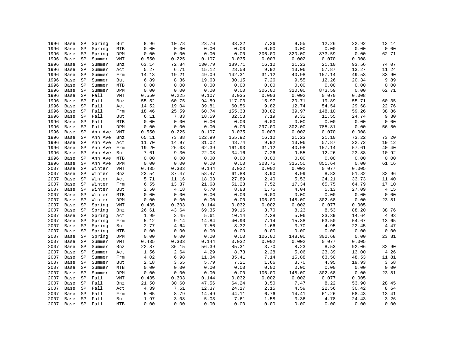| 1996 | Base | SP          | Spring       | But        | 8.96  | 10.78                  | 23.76  | 33.22  | 7.26   | 9.55   | 12.26  | 22.92 | 12.14     |
|------|------|-------------|--------------|------------|-------|------------------------|--------|--------|--------|--------|--------|-------|-----------|
| 1996 | Base | SP          | Spring       | MTB        | 0.00  | 0.00                   | 0.00   | 0.00   | 0.00   | 0.00   | 0.00   | 0.00  | 0.00      |
| 1996 | Base | SP          | Spring       | DPM        | 0.00  | 0.00                   | 0.00   | 0.00   | 306.00 | 320.00 | 873.59 | 0.00  | 62.71     |
| 1996 | Base | SP          | Summer       | VMT        | 0.550 | 0.225                  | 0.107  | 0.035  | 0.003  | 0.002  | 0.070  | 0.008 |           |
| 1996 | Base | SP          | Summer       | Bnz        | 63.14 | 72.84                  | 130.79 | 189.71 | 16.12  | 21.23  | 21.10  | 93.56 | 74.07     |
| 1996 | Base | $\mbox{SP}$ | Summer       | Act        | 5.27  | 6.71                   | 15.12  | 28.58  | 9.92   | 13.06  | 57.87  | 13.27 | 11.24     |
| 1996 | Base | SP          | Summer       | Frm        | 14.13 | 19.21                  | 49.09  | 142.31 | 31.12  | 40.98  | 157.14 | 49.53 | 33.90     |
| 1996 | Base | SP          | Summer       | But        | 6.89  | 8.36                   | 19.63  | 30.15  | 7.26   | 9.55   | 12.26  | 20.34 | 9.89      |
| 1996 | Base | SP          | Summer       | MTB        | 0.00  | 0.00                   | 0.00   | 0.00   | 0.00   | 0.00   | 0.00   | 0.00  | 0.00      |
| 1996 | Base | SP          | Summer       | DPM        | 0.00  | ${\bf 0}$ . ${\bf 00}$ | 0.00   | 0.00   | 306.00 | 320.00 | 873.59 | 0.00  | 62.71     |
| 1996 | Base | SP          | Fall         | VMT        | 0.550 | 0.225                  | 0.107  | 0.035  | 0.003  | 0.002  | 0.070  | 0.008 |           |
| 1996 | Base | SP          | Fall         | Bnz        | 55.52 | 60.75                  | 94.59  | 117.03 | 15.97  | 20.71  | 19.89  | 55.71 | 60.35     |
| 1996 | Base | SP          | Fall         | Act        | 14.52 | 19.04                  | 39.81  | 60.56  | 9.82   | 12.74  | 54.54  | 29.68 | 22.76     |
| 1996 | Base | SP          | Fall         | Frm        | 18.46 | 25.59                  | 60.74  | 155.33 | 30.82  | 39.97  | 148.10 | 59.26 | 38.86     |
| 1996 | Base | SP          | Fall         | But        | 6.11  | 7.83                   | 18.59  | 32.53  | 7.19   | 9.32   | 11.55  | 24.74 | 9.30      |
| 1996 | Base | SP          | Fall         | MTB        | 0.00  | 0.00                   | 0.00   | 0.00   | 0.00   | 0.00   | 0.00   | 0.00  | 0.00      |
| 1996 | Base | SP          | Fall         | DPM        | 0.00  | 0.00                   | 0.00   | 0.00   | 297.00 | 302.00 | 785.81 | 0.00  | 56.50     |
| 1996 | Base | SP          | Ann Ave      | VMT        | 0.550 | 0.225                  | 0.107  | 0.035  | 0.003  | 0.002  | 0.070  | 0.008 |           |
| 1996 | Base | SP          | Ann Ave      | Bnz        | 65.11 | 73.88                  | 122.99 | 155.92 | 16.12  | 21.23  | 21.10  | 73.22 | 73.20     |
| 1996 | Base | SP          | Ann Ave      | Act        | 11.70 | 14.97                  | 31.02  | 48.74  | 9.92   | 13.06  | 57.87  | 22.72 | 19.12     |
| 1996 | Base | SP          | Ann Ave      | Frm        | 19.20 | 26.03                  | 62.39  | 161.93 | 31.12  | 40.98  | 157.14 | 57.61 | $40\,.40$ |
| 1996 | Base | SP          | Ann Ave      | But        | 7.61  | 9.30                   | 22.08  | 34.16  | 7.26   | 9.55   | 12.26  | 23.88 | 10.92     |
| 1996 | Base | SP          | Ann Ave      | MTB        | 0.00  | 0.00                   | 0.00   | 0.00   | 0.00   | 0.00   | 0.00   | 0.00  | 0.00      |
| 1996 | Base | SP          | Ann Ave      | DPM        | 0.00  | 0.00                   | 0.00   | 0.00   | 303.75 | 315.50 | 851.64 | 0.00  | 61.16     |
| 2007 | Base | SP          | Winter       | VMT        | 0.435 | 0.303                  | 0.144  | 0.032  | 0.002  | 0.002  | 0.077  | 0.005 |           |
| 2007 | Base | SP          | Winter       | Bnz        | 23.54 | 37.47                  | 58.47  | 61.88  | 3.90   | 8.99   | 8.83   | 51.82 | 32.96     |
| 2007 | Base | SP          | Winter       | Act        | 5.71  | 11.16                  | 18.03  | 27.89  | 2.40   | 5.53   | 24.21  | 33.73 | 11.40     |
| 2007 | Base | SP          | Winter       | Frm        | 6.55  | 13.37                  | 21.68  | 51.23  | 7.52   | 17.34  | 65.75  | 64.79 | 17.10     |
| 2007 | Base | SP          | Winter       | But        | 2.50  | 4.18                   | 6.70   | 8.88   | 1.75   | 4.04   | 5.13   | 27.09 | 4.15      |
| 2007 | Base | SP          | Winter       | MTB        | 0.00  | 0.00                   | 0.00   | 0.00   | 0.00   | 0.00   | 0.00   | 0.00  | 0.00      |
| 2007 | Base | SP          | Winter       | DPM        | 0.00  | 0.00                   | 0.00   | 0.00   | 106.00 | 148.00 | 302.68 | 0.00  | 23.81     |
| 2007 | Base | SP          | Spring       | VMT        | 0.435 | 0.303                  | 0.144  | 0.032  | 0.002  | 0.002  | 0.077  | 0.005 |           |
| 2007 | Base | SP          | Spring       | Bnz        | 26.61 | 43.64                  | 69.35  | 89.16  | 3.70   | 8.23   | 8.53   | 88.20 | 38.76     |
| 2007 | Base | SP          | Spring       | Act        | 1.99  | 3.45                   | 5.61   | 10.14  | 2.28   | 5.06   | 23.39  | 14.64 | 4.93      |
| 2007 | Base | SP          | Spring       | Frm        | 5.12  | 9.14                   | 14.84  | 40.90  | 7.14   | 15.88  | 63.50  | 54.67 | 13.65     |
| 2007 | Base | SP          | Spring       | But        | 2.77  | 4.64                   | 7.56   | 8.32   | 1.66   | 3.70   | 4.95   | 22.45 | 4.47      |
| 2007 | Base | SP          | Spring       | MTB        | 0.00  | 0.00                   | 0.00   | 0.00   | 0.00   | 0.00   | 0.00   | 0.00  | 0.00      |
| 2007 | Base | SP          | Spring       | DPM        | 0.00  | 0.00                   | 0.00   | 0.00   | 106.00 | 148.00 | 302.68 | 0.00  | 23.81     |
| 2007 | Base | SP          | Summer       | VMT        | 0.435 | 0.303                  | 0.144  | 0.032  | 0.002  | 0.002  | 0.077  | 0.005 |           |
| 2007 | Base | SP          | Summer       | Bnz        | 22.87 | 36.15                  | 56.39  | 85.31  | 3.70   | 8.23   | 8.53   | 92.06 | 32.90     |
| 2007 | Base | SP          | Summer       | Act        | 1.56  | 2.64                   | 4.29   | 8.73   | 2.28   | 5.06   | 23.39  | 13.00 | 4.26      |
| 2007 | Base | SP          | Summer       | Frm        | 4.02  | 6.98                   | 11.34  | 35.41  | 7.14   | 15.88  | 63.50  | 48.53 | 11.81     |
| 2007 | Base | SP          | Summer       | But        | 2.18  | 3.55                   | 5.79   | 7.21   | 1.66   | 3.70   | 4.95   | 19.93 | 3.58      |
| 2007 | Base | SP          | Summer       | <b>MTB</b> | 0.00  | 0.00                   | 0.00   | 0.00   | 0.00   | 0.00   | 0.00   | 0.00  | 0.00      |
| 2007 | Base | SP          | Summer       | DPM        | 0.00  | 0.00                   | 0.00   | 0.00   | 106.00 | 148.00 | 302.68 | 0.00  | 23.81     |
| 2007 | Base | SP          | Fall         | <b>VMT</b> | 0.435 | 0.303                  | 0.144  | 0.032  | 0.002  | 0.002  | 0.077  | 0.005 |           |
| 2007 | Base | SP          | Fall         | Bnz        | 21.50 | 30.60                  | 47.56  | 64.24  | 3.50   | 7.47   | 8.22   | 53.90 | 28.45     |
| 2007 | Base | SP          | Fall         | Act        | 4.39  | 7.51                   | 12.37  | 24.17  | 2.15   | 4.59   | 22.56  | 30.42 | 8.64      |
| 2007 | Base | SP          | Fall         | Frm        | 5.05  | 8.79                   | 14.49  | 44.11  | 6.76   | 14.41  | 61.26  | 58.43 | 13.41     |
| 2007 | Base | SP          | Fall         | But        | 1.97  | 3.08                   | 5.03   | 7.61   | 1.58   | 3.36   | 4.78   | 24.43 | 3.26      |
| 2007 |      |             | Base SP Fall | <b>MTB</b> | 0.00  | 0.00                   | 0.00   | 0.00   | 0.00   | 0.00   | 0.00   | 0.00  | 0.00      |
|      |      |             |              |            |       |                        |        |        |        |        |        |       |           |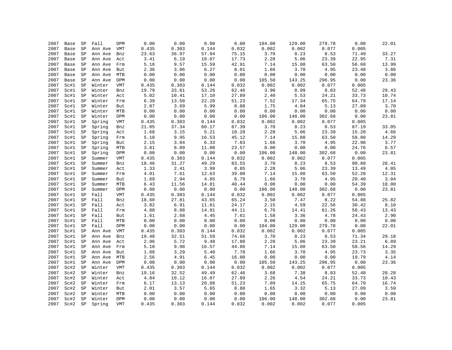| 2007 | Base | SP          | Fall             | DPM               | 0.00  | 0.00  | 0.00  | 0.00  | 104.00 | 129.00 | 279.78                 | 0.00  | 22.01 |
|------|------|-------------|------------------|-------------------|-------|-------|-------|-------|--------|--------|------------------------|-------|-------|
| 2007 | Base | SP          | Ann Ave          | VMT               | 0.435 | 0.303 | 0.144 | 0.032 | 0.002  | 0.002  | 0.077                  | 0.005 |       |
| 2007 | Base | SP          | Ann Ave          | Bnz               | 23.63 | 36.97 | 57.94 | 75.15 | 3.70   | 8.23   | 8.53                   | 71.49 | 33.27 |
| 2007 | Base | SP          | Ann Ave          | Act               | 3.41  | 6.19  | 10.07 | 17.73 | 2.28   | 5.06   | 23.39                  | 22.95 | 7.31  |
| 2007 | Base | SP          | Ann Ave          | Frm               | 5.18  | 9.57  | 15.59 | 42.91 | 7.14   | 15.88  | 63.50                  | 56.60 | 13.99 |
| 2007 | Base | SP          | Ann Ave          | But               | 2.36  | 3.86  | 6.27  | 8.01  | 1.66   | 3.70   | 4.95                   | 23.48 | 3.86  |
| 2007 | Base | SP          | Ann Ave          | MTB               | 0.00  | 0.00  | 0.00  | 0.00  | 0.00   | 0.00   | 0.00                   | 0.00  | 0.00  |
| 2007 | Base | SP          | Ann Ave          | DPM               | 0.00  | 0.00  | 0.00  | 0.00  | 105.50 | 143.25 | 296.95                 | 0.00  | 23.36 |
| 2007 | Sc#1 | SP          | Winter           | VMT               | 0.435 | 0.303 | 0.144 | 0.032 | 0.002  | 0.002  | 0.077                  | 0.005 |       |
| 2007 | Sc#1 | SP          | Winter           | Bnz               | 19.79 | 33.61 | 53.26 | 62.46 | 3.90   | 8.99   | 8.83                   | 52.48 | 29.43 |
| 2007 | Sc#1 | SP          | Winter           |                   | 5.02  | 10.41 | 17.10 | 27.89 | 2.40   | 5.53   | 24.21                  | 33.73 | 10.74 |
|      |      |             |                  | Act               |       |       |       |       |        |        |                        |       |       |
| 2007 | Sc#1 | SP          | Winter           | Frm               | 6.39  | 13.50 | 22.20 | 51.23 | 7.52   | 17.34  | 65.75                  | 64.79 | 17.14 |
| 2007 | Sc#1 | SP          | Winter           | But               | 2.07  | 3.69  | 5.99  | 8.88  | 1.75   | 4.04   | 5.13                   | 27.09 | 3.70  |
| 2007 | Sc#1 | SP          | Winter           | <b>MTB</b>        | 0.00  | 0.00  | 0.00  | 0.00  | 0.00   | 0.00   | 0.00                   | 0.00  | 0.00  |
| 2007 | Sc#1 | SP          | Winter           | DPM               | 0.00  | 0.00  | 0.00  | 0.00  | 106.00 | 148.00 | 302.68                 | 0.00  | 23.81 |
| 2007 | Sc#1 | SP          | Spring           | VMT               | 0.435 | 0.303 | 0.144 | 0.032 | 0.002  | 0.002  | 0.077                  | 0.005 |       |
| 2007 | Sc#1 | SP          | Spring           | Bnz               | 21.05 | 37.34 | 60.17 | 87.39 | 3.70   | 8.23   | 8.53                   | 87.19 | 33.05 |
| 2007 | Sc#1 | SP          | Spring           | Act               | 1.68  | 3.15  | 5.21  | 10.28 | 2.28   | 5.06   | 23.39                  | 15.20 | 4.66  |
| 2007 | Sc#1 | SP          | Spring           | Frm               | 5.10  | 9.95  | 16.53 | 45.12 | 7.14   | 15.88  | 63.50                  | 58.80 | 14.29 |
| 2007 | Sc#1 | SP          | Spring           | But               | 2.15  | 3.84  | 6.33  | 7.83  | 1.66   | 3.70   | 4.95                   | 22.98 | 3.77  |
| 2007 | Sc#1 | $_{\rm SP}$ | Spring           | <b>MTB</b>        | 3.81  | 8.09  | 11.00 | 23.57 | 0.00   | 0.00   | 0.00                   | 24.76 | 6.57  |
| 2007 | Sc#1 | SP          | Spring           | DPM               | 0.00  | 0.00  | 0.00  | 0.00  | 106.00 | 148.00 | 302.68                 | 0.00  | 23.81 |
| 2007 | Sc#1 | SP          | Summer           | VMT               | 0.435 | 0.303 | 0.144 | 0.032 | 0.002  | 0.002  | 0.077                  | 0.005 |       |
| 2007 | Sc#1 | SP          | Summer           | Bnz               | 18.46 | 31.27 | 49.29 | 83.55 | 3.70   | 8.23   | 8.53                   | 90.80 | 28.41 |
| 2007 | Sc#1 | SP          | Summer           | Act               | 1.33  | 2.41  | 3.99  | 8.85  | 2.28   | 5.06   | 23.39                  | 13.49 | 4.05  |
| 2007 | Sc#1 | SP          | Summer           | Frm               | 4.01  | 7.61  | 12.63 | 39.00 | 7.14   | 15.88  | 63.50                  | 52.20 | 12.31 |
| 2007 | Sc#1 | SP          | Summer           | But               | 1.69  | 2.94  | 4.85  | 6.79  | 1.66   | 3.70   | 4.95                   | 20.40 | 3.04  |
| 2007 | Sc#1 | SP          | Summer           | MTB               | 6.43  | 11.56 | 14.81 | 40.44 | 0.00   | 0.00   | ${\bf 0}$ . ${\bf 00}$ | 54.39 | 10.00 |
| 2007 | Sc#1 | SP          | Summer           | DPM               | 0.00  | 0.00  | 0.00  | 0.00  | 106.00 | 148.00 | 302.68                 | 0.00  | 23.81 |
| 2007 | Sc#1 | SP          | Fall             | <b>VMT</b>        | 0.435 | 0.303 | 0.144 | 0.032 | 0.002  | 0.002  | 0.077                  | 0.005 |       |
| 2007 | Sc#1 | SP          | Fall             | Bnz               | 18.60 | 27.81 | 43.65 | 65.24 | 3.50   | 7.47   | 8.22                   | 54.88 | 25.82 |
| 2007 | Sc#1 | SP          | Fall             | Act               | 3.82  | 6.91  | 11.61 | 24.17 | 2.15   | 4.59   | 22.56                  | 30.42 | 8.10  |
| 2007 | Sc#1 | SP          | Fall             | Frm               | 4.88  | 8.88  | 14.91 | 44.11 | 6.76   | 14.41  | 61.26                  | 58.43 | 13.43 |
| 2007 | Sc#1 | SP          | Fall             | But               | 1.61  | 2.68  | 4.45  | 7.61  | 1.58   | 3.36   | 4.78                   | 24.43 | 2.90  |
| 2007 | Sc#1 | SP          | Fall             | MTB               | 0.00  | 0.00  | 0.00  | 0.00  | 0.00   | 0.00   | 0.00                   | 0.00  | 0.00  |
| 2007 | Sc#1 | SP          | Fall             | DPM               | 0.00  | 0.00  | 0.00  | 0.00  | 104.00 | 129.00 | 279.78                 | 0.00  | 22.01 |
| 2007 | Sc#1 | SP          | Ann Ave          | VMT               | 0.435 | 0.303 | 0.144 | 0.032 | 0.002  | 0.002  | 0.077                  | 0.005 |       |
| 2007 | Sc#1 | SP          | Ann Ave          | Bnz               | 19.48 | 32.51 | 51.59 | 74.66 | 3.70   | 8.23   | 8.53                   | 71.34 | 29.18 |
| 2007 | Sc#1 | SP          | Ann Ave          | Act               | 2.96  | 5.72  | 9.48  | 17.80 | 2.28   | 5.06   | 23.39                  | 23.21 | 6.89  |
| 2007 | Sc#1 | SP          | Ann Ave          | Frm               | 5.10  | 9.98  | 16.57 | 44.86 | 7.14   | 15.88  | 63.50                  | 58.56 | 14.29 |
| 2007 | Sc#1 | SP          | Ann Ave          | But               | 1.88  | 3.29  | 5.40  | 7.78  | 1.66   | 3.70   | 4.95                   | 23.73 | 3.35  |
| 2007 | Sc#1 | SP          | Ann Ave          | MTB               | 2.56  | 4.91  | 6.45  | 16.00 | 0.00   | 0.00   | 0.00                   | 19.79 | 4.14  |
| 2007 | Sc#1 | SP          | Ann Ave          | DPM               | 0.00  | 0.00  | 0.00  | 0.00  | 105.50 | 143.25 | 296.95                 | 0.00  | 23.36 |
| 2007 | Sc#2 | SP          | Winter           | VMT               | 0.435 | 0.303 | 0.144 | 0.032 | 0.002  | 0.002  | 0.077                  | 0.005 |       |
| 2007 | Sc#2 | SP          | Winter           | Bnz               | 19.16 | 32.52 | 49.49 | 62.46 | 3.68   | 7.38   | 8.83                   | 52.48 | 28.28 |
| 2007 | Sc#2 | SP          | Winter           | Act               | 4.84  | 10.12 | 16.07 | 27.89 | 2.26   | 4.54   | 24.21                  | 33.73 | 10.43 |
| 2007 | Sc#2 | SP          | Winter           | Frm               | 6.17  | 13.13 | 20.88 | 51.23 | 7.09   | 14.25  | 65.75                  | 64.79 | 16.74 |
| 2007 | Sc#2 | SP          | Winter           |                   | 2.01  | 3.57  | 5.65  | 8.88  | 1.65   | 3.32   | 5.13                   | 27.09 | 3.59  |
| 2007 | Sc#2 | ${\tt SP}$  | Winter           | But<br><b>MTB</b> | 0.00  | 0.00  | 0.00  | 0.00  | 0.00   | 0.00   | 0.00                   | 0.00  | 0.00  |
| 2007 | Sc#2 | $_{\rm SP}$ |                  | DPM               | 0.00  | 0.00  | 0.00  | 0.00  | 106.00 | 148.00 |                        | 0.00  | 23.81 |
| 2007 | Sc#2 | SP          | Winter<br>Spring | <b>VMT</b>        | 0.435 | 0.303 | 0.144 | 0.032 | 0.002  | 0.002  | 302.68<br>0.077        | 0.005 |       |
|      |      |             |                  |                   |       |       |       |       |        |        |                        |       |       |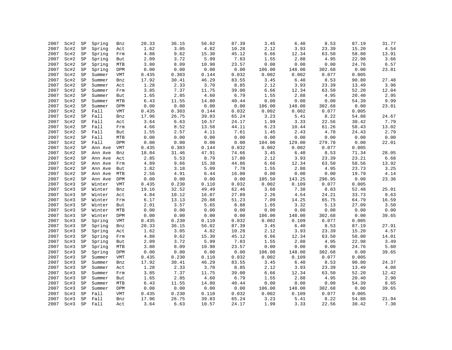| 2007 | Sc#2 | SP          | Spring  | Bnz        | 20.33 | 36.15 | 56.02 | 87.39 | 3.45   | 6.40   | 8.53   | 87.19 | 31.77                           |
|------|------|-------------|---------|------------|-------|-------|-------|-------|--------|--------|--------|-------|---------------------------------|
| 2007 | Sc#2 | SP          | Spring  | Act        | 1.62  | 3.05  | 4.82  | 10.28 | 2.12   | 3.93   | 23.39  | 15.20 | 4.54                            |
| 2007 | Sc#2 | SP          | Spring  | Frm        | 4.88  | 9.62  | 15.30 | 45.12 | 6.66   | 12.34  | 63.50  | 58.80 | 13.91                           |
| 2007 | Sc#2 | $_{\rm SP}$ | Spring  | But        | 2.09  | 3.72  | 5.99  | 7.83  | 1.55   | 2.88   | 4.95   | 22.98 | 3.66                            |
| 2007 | Sc#2 | SP          | Spring  | MTB        | 3.80  | 8.09  | 10.98 | 23.57 | 0.00   | 0.00   | 0.00   | 24.76 | 6.57                            |
| 2007 | Sc#2 | ${\tt SP}$  | Spring  | DPM        | 0.00  | 0.00  | 0.00  | 0.00  | 106.00 | 148.00 | 302.68 | 0.00  | 23.81                           |
| 2007 | Sc#2 | SP          | Summer  | <b>VMT</b> | 0.435 | 0.303 | 0.144 | 0.032 | 0.002  | 0.002  | 0.077  | 0.005 |                                 |
| 2007 | Sc#2 | SP          | Summer  | Bnz        | 17.92 | 30.41 | 46.29 | 83.55 | 3.45   | 6.40   | 8.53   | 90.80 | 27.48                           |
| 2007 | Sc#2 | SP          | Summer  | Act        | 1.28  | 2.33  | 3.70  | 8.85  | 2.12   | 3.93   | 23.39  | 13.49 | 3.96                            |
| 2007 | Sc#2 | $_{\rm SP}$ | Summer  | Frm        | 3.85  | 7.37  | 11.75 | 39.00 | 6.66   | 12.34  | 63.50  | 52.20 | 12.04                           |
| 2007 | Sc#2 | SP          | Summer  | But        | 1.65  | 2.85  | 4.60  | 6.79  | 1.55   | 2.88   | 4.95   | 20.40 | 2.95                            |
| 2007 | Sc#2 | SP          | Summer  | <b>MTB</b> | 6.43  | 11.55 | 14.80 | 40.44 | 0.00   | 0.00   | 0.00   | 54.39 | 9.99                            |
| 2007 | Sc#2 | SP          | Summer  | DPM        | 0.00  | 0.00  | 0.00  | 0.00  | 106.00 | 148.00 | 302.68 | 0.00  | 23.81                           |
| 2007 | Sc#2 | $_{\rm SP}$ | Fall    | <b>VMT</b> | 0.435 | 0.303 | 0.144 | 0.032 | 0.002  | 0.002  | 0.077  | 0.005 |                                 |
| 2007 | Sc#2 | SP          | Fall    | Bnz        | 17.96 | 26.75 | 39.83 | 65.24 | 3.23   | 5.41   | 8.22   | 54.88 | 24.67                           |
| 2007 | Sc#2 | SP          | Fall    | Act        | 3.64  | 6.63  | 10.57 | 24.17 | 1.99   | 3.33   | 22.56  | 30.42 | 7.79                            |
| 2007 | Sc#2 | SP          | Fall    | Frm        | 4.66  | 8.52  | 13.58 | 44.11 | 6.23   | 10.44  | 61.26  | 58.43 | 13.02                           |
| 2007 | Sc#2 | $_{\rm SP}$ | Fall    | But        | 1.55  | 2.57  | 4.11  | 7.61  | 1.45   | 2.43   | 4.78   | 24.43 | 2.79                            |
| 2007 | Sc#2 | SP          | Fall    | MTB        | 0.00  | 0.00  | 0.00  | 0.00  | 0.00   | 0.00   | 0.00   | 0.00  | 0.00                            |
| 2007 | Sc#2 | SP          | Fall    | DPM        | 0.00  | 0.00  | 0.00  | 0.00  | 104.00 | 129.00 | 279.78 | 0.00  | 22.01                           |
| 2007 | Sc#2 |             |         | VMT        | 0.435 | 0.303 | 0.144 | 0.032 | 0.002  | 0.002  | 0.077  | 0.005 |                                 |
|      |      | SP          | Ann Ave |            |       |       |       |       |        |        |        |       |                                 |
| 2007 | Sc#2 | SP          | Ann Ave | Bnz        | 18.84 | 31.46 | 47.91 | 74.66 | 3.45   | 6.40   | 8.53   | 71.34 | 28.05                           |
| 2007 | Sc#2 | $_{\rm SP}$ | Ann Ave | Act        | 2.85  | 5.53  | 8.79  | 17.80 | 2.12   | 3.93   | 23.39  | 23.21 | 6.68                            |
| 2007 | Sc#2 | SP          | Ann Ave | Frm        | 4.89  | 9.66  | 15.38 | 44.86 | 6.66   | 12.34  | 63.50  | 58.56 | 13.92                           |
| 2007 | Sc#2 | SP          | Ann Ave | But        | 1.82  | 3.18  | 5.09  | 7.78  | 1.55   | 2.88   | 4.95   | 23.73 | 3.25                            |
| 2007 | Sc#2 | SP          | Ann Ave | MTB        | 2.56  | 4.91  | 6.44  | 16.00 | 0.00   | 0.00   | 0.00   | 19.79 | 4.14                            |
| 2007 | Sc#2 | SP          | Ann Ave | DPM        | 0.00  | 0.00  | 0.00  | 0.00  | 105.50 | 143.25 | 296.95 | 0.00  | 23.36                           |
| 2007 | Sc#3 | SP          | Winter  | VMT        | 0.435 | 0.230 | 0.110 | 0.032 | 0.002  | 0.109  | 0.077  | 0.005 |                                 |
| 2007 | Sc#3 | SP          | Winter  | Bnz        | 19.16 | 32.52 | 49.49 | 62.46 | 3.68   | 7.38   | 8.83   | 52.48 | 25.01                           |
| 2007 | Sc#3 | SP          | Winter  | Act        | 4.84  | 10.12 | 16.07 | 27.89 | 2.26   | 4.54   | 24.21  | 33.73 | 9.63                            |
| 2007 | Sc#3 | SP          | Winter  | Frm        | 6.17  | 13.13 | 20.88 | 51.23 | 7.09   | 14.25  | 65.75  | 64.79 | 16.59                           |
| 2007 | Sc#3 | SP          | Winter  | But        | 2.01  | 3.57  | 5.65  | 8.88  | 1.65   | 3.32   | 5.13   | 27.09 | 3.50                            |
| 2007 | Sc#3 | SP          | Winter  | MTB        | 0.00  | 0.00  | 0.00  | 0.00  | 0.00   | 0.00   | 0.00   | 0.00  | ${\bf 0}$ . ${\bf 0}$ ${\bf 0}$ |
| 2007 | Sc#3 | SP          | Winter  | DPM        | 0.00  | 0.00  | 0.00  | 0.00  | 106.00 | 148.00 | 302.68 | 0.00  | 39.65                           |
| 2007 | Sc#3 | SP          | Spring  | VMT        | 0.435 | 0.230 | 0.110 | 0.032 | 0.002  | 0.109  | 0.077  | 0.005 |                                 |
| 2007 | Sc#3 | SP          | Spring  | Bnz        | 20.33 | 36.15 | 56.02 | 87.39 | 3.45   | 6.40   | 8.53   | 87.19 | 27.91                           |
| 2007 | Sc#3 | SP          | Spring  | Act        | 1.62  | 3.05  | 4.82  | 10.28 | 2.12   | 3.93   | 23.39  | 15.20 | 4.57                            |
| 2007 | Sc#3 | SP          | Spring  | Frm        | 4.88  | 9.62  | 15.30 | 45.12 | 6.66   | 12.34  | 63.50  | 58.80 | 14.01                           |
| 2007 | Sc#3 | SP          | Spring  | But        | 2.09  | 3.72  | 5.99  | 7.83  | 1.55   | 2.88   | 4.95   | 22.98 | 3.49                            |
| 2007 | Sc#3 | $_{\rm SP}$ | Spring  | MTB        | 3.80  | 8.09  | 10.98 | 23.57 | 0.00   | 0.00   | 0.00   | 24.76 | 5.60                            |
| 2007 | Sc#3 | SP          | Spring  | DPM        | 0.00  | 0.00  | 0.00  | 0.00  | 106.00 | 148.00 | 302.68 | 0.00  | 39.65                           |
| 2007 | Sc#3 | SP          | Summer  | VMT        | 0.435 | 0.230 | 0.110 | 0.032 | 0.002  | 0.109  | 0.077  | 0.005 |                                 |
| 2007 | Sc#3 | $_{\rm SP}$ | Summer  | Bnz        | 17.92 | 30.41 | 46.29 | 83.55 | 3.45   | 6.40   | 8.53   | 90.80 | 24.37                           |
| 2007 | Sc#3 | SP          | Summer  | Act        | 1.28  | 2.33  | 3.70  | 8.85  | 2.12   | 3.93   | 23.39  | 13.49 | 4.08                            |
| 2007 | Sc#3 | $_{\rm SP}$ | Summer  | Frm        | 3.85  | 7.37  | 11.75 | 39.00 | 6.66   | 12.34  | 63.50  | 52.20 | 12.42                           |
| 2007 | Sc#3 | SP          | Summer  | But        | 1.65  | 2.85  | 4.60  | 6.79  | 1.55   | 2.88   | 4.95   | 20.40 | 2.90                            |
| 2007 | Sc#3 | SP          | Summer  | MTB        | 6.43  | 11.55 | 14.80 | 40.44 | 0.00   | 0.00   | 0.00   | 54.39 | 8.65                            |
| 2007 | Sc#3 | SP          | Summer  | DPM        | 0.00  | 0.00  | 0.00  | 0.00  | 106.00 | 148.00 | 302.68 | 0.00  | 39.65                           |
| 2007 | Sc#3 | $_{\rm SP}$ | Fall    | VMT        | 0.435 | 0.230 | 0.110 | 0.032 | 0.002  | 0.109  | 0.077  | 0.005 |                                 |
| 2007 | Sc#3 | $_{\rm SP}$ | Fall    | Bnz        | 17.96 | 26.75 | 39.83 | 65.24 | 3.23   | 5.41   | 8.22   | 54.88 | 21.94                           |
| 2007 | Sc#3 | SP          | Fall    | Act        | 3.64  | 6.63  | 10.57 | 24.17 | 1.99   | 3.33   | 22.56  | 30.42 | 7.30                            |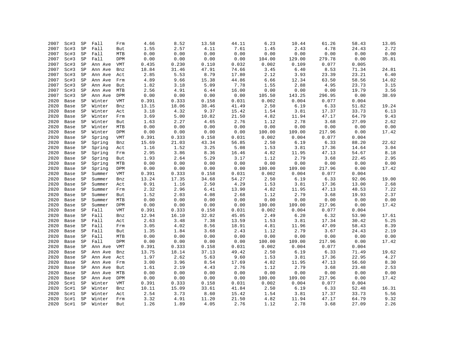| 2007         | Sc#3         | SP          | Fall    | Frm                       | 4.66  | 8.52         | 13.58 | 44.11        | 6.23         | 10.44         | 61.26                  | 58.43         | 13.05 |
|--------------|--------------|-------------|---------|---------------------------|-------|--------------|-------|--------------|--------------|---------------|------------------------|---------------|-------|
| 2007         | Sc#3         | SP          | Fall    | But                       | 1.55  | 2.57         | 4.11  | 7.61         | 1.45         | 2.43          | 4.78                   | 24.43         | 2.72  |
| 2007         | Sc#3         | SP          | Fall    | MTB                       | 0.00  | 0.00         | 0.00  | 0.00         | 0.00         | 0.00          | 0.00                   | 0.00          | 0.00  |
| 2007         | Sc#3         | SP          | Fall    | DPM                       | 0.00  | 0.00         | 0.00  | 0.00         | 104.00       | 129.00        | 279.78                 | 0.00          | 35.81 |
| 2007         | Sc#3         | SP          | Ann Ave | VMT                       | 0.435 | 0.230        | 0.110 | 0.032        | 0.002        | 0.109         | 0.077                  | 0.005         |       |
| 2007         | Sc#3         | $_{\rm SP}$ | Ann Ave | Bnz                       | 18.84 | 31.46        | 47.91 | 74.66        | 3.45         | 6.40          | 8.53                   | 71.34         | 24.81 |
| 2007         | Sc#3         | SP          | Ann Ave | Act                       | 2.85  | 5.53         | 8.79  | 17.80        | 2.12         | 3.93          | 23.39                  | 23.21         | 6.40  |
| 2007         | Sc#3         | SP          | Ann Ave | Frm                       | 4.89  | 9.66         | 15.38 | 44.86        | 6.66         | 12.34         | 63.50                  | 58.56         | 14.02 |
| 2007         | Sc#3         | SP          | Ann Ave | But                       | 1.82  | 3.18         | 5.09  | 7.78         | 1.55         | 2.88          | 4.95                   | 23.73         | 3.15  |
| 2007         | Sc#3         | SP          | Ann Ave | MTB                       | 2.56  | 4.91         | 6.44  | 16.00        | 0.00         | 0.00          | ${\bf 0}$ . ${\bf 00}$ | 19.79         | 3.56  |
| 2007         | Sc#3         | SP          | Ann Ave | DPM                       | 0.00  | 0.00         | 0.00  | 0.00         | 105.50       | 143.25        | 296.95                 | 0.00          | 38.69 |
| 2020         | Base         | SP          | Winter  | <b>VMT</b>                | 0.391 | 0.333        | 0.158 | 0.031        | 0.002        | 0.004         | 0.077                  | 0.004         |       |
| 2020         | Base         | SP          | Winter  | Bnz                       | 13.15 | 18.06        | 38.46 | 41.49        | 2.50         | 6.19          | 6.33                   | 51.82         | 19.24 |
| 2020         | Base         | SP          | Winter  | Act                       | 3.18  | 4.32         | 9.37  | 15.42        | 1.54         | 3.81          | 17.37                  | 33.73         | 6.13  |
| 2020         | Base         | SP          | Winter  | Frm                       | 3.69  | 5.00         | 10.82 | 21.50        | 4.82         | 11.94         | 47.17                  | 64.79         | 9.43  |
| 2020         | Base         | SP          | Winter  | But                       | 1.63  | 2.27         | 4.65  | 2.76         | 1.12         | 2.78          | 3.68                   | 27.09         | 2.62  |
| 2020         | Base         | SP          | Winter  | MTB                       | 0.00  | 0.00         | 0.00  | 0.00         | 0.00         | 0.00          | 0.00                   | 0.00          | 0.00  |
| 2020         | Base         | SP          | Winter  | DPM                       | 0.00  | 0.00         | 0.00  | 0.00         | 100.00       | 109.00        | 217.96                 | 0.00          | 17.42 |
| 2020         | Base         | SP          | Spring  | VMT                       | 0.391 | 0.333        | 0.158 | 0.031        | 0.002        | 0.004         | 0.077                  | 0.004         |       |
| 2020         | Base         | SP          | Spring  | Bnz                       | 15.69 | 21.03        | 43.34 | 56.85        | 2.50         | 6.19          | 6.33                   | 88.20         | 22.62 |
| 2020         | Base         | SP          | Spring  | Act                       | 1.16  | 1.52         | 3.25  | 5.08         | 1.53         | 3.81          | 17.36                  | 14.64         | 3.04  |
| 2020         | Base         | SP          | Spring  | Frm                       | 2.95  | 3.86         | 8.36  | 16.46        | 4.82         | 11.95         | 47.13                  | 54.67         | 8.18  |
|              |              | SP          |         |                           | 1.93  |              | 5.29  |              |              | 2.79          | 3.68                   | 22.45         | 2.95  |
| 2020<br>2020 | Base<br>Base |             | Spring  | But<br><b>MTB</b>         | 0.00  | 2.64<br>0.00 | 0.00  | 3.17<br>0.00 | 1.12<br>0.00 | 0.00          | 0.00                   | 0.00          | 0.00  |
|              |              | SP          | Spring  |                           |       |              |       |              |              |               |                        |               |       |
| 2020         | Base         | SP          | Spring  | DPM                       | 0.00  | 0.00         | 0.00  | 0.00         | 100.00       | 109.00        | 217.96                 | 0.00<br>0.004 | 17.42 |
| 2020         | Base         | SP          | Summer  | $\ensuremath{\text{VMT}}$ | 0.391 | 0.333        | 0.158 | 0.031        | 0.002        | 0.004<br>6.19 | 0.077                  |               |       |
| 2020         | Base         | SP          | Summer  | Bnz                       | 13.24 | 17.35        | 34.68 | 54.27        | 2.50         |               | 6.33                   | 92.06         | 19.00 |
| 2020         | Base         | SP          | Summer  | Act                       | 0.91  | 1.16         | 2.50  | 4.29         | 1.53         | 3.81          | 17.36                  | 13.00         | 2.68  |
| 2020         | Base         | SP          | Summer  | Frm                       | 2.32  | 2.96         | 6.41  | 13.90        | 4.82         | 11.95         | 47.13                  | 48.53         | 7.22  |
| 2020         | Base         | SP          | Summer  | But                       | 1.52  | 2.03         | 4.08  | 2.68         | 1.12         | 2.79          | 3.68                   | 19.93         | 2.37  |
| 2020         | Base         | SP          | Summer  | MTB                       | 0.00  | 0.00         | 0.00  | 0.00         | 0.00         | 0.00          | ${\bf 0}$ . ${\bf 00}$ | 0.00          | 0.00  |
| 2020         | Base         | SP          | Summer  | DPM                       | 0.00  | 0.00         | 0.00  | 0.00         | 100.00       | 109.00        | 217.96                 | 0.00          | 17.42 |
| 2020         | Base         | SP          | Fall    | VMT                       | 0.391 | 0.333        | 0.158 | 0.031        | 0.002        | 0.004         | 0.077                  | 0.004         |       |
| 2020         | Base         | SP          | Fall    | Bnz                       | 12.94 | 16.10        | 32.02 | 45.05        | 2.49         | 6.20          | 6.32                   | 53.90         | 17.61 |
| 2020         | Base         | SP          | Fall    | Act                       | 2.63  | 3.48         | 7.38  | 13.59        | 1.53         | 3.81          | 17.34                  | 30.42         | 5.25  |
| 2020         | Base         | SP          | Fall    | Frm                       | 3.05  | 4.02         | 8.56  | 18.91        | 4.81         | 11.96         | 47.09                  | 58.43         | 8.39  |
| 2020         | Base         | SP          | Fall    | But                       | 1.35  | 1.84         | 3.68  | 2.43         | 1.12         | 2.79          | 3.67                   | 24.43         | 2.19  |
| 2020         | Base         | SP          | Fall    | MTB                       | 0.00  | 0.00         | 0.00  | 0.00         | 0.00         | 0.00          | 0.00                   | 0.00          | 0.00  |
| 2020         | Base         | SP          | Fall    | DPM                       | 0.00  | 0.00         | 0.00  | 0.00         | 100.00       | 109.00        | 217.96                 | 0.00          | 17.42 |
| 2020         | Base         | SP          | Ann Ave | VMT                       | 0.391 | 0.333        | 0.158 | 0.031        | 0.002        | 0.004         | 0.077                  | 0.004         |       |
| 2020         | Base         | SP          | Ann Ave | Bnz                       | 13.75 | 18.14        | 37.13 | 49.42        | 2.50         | 6.19          | 6.33                   | 71.49         | 19.62 |
| 2020         | Base         | SP          | Ann Ave | Act                       | 1.97  | 2.62         | 5.63  | 9.60         | 1.53         | 3.81          | 17.36                  | 22.95         | 4.27  |
| 2020         | Base         | SP          | Ann Ave | Frm                       | 3.00  | 3.96         | 8.54  | 17.69        | 4.82         | 11.95         | 47.13                  | 56.60         | 8.30  |
| 2020         | Base         | SP          | Ann Ave | But                       | 1.61  | 2.19         | 4.43  | 2.76         | 1.12         | 2.79          | 3.68                   | 23.48         | 2.53  |
| 2020         | Base         | SP          | Ann Ave | MTB                       | 0.00  | 0.00         | 0.00  | 0.00         | 0.00         | 0.00          | 0.00                   | 0.00          | 0.00  |
| 2020         | Base         | SP          | Ann Ave | DPM                       | 0.00  | 0.00         | 0.00  | 0.00         | 100.00       | 109.00        | 217.96                 | 0.00          | 17.42 |
| 2020         | Sc#1         | SP          | Winter  | VMT                       | 0.391 | 0.333        | 0.158 | 0.031        | 0.002        | 0.004         | 0.077                  | 0.004         |       |
| 2020         | Sc#1         | SP          | Winter  | Bnz                       | 10.11 | 15.09        | 33.61 | 41.84        | 2.50         | 6.19          | 6.33                   | 52.48         | 16.31 |
| 2020         | Sc#1         | SP          | Winter  | Act                       | 2.54  | 3.73         | 8.60  | 15.42        | 1.54         | 3.81          | 17.37                  | 33.73         | 5.56  |
| 2020         | Sc#1         | $_{\rm SP}$ | Winter  | Frm                       | 3.32  | 4.91         | 11.20 | 21.50        | 4.82         | 11.94         | 47.17                  | 64.79         | 9.32  |
| 2020         | Sc#1         | SP          | Winter  | But                       | 1.26  | 1.89         | 4.05  | 2.76         | 1.12         | 2.78          | 3.68                   | 27.09         | 2.26  |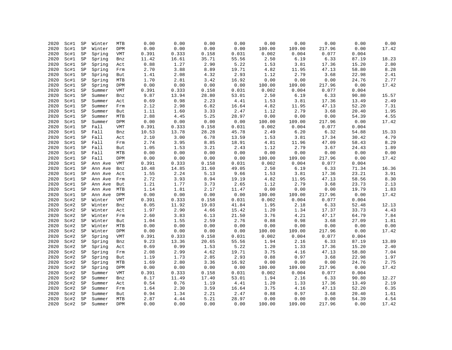| 2020 | Sc#1 | SP                | Winter  | MTB        | 0.00  | 0.00  | 0.00  | 0.00          | 0.00                           | 0.00            | 0.00                   | 0.00          | 0.00                            |
|------|------|-------------------|---------|------------|-------|-------|-------|---------------|--------------------------------|-----------------|------------------------|---------------|---------------------------------|
| 2020 | Sc#1 | SP                | Winter  | DPM        | 0.00  | 0.00  | 0.00  | 0.00          | 100.00                         | 109.00          | 217.96                 | 0.00          | 17.42                           |
| 2020 | Sc#1 | SP                | Spring  | VMT        | 0.391 | 0.333 | 0.158 | 0.031         | 0.002                          | 0.004           | 0.077                  | 0.004         |                                 |
| 2020 | Sc#1 | SP                | Spring  | Bnz        | 11.42 | 16.61 | 35.71 | 55.56         | 2.50                           | 6.19            | 6.33                   | 87.19         | 18.23                           |
| 2020 | Sc#1 | SP                | Spring  | Act        | 0.88  | 1.27  | 2.90  | 5.22          | 1.53                           | 3.81            | 17.36                  | 15.20         | 2.80                            |
| 2020 | Sc#1 | ${\tt SP}$        | Spring  | Frm        | 2.70  | 3.88  | 8.89  | 19.71         | 4.82                           | 11.95           | 47.13                  | 58.80         | 8.28                            |
| 2020 | Sc#1 | SP                | Spring  | But        | 1.41  | 2.08  | 4.32  | 2.93          | 1.12                           | 2.79            | 3.68                   | 22.98         | 2.41                            |
| 2020 | Sc#1 | SP                | Spring  | MTB        | 1.70  | 2.81  | 3.42  | 16.92         | 0.00                           | 0.00            | 0.00                   | 24.76         | 2.77                            |
| 2020 | Sc#1 | SP                | Spring  | DPM        | 0.00  | 0.00  | 0.00  | 0.00          | 100.00                         | 109.00          | 217.96                 | 0.00          | 17.42                           |
| 2020 | Sc#1 | $_{\rm SP}$       | Summer  | VMT        | 0.391 | 0.333 | 0.158 | 0.031         | 0.002                          | 0.004           | 0.077                  | 0.004         |                                 |
| 2020 | Sc#1 | SP                | Summer  | Bnz        | 9.87  | 13.94 | 28.80 | 53.01         | 2.50                           | 6.19            | 6.33                   | 90.80         | 15.57                           |
| 2020 | Sc#1 | SP                | Summer  | Act        | 0.69  | 0.98  | 2.23  | 4.41          | 1.53                           | 3.81            | 17.36                  | 13.49         | 2.49                            |
| 2020 | Sc#1 | SP                | Summer  | Frm        | 2.12  | 2.98  | 6.82  | 16.64         | 4.82                           | 11.95           | 47.13                  | 52.20         | 7.31                            |
| 2020 | Sc#1 | ${\tt SP}$        | Summer  | But        | 1.11  | 1.60  | 3.33  | 2.47          | 1.12                           | 2.79            | 3.68                   | 20.40         | 1.95                            |
| 2020 | Sc#1 | SP                | Summer  | MTB        | 2.88  | 4.45  | 5.25  | 28.97         | 0.00                           | 0.00            | 0.00                   | 54.39         | 4.55                            |
| 2020 | Sc#1 | SP                | Summer  | DPM        | 0.00  | 0.00  | 0.00  | 0.00          | 100.00                         | 109.00          | 217.96                 | 0.00          | 17.42                           |
| 2020 | Sc#1 | SP                | Fall    | VMT        | 0.391 | 0.333 | 0.158 | 0.031         | 0.002                          | 0.004           | 0.077                  | 0.004         |                                 |
| 2020 | Sc#1 | $_{\rm SP}$       | Fall    | Bnz        | 10.53 | 13.78 | 28.28 | 45.78         | 2.49                           | 6.20            | 6.32                   | 54.88         | 15.33                           |
| 2020 | Sc#1 | SP                | Fall    | Act        | 2.10  | 3.00  | 6.78  | 13.59         | 1.53                           | 3.81            | 17.34                  | 30.42         | 4.79                            |
| 2020 | Sc#1 | SP                | Fall    | Frm        | 2.74  | 3.95  | 8.85  | 18.91         | 4.81                           | 11.96           | 47.09                  | 58.43         | 8.29                            |
| 2020 | Sc#1 | SP                | Fall    | But        | 1.05  | 1.53  | 3.21  | 2.43          | 1.12                           | 2.79            | 3.67                   | 24.43         | 1.89                            |
| 2020 | Sc#1 |                   | Fall    |            | 0.00  | 0.00  | 0.00  | 0.00          | 0.00                           | 0.00            | ${\bf 0}$ . ${\bf 00}$ | 0.00          | ${\bf 0}$ . ${\bf 0}$ ${\bf 0}$ |
| 2020 |      | SP<br>$_{\rm SP}$ | Fall    | MTB        |       |       |       |               |                                |                 |                        |               | 17.42                           |
| 2020 | Sc#1 |                   |         | DPM        | 0.00  | 0.00  | 0.00  | 0.00<br>0.031 | 100.00<br>0.002                | 109.00<br>0.004 | 217.96<br>0.077        | 0.00<br>0.004 |                                 |
|      | Sc#1 | SP                | Ann Ave | VMT        | 0.391 | 0.333 | 0.158 |               |                                |                 |                        |               |                                 |
| 2020 | Sc#1 | SP                | Ann Ave | Bnz        | 10.48 | 14.85 | 31.60 | 49.05         | 2.50                           | 6.19            | 6.33                   | 71.34         | 16.36                           |
| 2020 | Sc#1 | $_{\rm SP}$       | Ann Ave | Act        | 1.55  | 2.24  | 5.13  | 9.66          | 1.53                           | 3.81            | 17.36                  | 23.21         | 3.91                            |
| 2020 | Sc#1 | SP                | Ann Ave | Frm        | 2.72  | 3.93  | 8.94  | 19.19         | 4.82                           | 11.95           | 47.13                  | 58.56         | 8.30                            |
| 2020 | Sc#1 | SP                | Ann Ave | But        | 1.21  | 1.77  | 3.73  | 2.65          | 1.12                           | 2.79            | 3.68                   | 23.73         | 2.13                            |
| 2020 | Sc#1 | SP                | Ann Ave | MTB        | 1.14  | 1.81  | 2.17  | 11.47         | 0.00                           | 0.00            | 0.00                   | 19.79         | 1.83                            |
| 2020 | Sc#1 | SP                | Ann Ave | DPM        | 0.00  | 0.00  | 0.00  | 0.00          | 100.00                         | 109.00          | 217.96                 | 0.00          | 17.42                           |
| 2020 | Sc#2 | SP                | Winter  | VMT        | 0.391 | 0.333 | 0.158 | 0.031         | 0.002                          | 0.004           | 0.077                  | 0.004         |                                 |
| 2020 | Sc#2 | SP                | Winter  | Bnz        | 8.05  | 11.92 | 19.03 | 41.84         | 1.95                           | 2.18            | 6.33                   | 52.48         | 12.13                           |
| 2020 | Sc#2 | SP                | Winter  | Act        | 1.97  | 2.90  | 4.66  | 15.42         | 1.20                           | 1.34            | 17.37                  | 33.73         | 4.43                            |
| 2020 | Sc#2 | SP                | Winter  | Frm        | 2.60  | 3.83  | 6.13  | 21.50         | 3.76                           | 4.21            | 47.17                  | 64.79         | 7.84                            |
| 2020 | Sc#2 | $_{\rm SP}$       | Winter  | But        | 1.04  | 1.55  | 2.59  | 2.76          | 0.88                           | 0.98            | 3.68                   | 27.09         | 1.81                            |
| 2020 | Sc#2 | SP                | Winter  | MTB        | 0.00  | 0.00  | 0.00  | 0.00          | 0.00                           | 0.00            | 0.00                   | 0.00          | 0.00                            |
| 2020 | Sc#2 | SP                | Winter  | DPM        | 0.00  | 0.00  | 0.00  | 0.00          | 100.00                         | 109.00          | 217.96                 | 0.00          | 17.42                           |
| 2020 | Sc#2 | SP                | Spring  | VMT        | 0.391 | 0.333 | 0.158 | 0.031         | 0.002                          | 0.004           | 0.077                  | 0.004         |                                 |
| 2020 | Sc#2 | SP                | Spring  | Bnz        | 9.23  | 13.36 | 20.65 | 55.56         | 1.94                           | 2.16            | 6.33                   | 87.19         | 13.89                           |
| 2020 | Sc#2 | $_{\rm SP}$       | Spring  | Act        | 0.69  | 0.99  | 1.53  | 5.22          | 1.20                           | 1.33            | 17.36                  | 15.20         | 2.40                            |
| 2020 | Sc#2 | SP                | Spring  | Frm        | 2.08  | 2.99  | 4.62  | 19.71         | 3.75                           | 4.16            | 47.13                  | 58.80         | 7.04                            |
| 2020 | Sc#2 | $_{\rm SP}$       | Spring  | But        | 1.19  | 1.73  | 2.85  | 2.93          | 0.88                           | 0.97            | 3.68                   | 22.98         | 1.97                            |
| 2020 | Sc#2 | $_{\rm SP}$       | Spring  | MTB        | 1.69  | 2.80  | 3.36  | 16.92         | 0.00                           | 0.00            | 0.00                   | 24.76         | 2.75                            |
| 2020 | Sc#2 | SP                | Spring  | DPM        | 0.00  | 0.00  | 0.00  | 0.00          | 100.00                         | 109.00          | 217.96                 | 0.00          | 17.42                           |
| 2020 | Sc#2 | ${\tt SP}$        | Summer  | VMT        | 0.391 | 0.333 | 0.158 | 0.031         | 0.002                          | 0.004           | 0.077                  | 0.004         |                                 |
| 2020 | Sc#2 | SP                | Summer  | Bnz        | 8.17  | 11.49 | 17.40 | 53.01         | 1.94                           | 2.16            | 6.33                   | 90.80         | 12.27                           |
| 2020 | Sc#2 | SP                | Summer  | Act        | 0.54  | 0.76  | 1.19  | 4.41          | 1.20                           | 1.33            | 17.36                  | 13.49         | 2.19                            |
| 2020 | Sc#2 | SP                | Summer  | Frm        | 1.64  | 2.30  | 3.59  | 16.64         | 3.75                           | 4.16            | 47.13                  | 52.20         | 6.35                            |
| 2020 | Sc#2 | SP                | Summer  | But        | 0.94  | 1.34  | 2.21  | 2.47          | $\ensuremath{\mathbf{0}}$ . 88 | 0.97            | 3.68                   | 20.40         | 1.61                            |
| 2020 | Sc#2 | SP                | Summer  | MTB        | 2.87  | 4.44  | 5.21  | 28.97         | 0.00                           | 0.00            | 0.00                   | 54.39         | 4.54                            |
| 2020 | Sc#2 | SP                | Summer  | <b>DPM</b> | 0.00  | 0.00  | 0.00  | 0.00          | 100.00                         | 109.00          | 217.96                 | 0.00          | 17.42                           |
|      |      |                   |         |            |       |       |       |               |                                |                 |                        |               |                                 |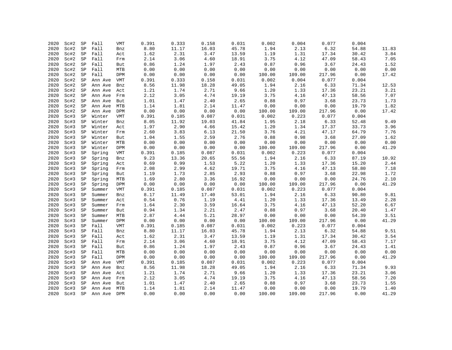| 2020 | Sc#2 | SP          | Fall        | VMT        | 0.391 | 0.333 | 0.158 | 0.031 | 0.002  | 0.004  | 0.077  | 0.004 |       |
|------|------|-------------|-------------|------------|-------|-------|-------|-------|--------|--------|--------|-------|-------|
| 2020 | Sc#2 | SP          | Fall        | Bnz        | 8.80  | 11.17 | 16.03 | 45.78 | 1.94   | 2.13   | 6.32   | 54.88 | 11.83 |
| 2020 | Sc#2 | SP          | Fall        | Act        | 1.62  | 2.31  | 3.47  | 13.59 | 1.19   | 1.31   | 17.34  | 30.42 | 3.84  |
| 2020 | Sc#2 | SP          | Fall        | Frm        | 2.14  | 3.06  | 4.60  | 18.91 | 3.75   | 4.12   | 47.09  | 58.43 | 7.05  |
| 2020 | Sc#2 | SP          | Fall        | But        | 0.86  | 1.24  | 1.97  | 2.43  | 0.87   | 0.96   | 3.67   | 24.43 | 1.52  |
| 2020 | Sc#2 | SP          | Fall        | MTB        | 0.00  | 0.00  | 0.00  | 0.00  | 0.00   | 0.00   | 0.00   | 0.00  | 0.00  |
| 2020 | Sc#2 | $_{\rm SP}$ | Fall        | DPM        | 0.00  | 0.00  | 0.00  | 0.00  | 100.00 | 109.00 | 217.96 | 0.00  | 17.42 |
| 2020 | Sc#2 | SP          | Ann Ave     | VMT        | 0.391 | 0.333 | 0.158 | 0.031 | 0.002  | 0.004  | 0.077  | 0.004 |       |
| 2020 | Sc#2 | SP          | Ann Ave     | Bnz        | 8.56  | 11.98 | 18.28 | 49.05 | 1.94   | 2.16   | 6.33   | 71.34 | 12.53 |
| 2020 | Sc#2 | SP          | Ann Ave     | Act        | 1.21  | 1.74  | 2.71  | 9.66  | 1.20   | 1.33   | 17.36  | 23.21 | 3.21  |
| 2020 | Sc#2 | SP          | Ann Ave     | Frm        | 2.12  | 3.05  | 4.74  | 19.19 | 3.75   | 4.16   | 47.13  | 58.56 | 7.07  |
| 2020 | Sc#2 | SP          | Ann Ave     | But        | 1.01  | 1.47  | 2.40  | 2.65  | 0.88   | 0.97   | 3.68   | 23.73 | 1.73  |
| 2020 | Sc#2 | SP          | Ann Ave     | MTB        | 1.14  | 1.81  | 2.14  | 11.47 | 0.00   | 0.00   | 0.00   | 19.79 | 1.82  |
| 2020 | Sc#2 | SP          | Ann Ave     | DPM        | 0.00  | 0.00  | 0.00  | 0.00  | 100.00 | 109.00 | 217.96 | 0.00  | 17.42 |
| 2020 | Sc#3 | SP          | Winter      | VMT        | 0.391 | 0.185 | 0.087 | 0.031 | 0.002  | 0.223  | 0.077  | 0.004 |       |
| 2020 | Sc#3 | $_{\rm SP}$ | Winter      | Bnz        | 8.05  | 11.92 | 19.03 | 41.84 | 1.95   | 2.18   | 6.33   | 52.48 | 9.49  |
| 2020 | Sc#3 | $_{\rm SP}$ | Winter      | Act        | 1.97  | 2.90  | 4.66  | 15.42 | 1.20   | 1.34   | 17.37  | 33.73 | 3.96  |
| 2020 | Sc#3 | $_{\rm SP}$ | Winter      | Frm        | 2.60  | 3.83  | 6.13  | 21.50 | 3.76   | 4.21   | 47.17  | 64.79 | 7.76  |
| 2020 | Sc#3 | $_{\rm SP}$ | Winter      | But        | 1.04  | 1.55  | 2.59  | 2.76  | 0.88   | 0.98   | 3.68   | 27.09 | 1.62  |
| 2020 | Sc#3 | $_{\rm SP}$ | Winter      | MTB        | 0.00  | 0.00  | 0.00  | 0.00  | 0.00   | 0.00   | 0.00   | 0.00  | 0.00  |
| 2020 | Sc#3 | $_{\rm SP}$ | Winter      | DPM        | 0.00  | 0.00  | 0.00  | 0.00  | 100.00 | 109.00 | 217.96 | 0.00  | 41.29 |
| 2020 | Sc#3 | $_{\rm SP}$ | Spring      | VMT        | 0.391 | 0.185 | 0.087 | 0.031 | 0.002  | 0.223  | 0.077  | 0.004 |       |
| 2020 | Sc#3 | SP          | Spring      | Bnz        | 9.23  | 13.36 | 20.65 | 55.56 | 1.94   | 2.16   | 6.33   | 87.19 | 10.92 |
| 2020 | Sc#3 | SP          | Spring      | Act        | 0.69  | 0.99  | 1.53  | 5.22  | 1.20   | 1.33   | 17.36  | 15.20 | 2.44  |
| 2020 | Sc#3 | SP          | Spring      | Frm        | 2.08  | 2.99  | 4.62  | 19.71 | 3.75   | 4.16   | 47.13  | 58.80 | 7.18  |
| 2020 | Sc#3 | $_{\rm SP}$ | Spring      | But        | 1.19  | 1.73  | 2.85  | 2.93  | 0.88   | 0.97   | 3.68   | 22.98 | 1.72  |
| 2020 | Sc#3 | SP          | Spring      | MTB        | 1.69  | 2.80  | 3.36  | 16.92 | 0.00   | 0.00   | 0.00   | 24.76 | 2.10  |
| 2020 | Sc#3 | $_{\rm SP}$ | Spring      | DPM        | 0.00  | 0.00  | 0.00  | 0.00  | 100.00 | 109.00 | 217.96 | 0.00  | 41.29 |
| 2020 | Sc#3 | $_{\rm SP}$ | Summer      | <b>VMT</b> | 0.391 | 0.185 | 0.087 | 0.031 | 0.002  | 0.223  | 0.077  | 0.004 |       |
| 2020 | Sc#3 | $_{\rm SP}$ | Summer      | Bnz        | 8.17  | 11.49 | 17.40 | 53.01 | 1.94   | 2.16   | 6.33   | 90.80 | 9.81  |
| 2020 | Sc#3 | SP          | Summer      | Act        | 0.54  | 0.76  | 1.19  | 4.41  | 1.20   | 1.33   | 17.36  | 13.49 | 2.28  |
| 2020 | Sc#3 | $_{\rm SP}$ | Summer      | Frm        | 1.64  | 2.30  | 3.59  | 16.64 | 3.75   | 4.16   | 47.13  | 52.20 | 6.67  |
| 2020 | Sc#3 | SP          | Summer      | But        | 0.94  | 1.34  | 2.21  | 2.47  | 0.88   | 0.97   | 3.68   | 20.40 | 1.47  |
| 2020 | Sc#3 | $_{\rm SP}$ | Summer      | MTB        | 2.87  | 4.44  | 5.21  | 28.97 | 0.00   | 0.00   | 0.00   | 54.39 | 3.51  |
| 2020 | Sc#3 | SP          | Summer      | DPM        | 0.00  | 0.00  | 0.00  | 0.00  | 100.00 | 109.00 | 217.96 | 0.00  | 41.29 |
| 2020 | Sc#3 | $_{\rm SP}$ | Fall        | VMT        | 0.391 | 0.185 | 0.087 | 0.031 | 0.002  | 0.223  | 0.077  | 0.004 |       |
| 2020 | Sc#3 | SP          | Fall        | Bnz        | 8.80  | 11.17 | 16.03 | 45.78 | 1.94   | 2.13   | 6.32   | 54.88 | 9.51  |
| 2020 | Sc#3 | SP          | Fall        | Act        | 1.62  | 2.31  | 3.47  | 13.59 | 1.19   | 1.31   | 17.34  | 30.42 | 3.54  |
| 2020 | Sc#3 | SP          | Fall        | Frm        | 2.14  | 3.06  | 4.60  | 18.91 | 3.75   | 4.12   | 47.09  | 58.43 | 7.17  |
| 2020 | Sc#3 | SP          | Fall        | But        | 0.86  | 1.24  | 1.97  | 2.43  | 0.87   | 0.96   | 3.67   | 24.43 | 1.41  |
| 2020 | Sc#3 | SP          | Fall        | MTB        | 0.00  | 0.00  | 0.00  | 0.00  | 0.00   | 0.00   | 0.00   | 0.00  | 0.00  |
| 2020 | Sc#3 | SP          | Fall        | DPM        | 0.00  | 0.00  | 0.00  | 0.00  | 100.00 | 109.00 | 217.96 | 0.00  | 41.29 |
| 2020 | Sc#3 | SP          | Ann Ave     | VMT        | 0.391 | 0.185 | 0.087 | 0.031 | 0.002  | 0.223  | 0.077  | 0.004 |       |
| 2020 | Sc#3 | SP          | Ann Ave     | Bnz        | 8.56  | 11.98 | 18.28 | 49.05 | 1.94   | 2.16   | 6.33   | 71.34 | 9.93  |
| 2020 | Sc#3 | SP          | Ann Ave     | Act        | 1.21  | 1.74  | 2.71  | 9.66  | 1.20   | 1.33   | 17.36  | 23.21 | 3.06  |
| 2020 | Sc#3 | SP          | Ann Ave     | Frm        | 2.12  | 3.05  | 4.74  | 19.19 | 3.75   | 4.16   | 47.13  | 58.56 | 7.20  |
| 2020 | Sc#3 | SP          | Ann Ave     | But        | 1.01  | 1.47  | 2.40  | 2.65  | 0.88   | 0.97   | 3.68   | 23.73 | 1.55  |
| 2020 | Sc#3 | SP          | Ann Ave     | MTB        | 1.14  | 1.81  | 2.14  | 11.47 | 0.00   | 0.00   | 0.00   | 19.79 | 1.40  |
| 2020 | Sc#3 | SP          | Ann Ave DPM |            | 0.00  | 0.00  | 0.00  | 0.00  | 100.00 | 109.00 | 217.96 | 0.00  | 41.29 |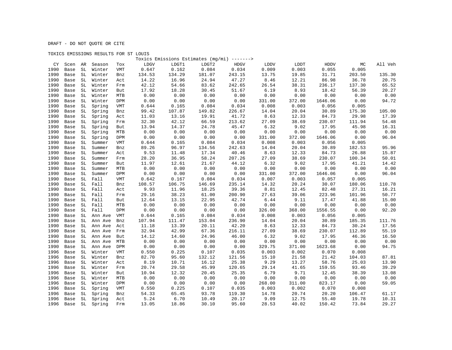## TOXICS EMISSIONS RESULTS FOR ST LOUIS

|      |      |                     |                |            |        |        | Toxics Emissions Estimates (mg/mi) -------> |        |        |        |             |        |         |
|------|------|---------------------|----------------|------------|--------|--------|---------------------------------------------|--------|--------|--------|-------------|--------|---------|
| CY   | Scen | AR                  | Season         | Tox        | LDGV   | LDGT1  | LDGT2                                       | HDGV   | LDDV   | LDDT   | <b>HDDV</b> | МC     | All Veh |
| 1990 | Base | $\operatorname{SL}$ | Winter         | <b>VMT</b> | 0.647  | 0.162  | 0.084                                       | 0.034  | 0.009  | 0.003  | 0.055       | 0.005  |         |
| 1990 | Base | SL                  | Winter         | Bnz        | 134.53 | 134.29 | 181.07                                      | 243.15 | 13.75  | 19.85  | 31.71       | 203.50 | 135.30  |
| 1990 | Base | SL                  | Winter         | Act        | 14.22  | 16.96  | 24.94                                       | 47.27  | 8.46   | 12.21  | 86.98       | 36.78  | 20.75   |
| 1990 | Base | SL                  | Winter         | Frm        | 42.12  | 54.66  | 83.62                                       | 242.65 | 26.54  | 38.31  | 236.17      | 137.30 | 65.52   |
| 1990 | Base | SL                  | Winter         | But        | 17.92  | 18.28  | 30.45                                       | 51.67  | 6.19   | 8.93   | 18.42       | 56.39  | 20.27   |
| 1990 | Base | SL                  | Winter         | MTB        | 0.00   | 0.00   | 0.00                                        | 0.00   | 0.00   | 0.00   | 0.00        | 0.00   | 0.00    |
| 1990 | Base | SL                  | Winter         | DPM        | 0.00   | 0.00   | 0.00                                        | 0.00   | 331.00 | 372.00 | 1646.06     | 0.00   | 94.72   |
| 1990 | Base | SL                  | Spring         | <b>VMT</b> | 0.644  | 0.165  | 0.084                                       | 0.034  | 0.008  | 0.003  | 0.056       | 0.005  |         |
| 1990 | Base | SL                  | Spring         | Bnz        | 99.42  | 107.87 | 149.82                                      | 226.67 | 14.04  | 20.04  | 30.89       | 175.30 | 105.00  |
| 1990 | Base | $\operatorname{SL}$ | Spring         | Act        | 11.03  | 13.16  | 19.91                                       | 41.72  | 8.63   | 12.33  | 84.73       | 29.98  | 17.39   |
| 1990 | Base | SL                  | Spring         | Frm        | 32.30  | 42.12  | 66.59                                       | 213.62 | 27.09  | 38.69  | 230.07      | 111.94 | 54.48   |
| 1990 | Base | SL                  | Spring         | But        | 13.94  | 14.37  | 24.78                                       | 45.47  | 6.32   | 9.02   | 17.95       | 45.98  | 16.31   |
| 1990 | Base | SL                  | Spring         | MTB        | 0.00   | 0.00   | 0.00                                        | 0.00   | 0.00   | 0.00   | 0.00        | 0.00   | 0.00    |
| 1990 | Base | SL                  | Spring         | <b>DPM</b> | 0.00   | 0.00   | 0.00                                        | 0.00   | 331.00 | 372.00 | 1646.06     | 0.00   | 96.04   |
| 1990 | Base | SL                  | Summer         | VMT        | 0.644  | 0.165  | 0.084                                       | 0.034  | 0.008  | 0.003  | 0.056       | 0.005  |         |
| 1990 | Base | SL                  | Summer         | Bnz        | 89.26  | 96.97  | 134.56                                      | 242.63 | 14.04  | 20.04  | 30.89       | 182.53 | 95.96   |
| 1990 | Base | SL                  | Summer         | Act        | 9.53   | 11.48  | 17.34                                       | 40.46  | 8.63   | 12.33  | 84.73       | 26.88  | 15.87   |
| 1990 | Base | $\operatorname{SL}$ | Summer         | Frm        | 28.20  | 36.95  | 58.24                                       | 207.26 | 27.09  | 38.69  | 230.07      | 100.34 | 50.01   |
| 1990 | Base | SL                  | Summer         | But        | 11.97  | 12.61  | 21.67                                       | 44.12  | 6.32   | 9.02   | 17.95       | 41.21  | 14.42   |
| 1990 | Base | SL                  | Summer         | MTB        | 0.00   | 0.00   | 0.00                                        | 0.00   | 0.00   | 0.00   | 0.00        | 0.00   | 0.00    |
| 1990 | Base | SL                  | Summer         | DPM        | 0.00   | 0.00   | 0.00                                        | 0.00   | 331.00 | 372.00 | 1646.06     | 0.00   | 96.04   |
| 1990 | Base | SL                  | Fall           | <b>VMT</b> | 0.642  | 0.167  | 0.084                                       | 0.034  | 0.007  | 0.003  | 0.057       | 0.005  |         |
| 1990 | Base | SL                  | Fall           | Bnz        | 108.57 | 106.75 | 146.69                                      | 235.14 | 14.32  | 20.24  | 30.07       | 180.06 | 110.78  |
| 1990 | Base | SL                  | Fall           | Act        | 9.93   | 11.96  | 18.25                                       | 39.36  | 8.81   | 12.45  | 82.48       | 27.31  | 16.21   |
| 1990 | Base | SL                  | Fall           | Frm        | 29.16  | 38.23  | 61.00                                       | 200.90 | 27.63  | 39.06  | 223.96      | 101.96 | 50.77   |
| 1990 | Base | SL                  | Fall           | But        | 12.64  | 13.15  | 22.95                                       | 42.74  | 6.44   | 9.11   | 17.47       | 41.88  | 15.00   |
| 1990 | Base | SL                  | Fall           | MTB        | 0.00   | 0.00   | 0.00                                        | 0.00   | 0.00   | 0.00   | 0.00        | 0.00   | 0.00    |
| 1990 | Base | SL                  | Fall           | DPM        | 0.00   | 0.00   | 0.00                                        | 0.00   | 326.00 | 368.00 | 1556.55     | 0.00   | 92.20   |
| 1990 | Base | SL                  | Ann Ave        | VMT        | 0.644  | 0.165  | 0.084                                       | 0.034  | 0.008  | 0.003  | 0.056       | 0.005  |         |
| 1990 | Base | SL                  | Ann Ave        | Bnz        | 107.94 | 111.47 | 153.04                                      | 236.90 | 14.04  | 20.04  | 30.89       | 185.35 | 111.76  |
| 1990 | Base | SL                  | Ann Ave        | Act        | 11.18  | 13.39  | 20.11                                       | 42.20  | 8.63   | 12.33  | 84.73       | 30.24  | 17.56   |
| 1990 | Base | SL                  | Ann Ave        | Frm        | 32.94  | 42.99  | 67.36                                       | 216.11 | 27.09  | 38.69  | 230.07      | 112.89 | 55.19   |
| 1990 | Base | SL                  | Ann Ave        | But        | 14.12  | 14.60  | 24.96                                       | 46.00  | 6.32   | 9.02   | 17.95       | 46.36  | 16.50   |
| 1990 | Base | SL                  | Ann Ave        | MTB        | 0.00   | 0.00   | 0.00                                        | 0.00   | 0.00   | 0.00   | 0.00        | 0.00   | 0.00    |
| 1990 | Base | SL                  | Ann Ave        | DPM        | 0.00   | 0.00   | 0.00                                        | 0.00   | 329.75 | 371.00 | 1623.68     | 0.00   | 94.75   |
| 1996 | Base | SL                  | Winter         | <b>VMT</b> | 0.550  | 0.225  | 0.107                                       | 0.035  | 0.003  | 0.002  | 0.070       | 0.008  |         |
| 1996 | Base | SL                  | Winter         | Bnz        | 82.70  | 95.60  | 132.12                                      | 121.56 | 15.10  | 21.58  | 21.42       | 104.03 | 87.81   |
| 1996 | Base | SL                  | Winter         | Act        | 8.19   | 10.71  | 16.12                                       | 25.38  | 9.29   | 13.27  | 58.76       | 25.03  | 13.90   |
| 1996 | Base | SL                  | Winter         | Frm        | 20.74  | 29.58  | 45.99                                       | 120.65 | 29.14  | 41.65  | 159.55      | 93.46  | 39.29   |
| 1996 | Base | SL                  | Winter         | But        | 10.94  | 12.32  | 20.45                                       | 25.35  | 6.79   | 9.71   | 12.45       | 38.39  | 13.08   |
| 1996 | Base | SL                  | Winter         | MTB        | 0.00   | 0.00   | 0.00                                        | 0.00   | 0.00   | 0.00   | 0.00        | 0.00   | 0.00    |
| 1996 | Base | SL                  | Winter         | DPM        | 0.00   | 0.00   | 0.00                                        | 0.00   | 268.00 | 311.00 | 823.17      | 0.00   | 59.05   |
| 1996 | Base | SL                  | Spring         | VMT        | 0.550  | 0.225  | 0.107                                       | 0.035  | 0.003  | 0.002  | 0.070       | 0.008  |         |
| 1996 | Base | SL                  | Spring         | Bnz        | 54.33  | 65.45  | 93.78                                       | 119.30 | 14.78  | 20.74  | 20.20       | 106.47 | 61.17   |
| 1996 | Base | SL                  | Spring         | Act        | 5.24   | 6.70   | 10.49                                       | 20.17  | 9.09   | 12.75  | 55.40       | 19.78  | 10.31   |
| 1996 |      |                     | Base SL Spring | Frm        | 13.05  | 18.86  | 30.10                                       | 95.60  | 28.53  | 40.02  | 150.42      | 73.84  | 29.27   |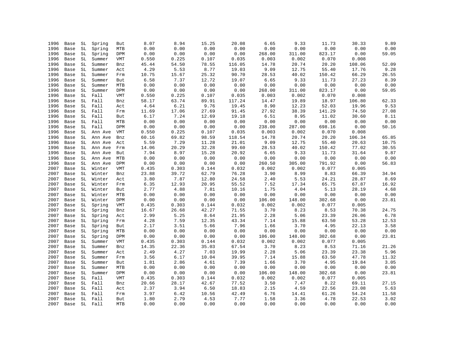| 1996 | Base | SL | Spring  | But        | 8.07  | 8.94                   | 15.25 | 20.08  | 6.65   | 9.33   | 11.73  | 30.33  | 9.89  |
|------|------|----|---------|------------|-------|------------------------|-------|--------|--------|--------|--------|--------|-------|
| 1996 | Base | SL | Spring  | MTB        | 0.00  | 0.00                   | 0.00  | 0.00   | 0.00   | 0.00   | 0.00   | 0.00   | 0.00  |
| 1996 | Base | SL | Spring  | DPM        | 0.00  | 0.00                   | 0.00  | 0.00   | 268.00 | 311.00 | 823.17 | 0.00   | 59.05 |
| 1996 | Base | SL | Summer  | VMT        | 0.550 | 0.225                  | 0.107 | 0.035  | 0.003  | 0.002  | 0.070  | 0.008  |       |
| 1996 | Base | SL | Summer  | Bnz        | 45.44 | 54.50                  | 78.55 | 116.05 | 14.78  | 20.74  | 20.20  | 108.06 | 52.09 |
| 1996 | Base | SL | Summer  | Act        | 4.29  | 5.53                   | 8.77  | 19.03  | 9.09   | 12.75  | 55.40  | 17.76  | 9.28  |
| 1996 | Base | SL | Summer  | Frm        | 10.75 | 15.67                  | 25.32 | 90.70  | 28.53  | 40.02  | 150.42 | 66.29  | 26.55 |
| 1996 | Base | SL | Summer  | But        | 6.58  | 7.37                   | 12.72 | 19.07  | 6.65   | 9.33   | 11.73  | 27.23  | 8.39  |
| 1996 | Base | SL | Summer  | MTB        | 0.00  | 0.00                   | 0.00  | 0.00   | 0.00   | 0.00   | 0.00   | 0.00   | 0.00  |
| 1996 | Base | SL | Summer  | DPM        | 0.00  | ${\bf 0}$ . ${\bf 00}$ | 0.00  | 0.00   | 268.00 | 311.00 | 823.17 | 0.00   | 59.05 |
| 1996 | Base | SL | Fall    | VMT        | 0.550 | 0.225                  | 0.107 | 0.035  | 0.003  | 0.002  | 0.070  | 0.008  |       |
| 1996 | Base | SL | Fall    | Bnz        | 58.17 | 63.74                  | 89.91 | 117.24 | 14.47  | 19.89  | 18.97  | 106.80 | 62.33 |
| 1996 | Base | SL | Fall    | Act        | 4.64  | 6.21                   | 9.76  | 19.45  | 8.90   | 12.23  | 52.03  | 19.96  | 9.53  |
| 1996 | Base | SL | Fall    | Frm        | 11.69 | 17.06                  | 27.69 | 91.45  | 27.92  | 38.39  | 141.29 | 74.50  | 27.08 |
| 1996 | Base | SL | Fall    | But        | 6.17  | 7.24                   | 12.69 | 19.18  | 6.51   | 8.95   | 11.02  | 30.60  | 8.11  |
| 1996 | Base | SL | Fall    | MTB        | 0.00  | 0.00                   | 0.00  | 0.00   | 0.00   | 0.00   | 0.00   | 0.00   | 0.00  |
| 1996 | Base | SL | Fall    | DPM        | 0.00  | 0.00                   | 0.00  | 0.00   | 238.00 | 287.00 | 698.16 | 0.00   | 50.16 |
| 1996 | Base | SL | Ann Ave | VMT        | 0.550 | 0.225                  | 0.107 | 0.035  | 0.003  | 0.002  | 0.070  | 0.008  |       |
| 1996 | Base | SL | Ann Ave | Bnz        | 60.16 | 69.82                  | 98.59 | 118.54 | 14.78  | 20.74  | 20.20  | 106.34 | 65.85 |
| 1996 | Base | SL | Ann Ave | Act        | 5.59  | 7.29                   | 11.28 | 21.01  | 9.09   | 12.75  | 55.40  | 20.63  | 10.75 |
| 1996 | Base | SL | Ann Ave | Frm        | 14.06 | 20.29                  | 32.28 | 99.60  | 28.53  | 40.02  | 150.42 | 77.02  | 30.55 |
| 1996 | Base | SL | Ann Ave | But        | 7.94  | 8.97                   | 15.28 | 20.92  | 6.65   | 9.33   | 11.73  | 31.64  | 9.87  |
| 1996 | Base | SL | Ann Ave | MTB        | 0.00  | 0.00                   | 0.00  | 0.00   | 0.00   | 0.00   | 0.00   | 0.00   | 0.00  |
| 1996 | Base | SL | Ann Ave | DPM        | 0.00  | 0.00                   | 0.00  | 0.00   | 260.50 | 305.00 | 791.92 | 0.00   | 56.83 |
| 2007 | Base | SL | Winter  | VMT        | 0.435 | 0.303                  | 0.144 | 0.032  | 0.002  | 0.002  | 0.077  | 0.005  |       |
| 2007 | Base | SL | Winter  | Bnz        | 23.88 | 39.72                  | 62.79 | 76.28  | 3.90   | 8.99   | 8.83   | 66.39  | 34.94 |
| 2007 | Base | SL | Winter  | Act        | 3.80  | 7.87                   | 12.80 | 24.58  | 2.40   | 5.53   | 24.21  | 28.87  | 8.69  |
| 2007 | Base | SL | Winter  | Frm        | 6.35  | 12.93                  | 20.95 | 55.52  | 7.52   | 17.34  | 65.75  | 67.87  | 16.92 |
| 2007 | Base | SL | Winter  | But        | 2.77  | 4.88                   | 7.81  | 10.16  | 1.75   | 4.04   | 5.13   | 28.19  | 4.68  |
| 2007 | Base | SL | Winter  | MTB        | 0.00  | 0.00                   | 0.00  | 0.00   | 0.00   | 0.00   | 0.00   | 0.00   | 0.00  |
| 2007 | Base | SL | Winter  | DPM        | 0.00  | ${\bf 0}$ . ${\bf 00}$ | 0.00  | 0.00   | 106.00 | 148.00 | 302.68 | 0.00   | 23.81 |
| 2007 | Base | SL | Spring  | VMT        | 0.435 | 0.303                  | 0.144 | 0.032  | 0.002  | 0.002  | 0.077  | 0.005  |       |
| 2007 | Base | SL | Spring  | Bnz        | 16.67 | 26.68                  | 42.27 | 71.55  | 3.70   | 8.23   | 8.53   | 70.38  | 24.75 |
| 2007 | Base | SL | Spring  | Act        | 2.99  | 5.25                   | 8.64  | 21.95  | 2.28   | 5.06   | 23.39  | 26.06  | 6.78  |
| 2007 | Base | SL | Spring  | Frm        | 4.28  | 7.59                   | 12.35 | 43.34  | 7.14   | 15.88  | 63.50  | 53.28  | 12.53 |
| 2007 | Base | SL | Spring  | But        | 2.17  | 3.51                   | 5.66  | 7.96   | 1.66   | 3.70   | 4.95   | 22.13  | 3.58  |
| 2007 | Base | SL | Spring  | MTB        | 0.00  | 0.00                   | 0.00  | 0.00   | 0.00   | 0.00   | 0.00   | 0.00   | 0.00  |
| 2007 | Base | SL | Spring  | DPM        | 0.00  | 0.00                   | 0.00  | 0.00   | 106.00 | 148.00 | 302.68 | 0.00   | 23.81 |
| 2007 | Base | SL | Summer  | VMT        | 0.435 | 0.303                  | 0.144 | 0.032  | 0.002  | 0.002  | 0.077  | 0.005  |       |
| 2007 | Base | SL | Summer  | Bnz        | 14.35 | 22.36                  | 35.03 | 67.54  | 3.70   | 8.23   | 8.53   | 71.16  | 21.26 |
| 2007 | Base | SL | Summer  | Act        | 2.49  | 4.27                   | 7.03  | 19.99  | 2.28   | 5.06   | 23.39  | 23.38  | 5.96  |
| 2007 | Base | SL | Summer  | Frm        | 3.56  | 6.17                   | 10.04 | 39.95  | 7.14   | 15.88  | 63.50  | 47.78  | 11.32 |
| 2007 | Base | SL | Summer  | But        | 1.81  | 2.86                   | 4.61  | 7.39   | 1.66   | 3.70   | 4.95   | 19.84  | 3.05  |
| 2007 | Base | SL | Summer  | <b>MTB</b> | 0.00  | 0.00                   | 0.00  | 0.00   | 0.00   | 0.00   | 0.00   | 0.00   | 0.00  |
| 2007 | Base | SL | Summer  | DPM        | 0.00  | 0.00                   | 0.00  | 0.00   | 106.00 | 148.00 | 302.68 | 0.00   | 23.81 |
| 2007 | Base | SL | Fall    | VMT        | 0.435 | 0.303                  | 0.144 | 0.032  | 0.002  | 0.002  | 0.077  | 0.005  |       |
| 2007 | Base | SL | Fall    | Bnz        | 20.66 | 28.17                  | 42.67 | 77.52  | 3.50   | 7.47   | 8.22   | 69.11  | 27.15 |
| 2007 | Base | SL | Fall    | Act        | 2.37  | 3.94                   | 6.50  | 18.83  | 2.15   | 4.59   | 22.56  | 23.08  | 5.63  |
| 2007 | Base | SL | Fall    | Frm        | 3.97  | 6.42                   | 10.56 | 42.49  | 6.76   | 14.41  | 61.26  | 54.24  | 11.58 |
| 2007 | Base | SL | Fall    | But        | 1.80  | 2.79                   | 4.53  | 7.77   | 1.58   | 3.36   | 4.78   | 22.53  | 3.02  |
| 2007 | Base | SL | Fall    | <b>MTB</b> | 0.00  | 0.00                   | 0.00  | 0.00   | 0.00   | 0.00   | 0.00   | 0.00   | 0.00  |
|      |      |    |         |            |       |                        |       |        |        |        |        |        |       |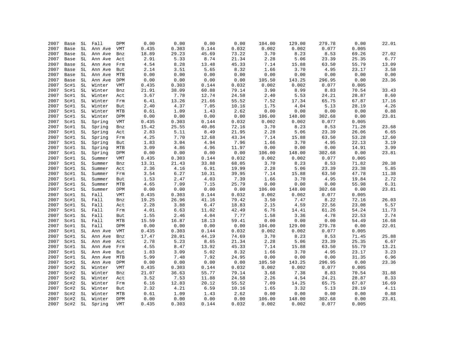| 2007 | Base | SL                  | Fall    | <b>DPM</b> | 0.00     | 0.00     | 0.00  | 0.00  | 104.00 | 129.00 | 279.78                 | 0.00  | 22.01 |
|------|------|---------------------|---------|------------|----------|----------|-------|-------|--------|--------|------------------------|-------|-------|
| 2007 | Base | $\operatorname{SL}$ | Ann Ave | VMT        | 0.435    | 0.303    | 0.144 | 0.032 | 0.002  | 0.002  | 0.077                  | 0.005 |       |
| 2007 | Base | SL                  | Ann Ave | Bnz        | 18.89    | 29.23    | 45.69 | 73.22 | 3.70   | 8.23   | 8.53                   | 69.26 | 27.02 |
| 2007 | Base | SL                  | Ann Ave | Act        | 2.91     | 5.33     | 8.74  | 21.34 | 2.28   | 5.06   | 23.39                  | 25.35 | 6.77  |
| 2007 | Base | SL                  | Ann Ave | Frm        | 4.54     | 8.28     | 13.48 | 45.33 | 7.14   | 15.88  | 63.50                  | 55.79 | 13.09 |
| 2007 | Base | SL                  | Ann Ave | But        | 2.14     | 3.51     | 5.65  | 8.32  | 1.66   | 3.70   | 4.95                   | 23.17 | 3.58  |
| 2007 | Base | SL                  | Ann Ave | MTB        | 0.00     | 0.00     | 0.00  | 0.00  | 0.00   | 0.00   | 0.00                   | 0.00  | 0.00  |
| 2007 | Base | SL                  | Ann Ave | DPM        | 0.00     | 0.00     | 0.00  | 0.00  | 105.50 | 143.25 | 296.95                 | 0.00  | 23.36 |
| 2007 | Sc#1 | SL                  | Winter  | VMT        | 0.435    | 0.303    | 0.144 | 0.032 | 0.002  | 0.002  | 0.077                  | 0.005 |       |
| 2007 | Sc#1 | SL                  | Winter  | Bnz        | 21.91    | 38.09    | 60.88 | 79.14 | 3.90   | 8.99   | 8.83                   | 70.54 | 33.43 |
| 2007 | Sc#1 | SL                  | Winter  | Act        | 3.67     | 7.78     | 12.74 | 24.58 | 2.40   | 5.53   | 24.21                  | 28.87 | 8.60  |
| 2007 | Sc#1 | SL                  | Winter  | Frm        | $6.41\,$ | 13.26    | 21.66 | 55.52 | 7.52   | 17.34  | 65.75                  | 67.87 | 17.16 |
| 2007 | Sc#1 | SL                  | Winter  | But        | 2.40     | 4.37     | 7.05  | 10.16 | 1.75   | 4.04   | 5.13                   | 28.19 | 4.26  |
| 2007 | Sc#1 | SL                  | Winter  | <b>MTB</b> | 0.61     | 1.09     | 1.43  | 2.62  | 0.00   | 0.00   | 0.00                   | 0.00  | 0.88  |
| 2007 | Sc#1 | SL                  | Winter  | DPM        | 0.00     | 0.00     | 0.00  | 0.00  | 106.00 | 148.00 | 302.68                 | 0.00  | 23.81 |
| 2007 | Sc#1 | SL                  | Spring  | VMT        | 0.435    | 0.303    | 0.144 | 0.032 | 0.002  | 0.002  | 0.077                  | 0.005 |       |
| 2007 | Sc#1 | SL                  | Spring  | Bnz        | 15.42    | 25.55    | 40.86 | 72.16 | 3.70   | 8.23   | 8.53                   | 71.28 | 23.68 |
| 2007 | Sc#1 | SL                  | Spring  | Act        | 2.83     | 5.11     | 8.49  | 21.95 | 2.28   | 5.06   | 23.39                  | 26.06 | 6.65  |
| 2007 | Sc#1 | SL                  | Spring  | Frm        | 4.25     | 7.70     | 12.68 | 43.34 | 7.14   | 15.88  | 63.50                  | 53.28 | 12.60 |
| 2007 | Sc#1 | SL                  | Spring  | But        | 1.83     | 3.04     | 4.94  | 7.96  | 1.66   | 3.70   | 4.95                   | 22.13 | 3.19  |
| 2007 | Sc#1 | $\operatorname{SL}$ | Spring  | <b>MTB</b> | 3.09     | 4.86     | 4.96  | 11.97 | 0.00   | 0.00   | 0.00                   | 14.91 | 3.99  |
| 2007 | Sc#1 | SL                  | Spring  | DPM        | 0.00     | 0.00     | 0.00  | 0.00  | 106.00 | 148.00 | 302.68                 | 0.00  | 23.81 |
| 2007 | Sc#1 | $\operatorname{SL}$ | Summer  | VMT        | 0.435    | 0.303    | 0.144 | 0.032 | 0.002  | 0.002  | 0.077                  | 0.005 |       |
| 2007 | Sc#1 | SL                  | Summer  | Bnz        | 13.31    | 21.43    | 33.88 | 68.05 | 3.70   | 8.23   | 8.53                   | 71.82 | 20.38 |
| 2007 | Sc#1 | SL                  | Summer  | Act        | 2.36     | 4.16     | 6.91  | 19.99 | 2.28   | 5.06   | 23.39                  | 23.38 | 5.85  |
| 2007 | Sc#1 | SL                  | Summer  | Frm        | 3.54     | 6.27     | 10.31 | 39.95 | 7.14   | 15.88  | 63.50                  | 47.78 | 11.38 |
| 2007 | Sc#1 | SL                  | Summer  | But        | 1.53     | 2.47     | 4.03  | 7.39  | 1.66   | 3.70   | 4.95                   | 19.84 | 2.72  |
| 2007 | Sc#1 | SL                  | Summer  | MTB        | 4.65     | 7.09     | 7.15  | 25.79 | 0.00   | 0.00   | ${\bf 0}$ . ${\bf 00}$ | 55.98 | 6.31  |
| 2007 | Sc#1 | SL                  | Summer  | DPM        | 0.00     | 0.00     | 0.00  | 0.00  | 106.00 | 148.00 | 302.68                 | 0.00  | 23.81 |
| 2007 | Sc#1 | SL                  | Fall    | <b>VMT</b> | 0.435    | 0.303    | 0.144 | 0.032 | 0.002  | 0.002  | 0.077                  | 0.005 |       |
| 2007 | Sc#1 | SL                  | Fall    | Bnz        | 19.25    | 26.96    | 41.16 | 79.42 | 3.50   | 7.47   | 8.22                   | 72.16 | 26.03 |
| 2007 | Sc#1 | SL                  | Fall    | Act        | 2.28     | 3.88     | 6.47  | 18.83 | 2.15   | 4.59   | 22.56                  | 23.08 | 5.57  |
| 2007 | Sc#1 | SL                  | Fall    | Frm        | 4.01     | 6.63     | 11.02 | 42.49 | 6.76   | 14.41  | 61.26                  | 54.24 | 11.73 |
| 2007 | Sc#1 | SL                  | Fall    | But        | 1.55     | 2.46     | 4.04  | 7.77  | 1.58   | 3.36   | 4.78                   | 22.53 | 2.74  |
| 2007 | Sc#1 | SL                  | Fall    | MTB        | 15.59    | 16.87    | 18.13 | 59.41 | 0.00   | 0.00   | 0.00                   | 54.49 | 16.68 |
| 2007 | Sc#1 | SL                  | Fall    | DPM        | 0.00     | 0.00     | 0.00  | 0.00  | 104.00 | 129.00 | 279.78                 | 0.00  | 22.01 |
| 2007 | Sc#1 | SL                  | Ann Ave | VMT        | 0.435    | 0.303    | 0.144 | 0.032 | 0.002  | 0.002  | 0.077                  | 0.005 |       |
| 2007 | Sc#1 | SL                  | Ann Ave | Bnz        | 17.47    | 28.01    | 44.19 | 74.69 | 3.70   | 8.23   | 8.53                   | 71.45 | 25.88 |
| 2007 | Sc#1 | SL                  | Ann Ave | Act        | 2.78     | 5.23     | 8.65  | 21.34 | 2.28   | 5.06   | 23.39                  | 25.35 | 6.67  |
| 2007 | Sc#1 | SL                  | Ann Ave | Frm        | 4.55     | $8\,.47$ | 13.92 | 45.33 | 7.14   | 15.88  | 63.50                  | 55.79 | 13.21 |
| 2007 | Sc#1 | SL                  | Ann Ave | But        | 1.83     | 3.09     | 5.02  | 8.32  | 1.66   | 3.70   | 4.95                   | 23.17 | 3.23  |
| 2007 | Sc#1 | SL                  | Ann Ave | MTB        | 5.99     | 7.48     | 7.92  | 24.95 | 0.00   | 0.00   | 0.00                   | 31.35 | 6.96  |
| 2007 | Sc#1 | SL                  | Ann Ave | DPM        | 0.00     | 0.00     | 0.00  | 0.00  | 105.50 | 143.25 | 296.95                 | 0.00  | 23.36 |
| 2007 | Sc#2 | SL                  | Winter  | VMT        | 0.435    | 0.303    | 0.144 | 0.032 | 0.002  | 0.002  | 0.077                  | 0.005 |       |
| 2007 | Sc#2 | SL                  | Winter  | Bnz        | 21.07    | 36.63    | 55.77 | 79.14 | 3.68   | 7.38   | 8.83                   | 70.54 | 31.88 |
| 2007 | Sc#2 | SL                  | Winter  | Act        | 3.52     | 7.53     | 11.88 | 24.58 | 2.26   | 4.54   | 24.21                  | 28.87 | 8.33  |
| 2007 | Sc#2 | SL                  | Winter  | Frm        | 6.16     | 12.83    | 20.12 | 55.52 | 7.09   | 14.25  | 65.75                  | 67.87 | 16.69 |
| 2007 | Sc#2 | SL                  | Winter  | But        | 2.32     | 4.21     | 6.59  | 10.16 | 1.65   | 3.32   | 5.13                   | 28.19 | 4.11  |
| 2007 | Sc#2 | SL                  | Winter  | MTB        | 0.61     | 1.09     | 1.43  | 2.62  | 0.00   | 0.00   | 0.00                   | 0.00  | 0.88  |
| 2007 | Sc#2 | $\operatorname{SL}$ | Winter  | DPM        | 0.00     | 0.00     | 0.00  | 0.00  | 106.00 | 148.00 | 302.68                 | 0.00  | 23.81 |
| 2007 | Sc#2 | SL                  | Spring  | <b>VMT</b> | 0.435    | 0.303    | 0.144 | 0.032 | 0.002  | 0.002  | 0.077                  | 0.005 |       |
|      |      |                     |         |            |          |          |       |       |        |        |                        |       |       |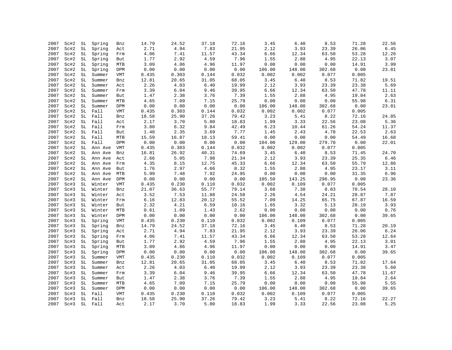| 2007 | Sc#2 | SL                  | Spring  | Bnz        | 14.79    | 24.52 | 37.18 | 72.16 | 3.45   | 6.40   | 8.53   | 71.28 | 22.56            |
|------|------|---------------------|---------|------------|----------|-------|-------|-------|--------|--------|--------|-------|------------------|
| 2007 | Sc#2 | SL                  | Spring  | Act        | 2.71     | 4.94  | 7.83  | 21.95 | 2.12   | 3.93   | 23.39  | 26.06 | 6.45             |
| 2007 | Sc#2 | $\operatorname{SL}$ | Spring  | Frm        | 4.06     | 7.41  | 11.57 | 43.34 | 6.66   | 12.34  | 63.50  | 53.28 | 12.26            |
| 2007 | Sc#2 | SL                  | Spring  | But        | 1.77     | 2.92  | 4.59  | 7.96  | 1.55   | 2.88   | 4.95   | 22.13 | 3.07             |
| 2007 | Sc#2 | SL                  | Spring  | <b>MTB</b> | 3.09     | 4.86  | 4.96  | 11.97 | 0.00   | 0.00   | 0.00   | 14.91 | 3.99             |
| 2007 | Sc#2 | $\operatorname{SL}$ | Spring  | DPM        | 0.00     | 0.00  | 0.00  | 0.00  | 106.00 | 148.00 | 302.68 | 0.00  | 23.81            |
| 2007 | Sc#2 | SL                  | Summer  | <b>VMT</b> | 0.435    | 0.303 | 0.144 | 0.032 | 0.002  | 0.002  | 0.077  | 0.005 |                  |
| 2007 | Sc#2 | SL                  | Summer  | Bnz        | 12.81    | 20.65 | 31.05 | 68.05 | 3.45   | 6.40   | 8.53   | 71.82 | 19.51            |
| 2007 | Sc#2 | SL                  | Summer  | Act        | 2.26     | 4.03  | 6.40  | 19.99 | 2.12   | 3.93   | 23.39  | 23.38 | 5.69             |
| 2007 | Sc#2 | SL                  | Summer  | Frm        | 3.39     | 6.04  | 9.46  | 39.95 | 6.66   | 12.34  | 63.50  | 47.78 | 11.11            |
| 2007 | Sc#2 | SL                  | Summer  | But        | 1.47     | 2.38  | 3.76  | 7.39  | 1.55   | 2.88   | 4.95   | 19.84 | 2.63             |
| 2007 | Sc#2 | SL                  | Summer  | <b>MTB</b> | 4.65     | 7.09  | 7.15  | 25.79 | 0.00   | 0.00   | 0.00   | 55.98 | 6.31             |
| 2007 | Sc#2 | SL                  | Summer  | DPM        | 0.00     | 0.00  | 0.00  | 0.00  | 106.00 | 148.00 | 302.68 | 0.00  | 23.81            |
| 2007 | Sc#2 | SL                  | Fall    | <b>VMT</b> | 0.435    | 0.303 | 0.144 | 0.032 | 0.002  | 0.002  | 0.077  | 0.005 |                  |
| 2007 | Sc#2 | SL                  | Fall    | Bnz        | 18.58    | 25.90 | 37.26 | 79.42 | 3.23   | 5.41   | 8.22   | 72.16 | 24.85            |
| 2007 | Sc#2 | SL                  | Fall    | Act        | 2.17     | 3.70  | 5.80  | 18.83 | 1.99   | 3.33   | 22.56  | 23.08 | 5.36             |
| 2007 | Sc#2 | SL                  | Fall    | Frm        | 3.80     | 6.32  | 9.84  | 42.49 | 6.23   | 10.44  | 61.26  | 54.24 | 11.37            |
| 2007 | Sc#2 | SL                  | Fall    | But        | 1.48     | 2.35  | 3.69  | 7.77  | 1.45   | 2.43   | 4.78   | 22.53 | 2.63             |
| 2007 | Sc#2 | SL                  | Fall    | MTB        | 15.59    | 16.87 | 18.13 | 59.41 | 0.00   | 0.00   | 0.00   | 54.49 | 16.68            |
| 2007 | Sc#2 | SL                  | Fall    | DPM        | 0.00     | 0.00  | 0.00  | 0.00  | 104.00 | 129.00 | 279.78 | 0.00  | 22.01            |
| 2007 | Sc#2 | SL                  |         |            | 0.435    | 0.303 | 0.144 | 0.032 | 0.002  | 0.002  | 0.077  | 0.005 |                  |
|      |      |                     | Ann Ave | VMT        |          |       |       |       |        |        |        |       |                  |
| 2007 | Sc#2 | SL                  | Ann Ave | Bnz        | 16.81    | 26.92 | 40.31 | 74.69 | 3.45   | 6.40   | 8.53   | 71.45 | 24.70            |
| 2007 | Sc#2 | SL                  | Ann Ave | Act        | 2.66     | 5.05  | 7.98  | 21.34 | 2.12   | 3.93   | 23.39  | 25.35 | $\,$ 6 . 46 $\,$ |
| 2007 | Sc#2 | SL                  | Ann Ave | Frm        | 4.35     | 8.15  | 12.75 | 45.33 | 6.66   | 12.34  | 63.50  | 55.79 | 12.86            |
| 2007 | Sc#2 | SL                  | Ann Ave | But        | 1.76     | 2.97  | 4.66  | 8.32  | 1.55   | 2.88   | 4.95   | 23.17 | 3.11             |
| 2007 | Sc#2 | SL                  | Ann Ave | MTB        | 5.99     | 7.48  | 7.92  | 24.95 | 0.00   | 0.00   | 0.00   | 31.35 | 6.96             |
| 2007 | Sc#2 | SL                  | Ann Ave | DPM        | 0.00     | 0.00  | 0.00  | 0.00  | 105.50 | 143.25 | 296.95 | 0.00  | 23.36            |
| 2007 | Sc#3 | SL                  | Winter  | VMT        | 0.435    | 0.230 | 0.110 | 0.032 | 0.002  | 0.109  | 0.077  | 0.005 |                  |
| 2007 | Sc#3 | SL                  | Winter  | Bnz        | 21.07    | 36.63 | 55.77 | 79.14 | 3.68   | 7.38   | 8.83   | 70.54 | 28.10            |
| 2007 | Sc#3 | $\operatorname{SL}$ | Winter  | Act        | 3.52     | 7.53  | 11.88 | 24.58 | 2.26   | 4.54   | 24.21  | 28.87 | 7.87             |
| 2007 | Sc#3 | SL                  | Winter  | Frm        | $6.16\,$ | 12.83 | 20.12 | 55.52 | 7.09   | 14.25  | 65.75  | 67.87 | 16.59            |
| 2007 | Sc#3 | SL                  | Winter  | But        | 2.32     | 4.21  | 6.59  | 10.16 | 1.65   | 3.32   | 5.13   | 28.19 | 3.93             |
| 2007 | Sc#3 | SL                  | Winter  | MTB        | 0.61     | 1.09  | 1.43  | 2.62  | 0.00   | 0.00   | 0.00   | 0.00  | 0.76             |
| 2007 | Sc#3 | SL                  | Winter  | DPM        | 0.00     | 0.00  | 0.00  | 0.00  | 106.00 | 148.00 | 302.68 | 0.00  | 39.65            |
| 2007 | Sc#3 | SL                  | Spring  | VMT        | 0.435    | 0.230 | 0.110 | 0.032 | 0.002  | 0.109  | 0.077  | 0.005 |                  |
| 2007 | Sc#3 | SL                  | Spring  | Bnz        | 14.79    | 24.52 | 37.18 | 72.16 | 3.45   | 6.40   | 8.53   | 71.28 | 20.19            |
| 2007 | Sc#3 | SL                  | Spring  | Act        | 2.71     | 4.94  | 7.83  | 21.95 | 2.12   | 3.93   | 23.39  | 26.06 | 6.24             |
| 2007 | Sc#3 | SL                  | Spring  | Frm        | 4.06     | 7.41  | 11.57 | 43.34 | 6.66   | 12.34  | 63.50  | 53.28 | 12.64            |
| 2007 | Sc#3 | SL                  | Spring  | But        | 1.77     | 2.92  | 4.59  | 7.96  | 1.55   | 2.88   | 4.95   | 22.13 | 3.01             |
| 2007 | Sc#3 | SL                  | Spring  | MTB        | 3.09     | 4.86  | 4.96  | 11.97 | 0.00   | 0.00   | 0.00   | 14.91 | 3.47             |
| 2007 | Sc#3 | SL                  | Spring  | DPM        | 0.00     | 0.00  | 0.00  | 0.00  | 106.00 | 148.00 | 302.68 | 0.00  | 39.65            |
| 2007 | Sc#3 | SL                  | Summer  | VMT        | 0.435    | 0.230 | 0.110 | 0.032 | 0.002  | 0.109  | 0.077  | 0.005 |                  |
| 2007 | Sc#3 | SL                  | Summer  | Bnz        | 12.81    | 20.65 | 31.05 | 68.05 | 3.45   | 6.40   | 8.53   | 71.82 | 17.64            |
| 2007 | Sc#3 | SL                  | Summer  | Act        | 2.26     | 4.03  | 6.40  | 19.99 | 2.12   | 3.93   | 23.39  | 23.38 | 5.60             |
| 2007 | Sc#3 | SL                  | Summer  | Frm        | 3.39     | 6.04  | 9.46  | 39.95 | 6.66   | 12.34  | 63.50  | 47.78 | 11.67            |
| 2007 | Sc#3 | SL                  | Summer  | But        | 1.47     | 2.38  | 3.76  | 7.39  | 1.55   | 2.88   | 4.95   | 19.84 | 2.64             |
| 2007 | Sc#3 | SL                  | Summer  | MTB        | 4.65     | 7.09  | 7.15  | 25.79 | 0.00   | 0.00   | 0.00   | 55.98 | 5.55             |
| 2007 | Sc#3 | SL                  | Summer  | DPM        | 0.00     | 0.00  | 0.00  | 0.00  | 106.00 | 148.00 | 302.68 | 0.00  | 39.65            |
| 2007 | Sc#3 | SL                  | Fall    | VMT        | 0.435    | 0.230 | 0.110 | 0.032 | 0.002  | 0.109  | 0.077  | 0.005 |                  |
| 2007 | Sc#3 | SL                  | Fall    | Bnz        | 18.58    | 25.90 | 37.26 | 79.42 | 3.23   | 5.41   | 8.22   | 72.16 | 22.27            |
| 2007 | Sc#3 | SL                  | Fall    | Act        | 2.17     | 3.70  | 5.80  | 18.83 | 1.99   | 3.33   | 22.56  | 23.08 | 5.25             |
|      |      |                     |         |            |          |       |       |       |        |        |        |       |                  |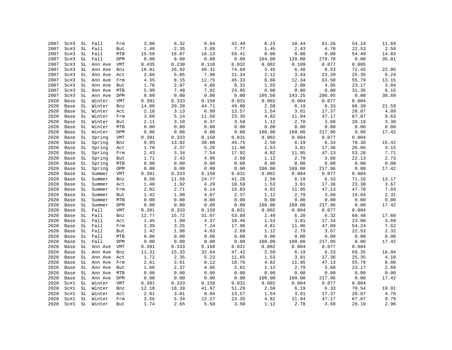| 2007 | Sc#3 | SL | Fall    | Frm                       | 3.80  | 6.32  | 9.84  | 42.49 | 6.23                            | 10.44  | 61.26                  | 54.24 | 11.69 |
|------|------|----|---------|---------------------------|-------|-------|-------|-------|---------------------------------|--------|------------------------|-------|-------|
| 2007 | Sc#3 | SL | Fall    | But                       | 1.48  | 2.35  | 3.69  | 7.77  | 1.45                            | 2.43   | 4.78                   | 22.53 | 2.59  |
| 2007 | Sc#3 | SL | Fall    | MTB                       | 15.59 | 16.87 | 18.13 | 59.41 | 0.00                            | 0.00   | 0.00                   | 54.49 | 14.83 |
| 2007 | Sc#3 | SL | Fall    | DPM                       | 0.00  | 0.00  | 0.00  | 0.00  | 104.00                          | 129.00 | 279.78                 | 0.00  | 35.81 |
| 2007 | Sc#3 | SL | Ann Ave | VMT                       | 0.435 | 0.230 | 0.110 | 0.032 | 0.002                           | 0.109  | 0.077                  | 0.005 |       |
| 2007 | Sc#3 | SL | Ann Ave | Bnz                       | 16.81 | 26.92 | 40.31 | 74.69 | 3.45                            | 6.40   | 8.53                   | 71.45 | 22.05 |
| 2007 | Sc#3 | SL | Ann Ave | Act                       | 2.66  | 5.05  | 7.98  | 21.34 | 2.12                            | 3.93   | 23.39                  | 25.35 | 6.24  |
| 2007 | Sc#3 | SL | Ann Ave | Frm                       | 4.35  | 8.15  | 12.75 | 45.33 | 6.66                            | 12.34  | 63.50                  | 55.79 | 13.15 |
| 2007 | Sc#3 | SL | Ann Ave | But                       | 1.76  | 2.97  | 4.66  | 8.32  | 1.55                            | 2.88   | 4.95                   | 23.17 | 3.04  |
| 2007 | Sc#3 | SL | Ann Ave | MTB                       | 5.99  | 7.48  | 7.92  | 24.95 | ${\bf 0}$ . ${\bf 0}$ ${\bf 0}$ | 0.00   | ${\bf 0}$ . ${\bf 00}$ | 31.35 | 6.15  |
| 2007 | Sc#3 | SL | Ann Ave | DPM                       | 0.00  | 0.00  | 0.00  | 0.00  | 105.50                          | 143.25 | 296.95                 | 0.00  | 38.69 |
| 2020 | Base | SL | Winter  | <b>VMT</b>                | 0.391 | 0.333 | 0.158 | 0.031 | 0.002                           | 0.004  | 0.077                  | 0.004 |       |
| 2020 | Base | SL | Winter  | Bnz                       | 14.00 | 20.20 | 44.71 | 49.80 | 2.50                            | 6.19   | 6.33                   | 66.39 | 21.59 |
| 2020 | Base | SL | Winter  | Act                       | 2.18  | 3.13  | 6.99  | 13.57 | 1.54                            | 3.81   | 17.37                  | 28.87 | 4.89  |
| 2020 | Base | SL | Winter  | Frm                       | 3.60  | 5.14  | 11.56 | 23.35 | 4.82                            | 11.94  | 47.17                  | 67.87 | 9.63  |
| 2020 | Base | SL | Winter  | But                       | 2.11  | 3.10  | 6.37  | 3.50  | 1.12                            | 2.78   | 3.68                   | 28.19 | 3.38  |
| 2020 | Base | SL | Winter  | MTB                       | 0.00  | 0.00  | 0.00  | 0.00  | 0.00                            | 0.00   | 0.00                   | 0.00  | 0.00  |
| 2020 | Base | SL | Winter  | DPM                       | 0.00  | 0.00  | 0.00  | 0.00  | 100.00                          | 109.00 | 217.96                 | 0.00  | 17.42 |
| 2020 | Base | SL | Spring  | VMT                       | 0.391 | 0.333 | 0.158 | 0.031 | 0.002                           | 0.004  | 0.077                  | 0.004 |       |
| 2020 | Base | SL | Spring  | Bnz                       | 9.95  | 13.82 | 30.00 | 44.75 | 2.50                            | 6.19   | 6.33                   | 70.38 | 15.42 |
| 2020 | Base | SL | Spring  | Act                       | 1.78  | 2.37  | 5.26  | 11.98 | 1.53                            | 3.81   | 17.36                  | 26.06 | 4.15  |
| 2020 | Base | SL | Spring  | Frm                       | 2.43  | 3.34  | 7.54  | 17.92 | 4.82                            | 11.95  | 47.13                  | 53.28 | 7.71  |
| 2020 | Base | SL | Spring  | But                       | 1.71  | 2.43  | 4.96  | 2.68  | 1.12                            | 2.79   | 3.68                   | 22.13 | 2.73  |
| 2020 | Base | SL | Spring  | <b>MTB</b>                | 0.00  | 0.00  | 0.00  | 0.00  | 0.00                            | 0.00   | 0.00                   | 0.00  | 0.00  |
| 2020 | Base | SL | Spring  | DPM                       | 0.00  | 0.00  | 0.00  | 0.00  | 100.00                          | 109.00 | 217.96                 | 0.00  | 17.42 |
| 2020 | Base | SL | Summer  | $\ensuremath{\text{VMT}}$ | 0.391 | 0.333 | 0.158 | 0.031 | 0.002                           | 0.004  | 0.077                  | 0.004 |       |
| 2020 | Base | SL | Summer  | Bnz                       | 8.50  | 11.56 | 24.77 | 41.26 | 2.50                            | 6.19   | 6.33                   | 71.16 | 13.17 |
| 2020 | Base | SL | Summer  | Act                       | 1.48  | 1.92  | 4.29  | 10.59 | 1.53                            | 3.81   | 17.36                  | 23.38 | 3.67  |
| 2020 | Base | SL | Summer  |                           | 2.02  | 2.71  | 6.14  | 15.83 | 4.82                            | 11.95  | 47.13                  | 47.78 | 7.03  |
| 2020 |      | SL |         | Frm                       | 1.42  | 1.98  | 4.07  | 2.37  | 1.12                            | 2.79   | 3.68                   | 19.84 | 2.31  |
|      | Base |    | Summer  | But                       |       |       |       |       |                                 |        |                        |       |       |
| 2020 | Base | SL | Summer  | MTB                       | 0.00  | 0.00  | 0.00  | 0.00  | 0.00                            | 0.00   | ${\bf 0}$ . ${\bf 00}$ | 0.00  | 0.00  |
| 2020 | Base | SL | Summer  | DPM                       | 0.00  | 0.00  | 0.00  | 0.00  | 100.00                          | 109.00 | 217.96                 | 0.00  | 17.42 |
| 2020 | Base | SL | Fall    | VMT                       | 0.391 | 0.333 | 0.158 | 0.031 | 0.002                           | 0.004  | 0.077                  | 0.004 |       |
| 2020 | Base | SL | Fall    | Bnz                       | 12.77 | 15.72 | 31.07 | 53.88 | 2.49                            | 6.20   | 6.32                   | 69.48 | 17.60 |
| 2020 | Base | SL | Fall    | Act                       | 1.45  | 1.99  | 4.37  | 10.46 | 1.53                            | 3.81   | 17.34                  | 23.08 | 3.69  |
| 2020 | Base | SL | Fall    | Frm                       | 2.39  | 3.25  | 7.24  | 17.96 | 4.81                            | 11.96  | 47.09                  | 54.24 | 7.62  |
| 2020 | Base | SL | Fall    | But                       | 1.42  | 1.98  | 4.03  | 2.69  | 1.12                            | 2.79   | 3.67                   | 22.53 | 2.32  |
| 2020 | Base | SL | Fall    | MTB                       | 0.00  | 0.00  | 0.00  | 0.00  | 0.00                            | 0.00   | 0.00                   | 0.00  | 0.00  |
| 2020 | Base | SL | Fall    | DPM                       | 0.00  | 0.00  | 0.00  | 0.00  | 100.00                          | 109.00 | 217.96                 | 0.00  | 17.42 |
| 2020 | Base | SL | Ann Ave | VMT                       | 0.391 | 0.333 | 0.158 | 0.031 | 0.002                           | 0.004  | 0.077                  | 0.004 |       |
| 2020 | Base | SL | Ann Ave | Bnz                       | 11.31 | 15.33 | 32.64 | 47.42 | 2.50                            | 6.19   | 6.33                   | 69.35 | 16.94 |
| 2020 | Base | SL | Ann Ave | Act                       | 1.72  | 2.35  | 5.23  | 11.65 | 1.53                            | 3.81   | 17.36                  | 25.35 | 4.10  |
| 2020 | Base | SL | Ann Ave | Frm                       | 2.61  | 3.61  | 8.12  | 18.76 | 4.82                            | 11.95  | 47.13                  | 55.79 | 8.00  |
| 2020 | Base | SL | Ann Ave | But                       | 1.66  | 2.37  | 4.86  | 2.81  | 1.12                            | 2.79   | 3.68                   | 23.17 | 2.68  |
| 2020 | Base | SL | Ann Ave | MTB                       | 0.00  | 0.00  | 0.00  | 0.00  | 0.00                            | 0.00   | 0.00                   | 0.00  | 0.00  |
| 2020 | Base | SL | Ann Ave | DPM                       | 0.00  | 0.00  | 0.00  | 0.00  | 100.00                          | 109.00 | 217.96                 | 0.00  | 17.42 |
| 2020 | Sc#1 | SL | Winter  | VMT                       | 0.391 | 0.333 | 0.158 | 0.031 | 0.002                           | 0.004  | 0.077                  | 0.004 |       |
| 2020 | Sc#1 | SL | Winter  | Bnz                       | 12.18 | 18.39 | 41.97 | 51.29 | 2.50                            | 6.19   | 6.33                   | 70.54 | 19.91 |
| 2020 | Sc#1 | SL | Winter  | Act                       | 2.01  | 3.01  | 6.94  | 13.57 | 1.54                            | 3.81   | 17.37                  | 28.87 | 4.78  |
| 2020 | Sc#1 | SL | Winter  | Frm                       | 3.56  | 5.34  | 12.27 | 23.35 | 4.82                            | 11.94  | 47.17                  | 67.87 | 9.79  |
| 2020 | Sc#1 | SL | Winter  | But                       | 1.74  | 2.65  | 5.58  | 3.50  | 1.12                            | 2.78   | 3.68                   | 28.19 | 2.96  |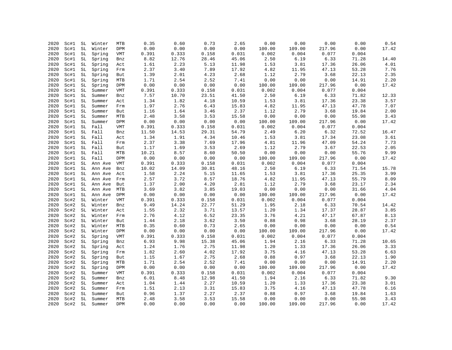| 2020 | Sc#1 | SL                  | Winter  | MTB        | 0.35  | 0.60     | 0.73  | 2.65  | 0.00   | 0.00            | 0.00                   | 0.00  | 0.54  |
|------|------|---------------------|---------|------------|-------|----------|-------|-------|--------|-----------------|------------------------|-------|-------|
| 2020 | Sc#1 | SL                  | Winter  | DPM        | 0.00  | 0.00     | 0.00  | 0.00  | 100.00 | 109.00          | 217.96                 | 0.00  | 17.42 |
|      |      |                     |         |            |       |          |       |       |        |                 |                        |       |       |
| 2020 | Sc#1 | $\operatorname{SL}$ | Spring  | VMT        | 0.391 | 0.333    | 0.158 | 0.031 | 0.002  | 0.004           | 0.077                  | 0.004 |       |
| 2020 | Sc#1 | SL                  | Spring  | Bnz        | 8.82  | 12.76    | 28.46 | 45.06 | 2.50   | 6.19            | 6.33                   | 71.28 | 14.40 |
| 2020 | Sc#1 | SL                  | Spring  | Act        | 1.61  | 2.23     | 5.13  | 11.98 | 1.53   | 3.81            | 17.36                  | 26.06 | 4.01  |
| 2020 | Sc#1 | $\operatorname{SL}$ | Spring  | Frm        | 2.37  | 3.40     | 7.89  | 17.92 | 4.82   | 11.95           | 47.13                  | 53.28 | 7.76  |
| 2020 | Sc#1 | SL                  | Spring  | But        | 1.39  | 2.01     | 4.23  | 2.68  | 1.12   | 2.79            | 3.68                   | 22.13 | 2.35  |
| 2020 | Sc#1 | SL                  | Spring  | MTB        | 1.71  | 2.54     | 2.52  | 7.41  | 0.00   | 0.00            | 0.00                   | 14.91 | 2.20  |
| 2020 | Sc#1 | SL                  | Spring  | DPM        | 0.00  | 0.00     | 0.00  | 0.00  | 100.00 | 109.00          | 217.96                 | 0.00  | 17.42 |
| 2020 | Sc#1 | SL                  | Summer  | VMT        | 0.391 | 0.333    | 0.158 | 0.031 | 0.002  | 0.004           | 0.077                  | 0.004 |       |
| 2020 | Sc#1 | SL                  | Summer  | Bnz        | 7.57  | 10.70    | 23.51 | 41.50 | 2.50   | 6.19            | 6.33                   | 71.82 | 12.33 |
| 2020 | Sc#1 | SL                  | Summer  | Act        | 1.34  | 1.82     | 4.18  | 10.59 | 1.53   | 3.81            | 17.36                  | 23.38 | 3.57  |
| 2020 | Sc#1 | SL                  | Summer  | Frm        | 1.97  | 2.76     | 6.43  | 15.83 | 4.82   | 11.95           | 47.13                  | 47.78 | 7.07  |
| 2020 | Sc#1 | SL                  | Summer  | But        | 1.16  | 1.64     | 3.46  | 2.37  | 1.12   | 2.79            | 3.68                   | 19.84 | 2.00  |
| 2020 | Sc#1 | SL                  | Summer  | MTB        | 2.48  | 3.58     | 3.53  | 15.58 | 0.00   | 0.00            | 0.00                   | 55.98 | 3.43  |
| 2020 | Sc#1 | SL                  | Summer  | DPM        | 0.00  | 0.00     | 0.00  | 0.00  | 100.00 | 109.00          | 217.96                 | 0.00  | 17.42 |
| 2020 | Sc#1 | SL                  | Fall    | VMT        | 0.391 | 0.333    | 0.158 | 0.031 | 0.002  | 0.004           | 0.077                  | 0.004 |       |
| 2020 | Sc#1 | SL                  | Fall    | Bnz        | 11.50 | 14.53    | 29.31 | 54.79 | 2.49   | 6.20            | 6.32                   | 72.52 | 16.47 |
| 2020 | Sc#1 | SL                  | Fall    | Act        | 1.34  | 1.91     | 4.34  | 10.46 | 1.53   | 3.81            | 17.34                  | 23.08 | 3.61  |
| 2020 | Sc#1 | SL                  | Fall    | Frm        | 2.37  | 3.38     | 7.69  | 17.96 | 4.81   | 11.96           | 47.09                  | 54.24 | 7.73  |
| 2020 | Sc#1 | SL                  | Fall    | But        | 1.17  | 1.69     | 3.53  | 2.69  | 1.12   | 2.79            | 3.67                   | 22.53 | 2.05  |
| 2020 | Sc#1 | $\operatorname{SL}$ | Fall    | MTB        | 10.21 | 8.57     | 8.60  | 50.50 | 0.00   | 0.00            | ${\bf 0}$ . ${\bf 00}$ | 55.76 | 9.99  |
| 2020 |      | SL                  | Fall    | DPM        | 0.00  | 0.00     | 0.00  | 0.00  | 100.00 |                 | 217.96                 | 0.00  | 17.42 |
| 2020 | Sc#1 | SL                  |         |            |       |          |       | 0.031 | 0.002  | 109.00<br>0.004 | 0.077                  | 0.004 |       |
|      | Sc#1 |                     | Ann Ave | VMT        | 0.391 | 0.333    | 0.158 |       |        |                 |                        |       |       |
| 2020 | Sc#1 | SL                  | Ann Ave | Bnz        | 10.02 | 14.09    | 30.81 | 48.16 | 2.50   | 6.19            | 6.33                   | 71.54 | 15.78 |
| 2020 | Sc#1 | SL                  | Ann Ave | Act        | 1.58  | 2.24     | 5.15  | 11.65 | 1.53   | 3.81            | 17.36                  | 25.35 | 3.99  |
| 2020 | Sc#1 | SL                  | Ann Ave | Frm        | 2.57  | 3.72     | 8.57  | 18.76 | 4.82   | 11.95           | 47.13                  | 55.79 | 8.09  |
| 2020 | Sc#1 | SL                  | Ann Ave | But        | 1.37  | 2.00     | 4.20  | 2.81  | 1.12   | 2.79            | 3.68                   | 23.17 | 2.34  |
| 2020 | Sc#1 | SL                  | Ann Ave | MTB        | 3.69  | 3.82     | 3.85  | 19.03 | 0.00   | 0.00            | ${\bf 0}$ . ${\bf 00}$ | 31.66 | 4.04  |
| 2020 | Sc#1 | SL                  | Ann Ave | DPM        | 0.00  | 0.00     | 0.00  | 0.00  | 100.00 | 109.00          | 217.96                 | 0.00  | 17.42 |
| 2020 | Sc#2 | SL                  | Winter  | VMT        | 0.391 | 0.333    | 0.158 | 0.031 | 0.002  | 0.004           | 0.077                  | 0.004 |       |
| 2020 | Sc#2 | SL                  | Winter  | Bnz        | 9.49  | 14.24    | 22.77 | 51.29 | 1.95   | 2.18            | 6.33                   | 70.54 | 14.42 |
| 2020 | Sc#2 | SL                  | Winter  | Act        | 1.55  | 2.32     | 3.71  | 13.57 | 1.20   | 1.34            | 17.37                  | 28.87 | 3.85  |
| 2020 | Sc#2 | SL                  | Winter  | Frm        | 2.76  | 4.12     | 6.52  | 23.35 | 3.76   | 4.21            | 47.17                  | 67.87 | 8.13  |
| 2020 | Sc#2 | SL                  | Winter  | But        | 1.44  | 2.18     | 3.62  | 3.50  | 0.88   | 0.98            | 3.68                   | 28.19 | 2.37  |
| 2020 | Sc#2 | SL                  | Winter  | MTB        | 0.35  | 0.60     | 0.73  | 2.65  | 0.00   | 0.00            | 0.00                   | 0.00  | 0.54  |
| 2020 | Sc#2 | SL                  | Winter  | DPM        | 0.00  | 0.00     | 0.00  | 0.00  | 100.00 | 109.00          | 217.96                 | 0.00  | 17.42 |
| 2020 | Sc#2 | SL                  | Spring  | VMT        | 0.391 | 0.333    | 0.158 | 0.031 | 0.002  | 0.004           | 0.077                  | 0.004 |       |
| 2020 | Sc#2 | SL                  | Spring  | Bnz        | 6.93  | 9.98     | 15.38 | 45.06 | 1.94   | 2.16            | 6.33                   | 71.28 | 10.65 |
| 2020 | Sc#2 | SL                  | Spring  | Act        | 1.24  | 1.76     | 2.75  | 11.98 | 1.20   | 1.33            | 17.36                  | 26.06 | 3.33  |
| 2020 | Sc#2 | SL                  | Spring  | Frm        | 1.82  | 2.60     | 4.02  | 17.92 | 3.75   | 4.16            | 47.13                  | 53.28 | 6.63  |
| 2020 | Sc#2 | SL                  | Spring  | But        | 1.15  | 1.67     | 2.75  | 2.68  | 0.88   | 0.97            | 3.68                   | 22.13 | 1.90  |
| 2020 | Sc#2 | $\operatorname{SL}$ | Spring  | MTB        | 1.71  | 2.54     | 2.52  | 7.41  | 0.00   | 0.00            | 0.00                   | 14.91 | 2.20  |
| 2020 | Sc#2 | SL                  | Spring  | DPM        | 0.00  | 0.00     | 0.00  | 0.00  | 100.00 | 109.00          | 217.96                 | 0.00  | 17.42 |
| 2020 | Sc#2 | SL                  | Summer  | VMT        | 0.391 | 0.333    | 0.158 | 0.031 | 0.002  | 0.004           | 0.077                  | 0.004 |       |
|      |      |                     |         |            |       |          |       |       |        | 2.16            |                        | 71.82 |       |
| 2020 | Sc#2 | SL                  | Summer  | Bnz        | 6.01  | $8.48\,$ | 12.98 | 41.50 | 1.94   |                 | 6.33                   |       | 9.30  |
| 2020 | Sc#2 | SL                  | Summer  | Act        | 1.04  | 1.44     | 2.27  | 10.59 | 1.20   | 1.33            | 17.36                  | 23.38 | 3.01  |
| 2020 | Sc#2 | SL                  | Summer  | Frm        | 1.51  | 2.13     | 3.31  | 15.83 | 3.75   | 4.16            | 47.13                  | 47.78 | 6.16  |
| 2020 | Sc#2 | SL                  | Summer  | But        | 0.96  | 1.37     | 2.27  | 2.37  | 0.88   | 0.97            | 3.68                   | 19.84 | 1.63  |
| 2020 | Sc#2 | SL                  | Summer  | MTB        | 2.48  | 3.58     | 3.53  | 15.58 | 0.00   | 0.00            | 0.00                   | 55.98 | 3.43  |
| 2020 | Sc#2 | SL                  | Summer  | <b>DPM</b> | 0.00  | 0.00     | 0.00  | 0.00  | 100.00 | 109.00          | 217.96                 | 0.00  | 17.42 |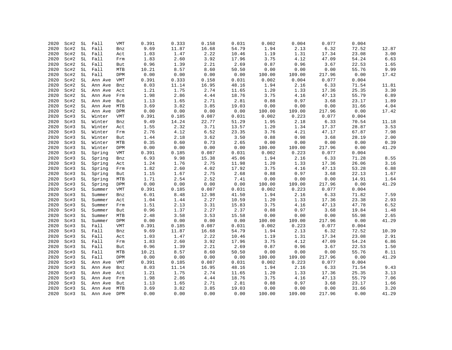| 2020 | Sc#2 | SL | Fall                      | VMT | 0.391 | 0.333 | 0.158 | 0.031 | 0.002  | 0.004  | 0.077  | 0.004 |       |
|------|------|----|---------------------------|-----|-------|-------|-------|-------|--------|--------|--------|-------|-------|
| 2020 | Sc#2 | SL | Fall                      | Bnz | 9.69  | 11.87 | 16.68 | 54.79 | 1.94   | 2.13   | 6.32   | 72.52 | 12.87 |
| 2020 | Sc#2 | SL | Fall                      | Act | 1.03  | 1.47  | 2.22  | 10.46 | 1.19   | 1.31   | 17.34  | 23.08 | 3.00  |
| 2020 | Sc#2 | SL | Fall                      | Frm | 1.83  | 2.60  | 3.92  | 17.96 | 3.75   | 4.12   | 47.09  | 54.24 | 6.63  |
| 2020 | Sc#2 | SL | Fall                      | But | 0.96  | 1.39  | 2.21  | 2.69  | 0.87   | 0.96   | 3.67   | 22.53 | 1.65  |
| 2020 | Sc#2 | SL | Fall                      | MTB | 10.21 | 8.57  | 8.60  | 50.50 | 0.00   | 0.00   | 0.00   | 55.76 | 9.99  |
| 2020 | Sc#2 | SL | Fall                      | DPM | 0.00  | 0.00  | 0.00  | 0.00  | 100.00 | 109.00 | 217.96 | 0.00  | 17.42 |
| 2020 | Sc#2 | SL | Ann Ave                   | VMT | 0.391 | 0.333 | 0.158 | 0.031 | 0.002  | 0.004  | 0.077  | 0.004 |       |
| 2020 | Sc#2 | SL | Ann Ave                   | Bnz | 8.03  | 11.14 | 16.95 | 48.16 | 1.94   | 2.16   | 6.33   | 71.54 | 11.81 |
| 2020 | Sc#2 | SL | Ann Ave                   | Act | 1.21  | 1.75  | 2.74  | 11.65 | 1.20   | 1.33   | 17.36  | 25.35 | 3.30  |
| 2020 | Sc#2 | SL | Ann Ave                   | Frm | 1.98  | 2.86  | 4.44  | 18.76 | 3.75   | 4.16   | 47.13  | 55.79 | 6.89  |
| 2020 | Sc#2 | SL | Ann Ave                   | But | 1.13  | 1.65  | 2.71  | 2.81  | 0.88   | 0.97   | 3.68   | 23.17 | 1.89  |
| 2020 | Sc#2 | SL | Ann Ave                   | MTB | 3.69  | 3.82  | 3.85  | 19.03 | 0.00   | 0.00   | 0.00   | 31.66 | 4.04  |
| 2020 | Sc#2 | SL | Ann Ave                   | DPM | 0.00  | 0.00  | 0.00  | 0.00  | 100.00 | 109.00 | 217.96 | 0.00  | 17.42 |
| 2020 | Sc#3 | SL | Winter                    | VMT | 0.391 | 0.185 | 0.087 | 0.031 | 0.002  | 0.223  | 0.077  | 0.004 |       |
| 2020 | Sc#3 | SL | Winter                    | Bnz | 9.49  | 14.24 | 22.77 | 51.29 | 1.95   | 2.18   | 6.33   | 70.54 | 11.18 |
| 2020 | Sc#3 | SL | Winter                    | Act | 1.55  | 2.32  | 3.71  | 13.57 | 1.20   | 1.34   | 17.37  | 28.87 | 3.53  |
| 2020 | Sc#3 | SL | Winter                    | Frm | 2.76  | 4.12  | 6.52  | 23.35 | 3.76   | 4.21   | 47.17  | 67.87 | 7.98  |
| 2020 | Sc#3 | SL | Winter                    | But | 1.44  | 2.18  | 3.62  | 3.50  | 0.88   | 0.98   | 3.68   | 28.19 | 2.00  |
| 2020 | Sc#3 | SL | Winter                    | MTB | 0.35  | 0.60  | 0.73  | 2.65  | 0.00   | 0.00   | 0.00   | 0.00  | 0.39  |
| 2020 | Sc#3 | SL | Winter                    | DPM | 0.00  | 0.00  | 0.00  | 0.00  | 100.00 | 109.00 | 217.96 | 0.00  | 41.29 |
| 2020 | Sc#3 | SL | Spring                    | VMT | 0.391 | 0.185 | 0.087 | 0.031 | 0.002  | 0.223  | 0.077  | 0.004 |       |
| 2020 | Sc#3 | SL | Spring                    | Bnz | 6.93  | 9.98  | 15.38 | 45.06 | 1.94   | 2.16   | 6.33   | 71.28 | 8.55  |
| 2020 | Sc#3 | SL | Spring                    | Act | 1.24  | 1.76  | 2.75  | 11.98 | 1.20   | 1.33   | 17.36  | 26.06 | 3.16  |
| 2020 | Sc#3 | SL | Spring                    | Frm | 1.82  | 2.60  | 4.02  | 17.92 | 3.75   | 4.16   | 47.13  | 53.28 | 6.88  |
| 2020 | Sc#3 | SL | Spring                    | But | 1.15  | 1.67  | 2.75  | 2.68  | 0.88   | 0.97   | 3.68   | 22.13 | 1.67  |
| 2020 | Sc#3 | SL | Spring                    | MTB | 1.71  | 2.54  | 2.52  | 7.41  | 0.00   | 0.00   | 0.00   | 14.91 | 1.64  |
| 2020 | Sc#3 | SL | Spring                    | DPM | 0.00  | 0.00  | 0.00  | 0.00  | 100.00 | 109.00 | 217.96 | 0.00  | 41.29 |
| 2020 | Sc#3 | SL | Summer                    | VMT | 0.391 | 0.185 | 0.087 | 0.031 | 0.002  | 0.223  | 0.077  | 0.004 |       |
| 2020 | Sc#3 | SL | Summer                    | Bnz | 6.01  | 8.48  | 12.98 | 41.50 | 1.94   | 2.16   | 6.33   | 71.82 | 7.59  |
| 2020 | Sc#3 | SL | Summer                    | Act | 1.04  | 1.44  | 2.27  | 10.59 | 1.20   | 1.33   | 17.36  | 23.38 | 2.93  |
| 2020 | Sc#3 | SL | Summer                    | Frm | 1.51  | 2.13  | 3.31  | 15.83 | 3.75   | 4.16   | 47.13  | 47.78 | 6.52  |
| 2020 | Sc#3 | SL | Summer                    | But | 0.96  | 1.37  | 2.27  | 2.37  | 0.88   | 0.97   | 3.68   | 19.84 | 1.48  |
| 2020 | Sc#3 | SL | Summer                    | MTB | 2.48  | 3.58  | 3.53  | 15.58 | 0.00   | 0.00   | 0.00   | 55.98 | 2.65  |
| 2020 | Sc#3 | SL | Summer                    | DPM | 0.00  | 0.00  | 0.00  | 0.00  | 100.00 | 109.00 | 217.96 | 0.00  | 41.29 |
| 2020 | Sc#3 | SL | Fall                      | VMT | 0.391 | 0.185 | 0.087 | 0.031 | 0.002  | 0.223  | 0.077  | 0.004 |       |
| 2020 | Sc#3 | SL | Fall                      | Bnz | 9.69  | 11.87 | 16.68 | 54.79 | 1.94   | 2.13   | 6.32   | 72.52 | 10.39 |
| 2020 | Sc#3 | SL | Fall                      | Act | 1.03  | 1.47  | 2.22  | 10.46 | 1.19   | 1.31   | 17.34  | 23.08 | 2.91  |
| 2020 | Sc#3 | SL | Fall                      | Frm | 1.83  | 2.60  | 3.92  | 17.96 | 3.75   | 4.12   | 47.09  | 54.24 | 6.86  |
| 2020 | Sc#3 | SL | Fall                      | But | 0.96  | 1.39  | 2.21  | 2.69  | 0.87   | 0.96   | 3.67   | 22.53 | 1.50  |
| 2020 | Sc#3 | SL | Fall                      | MTB | 10.21 | 8.57  | 8.60  | 50.50 | 0.00   | 0.00   | 0.00   | 55.76 | 8.11  |
| 2020 | Sc#3 | SL | Fall                      | DPM | 0.00  | 0.00  | 0.00  | 0.00  | 100.00 | 109.00 | 217.96 | 0.00  | 41.29 |
| 2020 | Sc#3 | SL | Ann Ave                   | VMT | 0.391 | 0.185 | 0.087 | 0.031 | 0.002  | 0.223  | 0.077  | 0.004 |       |
| 2020 | Sc#3 | SL | Ann Ave                   | Bnz | 8.03  | 11.14 | 16.95 | 48.16 | 1.94   | 2.16   | 6.33   | 71.54 | 9.43  |
| 2020 | Sc#3 | SL | Ann Ave                   | Act | 1.21  | 1.75  | 2.74  | 11.65 | 1.20   | 1.33   | 17.36  | 25.35 | 3.13  |
| 2020 | Sc#3 | SL | Ann Ave                   | Frm | 1.98  | 2.86  | 4.44  | 18.76 | 3.75   | 4.16   | 47.13  | 55.79 | 7.06  |
| 2020 | Sc#3 | SL | Ann Ave                   | But | 1.13  | 1.65  | 2.71  | 2.81  | 0.88   | 0.97   | 3.68   | 23.17 | 1.66  |
| 2020 | Sc#3 | SL | Ann Ave<br>SL Ann Ave DPM | MTB | 3.69  | 3.82  | 3.85  | 19.03 | 0.00   | 0.00   | 0.00   | 31.66 | 3.20  |
| 2020 | Sc#3 |    |                           |     | 0.00  | 0.00  | 0.00  | 0.00  | 100.00 | 109.00 | 217.96 | 0.00  | 41.29 |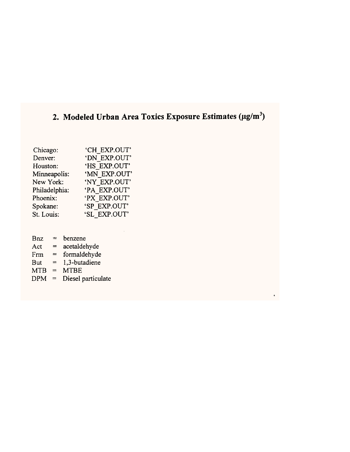# 2. Modeled Urban Area Toxics Exposure Estimates (µg/m<sup>3</sup>)

 $\pmb{\epsilon}$ 

| Chicago:      | 'CH EXP.OUT' |
|---------------|--------------|
| Denver:       | 'DN EXP.OUT' |
| Houston:      | 'HS EXP.OUT' |
| Minneapolis:  | 'MN EXP.OUT' |
| New York:     | 'NY EXP.OUT' |
| Philadelphia: | 'PA EXP.OUT' |
| Phoenix:      | 'PX EXP.OUT' |
| Spokane:      | 'SP EXP.OUT' |
| St. Louis:    | 'SL EXP.OUT' |
|               |              |

- $Bnz = benzene$
- $Act = acetaldehyde$
- $Frm = formuladehydro$
- But =  $1,3$ -butadiene
- $MTB = MTBE$
- $DPM = Diese$  particulate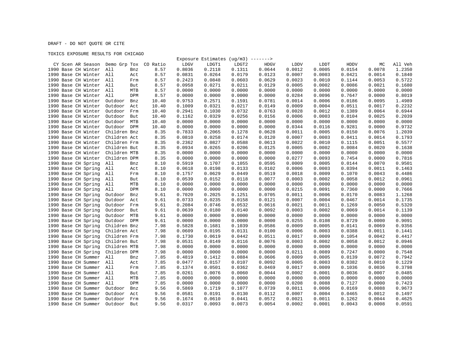#### TOXICS EXPOSURE RESULTS FOR CHICAGO

| CY Scen AR Season Demo Grp Tox |                       | CO Ratio | LDGV   | LDGT1  | Exposure Estimates ( $ug/m3$ ) -------><br>LDGT2 | HDGV   | LDDV   | LDDT   | HDDV   | МC     | All Veh |
|--------------------------------|-----------------------|----------|--------|--------|--------------------------------------------------|--------|--------|--------|--------|--------|---------|
| 1990 Base CH Winter            | All<br>Bnz            | 8.57     | 0.8036 | 0.2118 | 0.1311                                           | 0.0644 | 0.0012 | 0.0005 | 0.0154 | 0.0078 | 1.2350  |
| 1990 Base CH Winter All        | Act                   | 8.57     | 0.0831 | 0.0264 | 0.0179                                           | 0.0123 | 0.0007 | 0.0003 | 0.0421 | 0.0014 | 0.1840  |
| 1990 Base CH Winter All        | Frm                   | 8.57     | 0.2423 | 0.0848 | 0.0603                                           | 0.0629 | 0.0023 | 0.0010 | 0.1144 | 0.0053 | 0.5722  |
| 1990 Base CH Winter All        | But                   | 8.57     | 0.0958 | 0.0271 | 0.0211                                           | 0.0129 | 0.0005 | 0.0002 | 0.0086 | 0.0021 | 0.1680  |
| 1990 Base CH Winter            | All<br>MTB            | 8.57     | 0.0000 | 0.0000 | 0.0000                                           | 0.0000 | 0.0000 | 0.0000 | 0.0000 | 0.0000 | 0.0000  |
| 1990 Base CH Winter            | All<br>DPM            | 8.57     | 0.0000 | 0.0000 | 0.0000                                           | 0.0000 | 0.0284 | 0.0096 | 0.7647 | 0.0000 | 0.8019  |
| 1990 Base CH Winter            | Outdoor<br>Bnz        | 10.40    | 0.9753 | 0.2571 | 0.1591                                           | 0.0781 | 0.0014 | 0.0006 | 0.0186 | 0.0095 | 1.4989  |
| 1990 Base CH Winter            | Outdoor<br>Act        | 10.40    | 0.1009 | 0.0321 | 0.0217                                           | 0.0149 | 0.0009 | 0.0004 | 0.0511 | 0.0017 | 0.2232  |
| 1990 Base CH Winter            | Outdoor<br>Frm        | 10.40    | 0.2941 | 0.1030 | 0.0732                                           | 0.0763 | 0.0028 | 0.0012 | 0.1389 | 0.0064 | 0.6944  |
| 1990 Base CH Winter            | Outdoor<br>But        | 10.40    | 0.1162 | 0.0329 | 0.0256                                           | 0.0156 | 0.0006 | 0.0003 | 0.0104 | 0.0025 | 0.2039  |
| 1990 Base CH Winter            | Outdoor<br>MTB        | 10.40    | 0.0000 | 0.0000 | 0.0000                                           | 0.0000 | 0.0000 | 0.0000 | 0.0000 | 0.0000 | 0.0000  |
| 1990 Base CH Winter            | Outdoor<br>DPM        | 10.40    | 0.0000 | 0.0000 | 0.0000                                           | 0.0000 | 0.0344 | 0.0116 | 0.9281 | 0.0000 | 0.9732  |
| 1990 Base CH Winter            | Children Bnz          | 8.35     | 0.7833 | 0.2065 | 0.1278                                           | 0.0628 | 0.0011 | 0.0005 | 0.0150 | 0.0076 | 1.2039  |
| 1990 Base CH Winter            | Children Act          | 8.35     | 0.0810 | 0.0258 | 0.0174                                           | 0.0120 | 0.0007 | 0.0003 | 0.0411 | 0.0014 | 0.1793  |
| 1990 Base CH Winter            | Children Frm          | 8.35     | 0.2362 | 0.0827 | 0.0588                                           | 0.0613 | 0.0022 | 0.0010 | 0.1115 | 0.0051 | 0.5577  |
| 1990 Base CH Winter            | Children But          | 8.35     | 0.0934 | 0.0265 | 0.0206                                           | 0.0125 | 0.0005 | 0.0002 | 0.0084 | 0.0020 | 0.1638  |
| 1990 Base CH Winter            | Children MTB          | 8.35     | 0.0000 | 0.0000 | 0.0000                                           | 0.0000 | 0.0000 | 0.0000 | 0.0000 | 0.0000 | 0.0000  |
| 1990 Base CH Winter            | Children DPM          | 8.35     | 0.0000 | 0.0000 | 0.0000                                           | 0.0000 | 0.0277 | 0.0093 | 0.7454 | 0.0000 | 0.7816  |
| 1990 Base CH Spring            | All<br>Bnz            | 8.10     | 0.5919 | 0.1707 | 0.1055                                           | 0.0595 | 0.0009 | 0.0005 | 0.0144 | 0.0070 | 0.9501  |
| 1990 Base CH Spring            | All<br>Act            | 8.10     | 0.0618 | 0.0198 | 0.0133                                           | 0.0102 | 0.0006 | 0.0003 | 0.0394 | 0.0011 | 0.1463  |
| 1990 Base CH Spring            | All<br>Frm            | 8.10     | 0.1757 | 0.0629 | 0.0449                                           | 0.0519 | 0.0018 | 0.0009 | 0.1070 | 0.0043 | 0.4486  |
| 1990 Base CH Spring            | All<br>But            | 8.10     | 0.0539 | 0.0152 | 0.0118                                           | 0.0077 | 0.0003 | 0.0002 | 0.0058 | 0.0012 | 0.0961  |
| 1990 Base CH Spring            | All<br>MTB            | 8.10     | 0.0000 | 0.0000 | 0.0000                                           | 0.0000 | 0.0000 | 0.0000 | 0.0000 | 0.0000 | 0.0000  |
| 1990 Base CH Spring            | <b>DPM</b><br>All     | 8.10     | 0.0000 | 0.0000 | 0.0000                                           | 0.0000 | 0.0215 | 0.0091 | 0.7360 | 0.0000 | 0.7666  |
| 1990 Base CH Spring            | Outdoor<br>Bnz        | 9.61     | 0.7020 | 0.2025 | 0.1251                                           | 0.0705 | 0.0011 | 0.0006 | 0.0170 | 0.0083 | 1.1268  |
| 1990 Base CH Spring            | Outdoor<br>Act        | 9.61     | 0.0733 | 0.0235 | 0.0158                                           | 0.0121 | 0.0007 | 0.0004 | 0.0467 | 0.0014 | 0.1735  |
| 1990 Base CH Spring            | Outdoor<br>Frm        | 9.61     | 0.2084 | 0.0746 | 0.0532                                           | 0.0616 | 0.0021 | 0.0011 | 0.1269 | 0.0050 | 0.5320  |
| 1990 Base CH Spring            | Outdoor<br>But        | 9.61     | 0.0639 | 0.0180 | 0.0140                                           | 0.0092 | 0.0003 | 0.0002 | 0.0069 | 0.0014 | 0.1139  |
| 1990 Base CH Spring            | Outdoor<br>MTB        | 9.61     | 0.0000 | 0.0000 | 0.0000                                           | 0.0000 | 0.0000 | 0.0000 | 0.0000 | 0.0000 | 0.0000  |
| 1990 Base CH Spring            | Outdoor<br><b>DPM</b> | 9.61     | 0.0000 | 0.0000 | 0.0000                                           | 0.0000 | 0.0255 | 0.0108 | 0.8729 | 0.0000 | 0.9091  |
| 1990 Base CH Spring            | Children Bnz          | 7.98     | 0.5828 | 0.1681 | 0.1039                                           | 0.0586 | 0.0009 | 0.0005 | 0.0141 | 0.0069 | 0.9356  |
| 1990 Base CH Spring            | Children Act          | 7.98     | 0.0609 | 0.0195 | 0.0131                                           | 0.0100 | 0.0006 | 0.0003 | 0.0388 | 0.0011 | 0.1441  |
| 1990 Base CH Spring            | Children Frm          | 7.98     | 0.1730 | 0.0619 | 0.0442                                           | 0.0511 | 0.0017 | 0.0009 | 0.1054 | 0.0042 | 0.4417  |
| 1990 Base CH Spring            | Children But          | 7.98     | 0.0531 | 0.0149 | 0.0116                                           | 0.0076 | 0.0003 | 0.0002 | 0.0058 | 0.0012 | 0.0946  |
| 1990 Base CH Spring            | Children MTB          | 7.98     | 0.0000 | 0.0000 | 0.0000                                           | 0.0000 | 0.0000 | 0.0000 | 0.0000 | 0.0000 | 0.0000  |
| 1990 Base CH Spring            | Children DPM          | 7.98     | 0.0000 | 0.0000 | 0.0000                                           | 0.0000 | 0.0211 | 0.0089 | 0.7247 | 0.0000 | 0.7548  |
| 1990 Base CH Summer            | All<br>Bnz            | 7.85     | 0.4819 | 0.1412 | 0.0884                                           | 0.0606 | 0.0009 | 0.0005 | 0.0139 | 0.0072 | 0.7942  |
| 1990 Base CH Summer            | All<br>Act            | 7.85     | 0.0477 | 0.0157 | 0.0107                                           | 0.0092 | 0.0005 | 0.0003 | 0.0382 | 0.0010 | 0.1229  |
| 1990 Base CH Summer            | All<br>Frm            | 7.85     | 0.1374 | 0.0501 | 0.0362                                           | 0.0469 | 0.0017 | 0.0009 | 0.1036 | 0.0036 | 0.3798  |
| 1990 Base CH Summer            | All<br>But            | 7.85     | 0.0261 | 0.0076 | 0.0060                                           | 0.0044 | 0.0002 | 0.0001 | 0.0036 | 0.0007 | 0.0485  |
| 1990 Base CH Summer            | All<br>MTB            | 7.85     | 0.0000 | 0.0000 | 0.0000                                           | 0.0000 | 0.0000 | 0.0000 | 0.0000 | 0.0000 | 0.0000  |
| 1990 Base CH Summer            | All<br><b>DPM</b>     | 7.85     | 0.0000 | 0.0000 | 0.0000                                           | 0.0000 | 0.0208 | 0.0088 | 0.7127 | 0.0000 | 0.7423  |
| 1990 Base CH Summer            | Outdoor<br>Bnz        | 9.56     | 0.5869 | 0.1719 | 0.1077                                           | 0.0739 | 0.0011 | 0.0006 | 0.0169 | 0.0088 | 0.9673  |
| 1990 Base CH Summer            | Outdoor<br>Act        | 9.56     | 0.0581 | 0.0191 | 0.0130                                           | 0.0112 | 0.0007 | 0.0004 | 0.0465 | 0.0012 | 0.1497  |
| 1990 Base CH Summer            | Outdoor<br>Frm        | 9.56     | 0.1674 | 0.0610 | 0.0441                                           | 0.0572 | 0.0021 | 0.0011 | 0.1262 | 0.0044 | 0.4625  |
| 1990 Base CH Summer            | Outdoor<br>But        | 9.56     | 0.0317 | 0.0093 | 0.0073                                           | 0.0054 | 0.0002 | 0.0001 | 0.0043 | 0.0008 | 0.0591  |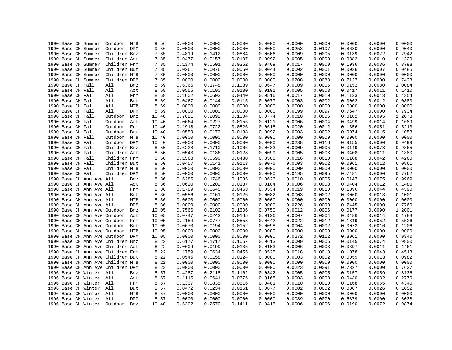|  | 1990 Base CH Summer               | Outdoor MTB  |     | 9.56  | 0.0000 | 0.0000 | 0.0000 | 0.0000 | 0.0000 | 0.0000 | 0.0000 | 0.0000 | 0.0000 |
|--|-----------------------------------|--------------|-----|-------|--------|--------|--------|--------|--------|--------|--------|--------|--------|
|  | 1990 Base CH Summer               | Outdoor DPM  |     | 9.56  | 0.0000 | 0.0000 | 0.0000 | 0.0000 | 0.0253 | 0.0107 | 0.8680 | 0.0000 | 0.9040 |
|  | 1990 Base CH Summer               | Children Bnz |     | 7.85  | 0.4819 | 0.1412 | 0.0884 | 0.0606 | 0.0009 | 0.0005 | 0.0139 | 0.0072 | 0.7942 |
|  | 1990 Base CH Summer               | Children Act |     | 7.85  | 0.0477 | 0.0157 | 0.0107 | 0.0092 | 0.0005 | 0.0003 | 0.0382 | 0.0010 | 0.1229 |
|  | 1990 Base CH Summer               | Children Frm |     | 7.85  | 0.1374 | 0.0501 | 0.0362 | 0.0469 | 0.0017 | 0.0009 | 0.1036 | 0.0036 | 0.3798 |
|  | 1990 Base CH Summer               | Children But |     | 7.85  | 0.0261 | 0.0076 | 0.0060 | 0.0044 | 0.0002 | 0.0001 | 0.0036 | 0.0007 | 0.0485 |
|  | 1990 Base CH Summer               | Children MTB |     | 7.85  | 0.0000 | 0.0000 | 0.0000 | 0.0000 | 0.0000 | 0.0000 | 0.0000 | 0.0000 | 0.0000 |
|  | 1990 Base CH Summer               | Children DPM |     | 7.85  | 0.0000 | 0.0000 | 0.0000 | 0.0000 | 0.0208 | 0.0088 | 0.7127 | 0.0000 | 0.7423 |
|  | 1990 Base CH Fall                 | All          | Bnz | 8.69  | 0.6366 | 0.1748 | 0.1089 | 0.0647 | 0.0009 | 0.0005 | 0.0152 | 0.0080 | 1.0084 |
|  | 1990 Base CH Fall                 | All          | Act | 8.69  | 0.0555 | 0.0190 | 0.0130 | 0.0101 | 0.0005 | 0.0003 | 0.0417 | 0.0011 | 0.1410 |
|  | 1990 Base CH Fall                 | All          | Frm | 8.69  | 0.1602 | 0.0603 | 0.0440 | 0.0516 | 0.0017 | 0.0010 | 0.1133 | 0.0043 | 0.4354 |
|  | 1990 Base CH Fall                 | All          | But | 8.69  | 0.0467 | 0.0144 | 0.0115 | 0.0077 | 0.0003 | 0.0002 | 0.0062 | 0.0012 | 0.0880 |
|  | 1990 Base CH Fall                 | All          | MTB | 8.69  | 0.0000 | 0.0000 | 0.0000 | 0.0000 | 0.0000 | 0.0000 | 0.0000 | 0.0000 | 0.0000 |
|  | 1990 Base CH Fall                 | All          | DPM | 8.69  | 0.0000 | 0.0000 | 0.0000 | 0.0000 | 0.0199 | 0.0097 | 0.7647 | 0.0000 | 0.7934 |
|  | 1990 Base CH Fall                 | Outdoor      | Bnz | 10.40 | 0.7621 | 0.2092 | 0.1304 | 0.0774 | 0.0010 | 0.0006 | 0.0182 | 0.0095 | 1.2073 |
|  | 1990 Base CH Fall                 | Outdoor      | Act | 10.40 | 0.0664 | 0.0227 | 0.0156 | 0.0121 | 0.0006 | 0.0004 | 0.0499 | 0.0014 | 0.1689 |
|  | 1990 Base CH Fall                 | Outdoor      | Frm | 10.40 | 0.1918 | 0.0722 | 0.0526 | 0.0618 | 0.0020 | 0.0012 | 0.1356 | 0.0051 | 0.5213 |
|  | 1990 Base CH Fall                 | Outdoor      | But | 10.40 | 0.0559 | 0.0173 | 0.0138 | 0.0092 | 0.0003 | 0.0002 | 0.0074 | 0.0015 | 0.1053 |
|  | 1990 Base CH Fall                 | Outdoor MTB  |     | 10.40 | 0.0000 | 0.0000 | 0.0000 | 0.0000 | 0.0000 | 0.0000 | 0.0000 | 0.0000 | 0.0000 |
|  | 1990 Base CH Fall                 | Outdoor DPM  |     | 10.40 | 0.0000 | 0.0000 | 0.0000 | 0.0000 | 0.0238 | 0.0116 | 0.9155 | 0.0000 | 0.9499 |
|  | 1990 Base CH Fall                 | Children Bnz |     | 8.50  | 0.6228 | 0.1710 | 0.1066 | 0.0633 | 0.0009 | 0.0005 | 0.0149 | 0.0078 | 0.9865 |
|  | 1990 Base CH Fall                 | Children Act |     |       | 0.0543 | 0.0186 | 0.0128 | 0.0099 | 0.0005 | 0.0003 | 0.0408 | 0.0011 |        |
|  |                                   |              |     | 8.50  |        |        |        |        | 0.0016 | 0.0010 |        |        | 0.1380 |
|  | 1990 Base CH Fall                 | Children Frm |     | 8.50  | 0.1568 | 0.0590 | 0.0430 | 0.0505 |        |        | 0.1108 | 0.0042 | 0.4260 |
|  | 1990 Base CH Fall                 | Children But |     | 8.50  | 0.0457 | 0.0141 | 0.0113 | 0.0075 | 0.0003 | 0.0002 | 0.0061 | 0.0012 | 0.0861 |
|  | 1990 Base CH Fall                 | Children MTB |     | 8.50  | 0.0000 | 0.0000 | 0.0000 | 0.0000 | 0.0000 | 0.0000 | 0.0000 | 0.0000 | 0.0000 |
|  | 1990 Base CH Fall                 | Children DPM |     | 8.50  | 0.0000 | 0.0000 | 0.0000 | 0.0000 | 0.0195 | 0.0095 | 0.7481 | 0.0000 | 0.7762 |
|  | 1990 Base CH Ann Ave All          |              | Bnz | 8.36  | 0.6285 | 0.1746 | 0.1085 | 0.0623 | 0.0010 | 0.0005 | 0.0147 | 0.0075 | 0.9969 |
|  | 1990 Base CH Ann Ave All          |              | Act | 8.36  | 0.0620 | 0.0202 | 0.0137 | 0.0104 | 0.0006 | 0.0003 | 0.0404 | 0.0012 | 0.1486 |
|  | 1990 Base CH Ann Ave All          |              | Frm | 8.36  | 0.1789 | 0.0645 | 0.0463 | 0.0534 | 0.0019 | 0.0010 | 0.1096 | 0.0044 | 0.4590 |
|  | 1990 Base CH Ann Ave All          |              | But | 8.36  | 0.0556 | 0.0161 | 0.0126 | 0.0082 | 0.0003 | 0.0002 | 0.0060 | 0.0013 | 0.1001 |
|  | 1990 Base CH Ann Ave All          |              | MTB | 8.36  | 0.0000 | 0.0000 | 0.0000 | 0.0000 | 0.0000 | 0.0000 | 0.0000 | 0.0000 | 0.0000 |
|  | 1990 Base CH Ann Ave All          |              | DPM | 8.36  | 0.0000 | 0.0000 | 0.0000 | 0.0000 | 0.0226 | 0.0093 | 0.7445 | 0.0000 | 0.7760 |
|  | 1990 Base CH Ann Ave Outdoor      |              | Bnz | 10.05 | 0.7566 | 0.2102 | 0.1306 | 0.0750 | 0.0012 | 0.0006 | 0.0177 | 0.0090 | 1.2001 |
|  | 1990 Base CH Ann Ave Outdoor      |              | Act | 10.05 | 0.0747 | 0.0243 | 0.0165 | 0.0126 | 0.0007 | 0.0004 | 0.0486 | 0.0014 | 0.1788 |
|  | 1990 Base CH Ann Ave Outdoor      |              | Frm | 10.05 | 0.2154 | 0.0777 | 0.0558 | 0.0642 | 0.0022 | 0.0012 | 0.1319 | 0.0052 | 0.5526 |
|  | 1990 Base CH Ann Ave Outdoor      |              | But | 10.05 | 0.0670 | 0.0194 | 0.0152 | 0.0098 | 0.0004 | 0.0002 | 0.0073 | 0.0016 | 0.1206 |
|  | 1990 Base CH Ann Ave Outdoor MTB  |              |     | 10.05 | 0.0000 | 0.0000 | 0.0000 | 0.0000 | 0.0000 | 0.0000 | 0.0000 | 0.0000 | 0.0000 |
|  | 1990 Base CH Ann Ave Outdoor DPM  |              |     | 10.05 | 0.0000 | 0.0000 | 0.0000 | 0.0000 | 0.0272 | 0.0112 | 0.8961 | 0.0000 | 0.9340 |
|  | 1990 Base CH Ann Ave Children Bnz |              |     | 8.22  | 0.6177 | 0.1717 | 0.1067 | 0.0613 | 0.0009 | 0.0005 | 0.0145 | 0.0074 | 0.9800 |
|  | 1990 Base CH Ann Ave Children Act |              |     | 8.22  | 0.0609 | 0.0199 | 0.0135 | 0.0103 | 0.0006 | 0.0003 | 0.0397 | 0.0011 | 0.1461 |
|  | 1990 Base CH Ann Ave Children Frm |              |     | 8.22  | 0.1759 | 0.0634 | 0.0455 | 0.0525 | 0.0018 | 0.0010 | 0.1078 | 0.0043 | 0.4513 |
|  | 1990 Base CH Ann Ave Children But |              |     | 8.22  | 0.0545 | 0.0158 | 0.0124 | 0.0080 | 0.0003 | 0.0002 | 0.0059 | 0.0013 | 0.0982 |
|  | 1990 Base CH Ann Ave Children MTB |              |     | 8.22  | 0.0000 | 0.0000 | 0.0000 | 0.0000 | 0.0000 | 0.0000 | 0.0000 | 0.0000 | 0.0000 |
|  | 1990 Base CH Ann Ave Children DPM |              |     | 8.22  | 0.0000 | 0.0000 | 0.0000 | 0.0000 | 0.0223 | 0.0091 | 0.7327 | 0.0000 | 0.7637 |
|  | 1996 Base CH Winter All           |              | Bnz | 8.57  | 0.4287 | 0.2118 | 0.1162 | 0.0342 | 0.0005 | 0.0005 | 0.0157 | 0.0059 | 0.8136 |
|  | 1996 Base CH Winter All           |              | Act | 8.57  | 0.1115 | 0.0641 | 0.0376 | 0.0168 | 0.0003 | 0.0003 | 0.0430 | 0.0032 | 0.2770 |
|  | 1996 Base CH Winter All           |              | Frm | 8.57  | 0.1337 | 0.0835 | 0.0516 | 0.0401 | 0.0010 | 0.0010 | 0.1168 | 0.0065 | 0.4340 |
|  | 1996 Base CH Winter All           |              | But | 8.57  | 0.0472 | 0.0234 | 0.0151 | 0.0077 | 0.0002 | 0.0002 | 0.0087 | 0.0026 | 0.1052 |
|  | 1996 Base CH Winter All           |              | MTB | 8.57  | 0.0000 | 0.0000 | 0.0000 | 0.0000 | 0.0000 | 0.0000 | 0.0000 | 0.0000 | 0.0000 |
|  | 1996 Base CH Winter All           |              | DPM | 8.57  | 0.0000 | 0.0000 | 0.0000 | 0.0000 | 0.0089 | 0.0070 | 0.5879 | 0.0000 | 0.6038 |
|  | 1996 Base CH Winter               | Outdoor      | Bnz | 10.40 | 0.5202 | 0.2570 | 0.1411 | 0.0415 | 0.0006 | 0.0006 | 0.0190 | 0.0072 | 0.9874 |
|  |                                   |              |     |       |        |        |        |        |        |        |        |        |        |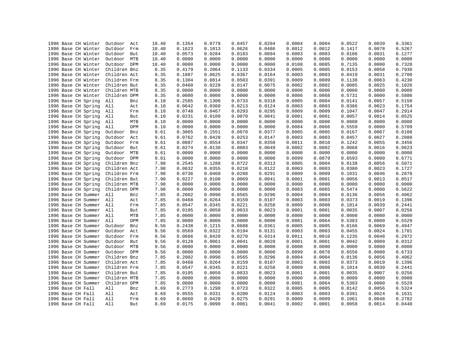| 1996 Base CH Winter<br>1996 Base CH Winter | Outdoor<br>Act<br>Outdoor<br>Frm | 10.40<br>10.40 | 0.1354<br>0.1623 | 0.0778<br>0.1013 | 0.0457<br>0.0626 | 0.0204<br>0.0486 | 0.0004<br>0.0012 | 0.0004<br>0.0012 | 0.0522<br>0.1417 | 0.0039<br>0.0078 | 0.3361<br>0.5267 |
|--------------------------------------------|----------------------------------|----------------|------------------|------------------|------------------|------------------|------------------|------------------|------------------|------------------|------------------|
|                                            |                                  |                |                  |                  |                  |                  |                  |                  |                  |                  |                  |
| 1996 Base CH Winter                        | Outdoor<br>But                   | 10.40          | 0.0573           | 0.0284           | 0.0183           | 0.0094           | 0.0003           | 0.0003           | 0.0106           | 0.0031           | 0.1277           |
| 1996 Base CH Winter                        | Outdoor<br>MTB                   | 10.40          | 0.0000           | 0.0000           | 0.0000           | 0.0000           | 0.0000           | 0.0000           | 0.0000           | 0.0000           | 0.0000           |
| 1996 Base CH Winter                        | Outdoor DPM                      | 10.40          | 0.0000           | 0.0000           | 0.0000           | 0.0000           | 0.0108           | 0.0085           | 0.7135           | 0.0000           | 0.7328           |
| 1996 Base CH Winter                        | Children Bnz                     | 8.35           | 0.4179           | 0.2064           | 0.1133           | 0.0334           | 0.0005           | 0.0005           | 0.0153           | 0.0058           | 0.7930           |
| 1996 Base CH Winter                        | Children Act                     | 8.35           | 0.1087           | 0.0625           | 0.0367           | 0.0164           | 0.0003           | 0.0003           | 0.0419           | 0.0031           | 0.2700           |
| 1996 Base CH Winter                        | Children Frm                     | 8.35           | 0.1304           | 0.0814           | 0.0503           | 0.0391           | 0.0009           | 0.0009           | 0.1138           | 0.0063           | 0.4230           |
| 1996 Base CH Winter                        | Children But                     | 8.35           | 0.0460           | 0.0228           | 0.0147           | 0.0075           | 0.0002           | 0.0002           | 0.0085           | 0.0025           | 0.1026           |
| 1996 Base CH Winter                        | Children MTB                     | 8.35           | 0.0000           | 0.0000           | 0.0000           | 0.0000           | 0.0000           | 0.0000           | 0.0000           | 0.0000           | 0.0000           |
| 1996 Base CH Winter                        | Children DPM                     | 8.35           | 0.0000           | 0.0000           | 0.0000           | 0.0000           | 0.0086           | 0.0068           | 0.5731           | 0.0000           | 0.5886           |
| 1996 Base CH Spring                        | All<br>Bnz                       | 8.10           | 0.2585           | 0.1308           | 0.0733           | 0.0318           | 0.0005           | 0.0004           | 0.0141           | 0.0057           | 0.5150           |
| 1996 Base CH Spring                        | All<br>Act                       | 8.10           | 0.0642           | 0.0360           | 0.0213           | 0.0124           | 0.0003           | 0.0003           | 0.0386           | 0.0023           | 0.1754           |
| 1996 Base CH Spring                        | All<br>Frm                       | 8.10           | 0.0748           | 0.0467           | 0.0293           | 0.0295           | 0.0009           | 0.0009           | 0.1047           | 0.0047           | 0.2914           |
| 1996 Base CH Spring                        | All<br>But                       | 8.10           | 0.0231           | 0.0109           | 0.0070           | 0.0041           | 0.0001           | 0.0001           | 0.0057           | 0.0014           | 0.0525           |
| 1996 Base CH Spring                        | All<br>MTB                       | 8.10           | 0.0000           | 0.0000           | 0.0000           | 0.0000           | 0.0000           | 0.0000           | 0.0000           | 0.0000           | 0.0000           |
| 1996 Base CH Spring                        | DPM<br>All                       | 8.10           | 0.0000           | 0.0000           | 0.0000           | 0.0000           | 0.0084           | 0.0066           | 0.5559           | 0.0000           | 0.5709           |
| 1996 Base CH Spring                        | Outdoor<br>Bnz                   | 9.61           | 0.3065           | 0.1551           | 0.0870           | 0.0377           | 0.0005           | 0.0005           | 0.0167           | 0.0067           | 0.6108           |
| 1996 Base CH Spring                        | Outdoor<br>Act                   | 9.61           | 0.0762           | 0.0428           | 0.0253           | 0.0147           | 0.0003           | 0.0003           | 0.0457           | 0.0027           | 0.2080           |
| 1996 Base CH Spring                        | Outdoor Frm                      | 9.61           | 0.0887           | 0.0554           | 0.0347           | 0.0350           | 0.0011           | 0.0010           | 0.1242           | 0.0055           | 0.3456           |
| 1996 Base CH Spring                        | Outdoor<br>But                   | 9.61           | 0.0274           | 0.0130           | 0.0083           | 0.0049           | 0.0002           | 0.0002           | 0.0068           | 0.0016           | 0.0623           |
| 1996 Base CH Spring                        | Outdoor MTB                      | 9.61           | 0.0000           | 0.0000           | 0.0000           | 0.0000           | 0.0000           | 0.0000           | 0.0000           | 0.0000           | 0.0000           |
| 1996 Base CH Spring                        | Outdoor<br>DPM                   | 9.61           | 0.0000           | 0.0000           | 0.0000           | 0.0000           | 0.0099           | 0.0079           | 0.6593           | 0.0000           | 0.6771           |
| 1996 Base CH Spring                        | Children Bnz                     | 7.98           | 0.2545           | 0.1288           | 0.0722           | 0.0313           | 0.0005           | 0.0004           | 0.0138           | 0.0056           | 0.5071           |
| 1996 Base CH Spring                        | Children Act                     | 7.98           | 0.0632           | 0.0355           | 0.0210           | 0.0122           | 0.0003           | 0.0003           | 0.0380           | 0.0023           | 0.1727           |
| 1996 Base CH Spring                        | Children Frm                     | 7.98           | 0.0736           | 0.0460           | 0.0288           | 0.0291           | 0.0009           | 0.0009           | 0.1031           | 0.0046           | 0.2870           |
| 1996 Base CH Spring                        | Children But                     | 7.98           | 0.0227           | 0.0108           | 0.0069           | 0.0041           | 0.0001           | 0.0001           | 0.0056           | 0.0013           | 0.0517           |
| 1996 Base CH Spring                        | Children MTB                     | 7.98           | 0.0000           | 0.0000           | 0.0000           | 0.0000           | 0.0000           | 0.0000           | 0.0000           | 0.0000           | 0.0000           |
| 1996 Base CH Spring                        | Children DPM                     | 7.98           | 0.0000           | 0.0000           | 0.0000           | 0.0000           | 0.0083           | 0.0065           | 0.5474           | 0.0000           | 0.5622           |
| 1996 Base CH Summer                        | All<br>Bnz                       | 7.85           | 0.2002           | 0.0998           | 0.0565           | 0.0296           | 0.0004           | 0.0004           | 0.0136           | 0.0056           | 0.4062           |
| 1996 Base CH Summer                        | All<br>Act                       | 7.85           | 0.0468           | 0.0264           | 0.0159           | 0.0107           | 0.0003           | 0.0003           | 0.0373           | 0.0019           | 0.1396           |
| 1996 Base CH Summer                        | All<br>Frm                       | 7.85           | 0.0547           | 0.0345           | 0.0221           | 0.0258           | 0.0009           | 0.0008           | 0.1014           | 0.0039           | 0.2441           |
| 1996 Base CH Summer All                    | But                              | 7.85           | 0.0105           | 0.0050           | 0.0033           | 0.0023           | 0.0001           | 0.0001           | 0.0035           | 0.0007           | 0.0256           |
| 1996 Base CH Summer All                    | MTB                              | 7.85           | 0.0000           | 0.0000           | 0.0000           | 0.0000           | 0.0000           | 0.0000           | 0.0000           | 0.0000           | 0.0000           |
| 1996 Base CH Summer                        | All<br>DPM                       | 7.85           | 0.0000           | 0.0000           | 0.0000           | 0.0000           | 0.0081           | 0.0064           | 0.5383           | 0.0000           | 0.5529           |
| 1996 Base CH Summer                        | Outdoor<br>Bnz                   | 9.56           | 0.2438           | 0.1215           | 0.0688           | 0.0361           | 0.0005           | 0.0005           | 0.0166           | 0.0069           | 0.4947           |
| 1996 Base CH Summer                        | Outdoor<br>Act                   | 9.56           | 0.0569           | 0.0322           | 0.0194           | 0.0131           | 0.0003           | 0.0003           | 0.0455           | 0.0024           | 0.1701           |
| 1996 Base CH Summer                        | Outdoor<br>Frm                   | 9.56           | 0.0666           | 0.0420           | 0.0270           | 0.0314           | 0.0011           | 0.0010           | 0.1235           | 0.0048           | 0.2972           |
| 1996 Base CH Summer                        | Outdoor<br>But                   | 9.56           | 0.0128           | 0.0061           | 0.0041           | 0.0028           | 0.0001           | 0.0001           | 0.0042           | 0.0009           | 0.0312           |
| 1996 Base CH Summer                        | Outdoor<br>MTB                   | 9.56           | 0.0000           | 0.0000           | 0.0000           | 0.0000           | 0.0000           | 0.0000           | 0.0000           | 0.0000           | 0.0000           |
| 1996 Base CH Summer                        | Outdoor DPM                      | 9.56           | 0.0000           | 0.0000           | 0.0000           | 0.0000           | 0.0099           | 0.0078           | 0.6556           | 0.0000           | 0.6733           |
| 1996 Base CH Summer                        | Children Bnz                     | 7.85           | 0.2002           | 0.0998           | 0.0565           | 0.0296           | 0.0004           | 0.0004           | 0.0136           | 0.0056           | 0.4062           |
| 1996 Base CH Summer                        | Children Act                     | 7.85           | 0.0468           | 0.0264           | 0.0159           | 0.0107           | 0.0003           | 0.0003           | 0.0373           | 0.0019           | 0.1396           |
| 1996 Base CH Summer                        | Children Frm                     | 7.85           | 0.0547           | 0.0345           | 0.0221           | 0.0258           | 0.0009           | 0.0008           | 0.1014           | 0.0039           | 0.2441           |
| 1996 Base CH Summer                        | Children But                     | 7.85           | 0.0105           | 0.0050           | 0.0033           | 0.0023           | 0.0001           | 0.0001           | 0.0035           | 0.0007           | 0.0256           |
| 1996 Base CH Summer                        | Children MTB                     | 7.85           | 0.0000           | 0.0000           | 0.0000           | 0.0000           | 0.0000           | 0.0000           | 0.0000           | 0.0000           | 0.0000           |
| 1996 Base CH Summer                        | Children DPM                     | 7.85           | 0.0000           | 0.0000           | 0.0000           | 0.0000           | 0.0081           | 0.0064           | 0.5383           | 0.0000           | 0.5529           |
| 1996 Base CH Fall                          | All<br>Bnz                       | 8.69           | 0.2773           | 0.1298           | 0.0723           | 0.0322           | 0.0005           | 0.0005           | 0.0142           | 0.0056           | 0.5324           |
| 1996 Base CH Fall                          | All<br>Act                       | 8.69           | 0.0555           | 0.0331           | 0.0200           | 0.0124           | 0.0003           | 0.0003           | 0.0391           | 0.0024           | 0.1631           |
| 1996 Base CH Fall                          | All<br>Frm                       | 8.69           | 0.0660           | 0.0428           | 0.0275           | 0.0291           | 0.0009           | 0.0009           | 0.1061           | 0.0048           | 0.2782           |
| 1996 Base CH Fall                          | All<br>But                       | 8.69           | 0.0175           | 0.0090           | 0.0061           | 0.0041           | 0.0002           | 0.0001           | 0.0058           | 0.0014           | 0.0440           |
|                                            |                                  |                |                  |                  |                  |                  |                  |                  |                  |                  |                  |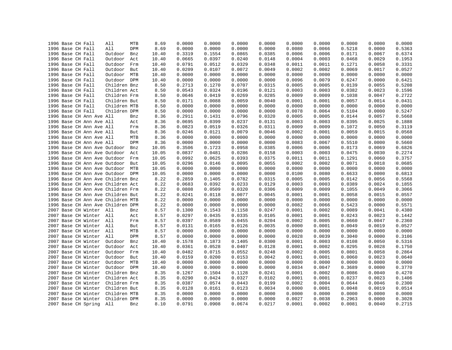|  | 1996 Base CH Fall                 | All          | MTB | 8.69  | 0.0000 | 0.0000 | 0.0000 | 0.0000 | 0.0000 | 0.0000 | 0.0000 | 0.0000 | 0.0000 |
|--|-----------------------------------|--------------|-----|-------|--------|--------|--------|--------|--------|--------|--------|--------|--------|
|  | 1996 Base CH Fall                 | All          | DPM | 8.69  | 0.0000 | 0.0000 | 0.0000 | 0.0000 | 0.0080 | 0.0066 | 0.5218 | 0.0000 | 0.5363 |
|  | 1996 Base CH Fall                 | Outdoor      | Bnz | 10.40 | 0.3319 | 0.1554 | 0.0865 | 0.0385 | 0.0006 | 0.0006 | 0.0171 | 0.0067 | 0.6374 |
|  | 1996 Base CH Fall                 | Outdoor      | Act | 10.40 | 0.0665 | 0.0397 | 0.0240 | 0.0148 | 0.0004 | 0.0003 | 0.0468 | 0.0029 | 0.1953 |
|  | 1996 Base CH Fall                 | Outdoor      | Frm | 10.40 | 0.0791 | 0.0512 | 0.0329 | 0.0348 | 0.0011 | 0.0011 | 0.1271 | 0.0058 | 0.3331 |
|  | 1996 Base CH Fall                 | Outdoor      | But | 10.40 | 0.0209 | 0.0107 | 0.0072 | 0.0049 | 0.0002 | 0.0002 | 0.0069 | 0.0017 | 0.0527 |
|  | 1996 Base CH Fall                 | Outdoor MTB  |     | 10.40 | 0.0000 | 0.0000 | 0.0000 | 0.0000 | 0.0000 | 0.0000 | 0.0000 | 0.0000 | 0.0000 |
|  | 1996 Base CH Fall                 | Outdoor DPM  |     | 10.40 | 0.0000 | 0.0000 | 0.0000 | 0.0000 | 0.0096 | 0.0079 | 0.6247 | 0.0000 | 0.6421 |
|  | 1996 Base CH Fall                 | Children Bnz |     | 8.50  | 0.2713 | 0.1270 | 0.0707 | 0.0315 | 0.0005 | 0.0005 | 0.0139 | 0.0055 | 0.5208 |
|  | 1996 Base CH Fall                 | Children Act |     | 8.50  | 0.0543 | 0.0324 | 0.0196 | 0.0121 | 0.0003 | 0.0003 | 0.0382 | 0.0023 | 0.1596 |
|  | 1996 Base CH Fall                 | Children Frm |     | 8.50  | 0.0646 | 0.0419 | 0.0269 | 0.0285 | 0.0009 | 0.0009 | 0.1038 | 0.0047 | 0.2722 |
|  | 1996 Base CH Fall                 | Children But |     | 8.50  | 0.0171 | 0.0088 | 0.0059 | 0.0040 | 0.0001 | 0.0001 | 0.0057 | 0.0014 | 0.0431 |
|  | 1996 Base CH Fall                 | Children MTB |     | 8.50  | 0.0000 | 0.0000 | 0.0000 | 0.0000 | 0.0000 | 0.0000 | 0.0000 | 0.0000 | 0.0000 |
|  | 1996 Base CH Fall                 | Children DPM |     | 8.50  | 0.0000 | 0.0000 | 0.0000 | 0.0000 | 0.0078 | 0.0064 | 0.5104 | 0.0000 | 0.5247 |
|  | 1996 Base CH Ann Ave All          |              | Bnz | 8.36  | 0.2911 | 0.1431 | 0.0796 | 0.0320 | 0.0005 | 0.0005 | 0.0144 | 0.0057 | 0.5668 |
|  | 1996 Base CH Ann Ave All          |              | Act | 8.36  | 0.0695 | 0.0399 | 0.0237 | 0.0131 | 0.0003 | 0.0003 | 0.0395 | 0.0025 | 0.1888 |
|  | 1996 Base CH Ann Ave All          |              | Frm | 8.36  | 0.0823 | 0.0519 | 0.0326 | 0.0311 | 0.0009 | 0.0009 | 0.1072 | 0.0050 | 0.3119 |
|  | 1996 Base CH Ann Ave All          |              | But | 8.36  | 0.0246 | 0.0121 | 0.0079 | 0.0046 | 0.0002 | 0.0001 | 0.0059 | 0.0015 | 0.0568 |
|  | 1996 Base CH Ann Ave All          |              | MTB | 8.36  | 0.0000 | 0.0000 | 0.0000 | 0.0000 | 0.0000 | 0.0000 | 0.0000 | 0.0000 | 0.0000 |
|  | 1996 Base CH Ann Ave All          |              | DPM | 8.36  | 0.0000 | 0.0000 | 0.0000 | 0.0000 | 0.0083 | 0.0067 | 0.5510 | 0.0000 | 0.5660 |
|  | 1996 Base CH Ann Ave Outdoor      |              | Bnz | 10.05 | 0.3506 | 0.1723 | 0.0958 | 0.0385 | 0.0006 | 0.0006 | 0.0173 | 0.0069 | 0.6826 |
|  |                                   |              |     |       | 0.0837 |        | 0.0286 |        | 0.0003 | 0.0003 |        | 0.0030 |        |
|  | 1996 Base CH Ann Ave Outdoor      |              | Act | 10.05 | 0.0992 | 0.0481 |        | 0.0158 |        | 0.0011 | 0.0475 |        | 0.2274 |
|  | 1996 Base CH Ann Ave Outdoor      |              | Frm | 10.05 |        | 0.0625 | 0.0393 | 0.0375 | 0.0011 |        | 0.1291 | 0.0060 | 0.3757 |
|  | 1996 Base CH Ann Ave Outdoor      |              | But | 10.05 | 0.0296 | 0.0146 | 0.0095 | 0.0055 | 0.0002 | 0.0002 | 0.0071 | 0.0018 | 0.0685 |
|  | 1996 Base CH Ann Ave Outdoor MTB  |              |     | 10.05 | 0.0000 | 0.0000 | 0.0000 | 0.0000 | 0.0000 | 0.0000 | 0.0000 | 0.0000 | 0.0000 |
|  | 1996 Base CH Ann Ave Outdoor DPM  |              |     | 10.05 | 0.0000 | 0.0000 | 0.0000 | 0.0000 | 0.0100 | 0.0080 | 0.6633 | 0.0000 | 0.6813 |
|  | 1996 Base CH Ann Ave Children Bnz |              |     | 8.22  | 0.2859 | 0.1405 | 0.0782 | 0.0315 | 0.0005 | 0.0005 | 0.0142 | 0.0056 | 0.5568 |
|  | 1996 Base CH Ann Ave Children Act |              |     | 8.22  | 0.0683 | 0.0392 | 0.0233 | 0.0129 | 0.0003 | 0.0003 | 0.0389 | 0.0024 | 0.1855 |
|  | 1996 Base CH Ann Ave Children Frm |              |     | 8.22  | 0.0808 | 0.0509 | 0.0320 | 0.0306 | 0.0009 | 0.0009 | 0.1055 | 0.0049 | 0.3066 |
|  | 1996 Base CH Ann Ave Children But |              |     | 8.22  | 0.0241 | 0.0118 | 0.0077 | 0.0045 | 0.0001 | 0.0001 | 0.0058 | 0.0015 | 0.0557 |
|  | 1996 Base CH Ann Ave Children MTB |              |     | 8.22  | 0.0000 | 0.0000 | 0.0000 | 0.0000 | 0.0000 | 0.0000 | 0.0000 | 0.0000 | 0.0000 |
|  | 1996 Base CH Ann Ave Children DPM |              |     | 8.22  | 0.0000 | 0.0000 | 0.0000 | 0.0000 | 0.0082 | 0.0066 | 0.5423 | 0.0000 | 0.5571 |
|  | 2007 Base CH Winter All           |              | Bnz | 8.57  | 0.1300 | 0.1543 | 0.1158 | 0.0247 | 0.0001 | 0.0002 | 0.0089 | 0.0041 | 0.4380 |
|  | 2007 Base CH Winter All           |              | Act | 8.57  | 0.0297 | 0.0435 | 0.0335 | 0.0105 | 0.0001 | 0.0001 | 0.0243 | 0.0023 | 0.1442 |
|  | 2007 Base CH Winter All           |              | Frm | 8.57  | 0.0397 | 0.0589 | 0.0455 | 0.0204 | 0.0002 | 0.0005 | 0.0660 | 0.0047 | 0.2360 |
|  | 2007 Base CH Winter All           |              | But | 8.57  | 0.0131 | 0.0165 | 0.0126 | 0.0035 | 0.0000 | 0.0001 | 0.0049 | 0.0019 | 0.0527 |
|  | 2007 Base CH Winter All           |              | MTB | 8.57  | 0.0000 | 0.0000 | 0.0000 | 0.0000 | 0.0000 | 0.0000 | 0.0000 | 0.0000 | 0.0000 |
|  | 2007 Base CH Winter               | All          | DPM | 8.57  | 0.0000 | 0.0000 | 0.0000 | 0.0000 | 0.0028 | 0.0039 | 0.3040 | 0.0000 | 0.3106 |
|  | 2007 Base CH Winter               | Outdoor      | Bnz | 10.40 | 0.1578 | 0.1873 | 0.1405 | 0.0300 | 0.0001 | 0.0003 | 0.0108 | 0.0050 | 0.5316 |
|  | 2007 Base CH Winter               | Outdoor      | Act | 10.40 | 0.0361 | 0.0528 | 0.0407 | 0.0128 | 0.0001 | 0.0002 | 0.0295 | 0.0028 | 0.1750 |
|  | 2007 Base CH Winter               | Outdoor      | Frm | 10.40 | 0.0482 | 0.0715 | 0.0552 | 0.0248 | 0.0002 | 0.0005 | 0.0801 | 0.0058 | 0.2864 |
|  | 2007 Base CH Winter               | Outdoor      | But | 10.40 | 0.0159 | 0.0200 | 0.0153 | 0.0042 | 0.0001 | 0.0001 | 0.0060 | 0.0023 | 0.0640 |
|  | 2007 Base CH Winter               | Outdoor MTB  |     | 10.40 | 0.0000 | 0.0000 | 0.0000 | 0.0000 | 0.0000 | 0.0000 | 0.0000 | 0.0000 | 0.0000 |
|  | 2007 Base CH Winter               | Outdoor DPM  |     | 10.40 | 0.0000 | 0.0000 | 0.0000 | 0.0000 | 0.0034 | 0.0047 | 0.3689 | 0.0000 | 0.3770 |
|  | 2007 Base CH Winter               | Children Bnz |     | 8.35  | 0.1267 | 0.1504 | 0.1128 | 0.0241 | 0.0001 | 0.0002 | 0.0086 | 0.0040 | 0.4270 |
|  | 2007 Base CH Winter               | Children Act |     | 8.35  | 0.0290 | 0.0424 | 0.0327 | 0.0102 | 0.0001 | 0.0001 | 0.0237 | 0.0023 | 0.1406 |
|  | 2007 Base CH Winter               | Children Frm |     | 8.35  | 0.0387 | 0.0574 | 0.0443 | 0.0199 | 0.0002 | 0.0004 | 0.0644 | 0.0046 | 0.2300 |
|  | 2007 Base CH Winter               | Children But |     | 8.35  | 0.0128 | 0.0161 | 0.0123 | 0.0034 | 0.0000 | 0.0001 | 0.0048 | 0.0019 | 0.0514 |
|  | 2007 Base CH Winter               | Children MTB |     | 8.35  | 0.0000 | 0.0000 | 0.0000 | 0.0000 | 0.0000 | 0.0000 | 0.0000 | 0.0000 | 0.0000 |
|  | 2007 Base CH Winter               | Children DPM |     | 8.35  | 0.0000 | 0.0000 | 0.0000 | 0.0000 | 0.0027 | 0.0038 | 0.2963 | 0.0000 | 0.3028 |
|  | 2007 Base CH Spring               | All          | Bnz | 8.10  | 0.0791 | 0.0908 | 0.0674 | 0.0217 | 0.0001 | 0.0002 | 0.0081 | 0.0040 | 0.2715 |
|  |                                   |              |     |       |        |        |        |        |        |        |        |        |        |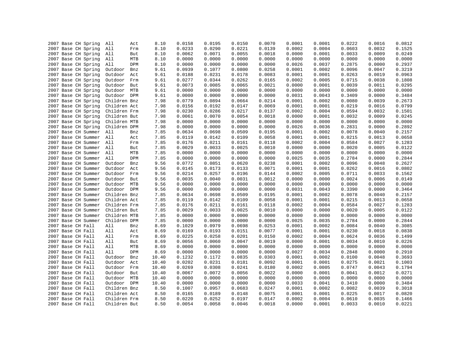| 2007 Base CH Spring | All                         | Act | 8.10  | 0.0158           | 0.0195           | 0.0150           | 0.0070 | 0.0001           | 0.0001           | 0.0222           | 0.0016 | 0.0812 |
|---------------------|-----------------------------|-----|-------|------------------|------------------|------------------|--------|------------------|------------------|------------------|--------|--------|
| 2007 Base CH Spring | All                         | Frm | 8.10  | 0.0233           | 0.0290           | 0.0221           | 0.0139 | 0.0002           | 0.0004           | 0.0603           | 0.0032 | 0.1525 |
| 2007 Base CH Spring | All                         | But | 8.10  | 0.0062           | 0.0071           | 0.0055           | 0.0018 | 0.0000           | 0.0001           | 0.0033           | 0.0009 | 0.0249 |
| 2007 Base CH Spring | All                         | MTB | 8.10  | 0.0000           | 0.0000           | 0.0000           | 0.0000 | 0.0000           | 0.0000           | 0.0000           | 0.0000 | 0.0000 |
| 2007 Base CH Spring | All                         | DPM | 8.10  | 0.0000           | 0.0000           | 0.0000           | 0.0000 | 0.0026           | 0.0037           | 0.2875           | 0.0000 | 0.2937 |
| 2007 Base CH Spring | Outdoor                     | Bnz | 9.61  | 0.0939           | 0.1077           | 0.0800           | 0.0258 | 0.0001           | 0.0002           | 0.0096           | 0.0047 | 0.3219 |
| 2007 Base CH Spring | Outdoor                     | Act | 9.61  | 0.0188           | 0.0231           | 0.0178           | 0.0083 | 0.0001           | 0.0001           | 0.0263           | 0.0019 | 0.0963 |
| 2007 Base CH Spring | Outdoor                     | Frm | 9.61  | 0.0277           | 0.0344           | 0.0262           | 0.0165 | 0.0002           | 0.0005           | 0.0715           | 0.0038 | 0.1808 |
| 2007 Base CH Spring | Outdoor                     | But | 9.61  | 0.0073           | 0.0085           | 0.0065           | 0.0021 | 0.0000           | 0.0001           | 0.0039           | 0.0011 | 0.0295 |
| 2007 Base CH Spring | Outdoor MTB                 |     | 9.61  | 0.0000           | 0.0000           | 0.0000           | 0.0000 | 0.0000           | 0.0000           | 0.0000           | 0.0000 | 0.0000 |
| 2007 Base CH Spring | Outdoor DPM                 |     | 9.61  | 0.0000           | 0.0000           | 0.0000           | 0.0000 | 0.0031           | 0.0043           | 0.3409           | 0.0000 | 0.3484 |
| 2007 Base CH Spring | Children Bnz                |     | 7.98  | 0.0779           | 0.0894           | 0.0664           | 0.0214 | 0.0001           | 0.0002           | 0.0080           | 0.0039 | 0.2673 |
| 2007 Base CH Spring | Children Act                |     | 7.98  | 0.0156           | 0.0192           | 0.0147           | 0.0069 | 0.0001           | 0.0001           | 0.0219           | 0.0016 | 0.0799 |
| 2007 Base CH Spring | Children Frm                |     | 7.98  | 0.0230           | 0.0286           | 0.0217           | 0.0137 | 0.0002           | 0.0004           | 0.0594           | 0.0032 | 0.1501 |
| 2007 Base CH Spring | Children But                |     | 7.98  | 0.0061           | 0.0070           | 0.0054           | 0.0018 | 0.0000           | 0.0001           | 0.0032           | 0.0009 | 0.0245 |
| 2007 Base CH Spring | Children MTB                |     | 7.98  | 0.0000           | 0.0000           | 0.0000           | 0.0000 | 0.0000           | 0.0000           | 0.0000           | 0.0000 | 0.0000 |
| 2007 Base CH Spring | Children DPM                |     | 7.98  | 0.0000           | 0.0000           | 0.0000           | 0.0000 | 0.0026           | 0.0036           | 0.2831           | 0.0000 | 0.2892 |
| 2007 Base CH Summer | All                         | Bnz | 7.85  | 0.0634           | 0.0698           | 0.0509           | 0.0195 | 0.0001           | 0.0002           | 0.0078           | 0.0040 | 0.2157 |
| 2007 Base CH Summer | All                         | Act | 7.85  | 0.0119           | 0.0142           | 0.0109           | 0.0058 | 0.0001           | 0.0001           | 0.0215           | 0.0013 | 0.0658 |
| 2007 Base CH Summer | All                         | Frm | 7.85  | 0.0176           | 0.0211           | 0.0161           | 0.0118 | 0.0002           | 0.0004           | 0.0584           | 0.0027 | 0.1283 |
| 2007 Base CH Summer | All                         | But | 7.85  | 0.0029           | 0.0033           | 0.0025           | 0.0010 | 0.0000           | 0.0000           | 0.0020           | 0.0005 | 0.0122 |
| 2007 Base CH Summer | All                         | MTB | 7.85  | 0.0000           | 0.0000           | 0.0000           | 0.0000 | 0.0000           | 0.0000           | 0.0000           | 0.0000 | 0.0000 |
| 2007 Base CH Summer | All                         | DPM | 7.85  | 0.0000           | 0.0000           | 0.0000           | 0.0000 | 0.0025           | 0.0035           | 0.2784           | 0.0000 | 0.2844 |
| 2007 Base CH Summer | Outdoor                     | Bnz | 9.56  | 0.0772           | 0.0851           | 0.0620           | 0.0238 | 0.0001           | 0.0002           | 0.0096           | 0.0048 | 0.2627 |
| 2007 Base CH Summer | Outdoor                     | Act | 9.56  | 0.0145           | 0.0173           | 0.0133           | 0.0071 | 0.0001           | 0.0001           | 0.0262           | 0.0016 | 0.0802 |
| 2007 Base CH Summer | Outdoor                     | Frm | 9.56  | 0.0214           | 0.0257           | 0.0196           | 0.0144 | 0.0002           | 0.0005           | 0.0711           | 0.0033 | 0.1562 |
| 2007 Base CH Summer | Outdoor                     | But | 9.56  | 0.0035           | 0.0040           | 0.0031           | 0.0012 | 0.0000           | 0.0000           | 0.0024           | 0.0006 | 0.0149 |
| 2007 Base CH Summer | Outdoor MTB                 |     | 9.56  | 0.0000           | 0.0000           | 0.0000           | 0.0000 | 0.0000           | 0.0000           | 0.0000           | 0.0000 | 0.0000 |
|                     |                             |     |       |                  |                  |                  |        |                  |                  |                  |        | 0.3464 |
| 2007 Base CH Summer | Outdoor DPM<br>Children Bnz |     | 9.56  | 0.0000<br>0.0634 | 0.0000<br>0.0698 | 0.0000<br>0.0509 | 0.0000 | 0.0031<br>0.0001 | 0.0043<br>0.0002 | 0.3390<br>0.0078 | 0.0000 | 0.2157 |
| 2007 Base CH Summer |                             |     | 7.85  |                  |                  |                  | 0.0195 |                  |                  |                  | 0.0040 |        |
| 2007 Base CH Summer | Children Act                |     | 7.85  | 0.0119           | 0.0142           | 0.0109           | 0.0058 | 0.0001           | 0.0001           | 0.0215           | 0.0013 | 0.0658 |
| 2007 Base CH Summer | Children Frm                |     | 7.85  | 0.0176           | 0.0211           | 0.0161           | 0.0118 | 0.0002           | 0.0004           | 0.0584           | 0.0027 | 0.1283 |
| 2007 Base CH Summer | Children But                |     | 7.85  | 0.0029           | 0.0033           | 0.0025           | 0.0010 | 0.0000           | 0.0000           | 0.0020           | 0.0005 | 0.0122 |
| 2007 Base CH Summer | Children MTB                |     | 7.85  | 0.0000           | 0.0000           | 0.0000           | 0.0000 | 0.0000           | 0.0000           | 0.0000           | 0.0000 | 0.0000 |
| 2007 Base CH Summer | Children DPM                |     | 7.85  | 0.0000           | 0.0000           | 0.0000           | 0.0000 | 0.0025           | 0.0035           | 0.2784           | 0.0000 | 0.2844 |
| 2007 Base CH Fall   | All                         | Bnz | 8.69  | 0.1029           | 0.0979           | 0.0698           | 0.0253 | 0.0001           | 0.0002           | 0.0084           | 0.0040 | 0.3085 |
| 2007 Base CH Fall   | All                         | Act | 8.69  | 0.0169           | 0.0193           | 0.0151           | 0.0077 | 0.0001           | 0.0001           | 0.0230           | 0.0018 | 0.0838 |
| 2007 Base CH Fall   | All                         | Frm | 8.69  | 0.0225           | 0.0258           | 0.0201           | 0.0150 | 0.0002           | 0.0004           | 0.0624           | 0.0036 | 0.1499 |
| 2007 Base CH Fall   | All                         | But | 8.69  | 0.0056           | 0.0060           | 0.0047           | 0.0019 | 0.0000           | 0.0001           | 0.0034           | 0.0010 | 0.0226 |
| 2007 Base CH Fall   | All                         | MTB | 8.69  | 0.0000           | 0.0000           | 0.0000           | 0.0000 | 0.0000           | 0.0000           | 0.0000           | 0.0000 | 0.0000 |
| 2007 Base CH Fall   | All                         | DPM | 8.69  | 0.0000           | 0.0000           | 0.0000           | 0.0000 | 0.0027           | 0.0034           | 0.2848           | 0.0000 | 0.2910 |
| 2007 Base CH Fall   | Outdoor                     | Bnz | 10.40 | 0.1232           | 0.1172           | 0.0835           | 0.0303 | 0.0001           | 0.0002           | 0.0100           | 0.0048 | 0.3693 |
| 2007 Base CH Fall   | Outdoor                     | Act | 10.40 | 0.0202           | 0.0231           | 0.0181           | 0.0092 | 0.0001           | 0.0001           | 0.0275           | 0.0021 | 0.1003 |
| 2007 Base CH Fall   | Outdoor                     | Frm | 10.40 | 0.0269           | 0.0308           | 0.0241           | 0.0180 | 0.0002           | 0.0005           | 0.0747           | 0.0043 | 0.1794 |
| 2007 Base CH Fall   | Outdoor But                 |     | 10.40 | 0.0067           | 0.0072           | 0.0056           | 0.0022 | 0.0000           | 0.0001           | 0.0041           | 0.0012 | 0.0271 |
| 2007 Base CH Fall   | Outdoor MTB                 |     | 10.40 | 0.0000           | 0.0000           | 0.0000           | 0.0000 | 0.0000           | 0.0000           | 0.0000           | 0.0000 | 0.0000 |
| 2007 Base CH Fall   | Outdoor DPM                 |     | 10.40 | 0.0000           | 0.0000           | 0.0000           | 0.0000 | 0.0033           | 0.0041           | 0.3410           | 0.0000 | 0.3484 |
| 2007 Base CH Fall   | Children Bnz                |     | 8.50  | 0.1007           | 0.0957           | 0.0683           | 0.0247 | 0.0001           | 0.0002           | 0.0082           | 0.0039 | 0.3018 |
| 2007 Base CH Fall   | Children Act                |     | 8.50  | 0.0165           | 0.0189           | 0.0148           | 0.0075 | 0.0001           | 0.0001           | 0.0225           | 0.0017 | 0.0820 |
| 2007 Base CH Fall   | Children Frm                |     | 8.50  | 0.0220           | 0.0252           | 0.0197           | 0.0147 | 0.0002           | 0.0004           | 0.0610           | 0.0035 | 0.1466 |
| 2007 Base CH Fall   | Children But                |     | 8.50  | 0.0054           | 0.0058           | 0.0046           | 0.0018 | 0.0000           | 0.0001           | 0.0033           | 0.0010 | 0.0221 |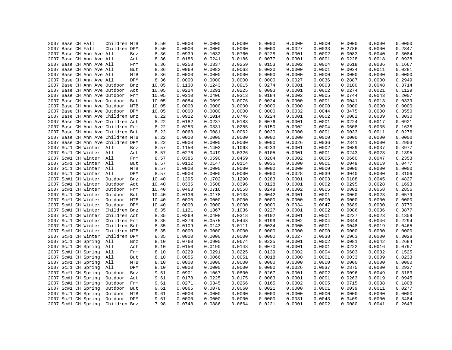|  | 2007 Base CH Fall                          | Children MTB                      |            | 8.50         | 0.0000           | 0.0000           | 0.0000           | 0.0000           | 0.0000           | 0.0000           | 0.0000           | 0.0000<br>0.0000 | 0.0000<br>0.2847 |
|--|--------------------------------------------|-----------------------------------|------------|--------------|------------------|------------------|------------------|------------------|------------------|------------------|------------------|------------------|------------------|
|  | 2007 Base CH Fall                          | Children DPM                      |            | 8.50         | 0.0000           | 0.0000           | 0.0000           | 0.0000           | 0.0027           | 0.0033           | 0.2786           |                  |                  |
|  | 2007 Base CH Ann Ave All                   |                                   | Bnz        | 8.36         | 0.0939           | 0.1032           | 0.0760           | 0.0228           | 0.0001           | 0.0002           | 0.0083           | 0.0040           | 0.3084           |
|  | 2007 Base CH Ann Ave All                   |                                   | Act        | 8.36         | 0.0186           | 0.0241           | 0.0186           | 0.0077           | 0.0001           | 0.0001           | 0.0228           | 0.0018           | 0.0938           |
|  | 2007 Base CH Ann Ave All                   |                                   | Frm        | 8.36         | 0.0258           | 0.0337           | 0.0259           | 0.0153           | 0.0002           | 0.0004           | 0.0618           | 0.0036           | 0.1667           |
|  | 2007 Base CH Ann Ave All                   |                                   | But        | 8.36         | 0.0069           | 0.0082           | 0.0063           | 0.0020           | 0.0000           | 0.0001           | 0.0034           | 0.0011           | 0.0281           |
|  | 2007 Base CH Ann Ave All                   |                                   | MTB        | 8.36         | 0.0000           | 0.0000           | 0.0000           | 0.0000           | 0.0000           | 0.0000           | 0.0000           | 0.0000           | 0.0000           |
|  | 2007 Base CH Ann Ave All                   |                                   | DPM        | 8.36         | 0.0000           | 0.0000           | 0.0000           | 0.0000           | 0.0027           | 0.0036           | 0.2887           | 0.0000           | 0.2949           |
|  |                                            | 2007 Base CH Ann Ave Outdoor      | Bnz        | 10.05        | 0.1130           | 0.1243           | 0.0915           | 0.0274           | 0.0001           | 0.0003           | 0.0100           | 0.0048           | 0.3714           |
|  |                                            | 2007 Base CH Ann Ave Outdoor Act  |            | 10.05        | 0.0224           | 0.0291           | 0.0225           | 0.0093           | 0.0001           | 0.0002           | 0.0274           | 0.0021           | 0.1129           |
|  |                                            | 2007 Base CH Ann Ave Outdoor Frm  |            | 10.05        | 0.0310           | 0.0406           | 0.0313           | 0.0184           | 0.0002           | 0.0005           | 0.0744           | 0.0043           | 0.2007           |
|  |                                            | 2007 Base CH Ann Ave Outdoor But  |            | 10.05        | 0.0084           | 0.0099           | 0.0076           | 0.0024           | 0.0000           | 0.0001           | 0.0041           | 0.0013           | 0.0339           |
|  |                                            | 2007 Base CH Ann Ave Outdoor MTB  |            | 10.05        | 0.0000           | 0.0000           | 0.0000           | 0.0000           | 0.0000           | 0.0000           | 0.0000           | 0.0000           | 0.0000           |
|  |                                            | 2007 Base CH Ann Ave Outdoor DPM  |            | 10.05        | 0.0000           | 0.0000           | 0.0000           | 0.0000           | 0.0032           | 0.0044           | 0.3475           | 0.0000           | 0.3550           |
|  |                                            | 2007 Base CH Ann Ave Children Bnz |            | 8.22         | 0.0922           | 0.1014           | 0.0746           | 0.0224           | 0.0001           | 0.0002           | 0.0082           | 0.0039           | 0.3030           |
|  |                                            | 2007 Base CH Ann Ave Children Act |            | 8.22         | 0.0182           | 0.0237           | 0.0183           | 0.0076           | 0.0001           | 0.0001           | 0.0224           | 0.0017           | 0.0921           |
|  |                                            | 2007 Base CH Ann Ave Children Frm |            | 8.22         | 0.0253           | 0.0331           | 0.0255           | 0.0150           | 0.0002           | 0.0004           | 0.0608           | 0.0035           | 0.1638           |
|  |                                            | 2007 Base CH Ann Ave Children But |            | 8.22         | 0.0068           | 0.0081           | 0.0062           | 0.0020           | 0.0000           | 0.0001           | 0.0033           | 0.0011           | 0.0276           |
|  |                                            | 2007 Base CH Ann Ave Children MTB |            | 8.22         | 0.0000           | 0.0000           | 0.0000           | 0.0000           | 0.0000           | 0.0000           | 0.0000           | 0.0000           | 0.0000           |
|  |                                            | 2007 Base CH Ann Ave Children DPM |            | 8.22         | 0.0000           | 0.0000           | 0.0000           | 0.0000           | 0.0026           | 0.0036           | 0.2841           | 0.0000           | 0.2903           |
|  | 2007 Sc#1 CH Winter All                    |                                   | Bnz        | 8.57         | 0.1150           | 0.1402           | 0.1063           | 0.0233           | 0.0001           | 0.0002           | 0.0089           | 0.0037           | 0.3977           |
|  | 2007 Sc#1 CH Winter All                    |                                   | Act        | 8.57         | 0.0276           | 0.0419           | 0.0326           | 0.0105           | 0.0001           | 0.0001           | 0.0243           | 0.0023           | 0.1395           |
|  | 2007 Sc#1 CH Winter All                    |                                   | Frm        | 8.57         | 0.0386           | 0.0590           | 0.0459           | 0.0204           | 0.0002           | 0.0005           | 0.0660           | 0.0047           | 0.2353           |
|  | 2007 Sc#1 CH Winter All                    |                                   | But        | 8.57         | 0.0112           | 0.0147           | 0.0114           | 0.0035           | 0.0000           | 0.0001           | 0.0049           | 0.0019           | 0.0477           |
|  | 2007 Sc#1 CH Winter All                    |                                   | MTB        | 8.57         | 0.0000           | 0.0000           | 0.0000           | 0.0000           | 0.0000           | 0.0000           | 0.0000           | 0.0000           | 0.0000           |
|  | 2007 Sc#1 CH Winter All                    |                                   | DPM        | 8.57         | 0.0000           | 0.0000           | 0.0000           | 0.0000           | 0.0028           | 0.0039           | 0.3040           | 0.0000           | 0.3106           |
|  | 2007 Sc#1 CH Winter                        | Outdoor                           | Bnz        | 10.40        | 0.1395           | 0.1702           | 0.1290           | 0.0283           | 0.0001           | 0.0003           | 0.0108           | 0.0045           | 0.4827           |
|  | 2007 Sc#1 CH Winter                        | Outdoor                           | Act        | 10.40        | 0.0335           | 0.0508           | 0.0396           | 0.0128           | 0.0001           | 0.0002           | 0.0295           | 0.0028           | 0.1693           |
|  | 2007 Sc#1 CH Winter                        | Outdoor Frm                       |            | 10.40        | 0.0468           | 0.0716           | 0.0558           | 0.0248           | 0.0002           | 0.0005           | 0.0801           | 0.0058           | 0.2856           |
|  | 2007 Sc#1 CH Winter                        | Outdoor                           | But        | 10.40        | 0.0136           | 0.0178           | 0.0138           | 0.0042           | 0.0001           | 0.0001           | 0.0060           | 0.0023           | 0.0579           |
|  | 2007 Sc#1 CH Winter                        | Outdoor                           | MTB        | 10.40        | 0.0000           | 0.0000           | 0.0000           | 0.0000           | 0.0000           | 0.0000           | 0.0000           | 0.0000           | 0.0000           |
|  | 2007 Sc#1 CH Winter                        | Outdoor DPM                       |            | 10.40        | 0.0000           | 0.0000           | 0.0000           | 0.0000           | 0.0034           | 0.0047           | 0.3689           | 0.0000           | 0.3770           |
|  | 2007 Sc#1 CH Winter                        | Children Bnz                      |            | 8.35         | 0.1121           | 0.1367           | 0.1036           | 0.0227           | 0.0001           | 0.0002           | 0.0086           | 0.0036           | 0.3877           |
|  | 2007 Sc#1 CH Winter                        | Children Act                      |            | 8.35         | 0.0269           | 0.0408           | 0.0318           | 0.0102           | 0.0001           | 0.0001           | 0.0237           | 0.0023           | 0.1359           |
|  | 2007 Sc#1 CH Winter                        | Children Frm                      |            | 8.35         | 0.0376           | 0.0575           | 0.0448           | 0.0199           | 0.0002           | 0.0004           | 0.0644           | 0.0046           | 0.2294           |
|  | 2007 Sc#1 CH Winter                        | Children But                      |            | 8.35         | 0.0109           | 0.0143           | 0.0111           | 0.0034           | 0.0000           | 0.0001           | 0.0048           | 0.0019           | 0.0465           |
|  | 2007 Sc#1 CH Winter                        | Children MTB                      |            | 8.35         | 0.0000           | 0.0000           | 0.0000           | 0.0000           | 0.0000           | 0.0000           | 0.0000           | 0.0000           | 0.0000           |
|  | 2007 Sc#1 CH Winter                        | Children DPM                      |            | 8.35         | 0.0000           | 0.0000           | 0.0000           | 0.0000           | 0.0027           | 0.0038           | 0.2963           | 0.0000           | 0.3028           |
|  | 2007 Sc#1 CH Spring                        | All                               | Bnz        | 8.10         | 0.0760           | 0.0900           | 0.0674           | 0.0225           | 0.0001           | 0.0002           | 0.0081           | 0.0042           | 0.2684           |
|  | 2007 Sc#1 CH Spring                        | All                               | Act        | 8.10         | 0.0150           | 0.0190           | 0.0148           | 0.0070           | 0.0001           | 0.0001           | 0.0222           | 0.0016           | 0.0797           |
|  | 2007 Sc#1 CH Spring                        | All                               | Frm        | 8.10         | 0.0229           | 0.0291           | 0.0225           | 0.0139           | 0.0002           | 0.0004           | 0.0603           | 0.0032           | 0.1525           |
|  | 2007 Sc#1 CH Spring                        | All                               | But        | 8.10         | 0.0055           | 0.0066           | 0.0051           | 0.0018           | 0.0000           | 0.0001           | 0.0033           | 0.0009           | 0.0233           |
|  | 2007 Sc#1 CH Spring                        | All                               | MTB        | 8.10         | 0.0000           | 0.0000           | 0.0000           | 0.0000           | 0.0000           | 0.0000           | 0.0000           | 0.0000           | 0.0000           |
|  | 2007 Sc#1 CH Spring                        | All                               | DPM        | 8.10         | 0.0000           | 0.0000           | 0.0000           | 0.0000           | 0.0026           | 0.0037           | 0.2875           | 0.0000           | 0.2937           |
|  | 2007 Sc#1 CH Spring                        | Outdoor                           | Bnz        | 9.61         | 0.0901           | 0.1067           | 0.0800           | 0.0267           | 0.0001           | 0.0002           | 0.0096           | 0.0049           | 0.3183           |
|  | 2007 Sc#1 CH Spring                        | Outdoor                           | Act        | 9.61         | 0.0178           | 0.0225           | 0.0175           | 0.0083           | 0.0001           | 0.0001           | 0.0263           | 0.0019           | 0.0945           |
|  | 2007 Sc#1 CH Spring                        | Outdoor                           | Frm        | 9.61         | 0.0271           | 0.0345           | 0.0266           | 0.0165           | 0.0002           | 0.0005           | 0.0715           | 0.0038           | 0.1808           |
|  |                                            | Outdoor                           |            |              | 0.0065           | 0.0078           | 0.0060           | 0.0021           | 0.0000           | 0.0001           | 0.0039           | 0.0011           | 0.0277           |
|  | 2007 Sc#1 CH Spring<br>2007 Sc#1 CH Spring | Outdoor                           | But<br>MTB | 9.61<br>9.61 | 0.0000           | 0.0000           | 0.0000           | 0.0000           | 0.0000           | 0.0000           | 0.0000           | 0.0000           | 0.0000           |
|  |                                            |                                   | <b>DPM</b> |              |                  |                  |                  |                  |                  |                  |                  |                  |                  |
|  | 2007 Sc#1 CH Spring<br>2007 Sc#1 CH Spring | Outdoor<br>Children Bnz           |            | 9.61<br>7.98 | 0.0000<br>0.0748 | 0.0000<br>0.0886 | 0.0000<br>0.0664 | 0.0000<br>0.0221 | 0.0031<br>0.0001 | 0.0043<br>0.0002 | 0.3409<br>0.0080 | 0.0000<br>0.0041 | 0.3484<br>0.2643 |
|  |                                            |                                   |            |              |                  |                  |                  |                  |                  |                  |                  |                  |                  |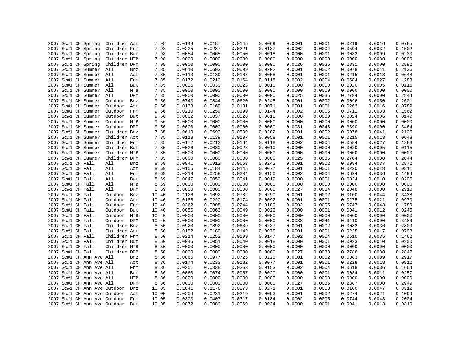| 2007 Sc#1 CH Spring      |  | Children Act                     |     | 7.98  | 0.0148 | 0.0187 | 0.0145 | 0.0069 | 0.0001 | 0.0001 | 0.0219 | 0.0016 | 0.0785 |
|--------------------------|--|----------------------------------|-----|-------|--------|--------|--------|--------|--------|--------|--------|--------|--------|
| 2007 Sc#1 CH Spring      |  | Children Frm                     |     | 7.98  | 0.0225 | 0.0287 | 0.0221 | 0.0137 | 0.0002 | 0.0004 | 0.0594 | 0.0032 | 0.1502 |
| 2007 Sc#1 CH Spring      |  | Children But                     |     | 7.98  | 0.0054 | 0.0065 | 0.0050 | 0.0018 | 0.0000 | 0.0001 | 0.0032 | 0.0009 | 0.0230 |
| 2007 Sc#1 CH Spring      |  | Children MTB                     |     | 7.98  | 0.0000 | 0.0000 | 0.0000 | 0.0000 | 0.0000 | 0.0000 | 0.0000 | 0.0000 | 0.0000 |
| 2007 Sc#1 CH Spring      |  | Children DPM                     |     | 7.98  | 0.0000 | 0.0000 | 0.0000 | 0.0000 | 0.0026 | 0.0036 | 0.2831 | 0.0000 | 0.2892 |
| 2007 Sc#1 CH Summer      |  | All                              | Bnz | 7.85  | 0.0610 | 0.0693 | 0.0509 | 0.0202 | 0.0001 | 0.0002 | 0.0078 | 0.0041 | 0.2136 |
| 2007 Sc#1 CH Summer All  |  |                                  | Act | 7.85  | 0.0113 | 0.0139 | 0.0107 | 0.0058 | 0.0001 | 0.0001 | 0.0215 | 0.0013 | 0.0648 |
| 2007 Sc#1 CH Summer All  |  |                                  | Frm | 7.85  | 0.0172 | 0.0212 | 0.0164 | 0.0118 | 0.0002 | 0.0004 | 0.0584 | 0.0027 | 0.1283 |
| 2007 Sc#1 CH Summer All  |  |                                  | But | 7.85  | 0.0026 | 0.0030 | 0.0023 | 0.0010 | 0.0000 | 0.0000 | 0.0020 | 0.0005 | 0.0115 |
| 2007 Sc#1 CH Summer All  |  |                                  | MTB | 7.85  | 0.0000 | 0.0000 | 0.0000 | 0.0000 | 0.0000 | 0.0000 | 0.0000 | 0.0000 | 0.0000 |
| 2007 Sc#1 CH Summer All  |  |                                  | DPM | 7.85  | 0.0000 | 0.0000 | 0.0000 | 0.0000 | 0.0025 | 0.0035 | 0.2784 | 0.0000 | 0.2844 |
| 2007 Sc#1 CH Summer      |  | Outdoor                          | Bnz | 9.56  | 0.0743 | 0.0844 | 0.0620 | 0.0245 | 0.0001 | 0.0002 | 0.0096 | 0.0050 | 0.2601 |
| 2007 Sc#1 CH Summer      |  | Outdoor                          | Act | 9.56  | 0.0138 | 0.0169 | 0.0131 | 0.0071 | 0.0001 | 0.0001 | 0.0262 | 0.0016 | 0.0789 |
| 2007 Sc#1 CH Summer      |  | Outdoor                          | Frm | 9.56  | 0.0210 | 0.0259 | 0.0199 | 0.0144 | 0.0002 | 0.0005 | 0.0711 | 0.0033 | 0.1562 |
| 2007 Sc#1 CH Summer      |  | Outdoor                          | But | 9.56  | 0.0032 | 0.0037 | 0.0028 | 0.0012 | 0.0000 | 0.0000 | 0.0024 | 0.0006 | 0.0140 |
| 2007 Sc#1 CH Summer      |  | Outdoor MTB                      |     | 9.56  | 0.0000 | 0.0000 | 0.0000 | 0.0000 | 0.0000 | 0.0000 | 0.0000 | 0.0000 | 0.0000 |
| 2007 Sc#1 CH Summer      |  | Outdoor DPM                      |     | 9.56  | 0.0000 | 0.0000 | 0.0000 | 0.0000 | 0.0031 | 0.0043 | 0.3390 | 0.0000 | 0.3464 |
| 2007 Sc#1 CH Summer      |  | Children Bnz                     |     | 7.85  | 0.0610 | 0.0693 | 0.0509 | 0.0202 | 0.0001 | 0.0002 | 0.0078 | 0.0041 | 0.2136 |
| 2007 Sc#1 CH Summer      |  | Children Act                     |     | 7.85  | 0.0113 | 0.0139 | 0.0107 | 0.0058 | 0.0001 | 0.0001 | 0.0215 | 0.0013 | 0.0648 |
| 2007 Sc#1 CH Summer      |  | Children Frm                     |     | 7.85  | 0.0172 | 0.0212 | 0.0164 | 0.0118 | 0.0002 | 0.0004 | 0.0584 | 0.0027 | 0.1283 |
| 2007 Sc#1 CH Summer      |  | Children But                     |     | 7.85  | 0.0026 | 0.0030 | 0.0023 | 0.0010 | 0.0000 | 0.0000 | 0.0020 | 0.0005 | 0.0115 |
| 2007 Sc#1 CH Summer      |  | Children MTB                     |     | 7.85  | 0.0000 | 0.0000 | 0.0000 | 0.0000 | 0.0000 | 0.0000 | 0.0000 | 0.0000 | 0.0000 |
| 2007 Sc#1 CH Summer      |  | Children DPM                     |     | 7.85  | 0.0000 | 0.0000 | 0.0000 | 0.0000 | 0.0025 | 0.0035 | 0.2784 | 0.0000 | 0.2844 |
| 2007 Sc#1 CH Fall        |  | All                              | Bnz | 8.69  | 0.0941 | 0.0912 | 0.0653 | 0.0242 | 0.0001 | 0.0002 | 0.0084 | 0.0037 | 0.2872 |
|                          |  |                                  |     |       |        |        |        |        |        |        |        |        |        |
| 2007 Sc#1 CH Fall        |  | All                              | Act | 8.69  | 0.0155 | 0.0184 | 0.0145 | 0.0077 | 0.0001 | 0.0001 | 0.0230 | 0.0018 | 0.0811 |
| 2007 Sc#1 CH Fall        |  | All                              | Frm | 8.69  | 0.0219 | 0.0258 | 0.0204 | 0.0150 | 0.0002 | 0.0004 | 0.0624 | 0.0036 | 0.1494 |
| 2007 Sc#1 CH Fall        |  | All                              | But | 8.69  | 0.0047 | 0.0052 | 0.0041 | 0.0019 | 0.0000 | 0.0001 | 0.0034 | 0.0010 | 0.0205 |
| 2007 Sc#1 CH Fall        |  | All                              | MTB | 8.69  | 0.0000 | 0.0000 | 0.0000 | 0.0000 | 0.0000 | 0.0000 | 0.0000 | 0.0000 | 0.0000 |
| 2007 Sc#1 CH Fall        |  | All                              | DPM | 8.69  | 0.0000 | 0.0000 | 0.0000 | 0.0000 | 0.0027 | 0.0034 | 0.2848 | 0.0000 | 0.2910 |
| 2007 Sc#1 CH Fall        |  | Outdoor                          | Bnz | 10.40 | 0.1126 | 0.1092 | 0.0782 | 0.0290 | 0.0001 | 0.0002 | 0.0100 | 0.0044 | 0.3438 |
| 2007 Sc#1 CH Fall        |  | Outdoor                          | Act | 10.40 | 0.0186 | 0.0220 | 0.0174 | 0.0092 | 0.0001 | 0.0001 | 0.0275 | 0.0021 | 0.0970 |
| 2007 Sc#1 CH Fall        |  | Outdoor                          | Frm | 10.40 | 0.0262 | 0.0308 | 0.0244 | 0.0180 | 0.0002 | 0.0005 | 0.0747 | 0.0043 | 0.1789 |
| 2007 Sc#1 CH Fall        |  | Outdoor                          | But | 10.40 | 0.0056 | 0.0063 | 0.0049 | 0.0022 | 0.0000 | 0.0001 | 0.0041 | 0.0012 | 0.0245 |
| 2007 Sc#1 CH Fall        |  | Outdoor                          | MTB | 10.40 | 0.0000 | 0.0000 | 0.0000 | 0.0000 | 0.0000 | 0.0000 | 0.0000 | 0.0000 | 0.0000 |
| 2007 Sc#1 CH Fall        |  | Outdoor DPM                      |     | 10.40 | 0.0000 | 0.0000 | 0.0000 | 0.0000 | 0.0033 | 0.0041 | 0.3410 | 0.0000 | 0.3484 |
| 2007 Sc#1 CH Fall        |  | Children Bnz                     |     | 8.50  | 0.0920 | 0.0892 | 0.0639 | 0.0237 | 0.0001 | 0.0002 | 0.0082 | 0.0036 | 0.2809 |
| 2007 Sc#1 CH Fall        |  | Children Act                     |     | 8.50  | 0.0152 | 0.0180 | 0.0142 | 0.0075 | 0.0001 | 0.0001 | 0.0225 | 0.0017 | 0.0793 |
| 2007 Sc#1 CH Fall        |  | Children Frm                     |     | 8.50  | 0.0214 | 0.0252 | 0.0199 | 0.0147 | 0.0002 | 0.0004 | 0.0610 | 0.0035 | 0.1462 |
| 2007 Sc#1 CH Fall        |  | Children But                     |     | 8.50  | 0.0046 | 0.0051 | 0.0040 | 0.0018 | 0.0000 | 0.0001 | 0.0033 | 0.0010 | 0.0200 |
| 2007 Sc#1 CH Fall        |  | Children MTB                     |     | 8.50  | 0.0000 | 0.0000 | 0.0000 | 0.0000 | 0.0000 | 0.0000 | 0.0000 | 0.0000 | 0.0000 |
| 2007 Sc#1 CH Fall        |  | Children DPM                     |     | 8.50  | 0.0000 | 0.0000 | 0.0000 | 0.0000 | 0.0027 | 0.0033 | 0.2786 | 0.0000 | 0.2847 |
| 2007 Sc#1 CH Ann Ave All |  |                                  | Bnz | 8.36  | 0.0865 | 0.0977 | 0.0725 | 0.0225 | 0.0001 | 0.0002 | 0.0083 | 0.0039 | 0.2917 |
| 2007 Sc#1 CH Ann Ave All |  |                                  | Act | 8.36  | 0.0174 | 0.0233 | 0.0182 | 0.0077 | 0.0001 | 0.0001 | 0.0228 | 0.0018 | 0.0912 |
| 2007 Sc#1 CH Ann Ave All |  |                                  | Frm | 8.36  | 0.0251 | 0.0338 | 0.0263 | 0.0153 | 0.0002 | 0.0004 | 0.0618 | 0.0036 | 0.1664 |
| 2007 Sc#1 CH Ann Ave All |  |                                  | But | 8.36  | 0.0060 | 0.0074 | 0.0057 | 0.0020 | 0.0000 | 0.0001 | 0.0034 | 0.0011 | 0.0257 |
| 2007 Sc#1 CH Ann Ave All |  |                                  | MTB | 8.36  | 0.0000 | 0.0000 | 0.0000 | 0.0000 | 0.0000 | 0.0000 | 0.0000 | 0.0000 | 0.0000 |
| 2007 Sc#1 CH Ann Ave All |  |                                  | DPM | 8.36  | 0.0000 | 0.0000 | 0.0000 | 0.0000 | 0.0027 | 0.0036 | 0.2887 | 0.0000 | 0.2949 |
|                          |  | 2007 Sc#1 CH Ann Ave Outdoor     | Bnz | 10.05 | 0.1041 | 0.1176 | 0.0873 | 0.0271 | 0.0001 | 0.0003 | 0.0100 | 0.0047 | 0.3512 |
|                          |  | 2007 Sc#1 CH Ann Ave Outdoor     | Act | 10.05 | 0.0209 | 0.0281 | 0.0219 | 0.0093 | 0.0001 | 0.0002 | 0.0274 | 0.0021 | 0.1099 |
|                          |  | 2007 Sc#1 CH Ann Ave Outdoor Frm |     | 10.05 | 0.0303 | 0.0407 | 0.0317 | 0.0184 | 0.0002 | 0.0005 | 0.0744 | 0.0043 | 0.2004 |
|                          |  | 2007 Sc#1 CH Ann Ave Outdoor     | But | 10.05 | 0.0072 | 0.0089 | 0.0069 | 0.0024 | 0.0000 | 0.0001 | 0.0041 | 0.0013 | 0.0310 |
|                          |  |                                  |     |       |        |        |        |        |        |        |        |        |        |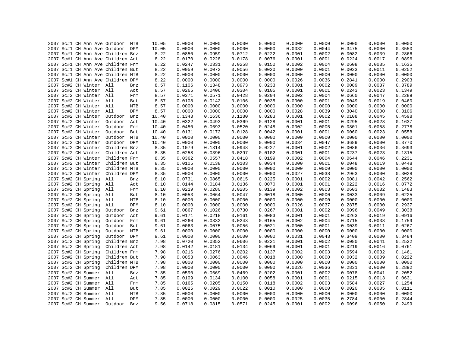| 2007 Sc#1 CH Ann Ave Outdoor MTB  |     |                              | 10.05        | 0.0000 | 0.0000 | 0.0000           | 0.0000 | 0.0000 | 0.0000 | 0.0000           | 0.0000 | 0.0000 |
|-----------------------------------|-----|------------------------------|--------------|--------|--------|------------------|--------|--------|--------|------------------|--------|--------|
| 2007 Sc#1 CH Ann Ave Outdoor DPM  |     |                              | 10.05        | 0.0000 | 0.0000 | 0.0000           | 0.0000 | 0.0032 | 0.0044 | 0.3475           | 0.0000 | 0.3550 |
| 2007 Sc#1 CH Ann Ave Children Bnz |     |                              | 8.22         | 0.0850 | 0.0959 | 0.0712           | 0.0222 | 0.0001 | 0.0002 | 0.0082           | 0.0039 | 0.2866 |
| 2007 Sc#1 CH Ann Ave Children Act |     |                              | 8.22         | 0.0170 | 0.0228 | 0.0178           | 0.0076 | 0.0001 | 0.0001 | 0.0224           | 0.0017 | 0.0896 |
| 2007 Sc#1 CH Ann Ave Children Frm |     |                              | 8.22         | 0.0247 | 0.0331 | 0.0258           | 0.0150 | 0.0002 | 0.0004 | 0.0608           | 0.0035 | 0.1635 |
| 2007 Sc#1 CH Ann Ave Children But |     |                              | 8.22         | 0.0059 | 0.0072 | 0.0056           | 0.0020 | 0.0000 | 0.0001 | 0.0033           | 0.0011 | 0.0252 |
| 2007 Sc#1 CH Ann Ave Children MTB |     |                              | 8.22         | 0.0000 | 0.0000 | 0.0000           | 0.0000 | 0.0000 | 0.0000 | 0.0000           | 0.0000 | 0.0000 |
| 2007 Sc#1 CH Ann Ave Children DPM |     |                              | 8.22         | 0.0000 | 0.0000 | 0.0000           | 0.0000 | 0.0026 | 0.0036 | 0.2841           | 0.0000 | 0.2903 |
| 2007 Sc#2 CH Winter All           |     | Bnz                          | 8.57         | 0.1106 | 0.1348 | 0.0973           | 0.0233 | 0.0001 | 0.0002 | 0.0089           | 0.0037 | 0.3789 |
| 2007 Sc#2 CH Winter All           |     | Act                          | 8.57         | 0.0265 | 0.0406 | 0.0304           | 0.0105 | 0.0001 | 0.0001 | 0.0243           | 0.0023 | 0.1349 |
| 2007 Sc#2 CH Winter All           |     | Frm                          | 8.57         | 0.0371 | 0.0571 | 0.0428           | 0.0204 | 0.0002 | 0.0004 | 0.0660           | 0.0047 | 0.2289 |
| 2007 Sc#2 CH Winter All           |     | But                          | 8.57         | 0.0108 | 0.0142 | 0.0106           | 0.0035 | 0.0000 | 0.0001 | 0.0049           | 0.0019 | 0.0460 |
| 2007 Sc#2 CH Winter All           |     | MTB                          | 8.57         | 0.0000 | 0.0000 | 0.0000           | 0.0000 | 0.0000 | 0.0000 | 0.0000           | 0.0000 | 0.0000 |
| 2007 Sc#2 CH Winter All           |     | DPM                          | 8.57         | 0.0000 | 0.0000 | 0.0000           | 0.0000 | 0.0028 | 0.0039 | 0.3040           | 0.0000 | 0.3106 |
| 2007 Sc#2 CH Winter               |     | Outdoor<br>Bnz               | 10.40        | 0.1343 | 0.1636 | 0.1180           | 0.0283 | 0.0001 | 0.0002 | 0.0108           | 0.0045 | 0.4598 |
| 2007 Sc#2 CH Winter               |     | Outdoor Act                  | 10.40        | 0.0322 | 0.0493 | 0.0369           | 0.0128 | 0.0001 | 0.0001 | 0.0295           | 0.0028 | 0.1637 |
| 2007 Sc#2 CH Winter               |     | Outdoor Frm                  | 10.40        | 0.0450 | 0.0693 | 0.0520           | 0.0248 | 0.0002 | 0.0005 | 0.0801           | 0.0058 | 0.2778 |
| 2007 Sc#2 CH Winter               |     | Outdoor But                  | 10.40        | 0.0131 | 0.0172 | 0.0128           | 0.0042 | 0.0001 | 0.0001 | 0.0060           | 0.0023 | 0.0558 |
| 2007 Sc#2 CH Winter               |     | Outdoor MTB                  | 10.40        | 0.0000 | 0.0000 | 0.0000           | 0.0000 | 0.0000 | 0.0000 | 0.0000           | 0.0000 | 0.0000 |
| 2007 Sc#2 CH Winter               |     | Outdoor DPM                  | 10.40        | 0.0000 | 0.0000 | 0.0000           | 0.0000 | 0.0034 | 0.0047 | 0.3689           | 0.0000 | 0.3770 |
| 2007 Sc#2 CH Winter               |     | Children Bnz                 | 8.35         | 0.1079 | 0.1314 | 0.0948           | 0.0227 | 0.0001 | 0.0002 | 0.0086           | 0.0036 | 0.3693 |
| 2007 Sc#2 CH Winter               |     | Children Act                 | 8.35         | 0.0258 | 0.0396 | 0.0297           | 0.0102 | 0.0001 | 0.0001 | 0.0237           | 0.0023 | 0.1315 |
| 2007 Sc#2 CH Winter               |     | Children Frm                 | 8.35         | 0.0362 | 0.0557 | 0.0418           | 0.0199 | 0.0002 | 0.0004 | 0.0644           | 0.0046 | 0.2231 |
| 2007 Sc#2 CH Winter               |     | Children But                 | 8.35         | 0.0105 | 0.0138 | 0.0103           | 0.0034 | 0.0000 | 0.0001 | 0.0048           | 0.0019 | 0.0448 |
| 2007 Sc#2 CH Winter               |     | Children MTB                 | 8.35         | 0.0000 | 0.0000 | 0.0000           | 0.0000 | 0.0000 | 0.0000 | 0.0000           | 0.0000 | 0.0000 |
| 2007 Sc#2 CH Winter Children DPM  |     |                              | 8.35         | 0.0000 | 0.0000 | 0.0000           | 0.0000 | 0.0027 | 0.0038 | 0.2963           | 0.0000 | 0.3028 |
| 2007 Sc#2 CH Spring               | All | Bnz                          | 8.10         | 0.0731 | 0.0865 | 0.0615           | 0.0225 | 0.0001 | 0.0002 | 0.0081           | 0.0042 | 0.2562 |
| 2007 Sc#2 CH Spring               | All | Act                          | 8.10         | 0.0144 | 0.0184 | 0.0136           | 0.0070 | 0.0001 | 0.0001 | 0.0222           | 0.0016 | 0.0772 |
| 2007 Sc#2 CH Spring               | All | Frm                          | 8.10         | 0.0219 | 0.0280 | 0.0205           | 0.0139 | 0.0002 | 0.0003 | 0.0603           | 0.0032 | 0.1483 |
| 2007 Sc#2 CH Spring               | All | But                          | 8.10         | 0.0053 | 0.0064 | 0.0047           | 0.0018 | 0.0000 | 0.0000 | 0.0033           | 0.0009 | 0.0225 |
| 2007 Sc#2 CH Spring               | All | MTB                          | 8.10         | 0.0000 | 0.0000 | 0.0000           | 0.0000 | 0.0000 | 0.0000 | 0.0000           | 0.0000 | 0.0000 |
| 2007 Sc#2 CH Spring               | All | DPM                          | 8.10         | 0.0000 | 0.0000 | 0.0000           | 0.0000 | 0.0026 | 0.0037 | 0.2875           | 0.0000 | 0.2937 |
| 2007 Sc#2 CH Spring               |     | Outdoor<br>Bnz               | 9.61         | 0.0867 | 0.1026 | 0.0730           | 0.0267 | 0.0001 | 0.0002 | 0.0096           | 0.0049 | 0.3038 |
| 2007 Sc#2 CH Spring               |     | Outdoor<br>Act               | 9.61         | 0.0171 | 0.0218 | 0.0161           | 0.0083 | 0.0001 | 0.0001 | 0.0263           | 0.0019 | 0.0916 |
| 2007 Sc#2 CH Spring               |     | Outdoor<br>Frm               | 9.61         | 0.0260 | 0.0332 | 0.0243           | 0.0165 | 0.0002 | 0.0004 | 0.0715           | 0.0038 | 0.1759 |
| 2007 Sc#2 CH Spring               |     | Outdoor<br>But               | 9.61         | 0.0063 | 0.0075 | 0.0056           | 0.0021 | 0.0000 | 0.0001 | 0.0039           | 0.0011 | 0.0267 |
| 2007 Sc#2 CH Spring               |     | Outdoor MTB                  | 9.61         | 0.0000 | 0.0000 | 0.0000           | 0.0000 | 0.0000 | 0.0000 | 0.0000           | 0.0000 | 0.0000 |
| 2007 Sc#2 CH Spring               |     | Outdoor DPM                  |              | 0.0000 | 0.0000 |                  | 0.0000 | 0.0031 | 0.0043 |                  | 0.0000 | 0.3484 |
|                                   |     |                              | 9.61         | 0.0720 | 0.0852 | 0.0000           | 0.0221 | 0.0001 | 0.0002 | 0.3409<br>0.0080 | 0.0041 | 0.2522 |
| 2007 Sc#2 CH Spring               |     | Children Bnz<br>Children Act | 7.98<br>7.98 | 0.0142 | 0.0181 | 0.0606<br>0.0134 | 0.0069 | 0.0001 | 0.0001 | 0.0219           | 0.0016 | 0.0761 |
| 2007 Sc#2 CH Spring               |     |                              |              | 0.0216 |        |                  |        |        | 0.0003 | 0.0594           |        |        |
| 2007 Sc#2 CH Spring               |     | Children Frm                 | 7.98         |        | 0.0276 | 0.0202           | 0.0137 | 0.0002 |        |                  | 0.0032 | 0.1461 |
| 2007 Sc#2 CH Spring               |     | Children But                 | 7.98         | 0.0053 | 0.0063 | 0.0046           | 0.0018 | 0.0000 | 0.0000 | 0.0032           | 0.0009 | 0.0222 |
| 2007 Sc#2 CH Spring               |     | Children MTB                 | 7.98         | 0.0000 | 0.0000 | 0.0000           | 0.0000 | 0.0000 | 0.0000 | 0.0000           | 0.0000 | 0.0000 |
| 2007 Sc#2 CH Spring               |     | Children DPM                 | 7.98         | 0.0000 | 0.0000 | 0.0000           | 0.0000 | 0.0026 | 0.0036 | 0.2831           | 0.0000 | 0.2892 |
| 2007 Sc#2 CH Summer All           |     | Bnz                          | 7.85         | 0.0590 | 0.0669 | 0.0469           | 0.0202 | 0.0001 | 0.0002 | 0.0078           | 0.0041 | 0.2052 |
| 2007 Sc#2 CH Summer All           |     | Act                          | 7.85         | 0.0109 | 0.0134 | 0.0100           | 0.0058 | 0.0001 | 0.0001 | 0.0215           | 0.0013 | 0.0631 |
| 2007 Sc#2 CH Summer All           |     | Frm                          | 7.85         | 0.0165 | 0.0205 | 0.0150           | 0.0118 | 0.0002 | 0.0003 | 0.0584           | 0.0027 | 0.1254 |
| 2007 Sc#2 CH Summer All           |     | But                          | 7.85         | 0.0025 | 0.0029 | 0.0022           | 0.0010 | 0.0000 | 0.0000 | 0.0020           | 0.0005 | 0.0111 |
| 2007 Sc#2 CH Summer All           |     | MTB                          | 7.85         | 0.0000 | 0.0000 | 0.0000           | 0.0000 | 0.0000 | 0.0000 | 0.0000           | 0.0000 | 0.0000 |
| 2007 Sc#2 CH Summer All           |     | DPM                          | 7.85         | 0.0000 | 0.0000 | 0.0000           | 0.0000 | 0.0025 | 0.0035 | 0.2784           | 0.0000 | 0.2844 |
| 2007 Sc#2 CH Summer               |     | Outdoor<br>Bnz               | 9.56         | 0.0718 | 0.0815 | 0.0571           | 0.0245 | 0.0001 | 0.0002 | 0.0096           | 0.0050 | 0.2499 |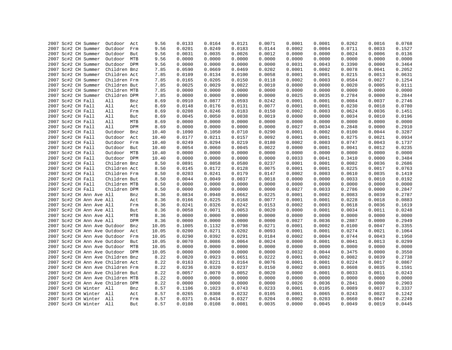|  | 2007 Sc#2 CH Summer               |              |     | 9.56  | 0.0133 | 0.0164 | 0.0121 | 0.0071 | 0.0001 | 0.0001 | 0.0262 | 0.0016 | 0.0768 |
|--|-----------------------------------|--------------|-----|-------|--------|--------|--------|--------|--------|--------|--------|--------|--------|
|  | 2007 Sc#2 CH Summer               | Outdoor      | Act |       | 0.0201 | 0.0249 | 0.0183 | 0.0144 | 0.0002 | 0.0004 |        | 0.0033 | 0.1527 |
|  |                                   | Outdoor      | Frm | 9.56  |        |        |        |        |        |        | 0.0711 |        |        |
|  | 2007 Sc#2 CH Summer               | Outdoor      | But | 9.56  | 0.0031 | 0.0035 | 0.0026 | 0.0012 | 0.0000 | 0.0000 | 0.0024 | 0.0006 | 0.0136 |
|  | 2007 Sc#2 CH Summer               | Outdoor      | MTB | 9.56  | 0.0000 | 0.0000 | 0.0000 | 0.0000 | 0.0000 | 0.0000 | 0.0000 | 0.0000 | 0.0000 |
|  | 2007 Sc#2 CH Summer               | Outdoor DPM  |     | 9.56  | 0.0000 | 0.0000 | 0.0000 | 0.0000 | 0.0031 | 0.0043 | 0.3390 | 0.0000 | 0.3464 |
|  | 2007 Sc#2 CH Summer               | Children Bnz |     | 7.85  | 0.0590 | 0.0669 | 0.0469 | 0.0202 | 0.0001 | 0.0002 | 0.0078 | 0.0041 | 0.2052 |
|  | 2007 Sc#2 CH Summer               | Children Act |     | 7.85  | 0.0109 | 0.0134 | 0.0100 | 0.0058 | 0.0001 | 0.0001 | 0.0215 | 0.0013 | 0.0631 |
|  | 2007 Sc#2 CH Summer               | Children Frm |     | 7.85  | 0.0165 | 0.0205 | 0.0150 | 0.0118 | 0.0002 | 0.0003 | 0.0584 | 0.0027 | 0.1254 |
|  | 2007 Sc#2 CH Summer               | Children But |     | 7.85  | 0.0025 | 0.0029 | 0.0022 | 0.0010 | 0.0000 | 0.0000 | 0.0020 | 0.0005 | 0.0111 |
|  | 2007 Sc#2 CH Summer               | Children MTB |     | 7.85  | 0.0000 | 0.0000 | 0.0000 | 0.0000 | 0.0000 | 0.0000 | 0.0000 | 0.0000 | 0.0000 |
|  | 2007 Sc#2 CH Summer               | Children DPM |     | 7.85  | 0.0000 | 0.0000 | 0.0000 | 0.0000 | 0.0025 | 0.0035 | 0.2784 | 0.0000 | 0.2844 |
|  | 2007 Sc#2 CH Fall                 | All          | Bnz | 8.69  | 0.0910 | 0.0877 | 0.0593 | 0.0242 | 0.0001 | 0.0001 | 0.0084 | 0.0037 | 0.2746 |
|  | 2007 Sc#2 CH Fall                 | All          | Act | 8.69  | 0.0148 | 0.0176 | 0.0131 | 0.0077 | 0.0001 | 0.0001 | 0.0230 | 0.0018 | 0.0780 |
|  | 2007 Sc#2 CH Fall                 | All          | Frm | 8.69  | 0.0208 | 0.0246 | 0.0183 | 0.0150 | 0.0002 | 0.0003 | 0.0624 | 0.0036 | 0.1451 |
|  | 2007 Sc#2 CH Fall                 | All          | But | 8.69  | 0.0045 | 0.0050 | 0.0038 | 0.0019 | 0.0000 | 0.0000 | 0.0034 | 0.0010 | 0.0196 |
|  | 2007 Sc#2 CH Fall                 | All          | MTB | 8.69  | 0.0000 | 0.0000 | 0.0000 | 0.0000 | 0.0000 | 0.0000 | 0.0000 | 0.0000 | 0.0000 |
|  | 2007 Sc#2 CH Fall                 | All          | DPM | 8.69  | 0.0000 | 0.0000 | 0.0000 | 0.0000 | 0.0027 | 0.0034 | 0.2848 | 0.0000 | 0.2910 |
|  | 2007 Sc#2 CH Fall                 | Outdoor      | Bnz | 10.40 | 0.1090 | 0.1050 | 0.0710 | 0.0290 | 0.0001 | 0.0002 | 0.0100 | 0.0044 | 0.3287 |
|  | 2007 Sc#2 CH Fall                 | Outdoor      | Act | 10.40 | 0.0177 | 0.0211 | 0.0157 | 0.0092 | 0.0001 | 0.0001 | 0.0275 | 0.0021 | 0.0934 |
|  | 2007 Sc#2 CH Fall                 | Outdoor Frm  |     | 10.40 | 0.0249 | 0.0294 | 0.0219 | 0.0180 | 0.0002 | 0.0003 | 0.0747 | 0.0043 | 0.1737 |
|  | 2007 Sc#2 CH Fall                 | Outdoor      | But | 10.40 | 0.0054 | 0.0060 | 0.0045 | 0.0022 | 0.0000 | 0.0001 | 0.0041 | 0.0012 | 0.0235 |
|  | 2007 Sc#2 CH Fall                 | Outdoor MTB  |     | 10.40 | 0.0000 | 0.0000 | 0.0000 | 0.0000 | 0.0000 | 0.0000 | 0.0000 | 0.0000 | 0.0000 |
|  | 2007 Sc#2 CH Fall                 | Outdoor DPM  |     | 10.40 | 0.0000 | 0.0000 | 0.0000 | 0.0000 | 0.0033 | 0.0041 | 0.3410 | 0.0000 | 0.3484 |
|  | 2007 Sc#2 CH Fall                 | Children Bnz |     | 8.50  | 0.0891 | 0.0858 | 0.0580 | 0.0237 | 0.0001 | 0.0001 | 0.0082 | 0.0036 | 0.2686 |
|  | 2007 Sc#2 CH Fall                 | Children Act |     | 8.50  | 0.0145 | 0.0172 | 0.0128 | 0.0075 | 0.0001 | 0.0001 | 0.0225 | 0.0017 | 0.0763 |
|  | 2007 Sc#2 CH Fall                 | Children Frm |     | 8.50  | 0.0203 | 0.0241 | 0.0179 | 0.0147 | 0.0002 | 0.0003 | 0.0610 | 0.0035 | 0.1419 |
|  | 2007 Sc#2 CH Fall                 | Children But |     | 8.50  | 0.0044 | 0.0049 | 0.0037 | 0.0018 | 0.0000 | 0.0000 | 0.0033 | 0.0010 | 0.0192 |
|  | 2007 Sc#2 CH Fall                 | Children MTB |     | 8.50  | 0.0000 | 0.0000 | 0.0000 | 0.0000 | 0.0000 | 0.0000 | 0.0000 | 0.0000 | 0.0000 |
|  | 2007 Sc#2 CH Fall                 | Children DPM |     | 8.50  | 0.0000 | 0.0000 | 0.0000 | 0.0000 | 0.0027 | 0.0033 | 0.2786 | 0.0000 | 0.2847 |
|  | 2007 Sc#2 CH Ann Ave All          |              | Bnz | 8.36  | 0.0834 | 0.0940 | 0.0662 | 0.0225 | 0.0001 | 0.0002 | 0.0083 | 0.0039 | 0.2787 |
|  | 2007 Sc#2 CH Ann Ave All          |              |     | 8.36  |        | 0.0225 | 0.0168 | 0.0077 | 0.0001 | 0.0001 | 0.0228 | 0.0018 | 0.0883 |
|  |                                   |              | Act |       | 0.0166 |        |        |        |        |        |        |        |        |
|  | 2007 Sc#2 CH Ann Ave All          |              | Frm | 8.36  | 0.0241 | 0.0326 | 0.0242 | 0.0153 | 0.0002 | 0.0003 | 0.0618 | 0.0036 | 0.1619 |
|  | 2007 Sc#2 CH Ann Ave All          |              | But | 8.36  | 0.0058 | 0.0071 | 0.0053 | 0.0020 | 0.0000 | 0.0001 | 0.0034 | 0.0011 | 0.0248 |
|  | 2007 Sc#2 CH Ann Ave All          |              | MTB | 8.36  | 0.0000 | 0.0000 | 0.0000 | 0.0000 | 0.0000 | 0.0000 | 0.0000 | 0.0000 | 0.0000 |
|  | 2007 Sc#2 CH Ann Ave All          |              | DPM | 8.36  | 0.0000 | 0.0000 | 0.0000 | 0.0000 | 0.0027 | 0.0036 | 0.2887 | 0.0000 | 0.2949 |
|  | 2007 Sc#2 CH Ann Ave Outdoor      |              | Bnz | 10.05 | 0.1005 | 0.1132 | 0.0798 | 0.0271 | 0.0001 | 0.0002 | 0.0100 | 0.0047 | 0.3355 |
|  | 2007 Sc#2 CH Ann Ave Outdoor Act  |              |     | 10.05 | 0.0200 | 0.0271 | 0.0202 | 0.0093 | 0.0001 | 0.0001 | 0.0274 | 0.0021 | 0.1064 |
|  | 2007 Sc#2 CH Ann Ave Outdoor      |              | Frm | 10.05 | 0.0290 | 0.0392 | 0.0291 | 0.0184 | 0.0002 | 0.0004 | 0.0744 | 0.0043 | 0.1950 |
|  | 2007 Sc#2 CH Ann Ave Outdoor      |              | But | 10.05 | 0.0070 | 0.0086 | 0.0064 | 0.0024 | 0.0000 | 0.0001 | 0.0041 | 0.0013 | 0.0299 |
|  | 2007 Sc#2 CH Ann Ave Outdoor MTB  |              |     | 10.05 | 0.0000 | 0.0000 | 0.0000 | 0.0000 | 0.0000 | 0.0000 | 0.0000 | 0.0000 | 0.0000 |
|  | 2007 Sc#2 CH Ann Ave Outdoor DPM  |              |     | 10.05 | 0.0000 | 0.0000 | 0.0000 | 0.0000 | 0.0032 | 0.0044 | 0.3475 | 0.0000 | 0.3550 |
|  | 2007 Sc#2 CH Ann Ave Children Bnz |              |     | 8.22  | 0.0820 | 0.0923 | 0.0651 | 0.0222 | 0.0001 | 0.0002 | 0.0082 | 0.0039 | 0.2738 |
|  | 2007 Sc#2 CH Ann Ave Children Act |              |     | 8.22  | 0.0163 | 0.0221 | 0.0164 | 0.0076 | 0.0001 | 0.0001 | 0.0224 | 0.0017 | 0.0867 |
|  | 2007 Sc#2 CH Ann Ave Children Frm |              |     | 8.22  | 0.0236 | 0.0320 | 0.0237 | 0.0150 | 0.0002 | 0.0003 | 0.0608 | 0.0035 | 0.1591 |
|  | 2007 Sc#2 CH Ann Ave Children But |              |     | 8.22  | 0.0057 | 0.0070 | 0.0052 | 0.0020 | 0.0000 | 0.0001 | 0.0033 | 0.0011 | 0.0243 |
|  | 2007 Sc#2 CH Ann Ave Children MTB |              |     | 8.22  | 0.0000 | 0.0000 | 0.0000 | 0.0000 | 0.0000 | 0.0000 | 0.0000 | 0.0000 | 0.0000 |
|  | 2007 Sc#2 CH Ann Ave Children DPM |              |     | 8.22  | 0.0000 | 0.0000 | 0.0000 | 0.0000 | 0.0026 | 0.0036 | 0.2841 | 0.0000 | 0.2903 |
|  | 2007 Sc#3 CH Winter All           |              | Bnz | 8.57  | 0.1106 | 0.1023 | 0.0743 | 0.0233 | 0.0001 | 0.0105 | 0.0089 | 0.0037 | 0.3337 |
|  | 2007 Sc#3 CH Winter All           |              | Act | 8.57  | 0.0265 | 0.0308 | 0.0232 | 0.0105 | 0.0001 | 0.0065 | 0.0243 | 0.0023 | 0.1242 |
|  | 2007 Sc#3 CH Winter All           |              | Frm | 8.57  | 0.0371 | 0.0434 | 0.0327 | 0.0204 | 0.0002 | 0.0203 | 0.0660 | 0.0047 | 0.2249 |
|  | 2007 Sc#3 CH Winter All           |              | But | 8.57  | 0.0108 | 0.0108 | 0.0081 | 0.0035 | 0.0000 | 0.0045 | 0.0049 | 0.0019 | 0.0445 |
|  |                                   |              |     |       |        |        |        |        |        |        |        |        |        |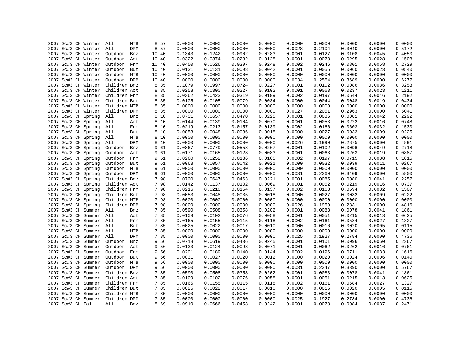| 2007 Sc#3 CH Winter     | All<br>MTB     | 8.57  | 0.0000 | 0.0000 | 0.0000           | 0.0000           | 0.0000 | 0.0000           | 0.0000 | 0.0000           | 0.0000 |
|-------------------------|----------------|-------|--------|--------|------------------|------------------|--------|------------------|--------|------------------|--------|
| 2007 Sc#3 CH Winter     | All<br>DPM     | 8.57  | 0.0000 | 0.0000 | 0.0000           | 0.0000           | 0.0028 | 0.2104           | 0.3040 | 0.0000           | 0.5172 |
|                         |                |       |        |        |                  |                  |        |                  |        |                  | 0.4050 |
| 2007 Sc#3 CH Winter     | Outdoor<br>Bnz | 10.40 | 0.1343 | 0.1242 | 0.0902           | 0.0283           | 0.0001 | 0.0127           | 0.0108 | 0.0045           |        |
| 2007 Sc#3 CH Winter     | Outdoor<br>Act | 10.40 | 0.0322 | 0.0374 | 0.0282           | 0.0128           | 0.0001 | 0.0078           | 0.0295 | 0.0028           | 0.1508 |
| 2007 Sc#3 CH Winter     | Outdoor Frm    | 10.40 | 0.0450 | 0.0526 | 0.0397           | 0.0248           | 0.0002 | 0.0246           | 0.0801 | 0.0058           | 0.2729 |
| 2007 Sc#3 CH Winter     | Outdoor<br>But | 10.40 | 0.0131 | 0.0131 | 0.0098           | 0.0042           | 0.0001 | 0.0055           | 0.0060 | 0.0023           | 0.0540 |
| 2007 Sc#3 CH Winter     | Outdoor MTB    | 10.40 | 0.0000 | 0.0000 | 0.0000           | 0.0000           | 0.0000 | 0.0000           | 0.0000 | 0.0000           | 0.0000 |
| 2007 Sc#3 CH Winter     | Outdoor DPM    | 10.40 | 0.0000 | 0.0000 | 0.0000           | 0.0000           | 0.0034 | 0.2554           | 0.3689 | 0.0000           | 0.6277 |
| 2007 Sc#3 CH Winter     | Children Bnz   | 8.35  | 0.1079 | 0.0997 | 0.0724           | 0.0227           | 0.0001 | 0.0102           | 0.0086 | 0.0036           | 0.3253 |
| 2007 Sc#3 CH Winter     | Children Act   | 8.35  | 0.0258 | 0.0300 | 0.0227           | 0.0102           | 0.0001 | 0.0063           | 0.0237 | 0.0023           | 0.1211 |
| 2007 Sc#3 CH Winter     | Children Frm   | 8.35  | 0.0362 | 0.0423 | 0.0319           | 0.0199           | 0.0002 | 0.0197           | 0.0644 | 0.0046           | 0.2192 |
| 2007 Sc#3 CH Winter     | Children But   | 8.35  | 0.0105 | 0.0105 | 0.0079           | 0.0034           | 0.0000 | 0.0044           | 0.0048 | 0.0019           | 0.0434 |
| 2007 Sc#3 CH Winter     | Children MTB   | 8.35  | 0.0000 | 0.0000 | 0.0000           | 0.0000           | 0.0000 | 0.0000           | 0.0000 | 0.0000           | 0.0000 |
| 2007 Sc#3 CH Winter     | Children DPM   | 8.35  | 0.0000 | 0.0000 | 0.0000           | 0.0000           | 0.0027 | 0.2051           | 0.2963 | 0.0000           | 0.5041 |
| 2007 Sc#3 CH Spring     | All<br>Bnz     | 8.10  | 0.0731 | 0.0657 | 0.0470           | 0.0225           | 0.0001 | 0.0086           | 0.0081 | 0.0042           | 0.2292 |
| 2007 Sc#3 CH Spring     | All<br>Act     | 8.10  | 0.0144 | 0.0139 | 0.0104           | 0.0070           | 0.0001 | 0.0053           | 0.0222 | 0.0016           | 0.0748 |
| 2007 Sc#3 CH Spring     | All<br>Frm     | 8.10  | 0.0219 | 0.0213 | 0.0157           | 0.0139           | 0.0002 | 0.0166           | 0.0603 | 0.0032           | 0.1530 |
| 2007 Sc#3 CH Spring     | All<br>But     | 8.10  | 0.0053 | 0.0048 | 0.0036           | 0.0018           | 0.0000 | 0.0027           | 0.0033 | 0.0009           | 0.0225 |
| 2007 Sc#3 CH Spring     | All<br>MTB     | 8.10  | 0.0000 | 0.0000 | 0.0000           | 0.0000           | 0.0000 | 0.0000           | 0.0000 | 0.0000           | 0.0000 |
| 2007 Sc#3 CH Spring     | All<br>DPM     | 8.10  | 0.0000 | 0.0000 | 0.0000           | 0.0000           | 0.0026 | 0.1990           | 0.2875 | 0.0000           | 0.4891 |
| 2007 Sc#3 CH Spring     | Outdoor<br>Bnz | 9.61  | 0.0867 | 0.0779 | 0.0558           | 0.0267           | 0.0001 | 0.0102           | 0.0096 | 0.0049           | 0.2718 |
| 2007 Sc#3 CH Spring     | Outdoor<br>Act | 9.61  | 0.0171 | 0.0165 | 0.0123           | 0.0083           | 0.0001 | 0.0063           | 0.0263 | 0.0019           | 0.0887 |
| 2007 Sc#3 CH Spring     | Outdoor<br>Frm | 9.61  | 0.0260 | 0.0252 | 0.0186           | 0.0165           | 0.0002 | 0.0197           | 0.0715 | 0.0038           | 0.1815 |
| 2007 Sc#3 CH Spring     | Outdoor But    | 9.61  | 0.0063 | 0.0057 | 0.0042           | 0.0021           | 0.0000 | 0.0032           | 0.0039 | 0.0011           | 0.0267 |
| 2007 Sc#3 CH Spring     | Outdoor MTB    | 9.61  | 0.0000 | 0.0000 | 0.0000           | 0.0000           | 0.0000 | 0.0000           | 0.0000 | 0.0000           | 0.0000 |
| 2007 Sc#3 CH Spring     | Outdoor DPM    | 9.61  | 0.0000 | 0.0000 | 0.0000           | 0.0000           | 0.0031 | 0.2360           | 0.3409 | 0.0000           | 0.5800 |
| 2007 Sc#3 CH Spring     | Children Bnz   | 7.98  | 0.0720 | 0.0647 | 0.0463           | 0.0221           | 0.0001 | 0.0085           | 0.0080 | 0.0041           | 0.2257 |
| 2007 Sc#3 CH Spring     | Children Act   | 7.98  | 0.0142 | 0.0137 | 0.0102           | 0.0069           | 0.0001 | 0.0052           | 0.0219 | 0.0016           | 0.0737 |
| 2007 Sc#3 CH Spring     | Children Frm   | 7.98  | 0.0216 | 0.0210 | 0.0154           | 0.0137           | 0.0002 | 0.0163           | 0.0594 | 0.0032           | 0.1507 |
| 2007 Sc#3 CH Spring     | Children But   | 7.98  | 0.0053 | 0.0048 | 0.0035           | 0.0018           | 0.0000 | 0.0027           | 0.0032 | 0.0009           | 0.0222 |
| 2007 Sc#3 CH Spring     | Children MTB   | 7.98  | 0.0000 | 0.0000 | 0.0000           | 0.0000           | 0.0000 | 0.0000           | 0.0000 | 0.0000           | 0.0000 |
| 2007 Sc#3 CH Spring     | Children DPM   | 7.98  | 0.0000 | 0.0000 | 0.0000           | 0.0000           | 0.0026 | 0.1959           | 0.2831 | 0.0000           | 0.4816 |
| 2007 Sc#3 CH Summer All | Bnz            | 7.85  | 0.0590 | 0.0508 | 0.0358           | 0.0202           | 0.0001 | 0.0083           | 0.0078 | 0.0041           | 0.1861 |
| 2007 Sc#3 CH Summer All | Act            | 7.85  | 0.0109 | 0.0102 | 0.0076           | 0.0058           | 0.0001 | 0.0051           | 0.0215 | 0.0013           | 0.0625 |
| 2007 Sc#3 CH Summer All | Frm            | 7.85  | 0.0165 | 0.0155 | 0.0115           | 0.0118           | 0.0002 | 0.0161           | 0.0584 | 0.0027           | 0.1327 |
| 2007 Sc#3 CH Summer     | All<br>But     | 7.85  | 0.0025 | 0.0022 | 0.0017           | 0.0010           | 0.0000 | 0.0016           | 0.0020 | 0.0005           | 0.0115 |
| 2007 Sc#3 CH Summer     | All<br>MTB     | 7.85  | 0.0000 | 0.0000 | 0.0000           | 0.0000           | 0.0000 | 0.0000           | 0.0000 | 0.0000           | 0.0000 |
|                         | All<br>DPM     |       | 0.0000 | 0.0000 |                  |                  | 0.0025 |                  | 0.2784 |                  | 0.4736 |
| 2007 Sc#3 CH Summer     |                | 7.85  | 0.0718 | 0.0619 | 0.0000<br>0.0436 | 0.0000<br>0.0245 | 0.0001 | 0.1927<br>0.0101 | 0.0096 | 0.0000<br>0.0050 | 0.2267 |
| 2007 Sc#3 CH Summer     | Outdoor<br>Bnz | 9.56  |        |        |                  |                  |        |                  |        |                  | 0.0761 |
| 2007 Sc#3 CH Summer     | Outdoor<br>Act | 9.56  | 0.0133 | 0.0124 | 0.0093           | 0.0071           | 0.0001 | 0.0062           | 0.0262 | 0.0016           |        |
| 2007 Sc#3 CH Summer     | Outdoor<br>Frm | 9.56  | 0.0201 | 0.0189 | 0.0140           | 0.0144           | 0.0002 | 0.0196           | 0.0711 | 0.0033           | 0.1616 |
| 2007 Sc#3 CH Summer     | Outdoor But    | 9.56  | 0.0031 | 0.0027 | 0.0020           | 0.0012           | 0.0000 | 0.0020           | 0.0024 | 0.0006           | 0.0140 |
| 2007 Sc#3 CH Summer     | Outdoor MTB    | 9.56  | 0.0000 | 0.0000 | 0.0000           | 0.0000           | 0.0000 | 0.0000           | 0.0000 | 0.0000           | 0.0000 |
| 2007 Sc#3 CH Summer     | Outdoor DPM    | 9.56  | 0.0000 | 0.0000 | 0.0000           | 0.0000           | 0.0031 | 0.2347           | 0.3390 | 0.0000           | 0.5767 |
| 2007 Sc#3 CH Summer     | Children Bnz   | 7.85  | 0.0590 | 0.0508 | 0.0358           | 0.0202           | 0.0001 | 0.0083           | 0.0078 | 0.0041           | 0.1861 |
| 2007 Sc#3 CH Summer     | Children Act   | 7.85  | 0.0109 | 0.0102 | 0.0076           | 0.0058           | 0.0001 | 0.0051           | 0.0215 | 0.0013           | 0.0625 |
| 2007 Sc#3 CH Summer     | Children Frm   | 7.85  | 0.0165 | 0.0155 | 0.0115           | 0.0118           | 0.0002 | 0.0161           | 0.0584 | 0.0027           | 0.1327 |
| 2007 Sc#3 CH Summer     | Children But   | 7.85  | 0.0025 | 0.0022 | 0.0017           | 0.0010           | 0.0000 | 0.0016           | 0.0020 | 0.0005           | 0.0115 |
| 2007 Sc#3 CH Summer     | Children MTB   | 7.85  | 0.0000 | 0.0000 | 0.0000           | 0.0000           | 0.0000 | 0.0000           | 0.0000 | 0.0000           | 0.0000 |
| 2007 Sc#3 CH Summer     | Children DPM   | 7.85  | 0.0000 | 0.0000 | 0.0000           | 0.0000           | 0.0025 | 0.1927           | 0.2784 | 0.0000           | 0.4736 |
| 2007 Sc#3 CH Fall       | All<br>Bnz     | 8.69  | 0.0910 | 0.0666 | 0.0453           | 0.0242           | 0.0001 | 0.0078           | 0.0084 | 0.0037           | 0.2471 |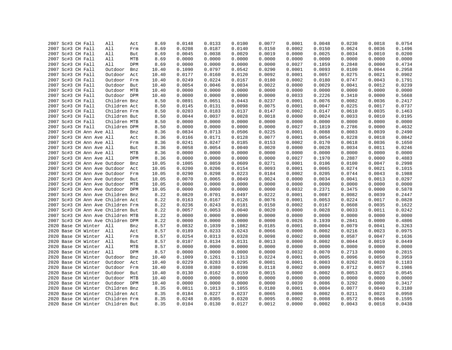|  | 2007 Sc#3 CH Fall                 | All          | Act | 8.69  | 0.0148 | 0.0133 | 0.0100 | 0.0077 | 0.0001 | 0.0048 | 0.0230 | 0.0018 | 0.0754 |
|--|-----------------------------------|--------------|-----|-------|--------|--------|--------|--------|--------|--------|--------|--------|--------|
|  | 2007 Sc#3 CH Fall                 | All          | Frm | 8.69  | 0.0208 | 0.0187 | 0.0140 | 0.0150 | 0.0002 | 0.0150 | 0.0624 | 0.0036 | 0.1496 |
|  | 2007 Sc#3 CH Fall                 | All          | But | 8.69  | 0.0045 | 0.0038 | 0.0029 | 0.0019 | 0.0000 | 0.0025 | 0.0034 | 0.0010 | 0.0200 |
|  | 2007 Sc#3 CH Fall                 | All          | MTB | 8.69  | 0.0000 | 0.0000 | 0.0000 | 0.0000 | 0.0000 | 0.0000 | 0.0000 | 0.0000 | 0.0000 |
|  | 2007 Sc#3 CH Fall                 | All          | DPM | 8.69  | 0.0000 | 0.0000 | 0.0000 | 0.0000 | 0.0027 | 0.1859 | 0.2848 | 0.0000 | 0.4734 |
|  | 2007 Sc#3 CH Fall                 | Outdoor      | Bnz | 10.40 | 0.1090 | 0.0797 | 0.0542 | 0.0290 | 0.0001 | 0.0093 | 0.0100 | 0.0044 | 0.2958 |
|  | 2007 Sc#3 CH Fall                 | Outdoor      | Act | 10.40 | 0.0177 | 0.0160 | 0.0120 | 0.0092 | 0.0001 | 0.0057 | 0.0275 | 0.0021 | 0.0902 |
|  | 2007 Sc#3 CH Fall                 | Outdoor      | Frm | 10.40 | 0.0249 | 0.0224 | 0.0167 | 0.0180 | 0.0002 | 0.0180 | 0.0747 | 0.0043 | 0.1791 |
|  | 2007 Sc#3 CH Fall                 | Outdoor But  |     | 10.40 | 0.0054 | 0.0046 | 0.0034 | 0.0022 | 0.0000 | 0.0029 | 0.0041 | 0.0012 | 0.0239 |
|  | 2007 Sc#3 CH Fall                 | Outdoor MTB  |     | 10.40 | 0.0000 | 0.0000 | 0.0000 | 0.0000 | 0.0000 | 0.0000 | 0.0000 | 0.0000 | 0.0000 |
|  | 2007 Sc#3 CH Fall                 | Outdoor DPM  |     | 10.40 | 0.0000 | 0.0000 | 0.0000 | 0.0000 | 0.0033 | 0.2226 | 0.3410 | 0.0000 | 0.5668 |
|  | 2007 Sc#3 CH Fall                 | Children Bnz |     | 8.50  | 0.0891 | 0.0651 | 0.0443 | 0.0237 | 0.0001 | 0.0076 | 0.0082 | 0.0036 | 0.2417 |
|  | 2007 Sc#3 CH Fall                 |              |     | 8.50  | 0.0145 | 0.0131 | 0.0098 | 0.0075 | 0.0001 | 0.0047 | 0.0225 | 0.0017 | 0.0737 |
|  |                                   | Children Act |     |       |        |        |        |        | 0.0002 |        |        |        |        |
|  | 2007 Sc#3 CH Fall                 | Children Frm |     | 8.50  | 0.0203 | 0.0183 | 0.0137 | 0.0147 |        | 0.0147 | 0.0610 | 0.0035 | 0.1463 |
|  | 2007 Sc#3 CH Fall                 | Children But |     | 8.50  | 0.0044 | 0.0037 | 0.0028 | 0.0018 | 0.0000 | 0.0024 | 0.0033 | 0.0010 | 0.0195 |
|  | 2007 Sc#3 CH Fall                 | Children MTB |     | 8.50  | 0.0000 | 0.0000 | 0.0000 | 0.0000 | 0.0000 | 0.0000 | 0.0000 | 0.0000 | 0.0000 |
|  | 2007 Sc#3 CH Fall                 | Children DPM |     | 8.50  | 0.0000 | 0.0000 | 0.0000 | 0.0000 | 0.0027 | 0.1819 | 0.2786 | 0.0000 | 0.4632 |
|  | 2007 Sc#3 CH Ann Ave All          |              | Bnz | 8.36  | 0.0834 | 0.0713 | 0.0506 | 0.0225 | 0.0001 | 0.0088 | 0.0083 | 0.0039 | 0.2490 |
|  | 2007 Sc#3 CH Ann Ave All          |              | Act | 8.36  | 0.0166 | 0.0171 | 0.0128 | 0.0077 | 0.0001 | 0.0054 | 0.0228 | 0.0018 | 0.0842 |
|  | 2007 Sc#3 CH Ann Ave All          |              | Frm | 8.36  | 0.0241 | 0.0247 | 0.0185 | 0.0153 | 0.0002 | 0.0170 | 0.0618 | 0.0036 | 0.1650 |
|  | 2007 Sc#3 CH Ann Ave All          |              | But | 8.36  | 0.0058 | 0.0054 | 0.0040 | 0.0020 | 0.0000 | 0.0028 | 0.0034 | 0.0011 | 0.0246 |
|  | 2007 Sc#3 CH Ann Ave All          |              | MTB | 8.36  | 0.0000 | 0.0000 | 0.0000 | 0.0000 | 0.0000 | 0.0000 | 0.0000 | 0.0000 | 0.0000 |
|  | 2007 Sc#3 CH Ann Ave All          |              | DPM | 8.36  | 0.0000 | 0.0000 | 0.0000 | 0.0000 | 0.0027 | 0.1970 | 0.2887 | 0.0000 | 0.4883 |
|  | 2007 Sc#3 CH Ann Ave Outdoor      |              | Bnz | 10.05 | 0.1005 | 0.0859 | 0.0609 | 0.0271 | 0.0001 | 0.0106 | 0.0100 | 0.0047 | 0.2998 |
|  | 2007 Sc#3 CH Ann Ave Outdoor      |              | Act | 10.05 | 0.0200 | 0.0206 | 0.0154 | 0.0093 | 0.0001 | 0.0065 | 0.0274 | 0.0021 | 0.1015 |
|  | 2007 Sc#3 CH Ann Ave Outdoor Frm  |              |     | 10.05 | 0.0290 | 0.0298 | 0.0223 | 0.0184 | 0.0002 | 0.0205 | 0.0744 | 0.0043 | 0.1988 |
|  | 2007 Sc#3 CH Ann Ave Outdoor      |              | But | 10.05 | 0.0070 | 0.0065 | 0.0049 | 0.0024 | 0.0000 | 0.0034 | 0.0041 | 0.0013 | 0.0297 |
|  | 2007 Sc#3 CH Ann Ave Outdoor MTB  |              |     | 10.05 | 0.0000 | 0.0000 | 0.0000 | 0.0000 | 0.0000 | 0.0000 | 0.0000 | 0.0000 | 0.0000 |
|  | 2007 Sc#3 CH Ann Ave Outdoor DPM  |              |     | 10.05 | 0.0000 | 0.0000 | 0.0000 | 0.0000 | 0.0032 | 0.2371 | 0.3475 | 0.0000 | 0.5878 |
|  | 2007 Sc#3 CH Ann Ave Children Bnz |              |     | 8.22  | 0.0820 | 0.0701 | 0.0497 | 0.0222 | 0.0001 | 0.0087 | 0.0082 | 0.0039 | 0.2447 |
|  | 2007 Sc#3 CH Ann Ave Children Act |              |     | 8.22  | 0.0163 | 0.0167 | 0.0126 | 0.0076 | 0.0001 | 0.0053 | 0.0224 | 0.0017 | 0.0828 |
|  | 2007 Sc#3 CH Ann Ave Children Frm |              |     | 8.22  | 0.0236 | 0.0243 | 0.0181 | 0.0150 | 0.0002 | 0.0167 | 0.0608 | 0.0035 | 0.1622 |
|  | 2007 Sc#3 CH Ann Ave Children But |              |     | 8.22  | 0.0057 | 0.0053 | 0.0040 | 0.0020 | 0.0000 | 0.0028 | 0.0033 | 0.0011 | 0.0242 |
|  | 2007 Sc#3 CH Ann Ave Children MTB |              |     | 8.22  | 0.0000 | 0.0000 | 0.0000 | 0.0000 | 0.0000 | 0.0000 | 0.0000 | 0.0000 | 0.0000 |
|  | 2007 Sc#3 CH Ann Ave Children DPM |              |     | 8.22  | 0.0000 | 0.0000 | 0.0000 | 0.0000 | 0.0026 | 0.1939 | 0.2841 | 0.0000 | 0.4806 |
|  | 2020 Base CH Winter All           |              | Bnz | 8.57  | 0.0832 | 0.1039 | 0.1082 | 0.0185 | 0.0001 | 0.0004 | 0.0079 | 0.0041 | 0.3263 |
|  | 2020 Base CH Winter All           |              |     | 8.57  | 0.0189 | 0.0233 | 0.0243 | 0.0066 |        |        | 0.0216 | 0.0023 | 0.0975 |
|  |                                   |              | Act |       |        |        |        |        | 0.0000 | 0.0002 |        |        |        |
|  | 2020 Base CH Winter All           |              | Frm | 8.57  | 0.0254 | 0.0313 | 0.0328 | 0.0098 | 0.0002 | 0.0008 | 0.0587 | 0.0047 | 0.1636 |
|  | 2020 Base CH Winter All           |              | But | 8.57  | 0.0107 | 0.0134 | 0.0131 | 0.0013 | 0.0000 | 0.0002 | 0.0044 | 0.0019 | 0.0449 |
|  | 2020 Base CH Winter All           |              | MTB | 8.57  | 0.0000 | 0.0000 | 0.0000 | 0.0000 | 0.0000 | 0.0000 | 0.0000 | 0.0000 | 0.0000 |
|  | 2020 Base CH Winter All           |              | DPM | 8.57  | 0.0000 | 0.0000 | 0.0000 | 0.0000 | 0.0032 | 0.0070 | 0.2713 | 0.0000 | 0.2815 |
|  | 2020 Base CH Winter               | Outdoor      | Bnz | 10.40 | 0.1009 | 0.1261 | 0.1313 | 0.0224 | 0.0001 | 0.0005 | 0.0096 | 0.0050 | 0.3959 |
|  | 2020 Base CH Winter               | Outdoor      | Act | 10.40 | 0.0229 | 0.0283 | 0.0295 | 0.0081 | 0.0001 | 0.0003 | 0.0262 | 0.0028 | 0.1183 |
|  | 2020 Base CH Winter               | Outdoor Frm  |     | 10.40 | 0.0308 | 0.0380 | 0.0398 | 0.0118 | 0.0002 | 0.0009 | 0.0712 | 0.0057 | 0.1986 |
|  | 2020 Base CH Winter               | Outdoor But  |     | 10.40 | 0.0130 | 0.0162 | 0.0159 | 0.0015 | 0.0000 | 0.0002 | 0.0053 | 0.0023 | 0.0545 |
|  | 2020 Base CH Winter               | Outdoor MTB  |     | 10.40 | 0.0000 | 0.0000 | 0.0000 | 0.0000 | 0.0000 | 0.0000 | 0.0000 | 0.0000 | 0.0000 |
|  | 2020 Base CH Winter               | Outdoor DPM  |     | 10.40 | 0.0000 | 0.0000 | 0.0000 | 0.0000 | 0.0039 | 0.0086 | 0.3292 | 0.0000 | 0.3417 |
|  | 2020 Base CH Winter               | Children Bnz |     | 8.35  | 0.0811 | 0.1013 | 0.1055 | 0.0180 | 0.0001 | 0.0004 | 0.0077 | 0.0040 | 0.3180 |
|  | 2020 Base CH Winter               | Children Act |     | 8.35  | 0.0184 | 0.0227 | 0.0237 | 0.0065 | 0.0000 | 0.0002 | 0.0211 | 0.0023 | 0.0950 |
|  | 2020 Base CH Winter               | Children Frm |     | 8.35  | 0.0248 | 0.0305 | 0.0320 | 0.0095 | 0.0002 | 0.0008 | 0.0572 | 0.0046 | 0.1595 |
|  | 2020 Base CH Winter               | Children But |     | 8.35  | 0.0104 | 0.0130 | 0.0127 | 0.0012 | 0.0000 | 0.0002 | 0.0043 | 0.0018 | 0.0438 |
|  |                                   |              |     |       |        |        |        |        |        |        |        |        |        |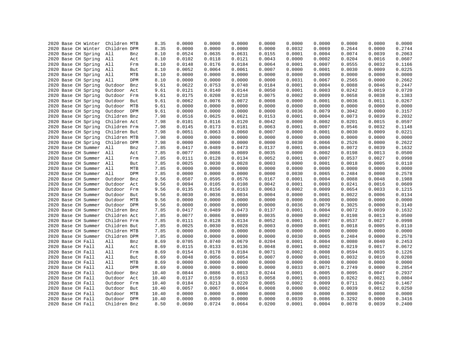| 2020 Base CH Winter                        | Children MTB                 | 8.35         | 0.0000           | 0.0000           | 0.0000 | 0.0000           | 0.0000           | 0.0000           | 0.0000           | 0.0000           | 0.0000           |
|--------------------------------------------|------------------------------|--------------|------------------|------------------|--------|------------------|------------------|------------------|------------------|------------------|------------------|
| 2020 Base CH Winter                        | Children DPM                 | 8.35         | 0.0000           | 0.0000           | 0.0000 | 0.0000           | 0.0032           | 0.0069           | 0.2644           | 0.0000           | 0.2744           |
| 2020 Base CH Spring                        | All<br>Bnz                   | 8.10         | 0.0524           | 0.0635           | 0.0631 | 0.0155           | 0.0001           | 0.0004           | 0.0074           | 0.0039           | 0.2063           |
| 2020 Base CH Spring                        | All<br>Act                   | 8.10         | 0.0102           | 0.0118           | 0.0121 | 0.0043           | 0.0000           | 0.0002           | 0.0204           | 0.0016           | 0.0607           |
| 2020 Base CH Spring                        | All<br>Frm                   | 8.10         | 0.0148           | 0.0176           | 0.0184 | 0.0064           | 0.0001           | 0.0007           | 0.0555           | 0.0032           | 0.1166           |
| 2020 Base CH Spring                        | All<br>But                   | 8.10         | 0.0052           | 0.0064           | 0.0061 | 0.0007           | 0.0000           | 0.0001           | 0.0030           | 0.0009           | 0.0225           |
| 2020 Base CH Spring                        | MTB<br>All                   | 8.10         | 0.0000           | 0.0000           | 0.0000 | 0.0000           | 0.0000           | 0.0000           | 0.0000           | 0.0000           | 0.0000           |
| 2020 Base CH Spring                        | All<br>DPM                   | 8.10         | 0.0000           | 0.0000           | 0.0000 | 0.0000           | 0.0031           | 0.0067           | 0.2565           | 0.0000           | 0.2662           |
| 2020 Base CH Spring                        | Outdoor<br>Bnz               | 9.61         | 0.0622           | 0.0753           | 0.0748 | 0.0184           | 0.0001           | 0.0004           | 0.0088           | 0.0046           | 0.2447           |
| 2020 Base CH Spring                        | Outdoor<br>Act               | 9.61         | 0.0121           | 0.0140           | 0.0144 | 0.0050           | 0.0001           | 0.0003           | 0.0242           | 0.0019           | 0.0720           |
| 2020 Base CH Spring                        | Outdoor Frm                  | 9.61         | 0.0175           | 0.0208           | 0.0218 | 0.0075           | 0.0002           | 0.0009           | 0.0658           | 0.0038           | 0.1383           |
| 2020 Base CH Spring                        | Outdoor<br>But               | 9.61         | 0.0062           | 0.0076           | 0.0072 | 0.0008           | 0.0000           | 0.0001           | 0.0036           | 0.0011           | 0.0267           |
| 2020 Base CH Spring                        | Outdoor MTB                  | 9.61         | 0.0000           | 0.0000           | 0.0000 | 0.0000           | 0.0000           | 0.0000           | 0.0000           | 0.0000           | 0.0000           |
| 2020 Base CH Spring                        | Outdoor DPM                  | 9.61         | 0.0000           | 0.0000           | 0.0000 | 0.0000           | 0.0036           | 0.0079           | 0.3042           | 0.0000           | 0.3157           |
| 2020 Base CH Spring                        | Children Bnz                 | 7.98         | 0.0516           | 0.0625           | 0.0621 | 0.0153           | 0.0001           | 0.0004           | 0.0073           | 0.0039           | 0.2032           |
| 2020 Base CH Spring                        | Children Act                 | 7.98         | 0.0101           | 0.0116           | 0.0120 | 0.0042           | 0.0000           | 0.0002           | 0.0201           | 0.0015           | 0.0597           |
| 2020 Base CH Spring                        | Children Frm                 | 7.98         | 0.0145           | 0.0173           | 0.0181 | 0.0063           | 0.0001           | 0.0007           | 0.0546           | 0.0032           | 0.1148           |
| 2020 Base CH Spring                        | Children But                 | 7.98         | 0.0051           | 0.0063           | 0.0060 | 0.0007           | 0.0000           | 0.0001           | 0.0030           | 0.0009           | 0.0221           |
| 2020 Base CH Spring                        | Children MTB                 | 7.98         | 0.0000           | 0.0000           | 0.0000 | 0.0000           | 0.0000           | 0.0000           | 0.0000           | 0.0000           | 0.0000           |
| 2020 Base CH Spring                        | Children DPM                 | 7.98         | 0.0000           | 0.0000           | 0.0000 | 0.0000           | 0.0030           | 0.0066           | 0.2526           | 0.0000           | 0.2622           |
| 2020 Base CH Summer                        | All<br>Bnz                   | 7.85         | 0.0417           | 0.0489           | 0.0473 | 0.0137           | 0.0001           | 0.0004           | 0.0072           | 0.0039           | 0.1632           |
| 2020 Base CH Summer                        | All<br>Act                   | 7.85         | 0.0077           | 0.0086           | 0.0089 | 0.0035           | 0.0000           | 0.0002           | 0.0198           | 0.0013           | 0.0500           |
| 2020 Base CH Summer                        | All<br>Frm                   | 7.85         | 0.0111           | 0.0128           | 0.0134 | 0.0052           | 0.0001           | 0.0007           | 0.0537           | 0.0027           | 0.0998           |
| 2020 Base CH Summer All                    | But                          | 7.85         | 0.0025           | 0.0030           | 0.0028 | 0.0003           | 0.0000           | 0.0001           | 0.0018           | 0.0005           | 0.0110           |
| 2020 Base CH Summer                        | All<br>MTB                   | 7.85         | 0.0000           | 0.0000           | 0.0000 | 0.0000           | 0.0000           | 0.0000           | 0.0000           | 0.0000           | 0.0000           |
| 2020 Base CH Summer                        | All<br>DPM                   | 7.85         | 0.0000           | 0.0000           | 0.0000 | 0.0000           | 0.0030           | 0.0065           | 0.2484           | 0.0000           | 0.2578           |
| 2020 Base CH Summer                        | Outdoor<br>Bnz               | 9.56         | 0.0507           | 0.0595           | 0.0576 | 0.0167           | 0.0001           | 0.0004           | 0.0088           | 0.0048           | 0.1988           |
| 2020 Base CH Summer                        | Outdoor<br>Act               | 9.56         | 0.0094           | 0.0105           | 0.0108 | 0.0042           | 0.0001           | 0.0003           | 0.0241           | 0.0016           | 0.0609           |
| 2020 Base CH Summer                        | Outdoor<br>Frm               | 9.56         | 0.0135           | 0.0156           | 0.0163 | 0.0063           | 0.0002           | 0.0009           | 0.0654           | 0.0033           | 0.1215           |
| 2020 Base CH Summer                        | Outdoor<br>But               | 9.56         | 0.0030           | 0.0036           | 0.0034 | 0.0004           | 0.0000           | 0.0001           | 0.0022           | 0.0006           | 0.0134           |
| 2020 Base CH Summer                        | Outdoor<br>MTB               | 9.56         | 0.0000           | 0.0000           | 0.0000 | 0.0000           | 0.0000           | 0.0000           | 0.0000           | 0.0000           | 0.0000           |
| 2020 Base CH Summer                        | Outdoor<br>DPM               | 9.56         | 0.0000           | 0.0000           | 0.0000 | 0.0000           | 0.0036           | 0.0079           | 0.3025           | 0.0000           | 0.3140           |
| 2020 Base CH Summer                        | Children Bnz                 | 7.85         | 0.0417           | 0.0489           | 0.0473 | 0.0137           | 0.0001           | 0.0004           | 0.0072           | 0.0039           | 0.1632           |
|                                            |                              |              |                  |                  | 0.0089 |                  |                  |                  |                  |                  | 0.0500           |
| 2020 Base CH Summer<br>2020 Base CH Summer | Children Act<br>Children Frm | 7.85<br>7.85 | 0.0077<br>0.0111 | 0.0086<br>0.0128 | 0.0134 | 0.0035<br>0.0052 | 0.0000<br>0.0001 | 0.0002<br>0.0007 | 0.0198<br>0.0537 | 0.0013<br>0.0027 | 0.0998           |
|                                            |                              |              |                  |                  |        |                  |                  |                  |                  |                  | 0.0110           |
| 2020 Base CH Summer                        | Children But                 | 7.85         | 0.0025<br>0.0000 | 0.0030           | 0.0028 | 0.0003           | 0.0000           | 0.0001           | 0.0018           | 0.0005           |                  |
| 2020 Base CH Summer                        | Children MTB                 | 7.85         |                  | 0.0000           | 0.0000 | 0.0000           | 0.0000           | 0.0000           | 0.0000           | 0.0000           | 0.0000<br>0.2578 |
| 2020 Base CH Summer                        | Children DPM                 | 7.85         | 0.0000           | 0.0000           | 0.0000 | 0.0000           | 0.0030           | 0.0065           | 0.2484           | 0.0000           |                  |
| 2020 Base CH Fall                          | All<br>Bnz                   | 8.69         | 0.0705           | 0.0740           | 0.0679 | 0.0204           | 0.0001           | 0.0004           | 0.0080           | 0.0040           | 0.2453           |
| 2020 Base CH Fall                          | All<br>Act                   | 8.69         | 0.0115           | 0.0133           | 0.0136 | 0.0048           | 0.0001           | 0.0002           | 0.0219           | 0.0017           | 0.0672           |
| 2020 Base CH Fall                          | All<br>Frm                   | 8.69         | 0.0154           | 0.0178           | 0.0184 | 0.0071           | 0.0002           | 0.0008           | 0.0594           | 0.0035           | 0.1226           |
| 2020 Base CH Fall                          | All<br>But                   | 8.69         | 0.0048           | 0.0056           | 0.0054 | 0.0007           | 0.0000           | 0.0001           | 0.0032           | 0.0010           | 0.0208           |
| 2020 Base CH Fall                          | All<br>MTB                   | 8.69         | 0.0000           | 0.0000           | 0.0000 | 0.0000           | 0.0000           | 0.0000           | 0.0000           | 0.0000           | 0.0000           |
| 2020 Base CH Fall                          | All<br>DPM                   | 8.69         | 0.0000           | 0.0000           | 0.0000 | 0.0000           | 0.0033           | 0.0071           | 0.2749           | 0.0000           | 0.2854           |
| 2020 Base CH Fall                          | Outdoor<br>Bnz               | 10.40        | 0.0844           | 0.0886           | 0.0813 | 0.0244           | 0.0001           | 0.0005           | 0.0095           | 0.0047           | 0.2937           |
| 2020 Base CH Fall                          | Outdoor<br>Act               | 10.40        | 0.0137           | 0.0159           | 0.0163 | 0.0058           | 0.0001           | 0.0003           | 0.0262           | 0.0021           | 0.0804           |
| 2020 Base CH Fall                          | Outdoor<br>Frm               | 10.40        | 0.0184           | 0.0213           | 0.0220 | 0.0085           | 0.0002           | 0.0009           | 0.0711           | 0.0042           | 0.1467           |
| 2020 Base CH Fall                          | Outdoor<br>But               | 10.40        | 0.0057           | 0.0067           | 0.0064 | 0.0008           | 0.0000           | 0.0002           | 0.0039           | 0.0012           | 0.0250           |
| 2020 Base CH Fall                          | Outdoor<br>MTB               | 10.40        | 0.0000           | 0.0000           | 0.0000 | 0.0000           | 0.0000           | 0.0000           | 0.0000           | 0.0000           | 0.0000           |
| 2020 Base CH Fall                          | Outdoor<br><b>DPM</b>        | 10.40        | 0.0000           | 0.0000           | 0.0000 | 0.0000           | 0.0039           | 0.0086           | 0.3292           | 0.0000           | 0.3416           |
| 2020 Base CH Fall                          | Children Bnz                 | 8.50         | 0.0690           | 0.0724           | 0.0664 | 0.0200           | 0.0001           | 0.0004           | 0.0078           | 0.0039           | 0.2400           |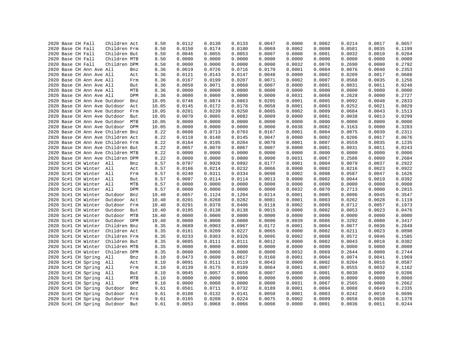|  | 2020 Base CH Fall |                          | Children Act                      |     | 8.50  | 0.0112 | 0.0130 | 0.0133 | 0.0047 | 0.0000 | 0.0002 | 0.0214 | 0.0017 | 0.0657 |
|--|-------------------|--------------------------|-----------------------------------|-----|-------|--------|--------|--------|--------|--------|--------|--------|--------|--------|
|  | 2020 Base CH Fall |                          | Children Frm                      |     | 8.50  | 0.0150 | 0.0174 | 0.0180 | 0.0069 | 0.0002 | 0.0008 | 0.0581 | 0.0035 | 0.1199 |
|  | 2020 Base CH Fall |                          | Children But                      |     | 8.50  | 0.0046 | 0.0055 | 0.0053 | 0.0007 | 0.0000 | 0.0001 | 0.0032 | 0.0010 | 0.0204 |
|  | 2020 Base CH Fall |                          | Children MTB                      |     | 8.50  | 0.0000 | 0.0000 | 0.0000 | 0.0000 | 0.0000 | 0.0000 | 0.0000 | 0.0000 | 0.0000 |
|  | 2020 Base CH Fall |                          | Children DPM                      |     | 8.50  | 0.0000 | 0.0000 | 0.0000 | 0.0000 | 0.0032 | 0.0070 | 0.2690 | 0.0000 | 0.2792 |
|  |                   | 2020 Base CH Ann Ave All |                                   | Bnz | 8.36  | 0.0619 | 0.0726 | 0.0716 | 0.0170 | 0.0001 | 0.0004 | 0.0076 | 0.0040 | 0.2353 |
|  |                   | 2020 Base CH Ann Ave All |                                   | Act | 8.36  | 0.0121 | 0.0143 | 0.0147 | 0.0048 | 0.0000 | 0.0002 | 0.0209 | 0.0017 | 0.0688 |
|  |                   | 2020 Base CH Ann Ave All |                                   | Frm | 8.36  | 0.0167 | 0.0199 | 0.0207 | 0.0071 | 0.0002 | 0.0007 | 0.0568 | 0.0035 | 0.1256 |
|  |                   | 2020 Base CH Ann Ave All |                                   | But | 8.36  | 0.0058 | 0.0071 | 0.0068 | 0.0007 | 0.0000 | 0.0001 | 0.0031 | 0.0011 | 0.0248 |
|  |                   | 2020 Base CH Ann Ave All |                                   | MTB | 8.36  | 0.0000 | 0.0000 | 0.0000 | 0.0000 | 0.0000 | 0.0000 | 0.0000 | 0.0000 | 0.0000 |
|  |                   | 2020 Base CH Ann Ave All |                                   | DPM | 8.36  | 0.0000 | 0.0000 | 0.0000 | 0.0000 | 0.0031 | 0.0068 | 0.2628 | 0.0000 | 0.2727 |
|  |                   |                          | 2020 Base CH Ann Ave Outdoor      | Bnz | 10.05 | 0.0746 | 0.0874 | 0.0863 | 0.0205 | 0.0001 | 0.0005 | 0.0092 | 0.0048 | 0.2833 |
|  |                   |                          | 2020 Base CH Ann Ave Outdoor      | Act | 10.05 | 0.0145 | 0.0172 | 0.0178 | 0.0058 | 0.0001 | 0.0003 | 0.0252 | 0.0021 | 0.0829 |
|  |                   |                          | 2020 Base CH Ann Ave Outdoor      | Frm | 10.05 | 0.0201 | 0.0239 | 0.0250 | 0.0085 | 0.0002 | 0.0009 | 0.0684 | 0.0043 | 0.1513 |
|  |                   |                          | 2020 Base CH Ann Ave Outdoor      | But | 10.05 | 0.0070 | 0.0085 | 0.0082 | 0.0009 | 0.0000 | 0.0001 | 0.0038 | 0.0013 | 0.0299 |
|  |                   |                          | 2020 Base CH Ann Ave Outdoor MTB  |     | 10.05 | 0.0000 | 0.0000 | 0.0000 | 0.0000 | 0.0000 | 0.0000 | 0.0000 | 0.0000 | 0.0000 |
|  |                   |                          | 2020 Base CH Ann Ave Outdoor DPM  |     | 10.05 | 0.0000 | 0.0000 | 0.0000 | 0.0000 | 0.0038 | 0.0082 | 0.3163 | 0.0000 | 0.3283 |
|  |                   |                          | 2020 Base CH Ann Ave Children Bnz |     | 8.22  | 0.0608 | 0.0713 | 0.0703 | 0.0167 | 0.0001 | 0.0004 | 0.0075 | 0.0039 | 0.2311 |
|  |                   |                          | 2020 Base CH Ann Ave Children Act |     | 8.22  | 0.0118 | 0.0140 | 0.0145 | 0.0047 | 0.0000 | 0.0002 | 0.0206 | 0.0017 | 0.0676 |
|  |                   |                          | 2020 Base CH Ann Ave Children Frm |     | 8.22  | 0.0164 | 0.0195 | 0.0204 | 0.0070 | 0.0001 | 0.0007 | 0.0559 | 0.0035 | 0.1235 |
|  |                   |                          | 2020 Base CH Ann Ave Children But |     | 8.22  | 0.0057 | 0.0070 | 0.0067 | 0.0007 | 0.0000 | 0.0001 | 0.0031 | 0.0011 | 0.0243 |
|  |                   |                          | 2020 Base CH Ann Ave Children MTB |     | 8.22  | 0.0000 | 0.0000 | 0.0000 | 0.0000 | 0.0000 | 0.0000 | 0.0000 | 0.0000 | 0.0000 |
|  |                   |                          | 2020 Base CH Ann Ave Children DPM |     | 8.22  | 0.0000 | 0.0000 | 0.0000 | 0.0000 | 0.0031 | 0.0067 | 0.2586 | 0.0000 | 0.2684 |
|  |                   | 2020 Sc#1 CH Winter All  |                                   | Bnz | 8.57  | 0.0707 | 0.0926 | 0.0992 | 0.0177 | 0.0001 | 0.0004 | 0.0079 | 0.0037 | 0.2922 |
|  |                   | 2020 Sc#1 CH Winter All  |                                   | Act | 8.57  | 0.0166 | 0.0214 | 0.0232 | 0.0066 | 0.0000 | 0.0002 | 0.0216 | 0.0023 | 0.0922 |
|  |                   | 2020 Sc#1 CH Winter All  |                                   | Frm | 8.57  | 0.0240 | 0.0311 | 0.0334 | 0.0098 | 0.0002 | 0.0008 | 0.0587 | 0.0047 | 0.1626 |
|  |                   | 2020 Sc#1 CH Winter All  |                                   | But | 8.57  | 0.0087 | 0.0114 | 0.0114 | 0.0013 | 0.0000 | 0.0002 | 0.0044 | 0.0019 | 0.0392 |
|  |                   | 2020 Sc#1 CH Winter All  |                                   | MTB | 8.57  | 0.0000 | 0.0000 | 0.0000 | 0.0000 | 0.0000 | 0.0000 | 0.0000 | 0.0000 | 0.0000 |
|  |                   | 2020 Sc#1 CH Winter All  |                                   | DPM | 8.57  | 0.0000 | 0.0000 | 0.0000 | 0.0000 | 0.0032 | 0.0070 | 0.2713 | 0.0000 | 0.2815 |
|  |                   | 2020 Sc#1 CH Winter      | Outdoor                           | Bnz | 10.40 | 0.0857 | 0.1124 | 0.1204 | 0.0214 | 0.0001 | 0.0005 | 0.0096 | 0.0045 | 0.3547 |
|  |                   | 2020 Sc#1 CH Winter      | Outdoor                           | Act | 10.40 | 0.0201 | 0.0260 | 0.0282 | 0.0081 | 0.0001 | 0.0003 | 0.0262 | 0.0028 | 0.1119 |
|  |                   | 2020 Sc#1 CH Winter      | Outdoor                           | Frm | 10.40 | 0.0291 | 0.0378 | 0.0406 | 0.0118 | 0.0002 | 0.0009 | 0.0712 | 0.0057 | 0.1973 |
|  |                   | 2020 Sc#1 CH Winter      | Outdoor                           | But | 10.40 | 0.0105 | 0.0138 | 0.0138 | 0.0015 | 0.0000 | 0.0002 | 0.0053 | 0.0023 | 0.0476 |
|  |                   | 2020 Sc#1 CH Winter      | Outdoor                           | MTB | 10.40 | 0.0000 | 0.0000 | 0.0000 | 0.0000 | 0.0000 | 0.0000 | 0.0000 | 0.0000 | 0.0000 |
|  |                   | 2020 Sc#1 CH Winter      | Outdoor DPM                       |     | 10.40 | 0.0000 | 0.0000 | 0.0000 | 0.0000 | 0.0039 | 0.0086 | 0.3292 | 0.0000 | 0.3417 |
|  |                   | 2020 Sc#1 CH Winter      | Children Bnz                      |     | 8.35  | 0.0689 | 0.0903 |        | 0.0172 | 0.0001 | 0.0004 | 0.0077 | 0.0036 | 0.2849 |
|  |                   |                          |                                   |     |       |        |        | 0.0967 |        |        |        |        |        |        |
|  |                   | 2020 Sc#1 CH Winter      | Children Act                      |     | 8.35  | 0.0161 | 0.0209 | 0.0227 | 0.0065 | 0.0000 | 0.0002 | 0.0211 | 0.0023 | 0.0898 |
|  |                   | 2020 Sc#1 CH Winter      | Children Frm                      |     | 8.35  | 0.0233 | 0.0303 | 0.0326 | 0.0095 | 0.0002 | 0.0008 | 0.0572 | 0.0046 | 0.1585 |
|  |                   | 2020 Sc#1 CH Winter      | Children But                      |     | 8.35  | 0.0085 | 0.0111 | 0.0111 | 0.0012 | 0.0000 | 0.0002 | 0.0043 | 0.0018 | 0.0382 |
|  |                   | 2020 Sc#1 CH Winter      | Children MTB                      |     | 8.35  | 0.0000 | 0.0000 | 0.0000 | 0.0000 | 0.0000 | 0.0000 | 0.0000 | 0.0000 | 0.0000 |
|  |                   | 2020 Sc#1 CH Winter      | Children DPM                      |     | 8.35  | 0.0000 | 0.0000 | 0.0000 | 0.0000 | 0.0032 | 0.0069 | 0.2644 | 0.0000 | 0.2744 |
|  |                   | 2020 Sc#1 CH Spring      | All                               | Bnz | 8.10  | 0.0473 | 0.0600 | 0.0617 | 0.0160 | 0.0001 | 0.0004 | 0.0074 | 0.0041 | 0.1969 |
|  |                   | 2020 Sc#1 CH Spring      | All                               | Act | 8.10  | 0.0091 | 0.0111 | 0.0119 | 0.0043 | 0.0000 | 0.0002 | 0.0204 | 0.0016 | 0.0587 |
|  |                   | 2020 Sc#1 CH Spring      | All                               | Frm | 8.10  | 0.0139 | 0.0175 | 0.0189 | 0.0064 | 0.0001 | 0.0007 | 0.0555 | 0.0032 | 0.1162 |
|  |                   | 2020 Sc#1 CH Spring      | All                               | But | 8.10  | 0.0045 | 0.0057 | 0.0056 | 0.0007 | 0.0000 | 0.0001 | 0.0030 | 0.0009 | 0.0206 |
|  |                   | 2020 Sc#1 CH Spring      | All                               | MTB | 8.10  | 0.0000 | 0.0000 | 0.0000 | 0.0000 | 0.0000 | 0.0000 | 0.0000 | 0.0000 | 0.0000 |
|  |                   | 2020 Sc#1 CH Spring      | All                               | DPM | 8.10  | 0.0000 | 0.0000 | 0.0000 | 0.0000 | 0.0031 | 0.0067 | 0.2565 | 0.0000 | 0.2662 |
|  |                   | 2020 Sc#1 CH Spring      | Outdoor                           | Bnz | 9.61  | 0.0561 | 0.0711 | 0.0732 | 0.0189 | 0.0001 | 0.0004 | 0.0088 | 0.0049 | 0.2335 |
|  |                   | 2020 Sc#1 CH Spring      | Outdoor                           | Act | 9.61  | 0.0108 | 0.0132 | 0.0141 | 0.0050 | 0.0001 | 0.0003 | 0.0242 | 0.0019 | 0.0696 |
|  |                   | 2020 Sc#1 CH Spring      | Outdoor                           | Frm | 9.61  | 0.0165 | 0.0208 | 0.0224 | 0.0075 | 0.0002 | 0.0009 | 0.0658 | 0.0038 | 0.1378 |
|  |                   | 2020 Sc#1 CH Spring      | Outdoor                           | But | 9.61  | 0.0053 | 0.0068 | 0.0066 | 0.0008 | 0.0000 | 0.0001 | 0.0036 | 0.0011 | 0.0244 |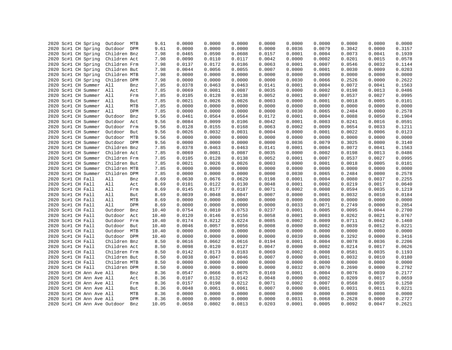|  | 2020 Sc#1 CH Spring                        | Outdoor MTB  |     | 9.61         | 0.0000 | 0.0000 | 0.0000 | 0.0000 | 0.0000 | 0.0000 | 0.0000 | 0.0000 | 0.0000 |
|--|--------------------------------------------|--------------|-----|--------------|--------|--------|--------|--------|--------|--------|--------|--------|--------|
|  | 2020 Sc#1 CH Spring                        | Outdoor DPM  |     | 9.61         | 0.0000 | 0.0000 | 0.0000 | 0.0000 | 0.0036 | 0.0079 | 0.3042 | 0.0000 | 0.3157 |
|  | 2020 Sc#1 CH Spring                        | Children Bnz |     | 7.98         | 0.0465 | 0.0590 | 0.0608 | 0.0157 | 0.0001 | 0.0004 | 0.0073 | 0.0041 | 0.1939 |
|  | 2020 Sc#1 CH Spring                        | Children Act |     | 7.98         | 0.0090 | 0.0110 | 0.0117 | 0.0042 | 0.0000 | 0.0002 | 0.0201 | 0.0015 | 0.0578 |
|  | 2020 Sc#1 CH Spring                        | Children Frm |     | 7.98         | 0.0137 | 0.0172 | 0.0186 | 0.0063 | 0.0001 | 0.0007 | 0.0546 | 0.0032 | 0.1144 |
|  | 2020 Sc#1 CH Spring                        | Children But |     | 7.98         | 0.0044 | 0.0056 | 0.0055 | 0.0007 | 0.0000 | 0.0001 | 0.0030 | 0.0009 | 0.0203 |
|  | 2020 Sc#1 CH Spring                        | Children MTB |     | 7.98         | 0.0000 | 0.0000 | 0.0000 | 0.0000 | 0.0000 | 0.0000 | 0.0000 | 0.0000 | 0.0000 |
|  | 2020 Sc#1 CH Spring                        | Children DPM |     | 7.98         | 0.0000 | 0.0000 | 0.0000 | 0.0000 | 0.0030 | 0.0066 | 0.2526 | 0.0000 | 0.2622 |
|  | 2020 Sc#1 CH Summer                        | All          | Bnz | 7.85         | 0.0378 | 0.0463 | 0.0463 | 0.0141 | 0.0001 | 0.0004 | 0.0072 | 0.0041 | 0.1563 |
|  | 2020 Sc#1 CH Summer                        | All          | Act | 7.85         | 0.0069 | 0.0081 | 0.0087 | 0.0035 | 0.0000 | 0.0002 | 0.0198 | 0.0013 | 0.0486 |
|  | 2020 Sc#1 CH Summer All                    |              | Frm | 7.85         | 0.0105 | 0.0128 | 0.0138 | 0.0052 | 0.0001 | 0.0007 | 0.0537 | 0.0027 | 0.0995 |
|  | 2020 Sc#1 CH Summer All                    |              | But | 7.85         | 0.0021 | 0.0026 | 0.0026 | 0.0003 | 0.0000 | 0.0001 | 0.0018 | 0.0005 | 0.0101 |
|  | 2020 Sc#1 CH Summer All                    |              | MTB | 7.85         | 0.0000 | 0.0000 | 0.0000 | 0.0000 | 0.0000 | 0.0000 | 0.0000 | 0.0000 | 0.0000 |
|  | 2020 Sc#1 CH Summer                        | All          | DPM | 7.85         | 0.0000 | 0.0000 | 0.0000 | 0.0000 | 0.0030 | 0.0065 | 0.2484 | 0.0000 | 0.2578 |
|  | 2020 Sc#1 CH Summer                        | Outdoor      | Bnz | 9.56         | 0.0461 | 0.0564 | 0.0564 | 0.0172 | 0.0001 | 0.0004 | 0.0088 | 0.0050 | 0.1904 |
|  | 2020 Sc#1 CH Summer                        | Outdoor      | Act | 9.56         | 0.0084 | 0.0099 | 0.0106 | 0.0042 | 0.0001 | 0.0003 | 0.0241 | 0.0016 | 0.0591 |
|  | 2020 Sc#1 CH Summer                        | Outdoor      | Frm | 9.56         | 0.0128 | 0.0155 | 0.0168 | 0.0063 | 0.0002 | 0.0009 | 0.0654 | 0.0033 | 0.1211 |
|  | 2020 Sc#1 CH Summer                        | Outdoor But  |     | 9.56         | 0.0026 | 0.0032 | 0.0031 | 0.0004 | 0.0000 | 0.0001 | 0.0022 | 0.0006 | 0.0123 |
|  |                                            | Outdoor      | MTB |              | 0.0000 | 0.0000 | 0.0000 | 0.0000 | 0.0000 | 0.0000 | 0.0000 | 0.0000 | 0.0000 |
|  | 2020 Sc#1 CH Summer<br>2020 Sc#1 CH Summer | Outdoor DPM  |     | 9.56<br>9.56 | 0.0000 | 0.0000 | 0.0000 | 0.0000 | 0.0036 | 0.0079 | 0.3025 | 0.0000 | 0.3140 |
|  | 2020 Sc#1 CH Summer                        | Children Bnz |     | 7.85         | 0.0378 | 0.0463 | 0.0463 | 0.0141 | 0.0001 | 0.0004 | 0.0072 | 0.0041 | 0.1563 |
|  |                                            |              |     |              |        |        |        |        |        |        |        |        | 0.0486 |
|  | 2020 Sc#1 CH Summer                        | Children Act |     | 7.85         | 0.0069 | 0.0081 | 0.0087 | 0.0035 | 0.0000 | 0.0002 | 0.0198 | 0.0013 |        |
|  | 2020 Sc#1 CH Summer                        | Children Frm |     | 7.85         | 0.0105 | 0.0128 | 0.0138 | 0.0052 | 0.0001 | 0.0007 | 0.0537 | 0.0027 | 0.0995 |
|  | 2020 Sc#1 CH Summer                        | Children But |     | 7.85         | 0.0021 | 0.0026 | 0.0026 | 0.0003 | 0.0000 | 0.0001 | 0.0018 | 0.0005 | 0.0101 |
|  | 2020 Sc#1 CH Summer                        | Children MTB |     | 7.85         | 0.0000 | 0.0000 | 0.0000 | 0.0000 | 0.0000 | 0.0000 | 0.0000 | 0.0000 | 0.0000 |
|  | 2020 Sc#1 CH Summer                        | Children DPM |     | 7.85         | 0.0000 | 0.0000 | 0.0000 | 0.0000 | 0.0030 | 0.0065 | 0.2484 | 0.0000 | 0.2578 |
|  | 2020 Sc#1 CH Fall                          | All          | Bnz | 8.69         | 0.0630 | 0.0676 | 0.0629 | 0.0198 | 0.0001 | 0.0004 | 0.0080 | 0.0037 | 0.2255 |
|  | 2020 Sc#1 CH Fall                          | All          | Act | 8.69         | 0.0101 | 0.0122 | 0.0130 | 0.0048 | 0.0001 | 0.0002 | 0.0219 | 0.0017 | 0.0640 |
|  | 2020 Sc#1 CH Fall                          | All          | Frm | 8.69         | 0.0145 | 0.0177 | 0.0187 | 0.0071 | 0.0002 | 0.0008 | 0.0594 | 0.0035 | 0.1219 |
|  | 2020 Sc#1 CH Fall                          | All          | But | 8.69         | 0.0039 | 0.0048 | 0.0047 | 0.0007 | 0.0000 | 0.0001 | 0.0032 | 0.0010 | 0.0184 |
|  | 2020 Sc#1 CH Fall                          | All          | MTB | 8.69         | 0.0000 | 0.0000 | 0.0000 | 0.0000 | 0.0000 | 0.0000 | 0.0000 | 0.0000 | 0.0000 |
|  | 2020 Sc#1 CH Fall                          | All          | DPM | 8.69         | 0.0000 | 0.0000 | 0.0000 | 0.0000 | 0.0033 | 0.0071 | 0.2749 | 0.0000 | 0.2854 |
|  | 2020 Sc#1 CH Fall                          | Outdoor      | Bnz | 10.40        | 0.0754 | 0.0810 | 0.0753 | 0.0237 | 0.0001 | 0.0005 | 0.0095 | 0.0044 | 0.2700 |
|  | 2020 Sc#1 CH Fall                          | Outdoor      | Act | 10.40        | 0.0120 | 0.0146 | 0.0156 | 0.0058 | 0.0001 | 0.0003 | 0.0262 | 0.0021 | 0.0767 |
|  | 2020 Sc#1 CH Fall                          | Outdoor Frm  |     | 10.40        | 0.0174 | 0.0212 | 0.0224 | 0.0085 | 0.0002 | 0.0009 | 0.0711 | 0.0042 | 0.1460 |
|  | 2020 Sc#1 CH Fall                          | Outdoor But  |     | 10.40        | 0.0046 | 0.0057 | 0.0056 | 0.0008 | 0.0000 | 0.0002 | 0.0039 | 0.0012 | 0.0221 |
|  | 2020 Sc#1 CH Fall                          | Outdoor MTB  |     | 10.40        | 0.0000 | 0.0000 | 0.0000 | 0.0000 | 0.0000 | 0.0000 | 0.0000 | 0.0000 | 0.0000 |
|  | 2020 Sc#1 CH Fall                          | Outdoor DPM  |     | 10.40        | 0.0000 | 0.0000 | 0.0000 | 0.0000 | 0.0039 | 0.0086 | 0.3292 | 0.0000 | 0.3416 |
|  | 2020 Sc#1 CH Fall                          | Children Bnz |     | 8.50         | 0.0616 | 0.0662 | 0.0616 | 0.0194 | 0.0001 | 0.0004 | 0.0078 | 0.0036 | 0.2206 |
|  | 2020 Sc#1 CH Fall                          | Children Act |     | 8.50         | 0.0098 | 0.0120 | 0.0127 | 0.0047 | 0.0000 | 0.0002 | 0.0214 | 0.0017 | 0.0626 |
|  | 2020 Sc#1 CH Fall                          | Children Frm |     | 8.50         | 0.0142 | 0.0173 | 0.0183 | 0.0069 | 0.0002 | 0.0008 | 0.0581 | 0.0035 | 0.1193 |
|  | 2020 Sc#1 CH Fall                          | Children But |     | 8.50         | 0.0038 | 0.0047 | 0.0046 | 0.0007 | 0.0000 | 0.0001 | 0.0032 | 0.0010 | 0.0180 |
|  | 2020 Sc#1 CH Fall                          | Children MTB |     | 8.50         | 0.0000 | 0.0000 | 0.0000 | 0.0000 | 0.0000 | 0.0000 | 0.0000 | 0.0000 | 0.0000 |
|  | 2020 Sc#1 CH Fall                          | Children DPM |     | 8.50         | 0.0000 | 0.0000 | 0.0000 | 0.0000 | 0.0032 | 0.0070 | 0.2690 | 0.0000 | 0.2792 |
|  | 2020 Sc#1 CH Ann Ave All                   |              | Bnz | 8.36         | 0.0547 | 0.0666 | 0.0675 | 0.0169 | 0.0001 | 0.0004 | 0.0076 | 0.0039 | 0.2177 |
|  | 2020 Sc#1 CH Ann Ave All                   |              | Act | 8.36         | 0.0107 | 0.0132 | 0.0142 | 0.0048 | 0.0000 | 0.0002 | 0.0209 | 0.0017 | 0.0659 |
|  | 2020 Sc#1 CH Ann Ave All                   |              | Frm | 8.36         | 0.0157 | 0.0198 | 0.0212 | 0.0071 | 0.0002 | 0.0007 | 0.0568 | 0.0035 | 0.1250 |
|  | 2020 Sc#1 CH Ann Ave All                   |              | But | 8.36         | 0.0048 | 0.0061 | 0.0061 | 0.0007 | 0.0000 | 0.0001 | 0.0031 | 0.0011 | 0.0221 |
|  | 2020 Sc#1 CH Ann Ave All                   |              | MTB | 8.36         | 0.0000 | 0.0000 | 0.0000 | 0.0000 | 0.0000 | 0.0000 | 0.0000 | 0.0000 | 0.0000 |
|  | 2020 Sc#1 CH Ann Ave All                   |              | DPM | 8.36         | 0.0000 | 0.0000 | 0.0000 | 0.0000 | 0.0031 | 0.0068 | 0.2628 | 0.0000 | 0.2727 |
|  | 2020 Sc#1 CH Ann Ave Outdoor               |              | Bnz | 10.05        | 0.0658 | 0.0802 | 0.0813 | 0.0203 | 0.0001 | 0.0005 | 0.0092 | 0.0047 | 0.2621 |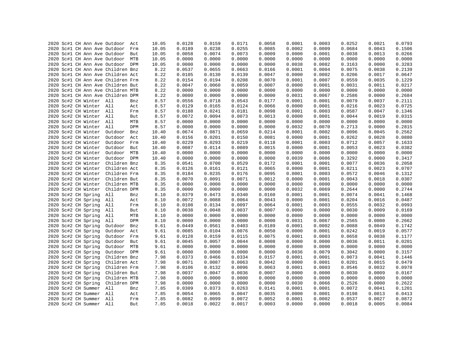|  |  |                         | 2020 Sc#1 CH Ann Ave Outdoor      | Act | 10.05 | 0.0128 | 0.0159 | 0.0171 | 0.0058 | 0.0001 | 0.0003 | 0.0252 | 0.0021 | 0.0793 |
|--|--|-------------------------|-----------------------------------|-----|-------|--------|--------|--------|--------|--------|--------|--------|--------|--------|
|  |  |                         | 2020 Sc#1 CH Ann Ave Outdoor      | Frm | 10.05 | 0.0189 | 0.0238 | 0.0255 | 0.0085 | 0.0002 | 0.0009 | 0.0684 | 0.0043 | 0.1506 |
|  |  |                         | 2020 Sc#1 CH Ann Ave Outdoor But  |     | 10.05 | 0.0058 | 0.0074 | 0.0073 | 0.0009 | 0.0000 | 0.0001 | 0.0038 | 0.0013 | 0.0266 |
|  |  |                         | 2020 Sc#1 CH Ann Ave Outdoor MTB  |     | 10.05 | 0.0000 | 0.0000 | 0.0000 | 0.0000 | 0.0000 | 0.0000 | 0.0000 | 0.0000 | 0.0000 |
|  |  |                         | 2020 Sc#1 CH Ann Ave Outdoor DPM  |     | 10.05 | 0.0000 | 0.0000 | 0.0000 | 0.0000 | 0.0038 | 0.0082 | 0.3163 | 0.0000 | 0.3283 |
|  |  |                         | 2020 Sc#1 CH Ann Ave Children Bnz |     | 8.22  | 0.0537 | 0.0655 | 0.0663 | 0.0166 | 0.0001 | 0.0004 | 0.0075 | 0.0038 | 0.2139 |
|  |  |                         | 2020 Sc#1 CH Ann Ave Children Act |     | 8.22  | 0.0105 | 0.0130 | 0.0139 | 0.0047 | 0.0000 | 0.0002 | 0.0206 | 0.0017 | 0.0647 |
|  |  |                         | 2020 Sc#1 CH Ann Ave Children Frm |     | 8.22  | 0.0154 | 0.0194 | 0.0208 | 0.0070 | 0.0001 | 0.0007 | 0.0559 | 0.0035 | 0.1229 |
|  |  |                         | 2020 Sc#1 CH Ann Ave Children But |     | 8.22  | 0.0047 | 0.0060 | 0.0059 | 0.0007 | 0.0000 | 0.0001 | 0.0031 | 0.0011 | 0.0217 |
|  |  |                         | 2020 Sc#1 CH Ann Ave Children MTB |     | 8.22  | 0.0000 | 0.0000 | 0.0000 | 0.0000 | 0.0000 | 0.0000 | 0.0000 | 0.0000 | 0.0000 |
|  |  |                         | 2020 Sc#1 CH Ann Ave Children DPM |     | 8.22  | 0.0000 | 0.0000 | 0.0000 | 0.0000 | 0.0031 | 0.0067 | 0.2586 | 0.0000 | 0.2684 |
|  |  | 2020 Sc#2 CH Winter All |                                   | Bnz | 8.57  | 0.0556 | 0.0718 | 0.0543 | 0.0177 | 0.0001 | 0.0001 | 0.0079 | 0.0037 | 0.2111 |
|  |  | 2020 Sc#2 CH Winter All |                                   | Act | 8.57  | 0.0129 | 0.0165 | 0.0124 | 0.0066 | 0.0000 | 0.0001 | 0.0216 | 0.0023 | 0.0725 |
|  |  | 2020 Sc#2 CH Winter All |                                   | Frm | 8.57  | 0.0188 | 0.0241 | 0.0181 | 0.0098 | 0.0001 | 0.0003 | 0.0587 | 0.0047 | 0.1346 |
|  |  | 2020 Sc#2 CH Winter All |                                   | But | 8.57  | 0.0072 | 0.0094 | 0.0073 | 0.0013 | 0.0000 | 0.0001 | 0.0044 | 0.0019 | 0.0315 |
|  |  | 2020 Sc#2 CH Winter All |                                   | MTB | 8.57  | 0.0000 | 0.0000 | 0.0000 | 0.0000 | 0.0000 | 0.0000 | 0.0000 | 0.0000 | 0.0000 |
|  |  | 2020 Sc#2 CH Winter All |                                   | DPM | 8.57  | 0.0000 | 0.0000 | 0.0000 | 0.0000 | 0.0032 | 0.0070 | 0.2713 | 0.0000 | 0.2815 |
|  |  | 2020 Sc#2 CH Winter     | Outdoor                           | Bnz | 10.40 | 0.0674 | 0.0871 | 0.0659 | 0.0214 | 0.0001 | 0.0002 | 0.0096 | 0.0045 | 0.2562 |
|  |  | 2020 Sc#2 CH Winter     | Outdoor Act                       |     | 10.40 | 0.0156 | 0.0201 | 0.0150 | 0.0081 | 0.0000 | 0.0001 | 0.0262 | 0.0028 | 0.0880 |
|  |  | 2020 Sc#2 CH Winter     | Outdoor Frm                       |     | 10.40 | 0.0229 | 0.0293 | 0.0219 | 0.0118 | 0.0001 | 0.0003 | 0.0712 | 0.0057 | 0.1633 |
|  |  | 2020 Sc#2 CH Winter     | Outdoor But                       |     | 10.40 | 0.0087 | 0.0114 | 0.0089 | 0.0015 | 0.0000 | 0.0001 | 0.0053 | 0.0023 | 0.0382 |
|  |  | 2020 Sc#2 CH Winter     | Outdoor MTB                       |     | 10.40 | 0.0000 | 0.0000 | 0.0000 | 0.0000 | 0.0000 | 0.0000 | 0.0000 | 0.0000 | 0.0000 |
|  |  | 2020 Sc#2 CH Winter     | Outdoor                           | DPM | 10.40 | 0.0000 | 0.0000 | 0.0000 | 0.0000 | 0.0039 | 0.0086 | 0.3292 | 0.0000 | 0.3417 |
|  |  | 2020 Sc#2 CH Winter     | Children Bnz                      |     | 8.35  | 0.0541 | 0.0700 | 0.0529 | 0.0172 | 0.0001 | 0.0001 | 0.0077 | 0.0036 | 0.2058 |
|  |  | 2020 Sc#2 CH Winter     | Children Act                      |     | 8.35  | 0.0126 | 0.0161 | 0.0121 | 0.0065 | 0.0000 | 0.0001 | 0.0211 | 0.0023 | 0.0707 |
|  |  | 2020 Sc#2 CH Winter     | Children Frm                      |     | 8.35  | 0.0184 | 0.0235 | 0.0176 | 0.0095 | 0.0001 | 0.0003 | 0.0572 | 0.0046 | 0.1312 |
|  |  | 2020 Sc#2 CH Winter     | Children But                      |     | 8.35  | 0.0070 | 0.0091 | 0.0071 | 0.0012 | 0.0000 | 0.0001 | 0.0043 | 0.0018 | 0.0307 |
|  |  | 2020 Sc#2 CH Winter     | Children MTB                      |     | 8.35  | 0.0000 | 0.0000 | 0.0000 | 0.0000 | 0.0000 | 0.0000 | 0.0000 | 0.0000 | 0.0000 |
|  |  | 2020 Sc#2 CH Winter     | Children DPM                      |     | 8.35  | 0.0000 | 0.0000 | 0.0000 | 0.0000 | 0.0032 | 0.0069 | 0.2644 | 0.0000 | 0.2744 |
|  |  | 2020 Sc#2 CH Spring     | All                               | Bnz | 8.10  | 0.0379 | 0.0473 | 0.0340 | 0.0160 | 0.0001 | 0.0001 | 0.0074 | 0.0041 | 0.1468 |
|  |  | 2020 Sc#2 CH Spring     | All                               | Act | 8.10  | 0.0072 | 0.0088 | 0.0064 | 0.0043 | 0.0000 | 0.0001 | 0.0204 | 0.0016 | 0.0487 |
|  |  | 2020 Sc#2 CH Spring     | All                               | Frm | 8.10  | 0.0108 | 0.0134 | 0.0097 | 0.0064 | 0.0001 | 0.0003 | 0.0555 | 0.0032 | 0.0993 |
|  |  | 2020 Sc#2 CH Spring     | All                               | But | 8.10  | 0.0038 | 0.0048 | 0.0037 | 0.0007 | 0.0000 | 0.0000 | 0.0030 | 0.0009 | 0.0169 |
|  |  | 2020 Sc#2 CH Spring     | All                               | MTB | 8.10  | 0.0000 | 0.0000 | 0.0000 | 0.0000 | 0.0000 | 0.0000 | 0.0000 | 0.0000 | 0.0000 |
|  |  | 2020 Sc#2 CH Spring     | All                               | DPM | 8.10  | 0.0000 | 0.0000 | 0.0000 | 0.0000 | 0.0031 | 0.0067 | 0.2565 | 0.0000 | 0.2662 |
|  |  | 2020 Sc#2 CH Spring     | Outdoor                           | Bnz | 9.61  | 0.0449 | 0.0561 | 0.0403 | 0.0189 | 0.0001 | 0.0002 | 0.0088 | 0.0049 | 0.1742 |
|  |  | 2020 Sc#2 CH Spring     | Outdoor                           | Act | 9.61  | 0.0085 | 0.0104 | 0.0076 | 0.0050 | 0.0000 | 0.0001 | 0.0242 | 0.0019 | 0.0577 |
|  |  | 2020 Sc#2 CH Spring     | Outdoor                           | Frm | 9.61  | 0.0128 | 0.0159 | 0.0115 | 0.0075 | 0.0001 | 0.0003 | 0.0658 | 0.0038 | 0.1177 |
|  |  | 2020 Sc#2 CH Spring     | Outdoor But                       |     | 9.61  | 0.0045 | 0.0057 | 0.0044 | 0.0008 | 0.0000 | 0.0000 | 0.0036 | 0.0011 | 0.0201 |
|  |  | 2020 Sc#2 CH Spring     | Outdoor MTB                       |     | 9.61  | 0.0000 | 0.0000 | 0.0000 | 0.0000 | 0.0000 | 0.0000 | 0.0000 | 0.0000 | 0.0000 |
|  |  | 2020 Sc#2 CH Spring     | Outdoor DPM                       |     | 9.61  | 0.0000 | 0.0000 | 0.0000 | 0.0000 | 0.0036 | 0.0079 | 0.3042 | 0.0000 | 0.3157 |
|  |  | 2020 Sc#2 CH Spring     | Children Bnz                      |     | 7.98  | 0.0373 | 0.0466 | 0.0334 | 0.0157 | 0.0001 | 0.0001 | 0.0073 | 0.0041 | 0.1446 |
|  |  |                         |                                   |     |       |        |        |        |        |        |        |        |        | 0.0479 |
|  |  | 2020 Sc#2 CH Spring     | Children Act                      |     | 7.98  | 0.0071 | 0.0087 | 0.0063 | 0.0042 | 0.0000 | 0.0001 | 0.0201 | 0.0015 |        |
|  |  | 2020 Sc#2 CH Spring     | Children Frm                      |     | 7.98  | 0.0106 | 0.0132 | 0.0096 | 0.0063 | 0.0001 | 0.0003 | 0.0546 | 0.0032 | 0.0978 |
|  |  | 2020 Sc#2 CH Spring     | Children But                      |     | 7.98  | 0.0037 | 0.0047 | 0.0036 | 0.0007 | 0.0000 | 0.0000 | 0.0030 | 0.0009 | 0.0167 |
|  |  | 2020 Sc#2 CH Spring     | Children MTB                      |     | 7.98  | 0.0000 | 0.0000 | 0.0000 | 0.0000 | 0.0000 | 0.0000 | 0.0000 | 0.0000 | 0.0000 |
|  |  | 2020 Sc#2 CH Spring     | Children DPM                      |     | 7.98  | 0.0000 | 0.0000 | 0.0000 | 0.0000 | 0.0030 | 0.0066 | 0.2526 | 0.0000 | 0.2622 |
|  |  | 2020 Sc#2 CH Summer     | All                               | Bnz | 7.85  | 0.0309 | 0.0373 | 0.0263 | 0.0141 | 0.0001 | 0.0001 | 0.0072 | 0.0041 | 0.1201 |
|  |  | 2020 Sc#2 CH Summer All |                                   | Act | 7.85  | 0.0054 | 0.0065 | 0.0047 | 0.0035 | 0.0000 | 0.0001 | 0.0198 | 0.0013 | 0.0413 |
|  |  | 2020 Sc#2 CH Summer All |                                   | Frm | 7.85  | 0.0082 | 0.0099 | 0.0072 | 0.0052 | 0.0001 | 0.0002 | 0.0537 | 0.0027 | 0.0872 |
|  |  | 2020 Sc#2 CH Summer All |                                   | But | 7.85  | 0.0018 | 0.0022 | 0.0017 | 0.0003 | 0.0000 | 0.0000 | 0.0018 | 0.0005 | 0.0084 |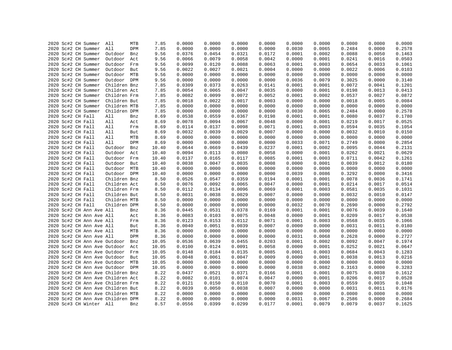|  | 2020 Sc#2 CH Summer      | All                               | MTB | 7.85  | 0.0000 | 0.0000 | 0.0000 | 0.0000 | 0.0000 | 0.0000 | 0.0000 | 0.0000 | 0.0000 |
|--|--------------------------|-----------------------------------|-----|-------|--------|--------|--------|--------|--------|--------|--------|--------|--------|
|  | 2020 Sc#2 CH Summer      | All                               | DPM | 7.85  | 0.0000 | 0.0000 | 0.0000 | 0.0000 | 0.0030 | 0.0065 | 0.2484 | 0.0000 | 0.2578 |
|  | 2020 Sc#2 CH Summer      | Outdoor                           | Bnz | 9.56  | 0.0376 | 0.0454 | 0.0321 | 0.0172 | 0.0001 | 0.0002 | 0.0088 | 0.0050 | 0.1463 |
|  | 2020 Sc#2 CH Summer      | Outdoor                           | Act | 9.56  | 0.0066 | 0.0079 | 0.0058 | 0.0042 | 0.0000 | 0.0001 | 0.0241 | 0.0016 | 0.0503 |
|  | 2020 Sc#2 CH Summer      | Outdoor                           | Frm | 9.56  | 0.0099 | 0.0120 | 0.0088 | 0.0063 | 0.0001 | 0.0003 | 0.0654 | 0.0033 | 0.1061 |
|  | 2020 Sc#2 CH Summer      | Outdoor                           | But | 9.56  | 0.0022 | 0.0027 | 0.0021 | 0.0004 | 0.0000 | 0.0000 | 0.0022 | 0.0006 | 0.0103 |
|  | 2020 Sc#2 CH Summer      | Outdoor MTB                       |     | 9.56  | 0.0000 | 0.0000 | 0.0000 | 0.0000 | 0.0000 | 0.0000 | 0.0000 | 0.0000 | 0.0000 |
|  | 2020 Sc#2 CH Summer      | Outdoor DPM                       |     | 9.56  | 0.0000 | 0.0000 | 0.0000 | 0.0000 | 0.0036 | 0.0079 | 0.3025 | 0.0000 | 0.3140 |
|  | 2020 Sc#2 CH Summer      | Children Bnz                      |     | 7.85  | 0.0309 | 0.0373 | 0.0263 | 0.0141 | 0.0001 | 0.0001 | 0.0072 | 0.0041 | 0.1201 |
|  | 2020 Sc#2 CH Summer      | Children Act                      |     | 7.85  | 0.0054 | 0.0065 | 0.0047 | 0.0035 | 0.0000 | 0.0001 | 0.0198 | 0.0013 | 0.0413 |
|  | 2020 Sc#2 CH Summer      | Children Frm                      |     | 7.85  | 0.0082 | 0.0099 | 0.0072 | 0.0052 | 0.0001 | 0.0002 | 0.0537 | 0.0027 | 0.0872 |
|  | 2020 Sc#2 CH Summer      | Children But                      |     | 7.85  | 0.0018 | 0.0022 | 0.0017 | 0.0003 | 0.0000 | 0.0000 | 0.0018 | 0.0005 | 0.0084 |
|  | 2020 Sc#2 CH Summer      | Children MTB                      |     | 7.85  | 0.0000 | 0.0000 | 0.0000 | 0.0000 | 0.0000 | 0.0000 | 0.0000 | 0.0000 | 0.0000 |
|  | 2020 Sc#2 CH Summer      | Children DPM                      |     | 7.85  | 0.0000 | 0.0000 | 0.0000 | 0.0000 | 0.0030 | 0.0065 | 0.2484 | 0.0000 | 0.2578 |
|  | 2020 Sc#2 CH Fall        | All                               | Bnz | 8.69  | 0.0538 | 0.0559 | 0.0367 | 0.0198 | 0.0001 | 0.0001 | 0.0080 | 0.0037 | 0.1780 |
|  | 2020 Sc#2 CH Fall        | All                               | Act | 8.69  | 0.0078 | 0.0094 | 0.0067 | 0.0048 | 0.0000 | 0.0001 | 0.0219 | 0.0017 | 0.0525 |
|  | 2020 Sc#2 CH Fall        | All                               | Frm | 8.69  | 0.0114 | 0.0137 | 0.0098 | 0.0071 | 0.0001 | 0.0003 | 0.0594 | 0.0035 | 0.1054 |
|  | 2020 Sc#2 CH Fall        | All                               | But | 8.69  | 0.0032 | 0.0039 | 0.0029 | 0.0007 | 0.0000 | 0.0000 | 0.0032 | 0.0010 | 0.0150 |
|  | 2020 Sc#2 CH Fall        | All                               | MTB | 8.69  | 0.0000 | 0.0000 | 0.0000 | 0.0000 | 0.0000 | 0.0000 | 0.0000 | 0.0000 | 0.0000 |
|  | 2020 Sc#2 CH Fall        | All                               | DPM | 8.69  | 0.0000 | 0.0000 | 0.0000 | 0.0000 | 0.0033 | 0.0071 | 0.2749 | 0.0000 | 0.2854 |
|  | 2020 Sc#2 CH Fall        | Outdoor                           | Bnz | 10.40 | 0.0644 | 0.0669 | 0.0439 | 0.0237 | 0.0001 | 0.0002 | 0.0095 | 0.0044 | 0.2131 |
|  |                          |                                   |     |       | 0.0094 | 0.0113 | 0.0080 | 0.0058 | 0.0000 | 0.0001 | 0.0262 |        | 0.0629 |
|  | 2020 Sc#2 CH Fall        | Outdoor                           | Act | 10.40 |        |        |        |        |        | 0.0003 |        | 0.0021 |        |
|  | 2020 Sc#2 CH Fall        | Outdoor                           | Frm | 10.40 | 0.0137 | 0.0165 | 0.0117 | 0.0085 | 0.0001 |        | 0.0711 | 0.0042 | 0.1261 |
|  | 2020 Sc#2 CH Fall        | Outdoor But                       |     | 10.40 | 0.0038 | 0.0047 | 0.0035 | 0.0008 | 0.0000 | 0.0001 | 0.0039 | 0.0012 | 0.0180 |
|  | 2020 Sc#2 CH Fall        | Outdoor MTB                       |     | 10.40 | 0.0000 | 0.0000 | 0.0000 | 0.0000 | 0.0000 | 0.0000 | 0.0000 | 0.0000 | 0.0000 |
|  | 2020 Sc#2 CH Fall        | Outdoor DPM                       |     | 10.40 | 0.0000 | 0.0000 | 0.0000 | 0.0000 | 0.0039 | 0.0086 | 0.3292 | 0.0000 | 0.3416 |
|  | 2020 Sc#2 CH Fall        | Children Bnz                      |     | 8.50  | 0.0526 | 0.0547 | 0.0359 | 0.0194 | 0.0001 | 0.0001 | 0.0078 | 0.0036 | 0.1741 |
|  | 2020 Sc#2 CH Fall        | Children Act                      |     | 8.50  | 0.0076 | 0.0092 | 0.0065 | 0.0047 | 0.0000 | 0.0001 | 0.0214 | 0.0017 | 0.0514 |
|  | 2020 Sc#2 CH Fall        | Children Frm                      |     | 8.50  | 0.0112 | 0.0134 | 0.0096 | 0.0069 | 0.0001 | 0.0003 | 0.0581 | 0.0035 | 0.1031 |
|  | 2020 Sc#2 CH Fall        | Children But                      |     | 8.50  | 0.0031 | 0.0038 | 0.0029 | 0.0007 | 0.0000 | 0.0000 | 0.0032 | 0.0010 | 0.0147 |
|  | 2020 Sc#2 CH Fall        | Children MTB                      |     | 8.50  | 0.0000 | 0.0000 | 0.0000 | 0.0000 | 0.0000 | 0.0000 | 0.0000 | 0.0000 | 0.0000 |
|  | 2020 Sc#2 CH Fall        | Children DPM                      |     | 8.50  | 0.0000 | 0.0000 | 0.0000 | 0.0000 | 0.0032 | 0.0070 | 0.2690 | 0.0000 | 0.2792 |
|  | 2020 Sc#2 CH Ann Ave All |                                   | Bnz | 8.36  | 0.0445 | 0.0531 | 0.0378 | 0.0169 | 0.0001 | 0.0001 | 0.0076 | 0.0039 | 0.1640 |
|  | 2020 Sc#2 CH Ann Ave All |                                   | Act | 8.36  | 0.0083 | 0.0103 | 0.0075 | 0.0048 | 0.0000 | 0.0001 | 0.0209 | 0.0017 | 0.0538 |
|  | 2020 Sc#2 CH Ann Ave All |                                   | Frm | 8.36  | 0.0123 | 0.0153 | 0.0112 | 0.0071 | 0.0001 | 0.0003 | 0.0568 | 0.0035 | 0.1066 |
|  | 2020 Sc#2 CH Ann Ave All |                                   | But | 8.36  | 0.0040 | 0.0051 | 0.0039 | 0.0007 | 0.0000 | 0.0000 | 0.0031 | 0.0011 | 0.0180 |
|  | 2020 Sc#2 CH Ann Ave All |                                   | MTB | 8.36  | 0.0000 | 0.0000 | 0.0000 | 0.0000 | 0.0000 | 0.0000 | 0.0000 | 0.0000 | 0.0000 |
|  | 2020 Sc#2 CH Ann Ave All |                                   | DPM | 8.36  | 0.0000 | 0.0000 | 0.0000 | 0.0000 | 0.0031 | 0.0068 | 0.2628 | 0.0000 | 0.2727 |
|  |                          | 2020 Sc#2 CH Ann Ave Outdoor      | Bnz | 10.05 | 0.0536 | 0.0639 | 0.0455 | 0.0203 | 0.0001 | 0.0002 | 0.0092 | 0.0047 | 0.1974 |
|  |                          | 2020 Sc#2 CH Ann Ave Outdoor      | Act | 10.05 | 0.0100 | 0.0124 | 0.0091 | 0.0058 | 0.0000 | 0.0001 | 0.0252 | 0.0021 | 0.0647 |
|  |                          | 2020 Sc#2 CH Ann Ave Outdoor      | Frm | 10.05 | 0.0148 | 0.0184 | 0.0135 | 0.0085 | 0.0001 | 0.0003 | 0.0684 | 0.0043 | 0.1283 |
|  |                          | 2020 Sc#2 CH Ann Ave Outdoor      | But | 10.05 | 0.0048 | 0.0061 | 0.0047 | 0.0009 | 0.0000 | 0.0001 | 0.0038 | 0.0013 | 0.0216 |
|  |                          | 2020 Sc#2 CH Ann Ave Outdoor MTB  |     | 10.05 | 0.0000 | 0.0000 | 0.0000 | 0.0000 | 0.0000 | 0.0000 | 0.0000 | 0.0000 | 0.0000 |
|  |                          | 2020 Sc#2 CH Ann Ave Outdoor DPM  |     | 10.05 | 0.0000 | 0.0000 | 0.0000 | 0.0000 | 0.0038 | 0.0082 | 0.3163 | 0.0000 | 0.3283 |
|  |                          | 2020 Sc#2 CH Ann Ave Children Bnz |     | 8.22  | 0.0437 | 0.0521 | 0.0371 | 0.0166 | 0.0001 | 0.0001 | 0.0075 | 0.0038 | 0.1612 |
|  |                          | 2020 Sc#2 CH Ann Ave Children Act |     | 8.22  | 0.0082 | 0.0101 | 0.0074 | 0.0047 | 0.0000 | 0.0001 | 0.0206 | 0.0017 | 0.0528 |
|  |                          | 2020 Sc#2 CH Ann Ave Children Frm |     | 8.22  | 0.0121 | 0.0150 | 0.0110 | 0.0070 | 0.0001 | 0.0003 | 0.0559 | 0.0035 | 0.1048 |
|  |                          | 2020 Sc#2 CH Ann Ave Children But |     | 8.22  | 0.0039 | 0.0050 | 0.0038 | 0.0007 | 0.0000 | 0.0000 | 0.0031 | 0.0011 | 0.0176 |
|  |                          | 2020 Sc#2 CH Ann Ave Children MTB |     | 8.22  | 0.0000 | 0.0000 | 0.0000 | 0.0000 | 0.0000 | 0.0000 | 0.0000 | 0.0000 | 0.0000 |
|  |                          | 2020 Sc#2 CH Ann Ave Children DPM |     | 8.22  | 0.0000 | 0.0000 | 0.0000 | 0.0000 | 0.0031 | 0.0067 | 0.2586 | 0.0000 | 0.2684 |
|  | 2020 Sc#3 CH Winter All  |                                   | Bnz | 8.57  | 0.0556 | 0.0399 | 0.0299 | 0.0177 | 0.0001 | 0.0079 | 0.0079 | 0.0037 | 0.1625 |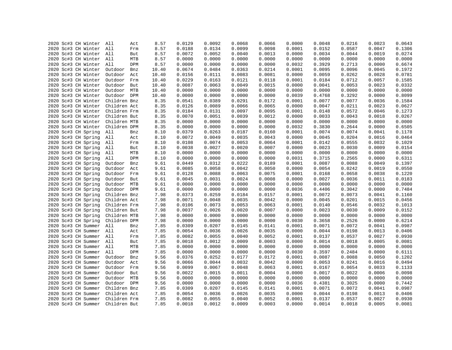| 2020 Sc#3 CH Winter     | All<br>Act     | 8.57  | 0.0129 | 0.0092 | 0.0068 | 0.0066 | 0.0000 | 0.0048 | 0.0216 | 0.0023 | 0.0643 |
|-------------------------|----------------|-------|--------|--------|--------|--------|--------|--------|--------|--------|--------|
| 2020 Sc#3 CH Winter     | All<br>Frm     | 8.57  | 0.0188 | 0.0134 | 0.0099 | 0.0098 | 0.0001 | 0.0152 | 0.0587 | 0.0047 | 0.1306 |
| 2020 Sc#3 CH Winter All | But            | 8.57  | 0.0072 | 0.0052 | 0.0040 | 0.0013 | 0.0000 | 0.0034 | 0.0044 | 0.0019 | 0.0274 |
| 2020 Sc#3 CH Winter All | MTB            | 8.57  | 0.0000 | 0.0000 | 0.0000 | 0.0000 | 0.0000 | 0.0000 | 0.0000 | 0.0000 | 0.0000 |
| 2020 Sc#3 CH Winter All | DPM            | 8.57  | 0.0000 | 0.0000 | 0.0000 | 0.0000 | 0.0032 | 0.3929 | 0.2713 | 0.0000 | 0.6674 |
| 2020 Sc#3 CH Winter     | Outdoor<br>Bnz | 10.40 | 0.0674 | 0.0484 | 0.0363 | 0.0214 | 0.0001 | 0.0095 | 0.0096 | 0.0045 | 0.1972 |
| 2020 Sc#3 CH Winter     | Outdoor<br>Act | 10.40 | 0.0156 | 0.0111 | 0.0083 | 0.0081 | 0.0000 | 0.0059 | 0.0262 | 0.0028 | 0.0781 |
| 2020 Sc#3 CH Winter     | Outdoor<br>Frm | 10.40 | 0.0229 | 0.0163 | 0.0121 | 0.0118 | 0.0001 | 0.0184 | 0.0712 | 0.0057 | 0.1585 |
| 2020 Sc#3 CH Winter     | Outdoor But    | 10.40 | 0.0087 | 0.0063 | 0.0049 | 0.0015 | 0.0000 | 0.0041 | 0.0053 | 0.0023 | 0.0332 |
| 2020 Sc#3 CH Winter     | Outdoor MTB    | 10.40 | 0.0000 | 0.0000 | 0.0000 | 0.0000 | 0.0000 | 0.0000 | 0.0000 | 0.0000 | 0.0000 |
| 2020 Sc#3 CH Winter     | Outdoor DPM    | 10.40 | 0.0000 | 0.0000 | 0.0000 | 0.0000 | 0.0039 | 0.4768 | 0.3292 | 0.0000 | 0.8099 |
| 2020 Sc#3 CH Winter     | Children Bnz   | 8.35  | 0.0541 | 0.0389 | 0.0291 | 0.0172 | 0.0001 | 0.0077 | 0.0077 | 0.0036 | 0.1584 |
| 2020 Sc#3 CH Winter     | Children Act   | 8.35  | 0.0126 | 0.0089 | 0.0066 | 0.0065 | 0.0000 | 0.0047 | 0.0211 | 0.0023 | 0.0627 |
| 2020 Sc#3 CH Winter     | Children Frm   | 8.35  | 0.0184 | 0.0131 | 0.0097 | 0.0095 | 0.0001 | 0.0148 | 0.0572 | 0.0046 | 0.1273 |
| 2020 Sc#3 CH Winter     | Children But   | 8.35  | 0.0070 | 0.0051 | 0.0039 | 0.0012 | 0.0000 | 0.0033 | 0.0043 | 0.0018 | 0.0267 |
| 2020 Sc#3 CH Winter     | Children MTB   | 8.35  | 0.0000 | 0.0000 | 0.0000 | 0.0000 | 0.0000 | 0.0000 | 0.0000 | 0.0000 | 0.0000 |
| 2020 Sc#3 CH Winter     | Children DPM   | 8.35  | 0.0000 | 0.0000 | 0.0000 | 0.0000 | 0.0032 | 0.3830 | 0.2644 | 0.0000 | 0.6505 |
| 2020 Sc#3 CH Spring     | All<br>Bnz     | 8.10  | 0.0379 | 0.0263 | 0.0187 | 0.0160 | 0.0001 | 0.0074 | 0.0074 | 0.0041 | 0.1178 |
| 2020 Sc#3 CH Spring     | All<br>Act     | 8.10  | 0.0072 | 0.0049 | 0.0035 | 0.0043 | 0.0000 | 0.0045 | 0.0204 | 0.0016 | 0.0464 |
| 2020 Sc#3 CH Spring     | All<br>Frm     | 8.10  | 0.0108 | 0.0074 | 0.0053 | 0.0064 | 0.0001 | 0.0142 | 0.0555 | 0.0032 | 0.1029 |
| 2020 Sc#3 CH Spring     | All<br>But     | 8.10  | 0.0038 | 0.0027 | 0.0020 | 0.0007 | 0.0000 | 0.0023 | 0.0030 | 0.0009 | 0.0154 |
|                         | All<br>MTB     | 8.10  | 0.0000 | 0.0000 | 0.0000 | 0.0000 | 0.0000 | 0.0000 | 0.0000 | 0.0000 | 0.0000 |
| 2020 Sc#3 CH Spring     | All<br>DPM     |       | 0.0000 | 0.0000 |        |        | 0.0031 | 0.3715 |        |        |        |
| 2020 Sc#3 CH Spring     |                | 8.10  |        |        | 0.0000 | 0.0000 |        |        | 0.2565 | 0.0000 | 0.6311 |
| 2020 Sc#3 CH Spring     | Outdoor<br>Bnz | 9.61  | 0.0449 | 0.0312 | 0.0222 | 0.0189 | 0.0001 | 0.0087 | 0.0088 | 0.0049 | 0.1397 |
| 2020 Sc#3 CH Spring     | Outdoor<br>Act | 9.61  | 0.0085 | 0.0058 | 0.0042 | 0.0050 | 0.0000 | 0.0054 | 0.0242 | 0.0019 | 0.0550 |
| 2020 Sc#3 CH Spring     | Outdoor Frm    | 9.61  | 0.0128 | 0.0088 | 0.0063 | 0.0075 | 0.0001 | 0.0168 | 0.0658 | 0.0038 | 0.1220 |
| 2020 Sc#3 CH Spring     | Outdoor<br>But | 9.61  | 0.0045 | 0.0031 | 0.0024 | 0.0008 | 0.0000 | 0.0027 | 0.0036 | 0.0011 | 0.0183 |
| 2020 Sc#3 CH Spring     | Outdoor MTB    | 9.61  | 0.0000 | 0.0000 | 0.0000 | 0.0000 | 0.0000 | 0.0000 | 0.0000 | 0.0000 | 0.0000 |
| 2020 Sc#3 CH Spring     | Outdoor DPM    | 9.61  | 0.0000 | 0.0000 | 0.0000 | 0.0000 | 0.0036 | 0.4406 | 0.3042 | 0.0000 | 0.7484 |
| 2020 Sc#3 CH Spring     | Children Bnz   | 7.98  | 0.0373 | 0.0259 | 0.0184 | 0.0157 | 0.0001 | 0.0072 | 0.0073 | 0.0041 | 0.1160 |
| 2020 Sc#3 CH Spring     | Children Act   | 7.98  | 0.0071 | 0.0048 | 0.0035 | 0.0042 | 0.0000 | 0.0045 | 0.0201 | 0.0015 | 0.0456 |
| 2020 Sc#3 CH Spring     | Children Frm   | 7.98  | 0.0106 | 0.0073 | 0.0053 | 0.0063 | 0.0001 | 0.0140 | 0.0546 | 0.0032 | 0.1013 |
| 2020 Sc#3 CH Spring     | Children But   | 7.98  | 0.0037 | 0.0026 | 0.0020 | 0.0007 | 0.0000 | 0.0023 | 0.0030 | 0.0009 | 0.0152 |
| 2020 Sc#3 CH Spring     | Children MTB   | 7.98  | 0.0000 | 0.0000 | 0.0000 | 0.0000 | 0.0000 | 0.0000 | 0.0000 | 0.0000 | 0.0000 |
| 2020 Sc#3 CH Spring     | Children DPM   | 7.98  | 0.0000 | 0.0000 | 0.0000 | 0.0000 | 0.0030 | 0.3658 | 0.2526 | 0.0000 | 0.6214 |
| 2020 Sc#3 CH Summer     | All<br>Bnz     | 7.85  | 0.0309 | 0.0207 | 0.0145 | 0.0141 | 0.0001 | 0.0071 | 0.0072 | 0.0041 | 0.0987 |
| 2020 Sc#3 CH Summer All | Act            | 7.85  | 0.0054 | 0.0036 | 0.0026 | 0.0035 | 0.0000 | 0.0044 | 0.0198 | 0.0013 | 0.0406 |
| 2020 Sc#3 CH Summer     | All<br>Frm     | 7.85  | 0.0082 | 0.0055 | 0.0040 | 0.0052 | 0.0001 | 0.0137 | 0.0537 | 0.0027 | 0.0930 |
| 2020 Sc#3 CH Summer All | But            | 7.85  | 0.0018 | 0.0012 | 0.0009 | 0.0003 | 0.0000 | 0.0014 | 0.0018 | 0.0005 | 0.0081 |
| 2020 Sc#3 CH Summer     | All<br>MTB     | 7.85  | 0.0000 | 0.0000 | 0.0000 | 0.0000 | 0.0000 | 0.0000 | 0.0000 | 0.0000 | 0.0000 |
| 2020 Sc#3 CH Summer     | All<br>DPM     | 7.85  | 0.0000 | 0.0000 | 0.0000 | 0.0000 | 0.0030 | 0.3597 | 0.2484 | 0.0000 | 0.6111 |
| 2020 Sc#3 CH Summer     | Outdoor<br>Bnz | 9.56  | 0.0376 | 0.0252 | 0.0177 | 0.0172 | 0.0001 | 0.0087 | 0.0088 | 0.0050 | 0.1202 |
| 2020 Sc#3 CH Summer     | Outdoor<br>Act | 9.56  | 0.0066 | 0.0044 | 0.0032 | 0.0042 | 0.0000 | 0.0053 | 0.0241 | 0.0016 | 0.0494 |
| 2020 Sc#3 CH Summer     | Outdoor Frm    | 9.56  | 0.0099 | 0.0067 | 0.0048 | 0.0063 | 0.0001 | 0.0167 | 0.0654 | 0.0033 | 0.1133 |
| 2020 Sc#3 CH Summer     | Outdoor But    | 9.56  | 0.0022 | 0.0015 | 0.0011 | 0.0004 | 0.0000 | 0.0017 | 0.0022 | 0.0006 | 0.0098 |
| 2020 Sc#3 CH Summer     | Outdoor MTB    | 9.56  | 0.0000 | 0.0000 | 0.0000 | 0.0000 | 0.0000 | 0.0000 | 0.0000 | 0.0000 | 0.0000 |
| 2020 Sc#3 CH Summer     | Outdoor DPM    | 9.56  | 0.0000 | 0.0000 | 0.0000 | 0.0000 | 0.0036 | 0.4381 | 0.3025 | 0.0000 | 0.7442 |
| Sc#3 CH Summer<br>2020  | Children Bnz   | 7.85  | 0.0309 | 0.0207 | 0.0145 | 0.0141 | 0.0001 | 0.0071 | 0.0072 | 0.0041 | 0.0987 |
| 2020 Sc#3 CH Summer     | Children Act   | 7.85  | 0.0054 | 0.0036 | 0.0026 | 0.0035 | 0.0000 | 0.0044 | 0.0198 | 0.0013 | 0.0406 |
| 2020 Sc#3 CH Summer     | Children Frm   | 7.85  | 0.0082 | 0.0055 | 0.0040 | 0.0052 | 0.0001 | 0.0137 | 0.0537 | 0.0027 | 0.0930 |
| 2020 Sc#3 CH Summer     | Children But   | 7.85  | 0.0018 | 0.0012 | 0.0009 | 0.0003 | 0.0000 | 0.0014 | 0.0018 | 0.0005 | 0.0081 |
|                         |                |       |        |        |        |        |        |        |        |        |        |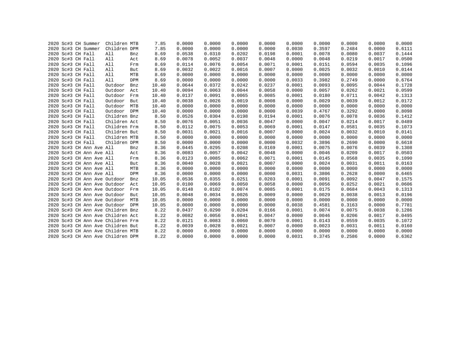|  | 2020 Sc#3 CH Summer               | Children MTB |            | 7.85  | 0.0000 | 0.0000 | 0.0000 | 0.0000 | 0.0000 | 0.0000 | 0.0000 | 0.0000 | 0.0000 |
|--|-----------------------------------|--------------|------------|-------|--------|--------|--------|--------|--------|--------|--------|--------|--------|
|  | 2020 Sc#3 CH Summer               | Children DPM |            | 7.85  | 0.0000 | 0.0000 | 0.0000 | 0.0000 | 0.0030 | 0.3597 | 0.2484 | 0.0000 | 0.6111 |
|  | 2020 Sc#3 CH Fall                 | All          | Bnz        | 8.69  | 0.0538 | 0.0310 | 0.0202 | 0.0198 | 0.0001 | 0.0078 | 0.0080 | 0.0037 | 0.1444 |
|  | 2020 Sc#3 CH Fall                 | All          | Act        | 8.69  | 0.0078 | 0.0052 | 0.0037 | 0.0048 | 0.0000 | 0.0048 | 0.0219 | 0.0017 | 0.0500 |
|  | 2020 Sc#3 CH Fall                 | All          | Frm        | 8.69  | 0.0114 | 0.0076 | 0.0054 | 0.0071 | 0.0001 | 0.0151 | 0.0594 | 0.0035 | 0.1096 |
|  | 2020 Sc#3 CH Fall                 | All          | But        | 8.69  | 0.0032 | 0.0022 | 0.0016 | 0.0007 | 0.0000 | 0.0025 | 0.0032 | 0.0010 | 0.0144 |
|  | 2020 Sc#3 CH Fall                 | All          | MTB        | 8.69  | 0.0000 | 0.0000 | 0.0000 | 0.0000 | 0.0000 | 0.0000 | 0.0000 | 0.0000 | 0.0000 |
|  | 2020 Sc#3 CH Fall                 | All          | DPM        | 8.69  | 0.0000 | 0.0000 | 0.0000 | 0.0000 | 0.0033 | 0.3982 | 0.2749 | 0.0000 | 0.6764 |
|  | 2020 Sc#3 CH Fall                 | Outdoor      | Bnz        | 10.40 | 0.0644 | 0.0372 | 0.0242 | 0.0237 | 0.0001 | 0.0093 | 0.0095 | 0.0044 | 0.1728 |
|  | 2020 Sc#3 CH Fall                 | Outdoor      | Act        | 10.40 | 0.0094 | 0.0063 | 0.0044 | 0.0058 | 0.0000 | 0.0057 | 0.0262 | 0.0021 | 0.0599 |
|  | 2020 Sc#3 CH Fall                 | Outdoor      | Frm        | 10.40 | 0.0137 | 0.0091 | 0.0065 | 0.0085 | 0.0001 | 0.0180 | 0.0711 | 0.0042 | 0.1313 |
|  | 2020 Sc#3 CH Fall                 | Outdoor      | But        | 10.40 | 0.0038 | 0.0026 | 0.0019 | 0.0008 | 0.0000 | 0.0029 | 0.0039 | 0.0012 | 0.0172 |
|  | 2020 Sc#3 CH Fall                 | Outdoor      | MTB        | 10.40 | 0.0000 | 0.0000 | 0.0000 | 0.0000 | 0.0000 | 0.0000 | 0.0000 | 0.0000 | 0.0000 |
|  | 2020 Sc#3 CH Fall                 | Outdoor      | <b>DPM</b> | 10.40 | 0.0000 | 0.0000 | 0.0000 | 0.0000 | 0.0039 | 0.4767 | 0.3292 | 0.0000 | 0.8098 |
|  | 2020 Sc#3 CH Fall                 | Children Bnz |            | 8.50  | 0.0526 | 0.0304 | 0.0198 | 0.0194 | 0.0001 | 0.0076 | 0.0078 | 0.0036 | 0.1412 |
|  | 2020 Sc#3 CH Fall                 | Children Act |            | 8.50  | 0.0076 | 0.0051 | 0.0036 | 0.0047 | 0.0000 | 0.0047 | 0.0214 | 0.0017 | 0.0489 |
|  | 2020 Sc#3 CH Fall                 | Children Frm |            | 8.50  | 0.0112 | 0.0075 | 0.0053 | 0.0069 | 0.0001 | 0.0147 | 0.0581 | 0.0035 | 0.1073 |
|  | 2020 Sc#3 CH Fall                 | Children But |            | 8.50  | 0.0031 | 0.0021 | 0.0016 | 0.0007 | 0.0000 | 0.0024 | 0.0032 | 0.0010 | 0.0141 |
|  | 2020 Sc#3 CH Fall                 | Children MTB |            | 8.50  | 0.0000 | 0.0000 | 0.0000 | 0.0000 | 0.0000 | 0.0000 | 0.0000 | 0.0000 | 0.0000 |
|  | 2020 Sc#3 CH Fall                 | Children DPM |            | 8.50  | 0.0000 | 0.0000 | 0.0000 | 0.0000 | 0.0032 | 0.3896 | 0.2690 | 0.0000 | 0.6618 |
|  | 2020 Sc#3 CH Ann Ave All          |              | Bnz        | 8.36  | 0.0445 | 0.0295 | 0.0208 | 0.0169 | 0.0001 | 0.0075 | 0.0076 | 0.0039 | 0.1308 |
|  | 2020 Sc#3 CH Ann Ave All          |              | Act        | 8.36  | 0.0083 | 0.0057 | 0.0042 | 0.0048 | 0.0000 | 0.0046 | 0.0209 | 0.0017 | 0.0503 |
|  | 2020 Sc#3 CH Ann Ave All          |              | Frm        | 8.36  | 0.0123 | 0.0085 | 0.0062 | 0.0071 | 0.0001 | 0.0145 | 0.0568 | 0.0035 | 0.1090 |
|  | 2020 Sc#3 CH Ann Ave All          |              | But        | 8.36  | 0.0040 | 0.0028 | 0.0021 | 0.0007 | 0.0000 | 0.0024 | 0.0031 | 0.0011 | 0.0163 |
|  | 2020 Sc#3 CH Ann Ave All          |              | MTB        | 8.36  | 0.0000 | 0.0000 | 0.0000 | 0.0000 | 0.0000 | 0.0000 | 0.0000 | 0.0000 | 0.0000 |
|  | 2020 Sc#3 CH Ann Ave All          |              | DPM        | 8.36  | 0.0000 | 0.0000 | 0.0000 | 0.0000 | 0.0031 | 0.3806 | 0.2628 | 0.0000 | 0.6465 |
|  | 2020 Sc#3 CH Ann Ave Outdoor      |              | Bnz        | 10.05 | 0.0536 | 0.0355 | 0.0251 | 0.0203 | 0.0001 | 0.0091 | 0.0092 | 0.0047 | 0.1575 |
|  | 2020 Sc#3 CH Ann Ave Outdoor      |              | Act        | 10.05 | 0.0100 | 0.0069 | 0.0050 | 0.0058 | 0.0000 | 0.0056 | 0.0252 | 0.0021 | 0.0606 |
|  | 2020 Sc#3 CH Ann Ave Outdoor      |              | Frm        | 10.05 | 0.0148 | 0.0102 | 0.0074 | 0.0085 | 0.0001 | 0.0175 | 0.0684 | 0.0043 | 0.1313 |
|  | 2020 Sc#3 CH Ann Ave Outdoor      |              | But        | 10.05 | 0.0048 | 0.0034 | 0.0026 | 0.0009 | 0.0000 | 0.0029 | 0.0038 | 0.0013 | 0.0196 |
|  | 2020 Sc#3 CH Ann Ave Outdoor      |              | MTB        | 10.05 | 0.0000 | 0.0000 | 0.0000 | 0.0000 | 0.0000 | 0.0000 | 0.0000 | 0.0000 | 0.0000 |
|  | 2020 Sc#3 CH Ann Ave Outdoor      |              | DPM        | 10.05 | 0.0000 | 0.0000 | 0.0000 | 0.0000 | 0.0038 | 0.4581 | 0.3163 | 0.0000 | 0.7781 |
|  | 2020 Sc#3 CH Ann Ave Children Bnz |              |            | 8.22  | 0.0437 | 0.0290 | 0.0204 | 0.0166 | 0.0001 | 0.0074 | 0.0075 | 0.0038 | 0.1286 |
|  | 2020 Sc#3 CH Ann Ave Children Act |              |            | 8.22  | 0.0082 | 0.0056 | 0.0041 | 0.0047 | 0.0000 | 0.0046 | 0.0206 | 0.0017 | 0.0495 |
|  | 2020 Sc#3 CH Ann Ave Children Frm |              |            | 8.22  | 0.0121 | 0.0083 | 0.0060 | 0.0070 | 0.0001 | 0.0143 | 0.0559 | 0.0035 | 0.1072 |
|  | 2020 Sc#3 CH Ann Ave Children But |              |            | 8.22  | 0.0039 | 0.0028 | 0.0021 | 0.0007 | 0.0000 | 0.0023 | 0.0031 | 0.0011 | 0.0160 |
|  | 2020 Sc#3 CH Ann Ave Children MTB |              |            | 8.22  | 0.0000 | 0.0000 | 0.0000 | 0.0000 | 0.0000 | 0.0000 | 0.0000 | 0.0000 | 0.0000 |
|  | 2020 Sc#3 CH Ann Ave Children DPM |              |            | 8.22  | 0.0000 | 0.0000 | 0.0000 | 0.0000 | 0.0031 | 0.3745 | 0.2586 | 0.0000 | 0.6362 |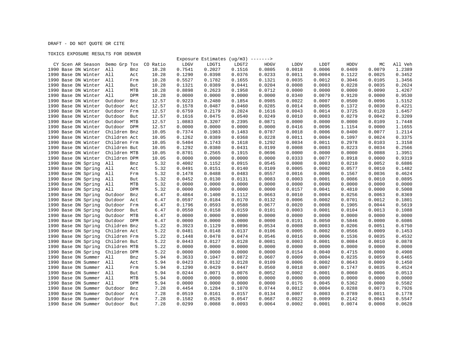## DRAFT - DO NOT QUOTE OR CITE

## TOXICS EXPOSURE RESULTS FOR DENVER

|                                            |                              |              |        |                  | Exposure Estimates $(ug/m3)$ -------> |                  |        |                  |        |        |         |
|--------------------------------------------|------------------------------|--------------|--------|------------------|---------------------------------------|------------------|--------|------------------|--------|--------|---------|
| CY Scen AR Season Demo Grp Tox             |                              | CO Ratio     | LDGV   | LDGT1            | LDGT2                                 | <b>HDGV</b>      | LDDV   | LDDT             | HDDV   | МC     | All Veh |
| 1990 Base DN Winter                        | All<br>Bnz                   | 10.28        | 0.7541 | 0.2027           | 0.1516                                | 0.0805           | 0.0018 | 0.0006           | 0.0409 | 0.0079 | 1.2389  |
| 1990 Base DN Winter All                    | Act                          | 10.28        | 0.1290 | 0.0398           | 0.0376                                | 0.0233           | 0.0011 | 0.0004           | 0.1122 | 0.0025 | 0.3452  |
| 1990 Base DN Winter All                    | Frm                          | 10.28        | 0.5527 | 0.1782           | 0.1655                                | 0.1321           | 0.0035 | 0.0012           | 0.3046 | 0.0105 | 1.3456  |
| 1990 Base DN Winter                        | All<br>But                   | 10.28        | 0.1321 | 0.0389           | 0.0441                                | 0.0204           | 0.0008 | 0.0003           | 0.0228 | 0.0035 | 0.2624  |
| 1990 Base DN Winter All                    | MTB                          | 10.28        | 0.8898 | 0.2623           | 0.1958                                | 0.0712           | 0.0000 | 0.0000           | 0.0000 | 0.0090 | 1.4267  |
| 1990 Base DN Winter                        | All<br>DPM                   | 10.28        | 0.0000 | 0.0000           | 0.0000                                | 0.0000           | 0.0340 | 0.0079           | 0.9120 | 0.0000 | 0.9530  |
| 1990 Base DN Winter                        | Outdoor<br>Bnz               | 12.57        | 0.9223 | 0.2480           | 0.1854                                | 0.0985           | 0.0022 | 0.0007           | 0.0500 | 0.0096 | 1.5152  |
| 1990 Base DN Winter                        | Outdoor<br>Act               | 12.57        | 0.1578 | 0.0487           | 0.0460                                | 0.0285           | 0.0014 | 0.0005           | 0.1372 | 0.0030 | 0.4221  |
| 1990 Base DN Winter                        | Outdoor<br>Frm               | 12.57        | 0.6759 | 0.2179           | 0.2024                                | 0.1616           | 0.0043 | 0.0014           | 0.3725 | 0.0128 | 1.6457  |
| 1990 Base DN Winter                        | Outdoor<br>But               | 12.57        | 0.1616 | 0.0475           | 0.0540                                | 0.0249           | 0.0010 | 0.0003           | 0.0279 | 0.0042 | 0.3209  |
| 1990 Base DN Winter                        | MTB<br>Outdoor               | 12.57        | 1.0883 | 0.3207           | 0.2395                                | 0.0871           | 0.0000 | 0.0000           | 0.0000 | 0.0109 | 1.7448  |
| 1990 Base DN Winter                        | Outdoor DPM                  | 12.57        | 0.0000 | 0.0000           | 0.0000                                | 0.0000           | 0.0416 | 0.0096           | 1.1154 | 0.0000 | 1.1655  |
| 1990 Base DN Winter                        | Children Bnz                 | 10.05        | 0.7374 | 0.1983           | 0.1483                                | 0.0787           | 0.0018 | 0.0006           | 0.0400 | 0.0077 | 1.2114  |
| 1990 Base DN Winter                        | Children Act                 | 10.05        | 0.1262 | 0.0389           | 0.0368                                | 0.0228           | 0.0011 | 0.0004           | 0.1097 | 0.0024 | 0.3375  |
| 1990 Base DN Winter                        | Children Frm                 | 10.05        | 0.5404 | 0.1743           | 0.1618                                | 0.1292           | 0.0034 | 0.0011           | 0.2978 | 0.0103 | 1.3158  |
| 1990 Base DN Winter                        | Children But                 | 10.05        | 0.1292 | 0.0380           | 0.0431                                | 0.0199           | 0.0008 | 0.0003           | 0.0223 | 0.0034 | 0.2566  |
| 1990 Base DN Winter                        | Children MTB                 | 10.05        | 0.8701 | 0.2565           | 0.1915                                | 0.0696           | 0.0000 | 0.0000           | 0.0000 | 0.0088 | 1.3951  |
| 1990 Base DN Winter                        | Children DPM                 | 10.05        | 0.0000 | 0.0000           | 0.0000                                | 0.0000           | 0.0333 | 0.0077           | 0.8918 | 0.0000 | 0.9319  |
| 1990 Base DN Spring                        | All<br>Bnz                   | 5.32         | 0.4002 | 0.1152           | 0.0915                                | 0.0545           | 0.0008 | 0.0003           | 0.0210 | 0.0052 | 0.6886  |
| 1990 Base DN Spring                        | All<br>Act                   | 5.32         | 0.0491 | 0.0151           | 0.0140                                | 0.0109           | 0.0005 | 0.0002           | 0.0577 | 0.0010 | 0.1482  |
| 1990 Base DN Spring                        | All<br>Frm                   | 5.32         | 0.1478 | 0.0488           | 0.0483                                | 0.0557           | 0.0016 | 0.0006           | 0.1567 | 0.0036 | 0.4624  |
| 1990 Base DN Spring                        | All<br>But                   | 5.32         | 0.0452 | 0.0130           | 0.0131                                | 0.0083           | 0.0003 | 0.0001           | 0.0086 | 0.0010 | 0.0895  |
| 1990 Base DN Spring                        | All<br>MTB                   | 5.32         | 0.0000 | 0.0000           | 0.0000                                | 0.0000           | 0.0000 | 0.0000           | 0.0000 | 0.0000 | 0.0000  |
| 1990 Base DN Spring                        | DPM<br>All                   | 5.32         | 0.0000 | 0.0000           | 0.0000                                | 0.0000           | 0.0157 | 0.0041           | 0.4810 | 0.0000 | 0.5008  |
| 1990 Base DN Spring                        | Outdoor<br>Bnz               | 6.47         | 0.4864 | 0.1400           | 0.1112                                | 0.0663           | 0.0010 | 0.0004           | 0.0256 | 0.0063 | 0.8369  |
| 1990 Base DN Spring                        | Outdoor<br>Act               | 6.47         | 0.0597 | 0.0184           | 0.0170                                | 0.0132           | 0.0006 | 0.0002           | 0.0701 | 0.0012 | 0.1801  |
| 1990 Base DN Spring                        | Outdoor<br>Frm               | 6.47         | 0.1796 | 0.0593           | 0.0588                                | 0.0677           | 0.0020 | 0.0008           | 0.1905 | 0.0044 | 0.5619  |
| 1990 Base DN Spring                        | Outdoor<br>But               | 6.47         | 0.0550 | 0.0158           | 0.0159                                | 0.0101           | 0.0003 | 0.0001           | 0.0104 | 0.0013 | 0.1088  |
| 1990 Base DN Spring                        | Outdoor<br>MTB               | 6.47         | 0.0000 | 0.0000           | 0.0000                                | 0.0000           | 0.0000 | 0.0000           | 0.0000 | 0.0000 | 0.0000  |
| 1990 Base DN Spring                        | Outdoor<br>DPM               | 6.47         | 0.0000 | 0.0000           | 0.0000                                | 0.0000           | 0.0191 | 0.0050           | 0.5846 | 0.0000 | 0.6086  |
| 1990 Base DN Spring                        | Children Bnz                 | 5.22         | 0.3923 | 0.1129           | 0.0896                                | 0.0534           | 0.0008 | 0.0003           | 0.0206 | 0.0051 | 0.6750  |
| 1990 Base DN Spring                        | Children Act                 | 5.22         | 0.0481 | 0.0148           | 0.0137                                | 0.0106           | 0.0005 | 0.0002           | 0.0566 | 0.0009 | 0.1453  |
| 1990 Base DN Spring                        | Children Frm                 | 5.22         | 0.1448 | 0.0478           | 0.0474                                | 0.0546           | 0.0016 | 0.0006           | 0.1536 | 0.0035 | 0.4532  |
| 1990 Base DN Spring                        | Children But                 | 5.22         | 0.0443 | 0.0127           | 0.0128                                | 0.0081           | 0.0003 | 0.0001           | 0.0084 | 0.0010 | 0.0878  |
| 1990 Base DN Spring                        | Children MTB                 | 5.22         | 0.0000 | 0.0000           | 0.0000                                | 0.0000           | 0.0000 | 0.0000           | 0.0000 | 0.0000 | 0.0000  |
| 1990 Base DN Spring                        | Children DPM                 | 5.22         | 0.0000 | 0.0000           | 0.0000                                | 0.0000           | 0.0154 | 0.0040           | 0.4715 | 0.0000 | 0.4908  |
| 1990 Base DN Summer                        | All<br>Bnz                   | 5.94         | 0.3633 | 0.1047           | 0.0872                                | 0.0607           | 0.0009 | 0.0004           | 0.0235 | 0.0059 | 0.6465  |
| 1990 Base DN Summer                        | All<br>Act                   | 5.94         | 0.0423 | 0.0132           | 0.0128                                | 0.0109           | 0.0006 | 0.0002           | 0.0643 | 0.0009 | 0.1450  |
| 1990 Base DN Summer                        | All<br>Frm                   | 5.94         | 0.1290 | 0.0429           | 0.0447                                | 0.0560           | 0.0018 | 0.0007           | 0.1747 | 0.0035 | 0.4524  |
| 1990 Base DN Summer                        | All<br>But                   | 5.94         | 0.0244 | 0.0071           | 0.0076                                | 0.0052           | 0.0002 | 0.0001           | 0.0060 | 0.0006 | 0.0513  |
| 1990 Base DN Summer                        | All<br>MTB                   | 5.94         | 0.0000 | 0.0000           | 0.0000                                | 0.0000           | 0.0000 | 0.0000           | 0.0000 | 0.0000 | 0.0000  |
|                                            |                              |              | 0.0000 | 0.0000           | 0.0000                                | 0.0000           | 0.0175 | 0.0045           | 0.5362 | 0.0000 | 0.5582  |
| 1990 Base DN Summer<br>1990 Base DN Summer | All<br>DPM<br>Outdoor<br>Bnz | 5.94<br>7.28 | 0.4454 | 0.1284           | 0.1070                                | 0.0744           | 0.0012 | 0.0004           | 0.0288 | 0.0073 | 0.7926  |
| 1990 Base DN Summer                        | Act                          |              | 0.0519 |                  | 0.0157                                |                  | 0.0007 |                  | 0.0789 | 0.0011 | 0.1778  |
|                                            | Outdoor<br>Outdoor<br>Frm    | 7.28<br>7.28 | 0.1582 | 0.0161<br>0.0526 | 0.0547                                | 0.0134<br>0.0687 | 0.0022 | 0.0003<br>0.0009 | 0.2142 | 0.0043 | 0.5547  |
| 1990 Base DN Summer                        | But                          |              | 0.0299 |                  | 0.0093                                |                  | 0.0002 |                  | 0.0074 | 0.0008 | 0.0628  |
| 1990 Base DN Summer                        | Outdoor                      | 7.28         |        | 0.0088           |                                       | 0.0064           |        | 0.0001           |        |        |         |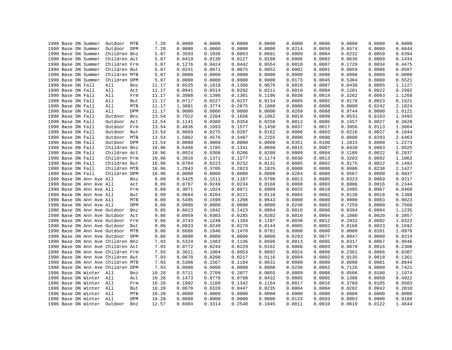|  | 1990 Base DN Summer               | Outdoor      | MTB        | 7.28  | 0.0000 | 0.0000 | 0.0000 | 0.0000 | 0.0000 | 0.0000 | 0.0000 | 0.0000 | 0.0000 |
|--|-----------------------------------|--------------|------------|-------|--------|--------|--------|--------|--------|--------|--------|--------|--------|
|  | 1990 Base DN Summer               | Outdoor DPM  |            | 7.28  | 0.0000 | 0.0000 | 0.0000 | 0.0000 | 0.0214 | 0.0056 | 0.6574 | 0.0000 | 0.6844 |
|  | 1990 Base DN Summer               | Children Bnz |            | 5.87  | 0.3593 | 0.1036 | 0.0863 | 0.0601 | 0.0009 | 0.0004 | 0.0232 | 0.0059 | 0.6394 |
|  | 1990 Base DN Summer               | Children Act |            | 5.87  | 0.0419 | 0.0130 | 0.0127 | 0.0108 | 0.0006 | 0.0002 | 0.0636 | 0.0009 | 0.1434 |
|  | 1990 Base DN Summer               | Children Frm |            | 5.87  | 0.1276 | 0.0424 | 0.0442 | 0.0554 | 0.0018 | 0.0007 | 0.1728 | 0.0034 | 0.4475 |
|  | 1990 Base DN Summer               | Children But |            | 5.87  | 0.0241 | 0.0071 | 0.0075 | 0.0052 | 0.0002 | 0.0001 | 0.0059 | 0.0006 | 0.0507 |
|  | 1990 Base DN Summer               | Children MTB |            | 5.87  | 0.0000 | 0.0000 | 0.0000 | 0.0000 | 0.0000 | 0.0000 | 0.0000 | 0.0000 | 0.0000 |
|  | 1990 Base DN Summer               | Children DPM |            | 5.87  | 0.0000 | 0.0000 | 0.0000 | 0.0000 | 0.0173 | 0.0045 | 0.5304 | 0.0000 | 0.5521 |
|  | 1990 Base DN Fall                 | All          | Bnz        | 11.17 | 0.6525 | 0.1818 | 0.1366 | 0.0876 | 0.0016 | 0.0007 | 0.0438 | 0.0085 | 1.1127 |
|  | 1990 Base DN Fall                 | All          | Act        | 11.17 | 0.0941 | 0.0314 | 0.0292 | 0.0211 | 0.0010 | 0.0004 | 0.1201 | 0.0022 | 0.2992 |
|  | 1990 Base DN Fall                 | All          | Frm        | 11.17 | 0.3988 | 0.1396 | 0.1301 | 0.1196 | 0.0030 | 0.0014 | 0.3262 | 0.0093 | 1.1268 |
|  | 1990 Base DN Fall                 | All          | But        | 11.17 | 0.0717 | 0.0227 | 0.0237 | 0.0134 | 0.0005 | 0.0002 | 0.0178 | 0.0023 | 0.1521 |
|  | 1990 Base DN Fall                 | All          | MTB        | 11.17 | 1.3081 | 0.3774 | 0.2875 | 0.1860 | 0.0000 | 0.0000 | 0.0000 | 0.0242 | 2.1824 |
|  | 1990 Base DN Fall                 | All          | <b>DPM</b> | 11.17 | 0.0000 | 0.0000 | 0.0000 | 0.0000 | 0.0289 | 0.0088 | 0.9744 | 0.0000 | 1.0121 |
|  | 1990 Base DN Fall                 | Outdoor      | Bnz        | 13.54 | 0.7912 | 0.2204 | 0.1656 | 0.1062 | 0.0019 | 0.0009 | 0.0531 | 0.0103 | 1.3493 |
|  | 1990 Base DN Fall                 | Outdoor      | Act        | 13.54 | 0.1141 | 0.0380 | 0.0354 | 0.0256 | 0.0012 | 0.0005 | 0.1457 | 0.0027 | 0.3628 |
|  | 1990 Base DN Fall                 | Outdoor      | Frm        | 13.54 | 0.4836 | 0.1693 | 0.1577 | 0.1450 | 0.0037 | 0.0017 | 0.3956 | 0.0113 | 1.3664 |
|  | 1990 Base DN Fall                 | Outdoor      | But        | 13.54 | 0.0869 | 0.0275 | 0.0287 | 0.0162 | 0.0006 | 0.0003 | 0.0216 | 0.0027 | 0.1844 |
|  | 1990 Base DN Fall                 | Outdoor      | MTB        | 13.54 | 1.5862 | 0.4576 | 0.3487 | 0.2255 | 0.0000 | 0.0000 | 0.0000 | 0.0293 | 2.6463 |
|  | 1990 Base DN Fall                 | Outdoor DPM  |            | 13.54 | 0.0000 | 0.0000 | 0.0000 | 0.0000 | 0.0351 | 0.0106 | 1.1815 | 0.0000 | 1.2273 |
|  | 1990 Base DN Fall                 | Children Bnz |            | 10.96 | 0.6406 | 0.1785 | 0.1341 | 0.0860 | 0.0015 | 0.0007 | 0.0430 | 0.0083 | 1.0925 |
|  | 1990 Base DN Fall                 | Children Act |            | 10.96 | 0.0924 | 0.0308 | 0.0286 | 0.0208 | 0.0009 | 0.0004 | 0.1180 | 0.0022 | 0.2937 |
|  | 1990 Base DN Fall                 | Children Frm |            | 10.96 | 0.3916 | 0.1371 | 0.1277 | 0.1174 | 0.0030 | 0.0013 | 0.3203 | 0.0092 | 1.1063 |
|  | 1990 Base DN Fall                 | Children But |            | 10.96 | 0.0704 | 0.0223 | 0.0232 | 0.0131 | 0.0005 | 0.0002 | 0.0175 | 0.0022 | 0.1493 |
|  | 1990 Base DN Fall                 | Children MTB |            | 10.96 | 1.2843 | 0.3705 | 0.2823 | 0.1826 | 0.0000 | 0.0000 | 0.0000 | 0.0238 | 2.1427 |
|  | 1990 Base DN Fall                 | Children DPM |            | 10.96 | 0.0000 | 0.0000 | 0.0000 | 0.0000 | 0.0284 | 0.0086 | 0.9567 | 0.0000 | 0.9937 |
|  | 1990 Base DN Ann Ave All          |              |            | 8.09  | 0.5425 | 0.1511 | 0.1167 | 0.0708 | 0.0013 | 0.0005 | 0.0323 | 0.0069 | 0.9217 |
|  |                                   |              | Bnz        |       |        |        |        |        |        |        |        |        |        |
|  | 1990 Base DN Ann Ave All          |              | Act        | 8.09  | 0.0787 | 0.0249 | 0.0234 | 0.0166 | 0.0008 | 0.0003 | 0.0886 | 0.0016 | 0.2344 |
|  | 1990 Base DN Ann Ave All          |              | Frm        | 8.09  | 0.3071 | 0.1024 | 0.0971 | 0.0909 | 0.0025 | 0.0010 | 0.2405 | 0.0067 | 0.8468 |
|  | 1990 Base DN Ann Ave All          |              | But        | 8.09  | 0.0684 | 0.0204 | 0.0221 | 0.0118 | 0.0004 | 0.0002 | 0.0138 | 0.0018 | 0.1388 |
|  | 1990 Base DN Ann Ave All          |              | MTB        | 8.09  | 0.5495 | 0.1599 | 0.1208 | 0.0643 | 0.0000 | 0.0000 | 0.0000 | 0.0083 | 0.9023 |
|  | 1990 Base DN Ann Ave All          |              | DPM        | 8.09  | 0.0000 | 0.0000 | 0.0000 | 0.0000 | 0.0240 | 0.0063 | 0.7259 | 0.0000 | 0.7560 |
|  | 1990 Base DN Ann Ave Outdoor      |              | Bnz        | 9.86  | 0.6613 | 0.1842 | 0.1423 | 0.0864 | 0.0016 | 0.0006 | 0.0394 | 0.0084 | 1.1235 |
|  | 1990 Base DN Ann Ave Outdoor      |              | Act        | 9.86  | 0.0959 | 0.0303 | 0.0285 | 0.0202 | 0.0010 | 0.0004 | 0.1080 | 0.0020 | 0.2857 |
|  | 1990 Base DN Ann Ave Outdoor      |              | Frm        | 9.86  | 0.3743 | 0.1248 | 0.1184 | 0.1107 | 0.0030 | 0.0012 | 0.2932 | 0.0082 | 1.0322 |
|  | 1990 Base DN Ann Ave Outdoor      |              | But        | 9.86  | 0.0833 | 0.0249 | 0.0270 | 0.0144 | 0.0005 | 0.0002 | 0.0168 | 0.0023 | 0.1692 |
|  | 1990 Base DN Ann Ave Outdoor MTB  |              |            | 9.86  | 0.6686 | 0.1946 | 0.1470 | 0.0781 | 0.0000 | 0.0000 | 0.0000 | 0.0101 | 1.0978 |
|  | 1990 Base DN Ann Ave Outdoor      |              | DPM        | 9.86  | 0.0000 | 0.0000 | 0.0000 | 0.0000 | 0.0293 | 0.0077 | 0.8847 | 0.0000 | 0.9214 |
|  | 1990 Base DN Ann Ave Children Bnz |              |            | 7.93  | 0.5324 | 0.1483 | 0.1146 | 0.0696 | 0.0013 | 0.0005 | 0.0317 | 0.0067 | 0.9046 |
|  | 1990 Base DN Ann Ave Children Act |              |            | 7.93  | 0.0772 | 0.0244 | 0.0229 | 0.0162 | 0.0008 | 0.0003 | 0.0870 | 0.0016 | 0.2300 |
|  | 1990 Base DN Ann Ave Children Frm |              |            | 7.93  | 0.3011 | 0.1004 | 0.0953 | 0.0892 | 0.0024 | 0.0009 | 0.2361 | 0.0066 | 0.8307 |
|  | 1990 Base DN Ann Ave Children But |              |            | 7.93  | 0.0670 | 0.0200 | 0.0217 | 0.0116 | 0.0004 | 0.0002 | 0.0135 | 0.0018 | 0.1361 |
|  | 1990 Base DN Ann Ave Children MTB |              |            | 7.93  | 0.5386 | 0.1567 | 0.1184 | 0.0631 | 0.0000 | 0.0000 | 0.0000 | 0.0081 | 0.8844 |
|  | 1990 Base DN Ann Ave Children DPM |              |            | 7.93  | 0.0000 | 0.0000 | 0.0000 | 0.0000 | 0.0236 | 0.0062 | 0.7126 | 0.0000 | 0.7421 |
|  | 1996 Base DN Winter All           |              | Bnz        | 10.28 | 0.5711 | 0.2709 | 0.2077 | 0.0855 | 0.0009 | 0.0008 | 0.0506 | 0.0100 | 1.1974 |
|  | 1996 Base DN Winter All           |              | Act        | 10.28 | 0.1473 | 0.0778 | 0.0790 | 0.0432 | 0.0005 | 0.0005 | 0.1388 | 0.0050 | 0.4922 |
|  | 1996 Base DN Winter All           |              | Frm        | 10.28 | 0.1982 | 0.1109 | 0.1342 | 0.1164 | 0.0017 | 0.0016 | 0.3769 | 0.0105 | 0.9503 |
|  | 1996 Base DN Winter All           |              | But        | 10.28 | 0.0670 | 0.0328 | 0.0447 | 0.0235 | 0.0004 | 0.0004 | 0.0282 | 0.0042 | 0.2010 |
|  | 1996 Base DN Winter               | All          | <b>MTB</b> | 10.28 | 0.0000 | 0.0000 | 0.0000 | 0.0000 | 0.0000 | 0.0000 | 0.0000 | 0.0000 | 0.0000 |
|  | 1996 Base DN Winter All           |              | DPM        | 10.28 | 0.0000 | 0.0000 | 0.0000 | 0.0000 | 0.0133 | 0.0093 | 0.8883 | 0.0000 | 0.9109 |
|  | 1996 Base DN Winter               | Outdoor      | Bnz        | 12.57 | 0.6984 | 0.3314 | 0.2540 | 0.1045 | 0.0011 | 0.0010 | 0.0619 | 0.0122 | 1.4644 |
|  |                                   |              |            |       |        |        |        |        |        |        |        |        |        |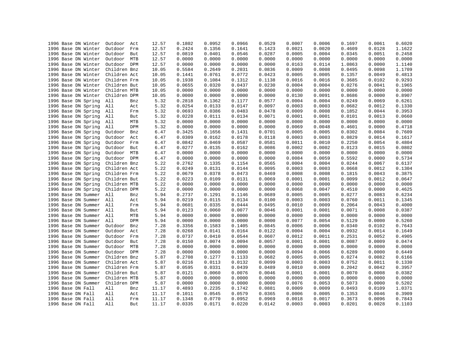| 1996 Base DN Winter | Outdoor<br>Act    | 12.57 | 0.1802 | 0.0952 | 0.0966 | 0.0529 | 0.0007 | 0.0006 | 0.1697 | 0.0061 | 0.6020 |
|---------------------|-------------------|-------|--------|--------|--------|--------|--------|--------|--------|--------|--------|
| 1996 Base DN Winter | Outdoor<br>Frm    | 12.57 | 0.2424 | 0.1356 | 0.1641 | 0.1423 | 0.0021 | 0.0020 | 0.4609 | 0.0128 | 1.1622 |
| 1996 Base DN Winter | Outdoor<br>But    | 12.57 | 0.0819 | 0.0401 | 0.0546 | 0.0287 | 0.0005 | 0.0004 | 0.0345 | 0.0051 | 0.2458 |
| 1996 Base DN Winter | Outdoor<br>MTB    | 12.57 | 0.0000 | 0.0000 | 0.0000 | 0.0000 | 0.0000 | 0.0000 | 0.0000 | 0.0000 | 0.0000 |
| 1996 Base DN Winter | Outdoor DPM       | 12.57 | 0.0000 | 0.0000 | 0.0000 | 0.0000 | 0.0163 | 0.0114 | 1.0863 | 0.0000 | 1.1140 |
| 1996 Base DN Winter | Children Bnz      | 10.05 | 0.5584 | 0.2649 | 0.2031 | 0.0836 | 0.0009 | 0.0008 | 0.0495 | 0.0098 | 1.1709 |
| 1996 Base DN Winter | Children Act      | 10.05 | 0.1441 | 0.0761 | 0.0772 | 0.0423 | 0.0005 | 0.0005 | 0.1357 | 0.0049 | 0.4813 |
| 1996 Base DN Winter | Children Frm      | 10.05 | 0.1938 | 0.1084 | 0.1312 | 0.1138 | 0.0016 | 0.0016 | 0.3685 | 0.0102 | 0.9293 |
| 1996 Base DN Winter | Children But      | 10.05 | 0.0655 | 0.0320 | 0.0437 | 0.0230 | 0.0004 | 0.0004 | 0.0276 | 0.0041 | 0.1965 |
| 1996 Base DN Winter | Children MTB      | 10.05 | 0.0000 | 0.0000 | 0.0000 | 0.0000 | 0.0000 | 0.0000 | 0.0000 | 0.0000 | 0.0000 |
| 1996 Base DN Winter | Children DPM      | 10.05 | 0.0000 | 0.0000 | 0.0000 | 0.0000 | 0.0130 | 0.0091 | 0.8686 | 0.0000 | 0.8907 |
| 1996 Base DN Spring | All<br>Bnz        | 5.32  | 0.2818 | 0.1362 | 0.1177 | 0.0577 | 0.0004 | 0.0004 | 0.0249 | 0.0069 | 0.6261 |
| 1996 Base DN Spring | All<br>Act        | 5.32  | 0.0254 | 0.0133 | 0.0147 | 0.0097 | 0.0003 | 0.0003 | 0.0682 | 0.0012 | 0.1330 |
| 1996 Base DN Spring | All<br>Frm        | 5.32  | 0.0693 | 0.0386 | 0.0483 | 0.0478 | 0.0009 | 0.0008 | 0.1852 | 0.0044 | 0.3953 |
| 1996 Base DN Spring | All<br>But        | 5.32  | 0.0228 | 0.0111 | 0.0134 | 0.0071 | 0.0001 | 0.0001 | 0.0101 | 0.0013 | 0.0660 |
| 1996 Base DN Spring | All<br>MTB        | 5.32  | 0.0000 | 0.0000 | 0.0000 | 0.0000 | 0.0000 | 0.0000 | 0.0000 | 0.0000 | 0.0000 |
| 1996 Base DN Spring | All<br><b>DPM</b> | 5.32  | 0.0000 | 0.0000 | 0.0000 | 0.0000 | 0.0069 | 0.0048 | 0.4601 | 0.0000 | 0.4718 |
| 1996 Base DN Spring | Outdoor<br>Bnz    | 6.47  | 0.3425 | 0.1656 | 0.1431 | 0.0701 | 0.0005 | 0.0005 | 0.0302 | 0.0084 | 0.7609 |
| 1996 Base DN Spring | Outdoor<br>Act    | 6.47  | 0.0309 | 0.0162 | 0.0178 | 0.0118 | 0.0003 | 0.0003 | 0.0829 | 0.0014 | 0.1617 |
| 1996 Base DN Spring | Outdoor<br>Frm    | 6.47  | 0.0842 | 0.0469 | 0.0587 | 0.0581 | 0.0011 | 0.0010 | 0.2250 | 0.0054 | 0.4804 |
| 1996 Base DN Spring | Outdoor<br>But    | 6.47  | 0.0277 | 0.0135 | 0.0162 | 0.0086 | 0.0002 | 0.0002 | 0.0123 | 0.0015 | 0.0802 |
| 1996 Base DN Spring | Outdoor<br>MTB    | 6.47  | 0.0000 | 0.0000 | 0.0000 | 0.0000 | 0.0000 | 0.0000 | 0.0000 | 0.0000 | 0.0000 |
| 1996 Base DN Spring | Outdoor<br>DPM    | 6.47  | 0.0000 | 0.0000 | 0.0000 | 0.0000 | 0.0084 | 0.0059 | 0.5592 | 0.0000 | 0.5734 |
| 1996 Base DN Spring | Children Bnz      | 5.22  | 0.2762 | 0.1335 | 0.1154 | 0.0565 | 0.0004 | 0.0004 | 0.0244 | 0.0067 | 0.6137 |
| 1996 Base DN Spring | Children Act      | 5.22  | 0.0249 | 0.0131 | 0.0144 | 0.0095 | 0.0003 | 0.0003 | 0.0668 | 0.0012 | 0.1304 |
| 1996 Base DN Spring | Children Frm      | 5.22  | 0.0679 | 0.0378 | 0.0473 | 0.0469 | 0.0008 | 0.0008 | 0.1815 | 0.0043 | 0.3875 |
| 1996 Base DN Spring | Children But      | 5.22  | 0.0223 | 0.0109 | 0.0131 | 0.0069 | 0.0001 | 0.0001 | 0.0099 | 0.0012 | 0.0647 |
|                     |                   |       | 0.0000 | 0.0000 | 0.0000 | 0.0000 | 0.0000 | 0.0000 | 0.0000 | 0.0000 | 0.0000 |
| 1996 Base DN Spring | Children MTB      | 5.22  | 0.0000 |        |        |        | 0.0068 | 0.0047 |        |        |        |
| 1996 Base DN Spring | Children DPM      | 5.22  |        | 0.0000 | 0.0000 | 0.0000 |        |        | 0.4510 | 0.0000 | 0.4625 |
| 1996 Base DN Summer | All<br>Bnz        | 5.94  | 0.2737 | 0.1291 | 0.1146 | 0.0689 | 0.0005 | 0.0005 | 0.0277 | 0.0083 | 0.6234 |
| 1996 Base DN Summer | All<br>Act        | 5.94  | 0.0219 | 0.0115 | 0.0134 | 0.0100 | 0.0003 | 0.0003 | 0.0760 | 0.0011 | 0.1345 |
| 1996 Base DN Summer | All<br>Frm        | 5.94  | 0.0601 | 0.0335 | 0.0444 | 0.0495 | 0.0010 | 0.0009 | 0.2064 | 0.0043 | 0.4000 |
| 1996 Base DN Summer | All<br>But        | 5.94  | 0.0123 | 0.0060 | 0.0077 | 0.0046 | 0.0001 | 0.0001 | 0.0071 | 0.0008 | 0.0387 |
| 1996 Base DN Summer | All<br>MTB        | 5.94  | 0.0000 | 0.0000 | 0.0000 | 0.0000 | 0.0000 | 0.0000 | 0.0000 | 0.0000 | 0.0000 |
| 1996 Base DN Summer | All<br>DPM        | 5.94  | 0.0000 | 0.0000 | 0.0000 | 0.0000 | 0.0077 | 0.0054 | 0.5129 | 0.0000 | 0.5260 |
| 1996 Base DN Summer | Outdoor<br>Bnz    | 7.28  | 0.3356 | 0.1583 | 0.1405 | 0.0845 | 0.0006 | 0.0006 | 0.0340 | 0.0102 | 0.7643 |
| 1996 Base DN Summer | Outdoor<br>Act    | 7.28  | 0.0268 | 0.0141 | 0.0164 | 0.0122 | 0.0004 | 0.0004 | 0.0932 | 0.0014 | 0.1649 |
| 1996 Base DN Summer | Outdoor<br>Frm    | 7.28  | 0.0737 | 0.0410 | 0.0544 | 0.0607 | 0.0012 | 0.0011 | 0.2531 | 0.0052 | 0.4905 |
| 1996 Base DN Summer | Outdoor<br>But    | 7.28  | 0.0150 | 0.0074 | 0.0094 | 0.0057 | 0.0001 | 0.0001 | 0.0087 | 0.0009 | 0.0474 |
| 1996 Base DN Summer | Outdoor<br>MTB    | 7.28  | 0.0000 | 0.0000 | 0.0000 | 0.0000 | 0.0000 | 0.0000 | 0.0000 | 0.0000 | 0.0000 |
| 1996 Base DN Summer | Outdoor<br>DPM    | 7.28  | 0.0000 | 0.0000 | 0.0000 | 0.0000 | 0.0094 | 0.0066 | 0.6289 | 0.0000 | 0.6449 |
| 1996 Base DN Summer | Children Bnz      | 5.87  | 0.2708 | 0.1277 | 0.1133 | 0.0682 | 0.0005 | 0.0005 | 0.0274 | 0.0082 | 0.6166 |
| 1996 Base DN Summer | Children Act      | 5.87  | 0.0216 | 0.0113 | 0.0132 | 0.0099 | 0.0003 | 0.0003 | 0.0752 | 0.0011 | 0.1330 |
| 1996 Base DN Summer | Children Frm      | 5.87  | 0.0595 | 0.0331 | 0.0439 | 0.0489 | 0.0010 | 0.0009 | 0.2042 | 0.0042 | 0.3957 |
| 1996 Base DN Summer | Children But      | 5.87  | 0.0121 | 0.0060 | 0.0076 | 0.0046 | 0.0001 | 0.0001 | 0.0070 | 0.0008 | 0.0382 |
| 1996 Base DN Summer | Children MTB      | 5.87  | 0.0000 | 0.0000 | 0.0000 | 0.0000 | 0.0000 | 0.0000 | 0.0000 | 0.0000 | 0.0000 |
| 1996 Base DN Summer | Children DPM      | 5.87  | 0.0000 | 0.0000 | 0.0000 | 0.0000 | 0.0076 | 0.0053 | 0.5073 | 0.0000 | 0.5202 |
| 1996 Base DN Fall   | All<br>Bnz        | 11.17 | 0.4893 | 0.2235 | 0.1742 | 0.0881 | 0.0009 | 0.0009 | 0.0493 | 0.0109 | 1.0371 |
| 1996 Base DN Fall   | All<br>Act        | 11.17 | 0.1011 | 0.0545 | 0.0579 | 0.0365 | 0.0006 | 0.0005 | 0.1353 | 0.0046 | 0.3909 |
| 1996 Base DN Fall   | All<br>Frm        | 11.17 | 0.1348 | 0.0770 | 0.0952 | 0.0969 | 0.0018 | 0.0017 | 0.3673 | 0.0096 | 0.7843 |
| 1996 Base DN Fall   | All<br>But        | 11.17 | 0.0335 | 0.0171 | 0.0220 | 0.0142 | 0.0003 | 0.0003 | 0.0201 | 0.0028 | 0.1103 |
|                     |                   |       |        |        |        |        |        |        |        |        |        |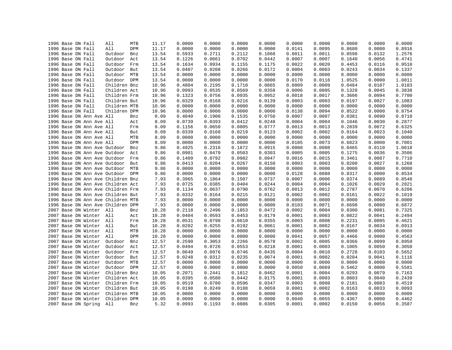| 1996 Base DN Fall                 | All<br>MTB     | 11.17 | 0.0000 | 0.0000 | 0.0000 | 0.0000 | 0.0000 | 0.0000 | 0.0000 | 0.0000 | 0.0000 |
|-----------------------------------|----------------|-------|--------|--------|--------|--------|--------|--------|--------|--------|--------|
| 1996 Base DN Fall                 | All<br>DPM     | 11.17 | 0.0000 | 0.0000 | 0.0000 | 0.0000 | 0.0141 | 0.0095 | 0.8680 | 0.0000 | 0.8916 |
| 1996 Base DN Fall                 | Outdoor<br>Bnz | 13.54 | 0.5933 | 0.2711 | 0.2112 | 0.1068 | 0.0011 | 0.0011 | 0.0598 | 0.0132 | 1.2576 |
| 1996 Base DN Fall                 | Outdoor<br>Act | 13.54 | 0.1226 | 0.0661 | 0.0702 | 0.0442 | 0.0007 | 0.0007 | 0.1640 | 0.0056 | 0.4741 |
| 1996 Base DN Fall                 | Outdoor<br>Frm | 13.54 | 0.1634 | 0.0934 | 0.1155 | 0.1175 | 0.0022 | 0.0020 | 0.4453 | 0.0116 | 0.9510 |
| 1996 Base DN Fall                 | Outdoor<br>But | 13.54 | 0.0407 | 0.0208 | 0.0266 | 0.0172 | 0.0004 | 0.0003 | 0.0243 | 0.0034 | 0.1337 |
| 1996 Base DN Fall                 | Outdoor MTB    | 13.54 | 0.0000 | 0.0000 | 0.0000 | 0.0000 | 0.0000 | 0.0000 | 0.0000 | 0.0000 | 0.0000 |
| 1996 Base DN Fall                 | Outdoor DPM    | 13.54 | 0.0000 | 0.0000 | 0.0000 | 0.0000 | 0.0170 | 0.0116 | 1.0525 | 0.0000 | 1.0811 |
| 1996 Base DN Fall                 | Children Bnz   | 10.96 | 0.4804 | 0.2195 | 0.1710 | 0.0865 | 0.0009 | 0.0009 | 0.0484 | 0.0107 | 1.0183 |
| 1996 Base DN Fall                 | Children Act   | 10.96 | 0.0993 | 0.0535 | 0.0569 | 0.0358 | 0.0006 | 0.0005 | 0.1328 | 0.0045 | 0.3838 |
| 1996 Base DN Fall                 | Children Frm   | 10.96 | 0.1323 | 0.0756 | 0.0935 | 0.0952 | 0.0018 | 0.0017 | 0.3606 | 0.0094 | 0.7700 |
| 1996 Base DN Fall                 | Children But   | 10.96 | 0.0329 | 0.0168 | 0.0216 | 0.0139 | 0.0003 | 0.0003 | 0.0197 | 0.0027 | 0.1083 |
| 1996 Base DN Fall                 | Children MTB   | 10.96 | 0.0000 | 0.0000 | 0.0000 | 0.0000 | 0.0000 | 0.0000 | 0.0000 | 0.0000 | 0.0000 |
| 1996 Base DN Fall                 | Children DPM   | 10.96 | 0.0000 | 0.0000 | 0.0000 | 0.0000 | 0.0138 | 0.0094 | 0.8522 | 0.0000 | 0.8754 |
| 1996 Base DN Ann Ave All          | Bnz            | 8.09  | 0.4040 | 0.1900 | 0.1535 | 0.0750 | 0.0007 | 0.0007 | 0.0381 | 0.0090 | 0.8710 |
| 1996 Base DN Ann Ave All          | Act            | 8.09  | 0.0739 | 0.0393 | 0.0412 | 0.0248 | 0.0004 | 0.0004 | 0.1046 | 0.0030 | 0.2877 |
| 1996 Base DN Ann Ave All          | Frm            | 8.09  | 0.1156 | 0.0650 | 0.0805 | 0.0777 | 0.0013 | 0.0013 | 0.2839 | 0.0072 | 0.6325 |
| 1996 Base DN Ann Ave All          | But            | 8.09  | 0.0339 | 0.0168 | 0.0219 | 0.0123 | 0.0002 | 0.0002 | 0.0164 | 0.0023 | 0.1040 |
| 1996 Base DN Ann Ave All          | MTB            | 8.09  | 0.0000 | 0.0000 | 0.0000 | 0.0000 | 0.0000 | 0.0000 | 0.0000 | 0.0000 | 0.0000 |
| 1996 Base DN Ann Ave All          | DPM            | 8.09  | 0.0000 | 0.0000 | 0.0000 | 0.0000 | 0.0105 | 0.0073 | 0.6823 | 0.0000 | 0.7001 |
| 1996 Base DN Ann Ave Outdoor      | Bnz            | 9.86  | 0.4925 | 0.2316 | 0.1872 | 0.0915 | 0.0008 | 0.0008 | 0.0465 | 0.0110 | 1.0618 |
|                                   |                |       | 0.0901 |        | 0.0503 |        | 0.0005 | 0.0005 |        | 0.0036 |        |
| 1996 Base DN Ann Ave Outdoor      | Act            | 9.86  |        | 0.0479 |        | 0.0303 |        | 0.0015 | 0.1275 |        | 0.3506 |
| 1996 Base DN Ann Ave Outdoor      | Frm            | 9.86  | 0.1409 | 0.0792 | 0.0982 | 0.0947 | 0.0016 |        | 0.3461 | 0.0087 | 0.7710 |
| 1996 Base DN Ann Ave Outdoor      | But            | 9.86  | 0.0413 | 0.0204 | 0.0267 | 0.0150 | 0.0003 | 0.0003 | 0.0200 | 0.0027 | 0.1268 |
| 1996 Base DN Ann Ave Outdoor      | MTB            | 9.86  | 0.0000 | 0.0000 | 0.0000 | 0.0000 | 0.0000 | 0.0000 | 0.0000 | 0.0000 | 0.0000 |
| 1996 Base DN Ann Ave Outdoor DPM  |                | 9.86  | 0.0000 | 0.0000 | 0.0000 | 0.0000 | 0.0128 | 0.0088 | 0.8317 | 0.0000 | 0.8534 |
| 1996 Base DN Ann Ave Children Bnz |                | 7.93  | 0.3965 | 0.1864 | 0.1507 | 0.0737 | 0.0007 | 0.0006 | 0.0374 | 0.0089 | 0.8548 |
| 1996 Base DN Ann Ave Children Act |                | 7.93  | 0.0725 | 0.0385 | 0.0404 | 0.0244 | 0.0004 | 0.0004 | 0.1026 | 0.0029 | 0.2821 |
| 1996 Base DN Ann Ave Children Frm |                | 7.93  | 0.1134 | 0.0637 | 0.0790 | 0.0762 | 0.0013 | 0.0012 | 0.2787 | 0.0070 | 0.6206 |
| 1996 Base DN Ann Ave Children But |                | 7.93  | 0.0332 | 0.0164 | 0.0215 | 0.0121 | 0.0002 | 0.0002 | 0.0161 | 0.0022 | 0.1019 |
| 1996 Base DN Ann Ave Children MTB |                | 7.93  | 0.0000 | 0.0000 | 0.0000 | 0.0000 | 0.0000 | 0.0000 | 0.0000 | 0.0000 | 0.0000 |
| 1996 Base DN Ann Ave Children DPM |                | 7.93  | 0.0000 | 0.0000 | 0.0000 | 0.0000 | 0.0103 | 0.0071 | 0.6698 | 0.0000 | 0.6872 |
| 2007 Base DN Winter All           | Bnz            | 10.28 | 0.2118 | 0.2496 | 0.1853 | 0.0472 | 0.0002 | 0.0004 | 0.0300 | 0.0081 | 0.7325 |
| 2007 Base DN Winter All           | Act            | 10.28 | 0.0404 | 0.0593 | 0.0453 | 0.0179 | 0.0001 | 0.0003 | 0.0822 | 0.0041 | 0.2494 |
| 2007 Base DN Winter All           | Frm            | 10.28 | 0.0531 | 0.0798 | 0.0610 | 0.0355 | 0.0003 | 0.0008 | 0.2231 | 0.0085 | 0.4621 |
| 2007 Base DN Winter               | All<br>But     | 10.28 | 0.0202 | 0.0255 | 0.0192 | 0.0061 | 0.0001 | 0.0002 | 0.0167 | 0.0034 | 0.0913 |
| 2007 Base DN Winter All           | MTB            | 10.28 | 0.0000 | 0.0000 | 0.0000 | 0.0000 | 0.0000 | 0.0000 | 0.0000 | 0.0000 | 0.0000 |
| 2007 Base DN Winter               | All<br>DPM     | 10.28 | 0.0000 | 0.0000 | 0.0000 | 0.0000 | 0.0041 | 0.0057 | 0.4466 | 0.0000 | 0.4563 |
| 2007 Base DN Winter               | Outdoor<br>Bnz | 12.57 | 0.2590 | 0.3053 | 0.2266 | 0.0578 | 0.0002 | 0.0005 | 0.0366 | 0.0099 | 0.8959 |
| 2007 Base DN Winter               | Outdoor<br>Act | 12.57 | 0.0494 | 0.0726 | 0.0553 | 0.0218 | 0.0001 | 0.0003 | 0.1005 | 0.0050 | 0.3050 |
| 2007 Base DN Winter               | Outdoor<br>Frm | 12.57 | 0.0649 | 0.0976 | 0.0746 | 0.0435 | 0.0004 | 0.0010 | 0.2728 | 0.0103 | 0.5652 |
| 2007 Base DN Winter               | Outdoor<br>But | 12.57 | 0.0248 | 0.0312 | 0.0235 | 0.0074 | 0.0001 | 0.0002 | 0.0204 | 0.0041 | 0.1116 |
| 2007 Base DN Winter               | Outdoor MTB    | 12.57 | 0.0000 | 0.0000 | 0.0000 | 0.0000 | 0.0000 | 0.0000 | 0.0000 | 0.0000 | 0.0000 |
| 2007 Base DN Winter               | Outdoor DPM    | 12.57 | 0.0000 | 0.0000 | 0.0000 | 0.0000 | 0.0050 | 0.0069 | 0.5462 | 0.0000 | 0.5581 |
| 2007 Base DN Winter               | Children Bnz   | 10.05 | 0.2071 | 0.2441 | 0.1812 | 0.0462 | 0.0001 | 0.0004 | 0.0293 | 0.0079 | 0.7163 |
| 2007 Base DN Winter               | Children Act   | 10.05 | 0.0395 | 0.0580 | 0.0442 | 0.0175 | 0.0001 | 0.0003 | 0.0803 | 0.0040 | 0.2439 |
| 2007 Base DN Winter               | Children Frm   | 10.05 | 0.0519 | 0.0780 | 0.0596 | 0.0347 | 0.0003 | 0.0008 | 0.2181 | 0.0083 | 0.4519 |
| 2007 Base DN Winter               | Children But   | 10.05 | 0.0198 | 0.0249 | 0.0188 | 0.0059 | 0.0001 | 0.0002 | 0.0163 | 0.0033 | 0.0893 |
| 2007 Base DN Winter               | Children MTB   | 10.05 | 0.0000 | 0.0000 | 0.0000 | 0.0000 | 0.0000 | 0.0000 | 0.0000 | 0.0000 | 0.0000 |
| 2007 Base DN Winter               | Children DPM   | 10.05 | 0.0000 | 0.0000 | 0.0000 | 0.0000 | 0.0040 | 0.0055 | 0.4367 | 0.0000 | 0.4462 |
| 2007 Base DN Spring               | All<br>Bnz     | 5.32  | 0.0993 | 0.1193 | 0.0886 | 0.0305 | 0.0001 | 0.0002 | 0.0150 | 0.0056 | 0.3587 |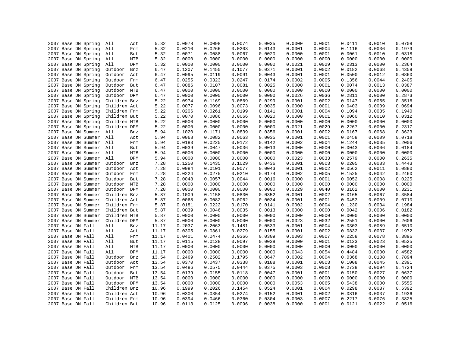| 2007 Base DN Spring | All          | 5.32<br>Act  | 0.0078 | 0.0098 | 0.0074 | 0.0035 | 0.0000 | 0.0001 | 0.0411 | 0.0010 | 0.0708 |
|---------------------|--------------|--------------|--------|--------|--------|--------|--------|--------|--------|--------|--------|
| 2007 Base DN Spring | All          | 5.32<br>Frm  | 0.0210 | 0.0266 | 0.0203 | 0.0143 | 0.0001 | 0.0004 | 0.1116 | 0.0036 | 0.1979 |
| 2007 Base DN Spring | All          | 5.32<br>But  | 0.0071 | 0.0088 | 0.0067 | 0.0020 | 0.0000 | 0.0001 | 0.0061 | 0.0010 | 0.0318 |
| 2007 Base DN Spring | All          | MTB<br>5.32  | 0.0000 | 0.0000 | 0.0000 | 0.0000 | 0.0000 | 0.0000 | 0.0000 | 0.0000 | 0.0000 |
| 2007 Base DN Spring | All          | DPM<br>5.32  | 0.0000 | 0.0000 | 0.0000 | 0.0000 | 0.0021 | 0.0029 | 0.2313 | 0.0000 | 0.2364 |
| 2007 Base DN Spring | Outdoor      | 6.47<br>Bnz  | 0.1207 | 0.1450 | 0.1077 | 0.0371 | 0.0001 | 0.0002 | 0.0182 | 0.0068 | 0.4359 |
| 2007 Base DN Spring | Outdoor      | 6.47<br>Act  | 0.0095 | 0.0119 | 0.0091 | 0.0043 | 0.0001 | 0.0001 | 0.0500 | 0.0012 | 0.0860 |
| 2007 Base DN Spring | Outdoor      | Frm<br>6.47  | 0.0255 | 0.0323 | 0.0247 | 0.0174 | 0.0002 | 0.0005 | 0.1356 | 0.0044 | 0.2405 |
| 2007 Base DN Spring | Outdoor      | But<br>6.47  | 0.0086 | 0.0107 | 0.0081 | 0.0025 | 0.0000 | 0.0001 | 0.0074 | 0.0013 | 0.0387 |
| 2007 Base DN Spring | Outdoor      | MTB<br>6.47  | 0.0000 | 0.0000 | 0.0000 | 0.0000 | 0.0000 | 0.0000 | 0.0000 | 0.0000 | 0.0000 |
| 2007 Base DN Spring | Outdoor DPM  | 6.47         | 0.0000 | 0.0000 | 0.0000 | 0.0000 | 0.0026 | 0.0036 | 0.2811 | 0.0000 | 0.2873 |
| 2007 Base DN Spring | Children Bnz | 5.22         | 0.0974 | 0.1169 | 0.0869 | 0.0299 | 0.0001 | 0.0002 | 0.0147 | 0.0055 | 0.3516 |
| 2007 Base DN Spring | Children Act | 5.22         | 0.0077 | 0.0096 | 0.0073 | 0.0035 | 0.0000 | 0.0001 | 0.0403 | 0.0009 | 0.0694 |
| 2007 Base DN Spring | Children Frm | 5.22         | 0.0206 | 0.0261 | 0.0199 | 0.0141 | 0.0001 | 0.0004 | 0.1094 | 0.0035 | 0.1940 |
| 2007 Base DN Spring | Children But | 5.22         | 0.0070 | 0.0086 | 0.0066 | 0.0020 | 0.0000 | 0.0001 | 0.0060 | 0.0010 | 0.0312 |
| 2007 Base DN Spring | Children MTB | 5.22         | 0.0000 | 0.0000 | 0.0000 | 0.0000 | 0.0000 | 0.0000 | 0.0000 | 0.0000 | 0.0000 |
| 2007 Base DN Spring | Children DPM | 5.22         | 0.0000 | 0.0000 | 0.0000 | 0.0000 | 0.0021 | 0.0029 | 0.2267 | 0.0000 | 0.2317 |
| 2007 Base DN Summer | All          | 5.94<br>Bnz  | 0.1020 | 0.1171 | 0.0839 | 0.0356 | 0.0001 | 0.0002 | 0.0167 | 0.0068 | 0.3623 |
| 2007 Base DN Summer | All          | 5.94         | 0.0068 | 0.0082 | 0.0063 | 0.0035 | 0.0001 | 0.0001 | 0.0458 | 0.0009 | 0.0718 |
|                     |              | Act          |        |        |        |        |        |        |        |        |        |
| 2007 Base DN Summer | All          | 5.94<br>Frm  | 0.0183 | 0.0225 | 0.0172 | 0.0142 | 0.0002 | 0.0004 | 0.1244 | 0.0035 | 0.2006 |
| 2007 Base DN Summer | All          | 5.94<br>But  | 0.0039 | 0.0047 | 0.0036 | 0.0013 | 0.0000 | 0.0000 | 0.0043 | 0.0006 | 0.0184 |
| 2007 Base DN Summer | All          | MTB<br>5.94  | 0.0000 | 0.0000 | 0.0000 | 0.0000 | 0.0000 | 0.0000 | 0.0000 | 0.0000 | 0.0000 |
| 2007 Base DN Summer | All          | DPM<br>5.94  | 0.0000 | 0.0000 | 0.0000 | 0.0000 | 0.0023 | 0.0033 | 0.2579 | 0.0000 | 0.2635 |
| 2007 Base DN Summer | Outdoor      | 7.28<br>Bnz  | 0.1250 | 0.1435 | 0.1029 | 0.0436 | 0.0001 | 0.0003 | 0.0205 | 0.0083 | 0.4443 |
| 2007 Base DN Summer | Outdoor      | 7.28<br>Act  | 0.0084 | 0.0101 | 0.0077 | 0.0043 | 0.0001 | 0.0002 | 0.0562 | 0.0011 | 0.0880 |
| 2007 Base DN Summer | Outdoor      | 7.28<br>Frm  | 0.0224 | 0.0275 | 0.0210 | 0.0174 | 0.0002 | 0.0005 | 0.1525 | 0.0042 | 0.2460 |
| 2007 Base DN Summer | Outdoor      | But<br>7.28  | 0.0048 | 0.0057 | 0.0044 | 0.0016 | 0.0000 | 0.0001 | 0.0052 | 0.0008 | 0.0225 |
| 2007 Base DN Summer | Outdoor MTB  | 7.28         | 0.0000 | 0.0000 | 0.0000 | 0.0000 | 0.0000 | 0.0000 | 0.0000 | 0.0000 | 0.0000 |
| 2007 Base DN Summer | Outdoor DPM  | 7.28         | 0.0000 | 0.0000 | 0.0000 | 0.0000 | 0.0029 | 0.0040 | 0.3162 | 0.0000 | 0.3231 |
| 2007 Base DN Summer | Children Bnz | 5.87         | 0.1009 | 0.1158 | 0.0830 | 0.0352 | 0.0001 | 0.0002 | 0.0165 | 0.0067 | 0.3584 |
| 2007 Base DN Summer | Children Act | 5.87         | 0.0068 | 0.0082 | 0.0062 | 0.0034 | 0.0001 | 0.0001 | 0.0453 | 0.0009 | 0.0710 |
| 2007 Base DN Summer | Children Frm | 5.87         | 0.0181 | 0.0222 | 0.0170 | 0.0141 | 0.0002 | 0.0004 | 0.1230 | 0.0034 | 0.1984 |
| 2007 Base DN Summer | Children But | 5.87         | 0.0039 | 0.0046 | 0.0035 | 0.0013 | 0.0000 | 0.0000 | 0.0042 | 0.0006 | 0.0182 |
| 2007 Base DN Summer | Children MTB | 5.87         | 0.0000 | 0.0000 | 0.0000 | 0.0000 | 0.0000 | 0.0000 | 0.0000 | 0.0000 | 0.0000 |
| 2007 Base DN Summer | Children DPM | 5.87         | 0.0000 | 0.0000 | 0.0000 | 0.0000 | 0.0023 | 0.0032 | 0.2551 | 0.0000 | 0.2606 |
| 2007 Base DN Fall   | All          | 11.17<br>Bnz | 0.2037 | 0.2063 | 0.1481 | 0.0533 | 0.0001 | 0.0004 | 0.0303 | 0.0089 | 0.6510 |
| 2007 Base DN Fall   | All          | 11.17<br>Act | 0.0305 | 0.0361 | 0.0279 | 0.0155 | 0.0001 | 0.0002 | 0.0832 | 0.0037 | 0.1972 |
| 2007 Base DN Fall   | All          | 11.17<br>Frm | 0.0401 | 0.0474 | 0.0366 | 0.0309 | 0.0003 | 0.0007 | 0.2258 | 0.0078 | 0.3896 |
| 2007 Base DN Fall   | All          | 11.17<br>But | 0.0115 | 0.0128 | 0.0097 | 0.0038 | 0.0000 | 0.0001 | 0.0123 | 0.0023 | 0.0525 |
| 2007 Base DN Fall   | All          | 11.17<br>MTB | 0.0000 | 0.0000 | 0.0000 | 0.0000 | 0.0000 | 0.0000 | 0.0000 | 0.0000 | 0.0000 |
| 2007 Base DN Fall   | All          | 11.17<br>DPM | 0.0000 | 0.0000 | 0.0000 | 0.0000 | 0.0043 | 0.0054 | 0.4484 | 0.0000 | 0.4582 |
| 2007 Base DN Fall   | Outdoor      | 13.54<br>Bnz | 0.2469 | 0.2502 | 0.1795 | 0.0647 | 0.0002 | 0.0004 | 0.0368 | 0.0108 | 0.7894 |
| 2007 Base DN Fall   | Outdoor      | 13.54<br>Act | 0.0370 | 0.0437 | 0.0338 | 0.0188 | 0.0001 | 0.0003 | 0.1008 | 0.0045 | 0.2391 |
| 2007 Base DN Fall   | Outdoor      | 13.54<br>Frm | 0.0486 | 0.0575 | 0.0444 | 0.0375 | 0.0003 | 0.0008 | 0.2738 | 0.0094 | 0.4724 |
| 2007 Base DN Fall   | Outdoor But  | 13.54        | 0.0139 | 0.0155 | 0.0118 | 0.0047 | 0.0001 | 0.0001 | 0.0150 | 0.0027 | 0.0637 |
| 2007 Base DN Fall   | Outdoor MTB  | 13.54        | 0.0000 | 0.0000 | 0.0000 | 0.0000 | 0.0000 | 0.0000 | 0.0000 | 0.0000 | 0.0000 |
| 2007 Base DN Fall   | Outdoor DPM  | 13.54        | 0.0000 | 0.0000 | 0.0000 | 0.0000 | 0.0053 | 0.0065 | 0.5438 | 0.0000 | 0.5555 |
| 2007 Base DN Fall   | Children Bnz | 10.96        | 0.1999 | 0.2026 | 0.1454 | 0.0524 | 0.0001 | 0.0004 | 0.0298 | 0.0087 | 0.6392 |
| 2007 Base DN Fall   | Children Act | 10.96        | 0.0300 | 0.0354 | 0.0274 | 0.0152 | 0.0001 | 0.0002 | 0.0816 | 0.0037 | 0.1936 |
| 2007 Base DN Fall   | Children Frm | 10.96        | 0.0394 | 0.0466 | 0.0360 | 0.0304 | 0.0003 | 0.0007 | 0.2217 | 0.0076 | 0.3825 |
| 2007 Base DN Fall   | Children But | 10.96        | 0.0113 | 0.0125 | 0.0096 | 0.0038 | 0.0000 | 0.0001 | 0.0121 | 0.0022 | 0.0516 |
|                     |              |              |        |        |        |        |        |        |        |        |        |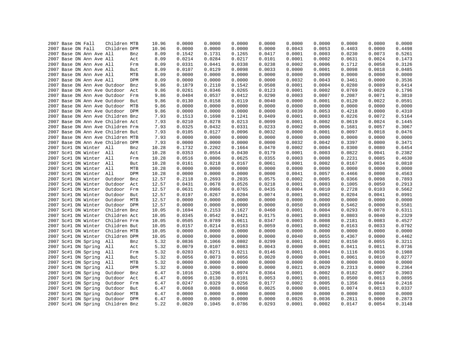|  | 2007 Base DN Fall   |                          | Children MTB                      |            | 10.96 | 0.0000           | 0.0000           | 0.0000           | 0.0000           | 0.0000           | 0.0000           | 0.0000           | 0.0000           | 0.0000           |
|--|---------------------|--------------------------|-----------------------------------|------------|-------|------------------|------------------|------------------|------------------|------------------|------------------|------------------|------------------|------------------|
|  | 2007 Base DN Fall   |                          | Children DPM                      |            | 10.96 | 0.0000           | 0.0000           | 0.0000           | 0.0000           | 0.0043           | 0.0053           | 0.4403           | 0.0000           | 0.4498           |
|  |                     | 2007 Base DN Ann Ave All |                                   | Bnz        | 8.09  | 0.1542           | 0.1731           | 0.1265           | 0.0417           | 0.0001           | 0.0003           | 0.0230           | 0.0073           | 0.5261           |
|  |                     | 2007 Base DN Ann Ave All |                                   | Act        | 8.09  | 0.0214           | 0.0284           | 0.0217           | 0.0101           | 0.0001           | 0.0002           | 0.0631           | 0.0024           | 0.1473           |
|  |                     | 2007 Base DN Ann Ave All |                                   | Frm        | 8.09  | 0.0331           | 0.0441           | 0.0338           | 0.0238           | 0.0002           | 0.0006           | 0.1712           | 0.0058           | 0.3126           |
|  |                     | 2007 Base DN Ann Ave All |                                   | But        | 8.09  | 0.0107           | 0.0129           | 0.0098           | 0.0033           | 0.0000           | 0.0001           | 0.0098           | 0.0018           | 0.0485           |
|  |                     | 2007 Base DN Ann Ave All |                                   | MTB        | 8.09  | 0.0000           | 0.0000           | 0.0000           | 0.0000           | 0.0000           | 0.0000           | 0.0000           | 0.0000           | 0.0000           |
|  |                     | 2007 Base DN Ann Ave All |                                   | DPM        | 8.09  | 0.0000           | 0.0000           | 0.0000           | 0.0000           | 0.0032           | 0.0043           | 0.3461           | 0.0000           | 0.3536           |
|  |                     |                          | 2007 Base DN Ann Ave Outdoor      | Bnz        | 9.86  | 0.1879           | 0.2110           | 0.1542           | 0.0508           | 0.0001           | 0.0004           | 0.0280           | 0.0089           | 0.6414           |
|  |                     |                          | 2007 Base DN Ann Ave Outdoor      | Act        | 9.86  | 0.0261           | 0.0346           | 0.0265           | 0.0123           | 0.0001           | 0.0002           | 0.0769           | 0.0029           | 0.1796           |
|  |                     |                          | 2007 Base DN Ann Ave Outdoor Frm  |            | 9.86  | 0.0404           | 0.0537           | 0.0412           | 0.0290           | 0.0003           | 0.0007           | 0.2087           | 0.0071           | 0.3810           |
|  |                     |                          | 2007 Base DN Ann Ave Outdoor But  |            | 9.86  | 0.0130           | 0.0158           | 0.0119           | 0.0040           | 0.0000           | 0.0001           | 0.0120           | 0.0022           | 0.0591           |
|  |                     |                          | 2007 Base DN Ann Ave Outdoor      | MTB        | 9.86  | 0.0000           | 0.0000           | 0.0000           | 0.0000           | 0.0000           | 0.0000           | 0.0000           | 0.0000           | 0.0000           |
|  |                     |                          | 2007 Base DN Ann Ave Outdoor DPM  |            | 9.86  | 0.0000           | 0.0000           | 0.0000           | 0.0000           | 0.0039           | 0.0053           | 0.4218           | 0.0000           | 0.4310           |
|  |                     |                          | 2007 Base DN Ann Ave Children Bnz |            | 7.93  | 0.1513           | 0.1698           | 0.1241           | 0.0409           | 0.0001           | 0.0003           | 0.0226           | 0.0072           | 0.5164           |
|  |                     |                          | 2007 Base DN Ann Ave Children Act |            | 7.93  | 0.0210           | 0.0278           | 0.0213           | 0.0099           | 0.0001           | 0.0002           | 0.0619           | 0.0024           | 0.1445           |
|  |                     |                          | 2007 Base DN Ann Ave Children Frm |            | 7.93  | 0.0325           | 0.0432           | 0.0331           | 0.0233           | 0.0002           | 0.0006           | 0.1681           | 0.0057           | 0.3067           |
|  |                     |                          | 2007 Base DN Ann Ave Children But |            | 7.93  | 0.0105           | 0.0127           | 0.0096           | 0.0032           | 0.0000           | 0.0001           | 0.0097           | 0.0018           | 0.0476           |
|  |                     |                          | 2007 Base DN Ann Ave Children MTB |            | 7.93  | 0.0000           | 0.0000           | 0.0000           | 0.0000           | 0.0000           | 0.0000           | 0.0000           | 0.0000           | 0.0000           |
|  |                     |                          | 2007 Base DN Ann Ave Children DPM |            | 7.93  | 0.0000           | 0.0000           | 0.0000           | 0.0000           | 0.0032           | 0.0042           | 0.3397           | 0.0000           | 0.3471           |
|  |                     | 2007 Sc#1 DN Winter All  |                                   | Bnz        | 10.28 | 0.1732           | 0.2202           | 0.1664           | 0.0470           | 0.0002           | 0.0004           | 0.0300           | 0.0080           | 0.6454           |
|  |                     | 2007 Sc#1 DN Winter All  |                                   | Act        | 10.28 | 0.0353           | 0.0554           | 0.0430           | 0.0179           | 0.0001           | 0.0003           | 0.0822           | 0.0041           | 0.2382           |
|  |                     | 2007 Sc#1 DN Winter All  |                                   | Frm        | 10.28 | 0.0516           | 0.0806           | 0.0625           | 0.0355           | 0.0003           | 0.0008           | 0.2231           | 0.0085           | 0.4630           |
|  |                     | 2007 Sc#1 DN Winter All  |                                   | But        | 10.28 | 0.0161           | 0.0218           | 0.0167           | 0.0061           | 0.0001           | 0.0002           | 0.0167           | 0.0034           | 0.0810           |
|  |                     | 2007 Sc#1 DN Winter All  |                                   | MTB        | 10.28 | 0.0000           | 0.0000           | 0.0000           | 0.0000           | 0.0000           | 0.0000           | 0.0000           | 0.0000           | 0.0000           |
|  |                     | 2007 Sc#1 DN Winter All  |                                   | DPM        | 10.28 | 0.0000           | 0.0000           | 0.0000           | 0.0000           | 0.0041           | 0.0057           | 0.4466           | 0.0000           | 0.4563           |
|  | 2007 Sc#1 DN Winter |                          | Outdoor                           | Bnz        | 12.57 | 0.2118           | 0.2693           | 0.2035           | 0.0575           | 0.0002           | 0.0005           | 0.0366           | 0.0098           | 0.7893           |
|  | 2007 Sc#1 DN Winter |                          | Outdoor                           | Act        | 12.57 | 0.0431           | 0.0678           | 0.0526           | 0.0218           | 0.0001           | 0.0003           | 0.1005           | 0.0050           | 0.2913           |
|  | 2007 Sc#1 DN Winter |                          | Outdoor Frm                       |            | 12.57 | 0.0631           | 0.0986           | 0.0765           | 0.0435           | 0.0004           | 0.0010           | 0.2728           | 0.0103           | 0.5662           |
|  | 2007 Sc#1 DN Winter |                          | Outdoor                           | But        | 12.57 | 0.0197           | 0.0267           | 0.0204           | 0.0074           | 0.0001           | 0.0002           | 0.0204           | 0.0041           | 0.0991           |
|  | 2007 Sc#1 DN Winter |                          | Outdoor                           | MTB        | 12.57 | 0.0000           | 0.0000           | 0.0000           | 0.0000           | 0.0000           | 0.0000           | 0.0000           | 0.0000           | 0.0000           |
|  | 2007 Sc#1 DN Winter |                          | Outdoor DPM                       |            | 12.57 | 0.0000           | 0.0000           | 0.0000           | 0.0000           | 0.0050           | 0.0069           | 0.5462           | 0.0000           | 0.5581           |
|  | 2007 Sc#1 DN Winter |                          | Children Bnz                      |            | 10.05 | 0.1694           | 0.2153           | 0.1627           | 0.0460           | 0.0001           | 0.0004           | 0.0293           | 0.0078           | 0.6311           |
|  | 2007 Sc#1 DN Winter |                          | Children Act                      |            | 10.05 | 0.0345           | 0.0542           | 0.0421           | 0.0175           | 0.0001           | 0.0003           | 0.0803           | 0.0040           | 0.2329           |
|  | 2007 Sc#1 DN Winter |                          | Children Frm                      |            | 10.05 | 0.0505           | 0.0789           | 0.0611           | 0.0347           | 0.0003           | 0.0008           | 0.2181           | 0.0083           | 0.4527           |
|  | 2007 Sc#1 DN Winter |                          | Children But                      |            | 10.05 | 0.0157           | 0.0214           | 0.0163           | 0.0059           | 0.0001           | 0.0002           | 0.0163           | 0.0033           | 0.0792           |
|  | 2007 Sc#1 DN Winter |                          | Children MTB                      |            | 10.05 | 0.0000           | 0.0000           | 0.0000           | 0.0000           | 0.0000           | 0.0000           | 0.0000           | 0.0000           | 0.0000           |
|  | 2007 Sc#1 DN Winter |                          | Children DPM                      |            | 10.05 | 0.0000           | 0.0000           | 0.0000           | 0.0000           | 0.0040           | 0.0055           | 0.4367           | 0.0000           | 0.4462           |
|  | 2007 Sc#1 DN Spring |                          | All                               | Bnz        | 5.32  | 0.0836           | 0.1066           | 0.0802           | 0.0299           | 0.0001           | 0.0002           | 0.0150           | 0.0055           | 0.3211           |
|  | 2007 Sc#1 DN Spring |                          | All                               |            | 5.32  | 0.0079           | 0.0107           | 0.0083           | 0.0043           | 0.0000           | 0.0001           | 0.0411           | 0.0011           | 0.0736           |
|  |                     |                          |                                   | Act        |       |                  |                  |                  |                  |                  |                  |                  |                  |                  |
|  | 2007 Sc#1 DN Spring |                          | All                               | Frm        | 5.32  | 0.0203           | 0.0271<br>0.0073 | 0.0211<br>0.0056 | 0.0146<br>0.0020 | 0.0001<br>0.0000 | 0.0004<br>0.0001 | 0.1116<br>0.0061 | 0.0036<br>0.0010 | 0.1988<br>0.0277 |
|  | 2007 Sc#1 DN Spring |                          | All                               | But<br>MTB | 5.32  | 0.0056<br>0.0000 |                  |                  |                  |                  |                  |                  |                  | 0.0000           |
|  | 2007 Sc#1 DN Spring |                          | All                               |            | 5.32  |                  | 0.0000           | 0.0000           | 0.0000           | 0.0000           | 0.0000           | 0.0000           | 0.0000           |                  |
|  | 2007 Sc#1 DN Spring |                          | All                               | DPM        | 5.32  | 0.0000           | 0.0000           | 0.0000           | 0.0000           | 0.0021           | 0.0029           | 0.2313           | 0.0000           | 0.2364           |
|  | 2007 Sc#1 DN Spring |                          | Outdoor                           | Bnz        | 6.47  | 0.1016           | 0.1296           | 0.0974           | 0.0364           | 0.0001           | 0.0002           | 0.0182           | 0.0067           | 0.3903           |
|  | 2007 Sc#1 DN Spring |                          | Outdoor                           | Act        | 6.47  | 0.0096           | 0.0130           | 0.0101           | 0.0053           | 0.0001           | 0.0001           | 0.0500           | 0.0013           | 0.0895           |
|  | 2007 Sc#1 DN Spring |                          | Outdoor                           | Frm        | 6.47  | 0.0247           | 0.0329           | 0.0256           | 0.0177           | 0.0002           | 0.0005           | 0.1356           | 0.0044           | 0.2416           |
|  | 2007 Sc#1 DN Spring |                          | Outdoor                           | But        | 6.47  | 0.0068           | 0.0088           | 0.0068           | 0.0025           | 0.0000           | 0.0001           | 0.0074           | 0.0013           | 0.0337           |
|  | 2007 Sc#1 DN Spring |                          | Outdoor                           | MTB        | 6.47  | 0.0000           | 0.0000           | 0.0000           | 0.0000           | 0.0000           | 0.0000           | 0.0000           | 0.0000           | 0.0000           |
|  | 2007 Sc#1 DN Spring |                          | Outdoor                           | <b>DPM</b> | 6.47  | 0.0000           | 0.0000           | 0.0000           | 0.0000           | 0.0026           | 0.0036           | 0.2811           | 0.0000           | 0.2873           |
|  | 2007 Sc#1 DN Spring |                          | Children Bnz                      |            | 5.22  | 0.0820           | 0.1045           | 0.0786           | 0.0293           | 0.0001           | 0.0002           | 0.0147           | 0.0054           | 0.3148           |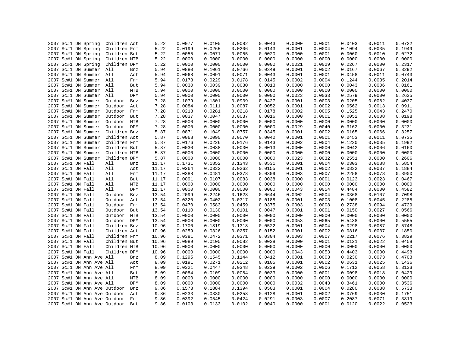|  |                   | 2007 Sc#1 DN Spring          | Children Act |     | 5.22  | 0.0077 | 0.0105 | 0.0082 | 0.0043 | 0.0000 | 0.0001 | 0.0403 | 0.0011 | 0.0722 |
|--|-------------------|------------------------------|--------------|-----|-------|--------|--------|--------|--------|--------|--------|--------|--------|--------|
|  |                   | 2007 Sc#1 DN Spring          | Children Frm |     | 5.22  | 0.0199 | 0.0265 | 0.0206 | 0.0143 | 0.0001 | 0.0004 | 0.1094 | 0.0035 | 0.1949 |
|  |                   | 2007 Sc#1 DN Spring          | Children But |     | 5.22  | 0.0055 | 0.0071 | 0.0055 | 0.0020 | 0.0000 | 0.0001 | 0.0060 | 0.0010 | 0.0272 |
|  |                   | 2007 Sc#1 DN Spring          | Children MTB |     | 5.22  | 0.0000 | 0.0000 | 0.0000 | 0.0000 | 0.0000 | 0.0000 | 0.0000 | 0.0000 | 0.0000 |
|  |                   | 2007 Sc#1 DN Spring          | Children DPM |     | 5.22  | 0.0000 | 0.0000 | 0.0000 | 0.0000 | 0.0021 | 0.0029 | 0.2267 | 0.0000 | 0.2317 |
|  |                   | 2007 Sc#1 DN Summer          | All          | Bnz | 5.94  | 0.0880 | 0.1061 | 0.0766 | 0.0349 | 0.0001 | 0.0002 | 0.0167 | 0.0067 | 0.3292 |
|  |                   | 2007 Sc#1 DN Summer All      |              | Act | 5.94  | 0.0068 | 0.0091 | 0.0071 | 0.0043 | 0.0001 | 0.0001 | 0.0458 | 0.0011 | 0.0743 |
|  |                   | 2007 Sc#1 DN Summer All      |              | Frm | 5.94  | 0.0178 | 0.0229 | 0.0178 | 0.0145 | 0.0002 | 0.0004 | 0.1244 | 0.0035 | 0.2014 |
|  |                   | 2007 Sc#1 DN Summer All      |              | But | 5.94  | 0.0030 | 0.0039 | 0.0030 | 0.0013 | 0.0000 | 0.0000 | 0.0043 | 0.0006 | 0.0161 |
|  |                   | 2007 Sc#1 DN Summer          | All          | MTB | 5.94  | 0.0000 | 0.0000 | 0.0000 | 0.0000 | 0.0000 | 0.0000 | 0.0000 | 0.0000 | 0.0000 |
|  |                   | 2007 Sc#1 DN Summer          | All          | DPM | 5.94  | 0.0000 | 0.0000 | 0.0000 | 0.0000 | 0.0023 | 0.0033 | 0.2579 | 0.0000 | 0.2635 |
|  |                   | 2007 Sc#1 DN Summer          | Outdoor      | Bnz | 7.28  | 0.1079 | 0.1301 | 0.0939 | 0.0427 | 0.0001 | 0.0003 | 0.0205 | 0.0082 | 0.4037 |
|  |                   | 2007 Sc#1 DN Summer          | Outdoor      | Act | 7.28  | 0.0084 | 0.0111 | 0.0087 | 0.0052 | 0.0001 | 0.0002 | 0.0562 | 0.0013 | 0.0911 |
|  |                   | 2007 Sc#1 DN Summer          | Outdoor      | Frm | 7.28  | 0.0218 | 0.0281 | 0.0218 | 0.0178 | 0.0002 | 0.0005 | 0.1525 | 0.0043 | 0.2470 |
|  |                   | 2007 Sc#1 DN Summer          | Outdoor      | But | 7.28  | 0.0037 | 0.0047 | 0.0037 | 0.0016 | 0.0000 | 0.0001 | 0.0052 | 0.0008 | 0.0198 |
|  |                   | 2007 Sc#1 DN Summer          | Outdoor MTB  |     | 7.28  | 0.0000 | 0.0000 | 0.0000 | 0.0000 | 0.0000 | 0.0000 | 0.0000 | 0.0000 | 0.0000 |
|  |                   | 2007 Sc#1 DN Summer          | Outdoor DPM  |     | 7.28  | 0.0000 | 0.0000 | 0.0000 | 0.0000 | 0.0029 | 0.0040 | 0.3162 | 0.0000 | 0.3231 |
|  |                   | 2007 Sc#1 DN Summer          | Children Bnz |     | 5.87  | 0.0871 | 0.1049 | 0.0757 | 0.0345 | 0.0001 | 0.0002 | 0.0165 | 0.0066 | 0.3257 |
|  |                   | 2007 Sc#1 DN Summer          | Children Act |     | 5.87  | 0.0068 | 0.0090 | 0.0070 | 0.0042 | 0.0001 | 0.0001 | 0.0453 | 0.0011 | 0.0735 |
|  |                   | 2007 Sc#1 DN Summer          | Children Frm |     | 5.87  | 0.0176 | 0.0226 | 0.0176 | 0.0143 | 0.0002 | 0.0004 | 0.1230 | 0.0035 | 0.1992 |
|  |                   | 2007 Sc#1 DN Summer          | Children But |     | 5.87  | 0.0030 | 0.0038 | 0.0030 | 0.0013 | 0.0000 | 0.0000 | 0.0042 | 0.0006 | 0.0160 |
|  |                   | 2007 Sc#1 DN Summer          | Children MTB |     | 5.87  | 0.0000 | 0.0000 | 0.0000 | 0.0000 | 0.0000 | 0.0000 | 0.0000 | 0.0000 | 0.0000 |
|  |                   | 2007 Sc#1 DN Summer          | Children DPM |     | 5.87  | 0.0000 | 0.0000 | 0.0000 | 0.0000 | 0.0023 | 0.0032 | 0.2551 | 0.0000 | 0.2606 |
|  | 2007 Sc#1 DN Fall |                              | All          | Bnz | 11.17 | 0.1731 | 0.1852 | 0.1343 | 0.0531 | 0.0001 | 0.0004 | 0.0303 | 0.0088 | 0.5854 |
|  | 2007 Sc#1 DN Fall |                              | All          | Act | 11.17 | 0.0264 | 0.0332 | 0.0262 | 0.0155 | 0.0001 | 0.0002 | 0.0832 | 0.0037 | 0.1884 |
|  | 2007 Sc#1 DN Fall |                              | All          | Frm | 11.17 | 0.0388 | 0.0481 | 0.0378 | 0.0309 | 0.0003 | 0.0007 | 0.2258 | 0.0078 | 0.3900 |
|  | 2007 Sc#1 DN Fall |                              | All          | But | 11.17 | 0.0091 | 0.0107 | 0.0083 | 0.0038 | 0.0000 | 0.0001 | 0.0123 | 0.0023 | 0.0467 |
|  | 2007 Sc#1 DN Fall |                              | All          | MTB | 11.17 | 0.0000 | 0.0000 | 0.0000 | 0.0000 | 0.0000 | 0.0000 | 0.0000 | 0.0000 | 0.0000 |
|  | 2007 Sc#1 DN Fall |                              | All          | DPM | 11.17 | 0.0000 | 0.0000 | 0.0000 | 0.0000 | 0.0043 | 0.0054 | 0.4484 | 0.0000 | 0.4582 |
|  | 2007 Sc#1 DN Fall |                              | Outdoor      | Bnz | 13.54 | 0.2099 | 0.2246 | 0.1628 | 0.0644 | 0.0002 | 0.0004 | 0.0368 | 0.0107 | 0.7098 |
|  | 2007 Sc#1 DN Fall |                              | Outdoor      | Act | 13.54 | 0.0320 | 0.0402 | 0.0317 | 0.0188 | 0.0001 | 0.0003 | 0.1008 | 0.0045 | 0.2285 |
|  | 2007 Sc#1 DN Fall |                              | Outdoor      | Frm | 13.54 | 0.0470 | 0.0583 | 0.0459 | 0.0375 | 0.0003 | 0.0008 | 0.2738 | 0.0094 | 0.4729 |
|  | 2007 Sc#1 DN Fall |                              | Outdoor But  |     | 13.54 | 0.0110 | 0.0130 | 0.0101 | 0.0047 | 0.0001 | 0.0001 | 0.0150 | 0.0027 | 0.0566 |
|  | 2007 Sc#1 DN Fall |                              | Outdoor MTB  |     | 13.54 | 0.0000 | 0.0000 | 0.0000 | 0.0000 | 0.0000 | 0.0000 | 0.0000 | 0.0000 | 0.0000 |
|  | 2007 Sc#1 DN Fall |                              | Outdoor DPM  |     | 13.54 | 0.0000 | 0.0000 | 0.0000 | 0.0000 | 0.0053 | 0.0065 | 0.5438 | 0.0000 | 0.5555 |
|  | 2007 Sc#1 DN Fall |                              | Children Bnz |     | 10.96 | 0.1700 | 0.1819 | 0.1318 | 0.0522 | 0.0001 | 0.0004 | 0.0298 | 0.0087 | 0.5748 |
|  | 2007 Sc#1 DN Fall |                              | Children Act |     | 10.96 | 0.0259 | 0.0326 | 0.0257 | 0.0152 | 0.0001 | 0.0002 | 0.0816 | 0.0037 | 0.1850 |
|  | 2007 Sc#1 DN Fall |                              | Children Frm |     | 10.96 | 0.0381 | 0.0472 | 0.0371 | 0.0304 | 0.0003 | 0.0007 | 0.2217 | 0.0076 | 0.3829 |
|  | 2007 Sc#1 DN Fall |                              | Children But |     | 10.96 | 0.0089 | 0.0105 | 0.0082 | 0.0038 | 0.0000 | 0.0001 | 0.0121 | 0.0022 | 0.0458 |
|  | 2007 Sc#1 DN Fall |                              | Children MTB |     | 10.96 | 0.0000 | 0.0000 | 0.0000 | 0.0000 | 0.0000 | 0.0000 | 0.0000 | 0.0000 | 0.0000 |
|  | 2007 Sc#1 DN Fall |                              | Children DPM |     | 10.96 | 0.0000 | 0.0000 | 0.0000 | 0.0000 | 0.0043 | 0.0053 | 0.4403 | 0.0000 | 0.4498 |
|  |                   | 2007 Sc#1 DN Ann Ave All     |              | Bnz | 8.09  | 0.1295 | 0.1545 | 0.1144 | 0.0412 | 0.0001 | 0.0003 | 0.0230 | 0.0073 | 0.4703 |
|  |                   | 2007 Sc#1 DN Ann Ave All     |              | Act | 8.09  | 0.0191 | 0.0271 | 0.0212 | 0.0105 | 0.0001 | 0.0002 | 0.0631 | 0.0025 | 0.1436 |
|  |                   | 2007 Sc#1 DN Ann Ave All     |              | Frm | 8.09  | 0.0321 | 0.0447 | 0.0348 | 0.0239 | 0.0002 | 0.0006 | 0.1712 | 0.0058 | 0.3133 |
|  |                   | 2007 Sc#1 DN Ann Ave All     |              | But | 8.09  | 0.0084 | 0.0109 | 0.0084 | 0.0033 | 0.0000 | 0.0001 | 0.0098 | 0.0018 | 0.0429 |
|  |                   | 2007 Sc#1 DN Ann Ave All     |              | MTB | 8.09  | 0.0000 | 0.0000 | 0.0000 | 0.0000 | 0.0000 | 0.0000 | 0.0000 | 0.0000 | 0.0000 |
|  |                   | 2007 Sc#1 DN Ann Ave All     |              | DPM | 8.09  | 0.0000 | 0.0000 | 0.0000 | 0.0000 | 0.0032 | 0.0043 | 0.3461 | 0.0000 | 0.3536 |
|  |                   | 2007 Sc#1 DN Ann Ave Outdoor |              | Bnz | 9.86  | 0.1578 | 0.1884 | 0.1394 | 0.0503 | 0.0001 | 0.0004 | 0.0280 | 0.0088 | 0.5733 |
|  |                   | 2007 Sc#1 DN Ann Ave Outdoor |              | Act | 9.86  | 0.0233 | 0.0330 | 0.0258 | 0.0128 | 0.0001 | 0.0002 | 0.0769 | 0.0030 | 0.1751 |
|  |                   | 2007 Sc#1 DN Ann Ave Outdoor |              | Frm | 9.86  | 0.0392 | 0.0545 | 0.0424 | 0.0291 | 0.0003 | 0.0007 | 0.2087 | 0.0071 | 0.3819 |
|  |                   | 2007 Sc#1 DN Ann Ave Outdoor |              | But | 9.86  | 0.0103 | 0.0133 | 0.0102 | 0.0040 | 0.0000 | 0.0001 | 0.0120 | 0.0022 | 0.0523 |
|  |                   |                              |              |     |       |        |        |        |        |        |        |        |        |        |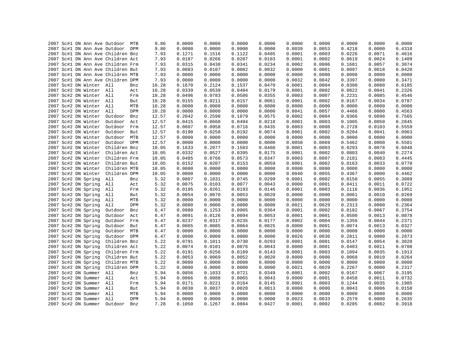| 2007 Sc#1 DN Ann Ave Outdoor MTB  |                | 9.86  | 0.0000 | 0.0000 | 0.0000 | 0.0000 | 0.0000 | 0.0000 | 0.0000 | 0.0000 | 0.0000 |
|-----------------------------------|----------------|-------|--------|--------|--------|--------|--------|--------|--------|--------|--------|
| 2007 Sc#1 DN Ann Ave Outdoor DPM  |                | 9.86  | 0.0000 | 0.0000 | 0.0000 | 0.0000 | 0.0039 | 0.0053 | 0.4218 | 0.0000 | 0.4310 |
| 2007 Sc#1 DN Ann Ave Children Bnz |                | 7.93  | 0.1271 | 0.1516 | 0.1122 | 0.0405 | 0.0001 | 0.0003 | 0.0226 | 0.0071 | 0.4616 |
| 2007 Sc#1 DN Ann Ave Children Act |                | 7.93  | 0.0187 | 0.0266 | 0.0207 | 0.0103 | 0.0001 | 0.0002 | 0.0619 | 0.0024 | 0.1409 |
| 2007 Sc#1 DN Ann Ave Children Frm |                | 7.93  | 0.0315 | 0.0438 | 0.0341 | 0.0234 | 0.0002 | 0.0006 | 0.1681 | 0.0057 | 0.3074 |
| 2007 Sc#1 DN Ann Ave Children But |                | 7.93  | 0.0083 | 0.0107 | 0.0082 | 0.0032 | 0.0000 | 0.0001 | 0.0097 | 0.0018 | 0.0420 |
| 2007 Sc#1 DN Ann Ave Children MTB |                | 7.93  | 0.0000 | 0.0000 | 0.0000 | 0.0000 | 0.0000 | 0.0000 | 0.0000 | 0.0000 | 0.0000 |
| 2007 Sc#1 DN Ann Ave Children DPM |                | 7.93  | 0.0000 | 0.0000 | 0.0000 | 0.0000 | 0.0032 | 0.0042 | 0.3397 | 0.0000 | 0.3471 |
| 2007 Sc#2 DN Winter All           | Bnz            | 10.28 | 0.1670 | 0.2124 | 0.1537 | 0.0470 | 0.0001 | 0.0004 | 0.0300 | 0.0080 | 0.6185 |
| 2007 Sc#2 DN Winter All           | Act            | 10.28 | 0.0339 | 0.0539 | 0.0404 | 0.0179 | 0.0001 | 0.0002 | 0.0822 | 0.0041 | 0.2326 |
| 2007 Sc#2 DN Winter All           | Frm            | 10.28 | 0.0496 | 0.0783 | 0.0586 | 0.0355 | 0.0003 | 0.0007 | 0.2231 | 0.0085 | 0.4546 |
| 2007 Sc#2 DN Winter All           | But            | 10.28 | 0.0155 | 0.0211 | 0.0157 | 0.0061 | 0.0001 | 0.0002 | 0.0167 | 0.0034 | 0.0787 |
| 2007 Sc#2 DN Winter All           | MTB            | 10.28 | 0.0000 | 0.0000 | 0.0000 | 0.0000 | 0.0000 | 0.0000 | 0.0000 | 0.0000 | 0.0000 |
| 2007 Sc#2 DN Winter All           | DPM            | 10.28 | 0.0000 | 0.0000 | 0.0000 | 0.0000 | 0.0041 | 0.0057 | 0.4466 | 0.0000 | 0.4563 |
| 2007 Sc#2 DN Winter               | Outdoor<br>Bnz | 12.57 | 0.2042 | 0.2598 | 0.1879 | 0.0575 | 0.0002 | 0.0004 | 0.0366 | 0.0098 | 0.7565 |
| 2007 Sc#2 DN Winter               | Outdoor<br>Act | 12.57 | 0.0415 | 0.0660 | 0.0494 | 0.0218 | 0.0001 | 0.0003 | 0.1005 | 0.0050 | 0.2845 |
| 2007 Sc#2 DN Winter               | Outdoor<br>Frm | 12.57 | 0.0607 | 0.0958 | 0.0716 | 0.0435 | 0.0003 | 0.0008 | 0.2728 | 0.0103 | 0.5559 |
| 2007 Sc#2 DN Winter               | Outdoor But    | 12.57 | 0.0190 | 0.0258 | 0.0192 | 0.0074 | 0.0001 | 0.0002 | 0.0204 | 0.0041 | 0.0963 |
| 2007 Sc#2 DN Winter               | Outdoor MTB    | 12.57 | 0.0000 | 0.0000 | 0.0000 | 0.0000 | 0.0000 | 0.0000 | 0.0000 | 0.0000 | 0.0000 |
| 2007 Sc#2 DN Winter               | Outdoor DPM    | 12.57 | 0.0000 | 0.0000 | 0.0000 | 0.0000 | 0.0050 | 0.0069 | 0.5462 | 0.0000 | 0.5581 |
| 2007 Sc#2 DN Winter               | Children Bnz   | 10.05 | 0.1633 | 0.2077 | 0.1503 | 0.0460 | 0.0001 | 0.0003 | 0.0293 | 0.0078 | 0.6048 |
| 2007 Sc#2 DN Winter               | Children Act   | 10.05 | 0.0332 | 0.0527 | 0.0395 | 0.0175 | 0.0001 | 0.0002 | 0.0803 | 0.0040 | 0.2274 |
| 2007 Sc#2 DN Winter               | Children Frm   | 10.05 | 0.0485 | 0.0766 | 0.0573 | 0.0347 | 0.0003 | 0.0007 | 0.2181 | 0.0083 | 0.4445 |
| 2007 Sc#2 DN Winter               | Children But   | 10.05 | 0.0152 | 0.0207 | 0.0153 | 0.0059 | 0.0001 | 0.0002 | 0.0163 | 0.0033 | 0.0770 |
| 2007 Sc#2 DN Winter               | Children MTB   | 10.05 | 0.0000 | 0.0000 | 0.0000 | 0.0000 | 0.0000 | 0.0000 | 0.0000 | 0.0000 | 0.0000 |
| 2007 Sc#2 DN Winter               | Children DPM   | 10.05 | 0.0000 | 0.0000 | 0.0000 | 0.0000 | 0.0040 | 0.0055 | 0.4367 | 0.0000 | 0.4462 |
| 2007 Sc#2 DN Spring               | All<br>Bnz     | 5.32  | 0.0807 | 0.1031 | 0.0745 | 0.0299 | 0.0001 | 0.0002 | 0.0150 | 0.0055 | 0.3089 |
| 2007 Sc#2 DN Spring               | All<br>Act     | 5.32  | 0.0075 | 0.0103 | 0.0077 | 0.0043 | 0.0000 | 0.0001 | 0.0411 | 0.0011 | 0.0722 |
| 2007 Sc#2 DN Spring               | All<br>Frm     | 5.32  | 0.0195 | 0.0261 | 0.0193 | 0.0146 | 0.0001 | 0.0003 | 0.1116 | 0.0036 | 0.1951 |
| 2007 Sc#2 DN Spring               | All<br>But     | 5.32  | 0.0054 | 0.0070 | 0.0053 | 0.0020 | 0.0000 | 0.0000 | 0.0061 | 0.0010 | 0.0269 |
| 2007 Sc#2 DN Spring               | All<br>MTB     | 5.32  | 0.0000 | 0.0000 | 0.0000 | 0.0000 | 0.0000 | 0.0000 | 0.0000 | 0.0000 | 0.0000 |
| 2007 Sc#2 DN Spring               | All<br>DPM     | 5.32  | 0.0000 | 0.0000 | 0.0000 | 0.0000 | 0.0021 | 0.0029 | 0.2313 | 0.0000 | 0.2364 |
| 2007 Sc#2 DN Spring               | Outdoor<br>Bnz | 6.47  | 0.0980 | 0.1253 | 0.0905 | 0.0364 | 0.0001 | 0.0002 | 0.0182 | 0.0067 | 0.3754 |
| 2007 Sc#2 DN Spring               | Outdoor<br>Act | 6.47  | 0.0091 | 0.0126 | 0.0094 | 0.0053 | 0.0001 | 0.0001 | 0.0500 | 0.0013 | 0.0878 |
| 2007 Sc#2 DN Spring               | Outdoor<br>Frm | 6.47  | 0.0237 | 0.0317 | 0.0235 | 0.0177 | 0.0002 | 0.0004 | 0.1356 | 0.0044 | 0.2371 |
| 2007 Sc#2 DN Spring               | Outdoor<br>But | 6.47  | 0.0065 | 0.0085 | 0.0064 | 0.0025 | 0.0000 | 0.0001 | 0.0074 | 0.0013 | 0.0327 |
| 2007 Sc#2 DN Spring               | Outdoor<br>MTB | 6.47  | 0.0000 | 0.0000 | 0.0000 | 0.0000 | 0.0000 | 0.0000 | 0.0000 | 0.0000 | 0.0000 |
| 2007 Sc#2 DN Spring               | Outdoor DPM    | 6.47  | 0.0000 | 0.0000 | 0.0000 | 0.0000 | 0.0026 | 0.0036 | 0.2811 | 0.0000 | 0.2873 |
| 2007 Sc#2 DN Spring               | Children Bnz   | 5.22  | 0.0791 | 0.1011 | 0.0730 | 0.0293 | 0.0001 | 0.0001 | 0.0147 | 0.0054 | 0.3028 |
| 2007 Sc#2 DN Spring               | Children Act   | 5.22  | 0.0074 | 0.0101 | 0.0076 | 0.0043 | 0.0000 | 0.0001 | 0.0403 | 0.0011 | 0.0708 |
| 2007 Sc#2 DN Spring               | Children Frm   | 5.22  | 0.0191 | 0.0256 | 0.0189 | 0.0143 | 0.0001 | 0.0003 | 0.1094 | 0.0035 | 0.1913 |
| 2007 Sc#2 DN Spring               | Children But   | 5.22  | 0.0053 | 0.0069 | 0.0052 | 0.0020 | 0.0000 | 0.0000 | 0.0060 | 0.0010 | 0.0264 |
| 2007 Sc#2 DN Spring               | Children MTB   | 5.22  | 0.0000 | 0.0000 | 0.0000 | 0.0000 | 0.0000 | 0.0000 | 0.0000 | 0.0000 | 0.0000 |
| 2007 Sc#2 DN Spring               | Children DPM   | 5.22  | 0.0000 | 0.0000 | 0.0000 | 0.0000 | 0.0021 | 0.0029 | 0.2267 | 0.0000 | 0.2317 |
| 2007 Sc#2 DN Summer All           | Bnz            | 5.94  | 0.0856 | 0.1033 | 0.0721 | 0.0349 | 0.0001 | 0.0002 | 0.0167 | 0.0067 | 0.3195 |
| 2007 Sc#2 DN Summer All           | Act            | 5.94  | 0.0066 | 0.0088 | 0.0065 | 0.0043 | 0.0000 | 0.0001 | 0.0458 | 0.0011 | 0.0732 |
| 2007 Sc#2 DN Summer All           | Frm            | 5.94  | 0.0171 | 0.0221 | 0.0164 | 0.0145 | 0.0001 | 0.0003 | 0.1244 | 0.0035 | 0.1985 |
| 2007 Sc#2 DN Summer All           | But            | 5.94  | 0.0030 | 0.0037 | 0.0028 | 0.0013 | 0.0000 | 0.0000 | 0.0043 | 0.0006 | 0.0158 |
| 2007 Sc#2 DN Summer All           | MTB            | 5.94  | 0.0000 | 0.0000 | 0.0000 | 0.0000 | 0.0000 | 0.0000 | 0.0000 | 0.0000 | 0.0000 |
| 2007 Sc#2 DN Summer All           | DPM            | 5.94  | 0.0000 | 0.0000 | 0.0000 | 0.0000 | 0.0023 | 0.0033 | 0.2579 | 0.0000 | 0.2635 |
| 2007 Sc#2 DN Summer               | Outdoor<br>Bnz | 7.28  | 0.1050 | 0.1267 | 0.0884 | 0.0427 | 0.0001 | 0.0002 | 0.0205 | 0.0082 | 0.3918 |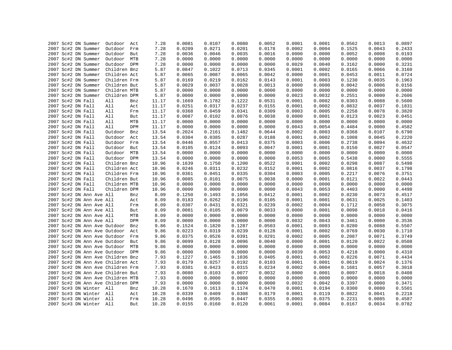|  | 2007 Sc#2 DN Summer               | Outdoor Act  |     | 7.28  | 0.0081 | 0.0107 | 0.0080 | 0.0052 | 0.0001 | 0.0001 | 0.0562 | 0.0013 | 0.0897 |
|--|-----------------------------------|--------------|-----|-------|--------|--------|--------|--------|--------|--------|--------|--------|--------|
|  | 2007 Sc#2 DN Summer               | Outdoor      | Frm | 7.28  | 0.0209 | 0.0271 | 0.0201 | 0.0178 | 0.0002 | 0.0004 | 0.1525 | 0.0043 | 0.2433 |
|  | 2007 Sc#2 DN Summer               | Outdoor      | But | 7.28  | 0.0036 | 0.0046 | 0.0035 | 0.0016 | 0.0000 | 0.0000 | 0.0052 | 0.0008 | 0.0193 |
|  | 2007 Sc#2 DN Summer               | Outdoor      | MTB | 7.28  | 0.0000 | 0.0000 | 0.0000 | 0.0000 | 0.0000 | 0.0000 | 0.0000 | 0.0000 | 0.0000 |
|  | 2007 Sc#2 DN Summer               | Outdoor DPM  |     | 7.28  | 0.0000 | 0.0000 | 0.0000 | 0.0000 | 0.0029 | 0.0040 | 0.3162 | 0.0000 | 0.3231 |
|  | 2007 Sc#2 DN Summer               | Children Bnz |     | 5.87  | 0.0847 | 0.1022 | 0.0713 | 0.0345 | 0.0001 | 0.0002 | 0.0165 | 0.0066 | 0.3160 |
|  | 2007 Sc#2 DN Summer               | Children Act |     | 5.87  | 0.0065 | 0.0087 | 0.0065 | 0.0042 | 0.0000 | 0.0001 | 0.0453 | 0.0011 | 0.0724 |
|  | 2007 Sc#2 DN Summer               | Children Frm |     | 5.87  | 0.0169 | 0.0219 | 0.0162 | 0.0143 | 0.0001 | 0.0003 | 0.1230 | 0.0035 | 0.1963 |
|  | 2007 Sc#2 DN Summer               | Children But |     | 5.87  | 0.0029 | 0.0037 | 0.0028 | 0.0013 | 0.0000 | 0.0000 | 0.0042 | 0.0006 | 0.0156 |
|  | 2007 Sc#2 DN Summer               | Children MTB |     | 5.87  | 0.0000 | 0.0000 | 0.0000 | 0.0000 | 0.0000 | 0.0000 | 0.0000 | 0.0000 | 0.0000 |
|  | 2007 Sc#2 DN Summer               | Children DPM |     | 5.87  | 0.0000 | 0.0000 | 0.0000 | 0.0000 | 0.0023 | 0.0032 | 0.2551 | 0.0000 | 0.2606 |
|  | 2007 Sc#2 DN Fall                 | All          | Bnz | 11.17 | 0.1669 | 0.1782 | 0.1222 | 0.0531 | 0.0001 | 0.0002 | 0.0303 | 0.0088 | 0.5600 |
|  | 2007 Sc#2 DN Fall                 | All          | Act | 11.17 | 0.0251 | 0.0317 | 0.0237 | 0.0155 | 0.0001 | 0.0002 | 0.0832 | 0.0037 | 0.1831 |
|  | 2007 Sc#2 DN Fall                 | All          | Frm | 11.17 | 0.0368 | 0.0459 | 0.0341 | 0.0309 | 0.0003 | 0.0005 | 0.2258 | 0.0078 | 0.3820 |
|  | 2007 Sc#2 DN Fall                 | All          | But | 11.17 | 0.0087 | 0.0102 | 0.0076 | 0.0038 | 0.0000 | 0.0001 | 0.0123 | 0.0023 | 0.0451 |
|  | 2007 Sc#2 DN Fall                 | All          | MTB | 11.17 | 0.0000 | 0.0000 | 0.0000 | 0.0000 | 0.0000 | 0.0000 | 0.0000 | 0.0000 | 0.0000 |
|  | 2007 Sc#2 DN Fall                 | All          | DPM | 11.17 | 0.0000 | 0.0000 | 0.0000 | 0.0000 | 0.0043 | 0.0054 | 0.4484 | 0.0000 | 0.4582 |
|  | 2007 Sc#2 DN Fall                 | Outdoor      | Bnz | 13.54 | 0.2024 | 0.2161 | 0.1482 | 0.0644 | 0.0002 | 0.0003 | 0.0368 | 0.0107 | 0.6790 |
|  | 2007 Sc#2 DN Fall                 | Outdoor      | Act | 13.54 | 0.0304 | 0.0385 | 0.0287 | 0.0188 | 0.0001 | 0.0002 | 0.1008 | 0.0045 | 0.2220 |
|  | 2007 Sc#2 DN Fall                 | Outdoor Frm  |     | 13.54 | 0.0446 | 0.0557 | 0.0413 | 0.0375 | 0.0003 | 0.0006 | 0.2738 | 0.0094 | 0.4632 |
|  | 2007 Sc#2 DN Fall                 | Outdoor      | But | 13.54 | 0.0105 | 0.0124 | 0.0093 | 0.0047 | 0.0001 | 0.0001 | 0.0150 | 0.0027 | 0.0547 |
|  | 2007 Sc#2 DN Fall                 | Outdoor MTB  |     | 13.54 | 0.0000 | 0.0000 | 0.0000 | 0.0000 | 0.0000 | 0.0000 | 0.0000 | 0.0000 | 0.0000 |
|  | 2007 Sc#2 DN Fall                 | Outdoor DPM  |     | 13.54 | 0.0000 | 0.0000 | 0.0000 | 0.0000 | 0.0053 | 0.0065 | 0.5438 | 0.0000 | 0.5555 |
|  | 2007 Sc#2 DN Fall                 | Children Bnz |     | 10.96 | 0.1639 | 0.1750 | 0.1200 | 0.0522 | 0.0001 | 0.0002 | 0.0298 | 0.0087 | 0.5498 |
|  | 2007 Sc#2 DN Fall                 | Children Act |     | 10.96 | 0.0246 | 0.0311 | 0.0232 | 0.0152 | 0.0001 | 0.0002 | 0.0816 | 0.0037 | 0.1798 |
|  | 2007 Sc#2 DN Fall                 | Children Frm |     | 10.96 | 0.0361 | 0.0451 | 0.0335 | 0.0304 | 0.0003 | 0.0005 | 0.2217 | 0.0076 | 0.3751 |
|  | 2007 Sc#2 DN Fall                 | Children But |     | 10.96 | 0.0085 | 0.0101 | 0.0075 | 0.0038 | 0.0000 | 0.0001 | 0.0121 | 0.0022 | 0.0443 |
|  | 2007 Sc#2 DN Fall                 | Children MTB |     | 10.96 | 0.0000 | 0.0000 | 0.0000 | 0.0000 | 0.0000 | 0.0000 | 0.0000 | 0.0000 | 0.0000 |
|  | 2007 Sc#2 DN Fall                 | Children DPM |     | 10.96 | 0.0000 | 0.0000 | 0.0000 | 0.0000 | 0.0043 | 0.0053 | 0.4403 | 0.0000 | 0.4498 |
|  | 2007 Sc#2 DN Ann Ave All          |              | Bnz | 8.09  | 0.1250 | 0.1493 | 0.1056 | 0.0412 | 0.0001 | 0.0002 | 0.0230 | 0.0073 | 0.4517 |
|  | 2007 Sc#2 DN Ann Ave All          |              | Act | 8.09  | 0.0183 | 0.0262 | 0.0196 | 0.0105 | 0.0001 | 0.0001 | 0.0631 | 0.0025 | 0.1403 |
|  | 2007 Sc#2 DN Ann Ave All          |              | Frm | 8.09  | 0.0307 | 0.0431 | 0.0321 | 0.0239 | 0.0002 | 0.0004 | 0.1712 | 0.0058 | 0.3075 |
|  | 2007 Sc#2 DN Ann Ave All          |              | But | 8.09  | 0.0081 | 0.0105 | 0.0079 | 0.0033 | 0.0000 | 0.0001 | 0.0098 | 0.0018 | 0.0416 |
|  | 2007 Sc#2 DN Ann Ave All          |              | MTB | 8.09  | 0.0000 | 0.0000 | 0.0000 | 0.0000 | 0.0000 | 0.0000 | 0.0000 | 0.0000 | 0.0000 |
|  | 2007 Sc#2 DN Ann Ave All          |              | DPM | 8.09  | 0.0000 | 0.0000 | 0.0000 | 0.0000 | 0.0032 | 0.0043 | 0.3461 | 0.0000 | 0.3536 |
|  | 2007 Sc#2 DN Ann Ave Outdoor      |              | Bnz | 9.86  | 0.1524 | 0.1820 | 0.1287 | 0.0503 | 0.0001 | 0.0003 | 0.0280 | 0.0088 | 0.5507 |
|  | 2007 Sc#2 DN Ann Ave Outdoor Act  |              |     | 9.86  | 0.0223 | 0.0319 | 0.0239 | 0.0128 | 0.0001 | 0.0002 | 0.0769 | 0.0030 | 0.1710 |
|  | 2007 Sc#2 DN Ann Ave Outdoor      |              | Frm | 9.86  | 0.0375 | 0.0526 | 0.0391 | 0.0291 | 0.0002 | 0.0005 | 0.2087 | 0.0071 | 0.3749 |
|  | 2007 Sc#2 DN Ann Ave Outdoor      |              | But | 9.86  | 0.0099 | 0.0128 | 0.0096 | 0.0040 | 0.0000 | 0.0001 | 0.0120 | 0.0022 | 0.0508 |
|  | 2007 Sc#2 DN Ann Ave Outdoor      |              | MTB | 9.86  | 0.0000 | 0.0000 | 0.0000 | 0.0000 | 0.0000 | 0.0000 | 0.0000 | 0.0000 | 0.0000 |
|  | 2007 Sc#2 DN Ann Ave Outdoor DPM  |              |     | 9.86  | 0.0000 | 0.0000 | 0.0000 | 0.0000 | 0.0039 | 0.0053 | 0.4218 | 0.0000 | 0.4310 |
|  | 2007 Sc#2 DN Ann Ave Children Bnz |              |     | 7.93  | 0.1227 | 0.1465 | 0.1036 | 0.0405 | 0.0001 | 0.0002 | 0.0226 | 0.0071 | 0.4434 |
|  | 2007 Sc#2 DN Ann Ave Children Act |              |     | 7.93  | 0.0179 | 0.0257 | 0.0192 | 0.0103 | 0.0001 | 0.0001 | 0.0619 | 0.0024 | 0.1376 |
|  | 2007 Sc#2 DN Ann Ave Children Frm |              |     | 7.93  | 0.0301 | 0.0423 | 0.0315 | 0.0234 | 0.0002 | 0.0004 | 0.1681 | 0.0057 | 0.3018 |
|  | 2007 Sc#2 DN Ann Ave Children But |              |     | 7.93  | 0.0080 | 0.0103 | 0.0077 | 0.0032 | 0.0000 | 0.0001 | 0.0097 | 0.0018 | 0.0408 |
|  | 2007 Sc#2 DN Ann Ave Children MTB |              |     | 7.93  | 0.0000 | 0.0000 | 0.0000 | 0.0000 | 0.0000 | 0.0000 | 0.0000 | 0.0000 | 0.0000 |
|  | 2007 Sc#2 DN Ann Ave Children DPM |              |     | 7.93  | 0.0000 | 0.0000 | 0.0000 | 0.0000 | 0.0032 | 0.0042 | 0.3397 | 0.0000 | 0.3471 |
|  | 2007 Sc#3 DN Winter All           |              | Bnz | 10.28 | 0.1670 | 0.1613 | 0.1174 | 0.0470 | 0.0001 | 0.0194 | 0.0300 | 0.0080 | 0.5501 |
|  | 2007 Sc#3 DN Winter All           |              | Act | 10.28 | 0.0339 | 0.0409 | 0.0308 | 0.0179 | 0.0001 | 0.0119 | 0.0822 | 0.0041 | 0.2218 |
|  | 2007 Sc#3 DN Winter All           |              | Frm | 10.28 | 0.0496 | 0.0595 | 0.0447 | 0.0355 | 0.0003 | 0.0375 | 0.2231 | 0.0085 | 0.4587 |
|  | 2007 Sc#3 DN Winter All           |              | But | 10.28 | 0.0155 | 0.0160 | 0.0120 | 0.0061 | 0.0001 | 0.0084 | 0.0167 | 0.0034 | 0.0782 |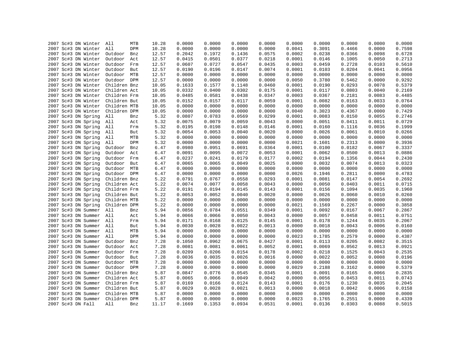| 2007 Sc#3 DN Winter     | All<br>MTB     | 10.28 | 0.0000 | 0.0000 | 0.0000           | 0.0000           | 0.0000 | 0.0000 | 0.0000           | 0.0000           | 0.0000           |
|-------------------------|----------------|-------|--------|--------|------------------|------------------|--------|--------|------------------|------------------|------------------|
| 2007 Sc#3 DN Winter     | All<br>DPM     | 10.28 | 0.0000 | 0.0000 | 0.0000           | 0.0000           | 0.0041 | 0.3091 | 0.4466           | 0.0000           | 0.7598           |
| 2007 Sc#3 DN Winter     | Outdoor<br>Bnz | 12.57 | 0.2042 | 0.1972 | 0.1436           | 0.0575           | 0.0002 | 0.0238 | 0.0366           | 0.0098           | 0.6728           |
| 2007 Sc#3 DN Winter     | Outdoor<br>Act | 12.57 | 0.0415 | 0.0501 | 0.0377           | 0.0218           | 0.0001 | 0.0146 | 0.1005           | 0.0050           | 0.2713           |
| 2007 Sc#3 DN Winter     | Outdoor<br>Frm | 12.57 | 0.0607 | 0.0727 | 0.0547           | 0.0435           | 0.0003 | 0.0459 | 0.2728           | 0.0103           | 0.5610           |
| 2007 Sc#3 DN Winter     | Outdoor<br>But | 12.57 | 0.0190 | 0.0196 | 0.0147           | 0.0074           | 0.0001 | 0.0103 | 0.0204           | 0.0041           | 0.0956           |
| 2007 Sc#3 DN Winter     | Outdoor MTB    | 12.57 | 0.0000 | 0.0000 | 0.0000           | 0.0000           | 0.0000 | 0.0000 | 0.0000           | 0.0000           | 0.0000           |
| 2007 Sc#3 DN Winter     | Outdoor DPM    | 12.57 | 0.0000 | 0.0000 | 0.0000           | 0.0000           | 0.0050 | 0.3780 | 0.5462           | 0.0000           | 0.9292           |
| 2007 Sc#3 DN Winter     | Children Bnz   | 10.05 | 0.1633 | 0.1577 | 0.1148           | 0.0460           | 0.0001 | 0.0190 | 0.0293           | 0.0078           | 0.5379           |
| 2007 Sc#3 DN Winter     | Children Act   | 10.05 | 0.0332 | 0.0400 | 0.0302           | 0.0175           | 0.0001 | 0.0117 | 0.0803           | 0.0040           | 0.2169           |
| 2007 Sc#3 DN Winter     | Children Frm   | 10.05 | 0.0485 | 0.0581 | 0.0438           | 0.0347           | 0.0003 | 0.0367 | 0.2181           | 0.0083           | 0.4485           |
| 2007 Sc#3 DN Winter     | Children But   | 10.05 | 0.0152 | 0.0157 | 0.0117           | 0.0059           | 0.0001 | 0.0082 | 0.0163           | 0.0033           | 0.0764           |
| 2007 Sc#3 DN Winter     | Children MTB   | 10.05 | 0.0000 | 0.0000 | 0.0000           | 0.0000           | 0.0000 | 0.0000 | 0.0000           | 0.0000           | 0.0000           |
| 2007 Sc#3 DN Winter     | Children DPM   | 10.05 | 0.0000 | 0.0000 | 0.0000           | 0.0000           | 0.0040 | 0.3023 | 0.4367           | 0.0000           | 0.7429           |
| 2007 Sc#3 DN Spring     | All<br>Bnz     | 5.32  | 0.0807 | 0.0783 | 0.0569           | 0.0299           | 0.0001 | 0.0083 | 0.0150           | 0.0055           | 0.2746           |
| 2007 Sc#3 DN Spring     | All<br>Act     | 5.32  | 0.0075 | 0.0079 | 0.0059           | 0.0043           | 0.0000 | 0.0051 | 0.0411           | 0.0011           | 0.0729           |
| 2007 Sc#3 DN Spring     | All<br>Frm     | 5.32  | 0.0195 | 0.0198 | 0.0148           | 0.0146           | 0.0001 | 0.0160 | 0.1116           | 0.0036           | 0.1999           |
| 2007 Sc#3 DN Spring     | All<br>But     | 5.32  | 0.0054 | 0.0053 | 0.0040           | 0.0020           | 0.0000 | 0.0026 | 0.0061           | 0.0010           | 0.0266           |
| 2007 Sc#3 DN Spring     | All<br>MTB     | 5.32  | 0.0000 | 0.0000 | 0.0000           | 0.0000           | 0.0000 | 0.0000 | 0.0000           | 0.0000           | 0.0000           |
| 2007 Sc#3 DN Spring     | All<br>DPM     | 5.32  | 0.0000 | 0.0000 | 0.0000           | 0.0000           | 0.0021 | 0.1601 | 0.2313           | 0.0000           | 0.3936           |
| 2007 Sc#3 DN Spring     | Outdoor<br>Bnz | 6.47  | 0.0980 | 0.0951 | 0.0691           | 0.0364           | 0.0001 | 0.0100 | 0.0182           | 0.0067           | 0.3337           |
|                         |                | 6.47  | 0.0091 | 0.0095 | 0.0072           | 0.0053           | 0.0001 | 0.0062 | 0.0500           | 0.0013           | 0.0886           |
| 2007 Sc#3 DN Spring     | Outdoor<br>Act |       | 0.0237 | 0.0241 |                  |                  | 0.0002 | 0.0194 |                  |                  |                  |
| 2007 Sc#3 DN Spring     | Outdoor<br>Frm | 6.47  |        | 0.0065 | 0.0179<br>0.0049 | 0.0177<br>0.0025 |        | 0.0032 | 0.1356<br>0.0074 | 0.0044<br>0.0013 | 0.2430<br>0.0323 |
| 2007 Sc#3 DN Spring     | Outdoor<br>But | 6.47  | 0.0065 |        |                  |                  | 0.0000 |        |                  |                  |                  |
| 2007 Sc#3 DN Spring     | Outdoor<br>MTB | 6.47  | 0.0000 | 0.0000 | 0.0000           | 0.0000           | 0.0000 | 0.0000 | 0.0000           | 0.0000           | 0.0000           |
| 2007 Sc#3 DN Spring     | Outdoor DPM    | 6.47  | 0.0000 | 0.0000 | 0.0000           | 0.0000           | 0.0026 | 0.1946 | 0.2811           | 0.0000           | 0.4783           |
| 2007 Sc#3 DN Spring     | Children Bnz   | 5.22  | 0.0791 | 0.0767 | 0.0558           | 0.0293           | 0.0001 | 0.0081 | 0.0147           | 0.0054           | 0.2692           |
| 2007 Sc#3 DN Spring     | Children Act   | 5.22  | 0.0074 | 0.0077 | 0.0058           | 0.0043           | 0.0000 | 0.0050 | 0.0403           | 0.0011           | 0.0715           |
| 2007 Sc#3 DN Spring     | Children Frm   | 5.22  | 0.0191 | 0.0194 | 0.0145           | 0.0143           | 0.0001 | 0.0156 | 0.1094           | 0.0035           | 0.1960           |
| 2007 Sc#3 DN Spring     | Children But   | 5.22  | 0.0053 | 0.0052 | 0.0040           | 0.0020           | 0.0000 | 0.0026 | 0.0060           | 0.0010           | 0.0260           |
| 2007 Sc#3 DN Spring     | Children MTB   | 5.22  | 0.0000 | 0.0000 | 0.0000           | 0.0000           | 0.0000 | 0.0000 | 0.0000           | 0.0000           | 0.0000           |
| 2007 Sc#3 DN Spring     | Children DPM   | 5.22  | 0.0000 | 0.0000 | 0.0000           | 0.0000           | 0.0021 | 0.1569 | 0.2267           | 0.0000           | 0.3858           |
| 2007 Sc#3 DN Summer     | All<br>Bnz     | 5.94  | 0.0856 | 0.0784 | 0.0551           | 0.0349           | 0.0001 | 0.0092 | 0.0167           | 0.0067           | 0.2867           |
| 2007 Sc#3 DN Summer All | Act            | 5.94  | 0.0066 | 0.0066 | 0.0050           | 0.0043           | 0.0000 | 0.0057 | 0.0458           | 0.0011           | 0.0751           |
| 2007 Sc#3 DN Summer All | Frm            | 5.94  | 0.0171 | 0.0168 | 0.0125           | 0.0145           | 0.0001 | 0.0178 | 0.1244           | 0.0035           | 0.2067           |
| 2007 Sc#3 DN Summer     | All<br>But     | 5.94  | 0.0030 | 0.0028 | 0.0022           | 0.0013           | 0.0000 | 0.0018 | 0.0043           | 0.0006           | 0.0160           |
| 2007 Sc#3 DN Summer     | All<br>MTB     | 5.94  | 0.0000 | 0.0000 | 0.0000           | 0.0000           | 0.0000 | 0.0000 | 0.0000           | 0.0000           | 0.0000           |
| 2007 Sc#3 DN Summer     | All<br>DPM     | 5.94  | 0.0000 | 0.0000 | 0.0000           | 0.0000           | 0.0023 | 0.1785 | 0.2579           | 0.0000           | 0.4387           |
| 2007 Sc#3 DN Summer     | Outdoor<br>Bnz | 7.28  | 0.1050 | 0.0962 | 0.0675           | 0.0427           | 0.0001 | 0.0113 | 0.0205           | 0.0082           | 0.3515           |
| 2007 Sc#3 DN Summer     | Outdoor<br>Act | 7.28  | 0.0081 | 0.0081 | 0.0061           | 0.0052           | 0.0001 | 0.0069 | 0.0562           | 0.0013           | 0.0921           |
| 2007 Sc#3 DN Summer     | Outdoor<br>Frm | 7.28  | 0.0209 | 0.0206 | 0.0154           | 0.0178           | 0.0002 | 0.0218 | 0.1525           | 0.0043           | 0.2535           |
| 2007 Sc#3 DN Summer     | Outdoor<br>But | 7.28  | 0.0036 | 0.0035 | 0.0026           | 0.0016           | 0.0000 | 0.0022 | 0.0052           | 0.0008           | 0.0196           |
| 2007 Sc#3 DN Summer     | Outdoor MTB    | 7.28  | 0.0000 | 0.0000 | 0.0000           | 0.0000           | 0.0000 | 0.0000 | 0.0000           | 0.0000           | 0.0000           |
| 2007 Sc#3 DN Summer     | Outdoor DPM    | 7.28  | 0.0000 | 0.0000 | 0.0000           | 0.0000           | 0.0029 | 0.2188 | 0.3162           | 0.0000           | 0.5379           |
| 2007 Sc#3 DN Summer     | Children Bnz   | 5.87  | 0.0847 | 0.0776 | 0.0545           | 0.0345           | 0.0001 | 0.0091 | 0.0165           | 0.0066           | 0.2835           |
| 2007 Sc#3 DN Summer     | Children Act   | 5.87  | 0.0065 | 0.0066 | 0.0049           | 0.0042           | 0.0000 | 0.0056 | 0.0453           | 0.0011           | 0.0743           |
| 2007 Sc#3 DN Summer     | Children Frm   | 5.87  | 0.0169 | 0.0166 | 0.0124           | 0.0143           | 0.0001 | 0.0176 | 0.1230           | 0.0035           | 0.2045           |
| 2007 Sc#3 DN Summer     | Children But   | 5.87  | 0.0029 | 0.0028 | 0.0021           | 0.0013           | 0.0000 | 0.0018 | 0.0042           | 0.0006           | 0.0158           |
| 2007 Sc#3 DN Summer     | Children MTB   | 5.87  | 0.0000 | 0.0000 | 0.0000           | 0.0000           | 0.0000 | 0.0000 | 0.0000           | 0.0000           | 0.0000           |
| 2007 Sc#3 DN Summer     | Children DPM   | 5.87  | 0.0000 | 0.0000 | 0.0000           | 0.0000           | 0.0023 | 0.1765 | 0.2551           | 0.0000           | 0.4339           |
| 2007 Sc#3 DN Fall       | All<br>Bnz     | 11.17 | 0.1669 | 0.1353 | 0.0934           | 0.0531           | 0.0001 | 0.0136 | 0.0303           | 0.0088           | 0.5015           |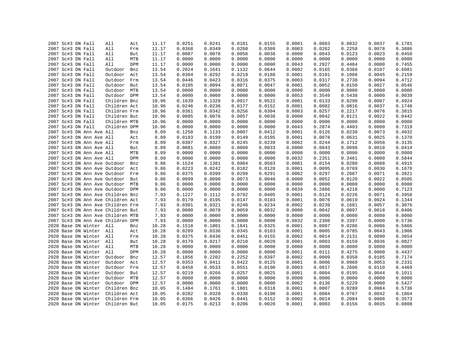|  | 2007 Sc#3 DN Fall |                                   | All          | Act        | 11.17 | 0.0251 | 0.0241 | 0.0181 | 0.0155 | 0.0001 | 0.0083 | 0.0832 | 0.0037 | 0.1781 |
|--|-------------------|-----------------------------------|--------------|------------|-------|--------|--------|--------|--------|--------|--------|--------|--------|--------|
|  | 2007 Sc#3 DN Fall |                                   | All          | Frm        | 11.17 | 0.0368 | 0.0349 | 0.0260 | 0.0309 | 0.0003 | 0.0262 | 0.2258 | 0.0078 | 0.3886 |
|  | 2007 Sc#3 DN Fall |                                   | All          | But        | 11.17 | 0.0087 | 0.0078 | 0.0058 | 0.0038 | 0.0000 | 0.0043 | 0.0123 | 0.0023 | 0.0450 |
|  | 2007 Sc#3 DN Fall |                                   | All          | MTB        | 11.17 | 0.0000 | 0.0000 | 0.0000 | 0.0000 | 0.0000 | 0.0000 | 0.0000 | 0.0000 | 0.0000 |
|  | 2007 Sc#3 DN Fall |                                   | All          | DPM        | 11.17 | 0.0000 | 0.0000 | 0.0000 | 0.0000 | 0.0043 | 0.2927 | 0.4484 | 0.0000 | 0.7455 |
|  | 2007 Sc#3 DN Fall |                                   | Outdoor      | Bnz        | 13.54 | 0.2024 | 0.1641 | 0.1132 | 0.0644 | 0.0002 | 0.0165 | 0.0368 | 0.0107 | 0.6081 |
|  | 2007 Sc#3 DN Fall |                                   | Outdoor      | Act        | 13.54 | 0.0304 | 0.0292 | 0.0219 | 0.0188 | 0.0001 | 0.0101 | 0.1008 | 0.0045 | 0.2159 |
|  | 2007 Sc#3 DN Fall |                                   | Outdoor      | Frm        | 13.54 | 0.0446 | 0.0423 | 0.0316 | 0.0375 | 0.0003 | 0.0317 | 0.2738 | 0.0094 | 0.4712 |
|  | 2007 Sc#3 DN Fall |                                   | Outdoor But  |            | 13.54 | 0.0105 | 0.0094 | 0.0071 | 0.0047 | 0.0001 | 0.0052 | 0.0150 | 0.0027 | 0.0546 |
|  | 2007 Sc#3 DN Fall |                                   | Outdoor MTB  |            | 13.54 | 0.0000 | 0.0000 | 0.0000 | 0.0000 | 0.0000 | 0.0000 | 0.0000 | 0.0000 | 0.0000 |
|  | 2007 Sc#3 DN Fall |                                   | Outdoor DPM  |            | 13.54 | 0.0000 | 0.0000 | 0.0000 | 0.0000 | 0.0053 | 0.3549 | 0.5438 | 0.0000 | 0.9039 |
|  | 2007 Sc#3 DN Fall |                                   | Children Bnz |            | 10.96 | 0.1639 | 0.1328 | 0.0917 | 0.0522 | 0.0001 | 0.0133 | 0.0298 | 0.0087 | 0.4924 |
|  | 2007 Sc#3 DN Fall |                                   | Children Act |            | 10.96 | 0.0246 | 0.0236 | 0.0177 | 0.0152 | 0.0001 | 0.0082 | 0.0816 | 0.0037 | 0.1748 |
|  | 2007 Sc#3 DN Fall |                                   | Children Frm |            | 10.96 | 0.0361 | 0.0342 | 0.0256 | 0.0304 | 0.0003 | 0.0257 | 0.2217 | 0.0076 | 0.3815 |
|  | 2007 Sc#3 DN Fall |                                   | Children But |            | 10.96 | 0.0085 | 0.0076 | 0.0057 | 0.0038 | 0.0000 | 0.0042 | 0.0121 | 0.0022 | 0.0442 |
|  | 2007 Sc#3 DN Fall |                                   | Children MTB |            | 10.96 | 0.0000 | 0.0000 | 0.0000 | 0.0000 | 0.0000 | 0.0000 | 0.0000 | 0.0000 | 0.0000 |
|  | 2007 Sc#3 DN Fall |                                   | Children DPM |            | 10.96 | 0.0000 | 0.0000 | 0.0000 | 0.0000 | 0.0043 | 0.2874 | 0.4403 | 0.0000 | 0.7319 |
|  |                   | 2007 Sc#3 DN Ann Ave All          |              | Bnz        | 8.09  | 0.1250 | 0.1133 | 0.0807 | 0.0412 | 0.0001 | 0.0126 | 0.0230 | 0.0073 | 0.4032 |
|  |                   | 2007 Sc#3 DN Ann Ave All          |              | Act        | 8.09  | 0.0183 | 0.0199 | 0.0149 | 0.0105 | 0.0001 | 0.0078 | 0.0631 | 0.0025 | 0.1370 |
|  |                   | 2007 Sc#3 DN Ann Ave All          |              | Frm        | 8.09  | 0.0307 | 0.0327 | 0.0245 | 0.0239 | 0.0002 | 0.0244 | 0.1712 | 0.0058 | 0.3135 |
|  |                   | 2007 Sc#3 DN Ann Ave All          |              | But        | 8.09  | 0.0081 | 0.0080 | 0.0060 | 0.0033 | 0.0000 | 0.0043 | 0.0098 | 0.0018 | 0.0414 |
|  |                   | 2007 Sc#3 DN Ann Ave All          |              | MTB        | 8.09  | 0.0000 | 0.0000 | 0.0000 | 0.0000 | 0.0000 | 0.0000 | 0.0000 | 0.0000 | 0.0000 |
|  |                   | 2007 Sc#3 DN Ann Ave All          |              | DPM        | 8.09  | 0.0000 | 0.0000 | 0.0000 | 0.0000 | 0.0032 | 0.2351 | 0.3461 | 0.0000 | 0.5844 |
|  |                   | 2007 Sc#3 DN Ann Ave Outdoor      |              | Bnz        | 9.86  | 0.1524 | 0.1381 | 0.0984 | 0.0503 | 0.0001 | 0.0154 | 0.0280 | 0.0088 | 0.4915 |
|  |                   | 2007 Sc#3 DN Ann Ave Outdoor      |              | Act        | 9.86  | 0.0223 | 0.0242 | 0.0182 | 0.0128 | 0.0001 | 0.0095 | 0.0769 | 0.0030 | 0.1670 |
|  |                   | 2007 Sc#3 DN Ann Ave Outdoor Frm  |              |            | 9.86  | 0.0375 | 0.0399 | 0.0299 | 0.0291 | 0.0002 | 0.0297 | 0.2087 | 0.0071 | 0.3821 |
|  |                   | 2007 Sc#3 DN Ann Ave Outdoor      |              | But        | 9.86  | 0.0099 | 0.0098 | 0.0073 | 0.0040 | 0.0000 | 0.0052 | 0.0120 | 0.0022 | 0.0505 |
|  |                   | 2007 Sc#3 DN Ann Ave Outdoor MTB  |              |            | 9.86  | 0.0000 | 0.0000 | 0.0000 | 0.0000 | 0.0000 | 0.0000 | 0.0000 | 0.0000 | 0.0000 |
|  |                   | 2007 Sc#3 DN Ann Ave Outdoor DPM  |              |            | 9.86  | 0.0000 | 0.0000 | 0.0000 | 0.0000 | 0.0039 | 0.2866 | 0.4218 | 0.0000 | 0.7123 |
|  |                   | 2007 Sc#3 DN Ann Ave Children Bnz |              |            | 7.93  | 0.1227 | 0.1112 | 0.0792 | 0.0405 | 0.0001 | 0.0124 | 0.0226 | 0.0071 | 0.3958 |
|  |                   | 2007 Sc#3 DN Ann Ave Children Act |              |            | 7.93  | 0.0179 | 0.0195 | 0.0147 | 0.0103 | 0.0001 | 0.0076 | 0.0619 | 0.0024 | 0.1344 |
|  |                   | 2007 Sc#3 DN Ann Ave Children Frm |              |            | 7.93  | 0.0301 | 0.0321 | 0.0240 | 0.0234 | 0.0002 | 0.0239 | 0.1681 | 0.0057 | 0.3076 |
|  |                   | 2007 Sc#3 DN Ann Ave Children But |              |            | 7.93  | 0.0080 | 0.0078 | 0.0059 | 0.0032 | 0.0000 | 0.0042 | 0.0097 | 0.0018 | 0.0406 |
|  |                   | 2007 Sc#3 DN Ann Ave Children MTB |              |            | 7.93  | 0.0000 | 0.0000 | 0.0000 | 0.0000 | 0.0000 | 0.0000 | 0.0000 | 0.0000 | 0.0000 |
|  |                   | 2007 Sc#3 DN Ann Ave Children DPM |              |            | 7.93  | 0.0000 | 0.0000 | 0.0000 | 0.0000 | 0.0032 | 0.2308 | 0.3397 | 0.0000 | 0.5736 |
|  |                   | 2020 Base DN Winter All           |              | Bnz        | 10.28 | 0.1518 | 0.1801 | 0.1841 | 0.0325 | 0.0001 | 0.0007 | 0.0286 | 0.0086 | 0.5866 |
|  |                   | 2020 Base DN Winter All           |              | Act        | 10.28 | 0.0289 | 0.0336 | 0.0345 | 0.0103 | 0.0001 | 0.0005 | 0.0785 | 0.0043 | 0.1906 |
|  |                   | 2020 Base DN Winter All           |              | Frm        | 10.28 | 0.0375 | 0.0436 | 0.0451 | 0.0155 | 0.0002 | 0.0014 | 0.2131 | 0.0090 | 0.3654 |
|  |                   | 2020 Base DN Winter All           |              | But        | 10.28 | 0.0179 | 0.0217 | 0.0210 | 0.0020 | 0.0001 | 0.0003 | 0.0159 | 0.0036 | 0.0827 |
|  |                   | 2020 Base DN Winter All           |              | MTB        | 10.28 | 0.0000 | 0.0000 | 0.0000 | 0.0000 | 0.0000 | 0.0000 | 0.0000 | 0.0000 | 0.0000 |
|  |                   | 2020 Base DN Winter All           |              | DPM        | 10.28 | 0.0000 | 0.0000 | 0.0000 | 0.0000 | 0.0051 | 0.0111 | 0.4275 | 0.0000 | 0.4437 |
|  |                   | 2020 Base DN Winter               | Outdoor      |            | 12.57 | 0.1856 | 0.2202 | 0.2252 | 0.0397 | 0.0002 | 0.0009 | 0.0350 | 0.0105 | 0.7174 |
|  |                   | 2020 Base DN Winter               | Outdoor      | Bnz<br>Act | 12.57 | 0.0353 | 0.0411 | 0.0422 | 0.0125 | 0.0001 | 0.0006 | 0.0960 | 0.0053 | 0.2331 |
|  |                   |                                   |              |            |       |        |        |        |        |        |        |        |        |        |
|  |                   | 2020 Base DN Winter               | Outdoor      | Frm        | 12.57 | 0.0458 | 0.0533 | 0.0551 | 0.0190 | 0.0003 | 0.0017 | 0.2606 | 0.0110 | 0.4469 |
|  |                   | 2020 Base DN Winter               | Outdoor      | But        | 12.57 | 0.0219 | 0.0266 | 0.0257 | 0.0025 | 0.0001 | 0.0004 | 0.0195 | 0.0044 | 0.1011 |
|  |                   | 2020 Base DN Winter               | Outdoor      | MTB        | 12.57 | 0.0000 | 0.0000 | 0.0000 | 0.0000 | 0.0000 | 0.0000 | 0.0000 | 0.0000 | 0.0000 |
|  |                   | 2020 Base DN Winter               | Outdoor DPM  |            | 12.57 | 0.0000 | 0.0000 | 0.0000 | 0.0000 | 0.0062 | 0.0136 | 0.5229 | 0.0000 | 0.5427 |
|  |                   | 2020 Base DN Winter               | Children Bnz |            | 10.05 | 0.1484 | 0.1761 | 0.1801 | 0.0318 | 0.0001 | 0.0007 | 0.0280 | 0.0084 | 0.5736 |
|  |                   | 2020 Base DN Winter               | Children Act |            | 10.05 | 0.0282 | 0.0328 | 0.0338 | 0.0100 | 0.0001 | 0.0004 | 0.0767 | 0.0042 | 0.1864 |
|  |                   | 2020 Base DN Winter               | Children Frm |            | 10.05 | 0.0366 | 0.0426 | 0.0441 | 0.0152 | 0.0002 | 0.0014 | 0.2084 | 0.0088 | 0.3573 |
|  |                   | 2020 Base DN Winter               | Children But |            | 10.05 | 0.0175 | 0.0213 | 0.0206 | 0.0020 | 0.0001 | 0.0003 | 0.0156 | 0.0035 | 0.0808 |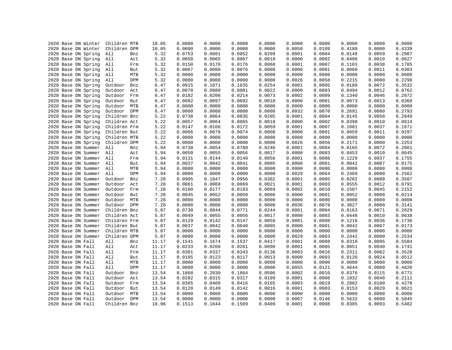| 2020 Base DN Winter | Children MTB          | 10.05 | 0.0000 | 0.0000 | 0.0000 | 0.0000 | 0.0000 | 0.0000 | 0.0000 | 0.0000 | 0.0000 |
|---------------------|-----------------------|-------|--------|--------|--------|--------|--------|--------|--------|--------|--------|
| 2020 Base DN Winter | Children DPM          | 10.05 | 0.0000 | 0.0000 | 0.0000 | 0.0000 | 0.0050 | 0.0109 | 0.4180 | 0.0000 | 0.4339 |
| 2020 Base DN Spring | All<br>Bnz            | 5.32  | 0.0753 | 0.0881 | 0.0852 | 0.0209 | 0.0001 | 0.0004 | 0.0148 | 0.0059 | 0.2907 |
|                     | All                   | 5.32  | 0.0058 | 0.0065 | 0.0067 | 0.0018 | 0.0000 | 0.0002 | 0.0406 | 0.0010 | 0.0627 |
| 2020 Base DN Spring | Act                   |       |        |        |        |        |        |        |        |        |        |
| 2020 Base DN Spring | All<br>Frm            | 5.32  | 0.0150 | 0.0170 | 0.0176 | 0.0060 | 0.0001 | 0.0007 | 0.1103 | 0.0038 | 0.1705 |
| 2020 Base DN Spring | All<br>But            | 5.32  | 0.0067 | 0.0080 | 0.0076 | 0.0008 | 0.0000 | 0.0001 | 0.0060 | 0.0011 | 0.0303 |
| 2020 Base DN Spring | All<br>MTB            | 5.32  | 0.0000 | 0.0000 | 0.0000 | 0.0000 | 0.0000 | 0.0000 | 0.0000 | 0.0000 | 0.0000 |
| 2020 Base DN Spring | All<br>DPM            | 5.32  | 0.0000 | 0.0000 | 0.0000 | 0.0000 | 0.0026 | 0.0058 | 0.2215 | 0.0000 | 0.2298 |
| 2020 Base DN Spring | Outdoor<br>Bnz        | 6.47  | 0.0915 | 0.1071 | 0.1035 | 0.0254 | 0.0001 | 0.0005 | 0.0180 | 0.0072 | 0.3532 |
| 2020 Base DN Spring | Outdoor<br>Act        | 6.47  | 0.0070 | 0.0080 | 0.0081 | 0.0022 | 0.0000 | 0.0003 | 0.0494 | 0.0012 | 0.0762 |
| 2020 Base DN Spring | Outdoor<br>Frm        | 6.47  | 0.0182 | 0.0206 | 0.0214 | 0.0073 | 0.0002 | 0.0009 | 0.1340 | 0.0046 | 0.2072 |
| 2020 Base DN Spring | Outdoor<br>But        | 6.47  | 0.0082 | 0.0097 | 0.0092 | 0.0010 | 0.0000 | 0.0001 | 0.0073 | 0.0013 | 0.0368 |
| 2020 Base DN Spring | MTB<br>Outdoor        | 6.47  | 0.0000 | 0.0000 | 0.0000 | 0.0000 | 0.0000 | 0.0000 | 0.0000 | 0.0000 | 0.0000 |
| 2020 Base DN Spring | Outdoor<br>DPM        | 6.47  | 0.0000 | 0.0000 | 0.0000 | 0.0000 | 0.0032 | 0.0070 | 0.2691 | 0.0000 | 0.2793 |
| 2020 Base DN Spring | Children Bnz          | 5.22  | 0.0738 | 0.0864 | 0.0835 | 0.0205 | 0.0001 | 0.0004 | 0.0145 | 0.0058 | 0.2849 |
| 2020 Base DN Spring | Children Act          | 5.22  | 0.0057 | 0.0064 | 0.0065 | 0.0018 | 0.0000 | 0.0002 | 0.0398 | 0.0010 | 0.0614 |
| 2020 Base DN Spring | Children Frm          | 5.22  | 0.0147 | 0.0166 | 0.0172 | 0.0059 | 0.0001 | 0.0007 | 0.1081 | 0.0037 | 0.1671 |
| 2020 Base DN Spring | Children But          | 5.22  | 0.0066 | 0.0078 | 0.0074 | 0.0008 | 0.0000 | 0.0001 | 0.0059 | 0.0011 | 0.0297 |
| 2020 Base DN Spring | Children MTB          | 5.22  | 0.0000 | 0.0000 | 0.0000 | 0.0000 | 0.0000 | 0.0000 | 0.0000 | 0.0000 | 0.0000 |
| 2020 Base DN Spring | Children DPM          | 5.22  | 0.0000 | 0.0000 | 0.0000 | 0.0000 | 0.0026 | 0.0056 | 0.2171 | 0.0000 | 0.2253 |
| 2020 Base DN Summer | All<br>Bnz            | 5.94  | 0.0738 | 0.0854 | 0.0780 | 0.0246 | 0.0001 | 0.0004 | 0.0165 | 0.0072 | 0.2861 |
| 2020 Base DN Summer | All<br>Act            | 5.94  | 0.0050 | 0.0055 | 0.0056 | 0.0017 | 0.0000 | 0.0003 | 0.0453 | 0.0010 | 0.0645 |
| 2020 Base DN Summer | All<br>Frm            | 5.94  | 0.0131 | 0.0144 | 0.0149 | 0.0056 | 0.0001 | 0.0008 | 0.1229 | 0.0037 | 0.1755 |
| 2020 Base DN Summer | All<br>But            | 5.94  | 0.0037 | 0.0042 | 0.0041 | 0.0005 | 0.0000 | 0.0001 | 0.0042 | 0.0007 | 0.0175 |
| 2020 Base DN Summer | All<br>MTB            | 5.94  | 0.0000 | 0.0000 | 0.0000 | 0.0000 | 0.0000 | 0.0000 | 0.0000 | 0.0000 | 0.0000 |
| 2020 Base DN Summer | All<br>DPM            | 5.94  | 0.0000 | 0.0000 | 0.0000 | 0.0000 | 0.0029 | 0.0064 | 0.2469 | 0.0000 | 0.2562 |
| 2020 Base DN Summer | Outdoor<br>Bnz        | 7.28  | 0.0905 | 0.1047 | 0.0956 | 0.0302 | 0.0001 | 0.0005 | 0.0202 | 0.0088 | 0.3507 |
| 2020 Base DN Summer | Outdoor<br>Act        | 7.28  | 0.0061 | 0.0068 | 0.0069 | 0.0021 | 0.0001 | 0.0003 | 0.0555 | 0.0012 | 0.0791 |
| 2020 Base DN Summer | Outdoor<br>Frm        | 7.28  | 0.0160 | 0.0177 | 0.0183 | 0.0069 | 0.0002 | 0.0010 | 0.1507 | 0.0045 | 0.2152 |
| 2020 Base DN Summer | Outdoor<br>But        | 7.28  | 0.0045 | 0.0052 | 0.0050 | 0.0006 | 0.0000 | 0.0001 | 0.0052 | 0.0008 | 0.0214 |
| 2020 Base DN Summer | MTB<br>Outdoor        | 7.28  | 0.0000 | 0.0000 | 0.0000 | 0.0000 | 0.0000 | 0.0000 | 0.0000 | 0.0000 | 0.0000 |
| 2020 Base DN Summer | Outdoor<br>DPM        | 7.28  | 0.0000 | 0.0000 | 0.0000 | 0.0000 | 0.0036 | 0.0079 | 0.3027 | 0.0000 | 0.3141 |
| 2020 Base DN Summer | Children Bnz          | 5.87  | 0.0730 | 0.0844 | 0.0771 | 0.0244 | 0.0001 | 0.0004 | 0.0163 | 0.0071 | 0.2829 |
| 2020 Base DN Summer | Children Act          | 5.87  | 0.0049 | 0.0055 | 0.0056 | 0.0017 | 0.0000 | 0.0003 | 0.0448 | 0.0010 | 0.0638 |
| 2020 Base DN Summer | Children Frm          | 5.87  | 0.0129 | 0.0142 | 0.0147 | 0.0056 | 0.0001 | 0.0008 | 0.1216 | 0.0036 | 0.1736 |
| 2020 Base DN Summer | Children But          | 5.87  | 0.0037 | 0.0042 | 0.0040 | 0.0005 | 0.0000 | 0.0001 | 0.0042 | 0.0007 | 0.0173 |
| 2020 Base DN Summer | Children MTB          | 5.87  | 0.0000 | 0.0000 | 0.0000 | 0.0000 | 0.0000 | 0.0000 | 0.0000 | 0.0000 | 0.0000 |
| 2020 Base DN Summer | Children DPM          | 5.87  | 0.0000 | 0.0000 | 0.0000 | 0.0000 | 0.0029 | 0.0063 | 0.2442 | 0.0000 | 0.2534 |
| 2020 Base DN Fall   | All<br>Bnz            | 11.17 | 0.1541 | 0.1674 | 0.1537 | 0.0417 | 0.0001 | 0.0008 | 0.0310 | 0.0095 | 0.5584 |
| 2020 Base DN Fall   | All<br>Act            | 11.17 | 0.0233 | 0.0260 | 0.0261 | 0.0090 | 0.0001 | 0.0005 | 0.0851 | 0.0040 | 0.1741 |
| 2020 Base DN Fall   | All<br>Frm            | 11.17 | 0.0301 | 0.0337 | 0.0343 | 0.0136 | 0.0003 | 0.0016 | 0.2311 | 0.0082 | 0.3528 |
| 2020 Base DN Fall   | All<br>But            | 11.17 | 0.0105 | 0.0123 | 0.0117 | 0.0013 | 0.0000 | 0.0003 | 0.0126 | 0.0024 | 0.0512 |
| 2020 Base DN Fall   | All<br>MTB            | 11.17 | 0.0000 | 0.0000 | 0.0000 | 0.0000 | 0.0000 | 0.0000 | 0.0000 | 0.0000 | 0.0000 |
| 2020 Base DN Fall   | All<br>DPM            | 11.17 | 0.0000 | 0.0000 | 0.0000 | 0.0000 | 0.0055 | 0.0121 | 0.4644 | 0.0000 | 0.4820 |
| 2020 Base DN Fall   | Outdoor<br>Bnz        | 13.54 | 0.1868 | 0.2030 | 0.1864 | 0.0506 | 0.0002 | 0.0010 | 0.0376 | 0.0115 | 0.6771 |
| 2020 Base DN Fall   | Outdoor<br>Act        |       | 0.0282 | 0.0315 | 0.0317 | 0.0109 | 0.0001 | 0.0006 | 0.1032 | 0.0048 | 0.2111 |
|                     | Outdoor               | 13.54 | 0.0365 | 0.0409 | 0.0416 | 0.0165 | 0.0003 | 0.0019 | 0.2802 | 0.0100 | 0.4278 |
| 2020 Base DN Fall   | Frm                   | 13.54 |        |        |        |        |        |        |        |        |        |
| 2020 Base DN Fall   | Outdoor<br>But        | 13.54 | 0.0128 | 0.0149 | 0.0142 | 0.0016 | 0.0001 | 0.0003 | 0.0153 | 0.0029 | 0.0621 |
| 2020 Base DN Fall   | Outdoor<br>MTB        | 13.54 | 0.0000 | 0.0000 | 0.0000 | 0.0000 | 0.0000 | 0.0000 | 0.0000 | 0.0000 | 0.0000 |
| 2020 Base DN Fall   | Outdoor<br><b>DPM</b> | 13.54 | 0.0000 | 0.0000 | 0.0000 | 0.0000 | 0.0067 | 0.0146 | 0.5632 | 0.0000 | 0.5845 |
| 2020 Base DN Fall   | Children Bnz          | 10.96 | 0.1513 | 0.1644 | 0.1509 | 0.0409 | 0.0001 | 0.0008 | 0.0305 | 0.0093 | 0.5482 |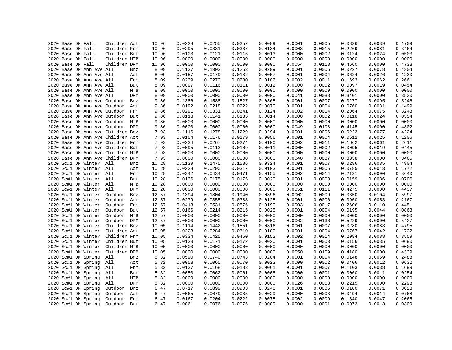|  |                                        |                          | Children Act                      |     | 10.96 | 0.0228 | 0.0255 | 0.0257 | 0.0089 | 0.0001 |                  | 0.0836 | 0.0039 | 0.1709 |
|--|----------------------------------------|--------------------------|-----------------------------------|-----|-------|--------|--------|--------|--------|--------|------------------|--------|--------|--------|
|  | 2020 Base DN Fall<br>2020 Base DN Fall |                          | Children Frm                      |     | 10.96 | 0.0295 | 0.0331 | 0.0337 | 0.0134 | 0.0003 | 0.0005<br>0.0015 | 0.2269 | 0.0081 | 0.3464 |
|  |                                        |                          |                                   |     |       |        |        |        |        |        |                  |        |        |        |
|  | 2020 Base DN Fall                      |                          | Children But                      |     | 10.96 | 0.0103 | 0.0121 | 0.0115 | 0.0013 | 0.0000 | 0.0002           | 0.0124 | 0.0024 | 0.0503 |
|  | 2020 Base DN Fall                      |                          | Children MTB                      |     | 10.96 | 0.0000 | 0.0000 | 0.0000 | 0.0000 | 0.0000 | 0.0000           | 0.0000 | 0.0000 | 0.0000 |
|  | 2020 Base DN Fall                      |                          | Children DPM                      |     | 10.96 | 0.0000 | 0.0000 | 0.0000 | 0.0000 | 0.0054 | 0.0118           | 0.4560 | 0.0000 | 0.4733 |
|  |                                        | 2020 Base DN Ann Ave All |                                   | Bnz | 8.09  | 0.1137 | 0.1303 | 0.1253 | 0.0299 | 0.0001 | 0.0006           | 0.0227 | 0.0078 | 0.4304 |
|  |                                        | 2020 Base DN Ann Ave All |                                   | Act | 8.09  | 0.0157 | 0.0179 | 0.0182 | 0.0057 | 0.0001 | 0.0004           | 0.0624 | 0.0026 | 0.1230 |
|  |                                        | 2020 Base DN Ann Ave All |                                   | Frm | 8.09  | 0.0239 | 0.0272 | 0.0280 | 0.0102 | 0.0002 | 0.0011           | 0.1693 | 0.0062 | 0.2661 |
|  |                                        | 2020 Base DN Ann Ave All |                                   | But | 8.09  | 0.0097 | 0.0116 | 0.0111 | 0.0012 | 0.0000 | 0.0002           | 0.0097 | 0.0019 | 0.0454 |
|  |                                        | 2020 Base DN Ann Ave All |                                   | MTB | 8.09  | 0.0000 | 0.0000 | 0.0000 | 0.0000 | 0.0000 | 0.0000           | 0.0000 | 0.0000 | 0.0000 |
|  |                                        | 2020 Base DN Ann Ave All |                                   | DPM | 8.09  | 0.0000 | 0.0000 | 0.0000 | 0.0000 | 0.0041 | 0.0088           | 0.3401 | 0.0000 | 0.3530 |
|  |                                        |                          | 2020 Base DN Ann Ave Outdoor      | Bnz | 9.86  | 0.1386 | 0.1588 | 0.1527 | 0.0365 | 0.0001 | 0.0007           | 0.0277 | 0.0095 | 0.5246 |
|  |                                        |                          | 2020 Base DN Ann Ave Outdoor      | Act | 9.86  | 0.0192 | 0.0218 | 0.0222 | 0.0070 | 0.0001 | 0.0004           | 0.0760 | 0.0031 | 0.1499 |
|  |                                        |                          | 2020 Base DN Ann Ave Outdoor      | Frm | 9.86  | 0.0291 | 0.0331 | 0.0341 | 0.0124 | 0.0002 | 0.0014           | 0.2064 | 0.0075 | 0.3243 |
|  |                                        |                          | 2020 Base DN Ann Ave Outdoor      | But | 9.86  | 0.0118 | 0.0141 | 0.0135 | 0.0014 | 0.0000 | 0.0002           | 0.0118 | 0.0024 | 0.0554 |
|  |                                        |                          | 2020 Base DN Ann Ave Outdoor MTB  |     | 9.86  | 0.0000 | 0.0000 | 0.0000 | 0.0000 | 0.0000 | 0.0000           | 0.0000 | 0.0000 | 0.0000 |
|  |                                        |                          | 2020 Base DN Ann Ave Outdoor DPM  |     | 9.86  | 0.0000 | 0.0000 | 0.0000 | 0.0000 | 0.0049 | 0.0108           | 0.4145 | 0.0000 | 0.4302 |
|  |                                        |                          | 2020 Base DN Ann Ave Children Bnz |     | 7.93  | 0.1116 | 0.1278 | 0.1229 | 0.0294 | 0.0001 | 0.0006           | 0.0223 | 0.0077 | 0.4224 |
|  |                                        |                          | 2020 Base DN Ann Ave Children Act |     | 7.93  | 0.0154 | 0.0176 | 0.0179 | 0.0056 | 0.0001 | 0.0004           | 0.0612 | 0.0025 | 0.1206 |
|  |                                        |                          | 2020 Base DN Ann Ave Children Frm |     | 7.93  | 0.0234 | 0.0267 | 0.0274 | 0.0100 | 0.0002 | 0.0011           | 0.1662 | 0.0061 | 0.2611 |
|  |                                        |                          | 2020 Base DN Ann Ave Children But |     | 7.93  | 0.0095 | 0.0113 | 0.0109 | 0.0011 | 0.0000 | 0.0002           | 0.0095 | 0.0019 | 0.0445 |
|  |                                        |                          | 2020 Base DN Ann Ave Children MTB |     | 7.93  | 0.0000 | 0.0000 | 0.0000 | 0.0000 | 0.0000 | 0.0000           | 0.0000 | 0.0000 | 0.0000 |
|  |                                        |                          | 2020 Base DN Ann Ave Children DPM |     | 7.93  | 0.0000 | 0.0000 | 0.0000 | 0.0000 | 0.0040 | 0.0087           | 0.3338 | 0.0000 | 0.3465 |
|  |                                        | 2020 Sc#1 DN Winter All  |                                   | Bnz | 10.28 | 0.1139 | 0.1475 | 0.1586 | 0.0324 | 0.0001 | 0.0007           | 0.0286 | 0.0085 | 0.4904 |
|  |                                        | 2020 Sc#1 DN Winter All  |                                   | Act | 10.28 | 0.0228 | 0.0290 | 0.0317 | 0.0103 | 0.0001 | 0.0005           | 0.0785 | 0.0043 | 0.1772 |
|  |                                        | 2020 Sc#1 DN Winter All  |                                   | Frm | 10.28 | 0.0342 | 0.0434 | 0.0471 | 0.0155 | 0.0002 | 0.0014           | 0.2131 | 0.0090 | 0.3640 |
|  |                                        | 2020 Sc#1 DN Winter All  |                                   | But | 10.28 | 0.0136 | 0.0175 | 0.0175 | 0.0020 | 0.0001 | 0.0003           | 0.0159 | 0.0036 | 0.0706 |
|  |                                        | 2020 Sc#1 DN Winter All  |                                   | MTB | 10.28 | 0.0000 | 0.0000 | 0.0000 | 0.0000 | 0.0000 | 0.0000           | 0.0000 | 0.0000 | 0.0000 |
|  |                                        | 2020 Sc#1 DN Winter All  |                                   | DPM | 10.28 | 0.0000 | 0.0000 | 0.0000 | 0.0000 | 0.0051 | 0.0111           | 0.4275 | 0.0000 | 0.4437 |
|  |                                        | 2020 Sc#1 DN Winter      | Outdoor                           | Bnz | 12.57 | 0.1394 | 0.1804 | 0.1940 | 0.0396 | 0.0002 | 0.0009           | 0.0350 | 0.0104 | 0.5997 |
|  |                                        | 2020 Sc#1 DN Winter      | Outdoor                           | Act | 12.57 | 0.0279 | 0.0355 | 0.0388 | 0.0125 | 0.0001 | 0.0006           | 0.0960 | 0.0053 | 0.2167 |
|  |                                        | 2020 Sc#1 DN Winter      | Outdoor                           | Frm | 12.57 | 0.0418 | 0.0531 | 0.0576 | 0.0190 | 0.0003 | 0.0017           | 0.2606 | 0.0110 | 0.4451 |
|  |                                        | 2020 Sc#1 DN Winter      | Outdoor                           | But | 12.57 | 0.0166 | 0.0214 | 0.0215 | 0.0025 | 0.0001 | 0.0004           | 0.0195 | 0.0044 | 0.0863 |
|  |                                        | 2020 Sc#1 DN Winter      | Outdoor                           | MTB | 12.57 | 0.0000 | 0.0000 | 0.0000 | 0.0000 | 0.0000 | 0.0000           | 0.0000 | 0.0000 | 0.0000 |
|  |                                        | 2020 Sc#1 DN Winter      | Outdoor DPM                       |     | 12.57 | 0.0000 | 0.0000 | 0.0000 | 0.0000 | 0.0062 | 0.0136           | 0.5229 | 0.0000 | 0.5427 |
|  |                                        | 2020 Sc#1 DN Winter      | Children Bnz                      |     | 10.05 | 0.1114 | 0.1442 | 0.1551 | 0.0316 | 0.0001 | 0.0007           | 0.0280 | 0.0083 | 0.4795 |
|  |                                        | 2020 Sc#1 DN Winter      | Children Act                      |     | 10.05 | 0.0223 | 0.0284 | 0.0310 | 0.0100 | 0.0001 | 0.0004           | 0.0767 | 0.0042 | 0.1732 |
|  |                                        | 2020 Sc#1 DN Winter      | Children Frm                      |     | 10.05 | 0.0334 | 0.0425 | 0.0460 | 0.0152 | 0.0002 | 0.0014           | 0.2084 | 0.0088 | 0.3559 |
|  |                                        | 2020 Sc#1 DN Winter      | Children But                      |     | 10.05 | 0.0133 | 0.0171 | 0.0172 | 0.0020 | 0.0001 | 0.0003           | 0.0156 | 0.0035 | 0.0690 |
|  |                                        | 2020 Sc#1 DN Winter      | Children MTB                      |     | 10.05 | 0.0000 | 0.0000 | 0.0000 | 0.0000 | 0.0000 | 0.0000           | 0.0000 | 0.0000 | 0.0000 |
|  |                                        |                          |                                   |     |       |        |        |        |        |        |                  |        |        |        |
|  |                                        | 2020 Sc#1 DN Winter      | Children DPM                      |     | 10.05 | 0.0000 | 0.0000 | 0.0000 | 0.0000 | 0.0050 | 0.0109           | 0.4180 | 0.0000 | 0.4339 |
|  |                                        | 2020 Sc#1 DN Spring      | All                               | Bnz | 5.32  | 0.0590 | 0.0740 | 0.0743 | 0.0204 | 0.0001 | 0.0004           | 0.0148 | 0.0059 | 0.2488 |
|  |                                        | 2020 Sc#1 DN Spring      | All                               | Act | 5.32  | 0.0053 | 0.0065 | 0.0070 | 0.0023 | 0.0000 | 0.0002           | 0.0406 | 0.0012 | 0.0632 |
|  |                                        | 2020 Sc#1 DN Spring      | All                               | Frm | 5.32  | 0.0137 | 0.0168 | 0.0183 | 0.0061 | 0.0001 | 0.0007           | 0.1103 | 0.0038 | 0.1699 |
|  |                                        | 2020 Sc#1 DN Spring      | All                               | But | 5.32  | 0.0050 | 0.0062 | 0.0061 | 0.0008 | 0.0000 | 0.0001           | 0.0060 | 0.0011 | 0.0254 |
|  |                                        | 2020 Sc#1 DN Spring      | All                               | MTB | 5.32  | 0.0000 | 0.0000 | 0.0000 | 0.0000 | 0.0000 | 0.0000           | 0.0000 | 0.0000 | 0.0000 |
|  |                                        | 2020 Sc#1 DN Spring      | All                               | DPM | 5.32  | 0.0000 | 0.0000 | 0.0000 | 0.0000 | 0.0026 | 0.0058           | 0.2215 | 0.0000 | 0.2298 |
|  |                                        | 2020 Sc#1 DN Spring      | Outdoor                           | Bnz | 6.47  | 0.0717 | 0.0899 | 0.0903 | 0.0248 | 0.0001 | 0.0005           | 0.0180 | 0.0071 | 0.3023 |
|  |                                        | 2020 Sc#1 DN Spring      | Outdoor                           | Act | 6.47  | 0.0065 | 0.0079 | 0.0085 | 0.0029 | 0.0000 | 0.0003           | 0.0494 | 0.0014 | 0.0768 |
|  |                                        | 2020 Sc#1 DN Spring      | Outdoor                           | Frm | 6.47  | 0.0167 | 0.0204 | 0.0222 | 0.0075 | 0.0002 | 0.0009           | 0.1340 | 0.0047 | 0.2065 |
|  |                                        | 2020 Sc#1 DN Spring      | Outdoor                           | But | 6.47  | 0.0061 | 0.0076 | 0.0075 | 0.0009 | 0.0000 | 0.0001           | 0.0073 | 0.0013 | 0.0309 |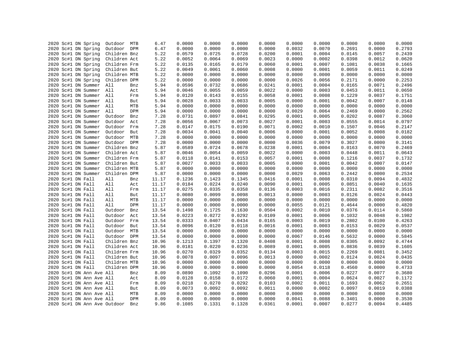|      | 2020 Sc#1 DN Spring          | Outdoor MTB  |     | 6.47  | 0.0000 | 0.0000 | 0.0000 | 0.0000 | 0.0000 | 0.0000 | 0.0000 | 0.0000 | 0.0000 |
|------|------------------------------|--------------|-----|-------|--------|--------|--------|--------|--------|--------|--------|--------|--------|
|      | 2020 Sc#1 DN Spring          | Outdoor DPM  |     | 6.47  | 0.0000 | 0.0000 | 0.0000 | 0.0000 | 0.0032 | 0.0070 | 0.2691 | 0.0000 | 0.2793 |
|      | 2020 Sc#1 DN Spring          | Children Bnz |     | 5.22  | 0.0579 | 0.0725 | 0.0728 | 0.0200 | 0.0001 | 0.0004 | 0.0145 | 0.0057 | 0.2439 |
|      | 2020 Sc#1 DN Spring          | Children Act |     | 5.22  | 0.0052 | 0.0064 | 0.0069 | 0.0023 | 0.0000 | 0.0002 | 0.0398 | 0.0012 | 0.0620 |
|      | 2020 Sc#1 DN Spring          | Children Frm |     | 5.22  | 0.0135 | 0.0165 | 0.0179 | 0.0060 | 0.0001 | 0.0007 | 0.1081 | 0.0038 | 0.1665 |
|      | 2020 Sc#1 DN Spring          | Children But |     | 5.22  | 0.0049 | 0.0061 | 0.0060 | 0.0008 | 0.0000 | 0.0001 | 0.0059 | 0.0011 | 0.0249 |
|      | 2020 Sc#1 DN Spring          | Children MTB |     | 5.22  | 0.0000 | 0.0000 | 0.0000 | 0.0000 | 0.0000 | 0.0000 | 0.0000 | 0.0000 | 0.0000 |
|      | 2020 Sc#1 DN Spring          | Children DPM |     | 5.22  | 0.0000 | 0.0000 | 0.0000 | 0.0000 | 0.0026 | 0.0056 | 0.2171 | 0.0000 | 0.2253 |
|      | 2020 Sc#1 DN Summer          | All          | Bnz | 5.94  | 0.0596 | 0.0732 | 0.0686 | 0.0241 | 0.0001 | 0.0004 | 0.0165 | 0.0071 | 0.2496 |
|      | 2020 Sc#1 DN Summer          | All          | Act | 5.94  | 0.0046 | 0.0055 | 0.0059 | 0.0022 | 0.0000 | 0.0003 | 0.0453 | 0.0011 | 0.0650 |
|      | 2020 Sc#1 DN Summer          | All          | Frm | 5.94  | 0.0120 | 0.0143 | 0.0155 | 0.0058 | 0.0001 | 0.0008 | 0.1229 | 0.0037 | 0.1751 |
|      | 2020 Sc#1 DN Summer All      |              | But | 5.94  | 0.0028 | 0.0033 | 0.0033 | 0.0005 | 0.0000 | 0.0001 | 0.0042 | 0.0007 | 0.0148 |
|      | 2020 Sc#1 DN Summer          | All          | MTB | 5.94  | 0.0000 | 0.0000 | 0.0000 | 0.0000 | 0.0000 | 0.0000 | 0.0000 | 0.0000 | 0.0000 |
|      | 2020 Sc#1 DN Summer          | All          | DPM | 5.94  | 0.0000 | 0.0000 | 0.0000 | 0.0000 | 0.0029 | 0.0064 | 0.2469 | 0.0000 | 0.2562 |
|      | 2020 Sc#1 DN Summer          | Outdoor      | Bnz | 7.28  | 0.0731 | 0.0897 | 0.0841 | 0.0295 | 0.0001 | 0.0005 | 0.0202 | 0.0087 | 0.3060 |
|      | 2020 Sc#1 DN Summer          | Outdoor      | Act | 7.28  | 0.0056 | 0.0067 | 0.0073 | 0.0027 | 0.0001 | 0.0003 | 0.0555 | 0.0014 | 0.0797 |
|      | 2020 Sc#1 DN Summer          | Outdoor      | Frm | 7.28  | 0.0147 | 0.0175 | 0.0190 | 0.0071 | 0.0002 | 0.0010 | 0.1507 | 0.0046 | 0.2147 |
|      | 2020 Sc#1 DN Summer          | Outdoor But  |     | 7.28  | 0.0034 | 0.0041 | 0.0040 | 0.0006 | 0.0000 | 0.0001 | 0.0052 | 0.0008 | 0.0182 |
|      | 2020 Sc#1 DN Summer          | Outdoor      | MTB | 7.28  | 0.0000 | 0.0000 | 0.0000 | 0.0000 | 0.0000 | 0.0000 | 0.0000 | 0.0000 | 0.0000 |
|      | 2020 Sc#1 DN Summer          | Outdoor DPM  |     | 7.28  | 0.0000 | 0.0000 | 0.0000 | 0.0000 | 0.0036 | 0.0079 | 0.3027 | 0.0000 | 0.3141 |
|      | 2020 Sc#1 DN Summer          | Children Bnz |     | 5.87  | 0.0589 | 0.0724 | 0.0678 | 0.0238 | 0.0001 | 0.0004 | 0.0163 | 0.0070 | 0.2469 |
|      | 2020 Sc#1 DN Summer          | Children Act |     | 5.87  | 0.0046 | 0.0054 | 0.0059 | 0.0022 | 0.0000 | 0.0003 | 0.0448 | 0.0011 | 0.0643 |
|      | 2020 Sc#1 DN Summer          | Children Frm |     | 5.87  | 0.0118 | 0.0141 | 0.0153 | 0.0057 | 0.0001 | 0.0008 | 0.1216 | 0.0037 | 0.1732 |
|      | 2020 Sc#1 DN Summer          | Children But |     | 5.87  | 0.0027 | 0.0033 | 0.0033 | 0.0005 | 0.0000 | 0.0001 | 0.0042 | 0.0007 | 0.0147 |
|      | 2020 Sc#1 DN Summer          | Children MTB |     | 5.87  | 0.0000 | 0.0000 | 0.0000 | 0.0000 | 0.0000 | 0.0000 | 0.0000 | 0.0000 | 0.0000 |
|      | 2020 Sc#1 DN Summer          | Children DPM |     | 5.87  | 0.0000 | 0.0000 | 0.0000 | 0.0000 | 0.0029 | 0.0063 | 0.2442 | 0.0000 | 0.2534 |
|      | 2020 Sc#1 DN Fall            | All          | Bnz | 11.17 | 0.1236 | 0.1423 | 0.1345 | 0.0416 | 0.0001 | 0.0008 | 0.0310 | 0.0094 | 0.4832 |
|      | 2020 Sc#1 DN Fall            | All          | Act | 11.17 | 0.0184 | 0.0224 | 0.0240 | 0.0090 | 0.0001 | 0.0005 | 0.0851 | 0.0040 | 0.1635 |
|      | 2020 Sc#1 DN Fall            | All          | Frm | 11.17 | 0.0275 | 0.0335 | 0.0358 | 0.0136 | 0.0003 | 0.0016 | 0.2311 | 0.0082 | 0.3516 |
|      | 2020 Sc#1 DN Fall            | All          | But | 11.17 | 0.0080 | 0.0099 | 0.0098 | 0.0013 | 0.0000 | 0.0003 | 0.0126 | 0.0024 | 0.0443 |
|      | 2020 Sc#1 DN Fall            | All          | MTB | 11.17 | 0.0000 | 0.0000 | 0.0000 | 0.0000 | 0.0000 | 0.0000 | 0.0000 | 0.0000 | 0.0000 |
|      | 2020 Sc#1 DN Fall            | All          | DPM | 11.17 | 0.0000 | 0.0000 | 0.0000 | 0.0000 | 0.0055 | 0.0121 | 0.4644 | 0.0000 | 0.4820 |
|      | 2020 Sc#1 DN Fall            | Outdoor      | Bnz | 13.54 | 0.1498 | 0.1725 | 0.1630 | 0.0504 | 0.0002 | 0.0010 | 0.0376 | 0.0114 | 0.5860 |
|      | 2020 Sc#1 DN Fall            | Outdoor      | Act | 13.54 | 0.0223 | 0.0272 | 0.0292 | 0.0109 | 0.0001 | 0.0006 | 0.1032 | 0.0048 | 0.1982 |
|      | 2020 Sc#1 DN Fall            | Outdoor Frm  |     | 13.54 | 0.0333 | 0.0407 | 0.0434 | 0.0165 | 0.0003 | 0.0019 | 0.2802 | 0.0100 | 0.4263 |
|      | 2020 Sc#1 DN Fall            | Outdoor      | But | 13.54 | 0.0096 | 0.0120 | 0.0118 | 0.0016 | 0.0001 | 0.0003 | 0.0153 | 0.0029 | 0.0537 |
|      | 2020 Sc#1 DN Fall            | Outdoor MTB  |     | 13.54 | 0.0000 | 0.0000 | 0.0000 | 0.0000 | 0.0000 | 0.0000 | 0.0000 | 0.0000 | 0.0000 |
|      | 2020 Sc#1 DN Fall            | Outdoor DPM  |     | 13.54 | 0.0000 | 0.0000 | 0.0000 | 0.0000 | 0.0067 | 0.0146 | 0.5632 | 0.0000 | 0.5845 |
|      | 2020 Sc#1 DN Fall            | Children Bnz |     | 10.96 | 0.1213 | 0.1397 | 0.1320 | 0.0408 | 0.0001 | 0.0008 | 0.0305 | 0.0092 | 0.4744 |
|      | 2020 Sc#1 DN Fall            | Children Act |     | 10.96 | 0.0181 | 0.0220 | 0.0236 | 0.0089 | 0.0001 | 0.0005 | 0.0836 | 0.0039 | 0.1605 |
|      | 2020 Sc#1 DN Fall            | Children Frm |     | 10.96 | 0.0270 | 0.0329 | 0.0352 | 0.0134 | 0.0003 | 0.0015 | 0.2269 | 0.0081 | 0.3452 |
|      | 2020 Sc#1 DN Fall            | Children But |     | 10.96 | 0.0078 | 0.0097 | 0.0096 | 0.0013 | 0.0000 | 0.0002 | 0.0124 | 0.0024 | 0.0435 |
|      | 2020 Sc#1 DN Fall            | Children MTB |     | 10.96 | 0.0000 | 0.0000 | 0.0000 | 0.0000 | 0.0000 | 0.0000 | 0.0000 | 0.0000 | 0.0000 |
|      | 2020 Sc#1 DN Fall            | Children DPM |     | 10.96 | 0.0000 | 0.0000 | 0.0000 | 0.0000 | 0.0054 | 0.0118 | 0.4560 | 0.0000 | 0.4733 |
|      | 2020 Sc#1 DN Ann Ave All     |              | Bnz | 8.09  | 0.0890 | 0.1092 | 0.1090 | 0.0296 | 0.0001 | 0.0006 | 0.0227 | 0.0077 | 0.3680 |
|      | 2020 Sc#1 DN Ann Ave All     |              | Act | 8.09  | 0.0128 | 0.0158 | 0.0172 | 0.0060 | 0.0001 | 0.0004 | 0.0624 | 0.0027 | 0.1172 |
|      | 2020 Sc#1 DN Ann Ave All     |              | Frm | 8.09  | 0.0218 | 0.0270 | 0.0292 | 0.0103 | 0.0002 | 0.0011 | 0.1693 | 0.0062 | 0.2651 |
| 2020 | Sc#1 DN Ann Ave All          |              | But | 8.09  | 0.0073 | 0.0092 | 0.0092 | 0.0011 | 0.0000 | 0.0002 | 0.0097 | 0.0019 | 0.0388 |
|      | 2020 Sc#1 DN Ann Ave All     |              | MTB | 8.09  | 0.0000 | 0.0000 | 0.0000 | 0.0000 | 0.0000 | 0.0000 | 0.0000 | 0.0000 | 0.0000 |
|      | 2020 Sc#1 DN Ann Ave All     |              | DPM | 8.09  | 0.0000 | 0.0000 | 0.0000 | 0.0000 | 0.0041 | 0.0088 | 0.3401 | 0.0000 | 0.3530 |
|      | 2020 Sc#1 DN Ann Ave Outdoor |              | Bnz | 9.86  | 0.1085 | 0.1331 | 0.1328 | 0.0361 | 0.0001 | 0.0007 | 0.0277 | 0.0094 | 0.4485 |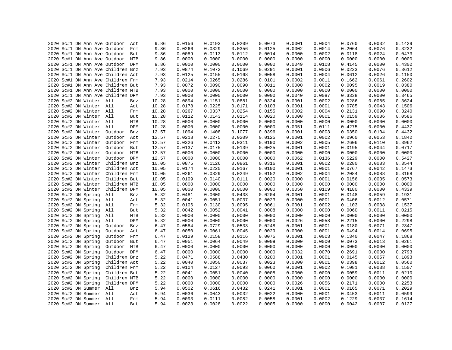|  |  |                         | 2020 Sc#1 DN Ann Ave Outdoor      | Act | 9.86  | 0.0156 | 0.0193 | 0.0209 | 0.0073 | 0.0001 | 0.0004 | 0.0760 | 0.0032 | 0.1429 |
|--|--|-------------------------|-----------------------------------|-----|-------|--------|--------|--------|--------|--------|--------|--------|--------|--------|
|  |  |                         | 2020 Sc#1 DN Ann Ave Outdoor      | Frm | 9.86  | 0.0266 | 0.0329 | 0.0356 | 0.0125 | 0.0002 | 0.0014 | 0.2064 | 0.0076 | 0.3232 |
|  |  |                         | 2020 Sc#1 DN Ann Ave Outdoor But  |     | 9.86  | 0.0089 | 0.0113 | 0.0112 | 0.0014 | 0.0000 | 0.0002 | 0.0118 | 0.0024 | 0.0473 |
|  |  |                         | 2020 Sc#1 DN Ann Ave Outdoor      | MTB | 9.86  | 0.0000 | 0.0000 | 0.0000 | 0.0000 | 0.0000 | 0.0000 | 0.0000 | 0.0000 | 0.0000 |
|  |  |                         | 2020 Sc#1 DN Ann Ave Outdoor DPM  |     | 9.86  | 0.0000 | 0.0000 | 0.0000 | 0.0000 | 0.0049 | 0.0108 | 0.4145 | 0.0000 | 0.4302 |
|  |  |                         | 2020 Sc#1 DN Ann Ave Children Bnz |     | 7.93  | 0.0874 | 0.1072 | 0.1069 | 0.0291 | 0.0001 | 0.0006 | 0.0223 | 0.0076 | 0.3612 |
|  |  |                         | 2020 Sc#1 DN Ann Ave Children Act |     | 7.93  | 0.0125 | 0.0155 | 0.0168 | 0.0058 | 0.0001 | 0.0004 | 0.0612 | 0.0026 | 0.1150 |
|  |  |                         | 2020 Sc#1 DN Ann Ave Children Frm |     | 7.93  | 0.0214 | 0.0265 | 0.0286 | 0.0101 | 0.0002 | 0.0011 | 0.1662 | 0.0061 | 0.2602 |
|  |  |                         | 2020 Sc#1 DN Ann Ave Children But |     | 7.93  | 0.0072 | 0.0090 | 0.0090 | 0.0011 | 0.0000 | 0.0002 | 0.0095 | 0.0019 | 0.0380 |
|  |  |                         | 2020 Sc#1 DN Ann Ave Children MTB |     | 7.93  | 0.0000 | 0.0000 | 0.0000 | 0.0000 | 0.0000 | 0.0000 | 0.0000 | 0.0000 | 0.0000 |
|  |  |                         | 2020 Sc#1 DN Ann Ave Children DPM |     | 7.93  | 0.0000 | 0.0000 | 0.0000 | 0.0000 | 0.0040 | 0.0087 | 0.3338 | 0.0000 | 0.3465 |
|  |  | 2020 Sc#2 DN Winter All |                                   | Bnz | 10.28 | 0.0894 | 0.1151 | 0.0881 | 0.0324 | 0.0001 | 0.0002 | 0.0286 | 0.0085 | 0.3624 |
|  |  | 2020 Sc#2 DN Winter All |                                   | Act | 10.28 | 0.0178 | 0.0225 | 0.0171 | 0.0103 | 0.0001 | 0.0001 | 0.0785 | 0.0043 | 0.1506 |
|  |  | 2020 Sc#2 DN Winter All |                                   | Frm | 10.28 | 0.0267 | 0.0337 | 0.0254 | 0.0155 | 0.0002 | 0.0004 | 0.2131 | 0.0090 | 0.3240 |
|  |  | 2020 Sc#2 DN Winter All |                                   | But | 10.28 | 0.0112 | 0.0143 | 0.0114 | 0.0020 | 0.0000 | 0.0001 | 0.0159 | 0.0036 | 0.0586 |
|  |  | 2020 Sc#2 DN Winter All |                                   | MTB | 10.28 | 0.0000 | 0.0000 | 0.0000 | 0.0000 | 0.0000 | 0.0000 | 0.0000 | 0.0000 | 0.0000 |
|  |  | 2020 Sc#2 DN Winter All |                                   | DPM | 10.28 | 0.0000 | 0.0000 | 0.0000 | 0.0000 | 0.0051 | 0.0111 | 0.4275 | 0.0000 | 0.4437 |
|  |  | 2020 Sc#2 DN Winter     | Outdoor                           | Bnz | 12.57 | 0.1094 | 0.1408 | 0.1077 | 0.0396 | 0.0001 | 0.0003 | 0.0350 | 0.0104 | 0.4432 |
|  |  | 2020 Sc#2 DN Winter     | Outdoor Act                       |     | 12.57 | 0.0218 | 0.0275 | 0.0209 | 0.0125 | 0.0001 | 0.0002 | 0.0960 | 0.0053 | 0.1842 |
|  |  | 2020 Sc#2 DN Winter     | Outdoor Frm                       |     | 12.57 | 0.0326 | 0.0412 | 0.0311 | 0.0190 | 0.0002 | 0.0005 | 0.2606 | 0.0110 | 0.3962 |
|  |  | 2020 Sc#2 DN Winter     | Outdoor But                       |     | 12.57 | 0.0137 | 0.0175 | 0.0139 | 0.0025 | 0.0001 | 0.0001 | 0.0195 | 0.0044 | 0.0717 |
|  |  | 2020 Sc#2 DN Winter     | Outdoor MTB                       |     | 12.57 | 0.0000 | 0.0000 | 0.0000 | 0.0000 | 0.0000 | 0.0000 | 0.0000 | 0.0000 | 0.0000 |
|  |  | 2020 Sc#2 DN Winter     | Outdoor DPM                       |     | 12.57 | 0.0000 | 0.0000 | 0.0000 | 0.0000 | 0.0062 | 0.0136 | 0.5229 | 0.0000 | 0.5427 |
|  |  | 2020 Sc#2 DN Winter     | Children Bnz                      |     | 10.05 | 0.0875 | 0.1126 | 0.0861 | 0.0316 | 0.0001 | 0.0002 | 0.0280 | 0.0083 | 0.3544 |
|  |  |                         |                                   |     |       |        |        |        |        |        |        |        |        |        |
|  |  | 2020 Sc#2 DN Winter     | Children Act                      |     | 10.05 | 0.0174 | 0.0220 | 0.0167 | 0.0100 | 0.0001 | 0.0001 | 0.0767 | 0.0042 | 0.1473 |
|  |  | 2020 Sc#2 DN Winter     | Children Frm                      |     | 10.05 | 0.0261 | 0.0329 | 0.0249 | 0.0152 | 0.0002 | 0.0004 | 0.2084 | 0.0088 | 0.3168 |
|  |  | 2020 Sc#2 DN Winter     | Children But                      |     | 10.05 | 0.0109 | 0.0140 | 0.0111 | 0.0020 | 0.0000 | 0.0001 | 0.0156 | 0.0035 | 0.0573 |
|  |  | 2020 Sc#2 DN Winter     | Children MTB                      |     | 10.05 | 0.0000 | 0.0000 | 0.0000 | 0.0000 | 0.0000 | 0.0000 | 0.0000 | 0.0000 | 0.0000 |
|  |  | 2020 Sc#2 DN Winter     | Children DPM                      |     | 10.05 | 0.0000 | 0.0000 | 0.0000 | 0.0000 | 0.0050 | 0.0109 | 0.4180 | 0.0000 | 0.4339 |
|  |  | 2020 Sc#2 DN Spring     | All                               | Bnz | 5.32  | 0.0481 | 0.0600 | 0.0438 | 0.0204 | 0.0001 | 0.0001 | 0.0148 | 0.0059 | 0.1931 |
|  |  | 2020 Sc#2 DN Spring     | All                               | Act | 5.32  | 0.0041 | 0.0051 | 0.0037 | 0.0023 | 0.0000 | 0.0001 | 0.0406 | 0.0012 | 0.0571 |
|  |  | 2020 Sc#2 DN Spring     | All                               | Frm | 5.32  | 0.0106 | 0.0130 | 0.0095 | 0.0061 | 0.0001 | 0.0002 | 0.1103 | 0.0038 | 0.1537 |
|  |  | 2020 Sc#2 DN Spring     | All                               | But | 5.32  | 0.0042 | 0.0052 | 0.0041 | 0.0008 | 0.0000 | 0.0000 | 0.0060 | 0.0011 | 0.0215 |
|  |  | 2020 Sc#2 DN Spring     | All                               | MTB | 5.32  | 0.0000 | 0.0000 | 0.0000 | 0.0000 | 0.0000 | 0.0000 | 0.0000 | 0.0000 | 0.0000 |
|  |  | 2020 Sc#2 DN Spring     | All                               | DPM | 5.32  | 0.0000 | 0.0000 | 0.0000 | 0.0000 | 0.0026 | 0.0058 | 0.2215 | 0.0000 | 0.2298 |
|  |  | 2020 Sc#2 DN Spring     | Outdoor                           | Bnz | 6.47  | 0.0584 | 0.0729 | 0.0533 | 0.0248 | 0.0001 | 0.0001 | 0.0180 | 0.0071 | 0.2347 |
|  |  | 2020 Sc#2 DN Spring     | Outdoor                           | Act | 6.47  | 0.0050 | 0.0061 | 0.0045 | 0.0029 | 0.0000 | 0.0001 | 0.0494 | 0.0014 | 0.0695 |
|  |  | 2020 Sc#2 DN Spring     | Outdoor                           | Frm | 6.47  | 0.0129 | 0.0158 | 0.0116 | 0.0075 | 0.0001 | 0.0003 | 0.1340 | 0.0047 | 0.1868 |
|  |  | 2020 Sc#2 DN Spring     | Outdoor But                       |     | 6.47  | 0.0051 | 0.0064 | 0.0049 | 0.0009 | 0.0000 | 0.0000 | 0.0073 | 0.0013 | 0.0261 |
|  |  | 2020 Sc#2 DN Spring     | Outdoor MTB                       |     | 6.47  | 0.0000 | 0.0000 | 0.0000 | 0.0000 | 0.0000 | 0.0000 | 0.0000 | 0.0000 | 0.0000 |
|  |  | 2020 Sc#2 DN Spring     | Outdoor DPM                       |     | 6.47  | 0.0000 | 0.0000 | 0.0000 | 0.0000 | 0.0032 | 0.0070 | 0.2691 | 0.0000 | 0.2793 |
|  |  | 2020 Sc#2 DN Spring     | Children Bnz                      |     | 5.22  | 0.0471 | 0.0588 | 0.0430 | 0.0200 | 0.0001 | 0.0001 | 0.0145 | 0.0057 | 0.1893 |
|  |  | 2020 Sc#2 DN Spring     | Children Act                      |     | 5.22  | 0.0040 | 0.0050 | 0.0037 | 0.0023 | 0.0000 | 0.0001 | 0.0398 | 0.0012 | 0.0560 |
|  |  | 2020 Sc#2 DN Spring     | Children Frm                      |     | 5.22  | 0.0104 | 0.0127 | 0.0093 | 0.0060 | 0.0001 | 0.0002 | 0.1081 | 0.0038 | 0.1507 |
|  |  | 2020 Sc#2 DN Spring     | Children But                      |     | 5.22  | 0.0041 | 0.0051 | 0.0040 | 0.0008 | 0.0000 | 0.0000 | 0.0059 | 0.0011 | 0.0210 |
|  |  | 2020 Sc#2 DN Spring     | Children MTB                      |     | 5.22  | 0.0000 | 0.0000 | 0.0000 | 0.0000 | 0.0000 | 0.0000 | 0.0000 | 0.0000 | 0.0000 |
|  |  | 2020 Sc#2 DN Spring     | Children DPM                      |     | 5.22  | 0.0000 | 0.0000 | 0.0000 | 0.0000 | 0.0026 | 0.0056 | 0.2171 | 0.0000 | 0.2253 |
|  |  | 2020 Sc#2 DN Summer     | All                               | Bnz | 5.94  | 0.0502 | 0.0616 | 0.0432 | 0.0241 | 0.0001 | 0.0001 | 0.0165 | 0.0071 | 0.2029 |
|  |  | 2020 Sc#2 DN Summer All |                                   | Act | 5.94  | 0.0036 | 0.0043 | 0.0032 | 0.0022 | 0.0000 | 0.0001 | 0.0453 | 0.0011 | 0.0599 |
|  |  | 2020 Sc#2 DN Summer All |                                   | Frm | 5.94  | 0.0093 | 0.0111 | 0.0082 | 0.0058 | 0.0001 | 0.0002 | 0.1229 | 0.0037 | 0.1614 |
|  |  | 2020 Sc#2 DN Summer All |                                   | But | 5.94  | 0.0023 | 0.0028 | 0.0022 | 0.0005 | 0.0000 | 0.0000 | 0.0042 | 0.0007 | 0.0127 |
|  |  |                         |                                   |     |       |        |        |        |        |        |        |        |        |        |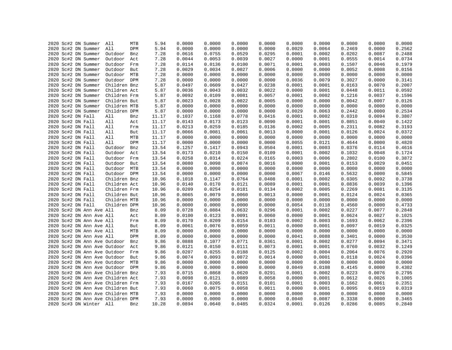|  | 2020 Sc#2 DN Summer               | All          | MTB | 5.94  | 0.0000 | 0.0000 | 0.0000 | 0.0000 | 0.0000 | 0.0000 | 0.0000 | 0.0000 | 0.0000 |
|--|-----------------------------------|--------------|-----|-------|--------|--------|--------|--------|--------|--------|--------|--------|--------|
|  | 2020 Sc#2 DN Summer               | All          | DPM | 5.94  | 0.0000 | 0.0000 | 0.0000 | 0.0000 | 0.0029 | 0.0064 | 0.2469 | 0.0000 | 0.2562 |
|  | 2020 Sc#2 DN Summer               | Outdoor      | Bnz | 7.28  | 0.0616 | 0.0755 | 0.0529 | 0.0295 | 0.0001 | 0.0002 | 0.0202 | 0.0087 | 0.2488 |
|  | 2020 Sc#2 DN Summer               | Outdoor      | Act | 7.28  | 0.0044 | 0.0053 | 0.0039 | 0.0027 | 0.0000 | 0.0001 | 0.0555 | 0.0014 | 0.0734 |
|  | 2020 Sc#2 DN Summer               | Outdoor      | Frm | 7.28  | 0.0114 | 0.0136 | 0.0100 | 0.0071 | 0.0001 | 0.0003 | 0.1507 | 0.0046 | 0.1979 |
|  | 2020 Sc#2 DN Summer               | Outdoor      | But | 7.28  | 0.0029 | 0.0034 | 0.0027 | 0.0006 | 0.0000 | 0.0000 | 0.0052 | 0.0008 | 0.0156 |
|  | 2020 Sc#2 DN Summer               | Outdoor MTB  |     | 7.28  | 0.0000 | 0.0000 | 0.0000 | 0.0000 | 0.0000 | 0.0000 | 0.0000 | 0.0000 | 0.0000 |
|  | 2020 Sc#2 DN Summer               | Outdoor DPM  |     | 7.28  | 0.0000 | 0.0000 | 0.0000 | 0.0000 | 0.0036 | 0.0079 | 0.3027 | 0.0000 | 0.3141 |
|  | 2020 Sc#2 DN Summer               | Children Bnz |     | 5.87  | 0.0497 | 0.0609 | 0.0427 | 0.0238 | 0.0001 | 0.0001 | 0.0163 | 0.0070 | 0.2007 |
|  | 2020 Sc#2 DN Summer               | Children Act |     | 5.87  | 0.0036 | 0.0043 | 0.0032 | 0.0022 | 0.0000 | 0.0001 | 0.0448 | 0.0011 | 0.0592 |
|  | 2020 Sc#2 DN Summer               | Children Frm |     | 5.87  | 0.0092 | 0.0109 | 0.0081 | 0.0057 | 0.0001 | 0.0002 | 0.1216 | 0.0037 | 0.1596 |
|  | 2020 Sc#2 DN Summer               | Children But |     | 5.87  | 0.0023 | 0.0028 | 0.0022 | 0.0005 | 0.0000 | 0.0000 | 0.0042 | 0.0007 | 0.0126 |
|  | 2020 Sc#2 DN Summer               | Children MTB |     | 5.87  | 0.0000 | 0.0000 | 0.0000 | 0.0000 | 0.0000 | 0.0000 | 0.0000 | 0.0000 | 0.0000 |
|  | 2020 Sc#2 DN Summer               | Children DPM |     | 5.87  | 0.0000 | 0.0000 | 0.0000 | 0.0000 | 0.0029 | 0.0063 | 0.2442 | 0.0000 | 0.2534 |
|  | 2020 Sc#2 DN Fall                 | All          | Bnz | 11.17 | 0.1037 | 0.1168 | 0.0778 | 0.0416 | 0.0001 | 0.0002 | 0.0310 | 0.0094 | 0.3807 |
|  | 2020 Sc#2 DN Fall                 | All          | Act | 11.17 | 0.0143 | 0.0173 | 0.0123 | 0.0090 | 0.0001 | 0.0001 | 0.0851 | 0.0040 | 0.1422 |
|  | 2020 Sc#2 DN Fall                 | All          | Frm | 11.17 | 0.0213 | 0.0259 | 0.0185 | 0.0136 | 0.0002 | 0.0005 | 0.2311 | 0.0082 | 0.3193 |
|  | 2020 Sc#2 DN Fall                 | All          | But | 11.17 | 0.0066 | 0.0081 | 0.0061 | 0.0013 | 0.0000 | 0.0001 | 0.0126 | 0.0024 | 0.0372 |
|  | 2020 Sc#2 DN Fall                 | All          | MTB | 11.17 | 0.0000 | 0.0000 | 0.0000 | 0.0000 | 0.0000 | 0.0000 | 0.0000 | 0.0000 | 0.0000 |
|  | 2020 Sc#2 DN Fall                 | All          | DPM | 11.17 | 0.0000 | 0.0000 | 0.0000 | 0.0000 | 0.0055 | 0.0121 | 0.4644 | 0.0000 | 0.4820 |
|  | 2020 Sc#2 DN Fall                 | Outdoor      | Bnz | 13.54 | 0.1257 | 0.1417 | 0.0943 | 0.0504 | 0.0001 | 0.0003 | 0.0376 | 0.0114 | 0.4616 |
|  |                                   |              |     |       | 0.0173 | 0.0210 | 0.0150 | 0.0109 | 0.0001 | 0.0002 |        | 0.0048 | 0.1724 |
|  | 2020 Sc#2 DN Fall                 | Outdoor      | Act | 13.54 | 0.0258 |        |        |        | 0.0003 | 0.0006 | 0.1032 |        |        |
|  | 2020 Sc#2 DN Fall                 | Outdoor      | Frm | 13.54 |        | 0.0314 | 0.0224 | 0.0165 |        |        | 0.2802 | 0.0100 | 0.3872 |
|  | 2020 Sc#2 DN Fall                 | Outdoor But  |     | 13.54 | 0.0080 | 0.0098 | 0.0074 | 0.0016 | 0.0000 | 0.0001 | 0.0153 | 0.0029 | 0.0451 |
|  | 2020 Sc#2 DN Fall                 | Outdoor MTB  |     | 13.54 | 0.0000 | 0.0000 | 0.0000 | 0.0000 | 0.0000 | 0.0000 | 0.0000 | 0.0000 | 0.0000 |
|  | 2020 Sc#2 DN Fall                 | Outdoor DPM  |     | 13.54 | 0.0000 | 0.0000 | 0.0000 | 0.0000 | 0.0067 | 0.0146 | 0.5632 | 0.0000 | 0.5845 |
|  | 2020 Sc#2 DN Fall                 | Children Bnz |     | 10.96 | 0.1018 | 0.1147 | 0.0764 | 0.0408 | 0.0001 | 0.0002 | 0.0305 | 0.0092 | 0.3738 |
|  | 2020 Sc#2 DN Fall                 | Children Act |     | 10.96 | 0.0140 | 0.0170 | 0.0121 | 0.0089 | 0.0001 | 0.0001 | 0.0836 | 0.0039 | 0.1396 |
|  | 2020 Sc#2 DN Fall                 | Children Frm |     | 10.96 | 0.0209 | 0.0254 | 0.0181 | 0.0134 | 0.0002 | 0.0005 | 0.2269 | 0.0081 | 0.3135 |
|  | 2020 Sc#2 DN Fall                 | Children But |     | 10.96 | 0.0065 | 0.0079 | 0.0060 | 0.0013 | 0.0000 | 0.0001 | 0.0124 | 0.0024 | 0.0365 |
|  | 2020 Sc#2 DN Fall                 | Children MTB |     | 10.96 | 0.0000 | 0.0000 | 0.0000 | 0.0000 | 0.0000 | 0.0000 | 0.0000 | 0.0000 | 0.0000 |
|  | 2020 Sc#2 DN Fall                 | Children DPM |     | 10.96 | 0.0000 | 0.0000 | 0.0000 | 0.0000 | 0.0054 | 0.0118 | 0.4560 | 0.0000 | 0.4733 |
|  | 2020 Sc#2 DN Ann Ave All          |              | Bnz | 8.09  | 0.0728 | 0.0884 | 0.0632 | 0.0296 | 0.0001 | 0.0002 | 0.0227 | 0.0077 | 0.2848 |
|  | 2020 Sc#2 DN Ann Ave All          |              | Act | 8.09  | 0.0100 | 0.0123 | 0.0091 | 0.0060 | 0.0000 | 0.0001 | 0.0624 | 0.0027 | 0.1025 |
|  | 2020 Sc#2 DN Ann Ave All          |              | Frm | 8.09  | 0.0170 | 0.0209 | 0.0154 | 0.0103 | 0.0002 | 0.0003 | 0.1693 | 0.0062 | 0.2396 |
|  | 2020 Sc#2 DN Ann Ave All          |              | But | 8.09  | 0.0061 | 0.0076 | 0.0059 | 0.0011 | 0.0000 | 0.0001 | 0.0097 | 0.0019 | 0.0325 |
|  | 2020 Sc#2 DN Ann Ave All          |              | MTB | 8.09  | 0.0000 | 0.0000 | 0.0000 | 0.0000 | 0.0000 | 0.0000 | 0.0000 | 0.0000 | 0.0000 |
|  | 2020 Sc#2 DN Ann Ave All          |              | DPM | 8.09  | 0.0000 | 0.0000 | 0.0000 | 0.0000 | 0.0041 | 0.0088 | 0.3401 | 0.0000 | 0.3530 |
|  | 2020 Sc#2 DN Ann Ave Outdoor      |              | Bnz | 9.86  | 0.0888 | 0.1077 | 0.0771 | 0.0361 | 0.0001 | 0.0002 | 0.0277 | 0.0094 | 0.3471 |
|  | 2020 Sc#2 DN Ann Ave Outdoor      |              | Act | 9.86  | 0.0121 | 0.0150 | 0.0111 | 0.0073 | 0.0001 | 0.0001 | 0.0760 | 0.0032 | 0.1249 |
|  | 2020 Sc#2 DN Ann Ave Outdoor      |              | Frm | 9.86  | 0.0207 | 0.0255 | 0.0188 | 0.0125 | 0.0002 | 0.0004 | 0.2064 | 0.0076 | 0.2920 |
|  | 2020 Sc#2 DN Ann Ave Outdoor      |              | But | 9.86  | 0.0074 | 0.0093 | 0.0072 | 0.0014 | 0.0000 | 0.0001 | 0.0118 | 0.0024 | 0.0396 |
|  | 2020 Sc#2 DN Ann Ave Outdoor MTB  |              |     | 9.86  | 0.0000 | 0.0000 | 0.0000 | 0.0000 | 0.0000 | 0.0000 | 0.0000 | 0.0000 | 0.0000 |
|  | 2020 Sc#2 DN Ann Ave Outdoor DPM  |              |     | 9.86  | 0.0000 | 0.0000 | 0.0000 | 0.0000 | 0.0049 | 0.0108 | 0.4145 | 0.0000 | 0.4302 |
|  | 2020 Sc#2 DN Ann Ave Children Bnz |              |     | 7.93  | 0.0715 | 0.0868 | 0.0620 | 0.0291 | 0.0001 | 0.0002 | 0.0223 | 0.0076 | 0.2795 |
|  | 2020 Sc#2 DN Ann Ave Children Act |              |     | 7.93  | 0.0098 | 0.0121 | 0.0089 | 0.0058 | 0.0000 | 0.0001 | 0.0612 | 0.0026 | 0.1005 |
|  | 2020 Sc#2 DN Ann Ave Children Frm |              |     | 7.93  | 0.0167 | 0.0205 | 0.0151 | 0.0101 | 0.0001 | 0.0003 | 0.1662 | 0.0061 | 0.2351 |
|  | 2020 Sc#2 DN Ann Ave Children But |              |     | 7.93  | 0.0060 | 0.0075 | 0.0058 | 0.0011 | 0.0000 | 0.0001 | 0.0095 | 0.0019 | 0.0319 |
|  | 2020 Sc#2 DN Ann Ave Children MTB |              |     | 7.93  | 0.0000 | 0.0000 | 0.0000 | 0.0000 | 0.0000 | 0.0000 | 0.0000 | 0.0000 | 0.0000 |
|  | 2020 Sc#2 DN Ann Ave Children DPM |              |     | 7.93  | 0.0000 | 0.0000 | 0.0000 | 0.0000 | 0.0040 | 0.0087 | 0.3338 | 0.0000 | 0.3465 |
|  | 2020 Sc#3 DN Winter All           |              | Bnz | 10.28 | 0.0894 | 0.0640 | 0.0485 | 0.0324 | 0.0001 | 0.0126 | 0.0286 | 0.0085 | 0.2840 |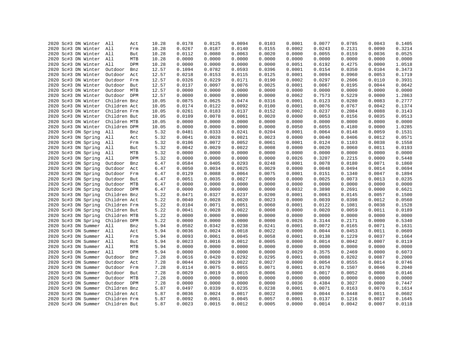|  | 2020 Sc#3 DN Winter     | All          | Act | 10.28 | 0.0178 | 0.0125 | 0.0094 | 0.0103 | 0.0001 | 0.0077 | 0.0785 | 0.0043 | 0.1405 |
|--|-------------------------|--------------|-----|-------|--------|--------|--------|--------|--------|--------|--------|--------|--------|
|  | 2020 Sc#3 DN Winter     | All          | Frm | 10.28 | 0.0267 | 0.0187 | 0.0140 | 0.0155 | 0.0002 | 0.0243 | 0.2131 | 0.0090 | 0.3214 |
|  |                         |              |     |       |        |        | 0.0063 |        |        | 0.0055 | 0.0159 | 0.0036 | 0.0525 |
|  | 2020 Sc#3 DN Winter All |              | But | 10.28 | 0.0112 | 0.0080 |        | 0.0020 | 0.0000 |        |        |        | 0.0000 |
|  | 2020 Sc#3 DN Winter     | All          | MTB | 10.28 | 0.0000 | 0.0000 | 0.0000 | 0.0000 | 0.0000 | 0.0000 | 0.0000 | 0.0000 |        |
|  | 2020 Sc#3 DN Winter All |              | DPM | 10.28 | 0.0000 | 0.0000 | 0.0000 | 0.0000 | 0.0051 | 0.6192 | 0.4275 | 0.0000 | 1.0518 |
|  | 2020 Sc#3 DN Winter     | Outdoor      | Bnz | 12.57 | 0.1094 | 0.0782 | 0.0593 | 0.0396 | 0.0001 | 0.0154 | 0.0350 | 0.0104 | 0.3473 |
|  | 2020 Sc#3 DN Winter     | Outdoor Act  |     | 12.57 | 0.0218 | 0.0153 | 0.0115 | 0.0125 | 0.0001 | 0.0094 | 0.0960 | 0.0053 | 0.1719 |
|  | 2020 Sc#3 DN Winter     | Outdoor Frm  |     | 12.57 | 0.0326 | 0.0229 | 0.0171 | 0.0190 | 0.0002 | 0.0297 | 0.2606 | 0.0110 | 0.3931 |
|  | 2020 Sc#3 DN Winter     | Outdoor But  |     | 12.57 | 0.0137 | 0.0097 | 0.0076 | 0.0025 | 0.0001 | 0.0067 | 0.0195 | 0.0044 | 0.0642 |
|  | 2020 Sc#3 DN Winter     | Outdoor MTB  |     | 12.57 | 0.0000 | 0.0000 | 0.0000 | 0.0000 | 0.0000 | 0.0000 | 0.0000 | 0.0000 | 0.0000 |
|  | 2020 Sc#3 DN Winter     | Outdoor DPM  |     | 12.57 | 0.0000 | 0.0000 | 0.0000 | 0.0000 | 0.0062 | 0.7573 | 0.5229 | 0.0000 | 1.2863 |
|  | 2020 Sc#3 DN Winter     | Children Bnz |     | 10.05 | 0.0875 | 0.0625 | 0.0474 | 0.0316 | 0.0001 | 0.0123 | 0.0280 | 0.0083 | 0.2777 |
|  | 2020 Sc#3 DN Winter     | Children Act |     | 10.05 | 0.0174 | 0.0122 | 0.0092 | 0.0100 | 0.0001 | 0.0076 | 0.0767 | 0.0042 | 0.1374 |
|  | 2020 Sc#3 DN Winter     | Children Frm |     | 10.05 | 0.0261 | 0.0183 | 0.0137 | 0.0152 | 0.0002 | 0.0237 | 0.2084 | 0.0088 | 0.3143 |
|  | 2020 Sc#3 DN Winter     | Children But |     | 10.05 | 0.0109 | 0.0078 | 0.0061 | 0.0020 | 0.0000 | 0.0053 | 0.0156 | 0.0035 | 0.0513 |
|  | 2020 Sc#3 DN Winter     | Children MTB |     | 10.05 | 0.0000 | 0.0000 | 0.0000 | 0.0000 | 0.0000 | 0.0000 | 0.0000 | 0.0000 | 0.0000 |
|  | 2020 Sc#3 DN Winter     | Children DPM |     | 10.05 | 0.0000 | 0.0000 | 0.0000 | 0.0000 | 0.0050 | 0.6055 | 0.4180 | 0.0000 | 1.0285 |
|  | 2020 Sc#3 DN Spring     | All          | Bnz | 5.32  | 0.0481 | 0.0333 | 0.0241 | 0.0204 | 0.0001 | 0.0064 | 0.0148 | 0.0059 | 0.1531 |
|  | 2020 Sc#3 DN Spring     | All          | Act | 5.32  | 0.0041 | 0.0028 | 0.0021 | 0.0023 | 0.0000 | 0.0040 | 0.0406 | 0.0012 | 0.0571 |
|  | 2020 Sc#3 DN Spring     | All          | Frm | 5.32  | 0.0106 | 0.0072 | 0.0052 | 0.0061 | 0.0001 | 0.0124 | 0.1103 | 0.0038 | 0.1558 |
|  | 2020 Sc#3 DN Spring     | All          | But | 5.32  | 0.0042 | 0.0029 | 0.0022 | 0.0008 | 0.0000 | 0.0020 | 0.0060 | 0.0011 | 0.0193 |
|  | 2020 Sc#3 DN Spring     | All          | MTB | 5.32  | 0.0000 | 0.0000 | 0.0000 | 0.0000 | 0.0000 | 0.0000 | 0.0000 | 0.0000 | 0.0000 |
|  | 2020 Sc#3 DN Spring     | All          | DPM | 5.32  | 0.0000 | 0.0000 | 0.0000 | 0.0000 | 0.0026 | 0.3207 | 0.2215 | 0.0000 | 0.5448 |
|  | 2020 Sc#3 DN Spring     | Outdoor      | Bnz | 6.47  | 0.0584 | 0.0405 | 0.0293 | 0.0248 | 0.0001 | 0.0078 | 0.0180 | 0.0071 | 0.1860 |
|  | 2020 Sc#3 DN Spring     | Outdoor      | Act | 6.47  | 0.0050 | 0.0034 | 0.0025 | 0.0029 | 0.0000 | 0.0048 | 0.0494 | 0.0014 | 0.0694 |
|  | 2020 Sc#3 DN Spring     | Outdoor      | Frm | 6.47  | 0.0129 | 0.0088 | 0.0064 | 0.0075 | 0.0001 | 0.0151 | 0.1340 | 0.0047 | 0.1894 |
|  | 2020 Sc#3 DN Spring     | Outdoor      | But | 6.47  | 0.0051 | 0.0035 | 0.0027 | 0.0009 | 0.0000 | 0.0025 | 0.0073 | 0.0013 | 0.0235 |
|  | 2020 Sc#3 DN Spring     | Outdoor MTB  |     | 6.47  | 0.0000 | 0.0000 | 0.0000 | 0.0000 | 0.0000 | 0.0000 | 0.0000 | 0.0000 | 0.0000 |
|  | 2020 Sc#3 DN Spring     | Outdoor DPM  |     | 6.47  | 0.0000 | 0.0000 | 0.0000 | 0.0000 | 0.0032 | 0.3898 | 0.2691 | 0.0000 | 0.6621 |
|  | 2020 Sc#3 DN Spring     | Children Bnz |     | 5.22  | 0.0471 | 0.0327 | 0.0237 | 0.0200 | 0.0001 | 0.0063 | 0.0145 | 0.0057 | 0.1500 |
|  | 2020 Sc#3 DN Spring     | Children Act |     | 5.22  | 0.0040 | 0.0028 | 0.0020 | 0.0023 | 0.0000 | 0.0039 | 0.0398 | 0.0012 | 0.0560 |
|  | 2020 Sc#3 DN Spring     | Children Frm |     | 5.22  | 0.0104 | 0.0071 | 0.0051 | 0.0060 | 0.0001 | 0.0122 | 0.1081 | 0.0038 | 0.1528 |
|  | 2020 Sc#3 DN Spring     | Children But |     | 5.22  | 0.0041 | 0.0028 | 0.0022 | 0.0008 | 0.0000 | 0.0020 | 0.0059 | 0.0011 | 0.0189 |
|  | 2020 Sc#3 DN Spring     | Children MTB |     | 5.22  | 0.0000 | 0.0000 | 0.0000 | 0.0000 | 0.0000 | 0.0000 | 0.0000 | 0.0000 | 0.0000 |
|  | 2020 Sc#3 DN Spring     | Children DPM |     | 5.22  | 0.0000 | 0.0000 | 0.0000 | 0.0000 | 0.0026 | 0.3144 | 0.2171 | 0.0000 | 0.5340 |
|  | 2020 Sc#3 DN Summer     | All          | Bnz | 5.94  | 0.0502 | 0.0342 | 0.0238 | 0.0241 | 0.0001 | 0.0072 | 0.0165 | 0.0071 | 0.1631 |
|  | 2020 Sc#3 DN Summer     | All          | Act | 5.94  | 0.0036 | 0.0024 | 0.0018 | 0.0022 | 0.0000 | 0.0044 | 0.0453 | 0.0011 | 0.0609 |
|  | 2020 Sc#3 DN Summer     | All          | Frm | 5.94  | 0.0093 | 0.0061 | 0.0045 | 0.0058 | 0.0001 | 0.0138 | 0.1229 | 0.0037 | 0.1664 |
|  | 2020 Sc#3 DN Summer All |              | But | 5.94  | 0.0023 | 0.0016 | 0.0012 | 0.0005 | 0.0000 | 0.0014 | 0.0042 | 0.0007 | 0.0119 |
|  | 2020 Sc#3 DN Summer     | All          | MTB | 5.94  | 0.0000 | 0.0000 | 0.0000 | 0.0000 | 0.0000 | 0.0000 | 0.0000 | 0.0000 | 0.0000 |
|  |                         | All          | DPM |       |        |        |        |        |        | 0.3575 |        |        | 0.6073 |
|  | 2020 Sc#3 DN Summer     |              |     | 5.94  | 0.0000 | 0.0000 | 0.0000 | 0.0000 | 0.0029 |        | 0.2469 | 0.0000 |        |
|  | 2020 Sc#3 DN Summer     | Outdoor      | Bnz | 7.28  | 0.0616 | 0.0420 | 0.0292 | 0.0295 | 0.0001 | 0.0088 | 0.0202 | 0.0087 | 0.2000 |
|  | 2020 Sc#3 DN Summer     | Outdoor      | Act | 7.28  | 0.0044 | 0.0029 | 0.0022 | 0.0027 | 0.0000 | 0.0054 | 0.0555 | 0.0014 | 0.0746 |
|  | 2020 Sc#3 DN Summer     | Outdoor Frm  |     | 7.28  | 0.0114 | 0.0075 | 0.0055 | 0.0071 | 0.0001 | 0.0170 | 0.1507 | 0.0046 | 0.2040 |
|  | 2020 Sc#3 DN Summer     | Outdoor But  |     | 7.28  | 0.0029 | 0.0019 | 0.0015 | 0.0006 | 0.0000 | 0.0017 | 0.0052 | 0.0008 | 0.0146 |
|  | 2020 Sc#3 DN Summer     | Outdoor MTB  |     | 7.28  | 0.0000 | 0.0000 | 0.0000 | 0.0000 | 0.0000 | 0.0000 | 0.0000 | 0.0000 | 0.0000 |
|  | 2020 Sc#3 DN Summer     | Outdoor DPM  |     | 7.28  | 0.0000 | 0.0000 | 0.0000 | 0.0000 | 0.0036 | 0.4384 | 0.3027 | 0.0000 | 0.7447 |
|  | 2020 Sc#3 DN Summer     | Children Bnz |     | 5.87  | 0.0497 | 0.0339 | 0.0235 | 0.0238 | 0.0001 | 0.0071 | 0.0163 | 0.0070 | 0.1614 |
|  | 2020 Sc#3 DN Summer     | Children Act |     | 5.87  | 0.0036 | 0.0024 | 0.0017 | 0.0022 | 0.0000 | 0.0044 | 0.0448 | 0.0011 | 0.0602 |
|  | 2020 Sc#3 DN Summer     | Children Frm |     | 5.87  | 0.0092 | 0.0061 | 0.0045 | 0.0057 | 0.0001 | 0.0137 | 0.1216 | 0.0037 | 0.1645 |
|  | 2020 Sc#3 DN Summer     | Children But |     | 5.87  | 0.0023 | 0.0015 | 0.0012 | 0.0005 | 0.0000 | 0.0014 | 0.0042 | 0.0007 | 0.0118 |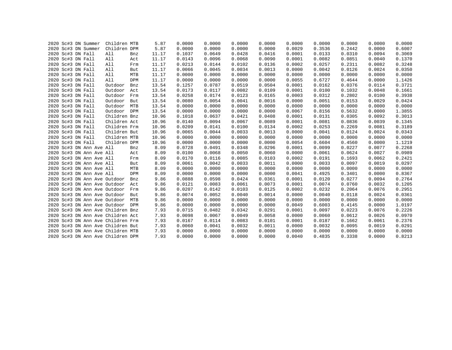|  | 2020 Sc#3 DN Summer               | Children MTB |     | 5.87  | 0.0000 | 0.0000 | 0.0000 | 0.0000 | 0.0000 | 0.0000 | 0.0000 | 0.0000 | 0.0000 |
|--|-----------------------------------|--------------|-----|-------|--------|--------|--------|--------|--------|--------|--------|--------|--------|
|  | 2020 Sc#3 DN Summer               | Children DPM |     | 5.87  | 0.0000 | 0.0000 | 0.0000 | 0.0000 | 0.0029 | 0.3536 | 0.2442 | 0.0000 | 0.6007 |
|  | 2020 Sc#3 DN Fall                 | All          | Bnz | 11.17 | 0.1037 | 0.0649 | 0.0428 | 0.0416 | 0.0001 | 0.0133 | 0.0310 | 0.0094 | 0.3069 |
|  | 2020 Sc#3 DN Fall                 | All          | Act | 11.17 | 0.0143 | 0.0096 | 0.0068 | 0.0090 | 0.0001 | 0.0082 | 0.0851 | 0.0040 | 0.1370 |
|  | 2020 Sc#3 DN Fall                 | All          | Frm | 11.17 | 0.0213 | 0.0144 | 0.0102 | 0.0136 | 0.0002 | 0.0257 | 0.2311 | 0.0082 | 0.3248 |
|  | 2020 Sc#3 DN Fall                 | All          | But | 11.17 | 0.0066 | 0.0045 | 0.0034 | 0.0013 | 0.0000 | 0.0042 | 0.0126 | 0.0024 | 0.0350 |
|  | 2020 Sc#3 DN Fall                 | All          | MTB | 11.17 | 0.0000 | 0.0000 | 0.0000 | 0.0000 | 0.0000 | 0.0000 | 0.0000 | 0.0000 | 0.0000 |
|  | 2020 Sc#3 DN Fall                 | All          | DPM | 11.17 | 0.0000 | 0.0000 | 0.0000 | 0.0000 | 0.0055 | 0.6727 | 0.4644 | 0.0000 | 1.1426 |
|  | 2020 Sc#3 DN Fall                 | Outdoor      | Bnz | 13.54 | 0.1257 | 0.0787 | 0.0519 | 0.0504 | 0.0001 | 0.0162 | 0.0376 | 0.0114 | 0.3721 |
|  | 2020 Sc#3 DN Fall                 | Outdoor      | Act | 13.54 | 0.0173 | 0.0117 | 0.0082 | 0.0109 | 0.0001 | 0.0100 | 0.1032 | 0.0048 | 0.1661 |
|  | 2020 Sc#3 DN Fall                 | Outdoor      | Frm | 13.54 | 0.0258 | 0.0174 | 0.0123 | 0.0165 | 0.0003 | 0.0312 | 0.2802 | 0.0100 | 0.3938 |
|  | 2020 Sc#3 DN Fall                 | Outdoor      | But | 13.54 | 0.0080 | 0.0054 | 0.0041 | 0.0016 | 0.0000 | 0.0051 | 0.0153 | 0.0029 | 0.0424 |
|  | 2020 Sc#3 DN Fall                 | Outdoor      | MTB | 13.54 | 0.0000 | 0.0000 | 0.0000 | 0.0000 | 0.0000 | 0.0000 | 0.0000 | 0.0000 | 0.0000 |
|  | 2020 Sc#3 DN Fall                 | Outdoor      | DPM | 13.54 | 0.0000 | 0.0000 | 0.0000 | 0.0000 | 0.0067 | 0.8156 | 0.5632 | 0.0000 | 1.3855 |
|  | 2020 Sc#3 DN Fall                 | Children Bnz |     | 10.96 | 0.1018 | 0.0637 | 0.0421 | 0.0408 | 0.0001 | 0.0131 | 0.0305 | 0.0092 | 0.3013 |
|  | 2020 Sc#3 DN Fall                 | Children Act |     | 10.96 | 0.0140 | 0.0094 | 0.0067 | 0.0089 | 0.0001 | 0.0081 | 0.0836 | 0.0039 | 0.1345 |
|  | 2020 Sc#3 DN Fall                 | Children Frm |     | 10.96 | 0.0209 | 0.0141 | 0.0100 | 0.0134 | 0.0002 | 0.0253 | 0.2269 | 0.0081 | 0.3189 |
|  | 2020 Sc#3 DN Fall                 | Children But |     | 10.96 | 0.0065 | 0.0044 | 0.0033 | 0.0013 | 0.0000 | 0.0041 | 0.0124 | 0.0024 | 0.0343 |
|  | 2020 Sc#3 DN Fall                 | Children MTB |     | 10.96 | 0.0000 | 0.0000 | 0.0000 | 0.0000 | 0.0000 | 0.0000 | 0.0000 | 0.0000 | 0.0000 |
|  | 2020 Sc#3 DN Fall                 | Children DPM |     | 10.96 | 0.0000 | 0.0000 | 0.0000 | 0.0000 | 0.0054 | 0.6604 | 0.4560 | 0.0000 | 1.1219 |
|  | 2020 Sc#3 DN Ann Ave All          |              | Bnz | 8.09  | 0.0728 | 0.0491 | 0.0348 | 0.0296 | 0.0001 | 0.0099 | 0.0227 | 0.0077 | 0.2268 |
|  | 2020 Sc#3 DN Ann Ave All          |              | Act | 8.09  | 0.0100 | 0.0068 | 0.0050 | 0.0060 | 0.0000 | 0.0061 | 0.0624 | 0.0027 | 0.0989 |
|  | 2020 Sc#3 DN Ann Ave All          |              | Frm | 8.09  | 0.0170 | 0.0116 | 0.0085 | 0.0103 | 0.0002 | 0.0191 | 0.1693 | 0.0062 | 0.2421 |
|  | 2020 Sc#3 DN Ann Ave All          |              | But | 8.09  | 0.0061 | 0.0042 | 0.0033 | 0.0011 | 0.0000 | 0.0033 | 0.0097 | 0.0019 | 0.0297 |
|  | 2020 Sc#3 DN Ann Ave All          |              | MTB | 8.09  | 0.0000 | 0.0000 | 0.0000 | 0.0000 | 0.0000 | 0.0000 | 0.0000 | 0.0000 | 0.0000 |
|  | 2020 Sc#3 DN Ann Ave All          |              | DPM | 8.09  | 0.0000 | 0.0000 | 0.0000 | 0.0000 | 0.0041 | 0.4925 | 0.3401 | 0.0000 | 0.8367 |
|  | 2020 Sc#3 DN Ann Ave Outdoor      |              | Bnz | 9.86  | 0.0888 | 0.0598 | 0.0424 | 0.0361 | 0.0001 | 0.0120 | 0.0277 | 0.0094 | 0.2764 |
|  | 2020 Sc#3 DN Ann Ave Outdoor      |              | Act | 9.86  | 0.0121 | 0.0083 | 0.0061 | 0.0073 | 0.0001 | 0.0074 | 0.0760 | 0.0032 | 0.1205 |
|  | 2020 Sc#3 DN Ann Ave Outdoor      |              | Frm | 9.86  | 0.0207 | 0.0142 | 0.0103 | 0.0125 | 0.0002 | 0.0232 | 0.2064 | 0.0076 | 0.2951 |
|  | 2020 Sc#3 DN Ann Ave Outdoor      |              | But | 9.86  | 0.0074 | 0.0052 | 0.0040 | 0.0014 | 0.0000 | 0.0040 | 0.0118 | 0.0024 | 0.0361 |
|  | 2020 Sc#3 DN Ann Ave Outdoor      |              | MTB | 9.86  | 0.0000 | 0.0000 | 0.0000 | 0.0000 | 0.0000 | 0.0000 | 0.0000 | 0.0000 | 0.0000 |
|  | 2020 Sc#3 DN Ann Ave Outdoor      |              | DPM | 9.86  | 0.0000 | 0.0000 | 0.0000 | 0.0000 | 0.0049 | 0.6003 | 0.4145 | 0.0000 | 1.0197 |
|  | 2020 Sc#3 DN Ann Ave Children Bnz |              |     | 7.93  | 0.0715 | 0.0482 | 0.0342 | 0.0291 | 0.0001 | 0.0097 | 0.0223 | 0.0076 | 0.2226 |
|  | 2020 Sc#3 DN Ann Ave Children Act |              |     | 7.93  | 0.0098 | 0.0067 | 0.0049 | 0.0058 | 0.0000 | 0.0060 | 0.0612 | 0.0026 | 0.0970 |
|  | 2020 Sc#3 DN Ann Ave Children Frm |              |     | 7.93  | 0.0167 | 0.0114 | 0.0083 | 0.0101 | 0.0001 | 0.0187 | 0.1662 | 0.0061 | 0.2376 |
|  | 2020 Sc#3 DN Ann Ave Children But |              |     | 7.93  | 0.0060 | 0.0041 | 0.0032 | 0.0011 | 0.0000 | 0.0032 | 0.0095 | 0.0019 | 0.0291 |
|  | 2020 Sc#3 DN Ann Ave Children MTB |              |     | 7.93  | 0.0000 | 0.0000 | 0.0000 | 0.0000 | 0.0000 | 0.0000 | 0.0000 | 0.0000 | 0.0000 |
|  | 2020 Sc#3 DN Ann Ave Children DPM |              |     | 7.93  | 0.0000 | 0.0000 | 0.0000 | 0.0000 | 0.0040 | 0.4835 | 0.3338 | 0.0000 | 0.8213 |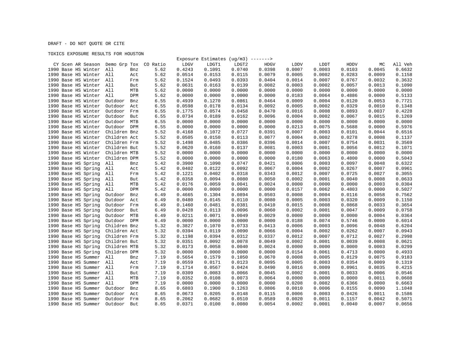## DRAFT - DO NOT QUOTE OR CITE

## TOXICS EXPOSURE RESULTS FOR HOUSTON

|                                         |                |      |        | Exposure Estimates $(ug/m3)$ -------> |        |             |        |        |        |        |         |
|-----------------------------------------|----------------|------|--------|---------------------------------------|--------|-------------|--------|--------|--------|--------|---------|
| CY Scen AR Season Demo Grp Tox CO Ratio |                |      | LDGV   | LDGT1                                 | LDGT2  | <b>HDGV</b> | LDDV   | LDDT   | HDDV   | МC     | All Veh |
| 1990 Base HS Winter                     | All<br>Bnz     | 5.62 | 0.4243 | 0.1091                                | 0.0740 | 0.0398      | 0.0007 | 0.0003 | 0.0103 | 0.0045 | 0.6632  |
| 1990 Base HS Winter All                 | Act            | 5.62 | 0.0514 | 0.0153                                | 0.0115 | 0.0079      | 0.0005 | 0.0002 | 0.0283 | 0.0009 | 0.1158  |
| 1990 Base HS Winter All                 | Frm            | 5.62 | 0.1524 | 0.0493                                | 0.0393 | 0.0404      | 0.0014 | 0.0007 | 0.0767 | 0.0032 | 0.3632  |
| 1990 Base HS Winter All                 | But            | 5.62 | 0.0631 | 0.0163                                | 0.0139 | 0.0082      | 0.0003 | 0.0002 | 0.0057 | 0.0013 | 0.1090  |
| 1990 Base HS Winter All                 | MTB            | 5.62 | 0.0000 | 0.0000                                | 0.0000 | 0.0000      | 0.0000 | 0.0000 | 0.0000 | 0.0000 | 0.0000  |
| 1990 Base HS Winter                     | All<br>DPM     | 5.62 | 0.0000 | 0.0000                                | 0.0000 | 0.0000      | 0.0183 | 0.0064 | 0.4886 | 0.0000 | 0.5133  |
| 1990 Base HS Winter                     | Outdoor<br>Bnz | 6.55 | 0.4939 | 0.1270                                | 0.0861 | 0.0464      | 0.0009 | 0.0004 | 0.0120 | 0.0053 | 0.7721  |
| 1990 Base HS Winter                     | Outdoor<br>Act | 6.55 | 0.0598 | 0.0178                                | 0.0134 | 0.0092      | 0.0005 | 0.0002 | 0.0329 | 0.0010 | 0.1348  |
| 1990 Base HS Winter                     | Outdoor<br>Frm | 6.55 | 0.1775 | 0.0574                                | 0.0458 | 0.0470      | 0.0016 | 0.0008 | 0.0893 | 0.0037 | 0.4228  |
| 1990 Base HS Winter                     | Outdoor<br>But | 6.55 | 0.0734 | 0.0189                                | 0.0162 | 0.0096      | 0.0004 | 0.0002 | 0.0067 | 0.0015 | 0.1269  |
| 1990 Base HS Winter                     | MTB<br>Outdoor | 6.55 | 0.0000 | 0.0000                                | 0.0000 | 0.0000      | 0.0000 | 0.0000 | 0.0000 | 0.0000 | 0.0000  |
| 1990 Base HS Winter                     | Outdoor DPM    | 6.55 | 0.0000 | 0.0000                                | 0.0000 | 0.0000      | 0.0213 | 0.0075 | 0.5688 | 0.0000 | 0.5976  |
| 1990 Base HS Winter                     | Children Bnz   | 5.52 | 0.4168 | 0.1072                                | 0.0727 | 0.0391      | 0.0007 | 0.0003 | 0.0101 | 0.0044 | 0.6516  |
| 1990 Base HS Winter                     | Children Act   | 5.52 | 0.0505 | 0.0150                                | 0.0113 | 0.0077      | 0.0004 | 0.0002 | 0.0278 | 0.0008 | 0.1137  |
| 1990 Base HS Winter                     | Children Frm   | 5.52 | 0.1498 | 0.0485                                | 0.0386 | 0.0396      | 0.0014 | 0.0007 | 0.0754 | 0.0031 | 0.3569  |
| 1990 Base HS Winter                     | Children But   | 5.52 | 0.0620 | 0.0160                                | 0.0137 | 0.0081      | 0.0003 | 0.0001 | 0.0056 | 0.0012 | 0.1071  |
| 1990 Base HS Winter                     | Children MTB   | 5.52 | 0.0000 | 0.0000                                | 0.0000 | 0.0000      | 0.0000 | 0.0000 | 0.0000 | 0.0000 | 0.0000  |
| 1990 Base HS Winter                     | Children DPM   | 5.52 | 0.0000 | 0.0000                                | 0.0000 | 0.0000      | 0.0180 | 0.0063 | 0.4800 | 0.0000 | 0.5043  |
| 1990 Base HS Spring                     | All<br>Bnz     | 5.42 | 0.3900 | 0.1090                                | 0.0747 | 0.0421      | 0.0006 | 0.0003 | 0.0097 | 0.0048 | 0.6322  |
| 1990 Base HS Spring                     | All<br>Act     | 5.42 | 0.0402 | 0.0122                                | 0.0092 | 0.0067      | 0.0004 | 0.0002 | 0.0267 | 0.0007 | 0.0961  |
| 1990 Base HS Spring                     | All<br>Frm     | 5.42 | 0.1221 | 0.0402                                | 0.0318 | 0.0343      | 0.0012 | 0.0007 | 0.0725 | 0.0027 | 0.3055  |
| 1990 Base HS Spring                     | All<br>But     | 5.42 | 0.0358 | 0.0094                                | 0.0080 | 0.0050      | 0.0002 | 0.0001 | 0.0040 | 0.0008 | 0.0633  |
| 1990 Base HS Spring                     | All<br>MTB     | 5.42 | 0.0176 | 0.0059                                | 0.0041 | 0.0024      | 0.0000 | 0.0000 | 0.0000 | 0.0003 | 0.0304  |
| 1990 Base HS Spring                     | All<br>DPM     | 5.42 | 0.0000 | 0.0000                                | 0.0000 | 0.0000      | 0.0157 | 0.0062 | 0.4803 | 0.0000 | 0.5027  |
| 1990 Base HS Spring                     | Outdoor<br>Bnz | 6.49 | 0.4665 | 0.1304                                | 0.0894 | 0.0503      | 0.0008 | 0.0004 | 0.0116 | 0.0058 | 0.7562  |
| 1990 Base HS Spring                     | Outdoor<br>Act | 6.49 | 0.0480 | 0.0145                                | 0.0110 | 0.0080      | 0.0005 | 0.0003 | 0.0320 | 0.0009 | 0.1150  |
| 1990 Base HS Spring                     | Outdoor<br>Frm | 6.49 | 0.1460 | 0.0481                                | 0.0381 | 0.0410      | 0.0015 | 0.0008 | 0.0868 | 0.0033 | 0.3654  |
| 1990 Base HS Spring                     | Outdoor<br>But | 6.49 | 0.0428 | 0.0113                                | 0.0096 | 0.0060      | 0.0002 | 0.0001 | 0.0047 | 0.0009 | 0.0758  |
| 1990 Base HS Spring                     | Outdoor<br>MTB | 6.49 | 0.0211 | 0.0071                                | 0.0049 | 0.0029      | 0.0000 | 0.0000 | 0.0000 | 0.0004 | 0.0364  |
| 1990 Base HS Spring                     | Outdoor<br>DPM | 6.49 | 0.0000 | 0.0000                                | 0.0000 | 0.0000      | 0.0188 | 0.0074 | 0.5746 | 0.0000 | 0.6014  |
| 1990 Base HS Spring                     | Children Bnz   | 5.32 | 0.3827 | 0.1070                                | 0.0733 | 0.0413      | 0.0006 | 0.0003 | 0.0096 | 0.0048 | 0.6204  |
| 1990 Base HS Spring                     | Children Act   | 5.32 | 0.0394 | 0.0119                                | 0.0090 | 0.0066      | 0.0004 | 0.0002 | 0.0262 | 0.0007 | 0.0943  |
| 1990 Base HS Spring                     | Children Frm   | 5.32 | 0.1198 | 0.0394                                | 0.0312 | 0.0337      | 0.0012 | 0.0007 | 0.0712 | 0.0027 | 0.2998  |
| 1990 Base HS Spring                     | Children But   | 5.32 | 0.0351 | 0.0092                                | 0.0078 | 0.0049      | 0.0002 | 0.0001 | 0.0039 | 0.0008 | 0.0621  |
| 1990 Base HS Spring                     | Children MTB   | 5.32 | 0.0173 | 0.0058                                | 0.0040 | 0.0024      | 0.0000 | 0.0000 | 0.0000 | 0.0003 | 0.0299  |
| 1990 Base HS Spring                     | Children DPM   | 5.32 | 0.0000 | 0.0000                                | 0.0000 | 0.0000      | 0.0154 | 0.0061 | 0.4713 | 0.0000 | 0.4933  |
| 1990 Base HS Summer                     | All<br>Bnz     | 7.19 | 0.5654 | 0.1579                                | 0.1050 | 0.0670      | 0.0008 | 0.0005 | 0.0129 | 0.0075 | 0.9183  |
| 1990 Base HS Summer                     | All<br>Act     | 7.19 | 0.0559 | 0.0171                                | 0.0123 | 0.0095      | 0.0005 | 0.0003 | 0.0354 | 0.0009 | 0.1319  |
| 1990 Base HS Summer                     | All<br>Frm     | 7.19 | 0.1714 | 0.0567                                | 0.0424 | 0.0490      | 0.0016 | 0.0009 | 0.0961 | 0.0035 | 0.4215  |
| 1990 Base HS Summer                     | All<br>But     | 7.19 | 0.0309 | 0.0083                                | 0.0066 | 0.0045      | 0.0002 | 0.0001 | 0.0033 | 0.0006 | 0.0546  |
| 1990 Base HS Summer                     | All<br>MTB     | 7.19 | 0.0352 | 0.0108                                | 0.0073 | 0.0064      | 0.0000 | 0.0000 | 0.0000 | 0.0011 | 0.0608  |
| 1990 Base HS Summer                     | All<br>DPM     | 7.19 | 0.0000 | 0.0000                                | 0.0000 | 0.0000      | 0.0208 | 0.0082 | 0.6366 | 0.0000 | 0.6663  |
| 1990 Base HS Summer                     | Outdoor<br>Bnz | 8.65 | 0.6803 | 0.1900                                | 0.1263 | 0.0806      | 0.0010 | 0.0006 | 0.0155 | 0.0090 | 1.1048  |
| 1990 Base HS Summer                     | Outdoor<br>Act | 8.65 | 0.0673 | 0.0205                                | 0.0148 | 0.0115      | 0.0006 | 0.0003 | 0.0426 | 0.0011 | 0.1586  |
| 1990 Base HS Summer                     | Outdoor<br>Frm | 8.65 | 0.2062 | 0.0682                                | 0.0510 | 0.0589      | 0.0020 | 0.0011 | 0.1157 | 0.0042 | 0.5071  |
| 1990 Base HS Summer                     | Outdoor<br>But | 8.65 | 0.0371 | 0.0100                                | 0.0080 | 0.0054      | 0.0002 | 0.0001 | 0.0040 | 0.0007 | 0.0656  |
|                                         |                |      |        |                                       |        |             |        |        |        |        |         |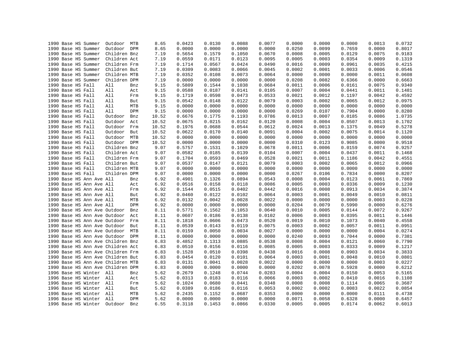|  |                   | 1990 Base HS Summer      | Outdoor                           | MTB        | 8.65  | 0.0423 | 0.0130 | 0.0088 | 0.0077 | 0.0000 | 0.0000 | 0.0000 | 0.0013 | 0.0732 |
|--|-------------------|--------------------------|-----------------------------------|------------|-------|--------|--------|--------|--------|--------|--------|--------|--------|--------|
|  |                   | 1990 Base HS Summer      | Outdoor DPM                       |            | 8.65  | 0.0000 | 0.0000 | 0.0000 | 0.0000 | 0.0250 | 0.0099 | 0.7659 | 0.0000 | 0.8017 |
|  |                   | 1990 Base HS Summer      | Children Bnz                      |            | 7.19  | 0.5654 | 0.1579 | 0.1050 | 0.0670 | 0.0008 | 0.0005 | 0.0129 | 0.0075 | 0.9183 |
|  |                   | 1990 Base HS Summer      | Children Act                      |            | 7.19  | 0.0559 | 0.0171 | 0.0123 | 0.0095 | 0.0005 | 0.0003 | 0.0354 | 0.0009 | 0.1319 |
|  |                   | 1990 Base HS Summer      | Children Frm                      |            | 7.19  | 0.1714 | 0.0567 | 0.0424 | 0.0490 | 0.0016 | 0.0009 | 0.0961 | 0.0035 | 0.4215 |
|  |                   | 1990 Base HS Summer      | Children But                      |            | 7.19  | 0.0309 | 0.0083 | 0.0066 | 0.0045 | 0.0002 | 0.0001 | 0.0033 | 0.0006 | 0.0546 |
|  |                   | 1990 Base HS Summer      | Children MTB                      |            | 7.19  | 0.0352 | 0.0108 | 0.0073 | 0.0064 | 0.0000 | 0.0000 | 0.0000 | 0.0011 | 0.0608 |
|  |                   | 1990 Base HS Summer      | Children DPM                      |            | 7.19  | 0.0000 | 0.0000 | 0.0000 | 0.0000 | 0.0208 | 0.0082 | 0.6366 | 0.0000 | 0.6663 |
|  | 1990 Base HS Fall |                          | All                               | Bnz        | 9.15  | 0.5809 | 0.1544 | 0.1038 | 0.0684 | 0.0011 | 0.0006 | 0.0161 | 0.0075 | 0.9340 |
|  | 1990 Base HS Fall |                          | All                               | Act        | 9.15  | 0.0588 | 0.0187 | 0.0141 | 0.0105 | 0.0007 | 0.0004 | 0.0441 | 0.0011 | 0.1481 |
|  | 1990 Base HS Fall |                          | All                               | Frm        | 9.15  | 0.1719 | 0.0598 | 0.0473 | 0.0533 | 0.0021 | 0.0012 | 0.1197 | 0.0042 | 0.4592 |
|  | 1990 Base HS Fall |                          | All                               | But        | 9.15  | 0.0542 | 0.0148 | 0.0122 | 0.0079 | 0.0003 | 0.0002 | 0.0065 | 0.0012 | 0.0975 |
|  | 1990 Base HS Fall |                          | All                               | MTB        | 9.15  | 0.0000 | 0.0000 | 0.0000 | 0.0000 | 0.0000 | 0.0000 | 0.0000 | 0.0000 | 0.0000 |
|  | 1990 Base HS Fall |                          | All                               | DPM        | 9.15  | 0.0000 | 0.0000 | 0.0000 | 0.0000 | 0.0269 | 0.0107 | 0.7904 | 0.0000 | 0.8280 |
|  | 1990 Base HS Fall |                          | Outdoor                           | Bnz        | 10.52 | 0.6676 | 0.1775 | 0.1193 | 0.0786 | 0.0013 | 0.0007 | 0.0185 | 0.0086 | 1.0735 |
|  | 1990 Base HS Fall |                          | Outdoor                           | Act        | 10.52 | 0.0675 | 0.0215 | 0.0162 | 0.0120 | 0.0008 | 0.0004 | 0.0507 | 0.0013 | 0.1702 |
|  | 1990 Base HS Fall |                          | Outdoor                           | Frm        | 10.52 | 0.1976 | 0.0688 | 0.0544 | 0.0612 | 0.0024 | 0.0013 | 0.1375 | 0.0049 | 0.5278 |
|  | 1990 Base HS Fall |                          | Outdoor                           | But        | 10.52 | 0.0622 | 0.0170 | 0.0140 | 0.0091 | 0.0004 | 0.0002 | 0.0075 | 0.0014 | 0.1120 |
|  | 1990 Base HS Fall |                          | Outdoor                           | MTB        | 10.52 | 0.0000 | 0.0000 | 0.0000 | 0.0000 | 0.0000 | 0.0000 | 0.0000 | 0.0000 | 0.0000 |
|  | 1990 Base HS Fall |                          | Outdoor DPM                       |            | 10.52 | 0.0000 | 0.0000 | 0.0000 | 0.0000 | 0.0310 | 0.0123 | 0.9085 | 0.0000 | 0.9518 |
|  | 1990 Base HS Fall |                          | Children Bnz                      |            | 9.07  | 0.5757 | 0.1531 | 0.1029 | 0.0678 | 0.0011 | 0.0006 | 0.0159 | 0.0074 | 0.9257 |
|  | 1990 Base HS Fall |                          | Children Act                      |            | 9.07  | 0.0582 | 0.0185 | 0.0139 | 0.0104 | 0.0007 | 0.0004 | 0.0437 | 0.0011 | 0.1468 |
|  | 1990 Base HS Fall |                          | Children Frm                      |            | 9.07  | 0.1704 | 0.0593 | 0.0469 | 0.0528 | 0.0021 | 0.0011 | 0.1186 | 0.0042 | 0.4551 |
|  | 1990 Base HS Fall |                          | Children But                      |            | 9.07  | 0.0537 | 0.0147 | 0.0121 | 0.0079 | 0.0003 | 0.0002 | 0.0065 | 0.0012 | 0.0966 |
|  | 1990 Base HS Fall |                          | Children MTB                      |            | 9.07  | 0.0000 | 0.0000 | 0.0000 | 0.0000 | 0.0000 | 0.0000 | 0.0000 | 0.0000 | 0.0000 |
|  | 1990 Base HS Fall |                          | Children DPM                      |            | 9.07  | 0.0000 | 0.0000 | 0.0000 | 0.0000 | 0.0267 | 0.0106 | 0.7834 | 0.0000 | 0.8207 |
|  |                   | 1990 Base HS Ann Ave All |                                   | Bnz        | 6.92  | 0.4901 | 0.1326 | 0.0894 | 0.0543 | 0.0008 | 0.0004 | 0.0123 | 0.0061 | 0.7869 |
|  |                   | 1990 Base HS Ann Ave All |                                   | Act        | 6.92  | 0.0516 | 0.0158 | 0.0118 | 0.0086 | 0.0005 | 0.0003 | 0.0336 | 0.0009 | 0.1230 |
|  |                   | 1990 Base HS Ann Ave All |                                   | Frm        | 6.92  | 0.1544 | 0.0515 | 0.0402 | 0.0442 | 0.0016 | 0.0008 | 0.0913 | 0.0034 | 0.3874 |
|  |                   | 1990 Base HS Ann Ave All |                                   | But        | 6.92  | 0.0460 | 0.0122 | 0.0102 | 0.0064 | 0.0003 | 0.0001 | 0.0049 | 0.0010 | 0.0811 |
|  |                   | 1990 Base HS Ann Ave All |                                   | MTB        | 6.92  | 0.0132 | 0.0042 | 0.0028 | 0.0022 | 0.0000 | 0.0000 | 0.0000 | 0.0003 | 0.0228 |
|  |                   | 1990 Base HS Ann Ave All |                                   | DPM        | 6.92  | 0.0000 | 0.0000 | 0.0000 | 0.0000 | 0.0204 | 0.0079 | 0.5990 | 0.0000 | 0.6276 |
|  |                   |                          | 1990 Base HS Ann Ave Outdoor      | Bnz        | 8.11  | 0.5771 | 0.1562 | 0.1053 | 0.0640 | 0.0010 | 0.0005 | 0.0144 | 0.0072 | 0.9267 |
|  |                   |                          | 1990 Base HS Ann Ave Outdoor      | Act        | 8.11  | 0.0607 | 0.0186 | 0.0138 | 0.0102 | 0.0006 | 0.0003 | 0.0395 | 0.0011 | 0.1446 |
|  |                   |                          | 1990 Base HS Ann Ave Outdoor      | Frm        | 8.11  | 0.1818 | 0.0606 | 0.0473 | 0.0520 | 0.0019 | 0.0010 | 0.1073 | 0.0040 | 0.4558 |
|  |                   |                          | 1990 Base HS Ann Ave Outdoor      | But        | 8.11  | 0.0539 | 0.0143 | 0.0119 | 0.0075 | 0.0003 | 0.0002 | 0.0057 | 0.0011 | 0.0951 |
|  |                   |                          | 1990 Base HS Ann Ave Outdoor      | MTB        | 8.11  | 0.0159 | 0.0050 | 0.0034 | 0.0027 | 0.0000 | 0.0000 | 0.0000 | 0.0004 | 0.0274 |
|  |                   |                          | 1990 Base HS Ann Ave Outdoor      | DPM        | 8.11  | 0.0000 | 0.0000 | 0.0000 | 0.0000 | 0.0240 | 0.0093 | 0.7044 | 0.0000 | 0.7381 |
|  |                   |                          | 1990 Base HS Ann Ave Children Bnz |            | 6.83  | 0.4852 | 0.1313 | 0.0885 | 0.0538 | 0.0008 | 0.0004 | 0.0121 | 0.0060 | 0.7790 |
|  |                   |                          | 1990 Base HS Ann Ave Children Act |            | 6.83  | 0.0510 | 0.0156 | 0.0116 | 0.0085 | 0.0005 | 0.0003 | 0.0333 | 0.0009 | 0.1217 |
|  |                   |                          | 1990 Base HS Ann Ave Children Frm |            | 6.83  | 0.1528 | 0.0510 | 0.0398 | 0.0438 | 0.0016 | 0.0008 | 0.0903 | 0.0034 | 0.3833 |
|  |                   |                          | 1990 Base HS Ann Ave Children But |            | 6.83  | 0.0454 | 0.0120 | 0.0101 | 0.0064 | 0.0003 | 0.0001 | 0.0048 | 0.0010 | 0.0801 |
|  |                   |                          | 1990 Base HS Ann Ave Children MTB |            | 6.83  | 0.0131 | 0.0041 | 0.0028 | 0.0022 | 0.0000 | 0.0000 | 0.0000 | 0.0003 | 0.0227 |
|  |                   |                          | 1990 Base HS Ann Ave Children DPM |            | 6.83  | 0.0000 | 0.0000 | 0.0000 | 0.0000 | 0.0202 | 0.0078 | 0.5928 | 0.0000 | 0.6212 |
|  |                   | 1996 Base HS Winter All  |                                   | Bnz        | 5.62  | 0.2679 | 0.1248 | 0.0744 | 0.0283 | 0.0004 | 0.0004 | 0.0150 | 0.0053 | 0.5165 |
|  |                   | 1996 Base HS Winter All  |                                   | Act        | 5.62  | 0.0313 | 0.0183 | 0.0116 | 0.0066 | 0.0003 | 0.0002 | 0.0410 | 0.0016 | 0.1108 |
|  |                   | 1996 Base HS Winter All  |                                   | Frm        | 5.62  | 0.1024 | 0.0680 | 0.0441 | 0.0348 | 0.0008 | 0.0008 | 0.1114 | 0.0065 | 0.3687 |
|  |                   | 1996 Base HS Winter All  |                                   | But        | 5.62  | 0.0389 | 0.0186 | 0.0116 | 0.0053 | 0.0002 | 0.0002 | 0.0083 | 0.0022 | 0.0854 |
|  |                   | 1996 Base HS Winter All  |                                   | MTB        | 5.62  | 0.2435 | 0.1152 | 0.0687 | 0.0353 | 0.0000 | 0.0000 | 0.0000 | 0.0111 | 0.4738 |
|  |                   | 1996 Base HS Winter All  |                                   | <b>DPM</b> | 5.62  | 0.0000 | 0.0000 | 0.0000 | 0.0000 | 0.0071 | 0.0058 | 0.6328 | 0.0000 | 0.6457 |
|  |                   |                          | 1996 Base HS Winter Outdoor       | Bnz        | 6.55  | 0.3118 | 0.1453 | 0.0866 | 0.0330 | 0.0005 | 0.0005 | 0.0174 | 0.0062 | 0.6013 |
|  |                   |                          |                                   |            |       |        |        |        |        |        |        |        |        |        |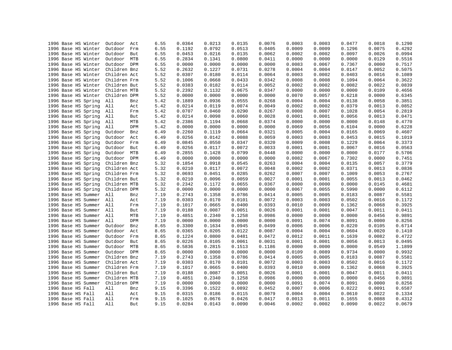| 1996 Base HS Winter | Outdoor<br>Act        | 6.55 | 0.0364 | 0.0213 | 0.0135 | 0.0076 | 0.0003 | 0.0003 | 0.0477 | 0.0018 | 0.1290 |
|---------------------|-----------------------|------|--------|--------|--------|--------|--------|--------|--------|--------|--------|
| 1996 Base HS Winter | Outdoor<br>Frm        | 6.55 | 0.1192 | 0.0792 | 0.0513 | 0.0405 | 0.0009 | 0.0009 | 0.1296 | 0.0075 | 0.4292 |
| 1996 Base HS Winter | Outdoor<br>But        | 6.55 | 0.0453 | 0.0216 | 0.0135 | 0.0062 | 0.0002 | 0.0002 | 0.0097 | 0.0026 | 0.0994 |
| 1996 Base HS Winter | Outdoor<br>MTB        | 6.55 | 0.2834 | 0.1341 | 0.0800 | 0.0411 | 0.0000 | 0.0000 | 0.0000 | 0.0129 | 0.5516 |
| 1996 Base HS Winter | Outdoor DPM           | 6.55 | 0.0000 | 0.0000 | 0.0000 | 0.0000 | 0.0083 | 0.0067 | 0.7367 | 0.0000 | 0.7517 |
| 1996 Base HS Winter | Children Bnz          | 5.52 | 0.2632 | 0.1227 | 0.0731 | 0.0278 | 0.0004 | 0.0004 | 0.0147 | 0.0052 | 0.5075 |
| 1996 Base HS Winter | Children Act          | 5.52 | 0.0307 | 0.0180 | 0.0114 | 0.0064 | 0.0003 | 0.0002 | 0.0403 | 0.0016 | 0.1089 |
| 1996 Base HS Winter | Children Frm          | 5.52 | 0.1006 | 0.0668 | 0.0433 | 0.0342 | 0.0008 | 0.0008 | 0.1094 | 0.0064 | 0.3622 |
| 1996 Base HS Winter | Children But          | 5.52 | 0.0383 | 0.0182 | 0.0114 | 0.0052 | 0.0002 | 0.0002 | 0.0082 | 0.0022 | 0.0839 |
| 1996 Base HS Winter | Children MTB          | 5.52 | 0.2392 | 0.1132 | 0.0675 | 0.0347 | 0.0000 | 0.0000 | 0.0000 | 0.0109 | 0.4656 |
| 1996 Base HS Winter | Children DPM          | 5.52 | 0.0000 | 0.0000 | 0.0000 | 0.0000 | 0.0070 | 0.0057 | 0.6218 | 0.0000 | 0.6345 |
| 1996 Base HS Spring | All<br>Bnz            | 5.42 | 0.1889 | 0.0936 | 0.0555 | 0.0268 | 0.0004 | 0.0004 | 0.0138 | 0.0058 | 0.3851 |
| 1996 Base HS Spring | All<br>Act            | 5.42 | 0.0214 | 0.0119 | 0.0074 | 0.0049 | 0.0002 | 0.0002 | 0.0379 | 0.0013 | 0.0852 |
| 1996 Base HS Spring | All<br>Frm            | 5.42 | 0.0707 | 0.0460 | 0.0290 | 0.0267 | 0.0008 | 0.0007 | 0.1028 | 0.0054 | 0.2819 |
| 1996 Base HS Spring | All<br>But            | 5.42 | 0.0214 | 0.0098 | 0.0060 | 0.0028 | 0.0001 | 0.0001 | 0.0056 | 0.0013 | 0.0471 |
| 1996 Base HS Spring | All<br>MTB            | 5.42 | 0.2386 | 0.1194 | 0.0668 | 0.0374 | 0.0000 | 0.0000 | 0.0000 | 0.0148 | 0.4770 |
| 1996 Base HS Spring | DPM<br>All            | 5.42 | 0.0000 | 0.0000 | 0.0000 | 0.0000 | 0.0069 | 0.0056 | 0.6104 | 0.0000 | 0.6228 |
| 1996 Base HS Spring | Outdoor<br>Bnz        | 6.49 | 0.2260 | 0.1119 | 0.0664 | 0.0321 | 0.0005 | 0.0004 | 0.0165 | 0.0069 | 0.4607 |
| 1996 Base HS Spring | Outdoor<br>Act        | 6.49 | 0.0256 | 0.0142 | 0.0088 | 0.0059 | 0.0003 | 0.0003 | 0.0453 | 0.0015 | 0.1019 |
| 1996 Base HS Spring | Outdoor<br>Frm        | 6.49 | 0.0845 | 0.0550 | 0.0347 | 0.0320 | 0.0009 | 0.0008 | 0.1229 | 0.0064 | 0.3373 |
| 1996 Base HS Spring | Outdoor<br>But        | 6.49 | 0.0256 | 0.0117 | 0.0072 | 0.0033 | 0.0001 | 0.0001 | 0.0067 | 0.0016 | 0.0563 |
| 1996 Base HS Spring | Outdoor<br>MTB        | 6.49 | 0.2855 | 0.1428 | 0.0799 | 0.0448 | 0.0000 | 0.0000 | 0.0000 | 0.0177 | 0.5706 |
| 1996 Base HS Spring | DPM<br>Outdoor        | 6.49 | 0.0000 | 0.0000 | 0.0000 | 0.0000 | 0.0082 | 0.0067 | 0.7302 | 0.0000 | 0.7451 |
| 1996 Base HS Spring | Children Bnz          | 5.32 | 0.1854 | 0.0918 | 0.0545 | 0.0263 | 0.0004 | 0.0004 | 0.0135 | 0.0057 | 0.3779 |
| 1996 Base HS Spring | Children Act          | 5.32 | 0.0210 | 0.0117 | 0.0072 | 0.0048 | 0.0002 | 0.0002 | 0.0371 | 0.0013 | 0.0836 |
| 1996 Base HS Spring | Children Frm          | 5.32 | 0.0693 | 0.0451 | 0.0285 | 0.0262 | 0.0007 | 0.0007 | 0.1009 | 0.0053 | 0.2767 |
| 1996 Base HS Spring | Children But          | 5.32 | 0.0210 | 0.0096 | 0.0059 | 0.0027 | 0.0001 | 0.0001 | 0.0055 | 0.0013 | 0.0462 |
| 1996 Base HS Spring | Children MTB          | 5.32 | 0.2342 | 0.1172 | 0.0655 | 0.0367 | 0.0000 | 0.0000 | 0.0000 | 0.0145 | 0.4681 |
| 1996 Base HS Spring | Children DPM          | 5.32 | 0.0000 | 0.0000 | 0.0000 | 0.0000 | 0.0067 | 0.0055 | 0.5990 | 0.0000 | 0.6112 |
| 1996 Base HS Summer | All<br>Bnz            | 7.19 | 0.2743 | 0.1358 | 0.0786 | 0.0414 | 0.0005 | 0.0005 | 0.0183 | 0.0087 | 0.5581 |
| 1996 Base HS Summer | All<br>Act            | 7.19 | 0.0303 | 0.0170 | 0.0101 | 0.0072 | 0.0003 | 0.0003 | 0.0502 | 0.0016 | 0.1172 |
| 1996 Base HS Summer | All<br>Frm            | 7.19 | 0.1017 | 0.0665 | 0.0400 | 0.0393 | 0.0010 | 0.0009 | 0.1362 | 0.0068 | 0.3925 |
| 1996 Base HS Summer | All<br>But            | 7.19 | 0.0188 | 0.0087 | 0.0051 | 0.0026 | 0.0001 | 0.0001 | 0.0047 | 0.0011 | 0.0411 |
| 1996 Base HS Summer | All<br>MTB            | 7.19 | 0.4851 | 0.2340 | 0.1258 | 0.0986 | 0.0000 | 0.0000 | 0.0000 | 0.0456 | 0.9891 |
| 1996 Base HS Summer | All<br>DPM            | 7.19 | 0.0000 | 0.0000 | 0.0000 | 0.0000 | 0.0091 | 0.0074 | 0.8091 | 0.0000 | 0.8256 |
| 1996 Base HS Summer | Outdoor<br>Bnz        | 8.65 | 0.3300 | 0.1634 | 0.0945 | 0.0499 | 0.0006 | 0.0006 | 0.0220 | 0.0105 | 0.6714 |
| 1996 Base HS Summer | Outdoor               | 8.65 | 0.0365 | 0.0205 | 0.0122 | 0.0087 | 0.0004 | 0.0004 | 0.0604 | 0.0020 | 0.1410 |
|                     | Act<br>Outdoor<br>Frm |      |        |        |        |        | 0.0012 |        |        | 0.0082 | 0.4722 |
| 1996 Base HS Summer | But                   | 8.65 | 0.1224 | 0.0800 | 0.0481 | 0.0472 |        | 0.0011 | 0.1639 | 0.0013 | 0.0495 |
| 1996 Base HS Summer | Outdoor               | 8.65 | 0.0226 | 0.0105 | 0.0061 | 0.0031 | 0.0001 | 0.0001 | 0.0056 |        | 1.1899 |
| 1996 Base HS Summer | Outdoor<br>MTB        | 8.65 | 0.5836 | 0.2815 | 0.1513 | 0.1186 | 0.0000 | 0.0000 | 0.0000 | 0.0549 |        |
| 1996 Base HS Summer | Outdoor DPM           | 8.65 | 0.0000 | 0.0000 | 0.0000 | 0.0000 | 0.0109 | 0.0089 | 0.9734 | 0.0000 | 0.9932 |
| 1996 Base HS Summer | Children Bnz          | 7.19 | 0.2743 | 0.1358 | 0.0786 | 0.0414 | 0.0005 | 0.0005 | 0.0183 | 0.0087 | 0.5581 |
| 1996 Base HS Summer | Children Act          | 7.19 | 0.0303 | 0.0170 | 0.0101 | 0.0072 | 0.0003 | 0.0003 | 0.0502 | 0.0016 | 0.1172 |
| 1996 Base HS Summer | Children Frm          | 7.19 | 0.1017 | 0.0665 | 0.0400 | 0.0393 | 0.0010 | 0.0009 | 0.1362 | 0.0068 | 0.3925 |
| 1996 Base HS Summer | Children But          | 7.19 | 0.0188 | 0.0087 | 0.0051 | 0.0026 | 0.0001 | 0.0001 | 0.0047 | 0.0011 | 0.0411 |
| 1996 Base HS Summer | Children MTB          | 7.19 | 0.4851 | 0.2340 | 0.1258 | 0.0986 | 0.0000 | 0.0000 | 0.0000 | 0.0456 | 0.9891 |
| 1996 Base HS Summer | Children DPM          | 7.19 | 0.0000 | 0.0000 | 0.0000 | 0.0000 | 0.0091 | 0.0074 | 0.8091 | 0.0000 | 0.8256 |
| 1996 Base HS Fall   | All<br>Bnz            | 9.15 | 0.3396 | 0.1522 | 0.0892 | 0.0452 | 0.0007 | 0.0006 | 0.0222 | 0.0091 | 0.6587 |
| 1996 Base HS Fall   | All<br>Act            | 9.15 | 0.0315 | 0.0186 | 0.0115 | 0.0079 | 0.0004 | 0.0004 | 0.0610 | 0.0022 | 0.1334 |
| 1996 Base HS Fall   | All<br>Frm            | 9.15 | 0.1025 | 0.0676 | 0.0426 | 0.0417 | 0.0013 | 0.0011 | 0.1655 | 0.0088 | 0.4312 |
| 1996 Base HS Fall   | All<br>But            | 9.15 | 0.0284 | 0.0143 | 0.0090 | 0.0046 | 0.0002 | 0.0002 | 0.0090 | 0.0022 | 0.0679 |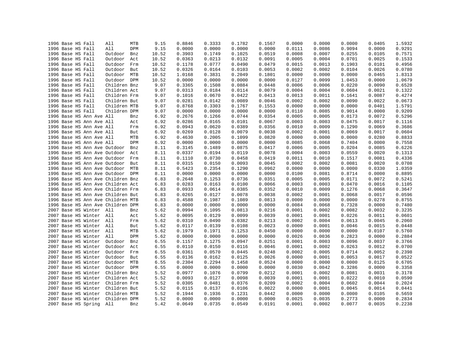|  | 1996 Base HS Fall |                          | All                               | MTB | 9.15  | 0.8846 | 0.3333 | 0.1782 | 0.1567 | 0.0000 | 0.0000 | 0.0000 | 0.0405 | 1.5932 |
|--|-------------------|--------------------------|-----------------------------------|-----|-------|--------|--------|--------|--------|--------|--------|--------|--------|--------|
|  | 1996 Base HS Fall |                          | All                               | DPM | 9.15  | 0.0000 | 0.0000 | 0.0000 | 0.0000 | 0.0111 | 0.0086 | 0.9094 | 0.0000 | 0.9291 |
|  | 1996 Base HS Fall |                          | Outdoor                           | Bnz | 10.52 | 0.3903 | 0.1749 | 0.1025 | 0.0519 | 0.0008 | 0.0007 | 0.0255 | 0.0105 | 0.7571 |
|  | 1996 Base HS Fall |                          | Outdoor                           | Act | 10.52 | 0.0363 | 0.0213 | 0.0132 | 0.0091 | 0.0005 | 0.0004 | 0.0701 | 0.0025 | 0.1533 |
|  | 1996 Base HS Fall |                          | Outdoor                           | Frm | 10.52 | 0.1178 | 0.0777 | 0.0490 | 0.0479 | 0.0015 | 0.0013 | 0.1903 | 0.0101 | 0.4956 |
|  | 1996 Base HS Fall |                          | Outdoor                           | But | 10.52 | 0.0326 | 0.0164 | 0.0103 | 0.0053 | 0.0002 | 0.0002 | 0.0104 | 0.0026 | 0.0780 |
|  | 1996 Base HS Fall |                          | Outdoor MTB                       |     | 10.52 | 1.0168 | 0.3831 | 0.2049 | 0.1801 | 0.0000 | 0.0000 | 0.0000 | 0.0465 | 1.8313 |
|  | 1996 Base HS Fall |                          | Outdoor DPM                       |     | 10.52 | 0.0000 | 0.0000 | 0.0000 | 0.0000 | 0.0127 | 0.0099 | 1.0453 | 0.0000 | 1.0679 |
|  | 1996 Base HS Fall |                          | Children Bnz                      |     | 9.07  | 0.3365 | 0.1508 | 0.0884 | 0.0448 | 0.0006 | 0.0006 | 0.0220 | 0.0090 | 0.6528 |
|  | 1996 Base HS Fall |                          | Children Act                      |     | 9.07  | 0.0313 | 0.0184 | 0.0114 | 0.0079 | 0.0004 | 0.0004 | 0.0604 | 0.0021 | 0.1322 |
|  | 1996 Base HS Fall |                          | Children Frm                      |     | 9.07  | 0.1016 | 0.0670 | 0.0422 | 0.0413 | 0.0013 | 0.0011 | 0.1641 | 0.0087 | 0.4274 |
|  | 1996 Base HS Fall |                          | Children But                      |     | 9.07  | 0.0281 | 0.0142 | 0.0089 | 0.0046 | 0.0002 | 0.0002 | 0.0090 | 0.0022 | 0.0673 |
|  | 1996 Base HS Fall |                          | Children MTB                      |     | 9.07  | 0.8768 | 0.3303 | 0.1767 | 0.1553 | 0.0000 | 0.0000 | 0.0000 | 0.0401 | 1.5791 |
|  | 1996 Base HS Fall |                          | Children DPM                      |     | 9.07  | 0.0000 | 0.0000 | 0.0000 | 0.0000 | 0.0110 | 0.0085 | 0.9014 | 0.0000 | 0.9209 |
|  |                   | 1996 Base HS Ann Ave All |                                   | Bnz | 6.92  | 0.2676 | 0.1266 | 0.0744 | 0.0354 | 0.0005 | 0.0005 | 0.0173 | 0.0072 | 0.5296 |
|  |                   | 1996 Base HS Ann Ave All |                                   | Act | 6.92  | 0.0286 | 0.0165 | 0.0101 | 0.0067 | 0.0003 | 0.0003 | 0.0475 | 0.0017 | 0.1116 |
|  |                   | 1996 Base HS Ann Ave All |                                   | Frm | 6.92  | 0.0943 | 0.0620 | 0.0389 | 0.0356 | 0.0010 | 0.0009 | 0.1290 | 0.0069 | 0.3686 |
|  |                   | 1996 Base HS Ann Ave All |                                   | But | 6.92  | 0.0269 | 0.0128 | 0.0079 | 0.0038 | 0.0002 | 0.0001 | 0.0069 | 0.0017 | 0.0604 |
|  |                   | 1996 Base HS Ann Ave All |                                   | MTB | 6.92  | 0.4630 | 0.2005 | 0.1099 | 0.0820 | 0.0000 | 0.0000 | 0.0000 | 0.0280 | 0.8833 |
|  |                   | 1996 Base HS Ann Ave All |                                   | DPM | 6.92  | 0.0000 | 0.0000 | 0.0000 | 0.0000 | 0.0085 | 0.0068 | 0.7404 | 0.0000 | 0.7558 |
|  |                   |                          | 1996 Base HS Ann Ave Outdoor      | Bnz | 8.11  | 0.3145 | 0.1489 | 0.0875 | 0.0417 | 0.0006 | 0.0005 | 0.0204 | 0.0085 | 0.6226 |
|  |                   |                          |                                   |     |       | 0.0337 | 0.0194 | 0.0119 | 0.0078 | 0.0004 | 0.0003 | 0.0559 | 0.0020 |        |
|  |                   |                          | 1996 Base HS Ann Ave Outdoor      | Act | 8.11  |        |        |        |        |        | 0.0010 |        |        | 0.1313 |
|  |                   |                          | 1996 Base HS Ann Ave Outdoor      | Frm | 8.11  | 0.1110 | 0.0730 | 0.0458 | 0.0419 | 0.0011 |        | 0.1517 | 0.0081 | 0.4336 |
|  |                   |                          | 1996 Base HS Ann Ave Outdoor      | But | 8.11  | 0.0315 | 0.0150 | 0.0093 | 0.0045 | 0.0002 | 0.0002 | 0.0081 | 0.0020 | 0.0708 |
|  |                   |                          | 1996 Base HS Ann Ave Outdoor      | MTB | 8.11  | 0.5423 | 0.2354 | 0.1290 | 0.0962 | 0.0000 | 0.0000 | 0.0000 | 0.0330 | 1.0359 |
|  |                   |                          | 1996 Base HS Ann Ave Outdoor DPM  |     | 8.11  | 0.0000 | 0.0000 | 0.0000 | 0.0000 | 0.0100 | 0.0081 | 0.8714 | 0.0000 | 0.8895 |
|  |                   |                          | 1996 Base HS Ann Ave Children Bnz |     | 6.83  | 0.2648 | 0.1253 | 0.0736 | 0.0351 | 0.0005 | 0.0005 | 0.0171 | 0.0072 | 0.5241 |
|  |                   |                          | 1996 Base HS Ann Ave Children Act |     | 6.83  | 0.0283 | 0.0163 | 0.0100 | 0.0066 | 0.0003 | 0.0003 | 0.0470 | 0.0016 | 0.1105 |
|  |                   |                          | 1996 Base HS Ann Ave Children Frm |     | 6.83  | 0.0933 | 0.0614 | 0.0385 | 0.0352 | 0.0010 | 0.0009 | 0.1276 | 0.0068 | 0.3647 |
|  |                   |                          | 1996 Base HS Ann Ave Children But |     | 6.83  | 0.0265 | 0.0127 | 0.0078 | 0.0038 | 0.0002 | 0.0001 | 0.0068 | 0.0017 | 0.0596 |
|  |                   |                          | 1996 Base HS Ann Ave Children MTB |     | 6.83  | 0.4588 | 0.1987 | 0.1089 | 0.0813 | 0.0000 | 0.0000 | 0.0000 | 0.0278 | 0.8755 |
|  |                   |                          | 1996 Base HS Ann Ave Children DPM |     | 6.83  | 0.0000 | 0.0000 | 0.0000 | 0.0000 | 0.0084 | 0.0068 | 0.7328 | 0.0000 | 0.7480 |
|  |                   | 2007 Base HS Winter All  |                                   | Bnz | 5.62  | 0.0994 | 0.1095 | 0.0813 | 0.0216 | 0.0001 | 0.0002 | 0.0082 | 0.0032 | 0.3235 |
|  |                   | 2007 Base HS Winter All  |                                   | Act | 5.62  | 0.0095 | 0.0129 | 0.0099 | 0.0039 | 0.0001 | 0.0001 | 0.0226 | 0.0011 | 0.0601 |
|  |                   | 2007 Base HS Winter All  |                                   | Frm | 5.62  | 0.0310 | 0.0490 | 0.0382 | 0.0213 | 0.0002 | 0.0004 | 0.0613 | 0.0045 | 0.2060 |
|  |                   | 2007 Base HS Winter All  |                                   | But | 5.62  | 0.0117 | 0.0139 | 0.0108 | 0.0023 | 0.0000 | 0.0001 | 0.0046 | 0.0015 | 0.0448 |
|  |                   | 2007 Base HS Winter All  |                                   | MTB | 5.62  | 0.1979 | 0.1971 | 0.1253 | 0.0450 | 0.0000 | 0.0000 | 0.0000 | 0.0107 | 0.5760 |
|  |                   | 2007 Base HS Winter      | All                               | DPM | 5.62  | 0.0000 | 0.0000 | 0.0000 | 0.0000 | 0.0026 | 0.0036 | 0.2823 | 0.0000 | 0.2884 |
|  |                   | 2007 Base HS Winter      | Outdoor                           | Bnz | 6.55  | 0.1157 | 0.1275 | 0.0947 | 0.0251 | 0.0001 | 0.0003 | 0.0096 | 0.0037 | 0.3766 |
|  |                   | 2007 Base HS Winter      | Outdoor                           | Act | 6.55  | 0.0110 | 0.0150 | 0.0116 | 0.0046 | 0.0001 | 0.0002 | 0.0263 | 0.0012 | 0.0700 |
|  |                   | 2007 Base HS Winter      | Outdoor                           | Frm | 6.55  | 0.0361 | 0.0570 | 0.0445 | 0.0248 | 0.0002 | 0.0005 | 0.0714 | 0.0052 | 0.2398 |
|  |                   | 2007 Base HS Winter      | Outdoor                           | But | 6.55  | 0.0136 | 0.0162 | 0.0125 | 0.0026 | 0.0000 | 0.0001 | 0.0053 | 0.0017 | 0.0522 |
|  |                   | 2007 Base HS Winter      | Outdoor MTB                       |     | 6.55  | 0.2304 | 0.2294 | 0.1458 | 0.0524 | 0.0000 | 0.0000 | 0.0000 | 0.0125 | 0.6705 |
|  |                   | 2007 Base HS Winter      | Outdoor DPM                       |     | 6.55  | 0.0000 | 0.0000 | 0.0000 | 0.0000 | 0.0030 | 0.0042 | 0.3286 | 0.0000 | 0.3358 |
|  |                   | 2007 Base HS Winter      | Children Bnz                      |     | 5.52  | 0.0977 | 0.1076 | 0.0799 | 0.0212 | 0.0001 | 0.0002 | 0.0081 | 0.0031 | 0.3178 |
|  |                   | 2007 Base HS Winter      | Children Act                      |     | 5.52  | 0.0093 | 0.0127 | 0.0098 | 0.0039 | 0.0001 | 0.0001 | 0.0222 | 0.0010 | 0.0590 |
|  |                   | 2007 Base HS Winter      | Children Frm                      |     | 5.52  | 0.0305 | 0.0481 | 0.0376 | 0.0209 | 0.0002 | 0.0004 | 0.0602 | 0.0044 | 0.2024 |
|  |                   | 2007 Base HS Winter      | Children But                      |     | 5.52  | 0.0115 | 0.0137 | 0.0106 | 0.0022 | 0.0000 | 0.0001 | 0.0045 | 0.0014 | 0.0441 |
|  |                   | 2007 Base HS Winter      | Children MTB                      |     | 5.52  | 0.1944 | 0.1936 | 0.1231 | 0.0442 | 0.0000 | 0.0000 | 0.0000 | 0.0105 | 0.5659 |
|  |                   | 2007 Base HS Winter      | Children DPM                      |     | 5.52  | 0.0000 | 0.0000 | 0.0000 | 0.0000 | 0.0025 | 0.0035 | 0.2773 | 0.0000 | 0.2834 |
|  |                   | 2007 Base HS Spring      | All                               | Bnz | 5.42  | 0.0649 | 0.0735 | 0.0549 | 0.0191 | 0.0001 | 0.0002 | 0.0077 | 0.0035 | 0.2238 |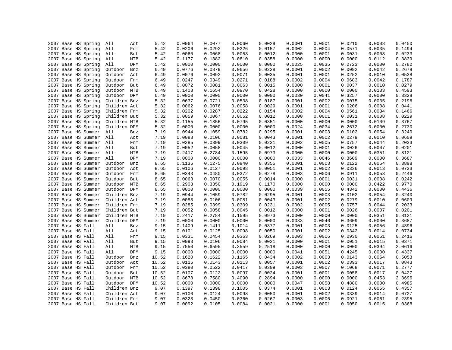| 2007 Base HS Spring                        |  | All          | Act | 5.42         | 0.0064 | 0.0077           | 0.0060 | 0.0029 | 0.0001 | 0.0001 | 0.0210 | 0.0008           | 0.0450           |
|--------------------------------------------|--|--------------|-----|--------------|--------|------------------|--------|--------|--------|--------|--------|------------------|------------------|
| 2007 Base HS Spring                        |  | All          | Frm | 5.42         | 0.0206 | 0.0292           | 0.0226 | 0.0157 | 0.0002 | 0.0004 | 0.0571 | 0.0035           | 0.1494           |
| 2007 Base HS Spring                        |  | All          | But | 5.42         | 0.0060 | 0.0068           | 0.0053 | 0.0012 | 0.0000 | 0.0001 | 0.0031 | 0.0008           | 0.0233           |
| 2007 Base HS Spring                        |  | All          | MTB | 5.42         | 0.1177 | 0.1382           | 0.0810 | 0.0358 | 0.0000 | 0.0000 | 0.0000 | 0.0112           | 0.3839           |
| 2007 Base HS Spring                        |  | All          | DPM | 5.42         | 0.0000 | 0.0000           | 0.0000 | 0.0000 | 0.0025 | 0.0035 | 0.2723 | 0.0000           | 0.2782           |
| 2007 Base HS Spring                        |  | Outdoor      | Bnz | 6.49         | 0.0776 | 0.0879           | 0.0656 | 0.0228 | 0.0001 | 0.0002 | 0.0092 | 0.0042           | 0.2678           |
| 2007 Base HS Spring                        |  | Outdoor      | Act | 6.49         | 0.0076 | 0.0092           | 0.0071 | 0.0035 | 0.0001 | 0.0001 | 0.0252 | 0.0010           | 0.0538           |
| 2007 Base HS Spring                        |  | Outdoor      | Frm | 6.49         | 0.0247 | 0.0349           | 0.0271 | 0.0188 | 0.0002 | 0.0004 | 0.0683 | 0.0042           | 0.1787           |
| 2007 Base HS Spring                        |  | Outdoor      | But | 6.49         | 0.0072 | 0.0081           | 0.0063 | 0.0015 | 0.0000 | 0.0001 | 0.0037 | 0.0010           | 0.0279           |
| 2007 Base HS Spring                        |  | Outdoor MTB  |     | 6.49         | 0.1408 | 0.1654           | 0.0970 | 0.0428 | 0.0000 | 0.0000 | 0.0000 | 0.0133           | 0.4593           |
| 2007 Base HS Spring                        |  | Outdoor DPM  |     | 6.49         | 0.0000 | 0.0000           | 0.0000 | 0.0000 | 0.0030 | 0.0041 | 0.3257 | 0.0000           | 0.3328           |
| 2007 Base HS Spring                        |  | Children Bnz |     | 5.32         | 0.0637 | 0.0721           | 0.0538 | 0.0187 | 0.0001 | 0.0002 | 0.0075 | 0.0035           | 0.2196           |
| 2007 Base HS Spring                        |  | Children Act |     | 5.32         | 0.0062 | 0.0076           | 0.0058 | 0.0029 | 0.0001 | 0.0001 | 0.0206 | 0.0008           | 0.0441           |
| 2007 Base HS Spring                        |  | Children Frm |     | 5.32         | 0.0202 | 0.0287           | 0.0222 | 0.0154 | 0.0002 | 0.0004 | 0.0561 | 0.0034           | 0.1466           |
| 2007 Base HS Spring                        |  | Children But |     | 5.32         | 0.0059 | 0.0067           | 0.0052 | 0.0012 | 0.0000 | 0.0001 | 0.0031 | 0.0008           | 0.0229           |
| 2007 Base HS Spring                        |  | Children MTB |     | 5.32         | 0.1155 | 0.1356           | 0.0795 | 0.0351 | 0.0000 | 0.0000 | 0.0000 | 0.0109           | 0.3767           |
| 2007 Base HS Spring                        |  | Children DPM |     | 5.32         | 0.0000 | 0.0000           | 0.0000 | 0.0000 | 0.0024 | 0.0034 | 0.2672 | 0.0000           | 0.2730           |
| 2007 Base HS Summer                        |  | All          | Bnz | 7.19         | 0.0944 | 0.1059           | 0.0782 | 0.0295 | 0.0001 | 0.0003 | 0.0102 | 0.0054           | 0.3240           |
| 2007 Base HS Summer                        |  | All          | Act | 7.19         | 0.0088 | 0.0106           | 0.0081 | 0.0043 | 0.0001 | 0.0002 | 0.0279 | 0.0010           | 0.0609           |
| 2007 Base HS Summer                        |  | All          | Frm | 7.19         | 0.0285 | 0.0399           | 0.0309 | 0.0231 | 0.0002 | 0.0005 | 0.0757 | 0.0044           | 0.2033           |
| 2007 Base HS Summer                        |  | All          | But | 7.19         | 0.0052 | 0.0058           | 0.0045 | 0.0012 | 0.0000 | 0.0001 | 0.0026 | 0.0007           | 0.0201           |
|                                            |  | All          | MTB |              | 0.2417 |                  | 0.1595 | 0.0973 | 0.0000 | 0.0000 | 0.0000 |                  |                  |
| 2007 Base HS Summer                        |  | All          | DPM | 7.19<br>7.19 | 0.0000 | 0.2784<br>0.0000 | 0.0000 | 0.0000 | 0.0033 | 0.0046 | 0.3609 | 0.0351<br>0.0000 | 0.8121<br>0.3687 |
| 2007 Base HS Summer<br>2007 Base HS Summer |  | Outdoor      |     | 8.65         | 0.1136 | 0.1275           | 0.0940 | 0.0355 | 0.0001 | 0.0003 | 0.0122 | 0.0064           | 0.3898           |
|                                            |  |              | Bnz |              |        |                  |        |        |        |        |        |                  |                  |
| 2007 Base HS Summer                        |  | Outdoor      | Act | 8.65         | 0.0106 | 0.0127           | 0.0098 | 0.0051 | 0.0001 | 0.0002 | 0.0336 | 0.0013           | 0.0733           |
| 2007 Base HS Summer                        |  | Outdoor      | Frm | 8.65         | 0.0343 | 0.0480           | 0.0372 | 0.0278 | 0.0003 | 0.0006 | 0.0911 | 0.0053           | 0.2446           |
| 2007 Base HS Summer                        |  | Outdoor      | But | 8.65         | 0.0063 | 0.0070           | 0.0055 | 0.0014 | 0.0000 | 0.0001 | 0.0031 | 0.0008           | 0.0242           |
| 2007 Base HS Summer                        |  | Outdoor MTB  |     | 8.65         | 0.2908 | 0.3350           | 0.1919 | 0.1170 | 0.0000 | 0.0000 | 0.0000 | 0.0422           | 0.9770           |
| 2007 Base HS Summer                        |  | Outdoor DPM  |     | 8.65         | 0.0000 | 0.0000           | 0.0000 | 0.0000 | 0.0039 | 0.0055 | 0.4342 | 0.0000           | 0.4436           |
| 2007 Base HS Summer                        |  | Children Bnz |     | 7.19         | 0.0944 | 0.1059           | 0.0782 | 0.0295 | 0.0001 | 0.0003 | 0.0102 | 0.0054           | 0.3240           |
| 2007 Base HS Summer                        |  | Children Act |     | 7.19         | 0.0088 | 0.0106           | 0.0081 | 0.0043 | 0.0001 | 0.0002 | 0.0279 | 0.0010           | 0.0609           |
| 2007 Base HS Summer                        |  | Children Frm |     | 7.19         | 0.0285 | 0.0399           | 0.0309 | 0.0231 | 0.0002 | 0.0005 | 0.0757 | 0.0044           | 0.2033           |
| 2007 Base HS Summer                        |  | Children But |     | 7.19         | 0.0052 | 0.0058           | 0.0045 | 0.0012 | 0.0000 | 0.0001 | 0.0026 | 0.0007           | 0.0201           |
| 2007 Base HS Summer                        |  | Children MTB |     | 7.19         | 0.2417 | 0.2784           | 0.1595 | 0.0973 | 0.0000 | 0.0000 | 0.0000 | 0.0351           | 0.8121           |
| 2007 Base HS Summer                        |  | Children DPM |     | 7.19         | 0.0000 | 0.0000           | 0.0000 | 0.0000 | 0.0033 | 0.0046 | 0.3609 | 0.0000           | 0.3687           |
| 2007 Base HS Fall                          |  | All          | Bnz | 9.15         | 0.1409 | 0.1411           | 0.1014 | 0.0377 | 0.0001 | 0.0003 | 0.0125 | 0.0056           | 0.4396           |
| 2007 Base HS Fall                          |  | All          | Act | 9.15         | 0.0101 | 0.0125           | 0.0098 | 0.0050 | 0.0001 | 0.0002 | 0.0342 | 0.0014           | 0.0734           |
| 2007 Base HS Fall                          |  | All          | Frm | 9.15         | 0.0331 | 0.0454           | 0.0363 | 0.0269 | 0.0003 | 0.0006 | 0.0930 | 0.0061           | 0.2416           |
| 2007 Base HS Fall                          |  | All          | But | 9.15         | 0.0093 | 0.0106           | 0.0084 | 0.0021 | 0.0000 | 0.0001 | 0.0051 | 0.0015           | 0.0371           |
| 2007 Base HS Fall                          |  | All          | MTB | 9.15         | 0.7550 | 0.6595           | 0.3559 | 0.2518 | 0.0000 | 0.0000 | 0.0000 | 0.0394           | 2.0616           |
| 2007 Base HS Fall                          |  | All          | DPM | 9.15         | 0.0000 | 0.0000           | 0.0000 | 0.0000 | 0.0041 | 0.0051 | 0.4245 | 0.0000           | 0.4337           |
| 2007 Base HS Fall                          |  | Outdoor      | Bnz | 10.52        | 0.1620 | 0.1622           | 0.1165 | 0.0434 | 0.0002 | 0.0003 | 0.0143 | 0.0064           | 0.5053           |
| 2007 Base HS Fall                          |  | Outdoor      | Act | 10.52        | 0.0116 | 0.0143           | 0.0113 | 0.0057 | 0.0001 | 0.0002 | 0.0393 | 0.0017           | 0.0843           |
| 2007 Base HS Fall                          |  | Outdoor      | Frm | 10.52        | 0.0380 | 0.0522           | 0.0417 | 0.0309 | 0.0003 | 0.0007 | 0.1068 | 0.0071           | 0.2777           |
| 2007 Base HS Fall                          |  | Outdoor But  |     | 10.52        | 0.0107 | 0.0122           | 0.0097 | 0.0024 | 0.0001 | 0.0001 | 0.0058 | 0.0017           | 0.0427           |
| 2007 Base HS Fall                          |  | Outdoor MTB  |     | 10.52        | 0.8678 | 0.7580           | 0.4090 | 0.2894 | 0.0000 | 0.0000 | 0.0000 | 0.0453           | 2.3696           |
| 2007 Base HS Fall                          |  | Outdoor DPM  |     | 10.52        | 0.0000 | 0.0000           | 0.0000 | 0.0000 | 0.0047 | 0.0058 | 0.4880 | 0.0000           | 0.4985           |
| 2007 Base HS Fall                          |  | Children Bnz |     | 9.07         | 0.1397 | 0.1398           | 0.1005 | 0.0374 | 0.0001 | 0.0003 | 0.0124 | 0.0055           | 0.4357           |
| 2007 Base HS Fall                          |  | Children Act |     | 9.07         | 0.0100 | 0.0124           | 0.0098 | 0.0050 | 0.0001 | 0.0002 | 0.0339 | 0.0014           | 0.0727           |
| 2007 Base HS Fall                          |  | Children Frm |     | 9.07         | 0.0328 | 0.0450           | 0.0360 | 0.0267 | 0.0003 | 0.0006 | 0.0921 | 0.0061           | 0.2395           |
| 2007 Base HS Fall                          |  | Children But |     | 9.07         | 0.0092 | 0.0105           | 0.0084 | 0.0021 | 0.0000 | 0.0001 | 0.0050 | 0.0015           | 0.0368           |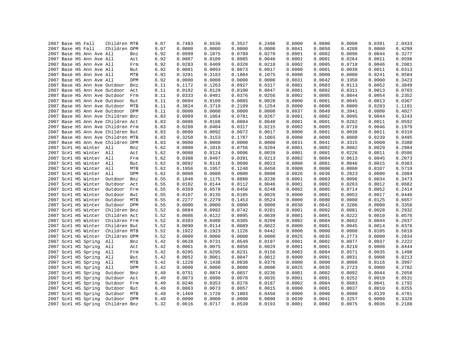|  | 2007 Base HS Fall |                          | Children MTB                      |            | 9.07 | 0.7483 | 0.6536 | 0.3527           | 0.2496 | 0.0000 | 0.0000 | 0.0000 | 0.0391 | 2.0433 |
|--|-------------------|--------------------------|-----------------------------------|------------|------|--------|--------|------------------|--------|--------|--------|--------|--------|--------|
|  | 2007 Base HS Fall |                          | Children DPM                      |            | 9.07 | 0.0000 | 0.0000 | 0.0000           | 0.0000 | 0.0041 | 0.0050 | 0.4208 | 0.0000 | 0.4299 |
|  |                   | 2007 Base HS Ann Ave All |                                   | Bnz        | 6.92 | 0.0999 | 0.1075 | 0.0789           | 0.0270 | 0.0001 | 0.0002 | 0.0096 | 0.0044 | 0.3277 |
|  |                   | 2007 Base HS Ann Ave All |                                   | Act        | 6.92 | 0.0087 | 0.0109 | 0.0085           | 0.0040 | 0.0001 | 0.0001 | 0.0264 | 0.0011 | 0.0598 |
|  |                   | 2007 Base HS Ann Ave All |                                   | Frm        | 6.92 | 0.0283 | 0.0409 | 0.0320           | 0.0218 | 0.0002 | 0.0005 | 0.0718 | 0.0046 | 0.2001 |
|  |                   | 2007 Base HS Ann Ave All |                                   | But        | 6.92 | 0.0081 | 0.0093 | 0.0073           | 0.0017 | 0.0000 | 0.0001 | 0.0038 | 0.0011 | 0.0313 |
|  |                   | 2007 Base HS Ann Ave All |                                   | MTB        | 6.92 | 0.3281 | 0.3183 | 0.1804           | 0.1075 | 0.0000 | 0.0000 | 0.0000 | 0.0241 | 0.9584 |
|  |                   | 2007 Base HS Ann Ave All |                                   | DPM        | 6.92 | 0.0000 | 0.0000 | 0.0000           | 0.0000 | 0.0031 | 0.0042 | 0.3350 | 0.0000 | 0.3423 |
|  |                   |                          | 2007 Base HS Ann Ave Outdoor      | Bnz        | 8.11 | 0.1172 | 0.1263 | 0.0927           | 0.0317 | 0.0001 | 0.0003 | 0.0113 | 0.0052 | 0.3849 |
|  |                   |                          | 2007 Base HS Ann Ave Outdoor Act  |            | 8.11 | 0.0102 | 0.0128 | 0.0100           | 0.0047 | 0.0001 | 0.0002 | 0.0311 | 0.0013 | 0.0703 |
|  |                   |                          | 2007 Base HS Ann Ave Outdoor Frm  |            | 8.11 | 0.0333 | 0.0481 | 0.0376           | 0.0256 | 0.0002 | 0.0005 | 0.0844 | 0.0054 | 0.2352 |
|  |                   |                          | 2007 Base HS Ann Ave Outdoor But  |            | 8.11 | 0.0094 | 0.0109 | 0.0085           | 0.0020 | 0.0000 | 0.0001 | 0.0045 | 0.0013 | 0.0367 |
|  |                   |                          | 2007 Base HS Ann Ave Outdoor      | MTB        | 8.11 | 0.3824 | 0.3719 | 0.2109           | 0.1254 | 0.0000 | 0.0000 | 0.0000 | 0.0283 | 1.1191 |
|  |                   |                          | 2007 Base HS Ann Ave Outdoor DPM  |            | 8.11 | 0.0000 | 0.0000 | 0.0000           | 0.0000 | 0.0037 | 0.0049 | 0.3941 | 0.0000 | 0.4027 |
|  |                   |                          | 2007 Base HS Ann Ave Children Bnz |            | 6.83 | 0.0989 | 0.1064 | 0.0781           | 0.0267 | 0.0001 | 0.0002 | 0.0095 | 0.0044 | 0.3243 |
|  |                   |                          | 2007 Base HS Ann Ave Children Act |            | 6.83 | 0.0086 | 0.0108 | 0.0084           | 0.0040 | 0.0001 | 0.0001 | 0.0262 | 0.0011 | 0.0592 |
|  |                   |                          | 2007 Base HS Ann Ave Children Frm |            | 6.83 | 0.0280 | 0.0404 | 0.0317           | 0.0215 | 0.0002 | 0.0005 | 0.0710 | 0.0046 | 0.1979 |
|  |                   |                          | 2007 Base HS Ann Ave Children But |            | 6.83 | 0.0080 | 0.0092 | 0.0072           | 0.0017 | 0.0000 | 0.0001 | 0.0038 | 0.0011 | 0.0310 |
|  |                   |                          | 2007 Base HS Ann Ave Children MTB |            | 6.83 | 0.3250 | 0.3153 | 0.1787           | 0.1065 | 0.0000 | 0.0000 | 0.0000 | 0.0239 | 0.9495 |
|  |                   |                          | 2007 Base HS Ann Ave Children DPM |            | 6.83 | 0.0000 | 0.0000 | 0.0000           | 0.0000 | 0.0031 | 0.0041 | 0.3315 | 0.0000 | 0.3388 |
|  |                   | 2007 Sc#1 HS Winter All  |                                   | Bnz        | 5.62 | 0.0900 | 0.1010 | 0.0756           | 0.0204 | 0.0001 | 0.0002 | 0.0082 | 0.0029 | 0.2984 |
|  |                   | 2007 Sc#1 HS Winter All  |                                   | Act        | 5.62 | 0.0088 | 0.0124 | 0.0096           | 0.0039 | 0.0001 | 0.0001 | 0.0226 | 0.0011 | 0.0586 |
|  |                   | 2007 Sc#1 HS Winter All  |                                   | Frm        | 5.62 | 0.0308 | 0.0497 | 0.0391           | 0.0213 | 0.0002 | 0.0004 | 0.0613 | 0.0045 | 0.2073 |
|  |                   | 2007 Sc#1 HS Winter All  |                                   | But        | 5.62 | 0.0092 | 0.0116 | 0.0090           | 0.0023 | 0.0000 | 0.0001 | 0.0046 | 0.0015 | 0.0383 |
|  |                   | 2007 Sc#1 HS Winter All  |                                   | MTB        | 5.62 | 0.1956 | 0.1957 | 0.1248           | 0.0450 | 0.0000 | 0.0000 | 0.0000 | 0.0107 | 0.5719 |
|  |                   | 2007 Sc#1 HS Winter All  |                                   | DPM        | 5.62 | 0.0000 | 0.0000 | 0.0000           | 0.0000 | 0.0026 | 0.0036 | 0.2823 | 0.0000 | 0.2884 |
|  |                   | 2007 Sc#1 HS Winter      | Outdoor                           | Bnz        | 6.55 | 0.1048 | 0.1175 | 0.0880           | 0.0238 | 0.0001 | 0.0003 | 0.0096 | 0.0034 | 0.3473 |
|  |                   | 2007 Sc#1 HS Winter      | Outdoor                           | Act        | 6.55 | 0.0102 | 0.0144 | 0.0112           | 0.0046 | 0.0001 | 0.0002 | 0.0263 | 0.0012 | 0.0682 |
|  |                   | 2007 Sc#1 HS Winter      | Outdoor                           | Frm        | 6.55 | 0.0359 | 0.0578 | 0.0456           | 0.0248 | 0.0002 | 0.0005 | 0.0714 | 0.0052 | 0.2414 |
|  |                   | 2007 Sc#1 HS Winter      | Outdoor                           | But        | 6.55 | 0.0107 | 0.0135 | 0.0105           | 0.0026 | 0.0000 | 0.0001 | 0.0053 | 0.0017 | 0.0446 |
|  |                   | 2007 Sc#1 HS Winter      | Outdoor                           | MTB        |      | 0.2277 | 0.2279 | 0.1453           | 0.0524 | 0.0000 | 0.0000 | 0.0000 | 0.0125 | 0.6657 |
|  |                   |                          |                                   |            | 6.55 |        |        |                  |        |        |        |        |        |        |
|  |                   | 2007 Sc#1 HS Winter      | Outdoor DPM<br>Children Bnz       |            | 6.55 | 0.0000 | 0.0000 | 0.0000<br>0.0742 | 0.0000 | 0.0030 | 0.0042 | 0.3286 | 0.0000 | 0.3358 |
|  |                   | 2007 Sc#1 HS Winter      |                                   |            | 5.52 | 0.0884 | 0.0992 |                  | 0.0201 | 0.0001 | 0.0002 | 0.0081 | 0.0028 | 0.2932 |
|  |                   | 2007 Sc#1 HS Winter      | Children Act                      |            | 5.52 | 0.0086 | 0.0122 | 0.0095           | 0.0039 | 0.0001 | 0.0001 | 0.0222 | 0.0010 | 0.0576 |
|  |                   | 2007 Sc#1 HS Winter      | Children Frm                      |            | 5.52 | 0.0303 | 0.0488 | 0.0385           | 0.0209 | 0.0002 | 0.0004 | 0.0602 | 0.0044 | 0.2037 |
|  |                   | 2007 Sc#1 HS Winter      | Children But                      |            | 5.52 | 0.0090 | 0.0114 | 0.0089           | 0.0022 | 0.0000 | 0.0001 | 0.0045 | 0.0014 | 0.0376 |
|  |                   | 2007 Sc#1 HS Winter      | Children MTB                      |            | 5.52 | 0.1922 | 0.1923 | 0.1226           | 0.0442 | 0.0000 | 0.0000 | 0.0000 | 0.0105 | 0.5619 |
|  |                   | 2007 Sc#1 HS Winter      | Children DPM                      |            | 5.52 | 0.0000 | 0.0000 | 0.0000           | 0.0000 | 0.0025 | 0.0035 | 0.2773 | 0.0000 | 0.2834 |
|  |                   | 2007 Sc#1 HS Spring      | All                               | Bnz        | 5.42 | 0.0628 | 0.0731 | 0.0549           | 0.0197 | 0.0001 | 0.0002 | 0.0077 | 0.0037 | 0.2222 |
|  |                   | 2007 Sc#1 HS Spring      | All                               | Act        | 5.42 | 0.0061 | 0.0075 | 0.0058           | 0.0029 | 0.0001 | 0.0001 | 0.0210 | 0.0008 | 0.0444 |
|  |                   | 2007 Sc#1 HS Spring      | All                               | Frm        | 5.42 | 0.0205 | 0.0295 | 0.0231           | 0.0156 | 0.0002 | 0.0004 | 0.0571 | 0.0035 | 0.1498 |
|  |                   | 2007 Sc#1 HS Spring      | All                               | But        | 5.42 | 0.0052 | 0.0061 | 0.0047           | 0.0012 | 0.0000 | 0.0001 | 0.0031 | 0.0008 | 0.0213 |
|  |                   | 2007 Sc#1 HS Spring      | All                               | MTB        | 5.42 | 0.1228 | 0.1438 | 0.0838           | 0.0376 | 0.0000 | 0.0000 | 0.0000 | 0.0116 | 0.3997 |
|  |                   | 2007 Sc#1 HS Spring      | All                               | DPM        | 5.42 | 0.0000 | 0.0000 | 0.0000           | 0.0000 | 0.0025 | 0.0035 | 0.2723 | 0.0000 | 0.2782 |
|  |                   | 2007 Sc#1 HS Spring      | Outdoor                           | Bnz        | 6.49 | 0.0751 | 0.0874 | 0.0657           | 0.0236 | 0.0001 | 0.0002 | 0.0092 | 0.0044 | 0.2658 |
|  |                   | 2007 Sc#1 HS Spring      | Outdoor                           | Act        | 6.49 | 0.0073 | 0.0090 | 0.0070           | 0.0035 | 0.0001 | 0.0001 | 0.0252 | 0.0010 | 0.0531 |
|  |                   | 2007 Sc#1 HS Spring      | Outdoor                           | Frm        | 6.49 | 0.0246 | 0.0353 | 0.0276           | 0.0187 | 0.0002 | 0.0004 | 0.0683 | 0.0041 | 0.1792 |
|  |                   | 2007 Sc#1 HS Spring      | Outdoor                           | But        | 6.49 | 0.0063 | 0.0073 | 0.0057           | 0.0015 | 0.0000 | 0.0001 | 0.0037 | 0.0010 | 0.0255 |
|  |                   | 2007 Sc#1 HS Spring      | Outdoor                           | MTB        | 6.49 | 0.1469 | 0.1720 | 0.1003           | 0.0450 | 0.0000 | 0.0000 | 0.0000 | 0.0139 | 0.4781 |
|  |                   | 2007 Sc#1 HS Spring      | Outdoor                           | <b>DPM</b> | 6.49 | 0.0000 | 0.0000 | 0.0000           | 0.0000 | 0.0030 | 0.0041 | 0.3257 | 0.0000 | 0.3328 |
|  |                   | 2007 Sc#1 HS Spring      | Children Bnz                      |            | 5.32 | 0.0616 | 0.0717 | 0.0539           | 0.0193 | 0.0001 | 0.0002 | 0.0075 | 0.0036 | 0.2180 |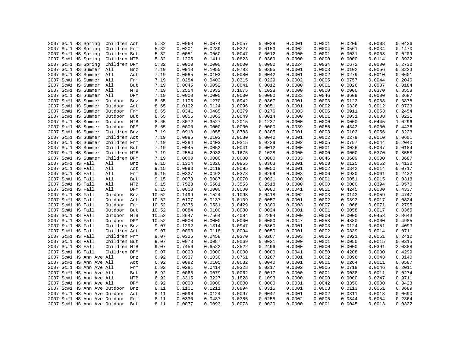|  | 2007 Sc#1 HS Spring          | Children Act |     | 5.32  | 0.0060 | 0.0074 | 0.0057 | 0.0028 | 0.0001 | 0.0001 | 0.0206 | 0.0008 | 0.0436 |
|--|------------------------------|--------------|-----|-------|--------|--------|--------|--------|--------|--------|--------|--------|--------|
|  | 2007 Sc#1 HS Spring          | Children Frm |     | 5.32  | 0.0201 | 0.0289 | 0.0227 | 0.0153 | 0.0002 | 0.0004 | 0.0561 | 0.0034 | 0.1470 |
|  | 2007 Sc#1 HS Spring          | Children But |     | 5.32  | 0.0051 | 0.0060 | 0.0047 | 0.0012 | 0.0000 | 0.0001 | 0.0031 | 0.0008 | 0.0209 |
|  | 2007 Sc#1 HS Spring          | Children MTB |     | 5.32  | 0.1205 | 0.1411 | 0.0823 | 0.0369 | 0.0000 | 0.0000 | 0.0000 | 0.0114 | 0.3922 |
|  | 2007 Sc#1 HS Spring          | Children DPM |     | 5.32  | 0.0000 | 0.0000 | 0.0000 | 0.0000 | 0.0024 | 0.0034 | 0.2672 | 0.0000 | 0.2730 |
|  | 2007 Sc#1 HS Summer          | All          | Bnz | 7.19  | 0.0918 | 0.1055 | 0.0783 | 0.0305 | 0.0001 | 0.0003 | 0.0102 | 0.0056 | 0.3223 |
|  | 2007 Sc#1 HS Summer All      |              | Act | 7.19  | 0.0085 | 0.0103 | 0.0080 | 0.0042 | 0.0001 | 0.0002 | 0.0279 | 0.0010 | 0.0601 |
|  | 2007 Sc#1 HS Summer All      |              | Frm | 7.19  | 0.0284 | 0.0403 | 0.0315 | 0.0229 | 0.0002 | 0.0005 | 0.0757 | 0.0044 | 0.2040 |
|  | 2007 Sc#1 HS Summer All      |              | But | 7.19  | 0.0045 | 0.0052 | 0.0041 | 0.0012 | 0.0000 | 0.0001 | 0.0026 | 0.0007 | 0.0184 |
|  | 2007 Sc#1 HS Summer All      |              | MTB | 7.19  | 0.2554 | 0.2932 | 0.1675 | 0.1028 | 0.0000 | 0.0000 | 0.0000 | 0.0370 | 0.8558 |
|  | 2007 Sc#1 HS Summer          | All          | DPM | 7.19  | 0.0000 | 0.0000 | 0.0000 | 0.0000 | 0.0033 | 0.0046 | 0.3609 | 0.0000 | 0.3687 |
|  | 2007 Sc#1 HS Summer          | Outdoor      | Bnz | 8.65  | 0.1105 | 0.1270 | 0.0942 | 0.0367 | 0.0001 | 0.0003 | 0.0122 | 0.0068 | 0.3878 |
|  | 2007 Sc#1 HS Summer          | Outdoor      | Act | 8.65  | 0.0102 | 0.0124 | 0.0096 | 0.0051 | 0.0001 | 0.0002 | 0.0336 | 0.0012 | 0.0723 |
|  | 2007 Sc#1 HS Summer          | Outdoor      | Frm | 8.65  | 0.0341 | 0.0485 | 0.0379 | 0.0276 | 0.0003 | 0.0006 | 0.0911 | 0.0053 | 0.2454 |
|  | 2007 Sc#1 HS Summer          | Outdoor      | But | 8.65  | 0.0055 | 0.0063 | 0.0049 | 0.0014 | 0.0000 | 0.0001 | 0.0031 | 0.0008 | 0.0221 |
|  | 2007 Sc#1 HS Summer          | Outdoor MTB  |     | 8.65  | 0.3072 | 0.3527 | 0.2015 | 0.1237 | 0.0000 | 0.0000 | 0.0000 | 0.0445 | 1.0296 |
|  | 2007 Sc#1 HS Summer          | Outdoor DPM  |     | 8.65  | 0.0000 | 0.0000 | 0.0000 | 0.0000 | 0.0039 | 0.0055 | 0.4342 | 0.0000 | 0.4436 |
|  | 2007 Sc#1 HS Summer          | Children Bnz |     | 7.19  | 0.0918 | 0.1055 | 0.0783 | 0.0305 | 0.0001 | 0.0003 | 0.0102 | 0.0056 | 0.3223 |
|  | 2007 Sc#1 HS Summer          | Children Act |     | 7.19  | 0.0085 | 0.0103 | 0.0080 | 0.0042 | 0.0001 | 0.0002 | 0.0279 | 0.0010 | 0.0601 |
|  | 2007 Sc#1 HS Summer          | Children Frm |     | 7.19  | 0.0284 | 0.0403 | 0.0315 | 0.0229 | 0.0002 | 0.0005 | 0.0757 | 0.0044 | 0.2040 |
|  | 2007 Sc#1 HS Summer          | Children But |     | 7.19  | 0.0045 | 0.0052 | 0.0041 | 0.0012 | 0.0000 | 0.0001 | 0.0026 | 0.0007 | 0.0184 |
|  | 2007 Sc#1 HS Summer          | Children MTB |     | 7.19  | 0.2554 | 0.2932 | 0.1675 | 0.1028 | 0.0000 | 0.0000 | 0.0000 | 0.0370 | 0.8558 |
|  | 2007 Sc#1 HS Summer          | Children DPM |     | 7.19  | 0.0000 | 0.0000 | 0.0000 | 0.0000 | 0.0033 | 0.0046 | 0.3609 | 0.0000 | 0.3687 |
|  | 2007 Sc#1 HS Fall            | All          | Bnz | 9.15  | 0.1304 | 0.1326 | 0.0955 | 0.0363 | 0.0001 | 0.0003 | 0.0125 | 0.0052 | 0.4130 |
|  | 2007 Sc#1 HS Fall            | All          | Act | 9.15  | 0.0093 | 0.0119 | 0.0095 | 0.0050 | 0.0001 | 0.0002 | 0.0342 | 0.0014 | 0.0717 |
|  | 2007 Sc#1 HS Fall            | All          | Frm | 9.15  | 0.0327 | 0.0462 | 0.0373 | 0.0269 | 0.0003 | 0.0006 | 0.0930 | 0.0061 | 0.2432 |
|  | 2007 Sc#1 HS Fall            | All          | But | 9.15  | 0.0073 | 0.0087 | 0.0070 | 0.0021 | 0.0000 | 0.0001 | 0.0051 | 0.0015 | 0.0318 |
|  | 2007 Sc#1 HS Fall            | All          | MTB | 9.15  | 0.7523 | 0.6581 | 0.3553 | 0.2518 | 0.0000 | 0.0000 | 0.0000 | 0.0394 | 2.0570 |
|  | 2007 Sc#1 HS Fall            | All          | DPM | 9.15  | 0.0000 | 0.0000 | 0.0000 | 0.0000 | 0.0041 | 0.0051 | 0.4245 | 0.0000 | 0.4337 |
|  | 2007 Sc#1 HS Fall            | Outdoor      | Bnz | 10.52 | 0.1499 | 0.1524 | 0.1098 | 0.0418 | 0.0002 | 0.0003 | 0.0143 | 0.0059 | 0.4747 |
|  |                              |              |     |       |        | 0.0137 | 0.0109 | 0.0057 | 0.0001 | 0.0002 | 0.0393 | 0.0017 | 0.0824 |
|  | 2007 Sc#1 HS Fall            | Outdoor      | Act | 10.52 | 0.0107 |        |        |        |        |        |        |        |        |
|  | 2007 Sc#1 HS Fall            | Outdoor      | Frm | 10.52 | 0.0376 | 0.0531 | 0.0429 | 0.0309 | 0.0003 | 0.0007 | 0.1068 | 0.0071 | 0.2795 |
|  | 2007 Sc#1 HS Fall            | Outdoor      | But | 10.52 | 0.0084 | 0.0100 | 0.0080 | 0.0024 | 0.0001 | 0.0001 | 0.0058 | 0.0017 | 0.0365 |
|  | 2007 Sc#1 HS Fall            | Outdoor      | MTB | 10.52 | 0.8647 | 0.7564 | 0.4084 | 0.2894 | 0.0000 | 0.0000 | 0.0000 | 0.0453 | 2.3643 |
|  | 2007 Sc#1 HS Fall            | Outdoor DPM  |     | 10.52 | 0.0000 | 0.0000 | 0.0000 | 0.0000 | 0.0047 | 0.0058 | 0.4880 | 0.0000 | 0.4985 |
|  | 2007 Sc#1 HS Fall            | Children Bnz |     | 9.07  | 0.1292 | 0.1314 | 0.0947 | 0.0360 | 0.0001 | 0.0003 | 0.0124 | 0.0051 | 0.4093 |
|  | 2007 Sc#1 HS Fall            | Children Act |     | 9.07  | 0.0093 | 0.0118 | 0.0094 | 0.0050 | 0.0001 | 0.0002 | 0.0339 | 0.0014 | 0.0711 |
|  | 2007 Sc#1 HS Fall            | Children Frm |     | 9.07  | 0.0325 | 0.0458 | 0.0370 | 0.0267 | 0.0003 | 0.0006 | 0.0921 | 0.0061 | 0.2410 |
|  | 2007 Sc#1 HS Fall            | Children But |     | 9.07  | 0.0073 | 0.0087 | 0.0069 | 0.0021 | 0.0000 | 0.0001 | 0.0050 | 0.0015 | 0.0315 |
|  | 2007 Sc#1 HS Fall            | Children MTB |     | 9.07  | 0.7456 | 0.6522 | 0.3522 | 0.2496 | 0.0000 | 0.0000 | 0.0000 | 0.0391 | 2.0388 |
|  | 2007 Sc#1 HS Fall            | Children DPM |     | 9.07  | 0.0000 | 0.0000 | 0.0000 | 0.0000 | 0.0041 | 0.0050 | 0.4208 | 0.0000 | 0.4299 |
|  | 2007 Sc#1 HS Ann Ave All     |              | Bnz | 6.92  | 0.0937 | 0.1030 | 0.0761 | 0.0267 | 0.0001 | 0.0002 | 0.0096 | 0.0043 | 0.3140 |
|  | 2007 Sc#1 HS Ann Ave All     |              | Act | 6.92  | 0.0082 | 0.0105 | 0.0082 | 0.0040 | 0.0001 | 0.0001 | 0.0264 | 0.0011 | 0.0587 |
|  | 2007 Sc#1 HS Ann Ave All     |              | Frm | 6.92  | 0.0281 | 0.0414 | 0.0328 | 0.0217 | 0.0002 | 0.0005 | 0.0718 | 0.0046 | 0.2011 |
|  | 2007 Sc#1 HS Ann Ave All     |              | But | 6.92  | 0.0066 | 0.0079 | 0.0062 | 0.0017 | 0.0000 | 0.0001 | 0.0038 | 0.0011 | 0.0274 |
|  | 2007 Sc#1 HS Ann Ave All     |              | MTB | 6.92  | 0.3315 | 0.3227 | 0.1828 | 0.1093 | 0.0000 | 0.0000 | 0.0000 | 0.0247 | 0.9711 |
|  | 2007 Sc#1 HS Ann Ave All     |              | DPM | 6.92  | 0.0000 | 0.0000 | 0.0000 | 0.0000 | 0.0031 | 0.0042 | 0.3350 | 0.0000 | 0.3423 |
|  | 2007 Sc#1 HS Ann Ave Outdoor |              | Bnz | 8.11  | 0.1101 | 0.1211 | 0.0894 | 0.0315 | 0.0001 | 0.0003 | 0.0113 | 0.0051 | 0.3689 |
|  | 2007 Sc#1 HS Ann Ave Outdoor |              | Act | 8.11  | 0.0096 | 0.0124 | 0.0097 | 0.0047 | 0.0001 | 0.0002 | 0.0311 | 0.0013 | 0.0690 |
|  | 2007 Sc#1 HS Ann Ave Outdoor |              | Frm | 8.11  | 0.0330 | 0.0487 | 0.0385 | 0.0255 | 0.0002 | 0.0005 | 0.0844 | 0.0054 | 0.2364 |
|  | 2007 Sc#1 HS Ann Ave Outdoor |              | But | 8.11  | 0.0077 | 0.0093 | 0.0073 | 0.0020 | 0.0000 | 0.0001 | 0.0045 | 0.0013 | 0.0322 |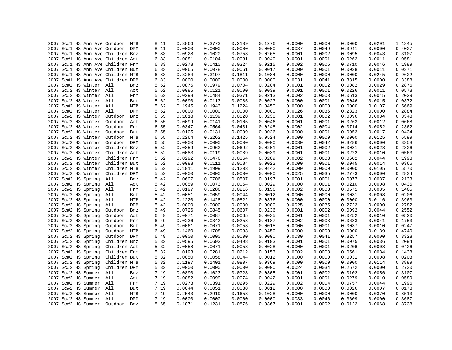|  |  |                         | 2007 Sc#1 HS Ann Ave Outdoor MTB  |     | 8.11 | 0.3866 | 0.3773 | 0.2139 | 0.1276 | 0.0000 | 0.0000 | 0.0000 | 0.0291 | 1.1345 |
|--|--|-------------------------|-----------------------------------|-----|------|--------|--------|--------|--------|--------|--------|--------|--------|--------|
|  |  |                         | 2007 Sc#1 HS Ann Ave Outdoor DPM  |     | 8.11 | 0.0000 | 0.0000 | 0.0000 | 0.0000 | 0.0037 | 0.0049 | 0.3941 | 0.0000 | 0.4027 |
|  |  |                         | 2007 Sc#1 HS Ann Ave Children Bnz |     | 6.83 | 0.0928 | 0.1020 | 0.0753 | 0.0265 | 0.0001 | 0.0002 | 0.0095 | 0.0043 | 0.3107 |
|  |  |                         | 2007 Sc#1 HS Ann Ave Children Act |     | 6.83 | 0.0081 | 0.0104 | 0.0081 | 0.0040 | 0.0001 | 0.0001 | 0.0262 | 0.0011 | 0.0581 |
|  |  |                         | 2007 Sc#1 HS Ann Ave Children Frm |     | 6.83 | 0.0278 | 0.0410 | 0.0324 | 0.0215 | 0.0002 | 0.0005 | 0.0710 | 0.0046 | 0.1989 |
|  |  |                         | 2007 Sc#1 HS Ann Ave Children But |     | 6.83 | 0.0065 | 0.0078 | 0.0061 | 0.0017 | 0.0000 | 0.0001 | 0.0038 | 0.0011 | 0.0271 |
|  |  |                         | 2007 Sc#1 HS Ann Ave Children MTB |     | 6.83 | 0.3284 | 0.3197 | 0.1811 | 0.1084 | 0.0000 | 0.0000 | 0.0000 | 0.0245 | 0.9622 |
|  |  |                         | 2007 Sc#1 HS Ann Ave Children DPM |     | 6.83 | 0.0000 | 0.0000 | 0.0000 | 0.0000 | 0.0031 | 0.0041 | 0.3315 | 0.0000 | 0.3388 |
|  |  | 2007 Sc#2 HS Winter All |                                   | Bnz | 5.62 | 0.0875 | 0.0979 | 0.0704 | 0.0204 | 0.0001 | 0.0002 | 0.0082 | 0.0029 | 0.2876 |
|  |  | 2007 Sc#2 HS Winter All |                                   | Act | 5.62 | 0.0085 | 0.0121 | 0.0090 | 0.0039 | 0.0001 | 0.0001 | 0.0226 | 0.0011 | 0.0573 |
|  |  | 2007 Sc#2 HS Winter All |                                   | Frm | 5.62 | 0.0298 | 0.0484 | 0.0371 | 0.0213 | 0.0002 | 0.0003 | 0.0613 | 0.0045 | 0.2029 |
|  |  | 2007 Sc#2 HS Winter All |                                   | But | 5.62 | 0.0090 | 0.0113 | 0.0085 | 0.0023 | 0.0000 | 0.0001 | 0.0046 | 0.0015 | 0.0372 |
|  |  | 2007 Sc#2 HS Winter All |                                   | MTB | 5.62 | 0.1945 | 0.1943 | 0.1224 | 0.0450 | 0.0000 | 0.0000 | 0.0000 | 0.0107 | 0.5669 |
|  |  | 2007 Sc#2 HS Winter All |                                   | DPM | 5.62 | 0.0000 | 0.0000 | 0.0000 | 0.0000 | 0.0026 | 0.0036 | 0.2823 | 0.0000 | 0.2884 |
|  |  | 2007 Sc#2 HS Winter     | Outdoor                           | Bnz | 6.55 | 0.1018 | 0.1139 | 0.0820 | 0.0238 | 0.0001 | 0.0002 | 0.0096 | 0.0034 | 0.3348 |
|  |  | 2007 Sc#2 HS Winter     | Outdoor                           | Act | 6.55 | 0.0099 | 0.0141 | 0.0105 | 0.0046 | 0.0001 | 0.0001 | 0.0263 | 0.0012 | 0.0668 |
|  |  | 2007 Sc#2 HS Winter     | Outdoor Frm                       |     | 6.55 | 0.0347 | 0.0564 | 0.0431 | 0.0248 | 0.0002 | 0.0004 | 0.0714 | 0.0052 | 0.2362 |
|  |  | 2007 Sc#2 HS Winter     |                                   |     |      |        |        |        |        |        |        |        |        |        |
|  |  |                         | Outdoor But                       |     | 6.55 | 0.0105 | 0.0131 | 0.0099 | 0.0026 | 0.0000 | 0.0001 | 0.0053 | 0.0017 | 0.0434 |
|  |  | 2007 Sc#2 HS Winter     | Outdoor MTB                       |     | 6.55 | 0.2264 | 0.2262 | 0.1425 | 0.0524 | 0.0000 | 0.0000 | 0.0000 | 0.0125 | 0.6599 |
|  |  | 2007 Sc#2 HS Winter     | Outdoor DPM                       |     | 6.55 | 0.0000 | 0.0000 | 0.0000 | 0.0000 | 0.0030 | 0.0042 | 0.3286 | 0.0000 | 0.3358 |
|  |  | 2007 Sc#2 HS Winter     | Children Bnz                      |     | 5.52 | 0.0859 | 0.0962 | 0.0692 | 0.0201 | 0.0001 | 0.0002 | 0.0081 | 0.0028 | 0.2826 |
|  |  | 2007 Sc#2 HS Winter     | Children Act                      |     | 5.52 | 0.0083 | 0.0119 | 0.0089 | 0.0039 | 0.0001 | 0.0001 | 0.0222 | 0.0010 | 0.0563 |
|  |  | 2007 Sc#2 HS Winter     | Children Frm                      |     | 5.52 | 0.0292 | 0.0476 | 0.0364 | 0.0209 | 0.0002 | 0.0003 | 0.0602 | 0.0044 | 0.1993 |
|  |  | 2007 Sc#2 HS Winter     | Children But                      |     | 5.52 | 0.0088 | 0.0111 | 0.0084 | 0.0022 | 0.0000 | 0.0001 | 0.0045 | 0.0014 | 0.0366 |
|  |  | 2007 Sc#2 HS Winter     | Children MTB                      |     | 5.52 | 0.1911 | 0.1909 | 0.1203 | 0.0442 | 0.0000 | 0.0000 | 0.0000 | 0.0105 | 0.5570 |
|  |  | 2007 Sc#2 HS Winter     | Children DPM                      |     | 5.52 | 0.0000 | 0.0000 | 0.0000 | 0.0000 | 0.0025 | 0.0035 | 0.2773 | 0.0000 | 0.2834 |
|  |  | 2007 Sc#2 HS Spring     | All                               | Bnz | 5.42 | 0.0607 | 0.0706 | 0.0507 | 0.0197 | 0.0001 | 0.0001 | 0.0077 | 0.0037 | 0.2133 |
|  |  | 2007 Sc#2 HS Spring     | All                               | Act | 5.42 | 0.0059 | 0.0073 | 0.0054 | 0.0029 | 0.0000 | 0.0001 | 0.0210 | 0.0008 | 0.0435 |
|  |  | 2007 Sc#2 HS Spring     | All                               | Frm | 5.42 | 0.0197 | 0.0286 | 0.0216 | 0.0156 | 0.0002 | 0.0003 | 0.0571 | 0.0035 | 0.1465 |
|  |  | 2007 Sc#2 HS Spring     | All                               | But | 5.42 | 0.0051 | 0.0059 | 0.0044 | 0.0012 | 0.0000 | 0.0000 | 0.0031 | 0.0008 | 0.0206 |
|  |  | 2007 Sc#2 HS Spring     | All                               | MTB | 5.42 | 0.1220 | 0.1428 | 0.0822 | 0.0376 | 0.0000 | 0.0000 | 0.0000 | 0.0116 | 0.3963 |
|  |  | 2007 Sc#2 HS Spring     | All                               | DPM | 5.42 | 0.0000 | 0.0000 | 0.0000 | 0.0000 | 0.0025 | 0.0035 | 0.2723 | 0.0000 | 0.2782 |
|  |  | 2007 Sc#2 HS Spring     | Outdoor                           | Bnz | 6.49 | 0.0726 | 0.0845 | 0.0607 | 0.0236 | 0.0001 | 0.0002 | 0.0092 | 0.0044 | 0.2552 |
|  |  | 2007 Sc#2 HS Spring     | Outdoor                           | Act | 6.49 | 0.0071 | 0.0087 | 0.0065 | 0.0035 | 0.0001 | 0.0001 | 0.0252 | 0.0010 | 0.0520 |
|  |  | 2007 Sc#2 HS Spring     | Outdoor                           | Frm | 6.49 | 0.0236 | 0.0342 | 0.0258 | 0.0187 | 0.0002 | 0.0003 | 0.0683 | 0.0041 | 0.1753 |
|  |  | 2007 Sc#2 HS Spring     | Outdoor                           | But | 6.49 | 0.0061 | 0.0071 | 0.0053 | 0.0015 | 0.0000 | 0.0001 | 0.0037 | 0.0010 | 0.0247 |
|  |  | 2007 Sc#2 HS Spring     | Outdoor                           | MTB | 6.49 | 0.1460 | 0.1708 | 0.0983 | 0.0450 | 0.0000 | 0.0000 | 0.0000 | 0.0139 | 0.4740 |
|  |  | 2007 Sc#2 HS Spring     | Outdoor DPM                       |     | 6.49 | 0.0000 | 0.0000 | 0.0000 | 0.0000 | 0.0030 | 0.0041 | 0.3257 | 0.0000 | 0.3328 |
|  |  | 2007 Sc#2 HS Spring     | Children Bnz                      |     | 5.32 | 0.0595 | 0.0693 | 0.0498 | 0.0193 | 0.0001 | 0.0001 | 0.0075 | 0.0036 | 0.2094 |
|  |  | 2007 Sc#2 HS Spring     | Children Act                      |     | 5.32 | 0.0058 | 0.0071 | 0.0053 | 0.0028 | 0.0000 | 0.0001 | 0.0206 | 0.0008 | 0.0426 |
|  |  | 2007 Sc#2 HS Spring     | Children Frm                      |     | 5.32 | 0.0193 | 0.0281 | 0.0212 | 0.0153 | 0.0002 | 0.0003 | 0.0561 | 0.0034 | 0.1438 |
|  |  | 2007 Sc#2 HS Spring     | Children But                      |     | 5.32 | 0.0050 | 0.0058 | 0.0044 | 0.0012 | 0.0000 | 0.0000 | 0.0031 | 0.0008 | 0.0203 |
|  |  | 2007 Sc#2 HS Spring     | Children MTB                      |     | 5.32 | 0.1197 | 0.1401 | 0.0807 | 0.0369 | 0.0000 | 0.0000 | 0.0000 | 0.0114 | 0.3889 |
|  |  | 2007 Sc#2 HS Spring     | Children DPM                      |     | 5.32 | 0.0000 | 0.0000 | 0.0000 | 0.0000 | 0.0024 | 0.0034 | 0.2672 | 0.0000 | 0.2730 |
|  |  | 2007 Sc#2 HS Summer     | All                               | Bnz | 7.19 | 0.0890 | 0.1023 | 0.0728 | 0.0305 | 0.0001 | 0.0002 | 0.0102 | 0.0056 | 0.3107 |
|  |  |                         | All                               |     |      | 0.0082 | 0.0099 | 0.0074 | 0.0042 | 0.0001 | 0.0001 | 0.0279 | 0.0010 | 0.0589 |
|  |  | 2007 Sc#2 HS Summer     |                                   | Act | 7.19 |        |        |        |        |        |        |        |        |        |
|  |  | 2007 Sc#2 HS Summer All |                                   | Frm | 7.19 | 0.0273 | 0.0391 | 0.0295 | 0.0229 | 0.0002 | 0.0004 | 0.0757 | 0.0044 | 0.1996 |
|  |  | 2007 Sc#2 HS Summer All |                                   | But | 7.19 | 0.0044 | 0.0051 | 0.0038 | 0.0012 | 0.0000 | 0.0000 | 0.0026 | 0.0007 | 0.0178 |
|  |  | 2007 Sc#2 HS Summer All |                                   | MTB | 7.19 | 0.2543 | 0.2919 | 0.1653 | 0.1028 | 0.0000 | 0.0000 | 0.0000 | 0.0370 | 0.8513 |
|  |  | 2007 Sc#2 HS Summer All |                                   | DPM | 7.19 | 0.0000 | 0.0000 | 0.0000 | 0.0000 | 0.0033 | 0.0046 | 0.3609 | 0.0000 | 0.3687 |
|  |  |                         | 2007 Sc#2 HS Summer Outdoor       | Bnz | 8.65 | 0.1071 | 0.1231 | 0.0876 | 0.0367 | 0.0001 | 0.0002 | 0.0122 | 0.0068 | 0.3738 |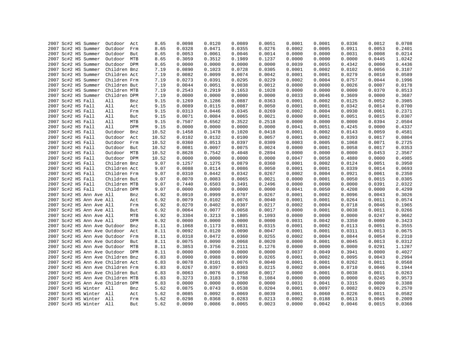|  | 2007 Sc#2 HS Summer |                          | Outdoor Act                       |            | 8.65  | 0.0098           | 0.0120           | 0.0089 | 0.0051 | 0.0001           | 0.0001           | 0.0336           | 0.0012 | 0.0708 |
|--|---------------------|--------------------------|-----------------------------------|------------|-------|------------------|------------------|--------|--------|------------------|------------------|------------------|--------|--------|
|  | 2007 Sc#2 HS Summer |                          | Outdoor                           | Frm        | 8.65  | 0.0328           | 0.0471           | 0.0355 | 0.0276 | 0.0002           | 0.0005           | 0.0911           | 0.0053 | 0.2401 |
|  | 2007 Sc#2 HS Summer |                          | Outdoor                           | But        | 8.65  | 0.0053           | 0.0061           | 0.0046 | 0.0014 | 0.0000           | 0.0000           | 0.0031           | 0.0008 | 0.0214 |
|  | 2007 Sc#2 HS Summer |                          | Outdoor                           | MTB        | 8.65  | 0.3059           | 0.3512           | 0.1989 | 0.1237 | 0.0000           | 0.0000           | 0.0000           | 0.0445 | 1.0242 |
|  | 2007 Sc#2 HS Summer |                          | Outdoor DPM                       |            | 8.65  | 0.0000           | 0.0000           | 0.0000 | 0.0000 | 0.0039           | 0.0055           | 0.4342           | 0.0000 | 0.4436 |
|  | 2007 Sc#2 HS Summer |                          | Children Bnz                      |            | 7.19  | 0.0890           | 0.1023           | 0.0728 | 0.0305 | 0.0001           | 0.0002           | 0.0102           | 0.0056 | 0.3107 |
|  | 2007 Sc#2 HS Summer |                          | Children Act                      |            | 7.19  | 0.0082           | 0.0099           | 0.0074 | 0.0042 | 0.0001           | 0.0001           | 0.0279           | 0.0010 | 0.0589 |
|  | 2007 Sc#2 HS Summer |                          | Children Frm                      |            | 7.19  | 0.0273           | 0.0391           | 0.0295 | 0.0229 | 0.0002           | 0.0004           | 0.0757           | 0.0044 | 0.1996 |
|  | 2007 Sc#2 HS Summer |                          | Children But                      |            | 7.19  | 0.0044           | 0.0051           | 0.0038 | 0.0012 | 0.0000           | 0.0000           | 0.0026           | 0.0007 | 0.0178 |
|  | 2007 Sc#2 HS Summer |                          | Children MTB                      |            | 7.19  | 0.2543           | 0.2919           | 0.1653 | 0.1028 | 0.0000           | 0.0000           | 0.0000           | 0.0370 | 0.8513 |
|  | 2007 Sc#2 HS Summer |                          | Children DPM                      |            | 7.19  | 0.0000           | 0.0000           | 0.0000 | 0.0000 | 0.0033           | 0.0046           | 0.3609           | 0.0000 | 0.3687 |
|  | 2007 Sc#2 HS Fall   |                          | All                               | Bnz        | 9.15  | 0.1269           | 0.1286           | 0.0887 | 0.0363 | 0.0001           | 0.0002           | 0.0125           | 0.0052 | 0.3985 |
|  | 2007 Sc#2 HS Fall   |                          | All                               | Act        | 9.15  | 0.0089           | 0.0115           | 0.0087 | 0.0050 | 0.0001           | 0.0001           | 0.0342           | 0.0014 | 0.0700 |
|  | 2007 Sc#2 HS Fall   |                          | All                               | Frm        | 9.15  | 0.0313           | 0.0446           | 0.0345 | 0.0269 | 0.0002           | 0.0004           | 0.0930           | 0.0061 | 0.2371 |
|  | 2007 Sc#2 HS Fall   |                          | All                               | But        | 9.15  | 0.0071           | 0.0084           | 0.0065 | 0.0021 | 0.0000           | 0.0001           | 0.0051           | 0.0015 | 0.0307 |
|  | 2007 Sc#2 HS Fall   |                          | All                               | MTB        | 9.15  | 0.7507           | 0.6562           | 0.3522 | 0.2518 | 0.0000           | 0.0000           | 0.0000           | 0.0394 | 2.0504 |
|  | 2007 Sc#2 HS Fall   |                          | All                               | DPM        | 9.15  | 0.0000           | 0.0000           | 0.0000 | 0.0000 | 0.0041           | 0.0051           | 0.4245           | 0.0000 | 0.4337 |
|  | 2007 Sc#2 HS Fall   |                          | Outdoor                           | Bnz        | 10.52 | 0.1458           | 0.1478           | 0.1020 | 0.0418 | 0.0001           | 0.0002           | 0.0143           | 0.0059 | 0.4581 |
|  | 2007 Sc#2 HS Fall   |                          | Outdoor                           | Act        | 10.52 | 0.0102           | 0.0132           | 0.0100 | 0.0057 | 0.0001           | 0.0002           | 0.0393           | 0.0017 | 0.0804 |
|  | 2007 Sc#2 HS Fall   |                          | Outdoor Frm                       |            | 10.52 | 0.0360           | 0.0513           | 0.0397 | 0.0309 | 0.0003           | 0.0005           | 0.1068           | 0.0071 | 0.2725 |
|  | 2007 Sc#2 HS Fall   |                          | Outdoor                           | But        | 10.52 | 0.0081           | 0.0097           | 0.0075 | 0.0024 | 0.0000           | 0.0001           | 0.0058           | 0.0017 | 0.0353 |
|  | 2007 Sc#2 HS Fall   |                          | Outdoor MTB                       |            | 10.52 | 0.8628           | 0.7542           | 0.4048 | 0.2894 | 0.0000           | 0.0000           | 0.0000           | 0.0453 | 2.3567 |
|  | 2007 Sc#2 HS Fall   |                          | Outdoor DPM                       |            | 10.52 | 0.0000           | 0.0000           | 0.0000 | 0.0000 | 0.0047           | 0.0058           | 0.4880           | 0.0000 | 0.4985 |
|  | 2007 Sc#2 HS Fall   |                          | Children Bnz                      |            | 9.07  | 0.1257           | 0.1275           | 0.0879 | 0.0360 | 0.0001           | 0.0002           | 0.0124           | 0.0051 | 0.3950 |
|  | 2007 Sc#2 HS Fall   |                          | Children Act                      |            | 9.07  | 0.0088           | 0.0114           | 0.0086 | 0.0050 | 0.0001           | 0.0001           | 0.0339           | 0.0014 | 0.0693 |
|  | 2007 Sc#2 HS Fall   |                          | Children Frm                      |            | 9.07  | 0.0310           | 0.0442           | 0.0342 | 0.0267 | 0.0002           | 0.0004           | 0.0921           | 0.0061 | 0.2350 |
|  | 2007 Sc#2 HS Fall   |                          | Children But                      |            | 9.07  | 0.0070           | 0.0083           | 0.0065 | 0.0021 | 0.0000           | 0.0001           | 0.0050           | 0.0015 | 0.0305 |
|  | 2007 Sc#2 HS Fall   |                          | Children MTB                      |            | 9.07  | 0.7440           | 0.6503           | 0.3491 | 0.2496 | 0.0000           | 0.0000           | 0.0000           | 0.0391 | 2.0322 |
|  |                     |                          | Children DPM                      |            | 9.07  | 0.0000           | 0.0000           | 0.0000 | 0.0000 | 0.0041           | 0.0050           | 0.4208           | 0.0000 | 0.4299 |
|  | 2007 Sc#2 HS Fall   | 2007 Sc#2 HS Ann Ave All |                                   |            | 6.92  | 0.0910           | 0.0999           | 0.0707 | 0.0267 | 0.0001           | 0.0002           | 0.0096           | 0.0043 | 0.3026 |
|  |                     |                          |                                   | Bnz        | 6.92  | 0.0079           | 0.0102           | 0.0076 | 0.0040 | 0.0001           | 0.0001           | 0.0264           | 0.0011 | 0.0574 |
|  |                     | 2007 Sc#2 HS Ann Ave All |                                   | Act        |       |                  |                  | 0.0307 |        |                  |                  |                  | 0.0046 | 0.1965 |
|  |                     | 2007 Sc#2 HS Ann Ave All |                                   | Frm        | 6.92  | 0.0270           | 0.0402           |        | 0.0217 | 0.0002           | 0.0004           | 0.0718           |        |        |
|  |                     | 2007 Sc#2 HS Ann Ave All |                                   | But        | 6.92  | 0.0064           | 0.0077           | 0.0058 | 0.0017 | 0.0000           | 0.0001           | 0.0038           | 0.0011 | 0.0266 |
|  |                     | 2007 Sc#2 HS Ann Ave All |                                   | MTB<br>DPM | 6.92  | 0.3304<br>0.0000 | 0.3213           | 0.1805 | 0.1093 | 0.0000           | 0.0000           | 0.0000           | 0.0247 | 0.9662 |
|  |                     | 2007 Sc#2 HS Ann Ave All |                                   |            | 6.92  |                  | 0.0000           | 0.0000 | 0.0000 | 0.0031           | 0.0042           | 0.3350           | 0.0000 | 0.3423 |
|  |                     |                          | 2007 Sc#2 HS Ann Ave Outdoor      | Bnz        | 8.11  | 0.1068           | 0.1173           | 0.0831 | 0.0315 | 0.0001           | 0.0002           | 0.0113           | 0.0051 | 0.3555 |
|  |                     |                          | 2007 Sc#2 HS Ann Ave Outdoor Act  |            | 8.11  | 0.0092           | 0.0120           | 0.0090 | 0.0047 | 0.0001           | 0.0001           | 0.0311           | 0.0013 | 0.0675 |
|  |                     |                          | 2007 Sc#2 HS Ann Ave Outdoor      | Frm        | 8.11  | 0.0318<br>0.0075 | 0.0472<br>0.0090 | 0.0360 | 0.0255 | 0.0002<br>0.0000 | 0.0004<br>0.0001 | 0.0844<br>0.0045 | 0.0054 | 0.2310 |
|  |                     |                          | 2007 Sc#2 HS Ann Ave Outdoor      | But        | 8.11  |                  |                  | 0.0068 | 0.0020 |                  |                  |                  | 0.0013 | 0.0312 |
|  |                     |                          | 2007 Sc#2 HS Ann Ave Outdoor      | MTB        | 8.11  | 0.3853           | 0.3756           | 0.2111 | 0.1276 | 0.0000           | 0.0000           | 0.0000           | 0.0291 | 1.1287 |
|  |                     |                          | 2007 Sc#2 HS Ann Ave Outdoor DPM  |            | 8.11  | 0.0000           | 0.0000           | 0.0000 | 0.0000 | 0.0037           | 0.0049           | 0.3941           | 0.0000 | 0.4027 |
|  |                     |                          | 2007 Sc#2 HS Ann Ave Children Bnz |            | 6.83  | 0.0900           | 0.0988           | 0.0699 | 0.0265 | 0.0001           | 0.0002           | 0.0095           | 0.0043 | 0.2994 |
|  |                     |                          | 2007 Sc#2 HS Ann Ave Children Act |            | 6.83  | 0.0078           | 0.0101           | 0.0076 | 0.0040 | 0.0001           | 0.0001           | 0.0262           | 0.0011 | 0.0568 |
|  |                     |                          | 2007 Sc#2 HS Ann Ave Children Frm |            | 6.83  | 0.0267           | 0.0397           | 0.0303 | 0.0215 | 0.0002           | 0.0004           | 0.0710           | 0.0046 | 0.1944 |
|  |                     |                          | 2007 Sc#2 HS Ann Ave Children But |            | 6.83  | 0.0063           | 0.0076           | 0.0058 | 0.0017 | 0.0000           | 0.0001           | 0.0038           | 0.0011 | 0.0263 |
|  |                     |                          | 2007 Sc#2 HS Ann Ave Children MTB |            | 6.83  | 0.3273           | 0.3183           | 0.1788 | 0.1084 | 0.0000           | 0.0000           | 0.0000           | 0.0245 | 0.9573 |
|  |                     |                          | 2007 Sc#2 HS Ann Ave Children DPM |            | 6.83  | 0.0000           | 0.0000           | 0.0000 | 0.0000 | 0.0031           | 0.0041           | 0.3315           | 0.0000 | 0.3388 |
|  |                     | 2007 Sc#3 HS Winter All  |                                   | Bnz        | 5.62  | 0.0875           | 0.0743           | 0.0538 | 0.0204 | 0.0001           | 0.0097           | 0.0082           | 0.0029 | 0.2570 |
|  |                     | 2007 Sc#3 HS Winter All  |                                   | Act        | 5.62  | 0.0085           | 0.0092           | 0.0069 | 0.0039 | 0.0001           | 0.0060           | 0.0226           | 0.0011 | 0.0582 |
|  |                     | 2007 Sc#3 HS Winter All  |                                   | Frm        | 5.62  | 0.0298           | 0.0368           | 0.0283 | 0.0213 | 0.0002           | 0.0188           | 0.0613           | 0.0045 | 0.2009 |
|  |                     | 2007 Sc#3 HS Winter All  |                                   | <b>But</b> | 5.62  | 0.0090           | 0.0086           | 0.0065 | 0.0023 | 0.0000           | 0.0042           | 0.0046           | 0.0015 | 0.0366 |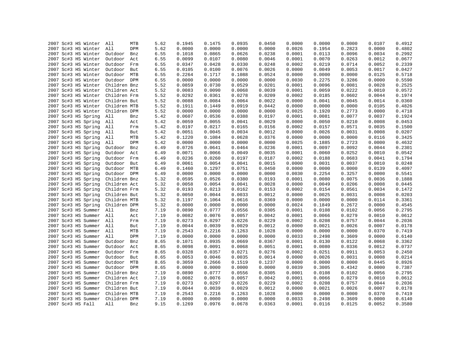| 2007 Sc#3 HS Winter     | All<br>MTB     | 5.62 | 0.1945 | 0.1475 | 0.0935 | 0.0450 | 0.0000 | 0.0000 | 0.0000 | 0.0107 | 0.4912 |
|-------------------------|----------------|------|--------|--------|--------|--------|--------|--------|--------|--------|--------|
| 2007 Sc#3 HS Winter     | All<br>DPM     | 5.62 | 0.0000 | 0.0000 | 0.0000 | 0.0000 | 0.0026 | 0.1954 | 0.2823 | 0.0000 | 0.4802 |
| 2007 Sc#3 HS Winter     | Outdoor<br>Bnz | 6.55 | 0.1018 | 0.0865 | 0.0626 | 0.0238 | 0.0001 | 0.0113 | 0.0096 | 0.0034 | 0.2992 |
| 2007 Sc#3 HS Winter     | Outdoor<br>Act | 6.55 | 0.0099 | 0.0107 | 0.0080 | 0.0046 | 0.0001 | 0.0070 | 0.0263 | 0.0012 | 0.0677 |
| 2007 Sc#3 HS Winter     | Outdoor<br>Frm | 6.55 | 0.0347 | 0.0428 | 0.0330 | 0.0248 | 0.0002 | 0.0219 | 0.0714 | 0.0052 | 0.2339 |
| 2007 Sc#3 HS Winter     | Outdoor<br>But | 6.55 | 0.0105 | 0.0100 | 0.0076 | 0.0026 | 0.0000 | 0.0049 | 0.0053 | 0.0017 | 0.0427 |
| 2007 Sc#3 HS Winter     | Outdoor MTB    | 6.55 | 0.2264 | 0.1717 | 0.1088 | 0.0524 | 0.0000 | 0.0000 | 0.0000 | 0.0125 | 0.5718 |
| 2007 Sc#3 HS Winter     | Outdoor DPM    | 6.55 | 0.0000 | 0.0000 | 0.0000 | 0.0000 | 0.0030 | 0.2275 | 0.3286 | 0.0000 | 0.5590 |
| 2007 Sc#3 HS Winter     | Children Bnz   | 5.52 | 0.0859 | 0.0730 | 0.0529 | 0.0201 | 0.0001 | 0.0096 | 0.0081 | 0.0028 | 0.2525 |
| 2007 Sc#3 HS Winter     | Children Act   | 5.52 | 0.0083 | 0.0090 | 0.0068 | 0.0039 | 0.0001 | 0.0059 | 0.0222 | 0.0010 | 0.0572 |
| 2007 Sc#3 HS Winter     | Children Frm   | 5.52 | 0.0292 | 0.0361 | 0.0278 | 0.0209 | 0.0002 | 0.0185 | 0.0602 | 0.0044 | 0.1974 |
| 2007 Sc#3 HS Winter     | Children But   | 5.52 | 0.0088 | 0.0084 | 0.0064 | 0.0022 | 0.0000 | 0.0041 | 0.0045 | 0.0014 | 0.0360 |
| 2007 Sc#3 HS Winter     | Children MTB   | 5.52 | 0.1911 | 0.1449 | 0.0919 | 0.0442 | 0.0000 | 0.0000 | 0.0000 | 0.0105 | 0.4826 |
| 2007 Sc#3 HS Winter     | Children DPM   | 5.52 | 0.0000 | 0.0000 | 0.0000 | 0.0000 | 0.0025 | 0.1920 | 0.2773 | 0.0000 | 0.4718 |
| 2007 Sc#3 HS Spring     | All<br>Bnz     | 5.42 | 0.0607 | 0.0536 | 0.0388 | 0.0197 | 0.0001 | 0.0081 | 0.0077 | 0.0037 | 0.1924 |
| 2007 Sc#3 HS Spring     | All<br>Act     | 5.42 | 0.0059 | 0.0055 | 0.0041 | 0.0029 | 0.0000 | 0.0050 | 0.0210 | 0.0008 | 0.0453 |
| 2007 Sc#3 HS Spring     | All<br>Frm     | 5.42 | 0.0197 | 0.0217 | 0.0165 | 0.0156 | 0.0002 | 0.0157 | 0.0571 | 0.0035 | 0.1500 |
| 2007 Sc#3 HS Spring     | All<br>But     | 5.42 | 0.0051 | 0.0045 | 0.0034 | 0.0012 | 0.0000 | 0.0026 | 0.0031 | 0.0008 | 0.0207 |
| 2007 Sc#3 HS Spring     | All<br>MTB     | 5.42 | 0.1220 | 0.1084 | 0.0628 | 0.0376 | 0.0000 | 0.0000 | 0.0000 | 0.0116 | 0.3425 |
| 2007 Sc#3 HS Spring     | All<br>DPM     | 5.42 | 0.0000 | 0.0000 | 0.0000 | 0.0000 | 0.0025 | 0.1885 | 0.2723 | 0.0000 | 0.4632 |
| 2007 Sc#3 HS Spring     | Outdoor<br>Bnz | 6.49 | 0.0726 | 0.0641 | 0.0464 | 0.0236 | 0.0001 | 0.0097 | 0.0092 | 0.0044 | 0.2301 |
| 2007 Sc#3 HS Spring     | Outdoor<br>Act | 6.49 | 0.0071 | 0.0066 | 0.0049 | 0.0035 | 0.0001 | 0.0060 | 0.0252 | 0.0010 | 0.0542 |
| 2007 Sc#3 HS Spring     | Outdoor<br>Frm | 6.49 | 0.0236 | 0.0260 | 0.0197 | 0.0187 | 0.0002 | 0.0188 | 0.0683 | 0.0041 | 0.1794 |
| 2007 Sc#3 HS Spring     | Outdoor<br>But | 6.49 | 0.0061 | 0.0054 | 0.0041 | 0.0015 | 0.0000 | 0.0031 | 0.0037 | 0.0010 | 0.0248 |
| 2007 Sc#3 HS Spring     | Outdoor MTB    | 6.49 | 0.1460 | 0.1297 | 0.0751 | 0.0450 | 0.0000 | 0.0000 | 0.0000 | 0.0139 | 0.4097 |
| 2007 Sc#3 HS Spring     | Outdoor DPM    | 6.49 | 0.0000 | 0.0000 | 0.0000 | 0.0000 | 0.0030 | 0.2254 | 0.3257 | 0.0000 | 0.5541 |
| 2007 Sc#3 HS Spring     | Children Bnz   | 5.32 | 0.0595 | 0.0526 | 0.0380 | 0.0193 | 0.0001 | 0.0080 | 0.0075 | 0.0036 | 0.1888 |
| 2007 Sc#3 HS Spring     | Children Act   | 5.32 | 0.0058 | 0.0054 | 0.0041 | 0.0028 | 0.0000 | 0.0049 | 0.0206 | 0.0008 | 0.0445 |
| 2007 Sc#3 HS Spring     | Children Frm   | 5.32 | 0.0193 | 0.0213 | 0.0162 | 0.0153 | 0.0002 | 0.0154 | 0.0561 | 0.0034 | 0.1472 |
| 2007 Sc#3 HS Spring     | Children But   | 5.32 | 0.0050 | 0.0044 | 0.0033 | 0.0012 | 0.0000 | 0.0025 | 0.0031 | 0.0008 | 0.0203 |
| 2007 Sc#3 HS Spring     | Children MTB   | 5.32 | 0.1197 | 0.1064 | 0.0616 | 0.0369 | 0.0000 | 0.0000 | 0.0000 | 0.0114 | 0.3361 |
| 2007 Sc#3 HS Spring     | Children DPM   | 5.32 | 0.0000 | 0.0000 | 0.0000 | 0.0000 | 0.0024 | 0.1849 | 0.2672 | 0.0000 | 0.4545 |
| 2007 Sc#3 HS Summer     | All<br>Bnz     | 7.19 | 0.0890 | 0.0777 | 0.0556 | 0.0305 | 0.0001 | 0.0108 | 0.0102 | 0.0056 | 0.2795 |
| 2007 Sc#3 HS Summer All | Act            | 7.19 | 0.0082 | 0.0076 | 0.0057 | 0.0042 | 0.0001 | 0.0066 | 0.0279 | 0.0010 | 0.0612 |
| 2007 Sc#3 HS Summer All | Frm            | 7.19 | 0.0273 | 0.0297 | 0.0226 | 0.0229 | 0.0002 | 0.0208 | 0.0757 | 0.0044 | 0.2036 |
| 2007 Sc#3 HS Summer     | All<br>But     | 7.19 | 0.0044 | 0.0039 | 0.0029 | 0.0012 | 0.0000 | 0.0021 | 0.0026 | 0.0007 | 0.0178 |
| 2007 Sc#3 HS Summer All | MTB            | 7.19 | 0.2543 | 0.2216 | 0.1263 | 0.1028 | 0.0000 | 0.0000 | 0.0000 | 0.0370 | 0.7419 |
| 2007 Sc#3 HS Summer     | All<br>DPM     | 7.19 | 0.0000 | 0.0000 | 0.0000 | 0.0000 | 0.0033 | 0.2498 | 0.3609 | 0.0000 | 0.6140 |
| 2007 Sc#3 HS Summer     | Outdoor<br>Bnz | 8.65 | 0.1071 | 0.0935 | 0.0669 | 0.0367 | 0.0001 | 0.0130 | 0.0122 | 0.0068 | 0.3362 |
| 2007 Sc#3 HS Summer     | Outdoor<br>Act | 8.65 | 0.0098 | 0.0091 | 0.0068 | 0.0051 | 0.0001 | 0.0080 | 0.0336 | 0.0012 | 0.0737 |
| 2007 Sc#3 HS Summer     | Outdoor<br>Frm | 8.65 | 0.0328 | 0.0357 | 0.0271 | 0.0276 | 0.0002 | 0.0251 | 0.0911 | 0.0053 | 0.2450 |
| 2007 Sc#3 HS Summer     | Outdoor<br>But | 8.65 | 0.0053 | 0.0046 | 0.0035 | 0.0014 | 0.0000 | 0.0026 | 0.0031 | 0.0008 | 0.0214 |
| 2007 Sc#3 HS Summer     | Outdoor MTB    | 8.65 | 0.3059 | 0.2666 | 0.1519 | 0.1237 | 0.0000 | 0.0000 | 0.0000 | 0.0445 | 0.8926 |
| 2007 Sc#3 HS Summer     | Outdoor DPM    | 8.65 | 0.0000 | 0.0000 | 0.0000 | 0.0000 | 0.0039 | 0.3005 | 0.4342 | 0.0000 | 0.7387 |
| 2007 Sc#3 HS Summer     | Children Bnz   | 7.19 | 0.0890 | 0.0777 | 0.0556 | 0.0305 | 0.0001 | 0.0108 | 0.0102 | 0.0056 | 0.2795 |
| 2007 Sc#3 HS Summer     | Children Act   | 7.19 | 0.0082 | 0.0076 | 0.0057 | 0.0042 | 0.0001 | 0.0066 | 0.0279 | 0.0010 | 0.0612 |
| 2007 Sc#3 HS Summer     | Children Frm   | 7.19 | 0.0273 | 0.0297 | 0.0226 | 0.0229 | 0.0002 | 0.0208 | 0.0757 | 0.0044 | 0.2036 |
| 2007 Sc#3 HS Summer     | Children But   | 7.19 | 0.0044 | 0.0039 | 0.0029 | 0.0012 | 0.0000 | 0.0021 | 0.0026 | 0.0007 | 0.0178 |
| 2007 Sc#3 HS Summer     | Children MTB   | 7.19 | 0.2543 | 0.2216 | 0.1263 | 0.1028 | 0.0000 | 0.0000 | 0.0000 | 0.0370 | 0.7419 |
| 2007 Sc#3 HS Summer     | Children DPM   | 7.19 | 0.0000 | 0.0000 | 0.0000 | 0.0000 | 0.0033 | 0.2498 | 0.3609 | 0.0000 | 0.6140 |
| 2007 Sc#3 HS Fall       | All<br>Bnz     | 9.15 | 0.1269 | 0.0976 | 0.0678 | 0.0363 | 0.0001 | 0.0116 | 0.0125 | 0.0052 | 0.3580 |
|                         |                |      |        |        |        |        |        |        |        |        |        |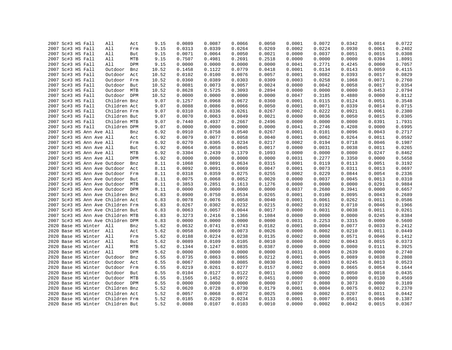|  | 2007 Sc#3 HS Fall                 | All          | Act        | 9.15  | 0.0089 | 0.0087 | 0.0066 | 0.0050 | 0.0001 | 0.0072 | 0.0342 | 0.0014 | 0.0722 |
|--|-----------------------------------|--------------|------------|-------|--------|--------|--------|--------|--------|--------|--------|--------|--------|
|  | 2007 Sc#3 HS Fall                 | All          | Frm        | 9.15  | 0.0313 | 0.0339 | 0.0264 | 0.0269 | 0.0002 | 0.0224 | 0.0930 | 0.0061 | 0.2402 |
|  | 2007 Sc#3 HS Fall                 | All          | But        | 9.15  | 0.0071 | 0.0064 | 0.0050 | 0.0021 | 0.0000 | 0.0037 | 0.0051 | 0.0015 | 0.0308 |
|  | 2007 Sc#3 HS Fall                 | All          | MTB        | 9.15  | 0.7507 | 0.4981 | 0.2691 | 0.2518 | 0.0000 | 0.0000 | 0.0000 | 0.0394 | 1.8091 |
|  | 2007 Sc#3 HS Fall                 | All          | DPM        | 9.15  | 0.0000 | 0.0000 | 0.0000 | 0.0000 | 0.0041 | 0.2771 | 0.4245 | 0.0000 | 0.7057 |
|  | 2007 Sc#3 HS Fall                 | Outdoor      | Bnz        | 10.52 | 0.1458 | 0.1122 | 0.0779 | 0.0418 | 0.0001 | 0.0134 | 0.0143 | 0.0059 | 0.4115 |
|  | 2007 Sc#3 HS Fall                 | Outdoor      | Act        | 10.52 | 0.0102 | 0.0100 | 0.0076 | 0.0057 | 0.0001 | 0.0082 | 0.0393 | 0.0017 | 0.0829 |
|  | 2007 Sc#3 HS Fall                 | Outdoor      | Frm        | 10.52 | 0.0360 | 0.0389 | 0.0303 | 0.0309 | 0.0003 | 0.0258 | 0.1068 | 0.0071 | 0.2760 |
|  | 2007 Sc#3 HS Fall                 | Outdoor But  |            | 10.52 | 0.0081 | 0.0073 | 0.0057 | 0.0024 | 0.0000 | 0.0042 | 0.0058 | 0.0017 | 0.0354 |
|  | 2007 Sc#3 HS Fall                 | Outdoor MTB  |            | 10.52 | 0.8628 | 0.5725 | 0.3093 | 0.2894 | 0.0000 | 0.0000 | 0.0000 | 0.0453 | 2.0794 |
|  | 2007 Sc#3 HS Fall                 | Outdoor DPM  |            | 10.52 | 0.0000 | 0.0000 | 0.0000 | 0.0000 | 0.0047 | 0.3185 | 0.4880 | 0.0000 | 0.8112 |
|  | 2007 Sc#3 HS Fall                 | Children Bnz |            | 9.07  | 0.1257 | 0.0968 | 0.0672 | 0.0360 | 0.0001 | 0.0115 | 0.0124 | 0.0051 | 0.3548 |
|  | 2007 Sc#3 HS Fall                 | Children Act |            | 9.07  | 0.0088 | 0.0086 | 0.0066 | 0.0050 | 0.0001 | 0.0071 | 0.0339 | 0.0014 | 0.0715 |
|  | 2007 Sc#3 HS Fall                 | Children Frm |            | 9.07  | 0.0310 | 0.0336 | 0.0261 | 0.0267 | 0.0002 | 0.0222 | 0.0921 | 0.0061 | 0.2380 |
|  | 2007 Sc#3 HS Fall                 | Children But |            | 9.07  | 0.0070 | 0.0063 | 0.0049 | 0.0021 | 0.0000 | 0.0036 | 0.0050 | 0.0015 | 0.0305 |
|  | 2007 Sc#3 HS Fall                 | Children MTB |            | 9.07  | 0.7440 | 0.4937 | 0.2667 | 0.2496 | 0.0000 | 0.0000 | 0.0000 | 0.0391 | 1.7931 |
|  | 2007 Sc#3 HS Fall                 | Children DPM |            | 9.07  | 0.0000 | 0.0000 | 0.0000 | 0.0000 | 0.0041 | 0.2746 | 0.4208 | 0.0000 | 0.6995 |
|  | 2007 Sc#3 HS Ann Ave All          |              | Bnz        | 6.92  | 0.0910 | 0.0758 | 0.0540 | 0.0267 | 0.0001 | 0.0101 | 0.0096 | 0.0043 | 0.2717 |
|  | 2007 Sc#3 HS Ann Ave All          |              | Act        | 6.92  | 0.0079 | 0.0077 | 0.0058 | 0.0040 | 0.0001 | 0.0062 | 0.0264 | 0.0011 | 0.0592 |
|  | 2007 Sc#3 HS Ann Ave All          |              | Frm        | 6.92  | 0.0270 | 0.0305 | 0.0234 | 0.0217 | 0.0002 | 0.0194 | 0.0718 | 0.0046 | 0.1987 |
|  | 2007 Sc#3 HS Ann Ave All          |              | But        | 6.92  | 0.0064 | 0.0058 | 0.0045 | 0.0017 | 0.0000 | 0.0031 | 0.0038 | 0.0011 | 0.0265 |
|  | 2007 Sc#3 HS Ann Ave All          |              |            | 6.92  | 0.3304 |        | 0.1379 | 0.1093 | 0.0000 | 0.0000 | 0.0000 | 0.0247 |        |
|  |                                   |              | MTB<br>DPM |       | 0.0000 | 0.2439 |        |        |        |        |        |        | 0.8462 |
|  | 2007 Sc#3 HS Ann Ave All          |              |            | 6.92  |        | 0.0000 | 0.0000 | 0.0000 | 0.0031 | 0.2277 | 0.3350 | 0.0000 | 0.5658 |
|  | 2007 Sc#3 HS Ann Ave Outdoor      |              | Bnz        | 8.11  | 0.1068 | 0.0891 | 0.0634 | 0.0315 | 0.0001 | 0.0119 | 0.0113 | 0.0051 | 0.3192 |
|  | 2007 Sc#3 HS Ann Ave Outdoor      |              | Act        | 8.11  | 0.0092 | 0.0091 | 0.0069 | 0.0047 | 0.0001 | 0.0073 | 0.0311 | 0.0013 | 0.0697 |
|  | 2007 Sc#3 HS Ann Ave Outdoor Frm  |              |            | 8.11  | 0.0318 | 0.0359 | 0.0275 | 0.0255 | 0.0002 | 0.0229 | 0.0844 | 0.0054 | 0.2336 |
|  | 2007 Sc#3 HS Ann Ave Outdoor      |              | But        | 8.11  | 0.0075 | 0.0068 | 0.0052 | 0.0020 | 0.0000 | 0.0037 | 0.0045 | 0.0013 | 0.0310 |
|  | 2007 Sc#3 HS Ann Ave Outdoor MTB  |              |            | 8.11  | 0.3853 | 0.2851 | 0.1613 | 0.1276 | 0.0000 | 0.0000 | 0.0000 | 0.0291 | 0.9884 |
|  | 2007 Sc#3 HS Ann Ave Outdoor DPM  |              |            | 8.11  | 0.0000 | 0.0000 | 0.0000 | 0.0000 | 0.0037 | 0.2680 | 0.3941 | 0.0000 | 0.6657 |
|  | 2007 Sc#3 HS Ann Ave Children Bnz |              |            | 6.83  | 0.0900 | 0.0750 | 0.0534 | 0.0265 | 0.0001 | 0.0100 | 0.0095 | 0.0043 | 0.2689 |
|  | 2007 Sc#3 HS Ann Ave Children Act |              |            | 6.83  | 0.0078 | 0.0076 | 0.0058 | 0.0040 | 0.0001 | 0.0061 | 0.0262 | 0.0011 | 0.0586 |
|  | 2007 Sc#3 HS Ann Ave Children Frm |              |            | 6.83  | 0.0267 | 0.0302 | 0.0232 | 0.0215 | 0.0002 | 0.0192 | 0.0710 | 0.0046 | 0.1966 |
|  | 2007 Sc#3 HS Ann Ave Children But |              |            | 6.83  | 0.0063 | 0.0057 | 0.0044 | 0.0017 | 0.0000 | 0.0031 | 0.0038 | 0.0011 | 0.0261 |
|  | 2007 Sc#3 HS Ann Ave Children MTB |              |            | 6.83  | 0.3273 | 0.2416 | 0.1366 | 0.1084 | 0.0000 | 0.0000 | 0.0000 | 0.0245 | 0.8384 |
|  | 2007 Sc#3 HS Ann Ave Children DPM |              |            | 6.83  | 0.0000 | 0.0000 | 0.0000 | 0.0000 | 0.0031 | 0.2253 | 0.3315 | 0.0000 | 0.5600 |
|  | 2020 Base HS Winter All           |              | Bnz        | 5.62  | 0.0632 | 0.0741 | 0.0743 | 0.0182 | 0.0001 | 0.0004 | 0.0077 | 0.0033 | 0.2412 |
|  | 2020 Base HS Winter All           |              | Act        | 5.62  | 0.0058 | 0.0069 | 0.0073 | 0.0026 | 0.0000 | 0.0002 | 0.0210 | 0.0011 | 0.0449 |
|  | 2020 Base HS Winter All           |              | Frm        | 5.62  | 0.0188 | 0.0224 | 0.0238 | 0.0135 | 0.0002 | 0.0008 | 0.0571 | 0.0046 | 0.1412 |
|  | 2020 Base HS Winter All           |              | But        | 5.62  | 0.0089 | 0.0109 | 0.0105 | 0.0010 | 0.0000 | 0.0002 | 0.0043 | 0.0015 | 0.0373 |
|  | 2020 Base HS Winter All           |              | MTB        | 5.62  | 0.1344 | 0.1247 | 0.0835 | 0.0387 | 0.0000 | 0.0000 | 0.0000 | 0.0111 | 0.3925 |
|  | 2020 Base HS Winter All           |              | DPM        | 5.62  | 0.0000 | 0.0000 | 0.0000 | 0.0000 | 0.0031 | 0.0069 | 0.2639 | 0.0000 | 0.2740 |
|  | 2020 Base HS Winter               | Outdoor      | Bnz        | 6.55  | 0.0735 | 0.0863 | 0.0865 | 0.0212 | 0.0001 | 0.0005 | 0.0089 | 0.0038 | 0.2808 |
|  | 2020 Base HS Winter               | Outdoor      | Act        | 6.55  | 0.0067 | 0.0080 | 0.0085 | 0.0030 | 0.0001 | 0.0003 | 0.0245 | 0.0013 | 0.0523 |
|  | 2020 Base HS Winter               | Outdoor Frm  |            | 6.55  | 0.0219 | 0.0261 | 0.0277 | 0.0157 | 0.0002 | 0.0009 | 0.0665 | 0.0054 | 0.1644 |
|  | 2020 Base HS Winter               | Outdoor But  |            | 6.55  | 0.0104 | 0.0127 | 0.0122 | 0.0011 | 0.0000 | 0.0002 | 0.0050 | 0.0018 | 0.0435 |
|  | 2020 Base HS Winter               | Outdoor MTB  |            | 6.55  | 0.1565 | 0.1452 | 0.0972 | 0.0451 | 0.0000 | 0.0000 | 0.0000 | 0.0130 | 0.4569 |
|  | 2020 Base HS Winter               | Outdoor DPM  |            | 6.55  | 0.0000 | 0.0000 | 0.0000 | 0.0000 | 0.0037 | 0.0080 | 0.3073 | 0.0000 | 0.3189 |
|  | 2020 Base HS Winter               | Children Bnz |            | 5.52  | 0.0620 | 0.0728 | 0.0730 | 0.0179 | 0.0001 | 0.0004 | 0.0075 | 0.0032 | 0.2370 |
|  | 2020 Base HS Winter               | Children Act |            | 5.52  | 0.0057 | 0.0068 | 0.0072 | 0.0025 | 0.0000 | 0.0002 | 0.0207 | 0.0011 | 0.0442 |
|  | 2020 Base HS Winter               | Children Frm |            | 5.52  | 0.0185 | 0.0220 | 0.0234 | 0.0133 | 0.0001 | 0.0007 | 0.0561 | 0.0046 | 0.1387 |
|  | 2020 Base HS Winter               | Children But |            | 5.52  | 0.0088 | 0.0107 | 0.0103 | 0.0010 | 0.0000 | 0.0002 | 0.0042 | 0.0015 | 0.0367 |
|  |                                   |              |            |       |        |        |        |        |        |        |        |        |        |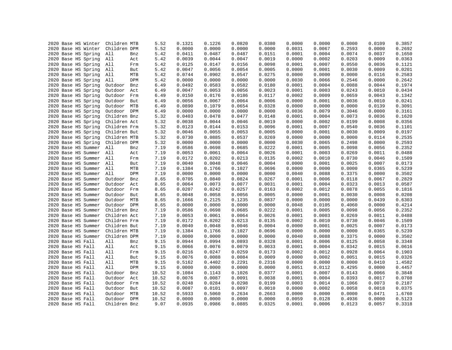| 2020 Base HS Winter                    | Children MTB            |             | 5.52           | 0.1321           | 0.1226           | 0.0820           | 0.0380           | 0.0000           | 0.0000           | 0.0000           | 0.0109           | 0.3857           |
|----------------------------------------|-------------------------|-------------|----------------|------------------|------------------|------------------|------------------|------------------|------------------|------------------|------------------|------------------|
| 2020 Base HS Winter                    | Children DPM            |             | 5.52           | 0.0000           | 0.0000           | 0.0000           | 0.0000           | 0.0031           | 0.0067           | 0.2593           | 0.0000           | 0.2692           |
| 2020 Base HS Spring                    | All                     | Bnz         | 5.42           | 0.0411           | 0.0487           | 0.0487           | 0.0151           | 0.0001           | 0.0004           | 0.0074           | 0.0037           | 0.1650           |
| 2020 Base HS Spring                    | All                     | Act         | 5.42           | 0.0039           | 0.0044           | 0.0047           | 0.0019           | 0.0000           | 0.0002           | 0.0203           | 0.0009           | 0.0363           |
| 2020 Base HS Spring                    | All                     | Frm         | 5.42           | 0.0125           | 0.0147           | 0.0156           | 0.0098           | 0.0001           | 0.0007           | 0.0550           | 0.0036           | 0.1121           |
| 2020 Base HS Spring                    | All                     | But         | 5.42           | 0.0047           | 0.0056           | 0.0054           | 0.0005           | 0.0000           | 0.0001           | 0.0030           | 0.0009           | 0.0201           |
| 2020 Base HS Spring                    | All                     | ${\tt MTB}$ | 5.42           | 0.0744           | 0.0902           | 0.0547           | 0.0275           | 0.0000           | 0.0000           | 0.0000           | 0.0116           | 0.2583           |
| 2020 Base HS Spring                    | All                     | DPM         | 5.42           | 0.0000           | 0.0000           | 0.0000           | 0.0000           | 0.0030           | 0.0066           | 0.2546           | 0.0000           | 0.2642           |
| 2020 Base HS Spring                    | Outdoor                 | Bnz         | 6.49           | 0.0492           | 0.0583           | 0.0582           | 0.0180           | 0.0001           | 0.0004           | 0.0088           | 0.0044           | 0.1974           |
| 2020 Base HS Spring                    | Outdoor                 | Act         | 6.49           | 0.0047           | 0.0053           | 0.0056           | 0.0023           | 0.0001           | 0.0003           | 0.0243           | 0.0010           | 0.0434           |
| 2020 Base HS Spring                    | Outdoor                 | Frm         | 6.49           | 0.0150           | 0.0176           | 0.0186           | 0.0117           | 0.0002           | 0.0009           | 0.0659           | 0.0043           | 0.1342           |
| 2020 Base HS Spring                    | Outdoor                 | But         | 6.49           | 0.0056           | 0.0067           | 0.0064           | 0.0006           | 0.0000           | 0.0001           | 0.0036           | 0.0010           | 0.0241           |
| 2020 Base HS Spring                    | Outdoor                 | MTB         | 6.49           | 0.0890           | 0.1079           | 0.0654           | 0.0328           | 0.0000           | 0.0000           | 0.0000           | 0.0139           | 0.3091           |
| 2020 Base HS Spring                    | Outdoor                 | <b>DPM</b>  | 6.49           | 0.0000           | 0.0000           | 0.0000           | 0.0000           | 0.0036           | 0.0079           | 0.3046           | 0.0000           | 0.3161           |
| 2020 Base HS Spring                    | Children Bnz            |             | 5.32           | 0.0403           | 0.0478           | 0.0477           | 0.0148           | 0.0001           | 0.0004           | 0.0073           | 0.0036           | 0.1620           |
| 2020 Base HS Spring                    | Children Act            |             | 5.32           | 0.0038           | 0.0044           | 0.0046           | 0.0019           | 0.0000           | 0.0002           | 0.0199           | 0.0008           | 0.0356           |
| 2020 Base HS Spring                    | Children Frm            |             | 5.32           | 0.0123           | 0.0144           | 0.0153           | 0.0096           | 0.0001           | 0.0007           | 0.0540           | 0.0036           | 0.1101           |
| 2020 Base HS Spring                    | Children But            |             | 5.32           | 0.0046           | 0.0055           | 0.0053           | 0.0005           | 0.0000           | 0.0001           | 0.0030           | 0.0009           | 0.0197           |
| 2020 Base HS Spring                    | Children MTB            |             | 5.32           | 0.0730           | 0.0885           | 0.0537           | 0.0269           | 0.0000           | 0.0000           | 0.0000           | 0.0114           | 0.2535           |
| 2020 Base HS Spring                    | Children DPM            |             | 5.32           | 0.0000           | 0.0000           | 0.0000           | 0.0000           | 0.0030           | 0.0065           | 0.2498           | 0.0000           | 0.2593           |
| 2020 Base HS Summer                    | All                     | Bnz         | 7.19           | 0.0586           | 0.0698           | 0.0685           | 0.0222           | 0.0001           | 0.0005           | 0.0098           | 0.0056           | 0.2352           |
| 2020 Base HS Summer                    | All                     | Act         | 7.19           | 0.0053           | 0.0061           | 0.0064           | 0.0026           | 0.0001           | 0.0003           | 0.0269           | 0.0011           | 0.0488           |
| 2020 Base HS Summer                    | All                     | Frm         | 7.19           | 0.0172           | 0.0202           | 0.0213           | 0.0135           | 0.0002           | 0.0010           | 0.0730           | 0.0046           | 0.1509           |
| 2020 Base HS Summer                    | All                     | But         | 7.19           | 0.0040           | 0.0048           | 0.0046           | 0.0004           | 0.0000           | 0.0001           | 0.0025           | 0.0007           | 0.0173           |
| 2020 Base HS Summer                    | All                     | MTB         | 7.19           | 0.1384           | 0.1766           | 0.1027           | 0.0696           | 0.0000           | 0.0000           | 0.0000           | 0.0365           | 0.5239           |
| 2020 Base HS Summer                    | All                     | DPM         | 7.19           | 0.0000           | 0.0000           | 0.0000           | 0.0000           | 0.0040           | 0.0088           | 0.3375           | 0.0000           | 0.3502           |
| 2020 Base HS Summer                    | Outdoor                 | Bnz         | 8.65           | 0.0705           | 0.0840           | 0.0824           | 0.0267           | 0.0001           | 0.0006           | 0.0118           | 0.0067           | 0.2829           |
| 2020 Base HS Summer                    | Outdoor                 | Act         | 8.65           | 0.0064           | 0.0073           | 0.0077           | 0.0031           | 0.0001           | 0.0004           | 0.0323           | 0.0013           | 0.0587           |
| 2020 Base HS Summer                    | Outdoor                 | Frm         | 8.65           | 0.0207           | 0.0242           | 0.0257           | 0.0163           | 0.0002           | 0.0012           | 0.0878           | 0.0055           | 0.1816           |
| 2020 Base HS Summer                    | Outdoor                 | But         | 8.65           | 0.0048           | 0.0058           | 0.0056           | 0.0005           | 0.0000           | 0.0001           | 0.0030           | 0.0008           | 0.0208           |
| 2020 Base HS Summer                    | Outdoor                 | MTB         | 8.65           | 0.1666           | 0.2125           | 0.1235           | 0.0837           | 0.0000           | 0.0000           | 0.0000           | 0.0439           | 0.6303           |
| 2020 Base HS Summer                    | Outdoor                 | DPM         | 8.65           | 0.0000           | 0.0000           | 0.0000           | 0.0000           | 0.0048           | 0.0105           | 0.4060           | 0.0000           | 0.4214           |
| 2020 Base HS Summer                    | Children Bnz            |             | 7.19           | 0.0586           | 0.0698           | 0.0685           | 0.0222           | 0.0001           | 0.0005           | 0.0098           | 0.0056           | 0.2352           |
| 2020 Base HS Summer                    | Children Act            |             | 7.19           | 0.0053           | 0.0061           | 0.0064           | 0.0026           | 0.0001           | 0.0003           | 0.0269           | 0.0011           | 0.0488           |
| 2020 Base HS Summer                    | Children Frm            |             | 7.19           | 0.0172           | 0.0202           | 0.0213           | 0.0135           | 0.0002           | 0.0010           | 0.0730           | 0.0046           | 0.1509           |
| 2020 Base HS Summer                    | Children But            |             | 7.19           | 0.0040           | 0.0048           | 0.0046           | 0.0004           | 0.0000           | 0.0001           | 0.0025           | 0.0007           | 0.0173           |
| 2020 Base HS Summer                    | Children MTB            |             | 7.19           | 0.1384           | 0.1766           | 0.1027           | 0.0696           | 0.0000           | 0.0000           | 0.0000           | 0.0365           | 0.5239           |
| 2020 Base HS Summer                    | Children DPM            |             | 7.19           | 0.0000           | 0.0000           | 0.0000           | 0.0000           | 0.0040           | 0.0088           | 0.3375           | 0.0000           | 0.3502           |
| 2020 Base HS Fall                      | All                     | Bnz         | 9.15           | 0.0944           | 0.0994           | 0.0893           | 0.0328           | 0.0001           | 0.0006           | 0.0125           | 0.0058           | 0.3348           |
| 2020 Base HS Fall                      | All                     | Act         | 9.15           | 0.0066           | 0.0076           | 0.0079           | 0.0033           | 0.0001           | 0.0004           | 0.0342           | 0.0015           | 0.0616           |
| 2020 Base HS Fall                      | All                     | Frm         | 9.15           | 0.0216           | 0.0247           | 0.0259           | 0.0173           | 0.0002           | 0.0012           | 0.0928           | 0.0064           | 0.1903           |
| 2020 Base HS Fall                      | All                     | But         | 9.15           | 0.0076           | 0.0088           | 0.0084           | 0.0009           | 0.0000           | 0.0002           | 0.0051           | 0.0015           | 0.0326           |
| 2020 Base HS Fall                      | All                     | MTB         | 9.15           | 0.5162           | 0.4402           | 0.2291           | 0.2316           | 0.0000           | 0.0000           | 0.0000           | 0.0410           | 1.4582           |
| 2020 Base HS Fall                      | All                     | DPM         | 9.15           | 0.0000           | 0.0000           | 0.0000           | 0.0000           | 0.0051           | 0.0112           | 0.4295           | 0.0000           | 0.4457           |
|                                        | Outdoor                 | Bnz         | 10.52          | 0.1084           | 0.1143           | 0.1026           | 0.0377           | 0.0001           | 0.0007           |                  | 0.0066           | 0.3848           |
| 2020 Base HS Fall                      |                         |             |                |                  |                  |                  |                  |                  |                  | 0.0143           |                  |                  |
| 2020 Base HS Fall                      | Outdoor<br>Outdoor      | Act         | 10.52          | 0.0076           | 0.0087<br>0.0284 | 0.0091<br>0.0298 | 0.0038<br>0.0199 | 0.0001<br>0.0003 | 0.0004<br>0.0014 | 0.0393<br>0.1066 | 0.0017<br>0.0073 | 0.0708<br>0.2187 |
| 2020 Base HS Fall                      |                         | Frm         | 10.52          | 0.0248           |                  | 0.0097           |                  | 0.0000           |                  |                  | 0.0018           | 0.0375           |
| 2020 Base HS Fall<br>2020 Base HS Fall | Outdoor<br>Outdoor      | But<br>MTB  | 10.52<br>10.52 | 0.0087<br>0.5933 | 0.0101<br>0.5060 | 0.2634           | 0.0010<br>0.2663 | 0.0000           | 0.0002<br>0.0000 | 0.0058<br>0.0000 | 0.0471           | 1.6760           |
|                                        |                         | <b>DPM</b>  |                |                  |                  |                  |                  |                  |                  |                  |                  |                  |
| 2020 Base HS Fall<br>2020 Base HS Fall | Outdoor<br>Children Bnz |             | 10.52<br>9.07  | 0.0000<br>0.0935 | 0.0000<br>0.0986 | 0.0000<br>0.0885 | 0.0000<br>0.0325 | 0.0059<br>0.0001 | 0.0128<br>0.0006 | 0.4936           | 0.0000<br>0.0057 | 0.5123<br>0.3318 |
|                                        |                         |             |                |                  |                  |                  |                  |                  |                  | 0.0123           |                  |                  |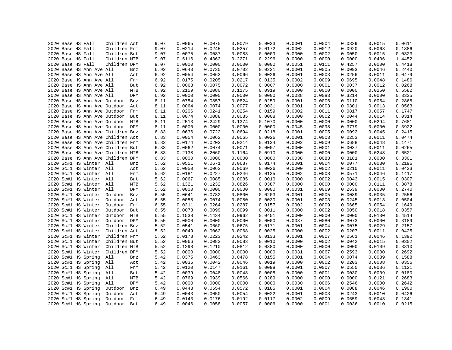|  | 2020 Base HS Fall |                          | Children Act                      |     | 9.07         | 0.0065 | 0.0075           | 0.0079 | 0.0033 | 0.0001 | 0.0004 | 0.0339 | 0.0015 | 0.0611 |
|--|-------------------|--------------------------|-----------------------------------|-----|--------------|--------|------------------|--------|--------|--------|--------|--------|--------|--------|
|  | 2020 Base HS Fall |                          | Children Frm                      |     | 9.07         | 0.0214 | 0.0245           | 0.0257 | 0.0172 | 0.0002 | 0.0012 | 0.0920 | 0.0063 | 0.1886 |
|  | 2020 Base HS Fall |                          | Children But                      |     | 9.07         | 0.0075 | 0.0087           | 0.0083 | 0.0009 | 0.0000 | 0.0002 | 0.0050 | 0.0015 | 0.0323 |
|  | 2020 Base HS Fall |                          | Children MTB                      |     | 9.07         | 0.5116 | 0.4363           | 0.2271 | 0.2296 | 0.0000 | 0.0000 | 0.0000 | 0.0406 | 1.4452 |
|  | 2020 Base HS Fall |                          | Children DPM                      |     | 9.07         | 0.0000 | 0.0000           | 0.0000 | 0.0000 | 0.0051 | 0.0111 | 0.4257 | 0.0000 | 0.4418 |
|  |                   | 2020 Base HS Ann Ave All |                                   | Bnz | 6.92         | 0.0643 | 0.0730           | 0.0702 | 0.0221 | 0.0001 | 0.0005 | 0.0093 | 0.0046 | 0.2440 |
|  |                   | 2020 Base HS Ann Ave All |                                   | Act | 6.92         | 0.0054 | 0.0063           | 0.0066 | 0.0026 | 0.0001 | 0.0003 | 0.0256 | 0.0011 | 0.0479 |
|  |                   | 2020 Base HS Ann Ave All |                                   | Frm | 6.92         | 0.0175 | 0.0205           | 0.0217 | 0.0135 | 0.0002 | 0.0009 | 0.0695 | 0.0048 | 0.1486 |
|  |                   | 2020 Base HS Ann Ave All |                                   | But | 6.92         | 0.0063 | 0.0075           | 0.0072 | 0.0007 | 0.0000 | 0.0001 | 0.0037 | 0.0012 | 0.0268 |
|  |                   | 2020 Base HS Ann Ave All |                                   | MTB | 6.92         | 0.2159 | 0.2080           | 0.1175 | 0.0919 | 0.0000 | 0.0000 | 0.0000 | 0.0250 | 0.6582 |
|  |                   | 2020 Base HS Ann Ave All |                                   | DPM | 6.92         | 0.0000 | 0.0000           | 0.0000 | 0.0000 | 0.0038 | 0.0083 | 0.3214 | 0.0000 | 0.3335 |
|  |                   |                          | 2020 Base HS Ann Ave Outdoor      | Bnz | 8.11         | 0.0754 | 0.0857           | 0.0824 | 0.0259 | 0.0001 | 0.0006 | 0.0110 | 0.0054 | 0.2865 |
|  |                   |                          | 2020 Base HS Ann Ave Outdoor      | Act | 8.11         | 0.0064 | 0.0074           | 0.0077 | 0.0031 | 0.0001 | 0.0003 | 0.0301 | 0.0013 | 0.0563 |
|  |                   |                          | 2020 Base HS Ann Ave Outdoor      | Frm | 8.11         | 0.0206 | 0.0241           | 0.0254 | 0.0159 | 0.0002 | 0.0011 | 0.0817 | 0.0057 | 0.1747 |
|  |                   |                          | 2020 Base HS Ann Ave Outdoor      | But | 8.11         | 0.0074 | 0.0088           | 0.0085 | 0.0008 | 0.0000 | 0.0002 | 0.0044 | 0.0014 | 0.0314 |
|  |                   |                          | 2020 Base HS Ann Ave Outdoor      | MTB | 8.11         | 0.2513 | 0.2429           | 0.1374 | 0.1070 | 0.0000 | 0.0000 | 0.0000 | 0.0294 | 0.7681 |
|  |                   |                          | 2020 Base HS Ann Ave Outdoor DPM  |     | 8.11         | 0.0000 | 0.0000           | 0.0000 | 0.0000 | 0.0045 | 0.0098 | 0.3779 | 0.0000 | 0.3922 |
|  |                   |                          | 2020 Base HS Ann Ave Children Bnz |     | 6.83         | 0.0636 | 0.0722           | 0.0694 | 0.0218 | 0.0001 | 0.0005 | 0.0092 | 0.0045 | 0.2415 |
|  |                   |                          | 2020 Base HS Ann Ave Children Act |     | 6.83         | 0.0054 | 0.0062           | 0.0065 | 0.0026 | 0.0001 | 0.0003 | 0.0253 | 0.0011 | 0.0474 |
|  |                   |                          | 2020 Base HS Ann Ave Children Frm |     | 6.83         | 0.0174 | 0.0203           | 0.0214 | 0.0134 | 0.0002 | 0.0009 | 0.0688 | 0.0048 | 0.1471 |
|  |                   |                          | 2020 Base HS Ann Ave Children But |     | 6.83         | 0.0062 | 0.0074           | 0.0071 | 0.0007 | 0.0000 | 0.0001 | 0.0037 | 0.0011 | 0.0265 |
|  |                   |                          | 2020 Base HS Ann Ave Children MTB |     |              | 0.2138 |                  | 0.1164 | 0.0910 | 0.0000 | 0.0000 | 0.0000 | 0.0248 | 0.6521 |
|  |                   |                          |                                   |     | 6.83         | 0.0000 | 0.2060<br>0.0000 | 0.0000 | 0.0000 | 0.0038 | 0.0083 | 0.3181 | 0.0000 | 0.3301 |
|  |                   | 2020 Sc#1 HS Winter All  | 2020 Base HS Ann Ave Children DPM |     | 6.83<br>5.62 | 0.0551 | 0.0671           | 0.0687 | 0.0174 | 0.0001 | 0.0004 | 0.0077 | 0.0030 | 0.2196 |
|  |                   |                          |                                   | Bnz |              |        |                  |        |        |        |        |        |        |        |
|  |                   | 2020 Sc#1 HS Winter All  |                                   | Act | 5.62         | 0.0050 | 0.0063           | 0.0069 | 0.0026 | 0.0000 | 0.0002 | 0.0210 | 0.0011 | 0.0433 |
|  |                   | 2020 Sc#1 HS Winter All  |                                   | Frm | 5.62         | 0.0181 | 0.0227           | 0.0246 | 0.0135 | 0.0002 | 0.0008 | 0.0571 | 0.0046 | 0.1417 |
|  |                   | 2020 Sc#1 HS Winter All  |                                   | But | 5.62         | 0.0067 | 0.0085           | 0.0085 | 0.0010 | 0.0000 | 0.0002 | 0.0043 | 0.0015 | 0.0307 |
|  |                   | 2020 Sc#1 HS Winter All  |                                   | MTB | 5.62         | 0.1321 | 0.1232           | 0.0826 | 0.0387 | 0.0000 | 0.0000 | 0.0000 | 0.0111 | 0.3878 |
|  |                   | 2020 Sc#1 HS Winter      | All                               | DPM | 5.62         | 0.0000 | 0.0000           | 0.0000 | 0.0000 | 0.0031 | 0.0069 | 0.2639 | 0.0000 | 0.2740 |
|  |                   | 2020 Sc#1 HS Winter      | Outdoor                           | Bnz | 6.55         | 0.0641 | 0.0782           | 0.0800 | 0.0203 | 0.0001 | 0.0005 | 0.0089 | 0.0035 | 0.2556 |
|  |                   | 2020 Sc#1 HS Winter      | Outdoor                           | Act | 6.55         | 0.0058 | 0.0074           | 0.0080 | 0.0030 | 0.0001 | 0.0003 | 0.0245 | 0.0013 | 0.0504 |
|  |                   | 2020 Sc#1 HS Winter      | Outdoor                           | Frm | 6.55         | 0.0211 | 0.0264           | 0.0287 | 0.0157 | 0.0002 | 0.0009 | 0.0665 | 0.0054 | 0.1649 |
|  |                   | 2020 Sc#1 HS Winter      | Outdoor                           | But | 6.55         | 0.0078 | 0.0099           | 0.0099 | 0.0011 | 0.0000 | 0.0002 | 0.0050 | 0.0018 | 0.0357 |
|  |                   | 2020 Sc#1 HS Winter      | Outdoor                           | MTB | 6.55         | 0.1538 | 0.1434           | 0.0962 | 0.0451 | 0.0000 | 0.0000 | 0.0000 | 0.0130 | 0.4514 |
|  |                   | 2020 Sc#1 HS Winter      | Outdoor DPM                       |     | 6.55         | 0.0000 | 0.0000           | 0.0000 | 0.0000 | 0.0037 | 0.0080 | 0.3073 | 0.0000 | 0.3189 |
|  |                   | 2020 Sc#1 HS Winter      | Children Bnz                      |     | 5.52         | 0.0541 | 0.0660           | 0.0675 | 0.0171 | 0.0001 | 0.0004 | 0.0075 | 0.0029 | 0.2157 |
|  |                   | 2020 Sc#1 HS Winter      | Children Act                      |     | 5.52         | 0.0049 | 0.0062           | 0.0068 | 0.0025 | 0.0000 | 0.0002 | 0.0207 | 0.0011 | 0.0425 |
|  |                   | 2020 Sc#1 HS Winter      | Children Frm                      |     | 5.52         | 0.0178 | 0.0223           | 0.0242 | 0.0133 | 0.0001 | 0.0007 | 0.0561 | 0.0046 | 0.1392 |
|  |                   | 2020 Sc#1 HS Winter      | Children But                      |     | 5.52         | 0.0066 | 0.0083           | 0.0083 | 0.0010 | 0.0000 | 0.0002 | 0.0042 | 0.0015 | 0.0302 |
|  |                   | 2020 Sc#1 HS Winter      | Children MTB                      |     | 5.52         | 0.1298 | 0.1210           | 0.0812 | 0.0380 | 0.0000 | 0.0000 | 0.0000 | 0.0109 | 0.3810 |
|  |                   | 2020 Sc#1 HS Winter      | Children DPM                      |     | 5.52         | 0.0000 | 0.0000           | 0.0000 | 0.0000 | 0.0031 | 0.0067 | 0.2593 | 0.0000 | 0.2692 |
|  |                   | 2020 Sc#1 HS Spring      | All                               | Bnz | 5.42         | 0.0375 | 0.0463           | 0.0478 | 0.0155 | 0.0001 | 0.0004 | 0.0074 | 0.0039 | 0.1588 |
|  |                   | 2020 Sc#1 HS Spring      | All                               | Act | 5.42         | 0.0036 | 0.0042           | 0.0046 | 0.0019 | 0.0000 | 0.0002 | 0.0203 | 0.0008 | 0.0356 |
|  |                   | 2020 Sc#1 HS Spring      | All                               | Frm | 5.42         | 0.0120 | 0.0147           | 0.0161 | 0.0098 | 0.0001 | 0.0007 | 0.0550 | 0.0036 | 0.1121 |
|  |                   | 2020 Sc#1 HS Spring      | All                               | But | 5.42         | 0.0039 | 0.0048           | 0.0048 | 0.0005 | 0.0000 | 0.0001 | 0.0030 | 0.0009 | 0.0180 |
|  |                   | 2020 Sc#1 HS Spring      | All                               | MTB | 5.42         | 0.0769 | 0.0939           | 0.0566 | 0.0289 | 0.0000 | 0.0000 | 0.0000 | 0.0121 | 0.2683 |
|  |                   | 2020 Sc#1 HS Spring      | All                               | DPM | 5.42         | 0.0000 | 0.0000           | 0.0000 | 0.0000 | 0.0030 | 0.0066 | 0.2546 | 0.0000 | 0.2642 |
|  |                   | 2020 Sc#1 HS Spring      | Outdoor                           | Bnz | 6.49         | 0.0448 | 0.0554           | 0.0572 | 0.0185 | 0.0001 | 0.0004 | 0.0088 | 0.0046 | 0.1900 |
|  |                   | 2020 Sc#1 HS Spring      | Outdoor                           | Act | 6.49         | 0.0043 | 0.0050           | 0.0054 | 0.0022 | 0.0001 | 0.0003 | 0.0243 | 0.0010 | 0.0426 |
|  |                   | 2020 Sc#1 HS Spring      | Outdoor                           | Frm | 6.49         | 0.0143 | 0.0176           | 0.0192 | 0.0117 | 0.0002 | 0.0009 | 0.0659 | 0.0043 | 0.1341 |
|  |                   | 2020 Sc#1 HS Spring      | Outdoor                           | But | 6.49         | 0.0046 | 0.0058           | 0.0057 | 0.0006 | 0.0000 | 0.0001 | 0.0036 | 0.0010 | 0.0215 |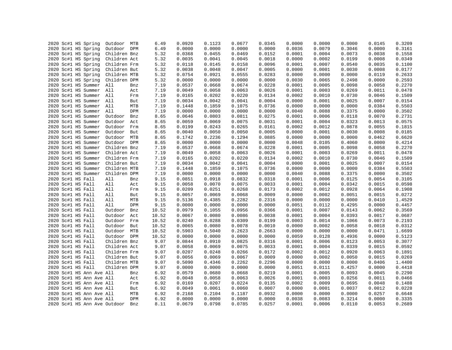|  | 2020 Sc#1 HS Spring          | Outdoor MTB  |     | 6.49  | 0.0920 | 0.1123 | 0.0677 | 0.0345 | 0.0000 | 0.0000 | 0.0000 | 0.0145 | 0.3209 |
|--|------------------------------|--------------|-----|-------|--------|--------|--------|--------|--------|--------|--------|--------|--------|
|  | 2020 Sc#1 HS Spring          | Outdoor DPM  |     | 6.49  | 0.0000 | 0.0000 | 0.0000 | 0.0000 | 0.0036 | 0.0079 | 0.3046 | 0.0000 | 0.3161 |
|  | 2020 Sc#1 HS Spring          | Children Bnz |     | 5.32  | 0.0368 | 0.0455 | 0.0469 | 0.0152 | 0.0001 | 0.0004 | 0.0073 | 0.0038 | 0.1558 |
|  | 2020 Sc#1 HS Spring          | Children Act |     | 5.32  | 0.0035 | 0.0041 | 0.0045 | 0.0018 | 0.0000 | 0.0002 | 0.0199 | 0.0008 | 0.0349 |
|  | 2020 Sc#1 HS Spring          | Children Frm |     | 5.32  | 0.0118 | 0.0145 | 0.0158 | 0.0096 | 0.0001 | 0.0007 | 0.0540 | 0.0035 | 0.1100 |
|  | 2020 Sc#1 HS Spring          | Children But |     | 5.32  | 0.0038 | 0.0048 | 0.0047 | 0.0005 | 0.0000 | 0.0001 | 0.0030 | 0.0008 | 0.0177 |
|  | 2020 Sc#1 HS Spring          | Children MTB |     | 5.32  | 0.0754 | 0.0921 | 0.0555 | 0.0283 | 0.0000 | 0.0000 | 0.0000 | 0.0119 | 0.2633 |
|  | 2020 Sc#1 HS Spring          | Children DPM |     | 5.32  | 0.0000 | 0.0000 | 0.0000 | 0.0000 | 0.0030 | 0.0065 | 0.2498 | 0.0000 | 0.2593 |
|  | 2020 Sc#1 HS Summer All      |              | Bnz | 7.19  | 0.0537 | 0.0668 | 0.0674 | 0.0228 | 0.0001 | 0.0005 | 0.0098 | 0.0058 | 0.2270 |
|  | 2020 Sc#1 HS Summer All      |              | Act | 7.19  | 0.0049 | 0.0058 | 0.0063 | 0.0026 | 0.0001 | 0.0003 | 0.0269 | 0.0011 | 0.0478 |
|  | 2020 Sc#1 HS Summer All      |              | Frm | 7.19  | 0.0165 | 0.0202 | 0.0220 | 0.0134 | 0.0002 | 0.0010 | 0.0730 | 0.0046 | 0.1509 |
|  | 2020 Sc#1 HS Summer All      |              | But | 7.19  | 0.0034 | 0.0042 | 0.0041 | 0.0004 | 0.0000 | 0.0001 | 0.0025 | 0.0007 | 0.0154 |
|  | 2020 Sc#1 HS Summer          | All          | MTB | 7.19  | 0.1448 | 0.1859 | 0.1075 | 0.0736 | 0.0000 | 0.0000 | 0.0000 | 0.0384 | 0.5503 |
|  | 2020 Sc#1 HS Summer          | All          | DPM | 7.19  | 0.0000 | 0.0000 | 0.0000 | 0.0000 | 0.0040 | 0.0088 | 0.3375 | 0.0000 | 0.3502 |
|  | 2020 Sc#1 HS Summer          | Outdoor      | Bnz | 8.65  | 0.0646 | 0.0803 | 0.0811 | 0.0275 | 0.0001 | 0.0006 | 0.0118 | 0.0070 | 0.2731 |
|  | 2020 Sc#1 HS Summer          | Outdoor      | Act | 8.65  | 0.0059 | 0.0069 | 0.0075 | 0.0031 | 0.0001 | 0.0004 | 0.0323 | 0.0013 | 0.0575 |
|  | 2020 Sc#1 HS Summer          | Outdoor Frm  |     | 8.65  | 0.0199 | 0.0243 | 0.0265 | 0.0161 | 0.0002 | 0.0012 | 0.0878 | 0.0055 | 0.1815 |
|  | 2020 Sc#1 HS Summer          | Outdoor But  |     | 8.65  | 0.0040 | 0.0050 | 0.0050 | 0.0005 | 0.0000 | 0.0001 | 0.0030 | 0.0008 | 0.0185 |
|  | 2020 Sc#1 HS Summer          | Outdoor MTB  |     | 8.65  | 0.1742 | 0.2236 | 0.1294 | 0.0885 | 0.0000 | 0.0000 | 0.0000 | 0.0462 | 0.6620 |
|  | 2020 Sc#1 HS Summer          | Outdoor DPM  |     | 8.65  | 0.0000 | 0.0000 | 0.0000 | 0.0000 | 0.0048 | 0.0105 | 0.4060 | 0.0000 | 0.4214 |
|  | 2020 Sc#1 HS Summer          | Children Bnz |     | 7.19  | 0.0537 | 0.0668 | 0.0674 | 0.0228 | 0.0001 | 0.0005 | 0.0098 | 0.0058 | 0.2270 |
|  | 2020 Sc#1 HS Summer          | Children Act |     | 7.19  | 0.0049 | 0.0058 | 0.0063 | 0.0026 | 0.0001 | 0.0003 | 0.0269 | 0.0011 | 0.0478 |
|  | 2020 Sc#1 HS Summer          | Children Frm |     | 7.19  | 0.0165 | 0.0202 | 0.0220 | 0.0134 | 0.0002 | 0.0010 | 0.0730 | 0.0046 | 0.1509 |
|  | 2020 Sc#1 HS Summer          | Children But |     | 7.19  | 0.0034 | 0.0042 | 0.0041 | 0.0004 | 0.0000 | 0.0001 | 0.0025 | 0.0007 | 0.0154 |
|  |                              |              |     |       |        |        |        |        |        | 0.0000 |        |        |        |
|  | 2020 Sc#1 HS Summer          | Children MTB |     | 7.19  | 0.1448 | 0.1859 | 0.1075 | 0.0736 | 0.0000 |        | 0.0000 | 0.0384 | 0.5503 |
|  | 2020 Sc#1 HS Summer          | Children DPM |     | 7.19  | 0.0000 | 0.0000 | 0.0000 | 0.0000 | 0.0040 | 0.0088 | 0.3375 | 0.0000 | 0.3502 |
|  | 2020 Sc#1 HS Fall            | All          | Bnz | 9.15  | 0.0851 | 0.0918 | 0.0832 | 0.0318 | 0.0001 | 0.0006 | 0.0125 | 0.0054 | 0.3105 |
|  | 2020 Sc#1 HS Fall            | All          | Act | 9.15  | 0.0058 | 0.0070 | 0.0075 | 0.0033 | 0.0001 | 0.0004 | 0.0342 | 0.0015 | 0.0598 |
|  | 2020 Sc#1 HS Fall            | All          | Frm | 9.15  | 0.0209 | 0.0251 | 0.0268 | 0.0173 | 0.0002 | 0.0012 | 0.0928 | 0.0064 | 0.1908 |
|  | 2020 Sc#1 HS Fall            | All          | But | 9.15  | 0.0057 | 0.0069 | 0.0068 | 0.0009 | 0.0000 | 0.0002 | 0.0051 | 0.0015 | 0.0272 |
|  | 2020 Sc#1 HS Fall            | All          | MTB | 9.15  | 0.5136 | 0.4385 | 0.2282 | 0.2316 | 0.0000 | 0.0000 | 0.0000 | 0.0410 | 1.4529 |
|  | 2020 Sc#1 HS Fall            | All          | DPM | 9.15  | 0.0000 | 0.0000 | 0.0000 | 0.0000 | 0.0051 | 0.0112 | 0.4295 | 0.0000 | 0.4457 |
|  | 2020 Sc#1 HS Fall            | Outdoor      | Bnz | 10.52 | 0.0979 | 0.1055 | 0.0956 | 0.0366 | 0.0001 | 0.0007 | 0.0143 | 0.0062 | 0.3569 |
|  | 2020 Sc#1 HS Fall            | Outdoor      | Act | 10.52 | 0.0067 | 0.0080 | 0.0086 | 0.0038 | 0.0001 | 0.0004 | 0.0393 | 0.0017 | 0.0687 |
|  | 2020 Sc#1 HS Fall            | Outdoor      | Frm | 10.52 | 0.0240 | 0.0288 | 0.0309 | 0.0199 | 0.0003 | 0.0014 | 0.1066 | 0.0073 | 0.2193 |
|  | 2020 Sc#1 HS Fall            | Outdoor      | But | 10.52 | 0.0065 | 0.0080 | 0.0078 | 0.0010 | 0.0000 | 0.0002 | 0.0058 | 0.0018 | 0.0312 |
|  | 2020 Sc#1 HS Fall            | Outdoor MTB  |     | 10.52 | 0.5903 | 0.5040 | 0.2623 | 0.2663 | 0.0000 | 0.0000 | 0.0000 | 0.0471 | 1.6699 |
|  | 2020 Sc#1 HS Fall            | Outdoor DPM  |     | 10.52 | 0.0000 | 0.0000 | 0.0000 | 0.0000 | 0.0059 | 0.0128 | 0.4936 | 0.0000 | 0.5123 |
|  | 2020 Sc#1 HS Fall            | Children Bnz |     | 9.07  | 0.0844 | 0.0910 | 0.0825 | 0.0316 | 0.0001 | 0.0006 | 0.0123 | 0.0053 | 0.3077 |
|  | 2020 Sc#1 HS Fall            | Children Act |     | 9.07  | 0.0058 | 0.0069 | 0.0075 | 0.0033 | 0.0001 | 0.0004 | 0.0339 | 0.0015 | 0.0592 |
|  | 2020 Sc#1 HS Fall            | Children Frm |     | 9.07  | 0.0207 | 0.0248 | 0.0266 | 0.0172 | 0.0002 | 0.0012 | 0.0920 | 0.0063 | 0.1891 |
|  | 2020 Sc#1 HS Fall            | Children But |     | 9.07  | 0.0056 | 0.0069 | 0.0067 | 0.0009 | 0.0000 | 0.0002 | 0.0050 | 0.0015 | 0.0269 |
|  | 2020 Sc#1 HS Fall            | Children MTB |     | 9.07  | 0.5090 | 0.4346 | 0.2262 | 0.2296 | 0.0000 | 0.0000 | 0.0000 | 0.0406 | 1.4400 |
|  | 2020 Sc#1 HS Fall            | Children DPM |     | 9.07  | 0.0000 | 0.0000 | 0.0000 | 0.0000 | 0.0051 | 0.0111 | 0.4257 | 0.0000 | 0.4418 |
|  | 2020 Sc#1 HS Ann Ave All     |              | Bnz | 6.92  | 0.0579 | 0.0680 | 0.0668 | 0.0219 | 0.0001 | 0.0005 | 0.0093 | 0.0045 | 0.2290 |
|  | 2020 Sc#1 HS Ann Ave All     |              | Act | 6.92  | 0.0048 | 0.0058 | 0.0063 | 0.0026 | 0.0001 | 0.0003 | 0.0256 | 0.0011 | 0.0466 |
|  | 2020 Sc#1 HS Ann Ave All     |              | Frm | 6.92  | 0.0169 | 0.0207 | 0.0224 | 0.0135 | 0.0002 | 0.0009 | 0.0695 | 0.0048 | 0.1488 |
|  | 2020 Sc#1 HS Ann Ave All     |              | But | 6.92  | 0.0049 | 0.0061 | 0.0060 | 0.0007 | 0.0000 | 0.0001 | 0.0037 | 0.0012 | 0.0228 |
|  | 2020 Sc#1 HS Ann Ave All     |              | MTB | 6.92  | 0.2168 | 0.2104 | 0.1187 | 0.0932 | 0.0000 | 0.0000 | 0.0000 | 0.0257 | 0.6648 |
|  | 2020 Sc#1 HS Ann Ave All     |              | DPM | 6.92  | 0.0000 | 0.0000 | 0.0000 | 0.0000 | 0.0038 | 0.0083 | 0.3214 | 0.0000 | 0.3335 |
|  | 2020 Sc#1 HS Ann Ave Outdoor |              | Bnz | 8.11  | 0.0679 | 0.0798 | 0.0785 | 0.0257 | 0.0001 | 0.0006 | 0.0110 | 0.0053 | 0.2689 |
|  |                              |              |     |       |        |        |        |        |        |        |        |        |        |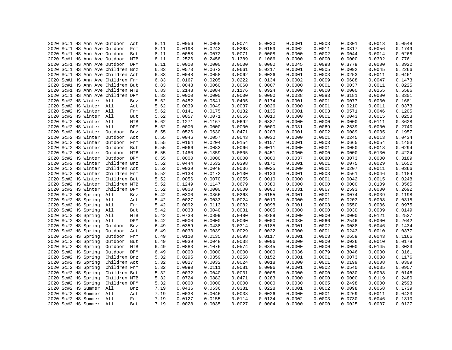|  |  |                         | 2020 Sc#1 HS Ann Ave Outdoor      | Act | 8.11 | 0.0056 | 0.0068 | 0.0074 | 0.0030 | 0.0001 | 0.0003 | 0.0301 | 0.0013 | 0.0548 |
|--|--|-------------------------|-----------------------------------|-----|------|--------|--------|--------|--------|--------|--------|--------|--------|--------|
|  |  |                         | 2020 Sc#1 HS Ann Ave Outdoor      | Frm | 8.11 | 0.0198 | 0.0243 | 0.0263 | 0.0159 | 0.0002 | 0.0011 | 0.0817 | 0.0056 | 0.1749 |
|  |  |                         | 2020 Sc#1 HS Ann Ave Outdoor But  |     | 8.11 | 0.0058 | 0.0072 | 0.0071 | 0.0008 | 0.0000 | 0.0002 | 0.0044 | 0.0014 | 0.0268 |
|  |  |                         | 2020 Sc#1 HS Ann Ave Outdoor      | MTB | 8.11 | 0.2526 | 0.2458 | 0.1389 | 0.1086 | 0.0000 | 0.0000 | 0.0000 | 0.0302 | 0.7761 |
|  |  |                         | 2020 Sc#1 HS Ann Ave Outdoor DPM  |     | 8.11 | 0.0000 | 0.0000 | 0.0000 | 0.0000 | 0.0045 | 0.0098 | 0.3779 | 0.0000 | 0.3922 |
|  |  |                         | 2020 Sc#1 HS Ann Ave Children Bnz |     | 6.83 | 0.0573 | 0.0673 | 0.0661 | 0.0217 | 0.0001 | 0.0005 | 0.0092 | 0.0045 | 0.2266 |
|  |  |                         | 2020 Sc#1 HS Ann Ave Children Act |     | 6.83 | 0.0048 | 0.0058 | 0.0062 | 0.0026 | 0.0001 | 0.0003 | 0.0253 | 0.0011 | 0.0461 |
|  |  |                         | 2020 Sc#1 HS Ann Ave Children Frm |     | 6.83 | 0.0167 | 0.0205 | 0.0222 | 0.0134 | 0.0002 | 0.0009 | 0.0688 | 0.0047 | 0.1473 |
|  |  |                         | 2020 Sc#1 HS Ann Ave Children But |     | 6.83 | 0.0048 | 0.0060 | 0.0060 | 0.0007 | 0.0000 | 0.0001 | 0.0037 | 0.0011 | 0.0225 |
|  |  |                         | 2020 Sc#1 HS Ann Ave Children MTB |     | 6.83 | 0.2148 | 0.2084 | 0.1176 | 0.0924 | 0.0000 | 0.0000 | 0.0000 | 0.0255 | 0.6586 |
|  |  |                         | 2020 Sc#1 HS Ann Ave Children DPM |     | 6.83 | 0.0000 | 0.0000 | 0.0000 | 0.0000 | 0.0038 | 0.0083 | 0.3181 | 0.0000 | 0.3301 |
|  |  | 2020 Sc#2 HS Winter All |                                   | Bnz | 5.62 | 0.0452 | 0.0541 | 0.0405 | 0.0174 | 0.0001 | 0.0001 | 0.0077 | 0.0030 | 0.1681 |
|  |  | 2020 Sc#2 HS Winter All |                                   | Act | 5.62 | 0.0039 | 0.0049 | 0.0037 | 0.0026 | 0.0000 | 0.0001 | 0.0210 | 0.0011 | 0.0373 |
|  |  | 2020 Sc#2 HS Winter All |                                   | Frm | 5.62 | 0.0141 | 0.0175 | 0.0132 | 0.0135 | 0.0001 | 0.0003 | 0.0571 | 0.0046 | 0.1205 |
|  |  | 2020 Sc#2 HS Winter All |                                   | But | 5.62 | 0.0057 | 0.0071 | 0.0056 | 0.0010 | 0.0000 | 0.0001 | 0.0043 | 0.0015 | 0.0253 |
|  |  | 2020 Sc#2 HS Winter All |                                   | MTB | 5.62 | 0.1271 | 0.1167 | 0.0692 | 0.0387 | 0.0000 | 0.0000 | 0.0000 | 0.0111 | 0.3628 |
|  |  | 2020 Sc#2 HS Winter All |                                   | DPM | 5.62 | 0.0000 | 0.0000 | 0.0000 | 0.0000 | 0.0031 | 0.0069 | 0.2639 | 0.0000 | 0.2740 |
|  |  | 2020 Sc#2 HS Winter     | Outdoor                           | Bnz | 6.55 | 0.0526 | 0.0630 | 0.0471 | 0.0203 | 0.0001 | 0.0002 | 0.0089 | 0.0035 | 0.1957 |
|  |  | 2020 Sc#2 HS Winter     | Outdoor                           | Act | 6.55 | 0.0046 | 0.0057 | 0.0043 | 0.0030 | 0.0000 | 0.0001 | 0.0245 | 0.0013 | 0.0434 |
|  |  | 2020 Sc#2 HS Winter     | Outdoor Frm                       |     | 6.55 | 0.0164 | 0.0204 | 0.0154 | 0.0157 | 0.0001 | 0.0003 | 0.0665 | 0.0054 | 0.1403 |
|  |  | 2020 Sc#2 HS Winter     | Outdoor                           | But | 6.55 | 0.0066 | 0.0083 | 0.0066 | 0.0011 | 0.0000 | 0.0001 | 0.0050 | 0.0018 | 0.0294 |
|  |  | 2020 Sc#2 HS Winter     | Outdoor MTB                       |     | 6.55 | 0.1480 | 0.1359 | 0.0805 | 0.0451 | 0.0000 | 0.0000 | 0.0000 | 0.0130 | 0.4224 |
|  |  |                         | Outdoor                           | DPM |      | 0.0000 | 0.0000 | 0.0000 | 0.0000 | 0.0037 | 0.0080 | 0.3073 |        |        |
|  |  | 2020 Sc#2 HS Winter     |                                   |     | 6.55 |        |        |        |        |        |        |        | 0.0000 | 0.3189 |
|  |  | 2020 Sc#2 HS Winter     | Children Bnz                      |     | 5.52 | 0.0444 | 0.0532 | 0.0398 | 0.0171 | 0.0001 | 0.0001 | 0.0075 | 0.0029 | 0.1652 |
|  |  | 2020 Sc#2 HS Winter     | Children Act                      |     | 5.52 | 0.0039 | 0.0048 | 0.0036 | 0.0025 | 0.0000 | 0.0001 | 0.0207 | 0.0011 | 0.0366 |
|  |  | 2020 Sc#2 HS Winter     | Children Frm                      |     | 5.52 | 0.0138 | 0.0172 | 0.0130 | 0.0133 | 0.0001 | 0.0003 | 0.0561 | 0.0046 | 0.1184 |
|  |  | 2020 Sc#2 HS Winter     | Children But                      |     | 5.52 | 0.0056 | 0.0070 | 0.0055 | 0.0010 | 0.0000 | 0.0001 | 0.0042 | 0.0015 | 0.0248 |
|  |  | 2020 Sc#2 HS Winter     | Children MTB                      |     | 5.52 | 0.1249 | 0.1147 | 0.0679 | 0.0380 | 0.0000 | 0.0000 | 0.0000 | 0.0109 | 0.3565 |
|  |  | 2020 Sc#2 HS Winter     | Children DPM                      |     | 5.52 | 0.0000 | 0.0000 | 0.0000 | 0.0000 | 0.0031 | 0.0067 | 0.2593 | 0.0000 | 0.2692 |
|  |  | 2020 Sc#2 HS Spring     | All                               | Bnz | 5.42 | 0.0300 | 0.0366 | 0.0263 | 0.0155 | 0.0001 | 0.0001 | 0.0074 | 0.0039 | 0.1198 |
|  |  | 2020 Sc#2 HS Spring     | All                               | Act | 5.42 | 0.0027 | 0.0033 | 0.0024 | 0.0019 | 0.0000 | 0.0001 | 0.0203 | 0.0008 | 0.0315 |
|  |  | 2020 Sc#2 HS Spring     | All                               | Frm | 5.42 | 0.0092 | 0.0113 | 0.0082 | 0.0098 | 0.0001 | 0.0003 | 0.0550 | 0.0036 | 0.0975 |
|  |  | 2020 Sc#2 HS Spring     | All                               | But | 5.42 | 0.0033 | 0.0040 | 0.0031 | 0.0005 | 0.0000 | 0.0000 | 0.0030 | 0.0009 | 0.0149 |
|  |  | 2020 Sc#2 HS Spring     | All                               | MTB | 5.42 | 0.0738 | 0.0899 | 0.0480 | 0.0289 | 0.0000 | 0.0000 | 0.0000 | 0.0121 | 0.2527 |
|  |  | 2020 Sc#2 HS Spring     | All                               | DPM | 5.42 | 0.0000 | 0.0000 | 0.0000 | 0.0000 | 0.0030 | 0.0066 | 0.2546 | 0.0000 | 0.2642 |
|  |  | 2020 Sc#2 HS Spring     | Outdoor                           | Bnz | 6.49 | 0.0359 | 0.0438 | 0.0314 | 0.0185 | 0.0001 | 0.0002 | 0.0088 | 0.0046 | 0.1434 |
|  |  | 2020 Sc#2 HS Spring     | Outdoor                           | Act | 6.49 | 0.0033 | 0.0039 | 0.0029 | 0.0022 | 0.0000 | 0.0001 | 0.0243 | 0.0010 | 0.0377 |
|  |  | 2020 Sc#2 HS Spring     | Outdoor                           | Frm | 6.49 | 0.0110 | 0.0135 | 0.0098 | 0.0117 | 0.0001 | 0.0003 | 0.0659 | 0.0043 | 0.1166 |
|  |  | 2020 Sc#2 HS Spring     | Outdoor But                       |     | 6.49 | 0.0039 | 0.0048 | 0.0038 | 0.0006 | 0.0000 | 0.0000 | 0.0036 | 0.0010 | 0.0178 |
|  |  | 2020 Sc#2 HS Spring     | Outdoor MTB                       |     | 6.49 | 0.0883 | 0.1076 | 0.0574 | 0.0345 | 0.0000 | 0.0000 | 0.0000 | 0.0145 | 0.3023 |
|  |  | 2020 Sc#2 HS Spring     | Outdoor DPM                       |     | 6.49 | 0.0000 | 0.0000 | 0.0000 | 0.0000 | 0.0036 | 0.0079 | 0.3046 | 0.0000 | 0.3161 |
|  |  | 2020 Sc#2 HS Spring     | Children Bnz                      |     | 5.32 | 0.0295 | 0.0359 | 0.0258 | 0.0152 | 0.0001 | 0.0001 | 0.0073 | 0.0038 | 0.1176 |
|  |  | 2020 Sc#2 HS Spring     | Children Act                      |     | 5.32 | 0.0027 | 0.0032 | 0.0024 | 0.0018 | 0.0000 | 0.0001 | 0.0199 | 0.0008 | 0.0309 |
|  |  | 2020 Sc#2 HS Spring     | Children Frm                      |     | 5.32 | 0.0090 | 0.0111 | 0.0081 | 0.0096 | 0.0001 | 0.0002 | 0.0540 | 0.0035 | 0.0957 |
|  |  | 2020 Sc#2 HS Spring     | Children But                      |     | 5.32 | 0.0032 | 0.0040 | 0.0031 | 0.0005 | 0.0000 | 0.0000 | 0.0030 | 0.0008 | 0.0146 |
|  |  | 2020 Sc#2 HS Spring     | Children MTB                      |     | 5.32 | 0.0724 | 0.0882 | 0.0471 | 0.0283 | 0.0000 | 0.0000 | 0.0000 | 0.0119 | 0.2480 |
|  |  | 2020 Sc#2 HS Spring     | Children DPM                      |     | 5.32 | 0.0000 | 0.0000 | 0.0000 | 0.0000 | 0.0030 | 0.0065 | 0.2498 | 0.0000 | 0.2593 |
|  |  | 2020 Sc#2 HS Summer     | All                               | Bnz | 7.19 | 0.0436 | 0.0536 | 0.0381 | 0.0228 | 0.0001 | 0.0002 | 0.0098 | 0.0058 | 0.1739 |
|  |  | 2020 Sc#2 HS Summer All |                                   | Act | 7.19 | 0.0038 | 0.0046 | 0.0033 | 0.0026 | 0.0000 | 0.0001 | 0.0269 | 0.0011 | 0.0423 |
|  |  | 2020 Sc#2 HS Summer All |                                   | Frm | 7.19 | 0.0127 | 0.0155 | 0.0114 | 0.0134 | 0.0002 | 0.0003 | 0.0730 | 0.0046 | 0.1310 |
|  |  | 2020 Sc#2 HS Summer All |                                   | But | 7.19 | 0.0028 | 0.0035 | 0.0027 | 0.0004 | 0.0000 | 0.0000 | 0.0025 | 0.0007 | 0.0127 |
|  |  |                         |                                   |     |      |        |        |        |        |        |        |        |        |        |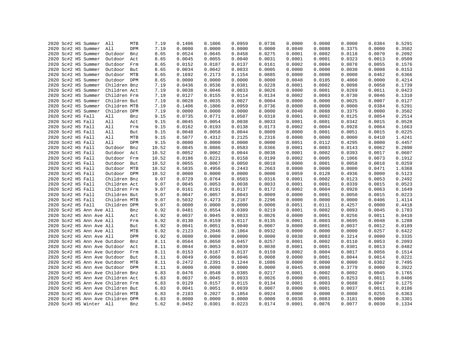|  | 2020 Sc#2 HS Summer          | All                               | MTB | 7.19           | 0.1406 | 0.1806 | 0.0959           | 0.0736           | 0.0000           | 0.0000 | 0.0000 | 0.0384 | 0.5291 |
|--|------------------------------|-----------------------------------|-----|----------------|--------|--------|------------------|------------------|------------------|--------|--------|--------|--------|
|  | 2020 Sc#2 HS Summer          | All                               | DPM | 7.19           | 0.0000 | 0.0000 | 0.0000           | 0.0000           | 0.0040           | 0.0088 | 0.3375 | 0.0000 | 0.3502 |
|  | 2020 Sc#2 HS Summer          | Outdoor                           | Bnz | 8.65           | 0.0524 | 0.0645 | 0.0458           | 0.0275           | 0.0001           | 0.0002 | 0.0118 | 0.0070 | 0.2092 |
|  | 2020 Sc#2 HS Summer          | Outdoor                           | Act | 8.65           | 0.0045 | 0.0055 | 0.0040           | 0.0031           | 0.0001           | 0.0001 | 0.0323 | 0.0013 | 0.0509 |
|  | 2020 Sc#2 HS Summer          | Outdoor                           | Frm | 8.65           | 0.0152 | 0.0187 | 0.0137           | 0.0161           | 0.0002           | 0.0004 | 0.0878 | 0.0055 | 0.1576 |
|  | 2020 Sc#2 HS Summer          | Outdoor                           | But | 8.65           | 0.0034 | 0.0042 | 0.0033           | 0.0005           | 0.0000           | 0.0000 | 0.0030 | 0.0008 | 0.0153 |
|  | 2020 Sc#2 HS Summer          | Outdoor MTB                       |     | 8.65           | 0.1692 | 0.2173 | 0.1154           | 0.0885           | 0.0000           | 0.0000 | 0.0000 | 0.0462 | 0.6366 |
|  | 2020 Sc#2 HS Summer          | Outdoor DPM                       |     | 8.65           | 0.0000 | 0.0000 | 0.0000           | 0.0000           | 0.0048           | 0.0105 | 0.4060 | 0.0000 | 0.4214 |
|  | 2020 Sc#2 HS Summer          | Children Bnz                      |     | 7.19           | 0.0436 | 0.0536 | 0.0381           | 0.0228           | 0.0001           | 0.0002 | 0.0098 | 0.0058 | 0.1739 |
|  | 2020 Sc#2 HS Summer          | Children Act                      |     | 7.19           | 0.0038 | 0.0046 | 0.0033           | 0.0026           | 0.0000           | 0.0001 | 0.0269 | 0.0011 | 0.0423 |
|  | 2020 Sc#2 HS Summer          | Children Frm                      |     | 7.19           | 0.0127 | 0.0155 | 0.0114           | 0.0134           | 0.0002           | 0.0003 | 0.0730 | 0.0046 | 0.1310 |
|  | 2020 Sc#2 HS Summer          | Children But                      |     | 7.19           | 0.0028 | 0.0035 | 0.0027           | 0.0004           | 0.0000           | 0.0000 | 0.0025 | 0.0007 | 0.0127 |
|  | 2020 Sc#2 HS Summer          | Children MTB                      |     | 7.19           | 0.1406 | 0.1806 | 0.0959           | 0.0736           | 0.0000           | 0.0000 | 0.0000 | 0.0384 | 0.5291 |
|  | 2020 Sc#2 HS Summer          | Children DPM                      |     | 7.19           | 0.0000 | 0.0000 | 0.0000           | 0.0000           | 0.0040           | 0.0088 | 0.3375 | 0.0000 | 0.3502 |
|  | 2020 Sc#2 HS Fall            | All                               | Bnz | 9.15           | 0.0735 | 0.0771 | 0.0507           | 0.0318           | 0.0001           | 0.0002 | 0.0125 | 0.0054 | 0.2514 |
|  | 2020 Sc#2 HS Fall            | All                               | Act | 9.15           | 0.0045 | 0.0054 | 0.0038           | 0.0033           | 0.0001           | 0.0001 | 0.0342 | 0.0015 | 0.0528 |
|  | 2020 Sc#2 HS Fall            | All                               | Frm | 9.15           | 0.0162 | 0.0193 | 0.0138           | 0.0173           | 0.0002           | 0.0004 | 0.0928 | 0.0064 | 0.1663 |
|  | 2020 Sc#2 HS Fall            | All                               | But | 9.15           | 0.0048 | 0.0058 | 0.0044           | 0.0009           | 0.0000           | 0.0001 | 0.0051 | 0.0015 | 0.0225 |
|  | 2020 Sc#2 HS Fall            | All                               | MTB | 9.15           | 0.5077 | 0.4312 | 0.2125           | 0.2316           | 0.0000           | 0.0000 | 0.0000 | 0.0410 | 1.4241 |
|  | 2020 Sc#2 HS Fall            | All                               | DPM | 9.15           | 0.0000 | 0.0000 | 0.0000           | 0.0000           | 0.0051           | 0.0112 | 0.4295 | 0.0000 | 0.4457 |
|  | 2020 Sc#2 HS Fall            | Outdoor                           | Bnz | 10.52          | 0.0845 | 0.0886 | 0.0583           | 0.0366           | 0.0001           | 0.0003 | 0.0143 | 0.0062 | 0.2890 |
|  | 2020 Sc#2 HS Fall            | Outdoor                           | Act | 10.52          | 0.0052 | 0.0062 | 0.0044           | 0.0038           | 0.0001           | 0.0002 | 0.0393 | 0.0017 | 0.0607 |
|  | 2020 Sc#2 HS Fall            | Outdoor                           | Frm | 10.52          | 0.0186 | 0.0221 | 0.0158           | 0.0199           | 0.0002           | 0.0005 | 0.1066 | 0.0073 | 0.1912 |
|  | 2020 Sc#2 HS Fall            | Outdoor But                       |     | 10.52          | 0.0055 | 0.0067 | 0.0050           | 0.0010           | 0.0000           | 0.0001 | 0.0058 | 0.0018 | 0.0259 |
|  |                              |                                   |     |                | 0.5835 | 0.4956 |                  |                  |                  | 0.0000 | 0.0000 | 0.0471 | 1.6368 |
|  | 2020 Sc#2 HS Fall            | Outdoor MTB<br>Outdoor DPM        |     | 10.52<br>10.52 | 0.0000 | 0.0000 | 0.2443<br>0.0000 | 0.2663<br>0.0000 | 0.0000<br>0.0059 | 0.0128 | 0.4936 | 0.0000 | 0.5123 |
|  | 2020 Sc#2 HS Fall            |                                   |     |                | 0.0729 |        |                  |                  |                  |        |        |        |        |
|  | 2020 Sc#2 HS Fall            | Children Bnz                      |     | 9.07           |        | 0.0764 | 0.0503           | 0.0316           | 0.0001           | 0.0002 | 0.0123 | 0.0053 | 0.2492 |
|  | 2020 Sc#2 HS Fall            | Children Act                      |     | 9.07           | 0.0045 | 0.0053 | 0.0038           | 0.0033           | 0.0001           | 0.0001 | 0.0339 | 0.0015 | 0.0523 |
|  | 2020 Sc#2 HS Fall            | Children Frm                      |     | 9.07           | 0.0161 | 0.0191 | 0.0137           | 0.0172           | 0.0002           | 0.0004 | 0.0920 | 0.0063 | 0.1649 |
|  | 2020 Sc#2 HS Fall            | Children But                      |     | 9.07           | 0.0047 | 0.0057 | 0.0043           | 0.0009           | 0.0000           | 0.0001 | 0.0050 | 0.0015 | 0.0223 |
|  | 2020 Sc#2 HS Fall            | Children MTB                      |     | 9.07           | 0.5032 | 0.4273 | 0.2107           | 0.2296           | 0.0000           | 0.0000 | 0.0000 | 0.0406 | 1.4114 |
|  | 2020 Sc#2 HS Fall            | Children DPM                      |     | 9.07           | 0.0000 | 0.0000 | 0.0000           | 0.0000           | 0.0051           | 0.0111 | 0.4257 | 0.0000 | 0.4418 |
|  | 2020 Sc#2 HS Ann Ave All     |                                   | Bnz | 6.92           | 0.0481 | 0.0554 | 0.0389           | 0.0219           | 0.0001           | 0.0002 | 0.0093 | 0.0045 | 0.1783 |
|  | 2020 Sc#2 HS Ann Ave All     |                                   | Act | 6.92           | 0.0037 | 0.0045 | 0.0033           | 0.0026           | 0.0000           | 0.0001 | 0.0256 | 0.0011 | 0.0410 |
|  | 2020 Sc#2 HS Ann Ave All     |                                   | Frm | 6.92           | 0.0130 | 0.0159 | 0.0117           | 0.0135           | 0.0001           | 0.0003 | 0.0695 | 0.0048 | 0.1288 |
|  | 2020 Sc#2 HS Ann Ave All     |                                   | But | 6.92           | 0.0041 | 0.0051 | 0.0040           | 0.0007           | 0.0000           | 0.0001 | 0.0037 | 0.0012 | 0.0189 |
|  | 2020 Sc#2 HS Ann Ave All     |                                   | MTB | 6.92           | 0.2123 | 0.2046 | 0.1064           | 0.0932           | 0.0000           | 0.0000 | 0.0000 | 0.0257 | 0.6422 |
|  | 2020 Sc#2 HS Ann Ave All     |                                   | DPM | 6.92           | 0.0000 | 0.0000 | 0.0000           | 0.0000           | 0.0038           | 0.0083 | 0.3214 | 0.0000 | 0.3335 |
|  |                              | 2020 Sc#2 HS Ann Ave Outdoor      | Bnz | 8.11           | 0.0564 | 0.0650 | 0.0457           | 0.0257           | 0.0001           | 0.0002 | 0.0110 | 0.0053 | 0.2093 |
|  | 2020 Sc#2 HS Ann Ave Outdoor |                                   | Act | 8.11           | 0.0044 | 0.0053 | 0.0039           | 0.0030           | 0.0001           | 0.0001 | 0.0301 | 0.0013 | 0.0482 |
|  | 2020 Sc#2 HS Ann Ave Outdoor |                                   | Frm | 8.11           | 0.0153 | 0.0187 | 0.0137           | 0.0159           | 0.0002           | 0.0004 | 0.0817 | 0.0056 | 0.1514 |
|  | 2020 Sc#2 HS Ann Ave Outdoor |                                   | But | 8.11           | 0.0049 | 0.0060 | 0.0046           | 0.0008           | 0.0000           | 0.0001 | 0.0044 | 0.0014 | 0.0221 |
|  |                              | 2020 Sc#2 HS Ann Ave Outdoor MTB  |     | 8.11           | 0.2472 | 0.2391 | 0.1244           | 0.1086           | 0.0000           | 0.0000 | 0.0000 | 0.0302 | 0.7495 |
|  |                              | 2020 Sc#2 HS Ann Ave Outdoor DPM  |     | 8.11           | 0.0000 | 0.0000 | 0.0000           | 0.0000           | 0.0045           | 0.0098 | 0.3779 | 0.0000 | 0.3922 |
|  |                              | 2020 Sc#2 HS Ann Ave Children Bnz |     | 6.83           | 0.0476 | 0.0548 | 0.0385           | 0.0217           | 0.0001           | 0.0002 | 0.0092 | 0.0045 | 0.1765 |
|  |                              | 2020 Sc#2 HS Ann Ave Children Act |     | 6.83           | 0.0037 | 0.0045 | 0.0033           | 0.0026           | 0.0000           | 0.0001 | 0.0253 | 0.0011 | 0.0406 |
|  |                              | 2020 Sc#2 HS Ann Ave Children Frm |     | 6.83           | 0.0129 | 0.0157 | 0.0115           | 0.0134           | 0.0001           | 0.0003 | 0.0688 | 0.0047 | 0.1275 |
|  |                              | 2020 Sc#2 HS Ann Ave Children But |     | 6.83           | 0.0041 | 0.0051 | 0.0039           | 0.0007           | 0.0000           | 0.0001 | 0.0037 | 0.0011 | 0.0186 |
|  |                              | 2020 Sc#2 HS Ann Ave Children MTB |     | 6.83           | 0.2103 | 0.2027 | 0.1054           | 0.0924           | 0.0000           | 0.0000 | 0.0000 | 0.0255 | 0.6363 |
|  |                              | 2020 Sc#2 HS Ann Ave Children DPM |     | 6.83           | 0.0000 | 0.0000 | 0.0000           | 0.0000           | 0.0038           | 0.0083 | 0.3181 | 0.0000 | 0.3301 |
|  | 2020 Sc#3 HS Winter All      |                                   | Bnz | 5.62           | 0.0452 | 0.0301 | 0.0223           | 0.0174           | 0.0001           | 0.0076 | 0.0077 | 0.0030 | 0.1334 |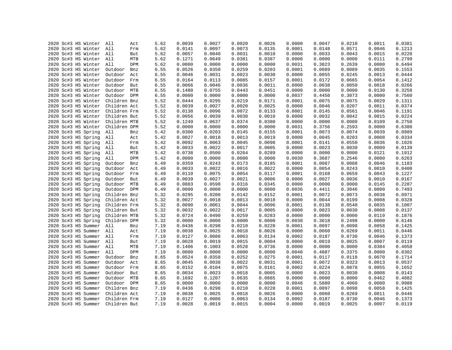|  | 2020 Sc#3 HS Winter     | All          | Act | 5.62 | 0.0039 | 0.0027 | 0.0020 | 0.0026 | 0.0000 | 0.0047 | 0.0210 | 0.0011 | 0.0381           |
|--|-------------------------|--------------|-----|------|--------|--------|--------|--------|--------|--------|--------|--------|------------------|
|  | 2020 Sc#3 HS Winter     | All          | Frm | 5.62 | 0.0141 | 0.0097 | 0.0073 | 0.0135 | 0.0001 | 0.0148 | 0.0571 | 0.0046 | 0.1213           |
|  | 2020 Sc#3 HS Winter All |              | But | 5.62 | 0.0057 | 0.0040 | 0.0031 | 0.0010 | 0.0000 | 0.0033 | 0.0043 | 0.0015 | 0.0228           |
|  | 2020 Sc#3 HS Winter All |              | MTB | 5.62 | 0.1271 | 0.0649 | 0.0381 | 0.0387 | 0.0000 | 0.0000 | 0.0000 | 0.0111 | 0.2799           |
|  | 2020 Sc#3 HS Winter All |              | DPM | 5.62 | 0.0000 | 0.0000 | 0.0000 | 0.0000 | 0.0031 | 0.3823 | 0.2639 | 0.0000 | 0.6494           |
|  | 2020 Sc#3 HS Winter     | Outdoor      | Bnz | 6.55 | 0.0526 | 0.0350 | 0.0259 | 0.0203 | 0.0001 | 0.0089 | 0.0089 | 0.0035 | 0.1553           |
|  | 2020 Sc#3 HS Winter     | Outdoor      | Act | 6.55 | 0.0046 | 0.0031 | 0.0023 | 0.0030 | 0.0000 | 0.0055 | 0.0245 | 0.0013 | 0.0444           |
|  | 2020 Sc#3 HS Winter     | Outdoor      | Frm | 6.55 | 0.0164 | 0.0113 | 0.0085 | 0.0157 | 0.0001 | 0.0172 | 0.0665 | 0.0054 | 0.1412           |
|  | 2020 Sc#3 HS Winter     | Outdoor      | But | 6.55 | 0.0066 | 0.0046 | 0.0036 | 0.0011 | 0.0000 | 0.0038 | 0.0050 | 0.0018 | 0.0266           |
|  | 2020 Sc#3 HS Winter     | Outdoor MTB  |     | 6.55 | 0.1480 | 0.0755 | 0.0443 | 0.0451 | 0.0000 | 0.0000 | 0.0000 | 0.0130 | 0.3258           |
|  | 2020 Sc#3 HS Winter     | Outdoor DPM  |     | 6.55 | 0.0000 | 0.0000 | 0.0000 | 0.0000 | 0.0037 | 0.4450 | 0.3073 | 0.0000 | 0.7560           |
|  | 2020 Sc#3 HS Winter     | Children Bnz |     | 5.52 | 0.0444 | 0.0295 | 0.0219 | 0.0171 | 0.0001 | 0.0075 | 0.0075 | 0.0029 | 0.1311           |
|  | 2020 Sc#3 HS Winter     | Children Act |     | 5.52 | 0.0039 | 0.0027 | 0.0020 | 0.0025 | 0.0000 | 0.0046 | 0.0207 | 0.0011 | 0.0374           |
|  | 2020 Sc#3 HS Winter     | Children Frm |     | 5.52 | 0.0138 | 0.0096 | 0.0072 | 0.0133 | 0.0001 | 0.0145 | 0.0561 | 0.0046 | 0.1191           |
|  | 2020 Sc#3 HS Winter     | Children But |     | 5.52 | 0.0056 | 0.0039 | 0.0030 | 0.0010 | 0.0000 | 0.0032 | 0.0042 | 0.0015 | 0.0224           |
|  | 2020 Sc#3 HS Winter     | Children MTB |     | 5.52 | 0.1249 | 0.0637 | 0.0374 | 0.0380 | 0.0000 | 0.0000 | 0.0000 | 0.0109 | 0.2750           |
|  | 2020 Sc#3 HS Winter     | Children DPM |     | 5.52 | 0.0000 | 0.0000 | 0.0000 | 0.0000 | 0.0031 | 0.3756 | 0.2593 | 0.0000 | 0.6380           |
|  | 2020 Sc#3 HS Spring     | All          | Bnz | 5.42 | 0.0300 | 0.0203 | 0.0145 | 0.0155 | 0.0001 | 0.0073 | 0.0074 | 0.0039 | 0.0989           |
|  | 2020 Sc#3 HS Spring     | All          | Act | 5.42 | 0.0027 | 0.0018 | 0.0013 | 0.0019 | 0.0000 | 0.0045 | 0.0203 | 0.0008 | 0.0334           |
|  | 2020 Sc#3 HS Spring     | All          | Frm | 5.42 | 0.0092 | 0.0063 | 0.0045 | 0.0098 | 0.0001 | 0.0141 | 0.0550 | 0.0036 | 0.1026           |
|  | 2020 Sc#3 HS Spring     | All          | But | 5.42 | 0.0033 | 0.0022 | 0.0017 | 0.0005 | 0.0000 | 0.0023 | 0.0030 | 0.0009 | 0.0139           |
|  | 2020 Sc#3 HS Spring     | All          | MTB | 5.42 | 0.0738 | 0.0500 | 0.0264 | 0.0289 | 0.0000 | 0.0000 | 0.0000 | 0.0121 | 0.1912           |
|  | 2020 Sc#3 HS Spring     | All          | DPM | 5.42 | 0.0000 | 0.0000 | 0.0000 | 0.0000 | 0.0030 | 0.3687 | 0.2546 | 0.0000 | 0.6263           |
|  | 2020 Sc#3 HS Spring     | Outdoor      | Bnz | 6.49 | 0.0359 | 0.0243 | 0.0173 | 0.0185 | 0.0001 | 0.0087 | 0.0088 | 0.0046 | 0.1183           |
|  |                         |              |     |      |        | 0.0022 |        |        | 0.0000 | 0.0054 |        |        |                  |
|  | 2020 Sc#3 HS Spring     | Outdoor      | Act | 6.49 | 0.0033 |        | 0.0016 | 0.0022 |        |        | 0.0243 | 0.0010 | 0.0400<br>0.1227 |
|  | 2020 Sc#3 HS Spring     | Outdoor      | Frm | 6.49 | 0.0110 | 0.0075 | 0.0054 | 0.0117 | 0.0001 | 0.0168 | 0.0659 | 0.0043 |                  |
|  | 2020 Sc#3 HS Spring     | Outdoor      | But | 6.49 | 0.0039 | 0.0027 | 0.0021 | 0.0006 | 0.0000 | 0.0027 | 0.0036 | 0.0010 | 0.0167           |
|  | 2020 Sc#3 HS Spring     | Outdoor MTB  |     | 6.49 | 0.0883 | 0.0598 | 0.0316 | 0.0345 | 0.0000 | 0.0000 | 0.0000 | 0.0145 | 0.2287           |
|  | 2020 Sc#3 HS Spring     | Outdoor DPM  |     | 6.49 | 0.0000 | 0.0000 | 0.0000 | 0.0000 | 0.0036 | 0.4411 | 0.3046 | 0.0000 | 0.7493           |
|  | 2020 Sc#3 HS Spring     | Children Bnz |     | 5.32 | 0.0295 | 0.0200 | 0.0142 | 0.0152 | 0.0001 | 0.0072 | 0.0073 | 0.0038 | 0.0971           |
|  | 2020 Sc#3 HS Spring     | Children Act |     | 5.32 | 0.0027 | 0.0018 | 0.0013 | 0.0018 | 0.0000 | 0.0044 | 0.0199 | 0.0008 | 0.0328           |
|  | 2020 Sc#3 HS Spring     | Children Frm |     | 5.32 | 0.0090 | 0.0061 | 0.0044 | 0.0096 | 0.0001 | 0.0138 | 0.0540 | 0.0035 | 0.1007           |
|  | 2020 Sc#3 HS Spring     | Children But |     | 5.32 | 0.0032 | 0.0022 | 0.0017 | 0.0005 | 0.0000 | 0.0023 | 0.0030 | 0.0008 | 0.0137           |
|  | 2020 Sc#3 HS Spring     | Children MTB |     | 5.32 | 0.0724 | 0.0490 | 0.0259 | 0.0283 | 0.0000 | 0.0000 | 0.0000 | 0.0119 | 0.1876           |
|  | 2020 Sc#3 HS Spring     | Children DPM |     | 5.32 | 0.0000 | 0.0000 | 0.0000 | 0.0000 | 0.0030 | 0.3618 | 0.2498 | 0.0000 | 0.6146           |
|  | 2020 Sc#3 HS Summer     | All          | Bnz | 7.19 | 0.0436 | 0.0298 | 0.0210 | 0.0228 | 0.0001 | 0.0097 | 0.0098 | 0.0058 | 0.1425           |
|  | 2020 Sc#3 HS Summer     | All          | Act | 7.19 | 0.0038 | 0.0025 | 0.0018 | 0.0026 | 0.0000 | 0.0060 | 0.0269 | 0.0011 | 0.0446           |
|  | 2020 Sc#3 HS Summer     | All          | Frm | 7.19 | 0.0127 | 0.0086 | 0.0063 | 0.0134 | 0.0002 | 0.0187 | 0.0730 | 0.0046 | 0.1373           |
|  | 2020 Sc#3 HS Summer All |              | But | 7.19 | 0.0028 | 0.0019 | 0.0015 | 0.0004 | 0.0000 | 0.0019 | 0.0025 | 0.0007 | 0.0119           |
|  | 2020 Sc#3 HS Summer     | All          | MTB | 7.19 | 0.1406 | 0.1003 | 0.0528 | 0.0736 | 0.0000 | 0.0000 | 0.0000 | 0.0384 | 0.4058           |
|  | 2020 Sc#3 HS Summer     | All          | DPM | 7.19 | 0.0000 | 0.0000 | 0.0000 | 0.0000 | 0.0040 | 0.4887 | 0.3375 | 0.0000 | 0.8302           |
|  | 2020 Sc#3 HS Summer     | Outdoor      | Bnz | 8.65 | 0.0524 | 0.0358 | 0.0252 | 0.0275 | 0.0001 | 0.0117 | 0.0118 | 0.0070 | 0.1714           |
|  | 2020 Sc#3 HS Summer     | Outdoor      | Act | 8.65 | 0.0045 | 0.0030 | 0.0022 | 0.0031 | 0.0001 | 0.0072 | 0.0323 | 0.0013 | 0.0537           |
|  | 2020 Sc#3 HS Summer     | Outdoor      | Frm | 8.65 | 0.0152 | 0.0104 | 0.0075 | 0.0161 | 0.0002 | 0.0224 | 0.0878 | 0.0055 | 0.1652           |
|  | 2020 Sc#3 HS Summer     | Outdoor      | But | 8.65 | 0.0034 | 0.0023 | 0.0018 | 0.0005 | 0.0000 | 0.0023 | 0.0030 | 0.0008 | 0.0143           |
|  | 2020 Sc#3 HS Summer     | Outdoor MTB  |     | 8.65 | 0.1692 | 0.1207 | 0.0635 | 0.0885 | 0.0000 | 0.0000 | 0.0000 | 0.0462 | 0.4882           |
|  | 2020 Sc#3 HS Summer     | Outdoor DPM  |     | 8.65 | 0.0000 | 0.0000 | 0.0000 | 0.0000 | 0.0048 | 0.5880 | 0.4060 | 0.0000 | 0.9988           |
|  | 2020 Sc#3 HS Summer     | Children Bnz |     | 7.19 | 0.0436 | 0.0298 | 0.0210 | 0.0228 | 0.0001 | 0.0097 | 0.0098 | 0.0058 | 0.1425           |
|  | 2020 Sc#3 HS Summer     | Children Act |     | 7.19 | 0.0038 | 0.0025 | 0.0018 | 0.0026 | 0.0000 | 0.0060 | 0.0269 | 0.0011 | 0.0446           |
|  | 2020 Sc#3 HS Summer     | Children Frm |     | 7.19 | 0.0127 | 0.0086 | 0.0063 | 0.0134 | 0.0002 | 0.0187 | 0.0730 | 0.0046 | 0.1373           |
|  | 2020 Sc#3 HS Summer     | Children But |     | 7.19 | 0.0028 | 0.0019 | 0.0015 | 0.0004 | 0.0000 | 0.0019 | 0.0025 | 0.0007 | 0.0119           |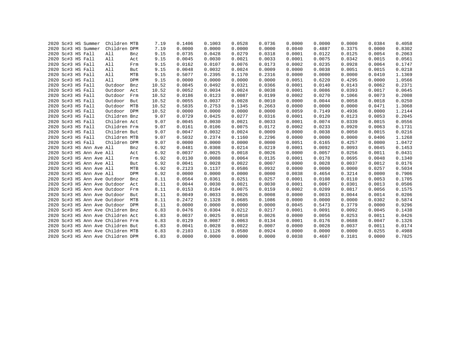|  | 2020 Sc#3 HS Summer |                              | Children MTB                      |     | 7.19  | 0.1406 | 0.1003 | 0.0528 | 0.0736 | 0.0000 | 0.0000 | 0.0000 | 0.0384 | 0.4058 |
|--|---------------------|------------------------------|-----------------------------------|-----|-------|--------|--------|--------|--------|--------|--------|--------|--------|--------|
|  | 2020 Sc#3 HS Summer |                              | Children DPM                      |     | 7.19  | 0.0000 | 0.0000 | 0.0000 | 0.0000 | 0.0040 | 0.4887 | 0.3375 | 0.0000 | 0.8302 |
|  | 2020 Sc#3 HS Fall   |                              | All                               | Bnz | 9.15  | 0.0735 | 0.0428 | 0.0279 | 0.0318 | 0.0001 | 0.0122 | 0.0125 | 0.0054 | 0.2063 |
|  | 2020 Sc#3 HS Fall   |                              | All                               | Act | 9.15  | 0.0045 | 0.0030 | 0.0021 | 0.0033 | 0.0001 | 0.0075 | 0.0342 | 0.0015 | 0.0561 |
|  | 2020 Sc#3 HS Fall   |                              | All                               | Frm | 9.15  | 0.0162 | 0.0107 | 0.0076 | 0.0173 | 0.0002 | 0.0235 | 0.0928 | 0.0064 | 0.1747 |
|  | 2020 Sc#3 HS Fall   |                              | All                               | But | 9.15  | 0.0048 | 0.0032 | 0.0024 | 0.0009 | 0.0000 | 0.0038 | 0.0051 | 0.0015 | 0.0218 |
|  | 2020 Sc#3 HS Fall   |                              | All                               | MTB | 9.15  | 0.5077 | 0.2395 | 0.1170 | 0.2316 | 0.0000 | 0.0000 | 0.0000 | 0.0410 | 1.1369 |
|  | 2020 Sc#3 HS Fall   |                              | All                               | DPM | 9.15  | 0.0000 | 0.0000 | 0.0000 | 0.0000 | 0.0051 | 0.6220 | 0.4295 | 0.0000 | 1.0566 |
|  | 2020 Sc#3 HS Fall   |                              | Outdoor                           | Bnz | 10.52 | 0.0845 | 0.0492 | 0.0321 | 0.0366 | 0.0001 | 0.0140 | 0.0143 | 0.0062 | 0.2371 |
|  | 2020 Sc#3 HS Fall   |                              | Outdoor                           | Act | 10.52 | 0.0052 | 0.0034 | 0.0024 | 0.0038 | 0.0001 | 0.0086 | 0.0393 | 0.0017 | 0.0645 |
|  | 2020 Sc#3 HS Fall   |                              | Outdoor                           | Frm | 10.52 | 0.0186 | 0.0123 | 0.0087 | 0.0199 | 0.0002 | 0.0270 | 0.1066 | 0.0073 | 0.2008 |
|  | 2020 Sc#3 HS Fall   |                              | Outdoor                           | But | 10.52 | 0.0055 | 0.0037 | 0.0028 | 0.0010 | 0.0000 | 0.0044 | 0.0058 | 0.0018 | 0.0250 |
|  | 2020 Sc#3 HS Fall   |                              | Outdoor                           | MTB | 10.52 | 0.5835 | 0.2753 | 0.1345 | 0.2663 | 0.0000 | 0.0000 | 0.0000 | 0.0471 | 1.3068 |
|  | 2020 Sc#3 HS Fall   |                              | Outdoor                           | DPM | 10.52 | 0.0000 | 0.0000 | 0.0000 | 0.0000 | 0.0059 | 0.7149 | 0.4936 | 0.0000 | 1.2144 |
|  | 2020 Sc#3 HS Fall   |                              | Children Bnz                      |     | 9.07  | 0.0729 | 0.0425 | 0.0277 | 0.0316 | 0.0001 | 0.0120 | 0.0123 | 0.0053 | 0.2045 |
|  | 2020 Sc#3 HS Fall   |                              | Children Act                      |     | 9.07  | 0.0045 | 0.0030 | 0.0021 | 0.0033 | 0.0001 | 0.0074 | 0.0339 | 0.0015 | 0.0556 |
|  | 2020 Sc#3 HS Fall   |                              | Children Frm                      |     | 9.07  | 0.0161 | 0.0106 | 0.0075 | 0.0172 | 0.0002 | 0.0233 | 0.0920 | 0.0063 | 0.1731 |
|  | 2020 Sc#3 HS Fall   |                              | Children But                      |     | 9.07  | 0.0047 | 0.0032 | 0.0024 | 0.0009 | 0.0000 | 0.0038 | 0.0050 | 0.0015 | 0.0216 |
|  | 2020 Sc#3 HS Fall   |                              | Children MTB                      |     | 9.07  | 0.5032 | 0.2374 | 0.1160 | 0.2296 | 0.0000 | 0.0000 | 0.0000 | 0.0406 | 1.1268 |
|  | 2020 Sc#3 HS Fall   |                              | Children DPM                      |     | 9.07  | 0.0000 | 0.0000 | 0.0000 | 0.0000 | 0.0051 | 0.6165 | 0.4257 | 0.0000 | 1.0472 |
|  |                     | 2020 Sc#3 HS Ann Ave All     |                                   | Bnz | 6.92  | 0.0481 | 0.0308 | 0.0214 | 0.0219 | 0.0001 | 0.0092 | 0.0093 | 0.0045 | 0.1453 |
|  |                     | 2020 Sc#3 HS Ann Ave All     |                                   | Act | 6.92  | 0.0037 | 0.0025 | 0.0018 | 0.0026 | 0.0000 | 0.0057 | 0.0256 | 0.0011 | 0.0431 |
|  |                     | 2020 Sc#3 HS Ann Ave All     |                                   | Frm | 6.92  | 0.0130 | 0.0088 | 0.0064 | 0.0135 | 0.0001 | 0.0178 | 0.0695 | 0.0048 | 0.1340 |
|  |                     | 2020 Sc#3 HS Ann Ave All     |                                   | But | 6.92  | 0.0041 | 0.0028 | 0.0022 | 0.0007 | 0.0000 | 0.0028 | 0.0037 | 0.0012 | 0.0176 |
|  |                     | 2020 Sc#3 HS Ann Ave All     |                                   | MTB | 6.92  | 0.2123 | 0.1137 | 0.0586 | 0.0932 | 0.0000 | 0.0000 | 0.0000 | 0.0257 | 0.5034 |
|  |                     | 2020 Sc#3 HS Ann Ave All     |                                   | DPM | 6.92  | 0.0000 | 0.0000 | 0.0000 | 0.0000 | 0.0038 | 0.4654 | 0.3214 | 0.0000 | 0.7906 |
|  |                     | 2020 Sc#3 HS Ann Ave Outdoor |                                   | Bnz | 8.11  | 0.0564 | 0.0361 | 0.0251 | 0.0257 | 0.0001 | 0.0108 | 0.0110 | 0.0053 | 0.1705 |
|  |                     | 2020 Sc#3 HS Ann Ave Outdoor |                                   | Act | 8.11  | 0.0044 | 0.0030 | 0.0021 | 0.0030 | 0.0001 | 0.0067 | 0.0301 | 0.0013 | 0.0506 |
|  |                     | 2020 Sc#3 HS Ann Ave Outdoor |                                   | Frm | 8.11  | 0.0153 | 0.0104 | 0.0075 | 0.0159 | 0.0002 | 0.0209 | 0.0817 | 0.0056 | 0.1575 |
|  |                     | 2020 Sc#3 HS Ann Ave Outdoor |                                   | But | 8.11  | 0.0049 | 0.0033 | 0.0026 | 0.0008 | 0.0000 | 0.0033 | 0.0044 | 0.0014 | 0.0206 |
|  |                     | 2020 Sc#3 HS Ann Ave Outdoor |                                   | MTB | 8.11  | 0.2472 | 0.1328 | 0.0685 | 0.1086 | 0.0000 | 0.0000 | 0.0000 | 0.0302 | 0.5874 |
|  |                     |                              | 2020 Sc#3 HS Ann Ave Outdoor DPM  |     | 8.11  | 0.0000 | 0.0000 | 0.0000 | 0.0000 | 0.0045 | 0.5473 | 0.3779 | 0.0000 | 0.9296 |
|  |                     |                              | 2020 Sc#3 HS Ann Ave Children Bnz |     | 6.83  | 0.0476 | 0.0304 | 0.0212 | 0.0217 | 0.0001 | 0.0091 | 0.0092 | 0.0045 | 0.1438 |
|  |                     |                              | 2020 Sc#3 HS Ann Ave Children Act |     | 6.83  | 0.0037 | 0.0025 | 0.0018 | 0.0026 | 0.0000 | 0.0056 | 0.0253 | 0.0011 | 0.0426 |
|  |                     |                              | 2020 Sc#3 HS Ann Ave Children Frm |     | 6.83  | 0.0129 | 0.0087 | 0.0063 | 0.0134 | 0.0001 | 0.0176 | 0.0688 | 0.0047 | 0.1326 |
|  |                     |                              | 2020 Sc#3 HS Ann Ave Children But |     | 6.83  | 0.0041 | 0.0028 | 0.0022 | 0.0007 | 0.0000 | 0.0028 | 0.0037 | 0.0011 | 0.0174 |
|  |                     |                              | 2020 Sc#3 HS Ann Ave Children MTB |     | 6.83  | 0.2103 | 0.1126 | 0.0580 | 0.0924 | 0.0000 | 0.0000 | 0.0000 | 0.0255 | 0.4988 |
|  |                     |                              | 2020 Sc#3 HS Ann Ave Children DPM |     | 6.83  | 0.0000 | 0.0000 | 0.0000 | 0.0000 | 0.0038 | 0.4607 | 0.3181 | 0.0000 | 0.7825 |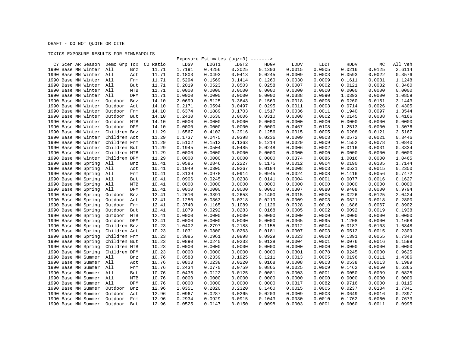DRAFT - DO NOT QUOTE OR CITE

## TOXICS EXPOSURE RESULTS FOR MINNEAPOLIS

|                                |                |          |        |        | Exposure Estimates (ug/m3) -------> |        |             |        |        |        |         |
|--------------------------------|----------------|----------|--------|--------|-------------------------------------|--------|-------------|--------|--------|--------|---------|
| CY Scen AR Season Demo Grp Tox |                | CO Ratio | LDGV   | LDGT1  | LDGT2                               | HDGV   | <b>LDDV</b> | LDDT   | HDDV   | МC     | All Veh |
| 1990 Base MN Winter            | All<br>Bnz     | 11.71    | 1.7191 | 0.4256 | 0.3025                              | 0.1303 | 0.0015      | 0.0005 | 0.0216 | 0.0125 | 2.6114  |
| 1990 Base MN Winter All        | Act            | 11.71    | 0.1803 | 0.0493 | 0.0413                              | 0.0245 | 0.0009      | 0.0003 | 0.0593 | 0.0022 | 0.3576  |
| 1990 Base MN Winter All        | Frm            | 11.71    | 0.5294 | 0.1569 | 0.1414                              | 0.1260 | 0.0030      | 0.0009 | 0.1611 | 0.0081 | 1.1248  |
| 1990 Base MN Winter All        | But            | 11.71    | 0.2019 | 0.0523 | 0.0503                              | 0.0258 | 0.0007      | 0.0002 | 0.0121 | 0.0032 | 0.3460  |
| 1990 Base MN Winter All        | MTB            | 11.71    | 0.0000 | 0.0000 | 0.0000                              | 0.0000 | 0.0000      | 0.0000 | 0.0000 | 0.0000 | 0.0000  |
| 1990 Base MN Winter            | All<br>DPM     | 11.71    | 0.0000 | 0.0000 | 0.0000                              | 0.0000 | 0.0388      | 0.0090 | 1.0393 | 0.0000 | 1.0859  |
| 1990 Base MN Winter            | Outdoor<br>Bnz | 14.10    | 2.0699 | 0.5125 | 0.3643                              | 0.1569 | 0.0018      | 0.0006 | 0.0260 | 0.0151 | 3.1443  |
| 1990 Base MN Winter            | Outdoor<br>Act | 14.10    | 0.2171 | 0.0594 | 0.0497                              | 0.0295 | 0.0011      | 0.0003 | 0.0714 | 0.0026 | 0.4305  |
| 1990 Base MN Winter            | Outdoor<br>Frm | 14.10    | 0.6374 | 0.1889 | 0.1703                              | 0.1517 | 0.0036      | 0.0011 | 0.1940 | 0.0097 | 1.3544  |
| 1990 Base MN Winter            | Outdoor<br>But | 14.10    | 0.2430 | 0.0630 | 0.0606                              | 0.0310 | 0.0008      | 0.0002 | 0.0145 | 0.0038 | 0.4166  |
| 1990 Base MN Winter            | Outdoor<br>MTB | 14.10    | 0.0000 | 0.0000 | 0.0000                              | 0.0000 | 0.0000      | 0.0000 | 0.0000 | 0.0000 | 0.0000  |
| 1990 Base MN Winter            | Outdoor<br>DPM | 14.10    | 0.0000 | 0.0000 | 0.0000                              | 0.0000 | 0.0467      | 0.0108 | 1.2513 | 0.0000 | 1.3076  |
| 1990 Base MN Winter            | Children Bnz   | 11.29    | 1.6567 | 0.4102 | 0.2916                              | 0.1256 | 0.0015      | 0.0005 | 0.0208 | 0.0121 | 2.5167  |
| 1990 Base MN Winter            | Children Act   | 11.29    | 0.1737 | 0.0475 | 0.0398                              | 0.0236 | 0.0009      | 0.0003 | 0.0572 | 0.0021 | 0.3446  |
| 1990 Base MN Winter            | Children Frm   | 11.29    | 0.5102 | 0.1512 | 0.1363                              | 0.1214 | 0.0029      | 0.0009 | 0.1552 | 0.0078 | 1.0840  |
| 1990 Base MN Winter            | Children But   | 11.29    | 0.1945 | 0.0504 | 0.0485                              | 0.0248 | 0.0006      | 0.0002 | 0.0116 | 0.0031 | 0.3334  |
| 1990 Base MN Winter            | Children MTB   | 11.29    | 0.0000 | 0.0000 | 0.0000                              | 0.0000 | 0.0000      | 0.0000 | 0.0000 | 0.0000 | 0.0000  |
| 1990 Base MN Winter            | Children DPM   | 11.29    | 0.0000 | 0.0000 | 0.0000                              | 0.0000 | 0.0374      | 0.0086 | 1.0016 | 0.0000 | 1.0465  |
| 1990 Base MN Spring            | All<br>Bnz     | 10.41    | 1.0585 | 0.2846 | 0.2227                              | 0.1175 | 0.0012      | 0.0004 | 0.0190 | 0.0105 | 1.7144  |
| 1990 Base MN Spring            | All<br>Act     | 10.41    | 0.1049 | 0.0305 | 0.0267                              | 0.0184 | 0.0008      | 0.0003 | 0.0521 | 0.0015 | 0.2350  |
| 1990 Base MN Spring            | All<br>Frm     | 10.41    | 0.3139 | 0.0978 | 0.0914                              | 0.0945 | 0.0024      | 0.0008 | 0.1416 | 0.0056 | 0.7472  |
| 1990 Base MN Spring            | All<br>But     | 10.41    | 0.0906 | 0.0245 | 0.0238                              | 0.0141 | 0.0004      | 0.0001 | 0.0077 | 0.0016 | 0.1627  |
| 1990 Base MN Spring            | All<br>MTB     | 10.41    | 0.0000 | 0.0000 | 0.0000                              | 0.0000 | 0.0000      | 0.0000 | 0.0000 | 0.0000 | 0.0000  |
| 1990 Base MN Spring            | All<br>DPM     | 10.41    | 0.0000 | 0.0000 | 0.0000                              | 0.0000 | 0.0307      | 0.0080 | 0.9408 | 0.0000 | 0.9794  |
| 1990 Base MN Spring            | Outdoor<br>Bnz | 12.41    | 1.2610 | 0.3391 | 0.2653                              | 0.1400 | 0.0015      | 0.0005 | 0.0226 | 0.0125 | 2.0424  |
| 1990 Base MN Spring            | Outdoor<br>Act | 12.41    | 0.1250 | 0.0363 | 0.0318                              | 0.0219 | 0.0009      | 0.0003 | 0.0621 | 0.0018 | 0.2800  |
| 1990 Base MN Spring            | Outdoor<br>Frm | 12.41    | 0.3740 | 0.1165 | 0.1089                              | 0.1126 | 0.0028      | 0.0010 | 0.1686 | 0.0067 | 0.8902  |
| 1990 Base MN Spring            | Outdoor<br>But | 12.41    | 0.1079 | 0.0292 | 0.0283                              | 0.0168 | 0.0005      | 0.0002 | 0.0092 | 0.0019 | 0.1938  |
| 1990 Base MN Spring            | Outdoor<br>MTB | 12.41    | 0.0000 | 0.0000 | 0.0000                              | 0.0000 | 0.0000      | 0.0000 | 0.0000 | 0.0000 | 0.0000  |
| 1990 Base MN Spring            | Outdoor DPM    | 12.41    | 0.0000 | 0.0000 | 0.0000                              | 0.0000 | 0.0365      | 0.0095 | 1.1208 | 0.0000 | 1.1668  |
| 1990 Base MN Spring            | Children Bnz   | 10.23    | 1.0402 | 0.2797 | 0.2188                              | 0.1155 | 0.0012      | 0.0004 | 0.0187 | 0.0103 | 1.6848  |
| 1990 Base MN Spring            | Children Act   | 10.23    | 0.1031 | 0.0300 | 0.0263                              | 0.0181 | 0.0007      | 0.0003 | 0.0512 | 0.0015 | 0.2309  |
| 1990 Base MN Spring            | Children Frm   | 10.23    | 0.3085 | 0.0961 | 0.0898                              | 0.0929 | 0.0023      | 0.0008 | 0.1391 | 0.0055 | 0.7343  |
| 1990 Base MN Spring            | Children But   | 10.23    | 0.0890 | 0.0240 | 0.0233                              | 0.0138 | 0.0004      | 0.0001 | 0.0076 | 0.0016 | 0.1599  |
| 1990 Base MN Spring            | Children MTB   | 10.23    | 0.0000 | 0.0000 | 0.0000                              | 0.0000 | 0.0000      | 0.0000 | 0.0000 | 0.0000 | 0.0000  |
| 1990 Base MN Spring            | Children DPM   | 10.23    | 0.0000 | 0.0000 | 0.0000                              | 0.0000 | 0.0301      | 0.0078 | 0.9245 | 0.0000 | 0.9625  |
| 1990 Base MN Summer            | All<br>Bnz     | 10.76    | 0.8588 | 0.2339 | 0.1925                              | 0.1211 | 0.0013      | 0.0005 | 0.0196 | 0.0111 | 1.4386  |
| 1990 Base MN Summer            | All<br>Act     | 10.76    | 0.0803 | 0.0238 | 0.0220                              | 0.0168 | 0.0008      | 0.0003 | 0.0538 | 0.0013 | 0.1989  |
| 1990 Base MN Summer            | All<br>Frm     | 10.76    | 0.2434 | 0.0770 | 0.0759                              | 0.0865 | 0.0025      | 0.0009 | 0.1462 | 0.0050 | 0.6365  |
| 1990 Base MN Summer            | All<br>But     | 10.76    | 0.0436 | 0.0122 | 0.0125                              | 0.0081 | 0.0003      | 0.0001 | 0.0050 | 0.0009 | 0.0825  |
| 1990 Base MN Summer            | All<br>MTB     | 10.76    | 0.0000 | 0.0000 | 0.0000                              | 0.0000 | 0.0000      | 0.0000 | 0.0000 | 0.0000 | 0.0000  |
| 1990 Base MN Summer            | All<br>DPM     | 10.76    | 0.0000 | 0.0000 | 0.0000                              | 0.0000 | 0.0317      | 0.0082 | 0.9716 | 0.0000 | 1.0115  |
| 1990 Base MN Summer            | Outdoor<br>Bnz | 12.96    | 1.0351 | 0.2820 | 0.2320                              | 0.1460 | 0.0015      | 0.0005 | 0.0237 | 0.0134 | 1.7341  |
| 1990 Base MN Summer            | Outdoor<br>Act | 12.96    | 0.0967 | 0.0287 | 0.0265                              | 0.0203 | 0.0009      | 0.0003 | 0.0649 | 0.0016 | 0.2397  |
| 1990 Base MN Summer            | Outdoor<br>Frm | 12.96    | 0.2934 | 0.0929 | 0.0915                              | 0.1043 | 0.0030      | 0.0010 | 0.1762 | 0.0060 | 0.7673  |
| 1990 Base MN Summer            | Outdoor<br>But | 12.96    | 0.0525 | 0.0147 | 0.0150                              | 0.0098 | 0.0003      | 0.0001 | 0.0060 | 0.0011 | 0.0995  |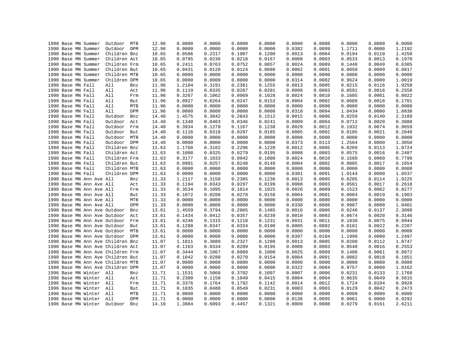|  | 1990 Base MN Summer               | Outdoor MTB  |     | 12.96 | 0.0000 | 0.0000 | 0.0000 | 0.0000 | 0.0000 | 0.0000 | 0.0000 | 0.0000 | 0.0000 |
|--|-----------------------------------|--------------|-----|-------|--------|--------|--------|--------|--------|--------|--------|--------|--------|
|  | 1990 Base MN Summer               | Outdoor DPM  |     | 12.96 | 0.0000 | 0.0000 | 0.0000 | 0.0000 | 0.0382 | 0.0099 | 1.1711 | 0.0000 | 1.2192 |
|  | 1990 Base MN Summer               | Children Bnz |     | 10.65 | 0.8506 | 0.2317 | 0.1907 | 0.1200 | 0.0013 | 0.0004 | 0.0194 | 0.0110 | 1.4250 |
|  | 1990 Base MN Summer               | Children Act |     | 10.65 | 0.0795 | 0.0236 | 0.0218 | 0.0167 | 0.0008 | 0.0003 | 0.0533 | 0.0013 | 0.1970 |
|  | 1990 Base MN Summer               | Children Frm |     | 10.65 | 0.2411 | 0.0763 | 0.0752 | 0.0857 | 0.0024 | 0.0009 | 0.1448 | 0.0049 | 0.6305 |
|  | 1990 Base MN Summer               | Children But |     | 10.65 | 0.0431 | 0.0120 | 0.0124 | 0.0080 | 0.0002 | 0.0001 | 0.0050 | 0.0009 | 0.0817 |
|  | 1990 Base MN Summer               | Children MTB |     | 10.65 | 0.0000 | 0.0000 | 0.0000 | 0.0000 | 0.0000 | 0.0000 | 0.0000 | 0.0000 | 0.0000 |
|  | 1990 Base MN Summer               | Children DPM |     | 10.65 | 0.0000 | 0.0000 | 0.0000 | 0.0000 | 0.0314 | 0.0082 | 0.9624 | 0.0000 | 1.0019 |
|  | 1990 Base MN Fall                 | All          | Bnz | 11.96 | 1.2104 | 0.3191 | 0.2361 | 0.1255 | 0.0013 | 0.0005 | 0.0215 | 0.0116 | 1.9258 |
|  | 1990 Base MN Fall                 | All          | Act | 11.96 | 0.1119 | 0.0335 | 0.0287 | 0.0201 | 0.0008 | 0.0003 | 0.0591 | 0.0016 | 0.2558 |
|  | 1990 Base MN Fall                 | All          | Frm | 11.96 | 0.3267 | 0.1062 | 0.0969 | 0.1028 | 0.0024 | 0.0010 | 0.1605 | 0.0061 | 0.8022 |
|  | 1990 Base MN Fall                 | All          | But | 11.96 | 0.0927 | 0.0264 | 0.0247 | 0.0153 | 0.0004 | 0.0002 | 0.0088 | 0.0018 | 0.1701 |
|  | 1990 Base MN Fall                 | All          | MTB | 11.96 | 0.0000 | 0.0000 | 0.0000 | 0.0000 | 0.0000 | 0.0000 | 0.0000 | 0.0000 | 0.0000 |
|  | 1990 Base MN Fall                 | All          | DPM | 11.96 | 0.0000 | 0.0000 | 0.0000 | 0.0000 | 0.0310 | 0.0094 | 1.0434 | 0.0000 | 1.0838 |
|  | 1990 Base MN Fall                 | Outdoor      | Bnz | 14.40 | 1.4575 | 0.3842 | 0.2843 | 0.1512 | 0.0015 | 0.0006 | 0.0259 | 0.0140 | 2.3189 |
|  | 1990 Base MN Fall                 | Outdoor      | Act | 14.40 | 0.1348 | 0.0403 | 0.0346 | 0.0241 | 0.0009 | 0.0004 | 0.0712 | 0.0020 | 0.3080 |
|  | 1990 Base MN Fall                 | Outdoor      | Frm | 14.40 | 0.3934 | 0.1279 | 0.1167 | 0.1238 | 0.0029 | 0.0012 | 0.1932 | 0.0074 | 0.9659 |
|  | 1990 Base MN Fall                 | Outdoor But  |     | 14.40 | 0.1116 | 0.0318 | 0.0297 | 0.0185 | 0.0005 | 0.0002 | 0.0105 | 0.0021 | 0.2048 |
|  | 1990 Base MN Fall                 | Outdoor MTB  |     | 14.40 | 0.0000 | 0.0000 | 0.0000 | 0.0000 | 0.0000 | 0.0000 | 0.0000 | 0.0000 | 0.0000 |
|  | 1990 Base MN Fall                 | Outdoor DPM  |     | 14.40 | 0.0000 | 0.0000 | 0.0000 | 0.0000 | 0.0373 | 0.0113 | 1.2564 | 0.0000 | 1.3050 |
|  | 1990 Base MN Fall                 | Children Bnz |     | 11.63 | 1.1768 | 0.3102 | 0.2296 | 0.1220 | 0.0012 | 0.0005 | 0.0209 | 0.0113 | 1.8724 |
|  | 1990 Base MN Fall                 | Children Act |     | 11.63 | 0.1088 | 0.0325 | 0.0279 | 0.0195 | 0.0008 | 0.0003 | 0.0575 | 0.0016 | 0.2487 |
|  | 1990 Base MN Fall                 | Children Frm |     |       | 0.3177 | 0.1033 | 0.0942 | 0.1000 | 0.0024 | 0.0010 | 0.1560 | 0.0060 | 0.7799 |
|  |                                   |              |     | 11.63 |        |        |        |        |        |        |        |        |        |
|  | 1990 Base MN Fall                 | Children But |     | 11.63 | 0.0901 | 0.0257 | 0.0240 | 0.0149 | 0.0004 | 0.0002 | 0.0085 | 0.0017 | 0.1654 |
|  | 1990 Base MN Fall                 | Children MTB |     | 11.63 | 0.0000 | 0.0000 | 0.0000 | 0.0000 | 0.0000 | 0.0000 | 0.0000 | 0.0000 | 0.0000 |
|  | 1990 Base MN Fall                 | Children DPM |     | 11.63 | 0.0000 | 0.0000 | 0.0000 | 0.0000 | 0.0301 | 0.0091 | 1.0144 | 0.0000 | 1.0537 |
|  | 1990 Base MN Ann Ave All          |              | Bnz | 11.33 | 1.2117 | 0.3158 | 0.2385 | 0.1236 | 0.0013 | 0.0005 | 0.0205 | 0.0114 | 1.9225 |
|  | 1990 Base MN Ann Ave All          |              | Act | 11.33 | 0.1194 | 0.0343 | 0.0297 | 0.0199 | 0.0008 | 0.0003 | 0.0561 | 0.0017 | 0.2618 |
|  | 1990 Base MN Ann Ave All          |              | Frm | 11.33 | 0.3534 | 0.1095 | 0.1014 | 0.1025 | 0.0026 | 0.0009 | 0.1523 | 0.0062 | 0.8277 |
|  | 1990 Base MN Ann Ave All          |              | But | 11.33 | 0.1072 | 0.0288 | 0.0278 | 0.0158 | 0.0004 | 0.0001 | 0.0084 | 0.0019 | 0.1903 |
|  | 1990 Base MN Ann Ave All          |              | MTB | 11.33 | 0.0000 | 0.0000 | 0.0000 | 0.0000 | 0.0000 | 0.0000 | 0.0000 | 0.0000 | 0.0000 |
|  | 1990 Base MN Ann Ave All          |              | DPM | 11.33 | 0.0000 | 0.0000 | 0.0000 | 0.0000 | 0.0330 | 0.0086 | 0.9987 | 0.0000 | 1.0401 |
|  | 1990 Base MN Ann Ave Outdoor      |              | Bnz | 13.61 | 1.4559 | 0.3794 | 0.2865 | 0.1485 | 0.0016 | 0.0006 | 0.0246 | 0.0137 | 2.3099 |
|  | 1990 Base MN Ann Ave Outdoor      |              | Act | 13.61 | 0.1434 | 0.0412 | 0.0357 | 0.0239 | 0.0010 | 0.0003 | 0.0674 | 0.0020 | 0.3146 |
|  | 1990 Base MN Ann Ave Outdoor Frm  |              |     | 13.61 | 0.4246 | 0.1315 | 0.1218 | 0.1231 | 0.0031 | 0.0011 | 0.1830 | 0.0075 | 0.9944 |
|  | 1990 Base MN Ann Ave Outdoor      |              | But | 13.61 | 0.1288 | 0.0347 | 0.0334 | 0.0190 | 0.0005 | 0.0002 | 0.0101 | 0.0022 | 0.2287 |
|  | 1990 Base MN Ann Ave Outdoor MTB  |              |     | 13.61 | 0.0000 | 0.0000 | 0.0000 | 0.0000 | 0.0000 | 0.0000 | 0.0000 | 0.0000 | 0.0000 |
|  | 1990 Base MN Ann Ave Outdoor DPM  |              |     | 13.61 | 0.0000 | 0.0000 | 0.0000 | 0.0000 | 0.0397 | 0.0104 | 1.1999 | 0.0000 | 1.2497 |
|  | 1990 Base MN Ann Ave Children Bnz |              |     | 11.07 | 1.1811 | 0.3080 | 0.2327 | 0.1208 | 0.0013 | 0.0005 | 0.0200 | 0.0112 | 1.8747 |
|  | 1990 Base MN Ann Ave Children Act |              |     | 11.07 | 0.1163 | 0.0334 | 0.0289 | 0.0195 | 0.0008 | 0.0003 | 0.0548 | 0.0016 | 0.2553 |
|  | 1990 Base MN Ann Ave Children Frm |              |     | 11.07 | 0.3444 | 0.1067 | 0.0989 | 0.1000 | 0.0025 | 0.0009 | 0.1488 | 0.0061 | 0.8072 |
|  | 1990 Base MN Ann Ave Children But |              |     | 11.07 | 0.1042 | 0.0280 | 0.0270 | 0.0154 | 0.0004 | 0.0001 | 0.0082 | 0.0018 | 0.1851 |
|  | 1990 Base MN Ann Ave Children MTB |              |     | 11.07 | 0.0000 | 0.0000 | 0.0000 | 0.0000 | 0.0000 | 0.0000 | 0.0000 | 0.0000 | 0.0000 |
|  | 1990 Base MN Ann Ave Children DPM |              |     | 11.07 | 0.0000 | 0.0000 | 0.0000 | 0.0000 | 0.0322 | 0.0084 | 0.9757 | 0.0000 | 1.0162 |
|  | 1996 Base MN Winter All           |              | Bnz | 11.71 | 1.1531 | 0.5060 | 0.3702 | 0.1097 | 0.0007 | 0.0006 | 0.0231 | 0.0133 | 2.1768 |
|  | 1996 Base MN Winter All           |              | Act | 11.71 | 0.2300 | 0.1158 | 0.1049 | 0.0415 | 0.0004 | 0.0004 | 0.0635 | 0.0049 | 0.5615 |
|  | 1996 Base MN Winter All           |              | Frm | 11.71 | 0.3376 | 0.1764 | 0.1792 | 0.1142 | 0.0014 | 0.0012 | 0.1724 | 0.0104 | 0.9928 |
|  | 1996 Base MN Winter All           |              | But | 11.71 | 0.1035 | 0.0480 | 0.0549 | 0.0231 | 0.0003 | 0.0003 | 0.0129 | 0.0042 | 0.2473 |
|  | 1996 Base MN Winter All           |              | MTB | 11.71 | 0.0000 | 0.0000 | 0.0000 | 0.0000 | 0.0000 | 0.0000 | 0.0000 | 0.0000 | 0.0000 |
|  | 1996 Base MN Winter All           |              | DPM | 11.71 | 0.0000 | 0.0000 | 0.0000 | 0.0000 | 0.0136 | 0.0095 | 0.9061 | 0.0000 | 0.9292 |
|  | 1996 Base MN Winter               | Outdoor      | Bnz | 14.10 | 1.3884 | 0.6093 | 0.4457 | 0.1321 | 0.0009 | 0.0008 | 0.0279 | 0.0161 | 2.6211 |
|  |                                   |              |     |       |        |        |        |        |        |        |        |        |        |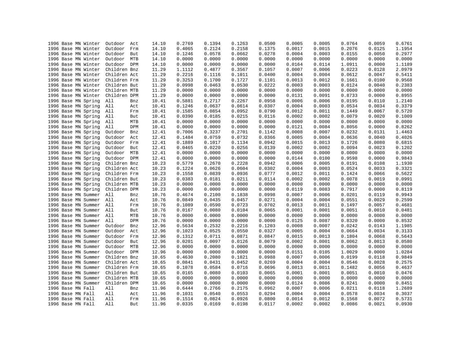| 1996 Base MN Winter | Outdoor<br>Act    | 14.10 | 0.2769 | 0.1394 | 0.1263 | 0.0500 | 0.0005 | 0.0005 | 0.0764 | 0.0059 | 0.6761 |
|---------------------|-------------------|-------|--------|--------|--------|--------|--------|--------|--------|--------|--------|
| 1996 Base MN Winter | Outdoor<br>Frm    | 14.10 | 0.4065 | 0.2124 | 0.2158 | 0.1375 | 0.0017 | 0.0015 | 0.2076 | 0.0125 | 1.1954 |
| 1996 Base MN Winter | Outdoor<br>But    | 14.10 | 0.1246 | 0.0578 | 0.0662 | 0.0278 | 0.0004 | 0.0003 | 0.0155 | 0.0050 | 0.2977 |
| 1996 Base MN Winter | Outdoor<br>MTB    | 14.10 | 0.0000 | 0.0000 | 0.0000 | 0.0000 | 0.0000 | 0.0000 | 0.0000 | 0.0000 | 0.0000 |
| 1996 Base MN Winter | Outdoor DPM       | 14.10 | 0.0000 | 0.0000 | 0.0000 | 0.0000 | 0.0164 | 0.0114 | 1.0911 | 0.0000 | 1.1189 |
| 1996 Base MN Winter | Children Bnz      | 11.29 | 1.1112 | 0.4877 | 0.3567 | 0.1057 | 0.0007 | 0.0006 | 0.0223 | 0.0128 | 2.0979 |
| 1996 Base MN Winter | Children Act      | 11.29 | 0.2216 | 0.1116 | 0.1011 | 0.0400 | 0.0004 | 0.0004 | 0.0612 | 0.0047 | 0.5411 |
| 1996 Base MN Winter | Children Frm      | 11.29 | 0.3253 | 0.1700 | 0.1727 | 0.1101 | 0.0013 | 0.0012 | 0.1661 | 0.0100 | 0.9568 |
| 1996 Base MN Winter | Children But      | 11.29 | 0.0998 | 0.0463 | 0.0530 | 0.0222 | 0.0003 | 0.0003 | 0.0124 | 0.0040 | 0.2383 |
| 1996 Base MN Winter | Children MTB      | 11.29 | 0.0000 | 0.0000 | 0.0000 | 0.0000 | 0.0000 | 0.0000 | 0.0000 | 0.0000 | 0.0000 |
| 1996 Base MN Winter | Children DPM      | 11.29 | 0.0000 | 0.0000 | 0.0000 | 0.0000 | 0.0131 | 0.0091 | 0.8733 | 0.0000 | 0.8955 |
| 1996 Base MN Spring | All<br>Bnz        | 10.41 | 0.5881 | 0.2717 | 0.2267 | 0.0958 | 0.0006 | 0.0006 | 0.0195 | 0.0110 | 1.2140 |
| 1996 Base MN Spring | All<br>Act        | 10.41 | 0.1246 | 0.0637 | 0.0614 | 0.0307 | 0.0004 | 0.0003 | 0.0534 | 0.0034 | 0.3379 |
| 1996 Base MN Spring | All<br>Frm        | 10.41 | 0.1585 | 0.0854 | 0.0952 | 0.0790 | 0.0012 | 0.0011 | 0.1449 | 0.0067 | 0.5720 |
| 1996 Base MN Spring | All<br>But        | 10.41 | 0.0390 | 0.0185 | 0.0215 | 0.0116 | 0.0002 | 0.0002 | 0.0079 | 0.0020 | 0.1009 |
| 1996 Base MN Spring | All<br>MTB        | 10.41 | 0.0000 | 0.0000 | 0.0000 | 0.0000 | 0.0000 | 0.0000 | 0.0000 | 0.0000 | 0.0000 |
| 1996 Base MN Spring | All<br><b>DPM</b> | 10.41 | 0.0000 | 0.0000 | 0.0000 | 0.0000 | 0.0121 | 0.0084 | 0.8056 | 0.0000 | 0.8262 |
| 1996 Base MN Spring | Outdoor<br>Bnz    | 12.41 | 0.7006 | 0.3237 | 0.2701 | 0.1142 | 0.0008 | 0.0007 | 0.0232 | 0.0131 | 1.4463 |
| 1996 Base MN Spring | Outdoor<br>Act    | 12.41 | 0.1484 | 0.0759 | 0.0732 | 0.0366 | 0.0005 | 0.0004 | 0.0636 | 0.0040 | 0.4026 |
| 1996 Base MN Spring | Outdoor<br>Frm    | 12.41 | 0.1889 | 0.1017 | 0.1134 | 0.0942 | 0.0015 | 0.0013 | 0.1726 | 0.0080 | 0.6815 |
| 1996 Base MN Spring | Outdoor<br>But    | 12.41 | 0.0465 | 0.0220 | 0.0256 | 0.0139 | 0.0002 | 0.0002 | 0.0094 | 0.0023 | 0.1202 |
| 1996 Base MN Spring | Outdoor<br>MTB    | 12.41 | 0.0000 | 0.0000 | 0.0000 | 0.0000 | 0.0000 | 0.0000 | 0.0000 | 0.0000 | 0.0000 |
| 1996 Base MN Spring | Outdoor<br>DPM    | 12.41 | 0.0000 | 0.0000 | 0.0000 | 0.0000 | 0.0144 | 0.0100 | 0.9598 | 0.0000 | 0.9843 |
| 1996 Base MN Spring | Children Bnz      | 10.23 | 0.5779 | 0.2670 | 0.2228 | 0.0942 | 0.0006 | 0.0005 | 0.0191 | 0.0108 | 1.1930 |
| 1996 Base MN Spring | Children Act      | 10.23 | 0.1224 | 0.0626 | 0.0604 | 0.0302 | 0.0004 | 0.0003 | 0.0524 | 0.0033 | 0.3321 |
| 1996 Base MN Spring | Children Frm      | 10.23 | 0.1558 | 0.0839 | 0.0936 | 0.0777 | 0.0012 | 0.0011 | 0.1424 | 0.0066 | 0.5622 |
|                     | Children But      | 10.23 | 0.0383 |        |        |        | 0.0002 | 0.0002 | 0.0078 |        | 0.0991 |
| 1996 Base MN Spring |                   |       |        | 0.0181 | 0.0211 | 0.0114 |        |        |        | 0.0019 |        |
| 1996 Base MN Spring | Children MTB      | 10.23 | 0.0000 | 0.0000 | 0.0000 | 0.0000 | 0.0000 | 0.0000 | 0.0000 | 0.0000 | 0.0000 |
| 1996 Base MN Spring | Children DPM      | 10.23 | 0.0000 | 0.0000 | 0.0000 | 0.0000 | 0.0119 | 0.0083 | 0.7917 | 0.0000 | 0.8119 |
| 1996 Base MN Summer | All<br>Bnz        | 10.76 | 0.4674 | 0.2100 | 0.1838 | 0.0998 | 0.0007 | 0.0006 | 0.0201 | 0.0119 | 0.9943 |
| 1996 Base MN Summer | All<br>Act        | 10.76 | 0.0849 | 0.0435 | 0.0457 | 0.0271 | 0.0004 | 0.0004 | 0.0551 | 0.0029 | 0.2599 |
| 1996 Base MN Summer | All<br>Frm        | 10.76 | 0.1089 | 0.0590 | 0.0723 | 0.0702 | 0.0013 | 0.0011 | 0.1497 | 0.0057 | 0.4681 |
| 1996 Base MN Summer | All<br>But        | 10.76 | 0.0167 | 0.0080 | 0.0104 | 0.0065 | 0.0001 | 0.0001 | 0.0051 | 0.0010 | 0.0481 |
| 1996 Base MN Summer | All<br>MTB        | 10.76 | 0.0000 | 0.0000 | 0.0000 | 0.0000 | 0.0000 | 0.0000 | 0.0000 | 0.0000 | 0.0000 |
| 1996 Base MN Summer | All<br><b>DPM</b> | 10.76 | 0.0000 | 0.0000 | 0.0000 | 0.0000 | 0.0125 | 0.0087 | 0.8320 | 0.0000 | 0.8532 |
| 1996 Base MN Summer | Outdoor<br>Bnz    | 12.96 | 0.5634 | 0.2532 | 0.2216 | 0.1203 | 0.0008 | 0.0007 | 0.0242 | 0.0143 | 1.1985 |
| 1996 Base MN Summer | Outdoor<br>Act    | 12.96 | 0.1023 | 0.0525 | 0.0550 | 0.0327 | 0.0005 | 0.0004 | 0.0664 | 0.0034 | 0.3133 |
| 1996 Base MN Summer | Outdoor<br>Frm    | 12.96 | 0.1312 | 0.0711 | 0.0871 | 0.0847 | 0.0015 | 0.0013 | 0.1804 | 0.0068 | 0.5643 |
| 1996 Base MN Summer | Outdoor<br>But    | 12.96 | 0.0201 | 0.0097 | 0.0126 | 0.0079 | 0.0002 | 0.0001 | 0.0062 | 0.0013 | 0.0580 |
| 1996 Base MN Summer | Outdoor<br>MTB    | 12.96 | 0.0000 | 0.0000 | 0.0000 | 0.0000 | 0.0000 | 0.0000 | 0.0000 | 0.0000 | 0.0000 |
| 1996 Base MN Summer | Outdoor<br>DPM    | 12.96 | 0.0000 | 0.0000 | 0.0000 | 0.0000 | 0.0151 | 0.0105 | 1.0029 | 0.0000 | 1.0284 |
| 1996 Base MN Summer | Children Bnz      | 10.65 | 0.4630 | 0.2080 | 0.1821 | 0.0988 | 0.0007 | 0.0006 | 0.0199 | 0.0118 | 0.9849 |
| 1996 Base MN Summer | Children Act      | 10.65 | 0.0841 | 0.0431 | 0.0452 | 0.0269 | 0.0004 | 0.0004 | 0.0546 | 0.0028 | 0.2575 |
| 1996 Base MN Summer | Children Frm      | 10.65 | 0.1078 | 0.0584 | 0.0716 | 0.0696 | 0.0013 | 0.0011 | 0.1482 | 0.0056 | 0.4637 |
| 1996 Base MN Summer | Children But      | 10.65 | 0.0165 | 0.0080 | 0.0103 | 0.0065 | 0.0001 | 0.0001 | 0.0051 | 0.0010 | 0.0476 |
| 1996 Base MN Summer | Children MTB      | 10.65 | 0.0000 | 0.0000 | 0.0000 | 0.0000 | 0.0000 | 0.0000 | 0.0000 | 0.0000 | 0.0000 |
| 1996 Base MN Summer | Children DPM      | 10.65 | 0.0000 | 0.0000 | 0.0000 | 0.0000 | 0.0124 | 0.0086 | 0.8241 | 0.0000 | 0.8451 |
| 1996 Base MN Fall   | All<br>Bnz        | 11.96 | 0.6444 | 0.2766 | 0.2175 | 0.0962 | 0.0007 | 0.0006 | 0.0211 | 0.0118 | 1.2689 |
| 1996 Base MN Fall   | All<br>Act        | 11.96 | 0.1031 | 0.0540 | 0.0553 | 0.0294 | 0.0004 | 0.0004 | 0.0578 | 0.0034 | 0.3037 |
| 1996 Base MN Fall   | All<br>Frm        | 11.96 | 0.1514 | 0.0824 | 0.0926 | 0.0800 | 0.0014 | 0.0012 | 0.1568 | 0.0072 | 0.5731 |
| 1996 Base MN Fall   | All<br>But        | 11.96 | 0.0335 | 0.0169 | 0.0198 | 0.0117 | 0.0002 | 0.0002 | 0.0086 | 0.0021 | 0.0930 |
|                     |                   |       |        |        |        |        |        |        |        |        |        |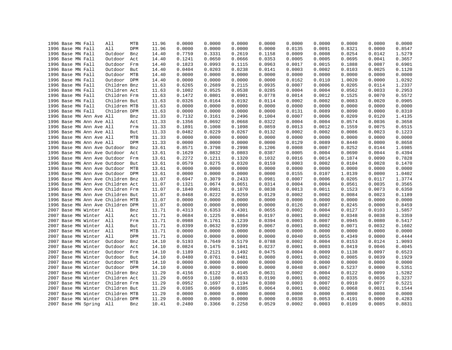|  | 1996 Base MN Fall |                          | All                               | MTB | 11.96 | 0.0000 | 0.0000 | 0.0000 | 0.0000 | 0.0000 | 0.0000 | 0.0000 | 0.0000 | 0.0000 |
|--|-------------------|--------------------------|-----------------------------------|-----|-------|--------|--------|--------|--------|--------|--------|--------|--------|--------|
|  | 1996 Base MN Fall |                          | All                               | DPM | 11.96 | 0.0000 | 0.0000 | 0.0000 | 0.0000 | 0.0135 | 0.0091 | 0.8321 | 0.0000 | 0.8547 |
|  | 1996 Base MN Fall |                          | Outdoor                           | Bnz | 14.40 | 0.7759 | 0.3331 | 0.2619 | 0.1158 | 0.0009 | 0.0008 | 0.0254 | 0.0142 | 1.5279 |
|  | 1996 Base MN Fall |                          | Outdoor                           | Act | 14.40 | 0.1241 | 0.0650 | 0.0666 | 0.0353 | 0.0005 | 0.0005 | 0.0695 | 0.0041 | 0.3657 |
|  | 1996 Base MN Fall |                          | Outdoor                           | Frm | 14.40 | 0.1823 | 0.0993 | 0.1115 | 0.0963 | 0.0017 | 0.0015 | 0.1888 | 0.0087 | 0.6901 |
|  | 1996 Base MN Fall |                          | Outdoor                           | But | 14.40 | 0.0404 | 0.0203 | 0.0238 | 0.0141 | 0.0003 | 0.0002 | 0.0103 | 0.0025 | 0.1120 |
|  | 1996 Base MN Fall |                          | Outdoor MTB                       |     | 14.40 | 0.0000 | 0.0000 | 0.0000 | 0.0000 | 0.0000 | 0.0000 | 0.0000 | 0.0000 | 0.0000 |
|  | 1996 Base MN Fall |                          | Outdoor DPM                       |     | 14.40 | 0.0000 | 0.0000 | 0.0000 | 0.0000 | 0.0162 | 0.0110 | 1.0020 | 0.0000 | 1.0292 |
|  | 1996 Base MN Fall |                          | Children Bnz                      |     | 11.63 | 0.6265 | 0.2689 | 0.2115 | 0.0935 | 0.0007 | 0.0006 | 0.0205 | 0.0114 | 1.2337 |
|  | 1996 Base MN Fall |                          | Children Act                      |     | 11.63 | 0.1002 | 0.0525 | 0.0538 | 0.0285 | 0.0004 | 0.0004 | 0.0562 | 0.0033 | 0.2953 |
|  | 1996 Base MN Fall |                          | Children Frm                      |     | 11.63 | 0.1472 | 0.0801 | 0.0901 | 0.0778 | 0.0014 | 0.0012 | 0.1525 | 0.0070 | 0.5572 |
|  | 1996 Base MN Fall |                          | Children But                      |     | 11.63 | 0.0326 | 0.0164 | 0.0192 | 0.0114 | 0.0002 | 0.0002 | 0.0083 | 0.0020 | 0.0905 |
|  | 1996 Base MN Fall |                          | Children MTB                      |     | 11.63 | 0.0000 | 0.0000 | 0.0000 | 0.0000 | 0.0000 | 0.0000 | 0.0000 | 0.0000 | 0.0000 |
|  | 1996 Base MN Fall |                          | Children DPM                      |     | 11.63 | 0.0000 | 0.0000 | 0.0000 | 0.0000 | 0.0131 | 0.0089 | 0.8090 | 0.0000 | 0.8310 |
|  |                   | 1996 Base MN Ann Ave All |                                   | Bnz | 11.33 | 0.7132 | 0.3161 | 0.2496 | 0.1004 | 0.0007 | 0.0006 | 0.0209 | 0.0120 | 1.4135 |
|  |                   | 1996 Base MN Ann Ave All |                                   | Act | 11.33 | 0.1356 | 0.0692 | 0.0668 | 0.0322 | 0.0004 | 0.0004 | 0.0574 | 0.0036 | 0.3658 |
|  |                   | 1996 Base MN Ann Ave All |                                   | Frm | 11.33 | 0.1891 | 0.1008 | 0.1098 | 0.0859 | 0.0013 | 0.0012 | 0.1559 | 0.0075 | 0.6515 |
|  |                   | 1996 Base MN Ann Ave All |                                   | But | 11.33 | 0.0482 | 0.0229 | 0.0267 | 0.0132 | 0.0002 | 0.0002 | 0.0086 | 0.0023 | 0.1223 |
|  |                   | 1996 Base MN Ann Ave All |                                   | MTB | 11.33 | 0.0000 | 0.0000 | 0.0000 | 0.0000 | 0.0000 | 0.0000 | 0.0000 | 0.0000 | 0.0000 |
|  |                   | 1996 Base MN Ann Ave All |                                   | DPM | 11.33 | 0.0000 | 0.0000 | 0.0000 | 0.0000 | 0.0129 | 0.0089 | 0.8440 | 0.0000 | 0.8658 |
|  |                   |                          | 1996 Base MN Ann Ave Outdoor      | Bnz | 13.61 | 0.8571 | 0.3798 | 0.2998 | 0.1206 | 0.0008 | 0.0007 | 0.0252 | 0.0144 | 1.6985 |
|  |                   |                          | 1996 Base MN Ann Ave Outdoor      | Act | 13.61 | 0.1629 | 0.0832 | 0.0803 | 0.0387 | 0.0005 | 0.0004 | 0.0690 | 0.0044 | 0.4394 |
|  |                   |                          | 1996 Base MN Ann Ave Outdoor      | Frm | 13.61 | 0.2272 | 0.1211 | 0.1320 | 0.1032 | 0.0016 | 0.0014 | 0.1874 | 0.0090 | 0.7828 |
|  |                   |                          | 1996 Base MN Ann Ave Outdoor      | But | 13.61 | 0.0579 | 0.0275 | 0.0320 | 0.0159 | 0.0003 | 0.0002 | 0.0104 | 0.0028 | 0.1470 |
|  |                   |                          |                                   |     |       |        |        |        |        |        |        |        |        |        |
|  |                   |                          | 1996 Base MN Ann Ave Outdoor      | MTB | 13.61 | 0.0000 | 0.0000 | 0.0000 | 0.0000 | 0.0000 | 0.0000 | 0.0000 | 0.0000 | 0.0000 |
|  |                   |                          | 1996 Base MN Ann Ave Outdoor DPM  |     | 13.61 | 0.0000 | 0.0000 | 0.0000 | 0.0000 | 0.0155 | 0.0107 | 1.0139 | 0.0000 | 1.0402 |
|  |                   |                          | 1996 Base MN Ann Ave Children Bnz |     | 11.07 | 0.6947 | 0.3079 | 0.2433 | 0.0981 | 0.0007 | 0.0006 | 0.0205 | 0.0117 | 1.3774 |
|  |                   |                          | 1996 Base MN Ann Ave Children Act |     | 11.07 | 0.1321 | 0.0674 | 0.0651 | 0.0314 | 0.0004 | 0.0004 | 0.0561 | 0.0035 | 0.3565 |
|  |                   |                          | 1996 Base MN Ann Ave Children Frm |     | 11.07 | 0.1840 | 0.0981 | 0.1070 | 0.0838 | 0.0013 | 0.0011 | 0.1523 | 0.0073 | 0.6350 |
|  |                   |                          | 1996 Base MN Ann Ave Children But |     | 11.07 | 0.0468 | 0.0222 | 0.0259 | 0.0129 | 0.0002 | 0.0002 | 0.0084 | 0.0023 | 0.1189 |
|  |                   |                          | 1996 Base MN Ann Ave Children MTB |     | 11.07 | 0.0000 | 0.0000 | 0.0000 | 0.0000 | 0.0000 | 0.0000 | 0.0000 | 0.0000 | 0.0000 |
|  |                   |                          | 1996 Base MN Ann Ave Children DPM |     | 11.07 | 0.0000 | 0.0000 | 0.0000 | 0.0000 | 0.0126 | 0.0087 | 0.8245 | 0.0000 | 0.8459 |
|  |                   | 2007 Base MN Winter All  |                                   | Bnz | 11.71 | 0.4313 | 0.6353 | 0.4301 | 0.0655 | 0.0002 | 0.0004 | 0.0127 | 0.0103 | 1.5857 |
|  |                   | 2007 Base MN Winter All  |                                   | Act | 11.71 | 0.0684 | 0.1225 | 0.0864 | 0.0197 | 0.0001 | 0.0002 | 0.0348 | 0.0038 | 0.3359 |
|  |                   | 2007 Base MN Winter All  |                                   | Frm | 11.71 | 0.0988 | 0.1761 | 0.1239 | 0.0394 | 0.0003 | 0.0007 | 0.0945 | 0.0080 | 0.5417 |
|  |                   | 2007 Base MN Winter      | All                               | But | 11.71 | 0.0399 | 0.0632 | 0.0399 | 0.0067 | 0.0001 | 0.0002 | 0.0071 | 0.0032 | 0.1602 |
|  |                   | 2007 Base MN Winter All  |                                   | MTB | 11.71 | 0.0000 | 0.0000 | 0.0000 | 0.0000 | 0.0000 | 0.0000 | 0.0000 | 0.0000 | 0.0000 |
|  |                   | 2007 Base MN Winter      | All                               | DPM | 11.71 | 0.0000 | 0.0000 | 0.0000 | 0.0000 | 0.0040 | 0.0055 | 0.4349 | 0.0000 | 0.4444 |
|  |                   | 2007 Base MN Winter      | Outdoor                           | Bnz | 14.10 | 0.5193 | 0.7649 | 0.5179 | 0.0788 | 0.0002 | 0.0004 | 0.0153 | 0.0124 | 1.9093 |
|  |                   | 2007 Base MN Winter      | Outdoor                           | Act | 14.10 | 0.0824 | 0.1475 | 0.1041 | 0.0237 | 0.0001 | 0.0003 | 0.0419 | 0.0046 | 0.4045 |
|  |                   | 2007 Base MN Winter      | Outdoor                           | Frm | 14.10 | 0.1189 | 0.2121 | 0.1492 | 0.0475 | 0.0004 | 0.0009 | 0.1138 | 0.0097 | 0.6523 |
|  |                   | 2007 Base MN Winter      | Outdoor                           | But | 14.10 | 0.0480 | 0.0761 | 0.0481 | 0.0080 | 0.0001 | 0.0002 | 0.0085 | 0.0039 | 0.1929 |
|  |                   | 2007 Base MN Winter      | Outdoor MTB                       |     | 14.10 | 0.0000 | 0.0000 | 0.0000 | 0.0000 | 0.0000 | 0.0000 | 0.0000 | 0.0000 | 0.0000 |
|  |                   | 2007 Base MN Winter      | Outdoor DPM                       |     | 14.10 | 0.0000 | 0.0000 | 0.0000 | 0.0000 | 0.0048 | 0.0067 | 0.5237 | 0.0000 | 0.5351 |
|  |                   | 2007 Base MN Winter      | Children Bnz                      |     | 11.29 | 0.4156 | 0.6122 | 0.4145 | 0.0631 | 0.0002 | 0.0004 | 0.0122 | 0.0099 | 1.5282 |
|  |                   | 2007 Base MN Winter      | Children Act                      |     | 11.29 | 0.0659 | 0.1180 | 0.0833 | 0.0190 | 0.0001 | 0.0002 | 0.0335 | 0.0036 | 0.3237 |
|  |                   | 2007 Base MN Winter      | Children Frm                      |     | 11.29 | 0.0952 | 0.1697 | 0.1194 | 0.0380 | 0.0003 | 0.0007 | 0.0910 | 0.0077 | 0.5221 |
|  |                   | 2007 Base MN Winter      | Children But                      |     | 11.29 | 0.0385 | 0.0609 | 0.0385 | 0.0064 | 0.0001 | 0.0002 | 0.0068 | 0.0031 | 0.1544 |
|  |                   | 2007 Base MN Winter      | Children MTB                      |     | 11.29 | 0.0000 | 0.0000 | 0.0000 | 0.0000 | 0.0000 | 0.0000 | 0.0000 | 0.0000 | 0.0000 |
|  |                   | 2007 Base MN Winter      | Children DPM                      |     | 11.29 | 0.0000 | 0.0000 | 0.0000 | 0.0000 | 0.0038 | 0.0053 | 0.4191 | 0.0000 | 0.4283 |
|  |                   | 2007 Base MN Spring      | All                               | Bnz | 10.41 | 0.2480 | 0.3366 | 0.2258 | 0.0529 | 0.0002 | 0.0003 | 0.0109 | 0.0085 | 0.8831 |
|  |                   |                          |                                   |     |       |        |        |        |        |        |        |        |        |        |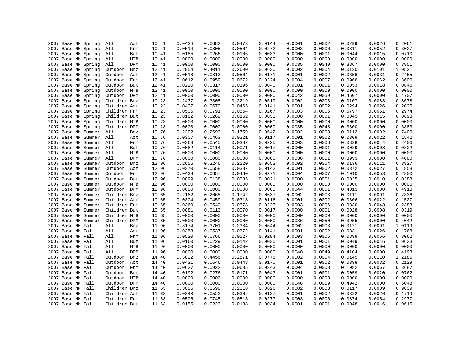| 2007 Base MN Spring |     | All<br>All   | Act | 10.41<br>10.41 | 0.0434<br>0.0514 | 0.0682<br>0.0805 | 0.0473<br>0.0564 | 0.0144<br>0.0272 | 0.0001<br>0.0003 | 0.0002<br>0.0006 | 0.0299<br>0.0811 | 0.0026<br>0.0052 | 0.2061<br>0.3027 |
|---------------------|-----|--------------|-----|----------------|------------------|------------------|------------------|------------------|------------------|------------------|------------------|------------------|------------------|
| 2007 Base MN Spring |     |              | Frm |                |                  |                  |                  |                  |                  |                  |                  |                  | 0.0710           |
| 2007 Base MN Spring |     | All          | But | 10.41          | 0.0185           | 0.0266           | 0.0165           | 0.0033           | 0.0000           | 0.0001           | 0.0044           | 0.0015           |                  |
| 2007 Base MN Spring |     | All          | MTB | 10.41          | 0.0000           | 0.0000           | 0.0000           | 0.0000           | 0.0000           | 0.0000           | 0.0000           | 0.0000           | 0.0000           |
| 2007 Base MN Spring |     | All          | DPM | 10.41          | 0.0000           | 0.0000           | 0.0000           | 0.0000           | 0.0035           | 0.0049           | 0.3867           | 0.0000           | 0.3951           |
| 2007 Base MN Spring |     | Outdoor      | Bnz | 12.41          | 0.2954           | 0.4011           | 0.2690           | 0.0630           | 0.0002           | 0.0004           | 0.0130           | 0.0101           | 1.0521           |
| 2007 Base MN Spring |     | Outdoor      | Act | 12.41          | 0.0518           | 0.0813           | 0.0564           | 0.0171           | 0.0001           | 0.0002           | 0.0356           | 0.0031           | 0.2455           |
| 2007 Base MN Spring |     | Outdoor      | Frm | 12.41          | 0.0612           | 0.0959           | 0.0672           | 0.0324           | 0.0004           | 0.0007           | 0.0966           | 0.0062           | 0.3606           |
| 2007 Base MN Spring |     | Outdoor But  |     | 12.41          | 0.0220           | 0.0317           | 0.0196           | 0.0040           | 0.0001           | 0.0001           | 0.0053           | 0.0018           | 0.0846           |
| 2007 Base MN Spring |     | Outdoor MTB  |     | 12.41          | 0.0000           | 0.0000           | 0.0000           | 0.0000           | 0.0000           | 0.0000           | 0.0000           | 0.0000           | 0.0000           |
| 2007 Base MN Spring |     | Outdoor DPM  |     | 12.41          | 0.0000           | 0.0000           | 0.0000           | 0.0000           | 0.0042           | 0.0059           | 0.4607           | 0.0000           | 0.4707           |
| 2007 Base MN Spring |     | Children Bnz |     | 10.23          | 0.2437           | 0.3308           | 0.2219           | 0.0519           | 0.0002           | 0.0003           | 0.0107           | 0.0083           | 0.8678           |
| 2007 Base MN Spring |     | Children Act |     | 10.23          | 0.0427           | 0.0670           | 0.0465           | 0.0141           | 0.0001           | 0.0002           | 0.0294           | 0.0026           | 0.2025           |
| 2007 Base MN Spring |     | Children Frm |     | 10.23          | 0.0505           | 0.0791           | 0.0554           | 0.0267           | 0.0003           | 0.0006           | 0.0797           | 0.0051           | 0.2974           |
| 2007 Base MN Spring |     | Children But |     | 10.23          | 0.0182           | 0.0262           | 0.0162           | 0.0033           | 0.0000           | 0.0001           | 0.0043           | 0.0015           | 0.0698           |
| 2007 Base MN Spring |     | Children MTB |     | 10.23          | 0.0000           | 0.0000           | 0.0000           | 0.0000           | 0.0000           | 0.0000           | 0.0000           | 0.0000           | 0.0000           |
| 2007 Base MN Spring |     | Children DPM |     | 10.23          | 0.0000           | 0.0000           | 0.0000           | 0.0000           | 0.0035           | 0.0048           | 0.3800           | 0.0000           | 0.3883           |
| 2007 Base MN Summer | All |              | Bnz | 10.76          | 0.2202           | 0.2693           | 0.1759           | 0.0542           | 0.0002           | 0.0003           | 0.0113           | 0.0092           | 0.7406           |
| 2007 Base MN Summer |     | All          | Act | 10.76          | 0.0307           | 0.0463           | 0.0321           | 0.0117           | 0.0001           | 0.0002           | 0.0309           | 0.0022           | 0.1542           |
| 2007 Base MN Summer | All |              | Frm | 10.76          | 0.0363           | 0.0545           | 0.0382           | 0.0225           | 0.0003           | 0.0006           | 0.0838           | 0.0044           | 0.2406           |
| 2007 Base MN Summer |     | All          | But | 10.76          | 0.0082           | 0.0114           | 0.0071           | 0.0017           | 0.0000           | 0.0001           | 0.0029           | 0.0008           | 0.0322           |
| 2007 Base MN Summer | All |              | MTB | 10.76          | 0.0000           | 0.0000           | 0.0000           | 0.0000           | 0.0000           | 0.0000           | 0.0000           | 0.0000           | 0.0000           |
| 2007 Base MN Summer |     | All          | DPM | 10.76          | 0.0000           | 0.0000           | 0.0000           | 0.0000           | 0.0036           | 0.0051           | 0.3993           | 0.0000           | 0.4080           |
| 2007 Base MN Summer |     | Outdoor      | Bnz | 12.96          | 0.2655           | 0.3246           | 0.2120           | 0.0653           | 0.0002           | 0.0004           | 0.0136           | 0.0111           | 0.8927           |
| 2007 Base MN Summer |     | Outdoor      | Act | 12.96          | 0.0370           | 0.0558           | 0.0387           | 0.0142           | 0.0001           | 0.0002           | 0.0372           | 0.0027           | 0.1858           |
| 2007 Base MN Summer |     | Outdoor      | Frm | 12.96          | 0.0438           | 0.0657           | 0.0460           | 0.0271           | 0.0004           | 0.0007           | 0.1010           | 0.0053           | 0.2900           |
| 2007 Base MN Summer |     | Outdoor      | But | 12.96          | 0.0099           | 0.0138           | 0.0085           | 0.0021           | 0.0000           | 0.0001           | 0.0035           | 0.0010           | 0.0388           |
| 2007 Base MN Summer |     | Outdoor MTB  |     | 12.96          | 0.0000           | 0.0000           | 0.0000           | 0.0000           | 0.0000           | 0.0000           | 0.0000           | 0.0000           | 0.0000           |
| 2007 Base MN Summer |     | Outdoor DPM  |     | 12.96          | 0.0000           | 0.0000           | 0.0000           | 0.0000           | 0.0044           | 0.0061           | 0.4813           | 0.0000           | 0.4918           |
| 2007 Base MN Summer |     | Children Bnz |     | 10.65          | 0.2182           | 0.2668           | 0.1742           | 0.0537           | 0.0002           | 0.0003           | 0.0111           | 0.0091           | 0.7336           |
| 2007 Base MN Summer |     | Children Act |     | 10.65          | 0.0304           | 0.0459           | 0.0318           | 0.0116           | 0.0001           | 0.0002           | 0.0306           | 0.0022           | 0.1527           |
| 2007 Base MN Summer |     | Children Frm |     | 10.65          | 0.0360           | 0.0540           | 0.0378           | 0.0223           | 0.0003           | 0.0006           | 0.0830           | 0.0043           | 0.2383           |
| 2007 Base MN Summer |     | Children But |     | 10.65          | 0.0081           | 0.0113           | 0.0070           | 0.0017           | 0.0000           | 0.0001           | 0.0028           | 0.0008           | 0.0319           |
| 2007 Base MN Summer |     | Children MTB |     | 10.65          | 0.0000           | 0.0000           | 0.0000           | 0.0000           | 0.0000           | 0.0000           | 0.0000           | 0.0000           | 0.0000           |
| 2007 Base MN Summer |     | Children DPM |     | 10.65          | 0.0000           | 0.0000           | 0.0000           | 0.0000           | 0.0036           | 0.0050           | 0.3955           | 0.0000           | 0.4042           |
| 2007 Base MN Fall   |     | All          | Bnz | 11.96          | 0.3174           | 0.3701           | 0.2384           | 0.0644           | 0.0002           | 0.0003           | 0.0121           | 0.0091           | 1.0119           |
| 2007 Base MN Fall   |     | All          | Act | 11.96          | 0.0358           | 0.0537           | 0.0372           | 0.0141           | 0.0001           | 0.0002           | 0.0331           | 0.0026           | 0.1768           |
| 2007 Base MN Fall   |     | All          | Frm | 11.96          | 0.0520           | 0.0766           | 0.0527           | 0.0284           | 0.0003           | 0.0006           | 0.0899           | 0.0056           | 0.3062           |
| 2007 Base MN Fall   |     | All          | But | 11.96          | 0.0160           | 0.0229           | 0.0142           | 0.0035           | 0.0001           | 0.0001           | 0.0049           | 0.0016           | 0.0633           |
| 2007 Base MN Fall   |     | All          | MTB | 11.96          | 0.0000           | 0.0000           | 0.0000           | 0.0000           | 0.0000           | 0.0000           | 0.0000           | 0.0000           | 0.0000           |
| 2007 Base MN Fall   |     | All          | DPM | 11.96          | 0.0000           | 0.0000           | 0.0000           | 0.0000           | 0.0040           | 0.0049           | 0.4104           | 0.0000           | 0.4193           |
| 2007 Base MN Fall   |     | Outdoor      | Bnz | 14.40          | 0.3822           | 0.4456           | 0.2871           | 0.0776           | 0.0002           | 0.0004           | 0.0145           | 0.0110           | 1.2185           |
| 2007 Base MN Fall   |     | Outdoor      | Act | 14.40          | 0.0431           | 0.0646           | 0.0448           | 0.0170           | 0.0001           | 0.0002           | 0.0398           | 0.0032           | 0.2129           |
| 2007 Base MN Fall   |     | Outdoor Frm  |     |                | 0.0627           | 0.0922           | 0.0635           | 0.0343           | 0.0004           | 0.0008           | 0.1082           | 0.0067           | 0.3687           |
| 2007 Base MN Fall   |     | Outdoor But  |     | 14.40<br>14.40 | 0.0192           | 0.0276           | 0.0171           | 0.0043           | 0.0001           | 0.0001           | 0.0059           | 0.0020           | 0.0762           |
|                     |     |              |     |                |                  |                  |                  |                  |                  |                  |                  |                  |                  |
| 2007 Base MN Fall   |     | Outdoor MTB  |     | 14.40          | 0.0000           | 0.0000           | 0.0000           | 0.0000           | 0.0000           | 0.0000           | 0.0000           | 0.0000           | 0.0000           |
| 2007 Base MN Fall   |     | Outdoor DPM  |     | 14.40          | 0.0000           | 0.0000           | 0.0000           | 0.0000           | 0.0048           | 0.0059           | 0.4942           | 0.0000           | 0.5048           |
| 2007 Base MN Fall   |     | Children Bnz |     | 11.63          | 0.3086           | 0.3598           | 0.2318           | 0.0626           | 0.0002           | 0.0003           | 0.0117           | 0.0089           | 0.9839           |
| 2007 Base MN Fall   |     | Children Act |     | 11.63          | 0.0348           | 0.0522           | 0.0362           | 0.0137           | 0.0001           | 0.0002           | 0.0322           | 0.0026           | 0.1719           |
| 2007 Base MN Fall   |     | Children Frm |     | 11.63          | 0.0506           | 0.0745           | 0.0513           | 0.0277           | 0.0003           | 0.0006           | 0.0874           | 0.0054           | 0.2977           |
| 2007 Base MN Fall   |     | Children But |     | 11.63          | 0.0155           | 0.0223           | 0.0138           | 0.0034           | 0.0001           | 0.0001           | 0.0048           | 0.0016           | 0.0615           |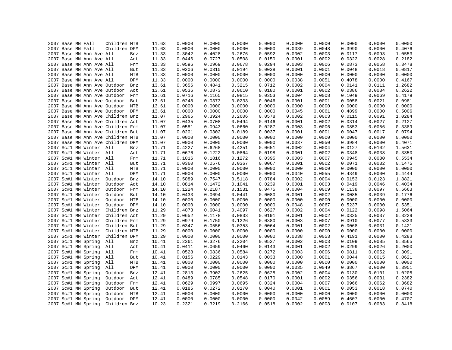|  | 2007 Base MN Fall |                          | Children MTB                                                           |            | 11.63 | 0.0000 | 0.0000 | 0.0000 | 0.0000 | 0.0000 | 0.0000 | 0.0000 | 0.0000 | 0.0000 |
|--|-------------------|--------------------------|------------------------------------------------------------------------|------------|-------|--------|--------|--------|--------|--------|--------|--------|--------|--------|
|  | 2007 Base MN Fall |                          | Children DPM                                                           |            | 11.63 | 0.0000 | 0.0000 | 0.0000 | 0.0000 | 0.0039 | 0.0048 | 0.3990 | 0.0000 | 0.4076 |
|  |                   | 2007 Base MN Ann Ave All |                                                                        | Bnz        | 11.33 | 0.3042 | 0.4028 | 0.2676 | 0.0592 | 0.0002 | 0.0003 | 0.0117 | 0.0093 | 1.0553 |
|  |                   | 2007 Base MN Ann Ave All |                                                                        | Act        | 11.33 | 0.0446 | 0.0727 | 0.0508 | 0.0150 | 0.0001 | 0.0002 | 0.0322 | 0.0028 | 0.2182 |
|  |                   | 2007 Base MN Ann Ave All |                                                                        | Frm        | 11.33 | 0.0596 | 0.0969 | 0.0678 | 0.0294 | 0.0003 | 0.0006 | 0.0873 | 0.0058 | 0.3478 |
|  |                   | 2007 Base MN Ann Ave All |                                                                        | But        | 11.33 | 0.0206 | 0.0310 | 0.0194 | 0.0038 | 0.0001 | 0.0001 | 0.0048 | 0.0018 | 0.0817 |
|  |                   | 2007 Base MN Ann Ave All |                                                                        | MTB        | 11.33 | 0.0000 | 0.0000 | 0.0000 | 0.0000 | 0.0000 | 0.0000 | 0.0000 | 0.0000 | 0.0000 |
|  |                   | 2007 Base MN Ann Ave All |                                                                        | DPM        | 11.33 | 0.0000 | 0.0000 | 0.0000 | 0.0000 | 0.0038 | 0.0051 | 0.4078 | 0.0000 | 0.4167 |
|  |                   |                          | 2007 Base MN Ann Ave Outdoor                                           | Bnz        | 13.61 | 0.3656 | 0.4841 | 0.3215 | 0.0712 | 0.0002 | 0.0004 | 0.0141 | 0.0111 | 1.2682 |
|  |                   |                          | 2007 Base MN Ann Ave Outdoor                                           | Act        | 13.61 | 0.0536 | 0.0873 | 0.0610 | 0.0180 | 0.0001 | 0.0002 | 0.0386 | 0.0034 | 0.2622 |
|  |                   |                          | 2007 Base MN Ann Ave Outdoor                                           | Frm        | 13.61 | 0.0716 | 0.1165 | 0.0815 | 0.0353 | 0.0004 | 0.0008 | 0.1049 | 0.0069 | 0.4179 |
|  |                   |                          | 2007 Base MN Ann Ave Outdoor                                           | But        | 13.61 | 0.0248 | 0.0373 | 0.0233 | 0.0046 | 0.0001 | 0.0001 | 0.0058 | 0.0021 | 0.0981 |
|  |                   |                          | 2007 Base MN Ann Ave Outdoor                                           | MTB        | 13.61 | 0.0000 | 0.0000 | 0.0000 | 0.0000 | 0.0000 | 0.0000 | 0.0000 | 0.0000 | 0.0000 |
|  |                   |                          | 2007 Base MN Ann Ave Outdoor DPM                                       |            | 13.61 | 0.0000 | 0.0000 | 0.0000 | 0.0000 | 0.0045 | 0.0061 | 0.4899 | 0.0000 | 0.5006 |
|  |                   |                          | 2007 Base MN Ann Ave Children Bnz                                      |            | 11.07 | 0.2965 | 0.3924 | 0.2606 | 0.0578 | 0.0002 | 0.0003 | 0.0115 | 0.0091 | 1.0284 |
|  |                   |                          | 2007 Base MN Ann Ave Children Act                                      |            | 11.07 | 0.0435 | 0.0708 | 0.0494 | 0.0146 | 0.0001 | 0.0002 | 0.0314 | 0.0027 | 0.2127 |
|  |                   |                          | 2007 Base MN Ann Ave Children Frm                                      |            | 11.07 | 0.0581 | 0.0943 | 0.0660 | 0.0287 | 0.0003 | 0.0006 | 0.0853 | 0.0056 | 0.3389 |
|  |                   |                          | 2007 Base MN Ann Ave Children But                                      |            | 11.07 | 0.0201 | 0.0302 | 0.0189 | 0.0037 | 0.0001 | 0.0001 | 0.0047 | 0.0017 | 0.0794 |
|  |                   |                          |                                                                        |            | 11.07 | 0.0000 | 0.0000 | 0.0000 | 0.0000 | 0.0000 | 0.0000 | 0.0000 | 0.0000 | 0.0000 |
|  |                   |                          | 2007 Base MN Ann Ave Children MTB<br>2007 Base MN Ann Ave Children DPM |            | 11.07 | 0.0000 | 0.0000 | 0.0000 | 0.0000 | 0.0037 | 0.0050 | 0.3984 | 0.0000 | 0.4071 |
|  |                   | 2007 Sc#1 MN Winter All  |                                                                        |            | 11.71 | 0.4227 | 0.6268 | 0.4251 | 0.0651 | 0.0002 | 0.0004 | 0.0127 | 0.0102 | 1.5631 |
|  |                   |                          |                                                                        | Bnz        |       |        |        |        |        |        |        |        |        |        |
|  |                   | 2007 Sc#1 MN Winter All  |                                                                        | Act        | 11.71 | 0.0676 | 0.1222 | 0.0864 | 0.0198 | 0.0001 | 0.0002 | 0.0348 | 0.0038 | 0.3350 |
|  |                   | 2007 Sc#1 MN Winter All  |                                                                        | Frm        | 11.71 | 0.1016 | 0.1816 | 0.1272 | 0.0395 | 0.0003 | 0.0007 | 0.0945 | 0.0080 | 0.5534 |
|  |                   | 2007 Sc#1 MN Winter All  |                                                                        | But        | 11.71 | 0.0360 | 0.0576 | 0.0367 | 0.0067 | 0.0001 | 0.0002 | 0.0071 | 0.0032 | 0.1475 |
|  |                   | 2007 Sc#1 MN Winter All  |                                                                        | MTB        | 11.71 | 0.0000 | 0.0000 | 0.0000 | 0.0000 | 0.0000 | 0.0000 | 0.0000 | 0.0000 | 0.0000 |
|  |                   | 2007 Sc#1 MN Winter All  |                                                                        | DPM        | 11.71 | 0.0000 | 0.0000 | 0.0000 | 0.0000 | 0.0040 | 0.0055 | 0.4349 | 0.0000 | 0.4444 |
|  |                   | 2007 Sc#1 MN Winter      | Outdoor                                                                | Bnz        | 14.10 | 0.5089 | 0.7547 | 0.5118 | 0.0784 | 0.0002 | 0.0004 | 0.0153 | 0.0123 | 1.8821 |
|  |                   | 2007 Sc#1 MN Winter      | Outdoor                                                                | Act        | 14.10 | 0.0814 | 0.1472 | 0.1041 | 0.0239 | 0.0001 | 0.0003 | 0.0419 | 0.0046 | 0.4034 |
|  |                   | 2007 Sc#1 MN Winter      | Outdoor                                                                | Frm        | 14.10 | 0.1224 | 0.2187 | 0.1531 | 0.0475 | 0.0004 | 0.0009 | 0.1138 | 0.0097 | 0.6663 |
|  |                   | 2007 Sc#1 MN Winter      | Outdoor                                                                | But        | 14.10 | 0.0433 | 0.0694 | 0.0441 | 0.0080 | 0.0001 | 0.0002 | 0.0085 | 0.0039 | 0.1776 |
|  |                   | 2007 Sc#1 MN Winter      | Outdoor                                                                | MTB        | 14.10 | 0.0000 | 0.0000 | 0.0000 | 0.0000 | 0.0000 | 0.0000 | 0.0000 | 0.0000 | 0.0000 |
|  |                   | 2007 Sc#1 MN Winter      | Outdoor                                                                | DPM        | 14.10 | 0.0000 | 0.0000 | 0.0000 | 0.0000 | 0.0048 | 0.0067 | 0.5237 | 0.0000 | 0.5351 |
|  |                   | 2007 Sc#1 MN Winter      | Children Bnz                                                           |            | 11.29 | 0.4073 | 0.6041 | 0.4097 | 0.0627 | 0.0002 | 0.0004 | 0.0122 | 0.0098 | 1.5064 |
|  |                   | 2007 Sc#1 MN Winter      | Children Act                                                           |            | 11.29 | 0.0652 | 0.1178 | 0.0833 | 0.0191 | 0.0001 | 0.0002 | 0.0335 | 0.0037 | 0.3229 |
|  |                   | 2007 Sc#1 MN Winter      | Children Frm                                                           |            | 11.29 | 0.0979 | 0.1750 | 0.1226 | 0.0380 | 0.0003 | 0.0007 | 0.0910 | 0.0077 | 0.5333 |
|  |                   | 2007 Sc#1 MN Winter      | Children But                                                           |            | 11.29 | 0.0347 | 0.0556 | 0.0353 | 0.0064 | 0.0001 | 0.0002 | 0.0068 | 0.0031 | 0.1421 |
|  |                   | 2007 Sc#1 MN Winter      | Children MTB                                                           |            | 11.29 | 0.0000 | 0.0000 | 0.0000 | 0.0000 | 0.0000 | 0.0000 | 0.0000 | 0.0000 | 0.0000 |
|  |                   | 2007 Sc#1 MN Winter      | Children DPM                                                           |            | 11.29 | 0.0000 | 0.0000 | 0.0000 | 0.0000 | 0.0038 | 0.0053 | 0.4191 | 0.0000 | 0.4283 |
|  |                   | 2007 Sc#1 MN Spring      | All                                                                    | Bnz        | 10.41 | 0.2361 | 0.3276 | 0.2204 | 0.0527 | 0.0002 | 0.0003 | 0.0109 | 0.0085 | 0.8565 |
|  |                   | 2007 Sc#1 MN Spring      | All                                                                    | Act        | 10.41 | 0.0411 | 0.0659 | 0.0460 | 0.0143 | 0.0001 | 0.0002 | 0.0299 | 0.0026 | 0.2000 |
|  |                   | 2007 Sc#1 MN Spring      | All                                                                    | Frm        | 10.41 | 0.0528 | 0.0836 | 0.0584 | 0.0272 | 0.0003 | 0.0006 | 0.0811 | 0.0052 | 0.3091 |
|  |                   | 2007 Sc#1 MN Spring      | All                                                                    | But        | 10.41 | 0.0156 | 0.0229 | 0.0143 | 0.0033 | 0.0000 | 0.0001 | 0.0044 | 0.0015 | 0.0621 |
|  |                   | 2007 Sc#1 MN Spring      | All                                                                    | MTB        | 10.41 | 0.0000 | 0.0000 | 0.0000 | 0.0000 | 0.0000 | 0.0000 | 0.0000 | 0.0000 | 0.0000 |
|  |                   | 2007 Sc#1 MN Spring      | All                                                                    | DPM        | 10.41 | 0.0000 | 0.0000 | 0.0000 | 0.0000 | 0.0035 | 0.0049 | 0.3867 | 0.0000 | 0.3951 |
|  |                   | 2007 Sc#1 MN Spring      | Outdoor                                                                | Bnz        | 12.41 | 0.2813 | 0.3902 | 0.2625 | 0.0628 | 0.0002 | 0.0004 | 0.0130 | 0.0101 | 1.0205 |
|  |                   | 2007 Sc#1 MN Spring      | Outdoor                                                                | Act        | 12.41 | 0.0489 | 0.0785 | 0.0548 | 0.0170 | 0.0001 | 0.0002 | 0.0356 | 0.0031 | 0.2382 |
|  |                   | 2007 Sc#1 MN Spring      | Outdoor                                                                | Frm        | 12.41 | 0.0629 | 0.0997 | 0.0695 | 0.0324 | 0.0004 | 0.0007 | 0.0966 | 0.0062 | 0.3682 |
|  |                   | 2007 Sc#1 MN Spring      | Outdoor                                                                | But        | 12.41 | 0.0185 | 0.0272 | 0.0170 | 0.0040 | 0.0001 | 0.0001 | 0.0053 | 0.0018 | 0.0740 |
|  |                   | 2007 Sc#1 MN Spring      | Outdoor                                                                | MTB        | 12.41 | 0.0000 | 0.0000 | 0.0000 | 0.0000 | 0.0000 | 0.0000 | 0.0000 | 0.0000 | 0.0000 |
|  |                   | 2007 Sc#1 MN Spring      | Outdoor                                                                | <b>DPM</b> | 12.41 | 0.0000 | 0.0000 | 0.0000 | 0.0000 | 0.0042 | 0.0059 | 0.4607 | 0.0000 | 0.4707 |
|  |                   | 2007 Sc#1 MN Spring      | Children Bnz                                                           |            | 10.23 | 0.2321 | 0.3219 | 0.2166 | 0.0518 | 0.0002 | 0.0003 | 0.0107 | 0.0083 | 0.8418 |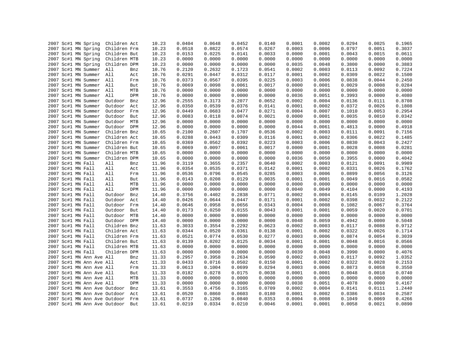|      | 2007 Sc#1 MN Spring              | Children Act |     | 10.23 | 0.0404 | 0.0648 | 0.0452 | 0.0140 | 0.0001 | 0.0002 | 0.0294 | 0.0025 | 0.1965 |
|------|----------------------------------|--------------|-----|-------|--------|--------|--------|--------|--------|--------|--------|--------|--------|
|      | 2007 Sc#1 MN Spring              | Children Frm |     | 10.23 | 0.0518 | 0.0822 | 0.0574 | 0.0267 | 0.0003 | 0.0006 | 0.0797 | 0.0051 | 0.3037 |
|      | 2007 Sc#1 MN Spring              | Children But |     | 10.23 | 0.0153 | 0.0225 | 0.0141 | 0.0033 | 0.0000 | 0.0001 | 0.0043 | 0.0015 | 0.0611 |
|      | 2007 Sc#1 MN Spring              | Children MTB |     | 10.23 | 0.0000 | 0.0000 | 0.0000 | 0.0000 | 0.0000 | 0.0000 | 0.0000 | 0.0000 | 0.0000 |
|      | 2007 Sc#1 MN Spring              | Children DPM |     | 10.23 | 0.0000 | 0.0000 | 0.0000 | 0.0000 | 0.0035 | 0.0048 | 0.3800 | 0.0000 | 0.3883 |
|      | 2007 Sc#1 MN Summer              | All          | Bnz | 10.76 | 0.2120 | 0.2632 | 0.1723 | 0.0541 | 0.0002 | 0.0003 | 0.0113 | 0.0092 | 0.7224 |
|      | 2007 Sc#1 MN Summer              | All          | Act | 10.76 | 0.0291 | 0.0447 | 0.0312 | 0.0117 | 0.0001 | 0.0002 | 0.0309 | 0.0022 | 0.1500 |
|      | 2007 Sc#1 MN Summer All          |              | Frm | 10.76 | 0.0373 | 0.0567 | 0.0395 | 0.0225 | 0.0003 | 0.0006 | 0.0838 | 0.0044 | 0.2450 |
|      | 2007 Sc#1 MN Summer              | All          | But | 10.76 | 0.0069 | 0.0098 | 0.0061 | 0.0017 | 0.0000 | 0.0001 | 0.0029 | 0.0008 | 0.0284 |
|      | 2007 Sc#1 MN Summer              | All          | MTB | 10.76 | 0.0000 | 0.0000 | 0.0000 | 0.0000 | 0.0000 | 0.0000 | 0.0000 | 0.0000 | 0.0000 |
|      | 2007 Sc#1 MN Summer              | All          | DPM | 10.76 | 0.0000 | 0.0000 | 0.0000 | 0.0000 | 0.0036 | 0.0051 | 0.3993 | 0.0000 | 0.4080 |
|      | 2007 Sc#1 MN Summer              | Outdoor      | Bnz | 12.96 | 0.2555 | 0.3173 | 0.2077 | 0.0652 | 0.0002 | 0.0004 | 0.0136 | 0.0111 | 0.8708 |
|      | 2007 Sc#1 MN Summer              | Outdoor      | Act | 12.96 | 0.0350 | 0.0539 | 0.0376 | 0.0141 | 0.0001 | 0.0002 | 0.0372 | 0.0026 | 0.1808 |
|      | 2007 Sc#1 MN Summer              | Outdoor      | Frm | 12.96 | 0.0449 | 0.0683 | 0.0477 | 0.0271 | 0.0004 | 0.0007 | 0.1010 | 0.0053 | 0.2954 |
|      | 2007 Sc#1 MN Summer              | Outdoor      | But | 12.96 | 0.0083 | 0.0118 | 0.0074 | 0.0021 | 0.0000 | 0.0001 | 0.0035 | 0.0010 | 0.0342 |
|      | 2007 Sc#1 MN Summer              | Outdoor MTB  |     | 12.96 | 0.0000 | 0.0000 | 0.0000 | 0.0000 | 0.0000 | 0.0000 | 0.0000 | 0.0000 | 0.0000 |
|      | 2007 Sc#1 MN Summer              | Outdoor DPM  |     | 12.96 | 0.0000 | 0.0000 | 0.0000 | 0.0000 | 0.0044 | 0.0061 | 0.4813 | 0.0000 | 0.4918 |
|      | 2007 Sc#1 MN Summer              | Children Bnz |     | 10.65 | 0.2100 | 0.2607 | 0.1707 | 0.0536 | 0.0002 | 0.0003 | 0.0111 | 0.0091 | 0.7156 |
|      | 2007 Sc#1 MN Summer              | Children Act |     | 10.65 | 0.0288 | 0.0443 | 0.0309 | 0.0116 | 0.0001 | 0.0002 | 0.0306 | 0.0022 | 0.1485 |
|      | 2007 Sc#1 MN Summer              | Children Frm |     | 10.65 | 0.0369 | 0.0562 | 0.0392 | 0.0223 | 0.0003 | 0.0006 | 0.0830 | 0.0043 | 0.2427 |
|      | 2007 Sc#1 MN Summer              | Children But |     | 10.65 | 0.0069 | 0.0097 | 0.0061 | 0.0017 | 0.0000 | 0.0001 | 0.0028 | 0.0008 | 0.0281 |
|      | 2007 Sc#1 MN Summer              | Children MTB |     | 10.65 | 0.0000 | 0.0000 | 0.0000 | 0.0000 | 0.0000 | 0.0000 | 0.0000 | 0.0000 | 0.0000 |
|      | 2007 Sc#1 MN Summer              | Children DPM |     | 10.65 | 0.0000 | 0.0000 | 0.0000 | 0.0000 | 0.0036 | 0.0050 | 0.3955 | 0.0000 | 0.4042 |
|      | 2007 Sc#1 MN Fall                | All          | Bnz | 11.96 | 0.3119 | 0.3655 | 0.2357 | 0.0640 | 0.0002 | 0.0003 | 0.0121 | 0.0091 | 0.9989 |
|      | 2007 Sc#1 MN Fall                | All          | Act | 11.96 | 0.0354 | 0.0535 | 0.0371 | 0.0142 | 0.0001 | 0.0002 | 0.0331 | 0.0026 | 0.1762 |
|      | 2007 Sc#1 MN Fall                | All          | Frm | 11.96 | 0.0536 | 0.0796 | 0.0545 | 0.0285 | 0.0003 | 0.0006 | 0.0899 | 0.0056 | 0.3126 |
|      | 2007 Sc#1 MN Fall                | All          | But | 11.96 | 0.0143 | 0.0208 | 0.0129 | 0.0035 | 0.0001 | 0.0001 | 0.0049 | 0.0016 | 0.0582 |
|      | 2007 Sc#1 MN Fall                | All          | MTB | 11.96 | 0.0000 | 0.0000 | 0.0000 | 0.0000 | 0.0000 | 0.0000 | 0.0000 | 0.0000 | 0.0000 |
|      | 2007 Sc#1 MN Fall                | All          | DPM | 11.96 | 0.0000 | 0.0000 | 0.0000 | 0.0000 | 0.0040 | 0.0049 | 0.4104 | 0.0000 | 0.4193 |
|      | 2007 Sc#1 MN Fall                | Outdoor      | Bnz | 14.40 | 0.3756 | 0.4402 | 0.2838 | 0.0771 | 0.0002 | 0.0004 | 0.0145 | 0.0109 | 1.2028 |
|      | 2007 Sc#1 MN Fall                | Outdoor      | Act | 14.40 | 0.0426 | 0.0644 | 0.0447 | 0.0171 | 0.0001 | 0.0002 | 0.0398 | 0.0032 | 0.2122 |
|      | 2007 Sc#1 MN Fall                | Outdoor      | Frm | 14.40 | 0.0646 | 0.0958 | 0.0656 | 0.0343 | 0.0004 | 0.0008 | 0.1082 | 0.0067 | 0.3764 |
|      | 2007 Sc#1 MN Fall                | Outdoor But  |     | 14.40 | 0.0173 | 0.0250 | 0.0155 | 0.0043 | 0.0001 | 0.0001 | 0.0059 | 0.0020 | 0.0701 |
|      | 2007 Sc#1 MN Fall                | Outdoor MTB  |     | 14.40 | 0.0000 | 0.0000 | 0.0000 | 0.0000 | 0.0000 | 0.0000 | 0.0000 | 0.0000 | 0.0000 |
|      | 2007 Sc#1 MN Fall                | Outdoor DPM  |     | 14.40 | 0.0000 | 0.0000 | 0.0000 | 0.0000 | 0.0048 | 0.0059 | 0.4942 | 0.0000 | 0.5048 |
|      | 2007 Sc#1 MN Fall                | Children Bnz |     | 11.63 | 0.3033 | 0.3554 | 0.2292 | 0.0623 | 0.0002 | 0.0003 | 0.0117 | 0.0088 | 0.9712 |
|      | 2007 Sc#1 MN Fall                | Children Act |     | 11.63 | 0.0344 | 0.0520 | 0.0361 | 0.0138 | 0.0001 | 0.0002 | 0.0322 | 0.0026 | 0.1714 |
|      | 2007 Sc#1 MN Fall                | Children Frm |     | 11.63 | 0.0521 | 0.0774 | 0.0530 | 0.0277 | 0.0003 | 0.0006 | 0.0874 | 0.0054 | 0.3039 |
|      | 2007 Sc#1 MN Fall                | Children But |     | 11.63 | 0.0139 | 0.0202 | 0.0125 | 0.0034 | 0.0001 | 0.0001 | 0.0048 | 0.0016 | 0.0566 |
|      | 2007 Sc#1 MN Fall                | Children MTB |     | 11.63 | 0.0000 | 0.0000 | 0.0000 | 0.0000 | 0.0000 | 0.0000 | 0.0000 | 0.0000 | 0.0000 |
|      | 2007 Sc#1 MN Fall                | Children DPM |     | 11.63 | 0.0000 | 0.0000 | 0.0000 | 0.0000 | 0.0039 | 0.0048 | 0.3990 | 0.0000 | 0.4076 |
|      | 2007 Sc#1 MN Ann Ave All         |              | Bnz | 11.33 | 0.2957 | 0.3958 | 0.2634 | 0.0590 | 0.0002 | 0.0003 | 0.0117 | 0.0092 | 1.0352 |
|      | 2007 Sc#1 MN Ann Ave All         |              | Act | 11.33 | 0.0433 | 0.0716 | 0.0502 | 0.0150 | 0.0001 | 0.0002 | 0.0322 | 0.0028 | 0.2153 |
|      | 2007 Sc#1 MN Ann Ave All         |              | Frm | 11.33 | 0.0613 | 0.1004 | 0.0699 | 0.0294 | 0.0003 | 0.0006 | 0.0873 | 0.0058 | 0.3550 |
|      | 2007 Sc#1 MN Ann Ave All         |              | But | 11.33 | 0.0182 | 0.0278 | 0.0175 | 0.0038 | 0.0001 | 0.0001 | 0.0048 | 0.0018 | 0.0740 |
|      | 2007 Sc#1 MN Ann Ave All         |              | MTB | 11.33 | 0.0000 | 0.0000 | 0.0000 | 0.0000 | 0.0000 | 0.0000 | 0.0000 | 0.0000 | 0.0000 |
|      | 2007 Sc#1 MN Ann Ave All         |              | DPM | 11.33 | 0.0000 | 0.0000 | 0.0000 | 0.0000 | 0.0038 | 0.0051 | 0.4078 | 0.0000 | 0.4167 |
| 2007 | Sc#1 MN Ann Ave Outdoor          |              | Bnz | 13.61 | 0.3553 | 0.4756 | 0.3165 | 0.0709 | 0.0002 | 0.0004 | 0.0141 | 0.0111 | 1.2440 |
|      | 2007 Sc#1 MN Ann Ave Outdoor     |              | Act | 13.61 | 0.0520 | 0.0860 | 0.0603 | 0.0180 | 0.0001 | 0.0002 | 0.0386 | 0.0034 | 0.2587 |
|      | 2007 Sc#1 MN Ann Ave Outdoor Frm |              |     | 13.61 | 0.0737 | 0.1206 | 0.0840 | 0.0353 | 0.0004 | 0.0008 | 0.1049 | 0.0069 | 0.4266 |
|      | 2007 Sc#1 MN Ann Ave Outdoor     |              | But | 13.61 | 0.0219 | 0.0334 | 0.0210 | 0.0046 | 0.0001 | 0.0001 | 0.0058 | 0.0021 | 0.0890 |
|      |                                  |              |     |       |        |        |        |        |        |        |        |        |        |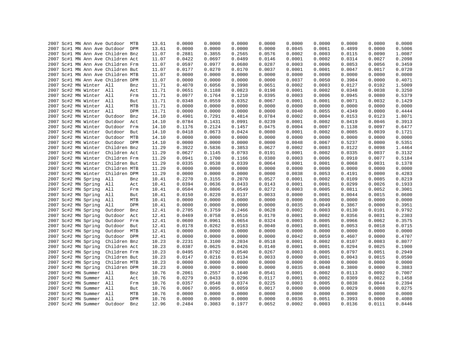|  |  |                         | 2007 Sc#1 MN Ann Ave Outdoor MTB  |     | 13.61 | 0.0000 | 0.0000 | 0.0000 | 0.0000 | 0.0000 | 0.0000 | 0.0000 | 0.0000 | 0.0000 |
|--|--|-------------------------|-----------------------------------|-----|-------|--------|--------|--------|--------|--------|--------|--------|--------|--------|
|  |  |                         | 2007 Sc#1 MN Ann Ave Outdoor DPM  |     | 13.61 | 0.0000 | 0.0000 | 0.0000 | 0.0000 | 0.0045 | 0.0061 | 0.4899 | 0.0000 | 0.5006 |
|  |  |                         | 2007 Sc#1 MN Ann Ave Children Bnz |     | 11.07 | 0.2881 | 0.3855 | 0.2565 | 0.0576 | 0.0002 | 0.0003 | 0.0115 | 0.0090 | 1.0087 |
|  |  |                         | 2007 Sc#1 MN Ann Ave Children Act |     | 11.07 | 0.0422 | 0.0697 | 0.0489 | 0.0146 | 0.0001 | 0.0002 | 0.0314 | 0.0027 | 0.2098 |
|  |  |                         | 2007 Sc#1 MN Ann Ave Children Frm |     | 11.07 | 0.0597 | 0.0977 | 0.0680 | 0.0287 | 0.0003 | 0.0006 | 0.0853 | 0.0056 | 0.3459 |
|  |  |                         | 2007 Sc#1 MN Ann Ave Children But |     | 11.07 | 0.0177 | 0.0270 | 0.0170 | 0.0037 | 0.0001 | 0.0001 | 0.0047 | 0.0017 | 0.0720 |
|  |  |                         | 2007 Sc#1 MN Ann Ave Children MTB |     | 11.07 | 0.0000 | 0.0000 | 0.0000 | 0.0000 | 0.0000 | 0.0000 | 0.0000 | 0.0000 | 0.0000 |
|  |  |                         | 2007 Sc#1 MN Ann Ave Children DPM |     | 11.07 | 0.0000 | 0.0000 | 0.0000 | 0.0000 | 0.0037 | 0.0050 | 0.3984 | 0.0000 | 0.4071 |
|  |  | 2007 Sc#2 MN Winter All |                                   | Bnz | 11.71 | 0.4070 | 0.6056 | 0.3998 | 0.0651 | 0.0002 | 0.0003 | 0.0127 | 0.0102 | 1.5009 |
|  |  | 2007 Sc#2 MN Winter All |                                   | Act | 11.71 | 0.0651 | 0.1188 | 0.0823 | 0.0198 | 0.0001 | 0.0002 | 0.0348 | 0.0038 | 0.3250 |
|  |  | 2007 Sc#2 MN Winter All |                                   | Frm | 11.71 | 0.0977 | 0.1764 | 0.1210 | 0.0395 | 0.0003 | 0.0006 | 0.0945 | 0.0080 | 0.5379 |
|  |  | 2007 Sc#2 MN Winter All |                                   | But | 11.71 | 0.0348 | 0.0559 | 0.0352 | 0.0067 | 0.0001 | 0.0001 | 0.0071 | 0.0032 | 0.1429 |
|  |  | 2007 Sc#2 MN Winter All |                                   | MTB | 11.71 | 0.0000 | 0.0000 | 0.0000 | 0.0000 | 0.0000 | 0.0000 | 0.0000 | 0.0000 | 0.0000 |
|  |  | 2007 Sc#2 MN Winter All |                                   | DPM | 11.71 | 0.0000 | 0.0000 | 0.0000 | 0.0000 | 0.0040 | 0.0055 | 0.4349 | 0.0000 | 0.4444 |
|  |  | 2007 Sc#2 MN Winter     | Outdoor                           | Bnz | 14.10 | 0.4901 | 0.7291 | 0.4814 | 0.0784 | 0.0002 | 0.0004 | 0.0153 | 0.0123 | 1.8071 |
|  |  | 2007 Sc#2 MN Winter     | Outdoor                           | Act | 14.10 | 0.0784 | 0.1431 | 0.0991 | 0.0239 | 0.0001 | 0.0002 | 0.0419 | 0.0046 | 0.3913 |
|  |  | 2007 Sc#2 MN Winter     | Outdoor                           | Frm | 14.10 | 0.1176 | 0.2124 | 0.1457 | 0.0475 | 0.0004 | 0.0007 | 0.1138 | 0.0097 | 0.6477 |
|  |  | 2007 Sc#2 MN Winter     | Outdoor But                       |     | 14.10 | 0.0418 | 0.0673 | 0.0424 | 0.0080 | 0.0001 | 0.0002 | 0.0085 | 0.0039 | 0.1721 |
|  |  | 2007 Sc#2 MN Winter     | Outdoor MTB                       |     | 14.10 | 0.0000 | 0.0000 | 0.0000 | 0.0000 | 0.0000 | 0.0000 | 0.0000 | 0.0000 | 0.0000 |
|  |  | 2007 Sc#2 MN Winter     | Outdoor DPM                       |     | 14.10 | 0.0000 | 0.0000 | 0.0000 | 0.0000 | 0.0048 | 0.0067 | 0.5237 | 0.0000 | 0.5351 |
|  |  | 2007 Sc#2 MN Winter     | Children Bnz                      |     | 11.29 | 0.3922 | 0.5836 | 0.3853 | 0.0627 | 0.0002 | 0.0003 | 0.0122 | 0.0098 | 1.4464 |
|  |  | 2007 Sc#2 MN Winter     | Children Act                      |     | 11.29 | 0.0627 | 0.1145 | 0.0793 | 0.0191 | 0.0001 | 0.0002 | 0.0335 | 0.0037 | 0.3132 |
|  |  | 2007 Sc#2 MN Winter     | Children Frm                      |     | 11.29 | 0.0941 | 0.1700 | 0.1166 | 0.0380 | 0.0003 | 0.0006 | 0.0910 | 0.0077 | 0.5184 |
|  |  | 2007 Sc#2 MN Winter     | Children But                      |     | 11.29 | 0.0335 | 0.0538 | 0.0339 | 0.0064 | 0.0001 | 0.0001 | 0.0068 | 0.0031 | 0.1378 |
|  |  | 2007 Sc#2 MN Winter     | Children MTB                      |     | 11.29 | 0.0000 | 0.0000 | 0.0000 | 0.0000 | 0.0000 | 0.0000 | 0.0000 | 0.0000 | 0.0000 |
|  |  |                         | 2007 Sc#2 MN Winter Children DPM  |     | 11.29 | 0.0000 | 0.0000 | 0.0000 | 0.0000 | 0.0038 | 0.0053 | 0.4191 | 0.0000 | 0.4283 |
|  |  | 2007 Sc#2 MN Spring     | All                               | Bnz | 10.41 | 0.2270 | 0.3155 | 0.2070 | 0.0527 | 0.0001 | 0.0002 | 0.0109 | 0.0085 | 0.8219 |
|  |  | 2007 Sc#2 MN Spring     | All                               | Act | 10.41 | 0.0394 | 0.0636 | 0.0433 | 0.0143 | 0.0001 | 0.0001 | 0.0299 | 0.0026 | 0.1933 |
|  |  | 2007 Sc#2 MN Spring     | All                               | Frm | 10.41 | 0.0504 | 0.0806 | 0.0549 | 0.0272 | 0.0003 | 0.0005 | 0.0811 | 0.0052 | 0.3001 |
|  |  | 2007 Sc#2 MN Spring     | All                               | But | 10.41 | 0.0150 | 0.0220 | 0.0137 | 0.0033 | 0.0000 | 0.0001 | 0.0044 | 0.0015 | 0.0600 |
|  |  | 2007 Sc#2 MN Spring     | All                               | MTB | 10.41 | 0.0000 | 0.0000 | 0.0000 | 0.0000 | 0.0000 | 0.0000 | 0.0000 | 0.0000 | 0.0000 |
|  |  | 2007 Sc#2 MN Spring     | All                               | DPM | 10.41 | 0.0000 | 0.0000 | 0.0000 | 0.0000 | 0.0035 | 0.0049 | 0.3867 | 0.0000 | 0.3951 |
|  |  | 2007 Sc#2 MN Spring     | Outdoor                           | Bnz | 12.41 | 0.2705 | 0.3759 | 0.2466 | 0.0628 | 0.0002 | 0.0003 | 0.0130 | 0.0101 | 0.9792 |
|  |  | 2007 Sc#2 MN Spring     | Outdoor                           | Act | 12.41 | 0.0469 | 0.0758 | 0.0516 | 0.0170 | 0.0001 | 0.0002 | 0.0356 | 0.0031 | 0.2303 |
|  |  | 2007 Sc#2 MN Spring     | Outdoor Frm                       |     | 12.41 | 0.0600 | 0.0961 | 0.0654 | 0.0324 | 0.0003 | 0.0005 | 0.0966 | 0.0062 | 0.3575 |
|  |  | 2007 Sc#2 MN Spring     | Outdoor                           | But | 12.41 | 0.0178 | 0.0262 | 0.0163 | 0.0040 | 0.0001 | 0.0001 | 0.0053 | 0.0018 | 0.0715 |
|  |  | 2007 Sc#2 MN Spring     | Outdoor MTB                       |     | 12.41 | 0.0000 | 0.0000 | 0.0000 | 0.0000 | 0.0000 | 0.0000 | 0.0000 | 0.0000 | 0.0000 |
|  |  | 2007 Sc#2 MN Spring     | Outdoor DPM                       |     | 12.41 | 0.0000 | 0.0000 | 0.0000 | 0.0000 | 0.0042 | 0.0059 | 0.4607 | 0.0000 | 0.4707 |
|  |  | 2007 Sc#2 MN Spring     | Children Bnz                      |     | 10.23 | 0.2231 | 0.3100 | 0.2034 | 0.0518 | 0.0001 | 0.0002 | 0.0107 | 0.0083 | 0.8077 |
|  |  | 2007 Sc#2 MN Spring     | Children Act                      |     | 10.23 | 0.0387 | 0.0625 | 0.0426 | 0.0140 | 0.0001 | 0.0001 | 0.0294 | 0.0025 | 0.1900 |
|  |  | 2007 Sc#2 MN Spring     | Children Frm                      |     | 10.23 | 0.0495 | 0.0792 | 0.0540 | 0.0267 | 0.0003 | 0.0005 | 0.0797 | 0.0051 | 0.2949 |
|  |  | 2007 Sc#2 MN Spring     | Children But                      |     | 10.23 | 0.0147 | 0.0216 | 0.0134 | 0.0033 | 0.0000 | 0.0001 | 0.0043 | 0.0015 | 0.0590 |
|  |  | 2007 Sc#2 MN Spring     | Children MTB                      |     | 10.23 | 0.0000 | 0.0000 | 0.0000 | 0.0000 | 0.0000 | 0.0000 | 0.0000 | 0.0000 | 0.0000 |
|  |  | 2007 Sc#2 MN Spring     | Children DPM                      |     | 10.23 | 0.0000 | 0.0000 | 0.0000 | 0.0000 | 0.0035 | 0.0048 | 0.3800 | 0.0000 | 0.3883 |
|  |  | 2007 Sc#2 MN Summer All |                                   | Bnz | 10.76 | 0.2061 | 0.2557 | 0.1640 | 0.0541 | 0.0001 | 0.0002 | 0.0113 | 0.0092 | 0.7007 |
|  |  | 2007 Sc#2 MN Summer All |                                   | Act | 10.76 | 0.0279 | 0.0433 | 0.0296 | 0.0117 | 0.0001 | 0.0002 | 0.0309 | 0.0022 | 0.1458 |
|  |  | 2007 Sc#2 MN Summer All |                                   | Frm | 10.76 | 0.0357 | 0.0548 | 0.0374 | 0.0225 | 0.0003 | 0.0005 | 0.0838 | 0.0044 | 0.2394 |
|  |  | 2007 Sc#2 MN Summer     | All                               | But | 10.76 | 0.0067 | 0.0095 | 0.0059 | 0.0017 | 0.0000 | 0.0000 | 0.0029 | 0.0008 | 0.0275 |
|  |  | 2007 Sc#2 MN Summer     | All                               | MTB | 10.76 | 0.0000 | 0.0000 | 0.0000 | 0.0000 | 0.0000 | 0.0000 | 0.0000 | 0.0000 | 0.0000 |
|  |  | 2007 Sc#2 MN Summer     | All                               | DPM | 10.76 | 0.0000 | 0.0000 | 0.0000 | 0.0000 | 0.0036 | 0.0051 | 0.3993 | 0.0000 | 0.4080 |
|  |  | 2007 Sc#2 MN Summer     | Outdoor                           | Bnz | 12.96 | 0.2484 | 0.3083 | 0.1977 | 0.0652 | 0.0002 | 0.0003 | 0.0136 | 0.0111 | 0.8446 |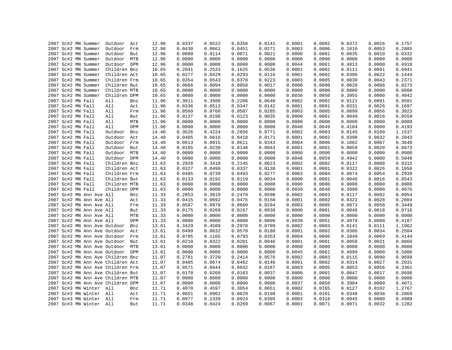|  |                                        | 2007 Sc#2 MN Summer      | Outdoor Act                       |     | 12.96          | 0.0337 | 0.0522 | 0.0356 | 0.0141 | 0.0001 | 0.0002 | 0.0372 | 0.0026 | 0.1757 |
|--|----------------------------------------|--------------------------|-----------------------------------|-----|----------------|--------|--------|--------|--------|--------|--------|--------|--------|--------|
|  |                                        | 2007 Sc#2 MN Summer      | Outdoor                           | Frm | 12.96          | 0.0430 | 0.0661 | 0.0451 | 0.0271 | 0.0003 | 0.0006 | 0.1010 | 0.0053 | 0.2885 |
|  |                                        | 2007 Sc#2 MN Summer      | Outdoor                           | But | 12.96          | 0.0080 | 0.0114 | 0.0071 | 0.0021 | 0.0000 | 0.0001 | 0.0035 | 0.0010 | 0.0332 |
|  |                                        | 2007 Sc#2 MN Summer      | Outdoor                           | MTB | 12.96          | 0.0000 | 0.0000 | 0.0000 | 0.0000 | 0.0000 | 0.0000 | 0.0000 | 0.0000 | 0.0000 |
|  |                                        | 2007 Sc#2 MN Summer      | Outdoor DPM                       |     | 12.96          | 0.0000 | 0.0000 | 0.0000 | 0.0000 | 0.0044 | 0.0061 | 0.4813 | 0.0000 | 0.4918 |
|  |                                        | 2007 Sc#2 MN Summer      | Children Bnz                      |     | 10.65          | 0.2041 | 0.2533 | 0.1625 | 0.0536 | 0.0001 | 0.0002 | 0.0111 | 0.0091 | 0.6941 |
|  |                                        | 2007 Sc#2 MN Summer      | Children Act                      |     | 10.65          | 0.0277 | 0.0429 | 0.0293 | 0.0116 | 0.0001 | 0.0002 | 0.0306 | 0.0022 | 0.1444 |
|  |                                        | 2007 Sc#2 MN Summer      | Children Frm                      |     | 10.65          | 0.0354 | 0.0543 | 0.0370 | 0.0223 | 0.0003 | 0.0005 | 0.0830 | 0.0043 | 0.2371 |
|  |                                        | 2007 Sc#2 MN Summer      | Children But                      |     | 10.65          | 0.0066 | 0.0094 | 0.0058 | 0.0017 | 0.0000 | 0.0000 | 0.0028 | 0.0008 | 0.0273 |
|  |                                        | 2007 Sc#2 MN Summer      | Children MTB                      |     | 10.65          | 0.0000 | 0.0000 | 0.0000 | 0.0000 | 0.0000 | 0.0000 | 0.0000 | 0.0000 | 0.0000 |
|  |                                        | 2007 Sc#2 MN Summer      | Children DPM                      |     | 10.65          | 0.0000 | 0.0000 | 0.0000 | 0.0000 | 0.0036 | 0.0050 | 0.3955 | 0.0000 | 0.4042 |
|  | 2007 Sc#2 MN Fall                      |                          | All                               | Bnz | 11.96          | 0.3011 | 0.3508 | 0.2206 | 0.0640 | 0.0002 | 0.0002 | 0.0121 | 0.0091 | 0.9581 |
|  | 2007 Sc#2 MN Fall                      |                          | All                               | Act | 11.96          | 0.0336 | 0.0512 | 0.0347 | 0.0142 | 0.0001 | 0.0001 | 0.0331 | 0.0026 | 0.1697 |
|  | 2007 Sc#2 MN Fall                      |                          | All                               | Frm | 11.96          | 0.0509 | 0.0760 | 0.0507 | 0.0285 | 0.0003 | 0.0005 | 0.0899 | 0.0056 | 0.3023 |
|  | 2007 Sc#2 MN Fall                      |                          | All                               | But | 11.96          | 0.0137 | 0.0198 | 0.0123 | 0.0035 | 0.0000 | 0.0001 | 0.0049 | 0.0016 | 0.0559 |
|  | 2007 Sc#2 MN Fall                      |                          | All                               | MTB | 11.96          | 0.0000 | 0.0000 | 0.0000 | 0.0000 | 0.0000 | 0.0000 | 0.0000 | 0.0000 | 0.0000 |
|  | 2007 Sc#2 MN Fall                      |                          | All                               | DPM | 11.96          | 0.0000 | 0.0000 | 0.0000 | 0.0000 | 0.0040 | 0.0049 | 0.4104 | 0.0000 | 0.4193 |
|  | 2007 Sc#2 MN Fall                      |                          | Outdoor                           | Bnz | 14.40          | 0.3626 | 0.4224 | 0.2656 | 0.0771 | 0.0002 | 0.0003 | 0.0145 | 0.0109 | 1.1537 |
|  |                                        |                          | Outdoor                           | Act |                | 0.0405 | 0.0616 | 0.0418 | 0.0171 | 0.0001 | 0.0002 | 0.0398 | 0.0032 | 0.2043 |
|  | 2007 Sc#2 MN Fall<br>2007 Sc#2 MN Fall |                          | Outdoor Frm                       |     | 14.40<br>14.40 | 0.0613 | 0.0915 | 0.0611 | 0.0343 | 0.0004 | 0.0006 | 0.1082 | 0.0067 | 0.3640 |
|  |                                        |                          | Outdoor                           |     |                | 0.0165 | 0.0238 | 0.0148 | 0.0043 | 0.0001 | 0.0001 | 0.0059 | 0.0020 | 0.0673 |
|  | 2007 Sc#2 MN Fall                      |                          |                                   | But | 14.40          |        |        |        |        |        |        |        |        | 0.0000 |
|  | 2007 Sc#2 MN Fall                      |                          | Outdoor MTB                       |     | 14.40          | 0.0000 | 0.0000 | 0.0000 | 0.0000 | 0.0000 | 0.0000 | 0.0000 | 0.0000 |        |
|  | 2007 Sc#2 MN Fall                      |                          | Outdoor DPM                       |     | 14.40          | 0.0000 | 0.0000 | 0.0000 | 0.0000 | 0.0048 | 0.0059 | 0.4942 | 0.0000 | 0.5048 |
|  | 2007 Sc#2 MN Fall                      |                          | Children Bnz                      |     | 11.63          | 0.2928 | 0.3410 | 0.2145 | 0.0623 | 0.0002 | 0.0002 | 0.0117 | 0.0088 | 0.9315 |
|  | 2007 Sc#2 MN Fall                      |                          | Children Act                      |     | 11.63          | 0.0327 | 0.0498 | 0.0337 | 0.0138 | 0.0001 | 0.0001 | 0.0322 | 0.0026 | 0.1650 |
|  | 2007 Sc#2 MN Fall                      |                          | Children Frm                      |     | 11.63          | 0.0495 | 0.0739 | 0.0493 | 0.0277 | 0.0003 | 0.0004 | 0.0874 | 0.0054 | 0.2939 |
|  | 2007 Sc#2 MN Fall                      |                          | Children But                      |     | 11.63          | 0.0133 | 0.0192 | 0.0119 | 0.0034 | 0.0000 | 0.0001 | 0.0048 | 0.0016 | 0.0543 |
|  | 2007 Sc#2 MN Fall                      |                          | Children MTB                      |     | 11.63          | 0.0000 | 0.0000 | 0.0000 | 0.0000 | 0.0000 | 0.0000 | 0.0000 | 0.0000 | 0.0000 |
|  | 2007 Sc#2 MN Fall                      |                          | Children DPM                      |     | 11.63          | 0.0000 | 0.0000 | 0.0000 | 0.0000 | 0.0039 | 0.0048 | 0.3990 | 0.0000 | 0.4076 |
|  |                                        | 2007 Sc#2 MN Ann Ave All |                                   | Bnz | 11.33          | 0.2853 | 0.3819 | 0.2478 | 0.0590 | 0.0002 | 0.0003 | 0.0117 | 0.0092 | 0.9954 |
|  |                                        | 2007 Sc#2 MN Ann Ave All |                                   | Act | 11.33          | 0.0415 | 0.0692 | 0.0475 | 0.0150 | 0.0001 | 0.0002 | 0.0322 | 0.0028 | 0.2084 |
|  |                                        | 2007 Sc#2 MN Ann Ave All |                                   | Frm | 11.33          | 0.0587 | 0.0970 | 0.0660 | 0.0294 | 0.0003 | 0.0005 | 0.0873 | 0.0058 | 0.3449 |
|  |                                        | 2007 Sc#2 MN Ann Ave All |                                   | But | 11.33          | 0.0175 | 0.0268 | 0.0167 | 0.0038 | 0.0000 | 0.0001 | 0.0048 | 0.0018 | 0.0716 |
|  |                                        | 2007 Sc#2 MN Ann Ave All |                                   | MTB | 11.33          | 0.0000 | 0.0000 | 0.0000 | 0.0000 | 0.0000 | 0.0000 | 0.0000 | 0.0000 | 0.0000 |
|  |                                        | 2007 Sc#2 MN Ann Ave All |                                   | DPM | 11.33          | 0.0000 | 0.0000 | 0.0000 | 0.0000 | 0.0038 | 0.0051 | 0.4078 | 0.0000 | 0.4167 |
|  |                                        |                          | 2007 Sc#2 MN Ann Ave Outdoor      | Bnz | 13.61          | 0.3429 | 0.4589 | 0.2978 | 0.0709 | 0.0002 | 0.0003 | 0.0141 | 0.0111 | 1.1962 |
|  |                                        |                          | 2007 Sc#2 MN Ann Ave Outdoor Act  |     | 13.61          | 0.0499 | 0.0832 | 0.0570 | 0.0180 | 0.0001 | 0.0002 | 0.0386 | 0.0034 | 0.2504 |
|  |                                        |                          | 2007 Sc#2 MN Ann Ave Outdoor      | Frm | 13.61          | 0.0705 | 0.1165 | 0.0793 | 0.0353 | 0.0004 | 0.0006 | 0.1049 | 0.0069 | 0.4144 |
|  |                                        |                          | 2007 Sc#2 MN Ann Ave Outdoor      | But | 13.61          | 0.0210 | 0.0322 | 0.0201 | 0.0046 | 0.0001 | 0.0001 | 0.0058 | 0.0021 | 0.0860 |
|  |                                        |                          | 2007 Sc#2 MN Ann Ave Outdoor MTB  |     | 13.61          | 0.0000 | 0.0000 | 0.0000 | 0.0000 | 0.0000 | 0.0000 | 0.0000 | 0.0000 | 0.0000 |
|  |                                        |                          | 2007 Sc#2 MN Ann Ave Outdoor DPM  |     | 13.61          | 0.0000 | 0.0000 | 0.0000 | 0.0000 | 0.0045 | 0.0061 | 0.4899 | 0.0000 | 0.5006 |
|  |                                        |                          | 2007 Sc#2 MN Ann Ave Children Bnz |     | 11.07          | 0.2781 | 0.3720 | 0.2414 | 0.0576 | 0.0002 | 0.0003 | 0.0115 | 0.0090 | 0.9699 |
|  |                                        |                          | 2007 Sc#2 MN Ann Ave Children Act |     | 11.07          | 0.0405 | 0.0674 | 0.0462 | 0.0146 | 0.0001 | 0.0002 | 0.0314 | 0.0027 | 0.2031 |
|  |                                        |                          | 2007 Sc#2 MN Ann Ave Children Frm |     | 11.07          | 0.0571 | 0.0944 | 0.0642 | 0.0287 | 0.0003 | 0.0005 | 0.0853 | 0.0056 | 0.3361 |
|  |                                        |                          | 2007 Sc#2 MN Ann Ave Children But |     | 11.07          | 0.0170 | 0.0260 | 0.0163 | 0.0037 | 0.0000 | 0.0001 | 0.0047 | 0.0017 | 0.0696 |
|  |                                        |                          | 2007 Sc#2 MN Ann Ave Children MTB |     | 11.07          | 0.0000 | 0.0000 | 0.0000 | 0.0000 | 0.0000 | 0.0000 | 0.0000 | 0.0000 | 0.0000 |
|  |                                        |                          | 2007 Sc#2 MN Ann Ave Children DPM |     | 11.07          | 0.0000 | 0.0000 | 0.0000 | 0.0000 | 0.0037 | 0.0050 | 0.3984 | 0.0000 | 0.4071 |
|  |                                        | 2007 Sc#3 MN Winter All  |                                   | Bnz | 11.71          | 0.4070 | 0.4597 | 0.3054 | 0.0651 | 0.0002 | 0.0165 | 0.0127 | 0.0102 | 1.2767 |
|  |                                        | 2007 Sc#3 MN Winter All  |                                   | Act | 11.71          | 0.0651 | 0.0902 | 0.0629 | 0.0198 | 0.0001 | 0.0101 | 0.0348 | 0.0038 | 0.2869 |
|  |                                        | 2007 Sc#3 MN Winter All  |                                   | Frm | 11.71          | 0.0977 | 0.1339 | 0.0924 | 0.0395 | 0.0003 | 0.0318 | 0.0945 | 0.0080 | 0.4980 |
|  |                                        | 2007 Sc#3 MN Winter All  |                                   | But | 11.71          | 0.0348 | 0.0424 | 0.0269 | 0.0067 | 0.0001 | 0.0071 | 0.0071 | 0.0032 | 0.1282 |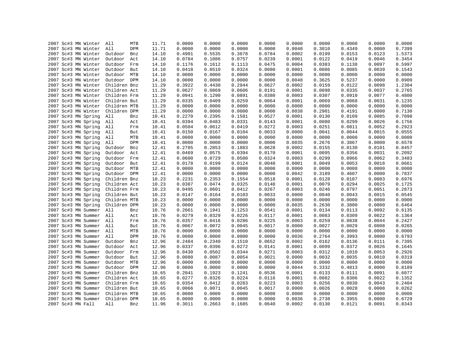| 11.71<br>2007 Sc#3 MN Winter<br>All<br>0.0000<br>0.0000<br>0.0000<br>0.0000<br>0.0000<br>0.0000<br>0.0000<br>0.0000<br>MTB<br>2007 Sc#3 MN Winter<br>All<br>11.71<br>0.0000<br>0.0000<br>0.0000<br>0.0000<br>0.0040<br>0.3010<br>0.4349<br>0.0000<br>DPM<br>0.3678<br>2007 Sc#3 MN Winter<br>14.10<br>0.4901<br>0.5535<br>0.0784<br>0.0002<br>0.0199<br>0.0153<br>0.0123<br>Outdoor<br>Bnz<br>2007 Sc#3 MN Winter<br>Outdoor<br>0.0784<br>0.1086<br>0.0757<br>0.0239<br>0.0001<br>0.0122<br>0.0419<br>0.0046<br>Act<br>14.10<br>2007 Sc#3 MN Winter<br>0.1176<br>0.1612<br>0.1113<br>0.0475<br>0.0004<br>0.0383<br>0.1138<br>0.0097<br>Outdoor<br>Frm<br>14.10<br>0.0510<br>0.0324<br>0.0080<br>0.0086<br>0.0085<br>0.0039<br>2007 Sc#3 MN Winter<br>Outdoor<br>But<br>14.10<br>0.0418<br>0.0001<br>0.0000<br>0.0000<br>2007 Sc#3 MN Winter<br>Outdoor MTB<br>14.10<br>0.0000<br>0.0000<br>0.0000<br>0.0000<br>0.0000<br>0.0000<br>2007 Sc#3 MN Winter<br>Outdoor DPM<br>14.10<br>0.0000<br>0.0000<br>0.0000<br>0.0000<br>0.0048<br>0.3625<br>0.5237<br>0.0000<br>2007 Sc#3 MN Winter<br>Children Bnz<br>11.29<br>0.3922<br>0.4430<br>0.2944<br>0.0627<br>0.0002<br>0.0159<br>0.0122<br>0.0098<br>2007 Sc#3 MN Winter<br>0.0606<br>0.0098<br>0.0335<br>0.0037<br>Children Act<br>11.29<br>0.0627<br>0.0869<br>0.0191<br>0.0001<br>2007 Sc#3 MN Winter<br>Children Frm<br>11.29<br>0.0941<br>0.1290<br>0.0891<br>0.0380<br>0.0003<br>0.0307<br>0.0910<br>0.0077<br>2007 Sc#3 MN Winter<br>11.29<br>0.0259<br>0.0064<br>0.0069<br>0.0031<br>Children But<br>0.0335<br>0.0409<br>0.0001<br>0.0068<br>2007 Sc#3 MN Winter<br>Children MTB<br>11.29<br>0.0000<br>0.0000<br>0.0000<br>0.0000<br>0.0000<br>0.0000<br>0.0000<br>0.0000<br>2007 Sc#3 MN Winter<br>Children DPM<br>0.0000<br>0.0000<br>0.0000<br>0.0000<br>0.0038<br>0.2901<br>0.4191<br>0.0000<br>11.29<br>0.2395<br>2007 Sc#3 MN Spring<br>All<br>10.41<br>0.2270<br>0.1581<br>0.0527<br>0.0001<br>0.0130<br>0.0109<br>0.0085<br>Bnz<br>2007 Sc#3 MN Spring<br>0.0331<br>0.0299<br>0.0026<br>All<br>10.41<br>0.0394<br>0.0483<br>0.0143<br>0.0001<br>0.0080<br>Act<br>2007 Sc#3 MN Spring<br>0.0504<br>0.0612<br>0.0419<br>0.0272<br>0.0003<br>0.0251<br>0.0811<br>0.0052<br>All<br>Frm<br>10.41<br>0.0104<br>0.0033<br>0.0015<br>2007 Sc#3 MN Spring<br>All<br>10.41<br>0.0150<br>0.0167<br>0.0000<br>0.0041<br>0.0044<br>But<br>2007 Sc#3 MN Spring<br>All<br>MTB<br>10.41<br>0.0000<br>0.0000<br>0.0000<br>0.0000<br>0.0000<br>0.0000<br>0.0000<br>0.0000<br>2007 Sc#3 MN Spring<br>All<br>0.0000<br>0.0000<br>0.0000<br>0.0000<br>0.0035<br>0.2676<br>0.3867<br>0.0000<br>DPM<br>10.41<br>2007 Sc#3 MN Spring<br>12.41<br>0.2705<br>0.2853<br>0.1883<br>0.0628<br>0.0002<br>0.0155<br>0.0130<br>0.0101<br>Outdoor<br>Bnz<br>0.0394<br>2007 Sc#3 MN Spring<br>0.0469<br>0.0575<br>0.0170<br>0.0001<br>0.0095<br>0.0356<br>0.0031<br>Outdoor<br>Act<br>12.41<br>0.0600<br>0.0729<br>0.0500<br>0.0324<br>0.0003<br>0.0299<br>0.0966<br>0.0062<br>2007 Sc#3 MN Spring<br>Outdoor<br>Frm<br>12.41<br>0.0199<br>0.0124<br>0.0040<br>0.0049<br>0.0053<br>0.0018<br>2007 Sc#3 MN Spring<br>Outdoor But<br>12.41<br>0.0178<br>0.0001<br>0.0000<br>0.0000<br>0.0000<br>0.0000<br>0.0000<br>2007 Sc#3 MN Spring<br>Outdoor MTB<br>12.41<br>0.0000<br>0.0000<br>0.0000<br>2007 Sc#3 MN Spring<br>Outdoor DPM<br>12.41<br>0.0000<br>0.0000<br>0.0000<br>0.0000<br>0.0042<br>0.3189<br>0.4607<br>0.0000<br>0.2353<br>0.1554<br>0.0518<br>0.0001<br>0.0128<br>0.0107<br>0.0083<br>2007 Sc#3 MN Spring<br>Children Bnz<br>10.23<br>0.2231<br>2007 Sc#3 MN Spring<br>10.23<br>0.0387<br>0.0474<br>0.0325<br>0.0140<br>0.0001<br>0.0079<br>0.0294<br>0.0025<br>Children Act<br>0.0412<br>0.0246<br>0.0051<br>2007 Sc#3 MN Spring<br>Children Frm<br>10.23<br>0.0495<br>0.0601<br>0.0267<br>0.0003<br>0.0797<br>0.0103<br>0.0033<br>0.0015<br>2007 Sc#3 MN Spring<br>Children But<br>10.23<br>0.0147<br>0.0164<br>0.0000<br>0.0040<br>0.0043<br>0.0000<br>0.0000<br>0.0000<br>0.0000<br>2007 Sc#3 MN Spring<br>Children MTB<br>10.23<br>0.0000<br>0.0000<br>0.0000<br>0.0000<br>2007 Sc#3 MN Spring<br>10.23<br>0.0000<br>0.0000<br>0.0000<br>0.0035<br>0.2630<br>0.3800<br>0.0000<br>Children DPM<br>0.0000<br>0.1941<br>0.1253<br>0.0134<br>0.0092<br>2007 Sc#3 MN Summer<br>All<br>10.76<br>0.2061<br>0.0541<br>0.0001<br>0.0113<br>Bnz<br>0.0329<br>0.0226<br>0.0022<br>2007 Sc#3 MN Summer<br>All<br>10.76<br>0.0279<br>0.0117<br>0.0001<br>0.0083<br>0.0309<br>Act<br>2007 Sc#3 MN Summer All<br>10.76<br>0.0357<br>0.0416<br>0.0286<br>0.0225<br>0.0003<br>0.0259<br>0.0838<br>0.0044<br>Frm<br>2007 Sc#3 MN Summer<br>All<br>But<br>10.76<br>0.0067<br>0.0072<br>0.0045<br>0.0017<br>0.0000<br>0.0027<br>0.0029<br>0.0008<br>2007 Sc#3 MN Summer<br>10.76<br>0.0000<br>0.0000<br>0.0000<br>0.0000<br>0.0000<br>0.0000<br>All<br>MTB<br>0.0000<br>0.0000<br>2007 Sc#3 MN Summer<br>All<br>DPM<br>10.76<br>0.0000<br>0.0000<br>0.0000<br>0.0000<br>0.0036<br>0.2764<br>0.3993<br>0.0000<br>0.2340<br>2007 Sc#3 MN Summer<br>Outdoor<br>12.96<br>0.2484<br>0.1510<br>0.0652<br>0.0002<br>0.0162<br>0.0136<br>0.0111<br>Bnz<br>2007 Sc#3 MN Summer<br>Outdoor<br>12.96<br>0.0337<br>0.0396<br>0.0272<br>0.0141<br>0.0001<br>0.0099<br>0.0372<br>0.0026<br>Act<br>2007 Sc#3 MN Summer<br>Outdoor<br>12.96<br>0.0430<br>0.0502<br>0.0344<br>0.0271<br>0.0003<br>0.0312<br>0.1010<br>0.0053<br>Frm<br>Outdoor<br>0.0087<br>0.0054<br>0.0021<br>0.0000<br>0.0032<br>0.0035<br>0.0010<br>2007 Sc#3 MN Summer<br>But<br>12.96<br>0.0080<br>2007 Sc#3 MN Summer<br>Outdoor MTB<br>12.96<br>0.0000<br>0.0000<br>0.0000<br>0.0000<br>0.0000<br>0.0000<br>0.0000<br>0.0000<br>0.0000<br>0.3332<br>0.0000<br>2007 Sc#3 MN Summer<br>Outdoor DPM<br>12.96<br>0.0000<br>0.0000<br>0.0000<br>0.0044<br>0.4813<br>2007 Sc#3 MN Summer<br>Children Bnz<br>0.2041<br>0.1923<br>0.1241<br>0.0536<br>0.0001<br>0.0133<br>0.0111<br>0.0091<br>10.65<br>2007 Sc#3 MN Summer<br>Children Act<br>0.0277<br>0.0326<br>0.0224<br>0.0116<br>0.0001<br>0.0082<br>0.0306<br>0.0022<br>10.65<br>2007 Sc#3 MN Summer<br>Children Frm<br>0.0354<br>0.0412<br>0.0283<br>0.0223<br>0.0003<br>0.0256<br>0.0830<br>0.0043<br>10.65<br>0.0071<br>0.0045<br>0.0008<br>2007 Sc#3 MN Summer<br>Children But<br>0.0066<br>0.0017<br>0.0000<br>0.0026<br>0.0028<br>10.65<br>2007 Sc#3 MN Summer<br>Children MTB<br>0.0000<br>0.0000<br>0.0000<br>0.0000<br>0.0000<br>0.0000<br>0.0000<br>0.0000<br>10.65<br>2007 Sc#3 MN Summer<br>Children DPM<br>0.0000<br>0.0000<br>0.0000<br>0.0000<br>0.0036<br>0.2738<br>0.3955<br>0.0000<br>10.65<br>0.1685<br>0.0002<br>0.0130<br>0.0091<br>All<br>Bnz<br>11.96<br>0.3011<br>0.0640<br>0.0121 |                   |  |        |  |  |  |        |
|-------------------------------------------------------------------------------------------------------------------------------------------------------------------------------------------------------------------------------------------------------------------------------------------------------------------------------------------------------------------------------------------------------------------------------------------------------------------------------------------------------------------------------------------------------------------------------------------------------------------------------------------------------------------------------------------------------------------------------------------------------------------------------------------------------------------------------------------------------------------------------------------------------------------------------------------------------------------------------------------------------------------------------------------------------------------------------------------------------------------------------------------------------------------------------------------------------------------------------------------------------------------------------------------------------------------------------------------------------------------------------------------------------------------------------------------------------------------------------------------------------------------------------------------------------------------------------------------------------------------------------------------------------------------------------------------------------------------------------------------------------------------------------------------------------------------------------------------------------------------------------------------------------------------------------------------------------------------------------------------------------------------------------------------------------------------------------------------------------------------------------------------------------------------------------------------------------------------------------------------------------------------------------------------------------------------------------------------------------------------------------------------------------------------------------------------------------------------------------------------------------------------------------------------------------------------------------------------------------------------------------------------------------------------------------------------------------------------------------------------------------------------------------------------------------------------------------------------------------------------------------------------------------------------------------------------------------------------------------------------------------------------------------------------------------------------------------------------------------------------------------------------------------------------------------------------------------------------------------------------------------------------------------------------------------------------------------------------------------------------------------------------------------------------------------------------------------------------------------------------------------------------------------------------------------------------------------------------------------------------------------------------------------------------------------------------------------------------------------------------------------------------------------------------------------------------------------------------------------------------------------------------------------------------------------------------------------------------------------------------------------------------------------------------------------------------------------------------------------------------------------------------------------------------------------------------------------------------------------------------------------------------------------------------------------------------------------------------------------------------------------------------------------------------------------------------------------------------------------------------------------------------------------------------------------------------------------------------------------------------------------------------------------------------------------------------------------------------------------------------------------------------------------------------------------------------------------------------------------------------------------------------------------------------------------------------------------------------------------------------------------------------------------------------------------------------------------------------------------------------------------------------------------------------------------------------------------------------------------------------------------------------------------------------------------------------------------------------------------------------------------------------------------------------------------------------------------------------------------------------------------------------------------------------------------------------------------------------------------------------------------------------------------------------------------------------------------------------------------------------------------------------------------------------------------------------------------------------------------------------------------------------------------------------------------------------------------------------------------------------------------------------------------------------------------------------------------------------------------------------------------------------------------------------------------------------------------------------------------------------------------------------------------------------------------------------------------------------------------------------------------------------------------------------------------------------------------------------------------------------------------------------------------------------------------------------------------------------------------------------------------------------------------------------------------------------------------------------------------------------|-------------------|--|--------|--|--|--|--------|
|                                                                                                                                                                                                                                                                                                                                                                                                                                                                                                                                                                                                                                                                                                                                                                                                                                                                                                                                                                                                                                                                                                                                                                                                                                                                                                                                                                                                                                                                                                                                                                                                                                                                                                                                                                                                                                                                                                                                                                                                                                                                                                                                                                                                                                                                                                                                                                                                                                                                                                                                                                                                                                                                                                                                                                                                                                                                                                                                                                                                                                                                                                                                                                                                                                                                                                                                                                                                                                                                                                                                                                                                                                                                                                                                                                                                                                                                                                                                                                                                                                                                                                                                                                                                                                                                                                                                                                                                                                                                                                                                                                                                                                                                                                                                                                                                                                                                                                                                                                                                                                                                                                                                                                                                                                                                                                                                                                                                                                                                                                                                                                                                                                                                                                                                                                                                                                                                                                                                                                                                                                                                                                                                                                                                                                                                                                                                                                                                                                                                                                                                                                                                                                                                                                                                           |                   |  |        |  |  |  | 0.0000 |
|                                                                                                                                                                                                                                                                                                                                                                                                                                                                                                                                                                                                                                                                                                                                                                                                                                                                                                                                                                                                                                                                                                                                                                                                                                                                                                                                                                                                                                                                                                                                                                                                                                                                                                                                                                                                                                                                                                                                                                                                                                                                                                                                                                                                                                                                                                                                                                                                                                                                                                                                                                                                                                                                                                                                                                                                                                                                                                                                                                                                                                                                                                                                                                                                                                                                                                                                                                                                                                                                                                                                                                                                                                                                                                                                                                                                                                                                                                                                                                                                                                                                                                                                                                                                                                                                                                                                                                                                                                                                                                                                                                                                                                                                                                                                                                                                                                                                                                                                                                                                                                                                                                                                                                                                                                                                                                                                                                                                                                                                                                                                                                                                                                                                                                                                                                                                                                                                                                                                                                                                                                                                                                                                                                                                                                                                                                                                                                                                                                                                                                                                                                                                                                                                                                                                           |                   |  |        |  |  |  | 0.7399 |
|                                                                                                                                                                                                                                                                                                                                                                                                                                                                                                                                                                                                                                                                                                                                                                                                                                                                                                                                                                                                                                                                                                                                                                                                                                                                                                                                                                                                                                                                                                                                                                                                                                                                                                                                                                                                                                                                                                                                                                                                                                                                                                                                                                                                                                                                                                                                                                                                                                                                                                                                                                                                                                                                                                                                                                                                                                                                                                                                                                                                                                                                                                                                                                                                                                                                                                                                                                                                                                                                                                                                                                                                                                                                                                                                                                                                                                                                                                                                                                                                                                                                                                                                                                                                                                                                                                                                                                                                                                                                                                                                                                                                                                                                                                                                                                                                                                                                                                                                                                                                                                                                                                                                                                                                                                                                                                                                                                                                                                                                                                                                                                                                                                                                                                                                                                                                                                                                                                                                                                                                                                                                                                                                                                                                                                                                                                                                                                                                                                                                                                                                                                                                                                                                                                                                           |                   |  |        |  |  |  | 1.5373 |
|                                                                                                                                                                                                                                                                                                                                                                                                                                                                                                                                                                                                                                                                                                                                                                                                                                                                                                                                                                                                                                                                                                                                                                                                                                                                                                                                                                                                                                                                                                                                                                                                                                                                                                                                                                                                                                                                                                                                                                                                                                                                                                                                                                                                                                                                                                                                                                                                                                                                                                                                                                                                                                                                                                                                                                                                                                                                                                                                                                                                                                                                                                                                                                                                                                                                                                                                                                                                                                                                                                                                                                                                                                                                                                                                                                                                                                                                                                                                                                                                                                                                                                                                                                                                                                                                                                                                                                                                                                                                                                                                                                                                                                                                                                                                                                                                                                                                                                                                                                                                                                                                                                                                                                                                                                                                                                                                                                                                                                                                                                                                                                                                                                                                                                                                                                                                                                                                                                                                                                                                                                                                                                                                                                                                                                                                                                                                                                                                                                                                                                                                                                                                                                                                                                                                           |                   |  |        |  |  |  | 0.3454 |
|                                                                                                                                                                                                                                                                                                                                                                                                                                                                                                                                                                                                                                                                                                                                                                                                                                                                                                                                                                                                                                                                                                                                                                                                                                                                                                                                                                                                                                                                                                                                                                                                                                                                                                                                                                                                                                                                                                                                                                                                                                                                                                                                                                                                                                                                                                                                                                                                                                                                                                                                                                                                                                                                                                                                                                                                                                                                                                                                                                                                                                                                                                                                                                                                                                                                                                                                                                                                                                                                                                                                                                                                                                                                                                                                                                                                                                                                                                                                                                                                                                                                                                                                                                                                                                                                                                                                                                                                                                                                                                                                                                                                                                                                                                                                                                                                                                                                                                                                                                                                                                                                                                                                                                                                                                                                                                                                                                                                                                                                                                                                                                                                                                                                                                                                                                                                                                                                                                                                                                                                                                                                                                                                                                                                                                                                                                                                                                                                                                                                                                                                                                                                                                                                                                                                           |                   |  |        |  |  |  | 0.5997 |
|                                                                                                                                                                                                                                                                                                                                                                                                                                                                                                                                                                                                                                                                                                                                                                                                                                                                                                                                                                                                                                                                                                                                                                                                                                                                                                                                                                                                                                                                                                                                                                                                                                                                                                                                                                                                                                                                                                                                                                                                                                                                                                                                                                                                                                                                                                                                                                                                                                                                                                                                                                                                                                                                                                                                                                                                                                                                                                                                                                                                                                                                                                                                                                                                                                                                                                                                                                                                                                                                                                                                                                                                                                                                                                                                                                                                                                                                                                                                                                                                                                                                                                                                                                                                                                                                                                                                                                                                                                                                                                                                                                                                                                                                                                                                                                                                                                                                                                                                                                                                                                                                                                                                                                                                                                                                                                                                                                                                                                                                                                                                                                                                                                                                                                                                                                                                                                                                                                                                                                                                                                                                                                                                                                                                                                                                                                                                                                                                                                                                                                                                                                                                                                                                                                                                           |                   |  |        |  |  |  | 0.1543 |
|                                                                                                                                                                                                                                                                                                                                                                                                                                                                                                                                                                                                                                                                                                                                                                                                                                                                                                                                                                                                                                                                                                                                                                                                                                                                                                                                                                                                                                                                                                                                                                                                                                                                                                                                                                                                                                                                                                                                                                                                                                                                                                                                                                                                                                                                                                                                                                                                                                                                                                                                                                                                                                                                                                                                                                                                                                                                                                                                                                                                                                                                                                                                                                                                                                                                                                                                                                                                                                                                                                                                                                                                                                                                                                                                                                                                                                                                                                                                                                                                                                                                                                                                                                                                                                                                                                                                                                                                                                                                                                                                                                                                                                                                                                                                                                                                                                                                                                                                                                                                                                                                                                                                                                                                                                                                                                                                                                                                                                                                                                                                                                                                                                                                                                                                                                                                                                                                                                                                                                                                                                                                                                                                                                                                                                                                                                                                                                                                                                                                                                                                                                                                                                                                                                                                           |                   |  |        |  |  |  | 0.0000 |
|                                                                                                                                                                                                                                                                                                                                                                                                                                                                                                                                                                                                                                                                                                                                                                                                                                                                                                                                                                                                                                                                                                                                                                                                                                                                                                                                                                                                                                                                                                                                                                                                                                                                                                                                                                                                                                                                                                                                                                                                                                                                                                                                                                                                                                                                                                                                                                                                                                                                                                                                                                                                                                                                                                                                                                                                                                                                                                                                                                                                                                                                                                                                                                                                                                                                                                                                                                                                                                                                                                                                                                                                                                                                                                                                                                                                                                                                                                                                                                                                                                                                                                                                                                                                                                                                                                                                                                                                                                                                                                                                                                                                                                                                                                                                                                                                                                                                                                                                                                                                                                                                                                                                                                                                                                                                                                                                                                                                                                                                                                                                                                                                                                                                                                                                                                                                                                                                                                                                                                                                                                                                                                                                                                                                                                                                                                                                                                                                                                                                                                                                                                                                                                                                                                                                           |                   |  |        |  |  |  | 0.8909 |
|                                                                                                                                                                                                                                                                                                                                                                                                                                                                                                                                                                                                                                                                                                                                                                                                                                                                                                                                                                                                                                                                                                                                                                                                                                                                                                                                                                                                                                                                                                                                                                                                                                                                                                                                                                                                                                                                                                                                                                                                                                                                                                                                                                                                                                                                                                                                                                                                                                                                                                                                                                                                                                                                                                                                                                                                                                                                                                                                                                                                                                                                                                                                                                                                                                                                                                                                                                                                                                                                                                                                                                                                                                                                                                                                                                                                                                                                                                                                                                                                                                                                                                                                                                                                                                                                                                                                                                                                                                                                                                                                                                                                                                                                                                                                                                                                                                                                                                                                                                                                                                                                                                                                                                                                                                                                                                                                                                                                                                                                                                                                                                                                                                                                                                                                                                                                                                                                                                                                                                                                                                                                                                                                                                                                                                                                                                                                                                                                                                                                                                                                                                                                                                                                                                                                           |                   |  |        |  |  |  | 1.2304 |
|                                                                                                                                                                                                                                                                                                                                                                                                                                                                                                                                                                                                                                                                                                                                                                                                                                                                                                                                                                                                                                                                                                                                                                                                                                                                                                                                                                                                                                                                                                                                                                                                                                                                                                                                                                                                                                                                                                                                                                                                                                                                                                                                                                                                                                                                                                                                                                                                                                                                                                                                                                                                                                                                                                                                                                                                                                                                                                                                                                                                                                                                                                                                                                                                                                                                                                                                                                                                                                                                                                                                                                                                                                                                                                                                                                                                                                                                                                                                                                                                                                                                                                                                                                                                                                                                                                                                                                                                                                                                                                                                                                                                                                                                                                                                                                                                                                                                                                                                                                                                                                                                                                                                                                                                                                                                                                                                                                                                                                                                                                                                                                                                                                                                                                                                                                                                                                                                                                                                                                                                                                                                                                                                                                                                                                                                                                                                                                                                                                                                                                                                                                                                                                                                                                                                           |                   |  |        |  |  |  | 0.2765 |
|                                                                                                                                                                                                                                                                                                                                                                                                                                                                                                                                                                                                                                                                                                                                                                                                                                                                                                                                                                                                                                                                                                                                                                                                                                                                                                                                                                                                                                                                                                                                                                                                                                                                                                                                                                                                                                                                                                                                                                                                                                                                                                                                                                                                                                                                                                                                                                                                                                                                                                                                                                                                                                                                                                                                                                                                                                                                                                                                                                                                                                                                                                                                                                                                                                                                                                                                                                                                                                                                                                                                                                                                                                                                                                                                                                                                                                                                                                                                                                                                                                                                                                                                                                                                                                                                                                                                                                                                                                                                                                                                                                                                                                                                                                                                                                                                                                                                                                                                                                                                                                                                                                                                                                                                                                                                                                                                                                                                                                                                                                                                                                                                                                                                                                                                                                                                                                                                                                                                                                                                                                                                                                                                                                                                                                                                                                                                                                                                                                                                                                                                                                                                                                                                                                                                           |                   |  |        |  |  |  | 0.4800 |
|                                                                                                                                                                                                                                                                                                                                                                                                                                                                                                                                                                                                                                                                                                                                                                                                                                                                                                                                                                                                                                                                                                                                                                                                                                                                                                                                                                                                                                                                                                                                                                                                                                                                                                                                                                                                                                                                                                                                                                                                                                                                                                                                                                                                                                                                                                                                                                                                                                                                                                                                                                                                                                                                                                                                                                                                                                                                                                                                                                                                                                                                                                                                                                                                                                                                                                                                                                                                                                                                                                                                                                                                                                                                                                                                                                                                                                                                                                                                                                                                                                                                                                                                                                                                                                                                                                                                                                                                                                                                                                                                                                                                                                                                                                                                                                                                                                                                                                                                                                                                                                                                                                                                                                                                                                                                                                                                                                                                                                                                                                                                                                                                                                                                                                                                                                                                                                                                                                                                                                                                                                                                                                                                                                                                                                                                                                                                                                                                                                                                                                                                                                                                                                                                                                                                           |                   |  |        |  |  |  | 0.1235 |
|                                                                                                                                                                                                                                                                                                                                                                                                                                                                                                                                                                                                                                                                                                                                                                                                                                                                                                                                                                                                                                                                                                                                                                                                                                                                                                                                                                                                                                                                                                                                                                                                                                                                                                                                                                                                                                                                                                                                                                                                                                                                                                                                                                                                                                                                                                                                                                                                                                                                                                                                                                                                                                                                                                                                                                                                                                                                                                                                                                                                                                                                                                                                                                                                                                                                                                                                                                                                                                                                                                                                                                                                                                                                                                                                                                                                                                                                                                                                                                                                                                                                                                                                                                                                                                                                                                                                                                                                                                                                                                                                                                                                                                                                                                                                                                                                                                                                                                                                                                                                                                                                                                                                                                                                                                                                                                                                                                                                                                                                                                                                                                                                                                                                                                                                                                                                                                                                                                                                                                                                                                                                                                                                                                                                                                                                                                                                                                                                                                                                                                                                                                                                                                                                                                                                           |                   |  |        |  |  |  | 0.0000 |
|                                                                                                                                                                                                                                                                                                                                                                                                                                                                                                                                                                                                                                                                                                                                                                                                                                                                                                                                                                                                                                                                                                                                                                                                                                                                                                                                                                                                                                                                                                                                                                                                                                                                                                                                                                                                                                                                                                                                                                                                                                                                                                                                                                                                                                                                                                                                                                                                                                                                                                                                                                                                                                                                                                                                                                                                                                                                                                                                                                                                                                                                                                                                                                                                                                                                                                                                                                                                                                                                                                                                                                                                                                                                                                                                                                                                                                                                                                                                                                                                                                                                                                                                                                                                                                                                                                                                                                                                                                                                                                                                                                                                                                                                                                                                                                                                                                                                                                                                                                                                                                                                                                                                                                                                                                                                                                                                                                                                                                                                                                                                                                                                                                                                                                                                                                                                                                                                                                                                                                                                                                                                                                                                                                                                                                                                                                                                                                                                                                                                                                                                                                                                                                                                                                                                           |                   |  |        |  |  |  | 0.7130 |
|                                                                                                                                                                                                                                                                                                                                                                                                                                                                                                                                                                                                                                                                                                                                                                                                                                                                                                                                                                                                                                                                                                                                                                                                                                                                                                                                                                                                                                                                                                                                                                                                                                                                                                                                                                                                                                                                                                                                                                                                                                                                                                                                                                                                                                                                                                                                                                                                                                                                                                                                                                                                                                                                                                                                                                                                                                                                                                                                                                                                                                                                                                                                                                                                                                                                                                                                                                                                                                                                                                                                                                                                                                                                                                                                                                                                                                                                                                                                                                                                                                                                                                                                                                                                                                                                                                                                                                                                                                                                                                                                                                                                                                                                                                                                                                                                                                                                                                                                                                                                                                                                                                                                                                                                                                                                                                                                                                                                                                                                                                                                                                                                                                                                                                                                                                                                                                                                                                                                                                                                                                                                                                                                                                                                                                                                                                                                                                                                                                                                                                                                                                                                                                                                                                                                           |                   |  |        |  |  |  | 0.7098 |
|                                                                                                                                                                                                                                                                                                                                                                                                                                                                                                                                                                                                                                                                                                                                                                                                                                                                                                                                                                                                                                                                                                                                                                                                                                                                                                                                                                                                                                                                                                                                                                                                                                                                                                                                                                                                                                                                                                                                                                                                                                                                                                                                                                                                                                                                                                                                                                                                                                                                                                                                                                                                                                                                                                                                                                                                                                                                                                                                                                                                                                                                                                                                                                                                                                                                                                                                                                                                                                                                                                                                                                                                                                                                                                                                                                                                                                                                                                                                                                                                                                                                                                                                                                                                                                                                                                                                                                                                                                                                                                                                                                                                                                                                                                                                                                                                                                                                                                                                                                                                                                                                                                                                                                                                                                                                                                                                                                                                                                                                                                                                                                                                                                                                                                                                                                                                                                                                                                                                                                                                                                                                                                                                                                                                                                                                                                                                                                                                                                                                                                                                                                                                                                                                                                                                           |                   |  |        |  |  |  | 0.1756 |
|                                                                                                                                                                                                                                                                                                                                                                                                                                                                                                                                                                                                                                                                                                                                                                                                                                                                                                                                                                                                                                                                                                                                                                                                                                                                                                                                                                                                                                                                                                                                                                                                                                                                                                                                                                                                                                                                                                                                                                                                                                                                                                                                                                                                                                                                                                                                                                                                                                                                                                                                                                                                                                                                                                                                                                                                                                                                                                                                                                                                                                                                                                                                                                                                                                                                                                                                                                                                                                                                                                                                                                                                                                                                                                                                                                                                                                                                                                                                                                                                                                                                                                                                                                                                                                                                                                                                                                                                                                                                                                                                                                                                                                                                                                                                                                                                                                                                                                                                                                                                                                                                                                                                                                                                                                                                                                                                                                                                                                                                                                                                                                                                                                                                                                                                                                                                                                                                                                                                                                                                                                                                                                                                                                                                                                                                                                                                                                                                                                                                                                                                                                                                                                                                                                                                           |                   |  |        |  |  |  | 0.2923 |
|                                                                                                                                                                                                                                                                                                                                                                                                                                                                                                                                                                                                                                                                                                                                                                                                                                                                                                                                                                                                                                                                                                                                                                                                                                                                                                                                                                                                                                                                                                                                                                                                                                                                                                                                                                                                                                                                                                                                                                                                                                                                                                                                                                                                                                                                                                                                                                                                                                                                                                                                                                                                                                                                                                                                                                                                                                                                                                                                                                                                                                                                                                                                                                                                                                                                                                                                                                                                                                                                                                                                                                                                                                                                                                                                                                                                                                                                                                                                                                                                                                                                                                                                                                                                                                                                                                                                                                                                                                                                                                                                                                                                                                                                                                                                                                                                                                                                                                                                                                                                                                                                                                                                                                                                                                                                                                                                                                                                                                                                                                                                                                                                                                                                                                                                                                                                                                                                                                                                                                                                                                                                                                                                                                                                                                                                                                                                                                                                                                                                                                                                                                                                                                                                                                                                           |                   |  |        |  |  |  | 0.0555 |
|                                                                                                                                                                                                                                                                                                                                                                                                                                                                                                                                                                                                                                                                                                                                                                                                                                                                                                                                                                                                                                                                                                                                                                                                                                                                                                                                                                                                                                                                                                                                                                                                                                                                                                                                                                                                                                                                                                                                                                                                                                                                                                                                                                                                                                                                                                                                                                                                                                                                                                                                                                                                                                                                                                                                                                                                                                                                                                                                                                                                                                                                                                                                                                                                                                                                                                                                                                                                                                                                                                                                                                                                                                                                                                                                                                                                                                                                                                                                                                                                                                                                                                                                                                                                                                                                                                                                                                                                                                                                                                                                                                                                                                                                                                                                                                                                                                                                                                                                                                                                                                                                                                                                                                                                                                                                                                                                                                                                                                                                                                                                                                                                                                                                                                                                                                                                                                                                                                                                                                                                                                                                                                                                                                                                                                                                                                                                                                                                                                                                                                                                                                                                                                                                                                                                           |                   |  |        |  |  |  | 0.0000 |
|                                                                                                                                                                                                                                                                                                                                                                                                                                                                                                                                                                                                                                                                                                                                                                                                                                                                                                                                                                                                                                                                                                                                                                                                                                                                                                                                                                                                                                                                                                                                                                                                                                                                                                                                                                                                                                                                                                                                                                                                                                                                                                                                                                                                                                                                                                                                                                                                                                                                                                                                                                                                                                                                                                                                                                                                                                                                                                                                                                                                                                                                                                                                                                                                                                                                                                                                                                                                                                                                                                                                                                                                                                                                                                                                                                                                                                                                                                                                                                                                                                                                                                                                                                                                                                                                                                                                                                                                                                                                                                                                                                                                                                                                                                                                                                                                                                                                                                                                                                                                                                                                                                                                                                                                                                                                                                                                                                                                                                                                                                                                                                                                                                                                                                                                                                                                                                                                                                                                                                                                                                                                                                                                                                                                                                                                                                                                                                                                                                                                                                                                                                                                                                                                                                                                           |                   |  |        |  |  |  | 0.6578 |
|                                                                                                                                                                                                                                                                                                                                                                                                                                                                                                                                                                                                                                                                                                                                                                                                                                                                                                                                                                                                                                                                                                                                                                                                                                                                                                                                                                                                                                                                                                                                                                                                                                                                                                                                                                                                                                                                                                                                                                                                                                                                                                                                                                                                                                                                                                                                                                                                                                                                                                                                                                                                                                                                                                                                                                                                                                                                                                                                                                                                                                                                                                                                                                                                                                                                                                                                                                                                                                                                                                                                                                                                                                                                                                                                                                                                                                                                                                                                                                                                                                                                                                                                                                                                                                                                                                                                                                                                                                                                                                                                                                                                                                                                                                                                                                                                                                                                                                                                                                                                                                                                                                                                                                                                                                                                                                                                                                                                                                                                                                                                                                                                                                                                                                                                                                                                                                                                                                                                                                                                                                                                                                                                                                                                                                                                                                                                                                                                                                                                                                                                                                                                                                                                                                                                           |                   |  |        |  |  |  | 0.8457 |
|                                                                                                                                                                                                                                                                                                                                                                                                                                                                                                                                                                                                                                                                                                                                                                                                                                                                                                                                                                                                                                                                                                                                                                                                                                                                                                                                                                                                                                                                                                                                                                                                                                                                                                                                                                                                                                                                                                                                                                                                                                                                                                                                                                                                                                                                                                                                                                                                                                                                                                                                                                                                                                                                                                                                                                                                                                                                                                                                                                                                                                                                                                                                                                                                                                                                                                                                                                                                                                                                                                                                                                                                                                                                                                                                                                                                                                                                                                                                                                                                                                                                                                                                                                                                                                                                                                                                                                                                                                                                                                                                                                                                                                                                                                                                                                                                                                                                                                                                                                                                                                                                                                                                                                                                                                                                                                                                                                                                                                                                                                                                                                                                                                                                                                                                                                                                                                                                                                                                                                                                                                                                                                                                                                                                                                                                                                                                                                                                                                                                                                                                                                                                                                                                                                                                           |                   |  |        |  |  |  | 0.2092 |
|                                                                                                                                                                                                                                                                                                                                                                                                                                                                                                                                                                                                                                                                                                                                                                                                                                                                                                                                                                                                                                                                                                                                                                                                                                                                                                                                                                                                                                                                                                                                                                                                                                                                                                                                                                                                                                                                                                                                                                                                                                                                                                                                                                                                                                                                                                                                                                                                                                                                                                                                                                                                                                                                                                                                                                                                                                                                                                                                                                                                                                                                                                                                                                                                                                                                                                                                                                                                                                                                                                                                                                                                                                                                                                                                                                                                                                                                                                                                                                                                                                                                                                                                                                                                                                                                                                                                                                                                                                                                                                                                                                                                                                                                                                                                                                                                                                                                                                                                                                                                                                                                                                                                                                                                                                                                                                                                                                                                                                                                                                                                                                                                                                                                                                                                                                                                                                                                                                                                                                                                                                                                                                                                                                                                                                                                                                                                                                                                                                                                                                                                                                                                                                                                                                                                           |                   |  |        |  |  |  | 0.3483 |
|                                                                                                                                                                                                                                                                                                                                                                                                                                                                                                                                                                                                                                                                                                                                                                                                                                                                                                                                                                                                                                                                                                                                                                                                                                                                                                                                                                                                                                                                                                                                                                                                                                                                                                                                                                                                                                                                                                                                                                                                                                                                                                                                                                                                                                                                                                                                                                                                                                                                                                                                                                                                                                                                                                                                                                                                                                                                                                                                                                                                                                                                                                                                                                                                                                                                                                                                                                                                                                                                                                                                                                                                                                                                                                                                                                                                                                                                                                                                                                                                                                                                                                                                                                                                                                                                                                                                                                                                                                                                                                                                                                                                                                                                                                                                                                                                                                                                                                                                                                                                                                                                                                                                                                                                                                                                                                                                                                                                                                                                                                                                                                                                                                                                                                                                                                                                                                                                                                                                                                                                                                                                                                                                                                                                                                                                                                                                                                                                                                                                                                                                                                                                                                                                                                                                           |                   |  |        |  |  |  | 0.0661 |
|                                                                                                                                                                                                                                                                                                                                                                                                                                                                                                                                                                                                                                                                                                                                                                                                                                                                                                                                                                                                                                                                                                                                                                                                                                                                                                                                                                                                                                                                                                                                                                                                                                                                                                                                                                                                                                                                                                                                                                                                                                                                                                                                                                                                                                                                                                                                                                                                                                                                                                                                                                                                                                                                                                                                                                                                                                                                                                                                                                                                                                                                                                                                                                                                                                                                                                                                                                                                                                                                                                                                                                                                                                                                                                                                                                                                                                                                                                                                                                                                                                                                                                                                                                                                                                                                                                                                                                                                                                                                                                                                                                                                                                                                                                                                                                                                                                                                                                                                                                                                                                                                                                                                                                                                                                                                                                                                                                                                                                                                                                                                                                                                                                                                                                                                                                                                                                                                                                                                                                                                                                                                                                                                                                                                                                                                                                                                                                                                                                                                                                                                                                                                                                                                                                                                           |                   |  |        |  |  |  |        |
|                                                                                                                                                                                                                                                                                                                                                                                                                                                                                                                                                                                                                                                                                                                                                                                                                                                                                                                                                                                                                                                                                                                                                                                                                                                                                                                                                                                                                                                                                                                                                                                                                                                                                                                                                                                                                                                                                                                                                                                                                                                                                                                                                                                                                                                                                                                                                                                                                                                                                                                                                                                                                                                                                                                                                                                                                                                                                                                                                                                                                                                                                                                                                                                                                                                                                                                                                                                                                                                                                                                                                                                                                                                                                                                                                                                                                                                                                                                                                                                                                                                                                                                                                                                                                                                                                                                                                                                                                                                                                                                                                                                                                                                                                                                                                                                                                                                                                                                                                                                                                                                                                                                                                                                                                                                                                                                                                                                                                                                                                                                                                                                                                                                                                                                                                                                                                                                                                                                                                                                                                                                                                                                                                                                                                                                                                                                                                                                                                                                                                                                                                                                                                                                                                                                                           |                   |  |        |  |  |  | 0.0000 |
|                                                                                                                                                                                                                                                                                                                                                                                                                                                                                                                                                                                                                                                                                                                                                                                                                                                                                                                                                                                                                                                                                                                                                                                                                                                                                                                                                                                                                                                                                                                                                                                                                                                                                                                                                                                                                                                                                                                                                                                                                                                                                                                                                                                                                                                                                                                                                                                                                                                                                                                                                                                                                                                                                                                                                                                                                                                                                                                                                                                                                                                                                                                                                                                                                                                                                                                                                                                                                                                                                                                                                                                                                                                                                                                                                                                                                                                                                                                                                                                                                                                                                                                                                                                                                                                                                                                                                                                                                                                                                                                                                                                                                                                                                                                                                                                                                                                                                                                                                                                                                                                                                                                                                                                                                                                                                                                                                                                                                                                                                                                                                                                                                                                                                                                                                                                                                                                                                                                                                                                                                                                                                                                                                                                                                                                                                                                                                                                                                                                                                                                                                                                                                                                                                                                                           |                   |  |        |  |  |  | 0.7837 |
|                                                                                                                                                                                                                                                                                                                                                                                                                                                                                                                                                                                                                                                                                                                                                                                                                                                                                                                                                                                                                                                                                                                                                                                                                                                                                                                                                                                                                                                                                                                                                                                                                                                                                                                                                                                                                                                                                                                                                                                                                                                                                                                                                                                                                                                                                                                                                                                                                                                                                                                                                                                                                                                                                                                                                                                                                                                                                                                                                                                                                                                                                                                                                                                                                                                                                                                                                                                                                                                                                                                                                                                                                                                                                                                                                                                                                                                                                                                                                                                                                                                                                                                                                                                                                                                                                                                                                                                                                                                                                                                                                                                                                                                                                                                                                                                                                                                                                                                                                                                                                                                                                                                                                                                                                                                                                                                                                                                                                                                                                                                                                                                                                                                                                                                                                                                                                                                                                                                                                                                                                                                                                                                                                                                                                                                                                                                                                                                                                                                                                                                                                                                                                                                                                                                                           |                   |  |        |  |  |  | 0.6976 |
|                                                                                                                                                                                                                                                                                                                                                                                                                                                                                                                                                                                                                                                                                                                                                                                                                                                                                                                                                                                                                                                                                                                                                                                                                                                                                                                                                                                                                                                                                                                                                                                                                                                                                                                                                                                                                                                                                                                                                                                                                                                                                                                                                                                                                                                                                                                                                                                                                                                                                                                                                                                                                                                                                                                                                                                                                                                                                                                                                                                                                                                                                                                                                                                                                                                                                                                                                                                                                                                                                                                                                                                                                                                                                                                                                                                                                                                                                                                                                                                                                                                                                                                                                                                                                                                                                                                                                                                                                                                                                                                                                                                                                                                                                                                                                                                                                                                                                                                                                                                                                                                                                                                                                                                                                                                                                                                                                                                                                                                                                                                                                                                                                                                                                                                                                                                                                                                                                                                                                                                                                                                                                                                                                                                                                                                                                                                                                                                                                                                                                                                                                                                                                                                                                                                                           |                   |  |        |  |  |  | 0.1725 |
|                                                                                                                                                                                                                                                                                                                                                                                                                                                                                                                                                                                                                                                                                                                                                                                                                                                                                                                                                                                                                                                                                                                                                                                                                                                                                                                                                                                                                                                                                                                                                                                                                                                                                                                                                                                                                                                                                                                                                                                                                                                                                                                                                                                                                                                                                                                                                                                                                                                                                                                                                                                                                                                                                                                                                                                                                                                                                                                                                                                                                                                                                                                                                                                                                                                                                                                                                                                                                                                                                                                                                                                                                                                                                                                                                                                                                                                                                                                                                                                                                                                                                                                                                                                                                                                                                                                                                                                                                                                                                                                                                                                                                                                                                                                                                                                                                                                                                                                                                                                                                                                                                                                                                                                                                                                                                                                                                                                                                                                                                                                                                                                                                                                                                                                                                                                                                                                                                                                                                                                                                                                                                                                                                                                                                                                                                                                                                                                                                                                                                                                                                                                                                                                                                                                                           |                   |  |        |  |  |  | 0.2873 |
|                                                                                                                                                                                                                                                                                                                                                                                                                                                                                                                                                                                                                                                                                                                                                                                                                                                                                                                                                                                                                                                                                                                                                                                                                                                                                                                                                                                                                                                                                                                                                                                                                                                                                                                                                                                                                                                                                                                                                                                                                                                                                                                                                                                                                                                                                                                                                                                                                                                                                                                                                                                                                                                                                                                                                                                                                                                                                                                                                                                                                                                                                                                                                                                                                                                                                                                                                                                                                                                                                                                                                                                                                                                                                                                                                                                                                                                                                                                                                                                                                                                                                                                                                                                                                                                                                                                                                                                                                                                                                                                                                                                                                                                                                                                                                                                                                                                                                                                                                                                                                                                                                                                                                                                                                                                                                                                                                                                                                                                                                                                                                                                                                                                                                                                                                                                                                                                                                                                                                                                                                                                                                                                                                                                                                                                                                                                                                                                                                                                                                                                                                                                                                                                                                                                                           |                   |  |        |  |  |  | 0.0545 |
|                                                                                                                                                                                                                                                                                                                                                                                                                                                                                                                                                                                                                                                                                                                                                                                                                                                                                                                                                                                                                                                                                                                                                                                                                                                                                                                                                                                                                                                                                                                                                                                                                                                                                                                                                                                                                                                                                                                                                                                                                                                                                                                                                                                                                                                                                                                                                                                                                                                                                                                                                                                                                                                                                                                                                                                                                                                                                                                                                                                                                                                                                                                                                                                                                                                                                                                                                                                                                                                                                                                                                                                                                                                                                                                                                                                                                                                                                                                                                                                                                                                                                                                                                                                                                                                                                                                                                                                                                                                                                                                                                                                                                                                                                                                                                                                                                                                                                                                                                                                                                                                                                                                                                                                                                                                                                                                                                                                                                                                                                                                                                                                                                                                                                                                                                                                                                                                                                                                                                                                                                                                                                                                                                                                                                                                                                                                                                                                                                                                                                                                                                                                                                                                                                                                                           |                   |  |        |  |  |  | 0.0000 |
|                                                                                                                                                                                                                                                                                                                                                                                                                                                                                                                                                                                                                                                                                                                                                                                                                                                                                                                                                                                                                                                                                                                                                                                                                                                                                                                                                                                                                                                                                                                                                                                                                                                                                                                                                                                                                                                                                                                                                                                                                                                                                                                                                                                                                                                                                                                                                                                                                                                                                                                                                                                                                                                                                                                                                                                                                                                                                                                                                                                                                                                                                                                                                                                                                                                                                                                                                                                                                                                                                                                                                                                                                                                                                                                                                                                                                                                                                                                                                                                                                                                                                                                                                                                                                                                                                                                                                                                                                                                                                                                                                                                                                                                                                                                                                                                                                                                                                                                                                                                                                                                                                                                                                                                                                                                                                                                                                                                                                                                                                                                                                                                                                                                                                                                                                                                                                                                                                                                                                                                                                                                                                                                                                                                                                                                                                                                                                                                                                                                                                                                                                                                                                                                                                                                                           |                   |  |        |  |  |  | 0.6464 |
|                                                                                                                                                                                                                                                                                                                                                                                                                                                                                                                                                                                                                                                                                                                                                                                                                                                                                                                                                                                                                                                                                                                                                                                                                                                                                                                                                                                                                                                                                                                                                                                                                                                                                                                                                                                                                                                                                                                                                                                                                                                                                                                                                                                                                                                                                                                                                                                                                                                                                                                                                                                                                                                                                                                                                                                                                                                                                                                                                                                                                                                                                                                                                                                                                                                                                                                                                                                                                                                                                                                                                                                                                                                                                                                                                                                                                                                                                                                                                                                                                                                                                                                                                                                                                                                                                                                                                                                                                                                                                                                                                                                                                                                                                                                                                                                                                                                                                                                                                                                                                                                                                                                                                                                                                                                                                                                                                                                                                                                                                                                                                                                                                                                                                                                                                                                                                                                                                                                                                                                                                                                                                                                                                                                                                                                                                                                                                                                                                                                                                                                                                                                                                                                                                                                                           |                   |  |        |  |  |  | 0.6135 |
|                                                                                                                                                                                                                                                                                                                                                                                                                                                                                                                                                                                                                                                                                                                                                                                                                                                                                                                                                                                                                                                                                                                                                                                                                                                                                                                                                                                                                                                                                                                                                                                                                                                                                                                                                                                                                                                                                                                                                                                                                                                                                                                                                                                                                                                                                                                                                                                                                                                                                                                                                                                                                                                                                                                                                                                                                                                                                                                                                                                                                                                                                                                                                                                                                                                                                                                                                                                                                                                                                                                                                                                                                                                                                                                                                                                                                                                                                                                                                                                                                                                                                                                                                                                                                                                                                                                                                                                                                                                                                                                                                                                                                                                                                                                                                                                                                                                                                                                                                                                                                                                                                                                                                                                                                                                                                                                                                                                                                                                                                                                                                                                                                                                                                                                                                                                                                                                                                                                                                                                                                                                                                                                                                                                                                                                                                                                                                                                                                                                                                                                                                                                                                                                                                                                                           |                   |  |        |  |  |  | 0.1364 |
|                                                                                                                                                                                                                                                                                                                                                                                                                                                                                                                                                                                                                                                                                                                                                                                                                                                                                                                                                                                                                                                                                                                                                                                                                                                                                                                                                                                                                                                                                                                                                                                                                                                                                                                                                                                                                                                                                                                                                                                                                                                                                                                                                                                                                                                                                                                                                                                                                                                                                                                                                                                                                                                                                                                                                                                                                                                                                                                                                                                                                                                                                                                                                                                                                                                                                                                                                                                                                                                                                                                                                                                                                                                                                                                                                                                                                                                                                                                                                                                                                                                                                                                                                                                                                                                                                                                                                                                                                                                                                                                                                                                                                                                                                                                                                                                                                                                                                                                                                                                                                                                                                                                                                                                                                                                                                                                                                                                                                                                                                                                                                                                                                                                                                                                                                                                                                                                                                                                                                                                                                                                                                                                                                                                                                                                                                                                                                                                                                                                                                                                                                                                                                                                                                                                                           |                   |  |        |  |  |  | 0.2427 |
|                                                                                                                                                                                                                                                                                                                                                                                                                                                                                                                                                                                                                                                                                                                                                                                                                                                                                                                                                                                                                                                                                                                                                                                                                                                                                                                                                                                                                                                                                                                                                                                                                                                                                                                                                                                                                                                                                                                                                                                                                                                                                                                                                                                                                                                                                                                                                                                                                                                                                                                                                                                                                                                                                                                                                                                                                                                                                                                                                                                                                                                                                                                                                                                                                                                                                                                                                                                                                                                                                                                                                                                                                                                                                                                                                                                                                                                                                                                                                                                                                                                                                                                                                                                                                                                                                                                                                                                                                                                                                                                                                                                                                                                                                                                                                                                                                                                                                                                                                                                                                                                                                                                                                                                                                                                                                                                                                                                                                                                                                                                                                                                                                                                                                                                                                                                                                                                                                                                                                                                                                                                                                                                                                                                                                                                                                                                                                                                                                                                                                                                                                                                                                                                                                                                                           |                   |  |        |  |  |  | 0.0265 |
|                                                                                                                                                                                                                                                                                                                                                                                                                                                                                                                                                                                                                                                                                                                                                                                                                                                                                                                                                                                                                                                                                                                                                                                                                                                                                                                                                                                                                                                                                                                                                                                                                                                                                                                                                                                                                                                                                                                                                                                                                                                                                                                                                                                                                                                                                                                                                                                                                                                                                                                                                                                                                                                                                                                                                                                                                                                                                                                                                                                                                                                                                                                                                                                                                                                                                                                                                                                                                                                                                                                                                                                                                                                                                                                                                                                                                                                                                                                                                                                                                                                                                                                                                                                                                                                                                                                                                                                                                                                                                                                                                                                                                                                                                                                                                                                                                                                                                                                                                                                                                                                                                                                                                                                                                                                                                                                                                                                                                                                                                                                                                                                                                                                                                                                                                                                                                                                                                                                                                                                                                                                                                                                                                                                                                                                                                                                                                                                                                                                                                                                                                                                                                                                                                                                                           |                   |  |        |  |  |  | 0.0000 |
|                                                                                                                                                                                                                                                                                                                                                                                                                                                                                                                                                                                                                                                                                                                                                                                                                                                                                                                                                                                                                                                                                                                                                                                                                                                                                                                                                                                                                                                                                                                                                                                                                                                                                                                                                                                                                                                                                                                                                                                                                                                                                                                                                                                                                                                                                                                                                                                                                                                                                                                                                                                                                                                                                                                                                                                                                                                                                                                                                                                                                                                                                                                                                                                                                                                                                                                                                                                                                                                                                                                                                                                                                                                                                                                                                                                                                                                                                                                                                                                                                                                                                                                                                                                                                                                                                                                                                                                                                                                                                                                                                                                                                                                                                                                                                                                                                                                                                                                                                                                                                                                                                                                                                                                                                                                                                                                                                                                                                                                                                                                                                                                                                                                                                                                                                                                                                                                                                                                                                                                                                                                                                                                                                                                                                                                                                                                                                                                                                                                                                                                                                                                                                                                                                                                                           |                   |  |        |  |  |  | 0.6793 |
|                                                                                                                                                                                                                                                                                                                                                                                                                                                                                                                                                                                                                                                                                                                                                                                                                                                                                                                                                                                                                                                                                                                                                                                                                                                                                                                                                                                                                                                                                                                                                                                                                                                                                                                                                                                                                                                                                                                                                                                                                                                                                                                                                                                                                                                                                                                                                                                                                                                                                                                                                                                                                                                                                                                                                                                                                                                                                                                                                                                                                                                                                                                                                                                                                                                                                                                                                                                                                                                                                                                                                                                                                                                                                                                                                                                                                                                                                                                                                                                                                                                                                                                                                                                                                                                                                                                                                                                                                                                                                                                                                                                                                                                                                                                                                                                                                                                                                                                                                                                                                                                                                                                                                                                                                                                                                                                                                                                                                                                                                                                                                                                                                                                                                                                                                                                                                                                                                                                                                                                                                                                                                                                                                                                                                                                                                                                                                                                                                                                                                                                                                                                                                                                                                                                                           |                   |  |        |  |  |  | 0.7395 |
|                                                                                                                                                                                                                                                                                                                                                                                                                                                                                                                                                                                                                                                                                                                                                                                                                                                                                                                                                                                                                                                                                                                                                                                                                                                                                                                                                                                                                                                                                                                                                                                                                                                                                                                                                                                                                                                                                                                                                                                                                                                                                                                                                                                                                                                                                                                                                                                                                                                                                                                                                                                                                                                                                                                                                                                                                                                                                                                                                                                                                                                                                                                                                                                                                                                                                                                                                                                                                                                                                                                                                                                                                                                                                                                                                                                                                                                                                                                                                                                                                                                                                                                                                                                                                                                                                                                                                                                                                                                                                                                                                                                                                                                                                                                                                                                                                                                                                                                                                                                                                                                                                                                                                                                                                                                                                                                                                                                                                                                                                                                                                                                                                                                                                                                                                                                                                                                                                                                                                                                                                                                                                                                                                                                                                                                                                                                                                                                                                                                                                                                                                                                                                                                                                                                                           |                   |  |        |  |  |  | 0.1645 |
|                                                                                                                                                                                                                                                                                                                                                                                                                                                                                                                                                                                                                                                                                                                                                                                                                                                                                                                                                                                                                                                                                                                                                                                                                                                                                                                                                                                                                                                                                                                                                                                                                                                                                                                                                                                                                                                                                                                                                                                                                                                                                                                                                                                                                                                                                                                                                                                                                                                                                                                                                                                                                                                                                                                                                                                                                                                                                                                                                                                                                                                                                                                                                                                                                                                                                                                                                                                                                                                                                                                                                                                                                                                                                                                                                                                                                                                                                                                                                                                                                                                                                                                                                                                                                                                                                                                                                                                                                                                                                                                                                                                                                                                                                                                                                                                                                                                                                                                                                                                                                                                                                                                                                                                                                                                                                                                                                                                                                                                                                                                                                                                                                                                                                                                                                                                                                                                                                                                                                                                                                                                                                                                                                                                                                                                                                                                                                                                                                                                                                                                                                                                                                                                                                                                                           |                   |  |        |  |  |  | 0.2926 |
|                                                                                                                                                                                                                                                                                                                                                                                                                                                                                                                                                                                                                                                                                                                                                                                                                                                                                                                                                                                                                                                                                                                                                                                                                                                                                                                                                                                                                                                                                                                                                                                                                                                                                                                                                                                                                                                                                                                                                                                                                                                                                                                                                                                                                                                                                                                                                                                                                                                                                                                                                                                                                                                                                                                                                                                                                                                                                                                                                                                                                                                                                                                                                                                                                                                                                                                                                                                                                                                                                                                                                                                                                                                                                                                                                                                                                                                                                                                                                                                                                                                                                                                                                                                                                                                                                                                                                                                                                                                                                                                                                                                                                                                                                                                                                                                                                                                                                                                                                                                                                                                                                                                                                                                                                                                                                                                                                                                                                                                                                                                                                                                                                                                                                                                                                                                                                                                                                                                                                                                                                                                                                                                                                                                                                                                                                                                                                                                                                                                                                                                                                                                                                                                                                                                                           |                   |  |        |  |  |  | 0.0319 |
|                                                                                                                                                                                                                                                                                                                                                                                                                                                                                                                                                                                                                                                                                                                                                                                                                                                                                                                                                                                                                                                                                                                                                                                                                                                                                                                                                                                                                                                                                                                                                                                                                                                                                                                                                                                                                                                                                                                                                                                                                                                                                                                                                                                                                                                                                                                                                                                                                                                                                                                                                                                                                                                                                                                                                                                                                                                                                                                                                                                                                                                                                                                                                                                                                                                                                                                                                                                                                                                                                                                                                                                                                                                                                                                                                                                                                                                                                                                                                                                                                                                                                                                                                                                                                                                                                                                                                                                                                                                                                                                                                                                                                                                                                                                                                                                                                                                                                                                                                                                                                                                                                                                                                                                                                                                                                                                                                                                                                                                                                                                                                                                                                                                                                                                                                                                                                                                                                                                                                                                                                                                                                                                                                                                                                                                                                                                                                                                                                                                                                                                                                                                                                                                                                                                                           |                   |  |        |  |  |  | 0.0000 |
|                                                                                                                                                                                                                                                                                                                                                                                                                                                                                                                                                                                                                                                                                                                                                                                                                                                                                                                                                                                                                                                                                                                                                                                                                                                                                                                                                                                                                                                                                                                                                                                                                                                                                                                                                                                                                                                                                                                                                                                                                                                                                                                                                                                                                                                                                                                                                                                                                                                                                                                                                                                                                                                                                                                                                                                                                                                                                                                                                                                                                                                                                                                                                                                                                                                                                                                                                                                                                                                                                                                                                                                                                                                                                                                                                                                                                                                                                                                                                                                                                                                                                                                                                                                                                                                                                                                                                                                                                                                                                                                                                                                                                                                                                                                                                                                                                                                                                                                                                                                                                                                                                                                                                                                                                                                                                                                                                                                                                                                                                                                                                                                                                                                                                                                                                                                                                                                                                                                                                                                                                                                                                                                                                                                                                                                                                                                                                                                                                                                                                                                                                                                                                                                                                                                                           |                   |  |        |  |  |  | 0.8189 |
|                                                                                                                                                                                                                                                                                                                                                                                                                                                                                                                                                                                                                                                                                                                                                                                                                                                                                                                                                                                                                                                                                                                                                                                                                                                                                                                                                                                                                                                                                                                                                                                                                                                                                                                                                                                                                                                                                                                                                                                                                                                                                                                                                                                                                                                                                                                                                                                                                                                                                                                                                                                                                                                                                                                                                                                                                                                                                                                                                                                                                                                                                                                                                                                                                                                                                                                                                                                                                                                                                                                                                                                                                                                                                                                                                                                                                                                                                                                                                                                                                                                                                                                                                                                                                                                                                                                                                                                                                                                                                                                                                                                                                                                                                                                                                                                                                                                                                                                                                                                                                                                                                                                                                                                                                                                                                                                                                                                                                                                                                                                                                                                                                                                                                                                                                                                                                                                                                                                                                                                                                                                                                                                                                                                                                                                                                                                                                                                                                                                                                                                                                                                                                                                                                                                                           |                   |  |        |  |  |  | 0.6077 |
|                                                                                                                                                                                                                                                                                                                                                                                                                                                                                                                                                                                                                                                                                                                                                                                                                                                                                                                                                                                                                                                                                                                                                                                                                                                                                                                                                                                                                                                                                                                                                                                                                                                                                                                                                                                                                                                                                                                                                                                                                                                                                                                                                                                                                                                                                                                                                                                                                                                                                                                                                                                                                                                                                                                                                                                                                                                                                                                                                                                                                                                                                                                                                                                                                                                                                                                                                                                                                                                                                                                                                                                                                                                                                                                                                                                                                                                                                                                                                                                                                                                                                                                                                                                                                                                                                                                                                                                                                                                                                                                                                                                                                                                                                                                                                                                                                                                                                                                                                                                                                                                                                                                                                                                                                                                                                                                                                                                                                                                                                                                                                                                                                                                                                                                                                                                                                                                                                                                                                                                                                                                                                                                                                                                                                                                                                                                                                                                                                                                                                                                                                                                                                                                                                                                                           |                   |  |        |  |  |  | 0.1352 |
|                                                                                                                                                                                                                                                                                                                                                                                                                                                                                                                                                                                                                                                                                                                                                                                                                                                                                                                                                                                                                                                                                                                                                                                                                                                                                                                                                                                                                                                                                                                                                                                                                                                                                                                                                                                                                                                                                                                                                                                                                                                                                                                                                                                                                                                                                                                                                                                                                                                                                                                                                                                                                                                                                                                                                                                                                                                                                                                                                                                                                                                                                                                                                                                                                                                                                                                                                                                                                                                                                                                                                                                                                                                                                                                                                                                                                                                                                                                                                                                                                                                                                                                                                                                                                                                                                                                                                                                                                                                                                                                                                                                                                                                                                                                                                                                                                                                                                                                                                                                                                                                                                                                                                                                                                                                                                                                                                                                                                                                                                                                                                                                                                                                                                                                                                                                                                                                                                                                                                                                                                                                                                                                                                                                                                                                                                                                                                                                                                                                                                                                                                                                                                                                                                                                                           |                   |  |        |  |  |  | 0.2404 |
|                                                                                                                                                                                                                                                                                                                                                                                                                                                                                                                                                                                                                                                                                                                                                                                                                                                                                                                                                                                                                                                                                                                                                                                                                                                                                                                                                                                                                                                                                                                                                                                                                                                                                                                                                                                                                                                                                                                                                                                                                                                                                                                                                                                                                                                                                                                                                                                                                                                                                                                                                                                                                                                                                                                                                                                                                                                                                                                                                                                                                                                                                                                                                                                                                                                                                                                                                                                                                                                                                                                                                                                                                                                                                                                                                                                                                                                                                                                                                                                                                                                                                                                                                                                                                                                                                                                                                                                                                                                                                                                                                                                                                                                                                                                                                                                                                                                                                                                                                                                                                                                                                                                                                                                                                                                                                                                                                                                                                                                                                                                                                                                                                                                                                                                                                                                                                                                                                                                                                                                                                                                                                                                                                                                                                                                                                                                                                                                                                                                                                                                                                                                                                                                                                                                                           |                   |  |        |  |  |  | 0.0262 |
|                                                                                                                                                                                                                                                                                                                                                                                                                                                                                                                                                                                                                                                                                                                                                                                                                                                                                                                                                                                                                                                                                                                                                                                                                                                                                                                                                                                                                                                                                                                                                                                                                                                                                                                                                                                                                                                                                                                                                                                                                                                                                                                                                                                                                                                                                                                                                                                                                                                                                                                                                                                                                                                                                                                                                                                                                                                                                                                                                                                                                                                                                                                                                                                                                                                                                                                                                                                                                                                                                                                                                                                                                                                                                                                                                                                                                                                                                                                                                                                                                                                                                                                                                                                                                                                                                                                                                                                                                                                                                                                                                                                                                                                                                                                                                                                                                                                                                                                                                                                                                                                                                                                                                                                                                                                                                                                                                                                                                                                                                                                                                                                                                                                                                                                                                                                                                                                                                                                                                                                                                                                                                                                                                                                                                                                                                                                                                                                                                                                                                                                                                                                                                                                                                                                                           |                   |  |        |  |  |  | 0.0000 |
|                                                                                                                                                                                                                                                                                                                                                                                                                                                                                                                                                                                                                                                                                                                                                                                                                                                                                                                                                                                                                                                                                                                                                                                                                                                                                                                                                                                                                                                                                                                                                                                                                                                                                                                                                                                                                                                                                                                                                                                                                                                                                                                                                                                                                                                                                                                                                                                                                                                                                                                                                                                                                                                                                                                                                                                                                                                                                                                                                                                                                                                                                                                                                                                                                                                                                                                                                                                                                                                                                                                                                                                                                                                                                                                                                                                                                                                                                                                                                                                                                                                                                                                                                                                                                                                                                                                                                                                                                                                                                                                                                                                                                                                                                                                                                                                                                                                                                                                                                                                                                                                                                                                                                                                                                                                                                                                                                                                                                                                                                                                                                                                                                                                                                                                                                                                                                                                                                                                                                                                                                                                                                                                                                                                                                                                                                                                                                                                                                                                                                                                                                                                                                                                                                                                                           |                   |  |        |  |  |  | 0.6729 |
|                                                                                                                                                                                                                                                                                                                                                                                                                                                                                                                                                                                                                                                                                                                                                                                                                                                                                                                                                                                                                                                                                                                                                                                                                                                                                                                                                                                                                                                                                                                                                                                                                                                                                                                                                                                                                                                                                                                                                                                                                                                                                                                                                                                                                                                                                                                                                                                                                                                                                                                                                                                                                                                                                                                                                                                                                                                                                                                                                                                                                                                                                                                                                                                                                                                                                                                                                                                                                                                                                                                                                                                                                                                                                                                                                                                                                                                                                                                                                                                                                                                                                                                                                                                                                                                                                                                                                                                                                                                                                                                                                                                                                                                                                                                                                                                                                                                                                                                                                                                                                                                                                                                                                                                                                                                                                                                                                                                                                                                                                                                                                                                                                                                                                                                                                                                                                                                                                                                                                                                                                                                                                                                                                                                                                                                                                                                                                                                                                                                                                                                                                                                                                                                                                                                                           | 2007 Sc#3 MN Fall |  | 0.2663 |  |  |  | 0.8343 |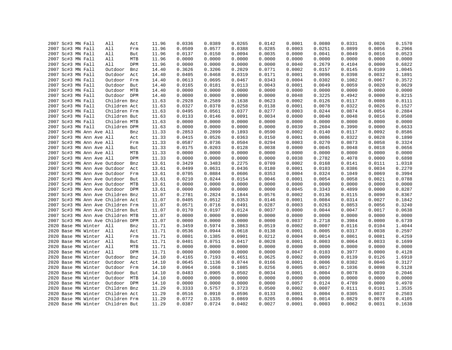|  | 2007 Sc#3 MN Fall                 | All          | Act | 11.96 | 0.0336 | 0.0389 | 0.0265 | 0.0142 | 0.0001 | 0.0080 | 0.0331 | 0.0026 | 0.1570 |
|--|-----------------------------------|--------------|-----|-------|--------|--------|--------|--------|--------|--------|--------|--------|--------|
|  | 2007 Sc#3 MN Fall                 | All          | Frm | 11.96 | 0.0509 | 0.0577 | 0.0388 | 0.0285 | 0.0003 | 0.0251 | 0.0899 | 0.0056 | 0.2966 |
|  | 2007 Sc#3 MN Fall                 | All          | But | 11.96 | 0.0137 | 0.0150 | 0.0094 | 0.0035 | 0.0000 | 0.0041 | 0.0049 | 0.0016 | 0.0523 |
|  | 2007 Sc#3 MN Fall                 | All          | MTB | 11.96 | 0.0000 | 0.0000 | 0.0000 | 0.0000 | 0.0000 | 0.0000 | 0.0000 | 0.0000 | 0.0000 |
|  | 2007 Sc#3 MN Fall                 | All          | DPM | 11.96 | 0.0000 | 0.0000 | 0.0000 | 0.0000 | 0.0040 | 0.2679 | 0.4104 | 0.0000 | 0.6822 |
|  | 2007 Sc#3 MN Fall                 | Outdoor      | Bnz | 14.40 | 0.3626 | 0.3206 | 0.2029 | 0.0771 | 0.0002 | 0.0157 | 0.0145 | 0.0109 | 1.0045 |
|  | 2007 Sc#3 MN Fall                 | Outdoor      | Act | 14.40 | 0.0405 | 0.0468 | 0.0319 | 0.0171 | 0.0001 | 0.0096 | 0.0398 | 0.0032 | 0.1891 |
|  | 2007 Sc#3 MN Fall                 | Outdoor      | Frm | 14.40 | 0.0613 | 0.0695 | 0.0467 | 0.0343 | 0.0004 | 0.0302 | 0.1082 | 0.0067 | 0.3572 |
|  | 2007 Sc#3 MN Fall                 | Outdoor But  |     | 14.40 | 0.0165 | 0.0181 | 0.0113 | 0.0043 | 0.0001 | 0.0049 | 0.0059 | 0.0020 | 0.0629 |
|  | 2007 Sc#3 MN Fall                 | Outdoor MTB  |     | 14.40 | 0.0000 | 0.0000 | 0.0000 | 0.0000 | 0.0000 | 0.0000 | 0.0000 | 0.0000 | 0.0000 |
|  | 2007 Sc#3 MN Fall                 | Outdoor DPM  |     | 14.40 | 0.0000 | 0.0000 | 0.0000 | 0.0000 | 0.0048 | 0.3225 | 0.4942 | 0.0000 | 0.8215 |
|  | 2007 Sc#3 MN Fall                 | Children Bnz |     | 11.63 | 0.2928 | 0.2589 | 0.1638 | 0.0623 | 0.0002 | 0.0126 | 0.0117 | 0.0088 | 0.8111 |
|  | 2007 Sc#3 MN Fall                 | Children Act |     | 11.63 | 0.0327 | 0.0378 | 0.0258 | 0.0138 | 0.0001 | 0.0078 | 0.0322 | 0.0026 | 0.1527 |
|  | 2007 Sc#3 MN Fall                 | Children Frm |     | 11.63 | 0.0495 | 0.0561 | 0.0377 | 0.0277 | 0.0003 | 0.0244 | 0.0874 | 0.0054 | 0.2884 |
|  | 2007 Sc#3 MN Fall                 | Children But |     | 11.63 | 0.0133 | 0.0146 | 0.0091 | 0.0034 | 0.0000 | 0.0040 | 0.0048 | 0.0016 | 0.0508 |
|  | 2007 Sc#3 MN Fall                 | Children MTB |     | 11.63 | 0.0000 | 0.0000 | 0.0000 | 0.0000 | 0.0000 | 0.0000 | 0.0000 | 0.0000 | 0.0000 |
|  | 2007 Sc#3 MN Fall                 | Children DPM |     | 11.63 | 0.0000 | 0.0000 | 0.0000 | 0.0000 | 0.0039 | 0.2604 | 0.3990 | 0.0000 | 0.6633 |
|  | 2007 Sc#3 MN Ann Ave All          |              | Bnz | 11.33 | 0.2853 | 0.2899 | 0.1893 | 0.0590 | 0.0002 | 0.0140 | 0.0117 | 0.0092 | 0.8586 |
|  | 2007 Sc#3 MN Ann Ave All          |              | Act | 11.33 | 0.0415 | 0.0526 | 0.0363 | 0.0150 | 0.0001 | 0.0086 | 0.0322 | 0.0028 | 0.1890 |
|  | 2007 Sc#3 MN Ann Ave All          |              | Frm | 11.33 | 0.0587 | 0.0736 | 0.0504 | 0.0294 | 0.0003 | 0.0270 | 0.0873 | 0.0058 | 0.3324 |
|  | 2007 Sc#3 MN Ann Ave All          |              | But | 11.33 | 0.0175 | 0.0203 | 0.0128 | 0.0038 | 0.0000 | 0.0045 | 0.0048 | 0.0018 | 0.0656 |
|  | 2007 Sc#3 MN Ann Ave All          |              | MTB | 11.33 | 0.0000 | 0.0000 | 0.0000 | 0.0000 | 0.0000 | 0.0000 | 0.0000 | 0.0000 | 0.0000 |
|  | 2007 Sc#3 MN Ann Ave All          |              | DPM | 11.33 | 0.0000 | 0.0000 | 0.0000 | 0.0000 | 0.0038 | 0.2782 | 0.4078 | 0.0000 | 0.6898 |
|  | 2007 Sc#3 MN Ann Ave Outdoor      |              | Bnz | 13.61 | 0.3429 | 0.3483 | 0.2275 | 0.0709 | 0.0002 | 0.0168 | 0.0141 | 0.0111 | 1.0318 |
|  | 2007 Sc#3 MN Ann Ave Outdoor      |              | Act | 13.61 | 0.0499 | 0.0631 | 0.0436 | 0.0180 | 0.0001 | 0.0103 | 0.0386 | 0.0034 | 0.2270 |
|  | 2007 Sc#3 MN Ann Ave Outdoor Frm  |              |     | 13.61 | 0.0705 | 0.0884 | 0.0606 | 0.0353 | 0.0004 | 0.0324 | 0.1049 | 0.0069 | 0.3994 |
|  | 2007 Sc#3 MN Ann Ave Outdoor      |              | But | 13.61 | 0.0210 | 0.0244 | 0.0154 | 0.0046 | 0.0001 | 0.0054 | 0.0058 | 0.0021 | 0.0788 |
|  | 2007 Sc#3 MN Ann Ave Outdoor MTB  |              |     | 13.61 | 0.0000 | 0.0000 | 0.0000 | 0.0000 | 0.0000 | 0.0000 | 0.0000 | 0.0000 | 0.0000 |
|  | 2007 Sc#3 MN Ann Ave Outdoor DPM  |              |     | 13.61 | 0.0000 | 0.0000 | 0.0000 | 0.0000 | 0.0045 | 0.3343 | 0.4899 | 0.0000 | 0.8287 |
|  | 2007 Sc#3 MN Ann Ave Children Bnz |              |     | 11.07 | 0.2781 | 0.2824 | 0.1844 | 0.0576 | 0.0002 | 0.0136 | 0.0115 | 0.0090 | 0.8367 |
|  | 2007 Sc#3 MN Ann Ave Children Act |              |     | 11.07 | 0.0405 | 0.0512 | 0.0353 | 0.0146 | 0.0001 | 0.0084 | 0.0314 | 0.0027 | 0.1842 |
|  | 2007 Sc#3 MN Ann Ave Children Frm |              |     | 11.07 | 0.0571 | 0.0716 | 0.0491 | 0.0287 | 0.0003 | 0.0263 | 0.0853 | 0.0056 | 0.3240 |
|  | 2007 Sc#3 MN Ann Ave Children But |              |     | 11.07 | 0.0170 | 0.0197 | 0.0124 | 0.0037 | 0.0000 | 0.0044 | 0.0047 | 0.0017 | 0.0638 |
|  | 2007 Sc#3 MN Ann Ave Children MTB |              |     | 11.07 | 0.0000 | 0.0000 | 0.0000 | 0.0000 | 0.0000 | 0.0000 | 0.0000 | 0.0000 | 0.0000 |
|  | 2007 Sc#3 MN Ann Ave Children DPM |              |     | 11.07 | 0.0000 | 0.0000 | 0.0000 | 0.0000 | 0.0037 | 0.2718 | 0.3984 | 0.0000 | 0.6739 |
|  | 2020 Base MN Winter All           |              | Bnz | 11.71 | 0.3459 | 0.5974 | 0.3863 | 0.0519 | 0.0002 | 0.0007 | 0.0116 | 0.0104 | 1.4044 |
|  | 2020 Base MN Winter All           |              | Act | 11.71 | 0.0536 | 0.0944 | 0.0618 | 0.0138 | 0.0001 | 0.0005 | 0.0317 | 0.0038 | 0.2597 |
|  | 2020 Base MN Winter All           |              | Frm | 11.71 | 0.0801 | 0.1385 | 0.0901 | 0.0212 | 0.0004 | 0.0014 | 0.0861 | 0.0081 | 0.4259 |
|  | 2020 Base MN Winter All           |              | But | 11.71 | 0.0401 | 0.0751 | 0.0417 | 0.0028 | 0.0001 | 0.0003 | 0.0064 | 0.0033 | 0.1699 |
|  | 2020 Base MN Winter               | All          | MTB | 11.71 | 0.0000 | 0.0000 | 0.0000 | 0.0000 | 0.0000 | 0.0000 | 0.0000 | 0.0000 | 0.0000 |
|  | 2020 Base MN Winter All           |              | DPM | 11.71 | 0.0000 | 0.0000 | 0.0000 | 0.0000 | 0.0047 | 0.0103 | 0.3977 | 0.0000 | 0.4128 |
|  | 2020 Base MN Winter               | Outdoor      | Bnz | 14.10 | 0.4165 | 0.7193 | 0.4651 | 0.0625 | 0.0002 | 0.0009 | 0.0139 | 0.0126 | 1.6910 |
|  | 2020 Base MN Winter               | Outdoor      | Act | 14.10 | 0.0645 | 0.1136 | 0.0744 | 0.0166 | 0.0001 | 0.0006 | 0.0382 | 0.0046 | 0.3127 |
|  | 2020 Base MN Winter               | Outdoor Frm  |     | 14.10 | 0.0964 | 0.1668 | 0.1085 | 0.0256 | 0.0005 | 0.0017 | 0.1036 | 0.0098 | 0.5128 |
|  | 2020 Base MN Winter               | Outdoor But  |     | 14.10 | 0.0483 | 0.0905 | 0.0502 | 0.0034 | 0.0001 | 0.0004 | 0.0078 | 0.0039 | 0.2046 |
|  | 2020 Base MN Winter               | Outdoor MTB  |     | 14.10 | 0.0000 | 0.0000 | 0.0000 | 0.0000 | 0.0000 | 0.0000 | 0.0000 | 0.0000 | 0.0000 |
|  | 2020 Base MN Winter               | Outdoor DPM  |     | 14.10 | 0.0000 | 0.0000 | 0.0000 | 0.0000 | 0.0057 | 0.0124 | 0.4789 | 0.0000 | 0.4970 |
|  | 2020 Base MN Winter               | Children Bnz |     | 11.29 | 0.3333 | 0.5757 | 0.3723 | 0.0500 | 0.0002 | 0.0007 | 0.0111 | 0.0101 | 1.3535 |
|  | 2020 Base MN Winter               | Children Act |     | 11.29 | 0.0516 | 0.0910 | 0.0596 | 0.0133 | 0.0001 | 0.0004 | 0.0305 | 0.0037 | 0.2503 |
|  | 2020 Base MN Winter               | Children Frm |     | 11.29 | 0.0772 | 0.1335 | 0.0869 | 0.0205 | 0.0004 | 0.0014 | 0.0829 | 0.0078 | 0.4105 |
|  | 2020 Base MN Winter               | Children But |     | 11.29 | 0.0387 | 0.0724 | 0.0402 | 0.0027 | 0.0001 | 0.0003 | 0.0062 | 0.0031 | 0.1638 |
|  |                                   |              |     |       |        |        |        |        |        |        |        |        |        |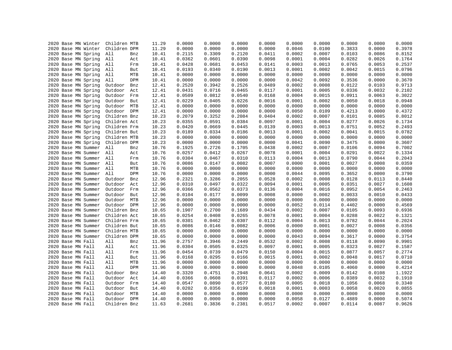|                   | 2020 Base MN Winter | Children MTB |            | 11.29 | 0.0000 | 0.0000 | 0.0000 | 0.0000 | 0.0000 | 0.0000 | 0.0000 | 0.0000 | 0.0000 |
|-------------------|---------------------|--------------|------------|-------|--------|--------|--------|--------|--------|--------|--------|--------|--------|
|                   | 2020 Base MN Winter | Children DPM |            | 11.29 | 0.0000 | 0.0000 | 0.0000 | 0.0000 | 0.0046 | 0.0100 | 0.3833 | 0.0000 | 0.3978 |
|                   | 2020 Base MN Spring | All          | Bnz        | 10.41 | 0.2115 | 0.3309 | 0.2120 | 0.0411 | 0.0002 | 0.0007 | 0.0103 | 0.0086 | 0.8152 |
|                   | 2020 Base MN Spring | All          | Act        | 10.41 | 0.0362 | 0.0601 | 0.0390 | 0.0098 | 0.0001 | 0.0004 | 0.0282 | 0.0026 | 0.1764 |
|                   | 2020 Base MN Spring | All          | Frm        | 10.41 | 0.0428 | 0.0681 | 0.0453 | 0.0141 | 0.0003 | 0.0013 | 0.0765 | 0.0053 | 0.2537 |
|                   | 2020 Base MN Spring | All          | But        | 10.41 | 0.0193 | 0.0340 | 0.0190 | 0.0013 | 0.0001 | 0.0002 | 0.0042 | 0.0015 | 0.0796 |
|                   | 2020 Base MN Spring | All          | MTB        | 10.41 | 0.0000 | 0.0000 | 0.0000 | 0.0000 | 0.0000 | 0.0000 | 0.0000 | 0.0000 | 0.0000 |
|                   | 2020 Base MN Spring | All          | DPM        | 10.41 | 0.0000 | 0.0000 | 0.0000 | 0.0000 | 0.0042 | 0.0092 | 0.3536 | 0.0000 | 0.3670 |
|                   | 2020 Base MN Spring | Outdoor      | Bnz        | 12.41 | 0.2520 | 0.3942 | 0.2526 | 0.0489 | 0.0002 | 0.0008 | 0.0122 | 0.0103 | 0.9713 |
|                   | 2020 Base MN Spring | Outdoor      | Act        | 12.41 | 0.0431 | 0.0716 | 0.0465 | 0.0117 | 0.0001 | 0.0005 | 0.0336 | 0.0032 | 0.2102 |
|                   | 2020 Base MN Spring | Outdoor      | Frm        | 12.41 | 0.0509 | 0.0812 | 0.0540 | 0.0168 | 0.0004 | 0.0015 | 0.0911 | 0.0063 | 0.3022 |
|                   | 2020 Base MN Spring | Outdoor      | But        | 12.41 | 0.0229 | 0.0405 | 0.0226 | 0.0016 | 0.0001 | 0.0002 | 0.0050 | 0.0018 | 0.0948 |
|                   | 2020 Base MN Spring | Outdoor      | MTB        | 12.41 | 0.0000 | 0.0000 | 0.0000 | 0.0000 | 0.0000 | 0.0000 | 0.0000 | 0.0000 | 0.0000 |
|                   | 2020 Base MN Spring | Outdoor      | DPM        | 12.41 | 0.0000 | 0.0000 | 0.0000 | 0.0000 | 0.0050 | 0.0109 | 0.4213 | 0.0000 | 0.4372 |
|                   | 2020 Base MN Spring | Children Bnz |            | 10.23 | 0.2079 | 0.3252 | 0.2084 | 0.0404 | 0.0002 | 0.0007 | 0.0101 | 0.0085 | 0.8012 |
|                   | 2020 Base MN Spring | Children Act |            | 10.23 | 0.0355 | 0.0591 | 0.0384 | 0.0097 | 0.0001 | 0.0004 | 0.0277 | 0.0026 | 0.1734 |
|                   | 2020 Base MN Spring | Children Frm |            | 10.23 | 0.0420 | 0.0669 | 0.0445 | 0.0139 | 0.0003 | 0.0013 | 0.0751 | 0.0052 | 0.2493 |
|                   | 2020 Base MN Spring | Children But |            | 10.23 | 0.0189 | 0.0334 | 0.0186 | 0.0013 | 0.0001 | 0.0002 | 0.0041 | 0.0015 | 0.0782 |
|                   | 2020 Base MN Spring | Children MTB |            | 10.23 | 0.0000 | 0.0000 | 0.0000 | 0.0000 | 0.0000 | 0.0000 | 0.0000 | 0.0000 | 0.0000 |
|                   | 2020 Base MN Spring | Children DPM |            | 10.23 | 0.0000 | 0.0000 | 0.0000 | 0.0000 | 0.0041 | 0.0090 | 0.3475 | 0.0000 | 0.3607 |
|                   | 2020 Base MN Summer | All          | Bnz        | 10.76 | 0.1925 | 0.2726 | 0.1705 | 0.0438 | 0.0002 | 0.0007 | 0.0106 | 0.0094 | 0.7002 |
|                   | 2020 Base MN Summer | All          | Act        | 10.76 | 0.0257 | 0.0412 | 0.0267 | 0.0078 | 0.0001 | 0.0004 | 0.0291 | 0.0022 | 0.1334 |
|                   | 2020 Base MN Summer | All          |            | 10.76 | 0.0304 | 0.0467 | 0.0310 | 0.0113 | 0.0004 | 0.0013 | 0.0790 | 0.0044 | 0.2043 |
|                   |                     | All          | Frm        |       | 0.0086 | 0.0147 | 0.0082 |        | 0.0000 | 0.0001 | 0.0027 |        | 0.0359 |
|                   | 2020 Base MN Summer |              | But        | 10.76 |        |        |        | 0.0007 |        |        |        | 0.0008 |        |
|                   | 2020 Base MN Summer | All          | MTB        | 10.76 | 0.0000 | 0.0000 | 0.0000 | 0.0000 | 0.0000 | 0.0000 | 0.0000 | 0.0000 | 0.0000 |
|                   | 2020 Base MN Summer | All          | <b>DPM</b> | 10.76 | 0.0000 | 0.0000 | 0.0000 | 0.0000 | 0.0044 | 0.0095 | 0.3652 | 0.0000 | 0.3790 |
|                   | 2020 Base MN Summer | Outdoor      | Bnz        | 12.96 | 0.2321 | 0.3286 | 0.2055 | 0.0528 | 0.0002 | 0.0008 | 0.0128 | 0.0113 | 0.8440 |
|                   | 2020 Base MN Summer | Outdoor      | Act        | 12.96 | 0.0310 | 0.0497 | 0.0322 | 0.0094 | 0.0001 | 0.0005 | 0.0351 | 0.0027 | 0.1608 |
|                   | 2020 Base MN Summer | Outdoor      | Frm        | 12.96 | 0.0366 | 0.0562 | 0.0373 | 0.0136 | 0.0004 | 0.0016 | 0.0952 | 0.0054 | 0.2463 |
|                   | 2020 Base MN Summer | Outdoor      | But        | 12.96 | 0.0104 | 0.0177 | 0.0099 | 0.0008 | 0.0000 | 0.0002 | 0.0033 | 0.0010 | 0.0433 |
|                   | 2020 Base MN Summer | Outdoor      | MTB        | 12.96 | 0.0000 | 0.0000 | 0.0000 | 0.0000 | 0.0000 | 0.0000 | 0.0000 | 0.0000 | 0.0000 |
|                   | 2020 Base MN Summer | Outdoor      | DPM        | 12.96 | 0.0000 | 0.0000 | 0.0000 | 0.0000 | 0.0052 | 0.0114 | 0.4402 | 0.0000 | 0.4569 |
|                   | 2020 Base MN Summer | Children Bnz |            | 10.65 | 0.1907 | 0.2700 | 0.1689 | 0.0434 | 0.0002 | 0.0007 | 0.0105 | 0.0093 | 0.6936 |
|                   | 2020 Base MN Summer | Children Act |            | 10.65 | 0.0254 | 0.0408 | 0.0265 | 0.0078 | 0.0001 | 0.0004 | 0.0288 | 0.0022 | 0.1321 |
|                   | 2020 Base MN Summer | Children Frm |            | 10.65 | 0.0301 | 0.0462 | 0.0307 | 0.0112 | 0.0004 | 0.0013 | 0.0782 | 0.0044 | 0.2024 |
|                   | 2020 Base MN Summer | Children But |            | 10.65 | 0.0086 | 0.0146 | 0.0082 | 0.0006 | 0.0000 | 0.0001 | 0.0027 | 0.0008 | 0.0356 |
|                   | 2020 Base MN Summer | Children MTB |            | 10.65 | 0.0000 | 0.0000 | 0.0000 | 0.0000 | 0.0000 | 0.0000 | 0.0000 | 0.0000 | 0.0000 |
|                   | 2020 Base MN Summer | Children DPM |            | 10.65 | 0.0000 | 0.0000 | 0.0000 | 0.0000 | 0.0043 | 0.0094 | 0.3617 | 0.0000 | 0.3754 |
|                   | 2020 Base MN Fall   | All          | Bnz        | 11.96 | 0.2757 | 0.3946 | 0.2449 | 0.0532 | 0.0002 | 0.0008 | 0.0118 | 0.0090 | 0.9901 |
|                   | 2020 Base MN Fall   | All          | Act        | 11.96 | 0.0304 | 0.0505 | 0.0325 | 0.0097 | 0.0001 | 0.0005 | 0.0323 | 0.0027 | 0.1587 |
| 2020 Base MN Fall |                     | All          | Frm        | 11.96 | 0.0454 | 0.0739 | 0.0479 | 0.0150 | 0.0004 | 0.0015 | 0.0877 | 0.0057 | 0.2774 |
|                   | 2020 Base MN Fall   | All          | But        | 11.96 | 0.0168 | 0.0295 | 0.0166 | 0.0015 | 0.0001 | 0.0002 | 0.0048 | 0.0017 | 0.0710 |
|                   | 2020 Base MN Fall   | All          | MTB        | 11.96 | 0.0000 | 0.0000 | 0.0000 | 0.0000 | 0.0000 | 0.0000 | 0.0000 | 0.0000 | 0.0000 |
|                   | 2020 Base MN Fall   | All          | <b>DPM</b> | 11.96 | 0.0000 | 0.0000 | 0.0000 | 0.0000 | 0.0048 | 0.0105 | 0.4060 | 0.0000 | 0.4214 |
| 2020 Base MN Fall |                     | Outdoor      | Bnz        | 14.40 | 0.3320 | 0.4751 | 0.2948 | 0.0641 | 0.0002 | 0.0009 | 0.0142 | 0.0108 | 1.1922 |
|                   | 2020 Base MN Fall   | Outdoor      | Act        | 14.40 | 0.0366 | 0.0608 | 0.0391 | 0.0117 | 0.0002 | 0.0006 | 0.0389 | 0.0032 | 0.1910 |
|                   | 2020 Base MN Fall   | Outdoor      | Frm        | 14.40 | 0.0547 | 0.0890 | 0.0577 | 0.0180 | 0.0005 | 0.0018 | 0.1056 | 0.0068 | 0.3340 |
|                   | 2020 Base MN Fall   | Outdoor      | But        | 14.40 | 0.0202 | 0.0356 | 0.0199 | 0.0018 | 0.0001 | 0.0003 | 0.0058 | 0.0020 | 0.0855 |
|                   | 2020 Base MN Fall   | Outdoor      | MTB        | 14.40 | 0.0000 | 0.0000 | 0.0000 | 0.0000 | 0.0000 | 0.0000 | 0.0000 | 0.0000 | 0.0000 |
|                   | 2020 Base MN Fall   | Outdoor      | <b>DPM</b> | 14.40 | 0.0000 | 0.0000 | 0.0000 | 0.0000 | 0.0058 | 0.0127 | 0.4889 | 0.0000 | 0.5074 |
| 2020 Base MN Fall |                     | Children Bnz |            | 11.63 | 0.2681 | 0.3836 | 0.2381 | 0.0517 | 0.0002 | 0.0007 | 0.0114 | 0.0087 | 0.9626 |
|                   |                     |              |            |       |        |        |        |        |        |        |        |        |        |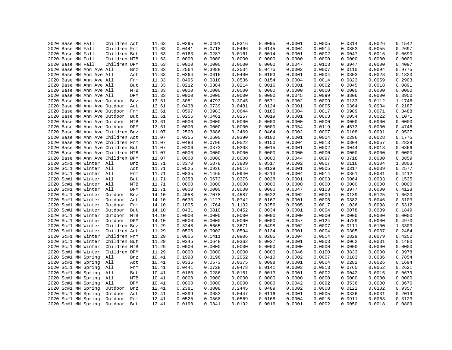|  |                                        |                          | Children Act                      |     | 11.63 | 0.0295 | 0.0491 | 0.0316 | 0.0095 | 0.0001 | 0.0005 | 0.0314 | 0.0026 | 0.1542 |
|--|----------------------------------------|--------------------------|-----------------------------------|-----|-------|--------|--------|--------|--------|--------|--------|--------|--------|--------|
|  | 2020 Base MN Fall<br>2020 Base MN Fall |                          | Children Frm                      |     | 11.63 | 0.0441 | 0.0718 | 0.0466 | 0.0145 | 0.0004 | 0.0014 | 0.0853 | 0.0055 | 0.2697 |
|  |                                        |                          |                                   |     |       |        |        |        |        |        |        |        |        |        |
|  | 2020 Base MN Fall                      |                          | Children But                      |     | 11.63 | 0.0163 | 0.0287 | 0.0161 | 0.0014 | 0.0001 | 0.0002 | 0.0047 | 0.0016 | 0.0690 |
|  | 2020 Base MN Fall                      |                          | Children MTB                      |     | 11.63 | 0.0000 | 0.0000 | 0.0000 | 0.0000 | 0.0000 | 0.0000 | 0.0000 | 0.0000 | 0.0000 |
|  | 2020 Base MN Fall                      |                          | Children DPM                      |     | 11.63 | 0.0000 | 0.0000 | 0.0000 | 0.0000 | 0.0047 | 0.0103 | 0.3947 | 0.0000 | 0.4097 |
|  |                                        | 2020 Base MN Ann Ave All |                                   | Bnz | 11.33 | 0.2564 | 0.3988 | 0.2534 | 0.0475 | 0.0002 | 0.0007 | 0.0110 | 0.0094 | 0.9775 |
|  |                                        | 2020 Base MN Ann Ave All |                                   | Act | 11.33 | 0.0364 | 0.0616 | 0.0400 | 0.0103 | 0.0001 | 0.0004 | 0.0303 | 0.0028 | 0.1820 |
|  |                                        | 2020 Base MN Ann Ave All |                                   | Frm | 11.33 | 0.0496 | 0.0818 | 0.0536 | 0.0154 | 0.0004 | 0.0014 | 0.0823 | 0.0059 | 0.2903 |
|  |                                        | 2020 Base MN Ann Ave All |                                   | But | 11.33 | 0.0212 | 0.0384 | 0.0214 | 0.0016 | 0.0001 | 0.0002 | 0.0045 | 0.0018 | 0.0891 |
|  |                                        | 2020 Base MN Ann Ave All |                                   | MTB | 11.33 | 0.0000 | 0.0000 | 0.0000 | 0.0000 | 0.0000 | 0.0000 | 0.0000 | 0.0000 | 0.0000 |
|  |                                        | 2020 Base MN Ann Ave All |                                   | DPM | 11.33 | 0.0000 | 0.0000 | 0.0000 | 0.0000 | 0.0045 | 0.0099 | 0.3806 | 0.0000 | 0.3950 |
|  |                                        |                          | 2020 Base MN Ann Ave Outdoor      | Bnz | 13.61 | 0.3081 | 0.4793 | 0.3045 | 0.0571 | 0.0002 | 0.0009 | 0.0133 | 0.0112 | 1.1746 |
|  |                                        |                          | 2020 Base MN Ann Ave Outdoor      | Act | 13.61 | 0.0438 | 0.0739 | 0.0481 | 0.0124 | 0.0001 | 0.0005 | 0.0364 | 0.0034 | 0.2187 |
|  |                                        |                          | 2020 Base MN Ann Ave Outdoor      | Frm | 13.61 | 0.0597 | 0.0983 | 0.0644 | 0.0185 | 0.0004 | 0.0017 | 0.0989 | 0.0071 | 0.3488 |
|  |                                        |                          | 2020 Base MN Ann Ave Outdoor      | But | 13.61 | 0.0255 | 0.0461 | 0.0257 | 0.0019 | 0.0001 | 0.0003 | 0.0054 | 0.0022 | 0.1071 |
|  |                                        |                          | 2020 Base MN Ann Ave Outdoor MTB  |     | 13.61 | 0.0000 | 0.0000 | 0.0000 | 0.0000 | 0.0000 | 0.0000 | 0.0000 | 0.0000 | 0.0000 |
|  |                                        |                          | 2020 Base MN Ann Ave Outdoor DPM  |     | 13.61 | 0.0000 | 0.0000 | 0.0000 | 0.0000 | 0.0054 | 0.0119 | 0.4573 | 0.0000 | 0.4746 |
|  |                                        |                          | 2020 Base MN Ann Ave Children Bnz |     | 11.07 | 0.2500 | 0.3886 | 0.2469 | 0.0464 | 0.0002 | 0.0007 | 0.0108 | 0.0091 | 0.9527 |
|  |                                        |                          | 2020 Base MN Ann Ave Children Act |     | 11.07 | 0.0355 | 0.0600 | 0.0390 | 0.0100 | 0.0001 | 0.0004 | 0.0296 | 0.0028 | 0.1775 |
|  |                                        |                          | 2020 Base MN Ann Ave Children Frm |     | 11.07 | 0.0483 | 0.0796 | 0.0522 | 0.0150 | 0.0004 | 0.0013 | 0.0804 | 0.0057 | 0.2829 |
|  |                                        |                          | 2020 Base MN Ann Ave Children But |     | 11.07 | 0.0206 | 0.0373 | 0.0208 | 0.0015 | 0.0001 | 0.0002 | 0.0044 | 0.0018 | 0.0866 |
|  |                                        |                          | 2020 Base MN Ann Ave Children MTB |     | 11.07 | 0.0000 | 0.0000 | 0.0000 | 0.0000 | 0.0000 | 0.0000 | 0.0000 | 0.0000 | 0.0000 |
|  |                                        |                          | 2020 Base MN Ann Ave Children DPM |     | 11.07 | 0.0000 | 0.0000 | 0.0000 | 0.0000 | 0.0044 | 0.0097 | 0.3718 | 0.0000 | 0.3859 |
|  |                                        | 2020 Sc#1 MN Winter All  |                                   | Bnz | 11.71 | 0.3370 | 0.5878 | 0.3809 | 0.0517 | 0.0002 | 0.0007 | 0.0116 | 0.0104 | 1.3803 |
|  |                                        | 2020 Sc#1 MN Winter All  |                                   | Act | 11.71 | 0.0525 | 0.0936 | 0.0616 | 0.0139 | 0.0001 | 0.0005 | 0.0317 | 0.0039 | 0.2577 |
|  |                                        | 2020 Sc#1 MN Winter All  |                                   | Frm | 11.71 | 0.0835 | 0.1465 | 0.0940 | 0.0213 | 0.0004 | 0.0014 | 0.0861 | 0.0081 | 0.4412 |
|  |                                        | 2020 Sc#1 MN Winter All  |                                   | But | 11.71 | 0.0358 | 0.0673 | 0.0375 | 0.0028 | 0.0001 | 0.0003 | 0.0064 | 0.0033 | 0.1535 |
|  |                                        | 2020 Sc#1 MN Winter All  |                                   | MTB | 11.71 | 0.0000 | 0.0000 | 0.0000 | 0.0000 | 0.0000 | 0.0000 | 0.0000 | 0.0000 | 0.0000 |
|  |                                        | 2020 Sc#1 MN Winter      | All                               | DPM | 11.71 | 0.0000 | 0.0000 | 0.0000 | 0.0000 | 0.0047 | 0.0103 | 0.3977 | 0.0000 | 0.4128 |
|  |                                        | 2020 Sc#1 MN Winter      | Outdoor                           | Bnz | 14.10 | 0.4058 | 0.7078 | 0.4587 | 0.0622 | 0.0002 | 0.0009 | 0.0139 | 0.0125 | 1.6620 |
|  |                                        | 2020 Sc#1 MN Winter      | Outdoor                           | Act | 14.10 | 0.0633 | 0.1127 | 0.0742 | 0.0167 | 0.0001 | 0.0006 | 0.0382 | 0.0046 | 0.3103 |
|  |                                        | 2020 Sc#1 MN Winter      | Outdoor                           | Frm | 14.10 | 0.1005 | 0.1764 | 0.1132 | 0.0256 | 0.0005 | 0.0017 | 0.1036 | 0.0098 | 0.5312 |
|  |                                        | 2020 Sc#1 MN Winter      | Outdoor                           | But | 14.10 | 0.0431 | 0.0810 | 0.0452 | 0.0034 | 0.0001 | 0.0004 | 0.0078 | 0.0039 | 0.1849 |
|  |                                        | 2020 Sc#1 MN Winter      | Outdoor                           | MTB | 14.10 | 0.0000 | 0.0000 | 0.0000 | 0.0000 | 0.0000 | 0.0000 | 0.0000 | 0.0000 | 0.0000 |
|  |                                        | 2020 Sc#1 MN Winter      | Outdoor DPM                       |     | 14.10 | 0.0000 | 0.0000 | 0.0000 | 0.0000 | 0.0057 | 0.0124 | 0.4789 | 0.0000 | 0.4970 |
|  |                                        | 2020 Sc#1 MN Winter      | Children Bnz                      |     | 11.29 | 0.3248 | 0.5665 | 0.3671 | 0.0498 | 0.0002 | 0.0007 | 0.0111 | 0.0100 | 1.3303 |
|  |                                        | 2020 Sc#1 MN Winter      | Children Act                      |     | 11.29 | 0.0506 | 0.0902 | 0.0594 | 0.0134 | 0.0001 | 0.0004 | 0.0305 | 0.0037 | 0.2484 |
|  |                                        | 2020 Sc#1 MN Winter      | Children Frm                      |     | 11.29 | 0.0805 | 0.1411 | 0.0906 | 0.0205 | 0.0004 | 0.0014 | 0.0829 | 0.0079 | 0.4252 |
|  |                                        | 2020 Sc#1 MN Winter      | Children But                      |     | 11.29 | 0.0345 | 0.0648 | 0.0362 | 0.0027 | 0.0001 | 0.0003 | 0.0062 | 0.0031 | 0.1480 |
|  |                                        | 2020 Sc#1 MN Winter      | Children MTB                      |     | 11.29 | 0.0000 | 0.0000 | 0.0000 | 0.0000 | 0.0000 | 0.0000 | 0.0000 | 0.0000 | 0.0000 |
|  |                                        | 2020 Sc#1 MN Winter      | Children DPM                      |     | 11.29 | 0.0000 | 0.0000 | 0.0000 | 0.0000 | 0.0046 | 0.0100 | 0.3833 | 0.0000 | 0.3978 |
|  |                                        | 2020 Sc#1 MN Spring      | All                               | Bnz | 10.41 | 0.1998 | 0.3196 | 0.2052 | 0.0410 | 0.0002 | 0.0007 | 0.0103 | 0.0086 | 0.7854 |
|  |                                        | 2020 Sc#1 MN Spring      | All                               | Act | 10.41 | 0.0335 | 0.0573 | 0.0375 | 0.0098 | 0.0001 | 0.0004 | 0.0282 | 0.0026 | 0.1694 |
|  |                                        | 2020 Sc#1 MN Spring      | All                               | Frm | 10.41 | 0.0441 | 0.0728 | 0.0478 | 0.0141 | 0.0003 | 0.0013 | 0.0765 | 0.0052 | 0.2621 |
|  |                                        | 2020 Sc#1 MN Spring      | All                               | But | 10.41 | 0.0160 | 0.0286 | 0.0161 | 0.0013 | 0.0001 | 0.0002 | 0.0042 | 0.0015 | 0.0679 |
|  |                                        | 2020 Sc#1 MN Spring      | All                               | MTB | 10.41 | 0.0000 | 0.0000 | 0.0000 | 0.0000 | 0.0000 | 0.0000 | 0.0000 | 0.0000 | 0.0000 |
|  |                                        | 2020 Sc#1 MN Spring      | All                               | DPM | 10.41 | 0.0000 | 0.0000 | 0.0000 | 0.0000 | 0.0042 | 0.0092 | 0.3536 | 0.0000 | 0.3670 |
|  |                                        | 2020 Sc#1 MN Spring      | Outdoor                           | Bnz | 12.41 | 0.2381 | 0.3808 | 0.2445 | 0.0489 | 0.0002 | 0.0008 | 0.0122 | 0.0102 | 0.9357 |
|  |                                        | 2020 Sc#1 MN Spring      | Outdoor                           | Act | 12.41 | 0.0399 | 0.0683 | 0.0447 | 0.0116 | 0.0001 | 0.0005 | 0.0336 | 0.0031 | 0.2019 |
|  |                                        | 2020 Sc#1 MN Spring      | Outdoor                           | Frm | 12.41 | 0.0525 | 0.0868 | 0.0569 | 0.0168 | 0.0004 | 0.0015 | 0.0911 | 0.0063 | 0.3123 |
|  |                                        | 2020 Sc#1 MN Spring      | Outdoor                           | But | 12.41 | 0.0190 | 0.0341 | 0.0192 | 0.0016 | 0.0001 | 0.0002 | 0.0050 | 0.0018 | 0.0809 |
|  |                                        |                          |                                   |     |       |        |        |        |        |        |        |        |        |        |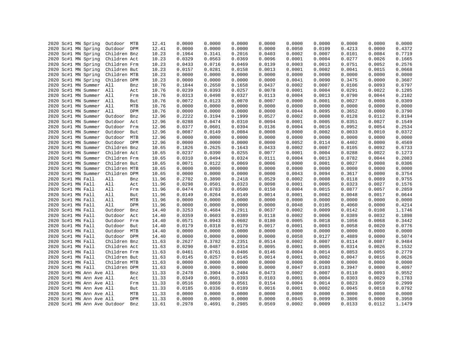|      |                                            |                              |     | 12.41 | 0.0000 | 0.0000 | 0.0000 | 0.0000 | 0.0000 | 0.0000 | 0.0000 | 0.0000 | 0.0000           |
|------|--------------------------------------------|------------------------------|-----|-------|--------|--------|--------|--------|--------|--------|--------|--------|------------------|
|      | 2020 Sc#1 MN Spring<br>2020 Sc#1 MN Spring | Outdoor MTB<br>Outdoor DPM   |     | 12.41 | 0.0000 | 0.0000 | 0.0000 | 0.0000 | 0.0050 | 0.0109 | 0.4213 | 0.0000 | 0.4372           |
|      |                                            |                              |     |       |        |        |        |        |        |        |        |        |                  |
|      | 2020 Sc#1 MN Spring                        | Children Bnz                 |     | 10.23 | 0.1964 | 0.3141 | 0.2016 | 0.0403 | 0.0002 | 0.0007 | 0.0101 | 0.0084 | 0.7719<br>0.1665 |
|      | 2020 Sc#1 MN Spring                        | Children Act                 |     | 10.23 | 0.0329 | 0.0563 | 0.0369 | 0.0096 | 0.0001 | 0.0004 | 0.0277 | 0.0026 |                  |
|      | 2020 Sc#1 MN Spring                        | Children Frm                 |     | 10.23 | 0.0433 | 0.0716 | 0.0469 | 0.0139 | 0.0003 | 0.0013 | 0.0751 | 0.0052 | 0.2576           |
|      | 2020 Sc#1 MN Spring                        | Children But                 |     | 10.23 | 0.0157 | 0.0281 | 0.0158 | 0.0013 | 0.0001 | 0.0002 | 0.0041 | 0.0015 | 0.0668           |
|      | 2020 Sc#1 MN Spring                        | Children MTB                 |     | 10.23 | 0.0000 | 0.0000 | 0.0000 | 0.0000 | 0.0000 | 0.0000 | 0.0000 | 0.0000 | 0.0000           |
|      | 2020 Sc#1 MN Spring                        | Children DPM                 |     | 10.23 | 0.0000 | 0.0000 | 0.0000 | 0.0000 | 0.0041 | 0.0090 | 0.3475 | 0.0000 | 0.3607           |
|      | 2020 Sc#1 MN Summer All                    |                              | Bnz | 10.76 | 0.1844 | 0.2650 | 0.1658 | 0.0437 | 0.0002 | 0.0007 | 0.0106 | 0.0093 | 0.6797           |
|      | 2020 Sc#1 MN Summer All                    |                              | Act | 10.76 | 0.0239 | 0.0393 | 0.0257 | 0.0078 | 0.0001 | 0.0004 | 0.0291 | 0.0022 | 0.1285           |
|      | 2020 Sc#1 MN Summer All                    |                              | Frm | 10.76 | 0.0313 | 0.0498 | 0.0327 | 0.0113 | 0.0004 | 0.0013 | 0.0790 | 0.0044 | 0.2102           |
|      | 2020 Sc#1 MN Summer All                    |                              | But | 10.76 | 0.0072 | 0.0123 | 0.0070 | 0.0007 | 0.0000 | 0.0001 | 0.0027 | 0.0008 | 0.0309           |
|      | 2020 Sc#1 MN Summer                        | All                          | MTB | 10.76 | 0.0000 | 0.0000 | 0.0000 | 0.0000 | 0.0000 | 0.0000 | 0.0000 | 0.0000 | 0.0000           |
|      | 2020 Sc#1 MN Summer                        | All                          | DPM | 10.76 | 0.0000 | 0.0000 | 0.0000 | 0.0000 | 0.0044 | 0.0095 | 0.3652 | 0.0000 | 0.3790           |
|      | 2020 Sc#1 MN Summer                        | Outdoor                      | Bnz | 12.96 | 0.2222 | 0.3194 | 0.1999 | 0.0527 | 0.0002 | 0.0008 | 0.0128 | 0.0112 | 0.8194           |
|      | 2020 Sc#1 MN Summer                        | Outdoor                      | Act | 12.96 | 0.0288 | 0.0474 | 0.0310 | 0.0094 | 0.0001 | 0.0005 | 0.0351 | 0.0027 | 0.1549           |
|      | 2020 Sc#1 MN Summer                        | Outdoor Frm                  |     | 12.96 | 0.0377 | 0.0601 | 0.0394 | 0.0136 | 0.0004 | 0.0016 | 0.0952 | 0.0054 | 0.2534           |
|      | 2020 Sc#1 MN Summer                        | Outdoor But                  |     | 12.96 | 0.0087 | 0.0149 | 0.0084 | 0.0008 | 0.0000 | 0.0002 | 0.0033 | 0.0010 | 0.0372           |
|      | 2020 Sc#1 MN Summer                        | Outdoor MTB                  |     | 12.96 | 0.0000 | 0.0000 | 0.0000 | 0.0000 | 0.0000 | 0.0000 | 0.0000 | 0.0000 | 0.0000           |
|      | 2020 Sc#1 MN Summer                        | Outdoor DPM                  |     | 12.96 | 0.0000 | 0.0000 | 0.0000 | 0.0000 | 0.0052 | 0.0114 | 0.4402 | 0.0000 | 0.4569           |
|      | 2020 Sc#1 MN Summer                        | Children Bnz                 |     | 10.65 | 0.1826 | 0.2625 | 0.1643 | 0.0433 | 0.0002 | 0.0007 | 0.0105 | 0.0092 | 0.6733           |
|      | 2020 Sc#1 MN Summer                        | Children Act                 |     | 10.65 | 0.0237 | 0.0390 | 0.0255 | 0.0077 | 0.0001 | 0.0004 | 0.0288 | 0.0022 | 0.1273           |
|      | 2020 Sc#1 MN Summer                        | Children Frm                 |     | 10.65 | 0.0310 | 0.0494 | 0.0324 | 0.0111 | 0.0004 | 0.0013 | 0.0782 | 0.0044 | 0.2083           |
|      | 2020 Sc#1 MN Summer                        | Children But                 |     | 10.65 | 0.0071 | 0.0122 | 0.0069 | 0.0006 | 0.0000 | 0.0001 | 0.0027 | 0.0008 | 0.0306           |
|      | 2020 Sc#1 MN Summer                        | Children MTB                 |     | 10.65 | 0.0000 | 0.0000 | 0.0000 | 0.0000 | 0.0000 | 0.0000 | 0.0000 | 0.0000 | 0.0000           |
|      | 2020 Sc#1 MN Summer                        | Children DPM                 |     | 10.65 | 0.0000 | 0.0000 | 0.0000 | 0.0000 | 0.0043 | 0.0094 | 0.3617 | 0.0000 | 0.3754           |
|      | 2020 Sc#1 MN Fall                          | All                          | Bnz | 11.96 | 0.2702 | 0.3890 | 0.2418 | 0.0529 | 0.0002 | 0.0008 | 0.0118 | 0.0089 | 0.9755           |
|      | 2020 Sc#1 MN Fall                          | All                          | Act | 11.96 | 0.0298 | 0.0501 | 0.0323 | 0.0098 | 0.0001 | 0.0005 | 0.0323 | 0.0027 | 0.1576           |
|      | 2020 Sc#1 MN Fall                          | All                          | Frm | 11.96 | 0.0474 | 0.0783 | 0.0500 | 0.0150 | 0.0004 | 0.0015 | 0.0877 | 0.0057 | 0.2859           |
|      | 2020 Sc#1 MN Fall                          | All                          | But | 11.96 | 0.0149 | 0.0264 | 0.0149 | 0.0014 | 0.0001 | 0.0002 | 0.0048 | 0.0017 | 0.0644           |
|      | 2020 Sc#1 MN Fall                          | All                          | MTB | 11.96 | 0.0000 | 0.0000 | 0.0000 | 0.0000 | 0.0000 | 0.0000 | 0.0000 | 0.0000 | 0.0000           |
|      | 2020 Sc#1 MN Fall                          | All                          | DPM | 11.96 | 0.0000 | 0.0000 | 0.0000 | 0.0000 | 0.0048 | 0.0105 | 0.4060 | 0.0000 | 0.4214           |
|      | 2020 Sc#1 MN Fall                          | Outdoor                      | Bnz | 14.40 | 0.3253 | 0.4684 | 0.2911 | 0.0637 | 0.0002 | 0.0009 | 0.0142 | 0.0108 | 1.1746           |
|      | 2020 Sc#1 MN Fall                          | Outdoor                      | Act | 14.40 | 0.0359 | 0.0603 | 0.0389 | 0.0118 | 0.0002 | 0.0006 | 0.0389 | 0.0032 | 0.1898           |
|      | 2020 Sc#1 MN Fall                          | Outdoor Frm                  |     | 14.40 | 0.0571 | 0.0943 | 0.0602 | 0.0180 | 0.0005 | 0.0018 | 0.1056 | 0.0068 | 0.3442           |
|      | 2020 Sc#1 MN Fall                          | Outdoor                      | But | 14.40 | 0.0179 | 0.0318 | 0.0179 | 0.0017 | 0.0001 | 0.0003 | 0.0058 | 0.0020 | 0.0776           |
|      | 2020 Sc#1 MN Fall                          | Outdoor MTB                  |     | 14.40 | 0.0000 | 0.0000 | 0.0000 | 0.0000 | 0.0000 | 0.0000 | 0.0000 | 0.0000 | 0.0000           |
|      | 2020 Sc#1 MN Fall                          | Outdoor DPM                  |     | 14.40 | 0.0000 | 0.0000 | 0.0000 | 0.0000 | 0.0058 | 0.0127 | 0.4889 | 0.0000 | 0.5074           |
|      | 2020 Sc#1 MN Fall                          | Children Bnz                 |     | 11.63 | 0.2627 | 0.3782 | 0.2351 | 0.0514 | 0.0002 | 0.0007 | 0.0114 | 0.0087 | 0.9484           |
|      | 2020 Sc#1 MN Fall                          | Children Act                 |     | 11.63 | 0.0290 | 0.0487 | 0.0314 | 0.0095 | 0.0001 | 0.0005 | 0.0314 | 0.0026 | 0.1532           |
|      |                                            |                              |     |       |        |        |        |        |        |        |        |        | 0.2779           |
|      | 2020 Sc#1 MN Fall                          | Children Frm                 |     | 11.63 | 0.0461 | 0.0761 | 0.0486 | 0.0146 | 0.0004 | 0.0014 | 0.0853 | 0.0055 |                  |
|      | 2020 Sc#1 MN Fall                          | Children But                 |     | 11.63 | 0.0145 | 0.0257 | 0.0145 | 0.0014 | 0.0001 | 0.0002 | 0.0047 | 0.0016 | 0.0626           |
|      | 2020 Sc#1 MN Fall                          | Children MTB                 |     | 11.63 | 0.0000 | 0.0000 | 0.0000 | 0.0000 | 0.0000 | 0.0000 | 0.0000 | 0.0000 | 0.0000           |
|      | 2020 Sc#1 MN Fall                          | Children DPM                 |     | 11.63 | 0.0000 | 0.0000 | 0.0000 | 0.0000 | 0.0047 | 0.0103 | 0.3947 | 0.0000 | 0.4097           |
|      | 2020 Sc#1 MN Ann Ave All                   |                              | Bnz | 11.33 | 0.2478 | 0.3904 | 0.2484 | 0.0473 | 0.0002 | 0.0007 | 0.0110 | 0.0093 | 0.9552           |
|      | 2020 Sc#1 MN Ann Ave All                   |                              | Act | 11.33 | 0.0349 | 0.0601 | 0.0393 | 0.0103 | 0.0001 | 0.0004 | 0.0303 | 0.0029 | 0.1783           |
|      | 2020 Sc#1 MN Ann Ave All                   |                              | Frm | 11.33 | 0.0516 | 0.0869 | 0.0561 | 0.0154 | 0.0004 | 0.0014 | 0.0823 | 0.0059 | 0.2999           |
| 2020 | Sc#1 MN Ann Ave All                        |                              | But | 11.33 | 0.0185 | 0.0336 | 0.0189 | 0.0016 | 0.0001 | 0.0002 | 0.0045 | 0.0018 | 0.0792           |
|      | 2020 Sc#1 MN Ann Ave All                   |                              | MTB | 11.33 | 0.0000 | 0.0000 | 0.0000 | 0.0000 | 0.0000 | 0.0000 | 0.0000 | 0.0000 | 0.0000           |
|      | 2020 Sc#1 MN Ann Ave All                   |                              | DPM | 11.33 | 0.0000 | 0.0000 | 0.0000 | 0.0000 | 0.0045 | 0.0099 | 0.3806 | 0.0000 | 0.3950           |
|      |                                            | 2020 Sc#1 MN Ann Ave Outdoor | Bnz | 13.61 | 0.2978 | 0.4691 | 0.2985 | 0.0569 | 0.0002 | 0.0009 | 0.0133 | 0.0112 | 1.1479           |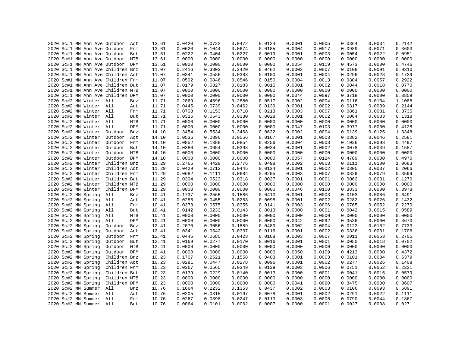|  |  |                         | 2020 Sc#1 MN Ann Ave Outdoor Act  |     | 13.61 | 0.0420 | 0.0722 | 0.0472 | 0.0124 | 0.0001 | 0.0005 | 0.0364 | 0.0034 | 0.2142 |
|--|--|-------------------------|-----------------------------------|-----|-------|--------|--------|--------|--------|--------|--------|--------|--------|--------|
|  |  |                         | 2020 Sc#1 MN Ann Ave Outdoor      | Frm | 13.61 | 0.0620 | 0.1044 | 0.0674 | 0.0185 | 0.0004 | 0.0017 | 0.0989 | 0.0071 | 0.3603 |
|  |  |                         | 2020 Sc#1 MN Ann Ave Outdoor But  |     | 13.61 | 0.0222 | 0.0404 | 0.0227 | 0.0019 | 0.0001 | 0.0003 | 0.0054 | 0.0022 | 0.0951 |
|  |  |                         | 2020 Sc#1 MN Ann Ave Outdoor MTB  |     | 13.61 | 0.0000 | 0.0000 | 0.0000 | 0.0000 | 0.0000 | 0.0000 | 0.0000 | 0.0000 | 0.0000 |
|  |  |                         | 2020 Sc#1 MN Ann Ave Outdoor DPM  |     | 13.61 | 0.0000 | 0.0000 | 0.0000 | 0.0000 | 0.0054 | 0.0119 | 0.4573 | 0.0000 | 0.4746 |
|  |  |                         | 2020 Sc#1 MN Ann Ave Children Bnz |     | 11.07 | 0.2416 | 0.3803 | 0.2420 | 0.0462 | 0.0002 | 0.0007 | 0.0108 | 0.0091 | 0.9310 |
|  |  |                         | 2020 Sc#1 MN Ann Ave Children Act |     | 11.07 | 0.0341 | 0.0586 | 0.0383 | 0.0100 | 0.0001 | 0.0004 | 0.0296 | 0.0028 | 0.1739 |
|  |  |                         | 2020 Sc#1 MN Ann Ave Children Frm |     | 11.07 | 0.0502 | 0.0846 | 0.0546 | 0.0150 | 0.0004 | 0.0013 | 0.0804 | 0.0057 | 0.2922 |
|  |  |                         | 2020 Sc#1 MN Ann Ave Children But |     | 11.07 | 0.0179 | 0.0327 | 0.0183 | 0.0015 | 0.0001 | 0.0002 | 0.0044 | 0.0018 | 0.0770 |
|  |  |                         | 2020 Sc#1 MN Ann Ave Children MTB |     | 11.07 | 0.0000 | 0.0000 | 0.0000 | 0.0000 | 0.0000 | 0.0000 | 0.0000 | 0.0000 | 0.0000 |
|  |  |                         | 2020 Sc#1 MN Ann Ave Children DPM |     | 11.07 | 0.0000 | 0.0000 | 0.0000 | 0.0000 | 0.0044 | 0.0097 | 0.3718 | 0.0000 | 0.3859 |
|  |  | 2020 Sc#2 MN Winter All |                                   | Bnz | 11.71 | 0.2869 | 0.4596 | 0.2880 | 0.0517 | 0.0002 | 0.0004 | 0.0116 | 0.0104 | 1.1086 |
|  |  | 2020 Sc#2 MN Winter All |                                   | Act | 11.71 | 0.0445 | 0.0739 | 0.0462 | 0.0139 | 0.0001 | 0.0002 | 0.0317 | 0.0039 | 0.2144 |
|  |  | 2020 Sc#2 MN Winter All |                                   | Frm | 11.71 | 0.0708 | 0.1153 | 0.0710 | 0.0213 | 0.0003 | 0.0007 | 0.0861 | 0.0081 | 0.3735 |
|  |  |                         |                                   |     |       |        |        |        |        |        |        |        |        | 0.1318 |
|  |  | 2020 Sc#2 MN Winter All |                                   | But | 11.71 | 0.0316 | 0.0543 | 0.0330 | 0.0028 | 0.0001 | 0.0002 | 0.0064 | 0.0033 |        |
|  |  | 2020 Sc#2 MN Winter All |                                   | MTB | 11.71 | 0.0000 | 0.0000 | 0.0000 | 0.0000 | 0.0000 | 0.0000 | 0.0000 | 0.0000 | 0.0000 |
|  |  | 2020 Sc#2 MN Winter     | All                               | DPM | 11.71 | 0.0000 | 0.0000 | 0.0000 | 0.0000 | 0.0047 | 0.0103 | 0.3977 | 0.0000 | 0.4128 |
|  |  | 2020 Sc#2 MN Winter     | Outdoor                           | Bnz | 14.10 | 0.3454 | 0.5534 | 0.3468 | 0.0622 | 0.0002 | 0.0004 | 0.0139 | 0.0125 | 1.3348 |
|  |  | 2020 Sc#2 MN Winter     | Outdoor                           | Act | 14.10 | 0.0536 | 0.0890 | 0.0556 | 0.0167 | 0.0001 | 0.0003 | 0.0382 | 0.0046 | 0.2581 |
|  |  | 2020 Sc#2 MN Winter     | Outdoor Frm                       |     | 14.10 | 0.0852 | 0.1388 | 0.0854 | 0.0256 | 0.0004 | 0.0008 | 0.1036 | 0.0098 | 0.4497 |
|  |  | 2020 Sc#2 MN Winter     | Outdoor                           | But | 14.10 | 0.0380 | 0.0654 | 0.0398 | 0.0034 | 0.0001 | 0.0002 | 0.0078 | 0.0039 | 0.1587 |
|  |  | 2020 Sc#2 MN Winter     | Outdoor MTB                       |     | 14.10 | 0.0000 | 0.0000 | 0.0000 | 0.0000 | 0.0000 | 0.0000 | 0.0000 | 0.0000 | 0.0000 |
|  |  | 2020 Sc#2 MN Winter     | Outdoor DPM                       |     | 14.10 | 0.0000 | 0.0000 | 0.0000 | 0.0000 | 0.0057 | 0.0124 | 0.4789 | 0.0000 | 0.4970 |
|  |  | 2020 Sc#2 MN Winter     | Children Bnz                      |     | 11.29 | 0.2765 | 0.4429 | 0.2776 | 0.0498 | 0.0002 | 0.0003 | 0.0111 | 0.0100 | 1.0683 |
|  |  | 2020 Sc#2 MN Winter     | Children Act                      |     | 11.29 | 0.0429 | 0.0713 | 0.0445 | 0.0134 | 0.0001 | 0.0002 | 0.0305 | 0.0037 | 0.2066 |
|  |  | 2020 Sc#2 MN Winter     | Children Frm                      |     | 11.29 | 0.0682 | 0.1111 | 0.0684 | 0.0205 | 0.0003 | 0.0007 | 0.0829 | 0.0079 | 0.3599 |
|  |  | 2020 Sc#2 MN Winter     | Children But                      |     | 11.29 | 0.0304 | 0.0523 | 0.0318 | 0.0027 | 0.0001 | 0.0001 | 0.0062 | 0.0031 | 0.1270 |
|  |  | 2020 Sc#2 MN Winter     | Children MTB                      |     | 11.29 | 0.0000 | 0.0000 | 0.0000 | 0.0000 | 0.0000 | 0.0000 | 0.0000 | 0.0000 | 0.0000 |
|  |  | 2020 Sc#2 MN Winter     | Children DPM                      |     | 11.29 | 0.0000 | 0.0000 | 0.0000 | 0.0000 | 0.0046 | 0.0100 | 0.3833 | 0.0000 | 0.3978 |
|  |  | 2020 Sc#2 MN Spring     | All                               | Bnz | 10.41 | 0.1737 | 0.2565 | 0.1586 | 0.0410 | 0.0001 | 0.0003 | 0.0103 | 0.0086 | 0.6491 |
|  |  | 2020 Sc#2 MN Spring     | All                               | Act | 10.41 | 0.0286 | 0.0455 | 0.0283 | 0.0098 | 0.0001 | 0.0002 | 0.0282 | 0.0026 | 0.1432 |
|  |  | 2020 Sc#2 MN Spring     | All                               | Frm | 10.41 | 0.0373 | 0.0575 | 0.0355 | 0.0141 | 0.0003 | 0.0006 | 0.0765 | 0.0052 | 0.2270 |
|  |  | 2020 Sc#2 MN Spring     | All                               | But | 10.41 | 0.0142 | 0.0233 | 0.0143 | 0.0013 | 0.0000 | 0.0001 | 0.0042 | 0.0015 | 0.0589 |
|  |  | 2020 Sc#2 MN Spring     | All                               | MTB | 10.41 | 0.0000 | 0.0000 | 0.0000 | 0.0000 | 0.0000 | 0.0000 | 0.0000 | 0.0000 | 0.0000 |
|  |  | 2020 Sc#2 MN Spring     | All                               | DPM | 10.41 | 0.0000 | 0.0000 | 0.0000 | 0.0000 | 0.0042 | 0.0092 | 0.3536 | 0.0000 | 0.3670 |
|  |  | 2020 Sc#2 MN Spring     | Outdoor                           | Bnz | 12.41 | 0.2070 | 0.3056 | 0.1889 | 0.0489 | 0.0002 | 0.0004 | 0.0122 | 0.0102 | 0.7733 |
|  |  | 2020 Sc#2 MN Spring     | Outdoor Act                       |     | 12.41 | 0.0341 | 0.0542 | 0.0337 | 0.0116 | 0.0001 | 0.0002 | 0.0336 | 0.0031 | 0.1706 |
|  |  | 2020 Sc#2 MN Spring     | Outdoor                           | Frm | 12.41 | 0.0445 | 0.0685 | 0.0423 | 0.0168 | 0.0003 | 0.0007 | 0.0911 | 0.0063 | 0.2705 |
|  |  | 2020 Sc#2 MN Spring     | Outdoor                           | But | 12.41 | 0.0169 | 0.0277 | 0.0170 | 0.0016 | 0.0001 | 0.0001 | 0.0050 | 0.0018 | 0.0702 |
|  |  | 2020 Sc#2 MN Spring     | Outdoor MTB                       |     | 12.41 | 0.0000 | 0.0000 | 0.0000 | 0.0000 | 0.0000 | 0.0000 | 0.0000 | 0.0000 | 0.0000 |
|  |  | 2020 Sc#2 MN Spring     | Outdoor DPM                       |     | 12.41 | 0.0000 | 0.0000 | 0.0000 | 0.0000 | 0.0050 | 0.0109 | 0.4213 | 0.0000 | 0.4372 |
|  |  | 2020 Sc#2 MN Spring     | Children Bnz                      |     | 10.23 | 0.1707 | 0.2521 | 0.1558 | 0.0403 | 0.0001 | 0.0003 | 0.0101 | 0.0084 | 0.6379 |
|  |  | 2020 Sc#2 MN Spring     | Children Act                      |     | 10.23 | 0.0281 | 0.0447 | 0.0278 | 0.0096 | 0.0001 | 0.0002 | 0.0277 | 0.0026 | 0.1408 |
|  |  | 2020 Sc#2 MN Spring     | Children Frm                      |     | 10.23 | 0.0367 | 0.0565 | 0.0349 | 0.0139 | 0.0003 | 0.0006 | 0.0751 | 0.0052 | 0.2231 |
|  |  | 2020 Sc#2 MN Spring     | Children But                      |     | 10.23 | 0.0139 | 0.0229 | 0.0140 | 0.0013 | 0.0000 | 0.0001 | 0.0041 | 0.0015 | 0.0579 |
|  |  | 2020 Sc#2 MN Spring     | Children MTB                      |     | 10.23 | 0.0000 | 0.0000 | 0.0000 | 0.0000 | 0.0000 | 0.0000 | 0.0000 | 0.0000 | 0.0000 |
|  |  | 2020 Sc#2 MN Spring     | Children DPM                      |     | 10.23 | 0.0000 | 0.0000 | 0.0000 | 0.0000 | 0.0041 | 0.0090 | 0.3475 | 0.0000 | 0.3607 |
|  |  | 2020 Sc#2 MN Summer     | All                               | Bnz | 10.76 | 0.1664 | 0.2232 | 0.1353 | 0.0437 | 0.0002 | 0.0003 | 0.0106 | 0.0093 | 0.5891 |
|  |  | 2020 Sc#2 MN Summer     | All                               | Act | 10.76 | 0.0205 | 0.0315 | 0.0197 | 0.0078 | 0.0001 | 0.0002 | 0.0291 | 0.0022 | 0.1111 |
|  |  | 2020 Sc#2 MN Summer All |                                   | Frm | 10.76 | 0.0267 | 0.0398 | 0.0247 | 0.0113 | 0.0003 | 0.0006 | 0.0790 | 0.0044 | 0.1867 |
|  |  | 2020 Sc#2 MN Summer All |                                   | But | 10.76 | 0.0064 | 0.0101 | 0.0062 | 0.0007 | 0.0000 | 0.0001 | 0.0027 | 0.0008 | 0.0271 |
|  |  |                         |                                   |     |       |        |        |        |        |        |        |        |        |        |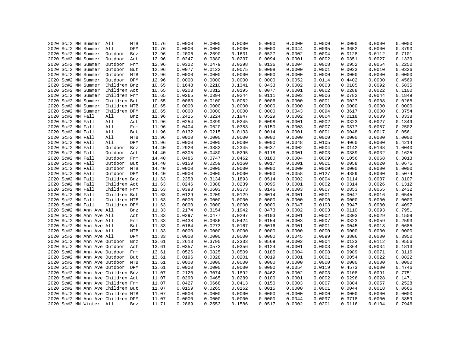|  |                   | 2020 Sc#2 MN Summer      | All                               | MTB | 10.76 | 0.0000 | 0.0000 | 0.0000 | 0.0000 | 0.0000 | 0.0000 | 0.0000 | 0.0000 | 0.0000 |
|--|-------------------|--------------------------|-----------------------------------|-----|-------|--------|--------|--------|--------|--------|--------|--------|--------|--------|
|  |                   | 2020 Sc#2 MN Summer      | All                               | DPM | 10.76 | 0.0000 | 0.0000 | 0.0000 | 0.0000 | 0.0044 | 0.0095 | 0.3652 | 0.0000 | 0.3790 |
|  |                   | 2020 Sc#2 MN Summer      | Outdoor                           | Bnz | 12.96 | 0.2006 | 0.2690 | 0.1631 | 0.0527 | 0.0002 | 0.0004 | 0.0128 | 0.0112 | 0.7101 |
|  |                   | 2020 Sc#2 MN Summer      | Outdoor                           | Act | 12.96 | 0.0247 | 0.0380 | 0.0237 | 0.0094 | 0.0001 | 0.0002 | 0.0351 | 0.0027 | 0.1339 |
|  |                   | 2020 Sc#2 MN Summer      | Outdoor                           | Frm | 12.96 | 0.0322 | 0.0479 | 0.0298 | 0.0136 | 0.0004 | 0.0008 | 0.0952 | 0.0054 | 0.2250 |
|  |                   | 2020 Sc#2 MN Summer      | Outdoor                           | But | 12.96 | 0.0077 | 0.0122 | 0.0075 | 0.0008 | 0.0000 | 0.0001 | 0.0033 | 0.0010 | 0.0326 |
|  |                   | 2020 Sc#2 MN Summer      | Outdoor MTB                       |     | 12.96 | 0.0000 | 0.0000 | 0.0000 | 0.0000 | 0.0000 | 0.0000 | 0.0000 | 0.0000 | 0.0000 |
|  |                   | 2020 Sc#2 MN Summer      | Outdoor DPM                       |     | 12.96 | 0.0000 | 0.0000 | 0.0000 | 0.0000 | 0.0052 | 0.0114 | 0.4402 | 0.0000 | 0.4569 |
|  |                   | 2020 Sc#2 MN Summer      | Children Bnz                      |     | 10.65 | 0.1648 | 0.2210 | 0.1341 | 0.0433 | 0.0002 | 0.0003 | 0.0105 | 0.0092 | 0.5835 |
|  |                   | 2020 Sc#2 MN Summer      | Children Act                      |     | 10.65 | 0.0203 | 0.0312 | 0.0195 | 0.0077 | 0.0001 | 0.0002 | 0.0288 | 0.0022 | 0.1100 |
|  |                   | 2020 Sc#2 MN Summer      | Children Frm                      |     | 10.65 | 0.0265 | 0.0394 | 0.0244 | 0.0111 | 0.0003 | 0.0006 | 0.0782 | 0.0044 | 0.1849 |
|  |                   | 2020 Sc#2 MN Summer      | Children But                      |     | 10.65 | 0.0063 | 0.0100 | 0.0062 | 0.0006 | 0.0000 | 0.0001 | 0.0027 | 0.0008 | 0.0268 |
|  |                   | 2020 Sc#2 MN Summer      | Children MTB                      |     | 10.65 | 0.0000 | 0.0000 | 0.0000 | 0.0000 | 0.0000 | 0.0000 | 0.0000 | 0.0000 | 0.0000 |
|  |                   | 2020 Sc#2 MN Summer      | Children DPM                      |     | 10.65 | 0.0000 | 0.0000 | 0.0000 | 0.0000 | 0.0043 | 0.0094 | 0.3617 | 0.0000 | 0.3754 |
|  | 2020 Sc#2 MN Fall |                          | All                               | Bnz | 11.96 | 0.2425 | 0.3224 | 0.1947 | 0.0529 | 0.0002 | 0.0004 | 0.0118 | 0.0089 | 0.8338 |
|  | 2020 Sc#2 MN Fall |                          | All                               | Act | 11.96 | 0.0254 | 0.0399 | 0.0245 | 0.0098 | 0.0001 | 0.0002 | 0.0323 | 0.0027 | 0.1349 |
|  | 2020 Sc#2 MN Fall |                          | All                               | Frm | 11.96 | 0.0404 | 0.0620 | 0.0383 | 0.0150 | 0.0003 | 0.0007 | 0.0877 | 0.0057 | 0.2502 |
|  | 2020 Sc#2 MN Fall |                          | All                               | But | 11.96 | 0.0132 | 0.0215 | 0.0133 | 0.0014 | 0.0001 | 0.0001 | 0.0048 | 0.0017 | 0.0561 |
|  | 2020 Sc#2 MN Fall |                          | All                               | MTB | 11.96 | 0.0000 | 0.0000 | 0.0000 | 0.0000 | 0.0000 | 0.0000 | 0.0000 | 0.0000 | 0.0000 |
|  | 2020 Sc#2 MN Fall |                          | All                               | DPM | 11.96 | 0.0000 | 0.0000 | 0.0000 | 0.0000 | 0.0048 | 0.0105 | 0.4060 | 0.0000 | 0.4214 |
|  | 2020 Sc#2 MN Fall |                          | Outdoor                           | Bnz | 14.40 | 0.2920 | 0.3882 | 0.2345 | 0.0637 | 0.0002 | 0.0004 | 0.0142 | 0.0108 | 1.0040 |
|  |                   |                          |                                   |     |       | 0.0305 | 0.0480 | 0.0295 |        | 0.0001 | 0.0003 | 0.0389 | 0.0032 | 0.1625 |
|  | 2020 Sc#2 MN Fall |                          | Outdoor                           | Act | 14.40 |        |        |        | 0.0118 |        | 0.0009 |        |        |        |
|  | 2020 Sc#2 MN Fall |                          | Outdoor                           | Frm | 14.40 | 0.0486 | 0.0747 | 0.0462 | 0.0180 | 0.0004 |        | 0.1056 | 0.0068 | 0.3013 |
|  | 2020 Sc#2 MN Fall |                          | Outdoor But                       |     | 14.40 | 0.0159 | 0.0259 | 0.0160 | 0.0017 | 0.0001 | 0.0001 | 0.0058 | 0.0020 | 0.0675 |
|  | 2020 Sc#2 MN Fall |                          | Outdoor MTB                       |     | 14.40 | 0.0000 | 0.0000 | 0.0000 | 0.0000 | 0.0000 | 0.0000 | 0.0000 | 0.0000 | 0.0000 |
|  | 2020 Sc#2 MN Fall |                          | Outdoor DPM                       |     | 14.40 | 0.0000 | 0.0000 | 0.0000 | 0.0000 | 0.0058 | 0.0127 | 0.4889 | 0.0000 | 0.5074 |
|  | 2020 Sc#2 MN Fall |                          | Children Bnz                      |     | 11.63 | 0.2358 | 0.3134 | 0.1893 | 0.0514 | 0.0002 | 0.0004 | 0.0114 | 0.0087 | 0.8107 |
|  | 2020 Sc#2 MN Fall |                          | Children Act                      |     | 11.63 | 0.0246 | 0.0388 | 0.0239 | 0.0095 | 0.0001 | 0.0002 | 0.0314 | 0.0026 | 0.1312 |
|  | 2020 Sc#2 MN Fall |                          | Children Frm                      |     | 11.63 | 0.0393 | 0.0603 | 0.0373 | 0.0146 | 0.0003 | 0.0007 | 0.0853 | 0.0055 | 0.2432 |
|  | 2020 Sc#2 MN Fall |                          | Children But                      |     | 11.63 | 0.0129 | 0.0209 | 0.0129 | 0.0014 | 0.0001 | 0.0001 | 0.0047 | 0.0016 | 0.0545 |
|  | 2020 Sc#2 MN Fall |                          | Children MTB                      |     | 11.63 | 0.0000 | 0.0000 | 0.0000 | 0.0000 | 0.0000 | 0.0000 | 0.0000 | 0.0000 | 0.0000 |
|  | 2020 Sc#2 MN Fall |                          | Children DPM                      |     | 11.63 | 0.0000 | 0.0000 | 0.0000 | 0.0000 | 0.0047 | 0.0103 | 0.3947 | 0.0000 | 0.4097 |
|  |                   | 2020 Sc#2 MN Ann Ave All |                                   | Bnz | 11.33 | 0.2174 | 0.3154 | 0.1942 | 0.0473 | 0.0002 | 0.0003 | 0.0110 | 0.0093 | 0.7951 |
|  |                   | 2020 Sc#2 MN Ann Ave All |                                   | Act | 11.33 | 0.0297 | 0.0477 | 0.0297 | 0.0103 | 0.0001 | 0.0002 | 0.0303 | 0.0029 | 0.1509 |
|  |                   | 2020 Sc#2 MN Ann Ave All |                                   | Frm | 11.33 | 0.0438 | 0.0686 | 0.0424 | 0.0154 | 0.0003 | 0.0007 | 0.0823 | 0.0059 | 0.2593 |
|  |                   | 2020 Sc#2 MN Ann Ave All |                                   | But | 11.33 | 0.0164 | 0.0273 | 0.0167 | 0.0016 | 0.0001 | 0.0001 | 0.0045 | 0.0018 | 0.0685 |
|  |                   | 2020 Sc#2 MN Ann Ave All |                                   | MTB | 11.33 | 0.0000 | 0.0000 | 0.0000 | 0.0000 | 0.0000 | 0.0000 | 0.0000 | 0.0000 | 0.0000 |
|  |                   | 2020 Sc#2 MN Ann Ave All |                                   | DPM | 11.33 | 0.0000 | 0.0000 | 0.0000 | 0.0000 | 0.0045 | 0.0099 | 0.3806 | 0.0000 | 0.3950 |
|  |                   |                          | 2020 Sc#2 MN Ann Ave Outdoor      | Bnz | 13.61 | 0.2613 | 0.3790 | 0.2333 | 0.0569 | 0.0002 | 0.0004 | 0.0133 | 0.0112 | 0.9556 |
|  |                   |                          | 2020 Sc#2 MN Ann Ave Outdoor      | Act | 13.61 | 0.0357 | 0.0573 | 0.0356 | 0.0124 | 0.0001 | 0.0003 | 0.0364 | 0.0034 | 0.1813 |
|  |                   |                          | 2020 Sc#2 MN Ann Ave Outdoor      | Frm | 13.61 | 0.0526 | 0.0825 | 0.0509 | 0.0185 | 0.0004 | 0.0008 | 0.0989 | 0.0071 | 0.3116 |
|  |                   |                          | 2020 Sc#2 MN Ann Ave Outdoor      | But | 13.61 | 0.0196 | 0.0328 | 0.0201 | 0.0019 | 0.0001 | 0.0001 | 0.0054 | 0.0022 | 0.0822 |
|  |                   |                          | 2020 Sc#2 MN Ann Ave Outdoor MTB  |     | 13.61 | 0.0000 | 0.0000 | 0.0000 | 0.0000 | 0.0000 | 0.0000 | 0.0000 | 0.0000 | 0.0000 |
|  |                   |                          | 2020 Sc#2 MN Ann Ave Outdoor DPM  |     | 13.61 | 0.0000 | 0.0000 | 0.0000 | 0.0000 | 0.0054 | 0.0119 | 0.4573 | 0.0000 | 0.4746 |
|  |                   |                          | 2020 Sc#2 MN Ann Ave Children Bnz |     | 11.07 | 0.2120 | 0.3074 | 0.1892 | 0.0462 | 0.0002 | 0.0003 | 0.0108 | 0.0091 | 0.7751 |
|  |                   |                          | 2020 Sc#2 MN Ann Ave Children Act |     | 11.07 | 0.0290 | 0.0465 | 0.0289 | 0.0100 | 0.0001 | 0.0002 | 0.0296 | 0.0028 | 0.1471 |
|  |                   |                          | 2020 Sc#2 MN Ann Ave Children Frm |     | 11.07 | 0.0427 | 0.0668 | 0.0413 | 0.0150 | 0.0003 | 0.0007 | 0.0804 | 0.0057 | 0.2528 |
|  |                   |                          | 2020 Sc#2 MN Ann Ave Children But |     | 11.07 | 0.0159 | 0.0265 | 0.0162 | 0.0015 | 0.0000 | 0.0001 | 0.0044 | 0.0018 | 0.0666 |
|  |                   |                          | 2020 Sc#2 MN Ann Ave Children MTB |     | 11.07 | 0.0000 | 0.0000 | 0.0000 | 0.0000 | 0.0000 | 0.0000 | 0.0000 | 0.0000 | 0.0000 |
|  |                   |                          | 2020 Sc#2 MN Ann Ave Children DPM |     | 11.07 | 0.0000 | 0.0000 | 0.0000 | 0.0000 | 0.0044 | 0.0097 | 0.3718 | 0.0000 | 0.3859 |
|  |                   | 2020 Sc#3 MN Winter All  |                                   | Bnz | 11.71 | 0.2869 | 0.2553 | 0.1586 | 0.0517 | 0.0002 | 0.0201 | 0.0116 | 0.0104 | 0.7946 |
|  |                   |                          |                                   |     |       |        |        |        |        |        |        |        |        |        |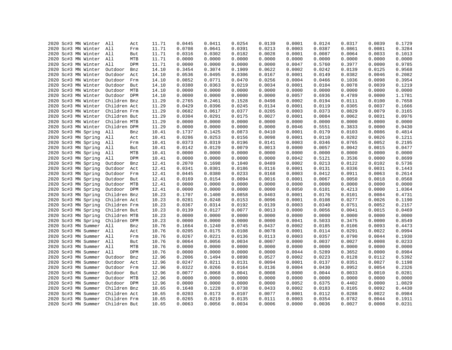|  | 2020 Sc#3 MN Winter     | All          | Act | 11.71 | 0.0445 | 0.0411 | 0.0254 | 0.0139 | 0.0001 | 0.0124 | 0.0317 | 0.0039 | 0.1729 |
|--|-------------------------|--------------|-----|-------|--------|--------|--------|--------|--------|--------|--------|--------|--------|
|  | 2020 Sc#3 MN Winter     | All          | Frm | 11.71 | 0.0708 | 0.0641 | 0.0391 | 0.0213 | 0.0003 | 0.0387 | 0.0861 | 0.0081 | 0.3284 |
|  | 2020 Sc#3 MN Winter All |              | But | 11.71 | 0.0316 | 0.0302 | 0.0182 | 0.0028 | 0.0001 | 0.0087 | 0.0064 | 0.0033 | 0.1013 |
|  | 2020 Sc#3 MN Winter All |              | MTB | 11.71 | 0.0000 | 0.0000 | 0.0000 | 0.0000 | 0.0000 | 0.0000 | 0.0000 | 0.0000 | 0.0000 |
|  | 2020 Sc#3 MN Winter All |              | DPM | 11.71 | 0.0000 | 0.0000 | 0.0000 | 0.0000 | 0.0047 | 0.5760 | 0.3977 | 0.0000 | 0.9785 |
|  | 2020 Sc#3 MN Winter     | Outdoor      | Bnz | 14.10 | 0.3454 | 0.3074 | 0.1909 | 0.0622 | 0.0002 | 0.0242 | 0.0139 | 0.0125 | 0.9568 |
|  | 2020 Sc#3 MN Winter     | Outdoor      | Act | 14.10 | 0.0536 | 0.0495 | 0.0306 | 0.0167 | 0.0001 | 0.0149 | 0.0382 | 0.0046 | 0.2082 |
|  | 2020 Sc#3 MN Winter     | Outdoor      | Frm | 14.10 | 0.0852 | 0.0771 | 0.0470 | 0.0256 | 0.0004 | 0.0466 | 0.1036 | 0.0098 | 0.3954 |
|  | 2020 Sc#3 MN Winter     | Outdoor But  |     | 14.10 | 0.0380 | 0.0363 | 0.0219 | 0.0034 | 0.0001 | 0.0104 | 0.0078 | 0.0039 | 0.1219 |
|  | 2020 Sc#3 MN Winter     | Outdoor MTB  |     | 14.10 | 0.0000 | 0.0000 | 0.0000 | 0.0000 | 0.0000 | 0.0000 | 0.0000 | 0.0000 | 0.0000 |
|  | 2020 Sc#3 MN Winter     | Outdoor DPM  |     | 14.10 | 0.0000 | 0.0000 | 0.0000 | 0.0000 | 0.0057 | 0.6936 | 0.4789 | 0.0000 | 1.1781 |
|  | 2020 Sc#3 MN Winter     | Children Bnz |     | 11.29 | 0.2765 | 0.2461 | 0.1528 | 0.0498 | 0.0002 | 0.0194 | 0.0111 | 0.0100 | 0.7658 |
|  | 2020 Sc#3 MN Winter     | Children Act |     | 11.29 | 0.0429 | 0.0396 | 0.0245 | 0.0134 | 0.0001 | 0.0119 | 0.0305 | 0.0037 | 0.1666 |
|  | 2020 Sc#3 MN Winter     | Children Frm |     | 11.29 | 0.0682 | 0.0617 | 0.0377 | 0.0205 | 0.0003 | 0.0373 | 0.0829 | 0.0079 | 0.3165 |
|  | 2020 Sc#3 MN Winter     | Children But |     | 11.29 | 0.0304 | 0.0291 | 0.0175 | 0.0027 | 0.0001 | 0.0084 | 0.0062 | 0.0031 | 0.0976 |
|  | 2020 Sc#3 MN Winter     | Children MTB |     | 11.29 | 0.0000 | 0.0000 | 0.0000 | 0.0000 | 0.0000 | 0.0000 | 0.0000 | 0.0000 | 0.0000 |
|  | 2020 Sc#3 MN Winter     | Children DPM |     | 11.29 | 0.0000 | 0.0000 | 0.0000 | 0.0000 | 0.0046 | 0.5551 | 0.3833 | 0.0000 | 0.9430 |
|  | 2020 Sc#3 MN Spring     | All          | Bnz | 10.41 | 0.1737 | 0.1425 | 0.0873 | 0.0410 | 0.0001 | 0.0179 | 0.0103 | 0.0086 | 0.4814 |
|  | 2020 Sc#3 MN Spring     | All          | Act | 10.41 | 0.0286 | 0.0253 | 0.0156 | 0.0098 | 0.0001 | 0.0110 | 0.0282 | 0.0026 | 0.1211 |
|  | 2020 Sc#3 MN Spring     | All          | Frm | 10.41 | 0.0373 | 0.0319 | 0.0196 | 0.0141 | 0.0003 | 0.0346 | 0.0765 | 0.0052 | 0.2195 |
|  | 2020 Sc#3 MN Spring     | All          | But | 10.41 | 0.0142 | 0.0129 | 0.0079 | 0.0013 | 0.0000 | 0.0057 | 0.0042 | 0.0015 | 0.0477 |
|  |                         | All          | MTB |       | 0.0000 | 0.0000 | 0.0000 | 0.0000 | 0.0000 | 0.0000 | 0.0000 | 0.0000 | 0.0000 |
|  | 2020 Sc#3 MN Spring     | All          | DPM | 10.41 | 0.0000 | 0.0000 |        | 0.0000 | 0.0042 | 0.5121 |        |        | 0.8699 |
|  | 2020 Sc#3 MN Spring     |              |     | 10.41 |        |        | 0.0000 |        |        |        | 0.3536 | 0.0000 |        |
|  | 2020 Sc#3 MN Spring     | Outdoor      | Bnz | 12.41 | 0.2070 | 0.1698 | 0.1040 | 0.0489 | 0.0002 | 0.0213 | 0.0122 | 0.0102 | 0.5736 |
|  | 2020 Sc#3 MN Spring     | Outdoor      | Act | 12.41 | 0.0341 | 0.0301 | 0.0186 | 0.0116 | 0.0001 | 0.0131 | 0.0336 | 0.0031 | 0.1443 |
|  | 2020 Sc#3 MN Spring     | Outdoor Frm  |     | 12.41 | 0.0445 | 0.0380 | 0.0233 | 0.0168 | 0.0003 | 0.0412 | 0.0911 | 0.0063 | 0.2614 |
|  | 2020 Sc#3 MN Spring     | Outdoor      | But | 12.41 | 0.0169 | 0.0154 | 0.0094 | 0.0016 | 0.0001 | 0.0067 | 0.0050 | 0.0018 | 0.0568 |
|  | 2020 Sc#3 MN Spring     | Outdoor MTB  |     | 12.41 | 0.0000 | 0.0000 | 0.0000 | 0.0000 | 0.0000 | 0.0000 | 0.0000 | 0.0000 | 0.0000 |
|  | 2020 Sc#3 MN Spring     | Outdoor DPM  |     | 12.41 | 0.0000 | 0.0000 | 0.0000 | 0.0000 | 0.0050 | 0.6101 | 0.4213 | 0.0000 | 1.0364 |
|  | 2020 Sc#3 MN Spring     | Children Bnz |     | 10.23 | 0.1707 | 0.1400 | 0.0858 | 0.0403 | 0.0001 | 0.0176 | 0.0101 | 0.0084 | 0.4731 |
|  | 2020 Sc#3 MN Spring     | Children Act |     | 10.23 | 0.0281 | 0.0248 | 0.0153 | 0.0096 | 0.0001 | 0.0108 | 0.0277 | 0.0026 | 0.1190 |
|  | 2020 Sc#3 MN Spring     | Children Frm |     | 10.23 | 0.0367 | 0.0314 | 0.0192 | 0.0139 | 0.0003 | 0.0340 | 0.0751 | 0.0052 | 0.2157 |
|  | 2020 Sc#3 MN Spring     | Children But |     | 10.23 | 0.0139 | 0.0127 | 0.0077 | 0.0013 | 0.0000 | 0.0056 | 0.0041 | 0.0015 | 0.0469 |
|  | 2020 Sc#3 MN Spring     | Children MTB |     | 10.23 | 0.0000 | 0.0000 | 0.0000 | 0.0000 | 0.0000 | 0.0000 | 0.0000 | 0.0000 | 0.0000 |
|  | 2020 Sc#3 MN Spring     | Children DPM |     | 10.23 | 0.0000 | 0.0000 | 0.0000 | 0.0000 | 0.0041 | 0.5033 | 0.3475 | 0.0000 | 0.8549 |
|  | 2020 Sc#3 MN Summer     | All          | Bnz | 10.76 | 0.1664 | 0.1240 | 0.0745 | 0.0437 | 0.0002 | 0.0185 | 0.0106 | 0.0093 | 0.4473 |
|  | 2020 Sc#3 MN Summer     | All          | Act | 10.76 | 0.0205 | 0.0175 | 0.0108 | 0.0078 | 0.0001 | 0.0114 | 0.0291 | 0.0022 | 0.0994 |
|  | 2020 Sc#3 MN Summer     | All          | Frm | 10.76 | 0.0267 | 0.0221 | 0.0136 | 0.0113 | 0.0003 | 0.0357 | 0.0790 | 0.0044 | 0.1930 |
|  | 2020 Sc#3 MN Summer     | All          | But | 10.76 | 0.0064 | 0.0056 | 0.0034 | 0.0007 | 0.0000 | 0.0037 | 0.0027 | 0.0008 | 0.0233 |
|  | 2020 Sc#3 MN Summer     | All          | MTB | 10.76 | 0.0000 | 0.0000 | 0.0000 | 0.0000 | 0.0000 | 0.0000 | 0.0000 | 0.0000 | 0.0000 |
|  | 2020 Sc#3 MN Summer     | All          | DPM | 10.76 | 0.0000 | 0.0000 | 0.0000 | 0.0000 | 0.0044 | 0.5289 | 0.3652 | 0.0000 | 0.8984 |
|  | 2020 Sc#3 MN Summer     | Outdoor      | Bnz | 12.96 | 0.2006 | 0.1494 | 0.0898 | 0.0527 | 0.0002 | 0.0223 | 0.0128 | 0.0112 | 0.5392 |
|  | 2020 Sc#3 MN Summer     | Outdoor      | Act | 12.96 | 0.0247 | 0.0211 | 0.0131 | 0.0094 | 0.0001 | 0.0137 | 0.0351 | 0.0027 | 0.1198 |
|  | 2020 Sc#3 MN Summer     | Outdoor Frm  |     | 12.96 | 0.0322 | 0.0266 | 0.0164 | 0.0136 | 0.0004 | 0.0430 | 0.0952 | 0.0054 | 0.2326 |
|  | 2020 Sc#3 MN Summer     | Outdoor But  |     | 12.96 | 0.0077 | 0.0068 | 0.0041 | 0.0008 | 0.0000 | 0.0044 | 0.0033 | 0.0010 | 0.0281 |
|  | 2020 Sc#3 MN Summer     | Outdoor MTB  |     | 12.96 | 0.0000 | 0.0000 | 0.0000 | 0.0000 | 0.0000 | 0.0000 | 0.0000 | 0.0000 | 0.0000 |
|  | 2020 Sc#3 MN Summer     | Outdoor DPM  |     | 12.96 | 0.0000 | 0.0000 | 0.0000 | 0.0000 | 0.0052 | 0.6375 | 0.4402 | 0.0000 | 1.0829 |
|  | 2020 Sc#3 MN Summer     | Children Bnz |     | 10.65 | 0.1648 | 0.1228 | 0.0738 | 0.0433 | 0.0002 | 0.0183 | 0.0105 | 0.0092 | 0.4430 |
|  | 2020 Sc#3 MN Summer     | Children Act |     | 10.65 | 0.0203 | 0.0173 | 0.0107 | 0.0077 | 0.0001 | 0.0112 | 0.0288 | 0.0022 | 0.0984 |
|  | 2020 Sc#3 MN Summer     | Children Frm |     | 10.65 | 0.0265 | 0.0219 | 0.0135 | 0.0111 | 0.0003 | 0.0354 | 0.0782 | 0.0044 | 0.1911 |
|  | 2020 Sc#3 MN Summer     | Children But |     | 10.65 | 0.0063 | 0.0056 | 0.0034 | 0.0006 | 0.0000 | 0.0036 | 0.0027 | 0.0008 | 0.0231 |
|  |                         |              |     |       |        |        |        |        |        |        |        |        |        |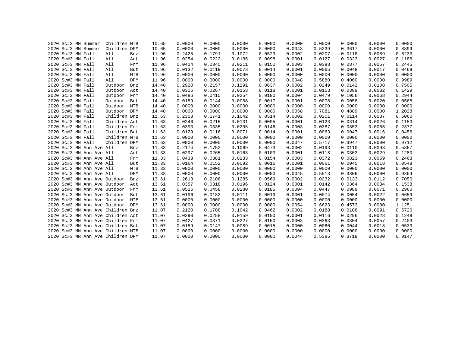|  | 2020 Sc#3 MN Summer |                              | Children MTB                      |            | 10.65 | 0.0000 | 0.0000 | 0.0000 | 0.0000 | 0.0000 | 0.0000 | 0.0000 | 0.0000 | 0.0000 |
|--|---------------------|------------------------------|-----------------------------------|------------|-------|--------|--------|--------|--------|--------|--------|--------|--------|--------|
|  | 2020 Sc#3 MN Summer |                              | Children DPM                      |            | 10.65 | 0.0000 | 0.0000 | 0.0000 | 0.0000 | 0.0043 | 0.5239 | 0.3617 | 0.0000 | 0.8899 |
|  | 2020 Sc#3 MN Fall   |                              | All                               | Bnz        | 11.96 | 0.2425 | 0.1791 | 0.1072 | 0.0529 | 0.0002 | 0.0207 | 0.0118 | 0.0089 | 0.6233 |
|  | 2020 Sc#3 MN Fall   |                              | All                               | Act        | 11.96 | 0.0254 | 0.0222 | 0.0135 | 0.0098 | 0.0001 | 0.0127 | 0.0323 | 0.0027 | 0.1186 |
|  | 2020 Sc#3 MN Fall   |                              | All                               | Frm        | 11.96 | 0.0404 | 0.0345 | 0.0211 | 0.0150 | 0.0003 | 0.0398 | 0.0877 | 0.0057 | 0.2445 |
|  | 2020 Sc#3 MN Fall   |                              | All                               | But        | 11.96 | 0.0132 | 0.0119 | 0.0073 | 0.0014 | 0.0001 | 0.0065 | 0.0048 | 0.0017 | 0.0469 |
|  | 2020 Sc#3 MN Fall   |                              | All                               | MTB        | 11.96 | 0.0000 | 0.0000 | 0.0000 | 0.0000 | 0.0000 | 0.0000 | 0.0000 | 0.0000 | 0.0000 |
|  | 2020 Sc#3 MN Fall   |                              | All                               | DPM        | 11.96 | 0.0000 | 0.0000 | 0.0000 | 0.0000 | 0.0048 | 0.5880 | 0.4060 | 0.0000 | 0.9989 |
|  | 2020 Sc#3 MN Fall   |                              | Outdoor                           | Bnz        | 14.40 | 0.2920 | 0.2157 | 0.1291 | 0.0637 | 0.0002 | 0.0249 | 0.0142 | 0.0108 | 0.7505 |
|  | 2020 Sc#3 MN Fall   |                              | Outdoor                           | Act        | 14.40 | 0.0305 | 0.0267 | 0.0163 | 0.0118 | 0.0001 | 0.0153 | 0.0389 | 0.0032 | 0.1429 |
|  | 2020 Sc#3 MN Fall   |                              | Outdoor                           | Frm        | 14.40 | 0.0486 | 0.0415 | 0.0254 | 0.0180 | 0.0004 | 0.0479 | 0.1056 | 0.0068 | 0.2944 |
|  | 2020 Sc#3 MN Fall   |                              | Outdoor                           | But        | 14.40 | 0.0159 | 0.0144 | 0.0088 | 0.0017 | 0.0001 | 0.0078 | 0.0058 | 0.0020 | 0.0565 |
|  | 2020 Sc#3 MN Fall   |                              | Outdoor                           | MTB        | 14.40 | 0.0000 | 0.0000 | 0.0000 | 0.0000 | 0.0000 | 0.0000 | 0.0000 | 0.0000 | 0.0000 |
|  | 2020 Sc#3 MN Fall   |                              | Outdoor                           | <b>DPM</b> | 14.40 | 0.0000 | 0.0000 | 0.0000 | 0.0000 | 0.0058 | 0.7081 | 0.4889 | 0.0000 | 1.2028 |
|  | 2020 Sc#3 MN Fall   |                              | Children Bnz                      |            | 11.63 | 0.2358 | 0.1741 | 0.1042 | 0.0514 | 0.0002 | 0.0201 | 0.0114 | 0.0087 | 0.6060 |
|  | 2020 Sc#3 MN Fall   |                              | Children Act                      |            | 11.63 | 0.0246 | 0.0215 | 0.0131 | 0.0095 | 0.0001 | 0.0123 | 0.0314 | 0.0026 | 0.1153 |
|  | 2020 Sc#3 MN Fall   |                              | Children Frm                      |            | 11.63 | 0.0393 | 0.0335 | 0.0205 | 0.0146 | 0.0003 | 0.0387 | 0.0853 | 0.0055 | 0.2377 |
|  | 2020 Sc#3 MN Fall   |                              | Children But                      |            | 11.63 | 0.0129 | 0.0116 | 0.0071 | 0.0014 | 0.0001 | 0.0063 | 0.0047 | 0.0016 | 0.0456 |
|  | 2020 Sc#3 MN Fall   |                              | Children MTB                      |            | 11.63 | 0.0000 | 0.0000 | 0.0000 | 0.0000 | 0.0000 | 0.0000 | 0.0000 | 0.0000 | 0.0000 |
|  | 2020 Sc#3 MN Fall   |                              | Children DPM                      |            | 11.63 | 0.0000 | 0.0000 | 0.0000 | 0.0000 | 0.0047 | 0.5717 | 0.3947 | 0.0000 | 0.9712 |
|  |                     | 2020 Sc#3 MN Ann Ave All     |                                   | Bnz        | 11.33 | 0.2174 | 0.1752 | 0.1069 | 0.0473 | 0.0002 | 0.0193 | 0.0110 | 0.0093 | 0.5867 |
|  |                     | 2020 Sc#3 MN Ann Ave All     |                                   | Act        | 11.33 | 0.0297 | 0.0265 | 0.0163 | 0.0103 | 0.0001 | 0.0118 | 0.0303 | 0.0029 | 0.1280 |
|  |                     | 2020 Sc#3 MN Ann Ave All     |                                   | Frm        | 11.33 | 0.0438 | 0.0381 | 0.0233 | 0.0154 | 0.0003 | 0.0372 | 0.0823 | 0.0059 | 0.2463 |
|  |                     | 2020 Sc#3 MN Ann Ave All     |                                   | But        | 11.33 | 0.0164 | 0.0152 | 0.0092 | 0.0016 | 0.0001 | 0.0061 | 0.0045 | 0.0018 | 0.0548 |
|  |                     | 2020 Sc#3 MN Ann Ave All     |                                   | MTB        | 11.33 | 0.0000 | 0.0000 | 0.0000 | 0.0000 | 0.0000 | 0.0000 | 0.0000 | 0.0000 | 0.0000 |
|  |                     | 2020 Sc#3 MN Ann Ave All     |                                   | DPM        | 11.33 | 0.0000 | 0.0000 | 0.0000 | 0.0000 | 0.0045 | 0.5513 | 0.3806 | 0.0000 | 0.9364 |
|  |                     | 2020 Sc#3 MN Ann Ave Outdoor |                                   | Bnz        | 13.61 | 0.2613 | 0.2106 | 0.1285 | 0.0569 | 0.0002 | 0.0232 | 0.0133 | 0.0112 | 0.7050 |
|  |                     | 2020 Sc#3 MN Ann Ave Outdoor |                                   | Act        | 13.61 | 0.0357 | 0.0318 | 0.0196 | 0.0124 | 0.0001 | 0.0142 | 0.0364 | 0.0034 | 0.1538 |
|  |                     | 2020 Sc#3 MN Ann Ave Outdoor |                                   | Frm        | 13.61 | 0.0526 | 0.0458 | 0.0280 | 0.0185 | 0.0004 | 0.0447 | 0.0989 | 0.0071 | 0.2960 |
|  |                     | 2020 Sc#3 MN Ann Ave Outdoor |                                   | But        | 13.61 | 0.0196 | 0.0182 | 0.0111 | 0.0019 | 0.0001 | 0.0074 | 0.0054 | 0.0022 | 0.0659 |
|  |                     | 2020 Sc#3 MN Ann Ave Outdoor |                                   | MTB        | 13.61 | 0.0000 | 0.0000 | 0.0000 | 0.0000 | 0.0000 | 0.0000 | 0.0000 | 0.0000 | 0.0000 |
|  |                     |                              | 2020 Sc#3 MN Ann Ave Outdoor DPM  |            | 13.61 | 0.0000 | 0.0000 | 0.0000 | 0.0000 | 0.0054 | 0.6623 | 0.4573 | 0.0000 | 1.1251 |
|  |                     |                              | 2020 Sc#3 MN Ann Ave Children Bnz |            | 11.07 | 0.2120 | 0.1708 | 0.1042 | 0.0462 | 0.0002 | 0.0188 | 0.0108 | 0.0091 | 0.5720 |
|  |                     |                              | 2020 Sc#3 MN Ann Ave Children Act |            | 11.07 | 0.0290 | 0.0258 | 0.0159 | 0.0100 | 0.0001 | 0.0116 | 0.0296 | 0.0028 | 0.1249 |
|  |                     |                              | 2020 Sc#3 MN Ann Ave Children Frm |            | 11.07 | 0.0427 | 0.0371 | 0.0227 | 0.0150 | 0.0003 | 0.0363 | 0.0804 | 0.0057 | 0.2403 |
|  |                     |                              | 2020 Sc#3 MN Ann Ave Children But |            | 11.07 | 0.0159 | 0.0147 | 0.0089 | 0.0015 | 0.0000 | 0.0060 | 0.0044 | 0.0018 | 0.0533 |
|  |                     |                              | 2020 Sc#3 MN Ann Ave Children MTB |            | 11.07 | 0.0000 | 0.0000 | 0.0000 | 0.0000 | 0.0000 | 0.0000 | 0.0000 | 0.0000 | 0.0000 |
|  |                     |                              | 2020 Sc#3 MN Ann Ave Children DPM |            | 11.07 | 0.0000 | 0.0000 | 0.0000 | 0.0000 | 0.0044 | 0.5385 | 0.3718 | 0.0000 | 0.9147 |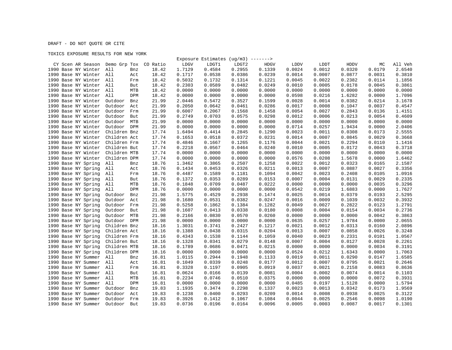DRAFT - DO NOT QUOTE OR CITE

TOXICS EXPOSURE RESULTS FOR NEW YORK

|                                         |                |       |        | Exposure Estimates $(ug/m3)$ -------> |        |             |             |        |             |        |         |
|-----------------------------------------|----------------|-------|--------|---------------------------------------|--------|-------------|-------------|--------|-------------|--------|---------|
| CY Scen AR Season Demo Grp Tox CO Ratio |                |       | LDGV   | LDGT1                                 | LDGT2  | <b>HDGV</b> | <b>LDDV</b> | LDDT   | <b>HDDV</b> | МC     | All Veh |
| 1990 Base NY Winter                     | All<br>Bnz     | 18.42 | 1.7129 | 0.4584                                | 0.2955 | 0.1339      | 0.0024      | 0.0012 | 0.0320      | 0.0179 | 2.6540  |
| 1990 Base NY Winter                     | All<br>Act     | 18.42 | 0.1717 | 0.0538                                | 0.0386 | 0.0239      | 0.0014      | 0.0007 | 0.0877      | 0.0031 | 0.3810  |
| 1990 Base NY Winter All                 | Frm            | 18.42 | 0.5032 | 0.1732                                | 0.1314 | 0.1221      | 0.0045      | 0.0022 | 0.2382      | 0.0114 | 1.1856  |
| 1990 Base NY Winter                     | All<br>But     | 18.42 | 0.2303 | 0.0589                                | 0.0482 | 0.0249      | 0.0010      | 0.0005 | 0.0178      | 0.0045 | 0.3861  |
| 1990 Base NY Winter All                 | MTB            | 18.42 | 0.0000 | 0.0000                                | 0.0000 | 0.0000      | 0.0000      | 0.0000 | 0.0000      | 0.0000 | 0.0000  |
| 1990 Base NY Winter                     | All<br>DPM     | 18.42 | 0.0000 | 0.0000                                | 0.0000 | 0.0000      | 0.0598      | 0.0216 | 1.6282      | 0.0000 | 1.7096  |
| 1990 Base NY Winter                     | Outdoor<br>Bnz | 21.99 | 2.0446 | 0.5472                                | 0.3527 | 0.1599      | 0.0028      | 0.0014 | 0.0382      | 0.0214 | 3.1678  |
| 1990 Base NY Winter                     | Outdoor<br>Act | 21.99 | 0.2050 | 0.0642                                | 0.0461 | 0.0286      | 0.0017      | 0.0008 | 0.1047      | 0.0037 | 0.4547  |
| 1990 Base NY Winter                     | Outdoor<br>Frm | 21.99 | 0.6007 | 0.2067                                | 0.1568 | 0.1458      | 0.0054      | 0.0027 | 0.2843      | 0.0136 | 1.4151  |
| 1990 Base NY Winter                     | Outdoor<br>But | 21.99 | 0.2749 | 0.0703                                | 0.0575 | 0.0298      | 0.0012      | 0.0006 | 0.0213      | 0.0054 | 0.4609  |
| 1990 Base NY Winter                     | Outdoor<br>MTB | 21.99 | 0.0000 | 0.0000                                | 0.0000 | 0.0000      | 0.0000      | 0.0000 | 0.0000      | 0.0000 | 0.0000  |
| 1990 Base NY Winter                     | Outdoor DPM    | 21.99 | 0.0000 | 0.0000                                | 0.0000 | 0.0000      | 0.0714      | 0.0257 | 1.9434      | 0.0000 | 2.0406  |
| 1990 Base NY Winter                     | Children Bnz   | 17.74 | 1.6494 | 0.4414                                | 0.2845 | 0.1290      | 0.0023      | 0.0011 | 0.0308      | 0.0173 | 2.5555  |
| 1990 Base NY Winter                     | Children Act   | 17.74 | 0.1653 | 0.0518                                | 0.0372 | 0.0231      | 0.0014      | 0.0007 | 0.0845      | 0.0029 | 0.3668  |
| 1990 Base NY Winter                     | Children Frm   | 17.74 | 0.4846 | 0.1667                                | 0.1265 | 0.1176      | 0.0044      | 0.0021 | 0.2294      | 0.0110 | 1.1416  |
| 1990 Base NY Winter                     | Children But   | 17.74 | 0.2218 | 0.0567                                | 0.0464 | 0.0240      | 0.0010      | 0.0005 | 0.0172      | 0.0043 | 0.3718  |
|                                         |                |       |        |                                       | 0.0000 |             | 0.0000      | 0.0000 | 0.0000      | 0.0000 | 0.0000  |
| 1990 Base NY Winter                     | Children MTB   | 17.74 | 0.0000 | 0.0000                                |        | 0.0000      |             |        |             |        |         |
| 1990 Base NY Winter                     | Children DPM   | 17.74 | 0.0000 | 0.0000                                | 0.0000 | 0.0000      | 0.0576      | 0.0208 | 1.5678      | 0.0000 | 1.6462  |
| 1990 Base NY Spring                     | All<br>Bnz     | 18.76 | 1.3462 | 0.3865                                | 0.2507 | 0.1258      | 0.0022      | 0.0012 | 0.0323      | 0.0165 | 2.1587  |
| 1990 Base NY Spring                     | All<br>Act     | 18.76 | 0.1434 | 0.0453                                | 0.0326 | 0.0211      | 0.0013      | 0.0007 | 0.0887      | 0.0027 | 0.3356  |
| 1990 Base NY Spring                     | All<br>Frm     | 18.76 | 0.4487 | 0.1589                                | 0.1181 | 0.1094      | 0.0042      | 0.0023 | 0.2408      | 0.0105 | 1.0916  |
| 1990 Base NY Spring                     | All<br>But     | 18.76 | 0.1372 | 0.0353                                | 0.0289 | 0.0153      | 0.0007      | 0.0004 | 0.0131      | 0.0029 | 0.2335  |
| 1990 Base NY Spring                     | All<br>MTB     | 18.76 | 0.1848 | 0.0709                                | 0.0487 | 0.0222      | 0.0000      | 0.0000 | 0.0000      | 0.0035 | 0.3296  |
| 1990 Base NY Spring                     | All<br>DPM     | 18.76 | 0.0000 | 0.0000                                | 0.0000 | 0.0000      | 0.0542      | 0.0219 | 1.6883      | 0.0000 | 1.7627  |
| 1990 Base NY Spring                     | Outdoor<br>Bnz | 21.98 | 1.5775 | 0.4529                                | 0.2938 | 0.1474      | 0.0025      | 0.0014 | 0.0379      | 0.0193 | 2.5295  |
| 1990 Base NY Spring                     | Outdoor<br>Act | 21.98 | 0.1680 | 0.0531                                | 0.0382 | 0.0247      | 0.0016      | 0.0009 | 0.1039      | 0.0032 | 0.3932  |
| 1990 Base NY Spring                     | Outdoor<br>Frm | 21.98 | 0.5258 | 0.1862                                | 0.1384 | 0.1282      | 0.0049      | 0.0027 | 0.2822      | 0.0123 | 1.2791  |
| 1990 Base NY Spring                     | Outdoor<br>But | 21.98 | 0.1607 | 0.0413                                | 0.0338 | 0.0180      | 0.0008      | 0.0004 | 0.0154      | 0.0034 | 0.2736  |
| 1990 Base NY Spring                     | Outdoor<br>MTB | 21.98 | 0.2166 | 0.0830                                | 0.0570 | 0.0260      | 0.0000      | 0.0000 | 0.0000      | 0.0042 | 0.3863  |
| 1990 Base NY Spring                     | Outdoor DPM    | 21.98 | 0.0000 | 0.0000                                | 0.0000 | 0.0000      | 0.0635      | 0.0257 | 1.9784      | 0.0000 | 2.0655  |
| 1990 Base NY Spring                     | Children Bnz   | 18.16 | 1.3031 | 0.3741                                | 0.2427 | 0.1217      | 0.0021      | 0.0012 | 0.0313      | 0.0160 | 2.0896  |
| 1990 Base NY Spring                     | Children Act   | 18.16 | 0.1388 | 0.0438                                | 0.0315 | 0.0204      | 0.0013      | 0.0007 | 0.0858      | 0.0026 | 0.3248  |
| 1990 Base NY Spring                     | Children Frm   | 18.16 | 0.4343 | 0.1538                                | 0.1144 | 0.1059      | 0.0040      | 0.0023 | 0.2331      | 0.0101 | 1.0567  |
| 1990 Base NY Spring                     | Children But   | 18.16 | 0.1328 | 0.0341                                | 0.0279 | 0.0148      | 0.0007      | 0.0004 | 0.0127      | 0.0028 | 0.2261  |
| 1990 Base NY Spring                     | Children MTB   | 18.16 | 0.1789 | 0.0686                                | 0.0471 | 0.0215      | 0.0000      | 0.0000 | 0.0000      | 0.0034 | 0.3191  |
| 1990 Base NY Spring                     | Children DPM   | 18.16 | 0.0000 | 0.0000                                | 0.0000 | 0.0000      | 0.0524      | 0.0212 | 1.6343      | 0.0000 | 1.7063  |
| 1990 Base NY Summer                     | All<br>Bnz     | 16.81 | 1.0115 | 0.2944                                | 0.1948 | 0.1133      | 0.0019      | 0.0011 | 0.0290      | 0.0147 | 1.6585  |
| 1990 Base NY Summer                     | All<br>Act     | 16.81 | 0.1049 | 0.0339                                | 0.0248 | 0.0177      | 0.0012      | 0.0007 | 0.0795      | 0.0021 | 0.2646  |
| 1990 Base NY Summer                     | All<br>Frm     | 16.81 | 0.3328 | 0.1197                                | 0.0905 | 0.0919      | 0.0037      | 0.0021 | 0.2158      | 0.0083 | 0.8636  |
| 1990 Base NY Summer                     | All<br>But     | 16.81 | 0.0624 | 0.0166                                | 0.0139 | 0.0081      | 0.0004      | 0.0002 | 0.0074      | 0.0014 | 0.1103  |
| 1990 Base NY Summer All                 | MTB            | 16.81 | 0.2234 | 0.0746                                | 0.0510 | 0.0375      | 0.0000      | 0.0000 | 0.0000      | 0.0072 | 0.3931  |
| 1990 Base NY Summer                     | All<br>DPM     | 16.81 | 0.0000 | 0.0000                                | 0.0000 | 0.0000      | 0.0485      | 0.0197 | 1.5128      | 0.0000 | 1.5794  |
| 1990 Base NY Summer                     | Outdoor<br>Bnz | 19.83 | 1.1935 | 0.3474                                | 0.2298 | 0.1337      | 0.0023      | 0.0013 | 0.0342      | 0.0173 | 1.9569  |
| 1990 Base NY Summer                     | Outdoor<br>Act | 19.83 | 0.1238 | 0.0400                                | 0.0293 | 0.0209      | 0.0014      | 0.0008 | 0.0938      | 0.0025 | 0.3122  |
| 1990 Base NY Summer                     | Outdoor<br>Frm | 19.83 | 0.3926 | 0.1412                                | 0.1067 | 0.1084      | 0.0044      | 0.0025 | 0.2546      | 0.0098 | 1.0190  |
| 1990 Base NY Summer                     | Outdoor<br>But | 19.83 | 0.0736 | 0.0196                                | 0.0164 | 0.0096      | 0.0005      | 0.0003 | 0.0087      | 0.0017 | 0.1301  |
|                                         |                |       |        |                                       |        |             |             |        |             |        |         |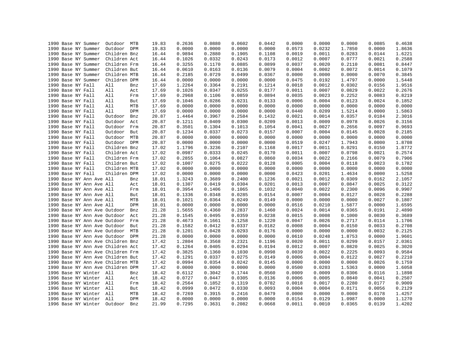|  |                   | 1990 Base NY Summer          | Outdoor MTB                       |     | 19.83 | 0.2636 | 0.0880 | 0.0602 | 0.0442 | 0.0000 | 0.0000 | 0.0000 | 0.0085 | 0.4638 |
|--|-------------------|------------------------------|-----------------------------------|-----|-------|--------|--------|--------|--------|--------|--------|--------|--------|--------|
|  |                   | 1990 Base NY Summer          | Outdoor DPM                       |     | 19.83 | 0.0000 | 0.0000 | 0.0000 | 0.0000 | 0.0573 | 0.0232 | 1.7850 | 0.0000 | 1.8636 |
|  |                   | 1990 Base NY Summer          | Children Bnz                      |     | 16.44 | 0.9894 | 0.2880 | 0.1905 | 0.1108 | 0.0019 | 0.0011 | 0.0283 | 0.0144 | 1.6221 |
|  |                   | 1990 Base NY Summer          | Children Act                      |     | 16.44 | 0.1026 | 0.0332 | 0.0243 | 0.0173 | 0.0012 | 0.0007 | 0.0777 | 0.0021 | 0.2588 |
|  |                   | 1990 Base NY Summer          | Children Frm                      |     | 16.44 | 0.3255 | 0.1170 | 0.0885 | 0.0899 | 0.0037 | 0.0020 | 0.2110 | 0.0081 | 0.8447 |
|  |                   | 1990 Base NY Summer          | Children But                      |     | 16.44 | 0.0610 | 0.0163 | 0.0136 | 0.0079 | 0.0004 | 0.0002 | 0.0072 | 0.0014 | 0.1079 |
|  |                   | 1990 Base NY Summer          | Children MTB                      |     | 16.44 | 0.2185 | 0.0729 | 0.0499 | 0.0367 | 0.0000 | 0.0000 | 0.0000 | 0.0070 | 0.3845 |
|  |                   | 1990 Base NY Summer          | Children DPM                      |     | 16.44 | 0.0000 | 0.0000 | 0.0000 | 0.0000 | 0.0475 | 0.0192 | 1.4797 | 0.0000 | 1.5448 |
|  | 1990 Base NY Fall |                              | All                               | Bnz | 17.69 | 1.2264 | 0.3364 | 0.2191 | 0.1214 | 0.0018 | 0.0012 | 0.0302 | 0.0156 | 1.9516 |
|  | 1990 Base NY Fall |                              | All                               | Act | 17.69 | 0.1026 | 0.0347 | 0.0255 | 0.0177 | 0.0011 | 0.0007 | 0.0829 | 0.0022 | 0.2676 |
|  | 1990 Base NY Fall |                              | All                               | Frm | 17.69 | 0.2968 | 0.1106 | 0.0859 | 0.0894 | 0.0035 | 0.0023 | 0.2252 | 0.0083 | 0.8219 |
|  | 1990 Base NY Fall |                              | All                               | But | 17.69 | 0.1046 | 0.0286 | 0.0231 | 0.0133 | 0.0006 | 0.0004 | 0.0123 | 0.0024 | 0.1852 |
|  | 1990 Base NY Fall |                              | All                               | MTB | 17.69 | 0.0000 | 0.0000 | 0.0000 | 0.0000 | 0.0000 | 0.0000 | 0.0000 | 0.0000 | 0.0000 |
|  | 1990 Base NY Fall |                              | All                               | DPM | 17.69 | 0.0000 | 0.0000 | 0.0000 | 0.0000 | 0.0440 | 0.0209 | 1.5214 | 0.0000 | 1.5863 |
|  | 1990 Base NY Fall |                              | Outdoor                           | Bnz | 20.87 | 1.4464 | 0.3967 | 0.2584 | 0.1432 | 0.0021 | 0.0014 | 0.0357 | 0.0184 | 2.3016 |
|  | 1990 Base NY Fall |                              | Outdoor                           | Act | 20.87 | 0.1211 | 0.0409 | 0.0300 | 0.0209 | 0.0013 | 0.0009 | 0.0978 | 0.0026 | 0.3156 |
|  | 1990 Base NY Fall |                              | Outdoor                           | Frm | 20.87 | 0.3501 | 0.1304 | 0.1013 | 0.1054 | 0.0041 | 0.0027 | 0.2656 | 0.0097 | 0.9693 |
|  | 1990 Base NY Fall |                              | Outdoor But                       |     | 20.87 | 0.1234 | 0.0337 | 0.0273 | 0.0157 | 0.0007 | 0.0004 | 0.0145 | 0.0028 | 0.2185 |
|  | 1990 Base NY Fall |                              | Outdoor MTB                       |     | 20.87 | 0.0000 | 0.0000 | 0.0000 | 0.0000 | 0.0000 | 0.0000 | 0.0000 | 0.0000 | 0.0000 |
|  | 1990 Base NY Fall |                              | Outdoor DPM                       |     | 20.87 | 0.0000 | 0.0000 | 0.0000 | 0.0000 | 0.0519 | 0.0247 | 1.7943 | 0.0000 | 1.8708 |
|  | 1990 Base NY Fall |                              | Children Bnz                      |     | 17.02 | 1.1796 | 0.3236 | 0.2107 | 0.1168 | 0.0017 | 0.0011 | 0.0291 | 0.0150 | 1.8772 |
|  | 1990 Base NY Fall |                              | Children Act                      |     | 17.02 | 0.0987 | 0.0333 | 0.0245 | 0.0170 | 0.0011 | 0.0007 | 0.0798 | 0.0021 | 0.2574 |
|  | 1990 Base NY Fall |                              | Children Frm                      |     | 17.02 | 0.2855 | 0.1064 | 0.0827 | 0.0860 | 0.0034 | 0.0022 | 0.2166 | 0.0079 | 0.7906 |
|  | 1990 Base NY Fall |                              | Children But                      |     | 17.02 | 0.1007 | 0.0275 | 0.0222 | 0.0128 | 0.0005 | 0.0004 | 0.0118 | 0.0023 | 0.1782 |
|  | 1990 Base NY Fall |                              | Children MTB                      |     | 17.02 | 0.0000 | 0.0000 | 0.0000 | 0.0000 | 0.0000 | 0.0000 | 0.0000 | 0.0000 | 0.0000 |
|  | 1990 Base NY Fall |                              | Children DPM                      |     | 17.02 | 0.0000 | 0.0000 | 0.0000 | 0.0000 | 0.0423 | 0.0201 | 1.4634 | 0.0000 | 1.5258 |
|  |                   | 1990 Base NY Ann Ave All     |                                   | Bnz | 18.01 | 1.3243 | 0.3689 | 0.2400 | 0.1236 | 0.0021 | 0.0012 | 0.0309 | 0.0162 | 2.1057 |
|  |                   |                              |                                   |     |       |        |        |        |        |        |        |        |        |        |
|  |                   | 1990 Base NY Ann Ave All     |                                   | Act | 18.01 | 0.1307 | 0.0419 | 0.0304 | 0.0201 | 0.0013 | 0.0007 | 0.0847 | 0.0025 | 0.3122 |
|  |                   | 1990 Base NY Ann Ave All     |                                   | Frm | 18.01 | 0.3954 | 0.1406 | 0.1065 | 0.1032 | 0.0040 | 0.0022 | 0.2300 | 0.0096 | 0.9907 |
|  |                   | 1990 Base NY Ann Ave All     |                                   | But | 18.01 | 0.1336 | 0.0348 | 0.0285 | 0.0154 | 0.0007 | 0.0004 | 0.0127 | 0.0028 | 0.2288 |
|  |                   | 1990 Base NY Ann Ave All     |                                   | MTB | 18.01 | 0.1021 | 0.0364 | 0.0249 | 0.0149 | 0.0000 | 0.0000 | 0.0000 | 0.0027 | 0.1807 |
|  |                   | 1990 Base NY Ann Ave All     |                                   | DPM | 18.01 | 0.0000 | 0.0000 | 0.0000 | 0.0000 | 0.0516 | 0.0210 | 1.5877 | 0.0000 | 1.6595 |
|  |                   | 1990 Base NY Ann Ave Outdoor |                                   | Bnz | 21.28 | 1.5655 | 0.4360 | 0.2837 | 0.1460 | 0.0024 | 0.0014 | 0.0365 | 0.0191 | 2.4890 |
|  |                   | 1990 Base NY Ann Ave Outdoor |                                   | Act | 21.28 | 0.1545 | 0.0495 | 0.0359 | 0.0238 | 0.0015 | 0.0008 | 0.1000 | 0.0030 | 0.3689 |
|  |                   | 1990 Base NY Ann Ave Outdoor |                                   | Frm | 21.28 | 0.4673 | 0.1661 | 0.1258 | 0.1220 | 0.0047 | 0.0026 | 0.2717 | 0.0114 | 1.1706 |
|  |                   | 1990 Base NY Ann Ave Outdoor |                                   | But | 21.28 | 0.1582 | 0.0412 | 0.0337 | 0.0182 | 0.0008 | 0.0004 | 0.0150 | 0.0033 | 0.2708 |
|  |                   |                              | 1990 Base NY Ann Ave Outdoor MTB  |     | 21.28 | 0.1201 | 0.0428 | 0.0293 | 0.0176 | 0.0000 | 0.0000 | 0.0000 | 0.0032 | 0.2125 |
|  |                   |                              | 1990 Base NY Ann Ave Outdoor DPM  |     | 21.28 | 0.0000 | 0.0000 | 0.0000 | 0.0000 | 0.0610 | 0.0248 | 1.8753 | 0.0000 | 1.9601 |
|  |                   |                              | 1990 Base NY Ann Ave Children Bnz |     | 17.42 | 1.2804 | 0.3568 | 0.2321 | 0.1196 | 0.0020 | 0.0011 | 0.0299 | 0.0157 | 2.0361 |
|  |                   |                              | 1990 Base NY Ann Ave Children Act |     | 17.42 | 0.1264 | 0.0405 | 0.0294 | 0.0194 | 0.0012 | 0.0007 | 0.0820 | 0.0025 | 0.3020 |
|  |                   |                              | 1990 Base NY Ann Ave Children Frm |     | 17.42 | 0.3825 | 0.1360 | 0.1030 | 0.0998 | 0.0039 | 0.0022 | 0.2225 | 0.0093 | 0.9584 |
|  |                   |                              | 1990 Base NY Ann Ave Children But |     | 17.42 | 0.1291 | 0.0337 | 0.0275 | 0.0149 | 0.0006 | 0.0004 | 0.0122 | 0.0027 | 0.2210 |
|  |                   |                              | 1990 Base NY Ann Ave Children MTB |     | 17.42 | 0.0994 | 0.0354 | 0.0242 | 0.0145 | 0.0000 | 0.0000 | 0.0000 | 0.0026 | 0.1759 |
|  |                   |                              | 1990 Base NY Ann Ave Children DPM |     | 17.42 | 0.0000 | 0.0000 | 0.0000 | 0.0000 | 0.0500 | 0.0203 | 1.5363 | 0.0000 | 1.6058 |
|  |                   | 1996 Base NY Winter All      |                                   | Bnz | 18.42 | 0.6112 | 0.3042 | 0.1744 | 0.0560 | 0.0009 | 0.0009 | 0.0306 | 0.0116 | 1.1898 |
|  |                   | 1996 Base NY Winter All      |                                   | Act | 18.42 | 0.0727 | 0.0447 | 0.0305 | 0.0136 | 0.0006 | 0.0005 | 0.0840 | 0.0041 | 0.2507 |
|  |                   | 1996 Base NY Winter All      |                                   | Frm | 18.42 | 0.2564 | 0.1852 | 0.1319 | 0.0782 | 0.0018 | 0.0017 | 0.2280 | 0.0177 | 0.9009 |
|  |                   | 1996 Base NY Winter All      |                                   | But | 18.42 | 0.0999 | 0.0472 | 0.0330 | 0.0093 | 0.0004 | 0.0004 | 0.0171 | 0.0056 | 0.2129 |
|  |                   | 1996 Base NY Winter All      |                                   | MTB | 18.42 | 0.7269 | 0.3915 | 0.2416 | 0.0479 | 0.0000 | 0.0000 | 0.0000 | 0.0178 | 1.4257 |
|  |                   | 1996 Base NY Winter All      |                                   | DPM | 18.42 | 0.0000 | 0.0000 | 0.0000 | 0.0000 | 0.0154 | 0.0129 | 1.0987 | 0.0000 | 1.1270 |
|  |                   | 1996 Base NY Winter          | Outdoor                           | Bnz | 21.99 | 0.7295 | 0.3631 | 0.2082 | 0.0668 | 0.0011 | 0.0010 | 0.0365 | 0.0139 | 1.4202 |
|  |                   |                              |                                   |     |       |        |        |        |        |        |        |        |        |        |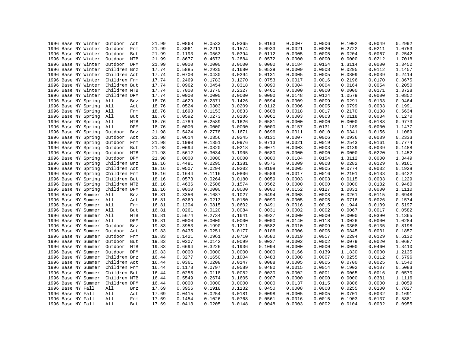| 1996 Base NY Winter | Outdoor<br>Act    | 21.99 | 0.0868 | 0.0533 | 0.0365 | 0.0163 | 0.0007 | 0.0006 | 0.1002 | 0.0049 | 0.2992 |
|---------------------|-------------------|-------|--------|--------|--------|--------|--------|--------|--------|--------|--------|
| 1996 Base NY Winter | Outdoor<br>Frm    | 21.99 | 0.3061 | 0.2211 | 0.1574 | 0.0933 | 0.0021 | 0.0020 | 0.2722 | 0.0211 | 1.0753 |
| 1996 Base NY Winter | Outdoor<br>But    | 21.99 | 0.1193 | 0.0563 | 0.0394 | 0.0112 | 0.0005 | 0.0005 | 0.0204 | 0.0067 | 0.2542 |
| 1996 Base NY Winter | Outdoor<br>MTB    | 21.99 | 0.8677 | 0.4673 | 0.2884 | 0.0572 | 0.0000 | 0.0000 | 0.0000 | 0.0212 | 1.7018 |
| 1996 Base NY Winter | Outdoor DPM       | 21.99 | 0.0000 | 0.0000 | 0.0000 | 0.0000 | 0.0184 | 0.0154 | 1.3114 | 0.0000 | 1.3452 |
| 1996 Base NY Winter | Children Bnz      | 17.74 | 0.5885 | 0.2930 | 0.1680 | 0.0539 | 0.0009 | 0.0008 | 0.0295 | 0.0112 | 1.1457 |
| 1996 Base NY Winter | Children Act      | 17.74 | 0.0700 | 0.0430 | 0.0294 | 0.0131 | 0.0005 | 0.0005 | 0.0809 | 0.0039 | 0.2414 |
| 1996 Base NY Winter | Children Frm      | 17.74 | 0.2469 | 0.1783 | 0.1270 | 0.0753 | 0.0017 | 0.0016 | 0.2196 | 0.0170 | 0.8675 |
| 1996 Base NY Winter | Children But      | 17.74 | 0.0962 | 0.0454 | 0.0318 | 0.0090 | 0.0004 | 0.0004 | 0.0164 | 0.0054 | 0.2050 |
| 1996 Base NY Winter | Children MTB      | 17.74 | 0.7000 | 0.3770 | 0.2327 | 0.0461 | 0.0000 | 0.0000 | 0.0000 | 0.0171 | 1.3728 |
| 1996 Base NY Winter | Children DPM      | 17.74 | 0.0000 | 0.0000 | 0.0000 | 0.0000 | 0.0148 | 0.0124 | 1.0579 | 0.0000 | 1.0852 |
| 1996 Base NY Spring | All<br>Bnz        | 18.76 | 0.4629 | 0.2371 | 0.1426 | 0.0594 | 0.0009 | 0.0009 | 0.0291 | 0.0133 | 0.9464 |
| 1996 Base NY Spring | All               | 18.76 | 0.0524 | 0.0303 | 0.0209 | 0.0112 | 0.0006 | 0.0005 | 0.0799 | 0.0033 | 0.1991 |
|                     | Act               |       |        |        |        |        |        |        |        |        |        |
| 1996 Base NY Spring | All<br>Frm        | 18.76 | 0.1698 | 0.1153 | 0.0833 | 0.0608 | 0.0018 | 0.0017 | 0.2170 | 0.0138 | 0.6634 |
| 1996 Base NY Spring | All<br>But        | 18.76 | 0.0592 | 0.0273 | 0.0186 | 0.0061 | 0.0003 | 0.0003 | 0.0118 | 0.0034 | 0.1270 |
| 1996 Base NY Spring | All<br>MTB        | 18.76 | 0.4789 | 0.2589 | 0.1626 | 0.0581 | 0.0000 | 0.0000 | 0.0000 | 0.0188 | 0.9773 |
| 1996 Base NY Spring | <b>DPM</b><br>All | 18.76 | 0.0000 | 0.0000 | 0.0000 | 0.0000 | 0.0157 | 0.0131 | 1.1189 | 0.0000 | 1.1477 |
| 1996 Base NY Spring | Outdoor<br>Bnz    | 21.98 | 0.5424 | 0.2778 | 0.1671 | 0.0696 | 0.0011 | 0.0010 | 0.0341 | 0.0156 | 1.1089 |
| 1996 Base NY Spring | Outdoor<br>Act    | 21.98 | 0.0614 | 0.0356 | 0.0245 | 0.0131 | 0.0007 | 0.0006 | 0.0936 | 0.0039 | 0.2333 |
| 1996 Base NY Spring | Outdoor<br>Frm    | 21.98 | 0.1990 | 0.1351 | 0.0976 | 0.0713 | 0.0021 | 0.0019 | 0.2543 | 0.0161 | 0.7774 |
| 1996 Base NY Spring | Outdoor<br>But    | 21.98 | 0.0694 | 0.0320 | 0.0218 | 0.0071 | 0.0003 | 0.0003 | 0.0139 | 0.0039 | 0.1488 |
| 1996 Base NY Spring | Outdoor<br>MTB    | 21.98 | 0.5612 | 0.3034 | 0.1905 | 0.0680 | 0.0000 | 0.0000 | 0.0000 | 0.0220 | 1.1452 |
| 1996 Base NY Spring | Outdoor<br>DPM    | 21.98 | 0.0000 | 0.0000 | 0.0000 | 0.0000 | 0.0184 | 0.0154 | 1.3112 | 0.0000 | 1.3449 |
| 1996 Base NY Spring | Children Bnz      | 18.16 | 0.4481 | 0.2295 | 0.1381 | 0.0575 | 0.0009 | 0.0008 | 0.0282 | 0.0129 | 0.9161 |
| 1996 Base NY Spring | Children Act      | 18.16 | 0.0507 | 0.0294 | 0.0202 | 0.0108 | 0.0005 | 0.0005 | 0.0774 | 0.0032 | 0.1928 |
| 1996 Base NY Spring | Children Frm      | 18.16 | 0.1644 | 0.1116 | 0.0806 | 0.0589 | 0.0017 | 0.0016 | 0.2101 | 0.0133 | 0.6422 |
| 1996 Base NY Spring | Children But      | 18.16 | 0.0573 | 0.0264 | 0.0180 | 0.0059 | 0.0003 | 0.0003 | 0.0115 | 0.0033 | 0.1229 |
| 1996 Base NY Spring | Children MTB      | 18.16 | 0.4636 | 0.2506 | 0.1574 | 0.0562 | 0.0000 | 0.0000 | 0.0000 | 0.0182 | 0.9460 |
| 1996 Base NY Spring | Children DPM      | 18.16 | 0.0000 | 0.0000 | 0.0000 | 0.0000 | 0.0152 | 0.0127 | 1.0831 | 0.0000 | 1.1110 |
| 1996 Base NY Summer | All<br>Bnz        | 16.81 | 0.3350 | 0.1687 | 0.1027 | 0.0494 | 0.0008 | 0.0008 | 0.0261 | 0.0115 | 0.6948 |
| 1996 Base NY Summer | All               | 16.81 | 0.0369 | 0.0213 | 0.0150 | 0.0090 | 0.0005 | 0.0005 | 0.0716 | 0.0026 | 0.1574 |
|                     | Act               |       |        |        |        |        |        |        |        |        |        |
| 1996 Base NY Summer | All<br>Frm        | 16.81 | 0.1204 | 0.0815 | 0.0602 | 0.0491 | 0.0016 | 0.0015 | 0.1944 | 0.0109 | 0.5197 |
| 1996 Base NY Summer | All<br>But        | 16.81 | 0.0261 | 0.0120 | 0.0084 | 0.0031 | 0.0002 | 0.0002 | 0.0067 | 0.0017 | 0.0582 |
| 1996 Base NY Summer | All<br>MTB        | 16.81 | 0.5674 | 0.2734 | 0.1641 | 0.0927 | 0.0000 | 0.0000 | 0.0000 | 0.0390 | 1.1365 |
| 1996 Base NY Summer | All<br><b>DPM</b> | 16.81 | 0.0000 | 0.0000 | 0.0000 | 0.0000 | 0.0140 | 0.0118 | 1.0026 | 0.0000 | 1.0284 |
| 1996 Base NY Summer | Outdoor<br>Bnz    | 19.83 | 0.3953 | 0.1990 | 0.1211 | 0.0582 | 0.0010 | 0.0009 | 0.0308 | 0.0135 | 0.8198 |
| 1996 Base NY Summer | Outdoor<br>Act    | 19.83 | 0.0435 | 0.0251 | 0.0177 | 0.0106 | 0.0006 | 0.0006 | 0.0845 | 0.0031 | 0.1857 |
| 1996 Base NY Summer | Outdoor<br>Frm    | 19.83 | 0.1421 | 0.0961 | 0.0710 | 0.0580 | 0.0019 | 0.0017 | 0.2294 | 0.0129 | 0.6132 |
| 1996 Base NY Summer | Outdoor<br>But    | 19.83 | 0.0307 | 0.0142 | 0.0099 | 0.0037 | 0.0002 | 0.0002 | 0.0079 | 0.0020 | 0.0687 |
| 1996 Base NY Summer | Outdoor<br>MTB    | 19.83 | 0.6694 | 0.3226 | 0.1936 | 0.1094 | 0.0000 | 0.0000 | 0.0000 | 0.0460 | 1.3410 |
| 1996 Base NY Summer | Outdoor<br>DPM    | 19.83 | 0.0000 | 0.0000 | 0.0000 | 0.0000 | 0.0166 | 0.0139 | 1.1830 | 0.0000 | 1.2135 |
| 1996 Base NY Summer | Children Bnz      | 16.44 | 0.3277 | 0.1650 | 0.1004 | 0.0483 | 0.0008 | 0.0007 | 0.0255 | 0.0112 | 0.6796 |
| 1996 Base NY Summer | Children Act      | 16.44 | 0.0361 | 0.0208 | 0.0147 | 0.0088 | 0.0005 | 0.0005 | 0.0700 | 0.0025 | 0.1540 |
| 1996 Base NY Summer | Children Frm      | 16.44 | 0.1178 | 0.0797 | 0.0589 | 0.0480 | 0.0015 | 0.0014 | 0.1902 | 0.0107 | 0.5083 |
| 1996 Base NY Summer | Children But      | 16.44 | 0.0255 | 0.0118 | 0.0082 | 0.0030 | 0.0002 | 0.0001 | 0.0065 | 0.0016 | 0.0570 |
| 1996 Base NY Summer | Children MTB      | 16.44 | 0.5549 | 0.2674 | 0.1605 | 0.0907 | 0.0000 | 0.0000 | 0.0000 | 0.0381 | 1.1116 |
| 1996 Base NY Summer | Children DPM      | 16.44 | 0.0000 | 0.0000 | 0.0000 | 0.0000 | 0.0137 | 0.0115 | 0.9806 | 0.0000 | 1.0059 |
| 1996 Base NY Fall   | All<br>Bnz        | 17.69 | 0.3956 | 0.1918 | 0.1132 | 0.0450 | 0.0008 | 0.0008 | 0.0255 | 0.0100 | 0.7827 |
| 1996 Base NY Fall   | All<br>Act        | 17.69 | 0.0415 | 0.0254 | 0.0181 | 0.0098 | 0.0005 | 0.0005 | 0.0701 | 0.0032 | 0.1691 |
|                     |                   |       |        |        |        |        |        |        |        |        |        |
| 1996 Base NY Fall   | All<br>Frm        | 17.69 | 0.1454 | 0.1026 | 0.0768 | 0.0561 | 0.0016 | 0.0015 | 0.1903 | 0.0137 | 0.5881 |
| 1996 Base NY Fall   | All<br>But        | 17.69 | 0.0413 | 0.0205 | 0.0148 | 0.0048 | 0.0003 | 0.0002 | 0.0104 | 0.0032 | 0.0955 |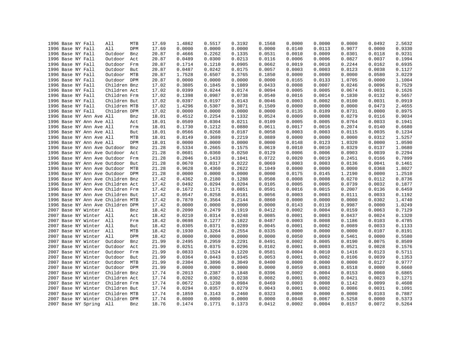|  | 1996 Base NY Fall            |     | All                               | MTB | 17.69 | 1.4862           | 0.5517 | 0.3192 | 0.1568 | 0.0000 | 0.0000 | 0.0000 | 0.0492 | 2.5632 |
|--|------------------------------|-----|-----------------------------------|-----|-------|------------------|--------|--------|--------|--------|--------|--------|--------|--------|
|  | 1996 Base NY Fall            |     | All                               | DPM | 17.69 | 0.0000           | 0.0000 | 0.0000 | 0.0000 | 0.0140 | 0.0113 | 0.9077 | 0.0000 | 0.9330 |
|  | 1996 Base NY Fall            |     | Outdoor                           | Bnz | 20.87 | 0.4666           | 0.2262 | 0.1335 | 0.0531 | 0.0010 | 0.0009 | 0.0301 | 0.0118 | 0.9231 |
|  | 1996 Base NY Fall            |     | Outdoor                           | Act | 20.87 | 0.0489           | 0.0300 | 0.0213 | 0.0116 | 0.0006 | 0.0006 | 0.0827 | 0.0037 | 0.1994 |
|  | 1996 Base NY Fall            |     | Outdoor                           | Frm | 20.87 | 0.1714           | 0.1210 | 0.0905 | 0.0662 | 0.0019 | 0.0018 | 0.2244 | 0.0162 | 0.6935 |
|  | 1996 Base NY Fall            |     | Outdoor                           | But | 20.87 | 0.0487           | 0.0242 | 0.0175 | 0.0057 | 0.0003 | 0.0003 | 0.0123 | 0.0038 | 0.1127 |
|  | 1996 Base NY Fall            |     | Outdoor MTB                       |     | 20.87 | 1.7528           | 0.6507 | 0.3765 | 0.1850 | 0.0000 | 0.0000 | 0.0000 | 0.0580 | 3.0229 |
|  | 1996 Base NY Fall            |     | Outdoor DPM                       |     | 20.87 | 0.0000           | 0.0000 | 0.0000 | 0.0000 | 0.0165 | 0.0133 | 1.0705 | 0.0000 | 1.1004 |
|  | 1996 Base NY Fall            |     | Children Bnz                      |     | 17.02 | 0.3805           | 0.1845 | 0.1089 | 0.0433 | 0.0008 | 0.0007 | 0.0246 | 0.0096 | 0.7529 |
|  | 1996 Base NY Fall            |     | Children Act                      |     | 17.02 | 0.0399           | 0.0244 | 0.0174 | 0.0094 | 0.0005 | 0.0005 | 0.0674 | 0.0031 | 0.1626 |
|  | 1996 Base NY Fall            |     | Children Frm                      |     | 17.02 | 0.1398           | 0.0987 | 0.0738 | 0.0540 | 0.0016 | 0.0014 | 0.1830 | 0.0132 | 0.5657 |
|  | 1996 Base NY Fall            |     | Children But                      |     | 17.02 | 0.0397           | 0.0197 | 0.0143 | 0.0046 | 0.0003 | 0.0002 | 0.0100 | 0.0031 | 0.0919 |
|  | 1996 Base NY Fall            |     | Children MTB                      |     | 17.02 | 1.4296           | 0.5307 | 0.3071 | 0.1509 | 0.0000 | 0.0000 | 0.0000 | 0.0473 | 2.4655 |
|  | 1996 Base NY Fall            |     | Children DPM                      |     | 17.02 | 0.0000           | 0.0000 | 0.0000 | 0.0000 | 0.0135 | 0.0109 | 0.8731 | 0.0000 | 0.8975 |
|  | 1996 Base NY Ann Ave All     |     |                                   | Bnz | 18.01 | 0.4512           | 0.2254 | 0.1332 | 0.0524 | 0.0009 | 0.0008 | 0.0279 | 0.0116 | 0.9034 |
|  | 1996 Base NY Ann Ave All     |     |                                   | Act | 18.01 | 0.0509           | 0.0304 | 0.0211 | 0.0109 | 0.0005 | 0.0005 | 0.0764 | 0.0033 | 0.1941 |
|  | 1996 Base NY Ann Ave All     |     |                                   | Frm | 18.01 | 0.1730           | 0.1212 | 0.0880 | 0.0611 | 0.0017 | 0.0016 | 0.2074 | 0.0140 | 0.6680 |
|  | 1996 Base NY Ann Ave All     |     |                                   | But | 18.01 | 0.0566           | 0.0268 | 0.0187 | 0.0058 | 0.0003 | 0.0003 | 0.0115 | 0.0035 | 0.1234 |
|  | 1996 Base NY Ann Ave All     |     |                                   | MTB | 18.01 | 0.8149           | 0.3689 | 0.2219 | 0.0889 | 0.0000 | 0.0000 | 0.0000 | 0.0312 | 1.5257 |
|  | 1996 Base NY Ann Ave All     |     |                                   | DPM | 18.01 | 0.0000           | 0.0000 | 0.0000 | 0.0000 | 0.0148 | 0.0123 | 1.0320 | 0.0000 | 1.0590 |
|  | 1996 Base NY Ann Ave Outdoor |     |                                   | Bnz | 21.28 | 0.5334           | 0.2665 | 0.1575 | 0.0619 | 0.0010 | 0.0010 | 0.0329 | 0.0137 | 1.0680 |
|  |                              |     |                                   |     |       |                  |        | 0.0250 |        | 0.0006 | 0.0006 | 0.0903 | 0.0039 | 0.2294 |
|  | 1996 Base NY Ann Ave Outdoor |     |                                   | Act | 21.28 | 0.0601<br>0.2046 | 0.0360 |        | 0.0129 |        | 0.0019 |        |        |        |
|  | 1996 Base NY Ann Ave Outdoor |     |                                   | Frm | 21.28 |                  | 0.1433 | 0.1041 | 0.0722 | 0.0020 |        | 0.2451 | 0.0166 | 0.7899 |
|  | 1996 Base NY Ann Ave Outdoor |     |                                   | But | 21.28 | 0.0670           | 0.0317 | 0.0222 | 0.0069 | 0.0003 | 0.0003 | 0.0136 | 0.0041 | 0.1461 |
|  |                              |     | 1996 Base NY Ann Ave Outdoor MTB  |     | 21.28 | 0.9628           | 0.4360 | 0.2622 | 0.1049 | 0.0000 | 0.0000 | 0.0000 | 0.0368 | 1.8027 |
|  |                              |     | 1996 Base NY Ann Ave Outdoor DPM  |     | 21.28 | 0.0000           | 0.0000 | 0.0000 | 0.0000 | 0.0175 | 0.0145 | 1.2190 | 0.0000 | 1.2510 |
|  |                              |     | 1996 Base NY Ann Ave Children Bnz |     | 17.42 | 0.4362           | 0.2180 | 0.1288 | 0.0508 | 0.0008 | 0.0008 | 0.0270 | 0.0112 | 0.8736 |
|  |                              |     | 1996 Base NY Ann Ave Children Act |     | 17.42 | 0.0492           | 0.0294 | 0.0204 | 0.0105 | 0.0005 | 0.0005 | 0.0739 | 0.0032 | 0.1877 |
|  |                              |     | 1996 Base NY Ann Ave Children Frm |     | 17.42 | 0.1672           | 0.1171 | 0.0851 | 0.0591 | 0.0016 | 0.0015 | 0.2007 | 0.0136 | 0.6459 |
|  |                              |     | 1996 Base NY Ann Ave Children But |     | 17.42 | 0.0547           | 0.0258 | 0.0181 | 0.0056 | 0.0003 | 0.0003 | 0.0111 | 0.0033 | 0.1192 |
|  |                              |     | 1996 Base NY Ann Ave Children MTB |     | 17.42 | 0.7870           | 0.3564 | 0.2144 | 0.0860 | 0.0000 | 0.0000 | 0.0000 | 0.0302 | 1.4740 |
|  |                              |     | 1996 Base NY Ann Ave Children DPM |     | 17.42 | 0.0000           | 0.0000 | 0.0000 | 0.0000 | 0.0143 | 0.0119 | 0.9987 | 0.0000 | 1.0249 |
|  | 2007 Base NY Winter All      |     |                                   | Bnz | 18.42 | 0.2090           | 0.2479 | 0.1919 | 0.0412 | 0.0002 | 0.0004 | 0.0159 | 0.0063 | 0.7129 |
|  | 2007 Base NY Winter All      |     |                                   | Act | 18.42 | 0.0210           | 0.0314 | 0.0248 | 0.0085 | 0.0001 | 0.0003 | 0.0437 | 0.0024 | 0.1320 |
|  | 2007 Base NY Winter All      |     |                                   | Frm | 18.42 | 0.0698           | 0.1277 | 0.1022 | 0.0487 | 0.0003 | 0.0008 | 0.1186 | 0.0103 | 0.4785 |
|  | 2007 Base NY Winter          | All |                                   | But | 18.42 | 0.0305           | 0.0371 | 0.0289 | 0.0045 | 0.0001 | 0.0002 | 0.0089 | 0.0033 | 0.1133 |
|  | 2007 Base NY Winter All      |     |                                   | MTB | 18.42 | 0.1930           | 0.3264 | 0.2554 | 0.0335 | 0.0000 | 0.0000 | 0.0000 | 0.0107 | 0.8191 |
|  | 2007 Base NY Winter          | All |                                   | DPM | 18.42 | 0.0000           | 0.0000 | 0.0000 | 0.0000 | 0.0050 | 0.0069 | 0.5461 | 0.0000 | 0.5580 |
|  | 2007 Base NY Winter          |     | Outdoor                           | Bnz | 21.99 | 0.2495           | 0.2959 | 0.2291 | 0.0491 | 0.0002 | 0.0005 | 0.0190 | 0.0075 | 0.8509 |
|  | 2007 Base NY Winter          |     | Outdoor                           | Act | 21.99 | 0.0251           | 0.0375 | 0.0296 | 0.0102 | 0.0001 | 0.0003 | 0.0521 | 0.0028 | 0.1576 |
|  | 2007 Base NY Winter          |     | Outdoor                           | Frm | 21.99 | 0.0833           | 0.1524 | 0.1220 | 0.0581 | 0.0004 | 0.0010 | 0.1416 | 0.0123 | 0.5711 |
|  | 2007 Base NY Winter          |     | Outdoor                           | But | 21.99 | 0.0364           | 0.0443 | 0.0345 | 0.0053 | 0.0001 | 0.0002 | 0.0106 | 0.0039 | 0.1353 |
|  | 2007 Base NY Winter          |     | Outdoor MTB                       |     | 21.99 | 0.2304           | 0.3896 | 0.3049 | 0.0400 | 0.0000 | 0.0000 | 0.0000 | 0.0127 | 0.9777 |
|  | 2007 Base NY Winter          |     | Outdoor DPM                       |     | 21.99 | 0.0000           | 0.0000 | 0.0000 | 0.0000 | 0.0059 | 0.0083 | 0.6518 | 0.0000 | 0.6660 |
|  | 2007 Base NY Winter          |     | Children Bnz                      |     | 17.74 | 0.2013           | 0.2387 | 0.1848 | 0.0396 | 0.0002 | 0.0004 | 0.0153 | 0.0060 | 0.6865 |
|  | 2007 Base NY Winter          |     | Children Act                      |     | 17.74 | 0.0202           | 0.0302 | 0.0238 | 0.0082 | 0.0001 | 0.0002 | 0.0421 | 0.0023 | 0.1271 |
|  | 2007 Base NY Winter          |     | Children Frm                      |     | 17.74 | 0.0672           | 0.1230 | 0.0984 | 0.0469 | 0.0003 | 0.0008 | 0.1142 | 0.0099 | 0.4608 |
|  | 2007 Base NY Winter          |     | Children But                      |     | 17.74 | 0.0294           | 0.0357 | 0.0279 | 0.0043 | 0.0001 | 0.0002 | 0.0086 | 0.0031 | 0.1091 |
|  | 2007 Base NY Winter          |     | Children MTB                      |     | 17.74 | 0.1859           | 0.3143 | 0.2460 | 0.0323 | 0.0000 | 0.0000 | 0.0000 | 0.0103 | 0.7887 |
|  | 2007 Base NY Winter          |     | Children DPM                      |     | 17.74 | 0.0000           | 0.0000 | 0.0000 | 0.0000 | 0.0048 | 0.0067 | 0.5258 | 0.0000 | 0.5373 |
|  | 2007 Base NY Spring          |     | All                               | Bnz | 18.76 | 0.1474           | 0.1771 | 0.1373 | 0.0412 | 0.0002 | 0.0004 | 0.0157 | 0.0072 | 0.5264 |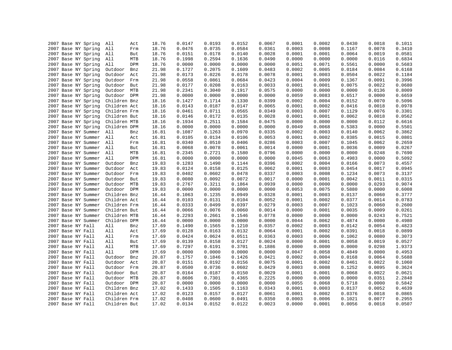| 2007 Base NY Spring | All          | Act        | 18.76 | 0.0147 | 0.0193 | 0.0152 | 0.0067 | 0.0001 | 0.0002 | 0.0430 | 0.0018 | 0.1011 |
|---------------------|--------------|------------|-------|--------|--------|--------|--------|--------|--------|--------|--------|--------|
| 2007 Base NY Spring | All          | Frm        | 18.76 | 0.0476 | 0.0735 | 0.0584 | 0.0361 | 0.0003 | 0.0008 | 0.1167 | 0.0078 | 0.3410 |
| 2007 Base NY Spring | All          | But        | 18.76 | 0.0151 | 0.0178 | 0.0140 | 0.0028 | 0.0001 | 0.0001 | 0.0064 | 0.0019 | 0.0581 |
| 2007 Base NY Spring | All          | MTB        | 18.76 | 0.1998 | 0.2594 | 0.1636 | 0.0490 | 0.0000 | 0.0000 | 0.0000 | 0.0116 | 0.6834 |
| 2007 Base NY Spring | All          | <b>DPM</b> | 18.76 | 0.0000 | 0.0000 | 0.0000 | 0.0000 | 0.0051 | 0.0071 | 0.5561 | 0.0000 | 0.5683 |
| 2007 Base NY Spring | Outdoor      | Bnz        | 21.98 | 0.1727 | 0.2075 | 0.1609 | 0.0483 | 0.0002 | 0.0005 | 0.0184 | 0.0084 | 0.6168 |
| 2007 Base NY Spring | Outdoor      | Act        | 21.98 | 0.0173 | 0.0226 | 0.0178 | 0.0078 | 0.0001 | 0.0003 | 0.0504 | 0.0022 | 0.1184 |
| 2007 Base NY Spring | Outdoor      | Frm        | 21.98 | 0.0558 | 0.0861 | 0.0684 | 0.0423 | 0.0004 | 0.0009 | 0.1367 | 0.0091 | 0.3996 |
| 2007 Base NY Spring | Outdoor      | But        | 21.98 | 0.0177 | 0.0208 | 0.0163 | 0.0033 | 0.0001 | 0.0001 | 0.0075 | 0.0022 | 0.0680 |
| 2007 Base NY Spring | Outdoor MTB  |            | 21.98 | 0.2341 | 0.3040 | 0.1917 | 0.0575 | 0.0000 | 0.0000 | 0.0000 | 0.0136 | 0.8009 |
| 2007 Base NY Spring | Outdoor DPM  |            | 21.98 | 0.0000 | 0.0000 | 0.0000 | 0.0000 | 0.0059 | 0.0083 | 0.6517 | 0.0000 | 0.6659 |
| 2007 Base NY Spring | Children Bnz |            | 18.16 | 0.1427 | 0.1714 | 0.1330 | 0.0399 | 0.0002 | 0.0004 | 0.0152 | 0.0070 | 0.5096 |
| 2007 Base NY Spring | Children Act |            | 18.16 | 0.0143 | 0.0187 | 0.0147 | 0.0065 | 0.0001 | 0.0002 | 0.0416 | 0.0018 | 0.0978 |
| 2007 Base NY Spring | Children Frm |            | 18.16 | 0.0461 | 0.0711 | 0.0565 | 0.0349 | 0.0003 | 0.0007 | 0.1129 | 0.0076 | 0.3301 |
| 2007 Base NY Spring | Children But |            | 18.16 | 0.0146 | 0.0172 | 0.0135 | 0.0028 | 0.0001 | 0.0001 | 0.0062 | 0.0018 | 0.0562 |
| 2007 Base NY Spring | Children MTB |            | 18.16 | 0.1934 | 0.2511 | 0.1584 | 0.0475 | 0.0000 | 0.0000 | 0.0000 | 0.0112 | 0.6616 |
| 2007 Base NY Spring | Children DPM |            | 18.16 | 0.0000 | 0.0000 | 0.0000 | 0.0000 | 0.0049 | 0.0068 | 0.5383 | 0.0000 | 0.5501 |
| 2007 Base NY Summer | All          | Bnz        | 16.81 | 0.1087 | 0.1263 | 0.0970 | 0.0335 | 0.0002 | 0.0003 | 0.0140 | 0.0062 | 0.3862 |
| 2007 Base NY Summer | All          | Act        | 16.81 | 0.0105 | 0.0134 | 0.0106 | 0.0053 | 0.0001 | 0.0002 | 0.0385 | 0.0015 | 0.0801 |
| 2007 Base NY Summer | All          | Frm        | 16.81 | 0.0340 | 0.0510 | 0.0406 | 0.0286 | 0.0003 | 0.0007 | 0.1045 | 0.0062 | 0.2659 |
| 2007 Base NY Summer | All          | But        | 16.81 | 0.0068 | 0.0078 | 0.0061 | 0.0014 | 0.0000 | 0.0001 | 0.0036 | 0.0009 | 0.0267 |
|                     |              | MTB        |       | 0.2345 |        |        | 0.0796 | 0.0000 | 0.0000 | 0.0000 |        |        |
| 2007 Base NY Summer | All          | <b>DPM</b> | 16.81 |        | 0.2721 | 0.1580 |        |        |        |        | 0.0248 | 0.7690 |
| 2007 Base NY Summer | All          |            | 16.81 | 0.0000 | 0.0000 | 0.0000 | 0.0000 | 0.0045 | 0.0063 | 0.4983 | 0.0000 | 0.5092 |
| 2007 Base NY Summer | Outdoor      | Bnz        | 19.83 | 0.1283 | 0.1490 | 0.1144 | 0.0396 | 0.0002 | 0.0004 | 0.0166 | 0.0073 | 0.4557 |
| 2007 Base NY Summer | Outdoor      | Act        | 19.83 | 0.0124 | 0.0158 | 0.0125 | 0.0062 | 0.0001 | 0.0003 | 0.0454 | 0.0017 | 0.0945 |
| 2007 Base NY Summer | Outdoor Frm  |            | 19.83 | 0.0402 | 0.0602 | 0.0478 | 0.0337 | 0.0003 | 0.0008 | 0.1234 | 0.0073 | 0.3137 |
| 2007 Base NY Summer | Outdoor      | But        | 19.83 | 0.0080 | 0.0092 | 0.0072 | 0.0017 | 0.0000 | 0.0001 | 0.0042 | 0.0011 | 0.0315 |
| 2007 Base NY Summer | Outdoor MTB  |            | 19.83 | 0.2767 | 0.3211 | 0.1864 | 0.0939 | 0.0000 | 0.0000 | 0.0000 | 0.0293 | 0.9074 |
| 2007 Base NY Summer | Outdoor DPM  |            | 19.83 | 0.0000 | 0.0000 | 0.0000 | 0.0000 | 0.0053 | 0.0075 | 0.5880 | 0.0000 | 0.6008 |
| 2007 Base NY Summer | Children Bnz |            | 16.44 | 0.1063 | 0.1235 | 0.0949 | 0.0328 | 0.0001 | 0.0003 | 0.0137 | 0.0060 | 0.3777 |
| 2007 Base NY Summer | Children Act |            | 16.44 | 0.0103 | 0.0131 | 0.0104 | 0.0052 | 0.0001 | 0.0002 | 0.0377 | 0.0014 | 0.0783 |
| 2007 Base NY Summer | Children Frm |            | 16.44 | 0.0333 | 0.0499 | 0.0397 | 0.0279 | 0.0003 | 0.0007 | 0.1023 | 0.0060 | 0.2600 |
| 2007 Base NY Summer | Children But |            | 16.44 | 0.0066 | 0.0076 | 0.0060 | 0.0014 | 0.0000 | 0.0001 | 0.0035 | 0.0009 | 0.0261 |
| 2007 Base NY Summer | Children MTB |            | 16.44 | 0.2293 | 0.2661 | 0.1546 | 0.0778 | 0.0000 | 0.0000 | 0.0000 | 0.0243 | 0.7521 |
| 2007 Base NY Summer | Children DPM |            | 16.44 | 0.0000 | 0.0000 | 0.0000 | 0.0000 | 0.0044 | 0.0062 | 0.4874 | 0.0000 | 0.4980 |
| 2007 Base NY Fall   | All          | Bnz        | 17.69 | 0.1490 | 0.1565 | 0.1210 | 0.0357 | 0.0002 | 0.0003 | 0.0142 | 0.0054 | 0.4823 |
| 2007 Base NY Fall   | All          | Act        | 17.69 | 0.0128 | 0.0163 | 0.0132 | 0.0064 | 0.0001 | 0.0002 | 0.0391 | 0.0018 | 0.0899 |
| 2007 Base NY Fall   | All          | Frm        | 17.69 | 0.0424 | 0.0624 | 0.0511 | 0.0363 | 0.0003 | 0.0006 | 0.1062 | 0.0080 | 0.3073 |
| 2007 Base NY Fall   | All          | But        | 17.69 | 0.0139 | 0.0158 | 0.0127 | 0.0024 | 0.0000 | 0.0001 | 0.0058 | 0.0019 | 0.0527 |
| 2007 Base NY Fall   | All          | MTB        | 17.69 | 0.7297 | 0.6191 | 0.3701 | 0.1886 | 0.0000 | 0.0000 | 0.0000 | 0.0298 | 1.9373 |
| 2007 Base NY Fall   | All          | DPM        | 17.69 | 0.0000 | 0.0000 | 0.0000 | 0.0000 | 0.0047 | 0.0058 | 0.4849 | 0.0000 | 0.4953 |
| 2007 Base NY Fall   | Outdoor      | Bnz        | 20.87 | 0.1757 | 0.1846 | 0.1426 | 0.0421 | 0.0002 | 0.0004 | 0.0168 | 0.0064 | 0.5688 |
| 2007 Base NY Fall   | Outdoor      | Act        | 20.87 | 0.0151 | 0.0192 | 0.0156 | 0.0075 | 0.0001 | 0.0002 | 0.0461 | 0.0022 | 0.1060 |
| 2007 Base NY Fall   | Outdoor      | Frm        | 20.87 | 0.0500 | 0.0736 | 0.0602 | 0.0429 | 0.0003 | 0.0008 | 0.1252 | 0.0095 | 0.3624 |
| 2007 Base NY Fall   | Outdoor But  |            | 20.87 | 0.0164 | 0.0187 | 0.0150 | 0.0029 | 0.0001 | 0.0001 | 0.0068 | 0.0022 | 0.0621 |
| 2007 Base NY Fall   | Outdoor MTB  |            | 20.87 | 0.8606 | 0.7301 | 0.4365 | 0.2225 | 0.0000 | 0.0000 | 0.0000 | 0.0351 | 2.2848 |
| 2007 Base NY Fall   | Outdoor DPM  |            | 20.87 | 0.0000 | 0.0000 | 0.0000 | 0.0000 | 0.0055 | 0.0068 | 0.5718 | 0.0000 | 0.5842 |
| 2007 Base NY Fall   | Children Bnz |            | 17.02 | 0.1433 | 0.1505 | 0.1163 | 0.0343 | 0.0001 | 0.0003 | 0.0137 | 0.0052 | 0.4639 |
| 2007 Base NY Fall   | Children Act |            | 17.02 | 0.0123 | 0.0157 | 0.0127 | 0.0061 | 0.0001 | 0.0002 | 0.0376 | 0.0018 | 0.0865 |
| 2007 Base NY Fall   | Children Frm |            | 17.02 | 0.0408 | 0.0600 | 0.0491 | 0.0350 | 0.0003 | 0.0006 | 0.1021 | 0.0077 | 0.2955 |
| 2007 Base NY Fall   | Children But |            | 17.02 | 0.0134 | 0.0152 | 0.0122 | 0.0023 | 0.0000 | 0.0001 | 0.0056 | 0.0018 | 0.0507 |
|                     |              |            |       |        |        |        |        |        |        |        |        |        |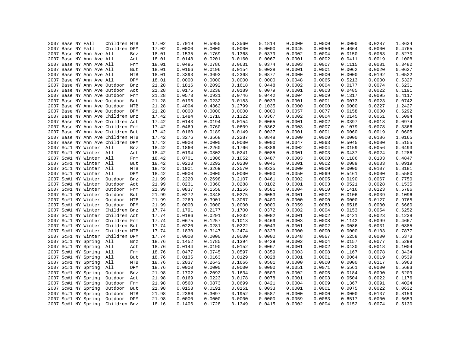|  | 2007 Base NY Fall                 | Children MTB                |            | 17.02 | 0.7019 | 0.5955 | 0.3560 | 0.1814           | 0.0000 | 0.0000 | 0.0000 | 0.0287 | 1.8634 |
|--|-----------------------------------|-----------------------------|------------|-------|--------|--------|--------|------------------|--------|--------|--------|--------|--------|
|  | 2007 Base NY Fall                 | Children DPM                |            | 17.02 | 0.0000 | 0.0000 | 0.0000 | 0.0000           | 0.0045 | 0.0056 | 0.4664 | 0.0000 | 0.4765 |
|  | 2007 Base NY Ann Ave All          |                             | Bnz        | 18.01 | 0.1535 | 0.1769 | 0.1368 | 0.0379           | 0.0002 | 0.0004 | 0.0150 | 0.0063 | 0.5270 |
|  | 2007 Base NY Ann Ave All          |                             | Act        | 18.01 | 0.0148 | 0.0201 | 0.0160 | 0.0067           | 0.0001 | 0.0002 | 0.0411 | 0.0019 | 0.1008 |
|  | 2007 Base NY Ann Ave All          |                             | Frm        | 18.01 | 0.0485 | 0.0786 | 0.0631 | 0.0374           | 0.0003 | 0.0007 | 0.1115 | 0.0081 | 0.3482 |
|  | 2007 Base NY Ann Ave All          |                             | But        | 18.01 | 0.0166 | 0.0196 | 0.0154 | 0.0028           | 0.0001 | 0.0001 | 0.0062 | 0.0020 | 0.0627 |
|  | 2007 Base NY Ann Ave All          |                             | MTB        | 18.01 | 0.3393 | 0.3693 | 0.2368 | 0.0877           | 0.0000 | 0.0000 | 0.0000 | 0.0192 | 1.0522 |
|  | 2007 Base NY Ann Ave All          |                             | DPM        | 18.01 | 0.0000 | 0.0000 | 0.0000 | 0.0000           | 0.0048 | 0.0065 | 0.5213 | 0.0000 | 0.5327 |
|  | 2007 Base NY Ann Ave Outdoor      |                             | Bnz        | 21.28 | 0.1816 | 0.2092 | 0.1618 | 0.0448           | 0.0002 | 0.0004 | 0.0177 | 0.0074 | 0.6231 |
|  | 2007 Base NY Ann Ave Outdoor Act  |                             |            | 21.28 | 0.0175 | 0.0238 | 0.0189 | 0.0079           | 0.0001 | 0.0003 | 0.0485 | 0.0022 | 0.1191 |
|  | 2007 Base NY Ann Ave Outdoor Frm  |                             |            | 21.28 | 0.0573 | 0.0931 | 0.0746 | 0.0442           | 0.0004 | 0.0009 | 0.1317 | 0.0095 | 0.4117 |
|  | 2007 Base NY Ann Ave Outdoor But  |                             |            | 21.28 | 0.0196 | 0.0232 | 0.0183 | 0.0033           | 0.0001 | 0.0001 | 0.0073 | 0.0023 | 0.0742 |
|  | 2007 Base NY Ann Ave Outdoor MTB  |                             |            | 21.28 | 0.4004 | 0.4362 | 0.2799 | 0.1035           | 0.0000 | 0.0000 | 0.0000 | 0.0227 | 1.2427 |
|  | 2007 Base NY Ann Ave Outdoor DPM  |                             |            | 21.28 | 0.0000 | 0.0000 | 0.0000 | 0.0000           | 0.0057 | 0.0077 | 0.6158 | 0.0000 | 0.6292 |
|  | 2007 Base NY Ann Ave Children Bnz |                             |            | 17.42 | 0.1484 | 0.1710 | 0.1322 | 0.0367           | 0.0002 | 0.0004 | 0.0145 | 0.0061 | 0.5094 |
|  | 2007 Base NY Ann Ave Children Act |                             |            | 17.42 | 0.0143 | 0.0194 | 0.0154 | 0.0065           | 0.0001 | 0.0002 | 0.0397 | 0.0018 | 0.0974 |
|  | 2007 Base NY Ann Ave Children Frm |                             |            | 17.42 | 0.0469 | 0.0760 | 0.0609 | 0.0362           | 0.0003 | 0.0007 | 0.1079 | 0.0078 | 0.3366 |
|  | 2007 Base NY Ann Ave Children But |                             |            | 17.42 | 0.0160 | 0.0189 | 0.0149 | 0.0027           | 0.0001 | 0.0001 | 0.0060 | 0.0019 | 0.0605 |
|  | 2007 Base NY Ann Ave Children MTB |                             |            | 17.42 | 0.3276 | 0.3568 | 0.2287 | 0.0848           | 0.0000 | 0.0000 | 0.0000 | 0.0186 | 1.0165 |
|  | 2007 Base NY Ann Ave Children DPM |                             |            | 17.42 | 0.0000 | 0.0000 | 0.0000 | 0.0000           | 0.0047 | 0.0063 | 0.5045 | 0.0000 | 0.5155 |
|  | 2007 Sc#1 NY Winter All           |                             | Bnz        | 18.42 | 0.1860 | 0.2260 | 0.1766 | 0.0386           | 0.0002 | 0.0004 | 0.0159 | 0.0056 | 0.6493 |
|  | 2007 Sc#1 NY Winter All           |                             | Act        | 18.42 | 0.0194 | 0.0302 | 0.0241 | 0.0085           | 0.0001 | 0.0003 | 0.0437 | 0.0024 | 0.1286 |
|  | 2007 Sc#1 NY Winter All           |                             | Frm        | 18.42 | 0.0701 | 0.1306 | 0.1052 | 0.0487           | 0.0003 | 0.0008 | 0.1186 | 0.0103 | 0.4847 |
|  | 2007 Sc#1 NY Winter All           |                             | But        | 18.42 | 0.0228 | 0.0292 | 0.0230 | 0.0045           | 0.0001 | 0.0002 | 0.0089 | 0.0033 | 0.0919 |
|  | 2007 Sc#1 NY Winter All           |                             | MTB        | 18.42 | 0.1901 | 0.3269 | 0.2570 | 0.0335           | 0.0000 | 0.0000 | 0.0000 | 0.0107 | 0.8181 |
|  | 2007 Sc#1 NY Winter All           |                             | <b>DPM</b> | 18.42 | 0.0000 | 0.0000 | 0.0000 | 0.0000           | 0.0050 | 0.0069 | 0.5461 | 0.0000 | 0.5580 |
|  | 2007 Sc#1 NY Winter               | Outdoor                     | Bnz        | 21.99 | 0.2220 | 0.2698 | 0.2107 | 0.0461           | 0.0002 | 0.0005 | 0.0190 | 0.0067 | 0.7750 |
|  | 2007 Sc#1 NY Winter               | Outdoor                     | Act        | 21.99 | 0.0231 | 0.0360 | 0.0288 | 0.0102           | 0.0001 | 0.0003 | 0.0521 | 0.0028 | 0.1535 |
|  | 2007 Sc#1 NY Winter               | Outdoor Frm                 |            | 21.99 | 0.0837 | 0.1558 | 0.1256 | 0.0581           | 0.0004 | 0.0010 | 0.1416 | 0.0123 | 0.5786 |
|  | 2007 Sc#1 NY Winter               | Outdoor                     | But        | 21.99 | 0.0272 | 0.0348 | 0.0275 | 0.0053           | 0.0001 | 0.0002 | 0.0106 | 0.0039 | 0.1096 |
|  | 2007 Sc#1 NY Winter               | Outdoor                     | MTB        | 21.99 | 0.2269 | 0.3901 | 0.3067 | 0.0400           | 0.0000 | 0.0000 | 0.0000 | 0.0127 | 0.9765 |
|  |                                   |                             |            |       |        |        |        |                  |        |        |        |        |        |
|  | 2007 Sc#1 NY Winter               | Outdoor DPM<br>Children Bnz |            | 21.99 | 0.0000 | 0.0000 | 0.0000 | 0.0000<br>0.0372 | 0.0059 | 0.0083 | 0.6518 | 0.0000 | 0.6660 |
|  | 2007 Sc#1 NY Winter               |                             |            | 17.74 | 0.1791 | 0.2177 | 0.1700 |                  | 0.0002 | 0.0004 | 0.0153 | 0.0054 | 0.6252 |
|  | 2007 Sc#1 NY Winter               | Children Act                |            | 17.74 | 0.0186 | 0.0291 | 0.0232 | 0.0082           | 0.0001 | 0.0002 | 0.0421 | 0.0023 | 0.1238 |
|  | 2007 Sc#1 NY Winter               | Children Frm                |            | 17.74 | 0.0675 | 0.1257 | 0.1013 | 0.0469           | 0.0003 | 0.0008 | 0.1142 | 0.0099 | 0.4667 |
|  | 2007 Sc#1 NY Winter               | Children But                |            | 17.74 | 0.0220 | 0.0281 | 0.0222 | 0.0043           | 0.0001 | 0.0002 | 0.0086 | 0.0031 | 0.0885 |
|  | 2007 Sc#1 NY Winter               | Children MTB                |            | 17.74 | 0.1830 | 0.3147 | 0.2474 | 0.0323           | 0.0000 | 0.0000 | 0.0000 | 0.0103 | 0.7877 |
|  | 2007 Sc#1 NY Winter               | Children DPM                |            | 17.74 | 0.0000 | 0.0000 | 0.0000 | 0.0000           | 0.0048 | 0.0067 | 0.5258 | 0.0000 | 0.5373 |
|  | 2007 Sc#1 NY Spring               | All                         | Bnz        | 18.76 | 0.1452 | 0.1785 | 0.1394 | 0.0429           | 0.0002 | 0.0004 | 0.0157 | 0.0077 | 0.5299 |
|  | 2007 Sc#1 NY Spring               | All                         | Act        | 18.76 | 0.0144 | 0.0190 | 0.0152 | 0.0067           | 0.0001 | 0.0002 | 0.0430 | 0.0018 | 0.1004 |
|  | 2007 Sc#1 NY Spring               | All                         | Frm        | 18.76 | 0.0477 | 0.0745 | 0.0597 | 0.0359           | 0.0003 | 0.0008 | 0.1167 | 0.0078 | 0.3434 |
|  | 2007 Sc#1 NY Spring               | All                         | But        | 18.76 | 0.0135 | 0.0163 | 0.0129 | 0.0028           | 0.0001 | 0.0001 | 0.0064 | 0.0019 | 0.0539 |
|  | 2007 Sc#1 NY Spring               | All                         | MTB        | 18.76 | 0.2037 | 0.2643 | 0.1666 | 0.0501           | 0.0000 | 0.0000 | 0.0000 | 0.0117 | 0.6963 |
|  | 2007 Sc#1 NY Spring               | All                         | DPM        | 18.76 | 0.0000 | 0.0000 | 0.0000 | 0.0000           | 0.0051 | 0.0071 | 0.5561 | 0.0000 | 0.5683 |
|  | 2007 Sc#1 NY Spring               | Outdoor                     | Bnz        | 21.98 | 0.1702 | 0.2092 | 0.1634 | 0.0503           | 0.0002 | 0.0005 | 0.0184 | 0.0090 | 0.6209 |
|  | 2007 Sc#1 NY Spring               | Outdoor                     | Act        | 21.98 | 0.0169 | 0.0223 | 0.0178 | 0.0078           | 0.0001 | 0.0003 | 0.0504 | 0.0022 | 0.1176 |
|  | 2007 Sc#1 NY Spring               | Outdoor                     | Frm        | 21.98 | 0.0560 | 0.0873 | 0.0699 | 0.0421           | 0.0004 | 0.0009 | 0.1367 | 0.0091 | 0.4024 |
|  | 2007 Sc#1 NY Spring               | Outdoor                     | But        | 21.98 | 0.0158 | 0.0191 | 0.0151 | 0.0033           | 0.0001 | 0.0001 | 0.0075 | 0.0022 | 0.0632 |
|  | 2007 Sc#1 NY Spring               | Outdoor                     | MTB        | 21.98 | 0.2386 | 0.3097 | 0.1952 | 0.0587           | 0.0000 | 0.0000 | 0.0000 | 0.0137 | 0.8159 |
|  | 2007 Sc#1 NY Spring               | Outdoor                     | <b>DPM</b> | 21.98 | 0.0000 | 0.0000 | 0.0000 | 0.0000           | 0.0059 | 0.0083 | 0.6517 | 0.0000 | 0.6659 |
|  | 2007 Sc#1 NY Spring               | Children Bnz                |            | 18.16 | 0.1406 | 0.1728 | 0.1349 | 0.0415           | 0.0002 | 0.0004 | 0.0152 | 0.0074 | 0.5130 |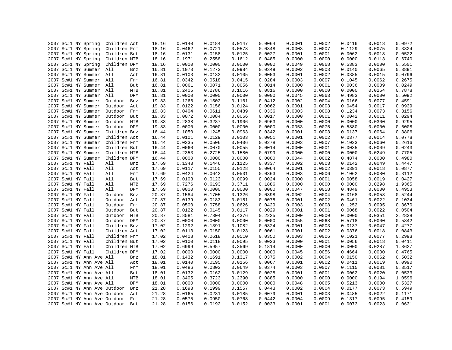|                                            | Children Act   | 18.16 | 0.0140 | 0.0184 | 0.0147 | 0.0064 | 0.0001 | 0.0002 | 0.0416 | 0.0018 | 0.0972 |
|--------------------------------------------|----------------|-------|--------|--------|--------|--------|--------|--------|--------|--------|--------|
| 2007 Sc#1 NY Spring<br>2007 Sc#1 NY Spring | Children Frm   | 18.16 | 0.0462 | 0.0721 | 0.0578 | 0.0348 | 0.0003 | 0.0007 | 0.1129 | 0.0075 | 0.3324 |
|                                            |                |       |        |        |        |        |        |        |        |        |        |
| 2007 Sc#1 NY Spring                        | Children But   | 18.16 | 0.0131 | 0.0158 | 0.0125 | 0.0027 | 0.0001 | 0.0001 | 0.0062 | 0.0018 | 0.0522 |
| 2007 Sc#1 NY Spring                        | Children MTB   | 18.16 | 0.1971 | 0.2558 | 0.1612 | 0.0485 | 0.0000 | 0.0000 | 0.0000 | 0.0113 | 0.6740 |
| 2007 Sc#1 NY Spring                        | Children DPM   | 18.16 | 0.0000 | 0.0000 | 0.0000 | 0.0000 | 0.0049 | 0.0068 | 0.5383 | 0.0000 | 0.5501 |
| 2007 Sc#1 NY Summer                        | All<br>Bnz     | 16.81 | 0.1073 | 0.1273 | 0.0984 | 0.0349 | 0.0002 | 0.0003 | 0.0140 | 0.0065 | 0.3891 |
| 2007 Sc#1 NY Summer All                    | Act            | 16.81 | 0.0103 | 0.0132 | 0.0105 | 0.0053 | 0.0001 | 0.0002 | 0.0385 | 0.0015 | 0.0796 |
| 2007 Sc#1 NY Summer All                    | Frm            | 16.81 | 0.0342 | 0.0518 | 0.0415 | 0.0284 | 0.0003 | 0.0007 | 0.1045 | 0.0062 | 0.2675 |
| 2007 Sc#1 NY Summer All                    | But            | 16.81 | 0.0061 | 0.0071 | 0.0056 | 0.0014 | 0.0000 | 0.0001 | 0.0036 | 0.0009 | 0.0249 |
| 2007 Sc#1 NY Summer                        | All<br>MTB     | 16.81 | 0.2405 | 0.2786 | 0.1616 | 0.0816 | 0.0000 | 0.0000 | 0.0000 | 0.0254 | 0.7878 |
| 2007 Sc#1 NY Summer                        | All<br>DPM     | 16.81 | 0.0000 | 0.0000 | 0.0000 | 0.0000 | 0.0045 | 0.0063 | 0.4983 | 0.0000 | 0.5092 |
| 2007 Sc#1 NY Summer                        | Outdoor<br>Bnz | 19.83 | 0.1266 | 0.1502 | 0.1161 | 0.0412 | 0.0002 | 0.0004 | 0.0166 | 0.0077 | 0.4591 |
| 2007 Sc#1 NY Summer                        | Outdoor<br>Act | 19.83 | 0.0122 | 0.0156 | 0.0124 | 0.0062 | 0.0001 | 0.0003 | 0.0454 | 0.0017 | 0.0939 |
| 2007 Sc#1 NY Summer                        | Outdoor<br>Frm | 19.83 | 0.0404 | 0.0611 | 0.0489 | 0.0336 | 0.0003 | 0.0008 | 0.1234 | 0.0073 | 0.3156 |
| 2007 Sc#1 NY Summer                        | Outdoor<br>But | 19.83 | 0.0072 | 0.0084 | 0.0066 | 0.0017 | 0.0000 | 0.0001 | 0.0042 | 0.0011 | 0.0294 |
| 2007 Sc#1 NY Summer                        | Outdoor MTB    | 19.83 | 0.2838 | 0.3287 | 0.1906 | 0.0963 | 0.0000 | 0.0000 | 0.0000 | 0.0300 | 0.9295 |
| 2007 Sc#1 NY Summer                        | Outdoor DPM    | 19.83 | 0.0000 | 0.0000 | 0.0000 | 0.0000 | 0.0053 | 0.0075 | 0.5880 | 0.0000 | 0.6008 |
| 2007 Sc#1 NY Summer                        | Children Bnz   | 16.44 | 0.1050 | 0.1245 | 0.0963 | 0.0342 | 0.0001 | 0.0003 | 0.0137 | 0.0064 | 0.3806 |
| 2007 Sc#1 NY Summer                        | Children Act   | 16.44 | 0.0101 | 0.0129 | 0.0103 | 0.0051 | 0.0001 | 0.0002 | 0.0377 | 0.0014 | 0.0778 |
| 2007 Sc#1 NY Summer                        | Children Frm   | 16.44 | 0.0335 | 0.0506 | 0.0406 | 0.0278 | 0.0003 | 0.0007 | 0.1023 | 0.0060 | 0.2616 |
| 2007 Sc#1 NY Summer                        | Children But   | 16.44 | 0.0060 | 0.0070 | 0.0055 | 0.0014 | 0.0000 | 0.0001 | 0.0035 | 0.0009 | 0.0243 |
| 2007 Sc#1 NY Summer                        | Children MTB   | 16.44 | 0.2353 | 0.2725 | 0.1580 | 0.0799 | 0.0000 | 0.0000 | 0.0000 | 0.0249 | 0.7705 |
| 2007 Sc#1 NY Summer                        | Children DPM   | 16.44 | 0.0000 | 0.0000 | 0.0000 | 0.0000 | 0.0044 | 0.0062 | 0.4874 | 0.0000 | 0.4980 |
| 2007 Sc#1 NY Fall                          | All<br>Bnz     | 17.69 | 0.1343 | 0.1446 | 0.1125 | 0.0337 | 0.0002 | 0.0003 | 0.0142 | 0.0049 | 0.4447 |
| 2007 Sc#1 NY Fall                          | All<br>Act     | 17.69 | 0.0117 | 0.0155 | 0.0128 | 0.0064 | 0.0001 | 0.0002 | 0.0391 | 0.0018 | 0.0877 |
| 2007 Sc#1 NY Fall                          | All<br>Frm     | 17.69 | 0.0424 | 0.0642 | 0.0531 | 0.0363 | 0.0003 | 0.0006 | 0.1062 | 0.0080 | 0.3112 |
| 2007 Sc#1 NY Fall                          | All<br>But     | 17.69 | 0.0103 | 0.0123 | 0.0099 | 0.0024 | 0.0000 | 0.0001 | 0.0058 | 0.0019 | 0.0427 |
| 2007 Sc#1 NY Fall                          | All<br>MTB     | 17.69 | 0.7276 | 0.6193 | 0.3711 | 0.1886 | 0.0000 | 0.0000 | 0.0000 | 0.0298 | 1.9365 |
| 2007 Sc#1 NY Fall                          | All<br>DPM     | 17.69 | 0.0000 | 0.0000 | 0.0000 | 0.0000 | 0.0047 | 0.0058 | 0.4849 | 0.0000 | 0.4953 |
| 2007 Sc#1 NY Fall                          | Outdoor<br>Bnz | 20.87 | 0.1584 | 0.1705 | 0.1326 | 0.0398 | 0.0002 | 0.0004 | 0.0168 | 0.0058 | 0.5244 |
| 2007 Sc#1 NY Fall                          | Outdoor<br>Act | 20.87 | 0.0139 | 0.0183 | 0.0151 | 0.0075 | 0.0001 | 0.0002 | 0.0461 | 0.0022 | 0.1034 |
| 2007 Sc#1 NY Fall                          | Outdoor<br>Frm | 20.87 | 0.0500 | 0.0758 | 0.0626 | 0.0429 | 0.0003 | 0.0008 | 0.1252 | 0.0095 | 0.3670 |
| 2007 Sc#1 NY Fall                          | Outdoor But    | 20.87 | 0.0122 | 0.0145 | 0.0117 | 0.0029 | 0.0001 | 0.0001 | 0.0068 | 0.0022 | 0.0504 |
| 2007 Sc#1 NY Fall                          | Outdoor<br>MTB | 20.87 | 0.8581 | 0.7304 | 0.4376 | 0.2225 | 0.0000 | 0.0000 | 0.0000 | 0.0351 | 2.2838 |
| 2007 Sc#1 NY Fall                          | Outdoor DPM    | 20.87 | 0.0000 | 0.0000 | 0.0000 | 0.0000 | 0.0055 | 0.0068 | 0.5718 | 0.0000 | 0.5842 |
| 2007 Sc#1 NY Fall                          | Children Bnz   | 17.02 | 0.1292 | 0.1391 | 0.1082 | 0.0324 | 0.0001 | 0.0003 | 0.0137 | 0.0047 | 0.4277 |
| 2007 Sc#1 NY Fall                          | Children Act   | 17.02 | 0.0113 | 0.0150 | 0.0123 | 0.0061 | 0.0001 | 0.0002 | 0.0376 | 0.0018 | 0.0843 |
| 2007 Sc#1 NY Fall                          | Children Frm   | 17.02 | 0.0408 | 0.0618 | 0.0510 | 0.0350 | 0.0003 | 0.0006 | 0.1021 | 0.0077 | 0.2993 |
| 2007 Sc#1 NY Fall                          | Children But   | 17.02 | 0.0100 | 0.0118 | 0.0095 | 0.0023 | 0.0000 | 0.0001 | 0.0056 | 0.0018 | 0.0411 |
| 2007 Sc#1 NY Fall                          | Children MTB   | 17.02 | 0.6999 | 0.5957 | 0.3569 | 0.1814 | 0.0000 | 0.0000 | 0.0000 | 0.0287 | 1.8627 |
| 2007 Sc#1 NY Fall                          | Children DPM   | 17.02 | 0.0000 | 0.0000 | 0.0000 | 0.0000 | 0.0045 | 0.0056 | 0.4664 | 0.0000 | 0.4765 |
| 2007 Sc#1 NY Ann Ave All                   | Bnz            | 18.01 | 0.1432 | 0.1691 | 0.1317 | 0.0375 | 0.0002 | 0.0004 | 0.0150 | 0.0062 | 0.5032 |
| 2007 Sc#1 NY Ann Ave All                   | Act            | 18.01 | 0.0140 | 0.0195 | 0.0156 | 0.0067 | 0.0001 | 0.0002 | 0.0411 | 0.0019 | 0.0990 |
| 2007 Sc#1 NY Ann Ave All                   | Frm            | 18.01 | 0.0486 | 0.0803 | 0.0649 | 0.0374 | 0.0003 | 0.0007 | 0.1115 | 0.0081 | 0.3517 |
| 2007 Sc#1 NY Ann Ave All                   | But            | 18.01 | 0.0132 | 0.0162 | 0.0129 | 0.0028 | 0.0001 | 0.0001 | 0.0062 | 0.0020 | 0.0533 |
| 2007 Sc#1 NY Ann Ave All                   | MTB            | 18.01 | 0.3405 | 0.3723 | 0.2390 | 0.0885 | 0.0000 | 0.0000 | 0.0000 | 0.0194 | 1.0596 |
| 2007 Sc#1 NY Ann Ave All                   | DPM            | 18.01 | 0.0000 | 0.0000 | 0.0000 | 0.0000 | 0.0048 | 0.0065 | 0.5213 | 0.0000 | 0.5327 |
| Sc#1 NY Ann Ave Outdoor<br>2007            | Bnz            | 21.28 | 0.1693 | 0.1999 | 0.1557 | 0.0443 | 0.0002 | 0.0004 | 0.0177 | 0.0073 | 0.5949 |
| 2007 Sc#1 NY Ann Ave Outdoor               | Act            | 21.28 | 0.0165 | 0.0231 | 0.0185 | 0.0079 | 0.0001 | 0.0003 | 0.0485 | 0.0022 | 0.1171 |
| 2007 Sc#1 NY Ann Ave Outdoor Frm           |                | 21.28 | 0.0575 | 0.0950 | 0.0768 | 0.0442 | 0.0004 | 0.0009 | 0.1317 | 0.0095 | 0.4159 |
| 2007 Sc#1 NY Ann Ave Outdoor But           |                | 21.28 | 0.0156 | 0.0192 | 0.0152 | 0.0033 | 0.0001 | 0.0001 | 0.0073 | 0.0023 | 0.0631 |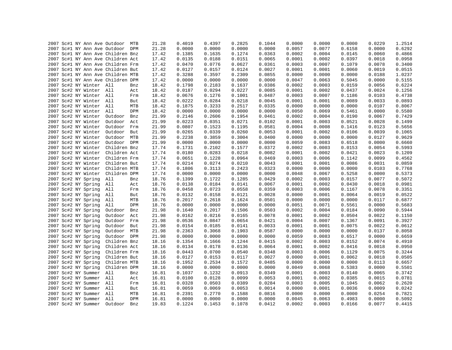|  |  |                         | 2007 Sc#1 NY Ann Ave Outdoor MTB  |     | 21.28 | 0.4019 | 0.4397 | 0.2825 | 0.1044 | 0.0000 | 0.0000 | 0.0000 | 0.0229 | 1.2514 |
|--|--|-------------------------|-----------------------------------|-----|-------|--------|--------|--------|--------|--------|--------|--------|--------|--------|
|  |  |                         | 2007 Sc#1 NY Ann Ave Outdoor DPM  |     | 21.28 | 0.0000 | 0.0000 | 0.0000 | 0.0000 | 0.0057 | 0.0077 | 0.6158 | 0.0000 | 0.6292 |
|  |  |                         | 2007 Sc#1 NY Ann Ave Children Bnz |     | 17.42 | 0.1385 | 0.1635 | 0.1274 | 0.0363 | 0.0002 | 0.0004 | 0.0145 | 0.0060 | 0.4866 |
|  |  |                         | 2007 Sc#1 NY Ann Ave Children Act |     | 17.42 | 0.0135 | 0.0188 | 0.0151 | 0.0065 | 0.0001 | 0.0002 | 0.0397 | 0.0018 | 0.0958 |
|  |  |                         | 2007 Sc#1 NY Ann Ave Children Frm |     | 17.42 | 0.0470 | 0.0776 | 0.0627 | 0.0361 | 0.0003 | 0.0007 | 0.1079 | 0.0078 | 0.3400 |
|  |  |                         | 2007 Sc#1 NY Ann Ave Children But |     | 17.42 | 0.0127 | 0.0157 | 0.0124 | 0.0027 | 0.0001 | 0.0001 | 0.0060 | 0.0019 | 0.0515 |
|  |  |                         | 2007 Sc#1 NY Ann Ave Children MTB |     | 17.42 | 0.3288 | 0.3597 | 0.2309 | 0.0855 | 0.0000 | 0.0000 | 0.0000 | 0.0188 | 1.0237 |
|  |  |                         | 2007 Sc#1 NY Ann Ave Children DPM |     | 17.42 | 0.0000 | 0.0000 | 0.0000 | 0.0000 | 0.0047 | 0.0063 | 0.5045 | 0.0000 | 0.5155 |
|  |  | 2007 Sc#2 NY Winter All |                                   | Bnz | 18.42 | 0.1798 | 0.2183 | 0.1637 | 0.0386 | 0.0002 | 0.0003 | 0.0159 | 0.0056 | 0.6224 |
|  |  | 2007 Sc#2 NY Winter All |                                   | Act | 18.42 | 0.0187 | 0.0294 | 0.0227 | 0.0085 | 0.0001 | 0.0002 | 0.0437 | 0.0024 | 0.1256 |
|  |  | 2007 Sc#2 NY Winter All |                                   | Frm | 18.42 | 0.0676 | 0.1276 | 0.1001 | 0.0487 | 0.0003 | 0.0007 | 0.1186 | 0.0103 | 0.4738 |
|  |  | 2007 Sc#2 NY Winter All |                                   | But | 18.42 | 0.0222 | 0.0284 | 0.0218 | 0.0045 | 0.0001 | 0.0001 | 0.0089 | 0.0033 | 0.0893 |
|  |  | 2007 Sc#2 NY Winter All |                                   | MTB | 18.42 | 0.1875 | 0.3233 | 0.2517 | 0.0335 | 0.0000 | 0.0000 | 0.0000 | 0.0107 | 0.8067 |
|  |  | 2007 Sc#2 NY Winter All |                                   | DPM | 18.42 | 0.0000 | 0.0000 | 0.0000 | 0.0000 | 0.0050 | 0.0069 | 0.5461 | 0.0000 | 0.5580 |
|  |  | 2007 Sc#2 NY Winter     | Outdoor                           | Bnz | 21.99 | 0.2146 | 0.2606 | 0.1954 | 0.0461 | 0.0002 | 0.0004 | 0.0190 | 0.0067 | 0.7429 |
|  |  | 2007 Sc#2 NY Winter     | Outdoor Act                       |     | 21.99 | 0.0223 | 0.0351 | 0.0271 | 0.0102 | 0.0001 | 0.0003 | 0.0521 | 0.0028 | 0.1499 |
|  |  | 2007 Sc#2 NY Winter     | Outdoor Frm                       |     | 21.99 | 0.0807 | 0.1523 | 0.1195 | 0.0581 | 0.0004 | 0.0008 | 0.1416 | 0.0123 | 0.5656 |
|  |  | 2007 Sc#2 NY Winter     | Outdoor But                       |     | 21.99 | 0.0265 | 0.0339 | 0.0260 | 0.0053 | 0.0001 | 0.0002 | 0.0106 | 0.0039 | 0.1065 |
|  |  | 2007 Sc#2 NY Winter     | Outdoor MTB                       |     | 21.99 | 0.2238 | 0.3859 | 0.3004 | 0.0400 | 0.0000 | 0.0000 | 0.0000 | 0.0127 | 0.9629 |
|  |  | 2007 Sc#2 NY Winter     | Outdoor DPM                       |     | 21.99 | 0.0000 | 0.0000 | 0.0000 | 0.0000 | 0.0059 | 0.0083 | 0.6518 | 0.0000 | 0.6660 |
|  |  | 2007 Sc#2 NY Winter     | Children Bnz                      |     | 17.74 | 0.1731 | 0.2102 | 0.1577 | 0.0372 | 0.0002 | 0.0003 | 0.0153 | 0.0054 | 0.5993 |
|  |  |                         | 2007 Sc#2 NY Winter Children Act  |     | 17.74 | 0.0180 | 0.0283 | 0.0218 | 0.0082 | 0.0001 | 0.0002 | 0.0421 | 0.0023 | 0.1209 |
|  |  | 2007 Sc#2 NY Winter     | Children Frm                      |     | 17.74 | 0.0651 | 0.1228 | 0.0964 | 0.0469 | 0.0003 | 0.0006 | 0.1142 | 0.0099 | 0.4562 |
|  |  | 2007 Sc#2 NY Winter     | Children But                      |     | 17.74 | 0.0214 | 0.0274 | 0.0210 | 0.0043 | 0.0001 | 0.0001 | 0.0086 | 0.0031 | 0.0859 |
|  |  | 2007 Sc#2 NY Winter     | Children MTB                      |     | 17.74 | 0.1806 | 0.3113 | 0.2423 | 0.0323 | 0.0000 | 0.0000 | 0.0000 | 0.0103 | 0.7768 |
|  |  | 2007 Sc#2 NY Winter     | Children DPM                      |     | 17.74 | 0.0000 | 0.0000 | 0.0000 | 0.0000 | 0.0048 | 0.0067 | 0.5258 | 0.0000 | 0.5373 |
|  |  | 2007 Sc#2 NY Spring     | All                               | Bnz | 18.76 | 0.1399 | 0.1722 | 0.1285 | 0.0429 | 0.0002 | 0.0003 | 0.0157 | 0.0077 | 0.5072 |
|  |  | 2007 Sc#2 NY Spring     | All                               | Act | 18.76 | 0.0138 | 0.0184 | 0.0141 | 0.0067 | 0.0001 | 0.0002 | 0.0430 | 0.0018 | 0.0981 |
|  |  | 2007 Sc#2 NY Spring     | All                               | Frm | 18.76 | 0.0458 | 0.0723 | 0.0558 | 0.0359 | 0.0003 | 0.0006 | 0.1167 | 0.0078 | 0.3351 |
|  |  | 2007 Sc#2 NY Spring     | All                               | But | 18.76 | 0.0132 | 0.0158 | 0.0121 | 0.0028 | 0.0000 | 0.0001 | 0.0064 | 0.0019 | 0.0522 |
|  |  | 2007 Sc#2 NY Spring     | All                               | MTB | 18.76 | 0.2017 | 0.2618 | 0.1624 | 0.0501 | 0.0000 | 0.0000 | 0.0000 | 0.0117 | 0.6877 |
|  |  | 2007 Sc#2 NY Spring     | All                               | DPM | 18.76 | 0.0000 | 0.0000 | 0.0000 | 0.0000 | 0.0051 | 0.0071 | 0.5561 | 0.0000 | 0.5683 |
|  |  | 2007 Sc#2 NY Spring     | Outdoor                           | Bnz | 21.98 | 0.1640 | 0.2017 | 0.1506 | 0.0503 | 0.0002 | 0.0004 | 0.0184 | 0.0090 | 0.5944 |
|  |  | 2007 Sc#2 NY Spring     | Outdoor                           | Act | 21.98 | 0.0162 | 0.0216 | 0.0165 | 0.0078 | 0.0001 | 0.0002 | 0.0504 | 0.0022 | 0.1150 |
|  |  |                         |                                   |     |       |        |        |        |        |        |        |        |        |        |
|  |  | 2007 Sc#2 NY Spring     | Outdoor Frm                       |     | 21.98 | 0.0536 | 0.0847 | 0.0654 | 0.0421 | 0.0004 | 0.0007 | 0.1367 | 0.0091 | 0.3927 |
|  |  | 2007 Sc#2 NY Spring     | Outdoor                           | But | 21.98 | 0.0154 | 0.0185 | 0.0141 | 0.0033 | 0.0001 | 0.0001 | 0.0075 | 0.0022 | 0.0612 |
|  |  | 2007 Sc#2 NY Spring     | Outdoor MTB                       |     | 21.98 | 0.2363 | 0.3068 | 0.1903 | 0.0587 | 0.0000 | 0.0000 | 0.0000 | 0.0137 | 0.8058 |
|  |  | 2007 Sc#2 NY Spring     | Outdoor DPM                       |     | 21.98 | 0.0000 | 0.0000 | 0.0000 | 0.0000 | 0.0059 | 0.0083 | 0.6517 | 0.0000 | 0.6659 |
|  |  | 2007 Sc#2 NY Spring     | Children Bnz                      |     | 18.16 | 0.1354 | 0.1666 | 0.1244 | 0.0415 | 0.0002 | 0.0003 | 0.0152 | 0.0074 | 0.4910 |
|  |  | 2007 Sc#2 NY Spring     | Children Act                      |     | 18.16 | 0.0134 | 0.0178 | 0.0136 | 0.0064 | 0.0001 | 0.0002 | 0.0416 | 0.0018 | 0.0950 |
|  |  | 2007 Sc#2 NY Spring     | Children Frm                      |     | 18.16 | 0.0443 | 0.0700 | 0.0540 | 0.0348 | 0.0003 | 0.0006 | 0.1129 | 0.0075 | 0.3244 |
|  |  | 2007 Sc#2 NY Spring     | Children But                      |     | 18.16 | 0.0127 | 0.0153 | 0.0117 | 0.0027 | 0.0000 | 0.0001 | 0.0062 | 0.0018 | 0.0505 |
|  |  | 2007 Sc#2 NY Spring     | Children MTB                      |     | 18.16 | 0.1952 | 0.2534 | 0.1572 | 0.0485 | 0.0000 | 0.0000 | 0.0000 | 0.0113 | 0.6657 |
|  |  | 2007 Sc#2 NY Spring     | Children DPM                      |     | 18.16 | 0.0000 | 0.0000 | 0.0000 | 0.0000 | 0.0049 | 0.0068 | 0.5383 | 0.0000 | 0.5501 |
|  |  | 2007 Sc#2 NY Summer All |                                   | Bnz | 16.81 | 0.1037 | 0.1232 | 0.0913 | 0.0349 | 0.0001 | 0.0003 | 0.0140 | 0.0065 | 0.3742 |
|  |  | 2007 Sc#2 NY Summer All |                                   | Act | 16.81 | 0.0100 | 0.0128 | 0.0099 | 0.0053 | 0.0001 | 0.0002 | 0.0385 | 0.0015 | 0.0781 |
|  |  | 2007 Sc#2 NY Summer All |                                   | Frm | 16.81 | 0.0328 | 0.0503 | 0.0389 | 0.0284 | 0.0003 | 0.0005 | 0.1045 | 0.0062 | 0.2620 |
|  |  | 2007 Sc#2 NY Summer     | All                               | But | 16.81 | 0.0059 | 0.0069 | 0.0053 | 0.0014 | 0.0000 | 0.0001 | 0.0036 | 0.0009 | 0.0242 |
|  |  | 2007 Sc#2 NY Summer     | All                               | MTB | 16.81 | 0.2391 | 0.2770 | 0.1588 | 0.0816 | 0.0000 | 0.0000 | 0.0000 | 0.0254 | 0.7821 |
|  |  | 2007 Sc#2 NY Summer All |                                   | DPM | 16.81 | 0.0000 | 0.0000 | 0.0000 | 0.0000 | 0.0045 | 0.0063 | 0.4983 | 0.0000 | 0.5092 |
|  |  | 2007 Sc#2 NY Summer     | Outdoor                           | Bnz | 19.83 | 0.1224 | 0.1453 | 0.1078 | 0.0412 | 0.0002 | 0.0003 | 0.0166 | 0.0077 | 0.4415 |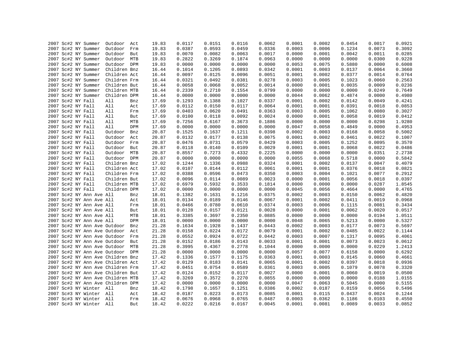| 0.0459<br>2007 Sc#2 NY Summer<br>19.83<br>0.0387<br>0.0593<br>0.0336<br>0.0003<br>0.0006<br>0.1234<br>0.0073<br>Outdoor<br>Frm<br>0.0011<br>2007 Sc#2 NY Summer<br>Outdoor<br>But<br>19.83<br>0.0070<br>0.0082<br>0.0063<br>0.0017<br>0.0000<br>0.0001<br>0.0042<br>Outdoor MTB<br>19.83<br>0.2822<br>0.3269<br>0.1874<br>0.0963<br>0.0000<br>0.0000<br>0.0000<br>0.0300<br>2007 Sc#2 NY Summer<br>0.0000<br>2007 Sc#2 NY Summer<br>Outdoor DPM<br>19.83<br>0.0000<br>0.0000<br>0.0000<br>0.0053<br>0.0075<br>0.5880<br>0.0000<br>2007 Sc#2 NY Summer<br>Children Bnz<br>16.44<br>0.1014<br>0.1205<br>0.0893<br>0.0342<br>0.0001<br>0.0003<br>0.0137<br>0.0064<br>2007 Sc#2 NY Summer<br>Children Act<br>0.0097<br>0.0125<br>0.0096<br>0.0051<br>0.0001<br>0.0002<br>0.0377<br>0.0014<br>16.44<br>2007 Sc#2 NY Summer<br>Children Frm<br>0.0321<br>0.0381<br>0.0278<br>0.0003<br>0.0005<br>0.1023<br>0.0060<br>16.44<br>0.0492<br>2007 Sc#2 NY Summer<br>0.0014<br>0.0009<br>Children But<br>16.44<br>0.0058<br>0.0068<br>0.0052<br>0.0000<br>0.0001<br>0.0035<br>0.2339<br>0.2710<br>0.1554<br>0.0799<br>0.0249<br>2007 Sc#2 NY Summer<br>Children MTB<br>0.0000<br>0.0000<br>0.0000<br>16.44<br>2007 Sc#2 NY Summer<br>Children DPM<br>0.0000<br>0.0000<br>0.0062<br>0.4874<br>0.0000<br>16.44<br>0.0000<br>0.0000<br>0.0044<br>2007 Sc#2 NY Fall<br>All<br>0.1293<br>0.1388<br>0.1027<br>0.0337<br>0.0001<br>0.0002<br>0.0142<br>0.0049<br>17.69<br>Bnz<br>0.0117<br>2007 Sc#2 NY Fall<br>All<br>17.69<br>0.0112<br>0.0150<br>0.0064<br>0.0001<br>0.0001<br>0.0391<br>0.0018<br>Act<br>2007 Sc#2 NY Fall<br>0.0403<br>0.0620<br>0.0491<br>0.0363<br>0.0003<br>0.0005<br>0.1062<br>0.0080<br>All<br>Frm<br>17.69<br>2007 Sc#2 NY Fall<br>All<br>17.69<br>0.0100<br>0.0118<br>0.0092<br>0.0024<br>0.0000<br>0.0001<br>0.0058<br>0.0019<br>But<br>2007 Sc#2 NY Fall<br>All<br>MTB<br>17.69<br>0.7256<br>0.6167<br>0.3673<br>0.1886<br>0.0000<br>0.0000<br>0.0000<br>0.0298<br>2007 Sc#2 NY Fall<br>17.69<br>0.0000<br>0.0000<br>0.0000<br>0.0047<br>0.0058<br>0.4849<br>0.0000<br>All<br>DPM<br>0.0000<br>2007 Sc#2 NY Fall<br>20.87<br>0.1525<br>0.1637<br>0.1211<br>0.0398<br>0.0002<br>0.0003<br>0.0168<br>0.0058<br>Outdoor<br>Bnz<br>Outdoor<br>0.0132<br>0.0177<br>0.0138<br>0.0075<br>0.0002<br>0.0022<br>2007 Sc#2 NY Fall<br>Act<br>20.87<br>0.0001<br>0.0461<br>2007 Sc#2 NY Fall<br>Outdoor Frm<br>0.0476<br>0.0731<br>0.0579<br>0.0429<br>0.0003<br>0.0005<br>0.1252<br>0.0095<br>20.87<br>2007 Sc#2 NY Fall<br>Outdoor<br>20.87<br>0.0118<br>0.0140<br>0.0109<br>0.0029<br>0.0001<br>0.0001<br>0.0068<br>0.0022<br>But<br>0.0351<br>2007 Sc#2 NY Fall<br>Outdoor MTB<br>20.87<br>0.8557<br>0.7273<br>0.4332<br>0.2225<br>0.0000<br>0.0000<br>0.0000<br>Outdoor DPM<br>20.87<br>0.0000<br>0.0000<br>0.0000<br>0.0000<br>0.0055<br>0.0068<br>0.5718<br>0.0000<br>2007 Sc#2 NY Fall<br>2007 Sc#2 NY Fall<br>Children Bnz<br>17.02<br>0.1244<br>0.1336<br>0.0988<br>0.0324<br>0.0001<br>0.0002<br>0.0137<br>0.0047<br>0.0112<br>0.0376<br>0.0018<br>2007 Sc#2 NY Fall<br>Children Act<br>17.02<br>0.0107<br>0.0144<br>0.0061<br>0.0001<br>0.0001<br>2007 Sc#2 NY Fall<br>Children Frm<br>0.0388<br>0.0596<br>0.0473<br>0.0350<br>0.0003<br>0.0004<br>0.1021<br>0.0077<br>17.02<br>2007 Sc#2 NY Fall<br>17.02<br>0.0096<br>0.0114<br>0.0089<br>0.0023<br>0.0000<br>0.0001<br>0.0056<br>0.0018<br>Children But<br>2007 Sc#2 NY Fall<br>Children MTB<br>17.02<br>0.5932<br>0.3533<br>0.1814<br>0.0000<br>0.0000<br>0.0287<br>0.6979<br>0.0000<br>Children DPM<br>0.0000<br>0.0056<br>0.0000<br>2007 Sc#2 NY Fall<br>17.02<br>0.0000<br>0.0000<br>0.0000<br>0.0045<br>0.4664<br>2007 Sc#2 NY Ann Ave All<br>18.01<br>0.1382<br>0.1631<br>0.1216<br>0.0375<br>0.0002<br>0.0003<br>0.0150<br>0.0062<br>Bnz<br>2007 Sc#2 NY Ann Ave All<br>18.01<br>0.0134<br>0.0189<br>0.0146<br>0.0067<br>0.0001<br>0.0002<br>0.0411<br>0.0019<br>Act<br>0.0081<br>2007 Sc#2 NY Ann Ave All<br>18.01<br>0.0466<br>0.0780<br>0.0610<br>0.0374<br>0.0003<br>0.0006<br>0.1115<br>Frm<br>2007 Sc#2 NY Ann Ave All<br>18.01<br>0.0128<br>0.0157<br>0.0121<br>0.0028<br>0.0000<br>0.0001<br>0.0062<br>0.0020<br>But<br>2007 Sc#2 NY Ann Ave All<br>18.01<br>0.3385<br>0.3697<br>0.2350<br>0.0885<br>0.0000<br>0.0000<br>0.0000<br>0.0194<br>MTB<br>2007 Sc#2 NY Ann Ave All<br>DPM<br>18.01<br>0.0000<br>0.0000<br>0.0000<br>0.0000<br>0.0048<br>0.0065<br>0.5213<br>0.0000<br>2007 Sc#2 NY Ann Ave Outdoor<br>21.28<br>0.1928<br>0.1437<br>0.0443<br>0.0002<br>0.0003<br>0.0177<br>0.0073<br>Bnz<br>0.1634<br>0.0172<br>2007 Sc#2 NY Ann Ave Outdoor Act<br>21.28<br>0.0158<br>0.0224<br>0.0079<br>0.0001<br>0.0002<br>0.0485<br>0.0022<br>0.0552<br>0.0924<br>0.0722<br>0.0442<br>0.0003<br>0.0007<br>0.1317<br>0.0095<br>2007 Sc#2 NY Ann Ave Outdoor<br>21.28<br>Frm<br>0.0152<br>0.0186<br>0.0143<br>0.0033<br>0.0001<br>0.0001<br>0.0073<br>0.0023<br>2007 Sc#2 NY Ann Ave Outdoor<br>But<br>21.28<br>0.4367<br>0.2778<br>0.0229<br>2007 Sc#2 NY Ann Ave Outdoor MTB<br>21.28<br>0.3995<br>0.1044<br>0.0000<br>0.0000<br>0.0000<br>0.0000<br>2007 Sc#2 NY Ann Ave Outdoor DPM<br>21.28<br>0.0000<br>0.0000<br>0.0000<br>0.0057<br>0.0077<br>0.6158<br>0.0000<br>2007 Sc#2 NY Ann Ave Children Bnz<br>0.1336<br>0.1577<br>0.1175<br>0.0363<br>0.0001<br>0.0003<br>0.0145<br>0.0060<br>17.42<br>0.0183<br>0.0141<br>0.0018<br>2007 Sc#2 NY Ann Ave Children Act<br>17.42<br>0.0129<br>0.0065<br>0.0001<br>0.0002<br>0.0397<br>0.0754<br>0.0589<br>0.0003<br>0.0005<br>0.1079<br>0.0078<br>2007 Sc#2 NY Ann Ave Children Frm<br>17.42<br>0.0451<br>0.0361<br>2007 Sc#2 NY Ann Ave Children But<br>17.42<br>0.0124<br>0.0152<br>0.0117<br>0.0027<br>0.0000<br>0.0001<br>0.0060<br>0.0019<br>2007 Sc#2 NY Ann Ave Children MTB<br>0.3269<br>0.3572<br>0.2270<br>0.0855<br>0.0000<br>0.0000<br>0.0000<br>0.0188<br>17.42<br>2007 Sc#2 NY Ann Ave Children DPM<br>0.0000<br>0.0000<br>0.0000<br>0.0000<br>0.0047<br>0.0063<br>0.5045<br>0.0000<br>17.42<br>2007 Sc#3 NY Winter All<br>0.1657<br>0.1251<br>0.0056<br>18.42<br>0.1798<br>0.0386<br>0.0002<br>0.0187<br>0.0159<br>Bnz<br>0.0173<br>0.0024<br>2007 Sc#3 NY Winter All<br>18.42<br>0.0187<br>0.0223<br>0.0085<br>0.0001<br>0.0115<br>0.0437<br>Act<br>2007 Sc#3 NY Winter All<br>18.42<br>0.0676<br>0.0968<br>0.0765<br>0.0487<br>0.0003<br>0.0362<br>0.1186<br>0.0103<br>Frm<br>2007 Sc#3 NY Winter All |  | 2007 Sc#2 NY Summer | Outdoor Act |     | 19.83 | 0.0117 | 0.0151 | 0.0116 | 0.0062 | 0.0001 | 0.0002 | 0.0454 | 0.0017 | 0.0921 |
|--------------------------------------------------------------------------------------------------------------------------------------------------------------------------------------------------------------------------------------------------------------------------------------------------------------------------------------------------------------------------------------------------------------------------------------------------------------------------------------------------------------------------------------------------------------------------------------------------------------------------------------------------------------------------------------------------------------------------------------------------------------------------------------------------------------------------------------------------------------------------------------------------------------------------------------------------------------------------------------------------------------------------------------------------------------------------------------------------------------------------------------------------------------------------------------------------------------------------------------------------------------------------------------------------------------------------------------------------------------------------------------------------------------------------------------------------------------------------------------------------------------------------------------------------------------------------------------------------------------------------------------------------------------------------------------------------------------------------------------------------------------------------------------------------------------------------------------------------------------------------------------------------------------------------------------------------------------------------------------------------------------------------------------------------------------------------------------------------------------------------------------------------------------------------------------------------------------------------------------------------------------------------------------------------------------------------------------------------------------------------------------------------------------------------------------------------------------------------------------------------------------------------------------------------------------------------------------------------------------------------------------------------------------------------------------------------------------------------------------------------------------------------------------------------------------------------------------------------------------------------------------------------------------------------------------------------------------------------------------------------------------------------------------------------------------------------------------------------------------------------------------------------------------------------------------------------------------------------------------------------------------------------------------------------------------------------------------------------------------------------------------------------------------------------------------------------------------------------------------------------------------------------------------------------------------------------------------------------------------------------------------------------------------------------------------------------------------------------------------------------------------------------------------------------------------------------------------------------------------------------------------------------------------------------------------------------------------------------------------------------------------------------------------------------------------------------------------------------------------------------------------------------------------------------------------------------------------------------------------------------------------------------------------------------------------------------------------------------------------------------------------------------------------------------------------------------------------------------------------------------------------------------------------------------------------------------------------------------------------------------------------------------------------------------------------------------------------------------------------------------------------------------------------------------------------------------------------------------------------------------------------------------------------------------------------------------------------------------------------------------------------------------------------------------------------------------------------------------------------------------------------------------------------------------------------------------------------------------------------------------------------------------------------------------------------------------------------------------------------------------------------------------------------------------------------------------------------------------------------------------------------------------------------------------------------------------------------------------------------------------------------------------------------------------------------------------------------------------------------------------------------------------------------------------------------------------------------------------------------------------------------------------------------------------------------------------------------------------------------------------------------------------------------------------------------------------------------------------------------------------------------------------------------------------------------------------------------------------------------------------------------------------------------------------------------------------------------------------------------------------------------------------------------------------------------------------|--|---------------------|-------------|-----|-------|--------|--------|--------|--------|--------|--------|--------|--------|--------|
|                                                                                                                                                                                                                                                                                                                                                                                                                                                                                                                                                                                                                                                                                                                                                                                                                                                                                                                                                                                                                                                                                                                                                                                                                                                                                                                                                                                                                                                                                                                                                                                                                                                                                                                                                                                                                                                                                                                                                                                                                                                                                                                                                                                                                                                                                                                                                                                                                                                                                                                                                                                                                                                                                                                                                                                                                                                                                                                                                                                                                                                                                                                                                                                                                                                                                                                                                                                                                                                                                                                                                                                                                                                                                                                                                                                                                                                                                                                                                                                                                                                                                                                                                                                                                                                                                                                                                                                                                                                                                                                                                                                                                                                                                                                                                                                                                                                                                                                                                                                                                                                                                                                                                                                                                                                                                                                                                                                                                                                                                                                                                                                                                                                                                                                                                                                                                                                                                                                                                                                                                                                                                                                                                                                                                                                                                                                                                                                                                                                  |  |                     |             |     |       |        |        |        |        |        |        |        |        | 0.3092 |
|                                                                                                                                                                                                                                                                                                                                                                                                                                                                                                                                                                                                                                                                                                                                                                                                                                                                                                                                                                                                                                                                                                                                                                                                                                                                                                                                                                                                                                                                                                                                                                                                                                                                                                                                                                                                                                                                                                                                                                                                                                                                                                                                                                                                                                                                                                                                                                                                                                                                                                                                                                                                                                                                                                                                                                                                                                                                                                                                                                                                                                                                                                                                                                                                                                                                                                                                                                                                                                                                                                                                                                                                                                                                                                                                                                                                                                                                                                                                                                                                                                                                                                                                                                                                                                                                                                                                                                                                                                                                                                                                                                                                                                                                                                                                                                                                                                                                                                                                                                                                                                                                                                                                                                                                                                                                                                                                                                                                                                                                                                                                                                                                                                                                                                                                                                                                                                                                                                                                                                                                                                                                                                                                                                                                                                                                                                                                                                                                                                                  |  |                     |             |     |       |        |        |        |        |        |        |        |        | 0.0285 |
|                                                                                                                                                                                                                                                                                                                                                                                                                                                                                                                                                                                                                                                                                                                                                                                                                                                                                                                                                                                                                                                                                                                                                                                                                                                                                                                                                                                                                                                                                                                                                                                                                                                                                                                                                                                                                                                                                                                                                                                                                                                                                                                                                                                                                                                                                                                                                                                                                                                                                                                                                                                                                                                                                                                                                                                                                                                                                                                                                                                                                                                                                                                                                                                                                                                                                                                                                                                                                                                                                                                                                                                                                                                                                                                                                                                                                                                                                                                                                                                                                                                                                                                                                                                                                                                                                                                                                                                                                                                                                                                                                                                                                                                                                                                                                                                                                                                                                                                                                                                                                                                                                                                                                                                                                                                                                                                                                                                                                                                                                                                                                                                                                                                                                                                                                                                                                                                                                                                                                                                                                                                                                                                                                                                                                                                                                                                                                                                                                                                  |  |                     |             |     |       |        |        |        |        |        |        |        |        | 0.9228 |
|                                                                                                                                                                                                                                                                                                                                                                                                                                                                                                                                                                                                                                                                                                                                                                                                                                                                                                                                                                                                                                                                                                                                                                                                                                                                                                                                                                                                                                                                                                                                                                                                                                                                                                                                                                                                                                                                                                                                                                                                                                                                                                                                                                                                                                                                                                                                                                                                                                                                                                                                                                                                                                                                                                                                                                                                                                                                                                                                                                                                                                                                                                                                                                                                                                                                                                                                                                                                                                                                                                                                                                                                                                                                                                                                                                                                                                                                                                                                                                                                                                                                                                                                                                                                                                                                                                                                                                                                                                                                                                                                                                                                                                                                                                                                                                                                                                                                                                                                                                                                                                                                                                                                                                                                                                                                                                                                                                                                                                                                                                                                                                                                                                                                                                                                                                                                                                                                                                                                                                                                                                                                                                                                                                                                                                                                                                                                                                                                                                                  |  |                     |             |     |       |        |        |        |        |        |        |        |        | 0.6008 |
|                                                                                                                                                                                                                                                                                                                                                                                                                                                                                                                                                                                                                                                                                                                                                                                                                                                                                                                                                                                                                                                                                                                                                                                                                                                                                                                                                                                                                                                                                                                                                                                                                                                                                                                                                                                                                                                                                                                                                                                                                                                                                                                                                                                                                                                                                                                                                                                                                                                                                                                                                                                                                                                                                                                                                                                                                                                                                                                                                                                                                                                                                                                                                                                                                                                                                                                                                                                                                                                                                                                                                                                                                                                                                                                                                                                                                                                                                                                                                                                                                                                                                                                                                                                                                                                                                                                                                                                                                                                                                                                                                                                                                                                                                                                                                                                                                                                                                                                                                                                                                                                                                                                                                                                                                                                                                                                                                                                                                                                                                                                                                                                                                                                                                                                                                                                                                                                                                                                                                                                                                                                                                                                                                                                                                                                                                                                                                                                                                                                  |  |                     |             |     |       |        |        |        |        |        |        |        |        | 0.3660 |
|                                                                                                                                                                                                                                                                                                                                                                                                                                                                                                                                                                                                                                                                                                                                                                                                                                                                                                                                                                                                                                                                                                                                                                                                                                                                                                                                                                                                                                                                                                                                                                                                                                                                                                                                                                                                                                                                                                                                                                                                                                                                                                                                                                                                                                                                                                                                                                                                                                                                                                                                                                                                                                                                                                                                                                                                                                                                                                                                                                                                                                                                                                                                                                                                                                                                                                                                                                                                                                                                                                                                                                                                                                                                                                                                                                                                                                                                                                                                                                                                                                                                                                                                                                                                                                                                                                                                                                                                                                                                                                                                                                                                                                                                                                                                                                                                                                                                                                                                                                                                                                                                                                                                                                                                                                                                                                                                                                                                                                                                                                                                                                                                                                                                                                                                                                                                                                                                                                                                                                                                                                                                                                                                                                                                                                                                                                                                                                                                                                                  |  |                     |             |     |       |        |        |        |        |        |        |        |        | 0.0764 |
|                                                                                                                                                                                                                                                                                                                                                                                                                                                                                                                                                                                                                                                                                                                                                                                                                                                                                                                                                                                                                                                                                                                                                                                                                                                                                                                                                                                                                                                                                                                                                                                                                                                                                                                                                                                                                                                                                                                                                                                                                                                                                                                                                                                                                                                                                                                                                                                                                                                                                                                                                                                                                                                                                                                                                                                                                                                                                                                                                                                                                                                                                                                                                                                                                                                                                                                                                                                                                                                                                                                                                                                                                                                                                                                                                                                                                                                                                                                                                                                                                                                                                                                                                                                                                                                                                                                                                                                                                                                                                                                                                                                                                                                                                                                                                                                                                                                                                                                                                                                                                                                                                                                                                                                                                                                                                                                                                                                                                                                                                                                                                                                                                                                                                                                                                                                                                                                                                                                                                                                                                                                                                                                                                                                                                                                                                                                                                                                                                                                  |  |                     |             |     |       |        |        |        |        |        |        |        |        | 0.2563 |
|                                                                                                                                                                                                                                                                                                                                                                                                                                                                                                                                                                                                                                                                                                                                                                                                                                                                                                                                                                                                                                                                                                                                                                                                                                                                                                                                                                                                                                                                                                                                                                                                                                                                                                                                                                                                                                                                                                                                                                                                                                                                                                                                                                                                                                                                                                                                                                                                                                                                                                                                                                                                                                                                                                                                                                                                                                                                                                                                                                                                                                                                                                                                                                                                                                                                                                                                                                                                                                                                                                                                                                                                                                                                                                                                                                                                                                                                                                                                                                                                                                                                                                                                                                                                                                                                                                                                                                                                                                                                                                                                                                                                                                                                                                                                                                                                                                                                                                                                                                                                                                                                                                                                                                                                                                                                                                                                                                                                                                                                                                                                                                                                                                                                                                                                                                                                                                                                                                                                                                                                                                                                                                                                                                                                                                                                                                                                                                                                                                                  |  |                     |             |     |       |        |        |        |        |        |        |        |        | 0.0236 |
|                                                                                                                                                                                                                                                                                                                                                                                                                                                                                                                                                                                                                                                                                                                                                                                                                                                                                                                                                                                                                                                                                                                                                                                                                                                                                                                                                                                                                                                                                                                                                                                                                                                                                                                                                                                                                                                                                                                                                                                                                                                                                                                                                                                                                                                                                                                                                                                                                                                                                                                                                                                                                                                                                                                                                                                                                                                                                                                                                                                                                                                                                                                                                                                                                                                                                                                                                                                                                                                                                                                                                                                                                                                                                                                                                                                                                                                                                                                                                                                                                                                                                                                                                                                                                                                                                                                                                                                                                                                                                                                                                                                                                                                                                                                                                                                                                                                                                                                                                                                                                                                                                                                                                                                                                                                                                                                                                                                                                                                                                                                                                                                                                                                                                                                                                                                                                                                                                                                                                                                                                                                                                                                                                                                                                                                                                                                                                                                                                                                  |  |                     |             |     |       |        |        |        |        |        |        |        |        | 0.7649 |
|                                                                                                                                                                                                                                                                                                                                                                                                                                                                                                                                                                                                                                                                                                                                                                                                                                                                                                                                                                                                                                                                                                                                                                                                                                                                                                                                                                                                                                                                                                                                                                                                                                                                                                                                                                                                                                                                                                                                                                                                                                                                                                                                                                                                                                                                                                                                                                                                                                                                                                                                                                                                                                                                                                                                                                                                                                                                                                                                                                                                                                                                                                                                                                                                                                                                                                                                                                                                                                                                                                                                                                                                                                                                                                                                                                                                                                                                                                                                                                                                                                                                                                                                                                                                                                                                                                                                                                                                                                                                                                                                                                                                                                                                                                                                                                                                                                                                                                                                                                                                                                                                                                                                                                                                                                                                                                                                                                                                                                                                                                                                                                                                                                                                                                                                                                                                                                                                                                                                                                                                                                                                                                                                                                                                                                                                                                                                                                                                                                                  |  |                     |             |     |       |        |        |        |        |        |        |        |        | 0.4980 |
|                                                                                                                                                                                                                                                                                                                                                                                                                                                                                                                                                                                                                                                                                                                                                                                                                                                                                                                                                                                                                                                                                                                                                                                                                                                                                                                                                                                                                                                                                                                                                                                                                                                                                                                                                                                                                                                                                                                                                                                                                                                                                                                                                                                                                                                                                                                                                                                                                                                                                                                                                                                                                                                                                                                                                                                                                                                                                                                                                                                                                                                                                                                                                                                                                                                                                                                                                                                                                                                                                                                                                                                                                                                                                                                                                                                                                                                                                                                                                                                                                                                                                                                                                                                                                                                                                                                                                                                                                                                                                                                                                                                                                                                                                                                                                                                                                                                                                                                                                                                                                                                                                                                                                                                                                                                                                                                                                                                                                                                                                                                                                                                                                                                                                                                                                                                                                                                                                                                                                                                                                                                                                                                                                                                                                                                                                                                                                                                                                                                  |  |                     |             |     |       |        |        |        |        |        |        |        |        | 0.4241 |
|                                                                                                                                                                                                                                                                                                                                                                                                                                                                                                                                                                                                                                                                                                                                                                                                                                                                                                                                                                                                                                                                                                                                                                                                                                                                                                                                                                                                                                                                                                                                                                                                                                                                                                                                                                                                                                                                                                                                                                                                                                                                                                                                                                                                                                                                                                                                                                                                                                                                                                                                                                                                                                                                                                                                                                                                                                                                                                                                                                                                                                                                                                                                                                                                                                                                                                                                                                                                                                                                                                                                                                                                                                                                                                                                                                                                                                                                                                                                                                                                                                                                                                                                                                                                                                                                                                                                                                                                                                                                                                                                                                                                                                                                                                                                                                                                                                                                                                                                                                                                                                                                                                                                                                                                                                                                                                                                                                                                                                                                                                                                                                                                                                                                                                                                                                                                                                                                                                                                                                                                                                                                                                                                                                                                                                                                                                                                                                                                                                                  |  |                     |             |     |       |        |        |        |        |        |        |        |        | 0.0853 |
|                                                                                                                                                                                                                                                                                                                                                                                                                                                                                                                                                                                                                                                                                                                                                                                                                                                                                                                                                                                                                                                                                                                                                                                                                                                                                                                                                                                                                                                                                                                                                                                                                                                                                                                                                                                                                                                                                                                                                                                                                                                                                                                                                                                                                                                                                                                                                                                                                                                                                                                                                                                                                                                                                                                                                                                                                                                                                                                                                                                                                                                                                                                                                                                                                                                                                                                                                                                                                                                                                                                                                                                                                                                                                                                                                                                                                                                                                                                                                                                                                                                                                                                                                                                                                                                                                                                                                                                                                                                                                                                                                                                                                                                                                                                                                                                                                                                                                                                                                                                                                                                                                                                                                                                                                                                                                                                                                                                                                                                                                                                                                                                                                                                                                                                                                                                                                                                                                                                                                                                                                                                                                                                                                                                                                                                                                                                                                                                                                                                  |  |                     |             |     |       |        |        |        |        |        |        |        |        | 0.3027 |
|                                                                                                                                                                                                                                                                                                                                                                                                                                                                                                                                                                                                                                                                                                                                                                                                                                                                                                                                                                                                                                                                                                                                                                                                                                                                                                                                                                                                                                                                                                                                                                                                                                                                                                                                                                                                                                                                                                                                                                                                                                                                                                                                                                                                                                                                                                                                                                                                                                                                                                                                                                                                                                                                                                                                                                                                                                                                                                                                                                                                                                                                                                                                                                                                                                                                                                                                                                                                                                                                                                                                                                                                                                                                                                                                                                                                                                                                                                                                                                                                                                                                                                                                                                                                                                                                                                                                                                                                                                                                                                                                                                                                                                                                                                                                                                                                                                                                                                                                                                                                                                                                                                                                                                                                                                                                                                                                                                                                                                                                                                                                                                                                                                                                                                                                                                                                                                                                                                                                                                                                                                                                                                                                                                                                                                                                                                                                                                                                                                                  |  |                     |             |     |       |        |        |        |        |        |        |        |        | 0.0412 |
|                                                                                                                                                                                                                                                                                                                                                                                                                                                                                                                                                                                                                                                                                                                                                                                                                                                                                                                                                                                                                                                                                                                                                                                                                                                                                                                                                                                                                                                                                                                                                                                                                                                                                                                                                                                                                                                                                                                                                                                                                                                                                                                                                                                                                                                                                                                                                                                                                                                                                                                                                                                                                                                                                                                                                                                                                                                                                                                                                                                                                                                                                                                                                                                                                                                                                                                                                                                                                                                                                                                                                                                                                                                                                                                                                                                                                                                                                                                                                                                                                                                                                                                                                                                                                                                                                                                                                                                                                                                                                                                                                                                                                                                                                                                                                                                                                                                                                                                                                                                                                                                                                                                                                                                                                                                                                                                                                                                                                                                                                                                                                                                                                                                                                                                                                                                                                                                                                                                                                                                                                                                                                                                                                                                                                                                                                                                                                                                                                                                  |  |                     |             |     |       |        |        |        |        |        |        |        |        | 1.9280 |
|                                                                                                                                                                                                                                                                                                                                                                                                                                                                                                                                                                                                                                                                                                                                                                                                                                                                                                                                                                                                                                                                                                                                                                                                                                                                                                                                                                                                                                                                                                                                                                                                                                                                                                                                                                                                                                                                                                                                                                                                                                                                                                                                                                                                                                                                                                                                                                                                                                                                                                                                                                                                                                                                                                                                                                                                                                                                                                                                                                                                                                                                                                                                                                                                                                                                                                                                                                                                                                                                                                                                                                                                                                                                                                                                                                                                                                                                                                                                                                                                                                                                                                                                                                                                                                                                                                                                                                                                                                                                                                                                                                                                                                                                                                                                                                                                                                                                                                                                                                                                                                                                                                                                                                                                                                                                                                                                                                                                                                                                                                                                                                                                                                                                                                                                                                                                                                                                                                                                                                                                                                                                                                                                                                                                                                                                                                                                                                                                                                                  |  |                     |             |     |       |        |        |        |        |        |        |        |        | 0.4953 |
|                                                                                                                                                                                                                                                                                                                                                                                                                                                                                                                                                                                                                                                                                                                                                                                                                                                                                                                                                                                                                                                                                                                                                                                                                                                                                                                                                                                                                                                                                                                                                                                                                                                                                                                                                                                                                                                                                                                                                                                                                                                                                                                                                                                                                                                                                                                                                                                                                                                                                                                                                                                                                                                                                                                                                                                                                                                                                                                                                                                                                                                                                                                                                                                                                                                                                                                                                                                                                                                                                                                                                                                                                                                                                                                                                                                                                                                                                                                                                                                                                                                                                                                                                                                                                                                                                                                                                                                                                                                                                                                                                                                                                                                                                                                                                                                                                                                                                                                                                                                                                                                                                                                                                                                                                                                                                                                                                                                                                                                                                                                                                                                                                                                                                                                                                                                                                                                                                                                                                                                                                                                                                                                                                                                                                                                                                                                                                                                                                                                  |  |                     |             |     |       |        |        |        |        |        |        |        |        | 0.5002 |
|                                                                                                                                                                                                                                                                                                                                                                                                                                                                                                                                                                                                                                                                                                                                                                                                                                                                                                                                                                                                                                                                                                                                                                                                                                                                                                                                                                                                                                                                                                                                                                                                                                                                                                                                                                                                                                                                                                                                                                                                                                                                                                                                                                                                                                                                                                                                                                                                                                                                                                                                                                                                                                                                                                                                                                                                                                                                                                                                                                                                                                                                                                                                                                                                                                                                                                                                                                                                                                                                                                                                                                                                                                                                                                                                                                                                                                                                                                                                                                                                                                                                                                                                                                                                                                                                                                                                                                                                                                                                                                                                                                                                                                                                                                                                                                                                                                                                                                                                                                                                                                                                                                                                                                                                                                                                                                                                                                                                                                                                                                                                                                                                                                                                                                                                                                                                                                                                                                                                                                                                                                                                                                                                                                                                                                                                                                                                                                                                                                                  |  |                     |             |     |       |        |        |        |        |        |        |        |        | 0.1007 |
|                                                                                                                                                                                                                                                                                                                                                                                                                                                                                                                                                                                                                                                                                                                                                                                                                                                                                                                                                                                                                                                                                                                                                                                                                                                                                                                                                                                                                                                                                                                                                                                                                                                                                                                                                                                                                                                                                                                                                                                                                                                                                                                                                                                                                                                                                                                                                                                                                                                                                                                                                                                                                                                                                                                                                                                                                                                                                                                                                                                                                                                                                                                                                                                                                                                                                                                                                                                                                                                                                                                                                                                                                                                                                                                                                                                                                                                                                                                                                                                                                                                                                                                                                                                                                                                                                                                                                                                                                                                                                                                                                                                                                                                                                                                                                                                                                                                                                                                                                                                                                                                                                                                                                                                                                                                                                                                                                                                                                                                                                                                                                                                                                                                                                                                                                                                                                                                                                                                                                                                                                                                                                                                                                                                                                                                                                                                                                                                                                                                  |  |                     |             |     |       |        |        |        |        |        |        |        |        | 0.3570 |
|                                                                                                                                                                                                                                                                                                                                                                                                                                                                                                                                                                                                                                                                                                                                                                                                                                                                                                                                                                                                                                                                                                                                                                                                                                                                                                                                                                                                                                                                                                                                                                                                                                                                                                                                                                                                                                                                                                                                                                                                                                                                                                                                                                                                                                                                                                                                                                                                                                                                                                                                                                                                                                                                                                                                                                                                                                                                                                                                                                                                                                                                                                                                                                                                                                                                                                                                                                                                                                                                                                                                                                                                                                                                                                                                                                                                                                                                                                                                                                                                                                                                                                                                                                                                                                                                                                                                                                                                                                                                                                                                                                                                                                                                                                                                                                                                                                                                                                                                                                                                                                                                                                                                                                                                                                                                                                                                                                                                                                                                                                                                                                                                                                                                                                                                                                                                                                                                                                                                                                                                                                                                                                                                                                                                                                                                                                                                                                                                                                                  |  |                     |             |     |       |        |        |        |        |        |        |        |        | 0.0486 |
|                                                                                                                                                                                                                                                                                                                                                                                                                                                                                                                                                                                                                                                                                                                                                                                                                                                                                                                                                                                                                                                                                                                                                                                                                                                                                                                                                                                                                                                                                                                                                                                                                                                                                                                                                                                                                                                                                                                                                                                                                                                                                                                                                                                                                                                                                                                                                                                                                                                                                                                                                                                                                                                                                                                                                                                                                                                                                                                                                                                                                                                                                                                                                                                                                                                                                                                                                                                                                                                                                                                                                                                                                                                                                                                                                                                                                                                                                                                                                                                                                                                                                                                                                                                                                                                                                                                                                                                                                                                                                                                                                                                                                                                                                                                                                                                                                                                                                                                                                                                                                                                                                                                                                                                                                                                                                                                                                                                                                                                                                                                                                                                                                                                                                                                                                                                                                                                                                                                                                                                                                                                                                                                                                                                                                                                                                                                                                                                                                                                  |  |                     |             |     |       |        |        |        |        |        |        |        |        | 2.2738 |
|                                                                                                                                                                                                                                                                                                                                                                                                                                                                                                                                                                                                                                                                                                                                                                                                                                                                                                                                                                                                                                                                                                                                                                                                                                                                                                                                                                                                                                                                                                                                                                                                                                                                                                                                                                                                                                                                                                                                                                                                                                                                                                                                                                                                                                                                                                                                                                                                                                                                                                                                                                                                                                                                                                                                                                                                                                                                                                                                                                                                                                                                                                                                                                                                                                                                                                                                                                                                                                                                                                                                                                                                                                                                                                                                                                                                                                                                                                                                                                                                                                                                                                                                                                                                                                                                                                                                                                                                                                                                                                                                                                                                                                                                                                                                                                                                                                                                                                                                                                                                                                                                                                                                                                                                                                                                                                                                                                                                                                                                                                                                                                                                                                                                                                                                                                                                                                                                                                                                                                                                                                                                                                                                                                                                                                                                                                                                                                                                                                                  |  |                     |             |     |       |        |        |        |        |        |        |        |        | 0.5842 |
|                                                                                                                                                                                                                                                                                                                                                                                                                                                                                                                                                                                                                                                                                                                                                                                                                                                                                                                                                                                                                                                                                                                                                                                                                                                                                                                                                                                                                                                                                                                                                                                                                                                                                                                                                                                                                                                                                                                                                                                                                                                                                                                                                                                                                                                                                                                                                                                                                                                                                                                                                                                                                                                                                                                                                                                                                                                                                                                                                                                                                                                                                                                                                                                                                                                                                                                                                                                                                                                                                                                                                                                                                                                                                                                                                                                                                                                                                                                                                                                                                                                                                                                                                                                                                                                                                                                                                                                                                                                                                                                                                                                                                                                                                                                                                                                                                                                                                                                                                                                                                                                                                                                                                                                                                                                                                                                                                                                                                                                                                                                                                                                                                                                                                                                                                                                                                                                                                                                                                                                                                                                                                                                                                                                                                                                                                                                                                                                                                                                  |  |                     |             |     |       |        |        |        |        |        |        |        |        | 0.4079 |
|                                                                                                                                                                                                                                                                                                                                                                                                                                                                                                                                                                                                                                                                                                                                                                                                                                                                                                                                                                                                                                                                                                                                                                                                                                                                                                                                                                                                                                                                                                                                                                                                                                                                                                                                                                                                                                                                                                                                                                                                                                                                                                                                                                                                                                                                                                                                                                                                                                                                                                                                                                                                                                                                                                                                                                                                                                                                                                                                                                                                                                                                                                                                                                                                                                                                                                                                                                                                                                                                                                                                                                                                                                                                                                                                                                                                                                                                                                                                                                                                                                                                                                                                                                                                                                                                                                                                                                                                                                                                                                                                                                                                                                                                                                                                                                                                                                                                                                                                                                                                                                                                                                                                                                                                                                                                                                                                                                                                                                                                                                                                                                                                                                                                                                                                                                                                                                                                                                                                                                                                                                                                                                                                                                                                                                                                                                                                                                                                                                                  |  |                     |             |     |       |        |        |        |        |        |        |        |        | 0.0821 |
|                                                                                                                                                                                                                                                                                                                                                                                                                                                                                                                                                                                                                                                                                                                                                                                                                                                                                                                                                                                                                                                                                                                                                                                                                                                                                                                                                                                                                                                                                                                                                                                                                                                                                                                                                                                                                                                                                                                                                                                                                                                                                                                                                                                                                                                                                                                                                                                                                                                                                                                                                                                                                                                                                                                                                                                                                                                                                                                                                                                                                                                                                                                                                                                                                                                                                                                                                                                                                                                                                                                                                                                                                                                                                                                                                                                                                                                                                                                                                                                                                                                                                                                                                                                                                                                                                                                                                                                                                                                                                                                                                                                                                                                                                                                                                                                                                                                                                                                                                                                                                                                                                                                                                                                                                                                                                                                                                                                                                                                                                                                                                                                                                                                                                                                                                                                                                                                                                                                                                                                                                                                                                                                                                                                                                                                                                                                                                                                                                                                  |  |                     |             |     |       |        |        |        |        |        |        |        |        | 0.2912 |
|                                                                                                                                                                                                                                                                                                                                                                                                                                                                                                                                                                                                                                                                                                                                                                                                                                                                                                                                                                                                                                                                                                                                                                                                                                                                                                                                                                                                                                                                                                                                                                                                                                                                                                                                                                                                                                                                                                                                                                                                                                                                                                                                                                                                                                                                                                                                                                                                                                                                                                                                                                                                                                                                                                                                                                                                                                                                                                                                                                                                                                                                                                                                                                                                                                                                                                                                                                                                                                                                                                                                                                                                                                                                                                                                                                                                                                                                                                                                                                                                                                                                                                                                                                                                                                                                                                                                                                                                                                                                                                                                                                                                                                                                                                                                                                                                                                                                                                                                                                                                                                                                                                                                                                                                                                                                                                                                                                                                                                                                                                                                                                                                                                                                                                                                                                                                                                                                                                                                                                                                                                                                                                                                                                                                                                                                                                                                                                                                                                                  |  |                     |             |     |       |        |        |        |        |        |        |        |        | 0.0397 |
|                                                                                                                                                                                                                                                                                                                                                                                                                                                                                                                                                                                                                                                                                                                                                                                                                                                                                                                                                                                                                                                                                                                                                                                                                                                                                                                                                                                                                                                                                                                                                                                                                                                                                                                                                                                                                                                                                                                                                                                                                                                                                                                                                                                                                                                                                                                                                                                                                                                                                                                                                                                                                                                                                                                                                                                                                                                                                                                                                                                                                                                                                                                                                                                                                                                                                                                                                                                                                                                                                                                                                                                                                                                                                                                                                                                                                                                                                                                                                                                                                                                                                                                                                                                                                                                                                                                                                                                                                                                                                                                                                                                                                                                                                                                                                                                                                                                                                                                                                                                                                                                                                                                                                                                                                                                                                                                                                                                                                                                                                                                                                                                                                                                                                                                                                                                                                                                                                                                                                                                                                                                                                                                                                                                                                                                                                                                                                                                                                                                  |  |                     |             |     |       |        |        |        |        |        |        |        |        | 1.8545 |
|                                                                                                                                                                                                                                                                                                                                                                                                                                                                                                                                                                                                                                                                                                                                                                                                                                                                                                                                                                                                                                                                                                                                                                                                                                                                                                                                                                                                                                                                                                                                                                                                                                                                                                                                                                                                                                                                                                                                                                                                                                                                                                                                                                                                                                                                                                                                                                                                                                                                                                                                                                                                                                                                                                                                                                                                                                                                                                                                                                                                                                                                                                                                                                                                                                                                                                                                                                                                                                                                                                                                                                                                                                                                                                                                                                                                                                                                                                                                                                                                                                                                                                                                                                                                                                                                                                                                                                                                                                                                                                                                                                                                                                                                                                                                                                                                                                                                                                                                                                                                                                                                                                                                                                                                                                                                                                                                                                                                                                                                                                                                                                                                                                                                                                                                                                                                                                                                                                                                                                                                                                                                                                                                                                                                                                                                                                                                                                                                                                                  |  |                     |             |     |       |        |        |        |        |        |        |        |        | 0.4765 |
|                                                                                                                                                                                                                                                                                                                                                                                                                                                                                                                                                                                                                                                                                                                                                                                                                                                                                                                                                                                                                                                                                                                                                                                                                                                                                                                                                                                                                                                                                                                                                                                                                                                                                                                                                                                                                                                                                                                                                                                                                                                                                                                                                                                                                                                                                                                                                                                                                                                                                                                                                                                                                                                                                                                                                                                                                                                                                                                                                                                                                                                                                                                                                                                                                                                                                                                                                                                                                                                                                                                                                                                                                                                                                                                                                                                                                                                                                                                                                                                                                                                                                                                                                                                                                                                                                                                                                                                                                                                                                                                                                                                                                                                                                                                                                                                                                                                                                                                                                                                                                                                                                                                                                                                                                                                                                                                                                                                                                                                                                                                                                                                                                                                                                                                                                                                                                                                                                                                                                                                                                                                                                                                                                                                                                                                                                                                                                                                                                                                  |  |                     |             |     |       |        |        |        |        |        |        |        |        | 0.4820 |
|                                                                                                                                                                                                                                                                                                                                                                                                                                                                                                                                                                                                                                                                                                                                                                                                                                                                                                                                                                                                                                                                                                                                                                                                                                                                                                                                                                                                                                                                                                                                                                                                                                                                                                                                                                                                                                                                                                                                                                                                                                                                                                                                                                                                                                                                                                                                                                                                                                                                                                                                                                                                                                                                                                                                                                                                                                                                                                                                                                                                                                                                                                                                                                                                                                                                                                                                                                                                                                                                                                                                                                                                                                                                                                                                                                                                                                                                                                                                                                                                                                                                                                                                                                                                                                                                                                                                                                                                                                                                                                                                                                                                                                                                                                                                                                                                                                                                                                                                                                                                                                                                                                                                                                                                                                                                                                                                                                                                                                                                                                                                                                                                                                                                                                                                                                                                                                                                                                                                                                                                                                                                                                                                                                                                                                                                                                                                                                                                                                                  |  |                     |             |     |       |        |        |        |        |        |        |        |        | 0.0968 |
|                                                                                                                                                                                                                                                                                                                                                                                                                                                                                                                                                                                                                                                                                                                                                                                                                                                                                                                                                                                                                                                                                                                                                                                                                                                                                                                                                                                                                                                                                                                                                                                                                                                                                                                                                                                                                                                                                                                                                                                                                                                                                                                                                                                                                                                                                                                                                                                                                                                                                                                                                                                                                                                                                                                                                                                                                                                                                                                                                                                                                                                                                                                                                                                                                                                                                                                                                                                                                                                                                                                                                                                                                                                                                                                                                                                                                                                                                                                                                                                                                                                                                                                                                                                                                                                                                                                                                                                                                                                                                                                                                                                                                                                                                                                                                                                                                                                                                                                                                                                                                                                                                                                                                                                                                                                                                                                                                                                                                                                                                                                                                                                                                                                                                                                                                                                                                                                                                                                                                                                                                                                                                                                                                                                                                                                                                                                                                                                                                                                  |  |                     |             |     |       |        |        |        |        |        |        |        |        | 0.3434 |
|                                                                                                                                                                                                                                                                                                                                                                                                                                                                                                                                                                                                                                                                                                                                                                                                                                                                                                                                                                                                                                                                                                                                                                                                                                                                                                                                                                                                                                                                                                                                                                                                                                                                                                                                                                                                                                                                                                                                                                                                                                                                                                                                                                                                                                                                                                                                                                                                                                                                                                                                                                                                                                                                                                                                                                                                                                                                                                                                                                                                                                                                                                                                                                                                                                                                                                                                                                                                                                                                                                                                                                                                                                                                                                                                                                                                                                                                                                                                                                                                                                                                                                                                                                                                                                                                                                                                                                                                                                                                                                                                                                                                                                                                                                                                                                                                                                                                                                                                                                                                                                                                                                                                                                                                                                                                                                                                                                                                                                                                                                                                                                                                                                                                                                                                                                                                                                                                                                                                                                                                                                                                                                                                                                                                                                                                                                                                                                                                                                                  |  |                     |             |     |       |        |        |        |        |        |        |        |        | 0.0517 |
|                                                                                                                                                                                                                                                                                                                                                                                                                                                                                                                                                                                                                                                                                                                                                                                                                                                                                                                                                                                                                                                                                                                                                                                                                                                                                                                                                                                                                                                                                                                                                                                                                                                                                                                                                                                                                                                                                                                                                                                                                                                                                                                                                                                                                                                                                                                                                                                                                                                                                                                                                                                                                                                                                                                                                                                                                                                                                                                                                                                                                                                                                                                                                                                                                                                                                                                                                                                                                                                                                                                                                                                                                                                                                                                                                                                                                                                                                                                                                                                                                                                                                                                                                                                                                                                                                                                                                                                                                                                                                                                                                                                                                                                                                                                                                                                                                                                                                                                                                                                                                                                                                                                                                                                                                                                                                                                                                                                                                                                                                                                                                                                                                                                                                                                                                                                                                                                                                                                                                                                                                                                                                                                                                                                                                                                                                                                                                                                                                                                  |  |                     |             |     |       |        |        |        |        |        |        |        |        | 1.0511 |
|                                                                                                                                                                                                                                                                                                                                                                                                                                                                                                                                                                                                                                                                                                                                                                                                                                                                                                                                                                                                                                                                                                                                                                                                                                                                                                                                                                                                                                                                                                                                                                                                                                                                                                                                                                                                                                                                                                                                                                                                                                                                                                                                                                                                                                                                                                                                                                                                                                                                                                                                                                                                                                                                                                                                                                                                                                                                                                                                                                                                                                                                                                                                                                                                                                                                                                                                                                                                                                                                                                                                                                                                                                                                                                                                                                                                                                                                                                                                                                                                                                                                                                                                                                                                                                                                                                                                                                                                                                                                                                                                                                                                                                                                                                                                                                                                                                                                                                                                                                                                                                                                                                                                                                                                                                                                                                                                                                                                                                                                                                                                                                                                                                                                                                                                                                                                                                                                                                                                                                                                                                                                                                                                                                                                                                                                                                                                                                                                                                                  |  |                     |             |     |       |        |        |        |        |        |        |        |        | 0.5327 |
|                                                                                                                                                                                                                                                                                                                                                                                                                                                                                                                                                                                                                                                                                                                                                                                                                                                                                                                                                                                                                                                                                                                                                                                                                                                                                                                                                                                                                                                                                                                                                                                                                                                                                                                                                                                                                                                                                                                                                                                                                                                                                                                                                                                                                                                                                                                                                                                                                                                                                                                                                                                                                                                                                                                                                                                                                                                                                                                                                                                                                                                                                                                                                                                                                                                                                                                                                                                                                                                                                                                                                                                                                                                                                                                                                                                                                                                                                                                                                                                                                                                                                                                                                                                                                                                                                                                                                                                                                                                                                                                                                                                                                                                                                                                                                                                                                                                                                                                                                                                                                                                                                                                                                                                                                                                                                                                                                                                                                                                                                                                                                                                                                                                                                                                                                                                                                                                                                                                                                                                                                                                                                                                                                                                                                                                                                                                                                                                                                                                  |  |                     |             |     |       |        |        |        |        |        |        |        |        | 0.5697 |
|                                                                                                                                                                                                                                                                                                                                                                                                                                                                                                                                                                                                                                                                                                                                                                                                                                                                                                                                                                                                                                                                                                                                                                                                                                                                                                                                                                                                                                                                                                                                                                                                                                                                                                                                                                                                                                                                                                                                                                                                                                                                                                                                                                                                                                                                                                                                                                                                                                                                                                                                                                                                                                                                                                                                                                                                                                                                                                                                                                                                                                                                                                                                                                                                                                                                                                                                                                                                                                                                                                                                                                                                                                                                                                                                                                                                                                                                                                                                                                                                                                                                                                                                                                                                                                                                                                                                                                                                                                                                                                                                                                                                                                                                                                                                                                                                                                                                                                                                                                                                                                                                                                                                                                                                                                                                                                                                                                                                                                                                                                                                                                                                                                                                                                                                                                                                                                                                                                                                                                                                                                                                                                                                                                                                                                                                                                                                                                                                                                                  |  |                     |             |     |       |        |        |        |        |        |        |        |        | 0.1144 |
|                                                                                                                                                                                                                                                                                                                                                                                                                                                                                                                                                                                                                                                                                                                                                                                                                                                                                                                                                                                                                                                                                                                                                                                                                                                                                                                                                                                                                                                                                                                                                                                                                                                                                                                                                                                                                                                                                                                                                                                                                                                                                                                                                                                                                                                                                                                                                                                                                                                                                                                                                                                                                                                                                                                                                                                                                                                                                                                                                                                                                                                                                                                                                                                                                                                                                                                                                                                                                                                                                                                                                                                                                                                                                                                                                                                                                                                                                                                                                                                                                                                                                                                                                                                                                                                                                                                                                                                                                                                                                                                                                                                                                                                                                                                                                                                                                                                                                                                                                                                                                                                                                                                                                                                                                                                                                                                                                                                                                                                                                                                                                                                                                                                                                                                                                                                                                                                                                                                                                                                                                                                                                                                                                                                                                                                                                                                                                                                                                                                  |  |                     |             |     |       |        |        |        |        |        |        |        |        | 0.4061 |
|                                                                                                                                                                                                                                                                                                                                                                                                                                                                                                                                                                                                                                                                                                                                                                                                                                                                                                                                                                                                                                                                                                                                                                                                                                                                                                                                                                                                                                                                                                                                                                                                                                                                                                                                                                                                                                                                                                                                                                                                                                                                                                                                                                                                                                                                                                                                                                                                                                                                                                                                                                                                                                                                                                                                                                                                                                                                                                                                                                                                                                                                                                                                                                                                                                                                                                                                                                                                                                                                                                                                                                                                                                                                                                                                                                                                                                                                                                                                                                                                                                                                                                                                                                                                                                                                                                                                                                                                                                                                                                                                                                                                                                                                                                                                                                                                                                                                                                                                                                                                                                                                                                                                                                                                                                                                                                                                                                                                                                                                                                                                                                                                                                                                                                                                                                                                                                                                                                                                                                                                                                                                                                                                                                                                                                                                                                                                                                                                                                                  |  |                     |             |     |       |        |        |        |        |        |        |        |        | 0.0612 |
|                                                                                                                                                                                                                                                                                                                                                                                                                                                                                                                                                                                                                                                                                                                                                                                                                                                                                                                                                                                                                                                                                                                                                                                                                                                                                                                                                                                                                                                                                                                                                                                                                                                                                                                                                                                                                                                                                                                                                                                                                                                                                                                                                                                                                                                                                                                                                                                                                                                                                                                                                                                                                                                                                                                                                                                                                                                                                                                                                                                                                                                                                                                                                                                                                                                                                                                                                                                                                                                                                                                                                                                                                                                                                                                                                                                                                                                                                                                                                                                                                                                                                                                                                                                                                                                                                                                                                                                                                                                                                                                                                                                                                                                                                                                                                                                                                                                                                                                                                                                                                                                                                                                                                                                                                                                                                                                                                                                                                                                                                                                                                                                                                                                                                                                                                                                                                                                                                                                                                                                                                                                                                                                                                                                                                                                                                                                                                                                                                                                  |  |                     |             |     |       |        |        |        |        |        |        |        |        | 1.2413 |
|                                                                                                                                                                                                                                                                                                                                                                                                                                                                                                                                                                                                                                                                                                                                                                                                                                                                                                                                                                                                                                                                                                                                                                                                                                                                                                                                                                                                                                                                                                                                                                                                                                                                                                                                                                                                                                                                                                                                                                                                                                                                                                                                                                                                                                                                                                                                                                                                                                                                                                                                                                                                                                                                                                                                                                                                                                                                                                                                                                                                                                                                                                                                                                                                                                                                                                                                                                                                                                                                                                                                                                                                                                                                                                                                                                                                                                                                                                                                                                                                                                                                                                                                                                                                                                                                                                                                                                                                                                                                                                                                                                                                                                                                                                                                                                                                                                                                                                                                                                                                                                                                                                                                                                                                                                                                                                                                                                                                                                                                                                                                                                                                                                                                                                                                                                                                                                                                                                                                                                                                                                                                                                                                                                                                                                                                                                                                                                                                                                                  |  |                     |             |     |       |        |        |        |        |        |        |        |        | 0.6292 |
|                                                                                                                                                                                                                                                                                                                                                                                                                                                                                                                                                                                                                                                                                                                                                                                                                                                                                                                                                                                                                                                                                                                                                                                                                                                                                                                                                                                                                                                                                                                                                                                                                                                                                                                                                                                                                                                                                                                                                                                                                                                                                                                                                                                                                                                                                                                                                                                                                                                                                                                                                                                                                                                                                                                                                                                                                                                                                                                                                                                                                                                                                                                                                                                                                                                                                                                                                                                                                                                                                                                                                                                                                                                                                                                                                                                                                                                                                                                                                                                                                                                                                                                                                                                                                                                                                                                                                                                                                                                                                                                                                                                                                                                                                                                                                                                                                                                                                                                                                                                                                                                                                                                                                                                                                                                                                                                                                                                                                                                                                                                                                                                                                                                                                                                                                                                                                                                                                                                                                                                                                                                                                                                                                                                                                                                                                                                                                                                                                                                  |  |                     |             |     |       |        |        |        |        |        |        |        |        | 0.4661 |
|                                                                                                                                                                                                                                                                                                                                                                                                                                                                                                                                                                                                                                                                                                                                                                                                                                                                                                                                                                                                                                                                                                                                                                                                                                                                                                                                                                                                                                                                                                                                                                                                                                                                                                                                                                                                                                                                                                                                                                                                                                                                                                                                                                                                                                                                                                                                                                                                                                                                                                                                                                                                                                                                                                                                                                                                                                                                                                                                                                                                                                                                                                                                                                                                                                                                                                                                                                                                                                                                                                                                                                                                                                                                                                                                                                                                                                                                                                                                                                                                                                                                                                                                                                                                                                                                                                                                                                                                                                                                                                                                                                                                                                                                                                                                                                                                                                                                                                                                                                                                                                                                                                                                                                                                                                                                                                                                                                                                                                                                                                                                                                                                                                                                                                                                                                                                                                                                                                                                                                                                                                                                                                                                                                                                                                                                                                                                                                                                                                                  |  |                     |             |     |       |        |        |        |        |        |        |        |        | 0.0936 |
|                                                                                                                                                                                                                                                                                                                                                                                                                                                                                                                                                                                                                                                                                                                                                                                                                                                                                                                                                                                                                                                                                                                                                                                                                                                                                                                                                                                                                                                                                                                                                                                                                                                                                                                                                                                                                                                                                                                                                                                                                                                                                                                                                                                                                                                                                                                                                                                                                                                                                                                                                                                                                                                                                                                                                                                                                                                                                                                                                                                                                                                                                                                                                                                                                                                                                                                                                                                                                                                                                                                                                                                                                                                                                                                                                                                                                                                                                                                                                                                                                                                                                                                                                                                                                                                                                                                                                                                                                                                                                                                                                                                                                                                                                                                                                                                                                                                                                                                                                                                                                                                                                                                                                                                                                                                                                                                                                                                                                                                                                                                                                                                                                                                                                                                                                                                                                                                                                                                                                                                                                                                                                                                                                                                                                                                                                                                                                                                                                                                  |  |                     |             |     |       |        |        |        |        |        |        |        |        | 0.3320 |
|                                                                                                                                                                                                                                                                                                                                                                                                                                                                                                                                                                                                                                                                                                                                                                                                                                                                                                                                                                                                                                                                                                                                                                                                                                                                                                                                                                                                                                                                                                                                                                                                                                                                                                                                                                                                                                                                                                                                                                                                                                                                                                                                                                                                                                                                                                                                                                                                                                                                                                                                                                                                                                                                                                                                                                                                                                                                                                                                                                                                                                                                                                                                                                                                                                                                                                                                                                                                                                                                                                                                                                                                                                                                                                                                                                                                                                                                                                                                                                                                                                                                                                                                                                                                                                                                                                                                                                                                                                                                                                                                                                                                                                                                                                                                                                                                                                                                                                                                                                                                                                                                                                                                                                                                                                                                                                                                                                                                                                                                                                                                                                                                                                                                                                                                                                                                                                                                                                                                                                                                                                                                                                                                                                                                                                                                                                                                                                                                                                                  |  |                     |             |     |       |        |        |        |        |        |        |        |        | 0.0500 |
|                                                                                                                                                                                                                                                                                                                                                                                                                                                                                                                                                                                                                                                                                                                                                                                                                                                                                                                                                                                                                                                                                                                                                                                                                                                                                                                                                                                                                                                                                                                                                                                                                                                                                                                                                                                                                                                                                                                                                                                                                                                                                                                                                                                                                                                                                                                                                                                                                                                                                                                                                                                                                                                                                                                                                                                                                                                                                                                                                                                                                                                                                                                                                                                                                                                                                                                                                                                                                                                                                                                                                                                                                                                                                                                                                                                                                                                                                                                                                                                                                                                                                                                                                                                                                                                                                                                                                                                                                                                                                                                                                                                                                                                                                                                                                                                                                                                                                                                                                                                                                                                                                                                                                                                                                                                                                                                                                                                                                                                                                                                                                                                                                                                                                                                                                                                                                                                                                                                                                                                                                                                                                                                                                                                                                                                                                                                                                                                                                                                  |  |                     |             |     |       |        |        |        |        |        |        |        |        | 1.0155 |
|                                                                                                                                                                                                                                                                                                                                                                                                                                                                                                                                                                                                                                                                                                                                                                                                                                                                                                                                                                                                                                                                                                                                                                                                                                                                                                                                                                                                                                                                                                                                                                                                                                                                                                                                                                                                                                                                                                                                                                                                                                                                                                                                                                                                                                                                                                                                                                                                                                                                                                                                                                                                                                                                                                                                                                                                                                                                                                                                                                                                                                                                                                                                                                                                                                                                                                                                                                                                                                                                                                                                                                                                                                                                                                                                                                                                                                                                                                                                                                                                                                                                                                                                                                                                                                                                                                                                                                                                                                                                                                                                                                                                                                                                                                                                                                                                                                                                                                                                                                                                                                                                                                                                                                                                                                                                                                                                                                                                                                                                                                                                                                                                                                                                                                                                                                                                                                                                                                                                                                                                                                                                                                                                                                                                                                                                                                                                                                                                                                                  |  |                     |             |     |       |        |        |        |        |        |        |        |        | 0.5155 |
|                                                                                                                                                                                                                                                                                                                                                                                                                                                                                                                                                                                                                                                                                                                                                                                                                                                                                                                                                                                                                                                                                                                                                                                                                                                                                                                                                                                                                                                                                                                                                                                                                                                                                                                                                                                                                                                                                                                                                                                                                                                                                                                                                                                                                                                                                                                                                                                                                                                                                                                                                                                                                                                                                                                                                                                                                                                                                                                                                                                                                                                                                                                                                                                                                                                                                                                                                                                                                                                                                                                                                                                                                                                                                                                                                                                                                                                                                                                                                                                                                                                                                                                                                                                                                                                                                                                                                                                                                                                                                                                                                                                                                                                                                                                                                                                                                                                                                                                                                                                                                                                                                                                                                                                                                                                                                                                                                                                                                                                                                                                                                                                                                                                                                                                                                                                                                                                                                                                                                                                                                                                                                                                                                                                                                                                                                                                                                                                                                                                  |  |                     |             |     |       |        |        |        |        |        |        |        |        | 0.5496 |
|                                                                                                                                                                                                                                                                                                                                                                                                                                                                                                                                                                                                                                                                                                                                                                                                                                                                                                                                                                                                                                                                                                                                                                                                                                                                                                                                                                                                                                                                                                                                                                                                                                                                                                                                                                                                                                                                                                                                                                                                                                                                                                                                                                                                                                                                                                                                                                                                                                                                                                                                                                                                                                                                                                                                                                                                                                                                                                                                                                                                                                                                                                                                                                                                                                                                                                                                                                                                                                                                                                                                                                                                                                                                                                                                                                                                                                                                                                                                                                                                                                                                                                                                                                                                                                                                                                                                                                                                                                                                                                                                                                                                                                                                                                                                                                                                                                                                                                                                                                                                                                                                                                                                                                                                                                                                                                                                                                                                                                                                                                                                                                                                                                                                                                                                                                                                                                                                                                                                                                                                                                                                                                                                                                                                                                                                                                                                                                                                                                                  |  |                     |             |     |       |        |        |        |        |        |        |        |        | 0.1244 |
|                                                                                                                                                                                                                                                                                                                                                                                                                                                                                                                                                                                                                                                                                                                                                                                                                                                                                                                                                                                                                                                                                                                                                                                                                                                                                                                                                                                                                                                                                                                                                                                                                                                                                                                                                                                                                                                                                                                                                                                                                                                                                                                                                                                                                                                                                                                                                                                                                                                                                                                                                                                                                                                                                                                                                                                                                                                                                                                                                                                                                                                                                                                                                                                                                                                                                                                                                                                                                                                                                                                                                                                                                                                                                                                                                                                                                                                                                                                                                                                                                                                                                                                                                                                                                                                                                                                                                                                                                                                                                                                                                                                                                                                                                                                                                                                                                                                                                                                                                                                                                                                                                                                                                                                                                                                                                                                                                                                                                                                                                                                                                                                                                                                                                                                                                                                                                                                                                                                                                                                                                                                                                                                                                                                                                                                                                                                                                                                                                                                  |  |                     |             |     |       |        |        |        |        |        |        |        |        | 0.4550 |
|                                                                                                                                                                                                                                                                                                                                                                                                                                                                                                                                                                                                                                                                                                                                                                                                                                                                                                                                                                                                                                                                                                                                                                                                                                                                                                                                                                                                                                                                                                                                                                                                                                                                                                                                                                                                                                                                                                                                                                                                                                                                                                                                                                                                                                                                                                                                                                                                                                                                                                                                                                                                                                                                                                                                                                                                                                                                                                                                                                                                                                                                                                                                                                                                                                                                                                                                                                                                                                                                                                                                                                                                                                                                                                                                                                                                                                                                                                                                                                                                                                                                                                                                                                                                                                                                                                                                                                                                                                                                                                                                                                                                                                                                                                                                                                                                                                                                                                                                                                                                                                                                                                                                                                                                                                                                                                                                                                                                                                                                                                                                                                                                                                                                                                                                                                                                                                                                                                                                                                                                                                                                                                                                                                                                                                                                                                                                                                                                                                                  |  |                     |             | But | 18.42 | 0.0222 | 0.0216 | 0.0167 | 0.0045 | 0.0001 | 0.0081 | 0.0089 | 0.0033 | 0.0852 |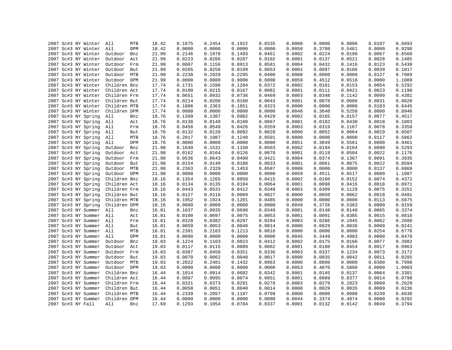| 2007 Sc#3 NY Winter     | All<br>MTB     | 18.42 | 0.1875 | 0.2454 | 0.1922 | 0.0335 | 0.0000 | 0.0000 | 0.0000 | 0.0107 | 0.6693 |
|-------------------------|----------------|-------|--------|--------|--------|--------|--------|--------|--------|--------|--------|
| 2007 Sc#3 NY Winter     | All<br>DPM     | 18.42 | 0.0000 | 0.0000 | 0.0000 | 0.0000 | 0.0050 | 0.3780 | 0.5461 | 0.0000 | 0.9290 |
| 2007 Sc#3 NY Winter     | Outdoor<br>Bnz | 21.99 | 0.2146 | 0.1978 | 0.1493 | 0.0461 | 0.0002 | 0.0224 | 0.0190 | 0.0067 | 0.6560 |
| 2007 Sc#3 NY Winter     | Outdoor<br>Act | 21.99 | 0.0223 | 0.0266 | 0.0207 | 0.0102 | 0.0001 | 0.0137 | 0.0521 | 0.0028 | 0.1485 |
| 2007 Sc#3 NY Winter     | Outdoor<br>Frm | 21.99 | 0.0807 | 0.1156 | 0.0913 | 0.0581 | 0.0004 | 0.0432 | 0.1416 | 0.0123 | 0.5430 |
| 2007 Sc#3 NY Winter     | Outdoor<br>But | 21.99 | 0.0265 | 0.0258 | 0.0199 | 0.0053 | 0.0001 | 0.0097 | 0.0106 | 0.0039 | 0.1017 |
| 2007 Sc#3 NY Winter     | Outdoor MTB    | 21.99 | 0.2238 | 0.2929 | 0.2295 | 0.0400 | 0.0000 | 0.0000 | 0.0000 | 0.0127 | 0.7989 |
| 2007 Sc#3 NY Winter     | Outdoor DPM    | 21.99 | 0.0000 | 0.0000 | 0.0000 | 0.0000 | 0.0059 | 0.4512 | 0.6518 | 0.0000 | 1.1089 |
| 2007 Sc#3 NY Winter     | Children Bnz   | 17.74 | 0.1731 | 0.1596 | 0.1204 | 0.0372 | 0.0002 | 0.0181 | 0.0153 | 0.0054 | 0.5292 |
| 2007 Sc#3 NY Winter     | Children Act   | 17.74 | 0.0180 | 0.0215 | 0.0167 | 0.0082 | 0.0001 | 0.0111 | 0.0421 | 0.0023 | 0.1198 |
| 2007 Sc#3 NY Winter     | Children Frm   | 17.74 | 0.0651 | 0.0932 | 0.0736 | 0.0469 | 0.0003 | 0.0348 | 0.1142 | 0.0099 | 0.4381 |
| 2007 Sc#3 NY Winter     | Children But   | 17.74 | 0.0214 | 0.0208 | 0.0160 | 0.0043 | 0.0001 | 0.0078 | 0.0086 | 0.0031 | 0.0820 |
| 2007 Sc#3 NY Winter     | Children MTB   | 17.74 | 0.1806 | 0.2363 | 0.1851 | 0.0323 | 0.0000 | 0.0000 | 0.0000 | 0.0103 | 0.6445 |
| 2007 Sc#3 NY Winter     | Children DPM   | 17.74 | 0.0000 | 0.0000 | 0.0000 | 0.0000 | 0.0048 | 0.3640 | 0.5258 | 0.0000 | 0.8946 |
| 2007 Sc#3 NY Spring     | All<br>Bnz     | 18.76 | 0.1399 | 0.1307 | 0.0982 | 0.0429 | 0.0002 | 0.0165 | 0.0157 | 0.0077 | 0.4517 |
| 2007 Sc#3 NY Spring     | All<br>Act     | 18.76 | 0.0138 | 0.0140 | 0.0108 | 0.0067 | 0.0001 | 0.0102 | 0.0430 | 0.0018 | 0.1003 |
| 2007 Sc#3 NY Spring     | All<br>Frm     | 18.76 | 0.0458 | 0.0549 | 0.0426 | 0.0359 | 0.0003 | 0.0319 | 0.1167 | 0.0078 | 0.3358 |
| 2007 Sc#3 NY Spring     | All<br>But     | 18.76 | 0.0132 | 0.0120 | 0.0092 | 0.0028 | 0.0000 | 0.0052 | 0.0064 | 0.0019 | 0.0507 |
| 2007 Sc#3 NY Spring     | All<br>MTB     | 18.76 | 0.2017 | 0.1987 | 0.1240 | 0.0501 | 0.0000 | 0.0000 | 0.0000 | 0.0117 | 0.5862 |
| 2007 Sc#3 NY Spring     | All<br>DPM     | 18.76 | 0.0000 | 0.0000 | 0.0000 | 0.0000 | 0.0051 | 0.3849 | 0.5561 | 0.0000 | 0.9461 |
| 2007 Sc#3 NY Spring     | Outdoor<br>Bnz | 21.98 | 0.1640 | 0.1531 | 0.1150 | 0.0503 | 0.0002 | 0.0194 | 0.0184 | 0.0090 | 0.5293 |
|                         |                | 21.98 | 0.0162 | 0.0164 | 0.0126 | 0.0078 | 0.0001 | 0.0119 | 0.0504 | 0.0022 | 0.1176 |
| 2007 Sc#3 NY Spring     | Outdoor<br>Act |       | 0.0536 | 0.0643 |        |        | 0.0004 | 0.0374 |        |        |        |
| 2007 Sc#3 NY Spring     | Outdoor<br>Frm | 21.98 |        |        | 0.0499 | 0.0421 |        |        | 0.1367 | 0.0091 | 0.3935 |
| 2007 Sc#3 NY Spring     | Outdoor But    | 21.98 | 0.0154 | 0.0140 | 0.0108 | 0.0033 | 0.0001 | 0.0061 | 0.0075 | 0.0022 | 0.0594 |
| 2007 Sc#3 NY Spring     | Outdoor MTB    | 21.98 | 0.2363 | 0.2329 | 0.1453 | 0.0587 | 0.0000 | 0.0000 | 0.0000 | 0.0137 | 0.6869 |
| 2007 Sc#3 NY Spring     | Outdoor DPM    | 21.98 | 0.0000 | 0.0000 | 0.0000 | 0.0000 | 0.0059 | 0.4511 | 0.6517 | 0.0000 | 1.1087 |
| 2007 Sc#3 NY Spring     | Children Bnz   | 18.16 | 0.1354 | 0.1265 | 0.0950 | 0.0415 | 0.0002 | 0.0160 | 0.0152 | 0.0074 | 0.4372 |
| 2007 Sc#3 NY Spring     | Children Act   | 18.16 | 0.0134 | 0.0135 | 0.0104 | 0.0064 | 0.0001 | 0.0098 | 0.0416 | 0.0018 | 0.0971 |
| 2007 Sc#3 NY Spring     | Children Frm   | 18.16 | 0.0443 | 0.0531 | 0.0412 | 0.0348 | 0.0003 | 0.0309 | 0.1129 | 0.0075 | 0.3251 |
| 2007 Sc#3 NY Spring     | Children But   | 18.16 | 0.0127 | 0.0116 | 0.0089 | 0.0027 | 0.0000 | 0.0050 | 0.0062 | 0.0018 | 0.0491 |
| 2007 Sc#3 NY Spring     | Children MTB   | 18.16 | 0.1952 | 0.1924 | 0.1201 | 0.0485 | 0.0000 | 0.0000 | 0.0000 | 0.0113 | 0.5675 |
| 2007 Sc#3 NY Spring     | Children DPM   | 18.16 | 0.0000 | 0.0000 | 0.0000 | 0.0000 | 0.0049 | 0.3726 | 0.5383 | 0.0000 | 0.9159 |
| 2007 Sc#3 NY Summer     | All<br>Bnz     | 16.81 | 0.1037 | 0.0935 | 0.0698 | 0.0349 | 0.0001 | 0.0148 | 0.0140 | 0.0065 | 0.3374 |
| 2007 Sc#3 NY Summer All | Act            | 16.81 | 0.0100 | 0.0097 | 0.0075 | 0.0053 | 0.0001 | 0.0091 | 0.0385 | 0.0015 | 0.0816 |
| 2007 Sc#3 NY Summer All | Frm            | 16.81 | 0.0328 | 0.0382 | 0.0297 | 0.0284 | 0.0003 | 0.0286 | 0.1045 | 0.0062 | 0.2688 |
| 2007 Sc#3 NY Summer     | All<br>But     | 16.81 | 0.0059 | 0.0053 | 0.0040 | 0.0014 | 0.0000 | 0.0029 | 0.0036 | 0.0009 | 0.0241 |
| 2007 Sc#3 NY Summer     | All<br>MTB     | 16.81 | 0.2391 | 0.2103 | 0.1213 | 0.0816 | 0.0000 | 0.0000 | 0.0000 | 0.0254 | 0.6778 |
| 2007 Sc#3 NY Summer     | All<br>DPM     | 16.81 | 0.0000 | 0.0000 | 0.0000 | 0.0000 | 0.0045 | 0.3449 | 0.4983 | 0.0000 | 0.8478 |
| 2007 Sc#3 NY Summer     | Outdoor<br>Bnz | 19.83 | 0.1224 | 0.1103 | 0.0823 | 0.0412 | 0.0002 | 0.0175 | 0.0166 | 0.0077 | 0.3982 |
| 2007 Sc#3 NY Summer     | Outdoor<br>Act | 19.83 | 0.0117 | 0.0115 | 0.0089 | 0.0062 | 0.0001 | 0.0108 | 0.0454 | 0.0017 | 0.0963 |
| 2007 Sc#3 NY Summer     | Outdoor<br>Frm | 19.83 | 0.0387 | 0.0450 | 0.0351 | 0.0336 | 0.0003 | 0.0337 | 0.1234 | 0.0073 | 0.3172 |
| 2007 Sc#3 NY Summer     | Outdoor<br>But | 19.83 | 0.0070 | 0.0062 | 0.0048 | 0.0017 | 0.0000 | 0.0035 | 0.0042 | 0.0011 | 0.0285 |
| 2007 Sc#3 NY Summer     | Outdoor MTB    | 19.83 | 0.2822 | 0.2481 | 0.1432 | 0.0963 | 0.0000 | 0.0000 | 0.0000 | 0.0300 | 0.7998 |
| 2007 Sc#3 NY Summer     | Outdoor DPM    | 19.83 | 0.0000 | 0.0000 | 0.0000 | 0.0000 | 0.0053 | 0.4070 | 0.5880 | 0.0000 | 1.0003 |
| 2007 Sc#3 NY Summer     | Children Bnz   | 16.44 | 0.1014 | 0.0914 | 0.0682 | 0.0342 | 0.0001 | 0.0145 | 0.0137 | 0.0064 | 0.3301 |
| 2007 Sc#3 NY Summer     | Children Act   | 16.44 | 0.0097 | 0.0095 | 0.0074 | 0.0051 | 0.0001 | 0.0089 | 0.0377 | 0.0014 | 0.0798 |
| 2007 Sc#3 NY Summer     | Children Frm   | 16.44 | 0.0321 | 0.0373 | 0.0291 | 0.0278 | 0.0003 | 0.0279 | 0.1023 | 0.0060 | 0.2629 |
| 2007 Sc#3 NY Summer     | Children But   | 16.44 | 0.0058 | 0.0051 | 0.0040 | 0.0014 | 0.0000 | 0.0029 | 0.0035 | 0.0009 | 0.0236 |
| 2007 Sc#3 NY Summer     | Children MTB   | 16.44 | 0.2339 | 0.2057 | 0.1187 | 0.0799 | 0.0000 | 0.0000 | 0.0000 | 0.0249 | 0.6630 |
| 2007 Sc#3 NY Summer     | Children DPM   | 16.44 | 0.0000 | 0.0000 | 0.0000 | 0.0000 | 0.0044 | 0.3374 | 0.4874 | 0.0000 | 0.8292 |
| 2007 Sc#3 NY Fall       | All<br>Bnz     | 17.69 | 0.1293 | 0.1054 | 0.0784 | 0.0337 | 0.0001 | 0.0132 | 0.0142 | 0.0049 | 0.3794 |
|                         |                |       |        |        |        |        |        |        |        |        |        |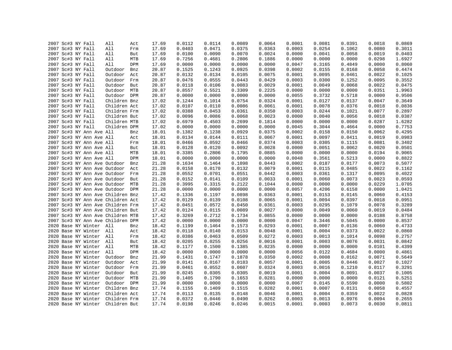|  | 2007 Sc#3 NY Fall |                                   | All          | Act        | 17.69 | 0.0112 | 0.0114 | 0.0089 | 0.0064 | 0.0001 | 0.0081 | 0.0391 | 0.0018 | 0.0869 |
|--|-------------------|-----------------------------------|--------------|------------|-------|--------|--------|--------|--------|--------|--------|--------|--------|--------|
|  | 2007 Sc#3 NY Fall |                                   | All          | Frm        | 17.69 | 0.0403 | 0.0471 | 0.0375 | 0.0363 | 0.0003 | 0.0254 | 0.1062 | 0.0080 | 0.3011 |
|  | 2007 Sc#3 NY Fall |                                   | All          | But        | 17.69 | 0.0100 | 0.0090 | 0.0070 | 0.0024 | 0.0000 | 0.0041 | 0.0058 | 0.0019 | 0.0403 |
|  | 2007 Sc#3 NY Fall |                                   | All          | MTB        | 17.69 | 0.7256 | 0.4681 | 0.2806 | 0.1886 | 0.0000 | 0.0000 | 0.0000 | 0.0298 | 1.6927 |
|  | 2007 Sc#3 NY Fall |                                   | All          | DPM        | 17.69 | 0.0000 | 0.0000 | 0.0000 | 0.0000 | 0.0047 | 0.3165 | 0.4849 | 0.0000 | 0.8060 |
|  | 2007 Sc#3 NY Fall |                                   | Outdoor      | Bnz        | 20.87 | 0.1525 | 0.1243 | 0.0925 | 0.0398 | 0.0002 | 0.0155 | 0.0168 | 0.0058 | 0.4474 |
|  | 2007 Sc#3 NY Fall |                                   | Outdoor      | Act        | 20.87 | 0.0132 | 0.0134 | 0.0105 | 0.0075 | 0.0001 | 0.0095 | 0.0461 | 0.0022 | 0.1025 |
|  | 2007 Sc#3 NY Fall |                                   | Outdoor      | Frm        | 20.87 | 0.0476 | 0.0555 | 0.0443 | 0.0429 | 0.0003 | 0.0300 | 0.1252 | 0.0095 | 0.3552 |
|  | 2007 Sc#3 NY Fall |                                   | Outdoor But  |            | 20.87 | 0.0118 | 0.0106 | 0.0083 | 0.0029 | 0.0001 | 0.0049 | 0.0068 | 0.0022 | 0.0475 |
|  | 2007 Sc#3 NY Fall |                                   | Outdoor MTB  |            | 20.87 | 0.8557 | 0.5521 | 0.3309 | 0.2225 | 0.0000 | 0.0000 | 0.0000 | 0.0351 | 1.9963 |
|  | 2007 Sc#3 NY Fall |                                   | Outdoor DPM  |            | 20.87 | 0.0000 | 0.0000 | 0.0000 | 0.0000 | 0.0055 | 0.3732 | 0.5718 | 0.0000 | 0.9506 |
|  | 2007 Sc#3 NY Fall |                                   | Children Bnz |            | 17.02 | 0.1244 | 0.1014 | 0.0754 | 0.0324 | 0.0001 | 0.0127 | 0.0137 | 0.0047 | 0.3649 |
|  | 2007 Sc#3 NY Fall |                                   | Children Act |            | 17.02 | 0.0107 | 0.0110 | 0.0086 | 0.0061 | 0.0001 | 0.0078 | 0.0376 | 0.0018 | 0.0836 |
|  | 2007 Sc#3 NY Fall |                                   | Children Frm |            | 17.02 | 0.0388 | 0.0453 | 0.0361 | 0.0350 | 0.0003 | 0.0244 | 0.1021 | 0.0077 | 0.2897 |
|  | 2007 Sc#3 NY Fall |                                   | Children But |            | 17.02 | 0.0096 | 0.0086 | 0.0068 | 0.0023 | 0.0000 | 0.0040 | 0.0056 | 0.0018 | 0.0387 |
|  | 2007 Sc#3 NY Fall |                                   | Children MTB |            | 17.02 | 0.6979 | 0.4503 | 0.2699 | 0.1814 | 0.0000 | 0.0000 | 0.0000 | 0.0287 | 1.6282 |
|  | 2007 Sc#3 NY Fall |                                   | Children DPM |            | 17.02 | 0.0000 | 0.0000 | 0.0000 | 0.0000 | 0.0045 | 0.3044 | 0.4664 | 0.0000 | 0.7753 |
|  |                   | 2007 Sc#3 NY Ann Ave All          |              | Bnz        | 18.01 | 0.1382 | 0.1238 | 0.0929 | 0.0375 | 0.0002 | 0.0158 | 0.0150 | 0.0062 | 0.4295 |
|  |                   | 2007 Sc#3 NY Ann Ave All          |              | Act        | 18.01 | 0.0134 | 0.0144 | 0.0111 | 0.0067 | 0.0001 | 0.0097 | 0.0411 | 0.0019 | 0.0983 |
|  |                   | 2007 Sc#3 NY Ann Ave All          |              | Frm        | 18.01 | 0.0466 | 0.0592 | 0.0466 | 0.0374 | 0.0003 | 0.0305 | 0.1115 | 0.0081 | 0.3402 |
|  |                   | 2007 Sc#3 NY Ann Ave All          |              | But        | 18.01 | 0.0128 | 0.0120 | 0.0092 | 0.0028 | 0.0000 | 0.0051 | 0.0062 | 0.0020 | 0.0501 |
|  |                   | 2007 Sc#3 NY Ann Ave All          |              |            |       | 0.3385 |        | 0.1795 | 0.0885 | 0.0000 | 0.0000 | 0.0000 |        | 0.9065 |
|  |                   |                                   |              | MTB<br>DPM | 18.01 | 0.0000 | 0.2806 |        |        |        |        |        | 0.0194 |        |
|  |                   | 2007 Sc#3 NY Ann Ave All          |              |            | 18.01 |        | 0.0000 | 0.0000 | 0.0000 | 0.0048 | 0.3561 | 0.5213 | 0.0000 | 0.8822 |
|  |                   | 2007 Sc#3 NY Ann Ave Outdoor      |              | Bnz        | 21.28 | 0.1634 | 0.1464 | 0.1098 | 0.0443 | 0.0002 | 0.0187 | 0.0177 | 0.0073 | 0.5077 |
|  |                   | 2007 Sc#3 NY Ann Ave Outdoor      |              | Act        | 21.28 | 0.0158 | 0.0170 | 0.0132 | 0.0079 | 0.0001 | 0.0115 | 0.0485 | 0.0022 | 0.1162 |
|  |                   | 2007 Sc#3 NY Ann Ave Outdoor Frm  |              |            | 21.28 | 0.0552 | 0.0701 | 0.0551 | 0.0442 | 0.0003 | 0.0361 | 0.1317 | 0.0095 | 0.4022 |
|  |                   | 2007 Sc#3 NY Ann Ave Outdoor      |              | But        | 21.28 | 0.0152 | 0.0141 | 0.0109 | 0.0033 | 0.0001 | 0.0060 | 0.0073 | 0.0023 | 0.0593 |
|  |                   | 2007 Sc#3 NY Ann Ave Outdoor MTB  |              |            | 21.28 | 0.3995 | 0.3315 | 0.2122 | 0.1044 | 0.0000 | 0.0000 | 0.0000 | 0.0229 | 1.0705 |
|  |                   | 2007 Sc#3 NY Ann Ave Outdoor DPM  |              |            | 21.28 | 0.0000 | 0.0000 | 0.0000 | 0.0000 | 0.0057 | 0.4206 | 0.6158 | 0.0000 | 1.0421 |
|  |                   | 2007 Sc#3 NY Ann Ave Children Bnz |              |            | 17.42 | 0.1336 | 0.1197 | 0.0898 | 0.0363 | 0.0001 | 0.0153 | 0.0145 | 0.0060 | 0.4153 |
|  |                   | 2007 Sc#3 NY Ann Ave Children Act |              |            | 17.42 | 0.0129 | 0.0139 | 0.0108 | 0.0065 | 0.0001 | 0.0094 | 0.0397 | 0.0018 | 0.0951 |
|  |                   | 2007 Sc#3 NY Ann Ave Children Frm |              |            | 17.42 | 0.0451 | 0.0572 | 0.0450 | 0.0361 | 0.0003 | 0.0295 | 0.1079 | 0.0078 | 0.3289 |
|  |                   | 2007 Sc#3 NY Ann Ave Children But |              |            | 17.42 | 0.0124 | 0.0115 | 0.0089 | 0.0027 | 0.0000 | 0.0049 | 0.0060 | 0.0019 | 0.0484 |
|  |                   | 2007 Sc#3 NY Ann Ave Children MTB |              |            | 17.42 | 0.3269 | 0.2712 | 0.1734 | 0.0855 | 0.0000 | 0.0000 | 0.0000 | 0.0188 | 0.8758 |
|  |                   | 2007 Sc#3 NY Ann Ave Children DPM |              |            | 17.42 | 0.0000 | 0.0000 | 0.0000 | 0.0000 | 0.0047 | 0.3446 | 0.5045 | 0.0000 | 0.8537 |
|  |                   | 2020 Base NY Winter All           |              | Bnz        | 18.42 | 0.1199 | 0.1464 | 0.1573 | 0.0293 | 0.0001 | 0.0007 | 0.0136 | 0.0060 | 0.4733 |
|  |                   | 2020 Base NY Winter All           |              | Act        | 18.42 | 0.0118 | 0.0140 | 0.0153 | 0.0048 | 0.0001 | 0.0004 | 0.0373 | 0.0022 | 0.0860 |
|  |                   | 2020 Base NY Winter All           |              | Frm        | 18.42 | 0.0386 | 0.0463 | 0.0509 | 0.0272 | 0.0003 | 0.0013 | 0.1014 | 0.0098 | 0.2757 |
|  |                   | 2020 Base NY Winter All           |              | But        | 18.42 | 0.0205 | 0.0255 | 0.0256 | 0.0016 | 0.0001 | 0.0003 | 0.0076 | 0.0031 | 0.0842 |
|  |                   | 2020 Base NY Winter All           |              | MTB        | 18.42 | 0.1177 | 0.1500 | 0.1385 | 0.0235 | 0.0000 | 0.0000 | 0.0000 | 0.0101 | 0.4399 |
|  |                   | 2020 Base NY Winter All           |              | DPM        | 18.42 | 0.0000 | 0.0000 | 0.0000 | 0.0000 | 0.0056 | 0.0122 | 0.4684 | 0.0000 | 0.4861 |
|  |                   | 2020 Base NY Winter               | Outdoor      | Bnz        | 21.99 | 0.1431 | 0.1747 | 0.1878 | 0.0350 | 0.0002 | 0.0008 | 0.0162 | 0.0071 | 0.5649 |
|  |                   | 2020 Base NY Winter               | Outdoor      | Act        | 21.99 | 0.0141 | 0.0167 | 0.0183 | 0.0057 | 0.0001 | 0.0005 | 0.0446 | 0.0027 | 0.1027 |
|  |                   | 2020 Base NY Winter               | Outdoor Frm  |            | 21.99 | 0.0461 | 0.0552 | 0.0607 | 0.0324 | 0.0003 | 0.0016 | 0.1210 | 0.0117 | 0.3291 |
|  |                   | 2020 Base NY Winter               | Outdoor But  |            | 21.99 | 0.0245 | 0.0305 | 0.0305 | 0.0019 | 0.0001 | 0.0004 | 0.0091 | 0.0037 | 0.1005 |
|  |                   | 2020 Base NY Winter               | Outdoor MTB  |            | 21.99 | 0.1405 | 0.1790 | 0.1653 | 0.0281 | 0.0000 | 0.0000 | 0.0000 | 0.0121 | 0.5251 |
|  |                   | 2020 Base NY Winter               | Outdoor DPM  |            | 21.99 | 0.0000 | 0.0000 | 0.0000 | 0.0000 | 0.0067 | 0.0145 | 0.5590 | 0.0000 | 0.5802 |
|  |                   | 2020 Base NY Winter               | Children Bnz |            | 17.74 | 0.1155 | 0.1409 | 0.1515 | 0.0282 | 0.0001 | 0.0007 | 0.0131 | 0.0058 | 0.4557 |
|  |                   | 2020 Base NY Winter               | Children Act |            | 17.74 | 0.0113 | 0.0135 | 0.0148 | 0.0046 | 0.0001 | 0.0004 | 0.0359 | 0.0022 | 0.0828 |
|  |                   | 2020 Base NY Winter               | Children Frm |            | 17.74 | 0.0372 | 0.0446 | 0.0490 | 0.0262 | 0.0003 | 0.0013 | 0.0976 | 0.0094 | 0.2655 |
|  |                   | 2020 Base NY Winter               | Children But |            | 17.74 | 0.0198 | 0.0246 | 0.0246 | 0.0015 | 0.0001 | 0.0003 | 0.0073 | 0.0030 | 0.0811 |
|  |                   |                                   |              |            |       |        |        |        |        |        |        |        |        |        |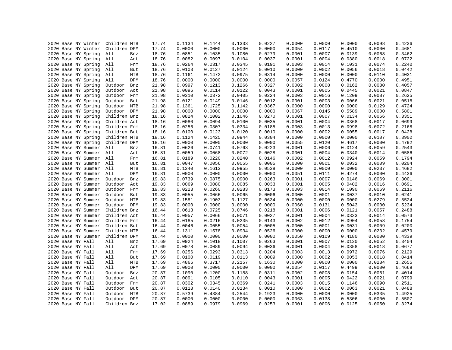|  |                   | 2020 Base NY Winter | Children MTB |     | 17.74 | 0.1134 | 0.1444 | 0.1333 | 0.0227 | 0.0000 | 0.0000 | 0.0000 | 0.0098 | 0.4236 |
|--|-------------------|---------------------|--------------|-----|-------|--------|--------|--------|--------|--------|--------|--------|--------|--------|
|  |                   | 2020 Base NY Winter | Children DPM |     | 17.74 | 0.0000 | 0.0000 | 0.0000 | 0.0000 | 0.0054 | 0.0117 | 0.4510 | 0.0000 | 0.4681 |
|  |                   | 2020 Base NY Spring | All          | Bnz | 18.76 | 0.0851 | 0.1035 | 0.1080 | 0.0279 | 0.0001 | 0.0007 | 0.0139 | 0.0068 | 0.3462 |
|  |                   | 2020 Base NY Spring | All          | Act | 18.76 | 0.0082 | 0.0097 | 0.0104 | 0.0037 | 0.0001 | 0.0004 | 0.0380 | 0.0018 | 0.0722 |
|  |                   | 2020 Base NY Spring | All          | Frm | 18.76 | 0.0264 | 0.0317 | 0.0345 | 0.0191 | 0.0003 | 0.0014 | 0.1031 | 0.0074 | 0.2240 |
|  |                   | 2020 Base NY Spring | All          | But | 18.76 | 0.0103 | 0.0127 | 0.0124 | 0.0010 | 0.0000 | 0.0002 | 0.0056 | 0.0018 | 0.0442 |
|  |                   | 2020 Base NY Spring | All          | MTB | 18.76 | 0.1161 | 0.1472 | 0.0975 | 0.0314 | 0.0000 | 0.0000 | 0.0000 | 0.0110 | 0.4031 |
|  |                   | 2020 Base NY Spring | All          | DPM | 18.76 | 0.0000 | 0.0000 | 0.0000 | 0.0000 | 0.0057 | 0.0124 | 0.4770 | 0.0000 | 0.4951 |
|  |                   | 2020 Base NY Spring | Outdoor      | Bnz | 21.98 | 0.0997 | 0.1213 | 0.1266 | 0.0327 | 0.0002 | 0.0008 | 0.0162 | 0.0080 | 0.4057 |
|  |                   | 2020 Base NY Spring | Outdoor      | Act | 21.98 | 0.0096 | 0.0114 | 0.0122 | 0.0043 | 0.0001 | 0.0005 | 0.0445 | 0.0021 | 0.0847 |
|  |                   | 2020 Base NY Spring | Outdoor      | Frm | 21.98 | 0.0310 | 0.0372 | 0.0405 | 0.0224 | 0.0003 | 0.0016 | 0.1209 | 0.0087 | 0.2625 |
|  |                   | 2020 Base NY Spring | Outdoor      | But | 21.98 | 0.0121 | 0.0149 | 0.0146 | 0.0012 | 0.0001 | 0.0003 | 0.0066 | 0.0021 | 0.0518 |
|  |                   | 2020 Base NY Spring | Outdoor      | MTB | 21.98 | 0.1361 | 0.1725 | 0.1142 | 0.0367 | 0.0000 | 0.0000 | 0.0000 | 0.0129 | 0.4724 |
|  |                   | 2020 Base NY Spring | Outdoor      | DPM | 21.98 | 0.0000 | 0.0000 | 0.0000 | 0.0000 | 0.0067 | 0.0145 | 0.5589 | 0.0000 | 0.5801 |
|  |                   | 2020 Base NY Spring | Children Bnz |     | 18.16 | 0.0824 | 0.1002 | 0.1046 | 0.0270 | 0.0001 | 0.0007 | 0.0134 | 0.0066 | 0.3351 |
|  |                   | 2020 Base NY Spring | Children Act |     | 18.16 | 0.0080 | 0.0094 | 0.0100 | 0.0035 | 0.0001 | 0.0004 | 0.0368 | 0.0017 | 0.0699 |
|  |                   | 2020 Base NY Spring | Children Frm |     | 18.16 | 0.0256 | 0.0307 | 0.0334 | 0.0185 | 0.0003 | 0.0013 | 0.0998 | 0.0072 | 0.2168 |
|  |                   | 2020 Base NY Spring | Children But |     | 18.16 | 0.0100 | 0.0123 | 0.0120 | 0.0010 | 0.0000 | 0.0002 | 0.0055 | 0.0017 | 0.0428 |
|  |                   | 2020 Base NY Spring | Children MTB |     | 18.16 | 0.1124 | 0.1425 | 0.0944 | 0.0304 | 0.0000 | 0.0000 | 0.0000 | 0.0107 | 0.3902 |
|  |                   | 2020 Base NY Spring | Children DPM |     | 18.16 | 0.0000 | 0.0000 | 0.0000 | 0.0000 | 0.0055 | 0.0120 | 0.4617 | 0.0000 | 0.4792 |
|  |                   | 2020 Base NY Summer | All          | Bnz | 16.81 | 0.0626 | 0.0741 | 0.0763 | 0.0223 | 0.0001 | 0.0006 | 0.0124 | 0.0059 | 0.2543 |
|  |                   | 2020 Base NY Summer | All          | Act | 16.81 | 0.0059 | 0.0068 | 0.0072 | 0.0028 | 0.0001 | 0.0004 | 0.0340 | 0.0014 | 0.0586 |
|  |                   | 2020 Base NY Summer | All          | Frm | 16.81 | 0.0189 | 0.0220 | 0.0240 | 0.0146 | 0.0002 | 0.0012 | 0.0924 | 0.0059 | 0.1794 |
|  |                   | 2020 Base NY Summer | All          | But | 16.81 | 0.0047 | 0.0056 | 0.0055 | 0.0005 | 0.0000 | 0.0001 | 0.0032 | 0.0009 | 0.0204 |
|  |                   |                     |              |     |       | 0.1340 |        |        |        | 0.0000 | 0.0000 | 0.0000 | 0.0237 | 0.4682 |
|  |                   | 2020 Base NY Summer | All          | MTB | 16.81 |        | 0.1613 | 0.0955 | 0.0538 |        |        |        |        |        |
|  |                   | 2020 Base NY Summer | All          | DPM | 16.81 | 0.0000 | 0.0000 | 0.0000 | 0.0000 | 0.0051 | 0.0111 | 0.4274 | 0.0000 | 0.4436 |
|  |                   | 2020 Base NY Summer | Outdoor      | Bnz | 19.83 | 0.0739 | 0.0875 | 0.0900 | 0.0263 | 0.0001 | 0.0007 | 0.0146 | 0.0069 | 0.3001 |
|  |                   | 2020 Base NY Summer | Outdoor      | Act | 19.83 | 0.0069 | 0.0080 | 0.0085 | 0.0033 | 0.0001 | 0.0005 | 0.0402 | 0.0016 | 0.0691 |
|  |                   | 2020 Base NY Summer | Outdoor Frm  |     | 19.83 | 0.0223 | 0.0260 | 0.0283 | 0.0173 | 0.0003 | 0.0014 | 0.1090 | 0.0069 | 0.2116 |
|  |                   | 2020 Base NY Summer | Outdoor      | But | 19.83 | 0.0055 | 0.0066 | 0.0065 | 0.0006 | 0.0000 | 0.0001 | 0.0037 | 0.0010 | 0.0241 |
|  |                   | 2020 Base NY Summer | Outdoor MTB  |     | 19.83 | 0.1581 | 0.1903 | 0.1127 | 0.0634 | 0.0000 | 0.0000 | 0.0000 | 0.0279 | 0.5524 |
|  |                   | 2020 Base NY Summer | Outdoor DPM  |     | 19.83 | 0.0000 | 0.0000 | 0.0000 | 0.0000 | 0.0060 | 0.0131 | 0.5043 | 0.0000 | 0.5234 |
|  |                   | 2020 Base NY Summer | Children Bnz |     | 16.44 | 0.0613 | 0.0725 | 0.0746 | 0.0218 | 0.0001 | 0.0006 | 0.0121 | 0.0057 | 0.2488 |
|  |                   | 2020 Base NY Summer | Children Act |     | 16.44 | 0.0057 | 0.0066 | 0.0071 | 0.0027 | 0.0001 | 0.0004 | 0.0333 | 0.0014 | 0.0573 |
|  |                   | 2020 Base NY Summer | Children Frm |     | 16.44 | 0.0185 | 0.0216 | 0.0235 | 0.0143 | 0.0002 | 0.0012 | 0.0904 | 0.0058 | 0.1754 |
|  |                   | 2020 Base NY Summer | Children But |     | 16.44 | 0.0046 | 0.0055 | 0.0054 | 0.0005 | 0.0000 | 0.0001 | 0.0031 | 0.0009 | 0.0200 |
|  |                   | 2020 Base NY Summer | Children MTB |     | 16.44 | 0.1311 | 0.1578 | 0.0934 | 0.0526 | 0.0000 | 0.0000 | 0.0000 | 0.0232 | 0.4579 |
|  |                   | 2020 Base NY Summer | Children DPM |     | 16.44 | 0.0000 | 0.0000 | 0.0000 | 0.0000 | 0.0050 | 0.0109 | 0.4180 | 0.0000 | 0.4339 |
|  | 2020 Base NY Fall |                     | All          | Bnz | 17.69 | 0.0924 | 0.1018 | 0.1007 | 0.0263 | 0.0001 | 0.0007 | 0.0130 | 0.0052 | 0.3404 |
|  | 2020 Base NY Fall |                     | All          | Act | 17.69 | 0.0078 | 0.0089 | 0.0094 | 0.0036 | 0.0001 | 0.0004 | 0.0358 | 0.0018 | 0.0677 |
|  | 2020 Base NY Fall |                     | All          | Frm | 17.69 | 0.0256 | 0.0293 | 0.0313 | 0.0204 | 0.0003 | 0.0013 | 0.0972 | 0.0076 | 0.2129 |
|  | 2020 Base NY Fall |                     | All          | But | 17.69 | 0.0100 | 0.0119 | 0.0113 | 0.0009 | 0.0000 | 0.0002 | 0.0053 | 0.0018 | 0.0414 |
|  | 2020 Base NY Fall |                     | All          | MTB | 17.69 | 0.4866 | 0.3717 | 0.2157 | 0.1630 | 0.0000 | 0.0000 | 0.0000 | 0.0284 | 1.2655 |
|  | 2020 Base NY Fall |                     | All          | DPM | 17.69 | 0.0000 | 0.0000 | 0.0000 | 0.0000 | 0.0054 | 0.0117 | 0.4499 | 0.0000 | 0.4669 |
|  | 2020 Base NY Fall |                     | Outdoor      | Bnz | 20.87 | 0.1090 | 0.1200 | 0.1188 | 0.0311 | 0.0002 | 0.0008 | 0.0154 | 0.0061 | 0.4014 |
|  | 2020 Base NY Fall |                     | Outdoor      | Act | 20.87 | 0.0091 | 0.0105 | 0.0110 | 0.0043 | 0.0001 | 0.0005 | 0.0422 | 0.0021 | 0.0799 |
|  | 2020 Base NY Fall |                     | Outdoor      | Frm | 20.87 | 0.0302 | 0.0345 | 0.0369 | 0.0241 | 0.0003 | 0.0015 | 0.1146 | 0.0090 | 0.2511 |
|  | 2020 Base NY Fall |                     | Outdoor      | But | 20.87 | 0.0118 | 0.0140 | 0.0134 | 0.0010 | 0.0000 | 0.0002 | 0.0063 | 0.0021 | 0.0488 |
|  | 2020 Base NY Fall |                     | Outdoor      | MTB | 20.87 | 0.5739 | 0.4384 | 0.2544 | 0.1923 | 0.0000 | 0.0000 | 0.0000 | 0.0335 | 1.4925 |
|  | 2020 Base NY Fall |                     | Outdoor DPM  |     | 20.87 | 0.0000 | 0.0000 | 0.0000 | 0.0000 | 0.0063 | 0.0138 | 0.5306 | 0.0000 | 0.5507 |
|  | 2020 Base NY Fall |                     | Children Bnz |     | 17.02 | 0.0889 | 0.0979 | 0.0969 | 0.0253 | 0.0001 | 0.0006 | 0.0125 | 0.0050 | 0.3274 |
|  |                   |                     |              |     |       |        |        |        |        |        |        |        |        |        |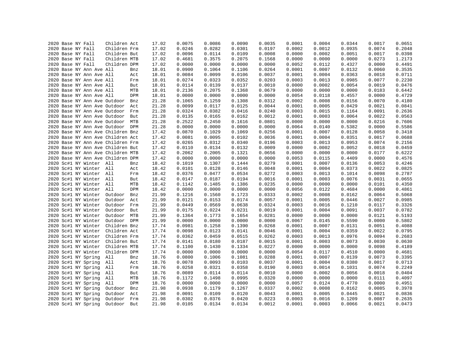|  | 2020 Base NY Fall        | Children Act                      |     | 17.02 | 0.0075 | 0.0086 | 0.0090 | 0.0035 | 0.0001 | 0.0004 | 0.0344 | 0.0017 | 0.0651 |
|--|--------------------------|-----------------------------------|-----|-------|--------|--------|--------|--------|--------|--------|--------|--------|--------|
|  | 2020 Base NY Fall        | Children Frm                      |     | 17.02 | 0.0246 | 0.0282 | 0.0301 | 0.0197 | 0.0002 | 0.0012 | 0.0935 | 0.0074 | 0.2048 |
|  | 2020 Base NY Fall        | Children But                      |     | 17.02 | 0.0096 | 0.0114 | 0.0109 | 0.0008 | 0.0000 | 0.0002 | 0.0051 | 0.0017 | 0.0398 |
|  | 2020 Base NY Fall        | Children MTB                      |     | 17.02 | 0.4681 | 0.3575 | 0.2075 | 0.1568 | 0.0000 | 0.0000 | 0.0000 | 0.0273 | 1.2173 |
|  | 2020 Base NY Fall        | Children DPM                      |     | 17.02 | 0.0000 | 0.0000 | 0.0000 | 0.0000 | 0.0052 | 0.0112 | 0.4327 | 0.0000 | 0.4491 |
|  | 2020 Base NY Ann Ave All |                                   | Bnz | 18.01 | 0.0900 | 0.1064 | 0.1106 | 0.0264 | 0.0001 | 0.0007 | 0.0132 | 0.0060 | 0.3535 |
|  | 2020 Base NY Ann Ave All |                                   | Act | 18.01 | 0.0084 | 0.0099 | 0.0106 | 0.0037 | 0.0001 | 0.0004 | 0.0363 | 0.0018 | 0.0711 |
|  | 2020 Base NY Ann Ave All |                                   | Frm | 18.01 | 0.0274 | 0.0323 | 0.0352 | 0.0203 | 0.0003 | 0.0013 | 0.0985 | 0.0077 | 0.2230 |
|  | 2020 Base NY Ann Ave All |                                   | But | 18.01 | 0.0114 | 0.0139 | 0.0137 | 0.0010 | 0.0000 | 0.0002 | 0.0054 | 0.0019 | 0.0476 |
|  | 2020 Base NY Ann Ave All |                                   | MTB | 18.01 | 0.2136 | 0.2075 | 0.1368 | 0.0679 | 0.0000 | 0.0000 | 0.0000 | 0.0183 | 0.6442 |
|  | 2020 Base NY Ann Ave All |                                   | DPM | 18.01 | 0.0000 | 0.0000 | 0.0000 | 0.0000 | 0.0054 | 0.0118 | 0.4557 | 0.0000 | 0.4729 |
|  |                          | 2020 Base NY Ann Ave Outdoor      | Bnz | 21.28 | 0.1065 | 0.1259 | 0.1308 | 0.0312 | 0.0002 | 0.0008 | 0.0156 | 0.0070 | 0.4180 |
|  |                          | 2020 Base NY Ann Ave Outdoor      | Act | 21.28 | 0.0099 | 0.0117 | 0.0125 | 0.0044 | 0.0001 | 0.0005 | 0.0429 | 0.0021 | 0.0841 |
|  |                          | 2020 Base NY Ann Ave Outdoor      | Frm | 21.28 | 0.0324 | 0.0382 | 0.0416 | 0.0240 | 0.0003 | 0.0015 | 0.1164 | 0.0091 | 0.2636 |
|  |                          | 2020 Base NY Ann Ave Outdoor      | But | 21.28 | 0.0135 | 0.0165 | 0.0162 | 0.0012 | 0.0001 | 0.0003 | 0.0064 | 0.0022 | 0.0563 |
|  |                          | 2020 Base NY Ann Ave Outdoor MTB  |     | 21.28 | 0.2522 | 0.2450 | 0.1616 | 0.0801 | 0.0000 | 0.0000 | 0.0000 | 0.0216 | 0.7606 |
|  |                          | 2020 Base NY Ann Ave Outdoor DPM  |     | 21.28 | 0.0000 | 0.0000 | 0.0000 | 0.0000 | 0.0064 | 0.0140 | 0.5382 | 0.0000 | 0.5586 |
|  |                          | 2020 Base NY Ann Ave Children Bnz |     | 17.42 | 0.0870 | 0.1029 | 0.1069 | 0.0256 | 0.0001 | 0.0007 | 0.0128 | 0.0058 | 0.3418 |
|  |                          | 2020 Base NY Ann Ave Children Act |     | 17.42 | 0.0081 | 0.0095 | 0.0102 | 0.0036 | 0.0001 | 0.0004 | 0.0351 | 0.0017 | 0.0688 |
|  |                          | 2020 Base NY Ann Ave Children Frm |     | 17.42 | 0.0265 | 0.0312 | 0.0340 | 0.0196 | 0.0003 | 0.0013 | 0.0953 | 0.0074 | 0.2156 |
|  |                          | 2020 Base NY Ann Ave Children But |     | 17.42 | 0.0110 | 0.0134 | 0.0132 | 0.0009 | 0.0000 | 0.0002 | 0.0052 | 0.0018 | 0.0459 |
|  |                          | 2020 Base NY Ann Ave Children MTB |     | 17.42 | 0.2062 | 0.2005 | 0.1321 | 0.0656 | 0.0000 | 0.0000 | 0.0000 | 0.0177 | 0.6222 |
|  |                          | 2020 Base NY Ann Ave Children DPM |     | 17.42 | 0.0000 | 0.0000 | 0.0000 | 0.0000 | 0.0053 | 0.0115 | 0.4409 | 0.0000 | 0.4576 |
|  | 2020 Sc#1 NY Winter All  |                                   | Bnz | 18.42 | 0.1019 | 0.1307 | 0.1444 | 0.0279 | 0.0001 | 0.0007 | 0.0136 | 0.0053 | 0.4246 |
|  | 2020 Sc#1 NY Winter All  |                                   |     |       | 0.0101 | 0.0128 | 0.0146 | 0.0048 | 0.0001 | 0.0004 | 0.0373 | 0.0022 | 0.0825 |
|  |                          |                                   | Act | 18.42 |        |        | 0.0534 |        |        |        |        | 0.0098 | 0.2787 |
|  | 2020 Sc#1 NY Winter All  |                                   | Frm | 18.42 | 0.0376 | 0.0477 |        | 0.0272 | 0.0003 | 0.0013 | 0.1014 | 0.0031 | 0.0655 |
|  | 2020 Sc#1 NY Winter All  |                                   | But | 18.42 | 0.0147 | 0.0187 | 0.0194 | 0.0016 | 0.0001 | 0.0003 | 0.0076 |        |        |
|  | 2020 Sc#1 NY Winter All  |                                   | MTB | 18.42 | 0.1142 | 0.1485 | 0.1386 | 0.0235 | 0.0000 | 0.0000 | 0.0000 | 0.0101 | 0.4350 |
|  | 2020 Sc#1 NY Winter All  |                                   | DPM | 18.42 | 0.0000 | 0.0000 | 0.0000 | 0.0000 | 0.0056 | 0.0122 | 0.4684 | 0.0000 | 0.4861 |
|  | 2020 Sc#1 NY Winter      | Outdoor                           | Bnz | 21.99 | 0.1216 | 0.1560 | 0.1723 | 0.0333 | 0.0002 | 0.0008 | 0.0162 | 0.0064 | 0.5068 |
|  | 2020 Sc#1 NY Winter      | Outdoor                           | Act | 21.99 | 0.0121 | 0.0153 | 0.0174 | 0.0057 | 0.0001 | 0.0005 | 0.0446 | 0.0027 | 0.0985 |
|  | 2020 Sc#1 NY Winter      | Outdoor                           | Frm | 21.99 | 0.0449 | 0.0569 | 0.0638 | 0.0324 | 0.0003 | 0.0016 | 0.1210 | 0.0117 | 0.3326 |
|  | 2020 Sc#1 NY Winter      | Outdoor                           | But | 21.99 | 0.0175 | 0.0224 | 0.0231 | 0.0019 | 0.0001 | 0.0004 | 0.0091 | 0.0037 | 0.0782 |
|  | 2020 Sc#1 NY Winter      | Outdoor                           | MTB | 21.99 | 0.1364 | 0.1773 | 0.1654 | 0.0281 | 0.0000 | 0.0000 | 0.0000 | 0.0121 | 0.5193 |
|  | 2020 Sc#1 NY Winter      | Outdoor DPM                       |     | 21.99 | 0.0000 | 0.0000 | 0.0000 | 0.0000 | 0.0067 | 0.0145 | 0.5590 | 0.0000 | 0.5802 |
|  | 2020 Sc#1 NY Winter      | Children Bnz                      |     | 17.74 | 0.0981 | 0.1258 | 0.1390 | 0.0268 | 0.0001 | 0.0007 | 0.0131 | 0.0051 | 0.4088 |
|  | 2020 Sc#1 NY Winter      | Children Act                      |     | 17.74 | 0.0098 | 0.0123 | 0.0141 | 0.0046 | 0.0001 | 0.0004 | 0.0359 | 0.0022 | 0.0795 |
|  | 2020 Sc#1 NY Winter      | Children Frm                      |     | 17.74 | 0.0362 | 0.0459 | 0.0515 | 0.0262 | 0.0003 | 0.0013 | 0.0976 | 0.0094 | 0.2683 |
|  | 2020 Sc#1 NY Winter      | Children But                      |     | 17.74 | 0.0141 | 0.0180 | 0.0187 | 0.0015 | 0.0001 | 0.0003 | 0.0073 | 0.0030 | 0.0630 |
|  | 2020 Sc#1 NY Winter      | Children MTB                      |     | 17.74 | 0.1100 | 0.1430 | 0.1334 | 0.0227 | 0.0000 | 0.0000 | 0.0000 | 0.0098 | 0.4189 |
|  | 2020 Sc#1 NY Winter      | Children DPM                      |     | 17.74 | 0.0000 | 0.0000 | 0.0000 | 0.0000 | 0.0054 | 0.0117 | 0.4510 | 0.0000 | 0.4681 |
|  | 2020 Sc#1 NY Spring      | All                               | Bnz | 18.76 | 0.0800 | 0.1006 | 0.1081 | 0.0288 | 0.0001 | 0.0007 | 0.0139 | 0.0073 | 0.3395 |
|  | 2020 Sc#1 NY Spring      | All                               | Act | 18.76 | 0.0078 | 0.0093 | 0.0103 | 0.0037 | 0.0001 | 0.0004 | 0.0380 | 0.0017 | 0.0713 |
|  | 2020 Sc#1 NY Spring      | All                               | Frm | 18.76 | 0.0258 | 0.0321 | 0.0358 | 0.0190 | 0.0003 | 0.0014 | 0.1031 | 0.0074 | 0.2249 |
|  | 2020 Sc#1 NY Spring      | All                               | But | 18.76 | 0.0089 | 0.0114 | 0.0114 | 0.0010 | 0.0000 | 0.0002 | 0.0056 | 0.0018 | 0.0404 |
|  | 2020 Sc#1 NY Spring      | All                               | MTB | 18.76 | 0.1172 | 0.1498 | 0.0995 | 0.0320 | 0.0000 | 0.0000 | 0.0000 | 0.0111 | 0.4097 |
|  | 2020 Sc#1 NY Spring      | All                               | DPM | 18.76 | 0.0000 | 0.0000 | 0.0000 | 0.0000 | 0.0057 | 0.0124 | 0.4770 | 0.0000 | 0.4951 |
|  | 2020 Sc#1 NY Spring      | Outdoor                           | Bnz | 21.98 | 0.0938 | 0.1179 | 0.1267 | 0.0337 | 0.0002 | 0.0008 | 0.0162 | 0.0085 | 0.3978 |
|  | 2020 Sc#1 NY Spring      | Outdoor                           | Act | 21.98 | 0.0091 | 0.0109 | 0.0120 | 0.0043 | 0.0001 | 0.0005 | 0.0445 | 0.0021 | 0.0836 |
|  | 2020 Sc#1 NY Spring      | Outdoor                           | Frm | 21.98 | 0.0302 | 0.0376 | 0.0420 | 0.0223 | 0.0003 | 0.0016 | 0.1209 | 0.0087 | 0.2635 |
|  | 2020 Sc#1 NY Spring      | Outdoor                           | But | 21.98 | 0.0105 | 0.0134 | 0.0134 | 0.0012 | 0.0001 | 0.0003 | 0.0066 | 0.0021 | 0.0473 |
|  |                          |                                   |     |       |        |        |        |        |        |        |        |        |        |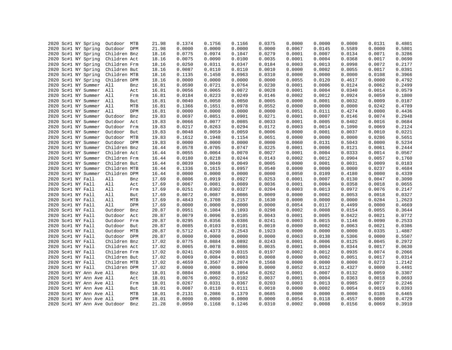|  | 2020 Sc#1 NY Spring          | Outdoor MTB  |     | 21.98 | 0.1374 | 0.1756 | 0.1166 | 0.0375 | 0.0000 | 0.0000 | 0.0000 | 0.0131 | 0.4801 |
|--|------------------------------|--------------|-----|-------|--------|--------|--------|--------|--------|--------|--------|--------|--------|
|  | 2020 Sc#1 NY Spring          | Outdoor DPM  |     | 21.98 | 0.0000 | 0.0000 | 0.0000 | 0.0000 | 0.0067 | 0.0145 | 0.5589 | 0.0000 | 0.5801 |
|  | 2020 Sc#1 NY Spring          | Children Bnz |     | 18.16 | 0.0775 | 0.0974 | 0.1047 | 0.0279 | 0.0001 | 0.0007 | 0.0134 | 0.0071 | 0.3286 |
|  | 2020 Sc#1 NY Spring          | Children Act |     | 18.16 | 0.0075 | 0.0090 | 0.0100 | 0.0035 | 0.0001 | 0.0004 | 0.0368 | 0.0017 | 0.0690 |
|  | 2020 Sc#1 NY Spring          | Children Frm |     | 18.16 | 0.0250 | 0.0311 | 0.0347 | 0.0184 | 0.0003 | 0.0013 | 0.0998 | 0.0072 | 0.2177 |
|  | 2020 Sc#1 NY Spring          | Children But |     | 18.16 | 0.0087 | 0.0110 | 0.0110 | 0.0010 | 0.0000 | 0.0002 | 0.0055 | 0.0017 | 0.0391 |
|  | 2020 Sc#1 NY Spring          | Children MTB |     | 18.16 | 0.1135 | 0.1450 | 0.0963 | 0.0310 | 0.0000 | 0.0000 | 0.0000 | 0.0108 | 0.3966 |
|  | 2020 Sc#1 NY Spring          | Children DPM |     | 18.16 | 0.0000 | 0.0000 | 0.0000 | 0.0000 | 0.0055 | 0.0120 | 0.4617 | 0.0000 | 0.4792 |
|  | 2020 Sc#1 NY Summer All      |              | Bnz | 16.81 | 0.0590 | 0.0721 | 0.0764 | 0.0230 | 0.0001 | 0.0006 | 0.0124 | 0.0062 | 0.2499 |
|  | 2020 Sc#1 NY Summer All      |              | Act | 16.81 | 0.0056 | 0.0065 | 0.0072 | 0.0028 | 0.0001 | 0.0004 | 0.0340 | 0.0014 | 0.0579 |
|  | 2020 Sc#1 NY Summer All      |              | Frm | 16.81 | 0.0184 | 0.0223 | 0.0249 | 0.0146 | 0.0002 | 0.0012 | 0.0924 | 0.0059 | 0.1800 |
|  | 2020 Sc#1 NY Summer All      |              | But | 16.81 | 0.0040 | 0.0050 | 0.0050 | 0.0005 | 0.0000 | 0.0001 | 0.0032 | 0.0009 | 0.0187 |
|  | 2020 Sc#1 NY Summer          | All          | MTB | 16.81 | 0.1366 | 0.1651 | 0.0978 | 0.0552 | 0.0000 | 0.0000 | 0.0000 | 0.0242 | 0.4789 |
|  | 2020 Sc#1 NY Summer          | All          | DPM | 16.81 | 0.0000 | 0.0000 | 0.0000 | 0.0000 | 0.0051 | 0.0111 | 0.4274 | 0.0000 | 0.4436 |
|  | 2020 Sc#1 NY Summer          | Outdoor      | Bnz | 19.83 | 0.0697 | 0.0851 | 0.0901 | 0.0271 | 0.0001 | 0.0007 | 0.0146 | 0.0074 | 0.2948 |
|  | 2020 Sc#1 NY Summer          | Outdoor Act  |     | 19.83 | 0.0066 | 0.0077 | 0.0085 | 0.0033 | 0.0001 | 0.0005 | 0.0402 | 0.0016 | 0.0684 |
|  | 2020 Sc#1 NY Summer          | Outdoor Frm  |     | 19.83 | 0.0217 | 0.0263 | 0.0294 | 0.0172 | 0.0003 | 0.0014 | 0.1090 | 0.0069 | 0.2124 |
|  | 2020 Sc#1 NY Summer          | Outdoor But  |     | 19.83 | 0.0048 | 0.0059 | 0.0059 | 0.0006 | 0.0000 | 0.0001 | 0.0037 | 0.0010 | 0.0221 |
|  | 2020 Sc#1 NY Summer          | Outdoor MTB  |     | 19.83 | 0.1612 | 0.1948 | 0.1154 | 0.0651 | 0.0000 | 0.0000 | 0.0000 | 0.0286 | 0.5651 |
|  | 2020 Sc#1 NY Summer          | Outdoor DPM  |     | 19.83 | 0.0000 | 0.0000 | 0.0000 | 0.0000 | 0.0060 | 0.0131 | 0.5043 | 0.0000 | 0.5234 |
|  | 2020 Sc#1 NY Summer          | Children Bnz |     | 16.44 | 0.0578 | 0.0705 | 0.0747 | 0.0225 | 0.0001 | 0.0006 | 0.0121 | 0.0061 | 0.2444 |
|  |                              | Children Act |     |       | 0.0055 | 0.0064 | 0.0070 | 0.0027 | 0.0001 | 0.0004 | 0.0333 | 0.0014 | 0.0567 |
|  | 2020 Sc#1 NY Summer          |              |     | 16.44 |        |        |        |        |        |        |        |        | 0.1760 |
|  | 2020 Sc#1 NY Summer          | Children Frm |     | 16.44 | 0.0180 | 0.0218 | 0.0244 | 0.0143 | 0.0002 | 0.0012 | 0.0904 | 0.0057 |        |
|  | 2020 Sc#1 NY Summer          | Children But |     | 16.44 | 0.0039 | 0.0049 | 0.0049 | 0.0005 | 0.0000 | 0.0001 | 0.0031 | 0.0009 | 0.0183 |
|  | 2020 Sc#1 NY Summer          | Children MTB |     | 16.44 | 0.1336 | 0.1615 | 0.0957 | 0.0540 | 0.0000 | 0.0000 | 0.0000 | 0.0237 | 0.4684 |
|  | 2020 Sc#1 NY Summer          | Children DPM |     | 16.44 | 0.0000 | 0.0000 | 0.0000 | 0.0000 | 0.0050 | 0.0109 | 0.4180 | 0.0000 | 0.4339 |
|  | 2020 Sc#1 NY Fall            | All          | Bnz | 17.69 | 0.0806 | 0.0919 | 0.0927 | 0.0253 | 0.0001 | 0.0007 | 0.0130 | 0.0047 | 0.3090 |
|  | 2020 Sc#1 NY Fall            | All          | Act | 17.69 | 0.0067 | 0.0081 | 0.0089 | 0.0036 | 0.0001 | 0.0004 | 0.0358 | 0.0018 | 0.0655 |
|  | 2020 Sc#1 NY Fall            | All          | Frm | 17.69 | 0.0251 | 0.0302 | 0.0327 | 0.0204 | 0.0003 | 0.0013 | 0.0972 | 0.0076 | 0.2147 |
|  | 2020 Sc#1 NY Fall            | All          | But | 17.69 | 0.0072 | 0.0087 | 0.0086 | 0.0009 | 0.0000 | 0.0002 | 0.0053 | 0.0018 | 0.0327 |
|  | 2020 Sc#1 NY Fall            | All          | MTB | 17.69 | 0.4843 | 0.3708 | 0.2157 | 0.1630 | 0.0000 | 0.0000 | 0.0000 | 0.0284 | 1.2623 |
|  | 2020 Sc#1 NY Fall            | All          | DPM | 17.69 | 0.0000 | 0.0000 | 0.0000 | 0.0000 | 0.0054 | 0.0117 | 0.4499 | 0.0000 | 0.4669 |
|  | 2020 Sc#1 NY Fall            | Outdoor      | Bnz | 20.87 | 0.0951 | 0.1084 | 0.1093 | 0.0298 | 0.0002 | 0.0008 | 0.0154 | 0.0055 | 0.3644 |
|  | 2020 Sc#1 NY Fall            | Outdoor      | Act | 20.87 | 0.0079 | 0.0096 | 0.0105 | 0.0043 | 0.0001 | 0.0005 | 0.0422 | 0.0021 | 0.0772 |
|  | 2020 Sc#1 NY Fall            | Outdoor Frm  |     | 20.87 | 0.0295 | 0.0356 | 0.0386 | 0.0241 | 0.0003 | 0.0015 | 0.1146 | 0.0090 | 0.2533 |
|  | 2020 Sc#1 NY Fall            | Outdoor      | But | 20.87 | 0.0085 | 0.0103 | 0.0101 | 0.0010 | 0.0000 | 0.0002 | 0.0063 | 0.0021 | 0.0386 |
|  | 2020 Sc#1 NY Fall            | Outdoor MTB  |     | 20.87 | 0.5712 | 0.4373 | 0.2543 | 0.1923 | 0.0000 | 0.0000 | 0.0000 | 0.0335 | 1.4887 |
|  | 2020 Sc#1 NY Fall            | Outdoor DPM  |     | 20.87 | 0.0000 | 0.0000 | 0.0000 | 0.0000 | 0.0063 | 0.0138 | 0.5306 | 0.0000 | 0.5507 |
|  | 2020 Sc#1 NY Fall            | Children Bnz |     | 17.02 | 0.0775 | 0.0884 | 0.0892 | 0.0243 | 0.0001 | 0.0006 | 0.0125 | 0.0045 | 0.2972 |
|  | 2020 Sc#1 NY Fall            | Children Act |     | 17.02 | 0.0065 | 0.0078 | 0.0086 | 0.0035 | 0.0001 | 0.0004 | 0.0344 | 0.0017 | 0.0630 |
|  | 2020 Sc#1 NY Fall            | Children Frm |     | 17.02 | 0.0241 | 0.0290 | 0.0315 | 0.0197 | 0.0002 | 0.0012 | 0.0935 | 0.0074 | 0.2066 |
|  | 2020 Sc#1 NY Fall            | Children But |     | 17.02 | 0.0069 | 0.0084 | 0.0083 | 0.0008 | 0.0000 | 0.0002 | 0.0051 | 0.0017 | 0.0314 |
|  | 2020 Sc#1 NY Fall            | Children MTB |     | 17.02 | 0.4659 | 0.3567 | 0.2074 | 0.1568 | 0.0000 | 0.0000 | 0.0000 | 0.0273 | 1.2142 |
|  | 2020 Sc#1 NY Fall            | Children DPM |     | 17.02 | 0.0000 | 0.0000 | 0.0000 | 0.0000 | 0.0052 | 0.0112 | 0.4327 | 0.0000 | 0.4491 |
|  | 2020 Sc#1 NY Ann Ave All     |              | Bnz | 18.01 | 0.0804 | 0.0988 | 0.1054 | 0.0262 | 0.0001 | 0.0007 | 0.0132 | 0.0059 | 0.3307 |
|  | 2020 Sc#1 NY Ann Ave All     |              | Act | 18.01 | 0.0076 | 0.0092 | 0.0102 | 0.0037 | 0.0001 | 0.0004 | 0.0363 | 0.0018 | 0.0693 |
|  | 2020 Sc#1 NY Ann Ave All     |              | Frm | 18.01 | 0.0267 | 0.0331 | 0.0367 | 0.0203 | 0.0003 | 0.0013 | 0.0985 | 0.0077 | 0.2246 |
|  | 2020 Sc#1 NY Ann Ave All     |              | But | 18.01 | 0.0087 | 0.0110 | 0.0111 | 0.0010 | 0.0000 | 0.0002 | 0.0054 | 0.0019 | 0.0393 |
|  | 2020 Sc#1 NY Ann Ave All     |              | MTB | 18.01 | 0.2131 | 0.2086 | 0.1379 | 0.0685 | 0.0000 | 0.0000 | 0.0000 | 0.0185 | 0.6465 |
|  | 2020 Sc#1 NY Ann Ave All     |              | DPM | 18.01 | 0.0000 | 0.0000 | 0.0000 | 0.0000 | 0.0054 | 0.0118 | 0.4557 | 0.0000 | 0.4729 |
|  |                              |              |     |       | 0.0950 |        | 0.1246 | 0.0310 | 0.0002 | 0.0008 | 0.0156 | 0.0069 |        |
|  | 2020 Sc#1 NY Ann Ave Outdoor |              | Bnz | 21.28 |        | 0.1168 |        |        |        |        |        |        | 0.3910 |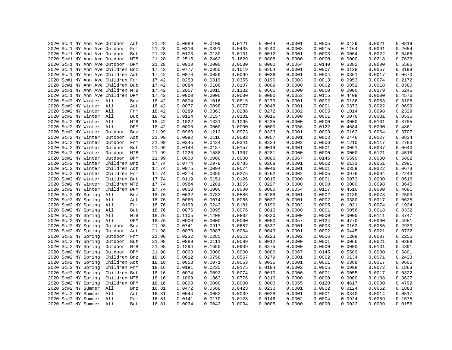|  |  |                         | 2020 Sc#1 NY Ann Ave Outdoor Act  |     | 21.28 | 0.0089 | 0.0109 | 0.0121 | 0.0044 | 0.0001 | 0.0005 | 0.0429 | 0.0021 | 0.0819           |
|--|--|-------------------------|-----------------------------------|-----|-------|--------|--------|--------|--------|--------|--------|--------|--------|------------------|
|  |  |                         | 2020 Sc#1 NY Ann Ave Outdoor      | Frm | 21.28 | 0.0316 | 0.0391 | 0.0435 | 0.0240 | 0.0003 | 0.0015 | 0.1164 | 0.0091 | 0.2654           |
|  |  |                         | 2020 Sc#1 NY Ann Ave Outdoor But  |     | 21.28 | 0.0103 | 0.0130 | 0.0131 | 0.0012 | 0.0001 | 0.0003 | 0.0064 | 0.0022 | 0.0465           |
|  |  |                         | 2020 Sc#1 NY Ann Ave Outdoor MTB  |     | 21.28 | 0.2515 | 0.2462 | 0.1629 | 0.0808 | 0.0000 | 0.0000 | 0.0000 | 0.0218 | 0.7633           |
|  |  |                         | 2020 Sc#1 NY Ann Ave Outdoor DPM  |     | 21.28 | 0.0000 | 0.0000 | 0.0000 | 0.0000 | 0.0064 | 0.0140 | 0.5382 | 0.0000 | 0.5586           |
|  |  |                         | 2020 Sc#1 NY Ann Ave Children Bnz |     | 17.42 | 0.0777 | 0.0955 | 0.1019 | 0.0254 | 0.0001 | 0.0007 | 0.0128 | 0.0057 | 0.3198           |
|  |  |                         | 2020 Sc#1 NY Ann Ave Children Act |     | 17.42 | 0.0073 | 0.0089 | 0.0099 | 0.0036 | 0.0001 | 0.0004 | 0.0351 | 0.0017 | 0.0670           |
|  |  |                         | 2020 Sc#1 NY Ann Ave Children Frm |     | 17.42 | 0.0258 | 0.0319 | 0.0355 | 0.0196 | 0.0003 | 0.0013 | 0.0953 | 0.0074 | 0.2172           |
|  |  |                         | 2020 Sc#1 NY Ann Ave Children But |     | 17.42 | 0.0084 | 0.0106 | 0.0107 | 0.0009 | 0.0000 | 0.0002 | 0.0052 | 0.0018 | 0.0380           |
|  |  |                         | 2020 Sc#1 NY Ann Ave Children MTB |     | 17.42 | 0.2057 | 0.2015 | 0.1332 | 0.0661 | 0.0000 | 0.0000 | 0.0000 | 0.0179 | 0.6245           |
|  |  |                         | 2020 Sc#1 NY Ann Ave Children DPM |     | 17.42 | 0.0000 | 0.0000 | 0.0000 | 0.0000 | 0.0053 | 0.0115 | 0.4409 | 0.0000 | 0.4576           |
|  |  | 2020 Sc#2 NY Winter All |                                   | Bnz | 18.42 | 0.0804 | 0.1016 | 0.0815 | 0.0279 | 0.0001 | 0.0002 | 0.0136 | 0.0053 | 0.3106           |
|  |  | 2020 Sc#2 NY Winter All |                                   | Act | 18.42 | 0.0077 | 0.0098 | 0.0077 | 0.0048 | 0.0001 | 0.0001 | 0.0373 | 0.0022 | 0.0699           |
|  |  | 2020 Sc#2 NY Winter All |                                   | Frm | 18.42 | 0.0289 | 0.0363 | 0.0286 | 0.0272 | 0.0002 | 0.0005 | 0.1014 | 0.0098 | 0.2329           |
|  |  | 2020 Sc#2 NY Winter All |                                   | But | 18.42 | 0.0124 | 0.0157 | 0.0131 | 0.0016 | 0.0000 | 0.0001 | 0.0076 | 0.0031 | 0.0536           |
|  |  | 2020 Sc#2 NY Winter All |                                   | MTB | 18.42 | 0.1022 | 0.1331 | 0.1095 | 0.0235 | 0.0000 | 0.0000 | 0.0000 | 0.0101 | 0.3785           |
|  |  | 2020 Sc#2 NY Winter All |                                   | DPM | 18.42 | 0.0000 | 0.0000 | 0.0000 | 0.0000 | 0.0056 | 0.0122 | 0.4684 | 0.0000 | 0.4861           |
|  |  | 2020 Sc#2 NY Winter     | Outdoor                           | Bnz | 21.99 | 0.0960 | 0.1212 | 0.0973 | 0.0333 | 0.0001 | 0.0003 | 0.0162 | 0.0064 | 0.3707           |
|  |  | 2020 Sc#2 NY Winter     | Outdoor                           | Act | 21.99 | 0.0092 | 0.0116 | 0.0092 | 0.0057 | 0.0001 | 0.0002 | 0.0446 | 0.0027 | 0.0834           |
|  |  | 2020 Sc#2 NY Winter     | Outdoor Frm                       |     | 21.99 | 0.0345 | 0.0434 | 0.0341 | 0.0324 | 0.0002 | 0.0006 | 0.1210 | 0.0117 | 0.2780           |
|  |  | 2020 Sc#2 NY Winter     | Outdoor                           | But | 21.99 | 0.0148 | 0.0187 | 0.0157 | 0.0019 | 0.0001 | 0.0001 | 0.0091 | 0.0037 | 0.0640           |
|  |  | 2020 Sc#2 NY Winter     | Outdoor MTB                       |     | 21.99 | 0.1220 | 0.1588 | 0.1307 | 0.0281 | 0.0000 | 0.0000 | 0.0000 | 0.0121 | 0.4518           |
|  |  | 2020 Sc#2 NY Winter     | Outdoor DPM                       |     | 21.99 | 0.0000 | 0.0000 | 0.0000 | 0.0000 | 0.0067 | 0.0145 |        | 0.0000 |                  |
|  |  | 2020 Sc#2 NY Winter     |                                   |     |       |        |        |        |        |        |        | 0.5590 |        | 0.5802<br>0.2991 |
|  |  |                         | Children Bnz                      |     | 17.74 | 0.0774 | 0.0978 | 0.0785 | 0.0268 | 0.0001 | 0.0002 | 0.0131 | 0.0051 |                  |
|  |  | 2020 Sc#2 NY Winter     | Children Act                      |     | 17.74 | 0.0075 | 0.0094 | 0.0074 | 0.0046 | 0.0001 | 0.0001 | 0.0359 | 0.0022 | 0.0673           |
|  |  | 2020 Sc#2 NY Winter     | Children Frm                      |     | 17.74 | 0.0278 | 0.0350 | 0.0275 | 0.0262 | 0.0002 | 0.0005 | 0.0976 | 0.0094 | 0.2243           |
|  |  | 2020 Sc#2 NY Winter     | Children But                      |     | 17.74 | 0.0119 | 0.0151 | 0.0126 | 0.0015 | 0.0000 | 0.0001 | 0.0073 | 0.0030 | 0.0516           |
|  |  | 2020 Sc#2 NY Winter     | Children MTB                      |     | 17.74 | 0.0984 | 0.1281 | 0.1055 | 0.0227 | 0.0000 | 0.0000 | 0.0000 | 0.0098 | 0.3645           |
|  |  | 2020 Sc#2 NY Winter     | Children DPM                      |     | 17.74 | 0.0000 | 0.0000 | 0.0000 | 0.0000 | 0.0054 | 0.0117 | 0.4510 | 0.0000 | 0.4681           |
|  |  | 2020 Sc#2 NY Spring     | All                               | Bnz | 18.76 | 0.0632 | 0.0783 | 0.0586 | 0.0288 | 0.0001 | 0.0002 | 0.0139 | 0.0073 | 0.2503           |
|  |  | 2020 Sc#2 NY Spring     | All                               | Act | 18.76 | 0.0060 | 0.0074 | 0.0055 | 0.0037 | 0.0001 | 0.0002 | 0.0380 | 0.0017 | 0.0625           |
|  |  | 2020 Sc#2 NY Spring     | All                               | Frm | 18.76 | 0.0198 | 0.0243 | 0.0181 | 0.0190 | 0.0002 | 0.0005 | 0.1031 | 0.0074 | 0.1924           |
|  |  | 2020 Sc#2 NY Spring     | All                               | But | 18.76 | 0.0076 | 0.0095 | 0.0076 | 0.0010 | 0.0000 | 0.0001 | 0.0056 | 0.0018 | 0.0332           |
|  |  | 2020 Sc#2 NY Spring     | All                               | MTB | 18.76 | 0.1105 | 0.1408 | 0.0802 | 0.0320 | 0.0000 | 0.0000 | 0.0000 | 0.0111 | 0.3747           |
|  |  | 2020 Sc#2 NY Spring     | All                               | DPM | 18.76 | 0.0000 | 0.0000 | 0.0000 | 0.0000 | 0.0057 | 0.0124 | 0.4770 | 0.0000 | 0.4951           |
|  |  | 2020 Sc#2 NY Spring     | Outdoor                           | Bnz | 21.98 | 0.0741 | 0.0917 | 0.0687 | 0.0337 | 0.0001 | 0.0003 | 0.0162 | 0.0085 | 0.2933           |
|  |  | 2020 Sc#2 NY Spring     | Outdoor Act                       |     | 21.98 | 0.0070 | 0.0087 | 0.0064 | 0.0043 | 0.0001 | 0.0002 | 0.0445 | 0.0021 | 0.0732           |
|  |  | 2020 Sc#2 NY Spring     | Outdoor                           | Frm | 21.98 | 0.0232 | 0.0285 | 0.0212 | 0.0223 | 0.0002 | 0.0006 | 0.1209 | 0.0087 | 0.2255           |
|  |  | 2020 Sc#2 NY Spring     | Outdoor                           | But | 21.98 | 0.0089 | 0.0111 | 0.0089 | 0.0012 | 0.0000 | 0.0001 | 0.0066 | 0.0021 | 0.0389           |
|  |  | 2020 Sc#2 NY Spring     | Outdoor MTB                       |     | 21.98 | 0.1294 | 0.1650 | 0.0939 | 0.0375 | 0.0000 | 0.0000 | 0.0000 | 0.0131 | 0.4391           |
|  |  | 2020 Sc#2 NY Spring     | Outdoor DPM                       |     | 21.98 | 0.0000 | 0.0000 | 0.0000 | 0.0000 | 0.0067 | 0.0145 | 0.5589 | 0.0000 | 0.5801           |
|  |  | 2020 Sc#2 NY Spring     | Children Bnz                      |     | 18.16 | 0.0612 | 0.0758 | 0.0567 | 0.0279 | 0.0001 | 0.0002 | 0.0134 | 0.0071 | 0.2423           |
|  |  | 2020 Sc#2 NY Spring     | Children Act                      |     | 18.16 | 0.0058 | 0.0071 | 0.0053 | 0.0035 | 0.0001 | 0.0001 | 0.0368 | 0.0017 | 0.0605           |
|  |  | 2020 Sc#2 NY Spring     | Children Frm                      |     | 18.16 | 0.0191 | 0.0235 | 0.0175 | 0.0184 | 0.0002 | 0.0005 | 0.0998 | 0.0072 | 0.1863           |
|  |  | 2020 Sc#2 NY Spring     | Children But                      |     | 18.16 | 0.0074 | 0.0092 | 0.0074 | 0.0010 | 0.0000 | 0.0001 | 0.0055 | 0.0017 | 0.0322           |
|  |  | 2020 Sc#2 NY Spring     | Children MTB                      |     | 18.16 | 0.1069 | 0.1363 | 0.0776 | 0.0310 | 0.0000 | 0.0000 | 0.0000 | 0.0108 | 0.3627           |
|  |  | 2020 Sc#2 NY Spring     | Children DPM                      |     | 18.16 | 0.0000 | 0.0000 | 0.0000 | 0.0000 | 0.0055 | 0.0120 | 0.4617 | 0.0000 | 0.4792           |
|  |  | 2020 Sc#2 NY Summer     | All                               | Bnz | 16.81 | 0.0472 | 0.0568 | 0.0423 | 0.0230 | 0.0001 | 0.0002 | 0.0124 | 0.0062 | 0.1883           |
|  |  | 2020 Sc#2 NY Summer     | All                               | Act | 16.81 | 0.0044 | 0.0052 | 0.0039 | 0.0028 | 0.0001 | 0.0001 | 0.0340 | 0.0014 | 0.0517           |
|  |  | 2020 Sc#2 NY Summer All |                                   | Frm | 16.81 | 0.0141 | 0.0170 | 0.0128 | 0.0146 | 0.0002 | 0.0004 | 0.0924 | 0.0059 | 0.1575           |
|  |  | 2020 Sc#2 NY Summer All |                                   | But | 16.81 | 0.0034 | 0.0042 | 0.0034 | 0.0005 | 0.0000 | 0.0000 | 0.0032 | 0.0009 | 0.0156           |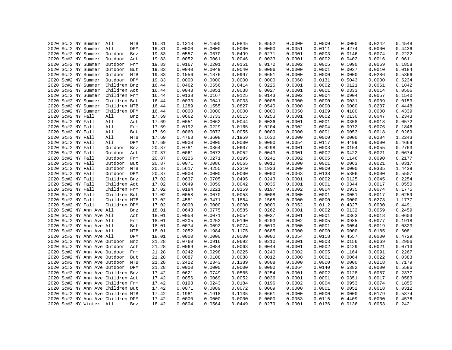|  |                   | 2020 Sc#2 NY Summer               | All          | MTB | 16.81 | 0.1318 | 0.1590 | 0.0845 | 0.0552 | 0.0000 | 0.0000 | 0.0000 | 0.0242 | 0.4548 |
|--|-------------------|-----------------------------------|--------------|-----|-------|--------|--------|--------|--------|--------|--------|--------|--------|--------|
|  |                   | 2020 Sc#2 NY Summer               | All          | DPM | 16.81 | 0.0000 | 0.0000 | 0.0000 | 0.0000 | 0.0051 | 0.0111 | 0.4274 | 0.0000 | 0.4436 |
|  |                   | 2020 Sc#2 NY Summer               | Outdoor      | Bnz | 19.83 | 0.0557 | 0.0670 | 0.0499 | 0.0271 | 0.0001 | 0.0003 | 0.0146 | 0.0074 | 0.2222 |
|  |                   | 2020 Sc#2 NY Summer               | Outdoor      | Act | 19.83 | 0.0052 | 0.0061 | 0.0046 | 0.0033 | 0.0001 | 0.0002 | 0.0402 | 0.0016 | 0.0611 |
|  |                   | 2020 Sc#2 NY Summer               | Outdoor      | Frm | 19.83 | 0.0167 | 0.0201 | 0.0151 | 0.0172 | 0.0002 | 0.0005 | 0.1090 | 0.0069 | 0.1858 |
|  |                   | 2020 Sc#2 NY Summer               | Outdoor      | But | 19.83 | 0.0040 | 0.0049 | 0.0040 | 0.0006 | 0.0000 | 0.0001 | 0.0037 | 0.0010 | 0.0184 |
|  |                   | 2020 Sc#2 NY Summer               | Outdoor MTB  |     | 19.83 | 0.1556 | 0.1876 | 0.0997 | 0.0651 | 0.0000 | 0.0000 | 0.0000 | 0.0286 | 0.5366 |
|  |                   | 2020 Sc#2 NY Summer               | Outdoor DPM  |     | 19.83 | 0.0000 | 0.0000 | 0.0000 | 0.0000 | 0.0060 | 0.0131 | 0.5043 | 0.0000 | 0.5234 |
|  |                   | 2020 Sc#2 NY Summer               | Children Bnz |     | 16.44 | 0.0462 | 0.0556 | 0.0414 | 0.0225 | 0.0001 | 0.0002 | 0.0121 | 0.0061 | 0.1842 |
|  |                   | 2020 Sc#2 NY Summer               | Children Act |     | 16.44 | 0.0043 | 0.0051 | 0.0038 | 0.0027 | 0.0001 | 0.0001 | 0.0333 | 0.0014 | 0.0506 |
|  |                   | 2020 Sc#2 NY Summer               | Children Frm |     | 16.44 | 0.0138 | 0.0167 | 0.0125 | 0.0143 | 0.0002 | 0.0004 | 0.0904 | 0.0057 | 0.1540 |
|  |                   | 2020 Sc#2 NY Summer               | Children But |     | 16.44 | 0.0033 | 0.0041 | 0.0033 | 0.0005 | 0.0000 | 0.0000 | 0.0031 | 0.0009 | 0.0153 |
|  |                   | 2020 Sc#2 NY Summer               | Children MTB |     | 16.44 | 0.1289 | 0.1555 | 0.0827 | 0.0540 | 0.0000 | 0.0000 | 0.0000 | 0.0237 | 0.4448 |
|  |                   | 2020 Sc#2 NY Summer               | Children DPM |     | 16.44 | 0.0000 | 0.0000 | 0.0000 | 0.0000 | 0.0050 | 0.0109 | 0.4180 | 0.0000 | 0.4339 |
|  | 2020 Sc#2 NY Fall |                                   | All          | Bnz | 17.69 | 0.0662 | 0.0733 | 0.0515 | 0.0253 | 0.0001 | 0.0002 | 0.0130 | 0.0047 | 0.2343 |
|  | 2020 Sc#2 NY Fall |                                   | All          | Act | 17.69 | 0.0051 | 0.0062 | 0.0044 | 0.0036 | 0.0001 | 0.0001 | 0.0358 | 0.0018 | 0.0572 |
|  | 2020 Sc#2 NY Fall |                                   | All          | Frm | 17.69 | 0.0192 | 0.0229 | 0.0165 | 0.0204 | 0.0002 | 0.0004 | 0.0972 | 0.0076 | 0.1846 |
|  | 2020 Sc#2 NY Fall |                                   | All          | But | 17.69 | 0.0060 | 0.0073 | 0.0055 | 0.0009 | 0.0000 | 0.0001 | 0.0053 | 0.0018 | 0.0269 |
|  | 2020 Sc#2 NY Fall |                                   | All          | MTB | 17.69 | 0.4763 | 0.3608 | 0.1959 | 0.1630 | 0.0000 | 0.0000 | 0.0000 | 0.0284 | 1.2243 |
|  | 2020 Sc#2 NY Fall |                                   | All          | DPM | 17.69 | 0.0000 | 0.0000 | 0.0000 | 0.0000 | 0.0054 | 0.0117 | 0.4499 | 0.0000 | 0.4669 |
|  | 2020 Sc#2 NY Fall |                                   | Outdoor      | Bnz | 20.87 | 0.0781 | 0.0864 | 0.0607 | 0.0298 | 0.0001 | 0.0003 | 0.0154 | 0.0055 | 0.2763 |
|  |                   |                                   |              |     |       | 0.0061 | 0.0073 | 0.0052 |        | 0.0001 | 0.0002 | 0.0422 | 0.0021 | 0.0674 |
|  | 2020 Sc#2 NY Fall |                                   | Outdoor      | Act | 20.87 | 0.0226 |        |        | 0.0043 | 0.0002 | 0.0005 |        |        |        |
|  | 2020 Sc#2 NY Fall |                                   | Outdoor      | Frm | 20.87 |        | 0.0271 | 0.0195 | 0.0241 |        |        | 0.1146 | 0.0090 | 0.2177 |
|  | 2020 Sc#2 NY Fall |                                   | Outdoor But  |     | 20.87 | 0.0071 | 0.0086 | 0.0065 | 0.0010 | 0.0000 | 0.0001 | 0.0063 | 0.0021 | 0.0317 |
|  | 2020 Sc#2 NY Fall |                                   | Outdoor MTB  |     | 20.87 | 0.5617 | 0.4255 | 0.2310 | 0.1923 | 0.0000 | 0.0000 | 0.0000 | 0.0335 | 1.4439 |
|  | 2020 Sc#2 NY Fall |                                   | Outdoor DPM  |     | 20.87 | 0.0000 | 0.0000 | 0.0000 | 0.0000 | 0.0063 | 0.0138 | 0.5306 | 0.0000 | 0.5507 |
|  | 2020 Sc#2 NY Fall |                                   | Children Bnz |     | 17.02 | 0.0637 | 0.0705 | 0.0495 | 0.0243 | 0.0001 | 0.0002 | 0.0125 | 0.0045 | 0.2254 |
|  | 2020 Sc#2 NY Fall |                                   | Children Act |     | 17.02 | 0.0049 | 0.0059 | 0.0042 | 0.0035 | 0.0001 | 0.0001 | 0.0344 | 0.0017 | 0.0550 |
|  | 2020 Sc#2 NY Fall |                                   | Children Frm |     | 17.02 | 0.0184 | 0.0221 | 0.0159 | 0.0197 | 0.0002 | 0.0004 | 0.0935 | 0.0074 | 0.1775 |
|  | 2020 Sc#2 NY Fall |                                   | Children But |     | 17.02 | 0.0058 | 0.0070 | 0.0053 | 0.0008 | 0.0000 | 0.0001 | 0.0051 | 0.0017 | 0.0259 |
|  | 2020 Sc#2 NY Fall |                                   | Children MTB |     | 17.02 | 0.4581 | 0.3471 | 0.1884 | 0.1568 | 0.0000 | 0.0000 | 0.0000 | 0.0273 | 1.1777 |
|  | 2020 Sc#2 NY Fall |                                   | Children DPM |     | 17.02 | 0.0000 | 0.0000 | 0.0000 | 0.0000 | 0.0052 | 0.0112 | 0.4327 | 0.0000 | 0.4491 |
|  |                   | 2020 Sc#2 NY Ann Ave All          |              | Bnz | 18.01 | 0.0643 | 0.0775 | 0.0585 | 0.0262 | 0.0001 | 0.0002 | 0.0132 | 0.0059 | 0.2459 |
|  |                   | 2020 Sc#2 NY Ann Ave All          |              | Act | 18.01 | 0.0058 | 0.0071 | 0.0054 | 0.0037 | 0.0001 | 0.0001 | 0.0363 | 0.0018 | 0.0603 |
|  |                   | 2020 Sc#2 NY Ann Ave All          |              | Frm | 18.01 | 0.0205 | 0.0252 | 0.0190 | 0.0203 | 0.0002 | 0.0005 | 0.0985 | 0.0077 | 0.1918 |
|  |                   | 2020 Sc#2 NY Ann Ave All          |              | But | 18.01 | 0.0074 | 0.0092 | 0.0074 | 0.0010 | 0.0000 | 0.0001 | 0.0054 | 0.0019 | 0.0323 |
|  |                   | 2020 Sc#2 NY Ann Ave All          |              | MTB | 18.01 | 0.2052 | 0.1984 | 0.1175 | 0.0685 | 0.0000 | 0.0000 | 0.0000 | 0.0185 | 0.6081 |
|  |                   | 2020 Sc#2 NY Ann Ave All          |              | DPM | 18.01 | 0.0000 | 0.0000 | 0.0000 | 0.0000 | 0.0054 | 0.0118 | 0.4557 | 0.0000 | 0.4729 |
|  |                   | 2020 Sc#2 NY Ann Ave Outdoor      |              | Bnz | 21.28 | 0.0760 | 0.0916 | 0.0692 | 0.0310 | 0.0001 | 0.0003 | 0.0156 | 0.0069 | 0.2906 |
|  |                   | 2020 Sc#2 NY Ann Ave Outdoor      |              | Act | 21.28 | 0.0069 | 0.0084 | 0.0063 | 0.0044 | 0.0001 | 0.0002 | 0.0429 | 0.0021 | 0.0713 |
|  |                   | 2020 Sc#2 NY Ann Ave Outdoor      |              | Frm | 21.28 | 0.0242 | 0.0298 | 0.0225 | 0.0240 | 0.0002 | 0.0005 | 0.1164 | 0.0091 | 0.2267 |
|  |                   | 2020 Sc#2 NY Ann Ave Outdoor      |              | But | 21.28 | 0.0087 | 0.0108 | 0.0088 | 0.0012 | 0.0000 | 0.0001 | 0.0064 | 0.0022 | 0.0383 |
|  |                   | 2020 Sc#2 NY Ann Ave Outdoor MTB  |              |     | 21.28 | 0.2422 | 0.2343 | 0.1389 | 0.0808 | 0.0000 | 0.0000 | 0.0000 | 0.0218 | 0.7179 |
|  |                   | 2020 Sc#2 NY Ann Ave Outdoor DPM  |              |     | 21.28 | 0.0000 | 0.0000 | 0.0000 | 0.0000 | 0.0064 | 0.0140 | 0.5382 | 0.0000 | 0.5586 |
|  |                   | 2020 Sc#2 NY Ann Ave Children Bnz |              |     | 17.42 | 0.0621 | 0.0749 | 0.0565 | 0.0254 | 0.0001 | 0.0002 | 0.0128 | 0.0057 | 0.2377 |
|  |                   | 2020 Sc#2 NY Ann Ave Children Act |              |     | 17.42 | 0.0056 | 0.0069 | 0.0052 | 0.0036 | 0.0001 | 0.0001 | 0.0351 | 0.0017 | 0.0583 |
|  |                   | 2020 Sc#2 NY Ann Ave Children Frm |              |     | 17.42 | 0.0198 | 0.0243 | 0.0184 | 0.0196 | 0.0002 | 0.0004 | 0.0953 | 0.0074 | 0.1855 |
|  |                   | 2020 Sc#2 NY Ann Ave Children But |              |     | 17.42 | 0.0071 | 0.0089 | 0.0072 | 0.0009 | 0.0000 | 0.0001 | 0.0052 | 0.0018 | 0.0312 |
|  |                   | 2020 Sc#2 NY Ann Ave Children MTB |              |     | 17.42 | 0.1981 | 0.1918 | 0.1135 | 0.0661 | 0.0000 | 0.0000 | 0.0000 | 0.0179 | 0.5874 |
|  |                   | 2020 Sc#2 NY Ann Ave Children DPM |              |     | 17.42 | 0.0000 | 0.0000 | 0.0000 | 0.0000 | 0.0053 | 0.0115 | 0.4409 | 0.0000 | 0.4576 |
|  |                   | 2020 Sc#3 NY Winter All           |              | Bnz | 18.42 | 0.0804 | 0.0564 | 0.0449 | 0.0279 | 0.0001 | 0.0136 | 0.0136 | 0.0053 | 0.2421 |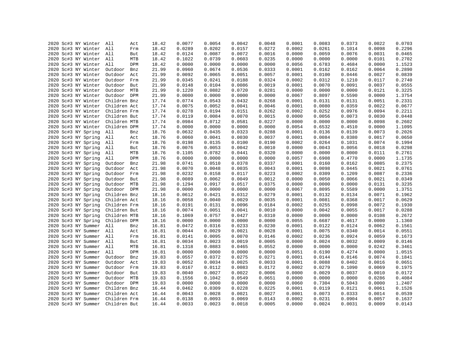| 2020 Sc#3 NY Winter     | All          | 18.42<br>Act | 0.0077 | 0.0054 | 0.0042 | 0.0048 | 0.0001 | 0.0083 | 0.0373 | 0.0022 | 0.0703 |
|-------------------------|--------------|--------------|--------|--------|--------|--------|--------|--------|--------|--------|--------|
| 2020 Sc#3 NY Winter     | All          | 18.42<br>Frm | 0.0289 | 0.0202 | 0.0157 | 0.0272 | 0.0002 | 0.0261 | 0.1014 | 0.0098 | 0.2296 |
| 2020 Sc#3 NY Winter All |              | 18.42<br>But | 0.0124 | 0.0087 | 0.0072 | 0.0016 | 0.0000 | 0.0059 | 0.0076 | 0.0031 | 0.0465 |
| 2020 Sc#3 NY Winter All |              | 18.42<br>MTB | 0.1022 | 0.0739 | 0.0603 | 0.0235 | 0.0000 | 0.0000 | 0.0000 | 0.0101 | 0.2702 |
|                         |              |              |        |        |        |        |        |        |        |        |        |
| 2020 Sc#3 NY Winter All |              | 18.42<br>DPM | 0.0000 | 0.0000 | 0.0000 | 0.0000 | 0.0056 | 0.6783 | 0.4684 | 0.0000 | 1.1523 |
| 2020 Sc#3 NY Winter     | Outdoor      | 21.99<br>Bnz | 0.0960 | 0.0674 | 0.0536 | 0.0333 | 0.0001 | 0.0162 | 0.0162 | 0.0064 | 0.2890 |
| 2020 Sc#3 NY Winter     | Outdoor Act  | 21.99        | 0.0092 | 0.0065 | 0.0051 | 0.0057 | 0.0001 | 0.0100 | 0.0446 | 0.0027 | 0.0839 |
| 2020 Sc#3 NY Winter     | Outdoor Frm  | 21.99        | 0.0345 | 0.0241 | 0.0188 | 0.0324 | 0.0002 | 0.0312 | 0.1210 | 0.0117 | 0.2740 |
| 2020 Sc#3 NY Winter     | Outdoor But  | 21.99        | 0.0148 | 0.0104 | 0.0086 | 0.0019 | 0.0001 | 0.0070 | 0.0091 | 0.0037 | 0.0555 |
| 2020 Sc#3 NY Winter     | Outdoor MTB  | 21.99        | 0.1220 | 0.0882 | 0.0720 | 0.0281 | 0.0000 | 0.0000 | 0.0000 | 0.0121 | 0.3225 |
| 2020 Sc#3 NY Winter     | Outdoor DPM  | 21.99        | 0.0000 | 0.0000 | 0.0000 | 0.0000 | 0.0067 | 0.8097 | 0.5590 | 0.0000 | 1.3754 |
| 2020 Sc#3 NY Winter     | Children Bnz | 17.74        | 0.0774 | 0.0543 | 0.0432 | 0.0268 | 0.0001 | 0.0131 | 0.0131 | 0.0051 | 0.2331 |
| 2020 Sc#3 NY Winter     | Children Act | 17.74        | 0.0075 | 0.0052 | 0.0041 | 0.0046 | 0.0001 | 0.0080 | 0.0359 | 0.0022 | 0.0677 |
| 2020 Sc#3 NY Winter     | Children Frm | 17.74        | 0.0278 | 0.0194 | 0.0151 | 0.0262 | 0.0002 | 0.0252 | 0.0976 | 0.0094 | 0.2211 |
| 2020 Sc#3 NY Winter     | Children But | 17.74        | 0.0119 | 0.0084 | 0.0070 | 0.0015 | 0.0000 | 0.0056 | 0.0073 | 0.0030 | 0.0448 |
| 2020 Sc#3 NY Winter     | Children MTB | 17.74        | 0.0984 | 0.0712 | 0.0581 | 0.0227 | 0.0000 | 0.0000 | 0.0000 | 0.0098 | 0.2602 |
| 2020 Sc#3 NY Winter     | Children DPM | 17.74        | 0.0000 | 0.0000 | 0.0000 | 0.0000 | 0.0054 | 0.6532 | 0.4510 | 0.0000 | 1.1095 |
| 2020 Sc#3 NY Spring     | All          | 18.76<br>Bnz | 0.0632 | 0.0435 | 0.0323 | 0.0288 | 0.0001 | 0.0136 | 0.0139 | 0.0073 | 0.2026 |
| 2020 Sc#3 NY Spring     | All          | 18.76<br>Act | 0.0060 | 0.0041 | 0.0030 | 0.0037 | 0.0001 | 0.0084 | 0.0380 | 0.0017 | 0.0650 |
| 2020 Sc#3 NY Spring     | All          | 18.76<br>Frm | 0.0198 | 0.0135 | 0.0100 | 0.0190 | 0.0002 | 0.0264 | 0.1031 | 0.0074 | 0.1994 |
| 2020 Sc#3 NY Spring     | All          | 18.76<br>But | 0.0076 | 0.0053 | 0.0042 | 0.0010 | 0.0000 | 0.0043 | 0.0056 | 0.0018 | 0.0298 |
| 2020 Sc#3 NY Spring     | All          | MTB<br>18.76 | 0.1105 | 0.0782 | 0.0441 | 0.0320 | 0.0000 | 0.0000 | 0.0000 | 0.0111 | 0.2761 |
| 2020 Sc#3 NY Spring     | All          | DPM<br>18.76 | 0.0000 | 0.0000 | 0.0000 | 0.0000 | 0.0057 | 0.6908 | 0.4770 | 0.0000 | 1.1735 |
| 2020 Sc#3 NY Spring     | Outdoor      | 21.98<br>Bnz | 0.0741 | 0.0510 | 0.0378 | 0.0337 | 0.0001 | 0.0160 | 0.0162 | 0.0085 | 0.2375 |
| 2020 Sc#3 NY Spring     | Outdoor      | 21.98<br>Act | 0.0070 | 0.0048 | 0.0035 | 0.0043 | 0.0001 | 0.0098 | 0.0445 | 0.0021 | 0.0761 |
| 2020 Sc#3 NY Spring     | Outdoor Frm  | 21.98        | 0.0232 | 0.0158 | 0.0117 | 0.0223 | 0.0002 | 0.0309 | 0.1209 | 0.0087 | 0.2336 |
| 2020 Sc#3 NY Spring     | Outdoor But  | 21.98        | 0.0089 | 0.0062 | 0.0049 | 0.0012 | 0.0000 | 0.0050 | 0.0066 | 0.0021 | 0.0349 |
| 2020 Sc#3 NY Spring     | Outdoor MTB  | 21.98        | 0.1294 | 0.0917 | 0.0517 | 0.0375 | 0.0000 | 0.0000 | 0.0000 | 0.0131 | 0.3235 |
| 2020 Sc#3 NY Spring     | Outdoor DPM  | 21.98        | 0.0000 | 0.0000 | 0.0000 | 0.0000 | 0.0067 | 0.8095 | 0.5589 | 0.0000 | 1.3751 |
| 2020 Sc#3 NY Spring     | Children Bnz | 18.16        | 0.0612 | 0.0421 | 0.0312 | 0.0279 | 0.0001 | 0.0132 | 0.0134 | 0.0071 | 0.1962 |
| 2020 Sc#3 NY Spring     | Children Act | 18.16        | 0.0058 | 0.0040 | 0.0029 | 0.0035 | 0.0001 | 0.0081 | 0.0368 | 0.0017 | 0.0629 |
| 2020 Sc#3 NY Spring     | Children Frm | 18.16        | 0.0191 | 0.0131 | 0.0096 | 0.0184 | 0.0002 | 0.0255 | 0.0998 | 0.0072 | 0.1930 |
| 2020 Sc#3 NY Spring     | Children But | 18.16        | 0.0074 | 0.0051 | 0.0041 | 0.0010 | 0.0000 | 0.0042 | 0.0055 | 0.0017 | 0.0288 |
| 2020 Sc#3 NY Spring     | Children MTB | 18.16        | 0.1069 | 0.0757 | 0.0427 | 0.0310 | 0.0000 | 0.0000 | 0.0000 | 0.0108 | 0.2672 |
| 2020 Sc#3 NY Spring     | Children DPM | 18.16        | 0.0000 | 0.0000 | 0.0000 | 0.0000 | 0.0055 | 0.6687 | 0.4617 | 0.0000 | 1.1360 |
| 2020 Sc#3 NY Summer     | All          | 16.81<br>Bnz | 0.0472 | 0.0316 | 0.0233 | 0.0230 | 0.0001 | 0.0122 | 0.0124 | 0.0062 | 0.1561 |
| 2020 Sc#3 NY Summer     | All          | 16.81<br>Act | 0.0044 | 0.0029 | 0.0021 | 0.0028 | 0.0001 | 0.0075 | 0.0340 | 0.0014 | 0.0551 |
| 2020 Sc#3 NY Summer     | All          | 16.81<br>Frm | 0.0141 | 0.0095 | 0.0070 | 0.0146 | 0.0002 | 0.0236 | 0.0924 | 0.0059 | 0.1673 |
| 2020 Sc#3 NY Summer All |              | 16.81<br>But | 0.0034 | 0.0023 | 0.0019 | 0.0005 | 0.0000 | 0.0024 | 0.0032 | 0.0009 | 0.0146 |
| 2020 Sc#3 NY Summer     | All          | MTB<br>16.81 | 0.1318 | 0.0883 | 0.0465 | 0.0552 | 0.0000 | 0.0000 | 0.0000 | 0.0242 | 0.3461 |
| 2020 Sc#3 NY Summer     | All          | DPM<br>16.81 | 0.0000 | 0.0000 | 0.0000 | 0.0000 | 0.0051 | 0.6190 | 0.4274 | 0.0000 | 1.0515 |
| 2020 Sc#3 NY Summer     | Outdoor      | 19.83<br>Bnz | 0.0557 | 0.0372 | 0.0275 | 0.0271 | 0.0001 | 0.0144 | 0.0146 | 0.0074 | 0.1841 |
| 2020 Sc#3 NY Summer     | Outdoor Act  | 19.83        | 0.0052 | 0.0034 | 0.0025 | 0.0033 | 0.0001 | 0.0088 | 0.0402 | 0.0016 | 0.0651 |
|                         |              |              |        | 0.0112 |        |        |        |        |        |        |        |
| 2020 Sc#3 NY Summer     | Outdoor Frm  | 19.83        | 0.0167 |        | 0.0083 | 0.0172 | 0.0002 | 0.0279 | 0.1090 | 0.0069 | 0.1975 |
| 2020 Sc#3 NY Summer     | Outdoor But  | 19.83        | 0.0040 | 0.0027 | 0.0022 | 0.0006 | 0.0000 | 0.0029 | 0.0037 | 0.0010 | 0.0172 |
| 2020 Sc#3 NY Summer     | Outdoor MTB  | 19.83        | 0.1556 | 0.1042 | 0.0549 | 0.0651 | 0.0000 | 0.0000 | 0.0000 | 0.0286 | 0.4084 |
| 2020 Sc#3 NY Summer     | Outdoor DPM  | 19.83        | 0.0000 | 0.0000 | 0.0000 | 0.0000 | 0.0060 | 0.7304 | 0.5043 | 0.0000 | 1.2407 |
| 2020 Sc#3 NY Summer     | Children Bnz | 16.44        | 0.0462 | 0.0309 | 0.0228 | 0.0225 | 0.0001 | 0.0119 | 0.0121 | 0.0061 | 0.1526 |
| 2020 Sc#3 NY Summer     | Children Act | 16.44        | 0.0043 | 0.0028 | 0.0021 | 0.0027 | 0.0001 | 0.0073 | 0.0333 | 0.0014 | 0.0539 |
| 2020 Sc#3 NY Summer     | Children Frm | 16.44        | 0.0138 | 0.0093 | 0.0069 | 0.0143 | 0.0002 | 0.0231 | 0.0904 | 0.0057 | 0.1637 |
| 2020 Sc#3 NY Summer     | Children But | 16.44        | 0.0033 | 0.0023 | 0.0018 | 0.0005 | 0.0000 | 0.0024 | 0.0031 | 0.0009 | 0.0143 |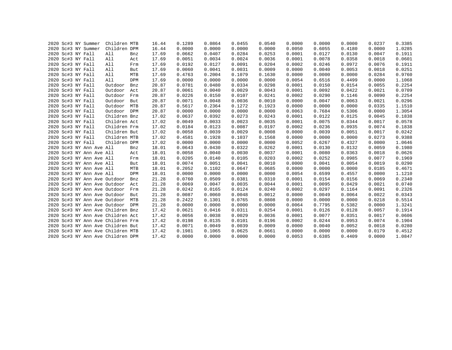|  | 2020 Sc#3 NY Summer               | Children MTB |     | 16.44 | 0.1289 | 0.0864 | 0.0455 | 0.0540 | 0.0000 | 0.0000 | 0.0000 | 0.0237 | 0.3385 |
|--|-----------------------------------|--------------|-----|-------|--------|--------|--------|--------|--------|--------|--------|--------|--------|
|  | 2020 Sc#3 NY Summer               | Children DPM |     | 16.44 | 0.0000 | 0.0000 | 0.0000 | 0.0000 | 0.0050 | 0.6055 | 0.4180 | 0.0000 | 1.0285 |
|  | 2020 Sc#3 NY Fall                 | All          | Bnz | 17.69 | 0.0662 | 0.0407 | 0.0284 | 0.0253 | 0.0001 | 0.0127 | 0.0130 | 0.0047 | 0.1911 |
|  | 2020 Sc#3 NY Fall                 | All          | Act | 17.69 | 0.0051 | 0.0034 | 0.0024 | 0.0036 | 0.0001 | 0.0078 | 0.0358 | 0.0018 | 0.0601 |
|  | 2020 Sc#3 NY Fall                 | All          | Frm | 17.69 | 0.0192 | 0.0127 | 0.0091 | 0.0204 | 0.0002 | 0.0246 | 0.0972 | 0.0076 | 0.1911 |
|  | 2020 Sc#3 NY Fall                 | All          | But | 17.69 | 0.0060 | 0.0041 | 0.0031 | 0.0009 | 0.0000 | 0.0040 | 0.0053 | 0.0018 | 0.0251 |
|  | 2020 Sc#3 NY Fall                 | All          | MTB | 17.69 | 0.4763 | 0.2004 | 0.1079 | 0.1630 | 0.0000 | 0.0000 | 0.0000 | 0.0284 | 0.9760 |
|  | 2020 Sc#3 NY Fall                 | All          | DPM | 17.69 | 0.0000 | 0.0000 | 0.0000 | 0.0000 | 0.0054 | 0.6516 | 0.4499 | 0.0000 | 1.1068 |
|  | 2020 Sc#3 NY Fall                 | Outdoor      | Bnz | 20.87 | 0.0781 | 0.0480 | 0.0334 | 0.0298 | 0.0001 | 0.0150 | 0.0154 | 0.0055 | 0.2254 |
|  | 2020 Sc#3 NY Fall                 | Outdoor      | Act | 20.87 | 0.0061 | 0.0040 | 0.0029 | 0.0043 | 0.0001 | 0.0092 | 0.0422 | 0.0021 | 0.0709 |
|  | 2020 Sc#3 NY Fall                 | Outdoor      | Frm | 20.87 | 0.0226 | 0.0150 | 0.0107 | 0.0241 | 0.0002 | 0.0290 | 0.1146 | 0.0090 | 0.2254 |
|  | 2020 Sc#3 NY Fall                 | Outdoor      | But | 20.87 | 0.0071 | 0.0048 | 0.0036 | 0.0010 | 0.0000 | 0.0047 | 0.0063 | 0.0021 | 0.0296 |
|  | 2020 Sc#3 NY Fall                 | Outdoor      | MTB | 20.87 | 0.5617 | 0.2364 | 0.1272 | 0.1923 | 0.0000 | 0.0000 | 0.0000 | 0.0335 | 1.1510 |
|  | 2020 Sc#3 NY Fall                 | Outdoor      | DPM | 20.87 | 0.0000 | 0.0000 | 0.0000 | 0.0000 | 0.0063 | 0.7684 | 0.5306 | 0.0000 | 1.3054 |
|  | 2020 Sc#3 NY Fall                 | Children Bnz |     | 17.02 | 0.0637 | 0.0392 | 0.0273 | 0.0243 | 0.0001 | 0.0122 | 0.0125 | 0.0045 | 0.1838 |
|  | 2020 Sc#3 NY Fall                 | Children Act |     | 17.02 | 0.0049 | 0.0033 | 0.0023 | 0.0035 | 0.0001 | 0.0075 | 0.0344 | 0.0017 | 0.0578 |
|  | 2020 Sc#3 NY Fall                 | Children Frm |     | 17.02 | 0.0184 | 0.0123 | 0.0087 | 0.0197 | 0.0002 | 0.0236 | 0.0935 | 0.0074 | 0.1838 |
|  | 2020 Sc#3 NY Fall                 | Children But |     | 17.02 | 0.0058 | 0.0039 | 0.0029 | 0.0008 | 0.0000 | 0.0039 | 0.0051 | 0.0017 | 0.0242 |
|  | 2020 Sc#3 NY Fall                 | Children MTB |     | 17.02 | 0.4581 | 0.1928 | 0.1037 | 0.1568 | 0.0000 | 0.0000 | 0.0000 | 0.0273 | 0.9388 |
|  | 2020 Sc#3 NY Fall                 | Children DPM |     | 17.02 | 0.0000 | 0.0000 | 0.0000 | 0.0000 | 0.0052 | 0.6267 | 0.4327 | 0.0000 | 1.0646 |
|  | 2020 Sc#3 NY Ann Ave All          |              | Bnz | 18.01 | 0.0643 | 0.0430 | 0.0322 | 0.0262 | 0.0001 | 0.0130 | 0.0132 | 0.0059 | 0.1980 |
|  | 2020 Sc#3 NY Ann Ave All          |              | Act | 18.01 | 0.0058 | 0.0040 | 0.0030 | 0.0037 | 0.0001 | 0.0080 | 0.0363 | 0.0018 | 0.0626 |
|  | 2020 Sc#3 NY Ann Ave All          |              | Frm | 18.01 | 0.0205 | 0.0140 | 0.0105 | 0.0203 | 0.0002 | 0.0252 | 0.0985 | 0.0077 | 0.1969 |
|  | 2020 Sc#3 NY Ann Ave All          |              | But | 18.01 | 0.0074 | 0.0051 | 0.0041 | 0.0010 | 0.0000 | 0.0041 | 0.0054 | 0.0019 | 0.0290 |
|  | 2020 Sc#3 NY Ann Ave All          |              | MTB | 18.01 | 0.2052 | 0.1102 | 0.0647 | 0.0685 | 0.0000 | 0.0000 | 0.0000 | 0.0185 | 0.4671 |
|  | 2020 Sc#3 NY Ann Ave All          |              | DPM | 18.01 | 0.0000 | 0.0000 | 0.0000 | 0.0000 | 0.0054 | 0.6599 | 0.4557 | 0.0000 | 1.1210 |
|  | 2020 Sc#3 NY Ann Ave Outdoor      |              | Bnz | 21.28 | 0.0760 | 0.0509 | 0.0381 | 0.0310 | 0.0001 | 0.0154 | 0.0156 | 0.0069 | 0.2340 |
|  | 2020 Sc#3 NY Ann Ave Outdoor      |              | Act | 21.28 | 0.0069 | 0.0047 | 0.0035 | 0.0044 | 0.0001 | 0.0095 | 0.0429 | 0.0021 | 0.0740 |
|  | 2020 Sc#3 NY Ann Ave Outdoor      |              | Frm | 21.28 | 0.0242 | 0.0165 | 0.0124 | 0.0240 | 0.0002 | 0.0297 | 0.1164 | 0.0091 | 0.2326 |
|  | 2020 Sc#3 NY Ann Ave Outdoor      |              | But | 21.28 | 0.0087 | 0.0060 | 0.0048 | 0.0012 | 0.0000 | 0.0049 | 0.0064 | 0.0022 | 0.0343 |
|  | 2020 Sc#3 NY Ann Ave Outdoor      |              | MTB | 21.28 | 0.2422 | 0.1301 | 0.0765 | 0.0808 | 0.0000 | 0.0000 | 0.0000 | 0.0218 | 0.5514 |
|  | 2020 Sc#3 NY Ann Ave Outdoor DPM  |              |     | 21.28 | 0.0000 | 0.0000 | 0.0000 | 0.0000 | 0.0064 | 0.7795 | 0.5382 | 0.0000 | 1.3241 |
|  | 2020 Sc#3 NY Ann Ave Children Bnz |              |     | 17.42 | 0.0621 | 0.0416 | 0.0311 | 0.0254 | 0.0001 | 0.0126 | 0.0128 | 0.0057 | 0.1914 |
|  | 2020 Sc#3 NY Ann Ave Children Act |              |     | 17.42 | 0.0056 | 0.0038 | 0.0029 | 0.0036 | 0.0001 | 0.0077 | 0.0351 | 0.0017 | 0.0606 |
|  | 2020 Sc#3 NY Ann Ave Children Frm |              |     | 17.42 | 0.0198 | 0.0135 | 0.0101 | 0.0196 | 0.0002 | 0.0244 | 0.0953 | 0.0074 | 0.1904 |
|  | 2020 Sc#3 NY Ann Ave Children But |              |     | 17.42 | 0.0071 | 0.0049 | 0.0039 | 0.0009 | 0.0000 | 0.0040 | 0.0052 | 0.0018 | 0.0280 |
|  | 2020 Sc#3 NY Ann Ave Children MTB |              |     | 17.42 | 0.1981 | 0.1065 | 0.0625 | 0.0661 | 0.0000 | 0.0000 | 0.0000 | 0.0179 | 0.4512 |
|  | 2020 Sc#3 NY Ann Ave Children DPM |              |     | 17.42 | 0.0000 | 0.0000 | 0.0000 | 0.0000 | 0.0053 | 0.6385 | 0.4409 | 0.0000 | 1.0847 |
|  |                                   |              |     |       |        |        |        |        |        |        |        |        |        |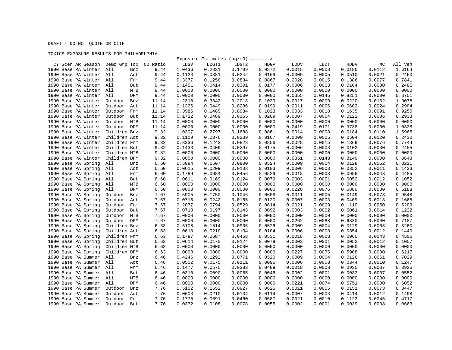DRAFT - DO NOT QUOTE OR CITE

## TOXICS EXPOSURE RESULTS FOR PHILADELPHIA

|                                |                   |          |        | Exposure Estimates $(ug/m3)$ -------> |        |             |        |        |        |        |         |
|--------------------------------|-------------------|----------|--------|---------------------------------------|--------|-------------|--------|--------|--------|--------|---------|
| CY Scen AR Season Demo Grp Tox |                   | CO Ratio | LDGV   | LDGT1                                 | LDGT2  | <b>HDGV</b> | LDDV   | LDDT   | HDDV   | МC     | All Veh |
| 1990 Base PA Winter            | All<br>Bnz        | 9.44     | 1.0436 | 0.2831                                | 0.1709 | 0.0872      | 0.0015 | 0.0008 | 0.0186 | 0.0112 | 1.6164  |
| 1990 Base PA Winter            | All<br>Act        | 9.44     | 0.1123 | 0.0381                                | 0.0242 | 0.0169      | 0.0009 | 0.0005 | 0.0510 | 0.0021 | 0.2460  |
| 1990 Base PA Winter All        | Frm               | 9.44     | 0.3377 | 0.1258                                | 0.0834 | 0.0867      | 0.0028 | 0.0015 | 0.1386 | 0.0077 | 0.7841  |
| 1990 Base PA Winter            | All<br>But        | 9.44     | 0.1451 | 0.0414                                | 0.0301 | 0.0177      | 0.0006 | 0.0003 | 0.0104 | 0.0030 | 0.2485  |
| 1990 Base PA Winter All        | MTB               | 9.44     | 0.0000 | 0.0000                                | 0.0000 | 0.0000      | 0.0000 | 0.0000 | 0.0000 | 0.0000 | 0.0000  |
| 1990 Base PA Winter            | All<br>DPM        | 9.44     | 0.0000 | 0.0000                                | 0.0000 | 0.0000      | 0.0355 | 0.0145 | 0.8251 | 0.0000 | 0.8751  |
| 1990 Base PA Winter            | Outdoor<br>Bnz    | 11.14    | 1.2318 | 0.3342                                | 0.2018 | 0.1029      | 0.0017 | 0.0009 | 0.0220 | 0.0132 | 1.9078  |
| 1990 Base PA Winter            | Outdoor<br>Act    | 11.14    | 0.1326 | 0.0449                                | 0.0286 | 0.0199      | 0.0011 | 0.0006 | 0.0602 | 0.0024 | 0.2904  |
| 1990 Base PA Winter            | Outdoor<br>Frm    | 11.14    | 0.3986 | 0.1485                                | 0.0984 | 0.1023      | 0.0033 | 0.0018 | 0.1635 | 0.0091 | 0.9255  |
| 1990 Base PA Winter            | Outdoor<br>But    | 11.14    | 0.1712 | 0.0489                                | 0.0355 | 0.0209      | 0.0007 | 0.0004 | 0.0122 | 0.0036 | 0.2933  |
| 1990 Base PA Winter            | MTB<br>Outdoor    | 11.14    | 0.0000 | 0.0000                                | 0.0000 | 0.0000      | 0.0000 | 0.0000 | 0.0000 | 0.0000 | 0.0000  |
| 1990 Base PA Winter            | Outdoor DPM       | 11.14    | 0.0000 | 0.0000                                | 0.0000 | 0.0000      | 0.0419 | 0.0171 | 0.9738 | 0.0000 | 1.0328  |
| 1990 Base PA Winter            | Children Bnz      | 9.32     | 1.0307 | 0.2797                                | 0.1688 | 0.0861      | 0.0014 | 0.0008 | 0.0184 | 0.0110 | 1.5965  |
| 1990 Base PA Winter            | Children Act      | 9.32     | 0.1109 | 0.0376                                | 0.0239 | 0.0167      | 0.0009 | 0.0005 | 0.0504 | 0.0020 | 0.2430  |
| 1990 Base PA Winter            | Children Frm      | 9.32     | 0.3336 | 0.1243                                | 0.0823 | 0.0856      | 0.0028 | 0.0015 | 0.1369 | 0.0076 | 0.7744  |
| 1990 Base PA Winter            | Children But      | 9.32     | 0.1433 | 0.0409                                | 0.0297 | 0.0175      | 0.0006 | 0.0003 | 0.0102 | 0.0030 | 0.2455  |
| 1990 Base PA Winter            | Children MTB      | 9.32     | 0.0000 | 0.0000                                | 0.0000 | 0.0000      | 0.0000 | 0.0000 | 0.0000 | 0.0000 | 0.0000  |
| 1990 Base PA Winter            | Children DPM      | 9.32     | 0.0000 | 0.0000                                | 0.0000 | 0.0000      | 0.0351 | 0.0143 | 0.8149 | 0.0000 | 0.8643  |
| 1990 Base PA Spring            | All<br>Bnz        | 6.60     | 0.5084 | 0.1507                                | 0.0900 | 0.0524      | 0.0009 | 0.0004 | 0.0128 | 0.0062 | 0.8221  |
| 1990 Base PA Spring            | All<br>Act        | 6.60     | 0.0615 | 0.0209                                | 0.0133 | 0.0103      | 0.0006 | 0.0003 | 0.0352 | 0.0011 | 0.1433  |
| 1990 Base PA Spring            | All<br>Frm        | 6.60     | 0.1789 | 0.0684                                | 0.0456 | 0.0529      | 0.0018 | 0.0008 | 0.0956 | 0.0043 | 0.4485  |
| 1990 Base PA Spring            | All<br>But        | 6.60     | 0.0611 | 0.0169                                | 0.0124 | 0.0079      | 0.0003 | 0.0001 | 0.0052 | 0.0012 | 0.1052  |
| 1990 Base PA Spring            | All<br>MTB        | 6.60     | 0.0000 | 0.0000                                | 0.0000 | 0.0000      | 0.0000 | 0.0000 | 0.0000 | 0.0000 | 0.0000  |
| 1990 Base PA Spring            | All<br><b>DPM</b> | 6.60     | 0.0000 | 0.0000                                | 0.0000 | 0.0000      | 0.0226 | 0.0076 | 0.5880 | 0.0000 | 0.6188  |
| 1990 Base PA Spring            | Outdoor<br>Bnz    | 7.67     | 0.5905 | 0.1750                                | 0.1046 | 0.0608      | 0.0011 | 0.0005 | 0.0149 | 0.0073 | 0.9548  |
| 1990 Base PA Spring            | Outdoor<br>Act    | 7.67     | 0.0715 | 0.0242                                | 0.0155 | 0.0120      | 0.0007 | 0.0003 | 0.0409 | 0.0013 | 0.1665  |
| 1990 Base PA Spring            | Outdoor<br>Frm    | 7.67     | 0.2077 | 0.0794                                | 0.0529 | 0.0614      | 0.0021 | 0.0009 | 0.1110 | 0.0050 | 0.5209  |
| 1990 Base PA Spring            | Outdoor<br>But    | 7.67     | 0.0710 | 0.0197                                | 0.0143 | 0.0092      | 0.0003 | 0.0002 | 0.0061 | 0.0014 | 0.1222  |
| 1990 Base PA Spring            | Outdoor<br>MTB    | 7.67     | 0.0000 | 0.0000                                | 0.0000 | 0.0000      | 0.0000 | 0.0000 | 0.0000 | 0.0000 | 0.0000  |
| 1990 Base PA Spring            | Outdoor<br>DPM    | 7.67     | 0.0000 | 0.0000                                | 0.0000 | 0.0000      | 0.0262 | 0.0088 | 0.6830 | 0.0000 | 0.7187  |
| 1990 Base PA Spring            | Children Bnz      | 6.63     | 0.5108 | 0.1514                                | 0.0905 | 0.0526      | 0.0009 | 0.0004 | 0.0129 | 0.0063 | 0.8260  |
| 1990 Base PA Spring            | Children Act      | 6.63     | 0.0618 | 0.0210                                | 0.0134 | 0.0104      | 0.0006 | 0.0003 | 0.0354 | 0.0012 | 0.1440  |
| 1990 Base PA Spring            | Children Frm      | 6.63     | 0.1797 | 0.0687                                | 0.0458 | 0.0531      | 0.0018 | 0.0008 | 0.0960 | 0.0043 | 0.4506  |
| 1990 Base PA Spring            | Children But      | 6.63     | 0.0614 | 0.0170                                | 0.0124 | 0.0079      | 0.0003 | 0.0001 | 0.0052 | 0.0012 | 0.1057  |
| 1990 Base PA Spring            | Children MTB      | 6.63     | 0.0000 | 0.0000                                | 0.0000 | 0.0000      | 0.0000 | 0.0000 | 0.0000 | 0.0000 | 0.0000  |
| 1990 Base PA Spring            | Children DPM      | 6.63     | 0.0000 | 0.0000                                | 0.0000 | 0.0000      | 0.0227 | 0.0076 | 0.5908 | 0.0000 | 0.6217  |
| 1990 Base PA Summer            | All<br>Bnz        | 6.46     | 0.4246 | 0.1292                                | 0.0771 | 0.0520      | 0.0009 | 0.0004 | 0.0126 | 0.0061 | 0.7029  |
| 1990 Base PA Summer            | All<br>Act        | 6.46     | 0.0502 | 0.0175                                | 0.0111 | 0.0095      | 0.0006 | 0.0003 | 0.0344 | 0.0010 | 0.1247  |
| 1990 Base PA Summer            | All<br>Frm        | 6.46     | 0.1477 | 0.0575                                | 0.0383 | 0.0489      | 0.0018 | 0.0008 | 0.0935 | 0.0037 | 0.3925  |
| 1990 Base PA Summer            | All<br>But        | 6.46     | 0.0310 | 0.0090                                | 0.0065 | 0.0046      | 0.0002 | 0.0001 | 0.0032 | 0.0007 | 0.0552  |
| 1990 Base PA Summer            | All<br>MTB        | 6.46     | 0.0000 | 0.0000                                | 0.0000 | 0.0000      | 0.0000 | 0.0000 | 0.0000 | 0.0000 | 0.0000  |
| 1990 Base PA Summer            | All<br>DPM        | 6.46     | 0.0000 | 0.0000                                | 0.0000 | 0.0000      | 0.0221 | 0.0074 | 0.5751 | 0.0000 | 0.6052  |
| 1990 Base PA Summer            | Outdoor<br>Bnz    | 7.76     | 0.5102 | 0.1552                                | 0.0927 | 0.0625      | 0.0011 | 0.0005 | 0.0151 | 0.0073 | 0.8447  |
| 1990 Base PA Summer            | Outdoor<br>Act    | 7.76     | 0.0603 | 0.0210                                | 0.0134 | 0.0114      | 0.0007 | 0.0003 | 0.0414 | 0.0012 | 0.1498  |
| 1990 Base PA Summer            | Outdoor<br>Frm    | 7.76     | 0.1775 | 0.0691                                | 0.0460 | 0.0587      | 0.0021 | 0.0010 | 0.1123 | 0.0045 | 0.4717  |
| 1990 Base PA Summer            | Outdoor<br>But    | 7.76     | 0.0372 | 0.0108                                | 0.0078 | 0.0055      | 0.0002 | 0.0001 | 0.0039 | 0.0008 | 0.0663  |
|                                |                   |          |        |                                       |        |             |        |        |        |        |         |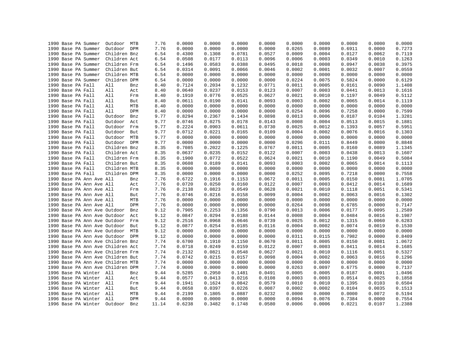|  | 1990 Base PA Summer      | Outdoor                                                      | MTB | 7.76         | 0.0000           | 0.0000           | 0.0000           | 0.0000           | 0.0000           | 0.0000           | 0.0000           | 0.0000           | 0.0000           |
|--|--------------------------|--------------------------------------------------------------|-----|--------------|------------------|------------------|------------------|------------------|------------------|------------------|------------------|------------------|------------------|
|  | 1990 Base PA Summer      | Outdoor DPM                                                  |     | 7.76         | 0.0000           | 0.0000           | 0.0000           | 0.0000           | 0.0265           | 0.0089           | 0.6911           | 0.0000           | 0.7273           |
|  | 1990 Base PA Summer      | Children Bnz                                                 |     | 6.54         | 0.4300           | 0.1308           | 0.0781           | 0.0527           | 0.0009           | 0.0004           | 0.0127           | 0.0062           | 0.7119           |
|  | 1990 Base PA Summer      | Children Act                                                 |     | 6.54         | 0.0508           | 0.0177           | 0.0113           | 0.0096           | 0.0006           | 0.0003           | 0.0349           | 0.0010           | 0.1263           |
|  | 1990 Base PA Summer      | Children Frm                                                 |     | 6.54         | 0.1496           | 0.0583           | 0.0388           | 0.0495           | 0.0018           | 0.0008           | 0.0947           | 0.0038           | 0.3975           |
|  | 1990 Base PA Summer      | Children But                                                 |     | 6.54         | 0.0314           | 0.0091           | 0.0066           | 0.0046           | 0.0002           | 0.0001           | 0.0032           | 0.0007           | 0.0559           |
|  | 1990 Base PA Summer      | Children MTB                                                 |     | 6.54         | 0.0000           | 0.0000           | 0.0000           | 0.0000           | 0.0000           | 0.0000           | 0.0000           | 0.0000           | 0.0000           |
|  | 1990 Base PA Summer      | Children DPM                                                 |     | 6.54         | 0.0000           | 0.0000           | 0.0000           | 0.0000           | 0.0224           | 0.0075           | 0.5824           | 0.0000           | 0.6129           |
|  | 1990 Base PA Fall        | All                                                          | Bnz | 8.40         | 0.7124           | 0.2034           | 0.1232           | 0.0771           | 0.0011           | 0.0005           | 0.0161           | 0.0090           | 1.1408           |
|  | 1990 Base PA Fall        | All                                                          | Act | 8.40         | 0.0640           | 0.0237           | 0.0153           | 0.0123           | 0.0007           | 0.0003           | 0.0441           | 0.0013           | 0.1616           |
|  | 1990 Base PA Fall        | All                                                          | Frm | 8.40         | 0.1910           | 0.0776           | 0.0525           | 0.0627           | 0.0021           | 0.0010           | 0.1197           | 0.0049           | 0.5112           |
|  | 1990 Base PA Fall        | All                                                          | But | 8.40         | 0.0611           | 0.0190           | 0.0141           | 0.0093           | 0.0003           | 0.0002           | 0.0065           | 0.0014           | 0.1119           |
|  | 1990 Base PA Fall        | All                                                          | MTB | 8.40         | 0.0000           | 0.0000           | 0.0000           | 0.0000           | 0.0000           | 0.0000           | 0.0000           | 0.0000           | 0.0000           |
|  | 1990 Base PA Fall        | All                                                          | DPM | 8.40         | 0.0000           | 0.0000           | 0.0000           | 0.0000           | 0.0254           | 0.0096           | 0.7258           | 0.0000           | 0.7599           |
|  | 1990 Base PA Fall        | Outdoor                                                      | Bnz | 9.77         | 0.8294           | 0.2367           | 0.1434           | 0.0898           | 0.0013           | 0.0006           | 0.0187           | 0.0104           | 1.3281           |
|  | 1990 Base PA Fall        | Outdoor                                                      | Act | 9.77         | 0.0746           | 0.0275           | 0.0178           | 0.0143           | 0.0008           | 0.0004           | 0.0513           | 0.0015           | 0.1881           |
|  | 1990 Base PA Fall        | Outdoor                                                      | Frm | 9.77         | 0.2224           | 0.0903           | 0.0611           | 0.0730           | 0.0025           | 0.0012           | 0.1393           | 0.0057           | 0.5951           |
|  | 1990 Base PA Fall        | Outdoor                                                      | But | 9.77         | 0.0712           | 0.0221           | 0.0165           | 0.0109           | 0.0004           | 0.0002           | 0.0076           | 0.0016           | 0.1303           |
|  | 1990 Base PA Fall        | Outdoor                                                      | MTB | 9.77         | 0.0000           | 0.0000           | 0.0000           | 0.0000           | 0.0000           | 0.0000           | 0.0000           | 0.0000           | 0.0000           |
|  | 1990 Base PA Fall        | Outdoor DPM                                                  |     | 9.77         | 0.0000           | 0.0000           | 0.0000           | 0.0000           | 0.0296           | 0.0111           | 0.8449           | 0.0000           | 0.8848           |
|  | 1990 Base PA Fall        | Children Bnz                                                 |     | 8.35         | 0.7085           | 0.2022           | 0.1225           | 0.0767           | 0.0011           | 0.0005           | 0.0160           | 0.0089           | 1.1345           |
|  | 1990 Base PA Fall        | Children Act                                                 |     | 8.35         | 0.0637           | 0.0235           | 0.0152           | 0.0122           | 0.0007           | 0.0003           | 0.0438           | 0.0013           | 0.1607           |
|  | 1990 Base PA Fall        | Children Frm                                                 |     | 8.35         | 0.1900           | 0.0772           | 0.0522           | 0.0624           | 0.0021           | 0.0010           | 0.1190           | 0.0049           | 0.5084           |
|  | 1990 Base PA Fall        | Children But                                                 |     | 8.35         | 0.0608           | 0.0189           | 0.0141           | 0.0093           | 0.0003           | 0.0002           | 0.0065           | 0.0014           | 0.1113           |
|  | 1990 Base PA Fall        | Children MTB                                                 |     | 8.35         | 0.0000           | 0.0000           | 0.0000           | 0.0000           | 0.0000           | 0.0000           | 0.0000           | 0.0000           | 0.0000           |
|  | 1990 Base PA Fall        | Children DPM                                                 |     | 8.35         | 0.0000           | 0.0000           | 0.0000           | 0.0000           | 0.0252           | 0.0095           | 0.7218           | 0.0000           | 0.7558           |
|  | 1990 Base PA Ann Ave All |                                                              | Bnz | 7.76         | 0.6722           | 0.1916           | 0.1153           | 0.0672           | 0.0011           | 0.0005           | 0.0150           | 0.0081           | 1.0705           |
|  | 1990 Base PA Ann Ave All |                                                              | Act | 7.76         | 0.0720           | 0.0250           | 0.0160           | 0.0122           | 0.0007           | 0.0003           | 0.0412           | 0.0014           | 0.1689           |
|  | 1990 Base PA Ann Ave All |                                                              | Frm | 7.76         | 0.2138           | 0.0823           | 0.0549           | 0.0628           | 0.0021           | 0.0010           | 0.1118           | 0.0051           | 0.5341           |
|  | 1990 Base PA Ann Ave All |                                                              | But | 7.76         | 0.0746           | 0.0216           | 0.0158           | 0.0099           | 0.0004           | 0.0002           | 0.0063           | 0.0016           | 0.1302           |
|  | 1990 Base PA Ann Ave All |                                                              | MTB | 7.76         | 0.0000           | 0.0000           | 0.0000           | 0.0000           | 0.0000           | 0.0000           | 0.0000           | 0.0000           | 0.0000           |
|  | 1990 Base PA Ann Ave All |                                                              | DPM | 7.76         | 0.0000           | 0.0000           | 0.0000           | 0.0000           | 0.0264           | 0.0098           | 0.6785           | 0.0000           | 0.7147           |
|  |                          | 1990 Base PA Ann Ave Outdoor                                 | Bnz | 9.12         | 0.7905           | 0.2253           | 0.1356           | 0.0790           | 0.0013           | 0.0006           | 0.0177           | 0.0095           |                  |
|  |                          |                                                              |     |              |                  |                  |                  |                  |                  |                  |                  |                  | 1.2589           |
|  |                          | 1990 Base PA Ann Ave Outdoor<br>1990 Base PA Ann Ave Outdoor | Act | 9.12<br>9.12 | 0.0847<br>0.2516 | 0.0294<br>0.0968 | 0.0188<br>0.0646 | 0.0144<br>0.0739 | 0.0008<br>0.0025 | 0.0004<br>0.0012 | 0.0484<br>0.1315 | 0.0016<br>0.0060 | 0.1987<br>0.6283 |
|  |                          |                                                              | Frm |              | 0.0877           |                  |                  |                  |                  | 0.0002           |                  |                  | 0.1530           |
|  |                          | 1990 Base PA Ann Ave Outdoor                                 | But | 9.12         |                  | 0.0254           | 0.0185           | 0.0116           | 0.0004<br>0.0000 |                  | 0.0074           | 0.0019<br>0.0000 |                  |
|  |                          | 1990 Base PA Ann Ave Outdoor                                 | MTB | 9.12         | 0.0000           | 0.0000           | 0.0000           | 0.0000           |                  | 0.0000           | 0.0000           |                  | 0.0000           |
|  |                          | 1990 Base PA Ann Ave Outdoor                                 | DPM | 9.12         | 0.0000           | 0.0000           | 0.0000           | 0.0000           | 0.0311           | 0.0115           | 0.7982           | 0.0000           | 0.8409           |
|  |                          | 1990 Base PA Ann Ave Children Bnz                            |     | 7.74         | 0.6700           | 0.1910           | 0.1150           | 0.0670           | 0.0011           | 0.0005           | 0.0150           | 0.0081           | 1.0672           |
|  |                          | 1990 Base PA Ann Ave Children Act                            |     | 7.74         | 0.0718           | 0.0249           | 0.0159           | 0.0122           | 0.0007           | 0.0003           | 0.0411           | 0.0014           | 0.1685           |
|  |                          | 1990 Base PA Ann Ave Children Frm                            |     | 7.74         | 0.2132           | 0.0821           | 0.0548           | 0.0627           | 0.0021           | 0.0010           | 0.1116           | 0.0051           | 0.5327           |
|  |                          | 1990 Base PA Ann Ave Children But                            |     | 7.74         | 0.0742           | 0.0215           | 0.0157           | 0.0098           | 0.0004           | 0.0002           | 0.0063           | 0.0016           | 0.1296           |
|  |                          | 1990 Base PA Ann Ave Children MTB                            |     | 7.74         | 0.0000           | 0.0000           | 0.0000           | 0.0000           | 0.0000           | 0.0000           | 0.0000           | 0.0000           | 0.0000           |
|  |                          | 1990 Base PA Ann Ave Children DPM                            |     | 7.74         | 0.0000           | 0.0000           | 0.0000           | 0.0000           | 0.0263           | 0.0097           | 0.6775           | 0.0000           | 0.7137           |
|  | 1996 Base PA Winter All  |                                                              | Bnz | 9.44         | 0.5285           | 0.2950           | 0.1481           | 0.0491           | 0.0005           | 0.0005           | 0.0187           | 0.0091           | 1.0496           |
|  | 1996 Base PA Winter All  |                                                              | Act | 9.44         | 0.0577           | 0.0413           | 0.0216           | 0.0108           | 0.0003           | 0.0003           | 0.0514           | 0.0025           | 0.1858           |
|  | 1996 Base PA Winter All  |                                                              | Frm | 9.44         | 0.1941           | 0.1624           | 0.0842           | 0.0579           | 0.0010           | 0.0010           | 0.1395           | 0.0103           | 0.6504           |
|  | 1996 Base PA Winter      | All                                                          | But | 9.44         | 0.0658           | 0.0397           | 0.0226           | 0.0087           | 0.0002           | 0.0002           | 0.0104           | 0.0035           | 0.1513           |
|  | 1996 Base PA Winter      | All                                                          | MTB | 9.44         | 0.2199           | 0.1805           | 0.0887           | 0.0232           | 0.0000           | 0.0000           | 0.0000           | 0.0072           | 0.5194           |
|  | 1996 Base PA Winter All  |                                                              | DPM | 9.44         | 0.0000           | 0.0000           | 0.0000           | 0.0000           | 0.0094           | 0.0076           | 0.7384           | 0.0000           | 0.7554           |
|  | 1996 Base PA Winter      | Outdoor                                                      | Bnz | 11.14        | 0.6238           | 0.3482           | 0.1748           | 0.0580           | 0.0006           | 0.0006           | 0.0221           | 0.0107           | 1.2388           |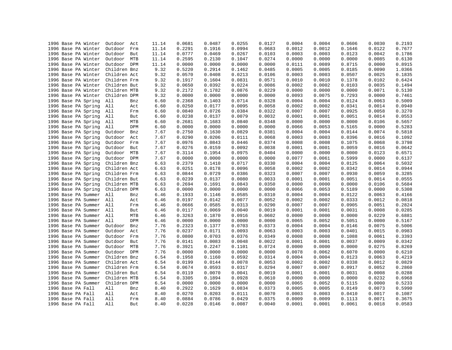| 1996 Base PA Winter | Outdoor<br>Act               | 11.14 | 0.0681           | 0.0487           | 0.0255 | 0.0127           | 0.0004 | 0.0004 | 0.0606           | 0.0030           | 0.2193 |
|---------------------|------------------------------|-------|------------------|------------------|--------|------------------|--------|--------|------------------|------------------|--------|
| 1996 Base PA Winter | Outdoor<br>Frm               | 11.14 | 0.2291           | 0.1916           | 0.0994 | 0.0683           | 0.0012 | 0.0012 | 0.1646           | 0.0122           | 0.7677 |
| 1996 Base PA Winter | Outdoor<br>But               | 11.14 | 0.0777           | 0.0469           | 0.0267 | 0.0103           | 0.0003 | 0.0003 | 0.0123           | 0.0042           | 0.1786 |
| 1996 Base PA Winter | Outdoor<br>MTB               | 11.14 | 0.2595           | 0.2130           | 0.1047 | 0.0274           | 0.0000 | 0.0000 | 0.0000           | 0.0085           | 0.6130 |
| 1996 Base PA Winter | Outdoor DPM                  | 11.14 | 0.0000           | 0.0000           | 0.0000 | 0.0000           | 0.0111 | 0.0089 | 0.8715           | 0.0000           | 0.8915 |
| 1996 Base PA Winter | Children Bnz                 | 9.32  | 0.5220           | 0.2914           | 0.1462 | 0.0485           | 0.0005 | 0.0005 | 0.0185           | 0.0090           | 1.0366 |
| 1996 Base PA Winter | Children Act                 | 9.32  | 0.0570           | 0.0408           | 0.0213 | 0.0106           | 0.0003 | 0.0003 | 0.0507           | 0.0025           | 0.1835 |
| 1996 Base PA Winter | Children Frm                 | 9.32  | 0.1917           | 0.1604           | 0.0831 | 0.0571           | 0.0010 | 0.0010 | 0.1378           | 0.0102           | 0.6424 |
| 1996 Base PA Winter | Children But                 | 9.32  | 0.0650           | 0.0392           | 0.0224 | 0.0086           | 0.0002 | 0.0002 | 0.0103           | 0.0035           | 0.1494 |
| 1996 Base PA Winter | Children MTB                 | 9.32  | 0.2172           | 0.1782           | 0.0876 | 0.0229           | 0.0000 | 0.0000 | 0.0000           | 0.0071           | 0.5130 |
| 1996 Base PA Winter | Children DPM                 | 9.32  | 0.0000           | 0.0000           | 0.0000 | 0.0000           | 0.0093 | 0.0075 | 0.7293           | 0.0000           | 0.7461 |
| 1996 Base PA Spring | All<br>Bnz                   | 6.60  | 0.2368           | 0.1403           | 0.0714 | 0.0328           | 0.0004 | 0.0004 | 0.0124           | 0.0063           | 0.5009 |
| 1996 Base PA Spring | All<br>Act                   | 6.60  | 0.0250           | 0.0177           | 0.0095 | 0.0058           | 0.0002 | 0.0002 | 0.0341           | 0.0014           | 0.0940 |
| 1996 Base PA Spring | All<br>Frm                   | 6.60  | 0.0840           | 0.0726           | 0.0384 | 0.0322           | 0.0007 | 0.0007 | 0.0925           | 0.0058           | 0.3270 |
| 1996 Base PA Spring | All<br>But                   | 6.60  | 0.0238           | 0.0137           | 0.0079 | 0.0032           | 0.0001 | 0.0001 | 0.0051           | 0.0014           | 0.0553 |
| 1996 Base PA Spring | All<br>MTB                   | 6.60  | 0.2681           | 0.1683           | 0.0840 | 0.0348           | 0.0000 | 0.0000 | 0.0000           | 0.0106           | 0.5657 |
| 1996 Base PA Spring | DPM<br>All                   | 6.60  | 0.0000           | 0.0000           | 0.0000 | 0.0000           | 0.0066 | 0.0053 | 0.5165           | 0.0000           | 0.5283 |
| 1996 Base PA Spring | Outdoor<br>Bnz               | 7.67  | 0.2750           | 0.1630           | 0.0829 | 0.0381           | 0.0004 | 0.0004 | 0.0144           | 0.0074           | 0.5818 |
| 1996 Base PA Spring | Outdoor<br>Act               | 7.67  | 0.0290           | 0.0206           | 0.0111 | 0.0068           | 0.0003 | 0.0003 | 0.0396           | 0.0016           | 0.1092 |
| 1996 Base PA Spring | Outdoor<br>Frm               | 7.67  | 0.0976           | 0.0843           | 0.0446 | 0.0374           | 0.0008 | 0.0008 | 0.1075           | 0.0068           | 0.3798 |
| 1996 Base PA Spring | Outdoor<br>But               | 7.67  | 0.0276           | 0.0159           | 0.0092 | 0.0038           | 0.0001 | 0.0001 | 0.0059           | 0.0016           | 0.0642 |
| 1996 Base PA Spring | Outdoor<br>MTB               | 7.67  | 0.3114           | 0.1954           | 0.0975 | 0.0404           | 0.0000 | 0.0000 | 0.0000           | 0.0123           | 0.6571 |
| 1996 Base PA Spring | Outdoor<br>DPM               | 7.67  | 0.0000           | 0.0000           | 0.0000 | 0.0000           | 0.0077 | 0.0061 | 0.5999           | 0.0000           | 0.6137 |
| 1996 Base PA Spring | Children Bnz                 | 6.63  | 0.2379           | 0.1410           | 0.0717 | 0.0330           | 0.0004 | 0.0004 | 0.0125           | 0.0064           | 0.5032 |
|                     |                              |       |                  |                  | 0.0096 |                  | 0.0002 | 0.0002 |                  |                  | 0.0944 |
| 1996 Base PA Spring | Children Act<br>Children Frm | 6.63  | 0.0251<br>0.0844 | 0.0178<br>0.0729 | 0.0386 | 0.0058<br>0.0323 | 0.0007 | 0.0007 | 0.0342<br>0.0930 | 0.0014<br>0.0059 |        |
| 1996 Base PA Spring |                              | 6.63  |                  |                  |        |                  |        |        |                  |                  | 0.3285 |
| 1996 Base PA Spring | Children But                 | 6.63  | 0.0239           | 0.0137           | 0.0080 | 0.0033           | 0.0001 | 0.0001 | 0.0051           | 0.0014           | 0.0555 |
| 1996 Base PA Spring | Children MTB                 | 6.63  | 0.2694           | 0.1691           | 0.0843 | 0.0350           | 0.0000 | 0.0000 | 0.0000           | 0.0106           | 0.5684 |
| 1996 Base PA Spring | Children DPM                 | 6.63  | 0.0000           | 0.0000           | 0.0000 | 0.0000           | 0.0066 | 0.0053 | 0.5189           | 0.0000           | 0.5308 |
| 1996 Base PA Summer | All<br>Bnz                   | 6.46  | 0.1933           | 0.1146           | 0.0585 | 0.0310           | 0.0004 | 0.0004 | 0.0122           | 0.0063           | 0.4166 |
| 1996 Base PA Summer | All<br>Act                   | 6.46  | 0.0197           | 0.0142           | 0.0077 | 0.0052           | 0.0002 | 0.0002 | 0.0333           | 0.0012           | 0.0818 |
| 1996 Base PA Summer | All<br>Frm                   | 6.46  | 0.0666           | 0.0585           | 0.0313 | 0.0290           | 0.0007 | 0.0007 | 0.0905           | 0.0051           | 0.2824 |
| 1996 Base PA Summer | All<br>But                   | 6.46  | 0.0117           | 0.0069           | 0.0040 | 0.0019           | 0.0001 | 0.0001 | 0.0031           | 0.0008           | 0.0285 |
| 1996 Base PA Summer | All<br>MTB                   | 6.46  | 0.3263           | 0.1870           | 0.0916 | 0.0602           | 0.0000 | 0.0000 | 0.0000           | 0.0229           | 0.6881 |
| 1996 Base PA Summer | All<br>DPM                   | 6.46  | 0.0000           | 0.0000           | 0.0000 | 0.0000           | 0.0065 | 0.0052 | 0.5051           | 0.0000           | 0.5167 |
| 1996 Base PA Summer | Outdoor<br>Bnz               | 7.76  | 0.2323           | 0.1377           | 0.0703 | 0.0373           | 0.0004 | 0.0004 | 0.0146           | 0.0075           | 0.5006 |
| 1996 Base PA Summer | Outdoor<br>Act               | 7.76  | 0.0237           | 0.0171           | 0.0093 | 0.0063           | 0.0003 | 0.0003 | 0.0401           | 0.0015           | 0.0983 |
| 1996 Base PA Summer | Outdoor<br>Frm               | 7.76  | 0.0800           | 0.0703           | 0.0376 | 0.0349           | 0.0008 | 0.0008 | 0.1088           | 0.0061           | 0.3393 |
| 1996 Base PA Summer | Outdoor<br>But               | 7.76  | 0.0141           | 0.0083           | 0.0048 | 0.0022           | 0.0001 | 0.0001 | 0.0037           | 0.0009           | 0.0342 |
| 1996 Base PA Summer | Outdoor<br>MTB               | 7.76  | 0.3921           | 0.2247           | 0.1101 | 0.0724           | 0.0000 | 0.0000 | 0.0000           | 0.0275           | 0.8269 |
| 1996 Base PA Summer | Outdoor<br>DPM               | 7.76  | 0.0000           | 0.0000           | 0.0000 | 0.0000           | 0.0078 | 0.0062 | 0.6070           | 0.0000           | 0.6210 |
| 1996 Base PA Summer | Children Bnz                 | 6.54  | 0.1958           | 0.1160           | 0.0592 | 0.0314           | 0.0004 | 0.0004 | 0.0123           | 0.0063           | 0.4219 |
| 1996 Base PA Summer | Children Act                 | 6.54  | 0.0199           | 0.0144           | 0.0078 | 0.0053           | 0.0002 | 0.0002 | 0.0338           | 0.0012           | 0.0829 |
| 1996 Base PA Summer | Children Frm                 | 6.54  | 0.0674           | 0.0593           | 0.0317 | 0.0294           | 0.0007 | 0.0007 | 0.0917           | 0.0052           | 0.2860 |
| 1996 Base PA Summer | Children But                 | 6.54  | 0.0119           | 0.0070           | 0.0041 | 0.0019           | 0.0001 | 0.0001 | 0.0031           | 0.0008           | 0.0288 |
| 1996 Base PA Summer | Children MTB                 | 6.54  | 0.3305           | 0.1894           | 0.0928 | 0.0610           | 0.0000 | 0.0000 | 0.0000           | 0.0232           | 0.6968 |
| 1996 Base PA Summer | Children DPM                 | 6.54  | 0.0000           | 0.0000           | 0.0000 | 0.0000           | 0.0065 | 0.0052 | 0.5115           | 0.0000           | 0.5233 |
| 1996 Base PA Fall   | All<br>Bnz                   | 8.40  | 0.2922           | 0.1629           | 0.0834 | 0.0373           | 0.0005 | 0.0005 | 0.0149           | 0.0073           | 0.5990 |
| 1996 Base PA Fall   | All<br>Act                   | 8.40  | 0.0270           | 0.0203           | 0.0111 | 0.0070           | 0.0003 | 0.0003 | 0.0410           | 0.0017           | 0.1087 |
| 1996 Base PA Fall   | All<br>Frm                   | 8.40  | 0.0884           | 0.0786           | 0.0429 | 0.0375           | 0.0009 | 0.0009 | 0.1113           | 0.0071           | 0.3675 |
| 1996 Base PA Fall   | All<br>But                   | 8.40  | 0.0228           | 0.0146           | 0.0087 | 0.0040           | 0.0001 | 0.0001 | 0.0061           | 0.0018           | 0.0583 |
|                     |                              |       |                  |                  |        |                  |        |        |                  |                  |        |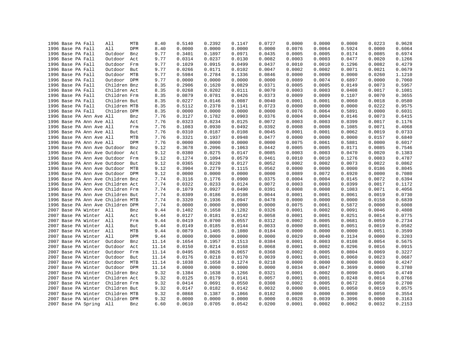|  | 1996 Base PA Fall   |                          | All                               | MTB | 8.40  | 0.5140 | 0.2392 | 0.1147 | 0.0727 | 0.0000 | 0.0000 | 0.0000 | 0.0223           | 0.9628           |
|--|---------------------|--------------------------|-----------------------------------|-----|-------|--------|--------|--------|--------|--------|--------|--------|------------------|------------------|
|  | 1996 Base PA Fall   |                          | All                               | DPM | 8.40  | 0.0000 | 0.0000 | 0.0000 | 0.0000 | 0.0076 | 0.0064 | 0.5924 | 0.0000           | 0.6064           |
|  | 1996 Base PA Fall   |                          | Outdoor                           | Bnz | 9.77  | 0.3401 | 0.1897 | 0.0971 | 0.0435 | 0.0005 | 0.0005 | 0.0174 | 0.0085           | 0.6974           |
|  | 1996 Base PA Fall   |                          | Outdoor                           | Act | 9.77  | 0.0314 | 0.0237 | 0.0130 | 0.0082 | 0.0003 | 0.0003 | 0.0477 | 0.0020           | 0.1266           |
|  | 1996 Base PA Fall   |                          | Outdoor                           | Frm | 9.77  | 0.1029 | 0.0915 | 0.0499 | 0.0437 | 0.0010 | 0.0010 | 0.1296 | 0.0082           | 0.4279           |
|  | 1996 Base PA Fall   |                          | Outdoor                           | But | 9.77  | 0.0266 | 0.0171 | 0.0102 | 0.0047 | 0.0002 | 0.0002 | 0.0071 | 0.0021           | 0.0679           |
|  | 1996 Base PA Fall   |                          | Outdoor MTB                       |     | 9.77  | 0.5984 | 0.2784 | 0.1336 | 0.0846 | 0.0000 | 0.0000 | 0.0000 | 0.0260           | 1.1210           |
|  | 1996 Base PA Fall   |                          | Outdoor DPM                       |     | 9.77  | 0.0000 | 0.0000 | 0.0000 | 0.0000 | 0.0089 | 0.0074 | 0.6897 | 0.0000           | 0.7060           |
|  | 1996 Base PA Fall   |                          | Children Bnz                      |     | 8.35  | 0.2906 | 0.1620 | 0.0829 | 0.0371 | 0.0005 | 0.0005 | 0.0149 | 0.0073           | 0.5957           |
|  | 1996 Base PA Fall   |                          | Children Act                      |     | 8.35  | 0.0268 | 0.0202 | 0.0111 | 0.0070 | 0.0003 | 0.0003 | 0.0408 | 0.0017           | 0.1081           |
|  | 1996 Base PA Fall   |                          | Children Frm                      |     | 8.35  | 0.0879 | 0.0781 | 0.0426 | 0.0373 | 0.0009 | 0.0009 | 0.1107 | 0.0070           | 0.3655           |
|  | 1996 Base PA Fall   |                          | Children But                      |     | 8.35  | 0.0227 | 0.0146 | 0.0087 | 0.0040 | 0.0001 | 0.0001 | 0.0060 | 0.0018           | 0.0580           |
|  | 1996 Base PA Fall   |                          | Children MTB                      |     | 8.35  | 0.5112 | 0.2378 | 0.1141 | 0.0723 | 0.0000 | 0.0000 | 0.0000 | 0.0222           | 0.9575           |
|  | 1996 Base PA Fall   |                          | Children DPM                      |     | 8.35  | 0.0000 | 0.0000 | 0.0000 | 0.0000 | 0.0076 | 0.0064 | 0.5891 | 0.0000           | 0.6031           |
|  |                     | 1996 Base PA Ann Ave All |                                   | Bnz | 7.76  | 0.3127 | 0.1782 | 0.0903 | 0.0376 | 0.0004 | 0.0004 | 0.0146 | 0.0073           | 0.6415           |
|  |                     | 1996 Base PA Ann Ave All |                                   | Act | 7.76  | 0.0323 | 0.0234 | 0.0125 | 0.0072 | 0.0003 | 0.0003 | 0.0399 | 0.0017           | 0.1176           |
|  |                     | 1996 Base PA Ann Ave All |                                   | Frm | 7.76  | 0.1083 | 0.0930 | 0.0492 | 0.0392 | 0.0008 | 0.0008 | 0.1085 | 0.0071           | 0.4068           |
|  |                     | 1996 Base PA Ann Ave All |                                   | But | 7.76  | 0.0310 | 0.0187 | 0.0108 | 0.0045 | 0.0001 | 0.0001 | 0.0062 | 0.0019           | 0.0733           |
|  |                     | 1996 Base PA Ann Ave All |                                   | MTB | 7.76  | 0.3321 | 0.1937 | 0.0948 | 0.0477 | 0.0000 | 0.0000 | 0.0000 | 0.0157           | 0.6840           |
|  |                     | 1996 Base PA Ann Ave All |                                   | DPM | 7.76  | 0.0000 | 0.0000 | 0.0000 | 0.0000 | 0.0075 | 0.0061 | 0.5881 | 0.0000           | 0.6017           |
|  |                     |                          | 1996 Base PA Ann Ave Outdoor      | Bnz | 9.12  | 0.3678 | 0.2096 | 0.1063 | 0.0442 | 0.0005 | 0.0005 | 0.0171 | 0.0085           | 0.7546           |
|  |                     |                          |                                   |     |       | 0.0380 | 0.0275 | 0.0147 | 0.0085 | 0.0003 | 0.0003 | 0.0470 | 0.0020           | 0.1383           |
|  |                     |                          | 1996 Base PA Ann Ave Outdoor      | Act | 9.12  |        |        |        |        |        | 0.0010 |        |                  |                  |
|  |                     |                          | 1996 Base PA Ann Ave Outdoor      | Frm | 9.12  | 0.1274 | 0.1094 | 0.0579 | 0.0461 | 0.0010 |        | 0.1276 | 0.0083<br>0.0022 | 0.4787<br>0.0862 |
|  |                     |                          | 1996 Base PA Ann Ave Outdoor      | But | 9.12  | 0.0365 | 0.0220 | 0.0127 | 0.0052 | 0.0002 | 0.0002 | 0.0073 |                  |                  |
|  |                     |                          | 1996 Base PA Ann Ave Outdoor      | MTB | 9.12  | 0.3904 | 0.2279 | 0.1115 | 0.0562 | 0.0000 | 0.0000 | 0.0000 | 0.0186           | 0.8045           |
|  |                     |                          | 1996 Base PA Ann Ave Outdoor DPM  |     | 9.12  | 0.0000 | 0.0000 | 0.0000 | 0.0000 | 0.0089 | 0.0072 | 0.6920 | 0.0000           | 0.7080           |
|  |                     |                          | 1996 Base PA Ann Ave Children Bnz |     | 7.74  | 0.3116 | 0.1776 | 0.0900 | 0.0375 | 0.0004 | 0.0004 | 0.0145 | 0.0072           | 0.6394           |
|  |                     |                          | 1996 Base PA Ann Ave Children Act |     | 7.74  | 0.0322 | 0.0233 | 0.0124 | 0.0072 | 0.0003 | 0.0003 | 0.0399 | 0.0017           | 0.1172           |
|  |                     |                          | 1996 Base PA Ann Ave Children Frm |     | 7.74  | 0.1079 | 0.0927 | 0.0490 | 0.0391 | 0.0008 | 0.0008 | 0.1083 | 0.0071           | 0.4056           |
|  |                     |                          | 1996 Base PA Ann Ave Children But |     | 7.74  | 0.0309 | 0.0186 | 0.0108 | 0.0044 | 0.0001 | 0.0001 | 0.0061 | 0.0019           | 0.0730           |
|  |                     |                          | 1996 Base PA Ann Ave Children MTB |     | 7.74  | 0.3320 | 0.1936 | 0.0947 | 0.0478 | 0.0000 | 0.0000 | 0.0000 | 0.0158           | 0.6839           |
|  |                     |                          | 1996 Base PA Ann Ave Children DPM |     | 7.74  | 0.0000 | 0.0000 | 0.0000 | 0.0000 | 0.0075 | 0.0061 | 0.5872 | 0.0000           | 0.6008           |
|  |                     | 2007 Base PA Winter All  |                                   | Bnz | 9.44  | 0.1402 | 0.1658 | 0.1282 | 0.0326 | 0.0001 | 0.0002 | 0.0091 | 0.0046           | 0.4808           |
|  |                     | 2007 Base PA Winter All  |                                   | Act | 9.44  | 0.0127 | 0.0181 | 0.0142 | 0.0058 | 0.0001 | 0.0001 | 0.0251 | 0.0014           | 0.0775           |
|  |                     | 2007 Base PA Winter All  |                                   | Frm | 9.44  | 0.0419 | 0.0700 | 0.0557 | 0.0312 | 0.0002 | 0.0005 | 0.0681 | 0.0059           | 0.2734           |
|  | 2007 Base PA Winter |                          | All                               | But | 9.44  | 0.0149 | 0.0185 | 0.0144 | 0.0033 | 0.0000 | 0.0001 | 0.0051 | 0.0019           | 0.0582           |
|  |                     | 2007 Base PA Winter All  |                                   | MTB | 9.44  | 0.0879 | 0.1405 | 0.1080 | 0.0184 | 0.0000 | 0.0000 | 0.0000 | 0.0051           | 0.3599           |
|  | 2007 Base PA Winter |                          | All                               | DPM | 9.44  | 0.0000 | 0.0000 | 0.0000 | 0.0000 | 0.0029 | 0.0040 | 0.3134 | 0.0000           | 0.3203           |
|  | 2007 Base PA Winter |                          | Outdoor                           | Bnz | 11.14 | 0.1654 | 0.1957 | 0.1513 | 0.0384 | 0.0001 | 0.0003 | 0.0108 | 0.0054           | 0.5675           |
|  | 2007 Base PA Winter |                          | Outdoor                           | Act | 11.14 | 0.0150 | 0.0214 | 0.0168 | 0.0068 | 0.0001 | 0.0002 | 0.0296 | 0.0016           | 0.0915           |
|  | 2007 Base PA Winter |                          | Outdoor                           | Frm | 11.14 | 0.0495 | 0.0826 | 0.0657 | 0.0368 | 0.0002 | 0.0005 | 0.0804 | 0.0069           | 0.3227           |
|  | 2007 Base PA Winter |                          | Outdoor                           | But | 11.14 | 0.0176 | 0.0218 | 0.0170 | 0.0039 | 0.0001 | 0.0001 | 0.0060 | 0.0023           | 0.0687           |
|  | 2007 Base PA Winter |                          | Outdoor MTB                       |     | 11.14 | 0.1038 | 0.1658 | 0.1274 | 0.0218 | 0.0000 | 0.0000 | 0.0000 | 0.0060           | 0.4247           |
|  | 2007 Base PA Winter |                          | Outdoor DPM                       |     | 11.14 | 0.0000 | 0.0000 | 0.0000 | 0.0000 | 0.0034 | 0.0047 | 0.3699 | 0.0000           | 0.3780           |
|  | 2007 Base PA Winter |                          | Children Bnz                      |     | 9.32  | 0.1384 | 0.1638 | 0.1266 | 0.0321 | 0.0001 | 0.0002 | 0.0090 | 0.0045           | 0.4749           |
|  | 2007 Base PA Winter |                          | Children Act                      |     | 9.32  | 0.0125 | 0.0179 | 0.0141 | 0.0057 | 0.0001 | 0.0001 | 0.0248 | 0.0014           | 0.0766           |
|  | 2007 Base PA Winter |                          | Children Frm                      |     | 9.32  | 0.0414 | 0.0691 | 0.0550 | 0.0308 | 0.0002 | 0.0005 | 0.0672 | 0.0058           | 0.2700           |
|  | 2007 Base PA Winter |                          | Children But                      |     | 9.32  | 0.0147 | 0.0182 | 0.0142 | 0.0032 | 0.0000 | 0.0001 | 0.0050 | 0.0019           | 0.0575           |
|  | 2007 Base PA Winter |                          | Children MTB                      |     | 9.32  | 0.0868 | 0.1387 | 0.1066 | 0.0182 | 0.0000 | 0.0000 | 0.0000 | 0.0050           | 0.3554           |
|  | 2007 Base PA Winter |                          | Children DPM                      |     | 9.32  | 0.0000 | 0.0000 | 0.0000 | 0.0000 | 0.0028 | 0.0039 | 0.3096 | 0.0000           | 0.3163           |
|  | 2007 Base PA Spring |                          | All                               | Bnz | 6.60  | 0.0610 | 0.0705 | 0.0542 | 0.0200 | 0.0001 | 0.0002 | 0.0062 | 0.0032           | 0.2153           |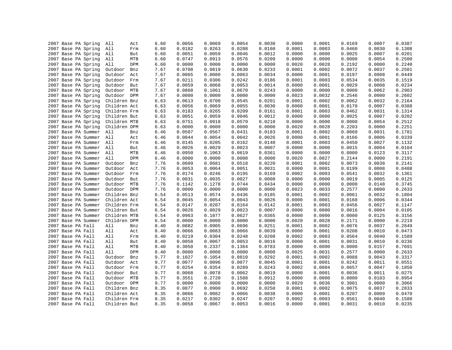| 2007 Base PA Spring | All          | Act | 6.60 | 0.0056 | 0.0069 | 0.0054 | 0.0030 | 0.0000 | 0.0001 | 0.0169 | 0.0007 | 0.0387           |
|---------------------|--------------|-----|------|--------|--------|--------|--------|--------|--------|--------|--------|------------------|
| 2007 Base PA Spring | All          | Frm | 6.60 | 0.0182 | 0.0263 | 0.0208 | 0.0160 | 0.0001 | 0.0003 | 0.0460 | 0.0030 | 0.1308           |
| 2007 Base PA Spring | All          | But | 6.60 | 0.0051 | 0.0059 | 0.0046 | 0.0012 | 0.0000 | 0.0000 | 0.0025 | 0.0007 | 0.0201           |
| 2007 Base PA Spring | All          | MTB | 6.60 | 0.0747 | 0.0913 | 0.0576 | 0.0209 | 0.0000 | 0.0000 | 0.0000 | 0.0054 | 0.2500           |
| 2007 Base PA Spring | All          | DPM | 6.60 | 0.0000 | 0.0000 | 0.0000 | 0.0000 | 0.0020 | 0.0028 | 0.2192 | 0.0000 | 0.2240           |
| 2007 Base PA Spring | Outdoor      | Bnz | 7.67 | 0.0708 | 0.0819 | 0.0630 | 0.0233 | 0.0001 | 0.0002 | 0.0072 | 0.0037 | 0.2501           |
| 2007 Base PA Spring | Outdoor      | Act | 7.67 | 0.0065 | 0.0080 | 0.0063 | 0.0034 | 0.0000 | 0.0001 | 0.0197 | 0.0008 | 0.0449           |
| 2007 Base PA Spring | Outdoor      | Frm | 7.67 | 0.0211 | 0.0306 | 0.0242 | 0.0186 | 0.0001 | 0.0003 | 0.0534 | 0.0035 | 0.1519           |
| 2007 Base PA Spring | Outdoor      | But | 7.67 | 0.0059 | 0.0068 | 0.0053 | 0.0014 | 0.0000 | 0.0001 | 0.0029 | 0.0008 | 0.0234           |
| 2007 Base PA Spring | Outdoor      | MTB | 7.67 | 0.0868 | 0.1061 | 0.0670 | 0.0243 | 0.0000 | 0.0000 | 0.0000 | 0.0062 | 0.2903           |
| 2007 Base PA Spring | Outdoor DPM  |     | 7.67 | 0.0000 | 0.0000 | 0.0000 | 0.0000 | 0.0023 | 0.0032 | 0.2546 | 0.0000 | 0.2602           |
| 2007 Base PA Spring | Children Bnz |     | 6.63 | 0.0613 | 0.0708 | 0.0545 | 0.0201 | 0.0001 | 0.0002 | 0.0062 | 0.0032 | 0.2164           |
| 2007 Base PA Spring | Children Act |     | 6.63 | 0.0056 | 0.0069 | 0.0055 | 0.0030 | 0.0000 | 0.0001 | 0.0170 | 0.0007 | 0.0388           |
| 2007 Base PA Spring | Children Frm |     | 6.63 | 0.0183 | 0.0265 | 0.0209 | 0.0161 | 0.0001 | 0.0003 | 0.0462 | 0.0031 | 0.1314           |
| 2007 Base PA Spring | Children But |     | 6.63 | 0.0051 | 0.0059 | 0.0046 | 0.0012 | 0.0000 | 0.0000 | 0.0025 | 0.0007 | 0.0202           |
| 2007 Base PA Spring | Children MTB |     | 6.63 | 0.0751 | 0.0918 | 0.0579 | 0.0210 | 0.0000 | 0.0000 | 0.0000 | 0.0054 | 0.2512           |
| 2007 Base PA Spring | Children DPM |     | 6.63 | 0.0000 | 0.0000 | 0.0000 | 0.0000 | 0.0020 | 0.0028 | 0.2203 | 0.0000 | 0.2251           |
| 2007 Base PA Summer | All          | Bnz | 6.46 | 0.0507 | 0.0567 | 0.0431 | 0.0183 | 0.0001 | 0.0002 | 0.0060 | 0.0031 | 0.1781           |
| 2007 Base PA Summer | All          | Act | 6.46 | 0.0044 | 0.0054 | 0.0042 | 0.0026 | 0.0000 | 0.0001 | 0.0166 | 0.0006 | 0.0339           |
| 2007 Base PA Summer | All          | Frm | 6.46 | 0.0145 | 0.0205 | 0.0162 | 0.0140 | 0.0001 | 0.0003 | 0.0450 | 0.0027 | 0.1132           |
| 2007 Base PA Summer | All          | But | 6.46 | 0.0026 | 0.0029 | 0.0023 | 0.0007 | 0.0000 | 0.0000 | 0.0015 | 0.0004 | 0.0104           |
|                     |              | MTB |      | 0.0950 |        | 0.0619 |        | 0.0000 | 0.0000 | 0.0000 |        |                  |
| 2007 Base PA Summer | All<br>All   | DPM | 6.46 | 0.0000 | 0.1063 |        | 0.0361 |        |        |        | 0.0123 | 0.3117           |
| 2007 Base PA Summer |              |     | 6.46 |        | 0.0000 | 0.0000 | 0.0000 | 0.0020 | 0.0027 | 0.2144 | 0.0000 | 0.2191<br>0.2141 |
| 2007 Base PA Summer | Outdoor      | Bnz | 7.76 | 0.0609 | 0.0681 | 0.0518 | 0.0220 | 0.0001 | 0.0002 | 0.0073 | 0.0038 |                  |
| 2007 Base PA Summer | Outdoor      | Act | 7.76 | 0.0053 | 0.0064 | 0.0051 | 0.0031 | 0.0000 | 0.0001 | 0.0199 | 0.0008 | 0.0408           |
| 2007 Base PA Summer | Outdoor      | Frm | 7.76 | 0.0174 | 0.0246 | 0.0195 | 0.0169 | 0.0002 | 0.0003 | 0.0541 | 0.0032 | 0.1361           |
| 2007 Base PA Summer | Outdoor      | But | 7.76 | 0.0031 | 0.0035 | 0.0027 | 0.0008 | 0.0000 | 0.0000 | 0.0019 | 0.0005 | 0.0125           |
| 2007 Base PA Summer | Outdoor MTB  |     | 7.76 | 0.1142 | 0.1278 | 0.0744 | 0.0434 | 0.0000 | 0.0000 | 0.0000 | 0.0148 | 0.3745           |
| 2007 Base PA Summer | Outdoor      | DPM | 7.76 | 0.0000 | 0.0000 | 0.0000 | 0.0000 | 0.0023 | 0.0033 | 0.2577 | 0.0000 | 0.2633           |
| 2007 Base PA Summer | Children Bnz |     | 6.54 | 0.0513 | 0.0574 | 0.0436 | 0.0185 | 0.0001 | 0.0002 | 0.0061 | 0.0032 | 0.1804           |
| 2007 Base PA Summer | Children Act |     | 6.54 | 0.0045 | 0.0054 | 0.0043 | 0.0026 | 0.0000 | 0.0001 | 0.0168 | 0.0006 | 0.0344           |
| 2007 Base PA Summer | Children Frm |     | 6.54 | 0.0147 | 0.0207 | 0.0164 | 0.0142 | 0.0001 | 0.0003 | 0.0456 | 0.0027 | 0.1147           |
| 2007 Base PA Summer | Children But |     | 6.54 | 0.0026 | 0.0029 | 0.0023 | 0.0007 | 0.0000 | 0.0000 | 0.0016 | 0.0004 | 0.0105           |
| 2007 Base PA Summer | Children MTB |     | 6.54 | 0.0963 | 0.1077 | 0.0627 | 0.0365 | 0.0000 | 0.0000 | 0.0000 | 0.0125 | 0.3156           |
| 2007 Base PA Summer | Children DPM |     | 6.54 | 0.0000 | 0.0000 | 0.0000 | 0.0000 | 0.0020 | 0.0028 | 0.2171 | 0.0000 | 0.2219           |
| 2007 Base PA Fall   | All          | Bnz | 8.40 | 0.0882 | 0.0905 | 0.0696 | 0.0251 | 0.0001 | 0.0002 | 0.0076 | 0.0037 | 0.2849           |
| 2007 Base PA Fall   | All          | Act | 8.40 | 0.0066 | 0.0083 | 0.0066 | 0.0039 | 0.0000 | 0.0001 | 0.0208 | 0.0010 | 0.0473           |
| 2007 Base PA Fall   | All          | Frm | 8.40 | 0.0219 | 0.0304 | 0.0248 | 0.0208 | 0.0002 | 0.0003 | 0.0564 | 0.0040 | 0.1589           |
| 2007 Base PA Fall   | All          | But | 8.40 | 0.0058 | 0.0067 | 0.0053 | 0.0016 | 0.0000 | 0.0001 | 0.0031 | 0.0010 | 0.0236           |
| 2007 Base PA Fall   | All          | MTB | 8.40 | 0.3050 | 0.2337 | 0.1364 | 0.0783 | 0.0000 | 0.0000 | 0.0000 | 0.0157 | 0.7691           |
| 2007 Base PA Fall   | All          | DPM | 8.40 | 0.0000 | 0.0000 | 0.0000 | 0.0000 | 0.0025 | 0.0031 | 0.2577 | 0.0000 | 0.2633           |
| 2007 Base PA Fall   | Outdoor      | Bnz | 9.77 | 0.1027 | 0.1054 | 0.0810 | 0.0292 | 0.0001 | 0.0002 | 0.0088 | 0.0043 | 0.3317           |
| 2007 Base PA Fall   | Outdoor      | Act | 9.77 | 0.0077 | 0.0096 | 0.0077 | 0.0045 | 0.0001 | 0.0001 | 0.0242 | 0.0011 | 0.0551           |
| 2007 Base PA Fall   | Outdoor      | Frm | 9.77 | 0.0254 | 0.0354 | 0.0289 | 0.0243 | 0.0002 | 0.0004 | 0.0657 | 0.0047 | 0.1850           |
| 2007 Base PA Fall   | Outdoor      | But | 9.77 | 0.0068 | 0.0078 | 0.0062 | 0.0019 | 0.0000 | 0.0001 | 0.0036 | 0.0011 | 0.0275           |
| 2007 Base PA Fall   | Outdoor      | MTB | 9.77 | 0.3551 | 0.2720 | 0.1588 | 0.0912 | 0.0000 | 0.0000 | 0.0000 | 0.0183 | 0.8954           |
| 2007 Base PA Fall   | Outdoor DPM  |     | 9.77 | 0.0000 | 0.0000 | 0.0000 | 0.0000 | 0.0029 | 0.0036 | 0.3001 | 0.0000 | 0.3066           |
| 2007 Base PA Fall   | Children Bnz |     | 8.35 | 0.0877 | 0.0900 | 0.0692 | 0.0250 | 0.0001 | 0.0002 | 0.0075 | 0.0037 | 0.2833           |
| 2007 Base PA Fall   | Children Act |     | 8.35 | 0.0066 | 0.0082 | 0.0066 | 0.0038 | 0.0000 | 0.0001 | 0.0207 | 0.0009 | 0.0470           |
| 2007 Base PA Fall   | Children Frm |     | 8.35 | 0.0217 | 0.0302 | 0.0247 | 0.0207 | 0.0002 | 0.0003 | 0.0561 | 0.0040 | 0.1580           |
| 2007 Base PA Fall   | Children But |     | 8.35 | 0.0058 | 0.0067 | 0.0053 | 0.0016 | 0.0000 | 0.0001 | 0.0031 | 0.0010 | 0.0235           |
|                     |              |     |      |        |        |        |        |        |        |        |        |                  |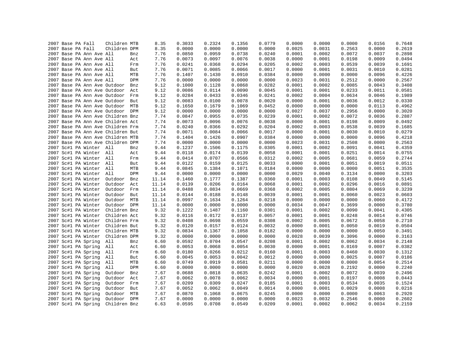|  | 2007 Base PA Fall |                          | Children MTB                      |            | 8.35  | 0.3033 | 0.2324 | 0.1356 | 0.0779 | 0.0000 | 0.0000 | 0.0000 | 0.0156 | 0.7648 |
|--|-------------------|--------------------------|-----------------------------------|------------|-------|--------|--------|--------|--------|--------|--------|--------|--------|--------|
|  | 2007 Base PA Fall |                          | Children DPM                      |            | 8.35  | 0.0000 | 0.0000 | 0.0000 | 0.0000 | 0.0025 | 0.0031 | 0.2563 | 0.0000 | 0.2619 |
|  |                   | 2007 Base PA Ann Ave All |                                   | Bnz        | 7.76  | 0.0850 | 0.0959 | 0.0738 | 0.0240 | 0.0001 | 0.0002 | 0.0072 | 0.0037 | 0.2898 |
|  |                   | 2007 Base PA Ann Ave All |                                   | Act        | 7.76  | 0.0073 | 0.0097 | 0.0076 | 0.0038 | 0.0000 | 0.0001 | 0.0198 | 0.0009 | 0.0494 |
|  |                   | 2007 Base PA Ann Ave All |                                   | Frm        | 7.76  | 0.0241 | 0.0368 | 0.0294 | 0.0205 | 0.0002 | 0.0003 | 0.0539 | 0.0039 | 0.1691 |
|  |                   | 2007 Base PA Ann Ave All |                                   | But        | 7.76  | 0.0071 | 0.0085 | 0.0066 | 0.0017 | 0.0000 | 0.0001 | 0.0031 | 0.0010 | 0.0281 |
|  |                   | 2007 Base PA Ann Ave All |                                   | MTB        | 7.76  | 0.1407 | 0.1430 | 0.0910 | 0.0384 | 0.0000 | 0.0000 | 0.0000 | 0.0096 | 0.4226 |
|  |                   | 2007 Base PA Ann Ave All |                                   | DPM        | 7.76  | 0.0000 | 0.0000 | 0.0000 | 0.0000 | 0.0023 | 0.0031 | 0.2512 | 0.0000 | 0.2567 |
|  |                   |                          | 2007 Base PA Ann Ave Outdoor      | Bnz        | 9.12  | 0.1000 | 0.1128 | 0.0868 | 0.0282 | 0.0001 | 0.0002 | 0.0085 | 0.0043 | 0.3408 |
|  |                   |                          | 2007 Base PA Ann Ave Outdoor      | Act        | 9.12  | 0.0086 | 0.0114 | 0.0090 | 0.0045 | 0.0001 | 0.0001 | 0.0233 | 0.0011 | 0.0581 |
|  |                   |                          | 2007 Base PA Ann Ave Outdoor Frm  |            | 9.12  | 0.0284 | 0.0433 | 0.0346 | 0.0241 | 0.0002 | 0.0004 | 0.0634 | 0.0046 | 0.1989 |
|  |                   |                          | 2007 Base PA Ann Ave Outdoor      | But        | 9.12  | 0.0083 | 0.0100 | 0.0078 | 0.0020 | 0.0000 | 0.0001 | 0.0036 | 0.0012 | 0.0330 |
|  |                   |                          | 2007 Base PA Ann Ave Outdoor MTB  |            | 9.12  | 0.1650 | 0.1679 | 0.1069 | 0.0452 | 0.0000 | 0.0000 | 0.0000 | 0.0113 | 0.4962 |
|  |                   |                          | 2007 Base PA Ann Ave Outdoor DPM  |            | 9.12  | 0.0000 | 0.0000 | 0.0000 | 0.0000 | 0.0027 | 0.0037 | 0.2956 | 0.0000 | 0.3020 |
|  |                   |                          | 2007 Base PA Ann Ave Children Bnz |            | 7.74  | 0.0847 | 0.0955 | 0.0735 | 0.0239 | 0.0001 | 0.0002 | 0.0072 | 0.0036 | 0.2887 |
|  |                   |                          | 2007 Base PA Ann Ave Children Act |            | 7.74  | 0.0073 | 0.0096 | 0.0076 | 0.0038 | 0.0000 | 0.0001 | 0.0198 | 0.0009 | 0.0492 |
|  |                   |                          | 2007 Base PA Ann Ave Children Frm |            | 7.74  | 0.0240 | 0.0366 | 0.0292 | 0.0204 | 0.0002 | 0.0003 | 0.0538 | 0.0039 | 0.1685 |
|  |                   |                          | 2007 Base PA Ann Ave Children But |            | 7.74  | 0.0071 | 0.0084 | 0.0066 | 0.0017 | 0.0000 | 0.0001 | 0.0030 | 0.0010 | 0.0279 |
|  |                   |                          | 2007 Base PA Ann Ave Children MTB |            | 7.74  | 0.1404 | 0.1426 | 0.0907 | 0.0384 | 0.0000 | 0.0000 | 0.0000 | 0.0096 | 0.4218 |
|  |                   |                          | 2007 Base PA Ann Ave Children DPM |            | 7.74  | 0.0000 | 0.0000 | 0.0000 | 0.0000 | 0.0023 | 0.0031 | 0.2508 | 0.0000 | 0.2563 |
|  |                   | 2007 Sc#1 PA Winter All  |                                   | Bnz        | 9.44  | 0.1237 | 0.1506 | 0.1175 | 0.0305 | 0.0001 | 0.0002 | 0.0091 | 0.0041 | 0.4359 |
|  |                   | 2007 Sc#1 PA Winter All  |                                   | Act        | 9.44  | 0.0118 | 0.0174 | 0.0139 | 0.0058 | 0.0001 | 0.0001 | 0.0251 | 0.0014 | 0.0755 |
|  |                   | 2007 Sc#1 PA Winter All  |                                   | Frm        | 9.44  | 0.0414 | 0.0707 | 0.0566 | 0.0312 | 0.0002 | 0.0005 | 0.0681 | 0.0059 | 0.2744 |
|  |                   | 2007 Sc#1 PA Winter All  |                                   | But        | 9.44  | 0.0122 | 0.0159 | 0.0125 | 0.0033 | 0.0000 | 0.0001 | 0.0051 | 0.0019 | 0.0511 |
|  |                   | 2007 Sc#1 PA Winter All  |                                   | MTB        | 9.44  | 0.0845 | 0.1384 | 0.1071 | 0.0184 | 0.0000 | 0.0000 | 0.0000 | 0.0051 | 0.3535 |
|  |                   | 2007 Sc#1 PA Winter All  |                                   | DPM        | 9.44  | 0.0000 | 0.0000 | 0.0000 | 0.0000 | 0.0029 | 0.0040 | 0.3134 | 0.0000 | 0.3203 |
|  |                   | 2007 Sc#1 PA Winter      | Outdoor                           | Bnz        | 11.14 | 0.1460 | 0.1777 | 0.1387 | 0.0360 | 0.0001 | 0.0003 | 0.0108 | 0.0049 | 0.5145 |
|  |                   | 2007 Sc#1 PA Winter      | Outdoor                           | Act        | 11.14 | 0.0139 | 0.0206 | 0.0164 | 0.0068 | 0.0001 | 0.0002 | 0.0296 | 0.0016 | 0.0891 |
|  |                   | 2007 Sc#1 PA Winter      | Outdoor                           | Frm        | 11.14 | 0.0488 | 0.0834 | 0.0669 | 0.0368 | 0.0002 | 0.0005 | 0.0804 | 0.0069 | 0.3239 |
|  |                   | 2007 Sc#1 PA Winter      | Outdoor                           | But        | 11.14 | 0.0144 | 0.0188 | 0.0148 | 0.0039 | 0.0001 | 0.0001 | 0.0060 | 0.0023 | 0.0603 |
|  |                   | 2007 Sc#1 PA Winter      | Outdoor                           | MTB        | 11.14 | 0.0997 | 0.1634 | 0.1264 | 0.0218 | 0.0000 | 0.0000 | 0.0000 | 0.0060 | 0.4172 |
|  |                   | 2007 Sc#1 PA Winter      | Outdoor DPM                       |            | 11.14 | 0.0000 | 0.0000 | 0.0000 | 0.0000 | 0.0034 | 0.0047 | 0.3699 | 0.0000 | 0.3780 |
|  |                   | 2007 Sc#1 PA Winter      | Children Bnz                      |            | 9.32  | 0.1222 | 0.1487 | 0.1160 | 0.0301 | 0.0001 | 0.0002 | 0.0090 | 0.0041 | 0.4305 |
|  |                   | 2007 Sc#1 PA Winter      | Children Act                      |            | 9.32  | 0.0116 | 0.0172 | 0.0137 | 0.0057 | 0.0001 | 0.0001 | 0.0248 | 0.0014 | 0.0746 |
|  |                   | 2007 Sc#1 PA Winter      | Children Frm                      |            | 9.32  | 0.0408 | 0.0698 | 0.0559 | 0.0308 | 0.0002 | 0.0005 | 0.0672 | 0.0058 | 0.2710 |
|  |                   | 2007 Sc#1 PA Winter      | Children But                      |            | 9.32  | 0.0120 | 0.0157 | 0.0124 | 0.0032 | 0.0000 | 0.0001 | 0.0050 | 0.0019 | 0.0504 |
|  |                   | 2007 Sc#1 PA Winter      | Children MTB                      |            | 9.32  | 0.0834 | 0.1367 | 0.1058 | 0.0182 | 0.0000 | 0.0000 | 0.0000 | 0.0050 | 0.3491 |
|  |                   | 2007 Sc#1 PA Winter      | Children DPM                      |            | 9.32  | 0.0000 | 0.0000 | 0.0000 | 0.0000 | 0.0028 | 0.0039 | 0.3096 | 0.0000 | 0.3163 |
|  |                   | 2007 Sc#1 PA Spring      | All                               | Bnz        | 6.60  | 0.0592 | 0.0704 | 0.0547 | 0.0208 | 0.0001 | 0.0002 | 0.0062 | 0.0034 | 0.2148 |
|  |                   | 2007 Sc#1 PA Spring      | All                               | Act        | 6.60  | 0.0053 | 0.0068 | 0.0054 | 0.0030 | 0.0000 | 0.0001 | 0.0169 | 0.0007 | 0.0382 |
|  |                   | 2007 Sc#1 PA Spring      | All                               | Frm        | 6.60  | 0.0180 | 0.0266 | 0.0212 | 0.0160 | 0.0001 | 0.0003 | 0.0460 | 0.0030 | 0.1312 |
|  |                   | 2007 Sc#1 PA Spring      | All                               | But        | 6.60  | 0.0045 | 0.0053 | 0.0042 | 0.0012 | 0.0000 | 0.0000 | 0.0025 | 0.0007 | 0.0186 |
|  |                   | 2007 Sc#1 PA Spring      | All                               | MTB        | 6.60  | 0.0749 | 0.0919 | 0.0581 | 0.0211 | 0.0000 | 0.0000 | 0.0000 | 0.0054 | 0.2514 |
|  |                   | 2007 Sc#1 PA Spring      | All                               | DPM        | 6.60  | 0.0000 | 0.0000 | 0.0000 | 0.0000 | 0.0020 | 0.0028 | 0.2192 | 0.0000 | 0.2240 |
|  |                   | 2007 Sc#1 PA Spring      | Outdoor                           | Bnz        | 7.67  | 0.0688 | 0.0818 | 0.0635 | 0.0242 | 0.0001 | 0.0002 | 0.0072 | 0.0039 | 0.2496 |
|  |                   | 2007 Sc#1 PA Spring      | Outdoor                           | Act        | 7.67  | 0.0062 | 0.0078 | 0.0062 | 0.0034 | 0.0000 | 0.0001 | 0.0197 | 0.0008 | 0.0443 |
|  |                   | 2007 Sc#1 PA Spring      | Outdoor                           | Frm        | 7.67  | 0.0209 | 0.0309 | 0.0247 | 0.0185 | 0.0001 | 0.0003 | 0.0534 | 0.0035 | 0.1524 |
|  |                   | 2007 Sc#1 PA Spring      | Outdoor                           | But        | 7.67  | 0.0052 | 0.0062 | 0.0049 | 0.0014 | 0.0000 | 0.0001 | 0.0029 | 0.0008 | 0.0216 |
|  |                   | 2007 Sc#1 PA Spring      | Outdoor                           | MTB        | 7.67  | 0.0870 | 0.1068 | 0.0675 | 0.0245 | 0.0000 | 0.0000 | 0.0000 | 0.0063 | 0.2920 |
|  |                   | 2007 Sc#1 PA Spring      | Outdoor                           | <b>DPM</b> | 7.67  | 0.0000 | 0.0000 | 0.0000 | 0.0000 | 0.0023 | 0.0032 | 0.2546 | 0.0000 | 0.2602 |
|  |                   | 2007 Sc#1 PA Spring      | Children Bnz                      |            | 6.63  | 0.0595 | 0.0708 | 0.0549 | 0.0209 | 0.0001 | 0.0002 | 0.0062 | 0.0034 | 0.2159 |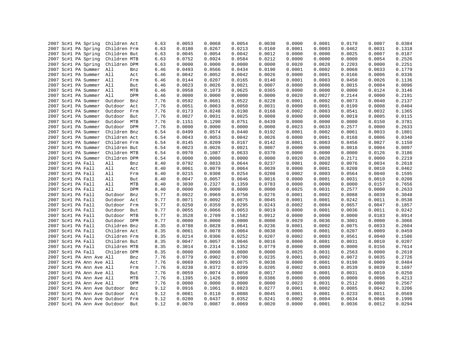|                   | 2007 Sc#1 PA Spring          | Children Act |     | 6.63 | 0.0053 | 0.0068 | 0.0054 | 0.0030 | 0.0000 | 0.0001 | 0.0170 | 0.0007 | 0.0384 |
|-------------------|------------------------------|--------------|-----|------|--------|--------|--------|--------|--------|--------|--------|--------|--------|
|                   | 2007 Sc#1 PA Spring          | Children Frm |     | 6.63 | 0.0180 | 0.0267 | 0.0213 | 0.0160 | 0.0001 | 0.0003 | 0.0462 | 0.0031 | 0.1318 |
|                   | 2007 Sc#1 PA Spring          | Children But |     | 6.63 | 0.0045 | 0.0054 | 0.0042 | 0.0012 | 0.0000 | 0.0000 | 0.0025 | 0.0007 | 0.0187 |
|                   | 2007 Sc#1 PA Spring          | Children MTB |     | 6.63 | 0.0752 | 0.0924 | 0.0584 | 0.0212 | 0.0000 | 0.0000 | 0.0000 | 0.0054 | 0.2526 |
|                   | 2007 Sc#1 PA Spring          | Children DPM |     | 6.63 | 0.0000 | 0.0000 | 0.0000 | 0.0000 | 0.0020 | 0.0028 | 0.2203 | 0.0000 | 0.2251 |
|                   | 2007 Sc#1 PA Summer          | All          | Bnz | 6.46 | 0.0493 | 0.0566 | 0.0434 | 0.0190 | 0.0001 | 0.0002 | 0.0060 | 0.0033 | 0.1779 |
|                   | 2007 Sc#1 PA Summer All      |              | Act | 6.46 | 0.0042 | 0.0052 | 0.0042 | 0.0026 | 0.0000 | 0.0001 | 0.0166 | 0.0006 | 0.0336 |
|                   | 2007 Sc#1 PA Summer          | All          | Frm | 6.46 | 0.0144 | 0.0207 | 0.0165 | 0.0140 | 0.0001 | 0.0003 | 0.0450 | 0.0026 | 0.1136 |
|                   | 2007 Sc#1 PA Summer All      |              | But | 6.46 | 0.0023 | 0.0026 | 0.0021 | 0.0007 | 0.0000 | 0.0000 | 0.0015 | 0.0004 | 0.0096 |
|                   | 2007 Sc#1 PA Summer          | All          | MTB | 6.46 | 0.0958 | 0.1073 | 0.0625 | 0.0365 | 0.0000 | 0.0000 | 0.0000 | 0.0124 | 0.3146 |
|                   | 2007 Sc#1 PA Summer          | All          | DPM | 6.46 | 0.0000 | 0.0000 | 0.0000 | 0.0000 | 0.0020 | 0.0027 | 0.2144 | 0.0000 | 0.2191 |
|                   | 2007 Sc#1 PA Summer          | Outdoor      | Bnz | 7.76 | 0.0592 | 0.0681 | 0.0522 | 0.0228 | 0.0001 | 0.0002 | 0.0073 | 0.0040 | 0.2137 |
|                   | 2007 Sc#1 PA Summer          | Outdoor      | Act | 7.76 | 0.0051 | 0.0063 | 0.0050 | 0.0031 | 0.0000 | 0.0001 | 0.0199 | 0.0008 | 0.0404 |
|                   | 2007 Sc#1 PA Summer          | Outdoor      | Frm | 7.76 | 0.0173 | 0.0248 | 0.0198 | 0.0168 | 0.0002 | 0.0003 | 0.0541 | 0.0032 | 0.1365 |
|                   | 2007 Sc#1 PA Summer          | Outdoor      | But | 7.76 | 0.0027 | 0.0031 | 0.0025 | 0.0008 | 0.0000 | 0.0000 | 0.0019 | 0.0005 | 0.0115 |
|                   | 2007 Sc#1 PA Summer          | Outdoor MTB  |     | 7.76 | 0.1151 | 0.1290 | 0.0751 | 0.0439 | 0.0000 | 0.0000 | 0.0000 | 0.0150 | 0.3781 |
|                   | 2007 Sc#1 PA Summer          | Outdoor DPM  |     | 7.76 | 0.0000 | 0.0000 | 0.0000 | 0.0000 | 0.0023 | 0.0033 | 0.2577 | 0.0000 | 0.2633 |
|                   | 2007 Sc#1 PA Summer          | Children Bnz |     | 6.54 | 0.0499 | 0.0574 | 0.0440 | 0.0192 | 0.0001 | 0.0002 | 0.0061 | 0.0033 | 0.1801 |
|                   | 2007 Sc#1 PA Summer          | Children Act |     | 6.54 | 0.0043 | 0.0053 | 0.0042 | 0.0026 | 0.0000 | 0.0001 | 0.0168 | 0.0006 | 0.0340 |
|                   | 2007 Sc#1 PA Summer          | Children Frm |     | 6.54 | 0.0145 | 0.0209 | 0.0167 | 0.0142 | 0.0001 | 0.0003 | 0.0456 | 0.0027 | 0.1150 |
|                   | 2007 Sc#1 PA Summer          | Children But |     | 6.54 | 0.0023 | 0.0026 | 0.0021 | 0.0007 | 0.0000 | 0.0000 | 0.0016 | 0.0004 | 0.0097 |
|                   | 2007 Sc#1 PA Summer          | Children MTB |     | 6.54 | 0.0970 | 0.1087 | 0.0633 | 0.0370 | 0.0000 | 0.0000 | 0.0000 | 0.0126 | 0.3186 |
|                   | 2007 Sc#1 PA Summer          | Children DPM |     | 6.54 | 0.0000 | 0.0000 | 0.0000 | 0.0000 | 0.0020 | 0.0028 | 0.2171 | 0.0000 | 0.2219 |
| 2007 Sc#1 PA Fall |                              | All          | Bnz | 8.40 | 0.0792 | 0.0833 | 0.0644 | 0.0237 | 0.0001 | 0.0002 | 0.0076 | 0.0034 | 0.2618 |
| 2007 Sc#1 PA Fall |                              | All          | Act | 8.40 | 0.0061 | 0.0079 | 0.0064 | 0.0039 | 0.0000 | 0.0001 | 0.0208 | 0.0010 | 0.0462 |
| 2007 Sc#1 PA Fall |                              | All          | Frm | 8.40 | 0.0215 | 0.0308 | 0.0254 | 0.0208 | 0.0002 | 0.0003 | 0.0564 | 0.0040 | 0.1595 |
| 2007 Sc#1 PA Fall |                              | All          | But | 8.40 | 0.0047 | 0.0057 | 0.0046 | 0.0016 | 0.0000 | 0.0001 | 0.0031 | 0.0010 | 0.0208 |
| 2007 Sc#1 PA Fall |                              | All          | MTB | 8.40 | 0.3030 | 0.2327 | 0.1359 | 0.0783 | 0.0000 | 0.0000 | 0.0000 | 0.0157 | 0.7656 |
| 2007 Sc#1 PA Fall |                              | All          | DPM | 8.40 | 0.0000 | 0.0000 | 0.0000 | 0.0000 | 0.0025 | 0.0031 | 0.2577 | 0.0000 | 0.2633 |
| 2007 Sc#1 PA Fall |                              | Outdoor      | Bnz | 9.77 | 0.0922 | 0.0969 | 0.0750 | 0.0276 | 0.0001 | 0.0002 | 0.0088 | 0.0039 | 0.3048 |
|                   |                              | Outdoor      |     |      | 0.0071 | 0.0092 | 0.0075 | 0.0045 | 0.0001 | 0.0001 | 0.0242 | 0.0011 | 0.0538 |
| 2007 Sc#1 PA Fall |                              |              | Act | 9.77 |        |        |        |        |        |        |        |        |        |
| 2007 Sc#1 PA Fall |                              | Outdoor      | Frm | 9.77 | 0.0250 | 0.0359 | 0.0295 | 0.0243 | 0.0002 | 0.0004 | 0.0657 | 0.0047 | 0.1857 |
| 2007 Sc#1 PA Fall |                              | Outdoor      | But | 9.77 | 0.0055 | 0.0066 | 0.0053 | 0.0019 | 0.0000 | 0.0001 | 0.0036 | 0.0011 | 0.0242 |
| 2007 Sc#1 PA Fall |                              | Outdoor      | MTB | 9.77 | 0.3528 | 0.2709 | 0.1582 | 0.0912 | 0.0000 | 0.0000 | 0.0000 | 0.0183 | 0.8914 |
| 2007 Sc#1 PA Fall |                              | Outdoor DPM  |     | 9.77 | 0.0000 | 0.0000 | 0.0000 | 0.0000 | 0.0029 | 0.0036 | 0.3001 | 0.0000 | 0.3066 |
| 2007 Sc#1 PA Fall |                              | Children Bnz |     | 8.35 | 0.0788 | 0.0828 | 0.0641 | 0.0236 | 0.0001 | 0.0002 | 0.0075 | 0.0033 | 0.2604 |
| 2007 Sc#1 PA Fall |                              | Children Act |     | 8.35 | 0.0061 | 0.0078 | 0.0064 | 0.0038 | 0.0000 | 0.0001 | 0.0207 | 0.0009 | 0.0459 |
| 2007 Sc#1 PA Fall |                              | Children Frm |     | 8.35 | 0.0214 | 0.0306 | 0.0252 | 0.0207 | 0.0002 | 0.0003 | 0.0561 | 0.0040 | 0.1586 |
| 2007 Sc#1 PA Fall |                              | Children But |     | 8.35 | 0.0047 | 0.0057 | 0.0046 | 0.0016 | 0.0000 | 0.0001 | 0.0031 | 0.0010 | 0.0207 |
| 2007 Sc#1 PA Fall |                              | Children MTB |     | 8.35 | 0.3014 | 0.2314 | 0.1352 | 0.0779 | 0.0000 | 0.0000 | 0.0000 | 0.0156 | 0.7614 |
| 2007 Sc#1 PA Fall |                              | Children DPM |     | 8.35 | 0.0000 | 0.0000 | 0.0000 | 0.0000 | 0.0025 | 0.0031 | 0.2563 | 0.0000 | 0.2619 |
|                   | 2007 Sc#1 PA Ann Ave All     |              | Bnz | 7.76 | 0.0779 | 0.0902 | 0.0700 | 0.0235 | 0.0001 | 0.0002 | 0.0072 | 0.0035 | 0.2726 |
|                   | 2007 Sc#1 PA Ann Ave All     |              | Act | 7.76 | 0.0069 | 0.0093 | 0.0075 | 0.0038 | 0.0000 | 0.0001 | 0.0198 | 0.0009 | 0.0484 |
|                   | 2007 Sc#1 PA Ann Ave All     |              | Frm | 7.76 | 0.0238 | 0.0372 | 0.0299 | 0.0205 | 0.0002 | 0.0003 | 0.0539 | 0.0039 | 0.1697 |
|                   | 2007 Sc#1 PA Ann Ave All     |              | But | 7.76 | 0.0059 | 0.0074 | 0.0058 | 0.0017 | 0.0000 | 0.0001 | 0.0031 | 0.0010 | 0.0250 |
|                   | 2007 Sc#1 PA Ann Ave All     |              | MTB | 7.76 | 0.1395 | 0.1426 | 0.0909 | 0.0386 | 0.0000 | 0.0000 | 0.0000 | 0.0096 | 0.4213 |
|                   | 2007 Sc#1 PA Ann Ave All     |              | DPM | 7.76 | 0.0000 | 0.0000 | 0.0000 | 0.0000 | 0.0023 | 0.0031 | 0.2512 | 0.0000 | 0.2567 |
|                   | 2007 Sc#1 PA Ann Ave Outdoor |              | Bnz | 9.12 | 0.0916 | 0.1061 | 0.0823 | 0.0277 | 0.0001 | 0.0002 | 0.0085 | 0.0042 | 0.3206 |
|                   | 2007 Sc#1 PA Ann Ave Outdoor |              | Act | 9.12 | 0.0081 | 0.0110 | 0.0088 | 0.0045 | 0.0001 | 0.0001 | 0.0233 | 0.0011 | 0.0569 |
|                   | 2007 Sc#1 PA Ann Ave Outdoor |              | Frm | 9.12 | 0.0280 | 0.0437 | 0.0352 | 0.0241 | 0.0002 | 0.0004 | 0.0634 | 0.0046 | 0.1996 |
|                   | 2007 Sc#1 PA Ann Ave Outdoor |              | But | 9.12 | 0.0070 | 0.0087 | 0.0069 | 0.0020 | 0.0000 | 0.0001 | 0.0036 | 0.0012 | 0.0294 |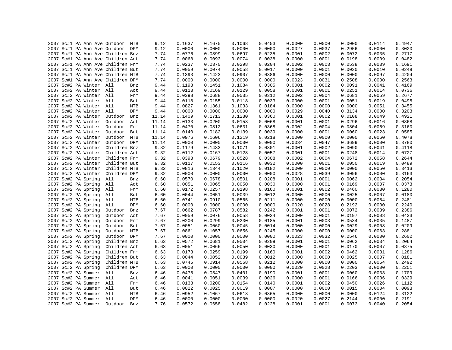| 2007 Sc#1 PA Ann Ave Outdoor MTB           |                | 9.12         | 0.1637 | 0.1675           | 0.1068           | 0.0453           | 0.0000           | 0.0000           | 0.0000           | 0.0114           | 0.4947 |
|--------------------------------------------|----------------|--------------|--------|------------------|------------------|------------------|------------------|------------------|------------------|------------------|--------|
| 2007 Sc#1 PA Ann Ave Outdoor DPM           |                | 9.12         | 0.0000 | 0.0000           | 0.0000           | 0.0000           | 0.0027           | 0.0037           | 0.2956           | 0.0000           | 0.3020 |
| 2007 Sc#1 PA Ann Ave Children Bnz          |                | 7.74         | 0.0776 | 0.0899           | 0.0697           | 0.0235           | 0.0001           | 0.0002           | 0.0072           | 0.0035           | 0.2717 |
| 2007 Sc#1 PA Ann Ave Children Act          |                | 7.74         | 0.0068 | 0.0093           | 0.0074           | 0.0038           | 0.0000           | 0.0001           | 0.0198           | 0.0009           | 0.0482 |
| 2007 Sc#1 PA Ann Ave Children Frm          |                | 7.74         | 0.0237 | 0.0370           | 0.0298           | 0.0204           | 0.0002           | 0.0003           | 0.0538           | 0.0039           | 0.1691 |
| 2007 Sc#1 PA Ann Ave Children But          |                | 7.74         | 0.0059 | 0.0074           | 0.0058           | 0.0017           | 0.0000           | 0.0001           | 0.0030           | 0.0010           | 0.0249 |
| 2007 Sc#1 PA Ann Ave Children MTB          |                | 7.74         | 0.1393 | 0.1423           | 0.0907           | 0.0386           | 0.0000           | 0.0000           | 0.0000           | 0.0097           | 0.4204 |
| 2007 Sc#1 PA Ann Ave Children DPM          |                | 7.74         | 0.0000 | 0.0000           | 0.0000           | 0.0000           | 0.0023           | 0.0031           | 0.2508           | 0.0000           | 0.2563 |
| 2007 Sc#2 PA Winter All                    | Bnz            | 9.44         | 0.1193 | 0.1451           | 0.1084           | 0.0305           | 0.0001           | 0.0002           | 0.0091           | 0.0041           | 0.4169 |
| 2007 Sc#2 PA Winter All                    | Act            | 9.44         | 0.0113 | 0.0169           | 0.0129           | 0.0058           | 0.0001           | 0.0001           | 0.0251           | 0.0014           | 0.0736 |
| 2007 Sc#2 PA Winter All                    | Frm            | 9.44         | 0.0398 | 0.0688           | 0.0535           | 0.0312           | 0.0002           | 0.0004           | 0.0681           | 0.0059           | 0.2677 |
| 2007 Sc#2 PA Winter All                    | But            | 9.44         | 0.0118 | 0.0155           | 0.0118           | 0.0033           | 0.0000           | 0.0001           | 0.0051           | 0.0019           | 0.0495 |
| 2007 Sc#2 PA Winter All                    | MTB            | 9.44         | 0.0827 | 0.1361           | 0.1033           | 0.0184           | 0.0000           | 0.0000           | 0.0000           | 0.0051           | 0.3455 |
| 2007 Sc#2 PA Winter All                    | DPM            | 9.44         | 0.0000 | 0.0000           | 0.0000           | 0.0000           | 0.0029           | 0.0040           | 0.3134           | 0.0000           | 0.3203 |
| 2007 Sc#2 PA Winter                        | Outdoor<br>Bnz | 11.14        | 0.1409 | 0.1713           | 0.1280           | 0.0360           | 0.0001           | 0.0002           | 0.0108           | 0.0049           | 0.4921 |
| 2007 Sc#2 PA Winter                        | Outdoor<br>Act | 11.14        | 0.0133 | 0.0200           | 0.0153           | 0.0068           | 0.0001           | 0.0001           | 0.0296           | 0.0016           | 0.0868 |
| 2007 Sc#2 PA Winter                        | Outdoor<br>Frm | 11.14        | 0.0470 | 0.0812           | 0.0631           | 0.0368           | 0.0002           | 0.0004           | 0.0804           | 0.0069           | 0.3160 |
| 2007 Sc#2 PA Winter                        | Outdoor But    | 11.14        | 0.0140 | 0.0182           | 0.0139           | 0.0039           | 0.0000           | 0.0001           | 0.0060           | 0.0023           | 0.0585 |
| 2007 Sc#2 PA Winter                        | Outdoor MTB    | 11.14        | 0.0976 | 0.1606           | 0.1219           | 0.0218           | 0.0000           | 0.0000           | 0.0000           | 0.0060           | 0.4078 |
| 2007 Sc#2 PA Winter                        | Outdoor DPM    | 11.14        | 0.0000 | 0.0000           | 0.0000           | 0.0000           | 0.0034           | 0.0047           | 0.3699           | 0.0000           | 0.3780 |
| 2007 Sc#2 PA Winter                        | Children Bnz   | 9.32         | 0.1179 | 0.1433           | 0.1071           | 0.0301           | 0.0001           | 0.0002           | 0.0090           | 0.0041           | 0.4118 |
| 2007 Sc#2 PA Winter                        | Children Act   | 9.32         | 0.0112 | 0.0167           | 0.0128           | 0.0057           | 0.0001           | 0.0001           | 0.0248           | 0.0014           | 0.0727 |
| 2007 Sc#2 PA Winter                        | Children Frm   | 9.32         | 0.0393 | 0.0679           | 0.0528           | 0.0308           | 0.0002           | 0.0004           | 0.0672           | 0.0058           | 0.2644 |
| 2007 Sc#2 PA Winter                        | Children But   | 9.32         | 0.0117 | 0.0153           | 0.0116           | 0.0032           | 0.0000           | 0.0001           | 0.0050           | 0.0019           | 0.0489 |
| 2007 Sc#2 PA Winter                        | Children MTB   | 9.32         | 0.0816 | 0.1344           | 0.1020           | 0.0182           | 0.0000           | 0.0000           | 0.0000           | 0.0050           | 0.3413 |
| 2007 Sc#2 PA Winter                        | Children DPM   | 9.32         | 0.0000 | 0.0000           | 0.0000           | 0.0000           | 0.0028           | 0.0039           | 0.3096           | 0.0000           | 0.3163 |
| 2007 Sc#2 PA Spring                        | All<br>Bnz     | 6.60         | 0.0570 | 0.0678           | 0.0501           | 0.0208           | 0.0001           | 0.0001           | 0.0062           | 0.0034           | 0.2054 |
| 2007 Sc#2 PA Spring                        | All<br>Act     | 6.60         | 0.0051 | 0.0065           | 0.0050           | 0.0030           | 0.0000           | 0.0001           | 0.0169           | 0.0007           | 0.0373 |
| 2007 Sc#2 PA Spring                        | All<br>Frm     | 6.60         | 0.0172 | 0.0257           | 0.0198           | 0.0160           | 0.0001           | 0.0002           | 0.0460           | 0.0030           | 0.1280 |
| 2007 Sc#2 PA Spring                        | All<br>But     | 6.60         | 0.0044 | 0.0051           | 0.0039           | 0.0012           | 0.0000           | 0.0000           | 0.0025           | 0.0007           | 0.0180 |
| 2007 Sc#2 PA Spring                        | All<br>MTB     | 6.60         | 0.0741 | 0.0910           | 0.0565           | 0.0211           | 0.0000           | 0.0000           | 0.0000           | 0.0054           | 0.2481 |
| 2007 Sc#2 PA Spring                        | DPM<br>All     | 6.60         | 0.0000 | 0.0000           | 0.0000           | 0.0000           | 0.0020           | 0.0028           | 0.2192           | 0.0000           | 0.2240 |
| 2007 Sc#2 PA Spring                        | Outdoor<br>Bnz | 7.67         | 0.0662 | 0.0787           | 0.0582           | 0.0242           | 0.0001           | 0.0001           | 0.0072           | 0.0039           | 0.2386 |
| 2007 Sc#2 PA Spring                        | Outdoor<br>Act | 7.67         | 0.0059 | 0.0076           | 0.0058           | 0.0034           | 0.0000           | 0.0001           | 0.0197           | 0.0008           | 0.0433 |
| 2007 Sc#2 PA Spring                        | Outdoor<br>Frm | 7.67         | 0.0200 | 0.0299           | 0.0230           | 0.0185           | 0.0001           | 0.0003           | 0.0534           | 0.0035           | 0.1487 |
| 2007 Sc#2 PA Spring                        | Outdoor<br>But | 7.67         | 0.0051 | 0.0060           | 0.0045           | 0.0014           | 0.0000           | 0.0000           | 0.0029           | 0.0008           | 0.0209 |
|                                            | Outdoor<br>MTB | 7.67         | 0.0861 | 0.1057           | 0.0656           | 0.0245           | 0.0000           | 0.0000           | 0.0000           | 0.0063           | 0.2881 |
| 2007 Sc#2 PA Spring<br>2007 Sc#2 PA Spring | Outdoor DPM    | 7.67         | 0.0000 |                  |                  |                  |                  |                  |                  |                  | 0.2602 |
| 2007 Sc#2 PA Spring                        | Children Bnz   | 6.63         | 0.0572 | 0.0000<br>0.0681 | 0.0000<br>0.0504 | 0.0000<br>0.0209 | 0.0023<br>0.0001 | 0.0032<br>0.0001 | 0.2546<br>0.0062 | 0.0000<br>0.0034 | 0.2064 |
|                                            | Children Act   |              | 0.0051 | 0.0066           | 0.0050           | 0.0030           | 0.0000           | 0.0001           | 0.0170           | 0.0007           | 0.0375 |
| 2007 Sc#2 PA Spring                        | Children Frm   | 6.63<br>6.63 | 0.0173 | 0.0259           | 0.0199           | 0.0160           | 0.0001           | 0.0002           | 0.0462           | 0.0031           | 0.1286 |
| 2007 Sc#2 PA Spring                        | Children But   |              | 0.0044 | 0.0052           | 0.0039           | 0.0012           | 0.0000           | 0.0000           | 0.0025           | 0.0007           |        |
| 2007 Sc#2 PA Spring                        |                | 6.63         |        |                  |                  |                  |                  |                  |                  |                  | 0.0181 |
| 2007 Sc#2 PA Spring                        | Children MTB   | 6.63         | 0.0745 | 0.0914           | 0.0568           | 0.0212           | 0.0000           | 0.0000           | 0.0000           | 0.0054           | 0.2492 |
| 2007 Sc#2 PA Spring                        | Children DPM   | 6.63         | 0.0000 | 0.0000           | 0.0000           | 0.0000           | 0.0020           | 0.0028           | 0.2203           | 0.0000           | 0.2251 |
| 2007 Sc#2 PA Summer                        | All<br>Bnz     | 6.46         | 0.0476 | 0.0547           | 0.0401           | 0.0190           | 0.0001           | 0.0001           | 0.0060           | 0.0033           | 0.1709 |
| 2007 Sc#2 PA Summer                        | All<br>Act     | 6.46         | 0.0041 | 0.0051           | 0.0039           | 0.0026           | 0.0000           | 0.0001           | 0.0166           | 0.0006           | 0.0329 |
| 2007 Sc#2 PA Summer All                    | Frm            | 6.46         | 0.0138 | 0.0200           | 0.0154           | 0.0140           | 0.0001           | 0.0002           | 0.0450           | 0.0026           | 0.1112 |
| 2007 Sc#2 PA Summer All                    | But            | 6.46         | 0.0022 | 0.0025           | 0.0019           | 0.0007           | 0.0000           | 0.0000           | 0.0015           | 0.0004           | 0.0093 |
| 2007 Sc#2 PA Summer All                    | MTB            | 6.46         | 0.0952 | 0.1067           | 0.0613           | 0.0365           | 0.0000           | 0.0000           | 0.0000           | 0.0124           | 0.3122 |
| 2007 Sc#2 PA Summer All                    | DPM            | 6.46         | 0.0000 | 0.0000           | 0.0000           | 0.0000           | 0.0020           | 0.0027           | 0.2144           | 0.0000           | 0.2191 |
| 2007 Sc#2 PA Summer                        | Outdoor<br>Bnz | 7.76         | 0.0572 | 0.0658           | 0.0482           | 0.0228           | 0.0001           | 0.0001           | 0.0073           | 0.0040           | 0.2054 |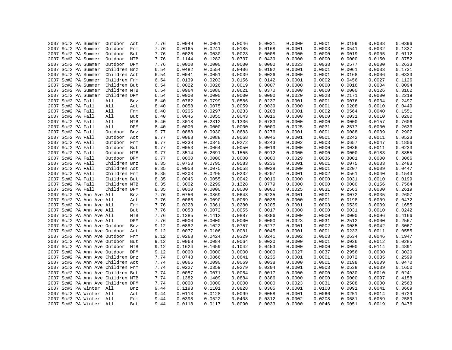|  | 2007 Sc#2 PA Summer               | Outdoor      | Act        | 7.76 | 0.0049 | 0.0061 | 0.0046 | 0.0031 | 0.0000 | 0.0001 | 0.0199 | 0.0008 | 0.0396 |
|--|-----------------------------------|--------------|------------|------|--------|--------|--------|--------|--------|--------|--------|--------|--------|
|  | 2007 Sc#2 PA Summer               | Outdoor      | Frm        | 7.76 | 0.0165 | 0.0241 | 0.0185 | 0.0168 | 0.0001 | 0.0003 | 0.0541 | 0.0032 | 0.1337 |
|  | 2007 Sc#2 PA Summer               | Outdoor      | But        | 7.76 | 0.0026 | 0.0030 | 0.0023 | 0.0008 | 0.0000 | 0.0000 | 0.0019 | 0.0005 | 0.0112 |
|  | 2007 Sc#2 PA Summer               | Outdoor      | MTB        | 7.76 | 0.1144 | 0.1282 | 0.0737 | 0.0439 | 0.0000 | 0.0000 | 0.0000 | 0.0150 | 0.3752 |
|  | 2007 Sc#2 PA Summer               | Outdoor DPM  |            | 7.76 | 0.0000 | 0.0000 | 0.0000 | 0.0000 | 0.0023 | 0.0033 | 0.2577 | 0.0000 | 0.2633 |
|  |                                   |              |            |      |        | 0.0554 |        |        | 0.0001 |        |        |        |        |
|  | 2007 Sc#2 PA Summer               | Children Bnz |            | 6.54 | 0.0482 |        | 0.0406 | 0.0192 |        | 0.0001 | 0.0061 | 0.0033 | 0.1731 |
|  | 2007 Sc#2 PA Summer               | Children Act |            | 6.54 | 0.0041 | 0.0051 | 0.0039 | 0.0026 | 0.0000 | 0.0001 | 0.0168 | 0.0006 | 0.0333 |
|  | 2007 Sc#2 PA Summer               | Children Frm |            | 6.54 | 0.0139 | 0.0203 | 0.0156 | 0.0142 | 0.0001 | 0.0002 | 0.0456 | 0.0027 | 0.1126 |
|  | 2007 Sc#2 PA Summer               | Children But |            | 6.54 | 0.0022 | 0.0026 | 0.0019 | 0.0007 | 0.0000 | 0.0000 | 0.0016 | 0.0004 | 0.0094 |
|  | 2007 Sc#2 PA Summer               | Children MTB |            | 6.54 | 0.0964 | 0.1080 | 0.0621 | 0.0370 | 0.0000 | 0.0000 | 0.0000 | 0.0126 | 0.3162 |
|  | 2007 Sc#2 PA Summer               | Children DPM |            | 6.54 | 0.0000 | 0.0000 | 0.0000 | 0.0000 | 0.0020 | 0.0028 | 0.2171 | 0.0000 | 0.2219 |
|  | 2007 Sc#2 PA Fall                 | All          | Bnz        | 8.40 | 0.0762 | 0.0799 | 0.0586 | 0.0237 | 0.0001 | 0.0001 | 0.0076 | 0.0034 | 0.2497 |
|  | 2007 Sc#2 PA Fall                 | All          | Act        | 8.40 | 0.0058 | 0.0075 | 0.0059 | 0.0039 | 0.0000 | 0.0001 | 0.0208 | 0.0010 | 0.0449 |
|  | 2007 Sc#2 PA Fall                 | All          | Frm        | 8.40 | 0.0205 | 0.0297 | 0.0233 | 0.0208 | 0.0001 | 0.0002 | 0.0564 | 0.0040 | 0.1551 |
|  | 2007 Sc#2 PA Fall                 | All          | But        | 8.40 | 0.0046 | 0.0055 | 0.0043 | 0.0016 | 0.0000 | 0.0000 | 0.0031 | 0.0010 | 0.0200 |
|  | 2007 Sc#2 PA Fall                 | All          | MTB        | 8.40 | 0.3018 | 0.2312 | 0.1336 | 0.0783 | 0.0000 | 0.0000 | 0.0000 | 0.0157 | 0.7606 |
|  | 2007 Sc#2 PA Fall                 | All          | DPM        | 8.40 | 0.0000 | 0.0000 | 0.0000 | 0.0000 | 0.0025 | 0.0031 | 0.2577 | 0.0000 | 0.2633 |
|  | 2007 Sc#2 PA Fall                 | Outdoor      | Bnz        | 9.77 | 0.0888 | 0.0930 | 0.0683 | 0.0276 | 0.0001 | 0.0001 | 0.0088 | 0.0039 | 0.2907 |
|  | 2007 Sc#2 PA Fall                 | Outdoor      | Act        | 9.77 | 0.0068 | 0.0088 | 0.0068 | 0.0045 | 0.0001 | 0.0001 | 0.0242 | 0.0011 | 0.0523 |
|  | 2007 Sc#2 PA Fall                 | Outdoor Frm  |            | 9.77 | 0.0238 | 0.0345 | 0.0272 | 0.0243 | 0.0002 | 0.0003 | 0.0657 | 0.0047 | 0.1806 |
|  | 2007 Sc#2 PA Fall                 | Outdoor      | But        | 9.77 | 0.0053 | 0.0064 | 0.0050 | 0.0019 | 0.0000 | 0.0000 | 0.0036 | 0.0011 | 0.0233 |
|  | 2007 Sc#2 PA Fall                 | Outdoor MTB  |            | 9.77 | 0.3514 | 0.2691 | 0.1555 | 0.0912 | 0.0000 | 0.0000 | 0.0000 | 0.0183 | 0.8855 |
|  | 2007 Sc#2 PA Fall                 | Outdoor DPM  |            | 9.77 | 0.0000 | 0.0000 | 0.0000 | 0.0000 | 0.0029 | 0.0036 | 0.3001 | 0.0000 | 0.3066 |
|  | 2007 Sc#2 PA Fall                 | Children Bnz |            | 8.35 | 0.0758 | 0.0795 | 0.0583 | 0.0236 | 0.0001 | 0.0001 | 0.0075 | 0.0033 | 0.2483 |
|  | 2007 Sc#2 PA Fall                 | Children Act |            | 8.35 | 0.0058 | 0.0075 | 0.0058 | 0.0038 | 0.0000 | 0.0001 | 0.0207 | 0.0009 | 0.0447 |
|  | 2007 Sc#2 PA Fall                 | Children Frm |            | 8.35 | 0.0203 | 0.0295 | 0.0232 | 0.0207 | 0.0001 | 0.0002 | 0.0561 | 0.0040 | 0.1543 |
|  | 2007 Sc#2 PA Fall                 | Children But |            | 8.35 | 0.0046 | 0.0055 | 0.0042 | 0.0016 | 0.0000 | 0.0000 | 0.0031 | 0.0010 | 0.0199 |
|  | 2007 Sc#2 PA Fall                 | Children MTB |            | 8.35 | 0.3002 | 0.2299 | 0.1328 | 0.0779 | 0.0000 | 0.0000 | 0.0000 | 0.0156 | 0.7564 |
|  | 2007 Sc#2 PA Fall                 | Children DPM |            | 8.35 | 0.0000 | 0.0000 | 0.0000 | 0.0000 | 0.0025 | 0.0031 | 0.2563 | 0.0000 | 0.2619 |
|  | 2007 Sc#2 PA Ann Ave All          |              | Bnz        | 7.76 | 0.0750 | 0.0869 | 0.0643 | 0.0235 | 0.0001 | 0.0001 | 0.0072 | 0.0035 | 0.2607 |
|  | 2007 Sc#2 PA Ann Ave All          |              | Act        | 7.76 | 0.0066 | 0.0090 | 0.0069 | 0.0038 | 0.0000 | 0.0001 | 0.0198 | 0.0009 | 0.0472 |
|  | 2007 Sc#2 PA Ann Ave All          |              | Frm        | 7.76 | 0.0228 | 0.0361 | 0.0280 | 0.0205 | 0.0001 | 0.0003 | 0.0539 | 0.0039 | 0.1655 |
|  | 2007 Sc#2 PA Ann Ave All          |              | But        | 7.76 | 0.0058 | 0.0072 | 0.0055 | 0.0017 | 0.0000 | 0.0000 | 0.0031 | 0.0010 | 0.0242 |
|  | 2007 Sc#2 PA Ann Ave All          |              | MTB        | 7.76 | 0.1385 | 0.1412 | 0.0887 | 0.0386 | 0.0000 | 0.0000 | 0.0000 | 0.0096 | 0.4166 |
|  | 2007 Sc#2 PA Ann Ave All          |              | DPM        | 7.76 | 0.0000 | 0.0000 | 0.0000 | 0.0000 | 0.0023 | 0.0031 | 0.2512 | 0.0000 | 0.2567 |
|  | 2007 Sc#2 PA Ann Ave Outdoor      |              | Bnz        | 9.12 | 0.0882 | 0.1022 | 0.0757 | 0.0277 | 0.0001 | 0.0002 | 0.0085 | 0.0042 | 0.3067 |
|  | 2007 Sc#2 PA Ann Ave Outdoor Act  |              |            | 9.12 | 0.0077 | 0.0106 | 0.0081 | 0.0045 | 0.0001 | 0.0001 | 0.0233 | 0.0011 | 0.0555 |
|  | 2007 Sc#2 PA Ann Ave Outdoor      |              | Frm        | 9.12 | 0.0268 | 0.0424 | 0.0329 | 0.0241 | 0.0002 | 0.0003 | 0.0634 | 0.0046 | 0.1947 |
|  | 2007 Sc#2 PA Ann Ave Outdoor      |              | But        | 9.12 | 0.0068 | 0.0084 | 0.0064 | 0.0020 | 0.0000 | 0.0001 | 0.0036 | 0.0012 | 0.0285 |
|  | 2007 Sc#2 PA Ann Ave Outdoor      |              | MTB        | 9.12 | 0.1624 | 0.1659 | 0.1042 | 0.0453 | 0.0000 | 0.0000 | 0.0000 | 0.0114 | 0.4891 |
|  | 2007 Sc#2 PA Ann Ave Outdoor DPM  |              |            | 9.12 | 0.0000 | 0.0000 | 0.0000 | 0.0000 | 0.0027 | 0.0037 | 0.2956 | 0.0000 | 0.3020 |
|  | 2007 Sc#2 PA Ann Ave Children Bnz |              |            | 7.74 | 0.0748 | 0.0866 | 0.0641 | 0.0235 | 0.0001 | 0.0001 | 0.0072 | 0.0035 | 0.2599 |
|  | 2007 Sc#2 PA Ann Ave Children Act |              |            | 7.74 | 0.0066 | 0.0090 | 0.0069 | 0.0038 | 0.0000 | 0.0001 | 0.0198 | 0.0009 | 0.0470 |
|  | 2007 Sc#2 PA Ann Ave Children Frm |              |            | 7.74 | 0.0227 | 0.0359 | 0.0279 | 0.0204 | 0.0001 | 0.0003 | 0.0538 | 0.0039 | 0.1650 |
|  | 2007 Sc#2 PA Ann Ave Children But |              |            | 7.74 | 0.0057 | 0.0071 | 0.0054 | 0.0017 | 0.0000 | 0.0000 | 0.0030 | 0.0010 | 0.0241 |
|  | 2007 Sc#2 PA Ann Ave Children MTB |              |            | 7.74 | 0.1382 | 0.1409 | 0.0884 | 0.0386 | 0.0000 | 0.0000 | 0.0000 | 0.0097 | 0.4158 |
|  |                                   |              |            | 7.74 | 0.0000 | 0.0000 | 0.0000 | 0.0000 | 0.0023 | 0.0031 | 0.2508 | 0.0000 | 0.2563 |
|  | 2007 Sc#2 PA Ann Ave Children DPM |              |            |      |        |        |        |        |        |        |        |        |        |
|  | 2007 Sc#3 PA Winter All           |              | Bnz        | 9.44 | 0.1193 | 0.1101 | 0.0828 | 0.0305 | 0.0001 | 0.0108 | 0.0091 | 0.0041 | 0.3669 |
|  | 2007 Sc#3 PA Winter All           |              | Act        | 9.44 | 0.0113 | 0.0128 | 0.0099 | 0.0058 | 0.0001 | 0.0066 | 0.0251 | 0.0014 | 0.0729 |
|  | 2007 Sc#3 PA Winter All           |              | Frm        | 9.44 | 0.0398 | 0.0522 | 0.0408 | 0.0312 | 0.0002 | 0.0208 | 0.0681 | 0.0059 | 0.2589 |
|  | 2007 Sc#3 PA Winter All           |              | <b>But</b> | 9.44 | 0.0118 | 0.0117 | 0.0090 | 0.0033 | 0.0000 | 0.0046 | 0.0051 | 0.0019 | 0.0476 |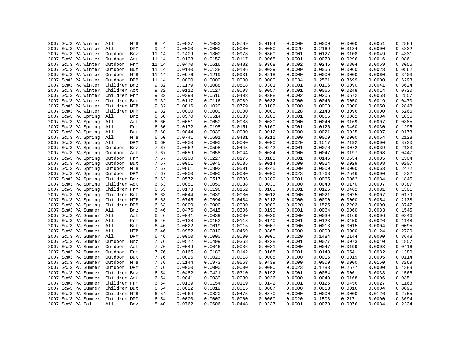| 2007 Sc#3 PA Winter |                          | 9.44  | 0.0827 | 0.1033 | 0.0789 | 0.0184 | 0.0000 | 0.0000 | 0.0000 | 0.0051 | 0.2884 |
|---------------------|--------------------------|-------|--------|--------|--------|--------|--------|--------|--------|--------|--------|
| 2007 Sc#3 PA Winter | All<br>MTB<br>All<br>DPM | 9.44  | 0.0000 | 0.0000 | 0.0000 | 0.0000 | 0.0029 | 0.2169 | 0.3134 | 0.0000 | 0.5332 |
|                     |                          |       |        |        |        |        |        |        |        |        |        |
| 2007 Sc#3 PA Winter | Outdoor<br>Bnz           | 11.14 | 0.1409 | 0.1300 | 0.0978 | 0.0360 | 0.0001 | 0.0127 | 0.0108 | 0.0049 | 0.4331 |
| 2007 Sc#3 PA Winter | Outdoor<br>Act           | 11.14 | 0.0133 | 0.0152 | 0.0117 | 0.0068 | 0.0001 | 0.0078 | 0.0296 | 0.0016 | 0.0861 |
| 2007 Sc#3 PA Winter | Outdoor Frm              | 11.14 | 0.0470 | 0.0616 | 0.0482 | 0.0368 | 0.0002 | 0.0245 | 0.0804 | 0.0069 | 0.3056 |
| 2007 Sc#3 PA Winter | Outdoor<br>But           | 11.14 | 0.0140 | 0.0138 | 0.0106 | 0.0039 | 0.0000 | 0.0055 | 0.0060 | 0.0023 | 0.0562 |
| 2007 Sc#3 PA Winter | Outdoor MTB              | 11.14 | 0.0976 | 0.1219 | 0.0931 | 0.0218 | 0.0000 | 0.0000 | 0.0000 | 0.0060 | 0.3403 |
| 2007 Sc#3 PA Winter | Outdoor DPM              | 11.14 | 0.0000 | 0.0000 | 0.0000 | 0.0000 | 0.0034 | 0.2561 | 0.3699 | 0.0000 | 0.6293 |
| 2007 Sc#3 PA Winter | Children Bnz             | 9.32  | 0.1179 | 0.1088 | 0.0818 | 0.0301 | 0.0001 | 0.0106 | 0.0090 | 0.0041 | 0.3624 |
| 2007 Sc#3 PA Winter | Children Act             | 9.32  | 0.0112 | 0.0127 | 0.0098 | 0.0057 | 0.0001 | 0.0065 | 0.0248 | 0.0014 | 0.0720 |
| 2007 Sc#3 PA Winter | Children Frm             | 9.32  | 0.0393 | 0.0516 | 0.0403 | 0.0308 | 0.0002 | 0.0205 | 0.0672 | 0.0058 | 0.2557 |
| 2007 Sc#3 PA Winter | Children But             | 9.32  | 0.0117 | 0.0116 | 0.0089 | 0.0032 | 0.0000 | 0.0046 | 0.0050 | 0.0019 | 0.0470 |
| 2007 Sc#3 PA Winter | Children MTB             | 9.32  | 0.0816 | 0.1020 | 0.0779 | 0.0182 | 0.0000 | 0.0000 | 0.0000 | 0.0050 | 0.2848 |
| 2007 Sc#3 PA Winter | Children DPM             | 9.32  | 0.0000 | 0.0000 | 0.0000 | 0.0000 | 0.0028 | 0.2143 | 0.3096 | 0.0000 | 0.5266 |
| 2007 Sc#3 PA Spring | All<br>Bnz               | 6.60  | 0.0570 | 0.0514 | 0.0383 | 0.0208 | 0.0001 | 0.0065 | 0.0062 | 0.0034 | 0.1836 |
| 2007 Sc#3 PA Spring | All<br>Act               | 6.60  | 0.0051 | 0.0050 | 0.0038 | 0.0030 | 0.0000 | 0.0040 | 0.0169 | 0.0007 | 0.0385 |
| 2007 Sc#3 PA Spring | All<br>Frm               | 6.60  | 0.0172 | 0.0195 | 0.0151 | 0.0160 | 0.0001 | 0.0126 | 0.0460 | 0.0030 | 0.1295 |
| 2007 Sc#3 PA Spring | All<br>But               | 6.60  | 0.0044 | 0.0039 | 0.0030 | 0.0012 | 0.0000 | 0.0021 | 0.0025 | 0.0007 | 0.0178 |
| 2007 Sc#3 PA Spring | All<br>MTB               | 6.60  | 0.0741 | 0.0691 | 0.0431 | 0.0211 | 0.0000 | 0.0000 | 0.0000 | 0.0054 | 0.2128 |
| 2007 Sc#3 PA Spring | All<br>DPM               | 6.60  | 0.0000 | 0.0000 | 0.0000 | 0.0000 | 0.0020 | 0.1517 | 0.2192 | 0.0000 | 0.3730 |
| 2007 Sc#3 PA Spring | Outdoor<br>Bnz           | 7.67  | 0.0662 | 0.0598 | 0.0445 | 0.0242 | 0.0001 | 0.0076 | 0.0072 | 0.0039 | 0.2133 |
| 2007 Sc#3 PA Spring | Outdoor<br>Act           | 7.67  | 0.0059 | 0.0058 | 0.0044 | 0.0034 | 0.0000 | 0.0047 | 0.0197 | 0.0008 | 0.0447 |
| 2007 Sc#3 PA Spring | Outdoor<br>Frm           | 7.67  | 0.0200 | 0.0227 | 0.0175 | 0.0185 | 0.0001 | 0.0146 | 0.0534 | 0.0035 | 0.1504 |
| 2007 Sc#3 PA Spring | Outdoor<br>But           | 7.67  | 0.0051 | 0.0045 | 0.0035 | 0.0014 | 0.0000 | 0.0024 | 0.0029 | 0.0008 | 0.0207 |
| 2007 Sc#3 PA Spring | Outdoor<br>MTB           | 7.67  | 0.0861 | 0.0802 | 0.0501 | 0.0245 | 0.0000 | 0.0000 | 0.0000 | 0.0063 | 0.2472 |
| 2007 Sc#3 PA Spring | Outdoor DPM              | 7.67  | 0.0000 | 0.0000 | 0.0000 | 0.0000 | 0.0023 | 0.1763 | 0.2546 | 0.0000 | 0.4332 |
| 2007 Sc#3 PA Spring | Children Bnz             | 6.63  | 0.0572 | 0.0517 | 0.0385 | 0.0209 | 0.0001 | 0.0065 | 0.0062 | 0.0034 | 0.1845 |
| 2007 Sc#3 PA Spring | Children Act             | 6.63  | 0.0051 | 0.0050 | 0.0038 | 0.0030 | 0.0000 | 0.0040 | 0.0170 | 0.0007 | 0.0387 |
| 2007 Sc#3 PA Spring | Children Frm             | 6.63  | 0.0173 | 0.0196 | 0.0152 | 0.0160 | 0.0001 | 0.0126 | 0.0462 | 0.0031 | 0.1301 |
| 2007 Sc#3 PA Spring | Children But             | 6.63  | 0.0044 | 0.0039 | 0.0030 | 0.0012 | 0.0000 | 0.0021 | 0.0025 | 0.0007 | 0.0179 |
| 2007 Sc#3 PA Spring | Children MTB             | 6.63  | 0.0745 | 0.0694 | 0.0434 | 0.0212 | 0.0000 | 0.0000 | 0.0000 | 0.0054 | 0.2138 |
| 2007 Sc#3 PA Spring | Children DPM             | 6.63  | 0.0000 | 0.0000 | 0.0000 | 0.0000 | 0.0020 | 0.1525 | 0.2203 | 0.0000 | 0.3747 |
| 2007 Sc#3 PA Summer | All<br>Bnz               | 6.46  | 0.0476 | 0.0415 | 0.0306 | 0.0190 | 0.0001 | 0.0064 | 0.0060 | 0.0033 | 0.1545 |
| 2007 Sc#3 PA Summer | All<br>Act               | 6.46  | 0.0041 | 0.0039 | 0.0030 | 0.0026 | 0.0000 | 0.0039 | 0.0166 | 0.0006 | 0.0346 |
| 2007 Sc#3 PA Summer | All<br>Frm               | 6.46  | 0.0138 | 0.0152 | 0.0118 | 0.0140 | 0.0001 | 0.0123 | 0.0450 | 0.0026 | 0.1148 |
| 2007 Sc#3 PA Summer | All<br>But               | 6.46  | 0.0022 | 0.0019 | 0.0015 | 0.0007 | 0.0000 | 0.0013 | 0.0015 | 0.0004 | 0.0095 |
| 2007 Sc#3 PA Summer | All<br>MTB               | 6.46  | 0.0952 | 0.0810 | 0.0469 | 0.0365 | 0.0000 | 0.0000 | 0.0000 | 0.0124 | 0.2720 |
| 2007 Sc#3 PA Summer | All<br>DPM               | 6.46  | 0.0000 | 0.0000 | 0.0000 | 0.0000 | 0.0020 | 0.1484 | 0.2144 | 0.0000 | 0.3648 |
| 2007 Sc#3 PA Summer | Outdoor<br>Bnz           | 7.76  | 0.0572 | 0.0499 | 0.0368 | 0.0228 | 0.0001 | 0.0077 | 0.0073 | 0.0040 | 0.1857 |
| 2007 Sc#3 PA Summer | Outdoor<br>Act           | 7.76  | 0.0049 | 0.0046 | 0.0036 | 0.0031 | 0.0000 | 0.0047 | 0.0199 | 0.0008 | 0.0416 |
| 2007 Sc#3 PA Summer | Outdoor Frm              | 7.76  | 0.0165 | 0.0183 | 0.0142 | 0.0168 | 0.0001 | 0.0148 | 0.0541 | 0.0032 | 0.1380 |
| 2007 Sc#3 PA Summer | Outdoor<br>But           | 7.76  | 0.0026 | 0.0023 | 0.0018 | 0.0008 | 0.0000 | 0.0015 | 0.0019 | 0.0005 | 0.0114 |
| 2007 Sc#3 PA Summer | Outdoor MTB              | 7.76  | 0.1144 | 0.0973 | 0.0563 | 0.0439 | 0.0000 | 0.0000 | 0.0000 | 0.0150 | 0.3269 |
| 2007 Sc#3 PA Summer | Outdoor DPM              | 7.76  | 0.0000 | 0.0000 | 0.0000 | 0.0000 | 0.0023 | 0.1783 | 0.2577 | 0.0000 | 0.4383 |
| 2007 Sc#3 PA Summer | Children Bnz             | 6.54  | 0.0482 | 0.0421 | 0.0310 | 0.0192 | 0.0001 | 0.0064 | 0.0061 | 0.0033 | 0.1565 |
| 2007 Sc#3 PA Summer | Children Act             | 6.54  | 0.0041 | 0.0039 | 0.0030 | 0.0026 | 0.0000 | 0.0040 | 0.0168 | 0.0006 | 0.0351 |
| 2007 Sc#3 PA Summer | Children Frm             | 6.54  | 0.0139 | 0.0154 | 0.0119 | 0.0142 | 0.0001 | 0.0125 | 0.0456 | 0.0027 | 0.1163 |
| 2007 Sc#3 PA Summer | Children But             | 6.54  | 0.0022 | 0.0019 | 0.0015 | 0.0007 | 0.0000 | 0.0013 | 0.0016 | 0.0004 | 0.0096 |
| 2007 Sc#3 PA Summer | Children MTB             | 6.54  | 0.0964 | 0.0820 | 0.0475 | 0.0370 | 0.0000 | 0.0000 | 0.0000 | 0.0126 | 0.2755 |
| 2007 Sc#3 PA Summer | Children DPM             | 6.54  | 0.0000 | 0.0000 | 0.0000 | 0.0000 | 0.0020 | 0.1503 | 0.2171 | 0.0000 | 0.3694 |
| 2007 Sc#3 PA Fall   | All<br>Bnz               | 8.40  | 0.0762 | 0.0606 | 0.0448 | 0.0237 | 0.0001 | 0.0070 | 0.0076 | 0.0034 | 0.2234 |
|                     |                          |       |        |        |        |        |        |        |        |        |        |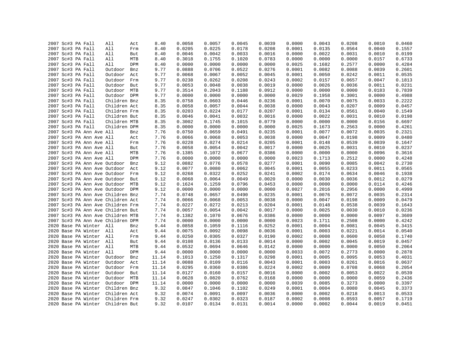|  | 2007 Sc#3 PA Fall                 | All          | Act | 8.40         | 0.0058           | 0.0057 | 0.0045 | 0.0039 | 0.0000           | 0.0043 | 0.0208 | 0.0010 | 0.0460 |
|--|-----------------------------------|--------------|-----|--------------|------------------|--------|--------|--------|------------------|--------|--------|--------|--------|
|  | 2007 Sc#3 PA Fall                 | All          | Frm | 8.40         | 0.0205           | 0.0225 | 0.0178 | 0.0208 | 0.0001           | 0.0135 | 0.0564 | 0.0040 | 0.1557 |
|  | 2007 Sc#3 PA Fall                 | All          | But | 8.40         | 0.0046           | 0.0042 | 0.0033 | 0.0016 | 0.0000           | 0.0022 | 0.0031 | 0.0010 | 0.0199 |
|  | 2007 Sc#3 PA Fall                 | All          | MTB | 8.40         | 0.3018           | 0.1755 | 0.1020 | 0.0783 | 0.0000           | 0.0000 | 0.0000 | 0.0157 | 0.6733 |
|  | 2007 Sc#3 PA Fall                 | All          | DPM | 8.40         | 0.0000           | 0.0000 | 0.0000 | 0.0000 | 0.0025           | 0.1682 | 0.2577 | 0.0000 | 0.4284 |
|  | 2007 Sc#3 PA Fall                 | Outdoor      | Bnz | 9.77         | 0.0888           | 0.0706 | 0.0522 | 0.0276 | 0.0001           | 0.0082 | 0.0088 | 0.0039 | 0.2601 |
|  | 2007 Sc#3 PA Fall                 | Outdoor      | Act | 9.77         | 0.0068           | 0.0067 | 0.0052 | 0.0045 | 0.0001           | 0.0050 | 0.0242 | 0.0011 | 0.0535 |
|  | 2007 Sc#3 PA Fall                 | Outdoor      | Frm | 9.77         | 0.0238           | 0.0262 | 0.0208 | 0.0243 | 0.0002           | 0.0157 | 0.0657 | 0.0047 | 0.1813 |
|  | 2007 Sc#3 PA Fall                 | Outdoor But  |     | 9.77         | 0.0053           | 0.0048 | 0.0038 | 0.0019 | 0.0000           | 0.0026 | 0.0036 | 0.0011 | 0.0231 |
|  | 2007 Sc#3 PA Fall                 | Outdoor MTB  |     | 9.77         | 0.3514           | 0.2043 | 0.1188 | 0.0912 | 0.0000           | 0.0000 | 0.0000 | 0.0183 | 0.7839 |
|  | 2007 Sc#3 PA Fall                 | Outdoor DPM  |     | 9.77         | 0.0000           | 0.0000 | 0.0000 | 0.0000 | 0.0029           | 0.1958 | 0.3001 | 0.0000 | 0.4988 |
|  | 2007 Sc#3 PA Fall                 | Children Bnz |     | 8.35         | 0.0758           | 0.0603 | 0.0446 | 0.0236 | 0.0001           | 0.0070 | 0.0075 | 0.0033 | 0.2222 |
|  | 2007 Sc#3 PA Fall                 | Children Act |     | 8.35         | 0.0058           | 0.0057 | 0.0044 | 0.0038 | 0.0000           | 0.0043 | 0.0207 | 0.0009 | 0.0457 |
|  | 2007 Sc#3 PA Fall                 | Children Frm |     | 8.35         | 0.0203           | 0.0224 | 0.0177 | 0.0207 | 0.0001           | 0.0134 | 0.0561 | 0.0040 | 0.1549 |
|  | 2007 Sc#3 PA Fall                 | Children But |     | 8.35         | 0.0046           | 0.0041 | 0.0032 | 0.0016 | 0.0000           | 0.0022 | 0.0031 | 0.0010 | 0.0198 |
|  | 2007 Sc#3 PA Fall                 | Children MTB |     | 8.35         | 0.3002           | 0.1745 | 0.1015 | 0.0779 | 0.0000           | 0.0000 | 0.0000 | 0.0156 | 0.6697 |
|  | 2007 Sc#3 PA Fall                 | Children DPM |     | 8.35         | 0.0000           | 0.0000 | 0.0000 | 0.0000 | 0.0025           | 0.1673 | 0.2563 | 0.0000 | 0.4261 |
|  | 2007 Sc#3 PA Ann Ave All          |              | Bnz | 7.76         | 0.0750           | 0.0659 | 0.0491 | 0.0235 | 0.0001           | 0.0077 | 0.0072 | 0.0035 | 0.2321 |
|  | 2007 Sc#3 PA Ann Ave All          |              | Act | 7.76         | 0.0066           | 0.0068 | 0.0053 | 0.0038 | 0.0000           | 0.0047 | 0.0198 | 0.0009 | 0.0480 |
|  | 2007 Sc#3 PA Ann Ave All          |              | Frm | 7.76         | 0.0228           | 0.0274 | 0.0214 | 0.0205 | 0.0001           | 0.0148 | 0.0539 | 0.0039 | 0.1647 |
|  | 2007 Sc#3 PA Ann Ave All          |              | But | 7.76         | 0.0058           | 0.0054 | 0.0042 | 0.0017 | 0.0000           | 0.0025 | 0.0031 | 0.0010 | 0.0237 |
|  | 2007 Sc#3 PA Ann Ave All          |              | MTB | 7.76         | 0.1385           | 0.1072 | 0.0677 | 0.0386 | 0.0000           | 0.0000 | 0.0000 | 0.0096 | 0.3616 |
|  | 2007 Sc#3 PA Ann Ave All          |              | DPM | 7.76         | 0.0000           | 0.0000 | 0.0000 | 0.0000 | 0.0023           | 0.1713 | 0.2512 | 0.0000 | 0.4248 |
|  | 2007 Sc#3 PA Ann Ave Outdoor      |              | Bnz | 9.12         | 0.0882           | 0.0776 | 0.0578 | 0.0277 | 0.0001           | 0.0090 | 0.0085 | 0.0042 | 0.2730 |
|  |                                   |              |     |              |                  | 0.0080 | 0.0062 | 0.0045 |                  | 0.0055 | 0.0233 | 0.0011 | 0.0565 |
|  | 2007 Sc#3 PA Ann Ave Outdoor      |              | Act | 9.12<br>9.12 | 0.0077<br>0.0268 | 0.0322 | 0.0252 | 0.0241 | 0.0001<br>0.0002 | 0.0174 | 0.0634 | 0.0046 |        |
|  | 2007 Sc#3 PA Ann Ave Outdoor Frm  |              |     |              |                  |        |        |        |                  |        |        |        | 0.1938 |
|  | 2007 Sc#3 PA Ann Ave Outdoor      |              | But | 9.12         | 0.0068           | 0.0064 | 0.0049 | 0.0020 | 0.0000           | 0.0030 | 0.0036 | 0.0012 | 0.0279 |
|  | 2007 Sc#3 PA Ann Ave Outdoor MTB  |              |     | 9.12         | 0.1624           | 0.1259 | 0.0796 | 0.0453 | 0.0000           | 0.0000 | 0.0000 | 0.0114 | 0.4246 |
|  | 2007 Sc#3 PA Ann Ave Outdoor DPM  |              |     | 9.12         | 0.0000           | 0.0000 | 0.0000 | 0.0000 | 0.0027           | 0.2016 | 0.2956 | 0.0000 | 0.4999 |
|  | 2007 Sc#3 PA Ann Ave Children Bnz |              |     | 7.74         | 0.0748           | 0.0657 | 0.0490 | 0.0235 | 0.0001           | 0.0076 | 0.0072 | 0.0035 | 0.2314 |
|  | 2007 Sc#3 PA Ann Ave Children Act |              |     | 7.74         | 0.0066           | 0.0068 | 0.0053 | 0.0038 | 0.0000           | 0.0047 | 0.0198 | 0.0009 | 0.0479 |
|  | 2007 Sc#3 PA Ann Ave Children Frm |              |     | 7.74         | 0.0227           | 0.0272 | 0.0213 | 0.0204 | 0.0001           | 0.0148 | 0.0538 | 0.0039 | 0.1643 |
|  | 2007 Sc#3 PA Ann Ave Children But |              |     | 7.74         | 0.0057           | 0.0054 | 0.0042 | 0.0017 | 0.0000           | 0.0025 | 0.0030 | 0.0010 | 0.0236 |
|  | 2007 Sc#3 PA Ann Ave Children MTB |              |     | 7.74         | 0.1382           | 0.1070 | 0.0676 | 0.0386 | 0.0000           | 0.0000 | 0.0000 | 0.0097 | 0.3609 |
|  | 2007 Sc#3 PA Ann Ave Children DPM |              |     | 7.74         | 0.0000           | 0.0000 | 0.0000 | 0.0000 | 0.0023           | 0.1711 | 0.2508 | 0.0000 | 0.4242 |
|  | 2020 Base PA Winter All           |              | Bnz | 9.44         | 0.0858           | 0.1059 | 0.1116 | 0.0252 | 0.0001           | 0.0004 | 0.0081 | 0.0045 | 0.3415 |
|  | 2020 Base PA Winter All           |              | Act | 9.44         | 0.0075           | 0.0092 | 0.0098 | 0.0036 | 0.0001           | 0.0003 | 0.0221 | 0.0014 | 0.0540 |
|  | 2020 Base PA Winter All           |              | Frm | 9.44         | 0.0250           | 0.0305 | 0.0327 | 0.0190 | 0.0002           | 0.0008 | 0.0600 | 0.0058 | 0.1740 |
|  | 2020 Base PA Winter All           |              | But | 9.44         | 0.0108           | 0.0136 | 0.0133 | 0.0014 | 0.0000           | 0.0002 | 0.0045 | 0.0019 | 0.0457 |
|  | 2020 Base PA Winter All           |              | MTB | 9.44         | 0.0532           | 0.0694 | 0.0646 | 0.0142 | 0.0000           | 0.0000 | 0.0000 | 0.0050 | 0.2064 |
|  | 2020 Base PA Winter All           |              | DPM | 9.44         | 0.0000           | 0.0000 | 0.0000 | 0.0000 | 0.0033           | 0.0072 | 0.2773 | 0.0000 | 0.2878 |
|  | 2020 Base PA Winter               | Outdoor      | Bnz | 11.14        | 0.1013           | 0.1250 | 0.1317 | 0.0298 | 0.0001           | 0.0005 | 0.0095 | 0.0053 | 0.4031 |
|  | 2020 Base PA Winter               | Outdoor      | Act | 11.14        | 0.0088           | 0.0109 | 0.0116 | 0.0043 | 0.0001           | 0.0003 | 0.0261 | 0.0016 | 0.0637 |
|  | 2020 Base PA Winter               | Outdoor Frm  |     | 11.14        | 0.0295           | 0.0360 | 0.0386 | 0.0224 | 0.0002           | 0.0009 | 0.0708 | 0.0068 | 0.2054 |
|  | 2020 Base PA Winter               | Outdoor But  |     | 11.14        | 0.0127           | 0.0160 | 0.0157 | 0.0016 | 0.0000           | 0.0002 | 0.0053 | 0.0022 | 0.0539 |
|  | 2020 Base PA Winter               | Outdoor MTB  |     | 11.14        | 0.0628           | 0.0820 | 0.0762 | 0.0168 | 0.0000           | 0.0000 | 0.0000 | 0.0059 | 0.2436 |
|  | 2020 Base PA Winter               | Outdoor DPM  |     | 11.14        | 0.0000           | 0.0000 | 0.0000 | 0.0000 | 0.0039           | 0.0085 | 0.3273 | 0.0000 | 0.3397 |
|  | 2020 Base PA Winter               | Children Bnz |     | 9.32         | 0.0847           | 0.1046 | 0.1102 | 0.0249 | 0.0001           | 0.0004 | 0.0080 | 0.0045 | 0.3373 |
|  | 2020 Base PA Winter               | Children Act |     | 9.32         | 0.0074           | 0.0091 | 0.0097 | 0.0036 | 0.0000           | 0.0002 | 0.0218 | 0.0013 | 0.0533 |
|  | 2020 Base PA Winter               | Children Frm |     | 9.32         | 0.0247           | 0.0302 | 0.0323 | 0.0187 | 0.0002           | 0.0008 | 0.0593 | 0.0057 | 0.1719 |
|  | 2020 Base PA Winter               | Children But |     | 9.32         | 0.0107           | 0.0134 | 0.0131 | 0.0014 | 0.0000           | 0.0002 | 0.0044 | 0.0019 | 0.0451 |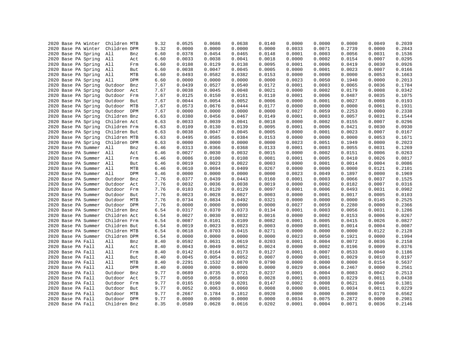| 2020 Base PA Winter | Children MTB |            | 9.32 | 0.0525 | 0.0686 | 0.0638           | 0.0140 | 0.0000 | 0.0000 | 0.0000 | 0.0049           | 0.2039           |
|---------------------|--------------|------------|------|--------|--------|------------------|--------|--------|--------|--------|------------------|------------------|
| 2020 Base PA Winter | Children DPM |            | 9.32 | 0.0000 | 0.0000 | 0.0000           | 0.0000 | 0.0033 | 0.0071 | 0.2739 | 0.0000           | 0.2843           |
| 2020 Base PA Spring | All          | Bnz        | 6.60 | 0.0378 | 0.0454 | 0.0465           | 0.0148 | 0.0001 | 0.0003 | 0.0056 | 0.0031           | 0.1536           |
| 2020 Base PA Spring | All          | Act        | 6.60 | 0.0033 | 0.0038 | 0.0041           | 0.0018 | 0.0000 | 0.0002 | 0.0154 | 0.0007           | 0.0295           |
| 2020 Base PA Spring | All          | Frm        | 6.60 | 0.0108 | 0.0129 | 0.0138           | 0.0095 | 0.0001 | 0.0006 | 0.0419 | 0.0030           | 0.0926           |
| 2020 Base PA Spring | All          | But        | 6.60 | 0.0038 | 0.0047 | 0.0045           | 0.0005 | 0.0000 | 0.0001 | 0.0023 | 0.0007           | 0.0166           |
| 2020 Base PA Spring | All          | MTB        | 6.60 | 0.0493 | 0.0582 | 0.0382           | 0.0153 | 0.0000 | 0.0000 | 0.0000 | 0.0053           | 0.1663           |
| 2020 Base PA Spring | All          | DPM        | 6.60 | 0.0000 | 0.0000 | 0.0000           | 0.0000 | 0.0023 | 0.0050 | 0.1940 | 0.0000           | 0.2013           |
| 2020 Base PA Spring | Outdoor      | Bnz        | 7.67 | 0.0439 | 0.0527 | 0.0540           | 0.0172 | 0.0001 | 0.0003 | 0.0065 | 0.0036           | 0.1784           |
| 2020 Base PA Spring | Outdoor      | Act        | 7.67 | 0.0038 | 0.0045 | 0.0048           | 0.0021 | 0.0000 | 0.0002 | 0.0179 | 0.0008           | 0.0342           |
| 2020 Base PA Spring | Outdoor      | Frm        | 7.67 | 0.0125 | 0.0150 | 0.0161           | 0.0110 | 0.0001 | 0.0006 | 0.0487 | 0.0035           | 0.1075           |
| 2020 Base PA Spring | Outdoor      | But        | 7.67 | 0.0044 | 0.0054 | 0.0052           | 0.0006 | 0.0000 | 0.0001 | 0.0027 | 0.0008           | 0.0193           |
| 2020 Base PA Spring | Outdoor      | MTB        | 7.67 | 0.0573 | 0.0676 | 0.0444           | 0.0177 | 0.0000 | 0.0000 | 0.0000 | 0.0061           | 0.1931           |
| 2020 Base PA Spring | Outdoor      | <b>DPM</b> | 7.67 | 0.0000 | 0.0000 | 0.0000           | 0.0000 | 0.0027 | 0.0059 | 0.2253 | 0.0000           | 0.2338           |
| 2020 Base PA Spring | Children Bnz |            | 6.63 | 0.0380 | 0.0456 | 0.0467           | 0.0149 | 0.0001 | 0.0003 | 0.0057 | 0.0031           | 0.1544           |
| 2020 Base PA Spring | Children Act |            | 6.63 | 0.0033 | 0.0039 | 0.0041           | 0.0018 | 0.0000 | 0.0002 | 0.0155 | 0.0007           | 0.0296           |
| 2020 Base PA Spring | Children Frm |            | 6.63 | 0.0109 | 0.0130 | 0.0139           | 0.0095 | 0.0001 | 0.0006 | 0.0421 | 0.0030           | 0.0930           |
| 2020 Base PA Spring | Children But |            | 6.63 | 0.0038 | 0.0047 | 0.0045           | 0.0005 | 0.0000 | 0.0001 | 0.0023 | 0.0007           | 0.0167           |
| 2020 Base PA Spring | Children MTB |            | 6.63 | 0.0495 | 0.0585 | 0.0384           | 0.0153 | 0.0000 | 0.0000 | 0.0000 | 0.0053           | 0.1671           |
| 2020 Base PA Spring | Children DPM |            | 6.63 | 0.0000 | 0.0000 | 0.0000           | 0.0000 | 0.0023 | 0.0051 | 0.1949 | 0.0000           | 0.2023           |
| 2020 Base PA Summer | All          | Bnz        | 6.46 | 0.0313 | 0.0366 | 0.0368           | 0.0133 | 0.0001 | 0.0003 | 0.0055 | 0.0031           | 0.1269           |
| 2020 Base PA Summer | All          | Act        | 6.46 | 0.0027 | 0.0030 | 0.0032           | 0.0015 | 0.0000 | 0.0002 | 0.0151 | 0.0006           | 0.0263           |
| 2020 Base PA Summer | All          | Frm        | 6.46 | 0.0086 | 0.0100 | 0.0108           | 0.0081 | 0.0001 | 0.0005 | 0.0410 | 0.0026           | 0.0817           |
| 2020 Base PA Summer | All          | But        | 6.46 | 0.0019 | 0.0023 | 0.0022           | 0.0003 | 0.0000 | 0.0001 | 0.0014 | 0.0004           | 0.0086           |
| 2020 Base PA Summer | All          | MTB        | 6.46 | 0.0610 | 0.0694 | 0.0409           | 0.0267 | 0.0000 | 0.0000 | 0.0000 | 0.0121           | 0.2101           |
| 2020 Base PA Summer | All          | DPM        | 6.46 | 0.0000 | 0.0000 | 0.0000           | 0.0000 | 0.0023 | 0.0049 | 0.1897 | 0.0000           | 0.1969           |
| 2020 Base PA Summer | Outdoor      | Bnz        | 7.76 | 0.0377 | 0.0439 | 0.0443           | 0.0160 | 0.0001 | 0.0003 | 0.0066 | 0.0037           | 0.1525           |
| 2020 Base PA Summer | Outdoor      | Act        | 7.76 | 0.0032 | 0.0036 | 0.0038           | 0.0019 | 0.0000 | 0.0002 | 0.0182 | 0.0007           | 0.0316           |
| 2020 Base PA Summer | Outdoor      | Frm        | 7.76 | 0.0103 | 0.0120 | 0.0129           | 0.0097 | 0.0001 | 0.0006 | 0.0493 | 0.0031           | 0.0982           |
| 2020 Base PA Summer | Outdoor      | But        | 7.76 | 0.0023 | 0.0028 | 0.0027           | 0.0003 | 0.0000 | 0.0001 | 0.0017 | 0.0005           | 0.0103           |
| 2020 Base PA Summer | Outdoor      | MTB        | 7.76 | 0.0734 | 0.0834 | 0.0492           | 0.0321 | 0.0000 | 0.0000 | 0.0000 | 0.0145           | 0.2525           |
| 2020 Base PA Summer | Outdoor      | DPM        |      |        | 0.0000 |                  |        | 0.0027 | 0.0059 |        |                  |                  |
|                     | Children Bnz |            | 7.76 | 0.0000 |        | 0.0000<br>0.0373 | 0.0000 |        | 0.0003 | 0.2280 | 0.0000<br>0.0031 | 0.2366<br>0.1286 |
| 2020 Base PA Summer |              |            | 6.54 | 0.0317 | 0.0370 |                  | 0.0134 | 0.0001 |        | 0.0056 |                  |                  |
| 2020 Base PA Summer | Children Act |            | 6.54 | 0.0027 | 0.0030 | 0.0032           | 0.0016 | 0.0000 | 0.0002 | 0.0153 | 0.0006           | 0.0267           |
| 2020 Base PA Summer | Children Frm |            | 6.54 | 0.0087 | 0.0101 | 0.0109           | 0.0082 | 0.0001 | 0.0005 | 0.0415 | 0.0026           | 0.0827           |
| 2020 Base PA Summer | Children But |            | 6.54 | 0.0019 | 0.0023 | 0.0023           | 0.0003 | 0.0000 | 0.0001 | 0.0014 | 0.0004           | 0.0087           |
| 2020 Base PA Summer | Children MTB |            | 6.54 | 0.0618 | 0.0703 | 0.0415           | 0.0271 | 0.0000 | 0.0000 | 0.0000 | 0.0122           | 0.2128           |
| 2020 Base PA Summer | Children DPM |            | 6.54 | 0.0000 | 0.0000 | 0.0000           | 0.0000 | 0.0023 | 0.0050 | 0.1921 | 0.0000           | 0.1994           |
| 2020 Base PA Fall   | All          | Bnz        | 8.40 | 0.0592 | 0.0631 | 0.0619           | 0.0203 | 0.0001 | 0.0004 | 0.0072 | 0.0036           | 0.2158           |
| 2020 Base PA Fall   | All          | Act        | 8.40 | 0.0043 | 0.0049 | 0.0052           | 0.0024 | 0.0000 | 0.0002 | 0.0196 | 0.0009           | 0.0376           |
| 2020 Base PA Fall   | All          | Frm        | 8.40 | 0.0142 | 0.0164 | 0.0173           | 0.0127 | 0.0001 | 0.0007 | 0.0533 | 0.0040           | 0.1186           |
| 2020 Base PA Fall   | All          | But        | 8.40 | 0.0045 | 0.0054 | 0.0052           | 0.0007 | 0.0000 | 0.0001 | 0.0029 | 0.0010           | 0.0197           |
| 2020 Base PA Fall   | All          | MTB        | 8.40 | 0.2291 | 0.1532 | 0.0870           | 0.0790 | 0.0000 | 0.0000 | 0.0000 | 0.0154           | 0.5637           |
| 2020 Base PA Fall   | All          | DPM        | 8.40 | 0.0000 | 0.0000 | 0.0000           | 0.0000 | 0.0029 | 0.0064 | 0.2467 | 0.0000           | 0.2561           |
| 2020 Base PA Fall   | Outdoor      | Bnz        | 9.77 | 0.0689 | 0.0735 | 0.0721           | 0.0237 | 0.0001 | 0.0004 | 0.0083 | 0.0042           | 0.2513           |
| 2020 Base PA Fall   | Outdoor      | Act        | 9.77 | 0.0050 | 0.0058 | 0.0060           | 0.0028 | 0.0001 | 0.0003 | 0.0229 | 0.0011           | 0.0438           |
| 2020 Base PA Fall   | Outdoor      | Frm        | 9.77 | 0.0165 | 0.0190 | 0.0201           | 0.0147 | 0.0002 | 0.0008 | 0.0621 | 0.0046           | 0.1381           |
| 2020 Base PA Fall   | Outdoor      | But        | 9.77 | 0.0052 | 0.0063 | 0.0060           | 0.0008 | 0.0000 | 0.0001 | 0.0034 | 0.0011           | 0.0229           |
| 2020 Base PA Fall   | Outdoor      | MTB        | 9.77 | 0.2667 | 0.1784 | 0.1012           | 0.0920 | 0.0000 | 0.0000 | 0.0000 | 0.0179           | 0.6562           |
| 2020 Base PA Fall   | Outdoor      | DPM        | 9.77 | 0.0000 | 0.0000 | 0.0000           | 0.0000 | 0.0034 | 0.0075 | 0.2872 | 0.0000           | 0.2981           |
| 2020 Base PA Fall   | Children Bnz |            | 8.35 | 0.0589 | 0.0628 | 0.0616           | 0.0202 | 0.0001 | 0.0004 | 0.0071 | 0.0036           | 0.2146           |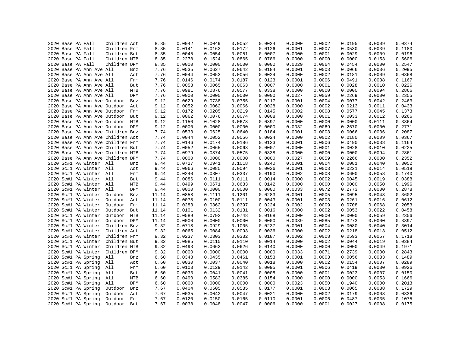|  | 2020 Base PA Fall |                          | Children Act                                                           |     | 8.35  | 0.0042 | 0.0049 | 0.0052 | 0.0024 | 0.0000 | 0.0002 | 0.0195 | 0.0009 | 0.0374 |
|--|-------------------|--------------------------|------------------------------------------------------------------------|-----|-------|--------|--------|--------|--------|--------|--------|--------|--------|--------|
|  | 2020 Base PA Fall |                          | Children Frm                                                           |     | 8.35  | 0.0141 | 0.0163 | 0.0172 | 0.0126 | 0.0001 | 0.0007 | 0.0530 | 0.0039 | 0.1180 |
|  | 2020 Base PA Fall |                          | Children But                                                           |     | 8.35  | 0.0045 | 0.0054 | 0.0051 | 0.0007 | 0.0000 | 0.0001 | 0.0029 | 0.0009 | 0.0196 |
|  | 2020 Base PA Fall |                          | Children MTB                                                           |     | 8.35  | 0.2278 | 0.1524 | 0.0865 | 0.0786 | 0.0000 | 0.0000 | 0.0000 | 0.0153 | 0.5606 |
|  | 2020 Base PA Fall |                          | Children DPM                                                           |     | 8.35  | 0.0000 | 0.0000 | 0.0000 | 0.0000 | 0.0029 | 0.0064 | 0.2454 | 0.0000 | 0.2547 |
|  |                   | 2020 Base PA Ann Ave All |                                                                        | Bnz | 7.76  | 0.0535 | 0.0627 | 0.0642 | 0.0184 | 0.0001 | 0.0003 | 0.0066 | 0.0036 | 0.2095 |
|  |                   | 2020 Base PA Ann Ave All |                                                                        | Act | 7.76  | 0.0044 | 0.0053 | 0.0056 | 0.0024 | 0.0000 | 0.0002 | 0.0181 | 0.0009 | 0.0368 |
|  |                   | 2020 Base PA Ann Ave All |                                                                        | Frm | 7.76  | 0.0146 | 0.0174 | 0.0187 | 0.0123 | 0.0001 | 0.0006 | 0.0491 | 0.0038 | 0.1167 |
|  |                   | 2020 Base PA Ann Ave All |                                                                        | But | 7.76  | 0.0053 | 0.0065 | 0.0063 | 0.0007 | 0.0000 | 0.0001 | 0.0028 | 0.0010 | 0.0226 |
|  |                   | 2020 Base PA Ann Ave All |                                                                        | MTB | 7.76  | 0.0981 | 0.0876 | 0.0577 | 0.0338 | 0.0000 | 0.0000 | 0.0000 | 0.0094 | 0.2866 |
|  |                   | 2020 Base PA Ann Ave All |                                                                        | DPM | 7.76  | 0.0000 | 0.0000 | 0.0000 | 0.0000 | 0.0027 | 0.0059 | 0.2269 | 0.0000 | 0.2355 |
|  |                   |                          | 2020 Base PA Ann Ave Outdoor                                           | Bnz | 9.12  | 0.0629 | 0.0738 | 0.0755 | 0.0217 | 0.0001 | 0.0004 | 0.0077 | 0.0042 | 0.2463 |
|  |                   |                          | 2020 Base PA Ann Ave Outdoor                                           | Act | 9.12  | 0.0052 | 0.0062 | 0.0066 | 0.0028 | 0.0000 | 0.0002 | 0.0213 | 0.0011 | 0.0433 |
|  |                   |                          | 2020 Base PA Ann Ave Outdoor                                           | Frm | 9.12  | 0.0172 | 0.0205 | 0.0219 | 0.0145 | 0.0002 | 0.0008 | 0.0577 | 0.0045 | 0.1373 |
|  |                   |                          | 2020 Base PA Ann Ave Outdoor                                           | But | 9.12  | 0.0062 | 0.0076 | 0.0074 | 0.0008 | 0.0000 | 0.0001 | 0.0033 | 0.0012 | 0.0266 |
|  |                   |                          | 2020 Base PA Ann Ave Outdoor                                           | MTB | 9.12  | 0.1150 | 0.1028 | 0.0678 | 0.0397 | 0.0000 | 0.0000 | 0.0000 | 0.0111 | 0.3364 |
|  |                   |                          | 2020 Base PA Ann Ave Outdoor DPM                                       |     | 9.12  | 0.0000 | 0.0000 | 0.0000 | 0.0000 | 0.0032 | 0.0069 | 0.2670 | 0.0000 | 0.2771 |
|  |                   |                          | 2020 Base PA Ann Ave Children Bnz                                      |     | 7.74  | 0.0533 | 0.0625 | 0.0640 | 0.0184 | 0.0001 | 0.0003 | 0.0066 | 0.0036 | 0.2087 |
|  |                   |                          | 2020 Base PA Ann Ave Children Act                                      |     | 7.74  | 0.0044 | 0.0052 | 0.0056 | 0.0024 | 0.0000 | 0.0002 | 0.0180 | 0.0009 | 0.0367 |
|  |                   |                          | 2020 Base PA Ann Ave Children Frm                                      |     | 7.74  | 0.0146 | 0.0174 | 0.0186 | 0.0123 | 0.0001 | 0.0006 | 0.0490 | 0.0038 | 0.1164 |
|  |                   |                          | 2020 Base PA Ann Ave Children But                                      |     | 7.74  | 0.0052 | 0.0065 | 0.0063 | 0.0007 | 0.0000 | 0.0001 | 0.0028 | 0.0010 | 0.0225 |
|  |                   |                          |                                                                        |     | 7.74  | 0.0979 | 0.0874 | 0.0575 | 0.0338 | 0.0000 | 0.0000 | 0.0000 | 0.0094 | 0.2861 |
|  |                   |                          | 2020 Base PA Ann Ave Children MTB<br>2020 Base PA Ann Ave Children DPM |     | 7.74  | 0.0000 | 0.0000 | 0.0000 | 0.0000 | 0.0027 | 0.0059 | 0.2266 | 0.0000 | 0.2352 |
|  |                   | 2020 Sc#1 PA Winter All  |                                                                        |     | 9.44  | 0.0727 | 0.0941 | 0.1018 | 0.0240 | 0.0001 | 0.0004 | 0.0081 | 0.0040 | 0.3052 |
|  |                   |                          |                                                                        | Bnz |       |        |        | 0.0094 |        |        |        |        |        |        |
|  |                   | 2020 Sc#1 PA Winter All  |                                                                        | Act | 9.44  | 0.0066 | 0.0085 |        | 0.0036 | 0.0001 | 0.0003 | 0.0221 | 0.0014 | 0.0519 |
|  |                   | 2020 Sc#1 PA Winter All  |                                                                        | Frm | 9.44  | 0.0240 | 0.0307 | 0.0337 | 0.0190 | 0.0002 | 0.0008 | 0.0600 | 0.0058 | 0.1740 |
|  |                   | 2020 Sc#1 PA Winter All  |                                                                        | But | 9.44  | 0.0086 | 0.0111 | 0.0111 | 0.0014 | 0.0000 | 0.0002 | 0.0045 | 0.0019 | 0.0388 |
|  |                   | 2020 Sc#1 PA Winter All  |                                                                        | MTB | 9.44  | 0.0499 | 0.0671 | 0.0633 | 0.0142 | 0.0000 | 0.0000 | 0.0000 | 0.0050 | 0.1996 |
|  |                   | 2020 Sc#1 PA Winter      | All                                                                    | DPM | 9.44  | 0.0000 | 0.0000 | 0.0000 | 0.0000 | 0.0033 | 0.0072 | 0.2773 | 0.0000 | 0.2878 |
|  |                   | 2020 Sc#1 PA Winter      | Outdoor                                                                | Bnz | 11.14 | 0.0858 | 0.1111 | 0.1201 | 0.0283 | 0.0001 | 0.0005 | 0.0095 | 0.0048 | 0.3602 |
|  |                   | 2020 Sc#1 PA Winter      | Outdoor                                                                | Act | 11.14 | 0.0078 | 0.0100 | 0.0111 | 0.0043 | 0.0001 | 0.0003 | 0.0261 | 0.0016 | 0.0612 |
|  |                   | 2020 Sc#1 PA Winter      | Outdoor                                                                | Frm | 11.14 | 0.0283 | 0.0362 | 0.0397 | 0.0224 | 0.0002 | 0.0009 | 0.0708 | 0.0068 | 0.2053 |
|  |                   | 2020 Sc#1 PA Winter      | Outdoor                                                                | But | 11.14 | 0.0101 | 0.0132 | 0.0131 | 0.0016 | 0.0000 | 0.0002 | 0.0053 | 0.0022 | 0.0458 |
|  |                   | 2020 Sc#1 PA Winter      | Outdoor                                                                | MTB | 11.14 | 0.0589 | 0.0792 | 0.0748 | 0.0168 | 0.0000 | 0.0000 | 0.0000 | 0.0059 | 0.2356 |
|  |                   | 2020 Sc#1 PA Winter      | Outdoor DPM                                                            |     | 11.14 | 0.0000 | 0.0000 | 0.0000 | 0.0000 | 0.0039 | 0.0085 | 0.3273 | 0.0000 | 0.3397 |
|  |                   | 2020 Sc#1 PA Winter      | Children Bnz                                                           |     | 9.32  | 0.0718 | 0.0929 | 0.1005 | 0.0237 | 0.0001 | 0.0004 | 0.0080 | 0.0040 | 0.3014 |
|  |                   | 2020 Sc#1 PA Winter      | Children Act                                                           |     | 9.32  | 0.0065 | 0.0084 | 0.0093 | 0.0036 | 0.0000 | 0.0002 | 0.0218 | 0.0013 | 0.0512 |
|  |                   | 2020 Sc#1 PA Winter      | Children Frm                                                           |     | 9.32  | 0.0237 | 0.0303 | 0.0332 | 0.0187 | 0.0002 | 0.0008 | 0.0593 | 0.0057 | 0.1718 |
|  |                   | 2020 Sc#1 PA Winter      | Children But                                                           |     | 9.32  | 0.0085 | 0.0110 | 0.0110 | 0.0014 | 0.0000 | 0.0002 | 0.0044 | 0.0019 | 0.0384 |
|  |                   | 2020 Sc#1 PA Winter      | Children MTB                                                           |     | 9.32  | 0.0493 | 0.0663 | 0.0626 | 0.0140 | 0.0000 | 0.0000 | 0.0000 | 0.0049 | 0.1971 |
|  |                   | 2020 Sc#1 PA Winter      | Children DPM                                                           |     | 9.32  | 0.0000 | 0.0000 | 0.0000 | 0.0000 | 0.0033 | 0.0071 | 0.2739 | 0.0000 | 0.2843 |
|  |                   | 2020 Sc#1 PA Spring      | All                                                                    | Bnz | 6.60  | 0.0348 | 0.0435 | 0.0461 | 0.0153 | 0.0001 | 0.0003 | 0.0056 | 0.0033 | 0.1489 |
|  |                   | 2020 Sc#1 PA Spring      | All                                                                    | Act | 6.60  | 0.0030 | 0.0037 | 0.0040 | 0.0018 | 0.0000 | 0.0002 | 0.0154 | 0.0007 | 0.0289 |
|  |                   | 2020 Sc#1 PA Spring      | All                                                                    | Frm | 6.60  | 0.0103 | 0.0129 | 0.0142 | 0.0095 | 0.0001 | 0.0006 | 0.0419 | 0.0030 | 0.0926 |
|  |                   | 2020 Sc#1 PA Spring      | All                                                                    | But | 6.60  | 0.0033 | 0.0041 | 0.0041 | 0.0005 | 0.0000 | 0.0001 | 0.0023 | 0.0007 | 0.0150 |
|  |                   | 2020 Sc#1 PA Spring      | All                                                                    | MTB | 6.60  | 0.0490 | 0.0583 | 0.0385 | 0.0154 | 0.0000 | 0.0000 | 0.0000 | 0.0053 | 0.1666 |
|  |                   | 2020 Sc#1 PA Spring      | All                                                                    | DPM | 6.60  | 0.0000 | 0.0000 | 0.0000 | 0.0000 | 0.0023 | 0.0050 | 0.1940 | 0.0000 | 0.2013 |
|  |                   | 2020 Sc#1 PA Spring      | Outdoor                                                                | Bnz | 7.67  | 0.0404 | 0.0505 | 0.0535 | 0.0177 | 0.0001 | 0.0003 | 0.0065 | 0.0038 | 0.1729 |
|  |                   | 2020 Sc#1 PA Spring      | Outdoor                                                                | Act | 7.67  | 0.0035 | 0.0042 | 0.0047 | 0.0021 | 0.0000 | 0.0002 | 0.0179 | 0.0008 | 0.0336 |
|  |                   | 2020 Sc#1 PA Spring      | Outdoor                                                                | Frm | 7.67  | 0.0120 | 0.0150 | 0.0165 | 0.0110 | 0.0001 | 0.0006 | 0.0487 | 0.0035 | 0.1075 |
|  |                   | 2020 Sc#1 PA Spring      | Outdoor                                                                | But | 7.67  | 0.0038 | 0.0048 | 0.0047 | 0.0006 | 0.0000 | 0.0001 | 0.0027 | 0.0008 | 0.0175 |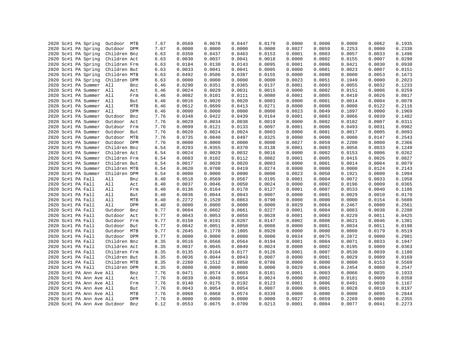|  | 2020 Sc#1 PA Spring          | Outdoor MTB  |     | 7.67 | 0.0569 | 0.0678 | 0.0447 | 0.0179 | 0.0000 | 0.0000 | 0.0000 | 0.0062 | 0.1935 |
|--|------------------------------|--------------|-----|------|--------|--------|--------|--------|--------|--------|--------|--------|--------|
|  | 2020 Sc#1 PA Spring          | Outdoor DPM  |     | 7.67 | 0.0000 | 0.0000 | 0.0000 | 0.0000 | 0.0027 | 0.0059 | 0.2253 | 0.0000 | 0.2338 |
|  | 2020 Sc#1 PA Spring          | Children Bnz |     | 6.63 | 0.0350 | 0.0437 | 0.0463 | 0.0153 | 0.0001 | 0.0003 | 0.0057 | 0.0033 | 0.1496 |
|  | 2020 Sc#1 PA Spring          | Children Act |     |      | 0.0030 | 0.0037 | 0.0041 | 0.0018 | 0.0000 | 0.0002 | 0.0155 | 0.0007 | 0.0290 |
|  |                              |              |     | 6.63 |        |        |        |        |        |        |        |        |        |
|  | 2020 Sc#1 PA Spring          | Children Frm |     | 6.63 | 0.0104 | 0.0130 | 0.0143 | 0.0095 | 0.0001 | 0.0006 | 0.0421 | 0.0030 | 0.0930 |
|  | 2020 Sc#1 PA Spring          | Children But |     | 6.63 | 0.0033 | 0.0041 | 0.0041 | 0.0005 | 0.0000 | 0.0001 | 0.0023 | 0.0007 | 0.0151 |
|  | 2020 Sc#1 PA Spring          | Children MTB |     | 6.63 | 0.0492 | 0.0586 | 0.0387 | 0.0155 | 0.0000 | 0.0000 | 0.0000 | 0.0053 | 0.1673 |
|  | 2020 Sc#1 PA Spring          | Children DPM |     | 6.63 | 0.0000 | 0.0000 | 0.0000 | 0.0000 | 0.0023 | 0.0051 | 0.1949 | 0.0000 | 0.2023 |
|  | 2020 Sc#1 PA Summer All      |              | Bnz | 6.46 | 0.0290 | 0.0351 | 0.0365 | 0.0137 | 0.0001 | 0.0003 | 0.0055 | 0.0032 | 0.1233 |
|  | 2020 Sc#1 PA Summer All      |              | Act | 6.46 | 0.0024 | 0.0029 | 0.0031 | 0.0015 | 0.0000 | 0.0002 | 0.0151 | 0.0006 | 0.0259 |
|  | 2020 Sc#1 PA Summer All      |              | Frm | 6.46 | 0.0082 | 0.0101 | 0.0111 | 0.0080 | 0.0001 | 0.0005 | 0.0410 | 0.0026 | 0.0817 |
|  | 2020 Sc#1 PA Summer All      |              | But | 6.46 | 0.0016 | 0.0020 | 0.0020 | 0.0003 | 0.0000 | 0.0001 | 0.0014 | 0.0004 | 0.0078 |
|  | 2020 Sc#1 PA Summer          | All          | MTB | 6.46 | 0.0612 | 0.0699 | 0.0413 | 0.0271 | 0.0000 | 0.0000 | 0.0000 | 0.0122 | 0.2116 |
|  | 2020 Sc#1 PA Summer          | All          | DPM | 6.46 | 0.0000 | 0.0000 | 0.0000 | 0.0000 | 0.0023 | 0.0049 | 0.1897 | 0.0000 | 0.1969 |
|  | 2020 Sc#1 PA Summer          | Outdoor      | Bnz | 7.76 | 0.0348 | 0.0422 | 0.0439 | 0.0164 | 0.0001 | 0.0003 | 0.0066 | 0.0039 | 0.1482 |
|  | 2020 Sc#1 PA Summer          | Outdoor      | Act | 7.76 | 0.0029 | 0.0034 | 0.0038 | 0.0019 | 0.0000 | 0.0002 | 0.0182 | 0.0007 | 0.0311 |
|  | 2020 Sc#1 PA Summer          | Outdoor Frm  |     | 7.76 | 0.0099 | 0.0121 | 0.0133 | 0.0097 | 0.0001 | 0.0006 | 0.0493 | 0.0031 | 0.0982 |
|  | 2020 Sc#1 PA Summer          | Outdoor But  |     | 7.76 | 0.0020 | 0.0024 | 0.0024 | 0.0003 | 0.0000 | 0.0001 | 0.0017 | 0.0005 | 0.0093 |
|  | 2020 Sc#1 PA Summer          | Outdoor MTB  |     | 7.76 | 0.0735 | 0.0840 | 0.0497 | 0.0325 | 0.0000 | 0.0000 | 0.0000 | 0.0147 | 0.2543 |
|  | 2020 Sc#1 PA Summer          | Outdoor DPM  |     | 7.76 | 0.0000 | 0.0000 | 0.0000 | 0.0000 | 0.0027 | 0.0059 | 0.2280 | 0.0000 | 0.2366 |
|  | 2020 Sc#1 PA Summer          | Children Bnz |     | 6.54 | 0.0293 | 0.0355 | 0.0370 | 0.0138 | 0.0001 | 0.0003 | 0.0056 | 0.0033 | 0.1249 |
|  | 2020 Sc#1 PA Summer          | Children Act |     | 6.54 | 0.0024 | 0.0029 | 0.0032 | 0.0016 | 0.0000 | 0.0002 | 0.0153 | 0.0006 | 0.0262 |
|  | 2020 Sc#1 PA Summer          | Children Frm |     | 6.54 | 0.0083 | 0.0102 | 0.0112 | 0.0082 | 0.0001 | 0.0005 | 0.0415 | 0.0026 | 0.0827 |
|  | 2020 Sc#1 PA Summer          | Children But |     | 6.54 | 0.0017 | 0.0020 | 0.0020 | 0.0003 | 0.0000 | 0.0001 | 0.0014 | 0.0004 | 0.0079 |
|  | 2020 Sc#1 PA Summer          | Children MTB |     | 6.54 | 0.0620 | 0.0708 | 0.0419 | 0.0274 | 0.0000 | 0.0000 | 0.0000 | 0.0124 | 0.2143 |
|  | 2020 Sc#1 PA Summer          | Children DPM |     | 6.54 | 0.0000 | 0.0000 | 0.0000 | 0.0000 | 0.0023 | 0.0050 | 0.1921 | 0.0000 | 0.1994 |
|  | 2020 Sc#1 PA Fall            | All          | Bnz | 8.40 | 0.0518 | 0.0569 | 0.0567 | 0.0195 | 0.0001 | 0.0004 | 0.0072 | 0.0033 | 0.1958 |
|  | 2020 Sc#1 PA Fall            | All          | Act | 8.40 | 0.0037 | 0.0046 | 0.0050 | 0.0024 | 0.0000 | 0.0002 | 0.0196 | 0.0009 | 0.0365 |
|  | 2020 Sc#1 PA Fall            | All          | Frm | 8.40 | 0.0136 | 0.0164 | 0.0178 | 0.0127 | 0.0001 | 0.0007 | 0.0533 | 0.0040 | 0.1186 |
|  | 2020 Sc#1 PA Fall            | All          | But | 8.40 | 0.0036 | 0.0044 | 0.0043 | 0.0007 | 0.0000 | 0.0001 | 0.0029 | 0.0010 | 0.0170 |
|  | 2020 Sc#1 PA Fall            | All          | MTB | 8.40 | 0.2272 | 0.1520 | 0.0863 | 0.0790 | 0.0000 | 0.0000 | 0.0000 | 0.0154 | 0.5600 |
|  | 2020 Sc#1 PA Fall            | All          | DPM | 8.40 | 0.0000 | 0.0000 | 0.0000 | 0.0000 | 0.0029 | 0.0064 | 0.2467 | 0.0000 | 0.2561 |
|  | 2020 Sc#1 PA Fall            | Outdoor      | Bnz | 9.77 | 0.0604 | 0.0662 | 0.0661 | 0.0227 | 0.0001 | 0.0004 | 0.0083 | 0.0038 | 0.2280 |
|  | 2020 Sc#1 PA Fall            | Outdoor      | Act | 9.77 | 0.0043 | 0.0053 | 0.0058 | 0.0028 | 0.0001 | 0.0003 | 0.0229 | 0.0011 | 0.0425 |
|  | 2020 Sc#1 PA Fall            | Outdoor Frm  |     | 9.77 | 0.0158 | 0.0191 | 0.0207 | 0.0147 | 0.0002 | 0.0008 | 0.0621 | 0.0046 | 0.1381 |
|  | 2020 Sc#1 PA Fall            | Outdoor      | But | 9.77 | 0.0042 | 0.0051 | 0.0050 | 0.0008 | 0.0000 | 0.0001 | 0.0034 | 0.0011 | 0.0198 |
|  | 2020 Sc#1 PA Fall            | Outdoor MTB  |     | 9.77 | 0.2645 | 0.1770 | 0.1005 | 0.0920 | 0.0000 | 0.0000 | 0.0000 | 0.0179 | 0.6519 |
|  | 2020 Sc#1 PA Fall            | Outdoor DPM  |     | 9.77 | 0.0000 | 0.0000 | 0.0000 | 0.0000 | 0.0034 | 0.0075 | 0.2872 | 0.0000 | 0.2981 |
|  | 2020 Sc#1 PA Fall            | Children Bnz |     | 8.35 | 0.0516 | 0.0566 | 0.0564 | 0.0194 | 0.0001 | 0.0004 | 0.0071 | 0.0033 | 0.1947 |
|  | 2020 Sc#1 PA Fall            | Children Act |     | 8.35 | 0.0037 | 0.0045 | 0.0049 | 0.0024 | 0.0000 | 0.0002 | 0.0195 | 0.0009 | 0.0363 |
|  |                              |              |     |      |        |        |        |        |        |        |        |        |        |
|  | 2020 Sc#1 PA Fall            | Children Frm |     | 8.35 | 0.0135 | 0.0164 | 0.0177 | 0.0126 | 0.0001 | 0.0007 | 0.0530 | 0.0039 | 0.1180 |
|  | 2020 Sc#1 PA Fall            | Children But |     | 8.35 | 0.0036 | 0.0044 | 0.0043 | 0.0007 | 0.0000 | 0.0001 | 0.0029 | 0.0009 | 0.0169 |
|  | 2020 Sc#1 PA Fall            | Children MTB |     | 8.35 | 0.2260 | 0.1512 | 0.0858 | 0.0786 | 0.0000 | 0.0000 | 0.0000 | 0.0153 | 0.5569 |
|  | 2020 Sc#1 PA Fall            | Children DPM |     | 8.35 | 0.0000 | 0.0000 | 0.0000 | 0.0000 | 0.0029 | 0.0064 | 0.2454 | 0.0000 | 0.2547 |
|  | 2020 Sc#1 PA Ann Ave All     |              | Bnz | 7.76 | 0.0471 | 0.0574 | 0.0603 | 0.0181 | 0.0001 | 0.0003 | 0.0066 | 0.0035 | 0.1933 |
|  | 2020 Sc#1 PA Ann Ave All     |              | Act | 7.76 | 0.0039 | 0.0049 | 0.0054 | 0.0024 | 0.0000 | 0.0002 | 0.0181 | 0.0009 | 0.0358 |
|  | 2020 Sc#1 PA Ann Ave All     |              | Frm | 7.76 | 0.0140 | 0.0175 | 0.0192 | 0.0123 | 0.0001 | 0.0006 | 0.0491 | 0.0038 | 0.1167 |
|  | 2020 Sc#1 PA Ann Ave All     |              | But | 7.76 | 0.0043 | 0.0054 | 0.0054 | 0.0007 | 0.0000 | 0.0001 | 0.0028 | 0.0010 | 0.0197 |
|  | 2020 Sc#1 PA Ann Ave All     |              | MTB | 7.76 | 0.0968 | 0.0868 | 0.0574 | 0.0339 | 0.0000 | 0.0000 | 0.0000 | 0.0095 | 0.2844 |
|  | 2020 Sc#1 PA Ann Ave All     |              | DPM | 7.76 | 0.0000 | 0.0000 | 0.0000 | 0.0000 | 0.0027 | 0.0059 | 0.2269 | 0.0000 | 0.2355 |
|  | 2020 Sc#1 PA Ann Ave Outdoor |              | Bnz | 9.12 | 0.0553 | 0.0675 | 0.0709 | 0.0213 | 0.0001 | 0.0004 | 0.0077 | 0.0041 | 0.2273 |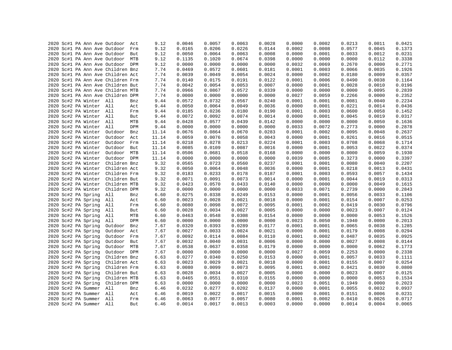|  |  |                         |                                   |            | 9.12  | 0.0046 | 0.0057 | 0.0063 | 0.0028 | 0.0000 | 0.0002 | 0.0213 | 0.0011 | 0.0421 |
|--|--|-------------------------|-----------------------------------|------------|-------|--------|--------|--------|--------|--------|--------|--------|--------|--------|
|  |  |                         | 2020 Sc#1 PA Ann Ave Outdoor      | Act<br>Frm | 9.12  | 0.0165 | 0.0206 | 0.0226 | 0.0144 | 0.0002 | 0.0008 | 0.0577 | 0.0045 | 0.1373 |
|  |  |                         | 2020 Sc#1 PA Ann Ave Outdoor      |            |       |        |        |        |        |        |        |        |        |        |
|  |  |                         | 2020 Sc#1 PA Ann Ave Outdoor But  |            | 9.12  | 0.0050 | 0.0064 | 0.0063 | 0.0008 | 0.0000 | 0.0001 | 0.0033 | 0.0012 | 0.0231 |
|  |  |                         | 2020 Sc#1 PA Ann Ave Outdoor      | MTB        | 9.12  | 0.1135 | 0.1020 | 0.0674 | 0.0398 | 0.0000 | 0.0000 | 0.0000 | 0.0112 | 0.3338 |
|  |  |                         | 2020 Sc#1 PA Ann Ave Outdoor DPM  |            | 9.12  | 0.0000 | 0.0000 | 0.0000 | 0.0000 | 0.0032 | 0.0069 | 0.2670 | 0.0000 | 0.2771 |
|  |  |                         | 2020 Sc#1 PA Ann Ave Children Bnz |            | 7.74  | 0.0469 | 0.0572 | 0.0601 | 0.0181 | 0.0001 | 0.0003 | 0.0066 | 0.0035 | 0.1926 |
|  |  |                         | 2020 Sc#1 PA Ann Ave Children Act |            | 7.74  | 0.0039 | 0.0049 | 0.0054 | 0.0024 | 0.0000 | 0.0002 | 0.0180 | 0.0009 | 0.0357 |
|  |  |                         | 2020 Sc#1 PA Ann Ave Children Frm |            | 7.74  | 0.0140 | 0.0175 | 0.0191 | 0.0122 | 0.0001 | 0.0006 | 0.0490 | 0.0038 | 0.1164 |
|  |  |                         | 2020 Sc#1 PA Ann Ave Children But |            | 7.74  | 0.0042 | 0.0054 | 0.0053 | 0.0007 | 0.0000 | 0.0001 | 0.0028 | 0.0010 | 0.0196 |
|  |  |                         | 2020 Sc#1 PA Ann Ave Children MTB |            | 7.74  | 0.0966 | 0.0867 | 0.0572 | 0.0339 | 0.0000 | 0.0000 | 0.0000 | 0.0095 | 0.2839 |
|  |  |                         | 2020 Sc#1 PA Ann Ave Children DPM |            | 7.74  | 0.0000 | 0.0000 | 0.0000 | 0.0000 | 0.0027 | 0.0059 | 0.2266 | 0.0000 | 0.2352 |
|  |  | 2020 Sc#2 PA Winter All |                                   | Bnz        | 9.44  | 0.0572 | 0.0732 | 0.0567 | 0.0240 | 0.0001 | 0.0001 | 0.0081 | 0.0040 | 0.2234 |
|  |  | 2020 Sc#2 PA Winter All |                                   | Act        | 9.44  | 0.0050 | 0.0064 | 0.0049 | 0.0036 | 0.0000 | 0.0001 | 0.0221 | 0.0014 | 0.0436 |
|  |  | 2020 Sc#2 PA Winter All |                                   | Frm        | 9.44  | 0.0185 | 0.0236 | 0.0180 | 0.0190 | 0.0001 | 0.0003 | 0.0600 | 0.0058 | 0.1452 |
|  |  | 2020 Sc#2 PA Winter All |                                   | But        | 9.44  | 0.0072 | 0.0092 | 0.0074 | 0.0014 | 0.0000 | 0.0001 | 0.0045 | 0.0019 | 0.0317 |
|  |  | 2020 Sc#2 PA Winter All |                                   | MTB        | 9.44  | 0.0428 | 0.0577 | 0.0439 | 0.0142 | 0.0000 | 0.0000 | 0.0000 | 0.0050 | 0.1636 |
|  |  | 2020 Sc#2 PA Winter All |                                   | DPM        | 9.44  | 0.0000 | 0.0000 | 0.0000 | 0.0000 | 0.0033 | 0.0072 | 0.2773 | 0.0000 | 0.2878 |
|  |  | 2020 Sc#2 PA Winter     | Outdoor                           | Bnz        | 11.14 | 0.0676 | 0.0864 | 0.0670 | 0.0283 | 0.0001 | 0.0002 | 0.0095 | 0.0048 | 0.2637 |
|  |  | 2020 Sc#2 PA Winter     | Outdoor                           | Act        | 11.14 | 0.0059 | 0.0076 | 0.0058 | 0.0043 | 0.0000 | 0.0001 | 0.0261 | 0.0016 | 0.0515 |
|  |  | 2020 Sc#2 PA Winter     | Outdoor Frm                       |            | 11.14 | 0.0218 | 0.0278 | 0.0213 | 0.0224 | 0.0001 | 0.0003 | 0.0708 | 0.0068 | 0.1714 |
|  |  | 2020 Sc#2 PA Winter     | Outdoor But                       |            | 11.14 | 0.0085 | 0.0109 | 0.0087 | 0.0016 | 0.0000 | 0.0001 | 0.0053 | 0.0022 | 0.0374 |
|  |  | 2020 Sc#2 PA Winter     | Outdoor MTB                       |            | 11.14 | 0.0506 | 0.0681 | 0.0518 | 0.0168 | 0.0000 | 0.0000 | 0.0000 | 0.0059 | 0.1930 |
|  |  | 2020 Sc#2 PA Winter     | Outdoor DPM                       |            | 11.14 | 0.0000 | 0.0000 | 0.0000 | 0.0000 | 0.0039 | 0.0085 | 0.3273 | 0.0000 | 0.3397 |
|  |  | 2020 Sc#2 PA Winter     | Children Bnz                      |            | 9.32  | 0.0565 | 0.0723 | 0.0560 | 0.0237 | 0.0001 | 0.0001 | 0.0080 | 0.0040 | 0.2207 |
|  |  | 2020 Sc#2 PA Winter     | Children Act                      |            | 9.32  | 0.0050 | 0.0064 | 0.0048 | 0.0036 | 0.0000 | 0.0001 | 0.0218 | 0.0013 | 0.0431 |
|  |  | 2020 Sc#2 PA Winter     | Children Frm                      |            | 9.32  | 0.0183 | 0.0233 | 0.0178 | 0.0187 | 0.0001 | 0.0003 | 0.0593 | 0.0057 | 0.1434 |
|  |  | 2020 Sc#2 PA Winter     | Children But                      |            | 9.32  | 0.0071 | 0.0091 | 0.0073 | 0.0014 | 0.0000 | 0.0001 | 0.0044 | 0.0019 | 0.0313 |
|  |  |                         | 2020 Sc#2 PA Winter Children MTB  |            | 9.32  | 0.0423 | 0.0570 | 0.0433 | 0.0140 | 0.0000 | 0.0000 | 0.0000 | 0.0049 | 0.1615 |
|  |  | 2020 Sc#2 PA Winter     | Children DPM                      |            | 9.32  | 0.0000 | 0.0000 | 0.0000 | 0.0000 | 0.0033 | 0.0071 | 0.2739 | 0.0000 | 0.2843 |
|  |  | 2020 Sc#2 PA Spring     | All                               | Bnz        | 6.60  | 0.0275 | 0.0338 | 0.0249 | 0.0153 | 0.0000 | 0.0001 | 0.0056 | 0.0033 | 0.1106 |
|  |  | 2020 Sc#2 PA Spring     | All                               | Act        | 6.60  | 0.0023 | 0.0028 | 0.0021 | 0.0018 | 0.0000 | 0.0001 | 0.0154 | 0.0007 | 0.0253 |
|  |  | 2020 Sc#2 PA Spring     | All                               | Frm        | 6.60  | 0.0080 | 0.0098 | 0.0072 | 0.0095 | 0.0001 | 0.0002 | 0.0419 | 0.0030 | 0.0796 |
|  |  | 2020 Sc#2 PA Spring     | All                               | But        | 6.60  | 0.0028 | 0.0034 | 0.0027 | 0.0005 | 0.0000 | 0.0000 | 0.0023 | 0.0007 | 0.0124 |
|  |  | 2020 Sc#2 PA Spring     | All                               | MTB        | 6.60  | 0.0463 | 0.0548 | 0.0308 | 0.0154 | 0.0000 | 0.0000 | 0.0000 | 0.0053 | 0.1526 |
|  |  | 2020 Sc#2 PA Spring     | All                               | DPM        | 6.60  | 0.0000 | 0.0000 | 0.0000 | 0.0000 | 0.0023 | 0.0050 | 0.1940 | 0.0000 | 0.2013 |
|  |  | 2020 Sc#2 PA Spring     | Outdoor                           | Bnz        | 7.67  | 0.0320 | 0.0393 | 0.0289 | 0.0177 | 0.0001 | 0.0001 | 0.0065 | 0.0038 | 0.1285 |
|  |  | 2020 Sc#2 PA Spring     | Outdoor                           | Act        | 7.67  | 0.0027 | 0.0033 | 0.0024 | 0.0021 | 0.0000 | 0.0001 | 0.0179 | 0.0008 | 0.0294 |
|  |  | 2020 Sc#2 PA Spring     | Outdoor                           | Frm        | 7.67  | 0.0092 | 0.0114 | 0.0084 | 0.0110 | 0.0001 | 0.0002 | 0.0487 | 0.0035 | 0.0925 |
|  |  | 2020 Sc#2 PA Spring     | Outdoor But                       |            | 7.67  | 0.0032 | 0.0040 | 0.0031 | 0.0006 | 0.0000 | 0.0000 | 0.0027 | 0.0008 | 0.0144 |
|  |  | 2020 Sc#2 PA Spring     | Outdoor MTB                       |            | 7.67  | 0.0538 | 0.0637 | 0.0358 | 0.0179 | 0.0000 | 0.0000 | 0.0000 | 0.0062 | 0.1773 |
|  |  | 2020 Sc#2 PA Spring     | Outdoor DPM                       |            | 7.67  | 0.0000 | 0.0000 | 0.0000 | 0.0000 | 0.0027 | 0.0059 | 0.2253 | 0.0000 | 0.2338 |
|  |  | 2020 Sc#2 PA Spring     | Children Bnz                      |            |       | 0.0277 | 0.0340 | 0.0250 | 0.0153 | 0.0000 | 0.0001 | 0.0057 | 0.0033 | 0.1111 |
|  |  | 2020 Sc#2 PA Spring     | Children Act                      |            | 6.63  | 0.0023 | 0.0029 | 0.0021 | 0.0018 | 0.0000 | 0.0001 | 0.0155 | 0.0007 | 0.0254 |
|  |  |                         |                                   |            | 6.63  | 0.0080 | 0.0099 | 0.0073 | 0.0095 | 0.0001 | 0.0002 | 0.0421 | 0.0030 |        |
|  |  | 2020 Sc#2 PA Spring     | Children Frm                      |            | 6.63  |        |        |        |        |        |        |        |        | 0.0800 |
|  |  | 2020 Sc#2 PA Spring     | Children But                      |            | 6.63  | 0.0028 | 0.0034 | 0.0027 | 0.0005 | 0.0000 | 0.0000 | 0.0023 | 0.0007 | 0.0125 |
|  |  | 2020 Sc#2 PA Spring     | Children MTB                      |            | 6.63  | 0.0465 | 0.0551 | 0.0310 | 0.0155 | 0.0000 | 0.0000 | 0.0000 | 0.0053 | 0.1534 |
|  |  | 2020 Sc#2 PA Spring     | Children DPM                      |            | 6.63  | 0.0000 | 0.0000 | 0.0000 | 0.0000 | 0.0023 | 0.0051 | 0.1949 | 0.0000 | 0.2023 |
|  |  | 2020 Sc#2 PA Summer     | All                               | Bnz        | 6.46  | 0.0232 | 0.0277 | 0.0202 | 0.0137 | 0.0000 | 0.0001 | 0.0055 | 0.0032 | 0.0937 |
|  |  | 2020 Sc#2 PA Summer All |                                   | Act        | 6.46  | 0.0019 | 0.0022 | 0.0017 | 0.0015 | 0.0000 | 0.0001 | 0.0151 | 0.0006 | 0.0231 |
|  |  | 2020 Sc#2 PA Summer All |                                   | Frm        | 6.46  | 0.0063 | 0.0077 | 0.0057 | 0.0080 | 0.0001 | 0.0002 | 0.0410 | 0.0026 | 0.0717 |
|  |  | 2020 Sc#2 PA Summer All |                                   | But        | 6.46  | 0.0014 | 0.0017 | 0.0013 | 0.0003 | 0.0000 | 0.0000 | 0.0014 | 0.0004 | 0.0065 |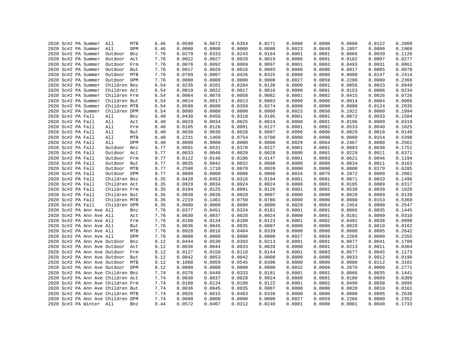|  | 2020 Sc#2 PA Summer          | All                               | MTB | 6.46 | 0.0590 | 0.0672 | 0.0354 | 0.0271 | 0.0000 | 0.0000 | 0.0000 | 0.0122 | 0.2009 |
|--|------------------------------|-----------------------------------|-----|------|--------|--------|--------|--------|--------|--------|--------|--------|--------|
|  | 2020 Sc#2 PA Summer          | All                               | DPM | 6.46 | 0.0000 | 0.0000 | 0.0000 | 0.0000 | 0.0023 | 0.0049 | 0.1897 | 0.0000 | 0.1969 |
|  | 2020 Sc#2 PA Summer          | Outdoor                           | Bnz | 7.76 | 0.0279 | 0.0333 | 0.0243 | 0.0164 | 0.0001 | 0.0001 | 0.0066 | 0.0039 | 0.1126 |
|  | 2020 Sc#2 PA Summer          | Outdoor                           | Act | 7.76 | 0.0022 | 0.0027 | 0.0020 | 0.0019 | 0.0000 | 0.0001 | 0.0182 | 0.0007 | 0.0277 |
|  | 2020 Sc#2 PA Summer          | Outdoor                           | Frm | 7.76 | 0.0076 | 0.0092 | 0.0069 | 0.0097 | 0.0001 | 0.0002 | 0.0493 | 0.0031 | 0.0861 |
|  | 2020 Sc#2 PA Summer          | Outdoor                           | But | 7.76 | 0.0017 | 0.0020 | 0.0016 | 0.0003 | 0.0000 | 0.0000 | 0.0017 | 0.0005 | 0.0078 |
|  | 2020 Sc#2 PA Summer          | Outdoor MTB                       |     | 7.76 | 0.0709 | 0.0807 | 0.0426 | 0.0325 | 0.0000 | 0.0000 | 0.0000 | 0.0147 | 0.2414 |
|  | 2020 Sc#2 PA Summer          | Outdoor DPM                       |     | 7.76 | 0.0000 | 0.0000 | 0.0000 | 0.0000 | 0.0027 | 0.0059 | 0.2280 | 0.0000 | 0.2366 |
|  | 2020 Sc#2 PA Summer          | Children Bnz                      |     | 6.54 | 0.0235 | 0.0281 | 0.0204 | 0.0138 | 0.0000 | 0.0001 | 0.0056 | 0.0033 | 0.0949 |
|  | 2020 Sc#2 PA Summer          | Children Act                      |     | 6.54 | 0.0019 | 0.0022 | 0.0017 | 0.0016 | 0.0000 | 0.0001 | 0.0153 | 0.0006 | 0.0234 |
|  | 2020 Sc#2 PA Summer          | Children Frm                      |     | 6.54 | 0.0064 | 0.0078 | 0.0058 | 0.0082 | 0.0001 | 0.0002 | 0.0415 | 0.0026 | 0.0726 |
|  | 2020 Sc#2 PA Summer          | Children But                      |     | 6.54 | 0.0014 | 0.0017 | 0.0013 | 0.0003 | 0.0000 | 0.0000 | 0.0014 | 0.0004 | 0.0066 |
|  | 2020 Sc#2 PA Summer          | Children MTB                      |     | 6.54 | 0.0598 | 0.0680 | 0.0359 | 0.0274 | 0.0000 | 0.0000 | 0.0000 | 0.0124 | 0.2035 |
|  | 2020 Sc#2 PA Summer          | Children DPM                      |     | 6.54 | 0.0000 | 0.0000 | 0.0000 | 0.0000 | 0.0023 | 0.0050 | 0.1921 | 0.0000 | 0.1994 |
|  | 2020 Sc#2 PA Fall            | All                               | Bnz | 8.40 | 0.0430 | 0.0456 | 0.0318 | 0.0195 | 0.0001 | 0.0001 | 0.0072 | 0.0033 | 0.1504 |
|  | 2020 Sc#2 PA Fall            | All                               | Act | 8.40 | 0.0029 | 0.0034 | 0.0025 | 0.0024 | 0.0000 | 0.0001 | 0.0196 | 0.0009 | 0.0319 |
|  | 2020 Sc#2 PA Fall            | All                               | Frm | 8.40 | 0.0105 | 0.0126 | 0.0091 | 0.0127 | 0.0001 | 0.0002 | 0.0533 | 0.0040 | 0.1025 |
|  | 2020 Sc#2 PA Fall            | All                               | But | 8.40 | 0.0030 | 0.0036 | 0.0028 | 0.0007 | 0.0000 | 0.0000 | 0.0029 | 0.0010 | 0.0140 |
|  | 2020 Sc#2 PA Fall            | All                               | MTB | 8.40 | 0.2231 | 0.1469 | 0.0754 | 0.0790 | 0.0000 | 0.0000 | 0.0000 | 0.0154 | 0.5398 |
|  | 2020 Sc#2 PA Fall            | All                               | DPM | 8.40 | 0.0000 | 0.0000 | 0.0000 | 0.0000 | 0.0029 | 0.0064 | 0.2467 | 0.0000 | 0.2561 |
|  | 2020 Sc#2 PA Fall            | Outdoor                           | Bnz | 9.77 | 0.0501 | 0.0531 | 0.0370 | 0.0227 | 0.0001 | 0.0001 | 0.0083 | 0.0038 | 0.1751 |
|  |                              |                                   |     | 9.77 | 0.0033 | 0.0040 | 0.0029 | 0.0028 | 0.0000 | 0.0001 | 0.0229 | 0.0011 | 0.0371 |
|  | 2020 Sc#2 PA Fall            | Outdoor                           | Act |      | 0.0122 |        |        |        |        | 0.0003 |        |        |        |
|  | 2020 Sc#2 PA Fall            | Outdoor                           | Frm | 9.77 |        | 0.0146 | 0.0106 | 0.0147 | 0.0001 |        | 0.0621 | 0.0046 | 0.1194 |
|  | 2020 Sc#2 PA Fall            | Outdoor                           | But | 9.77 | 0.0035 | 0.0042 | 0.0032 | 0.0008 | 0.0000 | 0.0000 | 0.0034 | 0.0011 | 0.0163 |
|  | 2020 Sc#2 PA Fall            | Outdoor MTB                       |     | 9.77 | 0.2598 | 0.1710 | 0.0878 | 0.0920 | 0.0000 | 0.0000 | 0.0000 | 0.0179 | 0.6285 |
|  | 2020 Sc#2 PA Fall            | Outdoor DPM                       |     | 9.77 | 0.0000 | 0.0000 | 0.0000 | 0.0000 | 0.0034 | 0.0075 | 0.2872 | 0.0000 | 0.2981 |
|  | 2020 Sc#2 PA Fall            | Children Bnz                      |     | 8.35 | 0.0428 | 0.0453 | 0.0316 | 0.0194 | 0.0001 | 0.0001 | 0.0071 | 0.0033 | 0.1496 |
|  | 2020 Sc#2 PA Fall            | Children Act                      |     | 8.35 | 0.0029 | 0.0034 | 0.0024 | 0.0024 | 0.0000 | 0.0001 | 0.0195 | 0.0009 | 0.0317 |
|  | 2020 Sc#2 PA Fall            | Children Frm                      |     | 8.35 | 0.0104 | 0.0125 | 0.0091 | 0.0126 | 0.0001 | 0.0002 | 0.0530 | 0.0039 | 0.1020 |
|  | 2020 Sc#2 PA Fall            | Children But                      |     | 8.35 | 0.0030 | 0.0036 | 0.0028 | 0.0007 | 0.0000 | 0.0000 | 0.0029 | 0.0009 | 0.0139 |
|  | 2020 Sc#2 PA Fall            | Children MTB                      |     | 8.35 | 0.2219 | 0.1461 | 0.0750 | 0.0786 | 0.0000 | 0.0000 | 0.0000 | 0.0153 | 0.5369 |
|  | 2020 Sc#2 PA Fall            | Children DPM                      |     | 8.35 | 0.0000 | 0.0000 | 0.0000 | 0.0000 | 0.0029 | 0.0064 | 0.2454 | 0.0000 | 0.2547 |
|  | 2020 Sc#2 PA Ann Ave All     |                                   | Bnz | 7.76 | 0.0377 | 0.0451 | 0.0334 | 0.0181 | 0.0001 | 0.0001 | 0.0066 | 0.0035 | 0.1445 |
|  | 2020 Sc#2 PA Ann Ave All     |                                   | Act | 7.76 | 0.0030 | 0.0037 | 0.0028 | 0.0024 | 0.0000 | 0.0001 | 0.0181 | 0.0009 | 0.0310 |
|  | 2020 Sc#2 PA Ann Ave All     |                                   | Frm | 7.76 | 0.0108 | 0.0134 | 0.0100 | 0.0123 | 0.0001 | 0.0002 | 0.0491 | 0.0038 | 0.0998 |
|  | 2020 Sc#2 PA Ann Ave All     |                                   | But | 7.76 | 0.0036 | 0.0045 | 0.0035 | 0.0007 | 0.0000 | 0.0000 | 0.0028 | 0.0010 | 0.0162 |
|  | 2020 Sc#2 PA Ann Ave All     |                                   | MTB | 7.76 | 0.0928 | 0.0816 | 0.0464 | 0.0339 | 0.0000 | 0.0000 | 0.0000 | 0.0095 | 0.2642 |
|  | 2020 Sc#2 PA Ann Ave All     |                                   | DPM | 7.76 | 0.0000 | 0.0000 | 0.0000 | 0.0000 | 0.0027 | 0.0059 | 0.2269 | 0.0000 | 0.2355 |
|  |                              | 2020 Sc#2 PA Ann Ave Outdoor      | Bnz | 9.12 | 0.0444 | 0.0530 | 0.0393 | 0.0213 | 0.0001 | 0.0001 | 0.0077 | 0.0041 | 0.1700 |
|  | 2020 Sc#2 PA Ann Ave Outdoor |                                   | Act | 9.12 | 0.0036 | 0.0044 | 0.0033 | 0.0028 | 0.0000 | 0.0001 | 0.0213 | 0.0011 | 0.0364 |
|  | 2020 Sc#2 PA Ann Ave Outdoor |                                   | Frm | 9.12 | 0.0127 | 0.0158 | 0.0118 | 0.0144 | 0.0001 | 0.0003 | 0.0577 | 0.0045 | 0.1173 |
|  | 2020 Sc#2 PA Ann Ave Outdoor |                                   | But | 9.12 | 0.0042 | 0.0053 | 0.0042 | 0.0008 | 0.0000 | 0.0000 | 0.0033 | 0.0012 | 0.0190 |
|  |                              | 2020 Sc#2 PA Ann Ave Outdoor MTB  |     | 9.12 | 0.1088 | 0.0959 | 0.0545 | 0.0398 | 0.0000 | 0.0000 | 0.0000 | 0.0112 | 0.3101 |
|  |                              | 2020 Sc#2 PA Ann Ave Outdoor DPM  |     | 9.12 | 0.0000 | 0.0000 | 0.0000 | 0.0000 | 0.0032 | 0.0069 | 0.2670 | 0.0000 | 0.2771 |
|  |                              | 2020 Sc#2 PA Ann Ave Children Bnz |     | 7.74 | 0.0376 | 0.0449 | 0.0333 | 0.0181 | 0.0001 | 0.0001 | 0.0066 | 0.0035 | 0.1441 |
|  |                              | 2020 Sc#2 PA Ann Ave Children Act |     | 7.74 | 0.0030 | 0.0037 | 0.0028 | 0.0024 | 0.0000 | 0.0001 | 0.0180 | 0.0009 | 0.0309 |
|  |                              | 2020 Sc#2 PA Ann Ave Children Frm |     | 7.74 | 0.0108 | 0.0134 | 0.0100 | 0.0122 | 0.0001 | 0.0002 | 0.0490 | 0.0038 | 0.0995 |
|  |                              | 2020 Sc#2 PA Ann Ave Children But |     | 7.74 | 0.0036 | 0.0045 | 0.0035 | 0.0007 | 0.0000 | 0.0000 | 0.0028 | 0.0010 | 0.0161 |
|  |                              | 2020 Sc#2 PA Ann Ave Children MTB |     | 7.74 | 0.0926 | 0.0815 | 0.0463 | 0.0339 | 0.0000 | 0.0000 | 0.0000 | 0.0095 | 0.2638 |
|  |                              | 2020 Sc#2 PA Ann Ave Children DPM |     | 7.74 | 0.0000 | 0.0000 | 0.0000 | 0.0000 | 0.0027 | 0.0059 | 0.2266 | 0.0000 | 0.2352 |
|  | 2020 Sc#3 PA Winter All      |                                   | Bnz | 9.44 | 0.0572 | 0.0407 | 0.0312 | 0.0240 | 0.0001 | 0.0080 | 0.0081 | 0.0040 | 0.1733 |
|  |                              |                                   |     |      |        |        |        |        |        |        |        |        |        |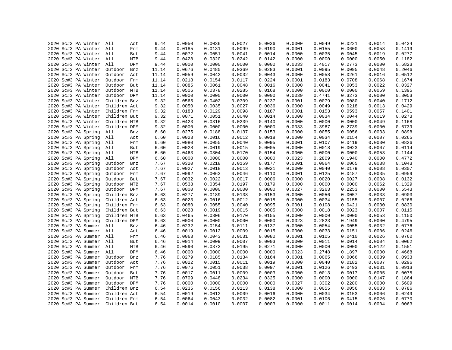| 2020 Sc#3 PA Winter     |                   | 9.44  | 0.0050 | 0.0036 | 0.0027 | 0.0036 | 0.0000 | 0.0049 | 0.0221 | 0.0014 | 0.0434 |
|-------------------------|-------------------|-------|--------|--------|--------|--------|--------|--------|--------|--------|--------|
| 2020 Sc#3 PA Winter     | All<br>Act<br>All | 9.44  | 0.0185 | 0.0131 | 0.0099 | 0.0190 | 0.0001 | 0.0155 | 0.0600 | 0.0058 | 0.1419 |
|                         | Frm               |       |        |        |        |        |        |        |        |        |        |
| 2020 Sc#3 PA Winter     | All<br>But        | 9.44  | 0.0072 | 0.0051 | 0.0041 | 0.0014 | 0.0000 | 0.0035 | 0.0045 | 0.0019 | 0.0277 |
| 2020 Sc#3 PA Winter     | All<br>MTB        | 9.44  | 0.0428 | 0.0320 | 0.0242 | 0.0142 | 0.0000 | 0.0000 | 0.0000 | 0.0050 | 0.1182 |
| 2020 Sc#3 PA Winter All | DPM               | 9.44  | 0.0000 | 0.0000 | 0.0000 | 0.0000 | 0.0033 | 0.4017 | 0.2773 | 0.0000 | 0.6823 |
| 2020 Sc#3 PA Winter     | Outdoor<br>Bnz    | 11.14 | 0.0676 | 0.0480 | 0.0369 | 0.0283 | 0.0001 | 0.0095 | 0.0095 | 0.0048 | 0.2046 |
| 2020 Sc#3 PA Winter     | Outdoor<br>Act    | 11.14 | 0.0059 | 0.0042 | 0.0032 | 0.0043 | 0.0000 | 0.0058 | 0.0261 | 0.0016 | 0.0512 |
| 2020 Sc#3 PA Winter     | Outdoor<br>Frm    | 11.14 | 0.0218 | 0.0154 | 0.0117 | 0.0224 | 0.0001 | 0.0183 | 0.0708 | 0.0068 | 0.1674 |
| 2020 Sc#3 PA Winter     | Outdoor But       | 11.14 | 0.0085 | 0.0061 | 0.0048 | 0.0016 | 0.0000 | 0.0041 | 0.0053 | 0.0022 | 0.0327 |
| 2020 Sc#3 PA Winter     | Outdoor MTB       | 11.14 | 0.0506 | 0.0378 | 0.0285 | 0.0168 | 0.0000 | 0.0000 | 0.0000 | 0.0059 | 0.1395 |
| 2020 Sc#3 PA Winter     | Outdoor DPM       | 11.14 | 0.0000 | 0.0000 | 0.0000 | 0.0000 | 0.0039 | 0.4741 | 0.3273 | 0.0000 | 0.8053 |
| 2020 Sc#3 PA Winter     | Children Bnz      | 9.32  | 0.0565 | 0.0402 | 0.0309 | 0.0237 | 0.0001 | 0.0079 | 0.0080 | 0.0040 | 0.1712 |
| 2020 Sc#3 PA Winter     | Children Act      | 9.32  | 0.0050 | 0.0035 | 0.0027 | 0.0036 | 0.0000 | 0.0049 | 0.0218 | 0.0013 | 0.0429 |
| 2020 Sc#3 PA Winter     | Children Frm      | 9.32  | 0.0183 | 0.0129 | 0.0098 | 0.0187 | 0.0001 | 0.0153 | 0.0593 | 0.0057 | 0.1401 |
| 2020 Sc#3 PA Winter     | Children But      | 9.32  | 0.0071 | 0.0051 | 0.0040 | 0.0014 | 0.0000 | 0.0034 | 0.0044 | 0.0019 | 0.0273 |
| 2020 Sc#3 PA Winter     | Children MTB      | 9.32  | 0.0423 | 0.0316 | 0.0239 | 0.0140 | 0.0000 | 0.0000 | 0.0000 | 0.0049 | 0.1168 |
| 2020 Sc#3 PA Winter     | Children DPM      | 9.32  | 0.0000 | 0.0000 | 0.0000 | 0.0000 | 0.0033 | 0.3967 | 0.2739 | 0.0000 | 0.6739 |
| 2020 Sc#3 PA Spring     | All<br>Bnz        | 6.60  | 0.0275 | 0.0188 | 0.0137 | 0.0153 | 0.0000 | 0.0055 | 0.0056 | 0.0033 | 0.0898 |
| 2020 Sc#3 PA Spring     | All<br>Act        | 6.60  | 0.0023 | 0.0016 | 0.0012 | 0.0018 | 0.0000 | 0.0034 | 0.0154 | 0.0007 | 0.0265 |
| 2020 Sc#3 PA Spring     | All<br>Frm        | 6.60  | 0.0080 | 0.0055 | 0.0040 | 0.0095 | 0.0001 | 0.0107 | 0.0419 | 0.0030 | 0.0826 |
| 2020 Sc#3 PA Spring     | All<br>But        | 6.60  | 0.0028 | 0.0019 | 0.0015 | 0.0005 | 0.0000 | 0.0018 | 0.0023 | 0.0007 | 0.0114 |
| 2020 Sc#3 PA Spring     | All<br>MTB        | 6.60  | 0.0463 | 0.0304 | 0.0170 | 0.0154 | 0.0000 | 0.0000 | 0.0000 | 0.0053 | 0.1144 |
| 2020 Sc#3 PA Spring     | All<br>DPM        | 6.60  | 0.0000 | 0.0000 | 0.0000 | 0.0000 | 0.0023 | 0.2809 | 0.1940 | 0.0000 | 0.4772 |
| 2020 Sc#3 PA Spring     | Outdoor<br>Bnz    | 7.67  | 0.0320 | 0.0218 | 0.0159 | 0.0177 | 0.0001 | 0.0064 | 0.0065 | 0.0038 | 0.1043 |
| 2020 Sc#3 PA Spring     | Outdoor<br>Act    | 7.67  | 0.0027 | 0.0018 | 0.0013 | 0.0021 | 0.0000 | 0.0040 | 0.0179 | 0.0008 | 0.0307 |
| 2020 Sc#3 PA Spring     | Outdoor Frm       | 7.67  | 0.0092 | 0.0063 | 0.0046 | 0.0110 | 0.0001 | 0.0125 | 0.0487 | 0.0035 | 0.0959 |
| 2020 Sc#3 PA Spring     | Outdoor<br>But    | 7.67  | 0.0032 | 0.0022 | 0.0017 | 0.0006 | 0.0000 | 0.0020 | 0.0027 | 0.0008 | 0.0132 |
| 2020 Sc#3 PA Spring     | Outdoor MTB       | 7.67  | 0.0538 | 0.0354 | 0.0197 | 0.0179 | 0.0000 | 0.0000 | 0.0000 | 0.0062 | 0.1329 |
| 2020 Sc#3 PA Spring     | Outdoor DPM       | 7.67  | 0.0000 | 0.0000 | 0.0000 | 0.0000 | 0.0027 | 0.3263 | 0.2253 | 0.0000 | 0.5543 |
| 2020 Sc#3 PA Spring     | Children Bnz      | 6.63  | 0.0277 | 0.0189 | 0.0138 | 0.0153 | 0.0000 | 0.0056 | 0.0057 | 0.0033 | 0.0903 |
| 2020 Sc#3 PA Spring     | Children Act      | 6.63  | 0.0023 | 0.0016 | 0.0012 | 0.0018 | 0.0000 | 0.0034 | 0.0155 | 0.0007 | 0.0266 |
| 2020 Sc#3 PA Spring     | Children Frm      | 6.63  | 0.0080 | 0.0055 | 0.0040 | 0.0095 | 0.0001 | 0.0108 | 0.0421 | 0.0030 | 0.0830 |
| 2020 Sc#3 PA Spring     | Children But      | 6.63  | 0.0028 | 0.0019 | 0.0015 | 0.0005 | 0.0000 | 0.0018 | 0.0023 | 0.0007 | 0.0115 |
| 2020 Sc#3 PA Spring     | Children MTB      | 6.63  | 0.0465 | 0.0306 | 0.0170 | 0.0155 | 0.0000 | 0.0000 | 0.0000 | 0.0053 | 0.1150 |
| 2020 Sc#3 PA Spring     | Children DPM      | 6.63  | 0.0000 | 0.0000 | 0.0000 | 0.0000 | 0.0023 | 0.2823 | 0.1949 | 0.0000 | 0.4795 |
| 2020 Sc#3 PA Summer     | All<br>Bnz        | 6.46  | 0.0232 | 0.0154 | 0.0111 | 0.0137 | 0.0000 | 0.0054 | 0.0055 | 0.0032 | 0.0776 |
| 2020 Sc#3 PA Summer     | All<br>Act        | 6.46  | 0.0019 | 0.0012 | 0.0009 | 0.0015 | 0.0000 | 0.0033 | 0.0151 | 0.0006 | 0.0246 |
| 2020 Sc#3 PA Summer     | All<br>Frm        | 6.46  | 0.0063 | 0.0043 | 0.0031 | 0.0080 | 0.0001 | 0.0105 | 0.0410 | 0.0026 | 0.0760 |
| 2020 Sc#3 PA Summer     | All<br>But        | 6.46  | 0.0014 | 0.0009 | 0.0007 | 0.0003 | 0.0000 | 0.0011 | 0.0014 | 0.0004 | 0.0062 |
| 2020 Sc#3 PA Summer     | All<br>MTB        | 6.46  | 0.0590 | 0.0373 | 0.0195 | 0.0271 | 0.0000 | 0.0000 | 0.0000 | 0.0122 | 0.1551 |
| 2020 Sc#3 PA Summer     | All<br>DPM        | 6.46  | 0.0000 | 0.0000 | 0.0000 | 0.0000 | 0.0023 | 0.2748 | 0.1897 | 0.0000 | 0.4668 |
| 2020 Sc#3 PA Summer     | Outdoor           |       | 0.0279 | 0.0185 | 0.0134 | 0.0164 | 0.0001 | 0.0065 | 0.0066 | 0.0039 | 0.0933 |
|                         | Bnz               | 7.76  |        |        |        |        |        |        |        |        |        |
| 2020 Sc#3 PA Summer     | Outdoor<br>Act    | 7.76  | 0.0022 | 0.0015 | 0.0011 | 0.0019 | 0.0000 | 0.0040 | 0.0182 | 0.0007 | 0.0296 |
| 2020 Sc#3 PA Summer     | Outdoor<br>Frm    | 7.76  | 0.0076 | 0.0051 | 0.0038 | 0.0097 | 0.0001 | 0.0126 | 0.0493 | 0.0031 | 0.0913 |
| 2020 Sc#3 PA Summer     | Outdoor<br>But    | 7.76  | 0.0017 | 0.0011 | 0.0009 | 0.0003 | 0.0000 | 0.0013 | 0.0017 | 0.0005 | 0.0075 |
| 2020 Sc#3 PA Summer     | Outdoor MTB       | 7.76  | 0.0709 | 0.0448 | 0.0234 | 0.0325 | 0.0000 | 0.0000 | 0.0000 | 0.0147 | 0.1864 |
| 2020 Sc#3 PA Summer     | Outdoor DPM       | 7.76  | 0.0000 | 0.0000 | 0.0000 | 0.0000 | 0.0027 | 0.3302 | 0.2280 | 0.0000 | 0.5609 |
| 2020 Sc#3 PA Summer     | Children Bnz      | 6.54  | 0.0235 | 0.0156 | 0.0113 | 0.0138 | 0.0000 | 0.0055 | 0.0056 | 0.0033 | 0.0786 |
| 2020 Sc#3 PA Summer     | Children Act      | 6.54  | 0.0019 | 0.0012 | 0.0009 | 0.0016 | 0.0000 | 0.0034 | 0.0153 | 0.0006 | 0.0249 |
| 2020 Sc#3 PA Summer     | Children Frm      | 6.54  | 0.0064 | 0.0043 | 0.0032 | 0.0082 | 0.0001 | 0.0106 | 0.0415 | 0.0026 | 0.0770 |
| 2020 Sc#3 PA Summer     | Children But      | 6.54  | 0.0014 | 0.0010 | 0.0007 | 0.0003 | 0.0000 | 0.0011 | 0.0014 | 0.0004 | 0.0063 |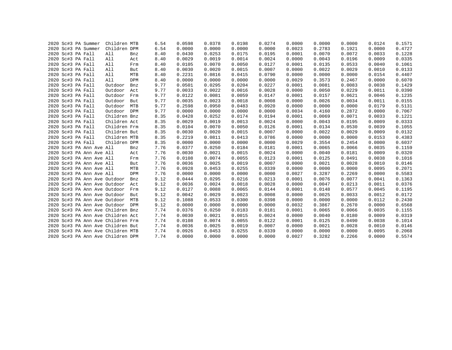|  | 2020 Sc#3 PA Summer |                              | Children MTB                      |            | 6.54 | 0.0598 | 0.0378 | 0.0198 | 0.0274 | 0.0000 | 0.0000 | 0.0000 | 0.0124 | 0.1571 |
|--|---------------------|------------------------------|-----------------------------------|------------|------|--------|--------|--------|--------|--------|--------|--------|--------|--------|
|  | 2020 Sc#3 PA Summer |                              | Children DPM                      |            | 6.54 | 0.0000 | 0.0000 | 0.0000 | 0.0000 | 0.0023 | 0.2783 | 0.1921 | 0.0000 | 0.4727 |
|  | 2020 Sc#3 PA Fall   |                              | All                               | Bnz        | 8.40 | 0.0430 | 0.0253 | 0.0175 | 0.0195 | 0.0001 | 0.0070 | 0.0072 | 0.0033 | 0.1228 |
|  | 2020 Sc#3 PA Fall   |                              | All                               | Act        | 8.40 | 0.0029 | 0.0019 | 0.0014 | 0.0024 | 0.0000 | 0.0043 | 0.0196 | 0.0009 | 0.0335 |
|  | 2020 Sc#3 PA Fall   |                              | All                               | Frm        | 8.40 | 0.0105 | 0.0070 | 0.0050 | 0.0127 | 0.0001 | 0.0135 | 0.0533 | 0.0040 | 0.1061 |
|  | 2020 Sc#3 PA Fall   |                              | All                               | But        | 8.40 | 0.0030 | 0.0020 | 0.0015 | 0.0007 | 0.0000 | 0.0022 | 0.0029 | 0.0010 | 0.0133 |
|  | 2020 Sc#3 PA Fall   |                              | All                               | MTB        | 8.40 | 0.2231 | 0.0816 | 0.0415 | 0.0790 | 0.0000 | 0.0000 | 0.0000 | 0.0154 | 0.4407 |
|  | 2020 Sc#3 PA Fall   |                              | All                               | DPM        | 8.40 | 0.0000 | 0.0000 | 0.0000 | 0.0000 | 0.0029 | 0.3573 | 0.2467 | 0.0000 | 0.6070 |
|  | 2020 Sc#3 PA Fall   |                              | Outdoor                           | Bnz        | 9.77 | 0.0501 | 0.0295 | 0.0204 | 0.0227 | 0.0001 | 0.0081 | 0.0083 | 0.0038 | 0.1429 |
|  | 2020 Sc#3 PA Fall   |                              | Outdoor                           | Act        | 9.77 | 0.0033 | 0.0022 | 0.0016 | 0.0028 | 0.0000 | 0.0050 | 0.0229 | 0.0011 | 0.0390 |
|  | 2020 Sc#3 PA Fall   |                              | Outdoor                           | Frm        | 9.77 | 0.0122 | 0.0081 | 0.0059 | 0.0147 | 0.0001 | 0.0157 | 0.0621 | 0.0046 | 0.1235 |
|  | 2020 Sc#3 PA Fall   |                              | Outdoor                           | But        | 9.77 | 0.0035 | 0.0023 | 0.0018 | 0.0008 | 0.0000 | 0.0026 | 0.0034 | 0.0011 | 0.0155 |
|  | 2020 Sc#3 PA Fall   |                              | Outdoor                           | MTB        | 9.77 | 0.2598 | 0.0950 | 0.0483 | 0.0920 | 0.0000 | 0.0000 | 0.0000 | 0.0179 | 0.5131 |
|  | 2020 Sc#3 PA Fall   |                              | Outdoor                           | <b>DPM</b> | 9.77 | 0.0000 | 0.0000 | 0.0000 | 0.0000 | 0.0034 | 0.4160 | 0.2872 | 0.0000 | 0.7067 |
|  | 2020 Sc#3 PA Fall   |                              | Children Bnz                      |            | 8.35 | 0.0428 | 0.0252 | 0.0174 | 0.0194 | 0.0001 | 0.0069 | 0.0071 | 0.0033 | 0.1221 |
|  | 2020 Sc#3 PA Fall   |                              | Children Act                      |            | 8.35 | 0.0029 | 0.0019 | 0.0013 | 0.0024 | 0.0000 | 0.0043 | 0.0195 | 0.0009 | 0.0333 |
|  | 2020 Sc#3 PA Fall   |                              | Children Frm                      |            | 8.35 | 0.0104 | 0.0070 | 0.0050 | 0.0126 | 0.0001 | 0.0134 | 0.0530 | 0.0039 | 0.1055 |
|  | 2020 Sc#3 PA Fall   |                              | Children But                      |            | 8.35 | 0.0030 | 0.0020 | 0.0015 | 0.0007 | 0.0000 | 0.0022 | 0.0029 | 0.0009 | 0.0132 |
|  | 2020 Sc#3 PA Fall   |                              | Children MTB                      |            | 8.35 | 0.2219 | 0.0811 | 0.0413 | 0.0786 | 0.0000 | 0.0000 | 0.0000 | 0.0153 | 0.4383 |
|  | 2020 Sc#3 PA Fall   |                              | Children DPM                      |            | 8.35 | 0.0000 | 0.0000 | 0.0000 | 0.0000 | 0.0029 | 0.3554 | 0.2454 | 0.0000 | 0.6037 |
|  |                     | 2020 Sc#3 PA Ann Ave All     |                                   | Bnz        | 7.76 | 0.0377 | 0.0250 | 0.0184 | 0.0181 | 0.0001 | 0.0065 | 0.0066 | 0.0035 | 0.1159 |
|  |                     | 2020 Sc#3 PA Ann Ave All     |                                   | Act        | 7.76 | 0.0030 | 0.0021 | 0.0015 | 0.0024 | 0.0000 | 0.0040 | 0.0181 | 0.0009 | 0.0320 |
|  |                     | 2020 Sc#3 PA Ann Ave All     |                                   | Frm        | 7.76 | 0.0108 | 0.0074 | 0.0055 | 0.0123 | 0.0001 | 0.0125 | 0.0491 | 0.0038 | 0.1016 |
|  |                     | 2020 Sc#3 PA Ann Ave All     |                                   | But        | 7.76 | 0.0036 | 0.0025 | 0.0019 | 0.0007 | 0.0000 | 0.0021 | 0.0028 | 0.0010 | 0.0146 |
|  |                     | 2020 Sc#3 PA Ann Ave All     |                                   | MTB        | 7.76 | 0.0928 | 0.0453 | 0.0255 | 0.0339 | 0.0000 | 0.0000 | 0.0000 | 0.0095 | 0.2071 |
|  |                     | 2020 Sc#3 PA Ann Ave All     |                                   | DPM        | 7.76 | 0.0000 | 0.0000 | 0.0000 | 0.0000 | 0.0027 | 0.3287 | 0.2269 | 0.0000 | 0.5583 |
|  |                     | 2020 Sc#3 PA Ann Ave Outdoor |                                   | Bnz        | 9.12 | 0.0444 | 0.0295 | 0.0216 | 0.0213 | 0.0001 | 0.0076 | 0.0077 | 0.0041 | 0.1363 |
|  |                     | 2020 Sc#3 PA Ann Ave Outdoor |                                   | Act        | 9.12 | 0.0036 | 0.0024 | 0.0018 | 0.0028 | 0.0000 | 0.0047 | 0.0213 | 0.0011 | 0.0376 |
|  |                     | 2020 Sc#3 PA Ann Ave Outdoor |                                   | Frm        | 9.12 | 0.0127 | 0.0088 | 0.0065 | 0.0144 | 0.0001 | 0.0148 | 0.0577 | 0.0045 | 0.1195 |
|  |                     | 2020 Sc#3 PA Ann Ave Outdoor |                                   | But        | 9.12 | 0.0042 | 0.0029 | 0.0023 | 0.0008 | 0.0000 | 0.0025 | 0.0033 | 0.0012 | 0.0172 |
|  |                     | 2020 Sc#3 PA Ann Ave Outdoor |                                   | MTB        | 9.12 | 0.1088 | 0.0533 | 0.0300 | 0.0398 | 0.0000 | 0.0000 | 0.0000 | 0.0112 | 0.2430 |
|  |                     | 2020 Sc#3 PA Ann Ave Outdoor |                                   | <b>DPM</b> | 9.12 | 0.0000 | 0.0000 | 0.0000 | 0.0000 | 0.0032 | 0.3867 | 0.2670 | 0.0000 | 0.6568 |
|  |                     |                              | 2020 Sc#3 PA Ann Ave Children Bnz |            | 7.74 | 0.0376 | 0.0250 | 0.0183 | 0.0181 | 0.0001 | 0.0065 | 0.0066 | 0.0035 | 0.1155 |
|  |                     |                              | 2020 Sc#3 PA Ann Ave Children Act |            | 7.74 | 0.0030 | 0.0021 | 0.0015 | 0.0024 | 0.0000 | 0.0040 | 0.0180 | 0.0009 | 0.0319 |
|  |                     |                              | 2020 Sc#3 PA Ann Ave Children Frm |            | 7.74 | 0.0108 | 0.0074 | 0.0055 | 0.0122 | 0.0001 | 0.0125 | 0.0490 | 0.0038 | 0.1014 |
|  |                     |                              | 2020 Sc#3 PA Ann Ave Children But |            | 7.74 | 0.0036 | 0.0025 | 0.0019 | 0.0007 | 0.0000 | 0.0021 | 0.0028 | 0.0010 | 0.0146 |
|  |                     |                              | 2020 Sc#3 PA Ann Ave Children MTB |            | 7.74 | 0.0926 | 0.0453 | 0.0255 | 0.0339 | 0.0000 | 0.0000 | 0.0000 | 0.0095 | 0.2068 |
|  |                     |                              | 2020 Sc#3 PA Ann Ave Children DPM |            | 7.74 | 0.0000 | 0.0000 | 0.0000 | 0.0000 | 0.0027 | 0.3282 | 0.2266 | 0.0000 | 0.5574 |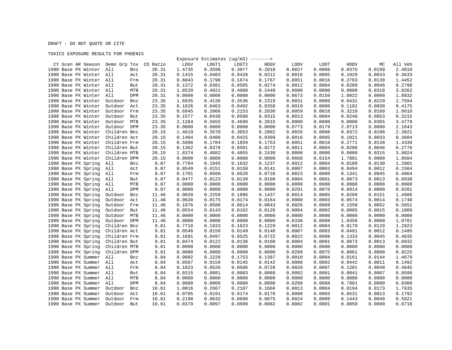## DRAFT - DO NOT QUOTE OR CITE

## TOXICS EXPOSURE RESULTS FOR PHOENIX

|                                |                       |          |        |        | Exposure Estimates ( $ug/m3$ ) -------> |             |        |        |        |        |         |
|--------------------------------|-----------------------|----------|--------|--------|-----------------------------------------|-------------|--------|--------|--------|--------|---------|
| CY Scen AR Season Demo Grp Tox |                       | CO Ratio | LDGV   | LDGT1  | LDGT2                                   | <b>HDGV</b> | LDDV   | LDDT   | HDDV   | МC     | All Veh |
| 1990 Base PX Winter            | All<br>Bnz            | 20.31    | 1.4735 | 0.3598 | 0.3077                                  | 0.2018      | 0.0027 | 0.0008 | 0.0375 | 0.0199 | 2.4010  |
| 1990 Base PX Winter All        | Act                   | 20.31    | 0.1415 | 0.0403 | 0.0428                                  | 0.0312      | 0.0016 | 0.0005 | 0.1029 | 0.0033 | 0.3633  |
| 1990 Base PX Winter All        | Frm                   | 20.31    | 0.6043 | 0.1798 | 0.1874                                  | 0.1767      | 0.0051 | 0.0016 | 0.2793 | 0.0139 | 1.4452  |
| 1990 Base PX Winter All        | But                   | 20.31    | 0.1372 | 0.0381 | 0.0505                                  | 0.0274      | 0.0012 | 0.0004 | 0.0209 | 0.0046 | 0.2798  |
| 1990 Base PX Winter            | All<br>MTB            | 20.31    | 1.8520 | 0.4921 | 0.4088                                  | 0.2449      | 0.0000 | 0.0000 | 0.0000 | 0.0318 | 3.0262  |
| 1990 Base PX Winter            | All<br>DPM            | 20.31    | 0.0000 | 0.0000 | 0.0000                                  | 0.0000      | 0.0673 | 0.0156 | 1.8022 | 0.0000 | 1.8832  |
| 1990 Base PX Winter            | Outdoor<br>Bnz        | 23.35    | 1.6935 | 0.4136 | 0.3536                                  | 0.2319      | 0.0031 | 0.0009 | 0.0431 | 0.0229 | 2.7594  |
| 1990 Base PX Winter            | Outdoor<br>Act        | 23.35    | 0.1626 | 0.0463 | 0.0492                                  | 0.0358      | 0.0019 | 0.0006 | 0.1182 | 0.0038 | 0.4175  |
| 1990 Base PX Winter            | Outdoor<br>Frm        | 23.35    | 0.6945 | 0.2066 | 0.2153                                  | 0.2030      | 0.0059 | 0.0018 | 0.3210 | 0.0160 | 1.6610  |
| 1990 Base PX Winter            | Outdoor<br>But        | 23.35    | 0.1577 | 0.0438 | 0.0580                                  | 0.0315      | 0.0013 | 0.0004 | 0.0240 | 0.0053 | 0.3215  |
| 1990 Base PX Winter            | Outdoor<br>MTB        | 23.35    | 2.1284 | 0.5655 | 0.4698                                  | 0.2815      | 0.0000 | 0.0000 | 0.0000 | 0.0365 | 3.4779  |
| 1990 Base PX Winter            | Outdoor<br>DPM        | 23.35    | 0.0000 | 0.0000 | 0.0000                                  | 0.0000      | 0.0773 | 0.0179 | 2.0713 | 0.0000 | 2.1643  |
| 1990 Base PX Winter            | Children Bnz          | 20.15    | 1.4619 | 0.3570 | 0.3053                                  | 0.2002      | 0.0026 | 0.0008 | 0.0372 | 0.0198 | 2.3821  |
| 1990 Base PX Winter            | Children Act          | 20.15    | 0.1404 | 0.0400 | 0.0425                                  | 0.0309      | 0.0016 | 0.0005 | 0.1021 | 0.0033 | 0.3604  |
| 1990 Base PX Winter            | Children Frm          | 20.15    | 0.5996 | 0.1784 | 0.1859                                  | 0.1753      | 0.0051 | 0.0016 | 0.2771 | 0.0138 | 1.4339  |
| 1990 Base PX Winter            | Children But          | 20.15    | 0.1362 | 0.0378 | 0.0501                                  | 0.0272      | 0.0011 | 0.0004 | 0.0208 | 0.0046 | 0.2776  |
| 1990 Base PX Winter            | Children MTB          | 20.15    | 1.8374 | 0.4882 | 0.4055                                  | 0.2430      | 0.0000 | 0.0000 | 0.0000 | 0.0315 | 3.0024  |
| 1990 Base PX Winter            | Children DPM          | 20.15    | 0.0000 | 0.0000 | 0.0000                                  | 0.0000      | 0.0668 | 0.0154 | 1.7881 | 0.0000 | 1.8684  |
| 1990 Base PX Spring            | All<br>Bnz            | 9.87     | 0.7764 | 0.1945 | 0.1632                                  | 0.1237      | 0.0012 | 0.0004 | 0.0180 | 0.0130 | 1.2901  |
| 1990 Base PX Spring            | All<br>Act            | 9.87     | 0.0549 | 0.0151 | 0.0150                                  | 0.0141      | 0.0007 | 0.0003 | 0.0494 | 0.0012 | 0.1504  |
| 1990 Base PX Spring            | All<br>Frm            | 9.87     | 0.1701 | 0.0500 | 0.0528                                  | 0.0726      | 0.0023 | 0.0008 | 0.1341 | 0.0045 | 0.4864  |
| 1990 Base PX Spring            | All<br>But            | 9.87     | 0.0477 | 0.0123 | 0.0139                                  | 0.0108      | 0.0004 | 0.0001 | 0.0073 | 0.0013 | 0.0938  |
| 1990 Base PX Spring            | All<br>MTB            | 9.87     | 0.0000 | 0.0000 | 0.0000                                  | 0.0000      | 0.0000 | 0.0000 | 0.0000 | 0.0000 | 0.0000  |
| 1990 Base PX Spring            | All<br>DPM            | 9.87     | 0.0000 | 0.0000 | 0.0000                                  | 0.0000      | 0.0291 | 0.0076 | 0.8914 | 0.0000 | 0.9281  |
| 1990 Base PX Spring            | Outdoor<br>Bnz        | 11.46    | 0.9020 | 0.2259 | 0.1896                                  | 0.1437      | 0.0014 | 0.0005 | 0.0209 | 0.0151 | 1.4986  |
| 1990 Base PX Spring            | Outdoor<br>Act        | 11.46    | 0.0638 | 0.0175 | 0.0174                                  | 0.0164      | 0.0008 | 0.0003 | 0.0574 | 0.0014 | 0.1748  |
| 1990 Base PX Spring            | Outdoor<br>Frm        | 11.46    | 0.1976 | 0.0580 | 0.0614                                  | 0.0843      | 0.0026 | 0.0009 | 0.1558 | 0.0052 | 0.5651  |
| 1990 Base PX Spring            | Outdoor<br>But        | 11.46    | 0.0554 | 0.0143 | 0.0162                                  | 0.0126      | 0.0004 | 0.0002 | 0.0085 | 0.0015 | 0.1089  |
| 1990 Base PX Spring            | Outdoor<br>MTB        | 11.46    | 0.0000 | 0.0000 | 0.0000                                  | 0.0000      | 0.0000 | 0.0000 | 0.0000 | 0.0000 | 0.0000  |
| 1990 Base PX Spring            | Outdoor<br><b>DPM</b> | 11.46    | 0.0000 | 0.0000 | 0.0000                                  | 0.0000      | 0.0338 | 0.0088 | 1.0356 | 0.0000 | 1.0781  |
| 1990 Base PX Spring            | Children Bnz          | 9.81     | 0.7718 | 0.1933 | 0.1623                                  | 0.1229      | 0.0012 | 0.0004 | 0.0179 | 0.0129 | 1.2823  |
| 1990 Base PX Spring            | Children Act          | 9.81     | 0.0546 | 0.0150 | 0.0149                                  | 0.0140      | 0.0007 | 0.0003 | 0.0491 | 0.0012 | 0.1495  |
| 1990 Base PX Spring            | Children Frm          | 9.81     | 0.1691 | 0.0497 | 0.0525                                  | 0.0722      | 0.0022 | 0.0008 | 0.1333 | 0.0045 | 0.4835  |
| 1990 Base PX Spring            | Children But          | 9.81     | 0.0474 | 0.0122 | 0.0138                                  | 0.0108      | 0.0004 | 0.0001 | 0.0073 | 0.0013 | 0.0932  |
| 1990 Base PX Spring            | Children MTB          | 9.81     | 0.0000 | 0.0000 | 0.0000                                  | 0.0000      | 0.0000 | 0.0000 | 0.0000 | 0.0000 | 0.0000  |
| 1990 Base PX Spring            | Children DPM          | 9.81     | 0.0000 | 0.0000 | 0.0000                                  | 0.0000      | 0.0289 | 0.0075 | 0.8861 | 0.0000 | 0.9225  |
| 1990 Base PX Summer            | All<br>Bnz            | 8.84     | 0.9002 | 0.2220 | 0.1753                                  | 0.1387      | 0.0010 | 0.0004 | 0.0161 | 0.0144 | 1.4679  |
| 1990 Base PX Summer            | All<br>Act            | 8.84     | 0.0587 | 0.0159 | 0.0145                                  | 0.0142      | 0.0006 | 0.0002 | 0.0442 | 0.0011 | 0.1492  |
| 1990 Base PX Summer            | All<br>Frm            | 8.84     | 0.1823 | 0.0526 | 0.0506                                  | 0.0728      | 0.0020 | 0.0007 | 0.1201 | 0.0040 | 0.4845  |
| 1990 Base PX Summer All        | But                   | 8.84     | 0.0315 | 0.0081 | 0.0083                                  | 0.0068      | 0.0002 | 0.0001 | 0.0041 | 0.0007 | 0.0598  |
| 1990 Base PX Summer            | All<br>MTB            | 8.84     | 0.0000 | 0.0000 | 0.0000                                  | 0.0000      | 0.0000 | 0.0000 | 0.0000 | 0.0000 | 0.0000  |
| 1990 Base PX Summer            | All<br><b>DPM</b>     | 8.84     | 0.0000 | 0.0000 | 0.0000                                  | 0.0000      | 0.0260 | 0.0068 | 0.7981 | 0.0000 | 0.8309  |
| 1990 Base PX Summer            | Outdoor<br>Bnz        | 10.61    | 1.0816 | 0.2667 | 0.2107                                  | 0.1666      | 0.0013 | 0.0004 | 0.0194 | 0.0173 | 1.7635  |
| 1990 Base PX Summer            | Outdoor<br>Act        | 10.61    | 0.0705 | 0.0191 | 0.0174                                  | 0.0170      | 0.0008 | 0.0003 | 0.0531 | 0.0013 | 0.1792  |
| 1990 Base PX Summer            | Outdoor<br>Frm        | 10.61    | 0.2190 | 0.0632 | 0.0608                                  | 0.0875      | 0.0024 | 0.0009 | 0.1443 | 0.0048 | 0.5821  |
| 1990 Base PX Summer            | Outdoor<br>But        | 10.61    | 0.0379 | 0.0097 | 0.0099                                  | 0.0082      | 0.0002 | 0.0001 | 0.0050 | 0.0009 | 0.0718  |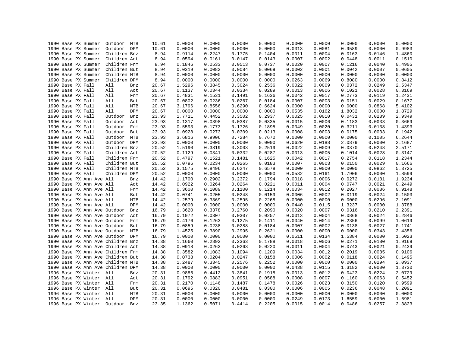|  | 1990 Base PX Summer               | Outdoor MTB  |            | 10.61 | 0.0000 | 0.0000 | 0.0000 | 0.0000 | 0.0000 | 0.0000 | 0.0000 | 0.0000 | 0.0000 |
|--|-----------------------------------|--------------|------------|-------|--------|--------|--------|--------|--------|--------|--------|--------|--------|
|  | 1990 Base PX Summer               | Outdoor DPM  |            | 10.61 | 0.0000 | 0.0000 | 0.0000 | 0.0000 | 0.0313 | 0.0081 | 0.9589 | 0.0000 | 0.9983 |
|  | 1990 Base PX Summer               | Children Bnz |            | 8.94  | 0.9114 | 0.2247 | 0.1775 | 0.1404 | 0.0011 | 0.0004 | 0.0163 | 0.0146 | 1.4860 |
|  | 1990 Base PX Summer               | Children Act |            | 8.94  | 0.0594 | 0.0161 | 0.0147 | 0.0143 | 0.0007 | 0.0002 | 0.0448 | 0.0011 | 0.1510 |
|  | 1990 Base PX Summer               | Children Frm |            | 8.94  | 0.1846 | 0.0533 | 0.0513 | 0.0737 | 0.0020 | 0.0007 | 0.1216 | 0.0040 | 0.4905 |
|  | 1990 Base PX Summer               | Children But |            | 8.94  | 0.0319 | 0.0082 | 0.0084 | 0.0069 | 0.0002 | 0.0001 | 0.0042 | 0.0007 | 0.0605 |
|  | 1990 Base PX Summer               | Children MTB |            | 8.94  | 0.0000 | 0.0000 | 0.0000 | 0.0000 | 0.0000 | 0.0000 | 0.0000 | 0.0000 | 0.0000 |
|  | 1990 Base PX Summer               | Children DPM |            | 8.94  | 0.0000 | 0.0000 | 0.0000 | 0.0000 | 0.0263 | 0.0069 | 0.8080 | 0.0000 | 0.8412 |
|  | 1990 Base PX Fall                 | All          | Bnz        | 20.67 | 1.5296 | 0.3845 | 0.3024 | 0.2536 | 0.0022 | 0.0009 | 0.0372 | 0.0249 | 2.5347 |
|  | 1990 Base PX Fall                 | All          | Act        | 20.67 | 0.1137 | 0.0344 | 0.0334 | 0.0289 | 0.0013 | 0.0006 | 0.1021 | 0.0028 | 0.3169 |
|  | 1990 Base PX Fall                 | All          | Frm        | 20.67 | 0.4831 | 0.1531 | 0.1491 | 0.1636 | 0.0042 | 0.0017 | 0.2773 | 0.0119 | 1.2431 |
|  | 1990 Base PX Fall                 | All          | But        | 20.67 | 0.0802 | 0.0236 | 0.0267 | 0.0184 | 0.0007 | 0.0003 | 0.0151 | 0.0029 | 0.1677 |
|  | 1990 Base PX Fall                 | All          | MTB        | 20.67 | 3.1796 | 0.8556 | 0.6290 | 0.6624 | 0.0000 | 0.0000 | 0.0000 | 0.0868 | 5.4102 |
|  | 1990 Base PX Fall                 | All          | <b>DPM</b> | 20.67 | 0.0000 | 0.0000 | 0.0000 | 0.0000 | 0.0535 | 0.0162 | 1.8032 | 0.0000 | 1.8729 |
|  | 1990 Base PX Fall                 | Outdoor      | Bnz        | 23.93 | 1.7711 | 0.4452 | 0.3502 | 0.2937 | 0.0025 | 0.0010 | 0.0431 | 0.0289 | 2.9349 |
|  | 1990 Base PX Fall                 | Outdoor      | Act        | 23.93 | 0.1317 | 0.0398 | 0.0387 | 0.0335 | 0.0015 | 0.0006 | 0.1183 | 0.0033 | 0.3669 |
|  | 1990 Base PX Fall                 | Outdoor      | Frm        | 23.93 | 0.5593 | 0.1773 | 0.1726 | 0.1895 | 0.0049 | 0.0020 | 0.3211 | 0.0138 | 1.4393 |
|  | 1990 Base PX Fall                 | Outdoor      | But        | 23.93 | 0.0928 | 0.0273 | 0.0309 | 0.0213 | 0.0008 | 0.0003 | 0.0175 | 0.0033 | 0.1942 |
|  | 1990 Base PX Fall                 | Outdoor      | MTB        | 23.93 | 3.6816 | 0.9906 | 0.7284 | 0.7670 | 0.0000 | 0.0000 | 0.0000 | 0.1005 | 6.2644 |
|  | 1990 Base PX Fall                 | Outdoor DPM  |            | 23.93 | 0.0000 | 0.0000 | 0.0000 | 0.0000 | 0.0620 | 0.0188 | 2.0879 | 0.0000 | 2.1687 |
|  | 1990 Base PX Fall                 | Children Bnz |            | 20.52 | 1.5190 | 0.3819 | 0.3003 | 0.2519 | 0.0022 | 0.0009 | 0.0370 | 0.0248 | 2.5171 |
|  | 1990 Base PX Fall                 | Children Act |            | 20.52 | 0.1129 | 0.0341 | 0.0332 | 0.0287 | 0.0013 | 0.0005 | 0.1014 | 0.0028 | 0.3147 |
|  | 1990 Base PX Fall                 | Children Frm |            | 20.52 | 0.4797 | 0.1521 | 0.1481 | 0.1625 | 0.0042 | 0.0017 | 0.2754 | 0.0118 | 1.2344 |
|  | 1990 Base PX Fall                 | Children But |            | 20.52 | 0.0796 | 0.0234 | 0.0265 | 0.0183 | 0.0007 | 0.0003 | 0.0150 | 0.0029 | 0.1666 |
|  | 1990 Base PX Fall                 | Children MTB |            | 20.52 | 3.1575 | 0.8496 | 0.6247 | 0.6578 | 0.0000 | 0.0000 | 0.0000 | 0.0862 | 5.3725 |
|  | 1990 Base PX Fall                 | Children DPM |            | 20.52 | 0.0000 | 0.0000 | 0.0000 | 0.0000 | 0.0532 | 0.0161 | 1.7906 | 0.0000 | 1.8599 |
|  | 1990 Base PX Ann Ave All          |              |            | 14.42 | 1.1700 | 0.2902 | 0.2372 | 0.1794 | 0.0018 | 0.0006 | 0.0272 | 0.0181 | 1.9234 |
|  | 1990 Base PX Ann Ave All          |              | Bnz        |       | 0.0922 | 0.0264 | 0.0264 | 0.0221 | 0.0011 | 0.0004 | 0.0747 | 0.0021 | 0.2449 |
|  |                                   |              | Act        | 14.42 |        |        |        |        | 0.0034 | 0.0012 |        |        |        |
|  | 1990 Base PX Ann Ave All          |              | Frm        | 14.42 | 0.3600 | 0.1089 | 0.1100 | 0.1214 |        |        | 0.2027 | 0.0086 | 0.9148 |
|  | 1990 Base PX Ann Ave All          |              | But        | 14.42 | 0.0741 | 0.0205 | 0.0248 | 0.0159 | 0.0006 | 0.0002 | 0.0119 | 0.0024 | 0.1503 |
|  | 1990 Base PX Ann Ave All          |              | MTB        | 14.42 | 1.2579 | 0.3369 | 0.2595 | 0.2268 | 0.0000 | 0.0000 | 0.0000 | 0.0296 | 2.1091 |
|  | 1990 Base PX Ann Ave All          |              | <b>DPM</b> | 14.42 | 0.0000 | 0.0000 | 0.0000 | 0.0000 | 0.0440 | 0.0115 | 1.3237 | 0.0000 | 1.3788 |
|  | 1990 Base PX Ann Ave Outdoor      |              | Bnz        | 16.79 | 1.3620 | 0.3378 | 0.2760 | 0.2090 | 0.0020 | 0.0007 | 0.0316 | 0.0210 | 2.2391 |
|  | 1990 Base PX Ann Ave Outdoor      |              | Act        | 16.79 | 0.1072 | 0.0307 | 0.0307 | 0.0257 | 0.0013 | 0.0004 | 0.0868 | 0.0024 | 0.2846 |
|  | 1990 Base PX Ann Ave Outdoor      |              | Frm        | 16.79 | 0.4176 | 0.1263 | 0.1275 | 0.1411 | 0.0040 | 0.0014 | 0.2356 | 0.0099 | 1.0619 |
|  | 1990 Base PX Ann Ave Outdoor      |              | But        | 16.79 | 0.0859 | 0.0238 | 0.0288 | 0.0184 | 0.0007 | 0.0002 | 0.0138 | 0.0027 | 0.1741 |
|  | 1990 Base PX Ann Ave Outdoor MTB  |              |            | 16.79 | 1.4525 | 0.3890 | 0.2995 | 0.2621 | 0.0000 | 0.0000 | 0.0000 | 0.0343 | 2.4356 |
|  | 1990 Base PX Ann Ave Outdoor DPM  |              |            | 16.79 | 0.0000 | 0.0000 | 0.0000 | 0.0000 | 0.0511 | 0.0134 | 1.5384 | 0.0000 | 1.6023 |
|  | 1990 Base PX Ann Ave Children Bnz |              |            | 14.38 | 1.1660 | 0.2892 | 0.2363 | 0.1788 | 0.0018 | 0.0006 | 0.0271 | 0.0180 | 1.9169 |
|  | 1990 Base PX Ann Ave Children Act |              |            | 14.38 | 0.0918 | 0.0263 | 0.0263 | 0.0220 | 0.0011 | 0.0004 | 0.0743 | 0.0021 | 0.2439 |
|  | 1990 Base PX Ann Ave Children Frm |              |            | 14.38 | 0.3582 | 0.1083 | 0.1094 | 0.1209 | 0.0034 | 0.0012 | 0.2019 | 0.0085 | 0.9106 |
|  | 1990 Base PX Ann Ave Children But |              |            | 14.38 | 0.0738 | 0.0204 | 0.0247 | 0.0158 | 0.0006 | 0.0002 | 0.0118 | 0.0024 | 0.1495 |
|  | 1990 Base PX Ann Ave Children MTB |              |            | 14.38 | 1.2487 | 0.3345 | 0.2576 | 0.2252 | 0.0000 | 0.0000 | 0.0000 | 0.0294 | 2.0937 |
|  | 1990 Base PX Ann Ave Children DPM |              |            | 14.38 | 0.0000 | 0.0000 | 0.0000 | 0.0000 | 0.0438 | 0.0115 | 1.3182 | 0.0000 | 1.3730 |
|  | 1996 Base PX Winter All           |              | Bnz        | 20.31 | 0.9886 | 0.4412 | 0.3841 | 0.1918 | 0.0013 | 0.0012 | 0.0423 | 0.0224 | 2.0729 |
|  | 1996 Base PX Winter All           |              | Act        | 20.31 | 0.1792 | 0.0883 | 0.0951 | 0.0588 | 0.0008 | 0.0007 | 0.1160 | 0.0063 | 0.5452 |
|  | 1996 Base PX Winter All           |              | Frm        | 20.31 | 0.2170 | 0.1146 | 0.1487 | 0.1478 | 0.0026 | 0.0023 | 0.3150 | 0.0120 | 0.9599 |
|  | 1996 Base PX Winter All           |              | But        | 20.31 | 0.0695 | 0.0320 | 0.0481 | 0.0300 | 0.0006 | 0.0005 | 0.0236 | 0.0048 | 0.2091 |
|  | 1996 Base PX Winter All           |              | MTB        | 20.31 | 0.0000 | 0.0000 | 0.0000 | 0.0000 | 0.0000 | 0.0000 | 0.0000 | 0.0000 | 0.0000 |
|  | 1996 Base PX Winter All           |              | DPM        | 20.31 | 0.0000 | 0.0000 | 0.0000 | 0.0000 | 0.0249 | 0.0173 | 1.6559 | 0.0000 | 1.6981 |
|  | 1996 Base PX Winter               | Outdoor      | Bnz        | 23.35 | 1.1362 | 0.5071 | 0.4414 | 0.2205 | 0.0015 | 0.0014 | 0.0486 | 0.0257 | 2.3823 |
|  |                                   |              |            |       |        |        |        |        |        |        |        |        |        |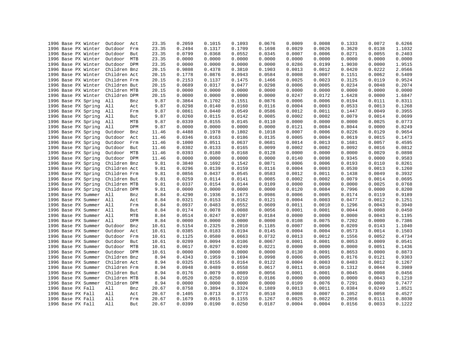| 1996 Base PX Winter | Outdoor<br>Act    | 23.35 | 0.2059 | 0.1015 | 0.1093 | 0.0676 | 0.0009 | 0.0008 | 0.1333 | 0.0072 | 0.6266 |
|---------------------|-------------------|-------|--------|--------|--------|--------|--------|--------|--------|--------|--------|
| 1996 Base PX Winter | Outdoor<br>Frm    | 23.35 | 0.2494 | 0.1317 | 0.1709 | 0.1698 | 0.0029 | 0.0026 | 0.3620 | 0.0138 | 1.1032 |
| 1996 Base PX Winter | Outdoor<br>But    | 23.35 | 0.0799 | 0.0368 | 0.0552 | 0.0345 | 0.0007 | 0.0006 | 0.0271 | 0.0055 | 0.2403 |
| 1996 Base PX Winter | Outdoor<br>MTB    | 23.35 | 0.0000 | 0.0000 | 0.0000 | 0.0000 | 0.0000 | 0.0000 | 0.0000 | 0.0000 | 0.0000 |
| 1996 Base PX Winter | Outdoor DPM       | 23.35 | 0.0000 | 0.0000 | 0.0000 | 0.0000 | 0.0286 | 0.0199 | 1.9030 | 0.0000 | 1.9515 |
| 1996 Base PX Winter | Children Bnz      | 20.15 | 0.9808 | 0.4378 | 0.3810 | 0.1903 | 0.0013 | 0.0012 | 0.0420 | 0.0222 | 2.0566 |
| 1996 Base PX Winter | Children Act      | 20.15 | 0.1778 | 0.0876 | 0.0943 | 0.0584 | 0.0008 | 0.0007 | 0.1151 | 0.0062 | 0.5409 |
| 1996 Base PX Winter | Children Frm      | 20.15 | 0.2153 | 0.1137 | 0.1475 | 0.1466 | 0.0025 | 0.0023 | 0.3125 | 0.0119 | 0.9524 |
| 1996 Base PX Winter | Children But      | 20.15 | 0.0689 | 0.0317 | 0.0477 | 0.0298 | 0.0006 | 0.0005 | 0.0234 | 0.0048 | 0.2074 |
| 1996 Base PX Winter | Children MTB      | 20.15 | 0.0000 | 0.0000 | 0.0000 | 0.0000 | 0.0000 | 0.0000 | 0.0000 | 0.0000 | 0.0000 |
| 1996 Base PX Winter | Children DPM      | 20.15 | 0.0000 | 0.0000 | 0.0000 | 0.0000 | 0.0247 | 0.0172 | 1.6428 | 0.0000 | 1.6847 |
| 1996 Base PX Spring | All<br>Bnz        | 9.87  | 0.3864 | 0.1702 | 0.1551 | 0.0876 | 0.0006 | 0.0006 | 0.0194 | 0.0111 | 0.8311 |
| 1996 Base PX Spring | All<br>Act        | 9.87  | 0.0298 | 0.0140 | 0.0160 | 0.0116 | 0.0004 | 0.0003 | 0.0533 | 0.0013 | 0.1268 |
| 1996 Base PX Spring | All<br>Frm        | 9.87  | 0.0861 | 0.0440 | 0.0549 | 0.0586 | 0.0012 | 0.0011 | 0.1447 | 0.0049 | 0.3955 |
| 1996 Base PX Spring | All<br>But        | 9.87  | 0.0260 | 0.0115 | 0.0142 | 0.0085 | 0.0002 | 0.0002 | 0.0079 | 0.0014 | 0.0699 |
| 1996 Base PX Spring | All<br>MTB        | 9.87  | 0.0339 | 0.0155 | 0.0145 | 0.0110 | 0.0000 | 0.0000 | 0.0000 | 0.0025 | 0.0773 |
| 1996 Base PX Spring | <b>DPM</b><br>All | 9.87  | 0.0000 | 0.0000 | 0.0000 | 0.0000 | 0.0121 | 0.0084 | 0.8044 | 0.0000 | 0.8249 |
| 1996 Base PX Spring | Outdoor<br>Bnz    | 11.46 | 0.4488 | 0.1978 | 0.1802 | 0.1018 | 0.0007 | 0.0006 | 0.0226 | 0.0129 | 0.9654 |
| 1996 Base PX Spring | Outdoor<br>Act    | 11.46 | 0.0346 | 0.0163 | 0.0186 | 0.0135 | 0.0005 | 0.0004 | 0.0619 | 0.0015 | 0.1473 |
| 1996 Base PX Spring | Outdoor<br>Frm    | 11.46 | 0.1000 | 0.0511 | 0.0637 | 0.0681 | 0.0014 | 0.0013 | 0.1681 | 0.0057 | 0.4595 |
| 1996 Base PX Spring | Outdoor<br>But    | 11.46 | 0.0302 | 0.0133 | 0.0165 | 0.0099 | 0.0002 | 0.0002 | 0.0092 | 0.0016 | 0.0812 |
| 1996 Base PX Spring | Outdoor<br>MTB    | 11.46 | 0.0393 | 0.0180 | 0.0168 | 0.0128 | 0.0000 | 0.0000 | 0.0000 | 0.0029 | 0.0898 |
| 1996 Base PX Spring | Outdoor<br>DPM    | 11.46 | 0.0000 | 0.0000 | 0.0000 | 0.0000 | 0.0140 | 0.0098 | 0.9345 | 0.0000 | 0.9583 |
| 1996 Base PX Spring | Children Bnz      | 9.81  | 0.3840 | 0.1692 | 0.1542 | 0.0871 | 0.0006 | 0.0006 | 0.0193 | 0.0110 | 0.8261 |
| 1996 Base PX Spring | Children Act      | 9.81  | 0.0296 | 0.0139 | 0.0159 | 0.0116 | 0.0004 | 0.0003 | 0.0530 | 0.0013 | 0.1260 |
| 1996 Base PX Spring | Children Frm      | 9.81  | 0.0856 | 0.0437 | 0.0545 | 0.0583 | 0.0012 | 0.0011 | 0.1438 | 0.0049 | 0.3932 |
|                     |                   |       | 0.0259 | 0.0114 | 0.0141 |        | 0.0002 | 0.0002 | 0.0079 | 0.0014 |        |
| 1996 Base PX Spring | Children But      | 9.81  |        |        |        | 0.0085 |        |        |        |        | 0.0695 |
| 1996 Base PX Spring | Children MTB      | 9.81  | 0.0337 | 0.0154 | 0.0144 | 0.0109 | 0.0000 | 0.0000 | 0.0000 | 0.0025 | 0.0768 |
| 1996 Base PX Spring | Children DPM      | 9.81  | 0.0000 | 0.0000 | 0.0000 | 0.0000 | 0.0120 | 0.0084 | 0.7996 | 0.0000 | 0.8200 |
| 1996 Base PX Summer | All<br>Bnz        | 8.84  | 0.4290 | 0.1936 | 0.1673 | 0.0986 | 0.0006 | 0.0005 | 0.0174 | 0.0119 | 0.9189 |
| 1996 Base PX Summer | All<br>Act        | 8.84  | 0.0321 | 0.0153 | 0.0162 | 0.0121 | 0.0004 | 0.0003 | 0.0477 | 0.0012 | 0.1251 |
| 1996 Base PX Summer | All<br>Frm        | 8.84  | 0.0937 | 0.0483 | 0.0552 | 0.0609 | 0.0011 | 0.0010 | 0.1296 | 0.0043 | 0.3940 |
| 1996 Base PX Summer | All<br>But        | 8.84  | 0.0174 | 0.0078 | 0.0088 | 0.0056 | 0.0001 | 0.0001 | 0.0044 | 0.0008 | 0.0450 |
| 1996 Base PX Summer | All<br>MTB        | 8.84  | 0.0514 | 0.0247 | 0.0207 | 0.0184 | 0.0000 | 0.0000 | 0.0000 | 0.0043 | 0.1195 |
| 1996 Base PX Summer | All<br>DPM        | 8.84  | 0.0000 | 0.0000 | 0.0000 | 0.0000 | 0.0108 | 0.0075 | 0.7202 | 0.0000 | 0.7386 |
| 1996 Base PX Summer | Outdoor<br>Bnz    | 10.61 | 0.5154 | 0.2325 | 0.2010 | 0.1185 | 0.0007 | 0.0006 | 0.0209 | 0.0143 | 1.1040 |
| 1996 Base PX Summer | Outdoor<br>Act    | 10.61 | 0.0385 | 0.0183 | 0.0194 | 0.0145 | 0.0004 | 0.0004 | 0.0573 | 0.0014 | 0.1503 |
| 1996 Base PX Summer | Outdoor<br>Frm    | 10.61 | 0.1125 | 0.0580 | 0.0663 | 0.0732 | 0.0013 | 0.0012 | 0.1556 | 0.0052 | 0.4734 |
| 1996 Base PX Summer | Outdoor<br>But    | 10.61 | 0.0209 | 0.0094 | 0.0106 | 0.0067 | 0.0001 | 0.0001 | 0.0053 | 0.0009 | 0.0541 |
| 1996 Base PX Summer | Outdoor<br>MTB    | 10.61 | 0.0617 | 0.0297 | 0.0249 | 0.0221 | 0.0000 | 0.0000 | 0.0000 | 0.0051 | 0.1436 |
| 1996 Base PX Summer | Outdoor<br>DPM    | 10.61 | 0.0000 | 0.0000 | 0.0000 | 0.0000 | 0.0130 | 0.0091 | 0.8653 | 0.0000 | 0.8873 |
| 1996 Base PX Summer | Children Bnz      | 8.94  | 0.4343 | 0.1959 | 0.1694 | 0.0998 | 0.0006 | 0.0005 | 0.0176 | 0.0121 | 0.9303 |
| 1996 Base PX Summer | Children Act      | 8.94  | 0.0325 | 0.0155 | 0.0164 | 0.0122 | 0.0004 | 0.0003 | 0.0483 | 0.0012 | 0.1267 |
| 1996 Base PX Summer | Children Frm      | 8.94  | 0.0948 | 0.0489 | 0.0558 | 0.0617 | 0.0011 | 0.0010 | 0.1312 | 0.0044 | 0.3989 |
| 1996 Base PX Summer | Children But      | 8.94  | 0.0176 | 0.0079 | 0.0089 | 0.0056 | 0.0001 | 0.0001 | 0.0045 | 0.0008 | 0.0456 |
| 1996 Base PX Summer | Children MTB      | 8.94  | 0.0520 | 0.0250 | 0.0210 | 0.0186 | 0.0000 | 0.0000 | 0.0000 | 0.0043 | 0.1210 |
| 1996 Base PX Summer | Children DPM      | 8.94  | 0.0000 | 0.0000 | 0.0000 | 0.0000 | 0.0109 | 0.0076 | 0.7291 | 0.0000 | 0.7477 |
| 1996 Base PX Fall   | All<br>Bnz        | 20.67 | 0.8758 | 0.3894 | 0.3324 | 0.1889 | 0.0013 | 0.0011 | 0.0384 | 0.0249 | 1.8521 |
| 1996 Base PX Fall   | All<br>Act        | 20.67 | 0.1405 | 0.0713 | 0.0773 | 0.0510 | 0.0008 | 0.0007 | 0.1052 | 0.0058 | 0.4527 |
| 1996 Base PX Fall   | All<br>Frm        | 20.67 | 0.1679 | 0.0915 | 0.1155 | 0.1267 | 0.0025 | 0.0022 | 0.2856 | 0.0111 | 0.8030 |
| 1996 Base PX Fall   | All<br>But        | 20.67 | 0.0399 | 0.0190 | 0.0250 | 0.0187 | 0.0004 | 0.0004 | 0.0156 | 0.0033 | 0.1222 |
|                     |                   |       |        |        |        |        |        |        |        |        |        |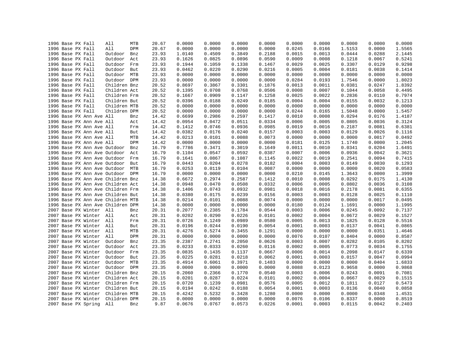|  | 1996 Base PX Fall                 | All          | MTB | 20.67 | 0.0000 | 0.0000 | 0.0000 | 0.0000 | 0.0000 | 0.0000 | 0.0000 | 0.0000 | 0.0000 |
|--|-----------------------------------|--------------|-----|-------|--------|--------|--------|--------|--------|--------|--------|--------|--------|
|  | 1996 Base PX Fall                 | All          | DPM | 20.67 | 0.0000 | 0.0000 | 0.0000 | 0.0000 | 0.0245 | 0.0166 | 1.5153 | 0.0000 | 1.5565 |
|  | 1996 Base PX Fall                 | Outdoor      | Bnz | 23.93 | 1.0140 | 0.4509 | 0.3849 | 0.2188 | 0.0015 | 0.0013 | 0.0444 | 0.0288 | 2.1445 |
|  | 1996 Base PX Fall                 | Outdoor      | Act | 23.93 | 0.1626 | 0.0825 | 0.0896 | 0.0590 | 0.0009 | 0.0008 | 0.1218 | 0.0067 | 0.5241 |
|  | 1996 Base PX Fall                 | Outdoor      | Frm | 23.93 | 0.1944 | 0.1059 | 0.1338 | 0.1467 | 0.0029 | 0.0025 | 0.3307 | 0.0129 | 0.9298 |
|  | 1996 Base PX Fall                 | Outdoor      | But | 23.93 | 0.0462 | 0.0220 | 0.0290 | 0.0216 | 0.0005 | 0.0004 | 0.0181 | 0.0038 | 0.1414 |
|  | 1996 Base PX Fall                 | Outdoor MTB  |     | 23.93 | 0.0000 | 0.0000 | 0.0000 | 0.0000 | 0.0000 | 0.0000 | 0.0000 | 0.0000 | 0.0000 |
|  | 1996 Base PX Fall                 | Outdoor DPM  |     | 23.93 | 0.0000 | 0.0000 | 0.0000 | 0.0000 | 0.0284 | 0.0193 | 1.7546 | 0.0000 | 1.8023 |
|  | 1996 Base PX Fall                 | Children Bnz |     | 20.52 | 0.8697 | 0.3867 | 0.3301 | 0.1876 | 0.0013 | 0.0011 | 0.0381 | 0.0247 | 1.8392 |
|  | 1996 Base PX Fall                 | Children Act |     | 20.52 | 0.1395 | 0.0708 | 0.0768 | 0.0506 | 0.0008 | 0.0007 | 0.1044 | 0.0058 | 0.4495 |
|  | 1996 Base PX Fall                 | Children Frm |     | 20.52 | 0.1667 | 0.0909 | 0.1147 | 0.1258 | 0.0025 | 0.0022 | 0.2836 | 0.0110 | 0.7974 |
|  | 1996 Base PX Fall                 | Children But |     | 20.52 | 0.0396 | 0.0188 | 0.0249 | 0.0185 | 0.0004 | 0.0004 | 0.0155 | 0.0032 | 0.1213 |
|  | 1996 Base PX Fall                 | Children MTB |     | 20.52 | 0.0000 | 0.0000 | 0.0000 | 0.0000 | 0.0000 | 0.0000 | 0.0000 | 0.0000 | 0.0000 |
|  | 1996 Base PX Fall                 | Children DPM |     | 20.52 | 0.0000 | 0.0000 | 0.0000 | 0.0000 | 0.0244 | 0.0165 | 1.5048 | 0.0000 | 1.5457 |
|  | 1996 Base PX Ann Ave All          |              | Bnz | 14.42 | 0.6699 | 0.2986 | 0.2597 | 0.1417 | 0.0010 | 0.0008 | 0.0294 | 0.0176 | 1.4187 |
|  | 1996 Base PX Ann Ave All          |              | Act | 14.42 | 0.0954 | 0.0472 | 0.0511 | 0.0334 | 0.0006 | 0.0005 | 0.0805 | 0.0036 | 0.3124 |
|  | 1996 Base PX Ann Ave All          |              | Frm | 14.42 | 0.1412 | 0.0746 | 0.0936 | 0.0985 | 0.0019 | 0.0016 | 0.2187 | 0.0081 | 0.6381 |
|  | 1996 Base PX Ann Ave All          |              | But | 14.42 | 0.0382 | 0.0176 | 0.0240 | 0.0157 | 0.0003 | 0.0003 | 0.0129 | 0.0026 | 0.1116 |
|  | 1996 Base PX Ann Ave All          |              | MTB | 14.42 | 0.0213 | 0.0101 | 0.0088 | 0.0073 | 0.0000 | 0.0000 | 0.0000 | 0.0017 | 0.0492 |
|  | 1996 Base PX Ann Ave All          |              | DPM | 14.42 | 0.0000 | 0.0000 | 0.0000 | 0.0000 | 0.0181 | 0.0125 | 1.1740 | 0.0000 | 1.2045 |
|  | 1996 Base PX Ann Ave Outdoor      |              | Bnz | 16.79 | 0.7786 | 0.3471 | 0.3019 | 0.1649 | 0.0011 | 0.0010 | 0.0341 | 0.0204 | 1.6491 |
|  | 1996 Base PX Ann Ave Outdoor      |              | Act | 16.79 | 0.1104 | 0.0547 | 0.0592 | 0.0387 | 0.0007 | 0.0006 | 0.0936 | 0.0042 | 0.3621 |
|  | 1996 Base PX Ann Ave Outdoor      |              | Frm | 16.79 | 0.1641 | 0.0867 | 0.1087 | 0.1145 | 0.0022 | 0.0019 | 0.2541 | 0.0094 | 0.7415 |
|  | 1996 Base PX Ann Ave Outdoor      |              | But | 16.79 | 0.0443 | 0.0204 | 0.0278 | 0.0182 | 0.0004 | 0.0003 | 0.0149 | 0.0030 | 0.1293 |
|  | 1996 Base PX Ann Ave Outdoor MTB  |              |     | 16.79 | 0.0253 | 0.0119 | 0.0104 | 0.0087 | 0.0000 | 0.0000 | 0.0000 | 0.0020 | 0.0583 |
|  | 1996 Base PX Ann Ave Outdoor DPM  |              |     | 16.79 | 0.0000 | 0.0000 | 0.0000 | 0.0000 | 0.0210 | 0.0145 | 1.3643 | 0.0000 | 1.3999 |
|  | 1996 Base PX Ann Ave Children Bnz |              |     | 14.38 | 0.6672 | 0.2974 | 0.2587 | 0.1412 | 0.0010 | 0.0008 | 0.0292 | 0.0175 | 1.4130 |
|  | 1996 Base PX Ann Ave Children Act |              |     | 14.38 | 0.0948 | 0.0470 | 0.0508 | 0.0332 | 0.0006 | 0.0005 | 0.0802 | 0.0036 | 0.3108 |
|  | 1996 Base PX Ann Ave Children Frm |              |     | 14.38 | 0.1406 | 0.0743 | 0.0932 | 0.0981 | 0.0018 | 0.0016 | 0.2178 | 0.0081 | 0.6355 |
|  | 1996 Base PX Ann Ave Children But |              |     | 14.38 | 0.0380 | 0.0175 | 0.0239 | 0.0156 | 0.0003 | 0.0003 | 0.0128 | 0.0025 | 0.1110 |
|  | 1996 Base PX Ann Ave Children MTB |              |     | 14.38 | 0.0214 | 0.0101 | 0.0088 | 0.0074 | 0.0000 | 0.0000 | 0.0000 | 0.0017 | 0.0495 |
|  | 1996 Base PX Ann Ave Children DPM |              |     | 14.38 | 0.0000 | 0.0000 | 0.0000 | 0.0000 | 0.0180 | 0.0124 | 1.1691 | 0.0000 | 1.1995 |
|  | 2007 Base PX Winter All           |              | Bnz | 20.31 | 0.2077 | 0.2385 | 0.1784 | 0.0544 | 0.0003 | 0.0006 | 0.0245 | 0.0092 | 0.7137 |
|  | 2007 Base PX Winter All           |              | Act | 20.31 | 0.0202 | 0.0290 | 0.0226 | 0.0101 | 0.0002 | 0.0004 | 0.0672 | 0.0029 | 0.1527 |
|  | 2007 Base PX Winter All           |              | Frm | 20.31 | 0.0726 | 0.1249 | 0.0989 | 0.0580 | 0.0005 | 0.0013 | 0.1825 | 0.0128 | 0.5516 |
|  | 2007 Base PX Winter All           |              | But | 20.31 | 0.0196 | 0.0244 | 0.0190 | 0.0054 | 0.0001 | 0.0003 | 0.0137 | 0.0041 | 0.0865 |
|  | 2007 Base PX Winter All           |              | MTB | 20.31 | 0.4276 | 0.5274 | 0.3455 | 0.1291 | 0.0000 | 0.0000 | 0.0000 | 0.0351 | 1.4646 |
|  | 2007 Base PX Winter               | All          | DPM | 20.31 | 0.0000 | 0.0000 | 0.0000 | 0.0000 | 0.0076 | 0.0107 | 0.8404 | 0.0000 | 0.8587 |
|  | 2007 Base PX Winter               | Outdoor      | Bnz | 23.35 | 0.2387 | 0.2741 | 0.2050 | 0.0626 | 0.0003 | 0.0007 | 0.0282 | 0.0105 | 0.8202 |
|  | 2007 Base PX Winter               | Outdoor      | Act | 23.35 | 0.0233 | 0.0333 | 0.0260 | 0.0116 | 0.0002 | 0.0005 | 0.0773 | 0.0034 | 0.1755 |
|  | 2007 Base PX Winter               | Outdoor      | Frm | 23.35 | 0.0835 | 0.1435 | 0.1137 | 0.0667 | 0.0006 | 0.0014 | 0.2098 | 0.0147 | 0.6339 |
|  | 2007 Base PX Winter               | Outdoor      | But | 23.35 | 0.0225 | 0.0281 | 0.0218 | 0.0062 | 0.0001 | 0.0003 | 0.0157 | 0.0047 | 0.0994 |
|  | 2007 Base PX Winter               | Outdoor MTB  |     | 23.35 | 0.4914 | 0.6061 | 0.3971 | 0.1483 | 0.0000 | 0.0000 | 0.0000 | 0.0404 | 1.6833 |
|  | 2007 Base PX Winter               | Outdoor DPM  |     | 23.35 | 0.0000 | 0.0000 | 0.0000 | 0.0000 | 0.0088 | 0.0123 | 0.9658 | 0.0000 | 0.9868 |
|  | 2007 Base PX Winter               | Children Bnz |     | 20.15 | 0.2060 | 0.2366 | 0.1770 | 0.0540 | 0.0003 | 0.0006 | 0.0243 | 0.0091 | 0.7081 |
|  | 2007 Base PX Winter               | Children Act |     | 20.15 | 0.0201 | 0.0287 | 0.0224 | 0.0101 | 0.0002 | 0.0004 | 0.0667 | 0.0029 | 0.1515 |
|  | 2007 Base PX Winter               | Children Frm |     | 20.15 | 0.0720 | 0.1239 | 0.0981 | 0.0576 | 0.0005 | 0.0012 | 0.1811 | 0.0127 | 0.5473 |
|  | 2007 Base PX Winter               | Children But |     | 20.15 | 0.0194 | 0.0242 | 0.0188 | 0.0054 | 0.0001 | 0.0003 | 0.0136 | 0.0040 | 0.0858 |
|  | 2007 Base PX Winter               | Children MTB |     | 20.15 | 0.4242 | 0.5232 | 0.3428 | 0.1280 | 0.0000 | 0.0000 | 0.0000 | 0.0348 | 1.4531 |
|  | 2007 Base PX Winter               | Children DPM |     | 20.15 | 0.0000 | 0.0000 | 0.0000 | 0.0000 | 0.0076 | 0.0106 | 0.8337 | 0.0000 | 0.8519 |
|  | 2007 Base PX Spring               | All          | Bnz | 9.87  | 0.0676 | 0.0767 | 0.0573 | 0.0226 | 0.0001 | 0.0003 | 0.0115 | 0.0042 | 0.2403 |
|  |                                   |              |     |       |        |        |        |        |        |        |        |        |        |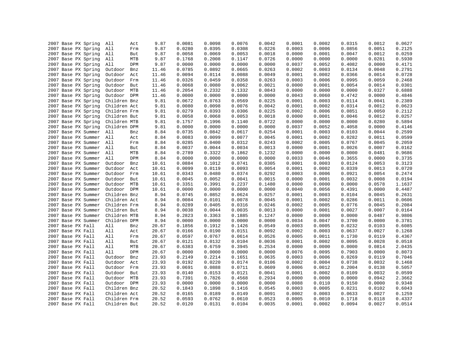| 2007 Base PX Spring | All<br>Act        | 9.87  | 0.0081 | 0.0098 | 0.0076 | 0.0042 | 0.0001 | 0.0002 | 0.0315 | 0.0012 | 0.0627 |
|---------------------|-------------------|-------|--------|--------|--------|--------|--------|--------|--------|--------|--------|
| 2007 Base PX Spring | All<br>Frm        | 9.87  | 0.0280 | 0.0395 | 0.0308 | 0.0226 | 0.0003 | 0.0006 | 0.0856 | 0.0051 | 0.2125 |
| 2007 Base PX Spring | All<br>But        | 9.87  | 0.0058 | 0.0069 | 0.0053 | 0.0018 | 0.0000 | 0.0001 | 0.0047 | 0.0012 | 0.0259 |
| 2007 Base PX Spring | All<br>MTB        | 9.87  | 0.1768 | 0.2008 | 0.1147 | 0.0726 | 0.0000 | 0.0000 | 0.0000 | 0.0281 | 0.5930 |
| 2007 Base PX Spring | DPM<br>All        | 9.87  | 0.0000 | 0.0000 | 0.0000 | 0.0000 | 0.0037 | 0.0052 | 0.4082 | 0.0000 | 0.4171 |
| 2007 Base PX Spring | Outdoor<br>Bnz    | 11.46 | 0.0785 | 0.0892 | 0.0665 | 0.0263 | 0.0002 | 0.0003 | 0.0134 | 0.0048 | 0.2791 |
| 2007 Base PX Spring | Outdoor<br>Act    | 11.46 | 0.0094 | 0.0114 | 0.0088 | 0.0049 | 0.0001 | 0.0002 | 0.0366 | 0.0014 | 0.0728 |
| 2007 Base PX Spring | Outdoor<br>Frm    | 11.46 | 0.0326 | 0.0459 | 0.0358 | 0.0263 | 0.0003 | 0.0006 | 0.0995 | 0.0059 | 0.2468 |
| 2007 Base PX Spring | Outdoor<br>But    | 11.46 | 0.0068 | 0.0080 | 0.0062 | 0.0021 | 0.0000 | 0.0001 | 0.0054 | 0.0014 | 0.0301 |
| 2007 Base PX Spring | Outdoor MTB       | 11.46 | 0.2054 | 0.2332 | 0.1332 | 0.0843 | 0.0000 | 0.0000 | 0.0000 | 0.0327 | 0.6888 |
| 2007 Base PX Spring | Outdoor DPM       | 11.46 | 0.0000 | 0.0000 | 0.0000 | 0.0000 | 0.0043 | 0.0060 | 0.4742 | 0.0000 | 0.4846 |
| 2007 Base PX Spring | Children Bnz      | 9.81  | 0.0672 | 0.0763 | 0.0569 | 0.0225 | 0.0001 | 0.0003 | 0.0114 | 0.0041 | 0.2389 |
| 2007 Base PX Spring | Children Act      | 9.81  | 0.0080 | 0.0098 | 0.0076 | 0.0042 | 0.0001 | 0.0002 | 0.0314 | 0.0012 | 0.0623 |
| 2007 Base PX Spring | Children Frm      | 9.81  | 0.0279 | 0.0393 | 0.0306 | 0.0225 | 0.0002 | 0.0006 | 0.0851 | 0.0050 | 0.2112 |
| 2007 Base PX Spring | Children But      | 9.81  | 0.0058 | 0.0068 | 0.0053 | 0.0018 | 0.0000 | 0.0001 | 0.0046 | 0.0012 | 0.0257 |
| 2007 Base PX Spring | Children MTB      | 9.81  | 0.1757 | 0.1996 | 0.1140 | 0.0722 | 0.0000 | 0.0000 | 0.0000 | 0.0280 | 0.5894 |
| 2007 Base PX Spring | Children DPM      | 9.81  | 0.0000 | 0.0000 | 0.0000 | 0.0000 | 0.0037 | 0.0052 | 0.4058 | 0.0000 | 0.4146 |
| 2007 Base PX Summer | All<br>Bnz        | 8.84  | 0.0735 | 0.0842 | 0.0617 | 0.0254 | 0.0001 | 0.0003 | 0.0103 | 0.0044 | 0.2599 |
| 2007 Base PX Summer | All<br>Act        | 8.84  | 0.0083 | 0.0099 | 0.0077 | 0.0045 | 0.0001 | 0.0002 | 0.0282 | 0.0011 | 0.0599 |
| 2007 Base PX Summer | All<br>Frm        | 8.84  | 0.0285 | 0.0400 | 0.0312 | 0.0243 | 0.0002 | 0.0005 | 0.0767 | 0.0045 | 0.2059 |
| 2007 Base PX Summer | All<br>But        | 8.84  | 0.0037 | 0.0044 | 0.0034 | 0.0013 | 0.0000 | 0.0001 | 0.0026 | 0.0007 | 0.0162 |
|                     | MTB               |       | 0.2789 |        | 0.1862 | 0.1232 | 0.0000 | 0.0000 | 0.0000 |        |        |
| 2007 Base PX Summer | All<br>All<br>DPM | 8.84  |        | 0.3322 |        |        |        |        |        | 0.0481 | 0.9686 |
| 2007 Base PX Summer |                   | 8.84  | 0.0000 | 0.0000 | 0.0000 | 0.0000 | 0.0033 | 0.0046 | 0.3655 | 0.0000 | 0.3735 |
| 2007 Base PX Summer | Outdoor<br>Bnz    | 10.61 | 0.0884 | 0.1012 | 0.0741 | 0.0305 | 0.0001 | 0.0003 | 0.0124 | 0.0053 | 0.3123 |
| 2007 Base PX Summer | Outdoor<br>Act    | 10.61 | 0.0099 | 0.0119 | 0.0093 | 0.0054 | 0.0001 | 0.0002 | 0.0339 | 0.0013 | 0.0720 |
| 2007 Base PX Summer | Outdoor Frm       | 10.61 | 0.0343 | 0.0480 | 0.0374 | 0.0292 | 0.0003 | 0.0006 | 0.0921 | 0.0054 | 0.2474 |
| 2007 Base PX Summer | Outdoor<br>But    | 10.61 | 0.0045 | 0.0052 | 0.0041 | 0.0015 | 0.0000 | 0.0001 | 0.0032 | 0.0008 | 0.0194 |
| 2007 Base PX Summer | Outdoor MTB       | 10.61 | 0.3351 | 0.3991 | 0.2237 | 0.1480 | 0.0000 | 0.0000 | 0.0000 | 0.0578 | 1.1637 |
| 2007 Base PX Summer | Outdoor DPM       | 10.61 | 0.0000 | 0.0000 | 0.0000 | 0.0000 | 0.0040 | 0.0056 | 0.4391 | 0.0000 | 0.4487 |
| 2007 Base PX Summer | Children Bnz      | 8.94  | 0.0745 | 0.0852 | 0.0624 | 0.0257 | 0.0001 | 0.0003 | 0.0104 | 0.0045 | 0.2631 |
| 2007 Base PX Summer | Children Act      | 8.94  | 0.0084 | 0.0101 | 0.0078 | 0.0045 | 0.0001 | 0.0002 | 0.0286 | 0.0011 | 0.0606 |
| 2007 Base PX Summer | Children Frm      | 8.94  | 0.0289 | 0.0405 | 0.0316 | 0.0246 | 0.0002 | 0.0005 | 0.0776 | 0.0045 | 0.2084 |
| 2007 Base PX Summer | Children But      | 8.94  | 0.0038 | 0.0044 | 0.0035 | 0.0013 | 0.0000 | 0.0001 | 0.0027 | 0.0007 | 0.0164 |
| 2007 Base PX Summer | Children MTB      | 8.94  | 0.2823 | 0.3363 | 0.1885 | 0.1247 | 0.0000 | 0.0000 | 0.0000 | 0.0487 | 0.9806 |
| 2007 Base PX Summer | Children DPM      | 8.94  | 0.0000 | 0.0000 | 0.0000 | 0.0000 | 0.0034 | 0.0047 | 0.3700 | 0.0000 | 0.3781 |
| 2007 Base PX Fall   | All<br>Bnz        | 20.67 | 0.1856 | 0.1912 | 0.1426 | 0.0549 | 0.0003 | 0.0005 | 0.0232 | 0.0103 | 0.6085 |
| 2007 Base PX Fall   | All<br>Act        | 20.67 | 0.0166 | 0.0190 | 0.0151 | 0.0092 | 0.0002 | 0.0003 | 0.0637 | 0.0027 | 0.1268 |
| 2007 Base PX Fall   | All<br>Frm        | 20.67 | 0.0597 | 0.0767 | 0.0614 | 0.0526 | 0.0005 | 0.0011 | 0.1730 | 0.0119 | 0.4367 |
| 2007 Base PX Fall   | All<br>But        | 20.67 | 0.0121 | 0.0132 | 0.0104 | 0.0036 | 0.0001 | 0.0002 | 0.0095 | 0.0028 | 0.0518 |
| 2007 Base PX Fall   | All<br>MTB        | 20.67 | 0.6383 | 0.6759 | 0.3945 | 0.2534 | 0.0000 | 0.0000 | 0.0000 | 0.0814 | 2.0435 |
| 2007 Base PX Fall   | All<br>DPM        | 20.67 | 0.0000 | 0.0000 | 0.0000 | 0.0000 | 0.0076 | 0.0095 | 0.7903 | 0.0000 | 0.8073 |
| 2007 Base PX Fall   | Outdoor<br>Bnz    | 23.93 | 0.2149 | 0.2214 | 0.1651 | 0.0635 | 0.0003 | 0.0006 | 0.0269 | 0.0119 | 0.7046 |
| 2007 Base PX Fall   | Outdoor<br>Act    | 23.93 | 0.0192 | 0.0220 | 0.0174 | 0.0106 | 0.0002 | 0.0004 | 0.0738 | 0.0032 | 0.1468 |
| 2007 Base PX Fall   | Outdoor<br>Frm    | 23.93 | 0.0691 | 0.0888 | 0.0711 | 0.0609 | 0.0006 | 0.0012 | 0.2004 | 0.0138 | 0.5057 |
| 2007 Base PX Fall   | Outdoor But       | 23.93 | 0.0140 | 0.0153 | 0.0121 | 0.0041 | 0.0001 | 0.0002 | 0.0109 | 0.0032 | 0.0599 |
| 2007 Base PX Fall   | Outdoor MTB       | 23.93 | 0.7391 | 0.7826 | 0.4568 | 0.2934 | 0.0000 | 0.0000 | 0.0000 | 0.0942 | 2.3662 |
| 2007 Base PX Fall   | Outdoor DPM       | 23.93 | 0.0000 | 0.0000 | 0.0000 | 0.0000 | 0.0088 | 0.0110 | 0.9150 | 0.0000 | 0.9348 |
| 2007 Base PX Fall   | Children Bnz      | 20.52 | 0.1843 | 0.1898 | 0.1416 | 0.0545 | 0.0003 | 0.0005 | 0.0231 | 0.0102 | 0.6043 |
| 2007 Base PX Fall   | Children Act      | 20.52 | 0.0165 | 0.0189 | 0.0149 | 0.0091 | 0.0002 | 0.0003 | 0.0633 | 0.0027 | 0.1259 |
| 2007 Base PX Fall   | Children Frm      | 20.52 | 0.0593 | 0.0762 | 0.0610 | 0.0523 | 0.0005 | 0.0010 | 0.1718 | 0.0118 | 0.4337 |
| 2007 Base PX Fall   | Children But      | 20.52 | 0.0120 | 0.0131 | 0.0104 | 0.0035 | 0.0001 | 0.0002 | 0.0094 | 0.0027 | 0.0514 |
|                     |                   |       |        |        |        |        |        |        |        |        |        |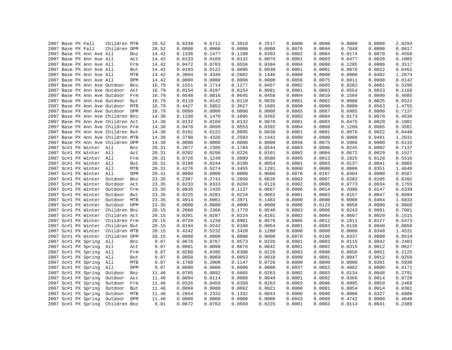|  |                                                      | Children MTB |            | 20.52          | 0.6338 | 0.6712 | 0.3918 | 0.2517 | 0.0000 | 0.0000 | 0.0000 | 0.0808 | 2.0293           |
|--|------------------------------------------------------|--------------|------------|----------------|--------|--------|--------|--------|--------|--------|--------|--------|------------------|
|  | 2007 Base PX Fall<br>2007 Base PX Fall               | Children DPM |            | 20.52          | 0.0000 | 0.0000 | 0.0000 | 0.0000 | 0.0076 | 0.0094 | 0.7848 | 0.0000 | 0.8017           |
|  |                                                      |              |            |                | 0.1336 | 0.1477 | 0.1100 | 0.0393 | 0.0002 | 0.0004 | 0.0174 | 0.0070 |                  |
|  | 2007 Base PX Ann Ave All<br>2007 Base PX Ann Ave All |              | Bnz<br>Act | 14.42<br>14.42 | 0.0133 | 0.0169 | 0.0132 | 0.0070 | 0.0001 | 0.0003 | 0.0477 | 0.0020 | 0.4556<br>0.1005 |
|  |                                                      |              |            |                |        | 0.0703 | 0.0556 | 0.0394 | 0.0004 |        | 0.1295 | 0.0086 | 0.3517           |
|  | 2007 Base PX Ann Ave All                             |              | Frm        | 14.42          | 0.0472 |        |        |        |        | 0.0008 |        |        |                  |
|  | 2007 Base PX Ann Ave All                             |              | But        | 14.42          | 0.0103 | 0.0122 | 0.0095 | 0.0030 | 0.0001 | 0.0001 | 0.0076 | 0.0022 | 0.0451           |
|  | 2007 Base PX Ann Ave All                             |              | MTB        | 14.42          | 0.3804 | 0.4340 | 0.2602 | 0.1446 | 0.0000 | 0.0000 | 0.0000 | 0.0482 | 1.2674           |
|  | 2007 Base PX Ann Ave All                             |              | DPM        | 14.42          | 0.0000 | 0.0000 | 0.0000 | 0.0000 | 0.0056 | 0.0075 | 0.6011 | 0.0000 | 0.6142           |
|  | 2007 Base PX Ann Ave Outdoor                         |              | Bnz        | 16.79          | 0.1551 | 0.1714 | 0.1277 | 0.0457 | 0.0002 | 0.0005 | 0.0202 | 0.0081 | 0.5290           |
|  | 2007 Base PX Ann Ave Outdoor Act                     |              |            | 16.79          | 0.0154 | 0.0197 | 0.0154 | 0.0081 | 0.0001 | 0.0003 | 0.0554 | 0.0023 | 0.1168           |
|  | 2007 Base PX Ann Ave Outdoor Frm                     |              |            | 16.79          | 0.0548 | 0.0816 | 0.0645 | 0.0458 | 0.0004 | 0.0010 | 0.1504 | 0.0099 | 0.4085           |
|  | 2007 Base PX Ann Ave Outdoor But                     |              |            | 16.79          | 0.0119 | 0.0142 | 0.0110 | 0.0035 | 0.0001 | 0.0002 | 0.0088 | 0.0025 | 0.0522           |
|  | 2007 Base PX Ann Ave Outdoor MTB                     |              |            | 16.79          | 0.4427 | 0.5052 | 0.3027 | 0.1685 | 0.0000 | 0.0000 | 0.0000 | 0.0563 | 1.4755           |
|  | 2007 Base PX Ann Ave Outdoor DPM                     |              |            | 16.79          | 0.0000 | 0.0000 | 0.0000 | 0.0000 | 0.0065 | 0.0087 | 0.6985 | 0.0000 | 0.7137           |
|  | 2007 Base PX Ann Ave Children Bnz                    |              |            | 14.38          | 0.1330 | 0.1470 | 0.1095 | 0.0392 | 0.0002 | 0.0004 | 0.0173 | 0.0070 | 0.4536           |
|  | 2007 Base PX Ann Ave Children Act                    |              |            | 14.38          | 0.0132 | 0.0169 | 0.0132 | 0.0070 | 0.0001 | 0.0003 | 0.0475 | 0.0020 | 0.1001           |
|  | 2007 Base PX Ann Ave Children Frm                    |              |            | 14.38          | 0.0470 | 0.0699 | 0.0553 | 0.0392 | 0.0004 | 0.0008 | 0.1289 | 0.0085 | 0.3501           |
|  | 2007 Base PX Ann Ave Children But                    |              |            | 14.38          | 0.0102 | 0.0122 | 0.0095 | 0.0030 | 0.0001 | 0.0001 | 0.0076 | 0.0022 | 0.0448           |
|  | 2007 Base PX Ann Ave Children MTB                    |              |            | 14.38          | 0.3790 | 0.4326 | 0.2593 | 0.1442 | 0.0000 | 0.0000 | 0.0000 | 0.0481 | 1.2631           |
|  | 2007 Base PX Ann Ave Children DPM                    |              |            | 14.38          | 0.0000 | 0.0000 | 0.0000 | 0.0000 | 0.0056 | 0.0075 | 0.5986 | 0.0000 | 0.6116           |
|  | 2007 Sc#1 PX Winter All                              |              | Bnz        | 20.31          | 0.2077 | 0.2385 | 0.1784 | 0.0544 | 0.0003 | 0.0006 | 0.0245 | 0.0092 | 0.7137           |
|  | 2007 Sc#1 PX Winter All                              |              | Act        | 20.31          | 0.0202 | 0.0290 | 0.0226 | 0.0101 | 0.0002 | 0.0004 | 0.0672 | 0.0029 | 0.1527           |
|  | 2007 Sc#1 PX Winter All                              |              | Frm        | 20.31          | 0.0726 | 0.1249 | 0.0989 | 0.0580 | 0.0005 | 0.0013 | 0.1825 | 0.0128 | 0.5516           |
|  | 2007 Sc#1 PX Winter All                              |              | But        | 20.31          | 0.0196 | 0.0244 | 0.0190 | 0.0054 | 0.0001 | 0.0003 | 0.0137 | 0.0041 | 0.0865           |
|  | 2007 Sc#1 PX Winter All                              |              | MTB        | 20.31          | 0.4276 | 0.5274 | 0.3455 | 0.1291 | 0.0000 | 0.0000 | 0.0000 | 0.0351 | 1.4646           |
|  | 2007 Sc#1 PX Winter All                              |              | <b>DPM</b> | 20.31          | 0.0000 | 0.0000 | 0.0000 | 0.0000 | 0.0076 | 0.0107 | 0.8404 | 0.0000 | 0.8587           |
|  | 2007 Sc#1 PX Winter                                  | Outdoor      | Bnz        | 23.35          | 0.2387 | 0.2741 | 0.2050 | 0.0626 | 0.0003 | 0.0007 | 0.0282 | 0.0105 | 0.8202           |
|  | 2007 Sc#1 PX Winter                                  | Outdoor      | Act        | 23.35          | 0.0233 | 0.0333 | 0.0260 | 0.0116 | 0.0002 | 0.0005 | 0.0773 | 0.0034 | 0.1755           |
|  | 2007 Sc#1 PX Winter                                  | Outdoor Frm  |            | 23.35          | 0.0835 | 0.1435 | 0.1137 | 0.0667 | 0.0006 | 0.0014 | 0.2098 | 0.0147 | 0.6339           |
|  | 2007 Sc#1 PX Winter                                  | Outdoor      | But        | 23.35          | 0.0225 | 0.0281 | 0.0218 | 0.0062 | 0.0001 | 0.0003 | 0.0157 | 0.0047 | 0.0994           |
|  | 2007 Sc#1 PX Winter                                  | Outdoor      | MTB        | 23.35          | 0.4914 | 0.6061 | 0.3971 | 0.1483 | 0.0000 | 0.0000 | 0.0000 | 0.0404 | 1.6833           |
|  | 2007 Sc#1 PX Winter                                  | Outdoor DPM  |            | 23.35          | 0.0000 | 0.0000 | 0.0000 | 0.0000 | 0.0088 | 0.0123 | 0.9658 | 0.0000 | 0.9868           |
|  | 2007 Sc#1 PX Winter                                  | Children Bnz |            | 20.15          | 0.2060 | 0.2366 | 0.1770 | 0.0540 | 0.0003 | 0.0006 | 0.0243 | 0.0091 | 0.7081           |
|  | 2007 Sc#1 PX Winter                                  | Children Act |            | 20.15          | 0.0201 | 0.0287 | 0.0224 | 0.0101 | 0.0002 | 0.0004 | 0.0667 | 0.0029 | 0.1515           |
|  | 2007 Sc#1 PX Winter                                  | Children Frm |            | 20.15          | 0.0720 | 0.1239 | 0.0981 | 0.0576 | 0.0005 | 0.0012 | 0.1811 | 0.0127 | 0.5473           |
|  | 2007 Sc#1 PX Winter                                  | Children But |            | 20.15          | 0.0194 | 0.0242 | 0.0188 | 0.0054 | 0.0001 | 0.0003 | 0.0136 | 0.0040 | 0.0858           |
|  | 2007 Sc#1 PX Winter                                  | Children MTB |            | 20.15          | 0.4242 | 0.5232 | 0.3428 | 0.1280 | 0.0000 | 0.0000 | 0.0000 | 0.0348 | 1.4531           |
|  | 2007 Sc#1 PX Winter                                  | Children DPM |            | 20.15          | 0.0000 | 0.0000 | 0.0000 | 0.0000 | 0.0076 | 0.0106 | 0.8337 | 0.0000 | 0.8519           |
|  | 2007 Sc#1 PX Spring                                  | All          | Bnz        | 9.87           | 0.0676 | 0.0767 | 0.0573 | 0.0226 | 0.0001 | 0.0003 | 0.0115 | 0.0042 | 0.2403           |
|  | 2007 Sc#1 PX Spring                                  | All          | Act        | 9.87           | 0.0081 | 0.0098 | 0.0076 | 0.0042 | 0.0001 | 0.0002 | 0.0315 | 0.0012 | 0.0627           |
|  | 2007 Sc#1 PX Spring                                  | All          | Frm        | 9.87           | 0.0280 | 0.0395 | 0.0308 | 0.0226 | 0.0003 | 0.0006 | 0.0856 | 0.0051 | 0.2125           |
|  | 2007 Sc#1 PX Spring                                  | All          | But        | 9.87           | 0.0058 | 0.0069 | 0.0053 | 0.0018 | 0.0000 | 0.0001 | 0.0047 | 0.0012 | 0.0259           |
|  | 2007 Sc#1 PX Spring                                  | All          | MTB        | 9.87           | 0.1768 | 0.2008 | 0.1147 | 0.0726 | 0.0000 | 0.0000 | 0.0000 | 0.0281 | 0.5930           |
|  |                                                      |              |            |                |        |        | 0.0000 |        |        |        |        |        |                  |
|  | 2007 Sc#1 PX Spring                                  | All          | DPM        | 9.87           | 0.0000 | 0.0000 |        | 0.0000 | 0.0037 | 0.0052 | 0.4082 | 0.0000 | 0.4171           |
|  | 2007 Sc#1 PX Spring                                  | Outdoor      | Bnz        | 11.46          | 0.0785 | 0.0892 | 0.0665 | 0.0263 | 0.0002 | 0.0003 | 0.0134 | 0.0048 | 0.2791           |
|  | 2007 Sc#1 PX Spring                                  | Outdoor      | Act        | 11.46          | 0.0094 | 0.0114 | 0.0088 | 0.0049 | 0.0001 | 0.0002 | 0.0366 | 0.0014 | 0.0728           |
|  | 2007 Sc#1 PX Spring                                  | Outdoor      | Frm        | 11.46          | 0.0326 | 0.0459 | 0.0358 | 0.0263 | 0.0003 | 0.0006 | 0.0995 | 0.0059 | 0.2468           |
|  | 2007 Sc#1 PX Spring                                  | Outdoor      | But        | 11.46          | 0.0068 | 0.0080 | 0.0062 | 0.0021 | 0.0000 | 0.0001 | 0.0054 | 0.0014 | 0.0301           |
|  | 2007 Sc#1 PX Spring                                  | Outdoor      | MTB        | 11.46          | 0.2054 | 0.2332 | 0.1332 | 0.0843 | 0.0000 | 0.0000 | 0.0000 | 0.0327 | 0.6888           |
|  | 2007 Sc#1 PX Spring                                  | Outdoor      | <b>DPM</b> | 11.46          | 0.0000 | 0.0000 | 0.0000 | 0.0000 | 0.0043 | 0.0060 | 0.4742 | 0.0000 | 0.4846           |
|  | 2007 Sc#1 PX Spring                                  | Children Bnz |            | 9.81           | 0.0672 | 0.0763 | 0.0569 | 0.0225 | 0.0001 | 0.0003 | 0.0114 | 0.0041 | 0.2389           |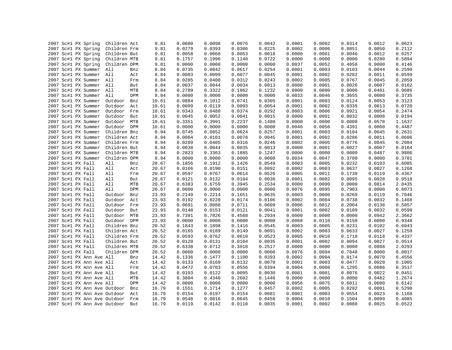| 2007 Sc#1 PX Spring          | Children Act   | 9.81  | 0.0080 | 0.0098 | 0.0076 | 0.0042 | 0.0001 | 0.0002 | 0.0314 | 0.0012 | 0.0623 |
|------------------------------|----------------|-------|--------|--------|--------|--------|--------|--------|--------|--------|--------|
| 2007 Sc#1 PX Spring          | Children Frm   | 9.81  | 0.0279 | 0.0393 | 0.0306 | 0.0225 | 0.0002 | 0.0006 | 0.0851 | 0.0050 | 0.2112 |
| 2007 Sc#1 PX Spring          | Children But   | 9.81  | 0.0058 | 0.0068 | 0.0053 | 0.0018 | 0.0000 | 0.0001 | 0.0046 | 0.0012 | 0.0257 |
| 2007 Sc#1 PX Spring          | Children MTB   | 9.81  | 0.1757 | 0.1996 | 0.1140 | 0.0722 | 0.0000 | 0.0000 | 0.0000 | 0.0280 | 0.5894 |
| 2007 Sc#1 PX Spring          | Children DPM   | 9.81  | 0.0000 | 0.0000 | 0.0000 | 0.0000 | 0.0037 | 0.0052 | 0.4058 | 0.0000 | 0.4146 |
| 2007 Sc#1 PX Summer          | All<br>Bnz     | 8.84  | 0.0735 | 0.0842 | 0.0617 | 0.0254 | 0.0001 | 0.0003 | 0.0103 | 0.0044 | 0.2599 |
| 2007 Sc#1 PX Summer All      | Act            | 8.84  | 0.0083 | 0.0099 | 0.0077 | 0.0045 | 0.0001 | 0.0002 | 0.0282 | 0.0011 | 0.0599 |
| 2007 Sc#1 PX Summer All      | Frm            | 8.84  | 0.0285 | 0.0400 | 0.0312 | 0.0243 | 0.0002 | 0.0005 | 0.0767 | 0.0045 | 0.2059 |
| 2007 Sc#1 PX Summer All      | But            | 8.84  | 0.0037 | 0.0044 | 0.0034 | 0.0013 | 0.0000 | 0.0001 | 0.0026 | 0.0007 | 0.0162 |
| 2007 Sc#1 PX Summer          | All<br>MTB     | 8.84  | 0.2789 | 0.3322 | 0.1862 | 0.1232 | 0.0000 | 0.0000 | 0.0000 | 0.0481 | 0.9686 |
| 2007 Sc#1 PX Summer          | All<br>DPM     | 8.84  | 0.0000 | 0.0000 | 0.0000 | 0.0000 | 0.0033 | 0.0046 | 0.3655 | 0.0000 | 0.3735 |
| 2007 Sc#1 PX Summer          | Outdoor<br>Bnz | 10.61 | 0.0884 | 0.1012 | 0.0741 | 0.0305 | 0.0001 | 0.0003 | 0.0124 | 0.0053 | 0.3123 |
| 2007 Sc#1 PX Summer          | Outdoor<br>Act | 10.61 | 0.0099 | 0.0119 | 0.0093 | 0.0054 | 0.0001 | 0.0002 | 0.0339 | 0.0013 | 0.0720 |
| 2007 Sc#1 PX Summer          | Outdoor<br>Frm | 10.61 | 0.0343 | 0.0480 | 0.0374 | 0.0292 | 0.0003 | 0.0006 | 0.0921 | 0.0054 | 0.2474 |
| 2007 Sc#1 PX Summer          | Outdoor<br>But | 10.61 | 0.0045 | 0.0052 | 0.0041 | 0.0015 | 0.0000 | 0.0001 | 0.0032 | 0.0008 | 0.0194 |
| 2007 Sc#1 PX Summer          | Outdoor MTB    | 10.61 | 0.3351 | 0.3991 | 0.2237 | 0.1480 | 0.0000 | 0.0000 | 0.0000 | 0.0578 | 1.1637 |
| 2007 Sc#1 PX Summer          | Outdoor DPM    | 10.61 | 0.0000 | 0.0000 | 0.0000 | 0.0000 | 0.0040 | 0.0056 | 0.4391 | 0.0000 | 0.4487 |
| 2007 Sc#1 PX Summer          | Children Bnz   | 8.94  | 0.0745 | 0.0852 | 0.0624 | 0.0257 | 0.0001 | 0.0003 | 0.0104 | 0.0045 | 0.2631 |
| 2007 Sc#1 PX Summer          | Children Act   | 8.94  | 0.0084 | 0.0101 | 0.0078 | 0.0045 | 0.0001 | 0.0002 | 0.0286 | 0.0011 | 0.0606 |
| 2007 Sc#1 PX Summer          | Children Frm   | 8.94  | 0.0289 | 0.0405 | 0.0316 | 0.0246 | 0.0002 | 0.0005 | 0.0776 | 0.0045 | 0.2084 |
| 2007 Sc#1 PX Summer          | Children But   | 8.94  | 0.0038 | 0.0044 | 0.0035 | 0.0013 | 0.0000 | 0.0001 | 0.0027 | 0.0007 | 0.0164 |
| 2007 Sc#1 PX Summer          | Children MTB   | 8.94  | 0.2823 | 0.3363 | 0.1885 | 0.1247 | 0.0000 | 0.0000 | 0.0000 | 0.0487 | 0.9806 |
| 2007 Sc#1 PX Summer          | Children DPM   | 8.94  | 0.0000 | 0.0000 | 0.0000 | 0.0000 | 0.0034 | 0.0047 | 0.3700 | 0.0000 | 0.3781 |
| 2007 Sc#1 PX Fall            | All<br>Bnz     | 20.67 | 0.1856 | 0.1912 | 0.1426 | 0.0549 | 0.0003 | 0.0005 | 0.0232 | 0.0103 | 0.6085 |
| 2007 Sc#1 PX Fall            | All<br>Act     | 20.67 | 0.0166 | 0.0190 | 0.0151 | 0.0092 | 0.0002 | 0.0003 | 0.0637 | 0.0027 | 0.1268 |
| 2007 Sc#1 PX Fall            | All<br>Frm     | 20.67 | 0.0597 | 0.0767 | 0.0614 | 0.0526 | 0.0005 | 0.0011 | 0.1730 | 0.0119 | 0.4367 |
| 2007 Sc#1 PX Fall            | All<br>But     | 20.67 | 0.0121 | 0.0132 | 0.0104 | 0.0036 | 0.0001 | 0.0002 | 0.0095 | 0.0028 | 0.0518 |
| 2007 Sc#1 PX Fall            | All<br>MTB     | 20.67 | 0.6383 | 0.6759 | 0.3945 | 0.2534 | 0.0000 | 0.0000 | 0.0000 | 0.0814 | 2.0435 |
| 2007 Sc#1 PX Fall            | All<br>DPM     | 20.67 | 0.0000 | 0.0000 | 0.0000 | 0.0000 | 0.0076 | 0.0095 | 0.7903 | 0.0000 | 0.8073 |
| 2007 Sc#1 PX Fall            | Outdoor<br>Bnz | 23.93 | 0.2149 | 0.2214 | 0.1651 | 0.0635 | 0.0003 | 0.0006 | 0.0269 | 0.0119 | 0.7046 |
| 2007 Sc#1 PX Fall            | Outdoor<br>Act | 23.93 | 0.0192 | 0.0220 | 0.0174 | 0.0106 | 0.0002 | 0.0004 | 0.0738 | 0.0032 | 0.1468 |
| 2007 Sc#1 PX Fall            | Outdoor<br>Frm | 23.93 | 0.0691 | 0.0888 | 0.0711 | 0.0609 | 0.0006 | 0.0012 | 0.2004 | 0.0138 | 0.5057 |
| 2007 Sc#1 PX Fall            | Outdoor<br>But | 23.93 | 0.0140 | 0.0153 | 0.0121 | 0.0041 | 0.0001 | 0.0002 | 0.0109 | 0.0032 | 0.0599 |
| 2007 Sc#1 PX Fall            | Outdoor<br>MTB | 23.93 | 0.7391 | 0.7826 | 0.4568 | 0.2934 | 0.0000 | 0.0000 | 0.0000 | 0.0942 | 2.3662 |
| 2007 Sc#1 PX Fall            | Outdoor DPM    | 23.93 | 0.0000 | 0.0000 | 0.0000 | 0.0000 | 0.0088 | 0.0110 | 0.9150 | 0.0000 | 0.9348 |
| 2007 Sc#1 PX Fall            | Children Bnz   | 20.52 | 0.1843 | 0.1898 | 0.1416 | 0.0545 | 0.0003 | 0.0005 | 0.0231 | 0.0102 | 0.6043 |
| 2007 Sc#1 PX Fall            | Children Act   | 20.52 | 0.0165 | 0.0189 | 0.0149 | 0.0091 | 0.0002 | 0.0003 | 0.0633 | 0.0027 | 0.1259 |
| 2007 Sc#1 PX Fall            | Children Frm   | 20.52 | 0.0593 | 0.0762 | 0.0610 | 0.0523 | 0.0005 | 0.0010 | 0.1718 | 0.0118 | 0.4337 |
| 2007 Sc#1 PX Fall            | Children But   | 20.52 | 0.0120 | 0.0131 | 0.0104 | 0.0035 | 0.0001 | 0.0002 | 0.0094 | 0.0027 | 0.0514 |
| 2007 Sc#1 PX Fall            | Children MTB   | 20.52 | 0.6338 | 0.6712 | 0.3918 | 0.2517 | 0.0000 | 0.0000 | 0.0000 | 0.0808 | 2.0293 |
| 2007 Sc#1 PX Fall            | Children DPM   | 20.52 | 0.0000 | 0.0000 | 0.0000 | 0.0000 | 0.0076 | 0.0094 | 0.7848 | 0.0000 | 0.8017 |
| 2007 Sc#1 PX Ann Ave All     |                | 14.42 | 0.1336 | 0.1477 | 0.1100 | 0.0393 | 0.0002 | 0.0004 | 0.0174 | 0.0070 | 0.4556 |
| 2007 Sc#1 PX Ann Ave All     | Bnz<br>Act     | 14.42 | 0.0133 | 0.0169 | 0.0132 | 0.0070 | 0.0001 | 0.0003 | 0.0477 | 0.0020 | 0.1005 |
|                              |                |       |        |        |        |        | 0.0004 |        |        |        |        |
| 2007 Sc#1 PX Ann Ave All     | Frm            | 14.42 | 0.0472 | 0.0703 | 0.0556 | 0.0394 |        | 0.0008 | 0.1295 | 0.0086 | 0.3517 |
| 2007 Sc#1 PX Ann Ave All     | But            | 14.42 | 0.0103 | 0.0122 | 0.0095 | 0.0030 | 0.0001 | 0.0001 | 0.0076 | 0.0022 | 0.0451 |
| 2007 Sc#1 PX Ann Ave All     | MTB            | 14.42 | 0.3804 | 0.4340 | 0.2602 | 0.1446 | 0.0000 | 0.0000 | 0.0000 | 0.0482 | 1.2674 |
| 2007 Sc#1 PX Ann Ave All     | DPM            | 14.42 | 0.0000 | 0.0000 | 0.0000 | 0.0000 | 0.0056 | 0.0075 | 0.6011 | 0.0000 | 0.6142 |
| 2007 Sc#1 PX Ann Ave Outdoor | Bnz            | 16.79 | 0.1551 | 0.1714 | 0.1277 | 0.0457 | 0.0002 | 0.0005 | 0.0202 | 0.0081 | 0.5290 |
| 2007 Sc#1 PX Ann Ave Outdoor | Act            | 16.79 | 0.0154 | 0.0197 | 0.0154 | 0.0081 | 0.0001 | 0.0003 | 0.0554 | 0.0023 | 0.1168 |
| 2007 Sc#1 PX Ann Ave Outdoor | Frm            | 16.79 | 0.0548 | 0.0816 | 0.0645 | 0.0458 | 0.0004 | 0.0010 | 0.1504 | 0.0099 | 0.4085 |
| 2007 Sc#1 PX Ann Ave Outdoor | But            | 16.79 | 0.0119 | 0.0142 | 0.0110 | 0.0035 | 0.0001 | 0.0002 | 0.0088 | 0.0025 | 0.0522 |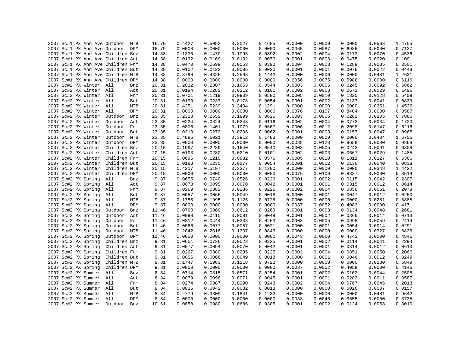|  |                         | 2007 Sc#1 PX Ann Ave Outdoor MTB  |     | 16.79 | 0.4427 | 0.5052 | 0.3027 | 0.1685 | 0.0000 | 0.0000 | 0.0000 | 0.0563 | 1.4755 |
|--|-------------------------|-----------------------------------|-----|-------|--------|--------|--------|--------|--------|--------|--------|--------|--------|
|  |                         | 2007 Sc#1 PX Ann Ave Outdoor DPM  |     | 16.79 | 0.0000 | 0.0000 | 0.0000 | 0.0000 | 0.0065 | 0.0087 | 0.6985 | 0.0000 | 0.7137 |
|  |                         | 2007 Sc#1 PX Ann Ave Children Bnz |     | 14.38 | 0.1330 | 0.1470 | 0.1095 | 0.0392 | 0.0002 | 0.0004 | 0.0173 | 0.0070 | 0.4536 |
|  |                         | 2007 Sc#1 PX Ann Ave Children Act |     | 14.38 | 0.0132 | 0.0169 | 0.0132 | 0.0070 | 0.0001 | 0.0003 | 0.0475 | 0.0020 | 0.1001 |
|  |                         | 2007 Sc#1 PX Ann Ave Children Frm |     | 14.38 | 0.0470 | 0.0699 | 0.0553 | 0.0392 | 0.0004 | 0.0008 | 0.1289 | 0.0085 | 0.3501 |
|  |                         | 2007 Sc#1 PX Ann Ave Children But |     | 14.38 | 0.0102 | 0.0122 | 0.0095 | 0.0030 | 0.0001 | 0.0001 | 0.0076 | 0.0022 | 0.0448 |
|  |                         | 2007 Sc#1 PX Ann Ave Children MTB |     | 14.38 | 0.3790 | 0.4326 | 0.2593 | 0.1442 | 0.0000 | 0.0000 | 0.0000 | 0.0481 | 1.2631 |
|  |                         | 2007 Sc#1 PX Ann Ave Children DPM |     | 14.38 | 0.0000 | 0.0000 | 0.0000 | 0.0000 | 0.0056 | 0.0075 | 0.5986 | 0.0000 | 0.6116 |
|  | 2007 Sc#2 PX Winter All |                                   | Bnz | 20.31 | 0.2012 | 0.2307 | 0.1653 | 0.0544 | 0.0003 | 0.0005 | 0.0245 | 0.0092 | 0.6862 |
|  | 2007 Sc#2 PX Winter All |                                   | Act | 20.31 | 0.0194 | 0.0282 | 0.0212 | 0.0101 | 0.0002 | 0.0003 | 0.0672 | 0.0029 | 0.1496 |
|  | 2007 Sc#2 PX Winter All |                                   | Frm | 20.31 | 0.0701 | 0.1219 | 0.0939 | 0.0580 | 0.0005 | 0.0010 | 0.1825 | 0.0128 | 0.5409 |
|  | 2007 Sc#2 PX Winter All |                                   | But | 20.31 | 0.0190 | 0.0237 | 0.0178 | 0.0054 | 0.0001 | 0.0002 | 0.0137 | 0.0041 | 0.0839 |
|  | 2007 Sc#2 PX Winter All |                                   | MTB | 20.31 | 0.4251 | 0.5239 | 0.3404 | 0.1291 | 0.0000 | 0.0000 | 0.0000 | 0.0351 | 1.4536 |
|  | 2007 Sc#2 PX Winter All |                                   | DPM | 20.31 | 0.0000 | 0.0000 | 0.0000 | 0.0000 | 0.0076 | 0.0107 | 0.8404 | 0.0000 | 0.8587 |
|  | 2007 Sc#2 PX Winter     | Outdoor                           | Bnz | 23.35 | 0.2313 | 0.2652 | 0.1899 | 0.0626 | 0.0003 | 0.0006 | 0.0282 | 0.0105 | 0.7886 |
|  | 2007 Sc#2 PX Winter     | Outdoor Act                       |     | 23.35 | 0.0224 | 0.0324 | 0.0243 | 0.0116 | 0.0002 | 0.0004 | 0.0773 | 0.0034 | 0.1720 |
|  | 2007 Sc#2 PX Winter     | Outdoor Frm                       |     | 23.35 | 0.0806 | 0.1401 | 0.1079 | 0.0667 | 0.0006 | 0.0012 | 0.2098 | 0.0147 | 0.6216 |
|  | 2007 Sc#2 PX Winter     | Outdoor But                       |     | 23.35 | 0.0218 | 0.0272 | 0.0205 | 0.0062 | 0.0001 | 0.0003 | 0.0157 | 0.0047 | 0.0965 |
|  | 2007 Sc#2 PX Winter     | Outdoor MTB                       |     | 23.35 | 0.4885 | 0.6021 | 0.3912 | 0.1483 | 0.0000 | 0.0000 | 0.0000 | 0.0404 | 1.6706 |
|  | 2007 Sc#2 PX Winter     | Outdoor DPM                       |     | 23.35 | 0.0000 | 0.0000 | 0.0000 | 0.0000 | 0.0088 | 0.0123 | 0.9658 | 0.0000 | 0.9868 |
|  | 2007 Sc#2 PX Winter     | Children Bnz                      |     | 20.15 | 0.1997 | 0.2289 | 0.1640 | 0.0540 | 0.0003 | 0.0005 | 0.0243 | 0.0091 | 0.6808 |
|  | 2007 Sc#2 PX Winter     | Children Act                      |     | 20.15 | 0.0193 | 0.0280 | 0.0210 | 0.0101 | 0.0002 | 0.0003 | 0.0667 | 0.0029 | 0.1485 |
|  | 2007 Sc#2 PX Winter     | Children Frm                      |     | 20.15 | 0.0696 | 0.1210 | 0.0932 | 0.0576 | 0.0005 | 0.0010 | 0.1811 | 0.0127 | 0.5366 |
|  | 2007 Sc#2 PX Winter     | Children But                      |     | 20.15 | 0.0188 | 0.0235 | 0.0177 | 0.0054 | 0.0001 | 0.0002 | 0.0136 | 0.0040 | 0.0833 |
|  | 2007 Sc#2 PX Winter     | Children MTB                      |     | 20.15 | 0.4217 | 0.5197 | 0.3377 | 0.1280 | 0.0000 | 0.0000 | 0.0000 | 0.0348 | 1.4422 |
|  |                         | 2007 Sc#2 PX Winter Children DPM  |     | 20.15 | 0.0000 | 0.0000 | 0.0000 | 0.0000 | 0.0076 | 0.0106 | 0.8337 | 0.0000 | 0.8519 |
|  | 2007 Sc#2 PX Spring     | All                               | Bnz | 9.87  | 0.0655 | 0.0740 | 0.0526 | 0.0226 | 0.0001 | 0.0002 | 0.0115 | 0.0042 | 0.2307 |
|  | 2007 Sc#2 PX Spring     | All                               | Act | 9.87  | 0.0078 | 0.0095 | 0.0070 | 0.0042 | 0.0001 | 0.0001 | 0.0315 | 0.0012 | 0.0614 |
|  | 2007 Sc#2 PX Spring     | All                               | Frm | 9.87  | 0.0269 | 0.0382 | 0.0286 | 0.0226 | 0.0002 | 0.0004 | 0.0856 | 0.0051 | 0.2078 |
|  | 2007 Sc#2 PX Spring     | All                               | But | 9.87  | 0.0057 | 0.0066 | 0.0049 | 0.0018 | 0.0000 | 0.0001 | 0.0047 | 0.0012 | 0.0250 |
|  | 2007 Sc#2 PX Spring     | All                               | MTB | 9.87  | 0.1758 | 0.1995 | 0.1125 | 0.0726 | 0.0000 | 0.0000 | 0.0000 | 0.0281 | 0.5885 |
|  | 2007 Sc#2 PX Spring     | All                               | DPM | 9.87  | 0.0000 | 0.0000 | 0.0000 | 0.0000 | 0.0037 | 0.0052 | 0.4082 | 0.0000 | 0.4171 |
|  | 2007 Sc#2 PX Spring     | Outdoor                           | Bnz | 11.46 | 0.0760 | 0.0860 | 0.0612 | 0.0263 | 0.0001 | 0.0003 | 0.0134 | 0.0048 | 0.2681 |
|  | 2007 Sc#2 PX Spring     | Outdoor                           | Act | 11.46 | 0.0090 | 0.0110 | 0.0081 | 0.0049 | 0.0001 | 0.0002 | 0.0366 | 0.0014 | 0.0713 |
|  | 2007 Sc#2 PX Spring     | Outdoor                           | Frm | 11.46 | 0.0312 | 0.0444 | 0.0333 | 0.0263 | 0.0003 | 0.0005 | 0.0995 | 0.0059 | 0.2414 |
|  | 2007 Sc#2 PX Spring     | Outdoor                           | But | 11.46 | 0.0066 | 0.0077 | 0.0057 | 0.0021 | 0.0000 | 0.0001 | 0.0054 | 0.0014 | 0.0291 |
|  | 2007 Sc#2 PX Spring     | Outdoor MTB                       |     | 11.46 | 0.2042 | 0.2318 | 0.1307 | 0.0843 | 0.0000 | 0.0000 | 0.0000 | 0.0327 | 0.6836 |
|  | 2007 Sc#2 PX Spring     | Outdoor DPM                       |     | 11.46 | 0.0000 | 0.0000 | 0.0000 | 0.0000 | 0.0043 | 0.0060 | 0.4742 | 0.0000 | 0.4846 |
|  | 2007 Sc#2 PX Spring     | Children Bnz                      |     | 9.81  | 0.0651 | 0.0736 | 0.0523 | 0.0225 | 0.0001 | 0.0002 | 0.0114 | 0.0041 | 0.2294 |
|  | 2007 Sc#2 PX Spring     | Children Act                      |     | 9.81  | 0.0077 | 0.0094 | 0.0070 | 0.0042 | 0.0001 | 0.0001 | 0.0314 | 0.0012 | 0.0610 |
|  | 2007 Sc#2 PX Spring     | Children Frm                      |     | 9.81  | 0.0267 | 0.0380 | 0.0285 | 0.0225 | 0.0002 | 0.0004 | 0.0851 | 0.0050 | 0.2066 |
|  | 2007 Sc#2 PX Spring     | Children But                      |     | 9.81  | 0.0056 | 0.0066 | 0.0049 | 0.0018 | 0.0000 | 0.0001 | 0.0046 | 0.0012 | 0.0249 |
|  | 2007 Sc#2 PX Spring     | Children MTB                      |     | 9.81  | 0.1747 | 0.1983 | 0.1118 | 0.0722 | 0.0000 | 0.0000 | 0.0000 | 0.0280 | 0.5849 |
|  | 2007 Sc#2 PX Spring     | Children DPM                      |     | 9.81  | 0.0000 | 0.0000 | 0.0000 | 0.0000 | 0.0037 | 0.0052 | 0.4058 | 0.0000 | 0.4146 |
|  | 2007 Sc#2 PX Summer     | All                               | Bnz | 8.84  | 0.0714 | 0.0815 | 0.0571 | 0.0254 | 0.0001 | 0.0002 | 0.0103 | 0.0044 | 0.2505 |
|  | 2007 Sc#2 PX Summer     | All                               | Act | 8.84  | 0.0079 | 0.0096 | 0.0071 | 0.0045 | 0.0001 | 0.0001 | 0.0282 | 0.0011 | 0.0587 |
|  | 2007 Sc#2 PX Summer All |                                   | Frm | 8.84  | 0.0274 | 0.0387 | 0.0290 | 0.0243 | 0.0002 | 0.0004 | 0.0767 | 0.0045 | 0.2013 |
|  | 2007 Sc#2 PX Summer All |                                   | But | 8.84  | 0.0036 | 0.0042 | 0.0032 | 0.0013 | 0.0000 | 0.0000 | 0.0026 | 0.0007 | 0.0157 |
|  | 2007 Sc#2 PX Summer All |                                   | MTB | 8.84  | 0.2779 | 0.3309 | 0.1841 | 0.1232 | 0.0000 | 0.0000 | 0.0000 | 0.0481 | 0.9642 |
|  | 2007 Sc#2 PX Summer All |                                   | DPM | 8.84  | 0.0000 | 0.0000 | 0.0000 | 0.0000 | 0.0033 | 0.0046 | 0.3655 | 0.0000 | 0.3735 |
|  | 2007 Sc#2 PX Summer     | Outdoor                           | Bnz | 10.61 | 0.0858 | 0.0980 | 0.0686 | 0.0305 | 0.0001 | 0.0002 | 0.0124 | 0.0053 | 0.3010 |
|  |                         |                                   |     |       |        |        |        |        |        |        |        |        |        |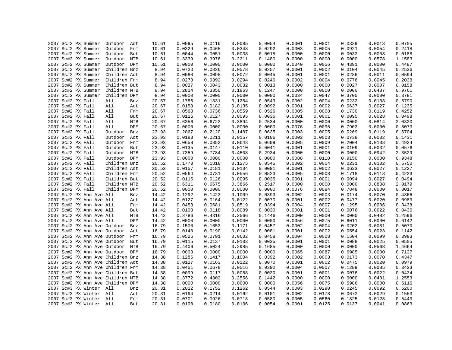|  |                                            |                    |            |                | 0.0095 | 0.0116 | 0.0085 | 0.0054 | 0.0001 | 0.0001 | 0.0339 | 0.0013 | 0.0705 |
|--|--------------------------------------------|--------------------|------------|----------------|--------|--------|--------|--------|--------|--------|--------|--------|--------|
|  | 2007 Sc#2 PX Summer<br>2007 Sc#2 PX Summer | Outdoor<br>Outdoor | Act<br>Frm | 10.61<br>10.61 | 0.0329 | 0.0465 | 0.0348 | 0.0292 | 0.0003 | 0.0005 | 0.0921 | 0.0054 | 0.2418 |
|  |                                            |                    |            |                |        |        |        |        |        |        |        |        |        |
|  | 2007 Sc#2 PX Summer                        | Outdoor            | But        | 10.61          | 0.0044 | 0.0051 | 0.0038 | 0.0015 | 0.0000 | 0.0000 | 0.0032 | 0.0008 | 0.0188 |
|  | 2007 Sc#2 PX Summer                        | Outdoor            | MTB        | 10.61          | 0.3339 | 0.3976 | 0.2211 | 0.1480 | 0.0000 | 0.0000 | 0.0000 | 0.0578 | 1.1583 |
|  | 2007 Sc#2 PX Summer                        | Outdoor DPM        |            | 10.61          | 0.0000 | 0.0000 | 0.0000 | 0.0000 | 0.0040 | 0.0056 | 0.4391 | 0.0000 | 0.4487 |
|  | 2007 Sc#2 PX Summer                        | Children Bnz       |            | 8.94           | 0.0723 | 0.0826 | 0.0578 | 0.0257 | 0.0001 | 0.0002 | 0.0104 | 0.0045 | 0.2536 |
|  | 2007 Sc#2 PX Summer                        | Children Act       |            | 8.94           | 0.0080 | 0.0098 | 0.0072 | 0.0045 | 0.0001 | 0.0001 | 0.0286 | 0.0011 | 0.0594 |
|  | 2007 Sc#2 PX Summer                        | Children Frm       |            | 8.94           | 0.0278 | 0.0392 | 0.0294 | 0.0246 | 0.0002 | 0.0004 | 0.0776 | 0.0045 | 0.2038 |
|  | 2007 Sc#2 PX Summer                        | Children But       |            | 8.94           | 0.0037 | 0.0043 | 0.0032 | 0.0013 | 0.0000 | 0.0000 | 0.0027 | 0.0007 | 0.0158 |
|  | 2007 Sc#2 PX Summer                        | Children MTB       |            | 8.94           | 0.2814 | 0.3350 | 0.1863 | 0.1247 | 0.0000 | 0.0000 | 0.0000 | 0.0487 | 0.9761 |
|  | 2007 Sc#2 PX Summer                        | Children DPM       |            | 8.94           | 0.0000 | 0.0000 | 0.0000 | 0.0000 | 0.0034 | 0.0047 | 0.3700 | 0.0000 | 0.3781 |
|  | 2007 Sc#2 PX Fall                          | All                | Bnz        | 20.67          | 0.1786 | 0.1831 | 0.1284 | 0.0549 | 0.0002 | 0.0004 | 0.0232 | 0.0103 | 0.5790 |
|  | 2007 Sc#2 PX Fall                          | All                | Act        | 20.67          | 0.0158 | 0.0182 | 0.0135 | 0.0092 | 0.0001 | 0.0002 | 0.0637 | 0.0027 | 0.1235 |
|  | 2007 Sc#2 PX Fall                          | All                | Frm        | 20.67          | 0.0568 | 0.0736 | 0.0559 | 0.0526 | 0.0005 | 0.0008 | 0.1730 | 0.0119 | 0.4252 |
|  | 2007 Sc#2 PX Fall                          | All                | But        | 20.67          | 0.0116 | 0.0127 | 0.0095 | 0.0036 | 0.0001 | 0.0001 | 0.0095 | 0.0028 | 0.0498 |
|  | 2007 Sc#2 PX Fall                          | All                | MTB        | 20.67          | 0.6356 | 0.6722 | 0.3894 | 0.2534 | 0.0000 | 0.0000 | 0.0000 | 0.0814 | 2.0320 |
|  | 2007 Sc#2 PX Fall                          | All                | DPM        | 20.67          | 0.0000 | 0.0000 | 0.0000 | 0.0000 | 0.0076 | 0.0095 | 0.7903 | 0.0000 | 0.8073 |
|  | 2007 Sc#2 PX Fall                          | Outdoor            | Bnz        | 23.93          | 0.2067 | 0.2120 | 0.1487 | 0.0635 | 0.0003 | 0.0005 | 0.0269 | 0.0119 | 0.6704 |
|  | 2007 Sc#2 PX Fall                          | Outdoor            | Act        | 23.93          | 0.0183 | 0.0211 | 0.0157 | 0.0106 | 0.0002 | 0.0003 | 0.0738 | 0.0032 | 0.1431 |
|  | 2007 Sc#2 PX Fall                          | Outdoor Frm        |            | 23.93          | 0.0658 | 0.0852 | 0.0648 | 0.0609 | 0.0005 | 0.0009 | 0.2004 | 0.0138 | 0.4924 |
|  | 2007 Sc#2 PX Fall                          | Outdoor            | But        | 23.93          | 0.0135 | 0.0147 | 0.0110 | 0.0041 | 0.0001 | 0.0001 | 0.0109 | 0.0032 | 0.0576 |
|  | 2007 Sc#2 PX Fall                          | Outdoor MTB        |            | 23.93          | 0.7359 | 0.7784 | 0.4508 | 0.2934 | 0.0000 | 0.0000 | 0.0000 | 0.0942 | 2.3529 |
|  | 2007 Sc#2 PX Fall                          | Outdoor DPM        |            | 23.93          | 0.0000 | 0.0000 | 0.0000 | 0.0000 | 0.0088 | 0.0110 | 0.9150 | 0.0000 | 0.9348 |
|  | 2007 Sc#2 PX Fall                          | Children Bnz       |            | 20.52          | 0.1773 | 0.1818 | 0.1275 | 0.0545 | 0.0002 | 0.0004 | 0.0231 | 0.0102 | 0.5750 |
|  | 2007 Sc#2 PX Fall                          | Children Act       |            | 20.52          | 0.0157 | 0.0181 | 0.0134 | 0.0091 | 0.0001 | 0.0002 | 0.0633 | 0.0027 | 0.1227 |
|  | 2007 Sc#2 PX Fall                          | Children Frm       |            | 20.52          | 0.0564 | 0.0731 | 0.0556 | 0.0523 | 0.0005 | 0.0008 | 0.1718 | 0.0118 | 0.4223 |
|  | 2007 Sc#2 PX Fall                          | Children But       |            | 20.52          | 0.0115 | 0.0126 | 0.0095 | 0.0035 | 0.0001 | 0.0001 | 0.0094 | 0.0027 | 0.0494 |
|  | 2007 Sc#2 PX Fall                          | Children MTB       |            | 20.52          | 0.6311 | 0.6675 | 0.3866 | 0.2517 | 0.0000 | 0.0000 | 0.0000 | 0.0808 | 2.0179 |
|  | 2007 Sc#2 PX Fall                          | Children DPM       |            | 20.52          | 0.0000 | 0.0000 | 0.0000 | 0.0000 | 0.0076 | 0.0094 | 0.7848 | 0.0000 | 0.8017 |
|  | 2007 Sc#2 PX Ann Ave All                   |                    | Bnz        | 14.42          | 0.1292 | 0.1423 | 0.1009 | 0.0393 | 0.0002 | 0.0003 | 0.0174 | 0.0070 | 0.4366 |
|  | 2007 Sc#2 PX Ann Ave All                   |                    | Act        | 14.42          | 0.0127 | 0.0164 | 0.0122 | 0.0070 | 0.0001 | 0.0002 | 0.0477 | 0.0020 | 0.0983 |
|  | 2007 Sc#2 PX Ann Ave All                   |                    | Frm        | 14.42          | 0.0453 | 0.0681 | 0.0519 | 0.0394 | 0.0004 | 0.0007 | 0.1295 | 0.0086 | 0.3438 |
|  | 2007 Sc#2 PX Ann Ave All                   |                    | But        | 14.42          | 0.0100 | 0.0118 | 0.0089 | 0.0030 | 0.0001 | 0.0001 | 0.0076 | 0.0022 | 0.0436 |
|  | 2007 Sc#2 PX Ann Ave All                   |                    | MTB        | 14.42          | 0.3786 | 0.4316 | 0.2566 | 0.1446 | 0.0000 | 0.0000 | 0.0000 | 0.0482 | 1.2596 |
|  | 2007 Sc#2 PX Ann Ave All                   |                    | DPM        | 14.42          | 0.0000 | 0.0000 | 0.0000 | 0.0000 | 0.0056 | 0.0075 | 0.6011 | 0.0000 | 0.6142 |
|  | 2007 Sc#2 PX Ann Ave Outdoor               |                    | Bnz        | 16.79          | 0.1500 | 0.1653 | 0.1171 | 0.0457 | 0.0002 | 0.0004 | 0.0202 | 0.0081 | 0.5070 |
|  | 2007 Sc#2 PX Ann Ave Outdoor Act           |                    |            | 16.79          | 0.0148 | 0.0190 | 0.0142 | 0.0081 | 0.0001 | 0.0002 | 0.0554 | 0.0023 | 0.1142 |
|  | 2007 Sc#2 PX Ann Ave Outdoor               |                    | Frm        | 16.79          | 0.0526 | 0.0791 | 0.0602 | 0.0458 | 0.0004 | 0.0008 | 0.1504 | 0.0099 | 0.3993 |
|  | 2007 Sc#2 PX Ann Ave Outdoor               |                    |            | 16.79          | 0.0115 | 0.0137 | 0.0103 | 0.0035 | 0.0001 | 0.0001 | 0.0088 | 0.0025 | 0.0505 |
|  | 2007 Sc#2 PX Ann Ave Outdoor MTB           |                    | But        | 16.79          | 0.4406 | 0.5024 | 0.2985 | 0.1685 | 0.0000 | 0.0000 | 0.0000 | 0.0563 | 1.4664 |
|  |                                            |                    |            |                |        |        |        |        |        |        |        |        |        |
|  | 2007 Sc#2 PX Ann Ave Outdoor DPM           |                    |            | 16.79          | 0.0000 | 0.0000 | 0.0000 | 0.0000 | 0.0065 | 0.0087 | 0.6985 | 0.0000 | 0.7137 |
|  | 2007 Sc#2 PX Ann Ave Children Bnz          |                    |            | 14.38          | 0.1286 | 0.1417 | 0.1004 | 0.0392 | 0.0002 | 0.0003 | 0.0173 | 0.0070 | 0.4347 |
|  | 2007 Sc#2 PX Ann Ave Children Act          |                    |            | 14.38          | 0.0127 | 0.0163 | 0.0122 | 0.0070 | 0.0001 | 0.0002 | 0.0475 | 0.0020 | 0.0979 |
|  | 2007 Sc#2 PX Ann Ave Children Frm          |                    |            | 14.38          | 0.0451 | 0.0678 | 0.0516 | 0.0392 | 0.0004 | 0.0007 | 0.1289 | 0.0085 | 0.3423 |
|  | 2007 Sc#2 PX Ann Ave Children But          |                    |            | 14.38          | 0.0099 | 0.0117 | 0.0088 | 0.0030 | 0.0001 | 0.0001 | 0.0076 | 0.0022 | 0.0434 |
|  | 2007 Sc#2 PX Ann Ave Children MTB          |                    |            | 14.38          | 0.3772 | 0.4302 | 0.2556 | 0.1442 | 0.0000 | 0.0000 | 0.0000 | 0.0481 | 1.2553 |
|  | 2007 Sc#2 PX Ann Ave Children DPM          |                    |            | 14.38          | 0.0000 | 0.0000 | 0.0000 | 0.0000 | 0.0056 | 0.0075 | 0.5986 | 0.0000 | 0.6116 |
|  | 2007 Sc#3 PX Winter All                    |                    | Bnz        | 20.31          | 0.2012 | 0.1752 | 0.1262 | 0.0544 | 0.0003 | 0.0290 | 0.0245 | 0.0092 | 0.6200 |
|  | 2007 Sc#3 PX Winter All                    |                    | Act        | 20.31          | 0.0194 | 0.0214 | 0.0162 | 0.0101 | 0.0002 | 0.0178 | 0.0672 | 0.0029 | 0.1553 |
|  | 2007 Sc#3 PX Winter All                    |                    | Frm        | 20.31          | 0.0701 | 0.0926 | 0.0718 | 0.0580 | 0.0005 | 0.0560 | 0.1825 | 0.0128 | 0.5443 |
|  | 2007 Sc#3 PX Winter All                    |                    | But        | 20.31          | 0.0190 | 0.0180 | 0.0136 | 0.0054 | 0.0001 | 0.0125 | 0.0137 | 0.0041 | 0.0863 |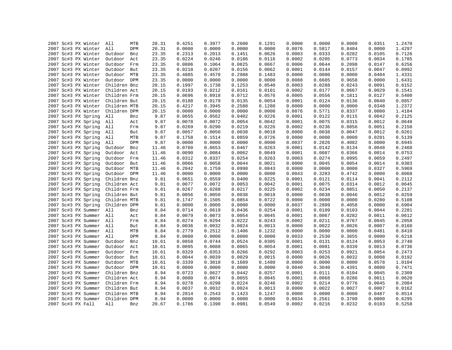| 2007 Sc#3 PX Winter | All<br>MTB     | 20.31 | 0.4251 | 0.3977           | 0.2600           | 0.1291           | 0.0000 | 0.0000 | 0.0000 | 0.0351 | 1.2470           |
|---------------------|----------------|-------|--------|------------------|------------------|------------------|--------|--------|--------|--------|------------------|
| 2007 Sc#3 PX Winter | All<br>DPM     | 20.31 | 0.0000 | 0.0000           | 0.0000           | 0.0000           | 0.0076 | 0.5817 | 0.8404 | 0.0000 | 1.4297           |
| 2007 Sc#3 PX Winter | Outdoor<br>Bnz | 23.35 | 0.2313 | 0.2013           | 0.1451           | 0.0626           | 0.0003 | 0.0333 | 0.0282 | 0.0105 | 0.7126           |
| 2007 Sc#3 PX Winter | Outdoor<br>Act | 23.35 | 0.0224 | 0.0246           | 0.0186           | 0.0116           | 0.0002 | 0.0205 | 0.0773 | 0.0034 | 0.1785           |
| 2007 Sc#3 PX Winter | Outdoor<br>Frm | 23.35 | 0.0806 | 0.1064           | 0.0825           | 0.0667           | 0.0006 | 0.0644 | 0.2098 | 0.0147 | 0.6256           |
| 2007 Sc#3 PX Winter | Outdoor But    | 23.35 | 0.0218 | 0.0207           | 0.0156           | 0.0062           | 0.0001 | 0.0144 | 0.0157 | 0.0047 | 0.0992           |
| 2007 Sc#3 PX Winter | Outdoor MTB    | 23.35 | 0.4885 | 0.4570           | 0.2988           | 0.1483           | 0.0000 | 0.0000 | 0.0000 | 0.0404 | 1.4331           |
| 2007 Sc#3 PX Winter | Outdoor DPM    | 23.35 | 0.0000 | 0.0000           | 0.0000           | 0.0000           | 0.0088 | 0.6685 | 0.9658 | 0.0000 | 1.6431           |
| 2007 Sc#3 PX Winter | Children Bnz   | 20.15 | 0.1997 | 0.1738           | 0.1253           | 0.0540           | 0.0003 | 0.0288 | 0.0243 | 0.0091 | 0.6152           |
| 2007 Sc#3 PX Winter | Children Act   | 20.15 | 0.0193 | 0.0212           | 0.0161           | 0.0101           | 0.0002 | 0.0177 | 0.0667 | 0.0029 | 0.1541           |
| 2007 Sc#3 PX Winter | Children Frm   | 20.15 | 0.0696 | 0.0918           | 0.0712           | 0.0576           | 0.0005 | 0.0556 | 0.1811 | 0.0127 | 0.5400           |
| 2007 Sc#3 PX Winter | Children But   | 20.15 | 0.0188 | 0.0179           | 0.0135           | 0.0054           | 0.0001 | 0.0124 | 0.0136 | 0.0040 | 0.0857           |
| 2007 Sc#3 PX Winter | Children MTB   | 20.15 | 0.4217 | 0.3945           | 0.2580           | 0.1280           | 0.0000 | 0.0000 | 0.0000 | 0.0348 | 1.2372           |
| 2007 Sc#3 PX Winter | Children DPM   | 20.15 | 0.0000 | 0.0000           | 0.0000           | 0.0000           | 0.0076 | 0.5771 | 0.8337 | 0.0000 | 1.4184           |
| 2007 Sc#3 PX Spring | All<br>Bnz     | 9.87  | 0.0655 | 0.0562           | 0.0402           | 0.0226           | 0.0001 | 0.0122 | 0.0115 | 0.0042 | 0.2125           |
| 2007 Sc#3 PX Spring | All<br>Act     | 9.87  | 0.0078 | 0.0072           | 0.0054           | 0.0042           | 0.0001 | 0.0075 | 0.0315 | 0.0012 | 0.0648           |
| 2007 Sc#3 PX Spring | All<br>Frm     | 9.87  | 0.0269 | 0.0290           | 0.0219           | 0.0226           | 0.0002 | 0.0236 | 0.0856 | 0.0051 | 0.2150           |
| 2007 Sc#3 PX Spring | All<br>But     | 9.87  | 0.0057 | 0.0050           | 0.0038           | 0.0018           | 0.0000 | 0.0038 | 0.0047 | 0.0012 | 0.0261           |
| 2007 Sc#3 PX Spring | All<br>MTB     | 9.87  | 0.1758 | 0.1514           | 0.0859           | 0.0726           | 0.0000 | 0.0000 | 0.0000 | 0.0281 | 0.5139           |
| 2007 Sc#3 PX Spring | All<br>DPM     | 9.87  | 0.0000 | 0.0000           | 0.0000           | 0.0000           | 0.0037 | 0.2826 | 0.4082 | 0.0000 | 0.6945           |
| 2007 Sc#3 PX Spring |                | 11.46 | 0.0760 | 0.0653           | 0.0467           | 0.0263           | 0.0001 | 0.0142 | 0.0134 | 0.0048 | 0.2468           |
|                     | Outdoor<br>Bnz |       | 0.0090 |                  |                  |                  |        |        |        |        |                  |
| 2007 Sc#3 PX Spring | Outdoor Act    | 11.46 |        | 0.0084<br>0.0337 | 0.0062<br>0.0254 | 0.0049<br>0.0263 | 0.0001 | 0.0087 | 0.0366 | 0.0014 | 0.0753<br>0.2497 |
| 2007 Sc#3 PX Spring | Outdoor<br>Frm | 11.46 | 0.0312 |                  |                  |                  | 0.0003 | 0.0274 | 0.0995 | 0.0059 |                  |
| 2007 Sc#3 PX Spring | Outdoor But    | 11.46 | 0.0066 | 0.0058           | 0.0044           | 0.0021           | 0.0000 | 0.0045 | 0.0054 | 0.0014 | 0.0303           |
| 2007 Sc#3 PX Spring | Outdoor<br>MTB | 11.46 | 0.2042 | 0.1759           | 0.0998           | 0.0843           | 0.0000 | 0.0000 | 0.0000 | 0.0327 | 0.5969           |
| 2007 Sc#3 PX Spring | Outdoor DPM    | 11.46 | 0.0000 | 0.0000           | 0.0000           | 0.0000           | 0.0043 | 0.3283 | 0.4742 | 0.0000 | 0.8068           |
| 2007 Sc#3 PX Spring | Children Bnz   | 9.81  | 0.0651 | 0.0559           | 0.0400           | 0.0225           | 0.0001 | 0.0121 | 0.0114 | 0.0041 | 0.2112           |
| 2007 Sc#3 PX Spring | Children Act   | 9.81  | 0.0077 | 0.0072           | 0.0053           | 0.0042           | 0.0001 | 0.0075 | 0.0314 | 0.0012 | 0.0645           |
| 2007 Sc#3 PX Spring | Children Frm   | 9.81  | 0.0267 | 0.0288           | 0.0217           | 0.0225           | 0.0002 | 0.0234 | 0.0851 | 0.0050 | 0.2137           |
| 2007 Sc#3 PX Spring | Children But   | 9.81  | 0.0056 | 0.0050           | 0.0038           | 0.0018           | 0.0000 | 0.0038 | 0.0046 | 0.0012 | 0.0259           |
| 2007 Sc#3 PX Spring | Children MTB   | 9.81  | 0.1747 | 0.1505           | 0.0854           | 0.0722           | 0.0000 | 0.0000 | 0.0000 | 0.0280 | 0.5108           |
| 2007 Sc#3 PX Spring | Children DPM   | 9.81  | 0.0000 | 0.0000           | 0.0000           | 0.0000           | 0.0037 | 0.2809 | 0.4058 | 0.0000 | 0.6904           |
| 2007 Sc#3 PX Summer | All<br>Bnz     | 8.84  | 0.0714 | 0.0619           | 0.0436           | 0.0254           | 0.0001 | 0.0109 | 0.0103 | 0.0044 | 0.2281           |
| 2007 Sc#3 PX Summer | All<br>Act     | 8.84  | 0.0079 | 0.0073           | 0.0054           | 0.0045           | 0.0001 | 0.0067 | 0.0282 | 0.0011 | 0.0612           |
| 2007 Sc#3 PX Summer | All<br>Frm     | 8.84  | 0.0274 | 0.0294           | 0.0222           | 0.0243           | 0.0002 | 0.0211 | 0.0767 | 0.0045 | 0.2058           |
| 2007 Sc#3 PX Summer | All<br>But     | 8.84  | 0.0036 | 0.0032           | 0.0024           | 0.0013           | 0.0000 | 0.0022 | 0.0026 | 0.0007 | 0.0160           |
| 2007 Sc#3 PX Summer | All<br>MTB     | 8.84  | 0.2779 | 0.2512           | 0.1406           | 0.1232           | 0.0000 | 0.0000 | 0.0000 | 0.0481 | 0.8410           |
| 2007 Sc#3 PX Summer | All<br>DPM     | 8.84  | 0.0000 | 0.0000           | 0.0000           | 0.0000           | 0.0033 | 0.2530 | 0.3655 | 0.0000 | 0.6218           |
| 2007 Sc#3 PX Summer | Outdoor<br>Bnz | 10.61 | 0.0858 | 0.0744           | 0.0524           | 0.0305           | 0.0001 | 0.0131 | 0.0124 | 0.0053 | 0.2740           |
| 2007 Sc#3 PX Summer | Outdoor<br>Act | 10.61 | 0.0095 | 0.0088           | 0.0065           | 0.0054           | 0.0001 | 0.0081 | 0.0339 | 0.0013 | 0.0736           |
| 2007 Sc#3 PX Summer | Outdoor Frm    | 10.61 | 0.0329 | 0.0353           | 0.0266           | 0.0292           | 0.0003 | 0.0253 | 0.0921 | 0.0054 | 0.2473           |
| 2007 Sc#3 PX Summer | Outdoor<br>But | 10.61 | 0.0044 | 0.0039           | 0.0029           | 0.0015           | 0.0000 | 0.0026 | 0.0032 | 0.0008 | 0.0192           |
| 2007 Sc#3 PX Summer | Outdoor MTB    | 10.61 | 0.3339 | 0.3018           | 0.1689           | 0.1480           | 0.0000 | 0.0000 | 0.0000 | 0.0578 | 1.0104           |
| 2007 Sc#3 PX Summer | Outdoor DPM    | 10.61 | 0.0000 | 0.0000           | 0.0000           | 0.0000           | 0.0040 | 0.3040 | 0.4391 | 0.0000 | 0.7471           |
| 2007 Sc#3 PX Summer | Children Bnz   | 8.94  | 0.0723 | 0.0627           | 0.0442           | 0.0257           | 0.0001 | 0.0111 | 0.0104 | 0.0045 | 0.2309           |
| 2007 Sc#3 PX Summer | Children Act   | 8.94  | 0.0080 | 0.0074           | 0.0055           | 0.0045           | 0.0001 | 0.0068 | 0.0286 | 0.0011 | 0.0620           |
| 2007 Sc#3 PX Summer | Children Frm   | 8.94  | 0.0278 | 0.0298           | 0.0224           | 0.0246           | 0.0002 | 0.0214 | 0.0776 | 0.0045 | 0.2084           |
| 2007 Sc#3 PX Summer | Children But   | 8.94  | 0.0037 | 0.0032           | 0.0024           | 0.0013           | 0.0000 | 0.0022 | 0.0027 | 0.0007 | 0.0162           |
| 2007 Sc#3 PX Summer | Children MTB   | 8.94  | 0.2814 | 0.2543           | 0.1423           | 0.1247           | 0.0000 | 0.0000 | 0.0000 | 0.0487 | 0.8514           |
| 2007 Sc#3 PX Summer | Children DPM   | 8.94  | 0.0000 | 0.0000           | 0.0000           | 0.0000           | 0.0034 | 0.2561 | 0.3700 | 0.0000 | 0.6295           |
| 2007 Sc#3 PX Fall   | All<br>Bnz     | 20.67 | 0.1786 | 0.1390           | 0.0981           | 0.0549           | 0.0002 | 0.0216 | 0.0232 | 0.0103 | 0.5258           |
|                     |                |       |        |                  |                  |                  |        |        |        |        |                  |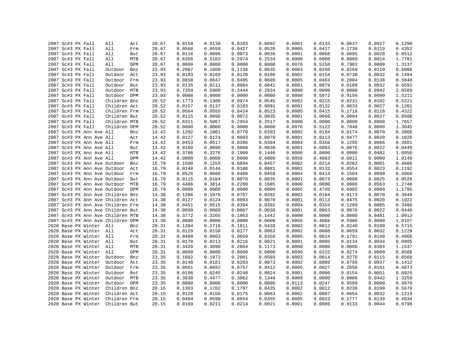|  | 2007 Sc#3 PX Fall                 | All          | Act | 20.67 | 0.0158 | 0.0138 | 0.0103 | 0.0092 | 0.0001 | 0.0133 | 0.0637 | 0.0027           | 0.1290 |
|--|-----------------------------------|--------------|-----|-------|--------|--------|--------|--------|--------|--------|--------|------------------|--------|
|  | 2007 Sc#3 PX Fall                 | All          | Frm | 20.67 | 0.0568 | 0.0559 | 0.0427 | 0.0526 | 0.0005 | 0.0417 | 0.1730 | 0.0119           | 0.4352 |
|  | 2007 Sc#3 PX Fall                 | All          | But | 20.67 | 0.0116 | 0.0096 | 0.0073 | 0.0036 | 0.0001 | 0.0068 | 0.0095 | 0.0028           | 0.0512 |
|  | 2007 Sc#3 PX Fall                 | All          | MTB | 20.67 | 0.6356 | 0.5103 | 0.2974 | 0.2534 | 0.0000 | 0.0000 | 0.0000 | 0.0814           | 1.7781 |
|  | 2007 Sc#3 PX Fall                 | All          | DPM | 20.67 | 0.0000 | 0.0000 | 0.0000 | 0.0000 | 0.0076 | 0.5158 | 0.7903 | 0.0000           | 1.3137 |
|  | 2007 Sc#3 PX Fall                 | Outdoor      | Bnz | 23.93 | 0.2067 | 0.1609 | 0.1136 | 0.0635 | 0.0003 | 0.0250 | 0.0269 | 0.0119           | 0.6088 |
|  | 2007 Sc#3 PX Fall                 | Outdoor      | Act | 23.93 | 0.0183 | 0.0160 | 0.0120 | 0.0106 | 0.0002 | 0.0154 | 0.0738 | 0.0032           | 0.1494 |
|  | 2007 Sc#3 PX Fall                 | Outdoor      | Frm | 23.93 | 0.0658 | 0.0647 | 0.0495 | 0.0609 | 0.0005 | 0.0483 | 0.2004 | 0.0138           | 0.5040 |
|  | 2007 Sc#3 PX Fall                 | Outdoor      | But | 23.93 | 0.0135 | 0.0111 | 0.0084 | 0.0041 | 0.0001 | 0.0079 | 0.0109 | 0.0032           | 0.0592 |
|  | 2007 Sc#3 PX Fall                 | Outdoor MTB  |     | 23.93 | 0.7359 | 0.5908 | 0.3444 | 0.2934 | 0.0000 | 0.0000 | 0.0000 | 0.0942           | 2.0589 |
|  | 2007 Sc#3 PX Fall                 | Outdoor DPM  |     | 23.93 | 0.0000 | 0.0000 | 0.0000 | 0.0000 | 0.0088 | 0.5972 | 0.9150 | 0.0000           | 1.5211 |
|  | 2007 Sc#3 PX Fall                 | Children Bnz |     | 20.52 | 0.1773 | 0.1380 | 0.0974 | 0.0545 | 0.0002 | 0.0215 | 0.0231 | 0.0102           | 0.5221 |
|  | 2007 Sc#3 PX Fall                 | Children Act |     | 20.52 | 0.0157 | 0.0137 | 0.0103 | 0.0091 | 0.0001 | 0.0132 | 0.0633 | 0.0027           | 0.1281 |
|  | 2007 Sc#3 PX Fall                 | Children Frm |     | 20.52 | 0.0564 | 0.0555 | 0.0424 | 0.0523 | 0.0005 | 0.0415 | 0.1718 | 0.0118           | 0.4322 |
|  |                                   | Children But |     | 20.52 | 0.0115 | 0.0096 | 0.0072 | 0.0035 | 0.0001 | 0.0068 | 0.0094 |                  | 0.0508 |
|  | 2007 Sc#3 PX Fall                 | Children MTB |     |       |        |        | 0.2954 |        | 0.0000 | 0.0000 |        | 0.0027<br>0.0808 |        |
|  | 2007 Sc#3 PX Fall                 |              |     | 20.52 | 0.6311 | 0.5067 |        | 0.2517 |        |        | 0.0000 |                  | 1.7657 |
|  | 2007 Sc#3 PX Fall                 | Children DPM |     | 20.52 | 0.0000 | 0.0000 | 0.0000 | 0.0000 | 0.0076 | 0.5122 | 0.7848 | 0.0000           | 1.3045 |
|  | 2007 Sc#3 PX Ann Ave All          |              | Bnz | 14.42 | 0.1292 | 0.1081 | 0.0770 | 0.0393 | 0.0002 | 0.0184 | 0.0174 | 0.0070           | 0.3966 |
|  | 2007 Sc#3 PX Ann Ave All          |              | Act | 14.42 | 0.0127 | 0.0124 | 0.0093 | 0.0070 | 0.0001 | 0.0113 | 0.0477 | 0.0020           | 0.1026 |
|  | 2007 Sc#3 PX Ann Ave All          |              | Frm | 14.42 | 0.0453 | 0.0517 | 0.0396 | 0.0394 | 0.0004 | 0.0356 | 0.1295 | 0.0086           | 0.3501 |
|  | 2007 Sc#3 PX Ann Ave All          |              | But | 14.42 | 0.0100 | 0.0090 | 0.0068 | 0.0030 | 0.0001 | 0.0063 | 0.0076 | 0.0022           | 0.0449 |
|  | 2007 Sc#3 PX Ann Ave All          |              | MTB | 14.42 | 0.3786 | 0.3276 | 0.1960 | 0.1446 | 0.0000 | 0.0000 | 0.0000 | 0.0482           | 1.0950 |
|  | 2007 Sc#3 PX Ann Ave All          |              | DPM | 14.42 | 0.0000 | 0.0000 | 0.0000 | 0.0000 | 0.0056 | 0.4083 | 0.6011 | 0.0000           | 1.0149 |
|  | 2007 Sc#3 PX Ann Ave Outdoor      |              | Bnz | 16.79 | 0.1500 | 0.1255 | 0.0894 | 0.0457 | 0.0002 | 0.0214 | 0.0202 | 0.0081           | 0.4606 |
|  | 2007 Sc#3 PX Ann Ave Outdoor      |              | Act | 16.79 | 0.0148 | 0.0144 | 0.0108 | 0.0081 | 0.0001 | 0.0132 | 0.0554 | 0.0023           | 0.1192 |
|  | 2007 Sc#3 PX Ann Ave Outdoor      |              | Frm | 16.79 | 0.0526 | 0.0600 | 0.0460 | 0.0458 | 0.0004 | 0.0414 | 0.1504 | 0.0099           | 0.4066 |
|  | 2007 Sc#3 PX Ann Ave Outdoor But  |              |     | 16.79 | 0.0115 | 0.0104 | 0.0078 | 0.0035 | 0.0001 | 0.0073 | 0.0088 | 0.0025           | 0.0520 |
|  | 2007 Sc#3 PX Ann Ave Outdoor MTB  |              |     | 16.79 | 0.4406 | 0.3814 | 0.2280 | 0.1685 | 0.0000 | 0.0000 | 0.0000 | 0.0563           | 1.2748 |
|  | 2007 Sc#3 PX Ann Ave Outdoor DPM  |              |     | 16.79 | 0.0000 | 0.0000 | 0.0000 | 0.0000 | 0.0065 | 0.4745 | 0.6985 | 0.0000           | 1.1795 |
|  | 2007 Sc#3 PX Ann Ave Children Bnz |              |     | 14.38 | 0.1286 | 0.1076 | 0.0767 | 0.0392 | 0.0002 | 0.0184 | 0.0173 | 0.0070           | 0.3948 |
|  | 2007 Sc#3 PX Ann Ave Children Act |              |     | 14.38 | 0.0127 | 0.0124 | 0.0093 | 0.0070 | 0.0001 | 0.0113 | 0.0475 | 0.0020           | 0.1022 |
|  | 2007 Sc#3 PX Ann Ave Children Frm |              |     | 14.38 | 0.0451 | 0.0515 | 0.0394 | 0.0392 | 0.0004 | 0.0354 | 0.1289 | 0.0085           | 0.3486 |
|  | 2007 Sc#3 PX Ann Ave Children But |              |     | 14.38 | 0.0099 | 0.0089 | 0.0067 | 0.0030 | 0.0001 | 0.0063 | 0.0076 | 0.0022           | 0.0446 |
|  | 2007 Sc#3 PX Ann Ave Children MTB |              |     | 14.38 | 0.3772 | 0.3265 | 0.1953 | 0.1442 | 0.0000 | 0.0000 | 0.0000 | 0.0481           | 1.0913 |
|  | 2007 Sc#3 PX Ann Ave Children DPM |              |     | 14.38 | 0.0000 | 0.0000 | 0.0000 | 0.0000 | 0.0056 | 0.4066 | 0.5986 | 0.0000           | 1.0107 |
|  | 2020 Base PX Winter All           |              | Bnz | 20.31 | 0.1394 | 0.1716 | 0.1811 | 0.0438 | 0.0002 | 0.0012 | 0.0240 | 0.0100           | 0.5715 |
|  | 2020 Base PX Winter All           |              | Act | 20.31 | 0.0129 | 0.0158 | 0.0177 | 0.0063 | 0.0002 | 0.0008 | 0.0659 | 0.0032           | 0.1229 |
|  | 2020 Base PX Winter All           |              | Frm | 20.31 | 0.0488 | 0.0603 | 0.0659 | 0.0358 | 0.0005 | 0.0024 | 0.1791 | 0.0140           | 0.4066 |
|  | 2020 Base PX Winter All           |              | But | 20.31 | 0.0170 | 0.0213 | 0.0216 | 0.0021 | 0.0001 | 0.0005 | 0.0134 | 0.0044           | 0.0805 |
|  | 2020 Base PX Winter               | All          | MTB | 20.31 | 0.3420 | 0.3896 | 0.2664 | 0.1173 | 0.0000 | 0.0000 | 0.0000 | 0.0384           | 1.1537 |
|  | 2020 Base PX Winter All           |              | DPM | 20.31 | 0.0000 | 0.0000 | 0.0000 | 0.0000 | 0.0099 | 0.0215 | 0.8274 | 0.0000           | 0.8588 |
|  | 2020 Base PX Winter               | Outdoor      | Bnz | 23.35 | 0.1602 | 0.1972 | 0.2081 | 0.0503 | 0.0003 | 0.0014 | 0.0276 | 0.0115           | 0.6568 |
|  | 2020 Base PX Winter               | Outdoor      | Act | 23.35 | 0.0148 | 0.0181 | 0.0203 | 0.0073 | 0.0002 | 0.0009 | 0.0758 | 0.0037           | 0.1412 |
|  | 2020 Base PX Winter               | Outdoor      | Frm | 23.35 | 0.0561 | 0.0692 | 0.0757 | 0.0412 | 0.0005 | 0.0027 | 0.2058 | 0.0161           | 0.4673 |
|  | 2020 Base PX Winter               | Outdoor But  |     |       | 0.0196 |        |        |        | 0.0001 | 0.0006 | 0.0154 |                  | 0.0925 |
|  |                                   |              |     | 23.35 |        | 0.0245 | 0.0248 | 0.0024 |        |        |        | 0.0051           |        |
|  | 2020 Base PX Winter               | Outdoor MTB  |     | 23.35 | 0.3930 | 0.4477 | 0.3062 | 0.1348 | 0.0000 | 0.0000 | 0.0000 | 0.0442           | 1.3259 |
|  | 2020 Base PX Winter               | Outdoor DPM  |     | 23.35 | 0.0000 | 0.0000 | 0.0000 | 0.0000 | 0.0113 | 0.0247 | 0.9509 | 0.0000           | 0.9870 |
|  | 2020 Base PX Winter               | Children Bnz |     | 20.15 | 0.1383 | 0.1702 | 0.1797 | 0.0435 | 0.0002 | 0.0012 | 0.0238 | 0.0100           | 0.5670 |
|  | 2020 Base PX Winter               | Children Act |     | 20.15 | 0.0128 | 0.0156 | 0.0175 | 0.0063 | 0.0002 | 0.0007 | 0.0654 | 0.0032           | 0.1219 |
|  | 2020 Base PX Winter               | Children Frm |     | 20.15 | 0.0484 | 0.0598 | 0.0654 | 0.0355 | 0.0005 | 0.0023 | 0.1777 | 0.0139           | 0.4034 |
|  | 2020 Base PX Winter               | Children But |     | 20.15 | 0.0169 | 0.0211 | 0.0214 | 0.0021 | 0.0001 | 0.0005 | 0.0133 | 0.0044           | 0.0798 |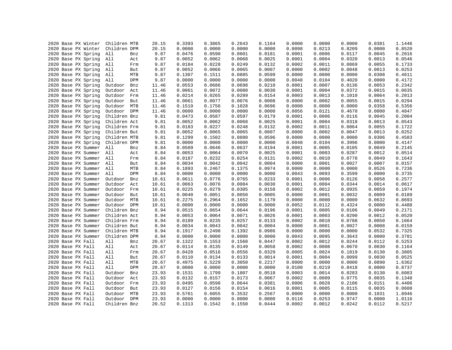| 2020 Base PX Winter | Children MTB          | 20.15 | 0.3393 | 0.3865 | 0.2643 | 0.1164 | 0.0000 | 0.0000 | 0.0000 | 0.0381 | 1.1446 |
|---------------------|-----------------------|-------|--------|--------|--------|--------|--------|--------|--------|--------|--------|
| 2020 Base PX Winter | Children DPM          | 20.15 | 0.0000 | 0.0000 | 0.0000 | 0.0000 | 0.0098 | 0.0213 | 0.8209 | 0.0000 | 0.8520 |
| 2020 Base PX Spring | All<br>Bnz            | 9.87  | 0.0476 | 0.0590 | 0.0601 | 0.0181 | 0.0001 | 0.0006 | 0.0117 | 0.0045 | 0.2016 |
| 2020 Base PX Spring | All<br>Act            | 9.87  | 0.0052 | 0.0062 | 0.0068 | 0.0025 | 0.0001 | 0.0004 | 0.0320 | 0.0013 | 0.0546 |
| 2020 Base PX Spring | All<br>Frm            | 9.87  | 0.0184 | 0.0228 | 0.0249 | 0.0132 | 0.0002 | 0.0011 | 0.0869 | 0.0055 | 0.1733 |
| 2020 Base PX Spring | All<br>But            | 9.87  | 0.0052 | 0.0066 | 0.0065 | 0.0007 | 0.0000 | 0.0002 | 0.0048 | 0.0013 | 0.0253 |
| 2020 Base PX Spring | MTB<br>All            | 9.87  | 0.1307 | 0.1511 | 0.0885 | 0.0599 | 0.0000 | 0.0000 | 0.0000 | 0.0308 | 0.4611 |
| 2020 Base PX Spring | All<br>DPM            | 9.87  | 0.0000 | 0.0000 | 0.0000 | 0.0000 | 0.0048 | 0.0104 | 0.4020 | 0.0000 | 0.4172 |
| 2020 Base PX Spring | Outdoor<br>Bnz        | 11.46 | 0.0553 | 0.0686 | 0.0698 | 0.0210 | 0.0001 | 0.0007 | 0.0136 | 0.0053 | 0.2342 |
| 2020 Base PX Spring | Outdoor<br>Act        | 11.46 | 0.0061 | 0.0072 | 0.0080 | 0.0030 | 0.0001 | 0.0004 | 0.0372 | 0.0015 | 0.0635 |
| 2020 Base PX Spring | Outdoor<br>Frm        | 11.46 | 0.0214 | 0.0265 | 0.0289 | 0.0154 | 0.0003 | 0.0013 | 0.1010 | 0.0064 | 0.2013 |
| 2020 Base PX Spring | Outdoor<br>But        | 11.46 | 0.0061 | 0.0077 | 0.0076 | 0.0008 | 0.0000 | 0.0002 | 0.0055 | 0.0015 | 0.0294 |
| 2020 Base PX Spring | Outdoor<br>MTB        | 11.46 | 0.1519 | 0.1756 | 0.1028 | 0.0696 | 0.0000 | 0.0000 | 0.0000 | 0.0358 | 0.5356 |
| 2020 Base PX Spring | <b>DPM</b><br>Outdoor | 11.46 | 0.0000 | 0.0000 | 0.0000 | 0.0000 | 0.0056 | 0.0121 | 0.4670 | 0.0000 | 0.4847 |
| 2020 Base PX Spring | Children Bnz          | 9.81  | 0.0473 | 0.0587 | 0.0597 | 0.0179 | 0.0001 | 0.0006 | 0.0116 | 0.0045 | 0.2004 |
| 2020 Base PX Spring | Children Act          | 9.81  | 0.0052 | 0.0062 | 0.0068 | 0.0025 | 0.0001 | 0.0004 | 0.0318 | 0.0013 | 0.0543 |
| 2020 Base PX Spring | Children Frm          | 9.81  | 0.0183 | 0.0227 | 0.0248 | 0.0132 | 0.0002 | 0.0011 | 0.0864 | 0.0055 | 0.1722 |
| 2020 Base PX Spring | Children But          | 9.81  | 0.0052 | 0.0065 | 0.0065 | 0.0007 | 0.0000 | 0.0002 | 0.0047 | 0.0013 | 0.0252 |
| 2020 Base PX Spring | Children MTB          | 9.81  | 0.1299 | 0.1502 | 0.0880 | 0.0596 | 0.0000 | 0.0000 | 0.0000 | 0.0306 | 0.4583 |
| 2020 Base PX Spring | Children DPM          | 9.81  | 0.0000 | 0.0000 | 0.0000 | 0.0000 | 0.0048 | 0.0104 | 0.3996 | 0.0000 | 0.4147 |
| 2020 Base PX Summer | All<br>Bnz            | 8.84  | 0.0509 | 0.0646 | 0.0637 | 0.0194 | 0.0001 | 0.0005 | 0.0105 | 0.0049 | 0.2145 |
| 2020 Base PX Summer | All<br>Act            | 8.84  | 0.0053 | 0.0064 | 0.0070 | 0.0025 | 0.0001 | 0.0003 | 0.0287 | 0.0012 | 0.0514 |
| 2020 Base PX Summer | All<br>Frm            | 8.84  | 0.0187 | 0.0232 | 0.0254 | 0.0131 | 0.0002 | 0.0010 | 0.0778 | 0.0049 | 0.1643 |
| 2020 Base PX Summer | All<br>But            | 8.84  | 0.0034 | 0.0042 | 0.0042 | 0.0004 | 0.0000 | 0.0001 | 0.0027 | 0.0007 | 0.0157 |
| 2020 Base PX Summer | All<br>MTB            | 8.84  | 0.1893 | 0.2467 | 0.1375 | 0.0974 | 0.0000 | 0.0000 | 0.0000 | 0.0526 | 0.7236 |
| 2020 Base PX Summer | All<br>DPM            | 8.84  | 0.0000 | 0.0000 | 0.0000 | 0.0000 | 0.0043 | 0.0093 | 0.3599 | 0.0000 | 0.3735 |
| 2020 Base PX Summer | Outdoor<br>Bnz        | 10.61 | 0.0611 | 0.0776 | 0.0765 | 0.0233 | 0.0001 | 0.0006 | 0.0126 | 0.0058 | 0.2577 |
| 2020 Base PX Summer | Outdoor<br>Act        | 10.61 | 0.0063 | 0.0076 | 0.0084 | 0.0030 | 0.0001 | 0.0004 | 0.0344 | 0.0014 | 0.0617 |
| 2020 Base PX Summer | Outdoor<br>Frm        | 10.61 | 0.0225 | 0.0279 | 0.0305 | 0.0158 | 0.0002 | 0.0012 | 0.0935 | 0.0059 | 0.1974 |
| 2020 Base PX Summer | Outdoor<br>But        | 10.61 | 0.0040 | 0.0051 | 0.0050 | 0.0005 | 0.0000 | 0.0001 | 0.0032 | 0.0009 | 0.0189 |
| 2020 Base PX Summer | Outdoor MTB           | 10.61 | 0.2275 | 0.2964 | 0.1652 | 0.1170 | 0.0000 | 0.0000 | 0.0000 | 0.0632 | 0.8693 |
| 2020 Base PX Summer | Outdoor<br>DPM        | 10.61 | 0.0000 | 0.0000 | 0.0000 | 0.0000 | 0.0052 | 0.0112 | 0.4324 | 0.0000 | 0.4488 |
| 2020 Base PX Summer | Children Bnz          | 8.94  | 0.0515 | 0.0654 | 0.0644 | 0.0196 | 0.0001 | 0.0005 | 0.0106 | 0.0049 | 0.2171 |
| 2020 Base PX Summer | Children Act          | 8.94  | 0.0053 | 0.0064 | 0.0071 | 0.0026 | 0.0001 | 0.0003 | 0.0290 | 0.0012 | 0.0520 |
| 2020 Base PX Summer | Children Frm          | 8.94  | 0.0189 | 0.0235 | 0.0257 | 0.0133 | 0.0002 | 0.0010 | 0.0788 | 0.0050 | 0.1664 |
| 2020 Base PX Summer | Children But          | 8.94  | 0.0034 | 0.0043 | 0.0042 | 0.0004 | 0.0000 | 0.0001 | 0.0027 | 0.0008 | 0.0159 |
| 2020 Base PX Summer | Children MTB          | 8.94  | 0.1917 | 0.2498 | 0.1392 | 0.0986 | 0.0000 | 0.0000 | 0.0000 | 0.0532 | 0.7325 |
| 2020 Base PX Summer | Children DPM          | 8.94  | 0.0000 | 0.0000 | 0.0000 | 0.0000 | 0.0043 | 0.0095 | 0.3643 | 0.0000 | 0.3781 |
| 2020 Base PX Fall   | All<br>Bnz            | 20.67 | 0.1322 | 0.1553 | 0.1560 | 0.0447 | 0.0002 | 0.0012 | 0.0244 | 0.0112 | 0.5253 |
| 2020 Base PX Fall   | All<br>Act            | 20.67 | 0.0114 | 0.0135 | 0.0149 | 0.0058 | 0.0002 | 0.0008 | 0.0670 | 0.0030 | 0.1164 |
| 2020 Base PX Fall   | All<br>Frm            | 20.67 | 0.0428 | 0.0516 | 0.0556 | 0.0329 | 0.0005 | 0.0024 | 0.1819 | 0.0130 | 0.3805 |
| 2020 Base PX Fall   | All<br>But            | 20.67 | 0.0110 | 0.0134 | 0.0133 | 0.0014 | 0.0001 | 0.0004 | 0.0099 | 0.0030 | 0.0525 |
| 2020 Base PX Fall   | All<br>MTB            | 20.67 | 0.4975 | 0.5229 | 0.3050 | 0.2217 | 0.0000 | 0.0000 | 0.0000 | 0.0890 | 1.6362 |
| 2020 Base PX Fall   | All<br>DPM            | 20.67 | 0.0000 | 0.0000 | 0.0000 | 0.0000 | 0.0100 | 0.0219 | 0.8418 | 0.0000 | 0.8737 |
| 2020 Base PX Fall   | Outdoor<br>Bnz        | 23.93 | 0.1531 | 0.1799 | 0.1807 | 0.0518 | 0.0003 | 0.0014 | 0.0283 | 0.0130 | 0.6083 |
| 2020 Base PX Fall   | Outdoor<br>Act        | 23.93 | 0.0132 | 0.0157 | 0.0173 | 0.0067 | 0.0002 | 0.0009 | 0.0775 | 0.0035 | 0.1348 |
| 2020 Base PX Fall   | Outdoor<br>Frm        | 23.93 | 0.0495 | 0.0598 | 0.0644 | 0.0381 | 0.0006 | 0.0028 | 0.2106 | 0.0151 | 0.4406 |
| 2020 Base PX Fall   | Outdoor<br>But        | 23.93 | 0.0127 | 0.0156 | 0.0154 | 0.0016 | 0.0001 | 0.0005 | 0.0115 | 0.0035 | 0.0608 |
| 2020 Base PX Fall   | Outdoor<br>MTB        | 23.93 | 0.5761 | 0.6055 | 0.3532 | 0.2567 | 0.0000 | 0.0000 | 0.0000 | 0.1031 | 1.8946 |
| 2020 Base PX Fall   | Outdoor<br><b>DPM</b> | 23.93 | 0.0000 | 0.0000 | 0.0000 | 0.0000 | 0.0116 | 0.0253 | 0.9747 | 0.0000 | 1.0116 |
| 2020 Base PX Fall   | Children Bnz          | 20.52 | 0.1313 | 0.1542 | 0.1550 | 0.0444 | 0.0002 | 0.0012 | 0.0242 | 0.0112 | 0.5217 |
|                     |                       |       |        |        |        |        |        |        |        |        |        |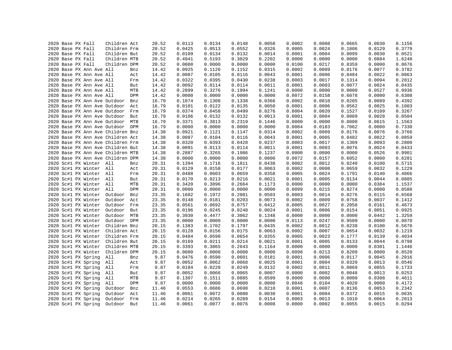|  | 2020 Base PX Fall |                          | Children Act                      |            | 20.52 | 0.0113 | 0.0134           | 0.0148           | 0.0058           | 0.0002 | 0.0008 | 0.0665 | 0.0030           | 0.1156           |
|--|-------------------|--------------------------|-----------------------------------|------------|-------|--------|------------------|------------------|------------------|--------|--------|--------|------------------|------------------|
|  | 2020 Base PX Fall |                          | Children Frm                      |            | 20.52 | 0.0425 | 0.0513           | 0.0552           | 0.0326           | 0.0005 | 0.0024 | 0.1806 | 0.0129           | 0.3779           |
|  | 2020 Base PX Fall |                          | Children But                      |            | 20.52 | 0.0109 | 0.0134           | 0.0132           | 0.0014           | 0.0001 | 0.0004 | 0.0099 | 0.0030           | 0.0521           |
|  | 2020 Base PX Fall |                          | Children MTB                      |            | 20.52 | 0.4941 | 0.5193           | 0.3029           | 0.2202           | 0.0000 | 0.0000 | 0.0000 | 0.0884           | 1.6248           |
|  | 2020 Base PX Fall |                          | Children DPM                      |            | 20.52 | 0.0000 | 0.0000           | 0.0000           | 0.0000           | 0.0100 | 0.0217 | 0.8359 | 0.0000           | 0.8676           |
|  |                   | 2020 Base PX Ann Ave All |                                   | Bnz        | 14.42 | 0.0925 | 0.1126           | 0.1152           | 0.0315           | 0.0002 | 0.0009 | 0.0176 | 0.0077           | 0.3782           |
|  |                   | 2020 Base PX Ann Ave All |                                   | Act        | 14.42 | 0.0087 | 0.0105           | 0.0116           | 0.0043           | 0.0001 | 0.0006 | 0.0484 | 0.0022           | 0.0863           |
|  |                   | 2020 Base PX Ann Ave All |                                   | Frm        | 14.42 | 0.0322 | 0.0395           | 0.0430           | 0.0238           | 0.0003 | 0.0017 | 0.1314 | 0.0094           | 0.2812           |
|  |                   | 2020 Base PX Ann Ave All |                                   | But        | 14.42 | 0.0092 | 0.0114           | 0.0114           | 0.0011           | 0.0001 | 0.0003 | 0.0077 | 0.0024           | 0.0435           |
|  |                   | 2020 Base PX Ann Ave All |                                   | MTB        | 14.42 | 0.2899 | 0.3276           | 0.1994           | 0.1241           | 0.0000 | 0.0000 | 0.0000 | 0.0527           | 0.9936           |
|  |                   | 2020 Base PX Ann Ave All |                                   | DPM        | 14.42 | 0.0000 | 0.0000           | 0.0000           | 0.0000           | 0.0072 | 0.0158 | 0.6078 | 0.0000           | 0.6308           |
|  |                   |                          | 2020 Base PX Ann Ave Outdoor      | Bnz        | 16.79 | 0.1074 | 0.1308           | 0.1338           | 0.0366           | 0.0002 | 0.0010 | 0.0205 | 0.0089           | 0.4392           |
|  |                   |                          | 2020 Base PX Ann Ave Outdoor      | Act        | 16.79 | 0.0101 | 0.0122           | 0.0135           | 0.0050           | 0.0001 | 0.0006 | 0.0562 | 0.0025           | 0.1003           |
|  |                   |                          | 2020 Base PX Ann Ave Outdoor      | Frm        | 16.79 | 0.0374 | 0.0458           | 0.0499           | 0.0276           | 0.0004 | 0.0020 | 0.1527 | 0.0109           | 0.3267           |
|  |                   |                          | 2020 Base PX Ann Ave Outdoor      | But        | 16.79 | 0.0106 | 0.0132           | 0.0132           | 0.0013           | 0.0001 | 0.0004 | 0.0089 | 0.0028           | 0.0504           |
|  |                   |                          | 2020 Base PX Ann Ave Outdoor      | <b>MTB</b> | 16.79 | 0.3371 | 0.3813           | 0.2319           | 0.1446           | 0.0000 | 0.0000 | 0.0000 | 0.0615           | 1.1563           |
|  |                   |                          | 2020 Base PX Ann Ave Outdoor DPM  |            | 16.79 | 0.0000 | 0.0000           | 0.0000           | 0.0000           | 0.0084 | 0.0183 | 0.7062 | 0.0000           | 0.7330           |
|  |                   |                          | 2020 Base PX Ann Ave Children Bnz |            | 14.38 | 0.0921 | 0.1121           | 0.1147           | 0.0314           | 0.0002 | 0.0009 | 0.0176 | 0.0076           | 0.3766           |
|  |                   |                          | 2020 Base PX Ann Ave Children Act |            | 14.38 | 0.0087 | 0.0104           | 0.0116           | 0.0043           | 0.0001 | 0.0005 | 0.0482 | 0.0022           | 0.0859           |
|  |                   |                          | 2020 Base PX Ann Ave Children Frm |            | 14.38 | 0.0320 | 0.0393           | 0.0428           | 0.0237           | 0.0003 | 0.0017 | 0.1309 | 0.0093           | 0.2800           |
|  |                   |                          | 2020 Base PX Ann Ave Children But |            | 14.38 | 0.0091 | 0.0113           | 0.0114           | 0.0011           | 0.0001 | 0.0003 | 0.0076 | 0.0024           | 0.0433           |
|  |                   |                          |                                   |            |       | 0.2887 |                  | 0.1986           | 0.1237           | 0.0000 | 0.0000 | 0.0000 | 0.0526           | 0.9901           |
|  |                   |                          | 2020 Base PX Ann Ave Children MTB |            | 14.38 | 0.0000 | 0.3265           |                  |                  | 0.0072 | 0.0157 | 0.6052 |                  |                  |
|  |                   |                          | 2020 Base PX Ann Ave Children DPM |            | 14.38 |        | 0.0000<br>0.1716 | 0.0000<br>0.1811 | 0.0000<br>0.0438 | 0.0002 |        | 0.0240 | 0.0000<br>0.0100 | 0.6281<br>0.5715 |
|  |                   | 2020 Sc#1 PX Winter All  |                                   | Bnz        | 20.31 | 0.1394 |                  |                  |                  |        | 0.0012 |        |                  |                  |
|  |                   | 2020 Sc#1 PX Winter All  |                                   | Act        | 20.31 | 0.0129 | 0.0158           | 0.0177           | 0.0063           | 0.0002 | 0.0008 | 0.0659 | 0.0032           | 0.1229           |
|  |                   | 2020 Sc#1 PX Winter All  |                                   | Frm        | 20.31 | 0.0488 | 0.0603           | 0.0659           | 0.0358           | 0.0005 | 0.0024 | 0.1791 | 0.0140           | 0.4066           |
|  |                   | 2020 Sc#1 PX Winter All  |                                   | But        | 20.31 | 0.0170 | 0.0213           | 0.0216           | 0.0021           | 0.0001 | 0.0005 | 0.0134 | 0.0044           | 0.0805           |
|  |                   | 2020 Sc#1 PX Winter All  |                                   | MTB        | 20.31 | 0.3420 | 0.3896           | 0.2664           | 0.1173           | 0.0000 | 0.0000 | 0.0000 | 0.0384           | 1.1537           |
|  |                   | 2020 Sc#1 PX Winter All  |                                   | DPM        | 20.31 | 0.0000 | 0.0000           | 0.0000           | 0.0000           | 0.0099 | 0.0215 | 0.8274 | 0.0000           | 0.8588           |
|  |                   | 2020 Sc#1 PX Winter      | Outdoor                           | Bnz        | 23.35 | 0.1602 | 0.1972           | 0.2081           | 0.0503           | 0.0003 | 0.0014 | 0.0276 | 0.0115           | 0.6568           |
|  |                   | 2020 Sc#1 PX Winter      | Outdoor                           | Act        | 23.35 | 0.0148 | 0.0181           | 0.0203           | 0.0073           | 0.0002 | 0.0009 | 0.0758 | 0.0037           | 0.1412           |
|  |                   | 2020 Sc#1 PX Winter      | Outdoor                           | Frm        | 23.35 | 0.0561 | 0.0692           | 0.0757           | 0.0412           | 0.0005 | 0.0027 | 0.2058 | 0.0161           | 0.4673           |
|  |                   | 2020 Sc#1 PX Winter      | Outdoor                           | But        | 23.35 | 0.0196 | 0.0245           | 0.0248           | 0.0024           | 0.0001 | 0.0006 | 0.0154 | 0.0051           | 0.0925           |
|  |                   | 2020 Sc#1 PX Winter      | Outdoor                           | MTB        | 23.35 | 0.3930 | 0.4477           | 0.3062           | 0.1348           | 0.0000 | 0.0000 | 0.0000 | 0.0442           | 1.3259           |
|  |                   | 2020 Sc#1 PX Winter      | Outdoor DPM                       |            | 23.35 | 0.0000 | 0.0000           | 0.0000           | 0.0000           | 0.0113 | 0.0247 | 0.9509 | 0.0000           | 0.9870           |
|  |                   | 2020 Sc#1 PX Winter      | Children Bnz                      |            | 20.15 | 0.1383 | 0.1702           | 0.1797           | 0.0435           | 0.0002 | 0.0012 | 0.0238 | 0.0100           | 0.5670           |
|  |                   | 2020 Sc#1 PX Winter      | Children Act                      |            | 20.15 | 0.0128 | 0.0156           | 0.0175           | 0.0063           | 0.0002 | 0.0007 | 0.0654 | 0.0032           | 0.1219           |
|  |                   | 2020 Sc#1 PX Winter      | Children Frm                      |            | 20.15 | 0.0484 | 0.0598           | 0.0654           | 0.0355           | 0.0005 | 0.0023 | 0.1777 | 0.0139           | 0.4034           |
|  |                   | 2020 Sc#1 PX Winter      | Children But                      |            | 20.15 | 0.0169 | 0.0211           | 0.0214           | 0.0021           | 0.0001 | 0.0005 | 0.0133 | 0.0044           | 0.0798           |
|  |                   | 2020 Sc#1 PX Winter      | Children MTB                      |            | 20.15 | 0.3393 | 0.3865           | 0.2643           | 0.1164           | 0.0000 | 0.0000 | 0.0000 | 0.0381           | 1.1446           |
|  |                   | 2020 Sc#1 PX Winter      | Children DPM                      |            | 20.15 | 0.0000 | 0.0000           | 0.0000           | 0.0000           | 0.0098 | 0.0213 | 0.8209 | 0.0000           | 0.8520           |
|  |                   | 2020 Sc#1 PX Spring      | All                               | Bnz        | 9.87  | 0.0476 | 0.0590           | 0.0601           | 0.0181           | 0.0001 | 0.0006 | 0.0117 | 0.0045           | 0.2016           |
|  |                   | 2020 Sc#1 PX Spring      | All                               | Act        | 9.87  | 0.0052 | 0.0062           | 0.0068           | 0.0025           | 0.0001 | 0.0004 | 0.0320 | 0.0013           | 0.0546           |
|  |                   | 2020 Sc#1 PX Spring      | All                               | Frm        | 9.87  | 0.0184 | 0.0228           | 0.0249           | 0.0132           | 0.0002 | 0.0011 | 0.0869 | 0.0055           | 0.1733           |
|  |                   | 2020 Sc#1 PX Spring      | All                               | But        | 9.87  | 0.0052 | 0.0066           | 0.0065           | 0.0007           | 0.0000 | 0.0002 | 0.0048 | 0.0013           | 0.0253           |
|  |                   | 2020 Sc#1 PX Spring      | All                               | MTB        | 9.87  | 0.1307 | 0.1511           | 0.0885           | 0.0599           | 0.0000 | 0.0000 | 0.0000 | 0.0308           | 0.4611           |
|  |                   | 2020 Sc#1 PX Spring      | All                               | DPM        | 9.87  | 0.0000 | 0.0000           | 0.0000           | 0.0000           | 0.0048 | 0.0104 | 0.4020 | 0.0000           | 0.4172           |
|  |                   | 2020 Sc#1 PX Spring      | Outdoor                           | Bnz        | 11.46 | 0.0553 | 0.0686           | 0.0698           | 0.0210           | 0.0001 | 0.0007 | 0.0136 | 0.0053           | 0.2342           |
|  |                   | 2020 Sc#1 PX Spring      | Outdoor                           | Act        | 11.46 | 0.0061 | 0.0072           | 0.0080           | 0.0030           | 0.0001 | 0.0004 | 0.0372 | 0.0015           | 0.0635           |
|  |                   | 2020 Sc#1 PX Spring      | Outdoor                           | Frm        | 11.46 | 0.0214 | 0.0265           | 0.0289           | 0.0154           | 0.0003 | 0.0013 | 0.1010 | 0.0064           | 0.2013           |
|  |                   | 2020 Sc#1 PX Spring      | Outdoor                           | But        | 11.46 | 0.0061 | 0.0077           | 0.0076           | 0.0008           | 0.0000 | 0.0002 | 0.0055 | 0.0015           | 0.0294           |
|  |                   |                          |                                   |            |       |        |                  |                  |                  |        |        |        |                  |                  |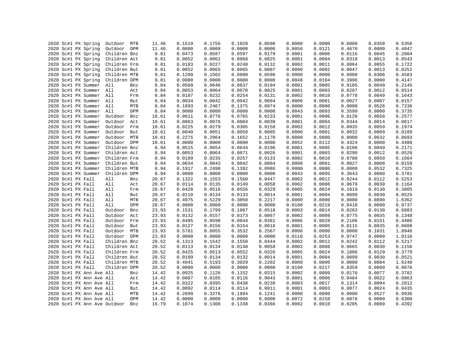|  | 2020 Sc#1 PX Spring          | Outdoor MTB  |     | 11.46 | 0.1519 | 0.1756 | 0.1028 | 0.0696 | 0.0000 | 0.0000 | 0.0000 | 0.0358 | 0.5356 |
|--|------------------------------|--------------|-----|-------|--------|--------|--------|--------|--------|--------|--------|--------|--------|
|  | 2020 Sc#1 PX Spring          | Outdoor DPM  |     | 11.46 | 0.0000 | 0.0000 | 0.0000 | 0.0000 | 0.0056 | 0.0121 | 0.4670 | 0.0000 | 0.4847 |
|  | 2020 Sc#1 PX Spring          | Children Bnz |     | 9.81  | 0.0473 | 0.0587 | 0.0597 | 0.0179 | 0.0001 | 0.0006 | 0.0116 | 0.0045 | 0.2004 |
|  | 2020 Sc#1 PX Spring          | Children Act |     | 9.81  | 0.0052 | 0.0062 | 0.0068 | 0.0025 | 0.0001 | 0.0004 | 0.0318 | 0.0013 | 0.0543 |
|  | 2020 Sc#1 PX Spring          | Children Frm |     | 9.81  | 0.0183 | 0.0227 | 0.0248 | 0.0132 | 0.0002 | 0.0011 | 0.0864 | 0.0055 | 0.1722 |
|  | 2020 Sc#1 PX Spring          | Children But |     | 9.81  | 0.0052 | 0.0065 | 0.0065 | 0.0007 | 0.0000 | 0.0002 | 0.0047 | 0.0013 | 0.0252 |
|  | 2020 Sc#1 PX Spring          | Children MTB |     | 9.81  | 0.1299 | 0.1502 | 0.0880 | 0.0596 | 0.0000 | 0.0000 | 0.0000 | 0.0306 | 0.4583 |
|  | 2020 Sc#1 PX Spring          | Children DPM |     | 9.81  | 0.0000 | 0.0000 | 0.0000 | 0.0000 | 0.0048 | 0.0104 | 0.3996 | 0.0000 | 0.4147 |
|  | 2020 Sc#1 PX Summer All      |              | Bnz | 8.84  | 0.0509 | 0.0646 | 0.0637 | 0.0194 | 0.0001 | 0.0005 | 0.0105 | 0.0049 | 0.2145 |
|  | 2020 Sc#1 PX Summer All      |              | Act | 8.84  | 0.0053 | 0.0064 | 0.0070 | 0.0025 | 0.0001 | 0.0003 | 0.0287 | 0.0012 | 0.0514 |
|  | 2020 Sc#1 PX Summer All      |              | Frm | 8.84  | 0.0187 | 0.0232 | 0.0254 | 0.0131 | 0.0002 | 0.0010 | 0.0778 | 0.0049 | 0.1643 |
|  | 2020 Sc#1 PX Summer All      |              | But | 8.84  | 0.0034 | 0.0042 | 0.0042 | 0.0004 | 0.0000 | 0.0001 | 0.0027 | 0.0007 | 0.0157 |
|  | 2020 Sc#1 PX Summer          | All          | MTB | 8.84  | 0.1893 | 0.2467 | 0.1375 | 0.0974 | 0.0000 | 0.0000 | 0.0000 | 0.0526 | 0.7236 |
|  | 2020 Sc#1 PX Summer          | All          | DPM | 8.84  | 0.0000 | 0.0000 | 0.0000 | 0.0000 | 0.0043 | 0.0093 | 0.3599 | 0.0000 | 0.3735 |
|  | 2020 Sc#1 PX Summer          | Outdoor      | Bnz | 10.61 | 0.0611 | 0.0776 | 0.0765 | 0.0233 | 0.0001 | 0.0006 | 0.0126 | 0.0058 | 0.2577 |
|  | 2020 Sc#1 PX Summer          | Outdoor Act  |     | 10.61 | 0.0063 | 0.0076 | 0.0084 | 0.0030 | 0.0001 | 0.0004 | 0.0344 | 0.0014 | 0.0617 |
|  | 2020 Sc#1 PX Summer          | Outdoor Frm  |     | 10.61 | 0.0225 | 0.0279 | 0.0305 | 0.0158 | 0.0002 | 0.0012 | 0.0935 | 0.0059 | 0.1974 |
|  | 2020 Sc#1 PX Summer          | Outdoor But  |     | 10.61 | 0.0040 | 0.0051 | 0.0050 | 0.0005 | 0.0000 | 0.0001 | 0.0032 | 0.0009 | 0.0189 |
|  | 2020 Sc#1 PX Summer          | Outdoor MTB  |     | 10.61 | 0.2275 | 0.2964 | 0.1652 | 0.1170 | 0.0000 | 0.0000 | 0.0000 | 0.0632 | 0.8693 |
|  | 2020 Sc#1 PX Summer          | Outdoor DPM  |     | 10.61 | 0.0000 | 0.0000 | 0.0000 | 0.0000 | 0.0052 | 0.0112 | 0.4324 | 0.0000 | 0.4488 |
|  | 2020 Sc#1 PX Summer          | Children Bnz |     | 8.94  | 0.0515 | 0.0654 | 0.0644 | 0.0196 | 0.0001 | 0.0005 | 0.0106 | 0.0049 | 0.2171 |
|  | 2020 Sc#1 PX Summer          | Children Act |     | 8.94  | 0.0053 | 0.0064 | 0.0071 | 0.0026 | 0.0001 | 0.0003 | 0.0290 | 0.0012 | 0.0520 |
|  | 2020 Sc#1 PX Summer          | Children Frm |     | 8.94  | 0.0189 | 0.0235 | 0.0257 | 0.0133 | 0.0002 | 0.0010 | 0.0788 | 0.0050 | 0.1664 |
|  |                              |              |     |       |        |        |        |        |        |        |        |        |        |
|  | 2020 Sc#1 PX Summer          | Children But |     | 8.94  | 0.0034 | 0.0043 | 0.0042 | 0.0004 | 0.0000 | 0.0001 | 0.0027 | 0.0008 | 0.0159 |
|  | 2020 Sc#1 PX Summer          | Children MTB |     | 8.94  | 0.1917 | 0.2498 | 0.1392 | 0.0986 | 0.0000 | 0.0000 | 0.0000 | 0.0532 | 0.7325 |
|  | 2020 Sc#1 PX Summer          | Children DPM |     | 8.94  | 0.0000 | 0.0000 | 0.0000 | 0.0000 | 0.0043 | 0.0095 | 0.3643 | 0.0000 | 0.3781 |
|  | 2020 Sc#1 PX Fall            | All          | Bnz | 20.67 | 0.1322 | 0.1553 | 0.1560 | 0.0447 | 0.0002 | 0.0012 | 0.0244 | 0.0112 | 0.5253 |
|  | 2020 Sc#1 PX Fall            | All          | Act | 20.67 | 0.0114 | 0.0135 | 0.0149 | 0.0058 | 0.0002 | 0.0008 | 0.0670 | 0.0030 | 0.1164 |
|  | 2020 Sc#1 PX Fall            | All          | Frm | 20.67 | 0.0428 | 0.0516 | 0.0556 | 0.0329 | 0.0005 | 0.0024 | 0.1819 | 0.0130 | 0.3805 |
|  | 2020 Sc#1 PX Fall            | All          | But | 20.67 | 0.0110 | 0.0134 | 0.0133 | 0.0014 | 0.0001 | 0.0004 | 0.0099 | 0.0030 | 0.0525 |
|  | 2020 Sc#1 PX Fall            | All          | MTB | 20.67 | 0.4975 | 0.5229 | 0.3050 | 0.2217 | 0.0000 | 0.0000 | 0.0000 | 0.0890 | 1.6362 |
|  | 2020 Sc#1 PX Fall            | All          | DPM | 20.67 | 0.0000 | 0.0000 | 0.0000 | 0.0000 | 0.0100 | 0.0219 | 0.8418 | 0.0000 | 0.8737 |
|  | 2020 Sc#1 PX Fall            | Outdoor      | Bnz | 23.93 | 0.1531 | 0.1799 | 0.1807 | 0.0518 | 0.0003 | 0.0014 | 0.0283 | 0.0130 | 0.6083 |
|  | 2020 Sc#1 PX Fall            | Outdoor      | Act | 23.93 | 0.0132 | 0.0157 | 0.0173 | 0.0067 | 0.0002 | 0.0009 | 0.0775 | 0.0035 | 0.1348 |
|  | 2020 Sc#1 PX Fall            | Outdoor Frm  |     | 23.93 | 0.0495 | 0.0598 | 0.0644 | 0.0381 | 0.0006 | 0.0028 | 0.2106 | 0.0151 | 0.4406 |
|  | 2020 Sc#1 PX Fall            | Outdoor But  |     | 23.93 | 0.0127 | 0.0156 | 0.0154 | 0.0016 | 0.0001 | 0.0005 | 0.0115 | 0.0035 | 0.0608 |
|  | 2020 Sc#1 PX Fall            | Outdoor MTB  |     | 23.93 | 0.5761 | 0.6055 | 0.3532 | 0.2567 | 0.0000 | 0.0000 | 0.0000 | 0.1031 | 1.8946 |
|  | 2020 Sc#1 PX Fall            | Outdoor DPM  |     | 23.93 | 0.0000 | 0.0000 | 0.0000 | 0.0000 | 0.0116 | 0.0253 | 0.9747 | 0.0000 | 1.0116 |
|  | 2020 Sc#1 PX Fall            | Children Bnz |     | 20.52 | 0.1313 | 0.1542 | 0.1550 | 0.0444 | 0.0002 | 0.0012 | 0.0242 | 0.0112 | 0.5217 |
|  | 2020 Sc#1 PX Fall            | Children Act |     | 20.52 | 0.0113 | 0.0134 | 0.0148 | 0.0058 | 0.0002 | 0.0008 | 0.0665 | 0.0030 | 0.1156 |
|  | 2020 Sc#1 PX Fall            | Children Frm |     | 20.52 | 0.0425 | 0.0513 | 0.0552 | 0.0326 | 0.0005 | 0.0024 | 0.1806 | 0.0129 | 0.3779 |
|  | 2020 Sc#1 PX Fall            | Children But |     | 20.52 | 0.0109 | 0.0134 | 0.0132 | 0.0014 | 0.0001 | 0.0004 | 0.0099 | 0.0030 | 0.0521 |
|  | 2020 Sc#1 PX Fall            | Children MTB |     | 20.52 | 0.4941 | 0.5193 | 0.3029 | 0.2202 | 0.0000 | 0.0000 | 0.0000 | 0.0884 | 1.6248 |
|  | 2020 Sc#1 PX Fall            | Children DPM |     | 20.52 | 0.0000 | 0.0000 | 0.0000 | 0.0000 | 0.0100 | 0.0217 | 0.8359 | 0.0000 | 0.8676 |
|  | 2020 Sc#1 PX Ann Ave All     |              | Bnz | 14.42 | 0.0925 | 0.1126 | 0.1152 | 0.0315 | 0.0002 | 0.0009 | 0.0176 | 0.0077 | 0.3782 |
|  | 2020 Sc#1 PX Ann Ave All     |              | Act | 14.42 | 0.0087 | 0.0105 | 0.0116 | 0.0043 | 0.0001 | 0.0006 | 0.0484 | 0.0022 | 0.0863 |
|  | 2020 Sc#1 PX Ann Ave All     |              | Frm | 14.42 | 0.0322 | 0.0395 | 0.0430 | 0.0238 | 0.0003 | 0.0017 | 0.1314 | 0.0094 | 0.2812 |
|  | 2020 Sc#1 PX Ann Ave All     |              | But | 14.42 | 0.0092 | 0.0114 | 0.0114 | 0.0011 | 0.0001 | 0.0003 | 0.0077 | 0.0024 | 0.0435 |
|  | 2020 Sc#1 PX Ann Ave All     |              | MTB | 14.42 | 0.2899 | 0.3276 | 0.1994 | 0.1241 | 0.0000 | 0.0000 | 0.0000 | 0.0527 | 0.9936 |
|  | 2020 Sc#1 PX Ann Ave All     |              | DPM | 14.42 | 0.0000 | 0.0000 | 0.0000 | 0.0000 | 0.0072 | 0.0158 | 0.6078 | 0.0000 | 0.6308 |
|  | 2020 Sc#1 PX Ann Ave Outdoor |              | Bnz | 16.79 | 0.1074 | 0.1308 | 0.1338 | 0.0366 | 0.0002 | 0.0010 | 0.0205 | 0.0089 | 0.4392 |
|  |                              |              |     |       |        |        |        |        |        |        |        |        |        |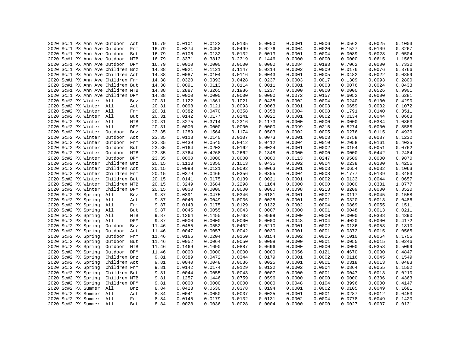|  |  |                         | 2020 Sc#1 PX Ann Ave Outdoor      | Act | 16.79 | 0.0101 | 0.0122 | 0.0135 | 0.0050 | 0.0001 | 0.0006 | 0.0562 | 0.0025 | 0.1003 |
|--|--|-------------------------|-----------------------------------|-----|-------|--------|--------|--------|--------|--------|--------|--------|--------|--------|
|  |  |                         | 2020 Sc#1 PX Ann Ave Outdoor Frm  |     | 16.79 | 0.0374 | 0.0458 | 0.0499 | 0.0276 | 0.0004 | 0.0020 | 0.1527 | 0.0109 | 0.3267 |
|  |  |                         |                                   |     |       |        | 0.0132 | 0.0132 | 0.0013 |        |        |        |        |        |
|  |  |                         | 2020 Sc#1 PX Ann Ave Outdoor But  |     | 16.79 | 0.0106 |        |        |        | 0.0001 | 0.0004 | 0.0089 | 0.0028 | 0.0504 |
|  |  |                         | 2020 Sc#1 PX Ann Ave Outdoor MTB  |     | 16.79 | 0.3371 | 0.3813 | 0.2319 | 0.1446 | 0.0000 | 0.0000 | 0.0000 | 0.0615 | 1.1563 |
|  |  |                         | 2020 Sc#1 PX Ann Ave Outdoor DPM  |     | 16.79 | 0.0000 | 0.0000 | 0.0000 | 0.0000 | 0.0084 | 0.0183 | 0.7062 | 0.0000 | 0.7330 |
|  |  |                         | 2020 Sc#1 PX Ann Ave Children Bnz |     | 14.38 | 0.0921 | 0.1121 | 0.1147 | 0.0314 | 0.0002 | 0.0009 | 0.0176 | 0.0076 | 0.3766 |
|  |  |                         | 2020 Sc#1 PX Ann Ave Children Act |     | 14.38 | 0.0087 | 0.0104 | 0.0116 | 0.0043 | 0.0001 | 0.0005 | 0.0482 | 0.0022 | 0.0859 |
|  |  |                         | 2020 Sc#1 PX Ann Ave Children Frm |     | 14.38 | 0.0320 | 0.0393 | 0.0428 | 0.0237 | 0.0003 | 0.0017 | 0.1309 | 0.0093 | 0.2800 |
|  |  |                         | 2020 Sc#1 PX Ann Ave Children But |     | 14.38 | 0.0091 | 0.0113 | 0.0114 | 0.0011 | 0.0001 | 0.0003 | 0.0076 | 0.0024 | 0.0433 |
|  |  |                         | 2020 Sc#1 PX Ann Ave Children MTB |     | 14.38 | 0.2887 | 0.3265 | 0.1986 | 0.1237 | 0.0000 | 0.0000 | 0.0000 | 0.0526 | 0.9901 |
|  |  |                         | 2020 Sc#1 PX Ann Ave Children DPM |     | 14.38 | 0.0000 | 0.0000 | 0.0000 | 0.0000 | 0.0072 | 0.0157 | 0.6052 | 0.0000 | 0.6281 |
|  |  | 2020 Sc#2 PX Winter All |                                   | Bnz | 20.31 | 0.1122 | 0.1361 | 0.1021 | 0.0438 | 0.0002 | 0.0004 | 0.0240 | 0.0100 | 0.4290 |
|  |  | 2020 Sc#2 PX Winter All |                                   | Act | 20.31 | 0.0098 | 0.0121 | 0.0093 | 0.0063 | 0.0001 | 0.0003 | 0.0659 | 0.0032 | 0.1072 |
|  |  | 2020 Sc#2 PX Winter All |                                   | Frm | 20.31 | 0.0382 | 0.0470 | 0.0358 | 0.0358 | 0.0004 | 0.0008 | 0.1791 | 0.0140 | 0.3511 |
|  |  | 2020 Sc#2 PX Winter All |                                   | But | 20.31 | 0.0142 | 0.0177 | 0.0141 | 0.0021 | 0.0001 | 0.0002 | 0.0134 | 0.0044 | 0.0663 |
|  |  | 2020 Sc#2 PX Winter All |                                   | MTB | 20.31 | 0.3275 | 0.3714 | 0.2316 | 0.1173 | 0.0000 | 0.0000 | 0.0000 | 0.0384 | 1.0863 |
|  |  | 2020 Sc#2 PX Winter All |                                   | DPM | 20.31 | 0.0000 | 0.0000 | 0.0000 | 0.0000 | 0.0099 | 0.0215 | 0.8274 | 0.0000 | 0.8588 |
|  |  | 2020 Sc#2 PX Winter     | Outdoor                           | Bnz | 23.35 | 0.1289 | 0.1564 | 0.1174 | 0.0503 | 0.0002 | 0.0005 | 0.0276 | 0.0115 | 0.4930 |
|  |  | 2020 Sc#2 PX Winter     | Outdoor Act                       |     | 23.35 | 0.0113 | 0.0140 | 0.0107 | 0.0073 | 0.0001 | 0.0003 | 0.0758 | 0.0037 | 0.1232 |
|  |  | 2020 Sc#2 PX Winter     | Outdoor Frm                       |     | 23.35 | 0.0439 | 0.0540 | 0.0412 | 0.0412 | 0.0004 | 0.0010 | 0.2058 | 0.0161 | 0.4035 |
|  |  | 2020 Sc#2 PX Winter     | Outdoor But                       |     | 23.35 | 0.0164 | 0.0203 | 0.0162 | 0.0024 | 0.0001 | 0.0002 | 0.0154 | 0.0051 | 0.0762 |
|  |  | 2020 Sc#2 PX Winter     | Outdoor MTB                       |     | 23.35 | 0.3764 | 0.4268 | 0.2662 | 0.1348 | 0.0000 | 0.0000 | 0.0000 | 0.0442 | 1.2484 |
|  |  | 2020 Sc#2 PX Winter     | Outdoor DPM                       |     | 23.35 | 0.0000 | 0.0000 | 0.0000 | 0.0000 | 0.0113 | 0.0247 | 0.9509 | 0.0000 | 0.9870 |
|  |  | 2020 Sc#2 PX Winter     | Children Bnz                      |     | 20.15 | 0.1113 | 0.1350 | 0.1013 | 0.0435 | 0.0002 | 0.0004 | 0.0238 | 0.0100 | 0.4256 |
|  |  | 2020 Sc#2 PX Winter     | Children Act                      |     | 20.15 | 0.0098 | 0.0121 | 0.0092 | 0.0063 | 0.0001 | 0.0003 | 0.0654 | 0.0032 | 0.1063 |
|  |  | 2020 Sc#2 PX Winter     | Children Frm                      |     | 20.15 | 0.0379 | 0.0466 | 0.0356 | 0.0355 | 0.0004 | 0.0008 | 0.1777 | 0.0139 | 0.3483 |
|  |  | 2020 Sc#2 PX Winter     | Children But                      |     | 20.15 | 0.0141 | 0.0175 | 0.0139 | 0.0021 | 0.0001 | 0.0002 | 0.0133 | 0.0044 | 0.0657 |
|  |  | 2020 Sc#2 PX Winter     | Children MTB                      |     | 20.15 | 0.3249 | 0.3684 | 0.2298 | 0.1164 | 0.0000 | 0.0000 | 0.0000 | 0.0381 | 1.0777 |
|  |  | 2020 Sc#2 PX Winter     | Children DPM                      |     | 20.15 | 0.0000 | 0.0000 | 0.0000 | 0.0000 | 0.0098 | 0.0213 | 0.8209 | 0.0000 | 0.8520 |
|  |  | 2020 Sc#2 PX Spring     | All                               | Bnz | 9.87  | 0.0391 | 0.0475 | 0.0346 | 0.0181 | 0.0001 | 0.0002 | 0.0117 | 0.0045 | 0.1558 |
|  |  | 2020 Sc#2 PX Spring     | All                               | Act | 9.87  | 0.0040 | 0.0049 | 0.0036 | 0.0025 | 0.0001 | 0.0001 | 0.0320 | 0.0013 | 0.0486 |
|  |  | 2020 Sc#2 PX Spring     | All                               | Frm | 9.87  | 0.0143 | 0.0175 | 0.0129 | 0.0132 | 0.0002 | 0.0004 | 0.0869 | 0.0055 | 0.1511 |
|  |  | 2020 Sc#2 PX Spring     | All                               | But | 9.87  | 0.0045 | 0.0055 | 0.0043 | 0.0007 | 0.0000 | 0.0001 | 0.0048 | 0.0013 | 0.0211 |
|  |  | 2020 Sc#2 PX Spring     | All                               | MTB | 9.87  | 0.1264 | 0.1455 | 0.0763 | 0.0599 | 0.0000 | 0.0000 | 0.0000 | 0.0308 | 0.4390 |
|  |  | 2020 Sc#2 PX Spring     | All                               | DPM | 9.87  | 0.0000 | 0.0000 | 0.0000 | 0.0000 | 0.0048 | 0.0104 | 0.4020 | 0.0000 | 0.4172 |
|  |  | 2020 Sc#2 PX Spring     | Outdoor                           | Bnz | 11.46 | 0.0455 | 0.0552 | 0.0402 | 0.0210 | 0.0001 | 0.0002 | 0.0136 | 0.0053 | 0.1810 |
|  |  | 2020 Sc#2 PX Spring     | Outdoor                           | Act | 11.46 | 0.0047 | 0.0057 | 0.0042 | 0.0030 | 0.0001 | 0.0001 | 0.0372 | 0.0015 | 0.0565 |
|  |  | 2020 Sc#2 PX Spring     | Outdoor                           | Frm | 11.46 | 0.0166 | 0.0204 | 0.0150 | 0.0154 | 0.0002 | 0.0005 | 0.1010 | 0.0064 | 0.1755 |
|  |  | 2020 Sc#2 PX Spring     | Outdoor But                       |     | 11.46 | 0.0052 | 0.0064 | 0.0050 | 0.0008 | 0.0000 | 0.0001 | 0.0055 | 0.0015 | 0.0246 |
|  |  | 2020 Sc#2 PX Spring     | Outdoor MTB                       |     |       | 0.1469 | 0.1690 | 0.0887 | 0.0696 | 0.0000 | 0.0000 | 0.0000 | 0.0358 | 0.5099 |
|  |  |                         |                                   |     | 11.46 | 0.0000 |        |        |        |        | 0.0121 |        |        |        |
|  |  | 2020 Sc#2 PX Spring     | Outdoor DPM                       |     | 11.46 |        | 0.0000 | 0.0000 | 0.0000 | 0.0056 |        | 0.4670 | 0.0000 | 0.4847 |
|  |  | 2020 Sc#2 PX Spring     | Children Bnz                      |     | 9.81  | 0.0389 | 0.0472 | 0.0344 | 0.0179 | 0.0001 | 0.0002 | 0.0116 | 0.0045 | 0.1549 |
|  |  | 2020 Sc#2 PX Spring     | Children Act                      |     | 9.81  | 0.0040 | 0.0048 | 0.0036 | 0.0025 | 0.0001 | 0.0001 | 0.0318 | 0.0013 | 0.0483 |
|  |  | 2020 Sc#2 PX Spring     | Children Frm                      |     | 9.81  | 0.0142 | 0.0174 | 0.0129 | 0.0132 | 0.0002 | 0.0004 | 0.0864 | 0.0055 | 0.1502 |
|  |  | 2020 Sc#2 PX Spring     | Children But                      |     | 9.81  | 0.0044 | 0.0055 | 0.0043 | 0.0007 | 0.0000 | 0.0001 | 0.0047 | 0.0013 | 0.0210 |
|  |  | 2020 Sc#2 PX Spring     | Children MTB                      |     | 9.81  | 0.1257 | 0.1446 | 0.0759 | 0.0596 | 0.0000 | 0.0000 | 0.0000 | 0.0306 | 0.4363 |
|  |  | 2020 Sc#2 PX Spring     | Children DPM                      |     | 9.81  | 0.0000 | 0.0000 | 0.0000 | 0.0000 | 0.0048 | 0.0104 | 0.3996 | 0.0000 | 0.4147 |
|  |  | 2020 Sc#2 PX Summer     | All                               | Bnz | 8.84  | 0.0423 | 0.0530 | 0.0378 | 0.0194 | 0.0001 | 0.0002 | 0.0105 | 0.0049 | 0.1681 |
|  |  | 2020 Sc#2 PX Summer All |                                   | Act | 8.84  | 0.0041 | 0.0050 | 0.0037 | 0.0025 | 0.0001 | 0.0001 | 0.0287 | 0.0012 | 0.0453 |
|  |  | 2020 Sc#2 PX Summer All |                                   | Frm | 8.84  | 0.0145 | 0.0179 | 0.0132 | 0.0131 | 0.0002 | 0.0004 | 0.0778 | 0.0049 | 0.1420 |
|  |  | 2020 Sc#2 PX Summer All |                                   | But | 8.84  | 0.0028 | 0.0036 | 0.0028 | 0.0004 | 0.0000 | 0.0000 | 0.0027 | 0.0007 | 0.0131 |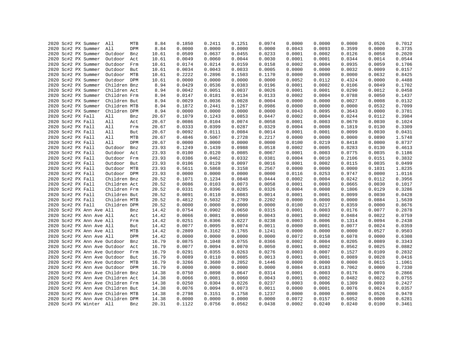|  | 2020 Sc#2 PX Summer                    | All          | MTB        | 8.84  | 0.1850 | 0.2411           | 0.1251 | 0.0974 | 0.0000 | 0.0000 | 0.0000 | 0.0526 | 0.7012 |
|--|----------------------------------------|--------------|------------|-------|--------|------------------|--------|--------|--------|--------|--------|--------|--------|
|  | 2020 Sc#2 PX Summer                    | All          | DPM        | 8.84  | 0.0000 | 0.0000           | 0.0000 | 0.0000 | 0.0043 | 0.0093 | 0.3599 | 0.0000 | 0.3735 |
|  | 2020 Sc#2 PX Summer                    | Outdoor      | Bnz        | 10.61 | 0.0509 | 0.0637           | 0.0455 | 0.0233 | 0.0001 | 0.0002 | 0.0126 | 0.0058 | 0.2020 |
|  | 2020 Sc#2 PX Summer                    | Outdoor      | Act        | 10.61 | 0.0049 | 0.0060           | 0.0044 | 0.0030 | 0.0001 | 0.0001 | 0.0344 | 0.0014 | 0.0544 |
|  | 2020 Sc#2 PX Summer                    | Outdoor      | Frm        | 10.61 | 0.0174 | 0.0214           | 0.0159 | 0.0158 | 0.0002 | 0.0004 | 0.0935 | 0.0059 | 0.1706 |
|  | 2020 Sc#2 PX Summer                    | Outdoor      | But        | 10.61 | 0.0034 | 0.0043           | 0.0033 | 0.0005 | 0.0000 | 0.0000 | 0.0032 | 0.0009 | 0.0157 |
|  | 2020 Sc#2 PX Summer                    | Outdoor      | MTB        | 10.61 | 0.2222 | 0.2896           | 0.1503 | 0.1170 | 0.0000 | 0.0000 | 0.0000 | 0.0632 | 0.8425 |
|  | 2020 Sc#2 PX Summer                    | Outdoor DPM  |            | 10.61 | 0.0000 | 0.0000           | 0.0000 | 0.0000 | 0.0052 | 0.0112 | 0.4324 | 0.0000 | 0.4488 |
|  | 2020 Sc#2 PX Summer                    | Children Bnz |            | 8.94  | 0.0429 | 0.0536           | 0.0383 | 0.0196 | 0.0001 | 0.0002 | 0.0106 | 0.0049 | 0.1702 |
|  | 2020 Sc#2 PX Summer                    | Children Act |            | 8.94  | 0.0042 | 0.0051           | 0.0037 | 0.0026 | 0.0001 | 0.0001 | 0.0290 | 0.0012 | 0.0458 |
|  | 2020 Sc#2 PX Summer                    | Children Frm |            | 8.94  | 0.0147 | 0.0181           | 0.0134 | 0.0133 | 0.0002 | 0.0004 | 0.0788 | 0.0050 | 0.1437 |
|  | 2020 Sc#2 PX Summer                    | Children But |            | 8.94  | 0.0029 | 0.0036           | 0.0028 | 0.0004 | 0.0000 | 0.0000 | 0.0027 | 0.0008 | 0.0132 |
|  | 2020 Sc#2 PX Summer                    | Children MTB |            | 8.94  | 0.1872 | 0.2441           | 0.1267 | 0.0986 | 0.0000 | 0.0000 | 0.0000 | 0.0532 | 0.7099 |
|  | 2020 Sc#2 PX Summer                    | Children DPM |            | 8.94  | 0.0000 | 0.0000           | 0.0000 | 0.0000 | 0.0043 | 0.0095 | 0.3643 | 0.0000 | 0.3781 |
|  | 2020 Sc#2 PX Fall                      | All          | Bnz        | 20.67 | 0.1079 | 0.1243           | 0.0853 | 0.0447 | 0.0002 | 0.0004 | 0.0244 | 0.0112 | 0.3984 |
|  | 2020 Sc#2 PX Fall                      | All          | Act        | 20.67 | 0.0086 | 0.0104           | 0.0074 | 0.0058 | 0.0001 | 0.0003 | 0.0670 | 0.0030 | 0.1024 |
|  | 2020 Sc#2 PX Fall                      | All          | Frm        | 20.67 | 0.0333 | 0.0399           | 0.0287 | 0.0329 | 0.0004 | 0.0008 | 0.1819 | 0.0130 | 0.3309 |
|  | 2020 Sc#2 PX Fall                      | All          | But        | 20.67 | 0.0092 | 0.0111           | 0.0084 | 0.0014 | 0.0001 | 0.0001 | 0.0099 | 0.0030 | 0.0431 |
|  | 2020 Sc#2 PX Fall                      | All          | MTB        | 20.67 | 0.4846 | 0.5067           | 0.2728 | 0.2217 | 0.0000 | 0.0000 | 0.0000 | 0.0890 | 1.5748 |
|  | 2020 Sc#2 PX Fall                      | All          | DPM        | 20.67 | 0.0000 | 0.0000           | 0.0000 | 0.0000 | 0.0100 | 0.0219 | 0.8418 | 0.0000 | 0.8737 |
|  | 2020 Sc#2 PX Fall                      | Outdoor      | Bnz        | 23.93 | 0.1249 | 0.1439           | 0.0988 | 0.0518 | 0.0002 | 0.0005 | 0.0283 | 0.0130 | 0.4613 |
|  |                                        | Outdoor      | Act        | 23.93 | 0.0100 | 0.0120           | 0.0085 | 0.0067 | 0.0001 | 0.0003 | 0.0775 | 0.0035 | 0.1186 |
|  | 2020 Sc#2 PX Fall<br>2020 Sc#2 PX Fall | Outdoor      |            | 23.93 | 0.0386 |                  | 0.0332 | 0.0381 | 0.0004 | 0.0010 | 0.2106 | 0.0151 | 0.3832 |
|  |                                        | Outdoor      | Frm<br>But | 23.93 | 0.0106 | 0.0462<br>0.0129 | 0.0097 | 0.0016 | 0.0001 | 0.0002 | 0.0115 | 0.0035 | 0.0499 |
|  | 2020 Sc#2 PX Fall                      |              |            |       |        |                  |        |        |        |        |        |        |        |
|  | 2020 Sc#2 PX Fall                      | Outdoor      | MTB        | 23.93 | 0.5611 | 0.5868           | 0.3158 | 0.2567 | 0.0000 | 0.0000 | 0.0000 | 0.1031 | 1.8235 |
|  | 2020 Sc#2 PX Fall                      | Outdoor DPM  |            | 23.93 | 0.0000 | 0.0000           | 0.0000 | 0.0000 | 0.0116 | 0.0253 | 0.9747 | 0.0000 | 1.0116 |
|  | 2020 Sc#2 PX Fall                      | Children Bnz |            | 20.52 | 0.1071 | 0.1234           | 0.0848 | 0.0444 | 0.0002 | 0.0004 | 0.0242 | 0.0112 | 0.3956 |
|  | 2020 Sc#2 PX Fall                      | Children Act |            | 20.52 | 0.0086 | 0.0103           | 0.0073 | 0.0058 | 0.0001 | 0.0003 | 0.0665 | 0.0030 | 0.1017 |
|  | 2020 Sc#2 PX Fall                      | Children Frm |            | 20.52 | 0.0331 | 0.0396           | 0.0285 | 0.0326 | 0.0004 | 0.0008 | 0.1806 | 0.0129 | 0.3286 |
|  | 2020 Sc#2 PX Fall                      | Children But |            | 20.52 | 0.0091 | 0.0110           | 0.0083 | 0.0014 | 0.0001 | 0.0001 | 0.0099 | 0.0030 | 0.0428 |
|  | 2020 Sc#2 PX Fall                      | Children MTB |            | 20.52 | 0.4812 | 0.5032           | 0.2709 | 0.2202 | 0.0000 | 0.0000 | 0.0000 | 0.0884 | 1.5639 |
|  | 2020 Sc#2 PX Fall                      | Children DPM |            | 20.52 | 0.0000 | 0.0000           | 0.0000 | 0.0000 | 0.0100 | 0.0217 | 0.8359 | 0.0000 | 0.8676 |
|  | 2020 Sc#2 PX Ann Ave All               |              | Bnz        | 14.42 | 0.0754 | 0.0902           | 0.0650 | 0.0315 | 0.0001 | 0.0003 | 0.0176 | 0.0077 | 0.2878 |
|  | 2020 Sc#2 PX Ann Ave All               |              | Act        | 14.42 | 0.0066 | 0.0081           | 0.0060 | 0.0043 | 0.0001 | 0.0002 | 0.0484 | 0.0022 | 0.0759 |
|  | 2020 Sc#2 PX Ann Ave All               |              | Frm        | 14.42 | 0.0251 | 0.0306           | 0.0227 | 0.0238 | 0.0003 | 0.0006 | 0.1314 | 0.0094 | 0.2438 |
|  | 2020 Sc#2 PX Ann Ave All               |              | But        | 14.42 | 0.0077 | 0.0095           | 0.0074 | 0.0011 | 0.0000 | 0.0001 | 0.0077 | 0.0024 | 0.0359 |
|  | 2020 Sc#2 PX Ann Ave All               |              | MTB        | 14.42 | 0.2809 | 0.3162           | 0.1765 | 0.1241 | 0.0000 | 0.0000 | 0.0000 | 0.0527 | 0.9503 |
|  | 2020 Sc#2 PX Ann Ave All               |              | DPM        | 14.42 | 0.0000 | 0.0000           | 0.0000 | 0.0000 | 0.0072 | 0.0158 | 0.6078 | 0.0000 | 0.6308 |
|  | 2020 Sc#2 PX Ann Ave Outdoor           |              | Bnz        | 16.79 | 0.0875 | 0.1048           | 0.0755 | 0.0366 | 0.0002 | 0.0004 | 0.0205 | 0.0089 | 0.3343 |
|  | 2020 Sc#2 PX Ann Ave Outdoor           |              | Act        | 16.79 | 0.0077 | 0.0094           | 0.0070 | 0.0050 | 0.0001 | 0.0002 | 0.0562 | 0.0025 | 0.0882 |
|  | 2020 Sc#2 PX Ann Ave Outdoor           |              | Frm        | 16.79 | 0.0291 | 0.0355           | 0.0263 | 0.0276 | 0.0003 | 0.0007 | 0.1527 | 0.0109 | 0.2832 |
|  | 2020 Sc#2 PX Ann Ave Outdoor           |              | But        | 16.79 | 0.0089 | 0.0110           | 0.0085 | 0.0013 | 0.0001 | 0.0001 | 0.0089 | 0.0028 | 0.0416 |
|  | 2020 Sc#2 PX Ann Ave Outdoor MTB       |              |            | 16.79 | 0.3266 | 0.3680           | 0.2052 | 0.1446 | 0.0000 | 0.0000 | 0.0000 | 0.0615 | 1.1061 |
|  | 2020 Sc#2 PX Ann Ave Outdoor DPM       |              |            | 16.79 | 0.0000 | 0.0000           | 0.0000 | 0.0000 | 0.0084 | 0.0183 | 0.7062 | 0.0000 | 0.7330 |
|  | 2020 Sc#2 PX Ann Ave Children Bnz      |              |            | 14.38 | 0.0750 | 0.0898           | 0.0647 | 0.0314 | 0.0001 | 0.0003 | 0.0176 | 0.0076 | 0.2866 |
|  | 2020 Sc#2 PX Ann Ave Children Act      |              |            | 14.38 | 0.0066 | 0.0081           | 0.0060 | 0.0043 | 0.0001 | 0.0002 | 0.0482 | 0.0022 | 0.0755 |
|  | 2020 Sc#2 PX Ann Ave Children Frm      |              |            | 14.38 | 0.0250 | 0.0304           | 0.0226 | 0.0237 | 0.0003 | 0.0006 | 0.1309 | 0.0093 | 0.2427 |
|  | 2020 Sc#2 PX Ann Ave Children But      |              |            | 14.38 | 0.0076 | 0.0094           | 0.0073 | 0.0011 | 0.0000 | 0.0001 | 0.0076 | 0.0024 | 0.0357 |
|  | 2020 Sc#2 PX Ann Ave Children MTB      |              |            | 14.38 | 0.2798 | 0.3151           | 0.1758 | 0.1237 | 0.0000 | 0.0000 | 0.0000 | 0.0526 | 0.9470 |
|  | 2020 Sc#2 PX Ann Ave Children DPM      |              |            | 14.38 | 0.0000 | 0.0000           | 0.0000 | 0.0000 | 0.0072 | 0.0157 | 0.6052 | 0.0000 | 0.6281 |
|  | 2020 Sc#3 PX Winter All                |              | Bnz        | 20.31 | 0.1122 | 0.0756           | 0.0562 | 0.0438 | 0.0002 | 0.0240 | 0.0240 | 0.0100 | 0.3461 |
|  |                                        |              |            |       |        |                  |        |        |        |        |        |        |        |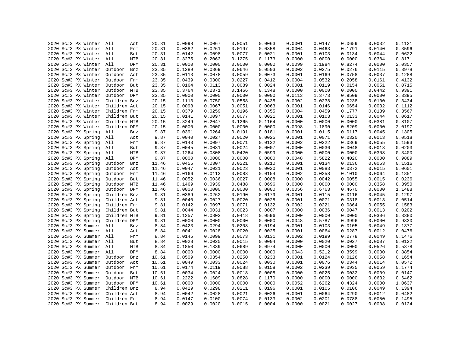|  | 2020 Sc#3 PX Winter     | All          | Act        | 20.31 | 0.0098 | 0.0067 | 0.0051 | 0.0063 | 0.0001 | 0.0147 | 0.0659 | 0.0032 | 0.1121 |
|--|-------------------------|--------------|------------|-------|--------|--------|--------|--------|--------|--------|--------|--------|--------|
|  | 2020 Sc#3 PX Winter     | All          | Frm        | 20.31 | 0.0382 | 0.0261 | 0.0197 | 0.0358 | 0.0004 | 0.0463 | 0.1791 | 0.0140 | 0.3596 |
|  | 2020 Sc#3 PX Winter All |              |            | 20.31 | 0.0142 | 0.0098 | 0.0077 | 0.0021 | 0.0001 | 0.0103 | 0.0134 | 0.0044 | 0.0622 |
|  | 2020 Sc#3 PX Winter All |              | But<br>MTB | 20.31 | 0.3275 | 0.2063 | 0.1275 | 0.1173 | 0.0000 | 0.0000 | 0.0000 | 0.0384 | 0.8171 |
|  |                         |              |            |       |        | 0.0000 |        |        |        |        |        |        |        |
|  | 2020 Sc#3 PX Winter All |              | DPM        | 20.31 | 0.0000 |        | 0.0000 | 0.0000 | 0.0099 | 1.1984 | 0.8274 | 0.0000 | 2.0357 |
|  | 2020 Sc#3 PX Winter     | Outdoor      | Bnz        | 23.35 | 0.1289 | 0.0869 | 0.0646 | 0.0503 | 0.0002 | 0.0275 | 0.0276 | 0.0115 | 0.3978 |
|  | 2020 Sc#3 PX Winter     | Outdoor Act  |            | 23.35 | 0.0113 | 0.0078 | 0.0059 | 0.0073 | 0.0001 | 0.0169 | 0.0758 | 0.0037 | 0.1288 |
|  | 2020 Sc#3 PX Winter     | Outdoor Frm  |            | 23.35 | 0.0439 | 0.0300 | 0.0227 | 0.0412 | 0.0004 | 0.0532 | 0.2058 | 0.0161 | 0.4132 |
|  | 2020 Sc#3 PX Winter     | Outdoor But  |            | 23.35 | 0.0164 | 0.0113 | 0.0089 | 0.0024 | 0.0001 | 0.0119 | 0.0154 | 0.0051 | 0.0715 |
|  | 2020 Sc#3 PX Winter     | Outdoor MTB  |            | 23.35 | 0.3764 | 0.2371 | 0.1466 | 0.1348 | 0.0000 | 0.0000 | 0.0000 | 0.0442 | 0.9391 |
|  | 2020 Sc#3 PX Winter     | Outdoor DPM  |            | 23.35 | 0.0000 | 0.0000 | 0.0000 | 0.0000 | 0.0113 | 1.3773 | 0.9509 | 0.0000 | 2.3395 |
|  | 2020 Sc#3 PX Winter     | Children Bnz |            | 20.15 | 0.1113 | 0.0750 | 0.0558 | 0.0435 | 0.0002 | 0.0238 | 0.0238 | 0.0100 | 0.3434 |
|  | 2020 Sc#3 PX Winter     | Children Act |            | 20.15 | 0.0098 | 0.0067 | 0.0051 | 0.0063 | 0.0001 | 0.0146 | 0.0654 | 0.0032 | 0.1112 |
|  | 2020 Sc#3 PX Winter     | Children Frm |            | 20.15 | 0.0379 | 0.0259 | 0.0196 | 0.0355 | 0.0004 | 0.0459 | 0.1777 | 0.0139 | 0.3567 |
|  | 2020 Sc#3 PX Winter     | Children But |            | 20.15 | 0.0141 | 0.0097 | 0.0077 | 0.0021 | 0.0001 | 0.0103 | 0.0133 | 0.0044 | 0.0617 |
|  | 2020 Sc#3 PX Winter     | Children MTB |            | 20.15 | 0.3249 | 0.2047 | 0.1265 | 0.1164 | 0.0000 | 0.0000 | 0.0000 | 0.0381 | 0.8107 |
|  | 2020 Sc#3 PX Winter     | Children DPM |            | 20.15 | 0.0000 | 0.0000 | 0.0000 | 0.0000 | 0.0098 | 1.1890 | 0.8209 | 0.0000 | 2.0197 |
|  | 2020 Sc#3 PX Spring     | All          | Bnz        | 9.87  | 0.0391 | 0.0264 | 0.0191 | 0.0181 | 0.0001 | 0.0115 | 0.0117 | 0.0045 | 0.1305 |
|  | 2020 Sc#3 PX Spring     | All          | Act        | 9.87  | 0.0040 | 0.0027 | 0.0020 | 0.0025 | 0.0001 | 0.0071 | 0.0320 | 0.0013 | 0.0518 |
|  | 2020 Sc#3 PX Spring     | All          | Frm        | 9.87  | 0.0143 | 0.0097 | 0.0071 | 0.0132 | 0.0002 | 0.0222 | 0.0869 | 0.0055 | 0.1593 |
|  | 2020 Sc#3 PX Spring     | All          | But        | 9.87  | 0.0045 | 0.0031 | 0.0024 | 0.0007 | 0.0000 | 0.0036 | 0.0048 | 0.0013 | 0.0203 |
|  | 2020 Sc#3 PX Spring     | All          | MTB        | 9.87  | 0.1264 | 0.0808 | 0.0420 | 0.0599 | 0.0000 | 0.0000 | 0.0000 | 0.0308 | 0.3400 |
|  | 2020 Sc#3 PX Spring     | All          | DPM        | 9.87  | 0.0000 | 0.0000 | 0.0000 | 0.0000 | 0.0048 | 0.5822 | 0.4020 | 0.0000 | 0.9889 |
|  | 2020 Sc#3 PX Spring     | Outdoor      | Bnz        | 11.46 | 0.0455 | 0.0307 | 0.0221 | 0.0210 | 0.0001 | 0.0134 | 0.0136 | 0.0053 | 0.1516 |
|  | 2020 Sc#3 PX Spring     | Outdoor      | Act        | 11.46 | 0.0047 | 0.0031 | 0.0023 | 0.0030 | 0.0001 | 0.0083 | 0.0372 | 0.0015 | 0.0601 |
|  | 2020 Sc#3 PX Spring     | Outdoor Frm  |            | 11.46 | 0.0166 | 0.0113 | 0.0083 | 0.0154 | 0.0002 | 0.0258 | 0.1010 | 0.0064 | 0.1851 |
|  | 2020 Sc#3 PX Spring     | Outdoor But  |            | 11.46 | 0.0052 | 0.0036 | 0.0027 | 0.0008 | 0.0000 | 0.0042 | 0.0055 | 0.0015 | 0.0236 |
|  | 2020 Sc#3 PX Spring     | Outdoor MTB  |            | 11.46 | 0.1469 | 0.0939 | 0.0488 | 0.0696 | 0.0000 | 0.0000 | 0.0000 | 0.0358 | 0.3950 |
|  | 2020 Sc#3 PX Spring     | Outdoor DPM  |            | 11.46 | 0.0000 | 0.0000 | 0.0000 | 0.0000 | 0.0056 | 0.6763 | 0.4670 | 0.0000 | 1.1488 |
|  | 2020 Sc#3 PX Spring     | Children Bnz |            | 9.81  | 0.0389 | 0.0262 | 0.0190 | 0.0179 | 0.0001 | 0.0115 | 0.0116 | 0.0045 | 0.1297 |
|  | 2020 Sc#3 PX Spring     | Children Act |            | 9.81  | 0.0040 | 0.0027 | 0.0020 | 0.0025 | 0.0001 | 0.0071 | 0.0318 | 0.0013 | 0.0514 |
|  | 2020 Sc#3 PX Spring     | Children Frm |            | 9.81  | 0.0142 | 0.0097 | 0.0071 | 0.0132 | 0.0002 | 0.0221 | 0.0864 | 0.0055 | 0.1583 |
|  | 2020 Sc#3 PX Spring     | Children But |            | 9.81  | 0.0044 | 0.0031 | 0.0023 | 0.0007 | 0.0000 | 0.0036 | 0.0047 | 0.0013 | 0.0202 |
|  | 2020 Sc#3 PX Spring     | Children MTB |            | 9.81  | 0.1257 | 0.0803 | 0.0418 | 0.0596 | 0.0000 | 0.0000 | 0.0000 | 0.0306 | 0.3380 |
|  | 2020 Sc#3 PX Spring     | Children DPM |            | 9.81  | 0.0000 | 0.0000 | 0.0000 | 0.0000 | 0.0048 | 0.5787 | 0.3996 | 0.0000 | 0.9830 |
|  | 2020 Sc#3 PX Summer     | All          | Bnz        | 8.84  | 0.0423 | 0.0294 | 0.0208 | 0.0194 | 0.0001 | 0.0103 | 0.0105 | 0.0049 | 0.1377 |
|  | 2020 Sc#3 PX Summer     | All          | Act        | 8.84  | 0.0041 | 0.0028 | 0.0020 | 0.0025 | 0.0001 | 0.0064 | 0.0287 | 0.0012 | 0.0476 |
|  | 2020 Sc#3 PX Summer     | All          | Frm        | 8.84  | 0.0145 | 0.0099 | 0.0073 | 0.0131 | 0.0002 | 0.0199 | 0.0778 | 0.0049 | 0.1476 |
|  | 2020 Sc#3 PX Summer All |              | But        | 8.84  | 0.0028 | 0.0020 | 0.0015 | 0.0004 | 0.0000 | 0.0020 | 0.0027 | 0.0007 | 0.0122 |
|  | 2020 Sc#3 PX Summer     | All          | MTB        | 8.84  | 0.1850 | 0.1339 | 0.0689 | 0.0974 | 0.0000 | 0.0000 | 0.0000 | 0.0526 | 0.5378 |
|  |                         | All          | DPM        |       |        | 0.0000 |        |        |        |        |        |        | 0.8854 |
|  | 2020 Sc#3 PX Summer     |              |            | 8.84  | 0.0000 |        | 0.0000 | 0.0000 | 0.0043 | 0.5212 | 0.3599 | 0.0000 |        |
|  | 2020 Sc#3 PX Summer     | Outdoor      | Bnz        | 10.61 | 0.0509 | 0.0354 | 0.0250 | 0.0233 | 0.0001 | 0.0124 | 0.0126 | 0.0058 | 0.1654 |
|  | 2020 Sc#3 PX Summer     | Outdoor Act  |            | 10.61 | 0.0049 | 0.0033 | 0.0024 | 0.0030 | 0.0001 | 0.0076 | 0.0344 | 0.0014 | 0.0572 |
|  | 2020 Sc#3 PX Summer     | Outdoor Frm  |            | 10.61 | 0.0174 | 0.0119 | 0.0088 | 0.0158 | 0.0002 | 0.0239 | 0.0935 | 0.0059 | 0.1774 |
|  | 2020 Sc#3 PX Summer     | Outdoor But  |            | 10.61 | 0.0034 | 0.0024 | 0.0018 | 0.0005 | 0.0000 | 0.0025 | 0.0032 | 0.0009 | 0.0147 |
|  | 2020 Sc#3 PX Summer     | Outdoor MTB  |            | 10.61 | 0.2222 | 0.1609 | 0.0828 | 0.1170 | 0.0000 | 0.0000 | 0.0000 | 0.0632 | 0.6462 |
|  | 2020 Sc#3 PX Summer     | Outdoor DPM  |            | 10.61 | 0.0000 | 0.0000 | 0.0000 | 0.0000 | 0.0052 | 0.6262 | 0.4324 | 0.0000 | 1.0637 |
|  | 2020 Sc#3 PX Summer     | Children Bnz |            | 8.94  | 0.0429 | 0.0298 | 0.0211 | 0.0196 | 0.0001 | 0.0105 | 0.0106 | 0.0049 | 0.1394 |
|  | 2020 Sc#3 PX Summer     | Children Act |            | 8.94  | 0.0042 | 0.0028 | 0.0021 | 0.0026 | 0.0001 | 0.0064 | 0.0290 | 0.0012 | 0.0482 |
|  | 2020 Sc#3 PX Summer     | Children Frm |            | 8.94  | 0.0147 | 0.0100 | 0.0074 | 0.0133 | 0.0002 | 0.0201 | 0.0788 | 0.0050 | 0.1495 |
|  | 2020 Sc#3 PX Summer     | Children But |            | 8.94  | 0.0029 | 0.0020 | 0.0015 | 0.0004 | 0.0000 | 0.0021 | 0.0027 | 0.0008 | 0.0124 |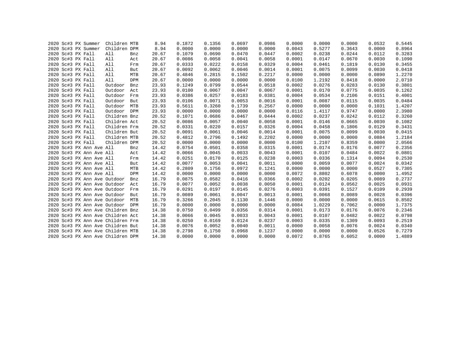|  | 2020 Sc#3 PX Summer      | Children MTB                      |            | 8.94  | 0.1872 | 0.1356 | 0.0697 | 0.0986 | 0.0000 | 0.0000 | 0.0000 | 0.0532 | 0.5445 |
|--|--------------------------|-----------------------------------|------------|-------|--------|--------|--------|--------|--------|--------|--------|--------|--------|
|  | 2020 Sc#3 PX Summer      | Children DPM                      |            | 8.94  | 0.0000 | 0.0000 | 0.0000 | 0.0000 | 0.0043 | 0.5277 | 0.3643 | 0.0000 | 0.8964 |
|  | 2020 Sc#3 PX Fall        | All                               | Bnz        | 20.67 | 0.1079 | 0.0690 | 0.0470 | 0.0447 | 0.0002 | 0.0238 | 0.0244 | 0.0112 | 0.3283 |
|  | 2020 Sc#3 PX Fall        | All                               | Act        | 20.67 | 0.0086 | 0.0058 | 0.0041 | 0.0058 | 0.0001 | 0.0147 | 0.0670 | 0.0030 | 0.1090 |
|  | 2020 Sc#3 PX Fall        | All                               | Frm        | 20.67 | 0.0333 | 0.0222 | 0.0158 | 0.0329 | 0.0004 | 0.0461 | 0.1819 | 0.0130 | 0.3455 |
|  | 2020 Sc#3 PX Fall        | All                               | But        | 20.67 | 0.0092 | 0.0062 | 0.0046 | 0.0014 | 0.0001 | 0.0075 | 0.0099 | 0.0030 | 0.0418 |
|  | 2020 Sc#3 PX Fall        | All                               | MTB        | 20.67 | 0.4846 | 0.2815 | 0.1502 | 0.2217 | 0.0000 | 0.0000 | 0.0000 | 0.0890 | 1.2270 |
|  | 2020 Sc#3 PX Fall        | All                               | DPM        | 20.67 | 0.0000 | 0.0000 | 0.0000 | 0.0000 | 0.0100 | 1.2192 | 0.8418 | 0.0000 | 2.0710 |
|  | 2020 Sc#3 PX Fall        | Outdoor                           | Bnz        | 23.93 | 0.1249 | 0.0799 | 0.0544 | 0.0518 | 0.0002 | 0.0276 | 0.0283 | 0.0130 | 0.3801 |
|  | 2020 Sc#3 PX Fall        | Outdoor                           | Act        | 23.93 | 0.0100 | 0.0067 | 0.0047 | 0.0067 | 0.0001 | 0.0170 | 0.0775 | 0.0035 | 0.1262 |
|  | 2020 Sc#3 PX Fall        | Outdoor                           | Frm        | 23.93 | 0.0386 | 0.0257 | 0.0183 | 0.0381 | 0.0004 | 0.0534 | 0.2106 | 0.0151 | 0.4001 |
|  | 2020 Sc#3 PX Fall        | Outdoor                           | But        | 23.93 | 0.0106 | 0.0071 | 0.0053 | 0.0016 | 0.0001 | 0.0087 | 0.0115 | 0.0035 | 0.0484 |
|  | 2020 Sc#3 PX Fall        | Outdoor                           | MTB        | 23.93 | 0.5611 | 0.3260 | 0.1739 | 0.2567 | 0.0000 | 0.0000 | 0.0000 | 0.1031 | 1.4207 |
|  | 2020 Sc#3 PX Fall        | Outdoor                           | <b>DPM</b> | 23.93 | 0.0000 | 0.0000 | 0.0000 | 0.0000 | 0.0116 | 1.4117 | 0.9747 | 0.0000 | 2.3980 |
|  | 2020 Sc#3 PX Fall        | Children Bnz                      |            | 20.52 | 0.1071 | 0.0686 | 0.0467 | 0.0444 | 0.0002 | 0.0237 | 0.0242 | 0.0112 | 0.3260 |
|  | 2020 Sc#3 PX Fall        | Children Act                      |            | 20.52 | 0.0086 | 0.0057 | 0.0040 | 0.0058 | 0.0001 | 0.0146 | 0.0665 | 0.0030 | 0.1082 |
|  | 2020 Sc#3 PX Fall        | Children Frm                      |            | 20.52 | 0.0331 | 0.0220 | 0.0157 | 0.0326 | 0.0004 | 0.0458 | 0.1806 | 0.0129 | 0.3431 |
|  | 2020 Sc#3 PX Fall        | Children But                      |            | 20.52 | 0.0091 | 0.0061 | 0.0046 | 0.0014 | 0.0001 | 0.0075 | 0.0099 | 0.0030 | 0.0415 |
|  | 2020 Sc#3 PX Fall        | Children MTB                      |            | 20.52 | 0.4812 | 0.2796 | 0.1492 | 0.2202 | 0.0000 | 0.0000 | 0.0000 | 0.0884 | 1.2184 |
|  | 2020 Sc#3 PX Fall        | Children DPM                      |            | 20.52 | 0.0000 | 0.0000 | 0.0000 | 0.0000 | 0.0100 | 1.2107 | 0.8359 | 0.0000 | 2.0566 |
|  | 2020 Sc#3 PX Ann Ave All |                                   | Bnz        | 14.42 | 0.0754 | 0.0501 | 0.0358 | 0.0315 | 0.0001 | 0.0174 | 0.0176 | 0.0077 | 0.2356 |
|  | 2020 Sc#3 PX Ann Ave All |                                   | Act        | 14.42 | 0.0066 | 0.0045 | 0.0033 | 0.0043 | 0.0001 | 0.0107 | 0.0484 | 0.0022 | 0.0801 |
|  | 2020 Sc#3 PX Ann Ave All |                                   | Frm        | 14.42 | 0.0251 | 0.0170 | 0.0125 | 0.0238 | 0.0003 | 0.0336 | 0.1314 | 0.0094 | 0.2530 |
|  | 2020 Sc#3 PX Ann Ave All |                                   | But        | 14.42 | 0.0077 | 0.0053 | 0.0041 | 0.0011 | 0.0000 | 0.0059 | 0.0077 | 0.0024 | 0.0342 |
|  | 2020 Sc#3 PX Ann Ave All |                                   | MTB        | 14.42 | 0.2809 | 0.1756 | 0.0972 | 0.1241 | 0.0000 | 0.0000 | 0.0000 | 0.0527 | 0.7305 |
|  | 2020 Sc#3 PX Ann Ave All |                                   | DPM        | 14.42 | 0.0000 | 0.0000 | 0.0000 | 0.0000 | 0.0072 | 0.8802 | 0.6078 | 0.0000 | 1.4952 |
|  |                          | 2020 Sc#3 PX Ann Ave Outdoor      | Bnz        | 16.79 | 0.0875 | 0.0582 | 0.0416 | 0.0366 | 0.0002 | 0.0202 | 0.0205 | 0.0089 | 0.2737 |
|  |                          | 2020 Sc#3 PX Ann Ave Outdoor      | Act        | 16.79 | 0.0077 | 0.0052 | 0.0038 | 0.0050 | 0.0001 | 0.0124 | 0.0562 | 0.0025 | 0.0931 |
|  |                          | 2020 Sc#3 PX Ann Ave Outdoor      | Frm        | 16.79 | 0.0291 | 0.0197 | 0.0145 | 0.0276 | 0.0003 | 0.0391 | 0.1527 | 0.0109 | 0.2939 |
|  |                          | 2020 Sc#3 PX Ann Ave Outdoor      | But        | 16.79 | 0.0089 | 0.0061 | 0.0047 | 0.0013 | 0.0001 | 0.0068 | 0.0089 | 0.0028 | 0.0396 |
|  |                          | 2020 Sc#3 PX Ann Ave Outdoor      | MTB        | 16.79 | 0.3266 | 0.2045 | 0.1130 | 0.1446 | 0.0000 | 0.0000 | 0.0000 | 0.0615 | 0.8502 |
|  |                          | 2020 Sc#3 PX Ann Ave Outdoor DPM  |            | 16.79 | 0.0000 | 0.0000 | 0.0000 | 0.0000 | 0.0084 | 1.0229 | 0.7062 | 0.0000 | 1.7375 |
|  |                          | 2020 Sc#3 PX Ann Ave Children Bnz |            | 14.38 | 0.0750 | 0.0499 | 0.0356 | 0.0314 | 0.0001 | 0.0173 | 0.0176 | 0.0076 | 0.2346 |
|  |                          | 2020 Sc#3 PX Ann Ave Children Act |            | 14.38 | 0.0066 | 0.0045 | 0.0033 | 0.0043 | 0.0001 | 0.0107 | 0.0482 | 0.0022 | 0.0798 |
|  |                          | 2020 Sc#3 PX Ann Ave Children Frm |            | 14.38 | 0.0250 | 0.0169 | 0.0124 | 0.0237 | 0.0003 | 0.0335 | 0.1309 | 0.0093 | 0.2519 |
|  |                          | 2020 Sc#3 PX Ann Ave Children But |            | 14.38 | 0.0076 | 0.0052 | 0.0040 | 0.0011 | 0.0000 | 0.0058 | 0.0076 | 0.0024 | 0.0340 |
|  |                          | 2020 Sc#3 PX Ann Ave Children MTB |            | 14.38 | 0.2798 | 0.1750 | 0.0968 | 0.1237 | 0.0000 | 0.0000 | 0.0000 | 0.0526 | 0.7279 |
|  |                          | 2020 Sc#3 PX Ann Ave Children DPM |            | 14.38 | 0.0000 | 0.0000 | 0.0000 | 0.0000 | 0.0072 | 0.8765 | 0.6052 | 0.0000 | 1.4889 |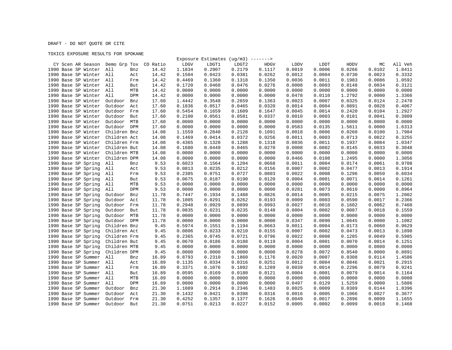## DRAFT - DO NOT QUOTE OR CITE

## TOXICS EXPOSURE RESULTS FOR SPOKANE

|                                            |                |               |                  | Exposure Estimates $(ug/m3)$ -------> |                  |                  |        |                  |                  |                  |         |
|--------------------------------------------|----------------|---------------|------------------|---------------------------------------|------------------|------------------|--------|------------------|------------------|------------------|---------|
| CY Scen AR Season Demo Grp Tox CO Ratio    |                |               | LDGV             | LDGT1                                 | LDGT2            | <b>HDGV</b>      | LDDV   | LDDT             | HDDV             | МC               | All Veh |
| 1990 Base SP Winter                        | All<br>Bnz     | 14.42         | 1.1834           | 0.2907                                | 0.2179           | 0.1117           | 0.0019 | 0.0006           | 0.0266           | 0.0102           | 1.8411  |
| 1990 Base SP Winter All                    | Act            | 14.42         | 0.1504           | 0.0423                                | 0.0381           | 0.0262           | 0.0012 | 0.0004           | 0.0730           | 0.0023           | 0.3332  |
| 1990 Base SP Winter All                    | Frm            | 14.42         | 0.4469           | 0.1360                                | 0.1318           | 0.1350           | 0.0036 | 0.0011           | 0.1983           | 0.0086           | 1.0592  |
| 1990 Base SP Winter                        | All<br>But     | 14.42         | 0.1720           | 0.0460                                | 0.0476           | 0.0276           | 0.0008 | 0.0003           | 0.0148           | 0.0034           | 0.3121  |
| 1990 Base SP Winter All                    | MTB            | 14.42         | 0.0000           | 0.0000                                | 0.0000           | 0.0000           | 0.0000 | 0.0000           | 0.0000           | 0.0000           | 0.0000  |
| 1990 Base SP Winter                        | All<br>DPM     | 14.42         | 0.0000           | 0.0000                                | 0.0000           | 0.0000           | 0.0478 | 0.0110           | 1.2792           | 0.0000           | 1.3366  |
| 1990 Base SP Winter                        | Outdoor<br>Bnz | 17.60         | 1.4442           | 0.3548                                | 0.2659           | 0.1363           | 0.0023 | 0.0007           | 0.0325           | 0.0124           | 2.2470  |
| 1990 Base SP Winter                        | Outdoor<br>Act | 17.60         | 0.1836           | 0.0517                                | 0.0465           | 0.0320           | 0.0014 | 0.0004           | 0.0891           | 0.0028           | 0.4067  |
| 1990 Base SP Winter                        | Outdoor<br>Frm | 17.60         | 0.5454           | 0.1659                                | 0.1609           | 0.1647           | 0.0045 | 0.0014           | 0.2420           | 0.0104           | 1.2927  |
| 1990 Base SP Winter                        | Outdoor<br>But | 17.60         | 0.2100           | 0.0561                                | 0.0581           | 0.0337           | 0.0010 | 0.0003           | 0.0181           | 0.0041           | 0.3809  |
| 1990 Base SP Winter                        | MTB<br>Outdoor | 17.60         | 0.0000           | 0.0000                                | 0.0000           | 0.0000           | 0.0000 | 0.0000           | 0.0000           | 0.0000           | 0.0000  |
| 1990 Base SP Winter                        | Outdoor DPM    | 17.60         | 0.0000           | 0.0000                                | 0.0000           | 0.0000           | 0.0583 | 0.0135           | 1.5611           | 0.0000           | 1.6313  |
| 1990 Base SP Winter                        | Children Bnz   | 14.08         | 1.1559           | 0.2840                                | 0.2128           | 0.1091           | 0.0018 | 0.0006           | 0.0260           | 0.0100           | 1.7984  |
| 1990 Base SP Winter                        | Children Act   | 14.08         | 0.1469           | 0.0414                                | 0.0372           | 0.0256           | 0.0011 | 0.0003           | 0.0713           | 0.0022           | 0.3255  |
| 1990 Base SP Winter                        | Children Frm   | 14.08         | 0.4365           | 0.1328                                | 0.1288           | 0.1318           | 0.0036 | 0.0011           | 0.1937           | 0.0084           | 1.0347  |
| 1990 Base SP Winter                        | Children But   | 14.08         | 0.1680           | 0.0449                                | 0.0465           | 0.0270           | 0.0008 | 0.0002           | 0.0145           | 0.0033           | 0.3048  |
|                                            | Children MTB   |               | 0.0000           |                                       |                  |                  | 0.0000 | 0.0000           |                  |                  | 0.0000  |
| 1990 Base SP Winter<br>1990 Base SP Winter |                | 14.08         |                  | 0.0000                                | 0.0000           | 0.0000           | 0.0466 |                  | 0.0000           | 0.0000<br>0.0000 | 1.3056  |
| 1990 Base SP Spring                        | Children DPM   | 14.08<br>9.53 | 0.0000<br>0.6023 | 0.0000<br>0.1564                      | 0.0000<br>0.1204 | 0.0000<br>0.0668 | 0.0011 | 0.0108<br>0.0004 | 1.2495<br>0.0174 | 0.0061           | 0.9708  |
|                                            | All<br>Bnz     |               |                  |                                       |                  |                  |        |                  |                  |                  |         |
| 1990 Base SP Spring                        | All<br>Act     | 9.53          | 0.0813           | 0.0235                                | 0.0212           | 0.0156           | 0.0007 | 0.0002           | 0.0477           | 0.0013           | 0.1914  |
| 1990 Base SP Spring                        | All<br>Frm     | 9.53          | 0.2385           | 0.0751                                | 0.0727           | 0.0803           | 0.0022 | 0.0008           | 0.1296           | 0.0050           | 0.6034  |
| 1990 Base SP Spring                        | All<br>But     | 9.53          | 0.0675           | 0.0187                                | 0.0190           | 0.0120           | 0.0004 | 0.0001           | 0.0071           | 0.0014           | 0.1261  |
| 1990 Base SP Spring                        | All<br>MTB     | 9.53          | 0.0000           | 0.0000                                | 0.0000           | 0.0000           | 0.0000 | 0.0000           | 0.0000           | 0.0000           | 0.0000  |
| 1990 Base SP Spring                        | All<br>DPM     | 9.53          | 0.0000           | 0.0000                                | 0.0000           | 0.0000           | 0.0281 | 0.0073           | 0.8610           | 0.0000           | 0.8964  |
| 1990 Base SP Spring                        | Outdoor<br>Bnz | 11.78         | 0.7447           | 0.1934                                | 0.1488           | 0.0826           | 0.0014 | 0.0005           | 0.0215           | 0.0075           | 1.2002  |
| 1990 Base SP Spring                        | Outdoor<br>Act | 11.78         | 0.1005           | 0.0291                                | 0.0262           | 0.0193           | 0.0009 | 0.0003           | 0.0590           | 0.0017           | 0.2366  |
| 1990 Base SP Spring                        | Outdoor<br>Frm | 11.78         | 0.2948           | 0.0929                                | 0.0899           | 0.0993           | 0.0027 | 0.0010           | 0.1602           | 0.0062           | 0.7460  |
| 1990 Base SP Spring                        | Outdoor<br>But | 11.78         | 0.0835           | 0.0231                                | 0.0235           | 0.0148           | 0.0004 | 0.0002           | 0.0087           | 0.0018           | 0.1559  |
| 1990 Base SP Spring                        | Outdoor<br>MTB | 11.78         | 0.0000           | 0.0000                                | 0.0000           | 0.0000           | 0.0000 | 0.0000           | 0.0000           | 0.0000           | 0.0000  |
| 1990 Base SP Spring                        | Outdoor DPM    | 11.78         | 0.0000           | 0.0000                                | 0.0000           | 0.0000           | 0.0347 | 0.0090           | 1.0645           | 0.0000           | 1.1082  |
| 1990 Base SP Spring                        | Children Bnz   | 9.45          | 0.5974           | 0.1551                                | 0.1194           | 0.0663           | 0.0011 | 0.0004           | 0.0173           | 0.0060           | 0.9629  |
| 1990 Base SP Spring                        | Children Act   | 9.45          | 0.0806           | 0.0233                                | 0.0210           | 0.0155           | 0.0007 | 0.0002           | 0.0473           | 0.0013           | 0.1898  |
| 1990 Base SP Spring                        | Children Frm   | 9.45          | 0.2365           | 0.0745                                | 0.0721           | 0.0796           | 0.0022 | 0.0008           | 0.1285           | 0.0049           | 0.5985  |
| 1990 Base SP Spring                        | Children But   | 9.45          | 0.0670           | 0.0186                                | 0.0188           | 0.0119           | 0.0004 | 0.0001           | 0.0070           | 0.0014           | 0.1251  |
| 1990 Base SP Spring                        | Children MTB   | 9.45          | 0.0000           | 0.0000                                | 0.0000           | 0.0000           | 0.0000 | 0.0000           | 0.0000           | 0.0000           | 0.0000  |
| 1990 Base SP Spring                        | Children DPM   | 9.45          | 0.0000           | 0.0000                                | 0.0000           | 0.0000           | 0.0278 | 0.0072           | 0.8540           | 0.0000           | 0.8891  |
| 1990 Base SP Summer                        | All<br>Bnz     | 16.89         | 0.8793           | 0.2310                                | 0.1860           | 0.1176           | 0.0020 | 0.0007           | 0.0308           | 0.0114           | 1.4586  |
| 1990 Base SP Summer                        | All<br>Act     | 16.89         | 0.1135           | 0.0334                                | 0.0316           | 0.0251           | 0.0012 | 0.0004           | 0.0846           | 0.0021           | 0.2915  |
| 1990 Base SP Summer                        | All<br>Frm     | 16.89         | 0.3371           | 0.1076                                | 0.1092           | 0.1289           | 0.0039 | 0.0014           | 0.2296           | 0.0079           | 0.9241  |
| 1990 Base SP Summer                        | All<br>But     | 16.89         | 0.0595           | 0.0169                                | 0.0180           | 0.0121           | 0.0004 | 0.0001           | 0.0079           | 0.0014           | 0.1164  |
| 1990 Base SP Summer                        | All<br>MTB     | 16.89         | 0.0000           | 0.0000                                | 0.0000           | 0.0000           | 0.0000 | 0.0000           | 0.0000           | 0.0000           | 0.0000  |
| 1990 Base SP Summer                        | All<br>DPM     | 16.89         | 0.0000           | 0.0000                                | 0.0000           | 0.0000           | 0.0497 | 0.0129           | 1.5259           | 0.0000           | 1.5886  |
| 1990 Base SP Summer                        | Outdoor<br>Bnz | 21.30         | 1.1089           | 0.2914                                | 0.2346           | 0.1483           | 0.0025 | 0.0009           | 0.0389           | 0.0144           | 1.8396  |
| 1990 Base SP Summer                        | Outdoor<br>Act | 21.30         | 0.1432           | 0.0421                                | 0.0398           | 0.0316           | 0.0016 | 0.0005           | 0.1066           | 0.0027           | 0.3677  |
| 1990 Base SP Summer                        | Outdoor<br>Frm | 21.30         | 0.4252           | 0.1357                                | 0.1377           | 0.1626           | 0.0049 | 0.0017           | 0.2896           | 0.0099           | 1.1655  |
| 1990 Base SP Summer                        | Outdoor<br>But | 21.30         | 0.0751           | 0.0213                                | 0.0227           | 0.0152           | 0.0005 | 0.0002           | 0.0099           | 0.0018           | 0.1468  |
|                                            |                |               |                  |                                       |                  |                  |        |                  |                  |                  |         |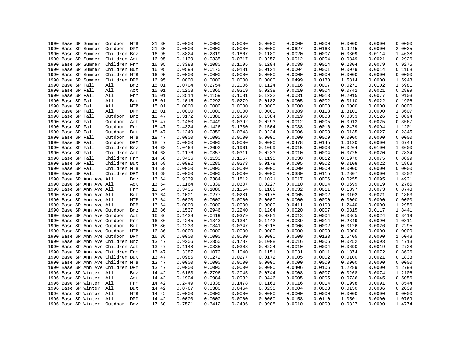| 1990 Base SP Summer<br>Outdoor<br>21.30<br>0.0000<br>0.0000<br>0.0000<br>0.0000<br>0.0627<br>0.0163<br>1.9245<br>0.0000<br>DPM<br>1990 Base SP Summer<br>Children Bnz<br>16.95<br>0.8824<br>0.2319<br>0.1867<br>0.1180<br>0.0020<br>0.0007<br>0.0309<br>0.0114<br>1990 Base SP Summer<br>Children Act<br>0.0335<br>0.0317<br>0.0252<br>0.0012<br>0.0004<br>0.0849<br>0.0021<br>16.95<br>0.1139<br>0.0079<br>1990 Base SP Summer<br>Children Frm<br>16.95<br>0.3383<br>0.1080<br>0.1095<br>0.1294<br>0.0039<br>0.0014<br>0.2304<br>1990 Base SP Summer<br>Children But<br>16.95<br>0.0598<br>0.0170<br>0.0181<br>0.0121<br>0.0004<br>0.0001<br>0.0079<br>0.0014<br>1990 Base SP Summer<br>Children MTB<br>0.0000<br>0.0000<br>0.0000<br>0.0000<br>16.95<br>0.0000<br>0.0000<br>0.0000<br>0.0000<br>Children DPM<br>0.0000<br>0.0000<br>0.0499<br>0.0130<br>0.0000<br>1990 Base SP Summer<br>16.95<br>0.0000<br>0.0000<br>1.5314<br>1990 Base SP Fall<br>All<br>15.01<br>1.0704<br>0.2754<br>0.2006<br>0.1124<br>0.0016<br>0.0007<br>0.0271<br>0.0102<br>Bnz<br>0.0319<br>0.0021<br>1990 Base SP Fall<br>All<br>15.01<br>0.1203<br>0.0365<br>0.0238<br>0.0010<br>0.0004<br>0.0742<br>Act<br>1990 Base SP Fall<br>0.1159<br>0.1081<br>0.1222<br>0.0013<br>0.2015<br>0.0077<br>All<br>15.01<br>0.3514<br>0.0031<br>Frm<br>1990 Base SP Fall<br>0.1015<br>0.0292<br>0.0279<br>0.0182<br>0.0005<br>0.0002<br>0.0110<br>0.0022<br>All<br>15.01<br>But<br>1990 Base SP Fall<br>All<br>MTB<br>15.01<br>0.0000<br>0.0000<br>0.0000<br>0.0000<br>0.0000<br>0.0000<br>0.0000<br>0.0000<br>1990 Base SP Fall<br>0.0000<br>0.0000<br>0.0389<br>0.0118<br>1.3101<br>0.0000<br>All<br>DPM<br>15.01<br>0.0000<br>0.0000<br>1990 Base SP Fall<br>Outdoor<br>Bnz<br>18.47<br>1.3172<br>0.3388<br>0.2468<br>0.1384<br>0.0019<br>0.0008<br>0.0333<br>0.0126<br>0.0025<br>1990 Base SP Fall<br>Outdoor<br>Act<br>18.47<br>0.1480<br>0.0449<br>0.0392<br>0.0293<br>0.0012<br>0.0005<br>0.0913<br>Outdoor<br>0.1330<br>0.1504<br>0.0038<br>0.0094<br>1990 Base SP Fall<br>Frm<br>18.47<br>0.4324<br>0.1426<br>0.0016<br>0.2479<br>1990 Base SP Fall<br>Outdoor But<br>0.1249<br>0.0359<br>0.0343<br>0.0224<br>0.0006<br>0.0003<br>0.0135<br>0.0027<br>18.47<br>Outdoor<br>0.0000<br>0.0000<br>0.0000<br>1990 Base SP Fall<br>MTB<br>18.47<br>0.0000<br>0.0000<br>0.0000<br>0.0000<br>0.0000<br>0.0000<br>0.0000<br>0.0000<br>0.0478<br>0.0000<br>1990 Base SP Fall<br>Outdoor DPM<br>18.47<br>0.0000<br>0.0145<br>1.6120<br>1990 Base SP Fall<br>Children Bnz<br>0.2692<br>0.1961<br>0.1099<br>0.0015<br>0.0006<br>0.0264<br>0.0100<br>14.68<br>1.0464<br>0.0311<br>1990 Base SP Fall<br>Children Act<br>0.1176<br>0.0357<br>0.0233<br>0.0010<br>0.0004<br>0.0725<br>0.0020<br>14.68<br>Children Frm<br>0.1133<br>0.1057<br>0.1195<br>0.0030<br>0.0012<br>0.1970<br>0.0075<br>1990 Base SP Fall<br>14.68<br>0.3436<br>0.0273<br>1990 Base SP Fall<br>Children But<br>14.68<br>0.0992<br>0.0285<br>0.0178<br>0.0005<br>0.0002<br>0.0108<br>0.0022<br>0.0000<br>0.0000<br>1990 Base SP Fall<br>Children MTB<br>14.68<br>0.0000<br>0.0000<br>0.0000<br>0.0000<br>0.0000<br>0.0000<br>1990 Base SP Fall<br>Children DPM<br>0.0000<br>0.0000<br>0.0380<br>0.0000<br>14.68<br>0.0000<br>0.0000<br>0.0115<br>1.2807<br>1990 Base SP Ann Ave All<br>0.9339<br>0.2384<br>0.1812<br>0.1021<br>0.0017<br>0.0006<br>0.0255<br>0.0095<br>13.64<br>Bnz<br>0.0307<br>0.0227<br>0.0019<br>1990 Base SP Ann Ave All<br>13.64<br>0.1164<br>0.0339<br>0.0010<br>0.0004<br>0.0699<br>Act<br>0.1086<br>0.1054<br>0.0073<br>1990 Base SP Ann Ave All<br>0.3435<br>0.1166<br>0.0032<br>0.0011<br>0.1897<br>13.64<br>Frm<br>1990 Base SP Ann Ave All<br>0.0277<br>0.0281<br>0.0175<br>0.0005<br>0.0002<br>0.0102<br>0.0021<br>13.64<br>0.1001<br>But<br>1990 Base SP Ann Ave All<br>0.0000<br>0.0000<br>0.0000<br>0.0000<br>0.0000<br>0.0000<br>0.0000<br>0.0000<br>MTB<br>13.64<br>1990 Base SP Ann Ave All<br>DPM<br>13.64<br>0.0000<br>0.0000<br>0.0000<br>0.0000<br>0.0411<br>0.0108<br>1.2440<br>0.0000<br>1990 Base SP Ann Ave Outdoor<br>1.1537<br>0.2946<br>0.2240<br>0.1264<br>0.0020<br>0.0007<br>0.0315<br>0.0117<br>Bnz<br>16.86<br>1990 Base SP Ann Ave Outdoor<br>0.1438<br>0.0419<br>0.0379<br>0.0281<br>0.0013<br>0.0004<br>0.0865<br>0.0024<br>Act<br>16.86<br>0.0090<br>1990 Base SP Ann Ave Outdoor Frm<br>16.86<br>0.4245<br>0.1343<br>0.1304<br>0.1442<br>0.0039<br>0.0014<br>0.2349<br>1990 Base SP Ann Ave Outdoor<br>0.1233<br>0.0341<br>0.0347<br>0.0215<br>0.0002<br>0.0126<br>0.0026<br>But<br>16.86<br>0.0006<br>1990 Base SP Ann Ave Outdoor MTB<br>0.0000<br>0.0000<br>0.0000<br>0.0000<br>0.0000<br>0.0000<br>0.0000<br>0.0000<br>16.86<br>0.0000<br>0.0000<br>0.0509<br>0.0133<br>0.0000<br>1990 Base SP Ann Ave Outdoor DPM<br>16.86<br>0.0000<br>0.0000<br>1.5405<br>0.2350<br>0.1787<br>0.0016<br>0.0006<br>0.0252<br>0.0093<br>1990 Base SP Ann Ave Children Bnz<br>13.47<br>0.9206<br>0.1008<br>0.0303<br>0.0019<br>1990 Base SP Ann Ave Children Act<br>13.47<br>0.1148<br>0.0335<br>0.0224<br>0.0010<br>0.0004<br>0.0690<br>0.0072<br>1990 Base SP Ann Ave Children Frm<br>0.3387<br>0.1072<br>0.1040<br>0.1151<br>0.0031<br>0.0011<br>0.1874<br>13.47<br>1990 Base SP Ann Ave Children But<br>0.0985<br>0.0272<br>0.0277<br>0.0172<br>0.0005<br>0.0002<br>0.0100<br>0.0021<br>13.47<br>1990 Base SP Ann Ave Children MTB<br>13.47<br>0.0000<br>0.0000<br>0.0000<br>0.0000<br>0.0000<br>0.0000<br>0.0000<br>0.0000<br>0.0000<br>0.0106<br>1.2289<br>0.0000<br>1990 Base SP Ann Ave Children DPM<br>13.47<br>0.0000<br>0.0000<br>0.0000<br>0.0406<br>1996 Base SP Winter All<br>0.2796<br>0.2045<br>0.0744<br>0.0008<br>0.0007<br>0.0268<br>0.0074<br>14.42<br>0.6163<br>Bnz<br>1996 Base SP Winter All<br>0.1904<br>0.0984<br>0.0932<br>0.0005<br>0.0005<br>0.0736<br>0.0045<br>14.42<br>0.0446<br>Act<br>1996 Base SP Winter All<br>0.1338<br>0.1478<br>0.0016<br>0.0014<br>0.1998<br>0.0091<br>14.42<br>0.2449<br>0.1161<br>Frm<br>0.0464<br>0.0036<br>1996 Base SP Winter All<br>14.42<br>0.0767<br>0.0380<br>0.0235<br>0.0004<br>0.0003<br>0.0150<br>But<br>1996 Base SP Winter All<br>MTB<br>14.42<br>0.0000<br>0.0000<br>0.0000<br>0.0000<br>0.0000<br>0.0000<br>0.0000<br>0.0000<br>1996 Base SP Winter All<br>DPM<br>14.42<br>0.0000<br>0.0000<br>0.0000<br>0.0000<br>0.0158<br>0.0110<br>1.0501<br>0.0000<br>0.2496<br>0.0908<br>0.0010<br>0.0009<br>0.0090<br>1996 Base SP Winter<br>Outdoor<br>Bnz<br>17.60<br>0.7521<br>0.3412<br>0.0327 |  | 1990 Base SP Summer | Outdoor MTB | 21.30 | 0.0000 | 0.0000 | 0.0000 | 0.0000 | 0.0000 | 0.0000 | 0.0000 | 0.0000 | 0.0000 |
|---------------------------------------------------------------------------------------------------------------------------------------------------------------------------------------------------------------------------------------------------------------------------------------------------------------------------------------------------------------------------------------------------------------------------------------------------------------------------------------------------------------------------------------------------------------------------------------------------------------------------------------------------------------------------------------------------------------------------------------------------------------------------------------------------------------------------------------------------------------------------------------------------------------------------------------------------------------------------------------------------------------------------------------------------------------------------------------------------------------------------------------------------------------------------------------------------------------------------------------------------------------------------------------------------------------------------------------------------------------------------------------------------------------------------------------------------------------------------------------------------------------------------------------------------------------------------------------------------------------------------------------------------------------------------------------------------------------------------------------------------------------------------------------------------------------------------------------------------------------------------------------------------------------------------------------------------------------------------------------------------------------------------------------------------------------------------------------------------------------------------------------------------------------------------------------------------------------------------------------------------------------------------------------------------------------------------------------------------------------------------------------------------------------------------------------------------------------------------------------------------------------------------------------------------------------------------------------------------------------------------------------------------------------------------------------------------------------------------------------------------------------------------------------------------------------------------------------------------------------------------------------------------------------------------------------------------------------------------------------------------------------------------------------------------------------------------------------------------------------------------------------------------------------------------------------------------------------------------------------------------------------------------------------------------------------------------------------------------------------------------------------------------------------------------------------------------------------------------------------------------------------------------------------------------------------------------------------------------------------------------------------------------------------------------------------------------------------------------------------------------------------------------------------------------------------------------------------------------------------------------------------------------------------------------------------------------------------------------------------------------------------------------------------------------------------------------------------------------------------------------------------------------------------------------------------------------------------------------------------------------------------------------------------------------------------------------------------------------------------------------------------------------------------------------------------------------------------------------------------------------------------------------------------------------------------------------------------------------------------------------------------------------------------------------------------------------------------------------------------------------------------------------------------------------------------------------------------------------------------------------------------------------------------------------------------------------------------------------------------------------------------------------------------------------------------------------------------------------------------------------------------------------------------------------------------------------------------------------------------------------------------------------------------------------------------------------------------------------------------------------------------------------------------------------------------------------------------------------------------------------------------------------------------------------------------------------------------------------------------------------------------------------------------------------------------------------------------------------------------------------------------------------------------------------------------------------------------------------------------------------------------------------------------------------------------------------------------------------------------------------------------------------------------------------------------------------------------------------------------------------------------------------------------------------------------------------------------------------------------------------------------------------------------------------------------------------------------------------------------------------------------------------------------------------------------------------------------------------------------------------------------------------------------------|--|---------------------|-------------|-------|--------|--------|--------|--------|--------|--------|--------|--------|--------|
|                                                                                                                                                                                                                                                                                                                                                                                                                                                                                                                                                                                                                                                                                                                                                                                                                                                                                                                                                                                                                                                                                                                                                                                                                                                                                                                                                                                                                                                                                                                                                                                                                                                                                                                                                                                                                                                                                                                                                                                                                                                                                                                                                                                                                                                                                                                                                                                                                                                                                                                                                                                                                                                                                                                                                                                                                                                                                                                                                                                                                                                                                                                                                                                                                                                                                                                                                                                                                                                                                                                                                                                                                                                                                                                                                                                                                                                                                                                                                                                                                                                                                                                                                                                                                                                                                                                                                                                                                                                                                                                                                                                                                                                                                                                                                                                                                                                                                                                                                                                                                                                                                                                                                                                                                                                                                                                                                                                                                                                                                                                                                                                                                                                                                                                                                                                                                                                                                                                                                                                                                                                                                                                                                                                                                                                                                                                                                                                                                                                                                                                                             |  |                     |             |       |        |        |        |        |        |        |        |        | 2.0035 |
|                                                                                                                                                                                                                                                                                                                                                                                                                                                                                                                                                                                                                                                                                                                                                                                                                                                                                                                                                                                                                                                                                                                                                                                                                                                                                                                                                                                                                                                                                                                                                                                                                                                                                                                                                                                                                                                                                                                                                                                                                                                                                                                                                                                                                                                                                                                                                                                                                                                                                                                                                                                                                                                                                                                                                                                                                                                                                                                                                                                                                                                                                                                                                                                                                                                                                                                                                                                                                                                                                                                                                                                                                                                                                                                                                                                                                                                                                                                                                                                                                                                                                                                                                                                                                                                                                                                                                                                                                                                                                                                                                                                                                                                                                                                                                                                                                                                                                                                                                                                                                                                                                                                                                                                                                                                                                                                                                                                                                                                                                                                                                                                                                                                                                                                                                                                                                                                                                                                                                                                                                                                                                                                                                                                                                                                                                                                                                                                                                                                                                                                                             |  |                     |             |       |        |        |        |        |        |        |        |        | 1.4638 |
|                                                                                                                                                                                                                                                                                                                                                                                                                                                                                                                                                                                                                                                                                                                                                                                                                                                                                                                                                                                                                                                                                                                                                                                                                                                                                                                                                                                                                                                                                                                                                                                                                                                                                                                                                                                                                                                                                                                                                                                                                                                                                                                                                                                                                                                                                                                                                                                                                                                                                                                                                                                                                                                                                                                                                                                                                                                                                                                                                                                                                                                                                                                                                                                                                                                                                                                                                                                                                                                                                                                                                                                                                                                                                                                                                                                                                                                                                                                                                                                                                                                                                                                                                                                                                                                                                                                                                                                                                                                                                                                                                                                                                                                                                                                                                                                                                                                                                                                                                                                                                                                                                                                                                                                                                                                                                                                                                                                                                                                                                                                                                                                                                                                                                                                                                                                                                                                                                                                                                                                                                                                                                                                                                                                                                                                                                                                                                                                                                                                                                                                                             |  |                     |             |       |        |        |        |        |        |        |        |        | 0.2926 |
|                                                                                                                                                                                                                                                                                                                                                                                                                                                                                                                                                                                                                                                                                                                                                                                                                                                                                                                                                                                                                                                                                                                                                                                                                                                                                                                                                                                                                                                                                                                                                                                                                                                                                                                                                                                                                                                                                                                                                                                                                                                                                                                                                                                                                                                                                                                                                                                                                                                                                                                                                                                                                                                                                                                                                                                                                                                                                                                                                                                                                                                                                                                                                                                                                                                                                                                                                                                                                                                                                                                                                                                                                                                                                                                                                                                                                                                                                                                                                                                                                                                                                                                                                                                                                                                                                                                                                                                                                                                                                                                                                                                                                                                                                                                                                                                                                                                                                                                                                                                                                                                                                                                                                                                                                                                                                                                                                                                                                                                                                                                                                                                                                                                                                                                                                                                                                                                                                                                                                                                                                                                                                                                                                                                                                                                                                                                                                                                                                                                                                                                                             |  |                     |             |       |        |        |        |        |        |        |        |        | 0.9275 |
|                                                                                                                                                                                                                                                                                                                                                                                                                                                                                                                                                                                                                                                                                                                                                                                                                                                                                                                                                                                                                                                                                                                                                                                                                                                                                                                                                                                                                                                                                                                                                                                                                                                                                                                                                                                                                                                                                                                                                                                                                                                                                                                                                                                                                                                                                                                                                                                                                                                                                                                                                                                                                                                                                                                                                                                                                                                                                                                                                                                                                                                                                                                                                                                                                                                                                                                                                                                                                                                                                                                                                                                                                                                                                                                                                                                                                                                                                                                                                                                                                                                                                                                                                                                                                                                                                                                                                                                                                                                                                                                                                                                                                                                                                                                                                                                                                                                                                                                                                                                                                                                                                                                                                                                                                                                                                                                                                                                                                                                                                                                                                                                                                                                                                                                                                                                                                                                                                                                                                                                                                                                                                                                                                                                                                                                                                                                                                                                                                                                                                                                                             |  |                     |             |       |        |        |        |        |        |        |        |        | 0.1168 |
|                                                                                                                                                                                                                                                                                                                                                                                                                                                                                                                                                                                                                                                                                                                                                                                                                                                                                                                                                                                                                                                                                                                                                                                                                                                                                                                                                                                                                                                                                                                                                                                                                                                                                                                                                                                                                                                                                                                                                                                                                                                                                                                                                                                                                                                                                                                                                                                                                                                                                                                                                                                                                                                                                                                                                                                                                                                                                                                                                                                                                                                                                                                                                                                                                                                                                                                                                                                                                                                                                                                                                                                                                                                                                                                                                                                                                                                                                                                                                                                                                                                                                                                                                                                                                                                                                                                                                                                                                                                                                                                                                                                                                                                                                                                                                                                                                                                                                                                                                                                                                                                                                                                                                                                                                                                                                                                                                                                                                                                                                                                                                                                                                                                                                                                                                                                                                                                                                                                                                                                                                                                                                                                                                                                                                                                                                                                                                                                                                                                                                                                                             |  |                     |             |       |        |        |        |        |        |        |        |        | 0.0000 |
|                                                                                                                                                                                                                                                                                                                                                                                                                                                                                                                                                                                                                                                                                                                                                                                                                                                                                                                                                                                                                                                                                                                                                                                                                                                                                                                                                                                                                                                                                                                                                                                                                                                                                                                                                                                                                                                                                                                                                                                                                                                                                                                                                                                                                                                                                                                                                                                                                                                                                                                                                                                                                                                                                                                                                                                                                                                                                                                                                                                                                                                                                                                                                                                                                                                                                                                                                                                                                                                                                                                                                                                                                                                                                                                                                                                                                                                                                                                                                                                                                                                                                                                                                                                                                                                                                                                                                                                                                                                                                                                                                                                                                                                                                                                                                                                                                                                                                                                                                                                                                                                                                                                                                                                                                                                                                                                                                                                                                                                                                                                                                                                                                                                                                                                                                                                                                                                                                                                                                                                                                                                                                                                                                                                                                                                                                                                                                                                                                                                                                                                                             |  |                     |             |       |        |        |        |        |        |        |        |        | 1.5943 |
|                                                                                                                                                                                                                                                                                                                                                                                                                                                                                                                                                                                                                                                                                                                                                                                                                                                                                                                                                                                                                                                                                                                                                                                                                                                                                                                                                                                                                                                                                                                                                                                                                                                                                                                                                                                                                                                                                                                                                                                                                                                                                                                                                                                                                                                                                                                                                                                                                                                                                                                                                                                                                                                                                                                                                                                                                                                                                                                                                                                                                                                                                                                                                                                                                                                                                                                                                                                                                                                                                                                                                                                                                                                                                                                                                                                                                                                                                                                                                                                                                                                                                                                                                                                                                                                                                                                                                                                                                                                                                                                                                                                                                                                                                                                                                                                                                                                                                                                                                                                                                                                                                                                                                                                                                                                                                                                                                                                                                                                                                                                                                                                                                                                                                                                                                                                                                                                                                                                                                                                                                                                                                                                                                                                                                                                                                                                                                                                                                                                                                                                                             |  |                     |             |       |        |        |        |        |        |        |        |        | 1.6981 |
|                                                                                                                                                                                                                                                                                                                                                                                                                                                                                                                                                                                                                                                                                                                                                                                                                                                                                                                                                                                                                                                                                                                                                                                                                                                                                                                                                                                                                                                                                                                                                                                                                                                                                                                                                                                                                                                                                                                                                                                                                                                                                                                                                                                                                                                                                                                                                                                                                                                                                                                                                                                                                                                                                                                                                                                                                                                                                                                                                                                                                                                                                                                                                                                                                                                                                                                                                                                                                                                                                                                                                                                                                                                                                                                                                                                                                                                                                                                                                                                                                                                                                                                                                                                                                                                                                                                                                                                                                                                                                                                                                                                                                                                                                                                                                                                                                                                                                                                                                                                                                                                                                                                                                                                                                                                                                                                                                                                                                                                                                                                                                                                                                                                                                                                                                                                                                                                                                                                                                                                                                                                                                                                                                                                                                                                                                                                                                                                                                                                                                                                                             |  |                     |             |       |        |        |        |        |        |        |        |        | 0.2899 |
|                                                                                                                                                                                                                                                                                                                                                                                                                                                                                                                                                                                                                                                                                                                                                                                                                                                                                                                                                                                                                                                                                                                                                                                                                                                                                                                                                                                                                                                                                                                                                                                                                                                                                                                                                                                                                                                                                                                                                                                                                                                                                                                                                                                                                                                                                                                                                                                                                                                                                                                                                                                                                                                                                                                                                                                                                                                                                                                                                                                                                                                                                                                                                                                                                                                                                                                                                                                                                                                                                                                                                                                                                                                                                                                                                                                                                                                                                                                                                                                                                                                                                                                                                                                                                                                                                                                                                                                                                                                                                                                                                                                                                                                                                                                                                                                                                                                                                                                                                                                                                                                                                                                                                                                                                                                                                                                                                                                                                                                                                                                                                                                                                                                                                                                                                                                                                                                                                                                                                                                                                                                                                                                                                                                                                                                                                                                                                                                                                                                                                                                                             |  |                     |             |       |        |        |        |        |        |        |        |        | 0.9103 |
|                                                                                                                                                                                                                                                                                                                                                                                                                                                                                                                                                                                                                                                                                                                                                                                                                                                                                                                                                                                                                                                                                                                                                                                                                                                                                                                                                                                                                                                                                                                                                                                                                                                                                                                                                                                                                                                                                                                                                                                                                                                                                                                                                                                                                                                                                                                                                                                                                                                                                                                                                                                                                                                                                                                                                                                                                                                                                                                                                                                                                                                                                                                                                                                                                                                                                                                                                                                                                                                                                                                                                                                                                                                                                                                                                                                                                                                                                                                                                                                                                                                                                                                                                                                                                                                                                                                                                                                                                                                                                                                                                                                                                                                                                                                                                                                                                                                                                                                                                                                                                                                                                                                                                                                                                                                                                                                                                                                                                                                                                                                                                                                                                                                                                                                                                                                                                                                                                                                                                                                                                                                                                                                                                                                                                                                                                                                                                                                                                                                                                                                                             |  |                     |             |       |        |        |        |        |        |        |        |        | 0.1906 |
|                                                                                                                                                                                                                                                                                                                                                                                                                                                                                                                                                                                                                                                                                                                                                                                                                                                                                                                                                                                                                                                                                                                                                                                                                                                                                                                                                                                                                                                                                                                                                                                                                                                                                                                                                                                                                                                                                                                                                                                                                                                                                                                                                                                                                                                                                                                                                                                                                                                                                                                                                                                                                                                                                                                                                                                                                                                                                                                                                                                                                                                                                                                                                                                                                                                                                                                                                                                                                                                                                                                                                                                                                                                                                                                                                                                                                                                                                                                                                                                                                                                                                                                                                                                                                                                                                                                                                                                                                                                                                                                                                                                                                                                                                                                                                                                                                                                                                                                                                                                                                                                                                                                                                                                                                                                                                                                                                                                                                                                                                                                                                                                                                                                                                                                                                                                                                                                                                                                                                                                                                                                                                                                                                                                                                                                                                                                                                                                                                                                                                                                                             |  |                     |             |       |        |        |        |        |        |        |        |        | 0.0000 |
|                                                                                                                                                                                                                                                                                                                                                                                                                                                                                                                                                                                                                                                                                                                                                                                                                                                                                                                                                                                                                                                                                                                                                                                                                                                                                                                                                                                                                                                                                                                                                                                                                                                                                                                                                                                                                                                                                                                                                                                                                                                                                                                                                                                                                                                                                                                                                                                                                                                                                                                                                                                                                                                                                                                                                                                                                                                                                                                                                                                                                                                                                                                                                                                                                                                                                                                                                                                                                                                                                                                                                                                                                                                                                                                                                                                                                                                                                                                                                                                                                                                                                                                                                                                                                                                                                                                                                                                                                                                                                                                                                                                                                                                                                                                                                                                                                                                                                                                                                                                                                                                                                                                                                                                                                                                                                                                                                                                                                                                                                                                                                                                                                                                                                                                                                                                                                                                                                                                                                                                                                                                                                                                                                                                                                                                                                                                                                                                                                                                                                                                                             |  |                     |             |       |        |        |        |        |        |        |        |        | 1.3607 |
|                                                                                                                                                                                                                                                                                                                                                                                                                                                                                                                                                                                                                                                                                                                                                                                                                                                                                                                                                                                                                                                                                                                                                                                                                                                                                                                                                                                                                                                                                                                                                                                                                                                                                                                                                                                                                                                                                                                                                                                                                                                                                                                                                                                                                                                                                                                                                                                                                                                                                                                                                                                                                                                                                                                                                                                                                                                                                                                                                                                                                                                                                                                                                                                                                                                                                                                                                                                                                                                                                                                                                                                                                                                                                                                                                                                                                                                                                                                                                                                                                                                                                                                                                                                                                                                                                                                                                                                                                                                                                                                                                                                                                                                                                                                                                                                                                                                                                                                                                                                                                                                                                                                                                                                                                                                                                                                                                                                                                                                                                                                                                                                                                                                                                                                                                                                                                                                                                                                                                                                                                                                                                                                                                                                                                                                                                                                                                                                                                                                                                                                                             |  |                     |             |       |        |        |        |        |        |        |        |        | 2.0894 |
|                                                                                                                                                                                                                                                                                                                                                                                                                                                                                                                                                                                                                                                                                                                                                                                                                                                                                                                                                                                                                                                                                                                                                                                                                                                                                                                                                                                                                                                                                                                                                                                                                                                                                                                                                                                                                                                                                                                                                                                                                                                                                                                                                                                                                                                                                                                                                                                                                                                                                                                                                                                                                                                                                                                                                                                                                                                                                                                                                                                                                                                                                                                                                                                                                                                                                                                                                                                                                                                                                                                                                                                                                                                                                                                                                                                                                                                                                                                                                                                                                                                                                                                                                                                                                                                                                                                                                                                                                                                                                                                                                                                                                                                                                                                                                                                                                                                                                                                                                                                                                                                                                                                                                                                                                                                                                                                                                                                                                                                                                                                                                                                                                                                                                                                                                                                                                                                                                                                                                                                                                                                                                                                                                                                                                                                                                                                                                                                                                                                                                                                                             |  |                     |             |       |        |        |        |        |        |        |        |        | 0.3567 |
|                                                                                                                                                                                                                                                                                                                                                                                                                                                                                                                                                                                                                                                                                                                                                                                                                                                                                                                                                                                                                                                                                                                                                                                                                                                                                                                                                                                                                                                                                                                                                                                                                                                                                                                                                                                                                                                                                                                                                                                                                                                                                                                                                                                                                                                                                                                                                                                                                                                                                                                                                                                                                                                                                                                                                                                                                                                                                                                                                                                                                                                                                                                                                                                                                                                                                                                                                                                                                                                                                                                                                                                                                                                                                                                                                                                                                                                                                                                                                                                                                                                                                                                                                                                                                                                                                                                                                                                                                                                                                                                                                                                                                                                                                                                                                                                                                                                                                                                                                                                                                                                                                                                                                                                                                                                                                                                                                                                                                                                                                                                                                                                                                                                                                                                                                                                                                                                                                                                                                                                                                                                                                                                                                                                                                                                                                                                                                                                                                                                                                                                                             |  |                     |             |       |        |        |        |        |        |        |        |        | 1.1201 |
|                                                                                                                                                                                                                                                                                                                                                                                                                                                                                                                                                                                                                                                                                                                                                                                                                                                                                                                                                                                                                                                                                                                                                                                                                                                                                                                                                                                                                                                                                                                                                                                                                                                                                                                                                                                                                                                                                                                                                                                                                                                                                                                                                                                                                                                                                                                                                                                                                                                                                                                                                                                                                                                                                                                                                                                                                                                                                                                                                                                                                                                                                                                                                                                                                                                                                                                                                                                                                                                                                                                                                                                                                                                                                                                                                                                                                                                                                                                                                                                                                                                                                                                                                                                                                                                                                                                                                                                                                                                                                                                                                                                                                                                                                                                                                                                                                                                                                                                                                                                                                                                                                                                                                                                                                                                                                                                                                                                                                                                                                                                                                                                                                                                                                                                                                                                                                                                                                                                                                                                                                                                                                                                                                                                                                                                                                                                                                                                                                                                                                                                                             |  |                     |             |       |        |        |        |        |        |        |        |        | 0.2345 |
|                                                                                                                                                                                                                                                                                                                                                                                                                                                                                                                                                                                                                                                                                                                                                                                                                                                                                                                                                                                                                                                                                                                                                                                                                                                                                                                                                                                                                                                                                                                                                                                                                                                                                                                                                                                                                                                                                                                                                                                                                                                                                                                                                                                                                                                                                                                                                                                                                                                                                                                                                                                                                                                                                                                                                                                                                                                                                                                                                                                                                                                                                                                                                                                                                                                                                                                                                                                                                                                                                                                                                                                                                                                                                                                                                                                                                                                                                                                                                                                                                                                                                                                                                                                                                                                                                                                                                                                                                                                                                                                                                                                                                                                                                                                                                                                                                                                                                                                                                                                                                                                                                                                                                                                                                                                                                                                                                                                                                                                                                                                                                                                                                                                                                                                                                                                                                                                                                                                                                                                                                                                                                                                                                                                                                                                                                                                                                                                                                                                                                                                                             |  |                     |             |       |        |        |        |        |        |        |        |        | 0.0000 |
|                                                                                                                                                                                                                                                                                                                                                                                                                                                                                                                                                                                                                                                                                                                                                                                                                                                                                                                                                                                                                                                                                                                                                                                                                                                                                                                                                                                                                                                                                                                                                                                                                                                                                                                                                                                                                                                                                                                                                                                                                                                                                                                                                                                                                                                                                                                                                                                                                                                                                                                                                                                                                                                                                                                                                                                                                                                                                                                                                                                                                                                                                                                                                                                                                                                                                                                                                                                                                                                                                                                                                                                                                                                                                                                                                                                                                                                                                                                                                                                                                                                                                                                                                                                                                                                                                                                                                                                                                                                                                                                                                                                                                                                                                                                                                                                                                                                                                                                                                                                                                                                                                                                                                                                                                                                                                                                                                                                                                                                                                                                                                                                                                                                                                                                                                                                                                                                                                                                                                                                                                                                                                                                                                                                                                                                                                                                                                                                                                                                                                                                                             |  |                     |             |       |        |        |        |        |        |        |        |        | 1.6744 |
|                                                                                                                                                                                                                                                                                                                                                                                                                                                                                                                                                                                                                                                                                                                                                                                                                                                                                                                                                                                                                                                                                                                                                                                                                                                                                                                                                                                                                                                                                                                                                                                                                                                                                                                                                                                                                                                                                                                                                                                                                                                                                                                                                                                                                                                                                                                                                                                                                                                                                                                                                                                                                                                                                                                                                                                                                                                                                                                                                                                                                                                                                                                                                                                                                                                                                                                                                                                                                                                                                                                                                                                                                                                                                                                                                                                                                                                                                                                                                                                                                                                                                                                                                                                                                                                                                                                                                                                                                                                                                                                                                                                                                                                                                                                                                                                                                                                                                                                                                                                                                                                                                                                                                                                                                                                                                                                                                                                                                                                                                                                                                                                                                                                                                                                                                                                                                                                                                                                                                                                                                                                                                                                                                                                                                                                                                                                                                                                                                                                                                                                                             |  |                     |             |       |        |        |        |        |        |        |        |        | 1.6600 |
|                                                                                                                                                                                                                                                                                                                                                                                                                                                                                                                                                                                                                                                                                                                                                                                                                                                                                                                                                                                                                                                                                                                                                                                                                                                                                                                                                                                                                                                                                                                                                                                                                                                                                                                                                                                                                                                                                                                                                                                                                                                                                                                                                                                                                                                                                                                                                                                                                                                                                                                                                                                                                                                                                                                                                                                                                                                                                                                                                                                                                                                                                                                                                                                                                                                                                                                                                                                                                                                                                                                                                                                                                                                                                                                                                                                                                                                                                                                                                                                                                                                                                                                                                                                                                                                                                                                                                                                                                                                                                                                                                                                                                                                                                                                                                                                                                                                                                                                                                                                                                                                                                                                                                                                                                                                                                                                                                                                                                                                                                                                                                                                                                                                                                                                                                                                                                                                                                                                                                                                                                                                                                                                                                                                                                                                                                                                                                                                                                                                                                                                                             |  |                     |             |       |        |        |        |        |        |        |        |        | 0.2834 |
|                                                                                                                                                                                                                                                                                                                                                                                                                                                                                                                                                                                                                                                                                                                                                                                                                                                                                                                                                                                                                                                                                                                                                                                                                                                                                                                                                                                                                                                                                                                                                                                                                                                                                                                                                                                                                                                                                                                                                                                                                                                                                                                                                                                                                                                                                                                                                                                                                                                                                                                                                                                                                                                                                                                                                                                                                                                                                                                                                                                                                                                                                                                                                                                                                                                                                                                                                                                                                                                                                                                                                                                                                                                                                                                                                                                                                                                                                                                                                                                                                                                                                                                                                                                                                                                                                                                                                                                                                                                                                                                                                                                                                                                                                                                                                                                                                                                                                                                                                                                                                                                                                                                                                                                                                                                                                                                                                                                                                                                                                                                                                                                                                                                                                                                                                                                                                                                                                                                                                                                                                                                                                                                                                                                                                                                                                                                                                                                                                                                                                                                                             |  |                     |             |       |        |        |        |        |        |        |        |        | 0.8899 |
|                                                                                                                                                                                                                                                                                                                                                                                                                                                                                                                                                                                                                                                                                                                                                                                                                                                                                                                                                                                                                                                                                                                                                                                                                                                                                                                                                                                                                                                                                                                                                                                                                                                                                                                                                                                                                                                                                                                                                                                                                                                                                                                                                                                                                                                                                                                                                                                                                                                                                                                                                                                                                                                                                                                                                                                                                                                                                                                                                                                                                                                                                                                                                                                                                                                                                                                                                                                                                                                                                                                                                                                                                                                                                                                                                                                                                                                                                                                                                                                                                                                                                                                                                                                                                                                                                                                                                                                                                                                                                                                                                                                                                                                                                                                                                                                                                                                                                                                                                                                                                                                                                                                                                                                                                                                                                                                                                                                                                                                                                                                                                                                                                                                                                                                                                                                                                                                                                                                                                                                                                                                                                                                                                                                                                                                                                                                                                                                                                                                                                                                                             |  |                     |             |       |        |        |        |        |        |        |        |        | 0.1863 |
|                                                                                                                                                                                                                                                                                                                                                                                                                                                                                                                                                                                                                                                                                                                                                                                                                                                                                                                                                                                                                                                                                                                                                                                                                                                                                                                                                                                                                                                                                                                                                                                                                                                                                                                                                                                                                                                                                                                                                                                                                                                                                                                                                                                                                                                                                                                                                                                                                                                                                                                                                                                                                                                                                                                                                                                                                                                                                                                                                                                                                                                                                                                                                                                                                                                                                                                                                                                                                                                                                                                                                                                                                                                                                                                                                                                                                                                                                                                                                                                                                                                                                                                                                                                                                                                                                                                                                                                                                                                                                                                                                                                                                                                                                                                                                                                                                                                                                                                                                                                                                                                                                                                                                                                                                                                                                                                                                                                                                                                                                                                                                                                                                                                                                                                                                                                                                                                                                                                                                                                                                                                                                                                                                                                                                                                                                                                                                                                                                                                                                                                                             |  |                     |             |       |        |        |        |        |        |        |        |        | 0.0000 |
|                                                                                                                                                                                                                                                                                                                                                                                                                                                                                                                                                                                                                                                                                                                                                                                                                                                                                                                                                                                                                                                                                                                                                                                                                                                                                                                                                                                                                                                                                                                                                                                                                                                                                                                                                                                                                                                                                                                                                                                                                                                                                                                                                                                                                                                                                                                                                                                                                                                                                                                                                                                                                                                                                                                                                                                                                                                                                                                                                                                                                                                                                                                                                                                                                                                                                                                                                                                                                                                                                                                                                                                                                                                                                                                                                                                                                                                                                                                                                                                                                                                                                                                                                                                                                                                                                                                                                                                                                                                                                                                                                                                                                                                                                                                                                                                                                                                                                                                                                                                                                                                                                                                                                                                                                                                                                                                                                                                                                                                                                                                                                                                                                                                                                                                                                                                                                                                                                                                                                                                                                                                                                                                                                                                                                                                                                                                                                                                                                                                                                                                                             |  |                     |             |       |        |        |        |        |        |        |        |        | 1.3302 |
|                                                                                                                                                                                                                                                                                                                                                                                                                                                                                                                                                                                                                                                                                                                                                                                                                                                                                                                                                                                                                                                                                                                                                                                                                                                                                                                                                                                                                                                                                                                                                                                                                                                                                                                                                                                                                                                                                                                                                                                                                                                                                                                                                                                                                                                                                                                                                                                                                                                                                                                                                                                                                                                                                                                                                                                                                                                                                                                                                                                                                                                                                                                                                                                                                                                                                                                                                                                                                                                                                                                                                                                                                                                                                                                                                                                                                                                                                                                                                                                                                                                                                                                                                                                                                                                                                                                                                                                                                                                                                                                                                                                                                                                                                                                                                                                                                                                                                                                                                                                                                                                                                                                                                                                                                                                                                                                                                                                                                                                                                                                                                                                                                                                                                                                                                                                                                                                                                                                                                                                                                                                                                                                                                                                                                                                                                                                                                                                                                                                                                                                                             |  |                     |             |       |        |        |        |        |        |        |        |        | 1.4921 |
|                                                                                                                                                                                                                                                                                                                                                                                                                                                                                                                                                                                                                                                                                                                                                                                                                                                                                                                                                                                                                                                                                                                                                                                                                                                                                                                                                                                                                                                                                                                                                                                                                                                                                                                                                                                                                                                                                                                                                                                                                                                                                                                                                                                                                                                                                                                                                                                                                                                                                                                                                                                                                                                                                                                                                                                                                                                                                                                                                                                                                                                                                                                                                                                                                                                                                                                                                                                                                                                                                                                                                                                                                                                                                                                                                                                                                                                                                                                                                                                                                                                                                                                                                                                                                                                                                                                                                                                                                                                                                                                                                                                                                                                                                                                                                                                                                                                                                                                                                                                                                                                                                                                                                                                                                                                                                                                                                                                                                                                                                                                                                                                                                                                                                                                                                                                                                                                                                                                                                                                                                                                                                                                                                                                                                                                                                                                                                                                                                                                                                                                                             |  |                     |             |       |        |        |        |        |        |        |        |        | 0.2765 |
|                                                                                                                                                                                                                                                                                                                                                                                                                                                                                                                                                                                                                                                                                                                                                                                                                                                                                                                                                                                                                                                                                                                                                                                                                                                                                                                                                                                                                                                                                                                                                                                                                                                                                                                                                                                                                                                                                                                                                                                                                                                                                                                                                                                                                                                                                                                                                                                                                                                                                                                                                                                                                                                                                                                                                                                                                                                                                                                                                                                                                                                                                                                                                                                                                                                                                                                                                                                                                                                                                                                                                                                                                                                                                                                                                                                                                                                                                                                                                                                                                                                                                                                                                                                                                                                                                                                                                                                                                                                                                                                                                                                                                                                                                                                                                                                                                                                                                                                                                                                                                                                                                                                                                                                                                                                                                                                                                                                                                                                                                                                                                                                                                                                                                                                                                                                                                                                                                                                                                                                                                                                                                                                                                                                                                                                                                                                                                                                                                                                                                                                                             |  |                     |             |       |        |        |        |        |        |        |        |        | 0.8743 |
|                                                                                                                                                                                                                                                                                                                                                                                                                                                                                                                                                                                                                                                                                                                                                                                                                                                                                                                                                                                                                                                                                                                                                                                                                                                                                                                                                                                                                                                                                                                                                                                                                                                                                                                                                                                                                                                                                                                                                                                                                                                                                                                                                                                                                                                                                                                                                                                                                                                                                                                                                                                                                                                                                                                                                                                                                                                                                                                                                                                                                                                                                                                                                                                                                                                                                                                                                                                                                                                                                                                                                                                                                                                                                                                                                                                                                                                                                                                                                                                                                                                                                                                                                                                                                                                                                                                                                                                                                                                                                                                                                                                                                                                                                                                                                                                                                                                                                                                                                                                                                                                                                                                                                                                                                                                                                                                                                                                                                                                                                                                                                                                                                                                                                                                                                                                                                                                                                                                                                                                                                                                                                                                                                                                                                                                                                                                                                                                                                                                                                                                                             |  |                     |             |       |        |        |        |        |        |        |        |        | 0.1863 |
|                                                                                                                                                                                                                                                                                                                                                                                                                                                                                                                                                                                                                                                                                                                                                                                                                                                                                                                                                                                                                                                                                                                                                                                                                                                                                                                                                                                                                                                                                                                                                                                                                                                                                                                                                                                                                                                                                                                                                                                                                                                                                                                                                                                                                                                                                                                                                                                                                                                                                                                                                                                                                                                                                                                                                                                                                                                                                                                                                                                                                                                                                                                                                                                                                                                                                                                                                                                                                                                                                                                                                                                                                                                                                                                                                                                                                                                                                                                                                                                                                                                                                                                                                                                                                                                                                                                                                                                                                                                                                                                                                                                                                                                                                                                                                                                                                                                                                                                                                                                                                                                                                                                                                                                                                                                                                                                                                                                                                                                                                                                                                                                                                                                                                                                                                                                                                                                                                                                                                                                                                                                                                                                                                                                                                                                                                                                                                                                                                                                                                                                                             |  |                     |             |       |        |        |        |        |        |        |        |        | 0.0000 |
|                                                                                                                                                                                                                                                                                                                                                                                                                                                                                                                                                                                                                                                                                                                                                                                                                                                                                                                                                                                                                                                                                                                                                                                                                                                                                                                                                                                                                                                                                                                                                                                                                                                                                                                                                                                                                                                                                                                                                                                                                                                                                                                                                                                                                                                                                                                                                                                                                                                                                                                                                                                                                                                                                                                                                                                                                                                                                                                                                                                                                                                                                                                                                                                                                                                                                                                                                                                                                                                                                                                                                                                                                                                                                                                                                                                                                                                                                                                                                                                                                                                                                                                                                                                                                                                                                                                                                                                                                                                                                                                                                                                                                                                                                                                                                                                                                                                                                                                                                                                                                                                                                                                                                                                                                                                                                                                                                                                                                                                                                                                                                                                                                                                                                                                                                                                                                                                                                                                                                                                                                                                                                                                                                                                                                                                                                                                                                                                                                                                                                                                                             |  |                     |             |       |        |        |        |        |        |        |        |        | 1.2956 |
|                                                                                                                                                                                                                                                                                                                                                                                                                                                                                                                                                                                                                                                                                                                                                                                                                                                                                                                                                                                                                                                                                                                                                                                                                                                                                                                                                                                                                                                                                                                                                                                                                                                                                                                                                                                                                                                                                                                                                                                                                                                                                                                                                                                                                                                                                                                                                                                                                                                                                                                                                                                                                                                                                                                                                                                                                                                                                                                                                                                                                                                                                                                                                                                                                                                                                                                                                                                                                                                                                                                                                                                                                                                                                                                                                                                                                                                                                                                                                                                                                                                                                                                                                                                                                                                                                                                                                                                                                                                                                                                                                                                                                                                                                                                                                                                                                                                                                                                                                                                                                                                                                                                                                                                                                                                                                                                                                                                                                                                                                                                                                                                                                                                                                                                                                                                                                                                                                                                                                                                                                                                                                                                                                                                                                                                                                                                                                                                                                                                                                                                                             |  |                     |             |       |        |        |        |        |        |        |        |        | 1.8441 |
|                                                                                                                                                                                                                                                                                                                                                                                                                                                                                                                                                                                                                                                                                                                                                                                                                                                                                                                                                                                                                                                                                                                                                                                                                                                                                                                                                                                                                                                                                                                                                                                                                                                                                                                                                                                                                                                                                                                                                                                                                                                                                                                                                                                                                                                                                                                                                                                                                                                                                                                                                                                                                                                                                                                                                                                                                                                                                                                                                                                                                                                                                                                                                                                                                                                                                                                                                                                                                                                                                                                                                                                                                                                                                                                                                                                                                                                                                                                                                                                                                                                                                                                                                                                                                                                                                                                                                                                                                                                                                                                                                                                                                                                                                                                                                                                                                                                                                                                                                                                                                                                                                                                                                                                                                                                                                                                                                                                                                                                                                                                                                                                                                                                                                                                                                                                                                                                                                                                                                                                                                                                                                                                                                                                                                                                                                                                                                                                                                                                                                                                                             |  |                     |             |       |        |        |        |        |        |        |        |        | 0.3419 |
|                                                                                                                                                                                                                                                                                                                                                                                                                                                                                                                                                                                                                                                                                                                                                                                                                                                                                                                                                                                                                                                                                                                                                                                                                                                                                                                                                                                                                                                                                                                                                                                                                                                                                                                                                                                                                                                                                                                                                                                                                                                                                                                                                                                                                                                                                                                                                                                                                                                                                                                                                                                                                                                                                                                                                                                                                                                                                                                                                                                                                                                                                                                                                                                                                                                                                                                                                                                                                                                                                                                                                                                                                                                                                                                                                                                                                                                                                                                                                                                                                                                                                                                                                                                                                                                                                                                                                                                                                                                                                                                                                                                                                                                                                                                                                                                                                                                                                                                                                                                                                                                                                                                                                                                                                                                                                                                                                                                                                                                                                                                                                                                                                                                                                                                                                                                                                                                                                                                                                                                                                                                                                                                                                                                                                                                                                                                                                                                                                                                                                                                                             |  |                     |             |       |        |        |        |        |        |        |        |        | 1.0811 |
|                                                                                                                                                                                                                                                                                                                                                                                                                                                                                                                                                                                                                                                                                                                                                                                                                                                                                                                                                                                                                                                                                                                                                                                                                                                                                                                                                                                                                                                                                                                                                                                                                                                                                                                                                                                                                                                                                                                                                                                                                                                                                                                                                                                                                                                                                                                                                                                                                                                                                                                                                                                                                                                                                                                                                                                                                                                                                                                                                                                                                                                                                                                                                                                                                                                                                                                                                                                                                                                                                                                                                                                                                                                                                                                                                                                                                                                                                                                                                                                                                                                                                                                                                                                                                                                                                                                                                                                                                                                                                                                                                                                                                                                                                                                                                                                                                                                                                                                                                                                                                                                                                                                                                                                                                                                                                                                                                                                                                                                                                                                                                                                                                                                                                                                                                                                                                                                                                                                                                                                                                                                                                                                                                                                                                                                                                                                                                                                                                                                                                                                                             |  |                     |             |       |        |        |        |        |        |        |        |        | 0.2295 |
|                                                                                                                                                                                                                                                                                                                                                                                                                                                                                                                                                                                                                                                                                                                                                                                                                                                                                                                                                                                                                                                                                                                                                                                                                                                                                                                                                                                                                                                                                                                                                                                                                                                                                                                                                                                                                                                                                                                                                                                                                                                                                                                                                                                                                                                                                                                                                                                                                                                                                                                                                                                                                                                                                                                                                                                                                                                                                                                                                                                                                                                                                                                                                                                                                                                                                                                                                                                                                                                                                                                                                                                                                                                                                                                                                                                                                                                                                                                                                                                                                                                                                                                                                                                                                                                                                                                                                                                                                                                                                                                                                                                                                                                                                                                                                                                                                                                                                                                                                                                                                                                                                                                                                                                                                                                                                                                                                                                                                                                                                                                                                                                                                                                                                                                                                                                                                                                                                                                                                                                                                                                                                                                                                                                                                                                                                                                                                                                                                                                                                                                                             |  |                     |             |       |        |        |        |        |        |        |        |        | 0.0000 |
|                                                                                                                                                                                                                                                                                                                                                                                                                                                                                                                                                                                                                                                                                                                                                                                                                                                                                                                                                                                                                                                                                                                                                                                                                                                                                                                                                                                                                                                                                                                                                                                                                                                                                                                                                                                                                                                                                                                                                                                                                                                                                                                                                                                                                                                                                                                                                                                                                                                                                                                                                                                                                                                                                                                                                                                                                                                                                                                                                                                                                                                                                                                                                                                                                                                                                                                                                                                                                                                                                                                                                                                                                                                                                                                                                                                                                                                                                                                                                                                                                                                                                                                                                                                                                                                                                                                                                                                                                                                                                                                                                                                                                                                                                                                                                                                                                                                                                                                                                                                                                                                                                                                                                                                                                                                                                                                                                                                                                                                                                                                                                                                                                                                                                                                                                                                                                                                                                                                                                                                                                                                                                                                                                                                                                                                                                                                                                                                                                                                                                                                                             |  |                     |             |       |        |        |        |        |        |        |        |        | 1.6043 |
|                                                                                                                                                                                                                                                                                                                                                                                                                                                                                                                                                                                                                                                                                                                                                                                                                                                                                                                                                                                                                                                                                                                                                                                                                                                                                                                                                                                                                                                                                                                                                                                                                                                                                                                                                                                                                                                                                                                                                                                                                                                                                                                                                                                                                                                                                                                                                                                                                                                                                                                                                                                                                                                                                                                                                                                                                                                                                                                                                                                                                                                                                                                                                                                                                                                                                                                                                                                                                                                                                                                                                                                                                                                                                                                                                                                                                                                                                                                                                                                                                                                                                                                                                                                                                                                                                                                                                                                                                                                                                                                                                                                                                                                                                                                                                                                                                                                                                                                                                                                                                                                                                                                                                                                                                                                                                                                                                                                                                                                                                                                                                                                                                                                                                                                                                                                                                                                                                                                                                                                                                                                                                                                                                                                                                                                                                                                                                                                                                                                                                                                                             |  |                     |             |       |        |        |        |        |        |        |        |        | 1.4713 |
|                                                                                                                                                                                                                                                                                                                                                                                                                                                                                                                                                                                                                                                                                                                                                                                                                                                                                                                                                                                                                                                                                                                                                                                                                                                                                                                                                                                                                                                                                                                                                                                                                                                                                                                                                                                                                                                                                                                                                                                                                                                                                                                                                                                                                                                                                                                                                                                                                                                                                                                                                                                                                                                                                                                                                                                                                                                                                                                                                                                                                                                                                                                                                                                                                                                                                                                                                                                                                                                                                                                                                                                                                                                                                                                                                                                                                                                                                                                                                                                                                                                                                                                                                                                                                                                                                                                                                                                                                                                                                                                                                                                                                                                                                                                                                                                                                                                                                                                                                                                                                                                                                                                                                                                                                                                                                                                                                                                                                                                                                                                                                                                                                                                                                                                                                                                                                                                                                                                                                                                                                                                                                                                                                                                                                                                                                                                                                                                                                                                                                                                                             |  |                     |             |       |        |        |        |        |        |        |        |        | 0.2728 |
|                                                                                                                                                                                                                                                                                                                                                                                                                                                                                                                                                                                                                                                                                                                                                                                                                                                                                                                                                                                                                                                                                                                                                                                                                                                                                                                                                                                                                                                                                                                                                                                                                                                                                                                                                                                                                                                                                                                                                                                                                                                                                                                                                                                                                                                                                                                                                                                                                                                                                                                                                                                                                                                                                                                                                                                                                                                                                                                                                                                                                                                                                                                                                                                                                                                                                                                                                                                                                                                                                                                                                                                                                                                                                                                                                                                                                                                                                                                                                                                                                                                                                                                                                                                                                                                                                                                                                                                                                                                                                                                                                                                                                                                                                                                                                                                                                                                                                                                                                                                                                                                                                                                                                                                                                                                                                                                                                                                                                                                                                                                                                                                                                                                                                                                                                                                                                                                                                                                                                                                                                                                                                                                                                                                                                                                                                                                                                                                                                                                                                                                                             |  |                     |             |       |        |        |        |        |        |        |        |        | 0.8626 |
|                                                                                                                                                                                                                                                                                                                                                                                                                                                                                                                                                                                                                                                                                                                                                                                                                                                                                                                                                                                                                                                                                                                                                                                                                                                                                                                                                                                                                                                                                                                                                                                                                                                                                                                                                                                                                                                                                                                                                                                                                                                                                                                                                                                                                                                                                                                                                                                                                                                                                                                                                                                                                                                                                                                                                                                                                                                                                                                                                                                                                                                                                                                                                                                                                                                                                                                                                                                                                                                                                                                                                                                                                                                                                                                                                                                                                                                                                                                                                                                                                                                                                                                                                                                                                                                                                                                                                                                                                                                                                                                                                                                                                                                                                                                                                                                                                                                                                                                                                                                                                                                                                                                                                                                                                                                                                                                                                                                                                                                                                                                                                                                                                                                                                                                                                                                                                                                                                                                                                                                                                                                                                                                                                                                                                                                                                                                                                                                                                                                                                                                                             |  |                     |             |       |        |        |        |        |        |        |        |        | 0.1833 |
|                                                                                                                                                                                                                                                                                                                                                                                                                                                                                                                                                                                                                                                                                                                                                                                                                                                                                                                                                                                                                                                                                                                                                                                                                                                                                                                                                                                                                                                                                                                                                                                                                                                                                                                                                                                                                                                                                                                                                                                                                                                                                                                                                                                                                                                                                                                                                                                                                                                                                                                                                                                                                                                                                                                                                                                                                                                                                                                                                                                                                                                                                                                                                                                                                                                                                                                                                                                                                                                                                                                                                                                                                                                                                                                                                                                                                                                                                                                                                                                                                                                                                                                                                                                                                                                                                                                                                                                                                                                                                                                                                                                                                                                                                                                                                                                                                                                                                                                                                                                                                                                                                                                                                                                                                                                                                                                                                                                                                                                                                                                                                                                                                                                                                                                                                                                                                                                                                                                                                                                                                                                                                                                                                                                                                                                                                                                                                                                                                                                                                                                                             |  |                     |             |       |        |        |        |        |        |        |        |        | 0.0000 |
|                                                                                                                                                                                                                                                                                                                                                                                                                                                                                                                                                                                                                                                                                                                                                                                                                                                                                                                                                                                                                                                                                                                                                                                                                                                                                                                                                                                                                                                                                                                                                                                                                                                                                                                                                                                                                                                                                                                                                                                                                                                                                                                                                                                                                                                                                                                                                                                                                                                                                                                                                                                                                                                                                                                                                                                                                                                                                                                                                                                                                                                                                                                                                                                                                                                                                                                                                                                                                                                                                                                                                                                                                                                                                                                                                                                                                                                                                                                                                                                                                                                                                                                                                                                                                                                                                                                                                                                                                                                                                                                                                                                                                                                                                                                                                                                                                                                                                                                                                                                                                                                                                                                                                                                                                                                                                                                                                                                                                                                                                                                                                                                                                                                                                                                                                                                                                                                                                                                                                                                                                                                                                                                                                                                                                                                                                                                                                                                                                                                                                                                                             |  |                     |             |       |        |        |        |        |        |        |        |        | 1.2798 |
|                                                                                                                                                                                                                                                                                                                                                                                                                                                                                                                                                                                                                                                                                                                                                                                                                                                                                                                                                                                                                                                                                                                                                                                                                                                                                                                                                                                                                                                                                                                                                                                                                                                                                                                                                                                                                                                                                                                                                                                                                                                                                                                                                                                                                                                                                                                                                                                                                                                                                                                                                                                                                                                                                                                                                                                                                                                                                                                                                                                                                                                                                                                                                                                                                                                                                                                                                                                                                                                                                                                                                                                                                                                                                                                                                                                                                                                                                                                                                                                                                                                                                                                                                                                                                                                                                                                                                                                                                                                                                                                                                                                                                                                                                                                                                                                                                                                                                                                                                                                                                                                                                                                                                                                                                                                                                                                                                                                                                                                                                                                                                                                                                                                                                                                                                                                                                                                                                                                                                                                                                                                                                                                                                                                                                                                                                                                                                                                                                                                                                                                                             |  |                     |             |       |        |        |        |        |        |        |        |        | 1.2106 |
|                                                                                                                                                                                                                                                                                                                                                                                                                                                                                                                                                                                                                                                                                                                                                                                                                                                                                                                                                                                                                                                                                                                                                                                                                                                                                                                                                                                                                                                                                                                                                                                                                                                                                                                                                                                                                                                                                                                                                                                                                                                                                                                                                                                                                                                                                                                                                                                                                                                                                                                                                                                                                                                                                                                                                                                                                                                                                                                                                                                                                                                                                                                                                                                                                                                                                                                                                                                                                                                                                                                                                                                                                                                                                                                                                                                                                                                                                                                                                                                                                                                                                                                                                                                                                                                                                                                                                                                                                                                                                                                                                                                                                                                                                                                                                                                                                                                                                                                                                                                                                                                                                                                                                                                                                                                                                                                                                                                                                                                                                                                                                                                                                                                                                                                                                                                                                                                                                                                                                                                                                                                                                                                                                                                                                                                                                                                                                                                                                                                                                                                                             |  |                     |             |       |        |        |        |        |        |        |        |        | 0.5056 |
|                                                                                                                                                                                                                                                                                                                                                                                                                                                                                                                                                                                                                                                                                                                                                                                                                                                                                                                                                                                                                                                                                                                                                                                                                                                                                                                                                                                                                                                                                                                                                                                                                                                                                                                                                                                                                                                                                                                                                                                                                                                                                                                                                                                                                                                                                                                                                                                                                                                                                                                                                                                                                                                                                                                                                                                                                                                                                                                                                                                                                                                                                                                                                                                                                                                                                                                                                                                                                                                                                                                                                                                                                                                                                                                                                                                                                                                                                                                                                                                                                                                                                                                                                                                                                                                                                                                                                                                                                                                                                                                                                                                                                                                                                                                                                                                                                                                                                                                                                                                                                                                                                                                                                                                                                                                                                                                                                                                                                                                                                                                                                                                                                                                                                                                                                                                                                                                                                                                                                                                                                                                                                                                                                                                                                                                                                                                                                                                                                                                                                                                                             |  |                     |             |       |        |        |        |        |        |        |        |        | 0.8544 |
|                                                                                                                                                                                                                                                                                                                                                                                                                                                                                                                                                                                                                                                                                                                                                                                                                                                                                                                                                                                                                                                                                                                                                                                                                                                                                                                                                                                                                                                                                                                                                                                                                                                                                                                                                                                                                                                                                                                                                                                                                                                                                                                                                                                                                                                                                                                                                                                                                                                                                                                                                                                                                                                                                                                                                                                                                                                                                                                                                                                                                                                                                                                                                                                                                                                                                                                                                                                                                                                                                                                                                                                                                                                                                                                                                                                                                                                                                                                                                                                                                                                                                                                                                                                                                                                                                                                                                                                                                                                                                                                                                                                                                                                                                                                                                                                                                                                                                                                                                                                                                                                                                                                                                                                                                                                                                                                                                                                                                                                                                                                                                                                                                                                                                                                                                                                                                                                                                                                                                                                                                                                                                                                                                                                                                                                                                                                                                                                                                                                                                                                                             |  |                     |             |       |        |        |        |        |        |        |        |        | 0.2039 |
|                                                                                                                                                                                                                                                                                                                                                                                                                                                                                                                                                                                                                                                                                                                                                                                                                                                                                                                                                                                                                                                                                                                                                                                                                                                                                                                                                                                                                                                                                                                                                                                                                                                                                                                                                                                                                                                                                                                                                                                                                                                                                                                                                                                                                                                                                                                                                                                                                                                                                                                                                                                                                                                                                                                                                                                                                                                                                                                                                                                                                                                                                                                                                                                                                                                                                                                                                                                                                                                                                                                                                                                                                                                                                                                                                                                                                                                                                                                                                                                                                                                                                                                                                                                                                                                                                                                                                                                                                                                                                                                                                                                                                                                                                                                                                                                                                                                                                                                                                                                                                                                                                                                                                                                                                                                                                                                                                                                                                                                                                                                                                                                                                                                                                                                                                                                                                                                                                                                                                                                                                                                                                                                                                                                                                                                                                                                                                                                                                                                                                                                                             |  |                     |             |       |        |        |        |        |        |        |        |        | 0.0000 |
|                                                                                                                                                                                                                                                                                                                                                                                                                                                                                                                                                                                                                                                                                                                                                                                                                                                                                                                                                                                                                                                                                                                                                                                                                                                                                                                                                                                                                                                                                                                                                                                                                                                                                                                                                                                                                                                                                                                                                                                                                                                                                                                                                                                                                                                                                                                                                                                                                                                                                                                                                                                                                                                                                                                                                                                                                                                                                                                                                                                                                                                                                                                                                                                                                                                                                                                                                                                                                                                                                                                                                                                                                                                                                                                                                                                                                                                                                                                                                                                                                                                                                                                                                                                                                                                                                                                                                                                                                                                                                                                                                                                                                                                                                                                                                                                                                                                                                                                                                                                                                                                                                                                                                                                                                                                                                                                                                                                                                                                                                                                                                                                                                                                                                                                                                                                                                                                                                                                                                                                                                                                                                                                                                                                                                                                                                                                                                                                                                                                                                                                                             |  |                     |             |       |        |        |        |        |        |        |        |        | 1.0769 |
|                                                                                                                                                                                                                                                                                                                                                                                                                                                                                                                                                                                                                                                                                                                                                                                                                                                                                                                                                                                                                                                                                                                                                                                                                                                                                                                                                                                                                                                                                                                                                                                                                                                                                                                                                                                                                                                                                                                                                                                                                                                                                                                                                                                                                                                                                                                                                                                                                                                                                                                                                                                                                                                                                                                                                                                                                                                                                                                                                                                                                                                                                                                                                                                                                                                                                                                                                                                                                                                                                                                                                                                                                                                                                                                                                                                                                                                                                                                                                                                                                                                                                                                                                                                                                                                                                                                                                                                                                                                                                                                                                                                                                                                                                                                                                                                                                                                                                                                                                                                                                                                                                                                                                                                                                                                                                                                                                                                                                                                                                                                                                                                                                                                                                                                                                                                                                                                                                                                                                                                                                                                                                                                                                                                                                                                                                                                                                                                                                                                                                                                                             |  |                     |             |       |        |        |        |        |        |        |        |        | 1.4774 |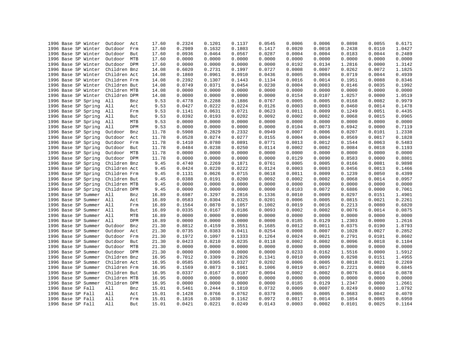| 1996 Base SP Winter     | Outdoor Act    | 17.60 | 0.2324 | 0.1201 | 0.1137 | 0.0545 | 0.0006 | 0.0006 | 0.0898 | 0.0055 | 0.6171 |
|-------------------------|----------------|-------|--------|--------|--------|--------|--------|--------|--------|--------|--------|
| 1996 Base SP Winter     | Outdoor<br>Frm | 17.60 | 0.2989 | 0.1632 | 0.1803 | 0.1417 | 0.0020 | 0.0018 | 0.2438 | 0.0110 | 1.0427 |
| 1996 Base SP Winter     | Outdoor<br>But | 17.60 | 0.0936 | 0.0464 | 0.0567 | 0.0287 | 0.0004 | 0.0004 | 0.0183 | 0.0044 | 0.2489 |
| 1996 Base SP Winter     | Outdoor<br>MTB | 17.60 | 0.0000 | 0.0000 | 0.0000 | 0.0000 | 0.0000 | 0.0000 | 0.0000 | 0.0000 | 0.0000 |
| 1996 Base SP Winter     | Outdoor DPM    | 17.60 | 0.0000 | 0.0000 | 0.0000 | 0.0000 | 0.0192 | 0.0134 | 1.2816 | 0.0000 | 1.3142 |
| 1996 Base SP Winter     | Children Bnz   | 14.08 | 0.6020 | 0.2731 | 0.1997 | 0.0727 | 0.0008 | 0.0007 | 0.0262 | 0.0072 | 1.1825 |
| 1996 Base SP Winter     | Children Act   | 14.08 | 0.1860 | 0.0961 | 0.0910 | 0.0436 | 0.0005 | 0.0004 | 0.0719 | 0.0044 | 0.4939 |
| 1996 Base SP Winter     | Children Frm   | 14.08 | 0.2392 | 0.1307 | 0.1443 | 0.1134 | 0.0016 | 0.0014 | 0.1951 | 0.0088 | 0.8346 |
| 1996 Base SP Winter     | Children But   | 14.08 | 0.0749 | 0.0371 | 0.0454 | 0.0230 | 0.0004 | 0.0003 | 0.0146 | 0.0035 | 0.1992 |
| 1996 Base SP Winter     | Children MTB   | 14.08 | 0.0000 | 0.0000 | 0.0000 | 0.0000 | 0.0000 | 0.0000 | 0.0000 | 0.0000 | 0.0000 |
| 1996 Base SP Winter     | Children DPM   | 14.08 | 0.0000 | 0.0000 | 0.0000 | 0.0000 | 0.0154 | 0.0107 | 1.0257 | 0.0000 | 1.0519 |
| 1996 Base SP Spring     | All<br>Bnz     | 9.53  | 0.4778 | 0.2288 | 0.1886 | 0.0767 | 0.0005 | 0.0005 | 0.0168 | 0.0082 | 0.9979 |
| 1996 Base SP Spring     | All<br>Act     | 9.53  | 0.0427 | 0.0222 | 0.0224 | 0.0126 | 0.0003 | 0.0003 | 0.0460 | 0.0014 | 0.1478 |
| 1996 Base SP Spring     | All<br>Frm     | 9.53  | 0.1141 | 0.0631 | 0.0721 | 0.0623 | 0.0011 | 0.0009 | 0.1249 | 0.0051 | 0.4435 |
| 1996 Base SP Spring     | All<br>But     | 9.53  | 0.0392 | 0.0193 | 0.0202 | 0.0092 | 0.0002 | 0.0002 | 0.0068 | 0.0015 | 0.0965 |
| 1996 Base SP Spring     | All<br>MTB     | 9.53  | 0.0000 | 0.0000 | 0.0000 | 0.0000 | 0.0000 | 0.0000 | 0.0000 | 0.0000 | 0.0000 |
| 1996 Base SP Spring     | All<br>DPM     | 9.53  | 0.0000 | 0.0000 | 0.0000 | 0.0000 | 0.0104 | 0.0073 | 0.6942 | 0.0000 | 0.7119 |
| 1996 Base SP Spring     | Outdoor<br>Bnz | 11.78 | 0.5908 | 0.2829 | 0.2332 | 0.0949 | 0.0007 | 0.0006 | 0.0207 | 0.0101 | 1.2338 |
| 1996 Base SP Spring     | Outdoor<br>Act | 11.78 | 0.0528 | 0.0274 | 0.0277 | 0.0155 | 0.0004 | 0.0004 | 0.0569 | 0.0017 | 0.1828 |
| 1996 Base SP Spring     | Outdoor<br>Frm | 11.78 | 0.1410 | 0.0780 | 0.0891 | 0.0771 | 0.0013 | 0.0012 | 0.1544 | 0.0063 | 0.5483 |
| 1996 Base SP Spring     | Outdoor<br>But | 11.78 | 0.0484 | 0.0238 | 0.0250 | 0.0114 | 0.0002 | 0.0002 | 0.0084 | 0.0018 | 0.1193 |
| 1996 Base SP Spring     | Outdoor MTB    | 11.78 | 0.0000 | 0.0000 | 0.0000 | 0.0000 | 0.0000 | 0.0000 | 0.0000 | 0.0000 | 0.0000 |
| 1996 Base SP Spring     | Outdoor DPM    | 11.78 | 0.0000 | 0.0000 | 0.0000 | 0.0000 | 0.0129 | 0.0090 | 0.8583 | 0.0000 | 0.8801 |
| 1996 Base SP Spring     | Children Bnz   | 9.45  | 0.4740 | 0.2269 | 0.1871 | 0.0761 | 0.0005 | 0.0005 | 0.0166 | 0.0081 | 0.9898 |
| 1996 Base SP Spring     | Children Act   | 9.45  | 0.0424 | 0.0220 | 0.0222 | 0.0124 | 0.0003 | 0.0003 | 0.0456 | 0.0013 | 0.1466 |
| 1996 Base SP Spring     | Children Frm   | 9.45  | 0.1131 | 0.0626 | 0.0715 | 0.0618 | 0.0011 | 0.0009 | 0.1239 | 0.0050 | 0.4399 |
| 1996 Base SP Spring     | Children But   | 9.45  | 0.0388 | 0.0191 | 0.0200 | 0.0092 | 0.0002 | 0.0002 | 0.0068 | 0.0014 | 0.0957 |
| 1996 Base SP Spring     | Children MTB   | 9.45  | 0.0000 | 0.0000 | 0.0000 | 0.0000 | 0.0000 | 0.0000 | 0.0000 | 0.0000 | 0.0000 |
| 1996 Base SP Spring     | Children DPM   | 9.45  | 0.0000 | 0.0000 | 0.0000 | 0.0000 | 0.0103 | 0.0072 | 0.6886 | 0.0000 | 0.7061 |
| 1996 Base SP Summer     | All<br>Bnz     | 16.89 | 0.6987 | 0.3297 | 0.2816 | 0.1336 | 0.0010 | 0.0009 | 0.0297 | 0.0151 | 1.4901 |
| 1996 Base SP Summer     | All<br>Act     | 16.89 | 0.0583 | 0.0304 | 0.0325 | 0.0201 | 0.0006 | 0.0005 | 0.0815 | 0.0021 | 0.2261 |
| 1996 Base SP Summer     | All<br>Frm     | 16.89 | 0.1564 | 0.0870 | 0.1057 | 0.1002 | 0.0019 | 0.0016 | 0.2213 | 0.0080 | 0.6820 |
| 1996 Base SP Summer All | But            | 16.89 | 0.0335 | 0.0167 | 0.0186 | 0.0093 | 0.0002 | 0.0002 | 0.0076 | 0.0014 | 0.0875 |
| 1996 Base SP Summer     | All<br>MTB     | 16.89 | 0.0000 | 0.0000 | 0.0000 | 0.0000 | 0.0000 | 0.0000 | 0.0000 | 0.0000 | 0.0000 |
| 1996 Base SP Summer     | All<br>DPM     | 16.89 | 0.0000 | 0.0000 | 0.0000 | 0.0000 | 0.0185 | 0.0129 | 1.2303 | 0.0000 | 1.2616 |
| 1996 Base SP Summer     | Outdoor<br>Bnz | 21.30 | 0.8812 | 0.4159 | 0.3551 | 0.1685 | 0.0012 | 0.0011 | 0.0375 | 0.0190 | 1.8793 |
| 1996 Base SP Summer     | Outdoor Act    | 21.30 | 0.0735 | 0.0383 | 0.0411 | 0.0254 | 0.0008 | 0.0007 | 0.1028 | 0.0027 | 0.2852 |
| 1996 Base SP Summer     | Outdoor<br>Frm | 21.30 | 0.1972 | 0.1097 | 0.1333 | 0.1264 | 0.0024 | 0.0021 | 0.2791 | 0.0101 | 0.8602 |
| 1996 Base SP Summer     | Outdoor<br>But | 21.30 | 0.0423 | 0.0210 | 0.0235 | 0.0118 | 0.0002 | 0.0002 | 0.0096 | 0.0018 | 0.1104 |
| 1996 Base SP Summer     | Outdoor<br>MTB | 21.30 | 0.0000 | 0.0000 | 0.0000 | 0.0000 | 0.0000 | 0.0000 | 0.0000 | 0.0000 | 0.0000 |
| 1996 Base SP Summer     | Outdoor DPM    | 21.30 | 0.0000 | 0.0000 | 0.0000 | 0.0000 | 0.0233 | 0.0162 | 1.5516 | 0.0000 | 1.5912 |
| 1996 Base SP Summer     | Children Bnz   | 16.95 | 0.7012 | 0.3309 | 0.2826 | 0.1341 | 0.0010 | 0.0009 | 0.0298 | 0.0151 | 1.4955 |
| 1996 Base SP Summer     | Children Act   | 16.95 | 0.0585 | 0.0305 | 0.0327 | 0.0202 | 0.0006 | 0.0005 | 0.0818 | 0.0021 | 0.2269 |
| 1996 Base SP Summer     | Children Frm   | 16.95 | 0.1569 | 0.0873 | 0.1061 | 0.1006 | 0.0019 | 0.0017 | 0.2221 | 0.0080 | 0.6845 |
| 1996 Base SP Summer     | Children But   | 16.95 | 0.0337 | 0.0167 | 0.0187 | 0.0094 | 0.0002 | 0.0002 | 0.0076 | 0.0014 | 0.0878 |
| 1996 Base SP Summer     | Children MTB   | 16.95 | 0.0000 | 0.0000 | 0.0000 | 0.0000 | 0.0000 | 0.0000 | 0.0000 | 0.0000 | 0.0000 |
| 1996 Base SP Summer     | Children DPM   | 16.95 | 0.0000 | 0.0000 | 0.0000 | 0.0000 | 0.0185 | 0.0129 | 1.2347 | 0.0000 | 1.2661 |
| 1996 Base SP Fall       | All<br>Bnz     | 15.01 | 0.5461 | 0.2444 | 0.1810 | 0.0732 | 0.0009 | 0.0007 | 0.0249 | 0.0080 | 1.0792 |
| 1996 Base SP Fall       | All<br>Act     | 15.01 | 0.1428 | 0.0766 | 0.0762 | 0.0379 | 0.0005 | 0.0005 | 0.0683 | 0.0042 | 0.4070 |
| 1996 Base SP Fall       | All<br>Frm     | 15.01 | 0.1816 | 0.1030 | 0.1162 | 0.0972 | 0.0017 | 0.0014 | 0.1854 | 0.0085 | 0.6950 |
| 1996 Base SP Fall       | All<br>But     | 15.01 | 0.0421 | 0.0221 | 0.0249 | 0.0143 | 0.0003 | 0.0002 | 0.0101 | 0.0025 | 0.1164 |
|                         |                |       |        |        |        |        |        |        |        |        |        |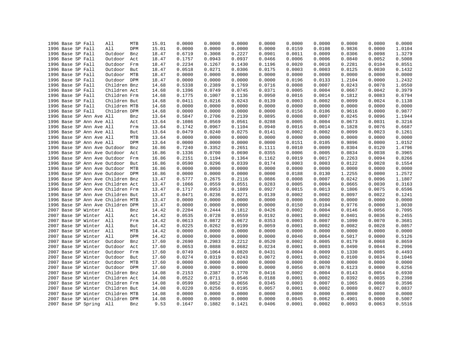|  | 1996 Base SP Fall |                          | All                               | MTB | 15.01 | 0.0000 | 0.0000 | 0.0000 | 0.0000 | 0.0000 | 0.0000 | 0.0000 | 0.0000 | 0.0000 |
|--|-------------------|--------------------------|-----------------------------------|-----|-------|--------|--------|--------|--------|--------|--------|--------|--------|--------|
|  | 1996 Base SP Fall |                          | All                               | DPM | 15.01 | 0.0000 | 0.0000 | 0.0000 | 0.0000 | 0.0159 | 0.0108 | 0.9836 | 0.0000 | 1.0104 |
|  | 1996 Base SP Fall |                          | Outdoor                           | Bnz | 18.47 | 0.6719 | 0.3008 | 0.2227 | 0.0901 | 0.0011 | 0.0009 | 0.0306 | 0.0098 | 1.3279 |
|  | 1996 Base SP Fall |                          | Outdoor                           | Act | 18.47 | 0.1757 | 0.0943 | 0.0937 | 0.0466 | 0.0006 | 0.0006 | 0.0840 | 0.0052 | 0.5008 |
|  | 1996 Base SP Fall |                          | Outdoor                           | Frm | 18.47 | 0.2234 | 0.1267 | 0.1430 | 0.1196 | 0.0020 | 0.0018 | 0.2281 | 0.0104 | 0.8551 |
|  | 1996 Base SP Fall |                          | Outdoor                           | But | 18.47 | 0.0518 | 0.0271 | 0.0306 | 0.0175 | 0.0003 | 0.0003 | 0.0125 | 0.0030 | 0.1432 |
|  | 1996 Base SP Fall |                          | Outdoor MTB                       |     | 18.47 | 0.0000 | 0.0000 | 0.0000 | 0.0000 | 0.0000 | 0.0000 | 0.0000 | 0.0000 | 0.0000 |
|  | 1996 Base SP Fall |                          | Outdoor DPM                       |     | 18.47 | 0.0000 | 0.0000 | 0.0000 | 0.0000 | 0.0196 | 0.0133 | 1.2104 | 0.0000 | 1.2432 |
|  | 1996 Base SP Fall |                          | Children Bnz                      |     | 14.68 | 0.5338 | 0.2389 | 0.1769 | 0.0716 | 0.0008 | 0.0007 | 0.0243 | 0.0078 | 1.0550 |
|  | 1996 Base SP Fall |                          | Children Act                      |     | 14.68 | 0.1396 | 0.0749 | 0.0745 | 0.0371 | 0.0005 | 0.0004 | 0.0667 | 0.0042 | 0.3979 |
|  | 1996 Base SP Fall |                          | Children Frm                      |     | 14.68 | 0.1775 | 0.1007 | 0.1136 | 0.0950 | 0.0016 | 0.0014 | 0.1812 | 0.0083 | 0.6794 |
|  | 1996 Base SP Fall |                          | Children But                      |     | 14.68 | 0.0411 | 0.0216 | 0.0243 | 0.0139 | 0.0003 | 0.0002 | 0.0099 | 0.0024 | 0.1138 |
|  | 1996 Base SP Fall |                          | Children MTB                      |     | 14.68 | 0.0000 | 0.0000 | 0.0000 | 0.0000 | 0.0000 | 0.0000 | 0.0000 | 0.0000 | 0.0000 |
|  | 1996 Base SP Fall |                          | Children DPM                      |     | 14.68 | 0.0000 | 0.0000 | 0.0000 | 0.0000 | 0.0156 | 0.0106 | 0.9616 | 0.0000 | 0.9877 |
|  |                   | 1996 Base SP Ann Ave All |                                   | Bnz | 13.64 | 0.5847 | 0.2706 | 0.2139 | 0.0895 | 0.0008 | 0.0007 | 0.0245 | 0.0096 | 1.1944 |
|  |                   | 1996 Base SP Ann Ave All |                                   | Act | 13.64 | 0.1086 | 0.0569 | 0.0561 | 0.0288 | 0.0005 | 0.0004 | 0.0673 | 0.0031 | 0.3216 |
|  |                   | 1996 Base SP Ann Ave All |                                   | Frm | 13.64 | 0.1742 | 0.0967 | 0.1104 | 0.0940 | 0.0016 | 0.0014 | 0.1828 | 0.0076 | 0.6687 |
|  |                   | 1996 Base SP Ann Ave All |                                   | But | 13.64 | 0.0479 | 0.0240 | 0.0275 | 0.0141 | 0.0002 | 0.0002 | 0.0099 | 0.0023 | 0.1261 |
|  |                   | 1996 Base SP Ann Ave All |                                   | MTB | 13.64 | 0.0000 | 0.0000 | 0.0000 | 0.0000 | 0.0000 | 0.0000 | 0.0000 | 0.0000 | 0.0000 |
|  |                   | 1996 Base SP Ann Ave All |                                   | DPM | 13.64 | 0.0000 | 0.0000 | 0.0000 | 0.0000 | 0.0151 | 0.0105 | 0.9896 | 0.0000 | 1.0152 |
|  |                   |                          | 1996 Base SP Ann Ave Outdoor      | Bnz | 16.86 | 0.7240 | 0.3352 | 0.2651 | 0.1111 | 0.0010 | 0.0009 | 0.0304 | 0.0120 | 1.4796 |
|  |                   |                          |                                   |     |       | 0.1336 | 0.0700 | 0.0690 |        | 0.0006 | 0.0005 | 0.0834 | 0.0038 | 0.3965 |
|  |                   |                          | 1996 Base SP Ann Ave Outdoor      | Act | 16.86 |        |        |        | 0.0355 |        | 0.0017 |        |        |        |
|  |                   |                          | 1996 Base SP Ann Ave Outdoor      | Frm | 16.86 | 0.2151 | 0.1194 | 0.1364 | 0.1162 | 0.0019 |        | 0.2263 | 0.0094 | 0.8266 |
|  |                   |                          | 1996 Base SP Ann Ave Outdoor      | But | 16.86 | 0.0590 | 0.0296 | 0.0339 | 0.0174 | 0.0003 | 0.0003 | 0.0122 | 0.0028 | 0.1554 |
|  |                   |                          | 1996 Base SP Ann Ave Outdoor MTB  |     | 16.86 | 0.0000 | 0.0000 | 0.0000 | 0.0000 | 0.0000 | 0.0000 | 0.0000 | 0.0000 | 0.0000 |
|  |                   |                          | 1996 Base SP Ann Ave Outdoor DPM  |     | 16.86 | 0.0000 | 0.0000 | 0.0000 | 0.0000 | 0.0188 | 0.0130 | 1.2255 | 0.0000 | 1.2572 |
|  |                   |                          | 1996 Base SP Ann Ave Children Bnz |     | 13.47 | 0.5777 | 0.2675 | 0.2116 | 0.0886 | 0.0008 | 0.0007 | 0.0242 | 0.0096 | 1.1807 |
|  |                   |                          | 1996 Base SP Ann Ave Children Act |     | 13.47 | 0.1066 | 0.0559 | 0.0551 | 0.0283 | 0.0005 | 0.0004 | 0.0665 | 0.0030 | 0.3163 |
|  |                   |                          | 1996 Base SP Ann Ave Children Frm |     | 13.47 | 0.1717 | 0.0953 | 0.1089 | 0.0927 | 0.0015 | 0.0013 | 0.1806 | 0.0075 | 0.6596 |
|  |                   |                          | 1996 Base SP Ann Ave Children But |     | 13.47 | 0.0471 | 0.0236 | 0.0271 | 0.0139 | 0.0002 | 0.0002 | 0.0097 | 0.0022 | 0.1241 |
|  |                   |                          | 1996 Base SP Ann Ave Children MTB |     | 13.47 | 0.0000 | 0.0000 | 0.0000 | 0.0000 | 0.0000 | 0.0000 | 0.0000 | 0.0000 | 0.0000 |
|  |                   |                          | 1996 Base SP Ann Ave Children DPM |     | 13.47 | 0.0000 | 0.0000 | 0.0000 | 0.0000 | 0.0150 | 0.0104 | 0.9776 | 0.0000 | 1.0030 |
|  |                   | 2007 Base SP Winter All  |                                   | Bnz | 14.42 | 0.2204 | 0.2444 | 0.1812 | 0.0426 | 0.0002 | 0.0004 | 0.0146 | 0.0056 | 0.7095 |
|  |                   | 2007 Base SP Winter All  |                                   | Act | 14.42 | 0.0535 | 0.0728 | 0.0559 | 0.0192 | 0.0001 | 0.0002 | 0.0401 | 0.0036 | 0.2455 |
|  |                   | 2007 Base SP Winter All  |                                   | Frm | 14.42 | 0.0613 | 0.0872 | 0.0672 | 0.0353 | 0.0003 | 0.0007 | 0.1090 | 0.0070 | 0.3681 |
|  |                   | 2007 Base SP Winter All  |                                   | But | 14.42 | 0.0225 | 0.0262 | 0.0199 | 0.0059 | 0.0001 | 0.0002 | 0.0082 | 0.0028 | 0.0857 |
|  |                   | 2007 Base SP Winter All  |                                   | MTB | 14.42 | 0.0000 | 0.0000 | 0.0000 | 0.0000 | 0.0000 | 0.0000 | 0.0000 | 0.0000 | 0.0000 |
|  |                   | 2007 Base SP Winter      | All                               | DPM | 14.42 | 0.0000 | 0.0000 | 0.0000 | 0.0000 | 0.0046 | 0.0064 | 0.5017 | 0.0000 | 0.5126 |
|  |                   | 2007 Base SP Winter      | Outdoor                           | Bnz | 17.60 | 0.2690 | 0.2983 | 0.2212 | 0.0520 | 0.0002 | 0.0005 | 0.0179 | 0.0068 | 0.8659 |
|  |                   | 2007 Base SP Winter      | Outdoor                           | Act | 17.60 | 0.0653 | 0.0888 | 0.0682 | 0.0234 | 0.0001 | 0.0003 | 0.0490 | 0.0044 | 0.2996 |
|  |                   | 2007 Base SP Winter      | Outdoor                           | Frm | 17.60 | 0.0749 | 0.1064 | 0.0820 | 0.0431 | 0.0004 | 0.0009 | 0.1330 | 0.0085 | 0.4493 |
|  |                   | 2007 Base SP Winter      | Outdoor                           | But | 17.60 | 0.0274 | 0.0319 | 0.0243 | 0.0072 | 0.0001 | 0.0002 | 0.0100 | 0.0034 | 0.1046 |
|  |                   | 2007 Base SP Winter      | Outdoor MTB                       |     | 17.60 | 0.0000 | 0.0000 | 0.0000 | 0.0000 | 0.0000 | 0.0000 | 0.0000 | 0.0000 | 0.0000 |
|  |                   | 2007 Base SP Winter      | Outdoor DPM                       |     | 17.60 | 0.0000 | 0.0000 | 0.0000 | 0.0000 | 0.0056 | 0.0078 | 0.6123 | 0.0000 | 0.6256 |
|  |                   | 2007 Base SP Winter      | Children Bnz                      |     | 14.08 | 0.2153 | 0.2387 | 0.1770 | 0.0416 | 0.0002 | 0.0004 | 0.0143 | 0.0054 | 0.6930 |
|  |                   | 2007 Base SP Winter      | Children Act                      |     | 14.08 | 0.0522 | 0.0711 | 0.0546 | 0.0188 | 0.0001 | 0.0002 | 0.0392 | 0.0035 | 0.2398 |
|  |                   | 2007 Base SP Winter      | Children Frm                      |     | 14.08 | 0.0599 | 0.0852 | 0.0656 | 0.0345 | 0.0003 | 0.0007 | 0.1065 | 0.0068 | 0.3596 |
|  |                   | 2007 Base SP Winter      | Children But                      |     | 14.08 | 0.0220 | 0.0256 | 0.0195 | 0.0057 | 0.0001 | 0.0002 | 0.0080 | 0.0027 | 0.0837 |
|  |                   | 2007 Base SP Winter      | Children MTB                      |     | 14.08 | 0.0000 | 0.0000 | 0.0000 | 0.0000 | 0.0000 | 0.0000 | 0.0000 | 0.0000 | 0.0000 |
|  |                   | 2007 Base SP Winter      | Children DPM                      |     | 14.08 | 0.0000 | 0.0000 | 0.0000 | 0.0000 | 0.0045 | 0.0062 | 0.4901 | 0.0000 | 0.5007 |
|  |                   | 2007 Base SP Spring      | All                               | Bnz | 9.53  | 0.1647 | 0.1882 | 0.1421 | 0.0406 | 0.0001 | 0.0002 | 0.0093 | 0.0063 | 0.5516 |
|  |                   |                          |                                   |     |       |        |        |        |        |        |        |        |        |        |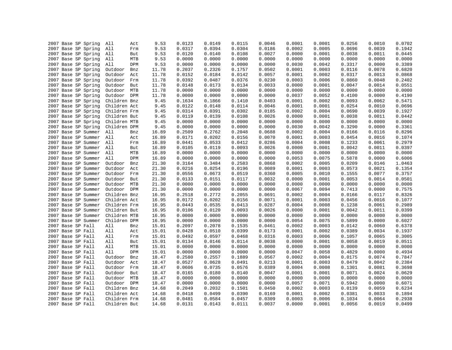|                                            |                   | 9.53  | 0.0123 | 0.0149 | 0.0115 | 0.0046 | 0.0001 | 0.0001 | 0.0256 | 0.0010 | 0.0702 |
|--------------------------------------------|-------------------|-------|--------|--------|--------|--------|--------|--------|--------|--------|--------|
| 2007 Base SP Spring<br>2007 Base SP Spring | All<br>Act<br>All | 9.53  | 0.0317 | 0.0394 | 0.0304 | 0.0186 | 0.0002 | 0.0005 | 0.0696 | 0.0039 | 0.1942 |
|                                            | Frm               |       |        |        |        |        |        |        |        |        |        |
| 2007 Base SP Spring                        | All<br>But        | 9.53  | 0.0120 | 0.0140 | 0.0108 | 0.0027 | 0.0000 | 0.0001 | 0.0038 | 0.0011 | 0.0445 |
| 2007 Base SP Spring                        | All<br>MTB        | 9.53  | 0.0000 | 0.0000 | 0.0000 | 0.0000 | 0.0000 | 0.0000 | 0.0000 | 0.0000 | 0.0000 |
| 2007 Base SP Spring                        | All<br>DPM        | 9.53  | 0.0000 | 0.0000 | 0.0000 | 0.0000 | 0.0030 | 0.0042 | 0.3317 | 0.0000 | 0.3389 |
| 2007 Base SP Spring                        | Outdoor<br>Bnz    | 11.78 | 0.2037 | 0.2326 | 0.1757 | 0.0502 | 0.0001 | 0.0003 | 0.0116 | 0.0078 | 0.6820 |
| 2007 Base SP Spring                        | Outdoor<br>Act    | 11.78 | 0.0152 | 0.0184 | 0.0142 | 0.0057 | 0.0001 | 0.0002 | 0.0317 | 0.0013 | 0.0868 |
| 2007 Base SP Spring                        | Outdoor<br>Frm    | 11.78 | 0.0392 | 0.0487 | 0.0376 | 0.0230 | 0.0003 | 0.0006 | 0.0860 | 0.0048 | 0.2402 |
| 2007 Base SP Spring                        | Outdoor But       | 11.78 | 0.0148 | 0.0173 | 0.0134 | 0.0033 | 0.0000 | 0.0001 | 0.0047 | 0.0014 | 0.0551 |
| 2007 Base SP Spring                        | Outdoor MTB       | 11.78 | 0.0000 | 0.0000 | 0.0000 | 0.0000 | 0.0000 | 0.0000 | 0.0000 | 0.0000 | 0.0000 |
| 2007 Base SP Spring                        | Outdoor DPM       | 11.78 | 0.0000 | 0.0000 | 0.0000 | 0.0000 | 0.0037 | 0.0052 | 0.4100 | 0.0000 | 0.4190 |
| 2007 Base SP Spring                        | Children Bnz      | 9.45  | 0.1634 | 0.1866 | 0.1410 | 0.0403 | 0.0001 | 0.0002 | 0.0093 | 0.0062 | 0.5471 |
| 2007 Base SP Spring                        | Children Act      | 9.45  | 0.0122 | 0.0148 | 0.0114 | 0.0046 | 0.0001 | 0.0001 | 0.0254 | 0.0010 | 0.0696 |
| 2007 Base SP Spring                        | Children Frm      | 9.45  | 0.0314 | 0.0391 | 0.0302 | 0.0185 | 0.0002 | 0.0004 | 0.0690 | 0.0039 | 0.1927 |
| 2007 Base SP Spring                        | Children But      | 9.45  | 0.0119 | 0.0139 | 0.0108 | 0.0026 | 0.0000 | 0.0001 | 0.0038 | 0.0011 | 0.0442 |
| 2007 Base SP Spring                        | Children MTB      | 9.45  | 0.0000 | 0.0000 | 0.0000 | 0.0000 | 0.0000 | 0.0000 | 0.0000 | 0.0000 | 0.0000 |
| 2007 Base SP Spring                        | Children DPM      | 9.45  | 0.0000 | 0.0000 | 0.0000 | 0.0000 | 0.0030 | 0.0042 | 0.3290 | 0.0000 | 0.3361 |
| 2007 Base SP Summer                        | All<br>Bnz        | 16.89 | 0.2509 | 0.2762 | 0.2048 | 0.0688 | 0.0002 | 0.0004 | 0.0166 | 0.0116 | 0.8296 |
| 2007 Base SP Summer                        | All<br>Act        | 16.89 | 0.0171 | 0.0202 | 0.0156 | 0.0070 | 0.0001 | 0.0003 | 0.0454 | 0.0016 | 0.1074 |
| 2007 Base SP Summer All                    | Frm               | 16.89 | 0.0441 | 0.0533 | 0.0412 | 0.0286 | 0.0004 | 0.0008 | 0.1233 | 0.0061 | 0.2979 |
| 2007 Base SP Summer                        | All<br>But        | 16.89 | 0.0105 | 0.0119 | 0.0093 | 0.0026 | 0.0000 | 0.0001 | 0.0042 | 0.0011 | 0.0397 |
| 2007 Base SP Summer                        | All<br>MTB        | 16.89 | 0.0000 | 0.0000 | 0.0000 | 0.0000 | 0.0000 | 0.0000 | 0.0000 | 0.0000 | 0.0000 |
| 2007 Base SP Summer                        | All<br>DPM        | 16.89 | 0.0000 | 0.0000 | 0.0000 | 0.0000 | 0.0053 | 0.0075 | 0.5878 | 0.0000 | 0.6006 |
| 2007 Base SP Summer                        | Outdoor<br>Bnz    | 21.30 | 0.3164 | 0.3484 | 0.2583 | 0.0868 | 0.0002 | 0.0005 | 0.0209 | 0.0146 | 1.0463 |
| 2007 Base SP Summer                        | Outdoor<br>Act    | 21.30 | 0.0216 | 0.0254 | 0.0196 | 0.0089 | 0.0001 | 0.0003 | 0.0573 | 0.0021 | 0.1354 |
| 2007 Base SP Summer                        | Outdoor<br>Frm    | 21.30 | 0.0556 | 0.0673 | 0.0519 | 0.0360 | 0.0005 | 0.0010 | 0.1555 | 0.0077 | 0.3757 |
| 2007 Base SP Summer                        | Outdoor<br>But    | 21.30 | 0.0133 | 0.0151 | 0.0117 | 0.0032 | 0.0000 | 0.0001 | 0.0053 | 0.0014 | 0.0501 |
| 2007 Base SP Summer                        | Outdoor MTB       | 21.30 | 0.0000 | 0.0000 | 0.0000 | 0.0000 | 0.0000 | 0.0000 | 0.0000 | 0.0000 | 0.0000 |
| 2007 Base SP Summer                        | Outdoor DPM       | 21.30 | 0.0000 | 0.0000 | 0.0000 | 0.0000 | 0.0067 | 0.0094 | 0.7413 | 0.0000 | 0.7575 |
| 2007 Base SP Summer                        | Children Bnz      | 16.95 | 0.2518 | 0.2772 | 0.2055 | 0.0691 | 0.0002 | 0.0004 | 0.0166 | 0.0117 | 0.8326 |
| 2007 Base SP Summer                        | Children Act      | 16.95 | 0.0172 | 0.0202 | 0.0156 | 0.0071 | 0.0001 | 0.0003 | 0.0456 | 0.0016 | 0.1077 |
| 2007 Base SP Summer                        | Children Frm      | 16.95 | 0.0443 | 0.0535 | 0.0413 | 0.0287 | 0.0004 | 0.0008 | 0.1238 | 0.0061 | 0.2989 |
| 2007 Base SP Summer                        | Children But      | 16.95 | 0.0106 | 0.0120 | 0.0093 | 0.0026 | 0.0000 | 0.0001 | 0.0042 | 0.0011 | 0.0399 |
| 2007 Base SP Summer                        | Children MTB      | 16.95 | 0.0000 | 0.0000 | 0.0000 | 0.0000 | 0.0000 | 0.0000 | 0.0000 | 0.0000 | 0.0000 |
| 2007 Base SP Summer                        | Children DPM      | 16.95 | 0.0000 | 0.0000 | 0.0000 | 0.0000 | 0.0054 | 0.0075 | 0.5899 | 0.0000 | 0.6027 |
| 2007 Base SP Fall                          | All<br>Bnz        | 15.01 | 0.2097 | 0.2078 | 0.1535 | 0.0461 | 0.0002 | 0.0003 | 0.0142 | 0.0060 | 0.6378 |
| 2007 Base SP Fall                          | All<br>Act        | 15.01 | 0.0428 | 0.0510 | 0.0399 | 0.0173 | 0.0001 | 0.0002 | 0.0389 | 0.0034 | 0.1937 |
| 2007 Base SP Fall                          | All<br>Frm        | 15.01 | 0.0492 | 0.0597 | 0.0468 | 0.0316 | 0.0003 | 0.0006 | 0.1057 | 0.0065 | 0.3005 |
| 2007 Base SP Fall                          | All<br>But        | 15.01 | 0.0134 | 0.0146 | 0.0114 | 0.0038 | 0.0000 | 0.0001 | 0.0058 | 0.0019 | 0.0511 |
| 2007 Base SP Fall                          | All<br>MTB        | 15.01 | 0.0000 | 0.0000 | 0.0000 | 0.0000 | 0.0000 | 0.0000 | 0.0000 | 0.0000 | 0.0000 |
| 2007 Base SP Fall                          | All<br>DPM        | 15.01 | 0.0000 | 0.0000 | 0.0000 | 0.0000 | 0.0047 | 0.0058 | 0.4829 | 0.0000 | 0.4934 |
| 2007 Base SP Fall                          | Outdoor<br>Bnz    | 18.47 | 0.2580 | 0.2557 | 0.1889 | 0.0567 | 0.0002 | 0.0004 | 0.0175 | 0.0074 | 0.7847 |
| 2007 Base SP Fall                          | Outdoor<br>Act    | 18.47 | 0.0527 | 0.0628 | 0.0491 | 0.0213 | 0.0001 | 0.0003 | 0.0479 | 0.0042 | 0.2384 |
| 2007 Base SP Fall                          | Outdoor Frm       | 18.47 | 0.0606 | 0.0735 | 0.0576 | 0.0389 | 0.0004 | 0.0008 | 0.1301 | 0.0081 | 0.3698 |
|                                            | Outdoor But       | 18.47 | 0.0165 | 0.0180 | 0.0140 | 0.0047 | 0.0001 | 0.0001 | 0.0071 | 0.0024 | 0.0629 |
| 2007 Base SP Fall                          |                   |       |        |        |        |        |        |        |        |        |        |
| 2007 Base SP Fall                          | Outdoor MTB       | 18.47 | 0.0000 | 0.0000 | 0.0000 | 0.0000 | 0.0000 | 0.0000 | 0.0000 | 0.0000 | 0.0000 |
| 2007 Base SP Fall                          | Outdoor DPM       | 18.47 | 0.0000 | 0.0000 | 0.0000 | 0.0000 | 0.0057 | 0.0071 | 0.5942 | 0.0000 | 0.6071 |
| 2007 Base SP Fall                          | Children Bnz      | 14.68 | 0.2049 | 0.2032 | 0.1501 | 0.0450 | 0.0002 | 0.0003 | 0.0139 | 0.0059 | 0.6234 |
| 2007 Base SP Fall                          | Children Act      | 14.68 | 0.0418 | 0.0499 | 0.0390 | 0.0169 | 0.0001 | 0.0002 | 0.0381 | 0.0033 | 0.1894 |
| 2007 Base SP Fall                          | Children Frm      | 14.68 | 0.0481 | 0.0584 | 0.0457 | 0.0309 | 0.0003 | 0.0006 | 0.1034 | 0.0064 | 0.2938 |
| 2007 Base SP Fall                          | Children But      | 14.68 | 0.0131 | 0.0143 | 0.0111 | 0.0037 | 0.0000 | 0.0001 | 0.0056 | 0.0019 | 0.0499 |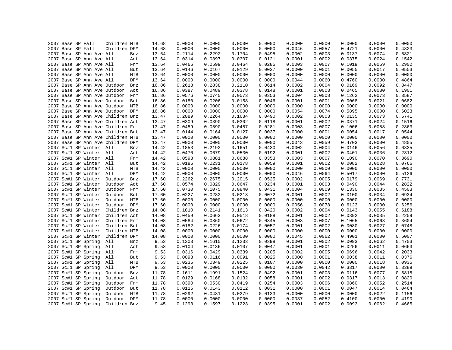|  | 2007 Base SP Fall |                          | Children MTB                      |             | 14.68 | 0.0000 | 0.0000 | 0.0000 | 0.0000 | 0.0000 | 0.0000 | 0.0000 | 0.0000 | 0.0000 |
|--|-------------------|--------------------------|-----------------------------------|-------------|-------|--------|--------|--------|--------|--------|--------|--------|--------|--------|
|  | 2007 Base SP Fall |                          | Children DPM                      |             | 14.68 | 0.0000 | 0.0000 | 0.0000 | 0.0000 | 0.0046 | 0.0057 | 0.4721 | 0.0000 | 0.4823 |
|  |                   | 2007 Base SP Ann Ave All |                                   | Bnz         | 13.64 | 0.2114 | 0.2292 | 0.1704 | 0.0495 | 0.0002 | 0.0003 | 0.0137 | 0.0074 | 0.6821 |
|  |                   | 2007 Base SP Ann Ave All |                                   | Act         | 13.64 | 0.0314 | 0.0397 | 0.0307 | 0.0121 | 0.0001 | 0.0002 | 0.0375 | 0.0024 | 0.1542 |
|  |                   | 2007 Base SP Ann Ave All |                                   | Frm         | 13.64 | 0.0466 | 0.0599 | 0.0464 | 0.0285 | 0.0003 | 0.0007 | 0.1019 | 0.0059 | 0.2902 |
|  |                   | 2007 Base SP Ann Ave All |                                   | But         | 13.64 | 0.0146 | 0.0167 | 0.0129 | 0.0037 | 0.0000 | 0.0001 | 0.0055 | 0.0017 | 0.0553 |
|  |                   | 2007 Base SP Ann Ave All |                                   | MTB         | 13.64 | 0.0000 | 0.0000 | 0.0000 | 0.0000 | 0.0000 | 0.0000 | 0.0000 | 0.0000 | 0.0000 |
|  |                   | 2007 Base SP Ann Ave All |                                   | DPM         | 13.64 | 0.0000 | 0.0000 | 0.0000 | 0.0000 | 0.0044 | 0.0060 | 0.4760 | 0.0000 | 0.4864 |
|  |                   |                          | 2007 Base SP Ann Ave Outdoor      | Bnz         | 16.86 | 0.2618 | 0.2838 | 0.2110 | 0.0614 | 0.0002 | 0.0004 | 0.0169 | 0.0092 | 0.8447 |
|  |                   |                          | 2007 Base SP Ann Ave Outdoor Act  |             | 16.86 | 0.0387 | 0.0489 | 0.0378 | 0.0148 | 0.0001 | 0.0003 | 0.0465 | 0.0030 | 0.1901 |
|  |                   |                          | 2007 Base SP Ann Ave Outdoor      | Frm         | 16.86 | 0.0576 | 0.0740 | 0.0573 | 0.0353 | 0.0004 | 0.0008 | 0.1262 | 0.0073 | 0.3587 |
|  |                   |                          | 2007 Base SP Ann Ave Outdoor      | But         | 16.86 | 0.0180 | 0.0206 | 0.0158 | 0.0046 | 0.0001 | 0.0001 | 0.0068 | 0.0021 | 0.0682 |
|  |                   |                          | 2007 Base SP Ann Ave Outdoor      | MTB         | 16.86 | 0.0000 | 0.0000 | 0.0000 | 0.0000 | 0.0000 | 0.0000 | 0.0000 | 0.0000 | 0.0000 |
|  |                   |                          | 2007 Base SP Ann Ave Outdoor DPM  |             | 16.86 | 0.0000 | 0.0000 | 0.0000 | 0.0000 | 0.0054 | 0.0074 | 0.5895 | 0.0000 | 0.6023 |
|  |                   |                          | 2007 Base SP Ann Ave Children Bnz |             | 13.47 | 0.2089 | 0.2264 | 0.1684 | 0.0490 | 0.0002 | 0.0003 | 0.0135 | 0.0073 | 0.6741 |
|  |                   |                          | 2007 Base SP Ann Ave Children Act |             | 13.47 | 0.0309 | 0.0390 | 0.0302 | 0.0118 | 0.0001 | 0.0002 | 0.0371 | 0.0024 | 0.1516 |
|  |                   |                          | 2007 Base SP Ann Ave Children Frm |             | 13.47 | 0.0459 | 0.0590 | 0.0457 | 0.0281 | 0.0003 | 0.0007 | 0.1006 | 0.0058 | 0.2863 |
|  |                   |                          | 2007 Base SP Ann Ave Children But |             | 13.47 | 0.0144 | 0.0164 | 0.0127 | 0.0037 | 0.0000 | 0.0001 | 0.0054 | 0.0017 | 0.0544 |
|  |                   |                          | 2007 Base SP Ann Ave Children MTB |             | 13.47 | 0.0000 | 0.0000 | 0.0000 | 0.0000 | 0.0000 | 0.0000 | 0.0000 | 0.0000 | 0.0000 |
|  |                   |                          | 2007 Base SP Ann Ave Children DPM |             | 13.47 | 0.0000 | 0.0000 | 0.0000 | 0.0000 | 0.0043 | 0.0059 | 0.4703 | 0.0000 | 0.4805 |
|  |                   | 2007 Sc#1 SP Winter All  |                                   | Bnz         | 14.42 | 0.1853 | 0.2192 | 0.1651 | 0.0430 | 0.0002 | 0.0004 | 0.0146 | 0.0056 | 0.6335 |
|  |                   | 2007 Sc#1 SP Winter All  |                                   | Act         | 14.42 | 0.0470 | 0.0679 | 0.0530 | 0.0192 | 0.0001 | 0.0002 | 0.0401 | 0.0036 | 0.2312 |
|  |                   | 2007 Sc#1 SP Winter All  |                                   | Frm         | 14.42 | 0.0598 | 0.0881 | 0.0688 | 0.0353 | 0.0003 | 0.0007 | 0.1090 | 0.0070 | 0.3690 |
|  |                   | 2007 Sc#1 SP Winter All  |                                   | But         | 14.42 | 0.0186 | 0.0231 | 0.0178 | 0.0059 | 0.0001 | 0.0002 | 0.0082 | 0.0028 | 0.0766 |
|  |                   | 2007 Sc#1 SP Winter All  |                                   | ${\tt MTB}$ | 14.42 | 0.0000 | 0.0000 | 0.0000 | 0.0000 | 0.0000 | 0.0000 | 0.0000 | 0.0000 | 0.0000 |
|  |                   | 2007 Sc#1 SP Winter All  |                                   | DPM         | 14.42 | 0.0000 | 0.0000 | 0.0000 | 0.0000 | 0.0046 | 0.0064 | 0.5017 | 0.0000 | 0.5126 |
|  |                   | 2007 Sc#1 SP Winter      | Outdoor                           | Bnz         | 17.60 | 0.2262 | 0.2675 | 0.2015 | 0.0525 | 0.0002 | 0.0005 | 0.0179 | 0.0069 | 0.7731 |
|  |                   | 2007 Sc#1 SP Winter      | Outdoor                           | Act         | 17.60 | 0.0574 | 0.0829 | 0.0647 | 0.0234 | 0.0001 | 0.0003 | 0.0490 | 0.0044 | 0.2822 |
|  |                   | 2007 Sc#1 SP Winter      | Outdoor                           | Frm         | 17.60 | 0.0730 | 0.1075 | 0.0840 | 0.0431 | 0.0004 | 0.0009 | 0.1330 | 0.0085 | 0.4503 |
|  |                   | 2007 Sc#1 SP Winter      | Outdoor                           | But         | 17.60 | 0.0227 | 0.0282 | 0.0218 | 0.0072 | 0.0001 | 0.0002 | 0.0100 | 0.0034 | 0.0934 |
|  |                   | 2007 Sc#1 SP Winter      | Outdoor                           | MTB         | 17.60 | 0.0000 | 0.0000 | 0.0000 | 0.0000 | 0.0000 | 0.0000 | 0.0000 | 0.0000 | 0.0000 |
|  |                   | 2007 Sc#1 SP Winter      | Outdoor DPM                       |             | 17.60 | 0.0000 | 0.0000 | 0.0000 | 0.0000 | 0.0056 | 0.0078 | 0.6123 | 0.0000 | 0.6256 |
|  |                   | 2007 Sc#1 SP Winter      | Children Bnz                      |             | 14.08 | 0.1810 | 0.2141 | 0.1613 | 0.0420 | 0.0002 | 0.0004 | 0.0143 | 0.0055 | 0.6188 |
|  |                   | 2007 Sc#1 SP Winter      | Children Act                      |             | 14.08 | 0.0459 | 0.0663 | 0.0518 | 0.0188 | 0.0001 | 0.0002 | 0.0392 | 0.0035 | 0.2259 |
|  |                   | 2007 Sc#1 SP Winter      | Children Frm                      |             | 14.08 | 0.0584 | 0.0860 | 0.0672 | 0.0345 | 0.0003 | 0.0007 | 0.1065 | 0.0068 | 0.3604 |
|  |                   | 2007 Sc#1 SP Winter      | Children But                      |             | 14.08 | 0.0182 | 0.0226 | 0.0174 | 0.0057 | 0.0001 | 0.0002 | 0.0080 | 0.0027 | 0.0748 |
|  |                   | 2007 Sc#1 SP Winter      | Children MTB                      |             | 14.08 | 0.0000 | 0.0000 | 0.0000 | 0.0000 | 0.0000 | 0.0000 | 0.0000 | 0.0000 | 0.0000 |
|  |                   | 2007 Sc#1 SP Winter      | Children DPM                      |             | 14.08 | 0.0000 | 0.0000 | 0.0000 | 0.0000 | 0.0045 | 0.0062 | 0.4901 | 0.0000 | 0.5007 |
|  |                   | 2007 Sc#1 SP Spring      | All                               | Bnz         | 9.53  | 0.1303 | 0.1610 | 0.1233 | 0.0398 | 0.0001 | 0.0002 | 0.0093 | 0.0062 | 0.4703 |
|  |                   | 2007 Sc#1 SP Spring      | All                               | Act         | 9.53  | 0.0104 | 0.0136 | 0.0107 | 0.0047 | 0.0001 | 0.0001 | 0.0256 | 0.0011 | 0.0663 |
|  |                   | 2007 Sc#1 SP Spring      | All                               | Frm         | 9.53  | 0.0316 | 0.0429 | 0.0339 | 0.0205 | 0.0002 | 0.0005 | 0.0696 | 0.0042 | 0.2033 |
|  |                   | 2007 Sc#1 SP Spring      | All                               | But         | 9.53  | 0.0093 | 0.0116 | 0.0091 | 0.0025 | 0.0000 | 0.0001 | 0.0038 | 0.0011 | 0.0376 |
|  |                   | 2007 Sc#1 SP Spring      | All                               | MTB         | 9.53  | 0.0236 | 0.0349 | 0.0225 | 0.0107 | 0.0000 | 0.0000 | 0.0000 | 0.0018 | 0.0935 |
|  |                   | 2007 Sc#1 SP Spring      | All                               | DPM         | 9.53  | 0.0000 | 0.0000 | 0.0000 | 0.0000 | 0.0030 | 0.0042 | 0.3317 | 0.0000 | 0.3389 |
|  |                   | 2007 Sc#1 SP Spring      | Outdoor                           | Bnz         | 11.78 | 0.1611 | 0.1991 | 0.1524 | 0.0492 | 0.0001 | 0.0003 | 0.0116 | 0.0077 | 0.5815 |
|  |                   | 2007 Sc#1 SP Spring      | Outdoor                           | Act         | 11.78 | 0.0129 | 0.0168 | 0.0132 | 0.0058 | 0.0001 | 0.0002 | 0.0317 | 0.0013 | 0.0820 |
|  |                   | 2007 Sc#1 SP Spring      | Outdoor                           | Frm         | 11.78 | 0.0390 | 0.0530 | 0.0419 | 0.0254 | 0.0003 | 0.0006 | 0.0860 | 0.0052 | 0.2514 |
|  |                   | 2007 Sc#1 SP Spring      | Outdoor                           | But         | 11.78 | 0.0115 | 0.0143 | 0.0112 | 0.0031 | 0.0000 | 0.0001 | 0.0047 | 0.0014 | 0.0464 |
|  |                   | 2007 Sc#1 SP Spring      | Outdoor                           | MTB         | 11.78 | 0.0292 | 0.0431 | 0.0279 | 0.0133 | 0.0000 | 0.0000 | 0.0000 | 0.0022 | 0.1156 |
|  |                   | 2007 Sc#1 SP Spring      | Outdoor                           | <b>DPM</b>  | 11.78 | 0.0000 | 0.0000 | 0.0000 | 0.0000 | 0.0037 | 0.0052 | 0.4100 | 0.0000 | 0.4190 |
|  |                   | 2007 Sc#1 SP Spring      | Children Bnz                      |             | 9.45  | 0.1293 | 0.1597 | 0.1223 | 0.0395 | 0.0001 | 0.0002 | 0.0093 | 0.0062 | 0.4665 |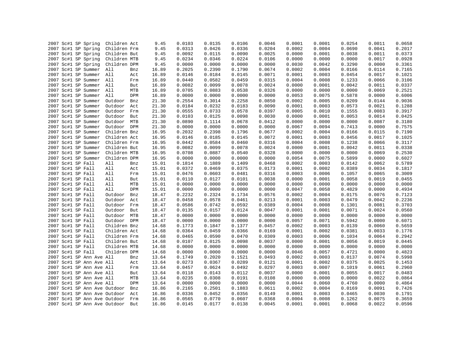|                                            |                              |              |                  |                  |                  |                  |                  |                  |                  |                  | 0.0658           |
|--------------------------------------------|------------------------------|--------------|------------------|------------------|------------------|------------------|------------------|------------------|------------------|------------------|------------------|
| 2007 Sc#1 SP Spring<br>2007 Sc#1 SP Spring | Children Act<br>Children Frm | 9.45<br>9.45 | 0.0103<br>0.0313 | 0.0135<br>0.0426 | 0.0106<br>0.0336 | 0.0046<br>0.0204 | 0.0001<br>0.0002 | 0.0001<br>0.0004 | 0.0254<br>0.0690 | 0.0011<br>0.0041 | 0.2017           |
|                                            |                              |              |                  |                  |                  |                  |                  |                  |                  |                  |                  |
| 2007 Sc#1 SP Spring                        | Children But                 | 9.45         | 0.0092           | 0.0115           | 0.0090           | 0.0025           | 0.0000           | 0.0001           | 0.0038           | 0.0011           | 0.0373<br>0.0928 |
| 2007 Sc#1 SP Spring                        | Children MTB                 | 9.45         | 0.0234           | 0.0346           | 0.0224           | 0.0106           | 0.0000           | 0.0000           | 0.0000           | 0.0017           |                  |
| 2007 Sc#1 SP Spring                        | Children DPM                 | 9.45         | 0.0000           | 0.0000           | 0.0000           | 0.0000           | 0.0030           | 0.0042           | 0.3290           | 0.0000           | 0.3361           |
| 2007 Sc#1 SP Summer                        | All                          | 16.89<br>Bnz | 0.2025           | 0.2390           | 0.1790           | 0.0674           | 0.0002           | 0.0004           | 0.0166           | 0.0114           | 0.7165           |
| 2007 Sc#1 SP Summer All                    |                              | 16.89<br>Act | 0.0146           | 0.0184           | 0.0145           | 0.0071           | 0.0001           | 0.0003           | 0.0454           | 0.0017           | 0.1021           |
| 2007 Sc#1 SP Summer All                    |                              | 16.89<br>Frm | 0.0440           | 0.0582           | 0.0459           | 0.0315           | 0.0004           | 0.0008           | 0.1233           | 0.0066           | 0.3106           |
| 2007 Sc#1 SP Summer All                    |                              | 16.89<br>But | 0.0082           | 0.0099           | 0.0078           | 0.0024           | 0.0000           | 0.0001           | 0.0042           | 0.0011           | 0.0337           |
| 2007 Sc#1 SP Summer All                    |                              | MTB<br>16.89 | 0.0705           | 0.0883           | 0.0538           | 0.0326           | 0.0000           | 0.0000           | 0.0000           | 0.0069           | 0.2521           |
| 2007 Sc#1 SP Summer                        | All                          | DPM<br>16.89 | 0.0000           | 0.0000           | 0.0000           | 0.0000           | 0.0053           | 0.0075           | 0.5878           | 0.0000           | 0.6006           |
| 2007 Sc#1 SP Summer                        | Outdoor                      | 21.30<br>Bnz | 0.2554           | 0.3014           | 0.2258           | 0.0850           | 0.0002           | 0.0005           | 0.0209           | 0.0144           | 0.9036           |
| 2007 Sc#1 SP Summer                        | Outdoor                      | Act<br>21.30 | 0.0184           | 0.0232           | 0.0183           | 0.0090           | 0.0001           | 0.0003           | 0.0573           | 0.0021           | 0.1288           |
| 2007 Sc#1 SP Summer                        | Outdoor                      | Frm<br>21.30 | 0.0555           | 0.0733           | 0.0578           | 0.0397           | 0.0005           | 0.0010           | 0.1555           | 0.0083           | 0.3917           |
| 2007 Sc#1 SP Summer                        | Outdoor                      | 21.30<br>But | 0.0103           | 0.0125           | 0.0098           | 0.0030           | 0.0000           | 0.0001           | 0.0053           | 0.0014           | 0.0425           |
| 2007 Sc#1 SP Summer                        | Outdoor MTB                  | 21.30        | 0.0890           | 0.1114           | 0.0678           | 0.0412           | 0.0000           | 0.0000           | 0.0000           | 0.0087           | 0.3180           |
| 2007 Sc#1 SP Summer                        | Outdoor DPM                  | 21.30        | 0.0000           | 0.0000           | 0.0000           | 0.0000           | 0.0067           | 0.0094           | 0.7413           | 0.0000           | 0.7575           |
| 2007 Sc#1 SP Summer                        | Children Bnz                 | 16.95        | 0.2032           | 0.2398           | 0.1796           | 0.0677           | 0.0002           | 0.0004           | 0.0166           | 0.0115           | 0.7190           |
| 2007 Sc#1 SP Summer                        | Children Act                 | 16.95        | 0.0146           | 0.0185           | 0.0145           | 0.0072           | 0.0001           | 0.0003           | 0.0456           | 0.0017           | 0.1025           |
| 2007 Sc#1 SP Summer                        | Children Frm                 | 16.95        | 0.0442           | 0.0584           | 0.0460           | 0.0316           | 0.0004           | 0.0008           | 0.1238           | 0.0066           | 0.3117           |
| 2007 Sc#1 SP Summer                        | Children But                 | 16.95        | 0.0082           | 0.0099           | 0.0078           | 0.0024           | 0.0000           | 0.0001           | 0.0042           | 0.0011           | 0.0338           |
| 2007 Sc#1 SP Summer                        | Children MTB                 | 16.95        | 0.0708           | 0.0887           | 0.0540           | 0.0328           | 0.0000           | 0.0000           | 0.0000           | 0.0069           | 0.2530           |
| 2007 Sc#1 SP Summer                        | Children DPM                 | 16.95        | 0.0000           | 0.0000           | 0.0000           | 0.0000           | 0.0054           | 0.0075           | 0.5899           | 0.0000           | 0.6027           |
| 2007 Sc#1 SP Fall                          | All                          | 15.01<br>Bnz | 0.1814           | 0.1889           | 0.1409           | 0.0468           | 0.0002           | 0.0003           | 0.0142           | 0.0062           | 0.5789           |
| 2007 Sc#1 SP Fall                          | All                          | 15.01<br>Act | 0.0372           | 0.0469           | 0.0375           | 0.0173           | 0.0001           | 0.0002           | 0.0389           | 0.0034           | 0.1817           |
| 2007 Sc#1 SP Fall                          | All                          | 15.01<br>Frm | 0.0476           | 0.0603           | 0.0481           | 0.0316           | 0.0003           | 0.0006           | 0.1057           | 0.0065           | 0.3009           |
| 2007 Sc#1 SP Fall                          | All                          | 15.01<br>But | 0.0110           | 0.0127           | 0.0101           | 0.0038           | 0.0000           | 0.0001           | 0.0058           | 0.0019           | 0.0455           |
| 2007 Sc#1 SP Fall                          | All                          | MTB<br>15.01 | 0.0000           | 0.0000           | 0.0000           | 0.0000           | 0.0000           | 0.0000           | 0.0000           | 0.0000           | 0.0000           |
| 2007 Sc#1 SP Fall                          | All                          | 15.01<br>DPM | 0.0000           | 0.0000           | 0.0000           | 0.0000           | 0.0047           | 0.0058           | 0.4829           | 0.0000           | 0.4934           |
| 2007 Sc#1 SP Fall                          | Outdoor                      | Bnz<br>18.47 | 0.2232           | 0.2324           | 0.1734           | 0.0576           | 0.0002           | 0.0004           | 0.0175           | 0.0076           | 0.7123           |
| 2007 Sc#1 SP Fall                          | Outdoor                      | Act<br>18.47 | 0.0458           | 0.0578           | 0.0461           | 0.0213           | 0.0001           | 0.0003           | 0.0479           | 0.0042           | 0.2236           |
| 2007 Sc#1 SP Fall                          | Outdoor                      | 18.47<br>Frm | 0.0586           | 0.0742           | 0.0592           | 0.0389           | 0.0004           | 0.0008           | 0.1301           | 0.0081           | 0.3703           |
| 2007 Sc#1 SP Fall                          | Outdoor                      | But<br>18.47 | 0.0135           | 0.0157           | 0.0124           | 0.0047           | 0.0001           | 0.0001           | 0.0071           | 0.0024           | 0.0560           |
| 2007 Sc#1 SP Fall                          | Outdoor                      | MTB<br>18.47 | 0.0000           | 0.0000           | 0.0000           | 0.0000           | 0.0000           | 0.0000           | 0.0000           | 0.0000           | 0.0000           |
| 2007 Sc#1 SP Fall                          | Outdoor DPM                  | 18.47        | 0.0000           | 0.0000           | 0.0000           | 0.0000           | 0.0057           | 0.0071           | 0.5942           | 0.0000           | 0.6071           |
| 2007 Sc#1 SP Fall                          | Children Bnz                 | 14.68        | 0.1773           | 0.1847           | 0.1377           | 0.0457           | 0.0002           | 0.0003           | 0.0139           | 0.0060           | 0.5659           |
| 2007 Sc#1 SP Fall                          | Children Act                 | 14.68        | 0.0364           | 0.0459           | 0.0366           | 0.0169           | 0.0001           | 0.0002           | 0.0381           | 0.0033           | 0.1776           |
| 2007 Sc#1 SP Fall                          | Children Frm                 | 14.68        | 0.0465           | 0.0590           | 0.0470           | 0.0309           | 0.0003           | 0.0006           | 0.1034           | 0.0064           | 0.2942           |
| 2007 Sc#1 SP Fall                          | Children But                 | 14.68        | 0.0107           | 0.0125           | 0.0098           | 0.0037           | 0.0000           | 0.0001           | 0.0056           | 0.0019           | 0.0445           |
| 2007 Sc#1 SP Fall                          | Children MTB                 | 14.68        | 0.0000           | 0.0000           | 0.0000           | 0.0000           | 0.0000           | 0.0000           | 0.0000           | 0.0000           | 0.0000           |
| 2007 Sc#1 SP Fall                          | Children DPM                 | 14.68        | 0.0000           | 0.0000           | 0.0000           | 0.0000           | 0.0046           | 0.0057           | 0.4721           | 0.0000           | 0.4823           |
| 2007 Sc#1 SP Ann Ave All                   |                              | 13.64<br>Bnz | 0.1749           | 0.2020           | 0.1521           | 0.0493           | 0.0002           | 0.0003           | 0.0137           | 0.0074           | 0.5998           |
| 2007 Sc#1 SP Ann Ave All                   |                              | 13.64<br>Act | 0.0273           | 0.0367           | 0.0289           | 0.0121           | 0.0001           | 0.0002           | 0.0375           | 0.0025           | 0.1453           |
| 2007 Sc#1 SP Ann Ave All                   |                              | 13.64<br>Frm | 0.0457           | 0.0624           | 0.0492           | 0.0297           | 0.0003           | 0.0007           | 0.1019           | 0.0061           | 0.2960           |
| 2007 Sc#1 SP Ann Ave All                   |                              | 13.64<br>But | 0.0118           | 0.0143           | 0.0112           | 0.0037           | 0.0000           | 0.0001           | 0.0055           | 0.0017           | 0.0483           |
| 2007 Sc#1 SP Ann Ave All                   |                              | MTB<br>13.64 | 0.0235           | 0.0308           | 0.0191           | 0.0108           | 0.0000           | 0.0000           | 0.0000           | 0.0022           | 0.0864           |
| 2007 Sc#1 SP Ann Ave All                   |                              | DPM<br>13.64 | 0.0000           | 0.0000           | 0.0000           | 0.0000           | 0.0044           | 0.0060           | 0.4760           | 0.0000           | 0.4864           |
| 2007 Sc#1 SP Ann Ave Outdoor               |                              | 16.86<br>Bnz | 0.2165           | 0.2501           | 0.1883           | 0.0611           | 0.0002           | 0.0004           | 0.0169           | 0.0091           | 0.7426           |
| 2007 Sc#1 SP Ann Ave Outdoor               |                              | 16.86<br>Act | 0.0336           | 0.0452           | 0.0356           | 0.0149           | 0.0001           | 0.0003           | 0.0465           | 0.0030           | 0.1791           |
| 2007 Sc#1 SP Ann Ave Outdoor               |                              | 16.86<br>Frm | 0.0565           | 0.0770           | 0.0607           | 0.0368           | 0.0004           | 0.0008           | 0.1262           | 0.0075           | 0.3659           |
| 2007 Sc#1 SP Ann Ave Outdoor               |                              | But<br>16.86 | 0.0145           | 0.0177           | 0.0138           | 0.0045           | 0.0001           | 0.0001           | 0.0068           | 0.0022           | 0.0596           |
|                                            |                              |              |                  |                  |                  |                  |                  |                  |                  |                  |                  |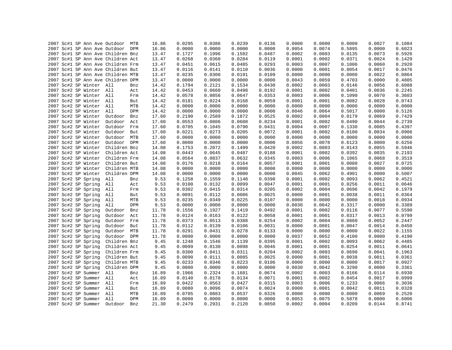|  |  |                         | 2007 Sc#1 SP Ann Ave Outdoor MTB  |     | 16.86 | 0.0295 | 0.0386 | 0.0239 | 0.0136 | 0.0000 | 0.0000 | 0.0000 | 0.0027 | 0.1084 |
|--|--|-------------------------|-----------------------------------|-----|-------|--------|--------|--------|--------|--------|--------|--------|--------|--------|
|  |  |                         | 2007 Sc#1 SP Ann Ave Outdoor DPM  |     | 16.86 | 0.0000 | 0.0000 | 0.0000 | 0.0000 | 0.0054 | 0.0074 | 0.5895 | 0.0000 | 0.6023 |
|  |  |                         | 2007 Sc#1 SP Ann Ave Children Bnz |     | 13.47 | 0.1727 | 0.1996 | 0.1502 | 0.0487 | 0.0002 | 0.0003 | 0.0135 | 0.0073 | 0.5926 |
|  |  |                         | 2007 Sc#1 SP Ann Ave Children Act |     | 13.47 | 0.0268 | 0.0360 | 0.0284 | 0.0119 | 0.0001 | 0.0002 | 0.0371 | 0.0024 | 0.1429 |
|  |  |                         | 2007 Sc#1 SP Ann Ave Children Frm |     | 13.47 | 0.0451 | 0.0615 | 0.0485 | 0.0293 | 0.0003 | 0.0007 | 0.1006 | 0.0060 | 0.2920 |
|  |  |                         | 2007 Sc#1 SP Ann Ave Children But |     | 13.47 | 0.0116 | 0.0141 | 0.0110 | 0.0036 | 0.0000 | 0.0001 | 0.0054 | 0.0017 | 0.0476 |
|  |  |                         | 2007 Sc#1 SP Ann Ave Children MTB |     | 13.47 | 0.0235 | 0.0308 | 0.0191 | 0.0109 | 0.0000 | 0.0000 | 0.0000 | 0.0022 | 0.0864 |
|  |  |                         | 2007 Sc#1 SP Ann Ave Children DPM |     | 13.47 | 0.0000 | 0.0000 | 0.0000 | 0.0000 | 0.0043 | 0.0059 | 0.4703 | 0.0000 | 0.4805 |
|  |  | 2007 Sc#2 SP Winter All |                                   | Bnz | 14.42 | 0.1794 | 0.2121 | 0.1534 | 0.0430 | 0.0002 | 0.0003 | 0.0146 | 0.0056 | 0.6088 |
|  |  | 2007 Sc#2 SP Winter All |                                   | Act | 14.42 | 0.0453 | 0.0660 | 0.0498 | 0.0192 | 0.0001 | 0.0002 | 0.0401 | 0.0036 | 0.2245 |
|  |  | 2007 Sc#2 SP Winter All |                                   | Frm | 14.42 | 0.0578 | 0.0856 | 0.0647 | 0.0353 | 0.0003 | 0.0006 | 0.1090 | 0.0070 | 0.3603 |
|  |  | 2007 Sc#2 SP Winter All |                                   | But | 14.42 | 0.0181 | 0.0224 | 0.0168 | 0.0059 | 0.0001 | 0.0001 | 0.0082 | 0.0028 | 0.0743 |
|  |  | 2007 Sc#2 SP Winter All |                                   | MTB | 14.42 | 0.0000 | 0.0000 | 0.0000 | 0.0000 | 0.0000 | 0.0000 | 0.0000 | 0.0000 | 0.0000 |
|  |  | 2007 Sc#2 SP Winter All |                                   | DPM | 14.42 | 0.0000 | 0.0000 | 0.0000 | 0.0000 | 0.0046 | 0.0064 | 0.5017 | 0.0000 | 0.5126 |
|  |  | 2007 Sc#2 SP Winter     | Outdoor                           | Bnz | 17.60 | 0.2190 | 0.2589 | 0.1872 | 0.0525 | 0.0002 | 0.0004 | 0.0179 | 0.0069 | 0.7429 |
|  |  | 2007 Sc#2 SP Winter     | Outdoor Act                       |     | 17.60 | 0.0553 | 0.0806 | 0.0608 | 0.0234 | 0.0001 | 0.0002 | 0.0490 | 0.0044 | 0.2739 |
|  |  | 2007 Sc#2 SP Winter     | Outdoor Frm                       |     | 17.60 | 0.0705 | 0.1045 | 0.0790 | 0.0431 | 0.0004 | 0.0007 | 0.1330 | 0.0085 | 0.4397 |
|  |  | 2007 Sc#2 SP Winter     | Outdoor But                       |     | 17.60 | 0.0221 | 0.0273 | 0.0205 | 0.0072 | 0.0001 | 0.0002 | 0.0100 | 0.0034 | 0.0906 |
|  |  | 2007 Sc#2 SP Winter     | Outdoor MTB                       |     | 17.60 | 0.0000 | 0.0000 | 0.0000 | 0.0000 | 0.0000 | 0.0000 | 0.0000 | 0.0000 | 0.0000 |
|  |  | 2007 Sc#2 SP Winter     | Outdoor DPM                       |     | 17.60 | 0.0000 | 0.0000 | 0.0000 | 0.0000 | 0.0056 | 0.0078 | 0.6123 | 0.0000 | 0.6256 |
|  |  | 2007 Sc#2 SP Winter     | Children Bnz                      |     | 14.08 | 0.1753 | 0.2072 | 0.1499 | 0.0420 | 0.0002 | 0.0003 | 0.0143 | 0.0055 | 0.5946 |
|  |  |                         | 2007 Sc#2 SP Winter Children Act  |     | 14.08 | 0.0443 | 0.0645 | 0.0487 | 0.0188 | 0.0001 | 0.0002 | 0.0392 | 0.0035 | 0.2193 |
|  |  | 2007 Sc#2 SP Winter     | Children Frm                      |     | 14.08 | 0.0564 | 0.0837 | 0.0632 | 0.0345 | 0.0003 | 0.0006 | 0.1065 | 0.0068 | 0.3519 |
|  |  | 2007 Sc#2 SP Winter     | Children But                      |     | 14.08 | 0.0176 | 0.0218 | 0.0164 | 0.0057 | 0.0001 | 0.0001 | 0.0080 | 0.0027 | 0.0725 |
|  |  | 2007 Sc#2 SP Winter     | Children MTB                      |     | 14.08 | 0.0000 | 0.0000 | 0.0000 | 0.0000 | 0.0000 | 0.0000 | 0.0000 | 0.0000 | 0.0000 |
|  |  | 2007 Sc#2 SP Winter     | Children DPM                      |     | 14.08 | 0.0000 | 0.0000 | 0.0000 | 0.0000 | 0.0045 | 0.0062 | 0.4901 | 0.0000 | 0.5007 |
|  |  | 2007 Sc#2 SP Spring     | All                               | Bnz | 9.53  | 0.1258 | 0.1559 | 0.1148 | 0.0398 | 0.0001 | 0.0002 | 0.0093 | 0.0062 | 0.4521 |
|  |  | 2007 Sc#2 SP Spring     | All                               | Act | 9.53  | 0.0100 | 0.0132 | 0.0099 | 0.0047 | 0.0001 | 0.0001 | 0.0256 | 0.0011 | 0.0646 |
|  |  | 2007 Sc#2 SP Spring     | All                               | Frm | 9.53  | 0.0302 | 0.0415 | 0.0314 | 0.0205 | 0.0002 | 0.0004 | 0.0696 | 0.0042 | 0.1979 |
|  |  | 2007 Sc#2 SP Spring     | All                               | But | 9.53  | 0.0091 | 0.0112 | 0.0086 | 0.0025 | 0.0000 | 0.0001 | 0.0038 | 0.0011 | 0.0364 |
|  |  | 2007 Sc#2 SP Spring     | All                               | MTB | 9.53  | 0.0235 | 0.0349 | 0.0225 | 0.0107 | 0.0000 | 0.0000 | 0.0000 | 0.0018 | 0.0934 |
|  |  | 2007 Sc#2 SP Spring     | All                               | DPM | 9.53  | 0.0000 | 0.0000 | 0.0000 | 0.0000 | 0.0030 | 0.0042 | 0.3317 | 0.0000 | 0.3389 |
|  |  | 2007 Sc#2 SP Spring     | Outdoor                           | Bnz | 11.78 | 0.1556 | 0.1927 | 0.1419 | 0.0492 | 0.0001 | 0.0002 | 0.0116 | 0.0077 | 0.5590 |
|  |  | 2007 Sc#2 SP Spring     | Outdoor                           | Act | 11.78 | 0.0124 | 0.0163 | 0.0122 | 0.0058 | 0.0001 | 0.0001 | 0.0317 | 0.0013 | 0.0799 |
|  |  |                         |                                   |     |       |        |        |        |        |        |        |        |        | 0.2447 |
|  |  | 2007 Sc#2 SP Spring     | Outdoor Frm                       |     | 11.78 | 0.0373 | 0.0513 | 0.0388 | 0.0254 | 0.0002 | 0.0004 | 0.0860 | 0.0052 |        |
|  |  | 2007 Sc#2 SP Spring     | Outdoor                           | But | 11.78 | 0.0112 | 0.0139 | 0.0106 | 0.0031 | 0.0000 | 0.0001 | 0.0047 | 0.0014 | 0.0450 |
|  |  | 2007 Sc#2 SP Spring     | Outdoor MTB                       |     | 11.78 | 0.0291 | 0.0431 | 0.0278 | 0.0133 | 0.0000 | 0.0000 | 0.0000 | 0.0022 | 0.1155 |
|  |  | 2007 Sc#2 SP Spring     | Outdoor DPM                       |     | 11.78 | 0.0000 | 0.0000 | 0.0000 | 0.0000 | 0.0037 | 0.0052 | 0.4100 | 0.0000 | 0.4190 |
|  |  | 2007 Sc#2 SP Spring     | Children Bnz                      |     | 9.45  | 0.1248 | 0.1546 | 0.1139 | 0.0395 | 0.0001 | 0.0002 | 0.0093 | 0.0062 | 0.4485 |
|  |  | 2007 Sc#2 SP Spring     | Children Act                      |     | 9.45  | 0.0099 | 0.0130 | 0.0098 | 0.0046 | 0.0001 | 0.0001 | 0.0254 | 0.0011 | 0.0641 |
|  |  | 2007 Sc#2 SP Spring     | Children Frm                      |     | 9.45  | 0.0300 | 0.0411 | 0.0311 | 0.0204 | 0.0002 | 0.0003 | 0.0690 | 0.0041 | 0.1963 |
|  |  | 2007 Sc#2 SP Spring     | Children But                      |     | 9.45  | 0.0090 | 0.0111 | 0.0085 | 0.0025 | 0.0000 | 0.0001 | 0.0038 | 0.0011 | 0.0361 |
|  |  | 2007 Sc#2 SP Spring     | Children MTB                      |     | 9.45  | 0.0233 | 0.0346 | 0.0223 | 0.0106 | 0.0000 | 0.0000 | 0.0000 | 0.0017 | 0.0927 |
|  |  | 2007 Sc#2 SP Spring     | Children DPM                      |     | 9.45  | 0.0000 | 0.0000 | 0.0000 | 0.0000 | 0.0030 | 0.0042 | 0.3290 | 0.0000 | 0.3361 |
|  |  | 2007 Sc#2 SP Summer     | All                               | Bnz | 16.89 | 0.1966 | 0.2324 | 0.1681 | 0.0674 | 0.0002 | 0.0003 | 0.0166 | 0.0114 | 0.6930 |
|  |  | 2007 Sc#2 SP Summer All |                                   | Act | 16.89 | 0.0140 | 0.0178 | 0.0134 | 0.0071 | 0.0001 | 0.0002 | 0.0454 | 0.0017 | 0.0999 |
|  |  | 2007 Sc#2 SP Summer All |                                   | Frm | 16.89 | 0.0422 | 0.0563 | 0.0427 | 0.0315 | 0.0003 | 0.0006 | 0.1233 | 0.0066 | 0.3036 |
|  |  | 2007 Sc#2 SP Summer     | All                               | But | 16.89 | 0.0080 | 0.0096 | 0.0074 | 0.0024 | 0.0000 | 0.0001 | 0.0042 | 0.0011 | 0.0328 |
|  |  | 2007 Sc#2 SP Summer     | All                               | MTB | 16.89 | 0.0705 | 0.0883 | 0.0537 | 0.0326 | 0.0000 | 0.0000 | 0.0000 | 0.0069 | 0.2520 |
|  |  | 2007 Sc#2 SP Summer All |                                   | DPM | 16.89 | 0.0000 | 0.0000 | 0.0000 | 0.0000 | 0.0053 | 0.0075 | 0.5878 | 0.0000 | 0.6006 |
|  |  | 2007 Sc#2 SP Summer     | Outdoor                           | Bnz | 21.30 | 0.2479 | 0.2931 | 0.2120 | 0.0850 | 0.0002 | 0.0004 | 0.0209 | 0.0144 | 0.8741 |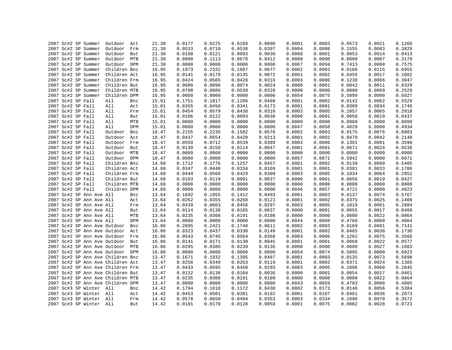|  |                   | 2007 Sc#2 SP Summer      | Outdoor                           | Act | 21.30 | 0.0177 | 0.0225 | 0.0169 | 0.0090 | 0.0001 | 0.0003 | 0.0573 | 0.0021 | 0.1260 |
|--|-------------------|--------------------------|-----------------------------------|-----|-------|--------|--------|--------|--------|--------|--------|--------|--------|--------|
|  |                   | 2007 Sc#2 SP Summer      | Outdoor                           | Frm | 21.30 | 0.0533 | 0.0710 | 0.0538 | 0.0397 | 0.0004 | 0.0008 | 0.1555 | 0.0083 | 0.3829 |
|  |                   |                          |                                   |     |       |        | 0.0121 | 0.0093 |        |        |        |        | 0.0014 | 0.0413 |
|  |                   | 2007 Sc#2 SP Summer      | Outdoor                           | But | 21.30 | 0.0100 |        |        | 0.0030 | 0.0000 | 0.0001 | 0.0053 |        |        |
|  |                   | 2007 Sc#2 SP Summer      | Outdoor                           | MTB | 21.30 | 0.0890 | 0.1113 | 0.0678 | 0.0412 | 0.0000 | 0.0000 | 0.0000 | 0.0087 | 0.3179 |
|  |                   | 2007 Sc#2 SP Summer      | Outdoor DPM                       |     | 21.30 | 0.0000 | 0.0000 | 0.0000 | 0.0000 | 0.0067 | 0.0094 | 0.7413 | 0.0000 | 0.7575 |
|  |                   | 2007 Sc#2 SP Summer      | Children Bnz                      |     | 16.95 | 0.1973 | 0.2332 | 0.1687 | 0.0677 | 0.0002 | 0.0003 | 0.0166 | 0.0115 | 0.6955 |
|  |                   | 2007 Sc#2 SP Summer      | Children Act                      |     | 16.95 | 0.0141 | 0.0179 | 0.0135 | 0.0072 | 0.0001 | 0.0002 | 0.0456 | 0.0017 | 0.1002 |
|  |                   | 2007 Sc#2 SP Summer      | Children Frm                      |     | 16.95 | 0.0424 | 0.0565 | 0.0428 | 0.0316 | 0.0003 | 0.0006 | 0.1238 | 0.0066 | 0.3047 |
|  |                   | 2007 Sc#2 SP Summer      | Children But                      |     | 16.95 | 0.0080 | 0.0096 | 0.0074 | 0.0024 | 0.0000 | 0.0001 | 0.0042 | 0.0011 | 0.0329 |
|  |                   | 2007 Sc#2 SP Summer      | Children MTB                      |     | 16.95 | 0.0708 | 0.0886 | 0.0539 | 0.0328 | 0.0000 | 0.0000 | 0.0000 | 0.0069 | 0.2529 |
|  |                   | 2007 Sc#2 SP Summer      | Children DPM                      |     | 16.95 | 0.0000 | 0.0000 | 0.0000 | 0.0000 | 0.0054 | 0.0075 | 0.5899 | 0.0000 | 0.6027 |
|  | 2007 Sc#2 SP Fall |                          | All                               | Bnz | 15.01 | 0.1751 | 0.1817 | 0.1286 | 0.0468 | 0.0001 | 0.0002 | 0.0142 | 0.0062 | 0.5529 |
|  | 2007 Sc#2 SP Fall |                          | All                               | Act | 15.01 | 0.0355 | 0.0450 | 0.0341 | 0.0173 | 0.0001 | 0.0001 | 0.0389 | 0.0034 | 0.1746 |
|  | 2007 Sc#2 SP Fall |                          | All                               | Frm | 15.01 | 0.0454 | 0.0579 | 0.0438 | 0.0316 | 0.0003 | 0.0005 | 0.1057 | 0.0065 | 0.2918 |
|  | 2007 Sc#2 SP Fall |                          | All                               | But | 15.01 | 0.0106 | 0.0122 | 0.0093 | 0.0038 | 0.0000 | 0.0001 | 0.0058 | 0.0019 | 0.0437 |
|  | 2007 Sc#2 SP Fall |                          | All                               | MTB | 15.01 | 0.0000 | 0.0000 | 0.0000 | 0.0000 | 0.0000 | 0.0000 | 0.0000 | 0.0000 | 0.0000 |
|  | 2007 Sc#2 SP Fall |                          | All                               | DPM | 15.01 | 0.0000 | 0.0000 | 0.0000 | 0.0000 | 0.0047 | 0.0058 | 0.4829 | 0.0000 | 0.4934 |
|  | 2007 Sc#2 SP Fall |                          | Outdoor                           | Bnz | 18.47 | 0.2155 | 0.2236 | 0.1582 | 0.0576 | 0.0002 | 0.0003 | 0.0175 | 0.0076 | 0.6803 |
|  | 2007 Sc#2 SP Fall |                          | Outdoor                           | Act | 18.47 | 0.0437 | 0.0554 | 0.0420 | 0.0213 | 0.0001 | 0.0002 | 0.0479 | 0.0042 | 0.2148 |
|  | 2007 Sc#2 SP Fall |                          | Outdoor Frm                       |     | 18.47 | 0.0559 | 0.0712 | 0.0539 | 0.0389 | 0.0003 | 0.0006 | 0.1301 | 0.0081 | 0.3590 |
|  | 2007 Sc#2 SP Fall |                          | Outdoor                           | But | 18.47 | 0.0130 | 0.0150 | 0.0114 | 0.0047 | 0.0001 | 0.0001 | 0.0071 | 0.0024 | 0.0538 |
|  | 2007 Sc#2 SP Fall |                          | Outdoor MTB                       |     | 18.47 | 0.0000 | 0.0000 | 0.0000 | 0.0000 | 0.0000 | 0.0000 | 0.0000 | 0.0000 | 0.0000 |
|  | 2007 Sc#2 SP Fall |                          | Outdoor DPM                       |     | 18.47 | 0.0000 | 0.0000 | 0.0000 | 0.0000 | 0.0057 | 0.0071 | 0.5942 | 0.0000 | 0.6071 |
|  | 2007 Sc#2 SP Fall |                          | Children Bnz                      |     | 14.68 | 0.1712 | 0.1776 | 0.1257 | 0.0457 | 0.0001 | 0.0002 | 0.0139 | 0.0060 | 0.5405 |
|  | 2007 Sc#2 SP Fall |                          | Children Act                      |     | 14.68 | 0.0347 | 0.0440 | 0.0334 | 0.0169 | 0.0001 | 0.0001 | 0.0381 | 0.0033 | 0.1706 |
|  | 2007 Sc#2 SP Fall |                          | Children Frm                      |     | 14.68 | 0.0444 | 0.0566 | 0.0429 | 0.0309 | 0.0003 | 0.0005 | 0.1034 | 0.0064 | 0.2852 |
|  | 2007 Sc#2 SP Fall |                          | Children But                      |     | 14.68 | 0.0103 | 0.0119 | 0.0091 | 0.0037 | 0.0000 | 0.0001 | 0.0056 | 0.0019 | 0.0427 |
|  | 2007 Sc#2 SP Fall |                          | Children MTB                      |     | 14.68 | 0.0000 | 0.0000 | 0.0000 | 0.0000 | 0.0000 | 0.0000 | 0.0000 | 0.0000 | 0.0000 |
|  | 2007 Sc#2 SP Fall |                          | Children DPM                      |     | 14.68 | 0.0000 | 0.0000 | 0.0000 | 0.0000 | 0.0046 | 0.0057 | 0.4721 | 0.0000 | 0.4823 |
|  |                   | 2007 Sc#2 SP Ann Ave All |                                   | Bnz | 13.64 | 0.1692 | 0.1955 | 0.1412 | 0.0493 | 0.0001 | 0.0003 | 0.0137 | 0.0074 | 0.5767 |
|  |                   | 2007 Sc#2 SP Ann Ave All |                                   | Act | 13.64 | 0.0262 | 0.0355 | 0.0268 | 0.0121 | 0.0001 | 0.0002 | 0.0375 | 0.0025 | 0.1409 |
|  |                   | 2007 Sc#2 SP Ann Ave All |                                   | Frm | 13.64 | 0.0439 | 0.0603 | 0.0456 | 0.0297 | 0.0003 | 0.0005 | 0.1019 | 0.0061 | 0.2884 |
|  |                   | 2007 Sc#2 SP Ann Ave All |                                   | But | 13.64 | 0.0114 | 0.0138 | 0.0105 | 0.0037 | 0.0000 | 0.0001 | 0.0055 | 0.0017 | 0.0468 |
|  |                   | 2007 Sc#2 SP Ann Ave All |                                   | MTB | 13.64 | 0.0235 | 0.0308 | 0.0191 | 0.0108 | 0.0000 | 0.0000 | 0.0000 | 0.0022 | 0.0864 |
|  |                   |                          |                                   |     |       |        |        |        |        |        |        |        |        |        |
|  |                   | 2007 Sc#2 SP Ann Ave All |                                   | DPM | 13.64 | 0.0000 | 0.0000 | 0.0000 | 0.0000 | 0.0044 | 0.0060 | 0.4760 | 0.0000 | 0.4864 |
|  |                   |                          | 2007 Sc#2 SP Ann Ave Outdoor      | Bnz | 16.86 | 0.2095 | 0.2421 | 0.1748 | 0.0611 | 0.0002 | 0.0003 | 0.0169 | 0.0091 | 0.7141 |
|  |                   |                          | 2007 Sc#2 SP Ann Ave Outdoor Act  |     | 16.86 | 0.0323 | 0.0437 | 0.0330 | 0.0149 | 0.0001 | 0.0002 | 0.0465 | 0.0030 | 0.1736 |
|  |                   |                          | 2007 Sc#2 SP Ann Ave Outdoor      | Frm | 16.86 | 0.0543 | 0.0745 | 0.0564 | 0.0368 | 0.0003 | 0.0006 | 0.1262 | 0.0075 | 0.3566 |
|  |                   |                          | 2007 Sc#2 SP Ann Ave Outdoor      | But | 16.86 | 0.0141 | 0.0171 | 0.0130 | 0.0045 | 0.0001 | 0.0001 | 0.0068 | 0.0022 | 0.0577 |
|  |                   |                          | 2007 Sc#2 SP Ann Ave Outdoor MTB  |     | 16.86 | 0.0295 | 0.0386 | 0.0239 | 0.0136 | 0.0000 | 0.0000 | 0.0000 | 0.0027 | 0.1083 |
|  |                   |                          | 2007 Sc#2 SP Ann Ave Outdoor DPM  |     | 16.86 | 0.0000 | 0.0000 | 0.0000 | 0.0000 | 0.0054 | 0.0074 | 0.5895 | 0.0000 | 0.6023 |
|  |                   |                          | 2007 Sc#2 SP Ann Ave Children Bnz |     | 13.47 | 0.1671 | 0.1932 | 0.1395 | 0.0487 | 0.0001 | 0.0003 | 0.0135 | 0.0073 | 0.5698 |
|  |                   |                          | 2007 Sc#2 SP Ann Ave Children Act |     | 13.47 | 0.0258 | 0.0349 | 0.0263 | 0.0119 | 0.0001 | 0.0002 | 0.0371 | 0.0024 | 0.1385 |
|  |                   |                          | 2007 Sc#2 SP Ann Ave Children Frm |     | 13.47 | 0.0433 | 0.0595 | 0.0450 | 0.0293 | 0.0003 | 0.0005 | 0.1006 | 0.0060 | 0.2845 |
|  |                   |                          | 2007 Sc#2 SP Ann Ave Children But |     | 13.47 | 0.0112 | 0.0136 | 0.0104 | 0.0036 | 0.0000 | 0.0001 | 0.0054 | 0.0017 | 0.0461 |
|  |                   |                          | 2007 Sc#2 SP Ann Ave Children MTB |     | 13.47 | 0.0235 | 0.0308 | 0.0191 | 0.0109 | 0.0000 | 0.0000 | 0.0000 | 0.0022 | 0.0864 |
|  |                   |                          | 2007 Sc#2 SP Ann Ave Children DPM |     | 13.47 | 0.0000 | 0.0000 | 0.0000 | 0.0000 | 0.0043 | 0.0059 | 0.4703 | 0.0000 | 0.4805 |
|  |                   | 2007 Sc#3 SP Winter All  |                                   | Bnz | 14.42 | 0.1794 | 0.1610 | 0.1172 | 0.0430 | 0.0002 | 0.0173 | 0.0146 | 0.0056 | 0.5384 |
|  |                   | 2007 Sc#3 SP Winter All  |                                   | Act | 14.42 | 0.0453 | 0.0501 | 0.0381 | 0.0192 | 0.0001 | 0.0107 | 0.0401 | 0.0036 | 0.2073 |
|  |                   | 2007 Sc#3 SP Winter All  |                                   | Frm | 14.42 | 0.0578 | 0.0650 | 0.0494 | 0.0353 | 0.0003 | 0.0334 | 0.1090 | 0.0070 | 0.3572 |
|  |                   | 2007 Sc#3 SP Winter All  |                                   | But | 14.42 | 0.0181 | 0.0170 | 0.0128 | 0.0059 | 0.0001 | 0.0075 | 0.0082 | 0.0028 | 0.0723 |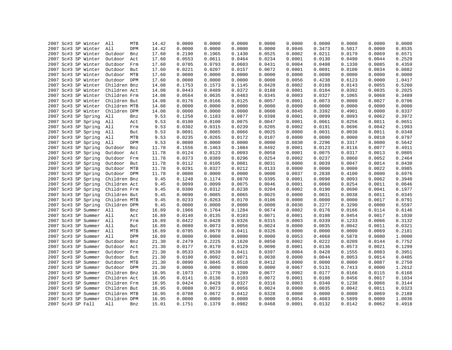| 2007 Sc#3 SP Winter     | All<br>MTB     | 14.42 | 0.0000 | 0.0000 | 0.0000 | 0.0000 | 0.0000 | 0.0000 | 0.0000 | 0.0000 | 0.0000 |
|-------------------------|----------------|-------|--------|--------|--------|--------|--------|--------|--------|--------|--------|
| 2007 Sc#3 SP Winter     | All<br>DPM     | 14.42 | 0.0000 | 0.0000 | 0.0000 | 0.0000 | 0.0046 | 0.3473 | 0.5017 | 0.0000 | 0.8535 |
| 2007 Sc#3 SP Winter     | Outdoor<br>Bnz | 17.60 | 0.2190 | 0.1965 | 0.1430 | 0.0525 | 0.0002 | 0.0211 | 0.0179 | 0.0069 | 0.6571 |
| 2007 Sc#3 SP Winter     | Outdoor<br>Act | 17.60 | 0.0553 | 0.0611 | 0.0464 | 0.0234 | 0.0001 | 0.0130 | 0.0490 | 0.0044 | 0.2529 |
| 2007 Sc#3 SP Winter     | Outdoor<br>Frm | 17.60 | 0.0705 | 0.0793 | 0.0603 | 0.0431 | 0.0004 | 0.0408 | 0.1330 | 0.0085 | 0.4359 |
| 2007 Sc#3 SP Winter     | Outdoor<br>But | 17.60 | 0.0221 | 0.0207 | 0.0157 | 0.0072 | 0.0001 | 0.0091 | 0.0100 | 0.0034 | 0.0882 |
| 2007 Sc#3 SP Winter     | Outdoor MTB    | 17.60 | 0.0000 | 0.0000 | 0.0000 | 0.0000 | 0.0000 | 0.0000 | 0.0000 | 0.0000 | 0.0000 |
| 2007 Sc#3 SP Winter     | Outdoor DPM    | 17.60 | 0.0000 | 0.0000 | 0.0000 | 0.0000 | 0.0056 | 0.4238 | 0.6123 | 0.0000 | 1.0417 |
| 2007 Sc#3 SP Winter     | Children Bnz   | 14.08 | 0.1753 | 0.1573 | 0.1145 | 0.0420 | 0.0002 | 0.0169 | 0.0143 | 0.0055 | 0.5260 |
| 2007 Sc#3 SP Winter     | Children Act   | 14.08 | 0.0443 | 0.0489 | 0.0372 | 0.0188 | 0.0001 | 0.0104 | 0.0392 | 0.0035 | 0.2025 |
| 2007 Sc#3 SP Winter     | Children Frm   | 14.08 | 0.0564 | 0.0635 | 0.0483 | 0.0345 | 0.0003 | 0.0327 | 0.1065 | 0.0068 | 0.3489 |
| 2007 Sc#3 SP Winter     | Children But   | 14.08 | 0.0176 | 0.0166 | 0.0125 | 0.0057 | 0.0001 | 0.0073 | 0.0080 | 0.0027 | 0.0706 |
| 2007 Sc#3 SP Winter     | Children MTB   | 14.08 | 0.0000 | 0.0000 | 0.0000 | 0.0000 | 0.0000 | 0.0000 | 0.0000 | 0.0000 | 0.0000 |
| 2007 Sc#3 SP Winter     | Children DPM   | 14.08 | 0.0000 | 0.0000 | 0.0000 | 0.0000 | 0.0045 | 0.3392 | 0.4901 | 0.0000 | 0.8337 |
| 2007 Sc#3 SP Spring     | All<br>Bnz     | 9.53  | 0.1258 | 0.1183 | 0.0877 | 0.0398 | 0.0001 | 0.0099 | 0.0093 | 0.0062 | 0.3972 |
| 2007 Sc#3 SP Spring     | All<br>Act     | 9.53  | 0.0100 | 0.0100 | 0.0075 | 0.0047 | 0.0001 | 0.0061 | 0.0256 | 0.0011 | 0.0651 |
| 2007 Sc#3 SP Spring     | All<br>Frm     | 9.53  | 0.0302 | 0.0315 | 0.0239 | 0.0205 | 0.0002 | 0.0191 | 0.0696 | 0.0042 | 0.1993 |
| 2007 Sc#3 SP Spring     | All<br>But     | 9.53  | 0.0091 | 0.0085 | 0.0066 | 0.0025 | 0.0000 | 0.0031 | 0.0038 | 0.0011 | 0.0348 |
| 2007 Sc#3 SP Spring     | All<br>MTB     | 9.53  | 0.0235 | 0.0265 | 0.0172 | 0.0107 | 0.0000 | 0.0000 | 0.0000 | 0.0018 | 0.0797 |
| 2007 Sc#3 SP Spring     | All<br>DPM     | 9.53  | 0.0000 | 0.0000 | 0.0000 | 0.0000 | 0.0030 | 0.2296 | 0.3317 | 0.0000 | 0.5642 |
| 2007 Sc#3 SP Spring     | Outdoor<br>Bnz | 11.78 | 0.1556 | 0.1463 | 0.1084 | 0.0492 | 0.0001 | 0.0123 | 0.0116 | 0.0077 | 0.4911 |
| 2007 Sc#3 SP Spring     | Outdoor<br>Act | 11.78 | 0.0124 | 0.0123 | 0.0093 | 0.0058 | 0.0001 | 0.0075 | 0.0317 | 0.0013 | 0.0805 |
| 2007 Sc#3 SP Spring     | Outdoor<br>Frm | 11.78 | 0.0373 | 0.0389 | 0.0296 | 0.0254 | 0.0002 | 0.0237 | 0.0860 | 0.0052 | 0.2464 |
| 2007 Sc#3 SP Spring     | Outdoor But    | 11.78 | 0.0112 | 0.0105 | 0.0081 | 0.0031 | 0.0000 | 0.0039 | 0.0047 | 0.0014 | 0.0430 |
| 2007 Sc#3 SP Spring     | Outdoor MTB    | 11.78 | 0.0291 | 0.0327 | 0.0212 | 0.0133 | 0.0000 | 0.0000 | 0.0000 | 0.0022 | 0.0985 |
| 2007 Sc#3 SP Spring     | Outdoor DPM    | 11.78 | 0.0000 | 0.0000 | 0.0000 | 0.0000 | 0.0037 | 0.2838 | 0.4100 | 0.0000 | 0.6976 |
| 2007 Sc#3 SP Spring     | Children Bnz   | 9.45  | 0.1248 | 0.1174 | 0.0870 | 0.0395 | 0.0001 | 0.0098 | 0.0093 | 0.0062 | 0.3940 |
| 2007 Sc#3 SP Spring     | Children Act   | 9.45  | 0.0099 | 0.0099 | 0.0075 | 0.0046 | 0.0001 | 0.0060 | 0.0254 | 0.0011 | 0.0646 |
| 2007 Sc#3 SP Spring     | Children Frm   | 9.45  | 0.0300 | 0.0312 | 0.0238 | 0.0204 | 0.0002 | 0.0190 | 0.0690 | 0.0041 | 0.1977 |
| 2007 Sc#3 SP Spring     | Children But   | 9.45  | 0.0090 | 0.0085 | 0.0065 | 0.0025 | 0.0000 | 0.0031 | 0.0038 | 0.0011 | 0.0345 |
| 2007 Sc#3 SP Spring     | Children MTB   | 9.45  | 0.0233 | 0.0263 | 0.0170 | 0.0106 | 0.0000 | 0.0000 | 0.0000 | 0.0017 | 0.0791 |
| 2007 Sc#3 SP Spring     | Children DPM   | 9.45  | 0.0000 | 0.0000 | 0.0000 | 0.0000 | 0.0030 | 0.2277 | 0.3290 | 0.0000 | 0.5597 |
| 2007 Sc#3 SP Summer All | Bnz            | 16.89 | 0.1966 | 0.1764 | 0.1284 | 0.0674 | 0.0002 | 0.0176 | 0.0166 | 0.0114 | 0.6146 |
| 2007 Sc#3 SP Summer All | Act            | 16.89 | 0.0140 | 0.0135 | 0.0103 | 0.0071 | 0.0001 | 0.0108 | 0.0454 | 0.0017 | 0.1030 |
| 2007 Sc#3 SP Summer All | Frm            | 16.89 | 0.0422 | 0.0428 | 0.0326 | 0.0315 | 0.0003 | 0.0339 | 0.1233 | 0.0066 | 0.3132 |
| 2007 Sc#3 SP Summer     | All<br>But     | 16.89 | 0.0080 | 0.0073 | 0.0056 | 0.0024 | 0.0000 | 0.0035 | 0.0042 | 0.0011 | 0.0321 |
| 2007 Sc#3 SP Summer     | All<br>MTB     | 16.89 | 0.0705 | 0.0670 | 0.0411 | 0.0326 | 0.0000 | 0.0000 | 0.0000 | 0.0069 | 0.2181 |
| 2007 Sc#3 SP Summer     | All<br>DPM     | 16.89 | 0.0000 | 0.0000 | 0.0000 | 0.0000 | 0.0053 | 0.4068 | 0.5878 | 0.0000 | 1.0000 |
| 2007 Sc#3 SP Summer     | Outdoor<br>Bnz | 21.30 | 0.2479 | 0.2225 | 0.1620 | 0.0850 | 0.0002 | 0.0222 | 0.0209 | 0.0144 | 0.7752 |
| 2007 Sc#3 SP Summer     | Outdoor<br>Act | 21.30 | 0.0177 | 0.0170 | 0.0129 | 0.0090 | 0.0001 | 0.0136 | 0.0573 | 0.0021 | 0.1299 |
| 2007 Sc#3 SP Summer     | Outdoor<br>Frm | 21.30 | 0.0533 | 0.0539 | 0.0411 | 0.0397 | 0.0004 | 0.0428 | 0.1555 | 0.0083 | 0.3951 |
| 2007 Sc#3 SP Summer     | Outdoor<br>But | 21.30 | 0.0100 | 0.0092 | 0.0071 | 0.0030 | 0.0000 | 0.0044 | 0.0053 | 0.0014 | 0.0405 |
| 2007 Sc#3 SP Summer     | Outdoor MTB    | 21.30 | 0.0890 | 0.0845 | 0.0518 | 0.0412 | 0.0000 | 0.0000 | 0.0000 | 0.0087 | 0.2750 |
| 2007 Sc#3 SP Summer     | Outdoor DPM    | 21.30 | 0.0000 | 0.0000 | 0.0000 | 0.0000 | 0.0067 | 0.5131 | 0.7413 | 0.0000 | 1.2612 |
| 2007 Sc#3 SP Summer     | Children Bnz   | 16.95 | 0.1973 | 0.1770 | 0.1289 | 0.0677 | 0.0002 | 0.0177 | 0.0166 | 0.0115 | 0.6168 |
| 2007 Sc#3 SP Summer     | Children Act   | 16.95 | 0.0141 | 0.0136 | 0.0103 | 0.0072 | 0.0001 | 0.0108 | 0.0456 | 0.0017 | 0.1034 |
| 2007 Sc#3 SP Summer     | Children Frm   | 16.95 | 0.0424 | 0.0429 | 0.0327 | 0.0316 | 0.0003 | 0.0340 | 0.1238 | 0.0066 | 0.3144 |
| 2007 Sc#3 SP Summer     | Children But   | 16.95 | 0.0080 | 0.0073 | 0.0056 | 0.0024 | 0.0000 | 0.0035 | 0.0042 | 0.0011 | 0.0323 |
| 2007 Sc#3 SP Summer     | Children MTB   | 16.95 | 0.0708 | 0.0672 | 0.0412 | 0.0328 | 0.0000 | 0.0000 | 0.0000 | 0.0069 | 0.2188 |
| 2007 Sc#3 SP Summer     | Children DPM   | 16.95 | 0.0000 | 0.0000 | 0.0000 | 0.0000 | 0.0054 | 0.4083 | 0.5899 | 0.0000 | 1.0036 |
| 2007 Sc#3 SP Fall       | All<br>Bnz     | 15.01 | 0.1751 | 0.1379 | 0.0982 | 0.0468 | 0.0001 | 0.0132 | 0.0142 | 0.0062 | 0.4918 |
|                         |                |       |        |        |        |        |        |        |        |        |        |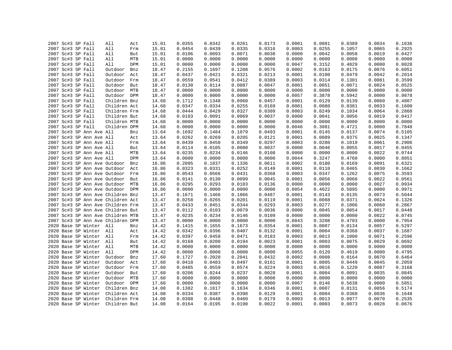|  | 2007 Sc#3 SP Fall        | All                               | Act | 15.01 | 0.0355 | 0.0342 | 0.0261 | 0.0173 | 0.0001 | 0.0081 | 0.0389 | 0.0034 | 0.1636 |
|--|--------------------------|-----------------------------------|-----|-------|--------|--------|--------|--------|--------|--------|--------|--------|--------|
|  | 2007 Sc#3 SP Fall        | All                               | Frm | 15.01 | 0.0454 | 0.0439 | 0.0335 | 0.0316 | 0.0003 | 0.0255 | 0.1057 | 0.0065 | 0.2925 |
|  | 2007 Sc#3 SP Fall        | All                               | But | 15.01 | 0.0106 | 0.0093 | 0.0071 | 0.0038 | 0.0000 | 0.0042 | 0.0058 | 0.0019 | 0.0427 |
|  | 2007 Sc#3 SP Fall        | All                               | MTB | 15.01 | 0.0000 | 0.0000 | 0.0000 | 0.0000 | 0.0000 | 0.0000 | 0.0000 | 0.0000 | 0.0000 |
|  | 2007 Sc#3 SP Fall        | All                               | DPM | 15.01 | 0.0000 | 0.0000 | 0.0000 | 0.0000 | 0.0047 | 0.3152 | 0.4829 | 0.0000 | 0.8028 |
|  | 2007 Sc#3 SP Fall        | Outdoor                           |     | 18.47 | 0.2155 | 0.1697 | 0.1208 | 0.0576 | 0.0002 | 0.0163 | 0.0175 | 0.0076 | 0.6051 |
|  |                          |                                   | Bnz |       |        |        |        |        |        |        |        |        |        |
|  | 2007 Sc#3 SP Fall        | Outdoor                           | Act | 18.47 | 0.0437 | 0.0421 | 0.0321 | 0.0213 | 0.0001 | 0.0100 | 0.0479 | 0.0042 | 0.2014 |
|  | 2007 Sc#3 SP Fall        | Outdoor Frm                       |     | 18.47 | 0.0559 | 0.0541 | 0.0412 | 0.0389 | 0.0003 | 0.0314 | 0.1301 | 0.0081 | 0.3599 |
|  | 2007 Sc#3 SP Fall        | Outdoor But                       |     | 18.47 | 0.0130 | 0.0114 | 0.0087 | 0.0047 | 0.0001 | 0.0051 | 0.0071 | 0.0024 | 0.0525 |
|  | 2007 Sc#3 SP Fall        | Outdoor MTB                       |     | 18.47 | 0.0000 | 0.0000 | 0.0000 | 0.0000 | 0.0000 | 0.0000 | 0.0000 | 0.0000 | 0.0000 |
|  | 2007 Sc#3 SP Fall        | Outdoor DPM                       |     | 18.47 | 0.0000 | 0.0000 | 0.0000 | 0.0000 | 0.0057 | 0.3878 | 0.5942 | 0.0000 | 0.9878 |
|  | 2007 Sc#3 SP Fall        | Children Bnz                      |     | 14.68 | 0.1712 | 0.1348 | 0.0960 | 0.0457 | 0.0001 | 0.0129 | 0.0139 | 0.0060 | 0.4807 |
|  | 2007 Sc#3 SP Fall        | Children Act                      |     | 14.68 | 0.0347 | 0.0334 | 0.0255 | 0.0169 | 0.0001 | 0.0080 | 0.0381 | 0.0033 | 0.1600 |
|  | 2007 Sc#3 SP Fall        | Children Frm                      |     | 14.68 | 0.0444 | 0.0429 | 0.0327 | 0.0309 | 0.0003 | 0.0249 | 0.1034 | 0.0064 | 0.2860 |
|  | 2007 Sc#3 SP Fall        | Children But                      |     | 14.68 | 0.0103 | 0.0091 | 0.0069 | 0.0037 | 0.0000 | 0.0041 | 0.0056 | 0.0019 | 0.0417 |
|  | 2007 Sc#3 SP Fall        | Children MTB                      |     | 14.68 | 0.0000 | 0.0000 | 0.0000 | 0.0000 | 0.0000 | 0.0000 | 0.0000 | 0.0000 | 0.0000 |
|  | 2007 Sc#3 SP Fall        | Children DPM                      |     | 14.68 | 0.0000 | 0.0000 | 0.0000 | 0.0000 | 0.0046 | 0.3081 | 0.4721 | 0.0000 | 0.7848 |
|  | 2007 Sc#3 SP Ann Ave All |                                   | Bnz | 13.64 | 0.1692 | 0.1484 | 0.1079 | 0.0493 | 0.0001 | 0.0145 | 0.0137 | 0.0074 | 0.5105 |
|  | 2007 Sc#3 SP Ann Ave All |                                   | Act | 13.64 | 0.0262 | 0.0269 | 0.0205 | 0.0121 | 0.0001 | 0.0089 | 0.0375 | 0.0025 | 0.1347 |
|  | 2007 Sc#3 SP Ann Ave All |                                   | Frm | 13.64 | 0.0439 | 0.0458 | 0.0349 | 0.0297 | 0.0003 | 0.0280 | 0.1019 | 0.0061 | 0.2906 |
|  | 2007 Sc#3 SP Ann Ave All |                                   | But | 13.64 | 0.0114 | 0.0105 | 0.0080 | 0.0037 | 0.0000 | 0.0046 | 0.0055 | 0.0017 | 0.0455 |
|  | 2007 Sc#3 SP Ann Ave All |                                   | MTB | 13.64 | 0.0235 | 0.0234 | 0.0146 | 0.0108 | 0.0000 | 0.0000 | 0.0000 | 0.0022 | 0.0744 |
|  | 2007 Sc#3 SP Ann Ave All |                                   | DPM | 13.64 | 0.0000 | 0.0000 | 0.0000 | 0.0000 | 0.0044 | 0.3247 | 0.4760 | 0.0000 | 0.8051 |
|  |                          | 2007 Sc#3 SP Ann Ave Outdoor      | Bnz | 16.86 | 0.2095 | 0.1837 | 0.1336 | 0.0611 | 0.0002 | 0.0180 | 0.0169 | 0.0091 | 0.6321 |
|  |                          | 2007 Sc#3 SP Ann Ave Outdoor      | Act | 16.86 | 0.0323 | 0.0331 | 0.0252 | 0.0149 | 0.0001 | 0.0110 | 0.0465 | 0.0030 | 0.1662 |
|  |                          | 2007 Sc#3 SP Ann Ave Outdoor Frm  |     | 16.86 | 0.0543 | 0.0566 | 0.0431 | 0.0368 | 0.0003 | 0.0347 | 0.1262 | 0.0075 | 0.3593 |
|  |                          | 2007 Sc#3 SP Ann Ave Outdoor      | But | 16.86 | 0.0141 | 0.0130 | 0.0099 | 0.0045 | 0.0001 | 0.0056 | 0.0068 | 0.0022 | 0.0561 |
|  |                          | 2007 Sc#3 SP Ann Ave Outdoor MTB  |     | 16.86 | 0.0295 | 0.0293 | 0.0183 | 0.0136 | 0.0000 | 0.0000 | 0.0000 | 0.0027 | 0.0934 |
|  |                          | 2007 Sc#3 SP Ann Ave Outdoor DPM  |     | 16.86 | 0.0000 | 0.0000 | 0.0000 | 0.0000 | 0.0054 | 0.4022 | 0.5895 | 0.0000 | 0.9971 |
|  |                          | 2007 Sc#3 SP Ann Ave Children Bnz |     | 13.47 | 0.1671 | 0.1466 | 0.1066 | 0.0487 | 0.0001 | 0.0143 | 0.0135 | 0.0073 | 0.5044 |
|  |                          | 2007 Sc#3 SP Ann Ave Children Act |     | 13.47 | 0.0258 | 0.0265 | 0.0201 | 0.0119 | 0.0001 | 0.0088 | 0.0371 | 0.0024 | 0.1326 |
|  |                          | 2007 Sc#3 SP Ann Ave Children Frm |     | 13.47 | 0.0433 | 0.0451 | 0.0344 | 0.0293 | 0.0003 | 0.0277 | 0.1006 | 0.0060 | 0.2867 |
|  |                          | 2007 Sc#3 SP Ann Ave Children But |     | 13.47 | 0.0112 | 0.0103 | 0.0079 | 0.0036 | 0.0000 | 0.0045 | 0.0054 | 0.0017 | 0.0448 |
|  |                          | 2007 Sc#3 SP Ann Ave Children MTB |     | 13.47 | 0.0235 | 0.0234 | 0.0146 | 0.0109 | 0.0000 | 0.0000 | 0.0000 | 0.0022 | 0.0745 |
|  |                          | 2007 Sc#3 SP Ann Ave Children DPM |     | 13.47 | 0.0000 | 0.0000 | 0.0000 | 0.0000 | 0.0043 | 0.3208 | 0.4703 | 0.0000 | 0.7954 |
|  | 2020 Base SP Winter All  |                                   | Bnz | 14.42 | 0.1415 | 0.1655 | 0.1673 | 0.0354 | 0.0001 | 0.0007 | 0.0134 | 0.0057 | 0.5297 |
|  | 2020 Base SP Winter All  |                                   | Act | 14.42 | 0.0342 | 0.0396 | 0.0407 | 0.0132 | 0.0001 | 0.0004 | 0.0368 | 0.0037 | 0.1687 |
|  | 2020 Base SP Winter All  |                                   | Frm | 14.42 | 0.0397 | 0.0458 | 0.0471 | 0.0183 | 0.0003 | 0.0013 | 0.1000 | 0.0071 | 0.2596 |
|  | 2020 Base SP Winter All  |                                   | But | 14.42 | 0.0168 | 0.0200 | 0.0194 | 0.0023 | 0.0001 | 0.0003 | 0.0075 | 0.0029 | 0.0692 |
|  | 2020 Base SP Winter All  |                                   | MTB | 14.42 | 0.0000 | 0.0000 | 0.0000 | 0.0000 | 0.0000 | 0.0000 | 0.0000 | 0.0000 | 0.0000 |
|  | 2020 Base SP Winter All  |                                   | DPM | 14.42 | 0.0000 | 0.0000 | 0.0000 | 0.0000 | 0.0055 | 0.0120 | 0.4619 | 0.0000 | 0.4795 |
|  | 2020 Base SP Winter      | Outdoor                           | Bnz | 17.60 | 0.1727 | 0.2020 | 0.2041 | 0.0432 | 0.0002 | 0.0008 | 0.0164 | 0.0070 | 0.6464 |
|  | 2020 Base SP Winter      | Outdoor Act                       |     | 17.60 | 0.0418 | 0.0483 | 0.0497 | 0.0161 | 0.0001 | 0.0005 | 0.0449 | 0.0045 | 0.2059 |
|  | 2020 Base SP Winter      | Outdoor Frm                       |     | 17.60 | 0.0485 | 0.0559 | 0.0574 | 0.0224 | 0.0003 | 0.0016 | 0.1220 | 0.0087 | 0.3168 |
|  | 2020 Base SP Winter      | Outdoor But                       |     | 17.60 | 0.0206 | 0.0244 | 0.0237 | 0.0028 | 0.0001 | 0.0004 | 0.0091 | 0.0035 | 0.0845 |
|  |                          |                                   |     |       |        |        |        |        |        |        |        |        |        |
|  | 2020 Base SP Winter      | Outdoor MTB                       |     | 17.60 | 0.0000 | 0.0000 | 0.0000 | 0.0000 | 0.0000 | 0.0000 | 0.0000 | 0.0000 | 0.0000 |
|  | 2020 Base SP Winter      | Outdoor DPM                       |     | 17.60 | 0.0000 | 0.0000 | 0.0000 | 0.0000 | 0.0067 | 0.0146 | 0.5638 | 0.0000 | 0.5851 |
|  | 2020 Base SP Winter      | Children Bnz                      |     | 14.08 | 0.1382 | 0.1617 | 0.1634 | 0.0346 | 0.0001 | 0.0007 | 0.0131 | 0.0056 | 0.5174 |
|  | 2020 Base SP Winter      | Children Act                      |     | 14.08 | 0.0334 | 0.0387 | 0.0398 | 0.0129 | 0.0001 | 0.0004 | 0.0360 | 0.0036 | 0.1648 |
|  | 2020 Base SP Winter      | Children Frm                      |     | 14.08 | 0.0388 | 0.0448 | 0.0460 | 0.0179 | 0.0003 | 0.0013 | 0.0977 | 0.0070 | 0.2535 |
|  | 2020 Base SP Winter      | Children But                      |     | 14.08 | 0.0164 | 0.0195 | 0.0190 | 0.0022 | 0.0001 | 0.0003 | 0.0073 | 0.0028 | 0.0676 |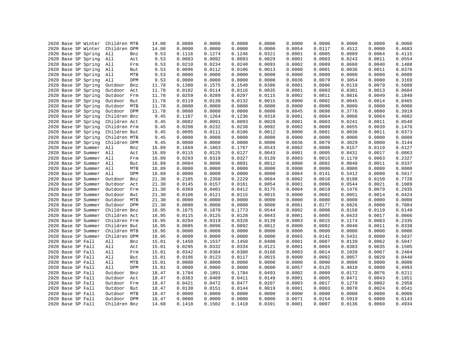|  | 2020 Base SP Winter | Children MTB |     | 14.08 | 0.0000 | 0.0000 | 0.0000 | 0.0000 | 0.0000 | 0.0000 | 0.0000 | 0.0000 | 0.0000 |
|--|---------------------|--------------|-----|-------|--------|--------|--------|--------|--------|--------|--------|--------|--------|
|  | 2020 Base SP Winter | Children DPM |     | 14.08 | 0.0000 | 0.0000 | 0.0000 | 0.0000 | 0.0054 | 0.0117 | 0.4512 | 0.0000 | 0.4683 |
|  | 2020 Base SP Spring | All          | Bnz | 9.53  | 0.1116 | 0.1274 | 0.1246 | 0.0321 | 0.0001 | 0.0005 | 0.0089 | 0.0064 | 0.4115 |
|  | 2020 Base SP Spring |              |     | 9.53  | 0.0083 | 0.0092 | 0.0093 | 0.0029 | 0.0001 | 0.0003 | 0.0243 | 0.0011 | 0.0554 |
|  |                     | All          | Act |       |        |        |        |        |        |        |        |        |        |
|  | 2020 Base SP Spring | All          | Frm | 9.53  | 0.0210 | 0.0234 | 0.0240 | 0.0093 | 0.0002 | 0.0009 | 0.0660 | 0.0040 | 0.1488 |
|  | 2020 Base SP Spring | All          | But | 9.53  | 0.0096 | 0.0112 | 0.0106 | 0.0013 | 0.0000 | 0.0001 | 0.0036 | 0.0011 | 0.0376 |
|  | 2020 Base SP Spring | All          | MTB | 9.53  | 0.0000 | 0.0000 | 0.0000 | 0.0000 | 0.0000 | 0.0000 | 0.0000 | 0.0000 | 0.0000 |
|  | 2020 Base SP Spring | All          | DPM | 9.53  | 0.0000 | 0.0000 | 0.0000 | 0.0000 | 0.0036 | 0.0079 | 0.3054 | 0.0000 | 0.3169 |
|  | 2020 Base SP Spring | Outdoor      | Bnz | 11.78 | 0.1380 | 0.1575 | 0.1540 | 0.0396 | 0.0001 | 0.0006 | 0.0110 | 0.0079 | 0.5088 |
|  | 2020 Base SP Spring | Outdoor      | Act | 11.78 | 0.0102 | 0.0114 | 0.0116 | 0.0035 | 0.0001 | 0.0003 | 0.0301 | 0.0013 | 0.0684 |
|  | 2020 Base SP Spring | Outdoor      | Frm | 11.78 | 0.0259 | 0.0289 | 0.0297 | 0.0115 | 0.0002 | 0.0011 | 0.0816 | 0.0049 | 0.1840 |
|  | 2020 Base SP Spring | Outdoor      | But | 11.78 | 0.0119 | 0.0138 | 0.0132 | 0.0015 | 0.0000 | 0.0002 | 0.0045 | 0.0014 | 0.0465 |
|  | 2020 Base SP Spring | Outdoor      | MTB | 11.78 | 0.0000 | 0.0000 | 0.0000 | 0.0000 | 0.0000 | 0.0000 | 0.0000 | 0.0000 | 0.0000 |
|  | 2020 Base SP Spring | Outdoor      | DPM | 11.78 | 0.0000 | 0.0000 | 0.0000 | 0.0000 | 0.0045 | 0.0098 | 0.3776 | 0.0000 | 0.3919 |
|  | 2020 Base SP Spring | Children Bnz |     | 9.45  | 0.1107 | 0.1264 | 0.1236 | 0.0318 | 0.0001 | 0.0004 | 0.0088 | 0.0064 | 0.4082 |
|  | 2020 Base SP Spring | Children Act |     | 9.45  | 0.0082 | 0.0091 | 0.0093 | 0.0028 | 0.0001 | 0.0003 | 0.0241 | 0.0011 | 0.0549 |
|  | 2020 Base SP Spring | Children Frm |     | 9.45  | 0.0208 | 0.0232 | 0.0238 | 0.0092 | 0.0002 | 0.0009 | 0.0655 | 0.0039 | 0.1476 |
|  | 2020 Base SP Spring | Children But |     | 9.45  | 0.0095 | 0.0111 | 0.0106 | 0.0012 | 0.0000 | 0.0001 | 0.0036 | 0.0011 | 0.0373 |
|  | 2020 Base SP Spring | Children MTB |     | 9.45  | 0.0000 | 0.0000 | 0.0000 | 0.0000 | 0.0000 | 0.0000 | 0.0000 | 0.0000 | 0.0000 |
|  | 2020 Base SP Spring | Children DPM |     | 9.45  | 0.0000 | 0.0000 | 0.0000 | 0.0000 | 0.0036 | 0.0079 | 0.3029 | 0.0000 | 0.3144 |
|  | 2020 Base SP Summer | All          | Bnz | 16.89 | 0.1669 | 0.1863 | 0.1767 | 0.0543 | 0.0002 | 0.0008 | 0.0157 | 0.0119 | 0.6127 |
|  | 2020 Base SP Summer | All          | Act | 16.89 | 0.0115 | 0.0125 | 0.0127 | 0.0043 | 0.0001 | 0.0005 | 0.0431 | 0.0017 | 0.0863 |
|  | 2020 Base SP Summer | All          | Frm | 16.89 | 0.0293 | 0.0318 | 0.0327 | 0.0139 | 0.0003 | 0.0015 | 0.1170 | 0.0063 | 0.2327 |
|  | 2020 Base SP Summer | All          | But | 16.89 | 0.0084 | 0.0096 | 0.0091 | 0.0012 | 0.0000 | 0.0002 | 0.0040 | 0.0011 | 0.0337 |
|  | 2020 Base SP Summer | All          | MTB | 16.89 | 0.0000 | 0.0000 | 0.0000 | 0.0000 | 0.0000 | 0.0000 | 0.0000 | 0.0000 | 0.0000 |
|  | 2020 Base SP Summer | All          | DPM | 16.89 | 0.0000 | 0.0000 | 0.0000 | 0.0000 | 0.0064 | 0.0141 | 0.5412 | 0.0000 | 0.5617 |
|  | 2020 Base SP Summer | Outdoor      | Bnz | 21.30 | 0.2105 | 0.2350 | 0.2229 | 0.0684 | 0.0002 | 0.0010 | 0.0198 | 0.0150 | 0.7728 |
|  | 2020 Base SP Summer | Outdoor      | Act | 21.30 | 0.0145 | 0.0157 | 0.0161 | 0.0054 | 0.0001 | 0.0006 | 0.0544 | 0.0021 | 0.1089 |
|  | 2020 Base SP Summer | Outdoor Frm  |     | 21.30 | 0.0369 | 0.0401 | 0.0412 | 0.0175 | 0.0004 | 0.0019 | 0.1476 | 0.0079 | 0.2935 |
|  | 2020 Base SP Summer | Outdoor      | But | 21.30 | 0.0106 | 0.0121 | 0.0115 | 0.0015 | 0.0000 | 0.0002 | 0.0051 | 0.0014 | 0.0424 |
|  | 2020 Base SP Summer | Outdoor MTB  |     | 21.30 | 0.0000 | 0.0000 | 0.0000 | 0.0000 | 0.0000 | 0.0000 | 0.0000 | 0.0000 | 0.0000 |
|  | 2020 Base SP Summer | Outdoor DPM  |     | 21.30 | 0.0000 | 0.0000 | 0.0000 | 0.0000 | 0.0081 | 0.0177 | 0.6826 | 0.0000 | 0.7084 |
|  | 2020 Base SP Summer | Children Bnz |     | 16.95 | 0.1675 | 0.1870 | 0.1773 | 0.0544 | 0.0002 | 0.0008 | 0.0158 | 0.0119 | 0.6149 |
|  | 2020 Base SP Summer | Children Act |     | 16.95 | 0.0115 | 0.0125 | 0.0128 | 0.0043 | 0.0001 | 0.0005 | 0.0433 | 0.0017 | 0.0866 |
|  | 2020 Base SP Summer | Children Frm |     | 16.95 | 0.0294 | 0.0319 | 0.0328 | 0.0139 | 0.0003 | 0.0015 | 0.1174 | 0.0063 | 0.2335 |
|  | 2020 Base SP Summer | Children But |     | 16.95 | 0.0085 | 0.0096 | 0.0092 | 0.0012 | 0.0000 | 0.0002 | 0.0040 | 0.0011 | 0.0338 |
|  | 2020 Base SP Summer | Children MTB |     | 16.95 | 0.0000 | 0.0000 | 0.0000 | 0.0000 | 0.0000 | 0.0000 | 0.0000 | 0.0000 | 0.0000 |
|  | 2020 Base SP Summer | Children DPM |     | 16.95 | 0.0000 | 0.0000 | 0.0000 | 0.0000 | 0.0065 | 0.0141 | 0.5431 | 0.0000 | 0.5637 |
|  | 2020 Base SP Fall   | All          | Bnz | 15.01 | 0.1450 | 0.1537 | 0.1450 | 0.0400 | 0.0001 | 0.0007 | 0.0139 | 0.0062 | 0.5047 |
|  | 2020 Base SP Fall   | All          | Act | 15.01 | 0.0295 | 0.0332 | 0.0334 | 0.0121 | 0.0001 | 0.0004 | 0.0383 | 0.0035 | 0.1505 |
|  | 2020 Base SP Fall   | All          | Frm | 15.01 | 0.0342 | 0.0384 | 0.0388 | 0.0168 | 0.0003 | 0.0014 | 0.1039 | 0.0067 | 0.2404 |
|  | 2020 Base SP Fall   | All          | But | 15.01 | 0.0106 | 0.0123 | 0.0117 | 0.0015 | 0.0000 | 0.0002 | 0.0057 | 0.0020 | 0.0440 |
|  | 2020 Base SP Fall   | All          | MTB | 15.01 | 0.0000 | 0.0000 | 0.0000 | 0.0000 | 0.0000 | 0.0000 | 0.0000 | 0.0000 | 0.0000 |
|  | 2020 Base SP Fall   | All          | DPM | 15.01 | 0.0000 | 0.0000 | 0.0000 | 0.0000 | 0.0057 | 0.0125 | 0.4810 | 0.0000 | 0.4993 |
|  | 2020 Base SP Fall   | Outdoor      | Bnz | 18.47 | 0.1784 | 0.1891 | 0.1784 | 0.0493 | 0.0002 | 0.0009 | 0.0172 | 0.0076 | 0.6211 |
|  | 2020 Base SP Fall   | Outdoor      | Act | 18.47 | 0.0363 | 0.0409 | 0.0411 | 0.0149 | 0.0001 | 0.0005 | 0.0471 | 0.0043 | 0.1851 |
|  | 2020 Base SP Fall   | Outdoor      | Frm | 18.47 | 0.0421 | 0.0472 | 0.0477 | 0.0207 | 0.0003 | 0.0017 | 0.1279 | 0.0082 | 0.2958 |
|  | 2020 Base SP Fall   | Outdoor      | But | 18.47 | 0.0130 | 0.0151 | 0.0144 | 0.0019 | 0.0001 | 0.0003 | 0.0070 | 0.0024 | 0.0541 |
|  | 2020 Base SP Fall   | Outdoor      | MTB | 18.47 | 0.0000 | 0.0000 | 0.0000 | 0.0000 | 0.0000 | 0.0000 | 0.0000 | 0.0000 | 0.0000 |
|  | 2020 Base SP Fall   | Outdoor DPM  |     | 18.47 | 0.0000 | 0.0000 | 0.0000 | 0.0000 | 0.0071 | 0.0154 | 0.5919 | 0.0000 | 0.6143 |
|  | 2020 Base SP Fall   | Children Bnz |     | 14.68 | 0.1418 | 0.1502 | 0.1418 | 0.0391 | 0.0001 | 0.0007 | 0.0136 | 0.0060 | 0.4934 |
|  |                     |              |     |       |        |        |        |        |        |        |        |        |        |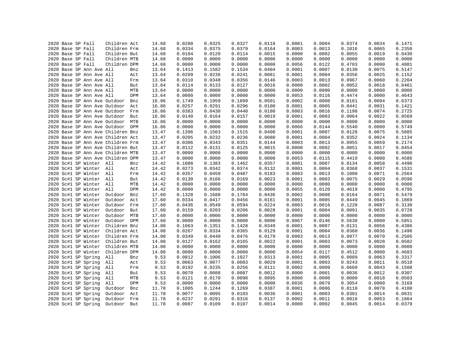|  | 2020 Base SP Fall |                          | Children Act                      |     | 14.68 | 0.0288 | 0.0325 | 0.0327 | 0.0118 | 0.0001 | 0.0004 | 0.0374 | 0.0034 | 0.1471 |
|--|-------------------|--------------------------|-----------------------------------|-----|-------|--------|--------|--------|--------|--------|--------|--------|--------|--------|
|  | 2020 Base SP Fall |                          | Children Frm                      |     | 14.68 | 0.0334 | 0.0375 | 0.0379 | 0.0164 | 0.0003 | 0.0013 | 0.1016 | 0.0065 | 0.2350 |
|  | 2020 Base SP Fall |                          | Children But                      |     | 14.68 | 0.0104 | 0.0120 | 0.0114 | 0.0015 | 0.0000 | 0.0002 | 0.0055 | 0.0019 | 0.0430 |
|  | 2020 Base SP Fall |                          | Children MTB                      |     | 14.68 | 0.0000 | 0.0000 | 0.0000 | 0.0000 | 0.0000 | 0.0000 | 0.0000 | 0.0000 | 0.0000 |
|  | 2020 Base SP Fall |                          | Children DPM                      |     | 14.68 | 0.0000 | 0.0000 | 0.0000 | 0.0000 | 0.0056 | 0.0122 | 0.4703 | 0.0000 | 0.4881 |
|  |                   | 2020 Base SP Ann Ave All |                                   | Bnz | 13.64 | 0.1413 | 0.1582 | 0.1534 | 0.0404 | 0.0001 | 0.0007 | 0.0130 | 0.0075 | 0.5147 |
|  |                   | 2020 Base SP Ann Ave All |                                   | Act | 13.64 | 0.0209 | 0.0236 | 0.0241 | 0.0081 | 0.0001 | 0.0004 | 0.0356 | 0.0025 | 0.1152 |
|  |                   | 2020 Base SP Ann Ave All |                                   | Frm | 13.64 | 0.0310 | 0.0348 | 0.0356 | 0.0146 | 0.0003 | 0.0013 | 0.0967 | 0.0060 | 0.2204 |
|  |                   | 2020 Base SP Ann Ave All |                                   | But | 13.64 | 0.0114 | 0.0133 | 0.0127 | 0.0016 | 0.0000 | 0.0002 | 0.0052 | 0.0018 | 0.0461 |
|  |                   | 2020 Base SP Ann Ave All |                                   | MTB | 13.64 | 0.0000 | 0.0000 | 0.0000 | 0.0000 | 0.0000 | 0.0000 | 0.0000 | 0.0000 | 0.0000 |
|  |                   | 2020 Base SP Ann Ave All |                                   | DPM | 13.64 | 0.0000 | 0.0000 | 0.0000 | 0.0000 | 0.0053 | 0.0116 | 0.4474 | 0.0000 | 0.4643 |
|  |                   |                          | 2020 Base SP Ann Ave Outdoor      | Bnz | 16.86 | 0.1749 | 0.1959 | 0.1899 | 0.0501 | 0.0002 | 0.0008 | 0.0161 | 0.0094 | 0.6373 |
|  |                   |                          | 2020 Base SP Ann Ave Outdoor      | Act | 16.86 | 0.0257 | 0.0291 | 0.0296 | 0.0100 | 0.0001 | 0.0005 | 0.0441 | 0.0031 | 0.1421 |
|  |                   |                          | 2020 Base SP Ann Ave Outdoor      | Frm | 16.86 | 0.0383 | 0.0430 | 0.0440 | 0.0180 | 0.0003 | 0.0016 | 0.1198 | 0.0074 | 0.2725 |
|  |                   |                          | 2020 Base SP Ann Ave Outdoor      | But | 16.86 | 0.0140 | 0.0164 | 0.0157 | 0.0019 | 0.0001 | 0.0003 | 0.0064 | 0.0022 | 0.0569 |
|  |                   |                          | 2020 Base SP Ann Ave Outdoor MTB  |     | 16.86 | 0.0000 | 0.0000 | 0.0000 | 0.0000 | 0.0000 | 0.0000 | 0.0000 | 0.0000 | 0.0000 |
|  |                   |                          | 2020 Base SP Ann Ave Outdoor DPM  |     | 16.86 | 0.0000 | 0.0000 | 0.0000 | 0.0000 | 0.0066 | 0.0144 | 0.5540 | 0.0000 | 0.5749 |
|  |                   |                          | 2020 Base SP Ann Ave Children Bnz |     | 13.47 | 0.1396 | 0.1563 | 0.1515 | 0.0400 | 0.0001 | 0.0007 | 0.0128 | 0.0075 | 0.5085 |
|  |                   |                          | 2020 Base SP Ann Ave Children Act |     | 13.47 | 0.0205 | 0.0232 | 0.0236 | 0.0080 | 0.0001 | 0.0004 | 0.0352 | 0.0024 | 0.1134 |
|  |                   |                          | 2020 Base SP Ann Ave Children Frm |     | 13.47 | 0.0306 | 0.0343 | 0.0351 | 0.0144 | 0.0003 | 0.0013 | 0.0955 | 0.0059 | 0.2174 |
|  |                   |                          | 2020 Base SP Ann Ave Children But |     | 13.47 | 0.0112 | 0.0131 | 0.0125 | 0.0015 | 0.0000 | 0.0002 | 0.0051 | 0.0017 | 0.0454 |
|  |                   |                          | 2020 Base SP Ann Ave Children MTB |     | 13.47 | 0.0000 | 0.0000 | 0.0000 | 0.0000 | 0.0000 | 0.0000 | 0.0000 | 0.0000 | 0.0000 |
|  |                   |                          | 2020 Base SP Ann Ave Children DPM |     | 13.47 | 0.0000 | 0.0000 | 0.0000 | 0.0000 | 0.0053 | 0.0115 | 0.4419 | 0.0000 | 0.4586 |
|  |                   |                          |                                   |     |       |        |        |        |        |        |        |        |        |        |
|  |                   | 2020 Sc#1 SP Winter All  |                                   | Bnz | 14.42 | 0.1088 | 0.1383 | 0.1462 | 0.0357 | 0.0001 | 0.0007 | 0.0134 | 0.0058 | 0.4490 |
|  |                   | 2020 Sc#1 SP Winter All  |                                   | Act | 14.42 | 0.0273 | 0.0342 | 0.0374 | 0.0132 | 0.0001 | 0.0004 | 0.0368 | 0.0037 | 0.1531 |
|  |                   | 2020 Sc#1 SP Winter All  |                                   | Frm | 14.42 | 0.0357 | 0.0450 | 0.0487 | 0.0183 | 0.0003 | 0.0013 | 0.1000 | 0.0071 | 0.2564 |
|  |                   | 2020 Sc#1 SP Winter All  |                                   | But | 14.42 | 0.0130 | 0.0166 | 0.0169 | 0.0023 | 0.0001 | 0.0003 | 0.0075 | 0.0029 | 0.0596 |
|  |                   | 2020 Sc#1 SP Winter All  |                                   | MTB | 14.42 | 0.0000 | 0.0000 | 0.0000 | 0.0000 | 0.0000 | 0.0000 | 0.0000 | 0.0000 | 0.0000 |
|  |                   | 2020 Sc#1 SP Winter All  |                                   | DPM | 14.42 | 0.0000 | 0.0000 | 0.0000 | 0.0000 | 0.0055 | 0.0120 | 0.4619 | 0.0000 | 0.4795 |
|  |                   | 2020 Sc#1 SP Winter      | Outdoor                           | Bnz | 17.60 | 0.1328 | 0.1688 | 0.1784 | 0.0436 | 0.0002 | 0.0008 | 0.0164 | 0.0071 | 0.5479 |
|  |                   | 2020 Sc#1 SP Winter      | Outdoor                           | Act | 17.60 | 0.0334 | 0.0417 | 0.0456 | 0.0161 | 0.0001 | 0.0005 | 0.0449 | 0.0045 | 0.1869 |
|  |                   | 2020 Sc#1 SP Winter      | Outdoor                           | Frm | 17.60 | 0.0436 | 0.0549 | 0.0594 | 0.0224 | 0.0003 | 0.0016 | 0.1220 | 0.0087 | 0.3130 |
|  |                   | 2020 Sc#1 SP Winter      | Outdoor                           | But | 17.60 | 0.0159 | 0.0203 | 0.0206 | 0.0028 | 0.0001 | 0.0004 | 0.0091 | 0.0035 | 0.0728 |
|  |                   | 2020 Sc#1 SP Winter      | Outdoor                           | MTB | 17.60 | 0.0000 | 0.0000 | 0.0000 | 0.0000 | 0.0000 | 0.0000 | 0.0000 | 0.0000 | 0.0000 |
|  |                   | 2020 Sc#1 SP Winter      | Outdoor DPM                       |     | 17.60 | 0.0000 | 0.0000 | 0.0000 | 0.0000 | 0.0067 | 0.0146 | 0.5638 | 0.0000 | 0.5851 |
|  |                   | 2020 Sc#1 SP Winter      | Children Bnz                      |     | 14.08 | 0.1063 | 0.1351 | 0.1428 | 0.0349 | 0.0001 | 0.0007 | 0.0131 | 0.0056 | 0.4386 |
|  |                   | 2020 Sc#1 SP Winter      | Children Act                      |     | 14.08 | 0.0267 | 0.0334 | 0.0365 | 0.0129 | 0.0001 | 0.0004 | 0.0360 | 0.0036 | 0.1496 |
|  |                   | 2020 Sc#1 SP Winter      | Children Frm                      |     | 14.08 | 0.0349 | 0.0440 | 0.0476 | 0.0179 | 0.0003 | 0.0013 | 0.0977 | 0.0070 | 0.2505 |
|  |                   | 2020 Sc#1 SP Winter      | Children But                      |     | 14.08 | 0.0127 | 0.0162 | 0.0165 | 0.0022 | 0.0001 | 0.0003 | 0.0073 | 0.0028 | 0.0582 |
|  |                   | 2020 Sc#1 SP Winter      | Children MTB                      |     | 14.08 | 0.0000 | 0.0000 | 0.0000 | 0.0000 | 0.0000 | 0.0000 | 0.0000 | 0.0000 | 0.0000 |
|  |                   | 2020 Sc#1 SP Winter      | Children DPM                      |     | 14.08 | 0.0000 | 0.0000 | 0.0000 | 0.0000 | 0.0054 | 0.0117 | 0.4512 | 0.0000 | 0.4683 |
|  |                   | 2020 Sc#1 SP Spring      | All                               | Bnz | 9.53  | 0.0812 | 0.1006 | 0.1027 | 0.0313 | 0.0001 | 0.0005 | 0.0089 | 0.0063 | 0.3317 |
|  |                   | 2020 Sc#1 SP Spring      | All                               | Act | 9.53  | 0.0063 | 0.0077 | 0.0083 | 0.0029 | 0.0001 | 0.0003 | 0.0243 | 0.0011 | 0.0510 |
|  |                   | 2020 Sc#1 SP Spring      | All                               | Frm | 9.53  | 0.0192 | 0.0235 | 0.0256 | 0.0111 | 0.0002 | 0.0009 | 0.0660 | 0.0043 | 0.1508 |
|  |                   | 2020 Sc#1 SP Spring      | All                               | But | 9.53  | 0.0070 | 0.0088 | 0.0087 | 0.0012 | 0.0000 | 0.0001 | 0.0036 | 0.0012 | 0.0307 |
|  |                   | 2020 Sc#1 SP Spring      | All                               | MTB | 9.53  | 0.0121 | 0.0170 | 0.0098 | 0.0095 | 0.0000 | 0.0000 | 0.0000 | 0.0018 | 0.0503 |
|  |                   | 2020 Sc#1 SP Spring      | All                               | DPM | 9.53  | 0.0000 | 0.0000 | 0.0000 | 0.0000 | 0.0036 | 0.0079 | 0.3054 | 0.0000 | 0.3169 |
|  |                   | 2020 Sc#1 SP Spring      | Outdoor                           | Bnz | 11.78 | 0.1005 | 0.1244 | 0.1269 | 0.0387 | 0.0001 | 0.0006 | 0.0110 | 0.0078 | 0.4100 |
|  |                   | 2020 Sc#1 SP Spring      | Outdoor                           | Act | 11.78 | 0.0077 | 0.0095 | 0.0103 | 0.0036 | 0.0001 | 0.0003 | 0.0301 | 0.0014 | 0.0631 |
|  |                   | 2020 Sc#1 SP Spring      | Outdoor                           | Frm | 11.78 | 0.0237 | 0.0291 | 0.0316 | 0.0137 | 0.0002 | 0.0011 | 0.0816 | 0.0053 | 0.1864 |
|  |                   | 2020 Sc#1 SP Spring      | Outdoor                           | But | 11.78 | 0.0087 | 0.0109 | 0.0107 | 0.0014 | 0.0000 | 0.0002 | 0.0045 | 0.0014 | 0.0379 |
|  |                   |                          |                                   |     |       |        |        |        |        |        |        |        |        |        |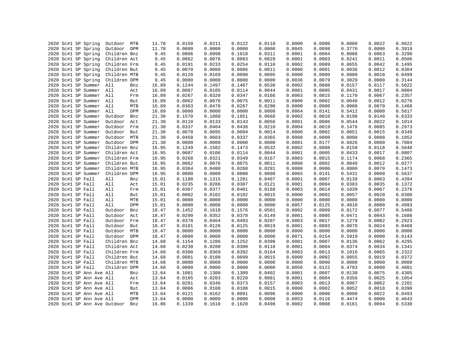|  | 2020 Sc#1 SP Spring      | Outdoor MTB                  |     | 11.78 | 0.0150 | 0.0211 | 0.0122 | 0.0118 | 0.0000 | 0.0000 | 0.0000 | 0.0022 | 0.0622 |
|--|--------------------------|------------------------------|-----|-------|--------|--------|--------|--------|--------|--------|--------|--------|--------|
|  | 2020 Sc#1 SP Spring      | Outdoor DPM                  |     | 11.78 | 0.0000 | 0.0000 | 0.0000 | 0.0000 | 0.0045 | 0.0098 | 0.3776 | 0.0000 | 0.3919 |
|  | 2020 Sc#1 SP Spring      | Children Bnz                 |     | 9.45  | 0.0806 | 0.0998 | 0.1018 | 0.0311 | 0.0001 | 0.0004 | 0.0088 | 0.0063 | 0.3290 |
|  | 2020 Sc#1 SP Spring      | Children Act                 |     | 9.45  | 0.0062 | 0.0076 | 0.0083 | 0.0029 | 0.0001 | 0.0003 | 0.0241 | 0.0011 | 0.0506 |
|  | 2020 Sc#1 SP Spring      | Children Frm                 |     | 9.45  | 0.0191 | 0.0233 | 0.0254 | 0.0110 | 0.0002 | 0.0009 | 0.0655 | 0.0042 | 0.1495 |
|  | 2020 Sc#1 SP Spring      | Children But                 |     | 9.45  | 0.0070 | 0.0088 | 0.0086 | 0.0011 | 0.0000 | 0.0001 | 0.0036 | 0.0012 | 0.0304 |
|  | 2020 Sc#1 SP Spring      | Children MTB                 |     | 9.45  | 0.0120 | 0.0169 | 0.0098 | 0.0095 | 0.0000 | 0.0000 | 0.0000 | 0.0018 | 0.0499 |
|  | 2020 Sc#1 SP Spring      | Children DPM                 |     | 9.45  | 0.0000 | 0.0000 | 0.0000 | 0.0000 | 0.0036 | 0.0079 | 0.3029 | 0.0000 | 0.3144 |
|  | 2020 Sc#1 SP Summer All  |                              | Bnz | 16.89 | 0.1244 | 0.1497 | 0.1467 | 0.0530 | 0.0002 | 0.0008 | 0.0157 | 0.0117 | 0.5022 |
|  | 2020 Sc#1 SP Summer All  |                              | Act | 16.89 | 0.0087 | 0.0105 | 0.0114 | 0.0044 | 0.0001 | 0.0005 | 0.0431 | 0.0017 | 0.0804 |
|  | 2020 Sc#1 SP Summer All  |                              | Frm | 16.89 | 0.0267 | 0.0320 | 0.0347 | 0.0166 | 0.0003 | 0.0015 | 0.1170 | 0.0067 | 0.2357 |
|  | 2020 Sc#1 SP Summer All  |                              | But | 16.89 | 0.0062 | 0.0076 | 0.0075 | 0.0011 | 0.0000 | 0.0002 | 0.0040 | 0.0012 | 0.0276 |
|  | 2020 Sc#1 SP Summer      | All                          | MTB | 16.89 | 0.0363 | 0.0478 | 0.0267 | 0.0290 | 0.0000 | 0.0000 | 0.0000 | 0.0070 | 0.1468 |
|  | 2020 Sc#1 SP Summer      | All                          | DPM | 16.89 | 0.0000 | 0.0000 | 0.0000 | 0.0000 | 0.0064 | 0.0141 | 0.5412 | 0.0000 | 0.5617 |
|  | 2020 Sc#1 SP Summer      | Outdoor                      | Bnz | 21.30 | 0.1570 | 0.1888 | 0.1851 | 0.0668 | 0.0002 | 0.0010 | 0.0198 | 0.0148 | 0.6333 |
|  | 2020 Sc#1 SP Summer      | Outdoor Act                  |     | 21.30 | 0.0110 | 0.0133 | 0.0143 | 0.0056 | 0.0001 | 0.0006 | 0.0544 | 0.0022 | 0.1014 |
|  | 2020 Sc#1 SP Summer      | Outdoor Frm                  |     | 21.30 | 0.0337 | 0.0404 | 0.0438 | 0.0210 | 0.0004 | 0.0019 | 0.1476 | 0.0085 | 0.2973 |
|  | 2020 Sc#1 SP Summer      | Outdoor But                  |     | 21.30 | 0.0078 | 0.0095 | 0.0094 | 0.0014 | 0.0000 | 0.0002 | 0.0051 | 0.0015 | 0.0349 |
|  | 2020 Sc#1 SP Summer      | Outdoor MTB                  |     | 21.30 | 0.0458 | 0.0603 | 0.0337 | 0.0365 | 0.0000 | 0.0000 | 0.0000 | 0.0088 | 0.1852 |
|  |                          | Outdoor DPM                  |     |       | 0.0000 | 0.0000 | 0.0000 | 0.0000 | 0.0081 | 0.0177 |        | 0.0000 | 0.7084 |
|  | 2020 Sc#1 SP Summer      |                              |     | 21.30 |        |        |        |        |        |        | 0.6826 |        |        |
|  | 2020 Sc#1 SP Summer      | Children Bnz                 |     | 16.95 | 0.1249 | 0.1502 | 0.1473 | 0.0532 | 0.0002 | 0.0008 | 0.0158 | 0.0118 | 0.5040 |
|  | 2020 Sc#1 SP Summer      | Children Act                 |     | 16.95 | 0.0087 | 0.0106 | 0.0114 | 0.0044 | 0.0001 | 0.0005 | 0.0433 | 0.0017 | 0.0807 |
|  | 2020 Sc#1 SP Summer      | Children Frm                 |     | 16.95 | 0.0268 | 0.0321 | 0.0349 | 0.0167 | 0.0003 | 0.0015 | 0.1174 | 0.0068 | 0.2365 |
|  | 2020 Sc#1 SP Summer      | Children But                 |     | 16.95 | 0.0062 | 0.0076 | 0.0075 | 0.0011 | 0.0000 | 0.0002 | 0.0040 | 0.0012 | 0.0277 |
|  | 2020 Sc#1 SP Summer      | Children MTB                 |     | 16.95 | 0.0364 | 0.0480 | 0.0268 | 0.0291 | 0.0000 | 0.0000 | 0.0000 | 0.0070 | 0.1473 |
|  | 2020 Sc#1 SP Summer      | Children DPM                 |     | 16.95 | 0.0000 | 0.0000 | 0.0000 | 0.0000 | 0.0065 | 0.0141 | 0.5431 | 0.0000 | 0.5637 |
|  | 2020 Sc#1 SP Fall        | All                          | Bnz | 15.01 | 0.1180 | 0.1315 | 0.1281 | 0.0407 | 0.0001 | 0.0007 | 0.0139 | 0.0063 | 0.4394 |
|  | 2020 Sc#1 SP Fall        | All                          | Act | 15.01 | 0.0235 | 0.0286 | 0.0307 | 0.0121 | 0.0001 | 0.0004 | 0.0383 | 0.0035 | 0.1372 |
|  | 2020 Sc#1 SP Fall        | All                          | Frm | 15.01 | 0.0307 | 0.0377 | 0.0401 | 0.0168 | 0.0003 | 0.0014 | 0.1039 | 0.0067 | 0.2376 |
|  | 2020 Sc#1 SP Fall        | All                          | But | 15.01 | 0.0082 | 0.0102 | 0.0102 | 0.0015 | 0.0000 | 0.0002 | 0.0057 | 0.0020 | 0.0380 |
|  | 2020 Sc#1 SP Fall        | All                          | MTB | 15.01 | 0.0000 | 0.0000 | 0.0000 | 0.0000 | 0.0000 | 0.0000 | 0.0000 | 0.0000 | 0.0000 |
|  | 2020 Sc#1 SP Fall        | All                          | DPM | 15.01 | 0.0000 | 0.0000 | 0.0000 | 0.0000 | 0.0057 | 0.0125 | 0.4810 | 0.0000 | 0.4993 |
|  | 2020 Sc#1 SP Fall        | Outdoor                      | Bnz | 18.47 | 0.1452 | 0.1618 | 0.1576 | 0.0501 | 0.0002 | 0.0009 | 0.0172 | 0.0077 | 0.5406 |
|  | 2020 Sc#1 SP Fall        | Outdoor                      | Act | 18.47 | 0.0290 | 0.0352 | 0.0378 | 0.0149 | 0.0001 | 0.0005 | 0.0471 | 0.0043 | 0.1688 |
|  | 2020 Sc#1 SP Fall        | Outdoor Frm                  |     | 18.47 | 0.0378 | 0.0464 | 0.0493 | 0.0207 | 0.0003 | 0.0017 | 0.1279 | 0.0082 | 0.2923 |
|  | 2020 Sc#1 SP Fall        | Outdoor                      | But | 18.47 | 0.0101 | 0.0126 | 0.0125 | 0.0019 | 0.0001 | 0.0003 | 0.0070 | 0.0024 | 0.0468 |
|  | 2020 Sc#1 SP Fall        | Outdoor MTB                  |     | 18.47 | 0.0000 | 0.0000 | 0.0000 | 0.0000 | 0.0000 | 0.0000 | 0.0000 | 0.0000 | 0.0000 |
|  | 2020 Sc#1 SP Fall        | Outdoor DPM                  |     | 18.47 | 0.0000 | 0.0000 | 0.0000 | 0.0000 | 0.0071 | 0.0154 | 0.5919 | 0.0000 | 0.6143 |
|  | 2020 Sc#1 SP Fall        | Children Bnz                 |     | 14.68 | 0.1154 | 0.1286 | 0.1252 | 0.0398 | 0.0001 | 0.0007 | 0.0136 | 0.0062 | 0.4295 |
|  | 2020 Sc#1 SP Fall        | Children Act                 |     | 14.68 | 0.0230 | 0.0280 | 0.0300 | 0.0118 | 0.0001 | 0.0004 | 0.0374 | 0.0034 | 0.1341 |
|  |                          |                              |     |       |        |        | 0.0392 |        |        |        |        |        | 0.2322 |
|  | 2020 Sc#1 SP Fall        | Children Frm                 |     | 14.68 | 0.0300 | 0.0369 |        | 0.0164 | 0.0003 | 0.0013 | 0.1016 | 0.0065 |        |
|  | 2020 Sc#1 SP Fall        | Children But                 |     | 14.68 | 0.0081 | 0.0100 | 0.0099 | 0.0015 | 0.0000 | 0.0002 | 0.0055 | 0.0019 | 0.0372 |
|  | 2020 Sc#1 SP Fall        | Children MTB                 |     | 14.68 | 0.0000 | 0.0000 | 0.0000 | 0.0000 | 0.0000 | 0.0000 | 0.0000 | 0.0000 | 0.0000 |
|  | 2020 Sc#1 SP Fall        | Children DPM                 |     | 14.68 | 0.0000 | 0.0000 | 0.0000 | 0.0000 | 0.0056 | 0.0122 | 0.4703 | 0.0000 | 0.4881 |
|  | 2020 Sc#1 SP Ann Ave All |                              | Bnz | 13.64 | 0.1081 | 0.1300 | 0.1309 | 0.0402 | 0.0001 | 0.0007 | 0.0130 | 0.0075 | 0.4305 |
|  | 2020 Sc#1 SP Ann Ave All |                              | Act | 13.64 | 0.0165 | 0.0203 | 0.0220 | 0.0081 | 0.0001 | 0.0004 | 0.0356 | 0.0025 | 0.1054 |
|  | 2020 Sc#1 SP Ann Ave All |                              | Frm | 13.64 | 0.0281 | 0.0346 | 0.0373 | 0.0157 | 0.0003 | 0.0013 | 0.0967 | 0.0062 | 0.2201 |
|  | 2020 Sc#1 SP Ann Ave All |                              | But | 13.64 | 0.0086 | 0.0108 | 0.0108 | 0.0015 | 0.0000 | 0.0002 | 0.0052 | 0.0018 | 0.0390 |
|  | 2020 Sc#1 SP Ann Ave All |                              | MTB | 13.64 | 0.0121 | 0.0162 | 0.0091 | 0.0096 | 0.0000 | 0.0000 | 0.0000 | 0.0022 | 0.0493 |
|  | 2020 Sc#1 SP Ann Ave All |                              | DPM | 13.64 | 0.0000 | 0.0000 | 0.0000 | 0.0000 | 0.0053 | 0.0116 | 0.4474 | 0.0000 | 0.4643 |
|  |                          | 2020 Sc#1 SP Ann Ave Outdoor | Bnz | 16.86 | 0.1339 | 0.1610 | 0.1620 | 0.0498 | 0.0002 | 0.0008 | 0.0161 | 0.0094 | 0.5330 |
|  |                          |                              |     |       |        |        |        |        |        |        |        |        |        |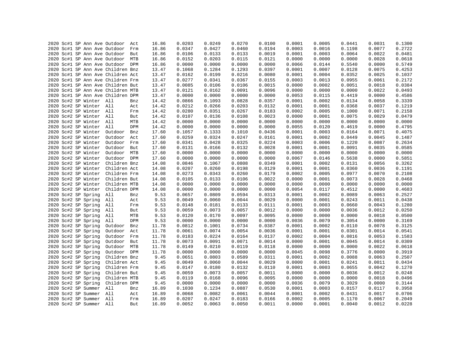|  |  |                         | 2020 Sc#1 SP Ann Ave Outdoor Act  |     | 16.86 | 0.0203 | 0.0249 | 0.0270 | 0.0100 | 0.0001 | 0.0005 | 0.0441 | 0.0031 | 0.1300 |
|--|--|-------------------------|-----------------------------------|-----|-------|--------|--------|--------|--------|--------|--------|--------|--------|--------|
|  |  |                         | 2020 Sc#1 SP Ann Ave Outdoor      | Frm | 16.86 | 0.0347 | 0.0427 | 0.0460 | 0.0194 | 0.0003 | 0.0016 | 0.1198 | 0.0077 | 0.2722 |
|  |  |                         | 2020 Sc#1 SP Ann Ave Outdoor      | But | 16.86 | 0.0106 | 0.0133 | 0.0133 | 0.0019 | 0.0001 | 0.0003 | 0.0064 | 0.0022 | 0.0481 |
|  |  |                         | 2020 Sc#1 SP Ann Ave Outdoor MTB  |     | 16.86 | 0.0152 | 0.0203 | 0.0115 | 0.0121 | 0.0000 | 0.0000 | 0.0000 | 0.0028 | 0.0618 |
|  |  |                         | 2020 Sc#1 SP Ann Ave Outdoor DPM  |     | 16.86 | 0.0000 | 0.0000 | 0.0000 | 0.0000 | 0.0066 | 0.0144 | 0.5540 | 0.0000 | 0.5749 |
|  |  |                         | 2020 Sc#1 SP Ann Ave Children Bnz |     | 13.47 | 0.1068 | 0.1284 | 0.1293 | 0.0397 | 0.0001 | 0.0007 | 0.0128 | 0.0075 | 0.4253 |
|  |  |                         | 2020 Sc#1 SP Ann Ave Children Act |     | 13.47 | 0.0162 | 0.0199 | 0.0216 | 0.0080 | 0.0001 | 0.0004 | 0.0352 | 0.0025 | 0.1037 |
|  |  |                         | 2020 Sc#1 SP Ann Ave Children Frm |     | 13.47 | 0.0277 | 0.0341 | 0.0367 | 0.0155 | 0.0003 | 0.0013 | 0.0955 | 0.0061 | 0.2172 |
|  |  |                         | 2020 Sc#1 SP Ann Ave Children But |     | 13.47 | 0.0085 | 0.0106 | 0.0106 | 0.0015 | 0.0000 | 0.0002 | 0.0051 | 0.0018 | 0.0384 |
|  |  |                         | 2020 Sc#1 SP Ann Ave Children MTB |     | 13.47 | 0.0121 | 0.0162 | 0.0091 | 0.0096 | 0.0000 | 0.0000 | 0.0000 | 0.0022 | 0.0493 |
|  |  |                         | 2020 Sc#1 SP Ann Ave Children DPM |     | 13.47 | 0.0000 | 0.0000 | 0.0000 | 0.0000 | 0.0053 | 0.0115 | 0.4419 | 0.0000 | 0.4586 |
|  |  | 2020 Sc#2 SP Winter All |                                   | Bnz | 14.42 | 0.0866 | 0.1093 | 0.0828 | 0.0357 | 0.0001 | 0.0002 | 0.0134 | 0.0058 | 0.3339 |
|  |  | 2020 Sc#2 SP Winter All |                                   | Act | 14.42 | 0.0212 | 0.0266 | 0.0203 | 0.0132 | 0.0001 | 0.0001 | 0.0368 | 0.0037 | 0.1219 |
|  |  | 2020 Sc#2 SP Winter All |                                   | Frm | 14.42 | 0.0280 | 0.0351 | 0.0267 | 0.0183 | 0.0002 | 0.0005 | 0.1000 | 0.0071 | 0.2158 |
|  |  | 2020 Sc#2 SP Winter All |                                   | But | 14.42 | 0.0107 | 0.0136 | 0.0108 | 0.0023 | 0.0000 | 0.0001 | 0.0075 | 0.0029 | 0.0479 |
|  |  | 2020 Sc#2 SP Winter All |                                   | MTB | 14.42 | 0.0000 | 0.0000 | 0.0000 | 0.0000 | 0.0000 | 0.0000 | 0.0000 | 0.0000 | 0.0000 |
|  |  | 2020 Sc#2 SP Winter All |                                   | DPM | 14.42 | 0.0000 | 0.0000 | 0.0000 | 0.0000 | 0.0055 | 0.0120 | 0.4619 | 0.0000 | 0.4795 |
|  |  | 2020 Sc#2 SP Winter     | Outdoor                           | Bnz | 17.60 | 0.1057 | 0.1333 | 0.1010 | 0.0436 | 0.0001 | 0.0003 | 0.0164 | 0.0071 | 0.4075 |
|  |  | 2020 Sc#2 SP Winter     | Outdoor                           | Act | 17.60 | 0.0259 | 0.0324 | 0.0247 | 0.0161 | 0.0001 | 0.0002 | 0.0449 | 0.0045 | 0.1487 |
|  |  | 2020 Sc#2 SP Winter     | Outdoor Frm                       |     | 17.60 | 0.0341 | 0.0428 | 0.0325 | 0.0224 | 0.0003 | 0.0006 | 0.1220 | 0.0087 | 0.2634 |
|  |  | 2020 Sc#2 SP Winter     | Outdoor                           | But | 17.60 | 0.0131 | 0.0166 | 0.0132 | 0.0028 | 0.0001 | 0.0001 | 0.0091 | 0.0035 | 0.0585 |
|  |  | 2020 Sc#2 SP Winter     | Outdoor MTB                       |     | 17.60 | 0.0000 | 0.0000 | 0.0000 | 0.0000 | 0.0000 | 0.0000 | 0.0000 | 0.0000 | 0.0000 |
|  |  | 2020 Sc#2 SP Winter     | Outdoor DPM                       |     | 17.60 | 0.0000 | 0.0000 | 0.0000 | 0.0000 | 0.0067 | 0.0146 | 0.5638 | 0.0000 | 0.5851 |
|  |  | 2020 Sc#2 SP Winter     | Children Bnz                      |     | 14.08 | 0.0846 | 0.1067 | 0.0808 | 0.0349 | 0.0001 | 0.0002 | 0.0131 | 0.0056 | 0.3262 |
|  |  | 2020 Sc#2 SP Winter     | Children Act                      |     | 14.08 | 0.0207 | 0.0260 | 0.0198 | 0.0129 | 0.0001 | 0.0001 | 0.0360 | 0.0036 | 0.1191 |
|  |  | 2020 Sc#2 SP Winter     | Children Frm                      |     | 14.08 | 0.0273 | 0.0343 | 0.0260 | 0.0179 | 0.0002 | 0.0005 | 0.0977 | 0.0070 | 0.2108 |
|  |  | 2020 Sc#2 SP Winter     | Children But                      |     | 14.08 | 0.0105 | 0.0133 | 0.0106 | 0.0022 | 0.0000 | 0.0001 | 0.0073 | 0.0028 | 0.0468 |
|  |  | 2020 Sc#2 SP Winter     | Children MTB                      |     | 14.08 | 0.0000 | 0.0000 | 0.0000 | 0.0000 | 0.0000 | 0.0000 | 0.0000 | 0.0000 | 0.0000 |
|  |  | 2020 Sc#2 SP Winter     | Children DPM                      |     | 14.08 | 0.0000 | 0.0000 | 0.0000 | 0.0000 | 0.0054 | 0.0117 | 0.4512 | 0.0000 | 0.4683 |
|  |  | 2020 Sc#2 SP Spring     | All                               | Bnz | 9.53  | 0.0657 | 0.0809 | 0.0594 | 0.0313 | 0.0001 | 0.0002 | 0.0089 | 0.0063 | 0.2527 |
|  |  | 2020 Sc#2 SP Spring     | All                               | Act | 9.53  | 0.0049 | 0.0060 | 0.0044 | 0.0029 | 0.0000 | 0.0001 | 0.0243 | 0.0011 | 0.0438 |
|  |  | 2020 Sc#2 SP Spring     | All                               | Frm | 9.53  | 0.0148 | 0.0181 | 0.0133 | 0.0111 | 0.0001 | 0.0003 | 0.0660 | 0.0043 | 0.1280 |
|  |  | 2020 Sc#2 SP Spring     | All                               | But | 9.53  | 0.0059 | 0.0073 | 0.0057 | 0.0012 | 0.0000 | 0.0000 | 0.0036 | 0.0012 | 0.0250 |
|  |  | 2020 Sc#2 SP Spring     | All                               | MTB | 9.53  | 0.0120 | 0.0170 | 0.0097 | 0.0095 | 0.0000 | 0.0000 | 0.0000 | 0.0018 | 0.0500 |
|  |  | 2020 Sc#2 SP Spring     | All                               | DPM | 9.53  | 0.0000 | 0.0000 | 0.0000 | 0.0000 | 0.0036 | 0.0079 | 0.3054 | 0.0000 | 0.3169 |
|  |  | 2020 Sc#2 SP Spring     | Outdoor                           | Bnz | 11.78 | 0.0812 | 0.1001 | 0.0734 | 0.0387 | 0.0001 | 0.0002 | 0.0110 | 0.0078 | 0.3125 |
|  |  | 2020 Sc#2 SP Spring     | Outdoor Act                       |     | 11.78 | 0.0061 | 0.0074 | 0.0054 | 0.0036 | 0.0001 | 0.0001 | 0.0301 | 0.0014 | 0.0541 |
|  |  | 2020 Sc#2 SP Spring     | Outdoor                           | Frm | 11.78 | 0.0183 | 0.0224 | 0.0164 | 0.0137 | 0.0002 | 0.0004 | 0.0816 | 0.0053 | 0.1583 |
|  |  | 2020 Sc#2 SP Spring     | Outdoor But                       |     | 11.78 | 0.0073 | 0.0091 | 0.0071 | 0.0014 | 0.0000 | 0.0001 | 0.0045 | 0.0014 | 0.0309 |
|  |  | 2020 Sc#2 SP Spring     | Outdoor MTB                       |     | 11.78 | 0.0149 | 0.0210 | 0.0119 | 0.0118 | 0.0000 | 0.0000 | 0.0000 | 0.0022 | 0.0618 |
|  |  | 2020 Sc#2 SP Spring     | Outdoor DPM                       |     | 11.78 | 0.0000 | 0.0000 | 0.0000 | 0.0000 | 0.0045 | 0.0098 | 0.3776 | 0.0000 | 0.3919 |
|  |  | 2020 Sc#2 SP Spring     | Children Bnz                      |     | 9.45  | 0.0651 | 0.0803 | 0.0589 | 0.0311 | 0.0001 | 0.0002 | 0.0088 | 0.0063 | 0.2507 |
|  |  | 2020 Sc#2 SP Spring     | Children Act                      |     | 9.45  | 0.0049 | 0.0060 | 0.0044 | 0.0029 | 0.0000 | 0.0001 | 0.0241 | 0.0011 | 0.0434 |
|  |  | 2020 Sc#2 SP Spring     | Children Frm                      |     | 9.45  | 0.0147 | 0.0180 | 0.0132 | 0.0110 | 0.0001 | 0.0003 | 0.0655 | 0.0042 | 0.1270 |
|  |  | 2020 Sc#2 SP Spring     | Children But                      |     | 9.45  | 0.0059 | 0.0073 | 0.0057 | 0.0011 | 0.0000 | 0.0000 | 0.0036 | 0.0012 | 0.0248 |
|  |  | 2020 Sc#2 SP Spring     | Children MTB                      |     | 9.45  | 0.0119 | 0.0168 | 0.0096 | 0.0095 | 0.0000 | 0.0000 | 0.0000 | 0.0018 | 0.0496 |
|  |  | 2020 Sc#2 SP Spring     | Children DPM                      |     | 9.45  | 0.0000 | 0.0000 | 0.0000 | 0.0000 | 0.0036 | 0.0079 | 0.3029 | 0.0000 | 0.3144 |
|  |  | 2020 Sc#2 SP Summer     | All                               | Bnz | 16.89 | 0.1030 | 0.1234 | 0.0887 | 0.0530 | 0.0001 | 0.0003 | 0.0157 | 0.0117 | 0.3958 |
|  |  | 2020 Sc#2 SP Summer All |                                   | Act | 16.89 | 0.0068 | 0.0082 | 0.0061 | 0.0044 | 0.0001 | 0.0002 | 0.0431 | 0.0017 | 0.0706 |
|  |  | 2020 Sc#2 SP Summer All |                                   | Frm | 16.89 | 0.0207 | 0.0247 | 0.0183 | 0.0166 | 0.0002 | 0.0005 | 0.1170 | 0.0067 | 0.2049 |
|  |  | 2020 Sc#2 SP Summer All |                                   | But | 16.89 | 0.0052 | 0.0063 | 0.0050 | 0.0011 | 0.0000 | 0.0001 | 0.0040 | 0.0012 | 0.0228 |
|  |  |                         |                                   |     |       |        |        |        |        |        |        |        |        |        |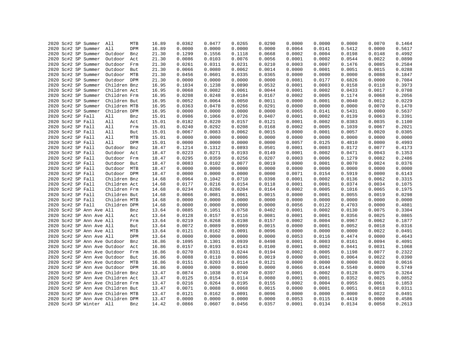|  |                   |                                            |                                   |     | 16.89 | 0.0362 | 0.0477 | 0.0265 | 0.0290 | 0.0000 | 0.0000 | 0.0000 | 0.0070 | 0.1464           |
|--|-------------------|--------------------------------------------|-----------------------------------|-----|-------|--------|--------|--------|--------|--------|--------|--------|--------|------------------|
|  |                   | 2020 Sc#2 SP Summer<br>2020 Sc#2 SP Summer | All<br>All                        | MTB | 16.89 | 0.0000 | 0.0000 | 0.0000 | 0.0000 | 0.0064 | 0.0141 |        | 0.0000 | 0.5617           |
|  |                   |                                            |                                   | DPM |       |        |        |        |        |        |        | 0.5412 |        |                  |
|  |                   | 2020 Sc#2 SP Summer                        | Outdoor                           | Bnz | 21.30 | 0.1299 | 0.1556 | 0.1118 | 0.0668 | 0.0002 | 0.0004 | 0.0198 | 0.0148 | 0.4992<br>0.0890 |
|  |                   | 2020 Sc#2 SP Summer                        | Outdoor                           | Act | 21.30 | 0.0086 | 0.0103 | 0.0076 | 0.0056 | 0.0001 | 0.0002 | 0.0544 | 0.0022 |                  |
|  |                   | 2020 Sc#2 SP Summer                        | Outdoor Frm                       |     | 21.30 | 0.0261 | 0.0311 | 0.0231 | 0.0210 | 0.0003 | 0.0007 | 0.1476 | 0.0085 | 0.2584           |
|  |                   | 2020 Sc#2 SP Summer                        | Outdoor                           | But | 21.30 | 0.0066 | 0.0080 | 0.0062 | 0.0014 | 0.0000 | 0.0001 | 0.0051 | 0.0015 | 0.0288           |
|  |                   | 2020 Sc#2 SP Summer                        | Outdoor MTB                       |     | 21.30 | 0.0456 | 0.0601 | 0.0335 | 0.0365 | 0.0000 | 0.0000 | 0.0000 | 0.0088 | 0.1847           |
|  |                   | 2020 Sc#2 SP Summer                        | Outdoor DPM                       |     | 21.30 | 0.0000 | 0.0000 | 0.0000 | 0.0000 | 0.0081 | 0.0177 | 0.6826 | 0.0000 | 0.7084           |
|  |                   | 2020 Sc#2 SP Summer                        | Children Bnz                      |     | 16.95 | 0.1034 | 0.1238 | 0.0890 | 0.0532 | 0.0001 | 0.0003 | 0.0158 | 0.0118 | 0.3973           |
|  |                   | 2020 Sc#2 SP Summer                        | Children Act                      |     | 16.95 | 0.0068 | 0.0082 | 0.0061 | 0.0044 | 0.0001 | 0.0002 | 0.0433 | 0.0017 | 0.0708           |
|  |                   | 2020 Sc#2 SP Summer                        | Children Frm                      |     | 16.95 | 0.0208 | 0.0248 | 0.0184 | 0.0167 | 0.0002 | 0.0005 | 0.1174 | 0.0068 | 0.2056           |
|  |                   | 2020 Sc#2 SP Summer                        | Children But                      |     | 16.95 | 0.0052 | 0.0064 | 0.0050 | 0.0011 | 0.0000 | 0.0001 | 0.0040 | 0.0012 | 0.0229           |
|  |                   | 2020 Sc#2 SP Summer                        | Children MTB                      |     | 16.95 | 0.0363 | 0.0478 | 0.0266 | 0.0291 | 0.0000 | 0.0000 | 0.0000 | 0.0070 | 0.1470           |
|  |                   | 2020 Sc#2 SP Summer                        | Children DPM                      |     | 16.95 | 0.0000 | 0.0000 | 0.0000 | 0.0000 | 0.0065 | 0.0141 | 0.5431 | 0.0000 | 0.5637           |
|  | 2020 Sc#2 SP Fall |                                            | All                               | Bnz | 15.01 | 0.0986 | 0.1066 | 0.0726 | 0.0407 | 0.0001 | 0.0002 | 0.0139 | 0.0063 | 0.3391           |
|  | 2020 Sc#2 SP Fall |                                            | All                               | Act | 15.01 | 0.0182 | 0.0220 | 0.0157 | 0.0121 | 0.0001 | 0.0002 | 0.0383 | 0.0035 | 0.1100           |
|  | 2020 Sc#2 SP Fall |                                            | All                               | Frm | 15.01 | 0.0240 | 0.0292 | 0.0208 | 0.0168 | 0.0002 | 0.0005 | 0.1039 | 0.0067 | 0.2021           |
|  | 2020 Sc#2 SP Fall |                                            | All                               | But | 15.01 | 0.0067 | 0.0083 | 0.0062 | 0.0015 | 0.0000 | 0.0001 | 0.0057 | 0.0020 | 0.0305           |
|  | 2020 Sc#2 SP Fall |                                            | All                               | MTB | 15.01 | 0.0000 | 0.0000 | 0.0000 | 0.0000 | 0.0000 | 0.0000 | 0.0000 | 0.0000 | 0.0000           |
|  | 2020 Sc#2 SP Fall |                                            | All                               | DPM | 15.01 | 0.0000 | 0.0000 | 0.0000 | 0.0000 | 0.0057 | 0.0125 | 0.4810 | 0.0000 | 0.4993           |
|  | 2020 Sc#2 SP Fall |                                            | Outdoor                           | Bnz | 18.47 | 0.1214 | 0.1312 | 0.0893 | 0.0501 | 0.0001 | 0.0003 | 0.0172 | 0.0077 | 0.4173           |
|  | 2020 Sc#2 SP Fall |                                            | Outdoor                           | Act | 18.47 | 0.0223 | 0.0271 | 0.0193 | 0.0149 | 0.0001 | 0.0002 | 0.0471 | 0.0043 | 0.1353           |
|  | 2020 Sc#2 SP Fall |                                            | Outdoor                           | Frm | 18.47 | 0.0295 | 0.0359 | 0.0256 | 0.0207 | 0.0003 | 0.0006 | 0.1279 | 0.0082 | 0.2486           |
|  | 2020 Sc#2 SP Fall |                                            | Outdoor But                       |     | 18.47 | 0.0083 | 0.0102 | 0.0077 | 0.0019 | 0.0000 | 0.0001 | 0.0070 | 0.0024 | 0.0376           |
|  | 2020 Sc#2 SP Fall |                                            | Outdoor MTB                       |     | 18.47 | 0.0000 | 0.0000 | 0.0000 | 0.0000 | 0.0000 | 0.0000 | 0.0000 | 0.0000 | 0.0000           |
|  | 2020 Sc#2 SP Fall |                                            | Outdoor DPM                       |     | 18.47 | 0.0000 | 0.0000 | 0.0000 | 0.0000 | 0.0071 | 0.0154 | 0.5919 | 0.0000 | 0.6143           |
|  | 2020 Sc#2 SP Fall |                                            | Children Bnz                      |     | 14.68 | 0.0964 | 0.1042 | 0.0710 | 0.0398 | 0.0001 | 0.0002 | 0.0136 | 0.0062 | 0.3315           |
|  | 2020 Sc#2 SP Fall |                                            | Children Act                      |     | 14.68 | 0.0177 | 0.0216 | 0.0154 | 0.0118 | 0.0001 | 0.0001 | 0.0374 | 0.0034 | 0.1075           |
|  | 2020 Sc#2 SP Fall |                                            | Children Frm                      |     | 14.68 | 0.0234 | 0.0286 | 0.0204 | 0.0164 | 0.0002 | 0.0005 | 0.1016 | 0.0065 | 0.1975           |
|  | 2020 Sc#2 SP Fall |                                            | Children But                      |     | 14.68 | 0.0066 | 0.0081 | 0.0061 | 0.0015 | 0.0000 | 0.0001 | 0.0055 | 0.0019 | 0.0298           |
|  | 2020 Sc#2 SP Fall |                                            | Children MTB                      |     | 14.68 | 0.0000 | 0.0000 | 0.0000 | 0.0000 | 0.0000 | 0.0000 | 0.0000 | 0.0000 | 0.0000           |
|  | 2020 Sc#2 SP Fall |                                            | Children DPM                      |     | 14.68 | 0.0000 | 0.0000 | 0.0000 | 0.0000 | 0.0056 | 0.0122 | 0.4703 | 0.0000 | 0.4881           |
|  |                   | 2020 Sc#2 SP Ann Ave All                   |                                   | Bnz | 13.64 | 0.0885 | 0.1051 | 0.0758 | 0.0402 | 0.0001 | 0.0002 | 0.0130 | 0.0075 | 0.3304           |
|  |                   | 2020 Sc#2 SP Ann Ave All                   |                                   | Act | 13.64 | 0.0128 | 0.0157 | 0.0116 | 0.0081 | 0.0001 | 0.0001 | 0.0356 | 0.0025 | 0.0865           |
|  |                   | 2020 Sc#2 SP Ann Ave All                   |                                   | Frm | 13.64 | 0.0219 | 0.0268 | 0.0198 | 0.0157 | 0.0002 | 0.0004 | 0.0967 | 0.0062 | 0.1877           |
|  |                   | 2020 Sc#2 SP Ann Ave All                   |                                   | But | 13.64 | 0.0072 | 0.0089 | 0.0069 | 0.0015 | 0.0000 | 0.0001 | 0.0052 | 0.0018 | 0.0316           |
|  |                   | 2020 Sc#2 SP Ann Ave All                   |                                   | MTB | 13.64 | 0.0121 | 0.0162 | 0.0091 | 0.0096 | 0.0000 | 0.0000 | 0.0000 | 0.0022 | 0.0491           |
|  |                   | 2020 Sc#2 SP Ann Ave All                   |                                   | DPM | 13.64 | 0.0000 | 0.0000 | 0.0000 | 0.0000 | 0.0053 | 0.0116 | 0.4474 | 0.0000 | 0.4643           |
|  |                   |                                            | 2020 Sc#2 SP Ann Ave Outdoor      | Bnz | 16.86 | 0.1095 | 0.1301 | 0.0939 | 0.0498 | 0.0001 | 0.0003 | 0.0161 | 0.0094 | 0.4091           |
|  |                   |                                            | 2020 Sc#2 SP Ann Ave Outdoor      | Act | 16.86 | 0.0157 | 0.0193 | 0.0143 | 0.0100 | 0.0001 | 0.0002 | 0.0441 | 0.0031 | 0.1068           |
|  |                   |                                            | 2020 Sc#2 SP Ann Ave Outdoor      | Frm | 16.86 | 0.0270 | 0.0331 | 0.0244 | 0.0194 | 0.0002 | 0.0005 | 0.1198 | 0.0077 | 0.2322           |
|  |                   |                                            | 2020 Sc#2 SP Ann Ave Outdoor      | But | 16.86 | 0.0088 | 0.0110 | 0.0086 | 0.0019 | 0.0000 | 0.0001 | 0.0064 | 0.0022 | 0.0390           |
|  |                   |                                            | 2020 Sc#2 SP Ann Ave Outdoor MTB  |     | 16.86 | 0.0151 | 0.0203 | 0.0114 | 0.0121 | 0.0000 | 0.0000 | 0.0000 | 0.0028 | 0.0616           |
|  |                   |                                            |                                   |     |       |        |        |        |        | 0.0066 | 0.0144 |        |        |                  |
|  |                   |                                            | 2020 Sc#2 SP Ann Ave Outdoor DPM  |     | 16.86 | 0.0000 | 0.0000 | 0.0000 | 0.0000 |        |        | 0.5540 | 0.0000 | 0.5749           |
|  |                   |                                            | 2020 Sc#2 SP Ann Ave Children Bnz |     | 13.47 | 0.0874 | 0.1038 | 0.0749 | 0.0397 | 0.0001 | 0.0002 | 0.0128 | 0.0075 | 0.3264           |
|  |                   |                                            | 2020 Sc#2 SP Ann Ave Children Act |     | 13.47 | 0.0125 | 0.0154 | 0.0114 | 0.0080 | 0.0001 | 0.0001 | 0.0352 | 0.0025 | 0.0852           |
|  |                   |                                            | 2020 Sc#2 SP Ann Ave Children Frm |     | 13.47 | 0.0216 | 0.0264 | 0.0195 | 0.0155 | 0.0002 | 0.0004 | 0.0955 | 0.0061 | 0.1853           |
|  |                   |                                            | 2020 Sc#2 SP Ann Ave Children But |     | 13.47 | 0.0071 | 0.0088 | 0.0068 | 0.0015 | 0.0000 | 0.0001 | 0.0051 | 0.0018 | 0.0311           |
|  |                   |                                            | 2020 Sc#2 SP Ann Ave Children MTB |     | 13.47 | 0.0121 | 0.0162 | 0.0091 | 0.0096 | 0.0000 | 0.0000 | 0.0000 | 0.0022 | 0.0491           |
|  |                   |                                            | 2020 Sc#2 SP Ann Ave Children DPM |     | 13.47 | 0.0000 | 0.0000 | 0.0000 | 0.0000 | 0.0053 | 0.0115 | 0.4419 | 0.0000 | 0.4586           |
|  |                   | 2020 Sc#3 SP Winter All                    |                                   | Bnz | 14.42 | 0.0866 | 0.0607 | 0.0456 | 0.0357 | 0.0001 | 0.0134 | 0.0134 | 0.0058 | 0.2613           |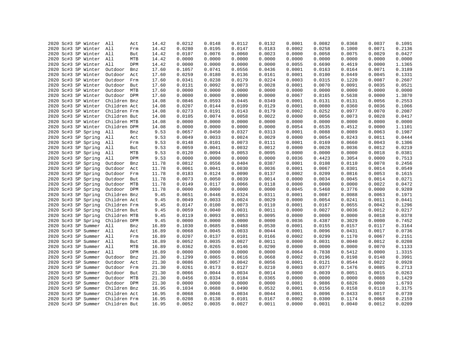| 2020 Sc#3 SP Winter                        | All<br>Act     | 14.42 | 0.0212 | 0.0148 | 0.0112 | 0.0132 | 0.0001 | 0.0082 | 0.0368 | 0.0037 | 0.1091 |
|--------------------------------------------|----------------|-------|--------|--------|--------|--------|--------|--------|--------|--------|--------|
| 2020 Sc#3 SP Winter                        | All<br>Frm     | 14.42 | 0.0280 | 0.0195 | 0.0147 | 0.0183 | 0.0002 | 0.0258 | 0.1000 | 0.0071 | 0.2136 |
| 2020 Sc#3 SP Winter All                    | But            | 14.42 | 0.0107 | 0.0076 | 0.0060 | 0.0023 | 0.0000 | 0.0058 | 0.0075 | 0.0029 | 0.0427 |
| 2020 Sc#3 SP Winter All                    | MTB            | 14.42 | 0.0000 | 0.0000 | 0.0000 | 0.0000 | 0.0000 | 0.0000 | 0.0000 | 0.0000 | 0.0000 |
| 2020 Sc#3 SP Winter All                    | DPM            | 14.42 | 0.0000 | 0.0000 | 0.0000 | 0.0000 | 0.0055 | 0.6690 | 0.4619 | 0.0000 | 1.1365 |
| 2020 Sc#3 SP Winter                        | Outdoor<br>Bnz | 17.60 | 0.1057 | 0.0741 | 0.0556 | 0.0436 | 0.0001 | 0.0163 | 0.0164 | 0.0071 | 0.3189 |
| 2020 Sc#3 SP Winter                        | Outdoor<br>Act | 17.60 | 0.0259 | 0.0180 | 0.0136 | 0.0161 | 0.0001 | 0.0100 | 0.0449 | 0.0045 | 0.1331 |
| 2020 Sc#3 SP Winter                        | Outdoor<br>Frm | 17.60 | 0.0341 | 0.0238 | 0.0179 | 0.0224 | 0.0003 | 0.0315 | 0.1220 | 0.0087 | 0.2607 |
| 2020 Sc#3 SP Winter                        | Outdoor But    | 17.60 | 0.0131 | 0.0092 | 0.0073 | 0.0028 | 0.0001 | 0.0070 | 0.0091 | 0.0035 | 0.0521 |
| 2020 Sc#3 SP Winter                        | Outdoor MTB    | 17.60 | 0.0000 | 0.0000 | 0.0000 | 0.0000 | 0.0000 | 0.0000 | 0.0000 | 0.0000 | 0.0000 |
| 2020 Sc#3 SP Winter                        | Outdoor DPM    | 17.60 | 0.0000 | 0.0000 | 0.0000 | 0.0000 | 0.0067 | 0.8165 | 0.5638 | 0.0000 | 1.3870 |
| 2020 Sc#3 SP Winter                        | Children Bnz   | 14.08 | 0.0846 | 0.0593 | 0.0445 | 0.0349 | 0.0001 | 0.0131 | 0.0131 | 0.0056 | 0.2553 |
| 2020 Sc#3 SP Winter                        | Children Act   | 14.08 | 0.0207 | 0.0144 | 0.0109 | 0.0129 | 0.0001 | 0.0080 | 0.0360 | 0.0036 | 0.1066 |
| 2020 Sc#3 SP Winter                        | Children Frm   | 14.08 | 0.0273 | 0.0191 | 0.0143 | 0.0179 | 0.0002 | 0.0252 | 0.0977 | 0.0070 | 0.2087 |
| 2020 Sc#3 SP Winter                        | Children But   | 14.08 | 0.0105 | 0.0074 | 0.0058 | 0.0022 | 0.0000 | 0.0056 | 0.0073 | 0.0028 | 0.0417 |
| 2020 Sc#3 SP Winter                        | Children MTB   | 14.08 | 0.0000 | 0.0000 | 0.0000 | 0.0000 | 0.0000 | 0.0000 | 0.0000 | 0.0000 | 0.0000 |
| 2020 Sc#3 SP Winter                        | Children DPM   | 14.08 | 0.0000 | 0.0000 | 0.0000 | 0.0000 | 0.0054 | 0.6535 | 0.4512 | 0.0000 | 1.1101 |
| 2020 Sc#3 SP Spring                        | All<br>Bnz     | 9.53  | 0.0657 | 0.0450 | 0.0327 | 0.0313 | 0.0001 | 0.0088 | 0.0089 | 0.0063 | 0.1987 |
| 2020 Sc#3 SP Spring                        | All<br>Act     | 9.53  | 0.0049 | 0.0033 | 0.0024 | 0.0029 | 0.0000 | 0.0054 | 0.0243 | 0.0011 | 0.0444 |
| 2020 Sc#3 SP Spring                        | All<br>Frm     | 9.53  | 0.0148 | 0.0101 | 0.0073 | 0.0111 | 0.0001 | 0.0169 | 0.0660 | 0.0043 | 0.1306 |
| 2020 Sc#3 SP Spring                        | All<br>But     | 9.53  | 0.0059 | 0.0041 | 0.0032 | 0.0012 | 0.0000 | 0.0028 | 0.0036 | 0.0012 | 0.0219 |
|                                            | All<br>MTB     | 9.53  | 0.0120 | 0.0094 | 0.0053 | 0.0095 | 0.0000 | 0.0000 | 0.0000 | 0.0018 | 0.0381 |
| 2020 Sc#3 SP Spring<br>2020 Sc#3 SP Spring | All<br>DPM     |       | 0.0000 | 0.0000 | 0.0000 | 0.0000 | 0.0036 |        | 0.3054 |        | 0.7513 |
|                                            |                | 9.53  |        |        |        |        |        | 0.4423 |        | 0.0000 |        |
| 2020 Sc#3 SP Spring                        | Outdoor<br>Bnz | 11.78 | 0.0812 | 0.0556 | 0.0404 | 0.0387 | 0.0001 | 0.0108 | 0.0110 | 0.0078 | 0.2456 |
| 2020 Sc#3 SP Spring                        | Outdoor<br>Act | 11.78 | 0.0061 | 0.0041 | 0.0030 | 0.0036 | 0.0001 | 0.0067 | 0.0301 | 0.0014 | 0.0549 |
| 2020 Sc#3 SP Spring                        | Outdoor Frm    | 11.78 | 0.0183 | 0.0124 | 0.0090 | 0.0137 | 0.0002 | 0.0209 | 0.0816 | 0.0053 | 0.1615 |
| 2020 Sc#3 SP Spring                        | Outdoor But    | 11.78 | 0.0073 | 0.0050 | 0.0039 | 0.0014 | 0.0000 | 0.0034 | 0.0045 | 0.0014 | 0.0271 |
| 2020 Sc#3 SP Spring                        | Outdoor MTB    | 11.78 | 0.0149 | 0.0117 | 0.0066 | 0.0118 | 0.0000 | 0.0000 | 0.0000 | 0.0022 | 0.0472 |
| 2020 Sc#3 SP Spring                        | Outdoor DPM    | 11.78 | 0.0000 | 0.0000 | 0.0000 | 0.0000 | 0.0045 | 0.5468 | 0.3776 | 0.0000 | 0.9289 |
| 2020 Sc#3 SP Spring                        | Children Bnz   | 9.45  | 0.0651 | 0.0446 | 0.0324 | 0.0311 | 0.0001 | 0.0087 | 0.0088 | 0.0063 | 0.1971 |
| 2020 Sc#3 SP Spring                        | Children Act   | 9.45  | 0.0049 | 0.0033 | 0.0024 | 0.0029 | 0.0000 | 0.0054 | 0.0241 | 0.0011 | 0.0441 |
| 2020 Sc#3 SP Spring                        | Children Frm   | 9.45  | 0.0147 | 0.0100 | 0.0073 | 0.0110 | 0.0001 | 0.0167 | 0.0655 | 0.0042 | 0.1296 |
| 2020 Sc#3 SP Spring                        | Children But   | 9.45  | 0.0059 | 0.0040 | 0.0031 | 0.0011 | 0.0000 | 0.0027 | 0.0036 | 0.0012 | 0.0217 |
| 2020 Sc#3 SP Spring                        | Children MTB   | 9.45  | 0.0119 | 0.0093 | 0.0053 | 0.0095 | 0.0000 | 0.0000 | 0.0000 | 0.0018 | 0.0378 |
| 2020 Sc#3 SP Spring                        | Children DPM   | 9.45  | 0.0000 | 0.0000 | 0.0000 | 0.0000 | 0.0036 | 0.4387 | 0.3029 | 0.0000 | 0.7452 |
| 2020 Sc#3 SP Summer                        | All<br>Bnz     | 16.89 | 0.1030 | 0.0685 | 0.0488 | 0.0530 | 0.0001 | 0.0155 | 0.0157 | 0.0117 | 0.3164 |
| 2020 Sc#3 SP Summer All                    | Act            | 16.89 | 0.0068 | 0.0045 | 0.0033 | 0.0044 | 0.0001 | 0.0096 | 0.0431 | 0.0017 | 0.0736 |
| 2020 Sc#3 SP Summer                        | All<br>Frm     | 16.89 | 0.0207 | 0.0137 | 0.0101 | 0.0166 | 0.0002 | 0.0299 | 0.1170 | 0.0067 | 0.2151 |
| 2020 Sc#3 SP Summer                        | All<br>But     | 16.89 | 0.0052 | 0.0035 | 0.0027 | 0.0011 | 0.0000 | 0.0031 | 0.0040 | 0.0012 | 0.0208 |
| 2020 Sc#3 SP Summer                        | All<br>MTB     | 16.89 | 0.0362 | 0.0265 | 0.0146 | 0.0290 | 0.0000 | 0.0000 | 0.0000 | 0.0070 | 0.1133 |
| 2020 Sc#3 SP Summer                        | All<br>DPM     | 16.89 | 0.0000 | 0.0000 | 0.0000 | 0.0000 | 0.0064 | 0.7838 | 0.5412 | 0.0000 | 1.3315 |
| 2020 Sc#3 SP Summer                        | Outdoor<br>Bnz | 21.30 | 0.1299 | 0.0865 | 0.0616 | 0.0668 | 0.0002 | 0.0196 | 0.0198 | 0.0148 | 0.3991 |
| 2020 Sc#3 SP Summer                        | Outdoor Act    | 21.30 | 0.0086 | 0.0057 | 0.0042 | 0.0056 | 0.0001 | 0.0121 | 0.0544 | 0.0022 | 0.0928 |
| 2020 Sc#3 SP Summer                        | Outdoor Frm    | 21.30 | 0.0261 | 0.0173 | 0.0127 | 0.0210 | 0.0003 | 0.0377 | 0.1476 | 0.0085 | 0.2713 |
| 2020 Sc#3 SP Summer                        | Outdoor But    | 21.30 | 0.0066 | 0.0044 | 0.0034 | 0.0014 | 0.0000 | 0.0039 | 0.0051 | 0.0015 | 0.0263 |
| 2020 Sc#3 SP Summer                        | Outdoor MTB    | 21.30 | 0.0456 | 0.0334 | 0.0184 | 0.0365 | 0.0000 | 0.0000 | 0.0000 | 0.0088 | 0.1429 |
| 2020 Sc#3 SP Summer                        | Outdoor DPM    | 21.30 | 0.0000 | 0.0000 | 0.0000 | 0.0000 | 0.0081 | 0.9886 | 0.6826 | 0.0000 | 1.6793 |
| 2020 Sc#3 SP Summer                        | Children Bnz   | 16.95 | 0.1034 | 0.0688 | 0.0490 | 0.0532 | 0.0001 | 0.0156 | 0.0158 | 0.0118 | 0.3175 |
| 2020 Sc#3 SP Summer                        | Children Act   | 16.95 | 0.0068 | 0.0046 | 0.0034 | 0.0044 | 0.0001 | 0.0096 | 0.0433 | 0.0017 | 0.0739 |
| 2020 Sc#3 SP Summer                        | Children Frm   | 16.95 | 0.0208 | 0.0138 | 0.0101 | 0.0167 | 0.0002 | 0.0300 | 0.1174 | 0.0068 | 0.2159 |
| 2020 Sc#3 SP Summer                        | Children But   | 16.95 | 0.0052 | 0.0035 | 0.0027 | 0.0011 | 0.0000 | 0.0031 | 0.0040 | 0.0012 | 0.0209 |
|                                            |                |       |        |        |        |        |        |        |        |        |        |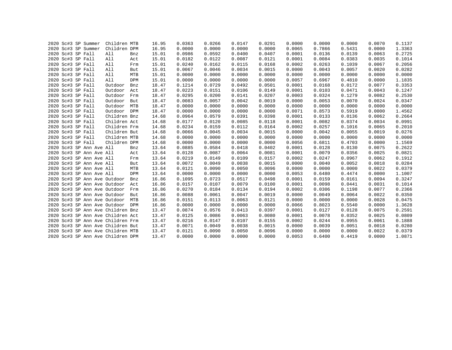|  |                   | 2020 Sc#3 SP Summer          | Children MTB                      |            | 16.95 | 0.0363 | 0.0266 | 0.0147 | 0.0291 | 0.0000 | 0.0000 | 0.0000 | 0.0070 | 0.1137 |
|--|-------------------|------------------------------|-----------------------------------|------------|-------|--------|--------|--------|--------|--------|--------|--------|--------|--------|
|  |                   | 2020 Sc#3 SP Summer          | Children DPM                      |            | 16.95 | 0.0000 | 0.0000 | 0.0000 | 0.0000 | 0.0065 | 0.7866 | 0.5431 | 0.0000 | 1.3363 |
|  | 2020 Sc#3 SP Fall |                              | All                               | Bnz        | 15.01 | 0.0986 | 0.0592 | 0.0400 | 0.0407 | 0.0001 | 0.0136 | 0.0139 | 0.0063 | 0.2725 |
|  | 2020 Sc#3 SP Fall |                              | All                               | Act        | 15.01 | 0.0182 | 0.0122 | 0.0087 | 0.0121 | 0.0001 | 0.0084 | 0.0383 | 0.0035 | 0.1014 |
|  | 2020 Sc#3 SP Fall |                              | All                               | Frm        | 15.01 | 0.0240 | 0.0162 | 0.0115 | 0.0168 | 0.0002 | 0.0263 | 0.1039 | 0.0067 | 0.2056 |
|  | 2020 Sc#3 SP Fall |                              | All                               | But        | 15.01 | 0.0067 | 0.0046 | 0.0034 | 0.0015 | 0.0000 | 0.0043 | 0.0057 | 0.0020 | 0.0282 |
|  | 2020 Sc#3 SP Fall |                              | All                               | MTB        | 15.01 | 0.0000 | 0.0000 | 0.0000 | 0.0000 | 0.0000 | 0.0000 | 0.0000 | 0.0000 | 0.0000 |
|  | 2020 Sc#3 SP Fall |                              | All                               | DPM        | 15.01 | 0.0000 | 0.0000 | 0.0000 | 0.0000 | 0.0057 | 0.6967 | 0.4810 | 0.0000 | 1.1835 |
|  | 2020 Sc#3 SP Fall |                              | Outdoor                           | Bnz        | 18.47 | 0.1214 | 0.0729 | 0.0492 | 0.0501 | 0.0001 | 0.0168 | 0.0172 | 0.0077 | 0.3353 |
|  | 2020 Sc#3 SP Fall |                              | Outdoor                           | Act        | 18.47 | 0.0223 | 0.0151 | 0.0106 | 0.0149 | 0.0001 | 0.0103 | 0.0471 | 0.0043 | 0.1247 |
|  | 2020 Sc#3 SP Fall |                              | Outdoor                           | Frm        | 18.47 | 0.0295 | 0.0200 | 0.0141 | 0.0207 | 0.0003 | 0.0324 | 0.1279 | 0.0082 | 0.2530 |
|  | 2020 Sc#3 SP Fall |                              | Outdoor                           | But        | 18.47 | 0.0083 | 0.0057 | 0.0042 | 0.0019 | 0.0000 | 0.0053 | 0.0070 | 0.0024 | 0.0347 |
|  | 2020 Sc#3 SP Fall |                              | Outdoor                           | MTB        | 18.47 | 0.0000 | 0.0000 | 0.0000 | 0.0000 | 0.0000 | 0.0000 | 0.0000 | 0.0000 | 0.0000 |
|  | 2020 Sc#3 SP Fall |                              | Outdoor                           | <b>DPM</b> | 18.47 | 0.0000 | 0.0000 | 0.0000 | 0.0000 | 0.0071 | 0.8573 | 0.5919 | 0.0000 | 1.4562 |
|  | 2020 Sc#3 SP Fall |                              | Children Bnz                      |            | 14.68 | 0.0964 | 0.0579 | 0.0391 | 0.0398 | 0.0001 | 0.0133 | 0.0136 | 0.0062 | 0.2664 |
|  | 2020 Sc#3 SP Fall |                              | Children Act                      |            | 14.68 | 0.0177 | 0.0120 | 0.0085 | 0.0118 | 0.0001 | 0.0082 | 0.0374 | 0.0034 | 0.0991 |
|  | 2020 Sc#3 SP Fall |                              | Children Frm                      |            | 14.68 | 0.0234 | 0.0159 | 0.0112 | 0.0164 | 0.0002 | 0.0257 | 0.1016 | 0.0065 | 0.2010 |
|  | 2020 Sc#3 SP Fall |                              | Children But                      |            | 14.68 | 0.0066 | 0.0045 | 0.0034 | 0.0015 | 0.0000 | 0.0042 | 0.0055 | 0.0019 | 0.0276 |
|  | 2020 Sc#3 SP Fall |                              | Children MTB                      |            | 14.68 | 0.0000 | 0.0000 | 0.0000 | 0.0000 | 0.0000 | 0.0000 | 0.0000 | 0.0000 | 0.0000 |
|  | 2020 Sc#3 SP Fall |                              | Children DPM                      |            | 14.68 | 0.0000 | 0.0000 | 0.0000 | 0.0000 | 0.0056 | 0.6811 | 0.4703 | 0.0000 | 1.1569 |
|  |                   | 2020 Sc#3 SP Ann Ave All     |                                   | Bnz        | 13.64 | 0.0885 | 0.0584 | 0.0418 | 0.0402 | 0.0001 | 0.0128 | 0.0130 | 0.0075 | 0.2622 |
|  |                   | 2020 Sc#3 SP Ann Ave All     |                                   | Act        | 13.64 | 0.0128 | 0.0087 | 0.0064 | 0.0081 | 0.0001 | 0.0079 | 0.0356 | 0.0025 | 0.0821 |
|  |                   | 2020 Sc#3 SP Ann Ave All     |                                   | Frm        | 13.64 | 0.0219 | 0.0149 | 0.0109 | 0.0157 | 0.0002 | 0.0247 | 0.0967 | 0.0062 | 0.1912 |
|  |                   | 2020 Sc#3 SP Ann Ave All     |                                   | But        | 13.64 | 0.0072 | 0.0049 | 0.0038 | 0.0015 | 0.0000 | 0.0040 | 0.0052 | 0.0018 | 0.0284 |
|  |                   | 2020 Sc#3 SP Ann Ave All     |                                   | MTB        | 13.64 | 0.0121 | 0.0090 | 0.0050 | 0.0096 | 0.0000 | 0.0000 | 0.0000 | 0.0022 | 0.0379 |
|  |                   | 2020 Sc#3 SP Ann Ave All     |                                   | DPM        | 13.64 | 0.0000 | 0.0000 | 0.0000 | 0.0000 | 0.0053 | 0.6480 | 0.4474 | 0.0000 | 1.1007 |
|  |                   | 2020 Sc#3 SP Ann Ave Outdoor |                                   | Bnz        | 16.86 | 0.1095 | 0.0723 | 0.0517 | 0.0498 | 0.0001 | 0.0159 | 0.0161 | 0.0094 | 0.3247 |
|  |                   | 2020 Sc#3 SP Ann Ave Outdoor |                                   | Act        | 16.86 | 0.0157 | 0.0107 | 0.0079 | 0.0100 | 0.0001 | 0.0098 | 0.0441 | 0.0031 | 0.1014 |
|  |                   | 2020 Sc#3 SP Ann Ave Outdoor |                                   | Frm        | 16.86 | 0.0270 | 0.0184 | 0.0134 | 0.0194 | 0.0002 | 0.0306 | 0.1198 | 0.0077 | 0.2366 |
|  |                   | 2020 Sc#3 SP Ann Ave Outdoor |                                   | But        | 16.86 | 0.0088 | 0.0061 | 0.0047 | 0.0019 | 0.0000 | 0.0049 | 0.0064 | 0.0022 | 0.0350 |
|  |                   | 2020 Sc#3 SP Ann Ave Outdoor |                                   | MTB        | 16.86 | 0.0151 | 0.0113 | 0.0063 | 0.0121 | 0.0000 | 0.0000 | 0.0000 | 0.0028 | 0.0475 |
|  |                   |                              | 2020 Sc#3 SP Ann Ave Outdoor DPM  |            | 16.86 | 0.0000 | 0.0000 | 0.0000 | 0.0000 | 0.0066 | 0.8023 | 0.5540 | 0.0000 | 1.3628 |
|  |                   |                              | 2020 Sc#3 SP Ann Ave Children Bnz |            | 13.47 | 0.0874 | 0.0576 | 0.0413 | 0.0397 | 0.0001 | 0.0127 | 0.0128 | 0.0075 | 0.2591 |
|  |                   |                              | 2020 Sc#3 SP Ann Ave Children Act |            | 13.47 | 0.0125 | 0.0086 | 0.0063 | 0.0080 | 0.0001 | 0.0078 | 0.0352 | 0.0025 | 0.0809 |
|  |                   |                              | 2020 Sc#3 SP Ann Ave Children Frm |            | 13.47 | 0.0216 | 0.0147 | 0.0107 | 0.0155 | 0.0002 | 0.0244 | 0.0955 | 0.0061 | 0.1888 |
|  |                   |                              | 2020 Sc#3 SP Ann Ave Children But |            | 13.47 | 0.0071 | 0.0049 | 0.0038 | 0.0015 | 0.0000 | 0.0039 | 0.0051 | 0.0018 | 0.0280 |
|  |                   |                              | 2020 Sc#3 SP Ann Ave Children MTB |            | 13.47 | 0.0121 | 0.0090 | 0.0050 | 0.0096 | 0.0000 | 0.0000 | 0.0000 | 0.0022 | 0.0379 |
|  |                   |                              | 2020 Sc#3 SP Ann Ave Children DPM |            | 13.47 | 0.0000 | 0.0000 | 0.0000 | 0.0000 | 0.0053 | 0.6400 | 0.4419 | 0.0000 | 1.0871 |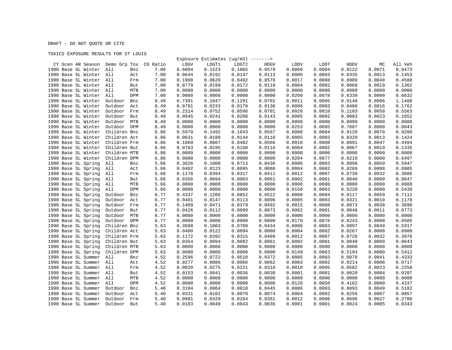DRAFT - DO NOT QUOTE OR CITE

## TOXICS EXPOSURE RESULTS FOR ST LOUIS

|                                            |                |      |        | Exposure Estimates ( $uq/m3$ ) -------> |        |             |             |        |        |        |         |
|--------------------------------------------|----------------|------|--------|-----------------------------------------|--------|-------------|-------------|--------|--------|--------|---------|
| CY Scen AR Season Demo Grp Tox CO Ratio    |                |      | LDGV   | LDGT1                                   | LDGT2  | <b>HDGV</b> | <b>LDDV</b> | LDDT   | HDDV   | МC     | All Veh |
| 1990 Base SL Winter                        | All<br>Bnz     | 7.00 | 0.6094 | 0.1523                                  | 0.1065 | 0.0579      | 0.0009      | 0.0004 | 0.0122 | 0.0071 | 0.9473  |
| 1990 Base SL Winter All                    | Act            | 7.00 | 0.0644 | 0.0192                                  | 0.0147 | 0.0113      | 0.0005      | 0.0003 | 0.0335 | 0.0013 | 0.1453  |
| 1990 Base SL Winter All                    | Frm            | 7.00 | 0.1908 | 0.0620                                  | 0.0492 | 0.0578      | 0.0017      | 0.0008 | 0.0909 | 0.0048 | 0.4588  |
| 1990 Base SL Winter All                    | But            | 7.00 | 0.0779 | 0.0199                                  | 0.0172 | 0.0118      | 0.0004      | 0.0002 | 0.0068 | 0.0019 | 0.1362  |
| 1990 Base SL Winter All                    | MTB            | 7.00 | 0.0000 | 0.0000                                  | 0.0000 | 0.0000      | 0.0000      | 0.0000 | 0.0000 | 0.0000 | 0.0000  |
| 1990 Base SL Winter                        | All<br>DPM     | 7.00 | 0.0000 | 0.0000                                  | 0.0000 | 0.0000      | 0.0209      | 0.0078 | 0.6339 | 0.0000 | 0.6632  |
| 1990 Base SL Winter                        | Outdoor<br>Bnz | 8.49 | 0.7391 | 0.1847                                  | 0.1291 | 0.0702      | 0.0011      | 0.0005 | 0.0148 | 0.0086 | 1.1488  |
| 1990 Base SL Winter                        | Outdoor<br>Act | 8.49 | 0.0781 | 0.0233                                  | 0.0178 | 0.0136      | 0.0006      | 0.0003 | 0.0406 | 0.0016 | 0.1762  |
| 1990 Base SL Winter                        | Outdoor<br>Frm | 8.49 | 0.2314 | 0.0752                                  | 0.0596 | 0.0701      | 0.0020      | 0.0010 | 0.1103 | 0.0058 | 0.5563  |
| 1990 Base SL Winter                        | Outdoor<br>But | 8.49 | 0.0945 | 0.0241                                  | 0.0208 | 0.0143      | 0.0005      | 0.0002 | 0.0083 | 0.0023 | 0.1652  |
| 1990 Base SL Winter                        | MTB<br>Outdoor | 8.49 | 0.0000 | 0.0000                                  | 0.0000 | 0.0000      | 0.0000      | 0.0000 | 0.0000 | 0.0000 | 0.0000  |
| 1990 Base SL Winter                        | Outdoor DPM    | 8.49 | 0.0000 | 0.0000                                  | 0.0000 | 0.0000      | 0.0253      | 0.0095 | 0.7687 | 0.0000 | 0.8043  |
| 1990 Base SL Winter                        | Children Bnz   | 6.86 | 0.5970 | 0.1492                                  | 0.1043 | 0.0567      | 0.0008      | 0.0004 | 0.0120 | 0.0070 | 0.9280  |
| 1990 Base SL Winter                        | Children Act   | 6.86 | 0.0631 | 0.0188                                  | 0.0144 | 0.0110      | 0.0005      | 0.0003 | 0.0328 | 0.0013 | 0.1424  |
| 1990 Base SL Winter                        | Children Frm   | 6.86 | 0.1869 | 0.0607                                  | 0.0482 | 0.0566      | 0.0016      | 0.0008 | 0.0891 | 0.0047 | 0.4494  |
| 1990 Base SL Winter                        | Children But   | 6.86 | 0.0763 | 0.0195                                  | 0.0168 | 0.0116      | 0.0004      | 0.0002 | 0.0067 | 0.0019 | 0.1335  |
| 1990 Base SL Winter                        | Children MTB   | 6.86 | 0.0000 | 0.0000                                  | 0.0000 | 0.0000      | 0.0000      | 0.0000 | 0.0000 | 0.0000 | 0.0000  |
|                                            | Children DPM   | 6.86 | 0.0000 | 0.0000                                  | 0.0000 | 0.0000      | 0.0204      | 0.0077 | 0.6210 | 0.0000 | 0.6497  |
| 1990 Base SL Winter<br>1990 Base SL Spring |                |      |        | 0.1008                                  | 0.0713 |             | 0.0006      | 0.0003 | 0.0098 | 0.0050 | 0.5947  |
|                                            | All<br>Bnz     | 5.66 | 0.3626 |                                         |        | 0.0436      |             |        |        |        |         |
| 1990 Base SL Spring                        | All<br>Act     | 5.66 | 0.0402 | 0.0123                                  | 0.0095 | 0.0080      | 0.0004      | 0.0002 | 0.0269 | 0.0008 | 0.0985  |
| 1990 Base SL Spring                        | All<br>Frm     | 5.66 | 0.1178 | 0.0394                                  | 0.0317 | 0.0411      | 0.0012      | 0.0007 | 0.0730 | 0.0032 | 0.3086  |
| 1990 Base SL Spring                        | All<br>But     | 5.66 | 0.0356 | 0.0094                                  | 0.0083 | 0.0061      | 0.0002      | 0.0001 | 0.0040 | 0.0009 | 0.0647  |
| 1990 Base SL Spring                        | All<br>MTB     | 5.66 | 0.0000 | 0.0000                                  | 0.0000 | 0.0000      | 0.0000      | 0.0000 | 0.0000 | 0.0000 | 0.0000  |
| 1990 Base SL Spring                        | All<br>DPM     | 5.66 | 0.0000 | 0.0000                                  | 0.0000 | 0.0000      | 0.0150      | 0.0063 | 0.5220 | 0.0000 | 0.5439  |
| 1990 Base SL Spring                        | Outdoor<br>Bnz | 6.77 | 0.4337 | 0.1206                                  | 0.0852 | 0.0522      | 0.0008      | 0.0004 | 0.0117 | 0.0059 | 0.7112  |
| 1990 Base SL Spring                        | Outdoor<br>Act | 6.77 | 0.0481 | 0.0147                                  | 0.0113 | 0.0096      | 0.0005      | 0.0003 | 0.0321 | 0.0010 | 0.1178  |
| 1990 Base SL Spring                        | Outdoor<br>Frm | 6.77 | 0.1409 | 0.0471                                  | 0.0379 | 0.0492      | 0.0015      | 0.0008 | 0.0873 | 0.0038 | 0.3690  |
| 1990 Base SL Spring                        | Outdoor<br>But | 6.77 | 0.0426 | 0.0112                                  | 0.0099 | 0.0073      | 0.0002      | 0.0001 | 0.0048 | 0.0011 | 0.0773  |
| 1990 Base SL Spring                        | Outdoor<br>MTB | 6.77 | 0.0000 | 0.0000                                  | 0.0000 | 0.0000      | 0.0000      | 0.0000 | 0.0000 | 0.0000 | 0.0000  |
| 1990 Base SL Spring                        | Outdoor DPM    | 6.77 | 0.0000 | 0.0000                                  | 0.0000 | 0.0000      | 0.0179      | 0.0076 | 0.6243 | 0.0000 | 0.6505  |
| 1990 Base SL Spring                        | Children Bnz   | 5.63 | 0.3608 | 0.1003                                  | 0.0709 | 0.0434      | 0.0006      | 0.0003 | 0.0097 | 0.0049 | 0.5917  |
| 1990 Base SL Spring                        | Children Act   | 5.63 | 0.0400 | 0.0122                                  | 0.0094 | 0.0080      | 0.0004      | 0.0002 | 0.0267 | 0.0008 | 0.0980  |
| 1990 Base SL Spring                        | Children Frm   | 5.63 | 0.1172 | 0.0392                                  | 0.0315 | 0.0409      | 0.0012      | 0.0007 | 0.0726 | 0.0032 | 0.3070  |
| 1990 Base SL Spring                        | Children But   | 5.63 | 0.0354 | 0.0094                                  | 0.0082 | 0.0061      | 0.0002      | 0.0001 | 0.0040 | 0.0009 | 0.0643  |
| 1990 Base SL Spring                        | Children MTB   | 5.63 | 0.0000 | 0.0000                                  | 0.0000 | 0.0000      | 0.0000      | 0.0000 | 0.0000 | 0.0000 | 0.0000  |
| 1990 Base SL Spring                        | Children DPM   | 5.63 | 0.0000 | 0.0000                                  | 0.0000 | 0.0000      | 0.0149      | 0.0063 | 0.5194 | 0.0000 | 0.5412  |
| 1990 Base SL Summer                        | All<br>Bnz     | 4.52 | 0.2596 | 0.0722                                  | 0.0510 | 0.0372      | 0.0005      | 0.0003 | 0.0078 | 0.0041 | 0.4333  |
| 1990 Base SL Summer                        | All<br>Act     | 4.52 | 0.0277 | 0.0086                                  | 0.0066 | 0.0062      | 0.0003      | 0.0002 | 0.0214 | 0.0006 | 0.0717  |
| 1990 Base SL Summer All                    | Frm            | 4.52 | 0.0820 | 0.0275                                  | 0.0221 | 0.0318      | 0.0010      | 0.0005 | 0.0582 | 0.0023 | 0.2258  |
| 1990 Base SL Summer All                    | But            | 4.52 | 0.0153 | 0.0041                                  | 0.0036 | 0.0030      | 0.0001      | 0.0001 | 0.0020 | 0.0004 | 0.0287  |
| 1990 Base SL Summer                        | All<br>MTB     | 4.52 | 0.0000 | 0.0000                                  | 0.0000 | 0.0000      | 0.0000      | 0.0000 | 0.0000 | 0.0000 | 0.0000  |
| 1990 Base SL Summer                        | All<br>DPM     | 4.52 | 0.0000 | 0.0000                                  | 0.0000 | 0.0000      | 0.0120      | 0.0050 | 0.4162 | 0.0000 | 0.4337  |
| 1990 Base SL Summer                        | Outdoor<br>Bnz | 5.40 | 0.3104 | 0.0864                                  | 0.0610 | 0.0445      | 0.0006      | 0.0003 | 0.0093 | 0.0049 | 0.5182  |
| 1990 Base SL Summer                        | Outdoor<br>Act | 5.40 | 0.0331 | 0.0102                                  | 0.0079 | 0.0074      | 0.0004      | 0.0002 | 0.0256 | 0.0007 | 0.0857  |
| 1990 Base SL Summer                        | Outdoor<br>Frm | 5.40 | 0.0981 | 0.0329                                  | 0.0264 | 0.0381      | 0.0012      | 0.0006 | 0.0696 | 0.0027 | 0.2700  |
| 1990 Base SL Summer                        | Outdoor<br>But | 5.40 | 0.0183 | 0.0049                                  | 0.0043 | 0.0036      | 0.0001      | 0.0001 | 0.0024 | 0.0005 | 0.0343  |
|                                            |                |      |        |                                         |        |             |             |        |        |        |         |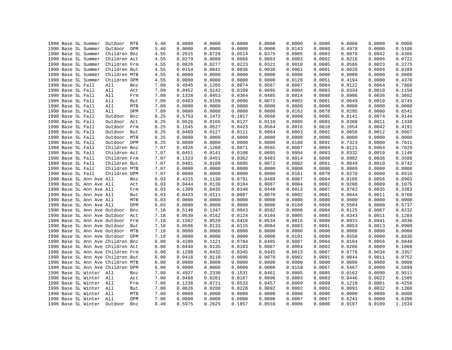|  | 1990 Base SL Summer               | Outdoor      | MTB        | 5.40 | 0.0000 | 0.0000 | 0.0000 | 0.0000 | 0.0000 | 0.0000 | 0.0000 | 0.0000 | 0.0000 |
|--|-----------------------------------|--------------|------------|------|--------|--------|--------|--------|--------|--------|--------|--------|--------|
|  | 1990 Base SL Summer               | Outdoor      | DPM        | 5.40 | 0.0000 | 0.0000 | 0.0000 | 0.0000 | 0.0143 | 0.0060 | 0.4978 | 0.0000 | 0.5186 |
|  | 1990 Base SL Summer               | Children Bnz |            | 4.55 | 0.2615 | 0.0728 | 0.0514 | 0.0375 | 0.0005 | 0.0003 | 0.0079 | 0.0042 | 0.4366 |
|  | 1990 Base SL Summer               | Children Act |            | 4.55 | 0.0279 | 0.0086 | 0.0066 | 0.0063 | 0.0003 | 0.0002 | 0.0216 | 0.0006 | 0.0722 |
|  | 1990 Base SL Summer               | Children Frm |            | 4.55 | 0.0826 | 0.0277 | 0.0223 | 0.0321 | 0.0010 | 0.0005 | 0.0586 | 0.0023 | 0.2275 |
|  | 1990 Base SL Summer               | Children But |            | 4.55 | 0.0154 | 0.0042 | 0.0036 | 0.0030 | 0.0001 | 0.0001 | 0.0020 | 0.0004 | 0.0289 |
|  | 1990 Base SL Summer               | Children MTB |            | 4.55 | 0.0000 | 0.0000 | 0.0000 | 0.0000 | 0.0000 | 0.0000 | 0.0000 | 0.0000 | 0.0000 |
|  | 1990 Base SL Summer               | Children DPM |            | 4.55 | 0.0000 | 0.0000 | 0.0000 | 0.0000 | 0.0120 | 0.0051 | 0.4194 | 0.0000 | 0.4370 |
|  | 1990 Base SL Fall                 | All          | Bnz        | 7.09 | 0.4945 | 0.1265 | 0.0874 | 0.0567 | 0.0007 | 0.0004 | 0.0122 | 0.0064 | 0.7860 |
|  | 1990 Base SL Fall                 | All          | Act        | 7.09 | 0.0452 | 0.0142 | 0.0109 | 0.0095 | 0.0004 | 0.0003 | 0.0334 | 0.0010 | 0.1150 |
|  | 1990 Base SL Fall                 | All          | Frm        | 7.09 | 0.1328 | 0.0453 | 0.0364 | 0.0485 | 0.0014 | 0.0008 | 0.0906 | 0.0036 | 0.3602 |
|  | 1990 Base SL Fall                 | All          | But        | 7.09 | 0.0403 | 0.0109 | 0.0096 | 0.0072 | 0.0002 | 0.0001 | 0.0049 | 0.0010 | 0.0745 |
|  | 1990 Base SL Fall                 | All          | MTB        | 7.09 | 0.0000 | 0.0000 | 0.0000 | 0.0000 | 0.0000 | 0.0000 | 0.0000 | 0.0000 | 0.0000 |
|  | 1990 Base SL Fall                 | All          | <b>DPM</b> | 7.09 | 0.0000 | 0.0000 | 0.0000 | 0.0000 | 0.0162 | 0.0078 | 0.6295 | 0.0000 | 0.6541 |
|  | 1990 Base SL Fall                 | Outdoor      | Bnz        | 8.25 | 0.5753 | 0.1472 | 0.1017 | 0.0660 | 0.0008 | 0.0005 | 0.0141 | 0.0074 | 0.9144 |
|  | 1990 Base SL Fall                 | Outdoor      | Act        | 8.25 | 0.0526 | 0.0165 | 0.0127 | 0.0110 | 0.0005 | 0.0003 | 0.0388 | 0.0011 | 0.1338 |
|  | 1990 Base SL Fall                 | Outdoor      | Frm        | 8.25 | 0.1545 | 0.0527 | 0.0423 | 0.0564 | 0.0016 | 0.0010 | 0.1054 | 0.0042 | 0.4191 |
|  | 1990 Base SL Fall                 | Outdoor      | But        | 8.25 | 0.0469 | 0.0127 | 0.0111 | 0.0084 | 0.0003 | 0.0002 | 0.0058 | 0.0012 | 0.0867 |
|  | 1990 Base SL Fall                 | Outdoor      | MTB        | 8.25 | 0.0000 | 0.0000 | 0.0000 | 0.0000 | 0.0000 | 0.0000 | 0.0000 | 0.0000 | 0.0000 |
|  | 1990 Base SL Fall                 | Outdoor DPM  |            | 8.25 | 0.0000 | 0.0000 | 0.0000 | 0.0000 | 0.0188 | 0.0091 | 0.7323 | 0.0000 | 0.7611 |
|  | 1990 Base SL Fall                 | Children Bnz |            | 7.07 | 0.4926 | 0.1260 | 0.0871 | 0.0565 | 0.0007 | 0.0004 | 0.0121 | 0.0064 | 0.7829 |
|  | 1990 Base SL Fall                 | Children Act |            | 7.07 | 0.0451 | 0.0141 | 0.0108 | 0.0095 | 0.0004 | 0.0003 | 0.0332 | 0.0010 | 0.1146 |
|  | 1990 Base SL Fall                 | Children Frm |            | 7.07 | 0.1323 | 0.0451 | 0.0362 | 0.0483 | 0.0014 | 0.0008 | 0.0902 | 0.0036 | 0.3588 |
|  | 1990 Base SL Fall                 | Children But |            | 7.07 | 0.0401 | 0.0109 | 0.0095 | 0.0072 | 0.0002 | 0.0001 | 0.0049 | 0.0010 | 0.0742 |
|  | 1990 Base SL Fall                 | Children MTB |            | 7.07 | 0.0000 | 0.0000 | 0.0000 | 0.0000 | 0.0000 | 0.0000 | 0.0000 | 0.0000 | 0.0000 |
|  | 1990 Base SL Fall                 | Children DPM |            | 7.07 | 0.0000 | 0.0000 | 0.0000 | 0.0000 | 0.0161 | 0.0078 | 0.6270 | 0.0000 | 0.6516 |
|  | 1990 Base SL Ann Ave All          |              | Bnz        | 6.03 | 0.4315 | 0.1130 | 0.0791 | 0.0489 | 0.0007 | 0.0004 | 0.0105 | 0.0056 | 0.6903 |
|  | 1990 Base SL Ann Ave All          |              |            | 6.03 | 0.0444 | 0.0136 | 0.0104 | 0.0087 | 0.0004 | 0.0002 | 0.0288 | 0.0009 | 0.1076 |
|  |                                   |              | Act        |      |        |        | 0.0348 |        | 0.0013 | 0.0007 |        |        |        |
|  | 1990 Base SL Ann Ave All          |              | Frm        | 6.03 | 0.1309 | 0.0435 |        | 0.0448 |        |        | 0.0782 | 0.0035 | 0.3383 |
|  | 1990 Base SL Ann Ave All          |              | But        | 6.03 | 0.0423 | 0.0111 | 0.0097 | 0.0070 | 0.0002 | 0.0001 | 0.0044 | 0.0011 | 0.0760 |
|  | 1990 Base SL Ann Ave All          |              | MTB        | 6.03 | 0.0000 | 0.0000 | 0.0000 | 0.0000 | 0.0000 | 0.0000 | 0.0000 | 0.0000 | 0.0000 |
|  | 1990 Base SL Ann Ave All          |              | DPM        | 6.03 | 0.0000 | 0.0000 | 0.0000 | 0.0000 | 0.0160 | 0.0068 | 0.5504 | 0.0000 | 0.5737 |
|  | 1990 Base SL Ann Ave Outdoor      |              | Bnz        | 7.18 | 0.5146 | 0.1347 | 0.0943 | 0.0582 | 0.0008 | 0.0004 | 0.0125 | 0.0067 | 0.8232 |
|  | 1990 Base SL Ann Ave Outdoor      |              | Act        | 7.18 | 0.0530 | 0.0162 | 0.0124 | 0.0104 | 0.0005 | 0.0003 | 0.0343 | 0.0011 | 0.1284 |
|  | 1990 Base SL Ann Ave Outdoor      |              | Frm        | 7.18 | 0.1562 | 0.0520 | 0.0416 | 0.0534 | 0.0016 | 0.0008 | 0.0931 | 0.0041 | 0.4036 |
|  | 1990 Base SL Ann Ave Outdoor      |              | But        | 7.18 | 0.0506 | 0.0133 | 0.0115 | 0.0084 | 0.0003 | 0.0001 | 0.0053 | 0.0013 | 0.0909 |
|  | 1990 Base SL Ann Ave Outdoor MTB  |              |            | 7.18 | 0.0000 | 0.0000 | 0.0000 | 0.0000 | 0.0000 | 0.0000 | 0.0000 | 0.0000 | 0.0000 |
|  | 1990 Base SL Ann Ave Outdoor      |              | DPM        | 7.18 | 0.0000 | 0.0000 | 0.0000 | 0.0000 | 0.0191 | 0.0080 | 0.6558 | 0.0000 | 0.6836 |
|  | 1990 Base SL Ann Ave Children Bnz |              |            | 6.00 | 0.4280 | 0.1121 | 0.0784 | 0.0485 | 0.0007 | 0.0004 | 0.0104 | 0.0056 | 0.6848 |
|  | 1990 Base SL Ann Ave Children Act |              |            | 6.00 | 0.0440 | 0.0135 | 0.0103 | 0.0087 | 0.0004 | 0.0002 | 0.0286 | 0.0009 | 0.1068 |
|  | 1990 Base SL Ann Ave Children Frm |              |            | 6.00 | 0.1298 | 0.0432 | 0.0345 | 0.0445 | 0.0013 | 0.0007 | 0.0776 | 0.0034 | 0.3357 |
|  | 1990 Base SL Ann Ave Children But |              |            | 6.00 | 0.0418 | 0.0110 | 0.0096 | 0.0070 | 0.0002 | 0.0001 | 0.0044 | 0.0011 | 0.0752 |
|  | 1990 Base SL Ann Ave Children MTB |              |            | 6.00 | 0.0000 | 0.0000 | 0.0000 | 0.0000 | 0.0000 | 0.0000 | 0.0000 | 0.0000 | 0.0000 |
|  | 1990 Base SL Ann Ave Children DPM |              |            | 6.00 | 0.0000 | 0.0000 | 0.0000 | 0.0000 | 0.0159 | 0.0067 | 0.5467 | 0.0000 | 0.5699 |
|  | 1996 Base SL Winter All           |              | Bnz        | 7.00 | 0.4927 | 0.2330 | 0.1531 | 0.0461 | 0.0005 | 0.0005 | 0.0162 | 0.0090 | 0.9511 |
|  | 1996 Base SL Winter All           |              | Act        | 7.00 | 0.0488 | 0.0261 | 0.0187 | 0.0096 | 0.0003 | 0.0003 | 0.0446 | 0.0022 | 0.1505 |
|  | 1996 Base SL Winter All           |              | Frm        | 7.00 | 0.1236 | 0.0721 | 0.0533 | 0.0457 | 0.0009 | 0.0009 | 0.1210 | 0.0081 | 0.4256 |
|  | 1996 Base SL Winter All           |              | But        | 7.00 | 0.0626 | 0.0288 | 0.0228 | 0.0092 | 0.0002 | 0.0002 | 0.0091 | 0.0032 | 0.1360 |
|  | 1996 Base SL Winter               | All          | <b>MTB</b> | 7.00 | 0.0000 | 0.0000 | 0.0000 | 0.0000 | 0.0000 | 0.0000 | 0.0000 | 0.0000 | 0.0000 |
|  | 1996 Base SL Winter All           |              | DPM        | 7.00 | 0.0000 | 0.0000 | 0.0000 | 0.0000 | 0.0087 | 0.0067 | 0.6241 | 0.0000 | 0.6396 |
|  | 1996 Base SL Winter               | Outdoor      | Bnz        | 8.49 | 0.5975 | 0.2825 | 0.1857 | 0.0559 | 0.0006 | 0.0006 | 0.0197 | 0.0109 | 1.1534 |
|  |                                   |              |            |      |        |        |        |        |        |        |        |        |        |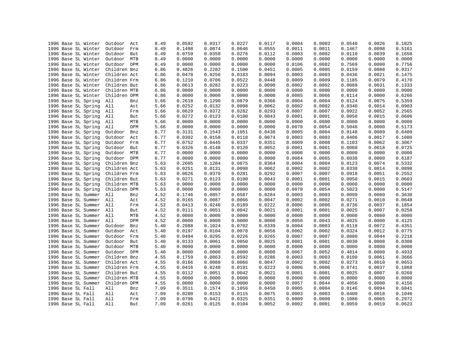| 1996 Base SL Winter     | Outdoor<br>Act               | 8.49 | 0.0592           | 0.0317           | 0.0227 | 0.0117           | 0.0004 | 0.0003 | 0.0540           | 0.0026 | 0.1825 |
|-------------------------|------------------------------|------|------------------|------------------|--------|------------------|--------|--------|------------------|--------|--------|
| 1996 Base SL Winter     | Outdoor<br>Frm               | 8.49 | 0.1498           | 0.0874           | 0.0646 | 0.0555           | 0.0011 | 0.0011 | 0.1467           | 0.0098 | 0.5161 |
| 1996 Base SL Winter     | Outdoor<br>But               | 8.49 | 0.0759           | 0.0350           | 0.0276 | 0.0112           | 0.0003 | 0.0002 | 0.0110           | 0.0039 | 0.1650 |
| 1996 Base SL Winter     | Outdoor<br>MTB               | 8.49 | 0.0000           | 0.0000           | 0.0000 | 0.0000           | 0.0000 | 0.0000 | 0.0000           | 0.0000 | 0.0000 |
| 1996 Base SL Winter     | Outdoor DPM                  | 8.49 | 0.0000           | 0.0000           | 0.0000 | 0.0000           | 0.0106 | 0.0082 | 0.7569           | 0.0000 | 0.7756 |
| 1996 Base SL Winter     | Children Bnz                 | 6.86 | 0.4826           | 0.2282           | 0.1500 | 0.0451           | 0.0005 | 0.0005 | 0.0159           | 0.0088 | 0.9317 |
| 1996 Base SL Winter     | Children Act                 | 6.86 | 0.0478           | 0.0256           | 0.0183 | 0.0094           | 0.0003 | 0.0003 | 0.0436           | 0.0021 | 0.1475 |
| 1996 Base SL Winter     | Children Frm                 | 6.86 | 0.1210           | 0.0706           | 0.0522 | 0.0448           | 0.0009 | 0.0009 | 0.1185           | 0.0079 | 0.4170 |
| 1996 Base SL Winter     | Children But                 | 6.86 | 0.0613           | 0.0282           | 0.0223 | 0.0090           | 0.0002 | 0.0002 | 0.0089           | 0.0031 | 0.1333 |
| 1996 Base SL Winter     | Children MTB                 | 6.86 | 0.0000           | 0.0000           | 0.0000 | 0.0000           | 0.0000 | 0.0000 | 0.0000           | 0.0000 | 0.0000 |
| 1996 Base SL Winter     | Children DPM                 | 6.86 | 0.0000           | 0.0000           | 0.0000 | 0.0000           | 0.0085 | 0.0066 | 0.6114           | 0.0000 | 0.6266 |
| 1996 Base SL Spring     | All<br>Bnz                   | 5.66 | 0.2618           | 0.1290           | 0.0879 | 0.0366           | 0.0004 | 0.0004 | 0.0124           | 0.0075 | 0.5359 |
| 1996 Base SL Spring     | All<br>Act                   | 5.66 | 0.0252           | 0.0132           | 0.0098 | 0.0062           | 0.0002 | 0.0002 | 0.0340           | 0.0014 | 0.0903 |
| 1996 Base SL Spring     | All<br>Frm                   | 5.66 | 0.0629           | 0.0372           | 0.0282 | 0.0293           | 0.0007 | 0.0007 | 0.0922           | 0.0052 | 0.2565 |
| 1996 Base SL Spring     | All<br>But                   | 5.66 | 0.0272           | 0.0123           | 0.0100 | 0.0043           | 0.0001 | 0.0001 | 0.0050           | 0.0015 | 0.0606 |
| 1996 Base SL Spring     | MTB<br>All                   | 5.66 | 0.0000           | 0.0000           | 0.0000 | 0.0000           | 0.0000 | 0.0000 | 0.0000           | 0.0000 | 0.0000 |
| 1996 Base SL Spring     | All<br>DPM                   | 5.66 | 0.0000           | 0.0000           | 0.0000 | 0.0000           | 0.0070 | 0.0054 | 0.5048           | 0.0000 | 0.5173 |
| 1996 Base SL Spring     | Outdoor<br>Bnz               | 6.77 | 0.3131           | 0.1543           | 0.1051 | 0.0438           | 0.0005 | 0.0004 | 0.0148           | 0.0089 | 0.6409 |
| 1996 Base SL Spring     | Outdoor<br>Act               | 6.77 | 0.0302           | 0.0158           | 0.0118 | 0.0074           | 0.0003 | 0.0003 | 0.0406           | 0.0017 | 0.1080 |
| 1996 Base SL Spring     | Outdoor<br>Frm               | 6.77 | 0.0752           | 0.0445           | 0.0337 | 0.0351           | 0.0009 | 0.0008 | 0.1103           | 0.0062 | 0.3067 |
| 1996 Base SL Spring     | Outdoor<br>But               | 6.77 | 0.0326           | 0.0148           | 0.0120 | 0.0052           | 0.0001 | 0.0001 | 0.0060           | 0.0018 | 0.0725 |
| 1996 Base SL Spring     | Outdoor MTB                  | 6.77 | 0.0000           | 0.0000           | 0.0000 | 0.0000           | 0.0000 | 0.0000 | 0.0000           | 0.0000 | 0.0000 |
| 1996 Base SL Spring     | Outdoor DPM                  | 6.77 | 0.0000           | 0.0000           | 0.0000 | 0.0000           | 0.0084 | 0.0065 | 0.6038           | 0.0000 | 0.6187 |
| 1996 Base SL Spring     | Children Bnz                 | 5.63 | 0.2605           | 0.1284           | 0.0875 | 0.0364           | 0.0004 | 0.0004 | 0.0123           | 0.0074 | 0.5332 |
|                         |                              |      |                  |                  | 0.0098 |                  | 0.0002 | 0.0002 |                  | 0.0014 | 0.0898 |
| 1996 Base SL Spring     | Children Act<br>Children Frm | 5.63 | 0.0251<br>0.0626 | 0.0131<br>0.0370 | 0.0281 | 0.0062<br>0.0292 | 0.0007 | 0.0007 | 0.0338<br>0.0918 | 0.0051 |        |
| 1996 Base SL Spring     |                              | 5.63 |                  |                  |        |                  |        |        |                  |        | 0.2552 |
| 1996 Base SL Spring     | Children But                 | 5.63 | 0.0271           | 0.0123           | 0.0100 | 0.0043           | 0.0001 | 0.0001 | 0.0050           | 0.0015 | 0.0603 |
| 1996 Base SL Spring     | Children MTB                 | 5.63 | 0.0000           | 0.0000           | 0.0000 | 0.0000           | 0.0000 | 0.0000 | 0.0000           | 0.0000 | 0.0000 |
| 1996 Base SL Spring     | Children DPM                 | 5.63 | 0.0000           | 0.0000           | 0.0000 | 0.0000           | 0.0070 | 0.0054 | 0.5023           | 0.0000 | 0.5147 |
| 1996 Base SL Summer     | All<br>Bnz                   | 4.52 | 0.1746           | 0.0857           | 0.0587 | 0.0284           | 0.0003 | 0.0003 | 0.0099           | 0.0060 | 0.3638 |
| 1996 Base SL Summer     | All<br>Act                   | 4.52 | 0.0165           | 0.0087           | 0.0066 | 0.0047           | 0.0002 | 0.0002 | 0.0271           | 0.0010 | 0.0648 |
| 1996 Base SL Summer     | All<br>Frm                   | 4.52 | 0.0413           | 0.0246           | 0.0189 | 0.0222           | 0.0006 | 0.0006 | 0.0736           | 0.0037 | 0.1854 |
| 1996 Base SL Summer All | But                          | 4.52 | 0.0111           | 0.0051           | 0.0042 | 0.0021           | 0.0001 | 0.0001 | 0.0025           | 0.0007 | 0.0258 |
| 1996 Base SL Summer     | All<br>MTB                   | 4.52 | 0.0000           | 0.0000           | 0.0000 | 0.0000           | 0.0000 | 0.0000 | 0.0000           | 0.0000 | 0.0000 |
| 1996 Base SL Summer     | All<br>DPM                   | 4.52 | 0.0000           | 0.0000           | 0.0000 | 0.0000           | 0.0056 | 0.0043 | 0.4025           | 0.0000 | 0.4125 |
| 1996 Base SL Summer     | Outdoor<br>Bnz               | 5.40 | 0.2088           | 0.1024           | 0.0702 | 0.0339           | 0.0004 | 0.0003 | 0.0118           | 0.0072 | 0.4351 |
| 1996 Base SL Summer     | Outdoor<br>Act               | 5.40 | 0.0197           | 0.0104           | 0.0078 | 0.0056           | 0.0002 | 0.0002 | 0.0324           | 0.0012 | 0.0775 |
| 1996 Base SL Summer     | Outdoor<br>Frm               | 5.40 | 0.0494           | 0.0295           | 0.0226 | 0.0265           | 0.0007 | 0.0007 | 0.0880           | 0.0044 | 0.2218 |
| 1996 Base SL Summer     | Outdoor<br>But               | 5.40 | 0.0133           | 0.0061           | 0.0050 | 0.0025           | 0.0001 | 0.0001 | 0.0030           | 0.0008 | 0.0308 |
| 1996 Base SL Summer     | Outdoor<br>MTB               | 5.40 | 0.0000           | 0.0000           | 0.0000 | 0.0000           | 0.0000 | 0.0000 | 0.0000           | 0.0000 | 0.0000 |
| 1996 Base SL Summer     | Outdoor<br>DPM               | 5.40 | 0.0000           | 0.0000           | 0.0000 | 0.0000           | 0.0067 | 0.0052 | 0.4814           | 0.0000 | 0.4933 |
| 1996 Base SL Summer     | Children Bnz                 | 4.55 | 0.1759           | 0.0863           | 0.0592 | 0.0286           | 0.0003 | 0.0003 | 0.0100           | 0.0061 | 0.3666 |
| 1996 Base SL Summer     | Children Act                 | 4.55 | 0.0166           | 0.0088           | 0.0066 | 0.0047           | 0.0002 | 0.0002 | 0.0273           | 0.0010 | 0.0653 |
| 1996 Base SL Summer     | Children Frm                 | 4.55 | 0.0416           | 0.0248           | 0.0191 | 0.0223           | 0.0006 | 0.0006 | 0.0741           | 0.0037 | 0.1868 |
| 1996 Base SL Summer     | Children But                 | 4.55 | 0.0112           | 0.0051           | 0.0042 | 0.0021           | 0.0001 | 0.0001 | 0.0025           | 0.0007 | 0.0260 |
| 1996 Base SL Summer     | Children MTB                 | 4.55 | 0.0000           | 0.0000           | 0.0000 | 0.0000           | 0.0000 | 0.0000 | 0.0000           | 0.0000 | 0.0000 |
| 1996 Base SL Summer     | Children DPM                 | 4.55 | 0.0000           | 0.0000           | 0.0000 | 0.0000           | 0.0057 | 0.0044 | 0.4056           | 0.0000 | 0.4156 |
| 1996 Base SL Fall       | All<br>Bnz                   | 7.09 | 0.3511           | 0.1574           | 0.1056 | 0.0450           | 0.0005 | 0.0004 | 0.0146           | 0.0094 | 0.6841 |
| 1996 Base SL Fall       | All<br>Act                   | 7.09 | 0.0280           | 0.0153           | 0.0115 | 0.0075           | 0.0003 | 0.0003 | 0.0400           | 0.0018 | 0.1046 |
| 1996 Base SL Fall       | All<br>Frm                   | 7.09 | 0.0706           | 0.0421           | 0.0325 | 0.0351           | 0.0009 | 0.0008 | 0.1086           | 0.0065 | 0.2972 |
| 1996 Base SL Fall       | All<br>But                   | 7.09 | 0.0261           | 0.0125           | 0.0104 | 0.0052           | 0.0002 | 0.0001 | 0.0059           | 0.0019 | 0.0623 |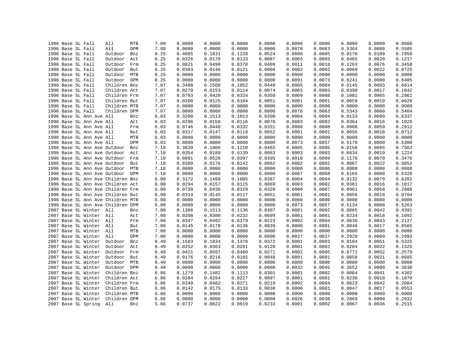|  | 1996 Base SL Fall                 | All          | MTB | 7.09 | 0.0000 | 0.0000 | 0.0000 | 0.0000 | 0.0000 | 0.0000 | 0.0000 | 0.0000 | 0.0000 |
|--|-----------------------------------|--------------|-----|------|--------|--------|--------|--------|--------|--------|--------|--------|--------|
|  | 1996 Base SL Fall                 | All          | DPM | 7.09 | 0.0000 | 0.0000 | 0.0000 | 0.0000 | 0.0078 | 0.0063 | 0.5364 | 0.0000 | 0.5505 |
|  | 1996 Base SL Fall                 | Outdoor      | Bnz | 8.25 | 0.4085 | 0.1831 | 0.1228 | 0.0524 | 0.0006 | 0.0005 | 0.0170 | 0.0109 | 0.7959 |
|  | 1996 Base SL Fall                 | Outdoor      | Act | 8.25 | 0.0326 | 0.0178 | 0.0133 | 0.0087 | 0.0003 | 0.0003 | 0.0465 | 0.0020 | 0.1217 |
|  | 1996 Base SL Fall                 | Outdoor      | Frm | 8.25 | 0.0821 | 0.0490 | 0.0378 | 0.0409 | 0.0011 | 0.0010 | 0.1263 | 0.0076 | 0.3458 |
|  | 1996 Base SL Fall                 | Outdoor      | But | 8.25 | 0.0303 | 0.0146 | 0.0121 | 0.0060 | 0.0002 | 0.0002 | 0.0069 | 0.0022 | 0.0725 |
|  | 1996 Base SL Fall                 | Outdoor MTB  |     | 8.25 | 0.0000 | 0.0000 | 0.0000 | 0.0000 | 0.0000 | 0.0000 | 0.0000 | 0.0000 | 0.0000 |
|  | 1996 Base SL Fall                 | Outdoor DPM  |     | 8.25 | 0.0000 | 0.0000 | 0.0000 | 0.0000 | 0.0091 | 0.0073 | 0.6241 | 0.0000 | 0.6405 |
|  | 1996 Base SL Fall                 | Children Bnz |     | 7.07 | 0.3498 | 0.1568 | 0.1052 | 0.0449 | 0.0005 | 0.0004 | 0.0145 | 0.0093 | 0.6814 |
|  | 1996 Base SL Fall                 | Children Act |     | 7.07 | 0.0279 | 0.0153 | 0.0114 | 0.0074 | 0.0003 | 0.0003 | 0.0398 | 0.0017 | 0.1042 |
|  | 1996 Base SL Fall                 | Children Frm |     | 7.07 | 0.0703 | 0.0420 | 0.0324 | 0.0350 | 0.0009 | 0.0008 | 0.1081 | 0.0065 | 0.2961 |
|  | 1996 Base SL Fall                 | Children But |     | 7.07 | 0.0260 | 0.0125 | 0.0104 | 0.0051 | 0.0001 | 0.0001 | 0.0059 | 0.0019 | 0.0620 |
|  | 1996 Base SL Fall                 | Children MTB |     | 7.07 | 0.0000 | 0.0000 | 0.0000 | 0.0000 | 0.0000 | 0.0000 | 0.0000 | 0.0000 | 0.0000 |
|  | 1996 Base SL Fall                 | Children DPM |     | 7.07 | 0.0000 | 0.0000 | 0.0000 | 0.0000 | 0.0078 | 0.0063 | 0.5343 | 0.0000 | 0.5484 |
|  | 1996 Base SL Ann Ave All          |              | Bnz | 6.03 | 0.3200 | 0.1513 | 0.1013 | 0.0390 | 0.0004 | 0.0004 | 0.0133 | 0.0080 | 0.6337 |
|  | 1996 Base SL Ann Ave All          |              | Act | 6.03 | 0.0296 | 0.0158 | 0.0116 | 0.0070 | 0.0003 | 0.0002 | 0.0364 | 0.0016 | 0.1026 |
|  | 1996 Base SL Ann Ave All          |              | Frm | 6.03 | 0.0746 | 0.0440 | 0.0332 | 0.0331 | 0.0008 | 0.0008 | 0.0988 | 0.0059 | 0.2912 |
|  | 1996 Base SL Ann Ave All          |              | But | 6.03 | 0.0317 | 0.0147 | 0.0118 | 0.0052 | 0.0001 | 0.0001 | 0.0056 | 0.0018 | 0.0712 |
|  | 1996 Base SL Ann Ave All          |              | MTB | 6.03 | 0.0000 | 0.0000 | 0.0000 | 0.0000 | 0.0000 | 0.0000 | 0.0000 | 0.0000 | 0.0000 |
|  | 1996 Base SL Ann Ave All          |              | DPM | 6.03 | 0.0000 | 0.0000 | 0.0000 | 0.0000 | 0.0073 | 0.0057 | 0.5170 | 0.0000 | 0.5300 |
|  | 1996 Base SL Ann Ave Outdoor      |              | Bnz | 7.18 | 0.3820 | 0.1806 | 0.1210 | 0.0465 | 0.0005 | 0.0005 | 0.0158 | 0.0095 | 0.7563 |
|  | 1996 Base SL Ann Ave Outdoor      |              | Act | 7.18 | 0.0354 | 0.0189 | 0.0139 | 0.0083 | 0.0003 | 0.0003 | 0.0434 | 0.0019 | 0.1224 |
|  | 1996 Base SL Ann Ave Outdoor      |              | Frm | 7.18 | 0.0891 | 0.0526 | 0.0397 | 0.0395 | 0.0010 | 0.0009 | 0.1178 | 0.0070 | 0.3476 |
|  | 1996 Base SL Ann Ave Outdoor      |              | But | 7.18 | 0.0380 | 0.0176 | 0.0142 | 0.0062 | 0.0002 | 0.0002 | 0.0067 | 0.0022 | 0.0852 |
|  | 1996 Base SL Ann Ave Outdoor      |              | MTB | 7.18 | 0.0000 | 0.0000 | 0.0000 | 0.0000 | 0.0000 | 0.0000 | 0.0000 | 0.0000 | 0.0000 |
|  | 1996 Base SL Ann Ave Outdoor DPM  |              |     | 7.18 | 0.0000 | 0.0000 | 0.0000 | 0.0000 | 0.0087 | 0.0068 | 0.6165 | 0.0000 | 0.6320 |
|  | 1996 Base SL Ann Ave Children Bnz |              |     | 6.00 | 0.3172 | 0.1499 | 0.1005 | 0.0387 | 0.0004 | 0.0004 | 0.0132 | 0.0079 | 0.6282 |
|  | 1996 Base SL Ann Ave Children Act |              |     | 6.00 | 0.0294 | 0.0157 | 0.0115 | 0.0069 | 0.0003 | 0.0002 | 0.0361 | 0.0016 | 0.1017 |
|  | 1996 Base SL Ann Ave Children Frm |              |     | 6.00 | 0.0739 | 0.0436 | 0.0329 | 0.0328 | 0.0008 | 0.0007 | 0.0981 | 0.0058 | 0.2888 |
|  | 1996 Base SL Ann Ave Children But |              |     | 6.00 | 0.0314 | 0.0145 | 0.0117 | 0.0051 | 0.0001 | 0.0001 | 0.0056 | 0.0018 | 0.0704 |
|  | 1996 Base SL Ann Ave Children MTB |              |     | 6.00 | 0.0000 | 0.0000 | 0.0000 | 0.0000 | 0.0000 | 0.0000 | 0.0000 | 0.0000 | 0.0000 |
|  | 1996 Base SL Ann Ave Children DPM |              |     | 6.00 | 0.0000 | 0.0000 | 0.0000 | 0.0000 | 0.0073 | 0.0057 | 0.5134 | 0.0000 | 0.5263 |
|  | 2007 Base SL Winter All           |              | Bnz | 7.00 | 0.1306 | 0.1513 | 0.1136 | 0.0307 | 0.0001 | 0.0002 | 0.0085 | 0.0042 | 0.4391 |
|  | 2007 Base SL Winter All           |              | Act | 7.00 | 0.0208 | 0.0300 | 0.0232 | 0.0099 | 0.0001 | 0.0001 | 0.0234 | 0.0018 | 0.1092 |
|  | 2007 Base SL Winter All           |              | Frm | 7.00 | 0.0347 | 0.0492 | 0.0379 | 0.0223 | 0.0002 | 0.0004 | 0.0636 | 0.0043 | 0.2127 |
|  | 2007 Base SL Winter All           |              | But | 7.00 | 0.0145 | 0.0178 | 0.0136 | 0.0039 | 0.0000 | 0.0001 | 0.0048 | 0.0017 | 0.0565 |
|  | 2007 Base SL Winter All           |              | MTB | 7.00 | 0.0000 | 0.0000 | 0.0000 | 0.0000 | 0.0000 | 0.0000 | 0.0000 | 0.0000 | 0.0000 |
|  | 2007 Base SL Winter               | All          | DPM | 7.00 | 0.0000 | 0.0000 | 0.0000 | 0.0000 | 0.0027 | 0.0037 | 0.2929 | 0.0000 | 0.2993 |
|  | 2007 Base SL Winter               | Outdoor      | Bnz | 8.49 | 0.1583 | 0.1834 | 0.1378 | 0.0372 | 0.0001 | 0.0003 | 0.0104 | 0.0051 | 0.5325 |
|  | 2007 Base SL Winter               | Outdoor      | Act | 8.49 | 0.0252 | 0.0363 | 0.0281 | 0.0120 | 0.0001 | 0.0002 | 0.0284 | 0.0022 | 0.1325 |
|  | 2007 Base SL Winter               | Outdoor      | Frm | 8.49 | 0.0421 | 0.0597 | 0.0460 | 0.0271 | 0.0002 | 0.0005 | 0.0772 | 0.0052 | 0.2579 |
|  | 2007 Base SL Winter               | Outdoor      | But | 8.49 | 0.0176 | 0.0216 | 0.0165 | 0.0048 | 0.0001 | 0.0001 | 0.0058 | 0.0021 | 0.0685 |
|  | 2007 Base SL Winter               | Outdoor MTB  |     | 8.49 | 0.0000 | 0.0000 | 0.0000 | 0.0000 | 0.0000 | 0.0000 | 0.0000 | 0.0000 | 0.0000 |
|  | 2007 Base SL Winter               | Outdoor DPM  |     | 8.49 | 0.0000 | 0.0000 | 0.0000 | 0.0000 | 0.0032 | 0.0045 | 0.3552 | 0.0000 | 0.3630 |
|  | 2007 Base SL Winter               | Children Bnz |     | 6.86 | 0.1279 | 0.1482 | 0.1113 | 0.0301 | 0.0001 | 0.0002 | 0.0084 | 0.0041 | 0.4302 |
|  | 2007 Base SL Winter               | Children Act |     | 6.86 | 0.0204 | 0.0294 | 0.0227 | 0.0097 | 0.0001 | 0.0001 | 0.0230 | 0.0018 | 0.1070 |
|  | 2007 Base SL Winter               | Children Frm |     | 6.86 | 0.0340 | 0.0482 | 0.0371 | 0.0219 | 0.0002 | 0.0004 | 0.0623 | 0.0042 | 0.2084 |
|  | 2007 Base SL Winter               | Children But |     | 6.86 | 0.0142 | 0.0175 | 0.0133 | 0.0038 | 0.0000 | 0.0001 | 0.0047 | 0.0017 | 0.0553 |
|  | 2007 Base SL Winter               | Children MTB |     | 6.86 | 0.0000 | 0.0000 | 0.0000 | 0.0000 | 0.0000 | 0.0000 | 0.0000 | 0.0000 | 0.0000 |
|  | 2007 Base SL Winter               | Children DPM |     | 6.86 | 0.0000 | 0.0000 | 0.0000 | 0.0000 | 0.0026 | 0.0036 | 0.2869 | 0.0000 | 0.2932 |
|  | 2007 Base SL Spring               | All          | Bnz | 5.66 | 0.0737 | 0.0822 | 0.0619 | 0.0233 | 0.0001 | 0.0002 | 0.0067 | 0.0036 | 0.2515 |
|  |                                   |              |     |      |        |        |        |        |        |        |        |        |        |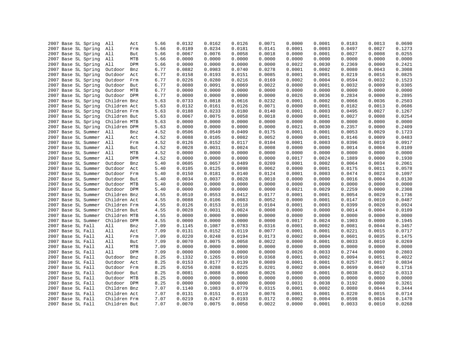| 0.0126<br>2007 Base SL Spring<br>5.66<br>0.0132<br>0.0162<br>0.0071<br>0.0000<br>0.0001<br>0.0183<br>All<br>Act<br>2007 Base SL Spring<br>0.0189<br>0.0234<br>0.0181<br>0.0141<br>0.0001<br>0.0003<br>0.0497<br>All<br>Frm<br>5.66<br>2007 Base SL Spring<br>0.0067<br>0.0076<br>0.0058<br>0.0018<br>0.0000<br>0.0001<br>0.0027<br>All<br>But<br>5.66<br>0.0000<br>0.0000<br>0.0000<br>0.0000<br>2007 Base SL Spring<br>All<br>MTB<br>5.66<br>0.0000<br>0.0000<br>0.0000<br>0.0000<br>0.0000<br>0.0000<br>0.0022<br>0.0030<br>0.2369<br>2007 Base SL Spring<br>All<br>DPM<br>5.66<br>0.0000<br>0.0983<br>0.0740<br>0.0278<br>0.0080<br>2007 Base SL Spring<br>6.77<br>0.0882<br>0.0001<br>0.0002<br>Outdoor<br>Bnz<br>2007 Base SL Spring<br>6.77<br>0.0158<br>0.0193<br>0.0151<br>0.0085<br>0.0001<br>0.0001<br>0.0219<br>Outdoor<br>Act<br>6.77<br>0.0226<br>0.0280<br>0.0216<br>0.0169<br>0.0002<br>0.0004<br>0.0594<br>2007 Base SL Spring<br>Outdoor<br>Frm<br>6.77<br>0.0080<br>0.0091<br>0.0069<br>0.0022<br>0.0000<br>0.0001<br>0.0032<br>2007 Base SL Spring<br>Outdoor<br>But<br>0.0000<br>2007 Base SL Spring<br>Outdoor<br>MTB<br>6.77<br>0.0000<br>0.0000<br>0.0000<br>0.0000<br>0.0000<br>0.0000<br>Outdoor DPM<br>6.77<br>0.0000<br>0.0000<br>0.0000<br>0.0000<br>0.0026<br>0.0036<br>0.2834<br>2007 Base SL Spring<br>0.0616<br>0.0232<br>0.0002<br>2007 Base SL Spring<br>Children Bnz<br>5.63<br>0.0733<br>0.0818<br>0.0001<br>0.0066<br>5.63<br>0.0132<br>0.0161<br>0.0126<br>0.0071<br>0.0000<br>0.0001<br>0.0182<br>2007 Base SL Spring<br>Children Act<br>0.0233<br>0.0180<br>0.0140<br>0.0003<br>0.0495<br>2007 Base SL Spring<br>Children Frm<br>0.0188<br>0.0001<br>5.63<br>2007 Base SL Spring<br>Children But<br>0.0067<br>0.0075<br>0.0058<br>0.0018<br>0.0000<br>0.0001<br>0.0027<br>5.63<br>2007 Base SL Spring<br>Children MTB<br>0.0000<br>0.0000<br>0.0000<br>0.0000<br>0.0000<br>0.0000<br>0.0000<br>5.63<br>2007 Base SL Spring<br>0.0000<br>0.0000<br>0.0030<br>0.2357<br>Children DPM<br>5.63<br>0.0000<br>0.0000<br>0.0021<br>2007 Base SL Summer<br>All<br>4.52<br>0.0506<br>0.0549<br>0.0409<br>0.0175<br>0.0001<br>0.0001<br>0.0053<br>Bnz<br>2007 Base SL Summer<br>All<br>4.52<br>0.0088<br>0.0105<br>0.0082<br>0.0052<br>0.0000<br>0.0001<br>0.0146<br>Act<br>2007 Base SL Summer<br>All<br>4.52<br>0.0126<br>0.0152<br>0.0117<br>0.0104<br>0.0001<br>0.0003<br>0.0396<br>Frm<br>2007 Base SL Summer<br>All<br>4.52<br>0.0028<br>0.0031<br>0.0024<br>0.0008<br>0.0000<br>0.0014<br>0.0000<br>But<br>2007 Base SL Summer<br>All<br>MTB<br>4.52<br>0.0000<br>0.0000<br>0.0000<br>0.0000<br>0.0000<br>0.0000<br>0.0000<br>2007 Base SL Summer<br>All<br>0.0000<br>0.0000<br>0.0000<br>0.0017<br>0.0024<br>0.1889<br>DPM<br>4.52<br>0.0000<br>0.0489<br>0.0064<br>2007 Base SL Summer<br>Outdoor<br>5.40<br>0.0605<br>0.0657<br>0.0209<br>0.0001<br>0.0002<br>Bnz<br>2007 Base SL Summer<br>Outdoor<br>5.40<br>0.0105<br>0.0125<br>0.0098<br>0.0062<br>0.0000<br>0.0001<br>0.0175<br>Act<br>2007 Base SL Summer<br>Outdoor<br>0.0150<br>0.0181<br>0.0140<br>0.0124<br>0.0001<br>0.0003<br>0.0474<br>Frm<br>5.40<br>2007 Base SL Summer<br>0.0028<br>0.0010<br>0.0000<br>0.0000<br>0.0016<br>Outdoor<br>But<br>5.40<br>0.0034<br>0.0037<br>Outdoor MTB<br>0.0000<br>0.0000<br>0.0000<br>2007 Base SL Summer<br>5.40<br>0.0000<br>0.0000<br>0.0000<br>0.0000<br>0.0000<br>0.2259<br>2007 Base SL Summer<br>Outdoor DPM<br>0.0000<br>0.0000<br>0.0000<br>0.0021<br>0.0029<br>5.40<br>2007 Base SL Summer<br>Children Bnz<br>4.55<br>0.0510<br>0.0553<br>0.0412<br>0.0177<br>0.0001<br>0.0001<br>0.0054<br>0.0083<br>2007 Base SL Summer<br>Children Act<br>0.0088<br>0.0106<br>0.0052<br>0.0000<br>0.0001<br>0.0147<br>4.55<br>2007 Base SL Summer<br>0.0153<br>0.0118<br>0.0104<br>0.0003<br>0.0399<br>Children Frm<br>4.55<br>0.0126<br>0.0001<br>0.0024<br>2007 Base SL Summer<br>Children But<br>4.55<br>0.0028<br>0.0031<br>0.0008<br>0.0000<br>0.0000<br>0.0014<br>2007 Base SL Summer<br>Children MTB<br>4.55<br>0.0000<br>0.0000<br>0.0000<br>0.0000<br>0.0000<br>0.0000<br>0.0000<br>Children DPM<br>4.55<br>0.0000<br>0.0000<br>0.0000<br>0.0000<br>0.0017<br>0.0024<br>0.1903<br>2007 Base SL Summer<br>2007 Base SL Fall<br>All<br>7.09<br>0.1145<br>0.1087<br>0.0783<br>0.0316<br>0.0001<br>0.0002<br>0.0081<br>Bnz<br>0.0119<br>0.0077<br>2007 Base SL Fall<br>All<br>Act<br>7.09<br>0.0131<br>0.0152<br>0.0001<br>0.0001<br>0.0221<br>All<br>7.09<br>0.0220<br>0.0248<br>0.0194<br>0.0173<br>0.0002<br>0.0004<br>0.0601<br>2007 Base SL Fall<br>Frm<br>0.0022<br>7.09<br>0.0070<br>0.0075<br>0.0058<br>0.0000<br>0.0001<br>0.0033<br>2007 Base SL Fall<br>All<br>But<br>All<br>7.09<br>0.0000<br>0.0000<br>0.0000<br>0.0000<br>0.0000<br>0.0000<br>0.0000<br>2007 Base SL Fall<br>MTB<br>All<br>DPM<br>7.09<br>0.0000<br>0.0000<br>0.0000<br>0.0000<br>0.0026<br>0.0033<br>0.2744<br>2007 Base SL Fall<br>0.1332<br>0.1265<br>0.0910<br>0.0368<br>0.0001<br>0.0002<br>0.0094<br>2007 Base SL Fall<br>Outdoor<br>Bnz<br>8.25<br>2007 Base SL Fall<br>Outdoor<br>8.25<br>0.0153<br>0.0177<br>0.0139<br>0.0089<br>0.0001<br>0.0001<br>0.0257<br>Act<br>2007 Base SL Fall<br>Outdoor<br>8.25<br>0.0256<br>0.0288<br>0.0225<br>0.0201<br>0.0002<br>0.0004<br>0.0699<br>Frm<br>Outdoor<br>0.0088<br>0.0068<br>0.0026<br>0.0000<br>0.0001<br>0.0038<br>2007 Base SL Fall<br>But<br>8.25<br>0.0081<br>0.0000<br>0.0000<br>0.0000<br>0.0000<br>0.0000<br>0.0000<br>2007 Base SL Fall<br>Outdoor<br>MTB<br>8.25<br>0.0000<br>8.25<br>0.0000<br>0.0000<br>0.0038<br>0.3192<br>2007 Base SL Fall<br>Outdoor DPM<br>0.0000<br>0.0000<br>0.0031<br>0.1083<br>0.0779<br>2007 Base SL Fall<br>Children Bnz<br>7.07<br>0.1140<br>0.0315<br>0.0001<br>0.0002<br>0.0080<br>2007 Base SL Fall<br>Children Act<br>7.07<br>0.0131<br>0.0151<br>0.0119<br>0.0076<br>0.0001<br>0.0001<br>0.0220<br>2007 Base SL Fall<br>Children Frm<br>7.07<br>0.0219<br>0.0247<br>0.0193<br>0.0172<br>0.0002<br>0.0004<br>0.0598 |                  |
|------------------------------------------------------------------------------------------------------------------------------------------------------------------------------------------------------------------------------------------------------------------------------------------------------------------------------------------------------------------------------------------------------------------------------------------------------------------------------------------------------------------------------------------------------------------------------------------------------------------------------------------------------------------------------------------------------------------------------------------------------------------------------------------------------------------------------------------------------------------------------------------------------------------------------------------------------------------------------------------------------------------------------------------------------------------------------------------------------------------------------------------------------------------------------------------------------------------------------------------------------------------------------------------------------------------------------------------------------------------------------------------------------------------------------------------------------------------------------------------------------------------------------------------------------------------------------------------------------------------------------------------------------------------------------------------------------------------------------------------------------------------------------------------------------------------------------------------------------------------------------------------------------------------------------------------------------------------------------------------------------------------------------------------------------------------------------------------------------------------------------------------------------------------------------------------------------------------------------------------------------------------------------------------------------------------------------------------------------------------------------------------------------------------------------------------------------------------------------------------------------------------------------------------------------------------------------------------------------------------------------------------------------------------------------------------------------------------------------------------------------------------------------------------------------------------------------------------------------------------------------------------------------------------------------------------------------------------------------------------------------------------------------------------------------------------------------------------------------------------------------------------------------------------------------------------------------------------------------------------------------------------------------------------------------------------------------------------------------------------------------------------------------------------------------------------------------------------------------------------------------------------------------------------------------------------------------------------------------------------------------------------------------------------------------------------------------------------------------------------------------------------------------------------------------------------------------------------------------------------------------------------------------------------------------------------------------------------------------------------------------------------------------------------------------------------------------------------------------------------------------------------------------------------------------------------------------------------------------------------------------------------------------------------------------------------------------------------------------------------------------------------------------------------------------------------------------------------------------------------------------------------------------------------------------------------------------------------------------------------------------------------------------------------------------------------------------------------------------------------------------------------------------------------------------------------------------------------------------------------------------------------------------------------------------------------------------------------------------------------------------------------------------------------------------------------------------------------------------------------------------------------------------------------------------------------------------------------------------------------------------------------------------------------------------------------------------------------------------------------------------------------------------------------------------------------------------------------------------------------------------------------------------------------------------------------------------------------------------------------------------------------------------------------------------------------------------------------------------------------------------------------------------------------------------------------------------------------------------------------------------------------------------------------------------------------------------------------------------------------------------------------------------------------------|------------------|
|                                                                                                                                                                                                                                                                                                                                                                                                                                                                                                                                                                                                                                                                                                                                                                                                                                                                                                                                                                                                                                                                                                                                                                                                                                                                                                                                                                                                                                                                                                                                                                                                                                                                                                                                                                                                                                                                                                                                                                                                                                                                                                                                                                                                                                                                                                                                                                                                                                                                                                                                                                                                                                                                                                                                                                                                                                                                                                                                                                                                                                                                                                                                                                                                                                                                                                                                                                                                                                                                                                                                                                                                                                                                                                                                                                                                                                                                                                                                                                                                                                                                                                                                                                                                                                                                                                                                                                                                                                                                                                                                                                                                                                                                                                                                                                                                                                                                                                                                                                                                                                                                                                                                                                                                                                                                                                                                                                                                                                                                                                                                                                                                                                                                                                                                                                                                                                                                                                                                                                                                                                                | 0.0690<br>0.0013 |
|                                                                                                                                                                                                                                                                                                                                                                                                                                                                                                                                                                                                                                                                                                                                                                                                                                                                                                                                                                                                                                                                                                                                                                                                                                                                                                                                                                                                                                                                                                                                                                                                                                                                                                                                                                                                                                                                                                                                                                                                                                                                                                                                                                                                                                                                                                                                                                                                                                                                                                                                                                                                                                                                                                                                                                                                                                                                                                                                                                                                                                                                                                                                                                                                                                                                                                                                                                                                                                                                                                                                                                                                                                                                                                                                                                                                                                                                                                                                                                                                                                                                                                                                                                                                                                                                                                                                                                                                                                                                                                                                                                                                                                                                                                                                                                                                                                                                                                                                                                                                                                                                                                                                                                                                                                                                                                                                                                                                                                                                                                                                                                                                                                                                                                                                                                                                                                                                                                                                                                                                                                                | 0.0027<br>0.1273 |
|                                                                                                                                                                                                                                                                                                                                                                                                                                                                                                                                                                                                                                                                                                                                                                                                                                                                                                                                                                                                                                                                                                                                                                                                                                                                                                                                                                                                                                                                                                                                                                                                                                                                                                                                                                                                                                                                                                                                                                                                                                                                                                                                                                                                                                                                                                                                                                                                                                                                                                                                                                                                                                                                                                                                                                                                                                                                                                                                                                                                                                                                                                                                                                                                                                                                                                                                                                                                                                                                                                                                                                                                                                                                                                                                                                                                                                                                                                                                                                                                                                                                                                                                                                                                                                                                                                                                                                                                                                                                                                                                                                                                                                                                                                                                                                                                                                                                                                                                                                                                                                                                                                                                                                                                                                                                                                                                                                                                                                                                                                                                                                                                                                                                                                                                                                                                                                                                                                                                                                                                                                                | 0.0008<br>0.0255 |
|                                                                                                                                                                                                                                                                                                                                                                                                                                                                                                                                                                                                                                                                                                                                                                                                                                                                                                                                                                                                                                                                                                                                                                                                                                                                                                                                                                                                                                                                                                                                                                                                                                                                                                                                                                                                                                                                                                                                                                                                                                                                                                                                                                                                                                                                                                                                                                                                                                                                                                                                                                                                                                                                                                                                                                                                                                                                                                                                                                                                                                                                                                                                                                                                                                                                                                                                                                                                                                                                                                                                                                                                                                                                                                                                                                                                                                                                                                                                                                                                                                                                                                                                                                                                                                                                                                                                                                                                                                                                                                                                                                                                                                                                                                                                                                                                                                                                                                                                                                                                                                                                                                                                                                                                                                                                                                                                                                                                                                                                                                                                                                                                                                                                                                                                                                                                                                                                                                                                                                                                                                                | 0.0000<br>0.0000 |
|                                                                                                                                                                                                                                                                                                                                                                                                                                                                                                                                                                                                                                                                                                                                                                                                                                                                                                                                                                                                                                                                                                                                                                                                                                                                                                                                                                                                                                                                                                                                                                                                                                                                                                                                                                                                                                                                                                                                                                                                                                                                                                                                                                                                                                                                                                                                                                                                                                                                                                                                                                                                                                                                                                                                                                                                                                                                                                                                                                                                                                                                                                                                                                                                                                                                                                                                                                                                                                                                                                                                                                                                                                                                                                                                                                                                                                                                                                                                                                                                                                                                                                                                                                                                                                                                                                                                                                                                                                                                                                                                                                                                                                                                                                                                                                                                                                                                                                                                                                                                                                                                                                                                                                                                                                                                                                                                                                                                                                                                                                                                                                                                                                                                                                                                                                                                                                                                                                                                                                                                                                                | 0.0000<br>0.2421 |
|                                                                                                                                                                                                                                                                                                                                                                                                                                                                                                                                                                                                                                                                                                                                                                                                                                                                                                                                                                                                                                                                                                                                                                                                                                                                                                                                                                                                                                                                                                                                                                                                                                                                                                                                                                                                                                                                                                                                                                                                                                                                                                                                                                                                                                                                                                                                                                                                                                                                                                                                                                                                                                                                                                                                                                                                                                                                                                                                                                                                                                                                                                                                                                                                                                                                                                                                                                                                                                                                                                                                                                                                                                                                                                                                                                                                                                                                                                                                                                                                                                                                                                                                                                                                                                                                                                                                                                                                                                                                                                                                                                                                                                                                                                                                                                                                                                                                                                                                                                                                                                                                                                                                                                                                                                                                                                                                                                                                                                                                                                                                                                                                                                                                                                                                                                                                                                                                                                                                                                                                                                                | 0.0043<br>0.3008 |
|                                                                                                                                                                                                                                                                                                                                                                                                                                                                                                                                                                                                                                                                                                                                                                                                                                                                                                                                                                                                                                                                                                                                                                                                                                                                                                                                                                                                                                                                                                                                                                                                                                                                                                                                                                                                                                                                                                                                                                                                                                                                                                                                                                                                                                                                                                                                                                                                                                                                                                                                                                                                                                                                                                                                                                                                                                                                                                                                                                                                                                                                                                                                                                                                                                                                                                                                                                                                                                                                                                                                                                                                                                                                                                                                                                                                                                                                                                                                                                                                                                                                                                                                                                                                                                                                                                                                                                                                                                                                                                                                                                                                                                                                                                                                                                                                                                                                                                                                                                                                                                                                                                                                                                                                                                                                                                                                                                                                                                                                                                                                                                                                                                                                                                                                                                                                                                                                                                                                                                                                                                                | 0.0825<br>0.0016 |
|                                                                                                                                                                                                                                                                                                                                                                                                                                                                                                                                                                                                                                                                                                                                                                                                                                                                                                                                                                                                                                                                                                                                                                                                                                                                                                                                                                                                                                                                                                                                                                                                                                                                                                                                                                                                                                                                                                                                                                                                                                                                                                                                                                                                                                                                                                                                                                                                                                                                                                                                                                                                                                                                                                                                                                                                                                                                                                                                                                                                                                                                                                                                                                                                                                                                                                                                                                                                                                                                                                                                                                                                                                                                                                                                                                                                                                                                                                                                                                                                                                                                                                                                                                                                                                                                                                                                                                                                                                                                                                                                                                                                                                                                                                                                                                                                                                                                                                                                                                                                                                                                                                                                                                                                                                                                                                                                                                                                                                                                                                                                                                                                                                                                                                                                                                                                                                                                                                                                                                                                                                                | 0.0032<br>0.1523 |
|                                                                                                                                                                                                                                                                                                                                                                                                                                                                                                                                                                                                                                                                                                                                                                                                                                                                                                                                                                                                                                                                                                                                                                                                                                                                                                                                                                                                                                                                                                                                                                                                                                                                                                                                                                                                                                                                                                                                                                                                                                                                                                                                                                                                                                                                                                                                                                                                                                                                                                                                                                                                                                                                                                                                                                                                                                                                                                                                                                                                                                                                                                                                                                                                                                                                                                                                                                                                                                                                                                                                                                                                                                                                                                                                                                                                                                                                                                                                                                                                                                                                                                                                                                                                                                                                                                                                                                                                                                                                                                                                                                                                                                                                                                                                                                                                                                                                                                                                                                                                                                                                                                                                                                                                                                                                                                                                                                                                                                                                                                                                                                                                                                                                                                                                                                                                                                                                                                                                                                                                                                                | 0.0009<br>0.0305 |
|                                                                                                                                                                                                                                                                                                                                                                                                                                                                                                                                                                                                                                                                                                                                                                                                                                                                                                                                                                                                                                                                                                                                                                                                                                                                                                                                                                                                                                                                                                                                                                                                                                                                                                                                                                                                                                                                                                                                                                                                                                                                                                                                                                                                                                                                                                                                                                                                                                                                                                                                                                                                                                                                                                                                                                                                                                                                                                                                                                                                                                                                                                                                                                                                                                                                                                                                                                                                                                                                                                                                                                                                                                                                                                                                                                                                                                                                                                                                                                                                                                                                                                                                                                                                                                                                                                                                                                                                                                                                                                                                                                                                                                                                                                                                                                                                                                                                                                                                                                                                                                                                                                                                                                                                                                                                                                                                                                                                                                                                                                                                                                                                                                                                                                                                                                                                                                                                                                                                                                                                                                                | 0.0000<br>0.0000 |
|                                                                                                                                                                                                                                                                                                                                                                                                                                                                                                                                                                                                                                                                                                                                                                                                                                                                                                                                                                                                                                                                                                                                                                                                                                                                                                                                                                                                                                                                                                                                                                                                                                                                                                                                                                                                                                                                                                                                                                                                                                                                                                                                                                                                                                                                                                                                                                                                                                                                                                                                                                                                                                                                                                                                                                                                                                                                                                                                                                                                                                                                                                                                                                                                                                                                                                                                                                                                                                                                                                                                                                                                                                                                                                                                                                                                                                                                                                                                                                                                                                                                                                                                                                                                                                                                                                                                                                                                                                                                                                                                                                                                                                                                                                                                                                                                                                                                                                                                                                                                                                                                                                                                                                                                                                                                                                                                                                                                                                                                                                                                                                                                                                                                                                                                                                                                                                                                                                                                                                                                                                                | 0.0000<br>0.2895 |
|                                                                                                                                                                                                                                                                                                                                                                                                                                                                                                                                                                                                                                                                                                                                                                                                                                                                                                                                                                                                                                                                                                                                                                                                                                                                                                                                                                                                                                                                                                                                                                                                                                                                                                                                                                                                                                                                                                                                                                                                                                                                                                                                                                                                                                                                                                                                                                                                                                                                                                                                                                                                                                                                                                                                                                                                                                                                                                                                                                                                                                                                                                                                                                                                                                                                                                                                                                                                                                                                                                                                                                                                                                                                                                                                                                                                                                                                                                                                                                                                                                                                                                                                                                                                                                                                                                                                                                                                                                                                                                                                                                                                                                                                                                                                                                                                                                                                                                                                                                                                                                                                                                                                                                                                                                                                                                                                                                                                                                                                                                                                                                                                                                                                                                                                                                                                                                                                                                                                                                                                                                                | 0.0036<br>0.2503 |
|                                                                                                                                                                                                                                                                                                                                                                                                                                                                                                                                                                                                                                                                                                                                                                                                                                                                                                                                                                                                                                                                                                                                                                                                                                                                                                                                                                                                                                                                                                                                                                                                                                                                                                                                                                                                                                                                                                                                                                                                                                                                                                                                                                                                                                                                                                                                                                                                                                                                                                                                                                                                                                                                                                                                                                                                                                                                                                                                                                                                                                                                                                                                                                                                                                                                                                                                                                                                                                                                                                                                                                                                                                                                                                                                                                                                                                                                                                                                                                                                                                                                                                                                                                                                                                                                                                                                                                                                                                                                                                                                                                                                                                                                                                                                                                                                                                                                                                                                                                                                                                                                                                                                                                                                                                                                                                                                                                                                                                                                                                                                                                                                                                                                                                                                                                                                                                                                                                                                                                                                                                                | 0.0686<br>0.0013 |
|                                                                                                                                                                                                                                                                                                                                                                                                                                                                                                                                                                                                                                                                                                                                                                                                                                                                                                                                                                                                                                                                                                                                                                                                                                                                                                                                                                                                                                                                                                                                                                                                                                                                                                                                                                                                                                                                                                                                                                                                                                                                                                                                                                                                                                                                                                                                                                                                                                                                                                                                                                                                                                                                                                                                                                                                                                                                                                                                                                                                                                                                                                                                                                                                                                                                                                                                                                                                                                                                                                                                                                                                                                                                                                                                                                                                                                                                                                                                                                                                                                                                                                                                                                                                                                                                                                                                                                                                                                                                                                                                                                                                                                                                                                                                                                                                                                                                                                                                                                                                                                                                                                                                                                                                                                                                                                                                                                                                                                                                                                                                                                                                                                                                                                                                                                                                                                                                                                                                                                                                                                                | 0.0027<br>0.1267 |
|                                                                                                                                                                                                                                                                                                                                                                                                                                                                                                                                                                                                                                                                                                                                                                                                                                                                                                                                                                                                                                                                                                                                                                                                                                                                                                                                                                                                                                                                                                                                                                                                                                                                                                                                                                                                                                                                                                                                                                                                                                                                                                                                                                                                                                                                                                                                                                                                                                                                                                                                                                                                                                                                                                                                                                                                                                                                                                                                                                                                                                                                                                                                                                                                                                                                                                                                                                                                                                                                                                                                                                                                                                                                                                                                                                                                                                                                                                                                                                                                                                                                                                                                                                                                                                                                                                                                                                                                                                                                                                                                                                                                                                                                                                                                                                                                                                                                                                                                                                                                                                                                                                                                                                                                                                                                                                                                                                                                                                                                                                                                                                                                                                                                                                                                                                                                                                                                                                                                                                                                                                                | 0.0254<br>0.0008 |
|                                                                                                                                                                                                                                                                                                                                                                                                                                                                                                                                                                                                                                                                                                                                                                                                                                                                                                                                                                                                                                                                                                                                                                                                                                                                                                                                                                                                                                                                                                                                                                                                                                                                                                                                                                                                                                                                                                                                                                                                                                                                                                                                                                                                                                                                                                                                                                                                                                                                                                                                                                                                                                                                                                                                                                                                                                                                                                                                                                                                                                                                                                                                                                                                                                                                                                                                                                                                                                                                                                                                                                                                                                                                                                                                                                                                                                                                                                                                                                                                                                                                                                                                                                                                                                                                                                                                                                                                                                                                                                                                                                                                                                                                                                                                                                                                                                                                                                                                                                                                                                                                                                                                                                                                                                                                                                                                                                                                                                                                                                                                                                                                                                                                                                                                                                                                                                                                                                                                                                                                                                                | 0.0000<br>0.0000 |
|                                                                                                                                                                                                                                                                                                                                                                                                                                                                                                                                                                                                                                                                                                                                                                                                                                                                                                                                                                                                                                                                                                                                                                                                                                                                                                                                                                                                                                                                                                                                                                                                                                                                                                                                                                                                                                                                                                                                                                                                                                                                                                                                                                                                                                                                                                                                                                                                                                                                                                                                                                                                                                                                                                                                                                                                                                                                                                                                                                                                                                                                                                                                                                                                                                                                                                                                                                                                                                                                                                                                                                                                                                                                                                                                                                                                                                                                                                                                                                                                                                                                                                                                                                                                                                                                                                                                                                                                                                                                                                                                                                                                                                                                                                                                                                                                                                                                                                                                                                                                                                                                                                                                                                                                                                                                                                                                                                                                                                                                                                                                                                                                                                                                                                                                                                                                                                                                                                                                                                                                                                                | 0.0000<br>0.2409 |
|                                                                                                                                                                                                                                                                                                                                                                                                                                                                                                                                                                                                                                                                                                                                                                                                                                                                                                                                                                                                                                                                                                                                                                                                                                                                                                                                                                                                                                                                                                                                                                                                                                                                                                                                                                                                                                                                                                                                                                                                                                                                                                                                                                                                                                                                                                                                                                                                                                                                                                                                                                                                                                                                                                                                                                                                                                                                                                                                                                                                                                                                                                                                                                                                                                                                                                                                                                                                                                                                                                                                                                                                                                                                                                                                                                                                                                                                                                                                                                                                                                                                                                                                                                                                                                                                                                                                                                                                                                                                                                                                                                                                                                                                                                                                                                                                                                                                                                                                                                                                                                                                                                                                                                                                                                                                                                                                                                                                                                                                                                                                                                                                                                                                                                                                                                                                                                                                                                                                                                                                                                                | 0.1723<br>0.0029 |
|                                                                                                                                                                                                                                                                                                                                                                                                                                                                                                                                                                                                                                                                                                                                                                                                                                                                                                                                                                                                                                                                                                                                                                                                                                                                                                                                                                                                                                                                                                                                                                                                                                                                                                                                                                                                                                                                                                                                                                                                                                                                                                                                                                                                                                                                                                                                                                                                                                                                                                                                                                                                                                                                                                                                                                                                                                                                                                                                                                                                                                                                                                                                                                                                                                                                                                                                                                                                                                                                                                                                                                                                                                                                                                                                                                                                                                                                                                                                                                                                                                                                                                                                                                                                                                                                                                                                                                                                                                                                                                                                                                                                                                                                                                                                                                                                                                                                                                                                                                                                                                                                                                                                                                                                                                                                                                                                                                                                                                                                                                                                                                                                                                                                                                                                                                                                                                                                                                                                                                                                                                                | 0.0483<br>0.0009 |
|                                                                                                                                                                                                                                                                                                                                                                                                                                                                                                                                                                                                                                                                                                                                                                                                                                                                                                                                                                                                                                                                                                                                                                                                                                                                                                                                                                                                                                                                                                                                                                                                                                                                                                                                                                                                                                                                                                                                                                                                                                                                                                                                                                                                                                                                                                                                                                                                                                                                                                                                                                                                                                                                                                                                                                                                                                                                                                                                                                                                                                                                                                                                                                                                                                                                                                                                                                                                                                                                                                                                                                                                                                                                                                                                                                                                                                                                                                                                                                                                                                                                                                                                                                                                                                                                                                                                                                                                                                                                                                                                                                                                                                                                                                                                                                                                                                                                                                                                                                                                                                                                                                                                                                                                                                                                                                                                                                                                                                                                                                                                                                                                                                                                                                                                                                                                                                                                                                                                                                                                                                                | 0.0917<br>0.0019 |
|                                                                                                                                                                                                                                                                                                                                                                                                                                                                                                                                                                                                                                                                                                                                                                                                                                                                                                                                                                                                                                                                                                                                                                                                                                                                                                                                                                                                                                                                                                                                                                                                                                                                                                                                                                                                                                                                                                                                                                                                                                                                                                                                                                                                                                                                                                                                                                                                                                                                                                                                                                                                                                                                                                                                                                                                                                                                                                                                                                                                                                                                                                                                                                                                                                                                                                                                                                                                                                                                                                                                                                                                                                                                                                                                                                                                                                                                                                                                                                                                                                                                                                                                                                                                                                                                                                                                                                                                                                                                                                                                                                                                                                                                                                                                                                                                                                                                                                                                                                                                                                                                                                                                                                                                                                                                                                                                                                                                                                                                                                                                                                                                                                                                                                                                                                                                                                                                                                                                                                                                                                                | 0.0109<br>0.0004 |
|                                                                                                                                                                                                                                                                                                                                                                                                                                                                                                                                                                                                                                                                                                                                                                                                                                                                                                                                                                                                                                                                                                                                                                                                                                                                                                                                                                                                                                                                                                                                                                                                                                                                                                                                                                                                                                                                                                                                                                                                                                                                                                                                                                                                                                                                                                                                                                                                                                                                                                                                                                                                                                                                                                                                                                                                                                                                                                                                                                                                                                                                                                                                                                                                                                                                                                                                                                                                                                                                                                                                                                                                                                                                                                                                                                                                                                                                                                                                                                                                                                                                                                                                                                                                                                                                                                                                                                                                                                                                                                                                                                                                                                                                                                                                                                                                                                                                                                                                                                                                                                                                                                                                                                                                                                                                                                                                                                                                                                                                                                                                                                                                                                                                                                                                                                                                                                                                                                                                                                                                                                                | 0.0000           |
|                                                                                                                                                                                                                                                                                                                                                                                                                                                                                                                                                                                                                                                                                                                                                                                                                                                                                                                                                                                                                                                                                                                                                                                                                                                                                                                                                                                                                                                                                                                                                                                                                                                                                                                                                                                                                                                                                                                                                                                                                                                                                                                                                                                                                                                                                                                                                                                                                                                                                                                                                                                                                                                                                                                                                                                                                                                                                                                                                                                                                                                                                                                                                                                                                                                                                                                                                                                                                                                                                                                                                                                                                                                                                                                                                                                                                                                                                                                                                                                                                                                                                                                                                                                                                                                                                                                                                                                                                                                                                                                                                                                                                                                                                                                                                                                                                                                                                                                                                                                                                                                                                                                                                                                                                                                                                                                                                                                                                                                                                                                                                                                                                                                                                                                                                                                                                                                                                                                                                                                                                                                | 0.0000           |
|                                                                                                                                                                                                                                                                                                                                                                                                                                                                                                                                                                                                                                                                                                                                                                                                                                                                                                                                                                                                                                                                                                                                                                                                                                                                                                                                                                                                                                                                                                                                                                                                                                                                                                                                                                                                                                                                                                                                                                                                                                                                                                                                                                                                                                                                                                                                                                                                                                                                                                                                                                                                                                                                                                                                                                                                                                                                                                                                                                                                                                                                                                                                                                                                                                                                                                                                                                                                                                                                                                                                                                                                                                                                                                                                                                                                                                                                                                                                                                                                                                                                                                                                                                                                                                                                                                                                                                                                                                                                                                                                                                                                                                                                                                                                                                                                                                                                                                                                                                                                                                                                                                                                                                                                                                                                                                                                                                                                                                                                                                                                                                                                                                                                                                                                                                                                                                                                                                                                                                                                                                                | 0.0000<br>0.1930 |
|                                                                                                                                                                                                                                                                                                                                                                                                                                                                                                                                                                                                                                                                                                                                                                                                                                                                                                                                                                                                                                                                                                                                                                                                                                                                                                                                                                                                                                                                                                                                                                                                                                                                                                                                                                                                                                                                                                                                                                                                                                                                                                                                                                                                                                                                                                                                                                                                                                                                                                                                                                                                                                                                                                                                                                                                                                                                                                                                                                                                                                                                                                                                                                                                                                                                                                                                                                                                                                                                                                                                                                                                                                                                                                                                                                                                                                                                                                                                                                                                                                                                                                                                                                                                                                                                                                                                                                                                                                                                                                                                                                                                                                                                                                                                                                                                                                                                                                                                                                                                                                                                                                                                                                                                                                                                                                                                                                                                                                                                                                                                                                                                                                                                                                                                                                                                                                                                                                                                                                                                                                                | 0.0034<br>0.2061 |
|                                                                                                                                                                                                                                                                                                                                                                                                                                                                                                                                                                                                                                                                                                                                                                                                                                                                                                                                                                                                                                                                                                                                                                                                                                                                                                                                                                                                                                                                                                                                                                                                                                                                                                                                                                                                                                                                                                                                                                                                                                                                                                                                                                                                                                                                                                                                                                                                                                                                                                                                                                                                                                                                                                                                                                                                                                                                                                                                                                                                                                                                                                                                                                                                                                                                                                                                                                                                                                                                                                                                                                                                                                                                                                                                                                                                                                                                                                                                                                                                                                                                                                                                                                                                                                                                                                                                                                                                                                                                                                                                                                                                                                                                                                                                                                                                                                                                                                                                                                                                                                                                                                                                                                                                                                                                                                                                                                                                                                                                                                                                                                                                                                                                                                                                                                                                                                                                                                                                                                                                                                                | 0.0578<br>0.0011 |
|                                                                                                                                                                                                                                                                                                                                                                                                                                                                                                                                                                                                                                                                                                                                                                                                                                                                                                                                                                                                                                                                                                                                                                                                                                                                                                                                                                                                                                                                                                                                                                                                                                                                                                                                                                                                                                                                                                                                                                                                                                                                                                                                                                                                                                                                                                                                                                                                                                                                                                                                                                                                                                                                                                                                                                                                                                                                                                                                                                                                                                                                                                                                                                                                                                                                                                                                                                                                                                                                                                                                                                                                                                                                                                                                                                                                                                                                                                                                                                                                                                                                                                                                                                                                                                                                                                                                                                                                                                                                                                                                                                                                                                                                                                                                                                                                                                                                                                                                                                                                                                                                                                                                                                                                                                                                                                                                                                                                                                                                                                                                                                                                                                                                                                                                                                                                                                                                                                                                                                                                                                                | 0.0023<br>0.1097 |
|                                                                                                                                                                                                                                                                                                                                                                                                                                                                                                                                                                                                                                                                                                                                                                                                                                                                                                                                                                                                                                                                                                                                                                                                                                                                                                                                                                                                                                                                                                                                                                                                                                                                                                                                                                                                                                                                                                                                                                                                                                                                                                                                                                                                                                                                                                                                                                                                                                                                                                                                                                                                                                                                                                                                                                                                                                                                                                                                                                                                                                                                                                                                                                                                                                                                                                                                                                                                                                                                                                                                                                                                                                                                                                                                                                                                                                                                                                                                                                                                                                                                                                                                                                                                                                                                                                                                                                                                                                                                                                                                                                                                                                                                                                                                                                                                                                                                                                                                                                                                                                                                                                                                                                                                                                                                                                                                                                                                                                                                                                                                                                                                                                                                                                                                                                                                                                                                                                                                                                                                                                                | 0.0004<br>0.0130 |
|                                                                                                                                                                                                                                                                                                                                                                                                                                                                                                                                                                                                                                                                                                                                                                                                                                                                                                                                                                                                                                                                                                                                                                                                                                                                                                                                                                                                                                                                                                                                                                                                                                                                                                                                                                                                                                                                                                                                                                                                                                                                                                                                                                                                                                                                                                                                                                                                                                                                                                                                                                                                                                                                                                                                                                                                                                                                                                                                                                                                                                                                                                                                                                                                                                                                                                                                                                                                                                                                                                                                                                                                                                                                                                                                                                                                                                                                                                                                                                                                                                                                                                                                                                                                                                                                                                                                                                                                                                                                                                                                                                                                                                                                                                                                                                                                                                                                                                                                                                                                                                                                                                                                                                                                                                                                                                                                                                                                                                                                                                                                                                                                                                                                                                                                                                                                                                                                                                                                                                                                                                                | 0.0000<br>0.0000 |
|                                                                                                                                                                                                                                                                                                                                                                                                                                                                                                                                                                                                                                                                                                                                                                                                                                                                                                                                                                                                                                                                                                                                                                                                                                                                                                                                                                                                                                                                                                                                                                                                                                                                                                                                                                                                                                                                                                                                                                                                                                                                                                                                                                                                                                                                                                                                                                                                                                                                                                                                                                                                                                                                                                                                                                                                                                                                                                                                                                                                                                                                                                                                                                                                                                                                                                                                                                                                                                                                                                                                                                                                                                                                                                                                                                                                                                                                                                                                                                                                                                                                                                                                                                                                                                                                                                                                                                                                                                                                                                                                                                                                                                                                                                                                                                                                                                                                                                                                                                                                                                                                                                                                                                                                                                                                                                                                                                                                                                                                                                                                                                                                                                                                                                                                                                                                                                                                                                                                                                                                                                                | 0.2308<br>0.0000 |
|                                                                                                                                                                                                                                                                                                                                                                                                                                                                                                                                                                                                                                                                                                                                                                                                                                                                                                                                                                                                                                                                                                                                                                                                                                                                                                                                                                                                                                                                                                                                                                                                                                                                                                                                                                                                                                                                                                                                                                                                                                                                                                                                                                                                                                                                                                                                                                                                                                                                                                                                                                                                                                                                                                                                                                                                                                                                                                                                                                                                                                                                                                                                                                                                                                                                                                                                                                                                                                                                                                                                                                                                                                                                                                                                                                                                                                                                                                                                                                                                                                                                                                                                                                                                                                                                                                                                                                                                                                                                                                                                                                                                                                                                                                                                                                                                                                                                                                                                                                                                                                                                                                                                                                                                                                                                                                                                                                                                                                                                                                                                                                                                                                                                                                                                                                                                                                                                                                                                                                                                                                                | 0.1736<br>0.0029 |
|                                                                                                                                                                                                                                                                                                                                                                                                                                                                                                                                                                                                                                                                                                                                                                                                                                                                                                                                                                                                                                                                                                                                                                                                                                                                                                                                                                                                                                                                                                                                                                                                                                                                                                                                                                                                                                                                                                                                                                                                                                                                                                                                                                                                                                                                                                                                                                                                                                                                                                                                                                                                                                                                                                                                                                                                                                                                                                                                                                                                                                                                                                                                                                                                                                                                                                                                                                                                                                                                                                                                                                                                                                                                                                                                                                                                                                                                                                                                                                                                                                                                                                                                                                                                                                                                                                                                                                                                                                                                                                                                                                                                                                                                                                                                                                                                                                                                                                                                                                                                                                                                                                                                                                                                                                                                                                                                                                                                                                                                                                                                                                                                                                                                                                                                                                                                                                                                                                                                                                                                                                                | 0.0010<br>0.0487 |
|                                                                                                                                                                                                                                                                                                                                                                                                                                                                                                                                                                                                                                                                                                                                                                                                                                                                                                                                                                                                                                                                                                                                                                                                                                                                                                                                                                                                                                                                                                                                                                                                                                                                                                                                                                                                                                                                                                                                                                                                                                                                                                                                                                                                                                                                                                                                                                                                                                                                                                                                                                                                                                                                                                                                                                                                                                                                                                                                                                                                                                                                                                                                                                                                                                                                                                                                                                                                                                                                                                                                                                                                                                                                                                                                                                                                                                                                                                                                                                                                                                                                                                                                                                                                                                                                                                                                                                                                                                                                                                                                                                                                                                                                                                                                                                                                                                                                                                                                                                                                                                                                                                                                                                                                                                                                                                                                                                                                                                                                                                                                                                                                                                                                                                                                                                                                                                                                                                                                                                                                                                                | 0.0020<br>0.0924 |
|                                                                                                                                                                                                                                                                                                                                                                                                                                                                                                                                                                                                                                                                                                                                                                                                                                                                                                                                                                                                                                                                                                                                                                                                                                                                                                                                                                                                                                                                                                                                                                                                                                                                                                                                                                                                                                                                                                                                                                                                                                                                                                                                                                                                                                                                                                                                                                                                                                                                                                                                                                                                                                                                                                                                                                                                                                                                                                                                                                                                                                                                                                                                                                                                                                                                                                                                                                                                                                                                                                                                                                                                                                                                                                                                                                                                                                                                                                                                                                                                                                                                                                                                                                                                                                                                                                                                                                                                                                                                                                                                                                                                                                                                                                                                                                                                                                                                                                                                                                                                                                                                                                                                                                                                                                                                                                                                                                                                                                                                                                                                                                                                                                                                                                                                                                                                                                                                                                                                                                                                                                                | 0.0004<br>0.0109 |
|                                                                                                                                                                                                                                                                                                                                                                                                                                                                                                                                                                                                                                                                                                                                                                                                                                                                                                                                                                                                                                                                                                                                                                                                                                                                                                                                                                                                                                                                                                                                                                                                                                                                                                                                                                                                                                                                                                                                                                                                                                                                                                                                                                                                                                                                                                                                                                                                                                                                                                                                                                                                                                                                                                                                                                                                                                                                                                                                                                                                                                                                                                                                                                                                                                                                                                                                                                                                                                                                                                                                                                                                                                                                                                                                                                                                                                                                                                                                                                                                                                                                                                                                                                                                                                                                                                                                                                                                                                                                                                                                                                                                                                                                                                                                                                                                                                                                                                                                                                                                                                                                                                                                                                                                                                                                                                                                                                                                                                                                                                                                                                                                                                                                                                                                                                                                                                                                                                                                                                                                                                                | 0.0000<br>0.0000 |
|                                                                                                                                                                                                                                                                                                                                                                                                                                                                                                                                                                                                                                                                                                                                                                                                                                                                                                                                                                                                                                                                                                                                                                                                                                                                                                                                                                                                                                                                                                                                                                                                                                                                                                                                                                                                                                                                                                                                                                                                                                                                                                                                                                                                                                                                                                                                                                                                                                                                                                                                                                                                                                                                                                                                                                                                                                                                                                                                                                                                                                                                                                                                                                                                                                                                                                                                                                                                                                                                                                                                                                                                                                                                                                                                                                                                                                                                                                                                                                                                                                                                                                                                                                                                                                                                                                                                                                                                                                                                                                                                                                                                                                                                                                                                                                                                                                                                                                                                                                                                                                                                                                                                                                                                                                                                                                                                                                                                                                                                                                                                                                                                                                                                                                                                                                                                                                                                                                                                                                                                                                                | 0.0000<br>0.1945 |
|                                                                                                                                                                                                                                                                                                                                                                                                                                                                                                                                                                                                                                                                                                                                                                                                                                                                                                                                                                                                                                                                                                                                                                                                                                                                                                                                                                                                                                                                                                                                                                                                                                                                                                                                                                                                                                                                                                                                                                                                                                                                                                                                                                                                                                                                                                                                                                                                                                                                                                                                                                                                                                                                                                                                                                                                                                                                                                                                                                                                                                                                                                                                                                                                                                                                                                                                                                                                                                                                                                                                                                                                                                                                                                                                                                                                                                                                                                                                                                                                                                                                                                                                                                                                                                                                                                                                                                                                                                                                                                                                                                                                                                                                                                                                                                                                                                                                                                                                                                                                                                                                                                                                                                                                                                                                                                                                                                                                                                                                                                                                                                                                                                                                                                                                                                                                                                                                                                                                                                                                                                                | 0.3457<br>0.0044 |
|                                                                                                                                                                                                                                                                                                                                                                                                                                                                                                                                                                                                                                                                                                                                                                                                                                                                                                                                                                                                                                                                                                                                                                                                                                                                                                                                                                                                                                                                                                                                                                                                                                                                                                                                                                                                                                                                                                                                                                                                                                                                                                                                                                                                                                                                                                                                                                                                                                                                                                                                                                                                                                                                                                                                                                                                                                                                                                                                                                                                                                                                                                                                                                                                                                                                                                                                                                                                                                                                                                                                                                                                                                                                                                                                                                                                                                                                                                                                                                                                                                                                                                                                                                                                                                                                                                                                                                                                                                                                                                                                                                                                                                                                                                                                                                                                                                                                                                                                                                                                                                                                                                                                                                                                                                                                                                                                                                                                                                                                                                                                                                                                                                                                                                                                                                                                                                                                                                                                                                                                                                                | 0.0015<br>0.0717 |
|                                                                                                                                                                                                                                                                                                                                                                                                                                                                                                                                                                                                                                                                                                                                                                                                                                                                                                                                                                                                                                                                                                                                                                                                                                                                                                                                                                                                                                                                                                                                                                                                                                                                                                                                                                                                                                                                                                                                                                                                                                                                                                                                                                                                                                                                                                                                                                                                                                                                                                                                                                                                                                                                                                                                                                                                                                                                                                                                                                                                                                                                                                                                                                                                                                                                                                                                                                                                                                                                                                                                                                                                                                                                                                                                                                                                                                                                                                                                                                                                                                                                                                                                                                                                                                                                                                                                                                                                                                                                                                                                                                                                                                                                                                                                                                                                                                                                                                                                                                                                                                                                                                                                                                                                                                                                                                                                                                                                                                                                                                                                                                                                                                                                                                                                                                                                                                                                                                                                                                                                                                                | 0.1475<br>0.0035 |
|                                                                                                                                                                                                                                                                                                                                                                                                                                                                                                                                                                                                                                                                                                                                                                                                                                                                                                                                                                                                                                                                                                                                                                                                                                                                                                                                                                                                                                                                                                                                                                                                                                                                                                                                                                                                                                                                                                                                                                                                                                                                                                                                                                                                                                                                                                                                                                                                                                                                                                                                                                                                                                                                                                                                                                                                                                                                                                                                                                                                                                                                                                                                                                                                                                                                                                                                                                                                                                                                                                                                                                                                                                                                                                                                                                                                                                                                                                                                                                                                                                                                                                                                                                                                                                                                                                                                                                                                                                                                                                                                                                                                                                                                                                                                                                                                                                                                                                                                                                                                                                                                                                                                                                                                                                                                                                                                                                                                                                                                                                                                                                                                                                                                                                                                                                                                                                                                                                                                                                                                                                                | 0.0269<br>0.0010 |
|                                                                                                                                                                                                                                                                                                                                                                                                                                                                                                                                                                                                                                                                                                                                                                                                                                                                                                                                                                                                                                                                                                                                                                                                                                                                                                                                                                                                                                                                                                                                                                                                                                                                                                                                                                                                                                                                                                                                                                                                                                                                                                                                                                                                                                                                                                                                                                                                                                                                                                                                                                                                                                                                                                                                                                                                                                                                                                                                                                                                                                                                                                                                                                                                                                                                                                                                                                                                                                                                                                                                                                                                                                                                                                                                                                                                                                                                                                                                                                                                                                                                                                                                                                                                                                                                                                                                                                                                                                                                                                                                                                                                                                                                                                                                                                                                                                                                                                                                                                                                                                                                                                                                                                                                                                                                                                                                                                                                                                                                                                                                                                                                                                                                                                                                                                                                                                                                                                                                                                                                                                                | 0.0000<br>0.0000 |
|                                                                                                                                                                                                                                                                                                                                                                                                                                                                                                                                                                                                                                                                                                                                                                                                                                                                                                                                                                                                                                                                                                                                                                                                                                                                                                                                                                                                                                                                                                                                                                                                                                                                                                                                                                                                                                                                                                                                                                                                                                                                                                                                                                                                                                                                                                                                                                                                                                                                                                                                                                                                                                                                                                                                                                                                                                                                                                                                                                                                                                                                                                                                                                                                                                                                                                                                                                                                                                                                                                                                                                                                                                                                                                                                                                                                                                                                                                                                                                                                                                                                                                                                                                                                                                                                                                                                                                                                                                                                                                                                                                                                                                                                                                                                                                                                                                                                                                                                                                                                                                                                                                                                                                                                                                                                                                                                                                                                                                                                                                                                                                                                                                                                                                                                                                                                                                                                                                                                                                                                                                                | 0.0000<br>0.2803 |
|                                                                                                                                                                                                                                                                                                                                                                                                                                                                                                                                                                                                                                                                                                                                                                                                                                                                                                                                                                                                                                                                                                                                                                                                                                                                                                                                                                                                                                                                                                                                                                                                                                                                                                                                                                                                                                                                                                                                                                                                                                                                                                                                                                                                                                                                                                                                                                                                                                                                                                                                                                                                                                                                                                                                                                                                                                                                                                                                                                                                                                                                                                                                                                                                                                                                                                                                                                                                                                                                                                                                                                                                                                                                                                                                                                                                                                                                                                                                                                                                                                                                                                                                                                                                                                                                                                                                                                                                                                                                                                                                                                                                                                                                                                                                                                                                                                                                                                                                                                                                                                                                                                                                                                                                                                                                                                                                                                                                                                                                                                                                                                                                                                                                                                                                                                                                                                                                                                                                                                                                                                                | 0.0051<br>0.4022 |
|                                                                                                                                                                                                                                                                                                                                                                                                                                                                                                                                                                                                                                                                                                                                                                                                                                                                                                                                                                                                                                                                                                                                                                                                                                                                                                                                                                                                                                                                                                                                                                                                                                                                                                                                                                                                                                                                                                                                                                                                                                                                                                                                                                                                                                                                                                                                                                                                                                                                                                                                                                                                                                                                                                                                                                                                                                                                                                                                                                                                                                                                                                                                                                                                                                                                                                                                                                                                                                                                                                                                                                                                                                                                                                                                                                                                                                                                                                                                                                                                                                                                                                                                                                                                                                                                                                                                                                                                                                                                                                                                                                                                                                                                                                                                                                                                                                                                                                                                                                                                                                                                                                                                                                                                                                                                                                                                                                                                                                                                                                                                                                                                                                                                                                                                                                                                                                                                                                                                                                                                                                                | 0.0834<br>0.0017 |
|                                                                                                                                                                                                                                                                                                                                                                                                                                                                                                                                                                                                                                                                                                                                                                                                                                                                                                                                                                                                                                                                                                                                                                                                                                                                                                                                                                                                                                                                                                                                                                                                                                                                                                                                                                                                                                                                                                                                                                                                                                                                                                                                                                                                                                                                                                                                                                                                                                                                                                                                                                                                                                                                                                                                                                                                                                                                                                                                                                                                                                                                                                                                                                                                                                                                                                                                                                                                                                                                                                                                                                                                                                                                                                                                                                                                                                                                                                                                                                                                                                                                                                                                                                                                                                                                                                                                                                                                                                                                                                                                                                                                                                                                                                                                                                                                                                                                                                                                                                                                                                                                                                                                                                                                                                                                                                                                                                                                                                                                                                                                                                                                                                                                                                                                                                                                                                                                                                                                                                                                                                                | 0.1716<br>0.0040 |
|                                                                                                                                                                                                                                                                                                                                                                                                                                                                                                                                                                                                                                                                                                                                                                                                                                                                                                                                                                                                                                                                                                                                                                                                                                                                                                                                                                                                                                                                                                                                                                                                                                                                                                                                                                                                                                                                                                                                                                                                                                                                                                                                                                                                                                                                                                                                                                                                                                                                                                                                                                                                                                                                                                                                                                                                                                                                                                                                                                                                                                                                                                                                                                                                                                                                                                                                                                                                                                                                                                                                                                                                                                                                                                                                                                                                                                                                                                                                                                                                                                                                                                                                                                                                                                                                                                                                                                                                                                                                                                                                                                                                                                                                                                                                                                                                                                                                                                                                                                                                                                                                                                                                                                                                                                                                                                                                                                                                                                                                                                                                                                                                                                                                                                                                                                                                                                                                                                                                                                                                                                                | 0.0012<br>0.0313 |
|                                                                                                                                                                                                                                                                                                                                                                                                                                                                                                                                                                                                                                                                                                                                                                                                                                                                                                                                                                                                                                                                                                                                                                                                                                                                                                                                                                                                                                                                                                                                                                                                                                                                                                                                                                                                                                                                                                                                                                                                                                                                                                                                                                                                                                                                                                                                                                                                                                                                                                                                                                                                                                                                                                                                                                                                                                                                                                                                                                                                                                                                                                                                                                                                                                                                                                                                                                                                                                                                                                                                                                                                                                                                                                                                                                                                                                                                                                                                                                                                                                                                                                                                                                                                                                                                                                                                                                                                                                                                                                                                                                                                                                                                                                                                                                                                                                                                                                                                                                                                                                                                                                                                                                                                                                                                                                                                                                                                                                                                                                                                                                                                                                                                                                                                                                                                                                                                                                                                                                                                                                                | 0.0000<br>0.0000 |
|                                                                                                                                                                                                                                                                                                                                                                                                                                                                                                                                                                                                                                                                                                                                                                                                                                                                                                                                                                                                                                                                                                                                                                                                                                                                                                                                                                                                                                                                                                                                                                                                                                                                                                                                                                                                                                                                                                                                                                                                                                                                                                                                                                                                                                                                                                                                                                                                                                                                                                                                                                                                                                                                                                                                                                                                                                                                                                                                                                                                                                                                                                                                                                                                                                                                                                                                                                                                                                                                                                                                                                                                                                                                                                                                                                                                                                                                                                                                                                                                                                                                                                                                                                                                                                                                                                                                                                                                                                                                                                                                                                                                                                                                                                                                                                                                                                                                                                                                                                                                                                                                                                                                                                                                                                                                                                                                                                                                                                                                                                                                                                                                                                                                                                                                                                                                                                                                                                                                                                                                                                                | 0.0000<br>0.3261 |
|                                                                                                                                                                                                                                                                                                                                                                                                                                                                                                                                                                                                                                                                                                                                                                                                                                                                                                                                                                                                                                                                                                                                                                                                                                                                                                                                                                                                                                                                                                                                                                                                                                                                                                                                                                                                                                                                                                                                                                                                                                                                                                                                                                                                                                                                                                                                                                                                                                                                                                                                                                                                                                                                                                                                                                                                                                                                                                                                                                                                                                                                                                                                                                                                                                                                                                                                                                                                                                                                                                                                                                                                                                                                                                                                                                                                                                                                                                                                                                                                                                                                                                                                                                                                                                                                                                                                                                                                                                                                                                                                                                                                                                                                                                                                                                                                                                                                                                                                                                                                                                                                                                                                                                                                                                                                                                                                                                                                                                                                                                                                                                                                                                                                                                                                                                                                                                                                                                                                                                                                                                                | 0.0044<br>0.3444 |
|                                                                                                                                                                                                                                                                                                                                                                                                                                                                                                                                                                                                                                                                                                                                                                                                                                                                                                                                                                                                                                                                                                                                                                                                                                                                                                                                                                                                                                                                                                                                                                                                                                                                                                                                                                                                                                                                                                                                                                                                                                                                                                                                                                                                                                                                                                                                                                                                                                                                                                                                                                                                                                                                                                                                                                                                                                                                                                                                                                                                                                                                                                                                                                                                                                                                                                                                                                                                                                                                                                                                                                                                                                                                                                                                                                                                                                                                                                                                                                                                                                                                                                                                                                                                                                                                                                                                                                                                                                                                                                                                                                                                                                                                                                                                                                                                                                                                                                                                                                                                                                                                                                                                                                                                                                                                                                                                                                                                                                                                                                                                                                                                                                                                                                                                                                                                                                                                                                                                                                                                                                                | 0.0015<br>0.0714 |
|                                                                                                                                                                                                                                                                                                                                                                                                                                                                                                                                                                                                                                                                                                                                                                                                                                                                                                                                                                                                                                                                                                                                                                                                                                                                                                                                                                                                                                                                                                                                                                                                                                                                                                                                                                                                                                                                                                                                                                                                                                                                                                                                                                                                                                                                                                                                                                                                                                                                                                                                                                                                                                                                                                                                                                                                                                                                                                                                                                                                                                                                                                                                                                                                                                                                                                                                                                                                                                                                                                                                                                                                                                                                                                                                                                                                                                                                                                                                                                                                                                                                                                                                                                                                                                                                                                                                                                                                                                                                                                                                                                                                                                                                                                                                                                                                                                                                                                                                                                                                                                                                                                                                                                                                                                                                                                                                                                                                                                                                                                                                                                                                                                                                                                                                                                                                                                                                                                                                                                                                                                                | 0.0034<br>0.1470 |
| 0.0070<br>0.0058<br>0.0022<br>0.0001<br>0.0033<br>2007 Base SL Fall<br>Children But<br>7.07<br>0.0075<br>0.0000                                                                                                                                                                                                                                                                                                                                                                                                                                                                                                                                                                                                                                                                                                                                                                                                                                                                                                                                                                                                                                                                                                                                                                                                                                                                                                                                                                                                                                                                                                                                                                                                                                                                                                                                                                                                                                                                                                                                                                                                                                                                                                                                                                                                                                                                                                                                                                                                                                                                                                                                                                                                                                                                                                                                                                                                                                                                                                                                                                                                                                                                                                                                                                                                                                                                                                                                                                                                                                                                                                                                                                                                                                                                                                                                                                                                                                                                                                                                                                                                                                                                                                                                                                                                                                                                                                                                                                                                                                                                                                                                                                                                                                                                                                                                                                                                                                                                                                                                                                                                                                                                                                                                                                                                                                                                                                                                                                                                                                                                                                                                                                                                                                                                                                                                                                                                                                                                                                                                | 0.0010<br>0.0268 |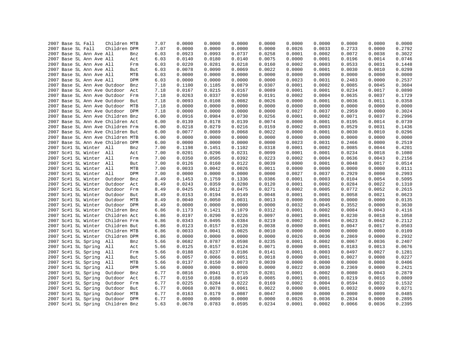|  |                                        | Children MTB |            | 7.07 | 0.0000 | 0.0000 | 0.0000 | 0.0000 | 0.0000 | 0.0000 | 0.0000 | 0.0000 | 0.0000 |
|--|----------------------------------------|--------------|------------|------|--------|--------|--------|--------|--------|--------|--------|--------|--------|
|  | 2007 Base SL Fall<br>2007 Base SL Fall | Children DPM |            | 7.07 | 0.0000 | 0.0000 | 0.0000 | 0.0000 | 0.0026 | 0.0033 | 0.2733 | 0.0000 | 0.2792 |
|  | 2007 Base SL Ann Ave All               |              | Bnz        | 6.03 | 0.0923 | 0.0993 | 0.0737 | 0.0258 | 0.0001 | 0.0002 | 0.0072 | 0.0038 | 0.3022 |
|  | 2007 Base SL Ann Ave All               |              | Act        | 6.03 | 0.0140 | 0.0180 | 0.0140 | 0.0075 | 0.0000 | 0.0001 | 0.0196 | 0.0014 | 0.0746 |
|  |                                        |              |            |      |        | 0.0281 | 0.0218 | 0.0160 | 0.0002 |        | 0.0533 | 0.0031 | 0.1448 |
|  | 2007 Base SL Ann Ave All               |              | Frm        | 6.03 | 0.0220 |        |        |        |        | 0.0003 |        |        |        |
|  | 2007 Base SL Ann Ave All               |              | But        | 6.03 | 0.0078 | 0.0090 | 0.0069 | 0.0022 | 0.0000 | 0.0001 | 0.0030 | 0.0010 | 0.0299 |
|  | 2007 Base SL Ann Ave All               |              | MTB        | 6.03 | 0.0000 | 0.0000 | 0.0000 | 0.0000 | 0.0000 | 0.0000 | 0.0000 | 0.0000 | 0.0000 |
|  | 2007 Base SL Ann Ave All               |              | DPM        | 6.03 | 0.0000 | 0.0000 | 0.0000 | 0.0000 | 0.0023 | 0.0031 | 0.2483 | 0.0000 | 0.2537 |
|  | 2007 Base SL Ann Ave Outdoor           |              | Bnz        | 7.18 | 0.1100 | 0.1185 | 0.0879 | 0.0307 | 0.0001 | 0.0002 | 0.0085 | 0.0045 | 0.3604 |
|  | 2007 Base SL Ann Ave Outdoor Act       |              |            | 7.18 | 0.0167 | 0.0215 | 0.0167 | 0.0089 | 0.0001 | 0.0001 | 0.0234 | 0.0017 | 0.0890 |
|  | 2007 Base SL Ann Ave Outdoor Frm       |              |            | 7.18 | 0.0263 | 0.0337 | 0.0260 | 0.0191 | 0.0002 | 0.0004 | 0.0635 | 0.0037 | 0.1729 |
|  | 2007 Base SL Ann Ave Outdoor But       |              |            | 7.18 | 0.0093 | 0.0108 | 0.0082 | 0.0026 | 0.0000 | 0.0001 | 0.0036 | 0.0011 | 0.0358 |
|  | 2007 Base SL Ann Ave Outdoor           |              | MTB        | 7.18 | 0.0000 | 0.0000 | 0.0000 | 0.0000 | 0.0000 | 0.0000 | 0.0000 | 0.0000 | 0.0000 |
|  | 2007 Base SL Ann Ave Outdoor DPM       |              |            | 7.18 | 0.0000 | 0.0000 | 0.0000 | 0.0000 | 0.0027 | 0.0037 | 0.2959 | 0.0000 | 0.3024 |
|  | 2007 Base SL Ann Ave Children Bnz      |              |            | 6.00 | 0.0916 | 0.0984 | 0.0730 | 0.0256 | 0.0001 | 0.0002 | 0.0071 | 0.0037 | 0.2996 |
|  | 2007 Base SL Ann Ave Children Act      |              |            | 6.00 | 0.0139 | 0.0178 | 0.0139 | 0.0074 | 0.0000 | 0.0001 | 0.0195 | 0.0014 | 0.0739 |
|  | 2007 Base SL Ann Ave Children Frm      |              |            | 6.00 | 0.0218 | 0.0279 | 0.0216 | 0.0159 | 0.0002 | 0.0003 | 0.0529 | 0.0031 | 0.1436 |
|  | 2007 Base SL Ann Ave Children But      |              |            | 6.00 | 0.0077 | 0.0089 | 0.0068 | 0.0022 | 0.0000 | 0.0001 | 0.0030 | 0.0010 | 0.0296 |
|  | 2007 Base SL Ann Ave Children MTB      |              |            | 6.00 | 0.0000 | 0.0000 | 0.0000 | 0.0000 | 0.0000 | 0.0000 | 0.0000 | 0.0000 | 0.0000 |
|  | 2007 Base SL Ann Ave Children DPM      |              |            | 6.00 | 0.0000 | 0.0000 | 0.0000 | 0.0000 | 0.0023 | 0.0031 | 0.2466 | 0.0000 | 0.2519 |
|  | 2007 Sc#1 SL Winter All                |              | Bnz        | 7.00 | 0.1198 | 0.1451 | 0.1102 | 0.0318 | 0.0001 | 0.0002 | 0.0085 | 0.0044 | 0.4201 |
|  | 2007 Sc#1 SL Winter All                |              | Act        | 7.00 | 0.0201 | 0.0296 | 0.0231 | 0.0099 | 0.0001 | 0.0001 | 0.0234 | 0.0018 | 0.1080 |
|  | 2007 Sc#1 SL Winter All                |              | Frm        | 7.00 | 0.0350 | 0.0505 | 0.0392 | 0.0223 | 0.0002 | 0.0004 | 0.0636 | 0.0043 | 0.2156 |
|  | 2007 Sc#1 SL Winter All                |              | But        | 7.00 | 0.0126 | 0.0160 | 0.0122 | 0.0039 | 0.0000 | 0.0001 | 0.0048 | 0.0017 | 0.0514 |
|  | 2007 Sc#1 SL Winter All                |              | MTB        | 7.00 | 0.0033 | 0.0042 | 0.0026 | 0.0011 | 0.0000 | 0.0000 | 0.0000 | 0.0000 | 0.0111 |
|  | 2007 Sc#1 SL Winter All                |              | DPM        | 7.00 | 0.0000 | 0.0000 | 0.0000 | 0.0000 | 0.0027 | 0.0037 | 0.2929 | 0.0000 | 0.2993 |
|  | 2007 Sc#1 SL Winter                    | Outdoor      | Bnz        | 8.49 | 0.1453 | 0.1759 | 0.1336 | 0.0386 | 0.0001 | 0.0003 | 0.0104 | 0.0054 | 0.5095 |
|  | 2007 Sc#1 SL Winter                    | Outdoor      | Act        | 8.49 | 0.0243 | 0.0359 | 0.0280 | 0.0120 | 0.0001 | 0.0002 | 0.0284 | 0.0022 | 0.1310 |
|  | 2007 Sc#1 SL Winter                    | Outdoor      | Frm        | 8.49 | 0.0425 | 0.0612 | 0.0475 | 0.0271 | 0.0002 | 0.0005 | 0.0772 | 0.0052 | 0.2615 |
|  | 2007 Sc#1 SL Winter                    | Outdoor      | But        | 8.49 | 0.0153 | 0.0194 | 0.0149 | 0.0048 | 0.0001 | 0.0001 | 0.0058 | 0.0021 | 0.0623 |
|  | 2007 Sc#1 SL Winter                    | Outdoor      | MTB        | 8.49 | 0.0040 | 0.0050 | 0.0031 | 0.0013 | 0.0000 | 0.0000 | 0.0000 | 0.0000 | 0.0135 |
|  | 2007 Sc#1 SL Winter                    | Outdoor      | DPM        | 8.49 | 0.0000 | 0.0000 | 0.0000 | 0.0000 | 0.0032 | 0.0045 | 0.3552 | 0.0000 | 0.3630 |
|  | 2007 Sc#1 SL Winter                    | Children Bnz |            | 6.86 | 0.1173 | 0.1421 | 0.1079 | 0.0312 | 0.0001 | 0.0002 | 0.0084 | 0.0043 | 0.4116 |
|  | 2007 Sc#1 SL Winter                    | Children Act |            | 6.86 | 0.0197 | 0.0290 | 0.0226 | 0.0097 | 0.0001 | 0.0001 | 0.0230 | 0.0018 | 0.1058 |
|  | 2007 Sc#1 SL Winter                    | Children Frm |            | 6.86 | 0.0343 | 0.0495 | 0.0384 | 0.0219 | 0.0002 | 0.0004 | 0.0623 | 0.0042 | 0.2112 |
|  | 2007 Sc#1 SL Winter                    | Children But |            | 6.86 | 0.0123 | 0.0157 | 0.0120 | 0.0038 | 0.0000 | 0.0001 | 0.0047 | 0.0017 | 0.0503 |
|  | 2007 Sc#1 SL Winter                    | Children MTB |            | 6.86 | 0.0033 | 0.0041 | 0.0025 | 0.0010 | 0.0000 | 0.0000 | 0.0000 | 0.0000 | 0.0109 |
|  | 2007 Sc#1 SL Winter                    | Children DPM |            | 6.86 | 0.0000 | 0.0000 | 0.0000 | 0.0000 | 0.0026 | 0.0036 | 0.2869 | 0.0000 | 0.2932 |
|  | 2007 Sc#1 SL Spring                    | All          | Bnz        | 5.66 | 0.0682 | 0.0787 | 0.0598 | 0.0235 | 0.0001 | 0.0002 | 0.0067 | 0.0036 | 0.2407 |
|  | 2007 Sc#1 SL Spring                    | All          | Act        | 5.66 | 0.0125 | 0.0157 | 0.0124 | 0.0071 | 0.0000 | 0.0001 | 0.0183 | 0.0013 | 0.0676 |
|  | 2007 Sc#1 SL Spring                    | All          | Frm        | 5.66 | 0.0188 | 0.0237 | 0.0186 | 0.0141 | 0.0001 | 0.0003 | 0.0497 | 0.0027 | 0.1281 |
|  | 2007 Sc#1 SL Spring                    | All          | But        | 5.66 | 0.0057 | 0.0066 | 0.0051 | 0.0018 | 0.0000 | 0.0001 | 0.0027 | 0.0008 | 0.0227 |
|  | 2007 Sc#1 SL Spring                    | All          | MTB        | 5.66 | 0.0137 | 0.0150 | 0.0073 | 0.0039 | 0.0000 | 0.0000 | 0.0000 | 0.0008 | 0.0406 |
|  | 2007 Sc#1 SL Spring                    | All          | DPM        | 5.66 | 0.0000 | 0.0000 | 0.0000 | 0.0000 | 0.0022 | 0.0030 | 0.2369 | 0.0000 | 0.2421 |
|  | 2007 Sc#1 SL Spring                    | Outdoor      | Bnz        | 6.77 | 0.0816 | 0.0941 | 0.0715 | 0.0281 | 0.0001 | 0.0002 | 0.0080 | 0.0043 | 0.2879 |
|  | 2007 Sc#1 SL Spring                    | Outdoor      | Act        | 6.77 | 0.0150 | 0.0188 | 0.0149 | 0.0085 | 0.0001 | 0.0001 | 0.0219 | 0.0016 | 0.0809 |
|  | 2007 Sc#1 SL Spring                    | Outdoor      | Frm        | 6.77 | 0.0225 | 0.0284 | 0.0222 | 0.0169 | 0.0002 | 0.0004 | 0.0594 | 0.0032 | 0.1532 |
|  | 2007 Sc#1 SL Spring                    | Outdoor      | But        | 6.77 | 0.0068 | 0.0078 | 0.0061 | 0.0022 | 0.0000 | 0.0001 | 0.0032 | 0.0009 | 0.0271 |
|  | 2007 Sc#1 SL Spring                    | Outdoor      | MTB        | 6.77 | 0.0163 | 0.0179 | 0.0087 | 0.0047 | 0.0000 | 0.0000 | 0.0000 | 0.0009 | 0.0485 |
|  | 2007 Sc#1 SL Spring                    | Outdoor      | <b>DPM</b> | 6.77 | 0.0000 | 0.0000 | 0.0000 | 0.0000 | 0.0026 | 0.0036 | 0.2834 | 0.0000 | 0.2895 |
|  | 2007 Sc#1 SL Spring                    | Children Bnz |            | 5.63 | 0.0678 | 0.0783 | 0.0595 | 0.0234 | 0.0001 | 0.0002 | 0.0066 | 0.0036 | 0.2395 |
|  |                                        |              |            |      |        |        |        |        |        |        |        |        |        |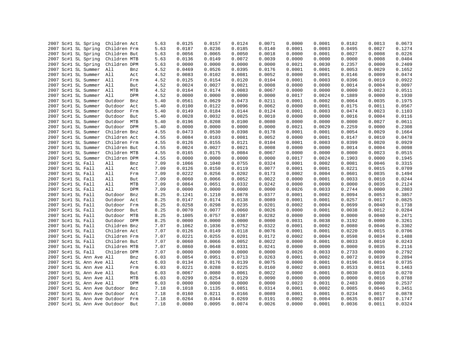| 2007 Sc#1 SL Spring          | Children Act |     | 5.63 | 0.0125 | 0.0157 | 0.0124 | 0.0071 | 0.0000 | 0.0001 | 0.0182 | 0.0013 | 0.0673 |
|------------------------------|--------------|-----|------|--------|--------|--------|--------|--------|--------|--------|--------|--------|
| 2007 Sc#1 SL Spring          | Children Frm |     | 5.63 | 0.0187 | 0.0236 | 0.0185 | 0.0140 | 0.0001 | 0.0003 | 0.0495 | 0.0027 | 0.1274 |
| 2007 Sc#1 SL Spring          | Children But |     | 5.63 | 0.0056 | 0.0065 | 0.0050 | 0.0018 | 0.0000 | 0.0001 | 0.0027 | 0.0008 | 0.0226 |
| 2007 Sc#1 SL Spring          | Children MTB |     | 5.63 | 0.0136 | 0.0149 | 0.0072 | 0.0039 | 0.0000 | 0.0000 | 0.0000 | 0.0008 | 0.0404 |
| 2007 Sc#1 SL Spring          | Children DPM |     | 5.63 | 0.0000 | 0.0000 | 0.0000 | 0.0000 | 0.0021 | 0.0030 | 0.2357 | 0.0000 | 0.2409 |
| 2007 Sc#1 SL Summer          | All          | Bnz | 4.52 | 0.0469 | 0.0526 | 0.0395 | 0.0176 | 0.0001 | 0.0001 | 0.0053 | 0.0029 | 0.1652 |
| 2007 Sc#1 SL Summer All      |              | Act | 4.52 | 0.0083 | 0.0102 | 0.0081 | 0.0052 | 0.0000 | 0.0001 | 0.0146 | 0.0009 | 0.0474 |
| 2007 Sc#1 SL Summer          | All          | Frm | 4.52 | 0.0125 | 0.0154 | 0.0120 | 0.0104 | 0.0001 | 0.0003 | 0.0396 | 0.0019 | 0.0922 |
| 2007 Sc#1 SL Summer All      |              | But | 4.52 | 0.0024 | 0.0027 | 0.0021 | 0.0008 | 0.0000 | 0.0000 | 0.0014 | 0.0004 | 0.0097 |
| 2007 Sc#1 SL Summer          | All          | MTB | 4.52 | 0.0164 | 0.0174 | 0.0083 | 0.0067 | 0.0000 | 0.0000 | 0.0000 | 0.0023 | 0.0511 |
| 2007 Sc#1 SL Summer          | All          | DPM | 4.52 | 0.0000 | 0.0000 | 0.0000 | 0.0000 | 0.0017 | 0.0024 | 0.1889 | 0.0000 | 0.1930 |
| 2007 Sc#1 SL Summer          | Outdoor      | Bnz | 5.40 | 0.0561 | 0.0629 | 0.0473 | 0.0211 | 0.0001 | 0.0002 | 0.0064 | 0.0035 | 0.1975 |
| 2007 Sc#1 SL Summer          | Outdoor      | Act | 5.40 | 0.0100 | 0.0122 | 0.0096 | 0.0062 | 0.0000 | 0.0001 | 0.0175 | 0.0011 | 0.0567 |
| 2007 Sc#1 SL Summer          | Outdoor      | Frm | 5.40 | 0.0149 | 0.0184 | 0.0144 | 0.0124 | 0.0001 | 0.0003 | 0.0474 | 0.0023 | 0.1103 |
| 2007 Sc#1 SL Summer          | Outdoor      | But | 5.40 | 0.0028 | 0.0032 | 0.0025 | 0.0010 | 0.0000 | 0.0000 | 0.0016 | 0.0004 | 0.0116 |
| 2007 Sc#1 SL Summer          | Outdoor MTB  |     | 5.40 | 0.0196 | 0.0208 | 0.0100 | 0.0080 | 0.0000 | 0.0000 | 0.0000 | 0.0027 | 0.0611 |
| 2007 Sc#1 SL Summer          | Outdoor DPM  |     | 5.40 | 0.0000 | 0.0000 | 0.0000 | 0.0000 | 0.0021 | 0.0029 | 0.2259 | 0.0000 | 0.2308 |
| 2007 Sc#1 SL Summer          | Children Bnz |     | 4.55 | 0.0473 | 0.0530 | 0.0398 | 0.0178 | 0.0001 | 0.0001 | 0.0054 | 0.0029 | 0.1664 |
|                              | Children Act |     |      | 0.0084 |        | 0.0081 | 0.0052 | 0.0000 | 0.0001 | 0.0147 | 0.0010 |        |
| 2007 Sc#1 SL Summer          |              |     | 4.55 |        | 0.0103 |        |        |        |        |        |        | 0.0478 |
| 2007 Sc#1 SL Summer          | Children Frm |     | 4.55 | 0.0126 | 0.0155 | 0.0121 | 0.0104 | 0.0001 | 0.0003 | 0.0399 | 0.0020 | 0.0929 |
| 2007 Sc#1 SL Summer          | Children But |     | 4.55 | 0.0024 | 0.0027 | 0.0021 | 0.0008 | 0.0000 | 0.0000 | 0.0014 | 0.0004 | 0.0098 |
| 2007 Sc#1 SL Summer          | Children MTB |     | 4.55 | 0.0165 | 0.0175 | 0.0084 | 0.0067 | 0.0000 | 0.0000 | 0.0000 | 0.0023 | 0.0515 |
| 2007 Sc#1 SL Summer          | Children DPM |     | 4.55 | 0.0000 | 0.0000 | 0.0000 | 0.0000 | 0.0017 | 0.0024 | 0.1903 | 0.0000 | 0.1945 |
| 2007 Sc#1 SL Fall            | All          | Bnz | 7.09 | 0.1066 | 0.1040 | 0.0755 | 0.0324 | 0.0001 | 0.0002 | 0.0081 | 0.0046 | 0.3315 |
| 2007 Sc#1 SL Fall            | All          | Act | 7.09 | 0.0126 | 0.0150 | 0.0119 | 0.0077 | 0.0001 | 0.0001 | 0.0221 | 0.0015 | 0.0709 |
| 2007 Sc#1 SL Fall            | All          | Frm | 7.09 | 0.0222 | 0.0256 | 0.0202 | 0.0173 | 0.0002 | 0.0004 | 0.0601 | 0.0035 | 0.1494 |
| 2007 Sc#1 SL Fall            | All          | But | 7.09 | 0.0060 | 0.0066 | 0.0052 | 0.0022 | 0.0000 | 0.0001 | 0.0033 | 0.0010 | 0.0244 |
| 2007 Sc#1 SL Fall            | All          | MTB | 7.09 | 0.0864 | 0.0651 | 0.0332 | 0.0242 | 0.0000 | 0.0000 | 0.0000 | 0.0035 | 0.2124 |
| 2007 Sc#1 SL Fall            | All          | DPM | 7.09 | 0.0000 | 0.0000 | 0.0000 | 0.0000 | 0.0026 | 0.0033 | 0.2744 | 0.0000 | 0.2803 |
| 2007 Sc#1 SL Fall            | Outdoor      | Bnz | 8.25 | 0.1241 | 0.1210 | 0.0878 | 0.0377 | 0.0001 | 0.0002 | 0.0094 | 0.0053 | 0.3857 |
| 2007 Sc#1 SL Fall            | Outdoor      | Act | 8.25 | 0.0147 | 0.0174 | 0.0138 | 0.0089 | 0.0001 | 0.0001 | 0.0257 | 0.0017 | 0.0825 |
| 2007 Sc#1 SL Fall            | Outdoor      | Frm | 8.25 | 0.0258 | 0.0298 | 0.0235 | 0.0201 | 0.0002 | 0.0004 | 0.0699 | 0.0040 | 0.1738 |
| 2007 Sc#1 SL Fall            | Outdoor      | But | 8.25 | 0.0070 | 0.0077 | 0.0060 | 0.0026 | 0.0000 | 0.0001 | 0.0038 | 0.0012 | 0.0284 |
| 2007 Sc#1 SL Fall            | Outdoor      | MTB | 8.25 | 0.1005 | 0.0757 | 0.0387 | 0.0282 | 0.0000 | 0.0000 | 0.0000 | 0.0040 | 0.2471 |
| 2007 Sc#1 SL Fall            | Outdoor DPM  |     | 8.25 | 0.0000 | 0.0000 | 0.0000 | 0.0000 | 0.0031 | 0.0038 | 0.3192 | 0.0000 | 0.3261 |
| 2007 Sc#1 SL Fall            | Children Bnz |     | 7.07 | 0.1062 | 0.1036 | 0.0752 | 0.0322 | 0.0001 | 0.0002 | 0.0080 | 0.0046 | 0.3302 |
| 2007 Sc#1 SL Fall            | Children Act |     | 7.07 | 0.0126 | 0.0149 | 0.0118 | 0.0076 | 0.0001 | 0.0001 | 0.0220 | 0.0015 | 0.0706 |
| 2007 Sc#1 SL Fall            | Children Frm |     | 7.07 | 0.0221 | 0.0255 | 0.0201 | 0.0172 | 0.0002 | 0.0004 | 0.0598 | 0.0034 | 0.1488 |
| 2007 Sc#1 SL Fall            | Children But |     | 7.07 | 0.0060 | 0.0066 | 0.0052 | 0.0022 | 0.0000 | 0.0001 | 0.0033 | 0.0010 | 0.0243 |
| 2007 Sc#1 SL Fall            | Children MTB |     | 7.07 | 0.0860 | 0.0648 | 0.0331 | 0.0241 | 0.0000 | 0.0000 | 0.0000 | 0.0035 | 0.2116 |
| 2007 Sc#1 SL Fall            | Children DPM |     | 7.07 | 0.0000 | 0.0000 | 0.0000 | 0.0000 | 0.0026 | 0.0033 | 0.2733 | 0.0000 | 0.2792 |
| 2007 Sc#1 SL Ann Ave All     |              | Bnz | 6.03 | 0.0854 | 0.0951 | 0.0713 | 0.0263 | 0.0001 | 0.0002 | 0.0072 | 0.0039 | 0.2894 |
| 2007 Sc#1 SL Ann Ave All     |              | Act | 6.03 | 0.0134 | 0.0176 | 0.0139 | 0.0075 | 0.0000 | 0.0001 | 0.0196 | 0.0014 | 0.0735 |
| 2007 Sc#1 SL Ann Ave All     |              | Frm | 6.03 | 0.0221 | 0.0288 | 0.0225 | 0.0160 | 0.0002 | 0.0003 | 0.0533 | 0.0031 | 0.1463 |
| 2007 Sc#1 SL Ann Ave All     |              | But | 6.03 | 0.0067 | 0.0080 | 0.0061 | 0.0022 | 0.0000 | 0.0001 | 0.0030 | 0.0010 | 0.0270 |
|                              |              | MTB |      | 0.0299 | 0.0254 | 0.0129 | 0.0090 | 0.0000 | 0.0000 | 0.0000 | 0.0016 | 0.0788 |
| 2007 Sc#1 SL Ann Ave All     |              |     | 6.03 |        |        |        |        |        |        |        |        | 0.2537 |
| 2007 Sc#1 SL Ann Ave All     |              | DPM | 6.03 | 0.0000 | 0.0000 | 0.0000 | 0.0000 | 0.0023 | 0.0031 | 0.2483 | 0.0000 |        |
| 2007 Sc#1 SL Ann Ave Outdoor |              | Bnz | 7.18 | 0.1018 | 0.1135 | 0.0851 | 0.0314 | 0.0001 | 0.0002 | 0.0085 | 0.0046 | 0.3451 |
| 2007 Sc#1 SL Ann Ave Outdoor |              | Act | 7.18 | 0.0160 | 0.0211 | 0.0166 | 0.0089 | 0.0001 | 0.0001 | 0.0234 | 0.0017 | 0.0878 |
| 2007 Sc#1 SL Ann Ave Outdoor |              | Frm | 7.18 | 0.0264 | 0.0344 | 0.0269 | 0.0191 | 0.0002 | 0.0004 | 0.0635 | 0.0037 | 0.1747 |
| 2007 Sc#1 SL Ann Ave Outdoor |              | But | 7.18 | 0.0080 | 0.0095 | 0.0074 | 0.0026 | 0.0000 | 0.0001 | 0.0036 | 0.0011 | 0.0324 |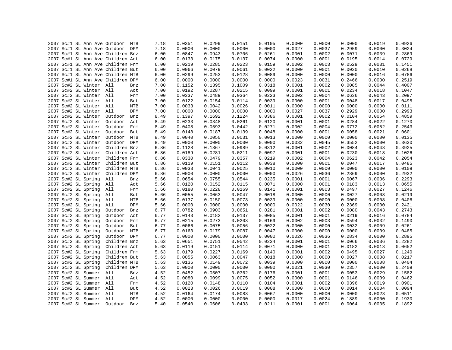|                     | 2007 Sc#1 SL Ann Ave Outdoor MTB  |              |     | 7.18 | 0.0351 | 0.0299 | 0.0151 | 0.0105 | 0.0000 | 0.0000 | 0.0000 | 0.0019 | 0.0926 |
|---------------------|-----------------------------------|--------------|-----|------|--------|--------|--------|--------|--------|--------|--------|--------|--------|
|                     | 2007 Sc#1 SL Ann Ave Outdoor DPM  |              |     | 7.18 | 0.0000 | 0.0000 | 0.0000 | 0.0000 | 0.0027 | 0.0037 | 0.2959 | 0.0000 | 0.3024 |
|                     | 2007 Sc#1 SL Ann Ave Children Bnz |              |     | 6.00 | 0.0847 | 0.0943 | 0.0706 | 0.0261 | 0.0001 | 0.0002 | 0.0071 | 0.0039 | 0.2869 |
|                     | 2007 Sc#1 SL Ann Ave Children Act |              |     | 6.00 | 0.0133 | 0.0175 | 0.0137 | 0.0074 | 0.0000 | 0.0001 | 0.0195 | 0.0014 | 0.0729 |
|                     | 2007 Sc#1 SL Ann Ave Children Frm |              |     | 6.00 | 0.0219 | 0.0285 | 0.0223 | 0.0159 | 0.0002 | 0.0003 | 0.0529 | 0.0031 | 0.1451 |
|                     | 2007 Sc#1 SL Ann Ave Children But |              |     | 6.00 | 0.0066 | 0.0079 | 0.0061 | 0.0022 | 0.0000 | 0.0001 | 0.0030 | 0.0010 | 0.0268 |
|                     | 2007 Sc#1 SL Ann Ave Children MTB |              |     | 6.00 | 0.0299 | 0.0253 | 0.0128 | 0.0089 | 0.0000 | 0.0000 | 0.0000 | 0.0016 | 0.0786 |
|                     | 2007 Sc#1 SL Ann Ave Children DPM |              |     | 6.00 | 0.0000 | 0.0000 | 0.0000 | 0.0000 | 0.0023 | 0.0031 | 0.2466 | 0.0000 | 0.2519 |
|                     | 2007 Sc#2 SL Winter All           |              | Bnz | 7.00 | 0.1152 | 0.1395 | 0.1009 | 0.0318 | 0.0001 | 0.0002 | 0.0085 | 0.0044 | 0.4007 |
|                     | 2007 Sc#2 SL Winter All           |              | Act | 7.00 | 0.0192 | 0.0287 | 0.0215 | 0.0099 | 0.0001 | 0.0001 | 0.0234 | 0.0018 | 0.1047 |
|                     | 2007 Sc#2 SL Winter All           |              | Frm | 7.00 | 0.0337 | 0.0489 | 0.0364 | 0.0223 | 0.0002 | 0.0004 | 0.0636 | 0.0043 | 0.2097 |
|                     | 2007 Sc#2 SL Winter All           |              | But | 7.00 | 0.0122 | 0.0154 | 0.0114 | 0.0039 | 0.0000 | 0.0001 | 0.0048 | 0.0017 | 0.0495 |
|                     | 2007 Sc#2 SL Winter All           |              | MTB | 7.00 | 0.0033 | 0.0042 | 0.0026 | 0.0011 | 0.0000 | 0.0000 | 0.0000 | 0.0000 | 0.0111 |
|                     | 2007 Sc#2 SL Winter All           |              | DPM | 7.00 | 0.0000 | 0.0000 | 0.0000 | 0.0000 | 0.0027 | 0.0037 | 0.2929 | 0.0000 | 0.2993 |
| 2007 Sc#2 SL Winter |                                   | Outdoor      | Bnz | 8.49 | 0.1397 | 0.1692 | 0.1224 | 0.0386 | 0.0001 | 0.0002 | 0.0104 | 0.0054 | 0.4859 |
| 2007 Sc#2 SL Winter |                                   | Outdoor      | Act | 8.49 | 0.0233 | 0.0348 | 0.0261 | 0.0120 | 0.0001 | 0.0001 | 0.0284 | 0.0022 | 0.1270 |
| 2007 Sc#2 SL Winter |                                   | Outdoor      | Frm | 8.49 | 0.0408 | 0.0593 | 0.0442 | 0.0271 | 0.0002 | 0.0004 | 0.0772 | 0.0052 | 0.2543 |
| 2007 Sc#2 SL Winter |                                   | Outdoor      | But | 8.49 | 0.0148 | 0.0187 | 0.0139 | 0.0048 | 0.0000 | 0.0001 | 0.0058 | 0.0021 | 0.0601 |
| 2007 Sc#2 SL Winter |                                   | Outdoor MTB  |     | 8.49 | 0.0040 | 0.0050 | 0.0031 | 0.0013 | 0.0000 | 0.0000 | 0.0000 | 0.0000 | 0.0135 |
| 2007 Sc#2 SL Winter |                                   | Outdoor DPM  |     | 8.49 | 0.0000 | 0.0000 | 0.0000 | 0.0000 | 0.0032 | 0.0045 | 0.3552 | 0.0000 | 0.3630 |
| 2007 Sc#2 SL Winter |                                   | Children Bnz |     | 6.86 | 0.1128 | 0.1367 | 0.0989 | 0.0312 | 0.0001 | 0.0002 | 0.0084 | 0.0043 | 0.3925 |
| 2007 Sc#2 SL Winter |                                   | Children Act |     | 6.86 | 0.0189 | 0.0281 | 0.0211 | 0.0097 | 0.0001 | 0.0001 | 0.0230 | 0.0018 | 0.1026 |
| 2007 Sc#2 SL Winter |                                   | Children Frm |     | 6.86 | 0.0330 | 0.0479 | 0.0357 | 0.0219 | 0.0002 | 0.0004 | 0.0623 | 0.0042 | 0.2054 |
| 2007 Sc#2 SL Winter |                                   | Children But |     | 6.86 | 0.0119 | 0.0151 | 0.0112 | 0.0038 | 0.0000 | 0.0001 | 0.0047 | 0.0017 | 0.0485 |
| 2007 Sc#2 SL Winter |                                   | Children MTB |     | 6.86 | 0.0033 | 0.0041 | 0.0025 | 0.0010 | 0.0000 | 0.0000 | 0.0000 | 0.0000 | 0.0109 |
| 2007 Sc#2 SL Winter |                                   | Children DPM |     | 6.86 | 0.0000 | 0.0000 | 0.0000 | 0.0000 | 0.0026 | 0.0036 | 0.2869 | 0.0000 | 0.2932 |
| 2007 Sc#2 SL Spring |                                   | All          | Bnz | 5.66 | 0.0654 | 0.0755 | 0.0544 | 0.0235 | 0.0001 | 0.0001 | 0.0067 | 0.0036 | 0.2293 |
| 2007 Sc#2 SL Spring |                                   | All          | Act | 5.66 | 0.0120 | 0.0152 | 0.0115 | 0.0071 | 0.0000 | 0.0001 | 0.0183 | 0.0013 | 0.0655 |
| 2007 Sc#2 SL Spring |                                   | All          | Frm | 5.66 | 0.0180 | 0.0228 | 0.0169 | 0.0141 | 0.0001 | 0.0003 | 0.0497 | 0.0027 | 0.1246 |
| 2007 Sc#2 SL Spring |                                   | All          | But | 5.66 | 0.0055 | 0.0063 | 0.0047 | 0.0018 | 0.0000 | 0.0000 | 0.0027 | 0.0008 | 0.0219 |
| 2007 Sc#2 SL Spring |                                   | All          | MTB | 5.66 | 0.0137 | 0.0150 | 0.0073 | 0.0039 | 0.0000 | 0.0000 | 0.0000 | 0.0008 | 0.0406 |
| 2007 Sc#2 SL Spring |                                   | All          | DPM | 5.66 | 0.0000 | 0.0000 | 0.0000 | 0.0000 | 0.0022 | 0.0030 | 0.2369 | 0.0000 | 0.2421 |
| 2007 Sc#2 SL Spring |                                   | Outdoor      | Bnz | 6.77 | 0.0782 | 0.0903 | 0.0651 | 0.0281 | 0.0001 | 0.0002 | 0.0080 | 0.0043 | 0.2743 |
| 2007 Sc#2 SL Spring |                                   | Outdoor      | Act | 6.77 | 0.0143 | 0.0182 | 0.0137 | 0.0085 | 0.0001 | 0.0001 | 0.0219 | 0.0016 | 0.0784 |
| 2007 Sc#2 SL Spring |                                   | Outdoor      | Frm | 6.77 | 0.0215 | 0.0273 | 0.0203 | 0.0169 | 0.0002 | 0.0003 | 0.0594 | 0.0032 | 0.1490 |
| 2007 Sc#2 SL Spring |                                   | Outdoor      | But | 6.77 | 0.0066 | 0.0075 | 0.0056 | 0.0022 | 0.0000 | 0.0000 | 0.0032 | 0.0009 | 0.0261 |
| 2007 Sc#2 SL Spring |                                   | Outdoor      | MTB | 6.77 | 0.0163 | 0.0179 | 0.0087 | 0.0047 | 0.0000 | 0.0000 | 0.0000 | 0.0009 | 0.0485 |
| 2007 Sc#2 SL Spring |                                   | Outdoor DPM  |     | 6.77 | 0.0000 | 0.0000 | 0.0000 | 0.0000 | 0.0026 | 0.0036 | 0.2834 | 0.0000 | 0.2895 |
| 2007 Sc#2 SL Spring |                                   | Children Bnz |     | 5.63 | 0.0651 | 0.0751 | 0.0542 | 0.0234 | 0.0001 | 0.0001 | 0.0066 | 0.0036 | 0.2282 |
| 2007 Sc#2 SL Spring |                                   | Children Act |     | 5.63 | 0.0119 | 0.0151 | 0.0114 | 0.0071 | 0.0000 | 0.0001 | 0.0182 | 0.0013 | 0.0652 |
| 2007 Sc#2 SL Spring |                                   | Children Frm |     | 5.63 | 0.0179 | 0.0227 | 0.0169 | 0.0140 | 0.0001 | 0.0002 | 0.0495 | 0.0027 | 0.1240 |
| 2007 Sc#2 SL Spring |                                   | Children But |     | 5.63 | 0.0055 | 0.0063 | 0.0047 | 0.0018 | 0.0000 | 0.0000 | 0.0027 | 0.0008 | 0.0217 |
| 2007 Sc#2 SL Spring |                                   | Children MTB |     | 5.63 | 0.0136 | 0.0149 | 0.0072 | 0.0039 | 0.0000 | 0.0000 | 0.0000 | 0.0008 | 0.0404 |
| 2007 Sc#2 SL Spring |                                   | Children DPM |     | 5.63 | 0.0000 | 0.0000 | 0.0000 | 0.0000 | 0.0021 | 0.0030 | 0.2357 | 0.0000 | 0.2409 |
| 2007 Sc#2 SL Summer |                                   | All          | Bnz | 4.52 | 0.0452 | 0.0507 | 0.0362 | 0.0176 | 0.0001 | 0.0001 | 0.0053 | 0.0029 | 0.1582 |
|                     | 2007 Sc#2 SL Summer All           |              | Act | 4.52 | 0.0080 | 0.0099 | 0.0075 | 0.0052 | 0.0000 | 0.0001 | 0.0146 | 0.0009 | 0.0462 |
|                     | 2007 Sc#2 SL Summer All           |              | Frm | 4.52 | 0.0120 | 0.0148 | 0.0110 | 0.0104 | 0.0001 | 0.0002 | 0.0396 | 0.0019 | 0.0901 |
|                     | 2007 Sc#2 SL Summer All           |              | But | 4.52 | 0.0023 | 0.0026 | 0.0019 | 0.0008 | 0.0000 | 0.0000 | 0.0014 | 0.0004 | 0.0094 |
|                     | 2007 Sc#2 SL Summer All           |              | MTB | 4.52 | 0.0164 | 0.0174 | 0.0083 | 0.0067 | 0.0000 | 0.0000 | 0.0000 | 0.0023 | 0.0511 |
|                     | 2007 Sc#2 SL Summer All           |              | DPM | 4.52 | 0.0000 | 0.0000 | 0.0000 | 0.0000 | 0.0017 | 0.0024 | 0.1889 | 0.0000 | 0.1930 |
| 2007 Sc#2 SL Summer |                                   | Outdoor      | Bnz | 5.40 | 0.0540 | 0.0606 | 0.0433 | 0.0211 | 0.0001 | 0.0001 | 0.0064 | 0.0035 | 0.1892 |
|                     |                                   |              |     |      |        |        |        |        |        |        |        |        |        |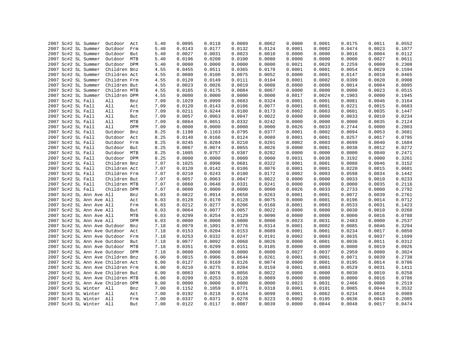|  | 2007 Sc#2 SL Summer               | Outdoor Act  |     | 5.40 | 0.0095 | 0.0118 | 0.0089 | 0.0062 | 0.0000 | 0.0001 | 0.0175 | 0.0011 | 0.0552 |
|--|-----------------------------------|--------------|-----|------|--------|--------|--------|--------|--------|--------|--------|--------|--------|
|  | 2007 Sc#2 SL Summer               | Outdoor      | Frm | 5.40 | 0.0143 | 0.0177 | 0.0132 | 0.0124 | 0.0001 | 0.0002 | 0.0474 | 0.0023 | 0.1077 |
|  | 2007 Sc#2 SL Summer               | Outdoor      | But | 5.40 | 0.0027 | 0.0031 | 0.0023 | 0.0010 | 0.0000 | 0.0000 | 0.0016 | 0.0004 | 0.0112 |
|  | 2007 Sc#2 SL Summer               | Outdoor      | MTB | 5.40 | 0.0196 | 0.0208 | 0.0100 | 0.0080 | 0.0000 | 0.0000 | 0.0000 | 0.0027 | 0.0611 |
|  | 2007 Sc#2 SL Summer               | Outdoor DPM  |     | 5.40 | 0.0000 | 0.0000 | 0.0000 | 0.0000 | 0.0021 | 0.0029 | 0.2259 | 0.0000 | 0.2308 |
|  | 2007 Sc#2 SL Summer               | Children Bnz |     | 4.55 | 0.0455 | 0.0511 | 0.0365 | 0.0178 | 0.0001 | 0.0001 | 0.0054 | 0.0029 | 0.1594 |
|  | 2007 Sc#2 SL Summer               | Children Act |     | 4.55 | 0.0080 | 0.0100 | 0.0075 | 0.0052 | 0.0000 | 0.0001 | 0.0147 | 0.0010 | 0.0465 |
|  | 2007 Sc#2 SL Summer               | Children Frm |     | 4.55 | 0.0120 | 0.0149 | 0.0111 | 0.0104 | 0.0001 | 0.0002 | 0.0399 | 0.0020 | 0.0908 |
|  | 2007 Sc#2 SL Summer               | Children But |     | 4.55 | 0.0023 | 0.0026 | 0.0019 | 0.0008 | 0.0000 | 0.0000 | 0.0014 | 0.0004 | 0.0095 |
|  | 2007 Sc#2 SL Summer               | Children MTB |     | 4.55 | 0.0165 | 0.0175 | 0.0084 | 0.0067 | 0.0000 | 0.0000 | 0.0000 | 0.0023 | 0.0515 |
|  | 2007 Sc#2 SL Summer               | Children DPM |     | 4.55 | 0.0000 | 0.0000 | 0.0000 | 0.0000 | 0.0017 | 0.0024 | 0.1903 | 0.0000 | 0.1945 |
|  | 2007 Sc#2 SL Fall                 | All          | Bnz | 7.09 | 0.1029 | 0.0999 | 0.0683 | 0.0324 | 0.0001 | 0.0001 | 0.0081 | 0.0046 | 0.3164 |
|  | 2007 Sc#2 SL Fall                 | All          | Act | 7.09 | 0.0120 | 0.0143 | 0.0106 | 0.0077 | 0.0001 | 0.0001 | 0.0221 | 0.0015 | 0.0683 |
|  | 2007 Sc#2 SL Fall                 | All          | Frm | 7.09 | 0.0211 | 0.0244 | 0.0180 | 0.0173 | 0.0002 | 0.0003 | 0.0601 | 0.0035 | 0.1447 |
|  | 2007 Sc#2 SL Fall                 | All          | But | 7.09 | 0.0057 | 0.0063 | 0.0047 | 0.0022 | 0.0000 | 0.0000 | 0.0033 | 0.0010 | 0.0234 |
|  | 2007 Sc#2 SL Fall                 | All          | MTB | 7.09 | 0.0864 | 0.0651 | 0.0332 | 0.0242 | 0.0000 | 0.0000 | 0.0000 | 0.0035 | 0.2124 |
|  | 2007 Sc#2 SL Fall                 | All          | DPM | 7.09 | 0.0000 | 0.0000 | 0.0000 | 0.0000 | 0.0026 | 0.0033 | 0.2744 | 0.0000 | 0.2803 |
|  | 2007 Sc#2 SL Fall                 | Outdoor      | Bnz | 8.25 | 0.1198 | 0.1163 | 0.0795 | 0.0377 | 0.0001 | 0.0002 | 0.0094 | 0.0053 | 0.3681 |
|  | 2007 Sc#2 SL Fall                 | Outdoor      | Act | 8.25 | 0.0140 | 0.0166 | 0.0124 | 0.0089 | 0.0001 | 0.0001 | 0.0257 | 0.0017 | 0.0795 |
|  | 2007 Sc#2 SL Fall                 | Outdoor      | Frm | 8.25 | 0.0245 | 0.0284 | 0.0210 | 0.0201 | 0.0002 | 0.0003 | 0.0699 | 0.0040 | 0.1684 |
|  | 2007 Sc#2 SL Fall                 | Outdoor      | But | 8.25 | 0.0067 | 0.0074 | 0.0055 | 0.0026 | 0.0000 | 0.0001 | 0.0038 | 0.0012 | 0.0272 |
|  | 2007 Sc#2 SL Fall                 | Outdoor MTB  |     | 8.25 | 0.1005 | 0.0757 | 0.0387 | 0.0282 | 0.0000 | 0.0000 | 0.0000 | 0.0040 | 0.2471 |
|  | 2007 Sc#2 SL Fall                 | Outdoor DPM  |     | 8.25 | 0.0000 | 0.0000 | 0.0000 | 0.0000 | 0.0031 | 0.0038 | 0.3192 | 0.0000 | 0.3261 |
|  | 2007 Sc#2 SL Fall                 | Children Bnz |     | 7.07 | 0.1025 | 0.0996 | 0.0681 | 0.0322 | 0.0001 | 0.0001 | 0.0080 | 0.0046 | 0.3152 |
|  | 2007 Sc#2 SL Fall                 | Children Act |     | 7.07 | 0.0120 | 0.0142 | 0.0106 | 0.0076 | 0.0001 | 0.0001 | 0.0220 | 0.0015 | 0.0681 |
|  | 2007 Sc#2 SL Fall                 | Children Frm |     | 7.07 | 0.0210 | 0.0243 | 0.0180 | 0.0172 | 0.0002 | 0.0003 | 0.0598 | 0.0034 | 0.1442 |
|  | 2007 Sc#2 SL Fall                 | Children But |     | 7.07 | 0.0057 | 0.0063 | 0.0047 | 0.0022 | 0.0000 | 0.0000 | 0.0033 | 0.0010 | 0.0233 |
|  | 2007 Sc#2 SL Fall                 | Children MTB |     | 7.07 | 0.0860 | 0.0648 | 0.0331 | 0.0241 | 0.0000 | 0.0000 | 0.0000 | 0.0035 | 0.2116 |
|  | 2007 Sc#2 SL Fall                 | Children DPM |     | 7.07 | 0.0000 | 0.0000 | 0.0000 | 0.0000 | 0.0026 | 0.0033 | 0.2733 | 0.0000 | 0.2792 |
|  | 2007 Sc#2 SL Ann Ave All          |              | Bnz | 6.03 | 0.0822 | 0.0914 | 0.0650 | 0.0263 | 0.0001 | 0.0001 | 0.0072 | 0.0039 | 0.2761 |
|  | 2007 Sc#2 SL Ann Ave All          |              | Act | 6.03 | 0.0128 | 0.0170 | 0.0128 | 0.0075 | 0.0000 | 0.0001 | 0.0196 | 0.0014 | 0.0712 |
|  | 2007 Sc#2 SL Ann Ave All          |              | Frm | 6.03 | 0.0212 | 0.0277 | 0.0206 | 0.0160 | 0.0001 | 0.0003 | 0.0533 | 0.0031 | 0.1423 |
|  | 2007 Sc#2 SL Ann Ave All          |              | But | 6.03 | 0.0064 | 0.0077 | 0.0057 | 0.0022 | 0.0000 | 0.0000 | 0.0030 | 0.0010 | 0.0260 |
|  | 2007 Sc#2 SL Ann Ave All          |              | MTB | 6.03 | 0.0299 | 0.0254 | 0.0129 | 0.0090 | 0.0000 | 0.0000 | 0.0000 | 0.0016 | 0.0788 |
|  | 2007 Sc#2 SL Ann Ave All          |              | DPM | 6.03 | 0.0000 | 0.0000 | 0.0000 | 0.0000 | 0.0023 | 0.0031 | 0.2483 | 0.0000 | 0.2537 |
|  | 2007 Sc#2 SL Ann Ave Outdoor      |              | Bnz | 7.18 | 0.0979 | 0.1091 | 0.0776 | 0.0314 | 0.0001 | 0.0002 | 0.0085 | 0.0046 | 0.3294 |
|  | 2007 Sc#2 SL Ann Ave Outdoor Act  |              |     | 7.18 | 0.0153 | 0.0204 | 0.0153 | 0.0089 | 0.0001 | 0.0001 | 0.0234 | 0.0017 | 0.0850 |
|  | 2007 Sc#2 SL Ann Ave Outdoor      |              | Frm | 7.18 | 0.0253 | 0.0332 | 0.0247 | 0.0191 | 0.0002 | 0.0003 | 0.0635 | 0.0037 | 0.1699 |
|  | 2007 Sc#2 SL Ann Ave Outdoor      |              | But | 7.18 | 0.0077 | 0.0092 | 0.0068 | 0.0026 | 0.0000 | 0.0001 | 0.0036 | 0.0011 | 0.0312 |
|  | 2007 Sc#2 SL Ann Ave Outdoor      |              | MTB | 7.18 | 0.0351 | 0.0299 | 0.0151 | 0.0105 | 0.0000 | 0.0000 | 0.0000 | 0.0019 | 0.0926 |
|  | 2007 Sc#2 SL Ann Ave Outdoor DPM  |              |     | 7.18 | 0.0000 | 0.0000 | 0.0000 | 0.0000 | 0.0027 | 0.0037 | 0.2959 | 0.0000 | 0.3024 |
|  | 2007 Sc#2 SL Ann Ave Children Bnz |              |     | 6.00 | 0.0815 | 0.0906 | 0.0644 | 0.0261 | 0.0001 | 0.0001 | 0.0071 | 0.0039 | 0.2738 |
|  | 2007 Sc#2 SL Ann Ave Children Act |              |     | 6.00 | 0.0127 | 0.0169 | 0.0126 | 0.0074 | 0.0000 | 0.0001 | 0.0195 | 0.0014 | 0.0706 |
|  | 2007 Sc#2 SL Ann Ave Children Frm |              |     | 6.00 | 0.0210 | 0.0275 | 0.0204 | 0.0159 | 0.0001 | 0.0003 | 0.0529 | 0.0031 | 0.1411 |
|  | 2007 Sc#2 SL Ann Ave Children But |              |     | 6.00 | 0.0063 | 0.0076 | 0.0056 | 0.0022 | 0.0000 | 0.0000 | 0.0030 | 0.0010 | 0.0258 |
|  | 2007 Sc#2 SL Ann Ave Children MTB |              |     | 6.00 | 0.0299 | 0.0253 | 0.0128 | 0.0089 | 0.0000 | 0.0000 | 0.0000 | 0.0016 | 0.0786 |
|  | 2007 Sc#2 SL Ann Ave Children DPM |              |     | 6.00 | 0.0000 | 0.0000 | 0.0000 | 0.0000 | 0.0023 | 0.0031 | 0.2466 | 0.0000 | 0.2519 |
|  | 2007 Sc#3 SL Winter All           |              | Bnz | 7.00 | 0.1152 | 0.1059 | 0.0771 | 0.0318 | 0.0001 | 0.0101 | 0.0085 | 0.0044 | 0.3532 |
|  | 2007 Sc#3 SL Winter All           |              | Act | 7.00 | 0.0192 | 0.0218 | 0.0164 | 0.0099 | 0.0001 | 0.0062 | 0.0234 | 0.0018 | 0.0989 |
|  | 2007 Sc#3 SL Winter All           |              | Frm | 7.00 | 0.0337 | 0.0371 | 0.0278 | 0.0223 | 0.0002 | 0.0195 | 0.0636 | 0.0043 | 0.2085 |
|  | 2007 Sc#3 SL Winter All           |              | But | 7.00 | 0.0122 | 0.0117 | 0.0087 | 0.0039 | 0.0000 | 0.0044 | 0.0048 | 0.0017 | 0.0474 |
|  |                                   |              |     |      |        |        |        |        |        |        |        |        |        |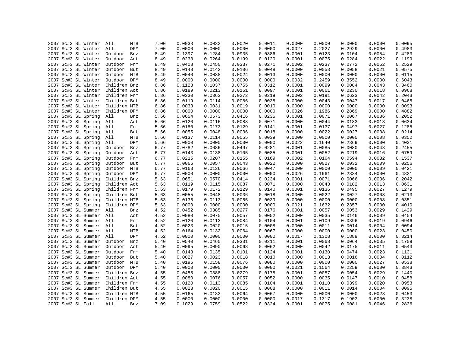| 2007 Sc#3 SL Winter     | All          | 7.00<br>MTB | 0.0033 | 0.0032           | 0.0020           | 0.0011 | 0.0000 | 0.0000 | 0.0000           | 0.0000           | 0.0095           |
|-------------------------|--------------|-------------|--------|------------------|------------------|--------|--------|--------|------------------|------------------|------------------|
| 2007 Sc#3 SL Winter     | All          | 7.00<br>DPM | 0.0000 | 0.0000           | 0.0000           | 0.0000 | 0.0027 | 0.2027 | 0.2929           | 0.0000           | 0.4983           |
| 2007 Sc#3 SL Winter     | Outdoor      | 8.49<br>Bnz | 0.1397 | 0.1284           | 0.0935           | 0.0386 | 0.0001 | 0.0123 | 0.0104           | 0.0054           | 0.4283           |
| 2007 Sc#3 SL Winter     | Outdoor      | Act<br>8.49 | 0.0233 | 0.0264           | 0.0199           | 0.0120 | 0.0001 | 0.0075 | 0.0284           | 0.0022           | 0.1199           |
| 2007 Sc#3 SL Winter     | Outdoor      | Frm<br>8.49 | 0.0408 | 0.0450           | 0.0337           | 0.0271 | 0.0002 | 0.0237 | 0.0772           | 0.0052           | 0.2529           |
| 2007 Sc#3 SL Winter     | Outdoor      | But<br>8.49 | 0.0148 | 0.0142           | 0.0106           | 0.0048 | 0.0000 | 0.0053 | 0.0058           | 0.0021           | 0.0575           |
| 2007 Sc#3 SL Winter     | Outdoor MTB  | 8.49        | 0.0040 | 0.0038           | 0.0024           | 0.0013 | 0.0000 | 0.0000 | 0.0000           | 0.0000           | 0.0115           |
| 2007 Sc#3 SL Winter     | Outdoor DPM  | 8.49        | 0.0000 | 0.0000           | 0.0000           | 0.0000 | 0.0032 | 0.2459 | 0.3552           | 0.0000           | 0.6043           |
| 2007 Sc#3 SL Winter     | Children Bnz | 6.86        | 0.1128 | 0.1037           | 0.0755           | 0.0312 | 0.0001 | 0.0099 | 0.0084           | 0.0043           | 0.3460           |
| 2007 Sc#3 SL Winter     | Children Act | 6.86        | 0.0189 | 0.0213           | 0.0161           | 0.0097 | 0.0001 | 0.0061 | 0.0230           | 0.0018           | 0.0968           |
| 2007 Sc#3 SL Winter     | Children Frm | 6.86        | 0.0330 | 0.0363           | 0.0272           | 0.0219 | 0.0002 | 0.0191 | 0.0623           | 0.0042           | 0.2043           |
| 2007 Sc#3 SL Winter     | Children But | 6.86        | 0.0119 | 0.0114           | 0.0086           | 0.0038 | 0.0000 | 0.0043 | 0.0047           | 0.0017           | 0.0465           |
| 2007 Sc#3 SL Winter     | Children MTB | 6.86        | 0.0033 | 0.0031           | 0.0019           | 0.0010 | 0.0000 | 0.0000 | 0.0000           | 0.0000           | 0.0093           |
| 2007 Sc#3 SL Winter     | Children DPM | 6.86        | 0.0000 | 0.0000           | 0.0000           | 0.0000 | 0.0026 | 0.1986 | 0.2869           | 0.0000           | 0.4882           |
| 2007 Sc#3 SL Spring     | All          | Bnz<br>5.66 | 0.0654 | 0.0573           | 0.0416           | 0.0235 | 0.0001 | 0.0071 | 0.0067           | 0.0036           | 0.2052           |
| 2007 Sc#3 SL Spring     | All          | Act<br>5.66 | 0.0120 | 0.0116           | 0.0088           | 0.0071 | 0.0000 | 0.0044 | 0.0183           | 0.0013           | 0.0634           |
| 2007 Sc#3 SL Spring     | All          | 5.66<br>Frm | 0.0180 | 0.0173           | 0.0129           | 0.0141 | 0.0001 | 0.0137 | 0.0497           | 0.0027           | 0.1285           |
| 2007 Sc#3 SL Spring     | All          | But<br>5.66 | 0.0055 | 0.0048           | 0.0036           | 0.0018 | 0.0000 | 0.0022 | 0.0027           | 0.0008           | 0.0214           |
| 2007 Sc#3 SL Spring     | All          | MTB<br>5.66 | 0.0137 | 0.0114           | 0.0055           | 0.0039 | 0.0000 | 0.0000 | 0.0000           | 0.0008           | 0.0352           |
| 2007 Sc#3 SL Spring     | All          | DPM<br>5.66 | 0.0000 | 0.0000           | 0.0000           | 0.0000 | 0.0022 | 0.1640 | 0.2369           | 0.0000           | 0.4031           |
| 2007 Sc#3 SL Spring     |              | 6.77        | 0.0782 | 0.0686           | 0.0497           | 0.0281 | 0.0001 | 0.0085 | 0.0080           | 0.0043           | 0.2455           |
|                         | Outdoor      | Bnz         |        |                  |                  |        |        |        |                  |                  |                  |
| 2007 Sc#3 SL Spring     | Outdoor      | Act<br>6.77 | 0.0143 | 0.0138<br>0.0207 | 0.0105<br>0.0155 | 0.0085 | 0.0001 | 0.0052 | 0.0219<br>0.0594 | 0.0016<br>0.0032 | 0.0759<br>0.1537 |
| 2007 Sc#3 SL Spring     | Outdoor      | 6.77<br>Frm | 0.0215 |                  |                  | 0.0169 | 0.0002 | 0.0164 |                  |                  |                  |
| 2007 Sc#3 SL Spring     | Outdoor      | 6.77<br>But | 0.0066 | 0.0057           | 0.0043           | 0.0022 | 0.0000 | 0.0027 | 0.0032           | 0.0009           | 0.0256           |
| 2007 Sc#3 SL Spring     | Outdoor      | MTB<br>6.77 | 0.0163 | 0.0136           | 0.0066           | 0.0047 | 0.0000 | 0.0000 | 0.0000           | 0.0009           | 0.0421           |
| 2007 Sc#3 SL Spring     | Outdoor DPM  | 6.77        | 0.0000 | 0.0000           | 0.0000           | 0.0000 | 0.0026 | 0.1961 | 0.2834           | 0.0000           | 0.4821           |
| 2007 Sc#3 SL Spring     | Children Bnz | 5.63        | 0.0651 | 0.0570           | 0.0414           | 0.0234 | 0.0001 | 0.0071 | 0.0066           | 0.0036           | 0.2042           |
| 2007 Sc#3 SL Spring     | Children Act | 5.63        | 0.0119 | 0.0115           | 0.0087           | 0.0071 | 0.0000 | 0.0043 | 0.0182           | 0.0013           | 0.0631           |
| 2007 Sc#3 SL Spring     | Children Frm | 5.63        | 0.0179 | 0.0172           | 0.0129           | 0.0140 | 0.0001 | 0.0136 | 0.0495           | 0.0027           | 0.1279           |
| 2007 Sc#3 SL Spring     | Children But | 5.63        | 0.0055 | 0.0048           | 0.0036           | 0.0018 | 0.0000 | 0.0022 | 0.0027           | 0.0008           | 0.0213           |
| 2007 Sc#3 SL Spring     | Children MTB | 5.63        | 0.0136 | 0.0113           | 0.0055           | 0.0039 | 0.0000 | 0.0000 | 0.0000           | 0.0008           | 0.0351           |
| 2007 Sc#3 SL Spring     | Children DPM | 5.63        | 0.0000 | 0.0000           | 0.0000           | 0.0000 | 0.0021 | 0.1632 | 0.2357           | 0.0000           | 0.4010           |
| 2007 Sc#3 SL Summer     | All          | 4.52<br>Bnz | 0.0452 | 0.0385           | 0.0277           | 0.0176 | 0.0001 | 0.0057 | 0.0053           | 0.0029           | 0.1429           |
| 2007 Sc#3 SL Summer     | All          | 4.52<br>Act | 0.0080 | 0.0075           | 0.0057           | 0.0052 | 0.0000 | 0.0035 | 0.0146           | 0.0009           | 0.0454           |
| 2007 Sc#3 SL Summer All |              | 4.52<br>Frm | 0.0120 | 0.0113           | 0.0084           | 0.0104 | 0.0001 | 0.0109 | 0.0396           | 0.0019           | 0.0946           |
| 2007 Sc#3 SL Summer     | All          | 4.52<br>But | 0.0023 | 0.0020           | 0.0015           | 0.0008 | 0.0000 | 0.0011 | 0.0014           | 0.0004           | 0.0094           |
| 2007 Sc#3 SL Summer     | All          | MTB<br>4.52 | 0.0164 | 0.0132           | 0.0064           | 0.0067 | 0.0000 | 0.0000 | 0.0000           | 0.0023           | 0.0450           |
| 2007 Sc#3 SL Summer     | All          | DPM<br>4.52 | 0.0000 | 0.0000           | 0.0000           | 0.0000 | 0.0017 | 0.1308 | 0.1889           | 0.0000           | 0.3214           |
| 2007 Sc#3 SL Summer     | Outdoor      | 5.40<br>Bnz | 0.0540 | 0.0460           | 0.0331           | 0.0211 | 0.0001 | 0.0068 | 0.0064           | 0.0035           | 0.1709           |
| 2007 Sc#3 SL Summer     | Outdoor      | Act<br>5.40 | 0.0095 | 0.0090           | 0.0068           | 0.0062 | 0.0000 | 0.0042 | 0.0175           | 0.0011           | 0.0543           |
| 2007 Sc#3 SL Summer     | Outdoor Frm  | 5.40        | 0.0143 | 0.0135           | 0.0101           | 0.0124 | 0.0001 | 0.0130 | 0.0474           | 0.0023           | 0.1131           |
| 2007 Sc#3 SL Summer     | Outdoor      | But<br>5.40 | 0.0027 | 0.0023           | 0.0018           | 0.0010 | 0.0000 | 0.0013 | 0.0016           | 0.0004           | 0.0112           |
| 2007 Sc#3 SL Summer     | Outdoor MTB  | 5.40        | 0.0196 | 0.0158           | 0.0076           | 0.0080 | 0.0000 | 0.0000 | 0.0000           | 0.0027           | 0.0538           |
| 2007 Sc#3 SL Summer     | Outdoor DPM  | 5.40        | 0.0000 | 0.0000           | 0.0000           | 0.0000 | 0.0021 | 0.1564 | 0.2259           | 0.0000           | 0.3843           |
| 2007 Sc#3 SL Summer     | Children Bnz | 4.55        | 0.0455 | 0.0388           | 0.0279           | 0.0178 | 0.0001 | 0.0057 | 0.0054           | 0.0029           | 0.1440           |
| 2007 Sc#3 SL Summer     | Children Act | 4.55        | 0.0080 | 0.0076           | 0.0057           | 0.0052 | 0.0000 | 0.0035 | 0.0147           | 0.0010           | 0.0458           |
| 2007 Sc#3 SL Summer     | Children Frm | 4.55        | 0.0120 | 0.0113           | 0.0085           | 0.0104 | 0.0001 | 0.0110 | 0.0399           | 0.0020           | 0.0953           |
| 2007 Sc#3 SL Summer     | Children But | 4.55        | 0.0023 | 0.0020           | 0.0015           | 0.0008 | 0.0000 | 0.0011 | 0.0014           | 0.0004           | 0.0095           |
| 2007 Sc#3 SL Summer     | Children MTB | 4.55        | 0.0165 | 0.0133           | 0.0064           | 0.0067 | 0.0000 | 0.0000 | 0.0000           | 0.0023           | 0.0453           |
| 2007 Sc#3 SL Summer     | Children DPM | 4.55        | 0.0000 | 0.0000           | 0.0000           | 0.0000 | 0.0017 | 0.1317 | 0.1903           | 0.0000           | 0.3238           |
| 2007 Sc#3 SL Fall       | All          | 7.09<br>Bnz | 0.1029 | 0.0759           | 0.0522           | 0.0324 | 0.0001 | 0.0075 | 0.0081           | 0.0046           | 0.2836           |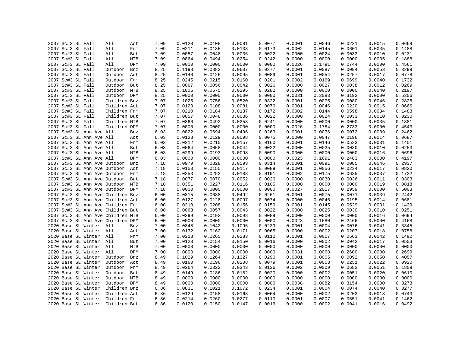|  | 2007 Sc#3 SL Fall                 | All          | Act | 7.09 | 0.0120 | 0.0108 | 0.0081           | 0.0077 | 0.0001 | 0.0046 | 0.0221           | 0.0015           | 0.0669           |
|--|-----------------------------------|--------------|-----|------|--------|--------|------------------|--------|--------|--------|------------------|------------------|------------------|
|  | 2007 Sc#3 SL Fall                 | All          | Frm | 7.09 | 0.0211 | 0.0185 | 0.0138           | 0.0173 | 0.0002 | 0.0145 | 0.0601           | 0.0035           | 0.1488           |
|  | 2007 Sc#3 SL Fall                 | All          | But | 7.09 | 0.0057 | 0.0048 | 0.0036           | 0.0022 | 0.0000 | 0.0024 | 0.0033           | 0.0010           | 0.0231           |
|  | 2007 Sc#3 SL Fall                 | All          | MTB | 7.09 | 0.0864 | 0.0494 | 0.0254           | 0.0242 | 0.0000 | 0.0000 | 0.0000           | 0.0035           | 0.1888           |
|  | 2007 Sc#3 SL Fall                 | All          | DPM | 7.09 | 0.0000 | 0.0000 | 0.0000           | 0.0000 | 0.0026 | 0.1791 | 0.2744           | 0.0000           | 0.4561           |
|  | 2007 Sc#3 SL Fall                 | Outdoor      | Bnz | 8.25 | 0.1198 | 0.0883 | 0.0607           | 0.0377 | 0.0001 | 0.0087 | 0.0094           | 0.0053           | 0.3299           |
|  | 2007 Sc#3 SL Fall                 | Outdoor      | Act | 8.25 | 0.0140 | 0.0126 | 0.0095           | 0.0089 | 0.0001 | 0.0054 | 0.0257           | 0.0017           | 0.0778           |
|  | 2007 Sc#3 SL Fall                 | Outdoor      | Frm | 8.25 | 0.0245 | 0.0215 | 0.0160           | 0.0201 | 0.0002 | 0.0169 | 0.0699           | 0.0040           | 0.1732           |
|  | 2007 Sc#3 SL Fall                 | Outdoor But  |     | 8.25 | 0.0067 | 0.0056 | 0.0042           | 0.0026 | 0.0000 | 0.0027 | 0.0038           | 0.0012           | 0.0269           |
|  | 2007 Sc#3 SL Fall                 | Outdoor MTB  |     | 8.25 | 0.1005 | 0.0575 | 0.0295           | 0.0282 | 0.0000 | 0.0000 | 0.0000           | 0.0040           | 0.2197           |
|  | 2007 Sc#3 SL Fall                 | Outdoor DPM  |     | 8.25 | 0.0000 | 0.0000 | 0.0000           | 0.0000 | 0.0031 | 0.2083 | 0.3192           | 0.0000           | 0.5306           |
|  | 2007 Sc#3 SL Fall                 | Children Bnz |     | 7.07 | 0.1025 | 0.0756 | 0.0520           | 0.0322 | 0.0001 | 0.0075 | 0.0080           | 0.0046           | 0.2825           |
|  | 2007 Sc#3 SL Fall                 | Children Act |     | 7.07 | 0.0120 | 0.0108 | 0.0081           | 0.0076 | 0.0001 | 0.0046 | 0.0220           | 0.0015           | 0.0666           |
|  | 2007 Sc#3 SL Fall                 | Children Frm |     | 7.07 | 0.0210 | 0.0184 | 0.0137           | 0.0172 | 0.0002 | 0.0144 | 0.0598           | 0.0034           | 0.1483           |
|  | 2007 Sc#3 SL Fall                 | Children But |     | 7.07 | 0.0057 | 0.0048 | 0.0036           | 0.0022 | 0.0000 | 0.0024 | 0.0033           | 0.0010           | 0.0230           |
|  | 2007 Sc#3 SL Fall                 | Children MTB |     | 7.07 | 0.0860 | 0.0492 | 0.0253           | 0.0241 | 0.0000 | 0.0000 | 0.0000           | 0.0035           | 0.1881           |
|  | 2007 Sc#3 SL Fall                 | Children DPM |     | 7.07 | 0.0000 | 0.0000 | 0.0000           | 0.0000 | 0.0026 | 0.1784 | 0.2733           | 0.0000           | 0.4543           |
|  | 2007 Sc#3 SL Ann Ave All          |              | Bnz | 6.03 | 0.0822 | 0.0694 | 0.0496           | 0.0263 | 0.0001 | 0.0076 | 0.0072           | 0.0039           | 0.2462           |
|  | 2007 Sc#3 SL Ann Ave All          |              | Act | 6.03 | 0.0128 | 0.0129 | 0.0098           | 0.0075 | 0.0000 | 0.0047 | 0.0196           | 0.0014           | 0.0687           |
|  | 2007 Sc#3 SL Ann Ave All          |              | Frm | 6.03 | 0.0212 | 0.0210 | 0.0157           | 0.0160 | 0.0001 | 0.0146 | 0.0533           | 0.0031           | 0.1451           |
|  | 2007 Sc#3 SL Ann Ave All          |              | But | 6.03 | 0.0064 | 0.0058 | 0.0044           | 0.0022 | 0.0000 | 0.0025 | 0.0030           | 0.0010           | 0.0253           |
|  |                                   |              | MTB |      | 0.0299 | 0.0193 | 0.0098           | 0.0090 | 0.0000 | 0.0000 | 0.0000           | 0.0016           | 0.0696           |
|  | 2007 Sc#3 SL Ann Ave All          |              | DPM | 6.03 | 0.0000 | 0.0000 |                  |        | 0.0023 |        |                  |                  |                  |
|  | 2007 Sc#3 SL Ann Ave All          |              |     | 6.03 |        |        | 0.0000<br>0.0593 | 0.0000 |        | 0.1691 | 0.2483<br>0.0085 | 0.0000<br>0.0046 | 0.4197<br>0.2937 |
|  | 2007 Sc#3 SL Ann Ave Outdoor      |              | Bnz | 7.18 | 0.0979 | 0.0828 |                  | 0.0314 | 0.0001 | 0.0091 |                  |                  |                  |
|  | 2007 Sc#3 SL Ann Ave Outdoor      |              | Act | 7.18 | 0.0153 | 0.0155 | 0.0117           | 0.0089 | 0.0001 | 0.0056 | 0.0234           | 0.0017           | 0.0820           |
|  | 2007 Sc#3 SL Ann Ave Outdoor Frm  |              |     | 7.18 | 0.0253 | 0.0252 | 0.0188           | 0.0191 | 0.0002 | 0.0175 | 0.0635           | 0.0037           | 0.1732           |
|  | 2007 Sc#3 SL Ann Ave Outdoor      |              | But | 7.18 | 0.0077 | 0.0070 | 0.0052           | 0.0026 | 0.0000 | 0.0030 | 0.0036           | 0.0011           | 0.0303           |
|  | 2007 Sc#3 SL Ann Ave Outdoor MTB  |              |     | 7.18 | 0.0351 | 0.0227 | 0.0116           | 0.0105 | 0.0000 | 0.0000 | 0.0000           | 0.0019           | 0.0818           |
|  | 2007 Sc#3 SL Ann Ave Outdoor DPM  |              |     | 7.18 | 0.0000 | 0.0000 | 0.0000           | 0.0000 | 0.0027 | 0.2017 | 0.2959           | 0.0000           | 0.5003           |
|  | 2007 Sc#3 SL Ann Ave Children Bnz |              |     | 6.00 | 0.0815 | 0.0688 | 0.0492           | 0.0261 | 0.0001 | 0.0075 | 0.0071           | 0.0039           | 0.2442           |
|  | 2007 Sc#3 SL Ann Ave Children Act |              |     | 6.00 | 0.0127 | 0.0128 | 0.0097           | 0.0074 | 0.0000 | 0.0046 | 0.0195           | 0.0014           | 0.0681           |
|  | 2007 Sc#3 SL Ann Ave Children Frm |              |     | 6.00 | 0.0210 | 0.0208 | 0.0156           | 0.0159 | 0.0001 | 0.0145 | 0.0529           | 0.0031           | 0.1439           |
|  | 2007 Sc#3 SL Ann Ave Children But |              |     | 6.00 | 0.0063 | 0.0057 | 0.0043           | 0.0022 | 0.0000 | 0.0025 | 0.0030           | 0.0010           | 0.0251           |
|  | 2007 Sc#3 SL Ann Ave Children MTB |              |     | 6.00 | 0.0299 | 0.0192 | 0.0098           | 0.0089 | 0.0000 | 0.0000 | 0.0000           | 0.0016           | 0.0694           |
|  | 2007 Sc#3 SL Ann Ave Children DPM |              |     | 6.00 | 0.0000 | 0.0000 | 0.0000           | 0.0000 | 0.0023 | 0.1680 | 0.2466           | 0.0000           | 0.4168           |
|  | 2020 Base SL Winter All           |              | Bnz | 7.00 | 0.0848 | 0.1042 | 0.1095           | 0.0239 | 0.0001 | 0.0004 | 0.0076           | 0.0041           | 0.3345           |
|  | 2020 Base SL Winter All           |              | Act | 7.00 | 0.0132 | 0.0162 | 0.0171           | 0.0065 | 0.0000 | 0.0002 | 0.0207           | 0.0018           | 0.0758           |
|  | 2020 Base SL Winter All           |              | Frm | 7.00 | 0.0218 | 0.0265 | 0.0283           | 0.0112 | 0.0001 | 0.0007 | 0.0563           | 0.0042           | 0.1492           |
|  | 2020 Base SL Winter All           |              | But | 7.00 | 0.0123 | 0.0154 | 0.0150           | 0.0016 | 0.0000 | 0.0002 | 0.0042           | 0.0017           | 0.0503           |
|  | 2020 Base SL Winter All           |              | MTB | 7.00 | 0.0000 | 0.0000 | 0.0000           | 0.0000 | 0.0000 | 0.0000 | 0.0000           | 0.0000           | 0.0000           |
|  | 2020 Base SL Winter All           |              | DPM | 7.00 | 0.0000 | 0.0000 | 0.0000           | 0.0000 | 0.0031 | 0.0068 | 0.2600           | 0.0000           | 0.2699           |
|  | 2020 Base SL Winter               | Outdoor      | Bnz | 8.49 | 0.1029 | 0.1264 | 0.1327           | 0.0290 | 0.0001 | 0.0005 | 0.0092           | 0.0050           | 0.4057           |
|  | 2020 Base SL Winter               | Outdoor      | Act | 8.49 | 0.0160 | 0.0196 | 0.0208           | 0.0079 | 0.0001 | 0.0003 | 0.0251           | 0.0022           | 0.0920           |
|  | 2020 Base SL Winter               | Outdoor      | Frm | 8.49 | 0.0264 | 0.0322 | 0.0343           | 0.0136 | 0.0002 | 0.0009 | 0.0682           | 0.0051           | 0.1809           |
|  | 2020 Base SL Winter               | Outdoor But  |     | 8.49 | 0.0149 | 0.0186 | 0.0182           | 0.0020 | 0.0000 | 0.0002 | 0.0051           | 0.0020           | 0.0610           |
|  | 2020 Base SL Winter               | Outdoor      | MTB | 8.49 | 0.0000 | 0.0000 | 0.0000           | 0.0000 | 0.0000 | 0.0000 | 0.0000           | 0.0000           | 0.0000           |
|  | 2020 Base SL Winter               | Outdoor DPM  |     | 8.49 | 0.0000 | 0.0000 | 0.0000           | 0.0000 | 0.0038 | 0.0082 | 0.3154           | 0.0000           | 0.3273           |
|  | 2020 Base SL Winter               | Children Bnz |     | 6.86 | 0.0831 | 0.1021 | 0.1072           | 0.0234 | 0.0001 | 0.0004 | 0.0074           | 0.0040           | 0.3277           |
|  | 2020 Base SL Winter               | Children Act |     | 6.86 | 0.0129 | 0.0158 | 0.0168           | 0.0064 | 0.0000 | 0.0002 | 0.0203           | 0.0018           | 0.0743           |
|  | 2020 Base SL Winter               | Children Frm |     | 6.86 | 0.0214 | 0.0260 | 0.0277           | 0.0110 | 0.0001 | 0.0007 | 0.0551           | 0.0041           | 0.1462           |
|  | 2020 Base SL Winter               | Children But |     | 6.86 | 0.0120 | 0.0150 | 0.0147           | 0.0016 | 0.0000 | 0.0002 | 0.0041           | 0.0016           | 0.0492           |
|  |                                   |              |     |      |        |        |                  |        |        |        |                  |                  |                  |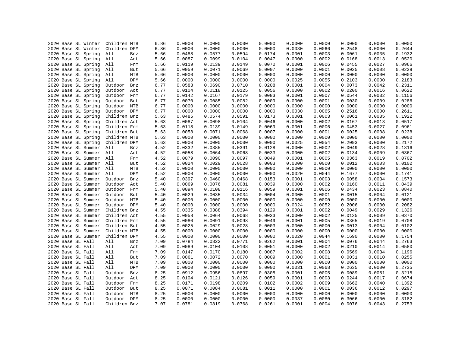|                   | 2020 Base SL Winter | Children MTB |     | 6.86 | 0.0000 | 0.0000 | 0.0000 | 0.0000 | 0.0000 | 0.0000 | 0.0000 | 0.0000 | 0.0000 |
|-------------------|---------------------|--------------|-----|------|--------|--------|--------|--------|--------|--------|--------|--------|--------|
|                   | 2020 Base SL Winter | Children DPM |     | 6.86 | 0.0000 | 0.0000 | 0.0000 | 0.0000 | 0.0030 | 0.0066 | 0.2548 | 0.0000 | 0.2644 |
|                   | 2020 Base SL Spring | All          | Bnz | 5.66 | 0.0488 | 0.0577 | 0.0594 | 0.0174 | 0.0001 | 0.0003 | 0.0061 | 0.0035 | 0.1932 |
|                   | 2020 Base SL Spring |              |     |      | 0.0087 | 0.0099 | 0.0104 | 0.0047 | 0.0000 | 0.0002 | 0.0168 | 0.0013 | 0.0520 |
|                   |                     | All          | Act | 5.66 |        |        |        |        |        |        |        |        |        |
|                   | 2020 Base SL Spring | All          | Frm | 5.66 | 0.0119 | 0.0139 | 0.0149 | 0.0070 | 0.0001 | 0.0006 | 0.0455 | 0.0027 | 0.0966 |
|                   | 2020 Base SL Spring | All          | But | 5.66 | 0.0059 | 0.0071 | 0.0069 | 0.0007 | 0.0000 | 0.0001 | 0.0025 | 0.0008 | 0.0239 |
|                   | 2020 Base SL Spring | All          | MTB | 5.66 | 0.0000 | 0.0000 | 0.0000 | 0.0000 | 0.0000 | 0.0000 | 0.0000 | 0.0000 | 0.0000 |
|                   | 2020 Base SL Spring | All          | DPM | 5.66 | 0.0000 | 0.0000 | 0.0000 | 0.0000 | 0.0025 | 0.0055 | 0.2103 | 0.0000 | 0.2183 |
|                   | 2020 Base SL Spring | Outdoor      | Bnz | 6.77 | 0.0583 | 0.0690 | 0.0710 | 0.0208 | 0.0001 | 0.0004 | 0.0073 | 0.0042 | 0.2311 |
|                   | 2020 Base SL Spring | Outdoor      | Act | 6.77 | 0.0104 | 0.0118 | 0.0125 | 0.0056 | 0.0000 | 0.0002 | 0.0200 | 0.0016 | 0.0622 |
|                   | 2020 Base SL Spring | Outdoor      | Frm | 6.77 | 0.0142 | 0.0167 | 0.0179 | 0.0083 | 0.0001 | 0.0007 | 0.0544 | 0.0032 | 0.1156 |
|                   | 2020 Base SL Spring | Outdoor      | But | 6.77 | 0.0070 | 0.0085 | 0.0082 | 0.0009 | 0.0000 | 0.0001 | 0.0030 | 0.0009 | 0.0286 |
|                   | 2020 Base SL Spring | Outdoor      | MTB | 6.77 | 0.0000 | 0.0000 | 0.0000 | 0.0000 | 0.0000 | 0.0000 | 0.0000 | 0.0000 | 0.0000 |
|                   | 2020 Base SL Spring | Outdoor      | DPM | 6.77 | 0.0000 | 0.0000 | 0.0000 | 0.0000 | 0.0030 | 0.0065 | 0.2516 | 0.0000 | 0.2611 |
|                   | 2020 Base SL Spring | Children Bnz |     | 5.63 | 0.0485 | 0.0574 | 0.0591 | 0.0173 | 0.0001 | 0.0003 | 0.0061 | 0.0035 | 0.1922 |
|                   | 2020 Base SL Spring | Children Act |     | 5.63 | 0.0087 | 0.0098 | 0.0104 | 0.0046 | 0.0000 | 0.0002 | 0.0167 | 0.0013 | 0.0517 |
|                   | 2020 Base SL Spring | Children Frm |     | 5.63 | 0.0118 | 0.0139 | 0.0149 | 0.0069 | 0.0001 | 0.0006 | 0.0453 | 0.0027 | 0.0961 |
|                   | 2020 Base SL Spring | Children But |     | 5.63 | 0.0058 | 0.0071 | 0.0068 | 0.0007 | 0.0000 | 0.0001 | 0.0025 | 0.0008 | 0.0238 |
|                   | 2020 Base SL Spring | Children MTB |     | 5.63 | 0.0000 | 0.0000 | 0.0000 | 0.0000 | 0.0000 | 0.0000 | 0.0000 | 0.0000 | 0.0000 |
|                   | 2020 Base SL Spring | Children DPM |     | 5.63 | 0.0000 | 0.0000 | 0.0000 | 0.0000 | 0.0025 | 0.0054 | 0.2093 | 0.0000 | 0.2172 |
|                   | 2020 Base SL Summer | All          | Bnz | 4.52 | 0.0332 | 0.0385 | 0.0391 | 0.0128 | 0.0000 | 0.0002 | 0.0049 | 0.0028 | 0.1316 |
|                   | 2020 Base SL Summer | All          | Act | 4.52 | 0.0058 | 0.0064 | 0.0068 | 0.0033 | 0.0000 | 0.0002 | 0.0134 | 0.0009 | 0.0367 |
|                   | 2020 Base SL Summer | All          | Frm | 4.52 | 0.0079 | 0.0090 | 0.0097 | 0.0049 | 0.0001 | 0.0005 | 0.0363 | 0.0019 | 0.0702 |
|                   | 2020 Base SL Summer | All          | But | 4.52 | 0.0024 | 0.0029 | 0.0028 | 0.0003 | 0.0000 | 0.0000 | 0.0012 | 0.0003 | 0.0102 |
|                   | 2020 Base SL Summer | All          | MTB | 4.52 | 0.0000 | 0.0000 | 0.0000 | 0.0000 | 0.0000 | 0.0000 | 0.0000 | 0.0000 | 0.0000 |
|                   | 2020 Base SL Summer | All          | DPM | 4.52 | 0.0000 | 0.0000 | 0.0000 | 0.0000 | 0.0020 | 0.0044 | 0.1677 | 0.0000 | 0.1741 |
|                   | 2020 Base SL Summer | Outdoor      | Bnz | 5.40 | 0.0397 | 0.0460 | 0.0468 | 0.0153 | 0.0001 | 0.0003 | 0.0058 | 0.0034 | 0.1573 |
|                   | 2020 Base SL Summer | Outdoor      | Act | 5.40 | 0.0069 | 0.0076 | 0.0081 | 0.0039 | 0.0000 | 0.0002 | 0.0160 | 0.0011 | 0.0439 |
|                   | 2020 Base SL Summer | Outdoor Frm  |     | 5.40 | 0.0094 | 0.0108 | 0.0116 | 0.0059 | 0.0001 | 0.0006 | 0.0434 | 0.0023 | 0.0840 |
|                   | 2020 Base SL Summer | Outdoor      | But | 5.40 | 0.0029 | 0.0035 | 0.0034 | 0.0004 | 0.0000 | 0.0001 | 0.0015 | 0.0004 | 0.0121 |
|                   | 2020 Base SL Summer | Outdoor MTB  |     | 5.40 | 0.0000 | 0.0000 | 0.0000 | 0.0000 | 0.0000 | 0.0000 | 0.0000 | 0.0000 | 0.0000 |
|                   | 2020 Base SL Summer | Outdoor DPM  |     | 5.40 | 0.0000 | 0.0000 | 0.0000 | 0.0000 | 0.0024 | 0.0052 | 0.2006 | 0.0000 | 0.2082 |
|                   | 2020 Base SL Summer | Children Bnz |     | 4.55 | 0.0335 | 0.0388 | 0.0394 | 0.0129 | 0.0001 | 0.0002 | 0.0049 | 0.0029 | 0.1326 |
|                   | 2020 Base SL Summer | Children Act |     | 4.55 | 0.0058 | 0.0064 | 0.0068 | 0.0033 | 0.0000 | 0.0002 | 0.0135 | 0.0009 | 0.0370 |
|                   | 2020 Base SL Summer | Children Frm |     | 4.55 | 0.0080 | 0.0091 | 0.0098 | 0.0049 | 0.0001 | 0.0005 | 0.0365 | 0.0019 | 0.0708 |
|                   | 2020 Base SL Summer | Children But |     | 4.55 | 0.0025 | 0.0029 | 0.0028 | 0.0003 | 0.0000 | 0.0000 | 0.0013 | 0.0004 | 0.0102 |
|                   | 2020 Base SL Summer | Children MTB |     | 4.55 | 0.0000 | 0.0000 | 0.0000 | 0.0000 | 0.0000 | 0.0000 | 0.0000 | 0.0000 | 0.0000 |
|                   | 2020 Base SL Summer | Children DPM |     | 4.55 | 0.0000 | 0.0000 | 0.0000 | 0.0000 | 0.0020 | 0.0044 | 0.1690 | 0.0000 | 0.1754 |
| 2020 Base SL Fall |                     | All          | Bnz | 7.09 | 0.0784 | 0.0822 | 0.0771 | 0.0262 | 0.0001 | 0.0004 | 0.0076 | 0.0044 | 0.2763 |
| 2020 Base SL Fall |                     | All          | Act | 7.09 | 0.0089 | 0.0104 | 0.0108 | 0.0051 | 0.0000 | 0.0002 | 0.0210 | 0.0014 | 0.0580 |
| 2020 Base SL Fall |                     | All          | Frm | 7.09 | 0.0147 | 0.0170 | 0.0180 | 0.0087 | 0.0002 | 0.0008 | 0.0569 | 0.0034 | 0.1196 |
| 2020 Base SL Fall |                     | All          | But | 7.09 | 0.0061 | 0.0072 | 0.0070 | 0.0009 | 0.0000 | 0.0001 | 0.0031 | 0.0010 | 0.0255 |
| 2020 Base SL Fall |                     | All          | MTB | 7.09 | 0.0000 | 0.0000 | 0.0000 | 0.0000 | 0.0000 | 0.0000 | 0.0000 | 0.0000 | 0.0000 |
|                   |                     | All          | DPM |      | 0.0000 | 0.0000 | 0.0000 |        | 0.0031 | 0.0068 | 0.2635 | 0.0000 | 0.2735 |
| 2020 Base SL Fall |                     |              |     | 7.09 |        |        |        | 0.0000 |        |        |        |        |        |
| 2020 Base SL Fall |                     | Outdoor      | Bnz | 8.25 | 0.0912 | 0.0956 | 0.0897 | 0.0305 | 0.0001 | 0.0005 | 0.0089 | 0.0051 | 0.3215 |
| 2020 Base SL Fall |                     | Outdoor      | Act | 8.25 | 0.0104 | 0.0121 | 0.0126 | 0.0059 | 0.0001 | 0.0003 | 0.0244 | 0.0017 | 0.0674 |
| 2020 Base SL Fall |                     | Outdoor      | Frm | 8.25 | 0.0171 | 0.0198 | 0.0209 | 0.0102 | 0.0002 | 0.0009 | 0.0662 | 0.0040 | 0.1392 |
| 2020 Base SL Fall |                     | Outdoor      | But | 8.25 | 0.0071 | 0.0084 | 0.0081 | 0.0011 | 0.0000 | 0.0001 | 0.0036 | 0.0012 | 0.0297 |
| 2020 Base SL Fall |                     | Outdoor      | MTB | 8.25 | 0.0000 | 0.0000 | 0.0000 | 0.0000 | 0.0000 | 0.0000 | 0.0000 | 0.0000 | 0.0000 |
| 2020 Base SL Fall |                     | Outdoor DPM  |     | 8.25 | 0.0000 | 0.0000 | 0.0000 | 0.0000 | 0.0037 | 0.0080 | 0.3066 | 0.0000 | 0.3182 |
| 2020 Base SL Fall |                     | Children Bnz |     | 7.07 | 0.0781 | 0.0819 | 0.0768 | 0.0261 | 0.0001 | 0.0004 | 0.0076 | 0.0043 | 0.2753 |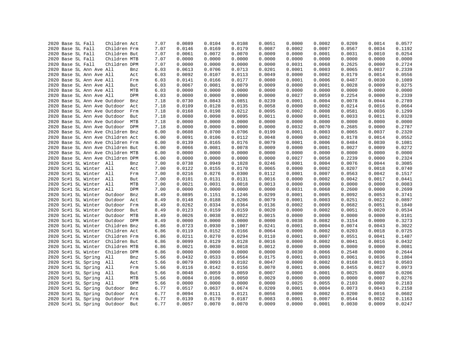|  | 2020 Base SL Fall |                                            | Children Act                      |     | 7.07         | 0.0089           | 0.0104           | 0.0108           | 0.0051           | 0.0000           | 0.0002           | 0.0209           | 0.0014           | 0.0577           |
|--|-------------------|--------------------------------------------|-----------------------------------|-----|--------------|------------------|------------------|------------------|------------------|------------------|------------------|------------------|------------------|------------------|
|  | 2020 Base SL Fall |                                            | Children Frm                      |     | 7.07         | 0.0146           | 0.0169           | 0.0179           | 0.0087           | 0.0002           | 0.0007           | 0.0567           | 0.0034           | 0.1192           |
|  | 2020 Base SL Fall |                                            | Children But                      |     | 7.07         | 0.0061           | 0.0072           | 0.0070           | 0.0009           | 0.0000           | 0.0001           | 0.0031           | 0.0010           | 0.0254           |
|  | 2020 Base SL Fall |                                            | Children MTB                      |     | 7.07         | 0.0000           | 0.0000           | 0.0000           | 0.0000           | 0.0000           | 0.0000           | 0.0000           | 0.0000           | 0.0000           |
|  | 2020 Base SL Fall |                                            | Children DPM                      |     | 7.07         | 0.0000           | 0.0000           | 0.0000           | 0.0000           | 0.0031           | 0.0068           | 0.2625           | 0.0000           | 0.2724           |
|  |                   | 2020 Base SL Ann Ave All                   |                                   | Bnz | 6.03         | 0.0613           | 0.0706           | 0.0713           | 0.0201           | 0.0001           | 0.0003           | 0.0065           | 0.0037           | 0.2339           |
|  |                   | 2020 Base SL Ann Ave All                   |                                   | Act | 6.03         | 0.0092           | 0.0107           | 0.0113           | 0.0049           | 0.0000           | 0.0002           | 0.0179           | 0.0014           | 0.0556           |
|  |                   | 2020 Base SL Ann Ave All                   |                                   | Frm | 6.03         | 0.0141           | 0.0166           | 0.0177           | 0.0080           | 0.0001           | 0.0006           | 0.0487           | 0.0030           | 0.1089           |
|  |                   | 2020 Base SL Ann Ave All                   |                                   | But | 6.03         | 0.0067           | 0.0081           | 0.0079           | 0.0009           | 0.0000           | 0.0001           | 0.0028           | 0.0009           | 0.0275           |
|  |                   | 2020 Base SL Ann Ave All                   |                                   | MTB | 6.03         | 0.0000           | 0.0000           | 0.0000           | 0.0000           | 0.0000           | 0.0000           | 0.0000           | 0.0000           | 0.0000           |
|  |                   | 2020 Base SL Ann Ave All                   |                                   | DPM | 6.03         | 0.0000           | 0.0000           | 0.0000           | 0.0000           | 0.0027           | 0.0059           | 0.2254           | 0.0000           | 0.2339           |
|  |                   |                                            | 2020 Base SL Ann Ave Outdoor      | Bnz | 7.18         | 0.0730           | 0.0843           | 0.0851           | 0.0239           | 0.0001           | 0.0004           | 0.0078           | 0.0044           | 0.2789           |
|  |                   |                                            | 2020 Base SL Ann Ave Outdoor      | Act | 7.18         | 0.0109           | 0.0128           | 0.0135           | 0.0058           | 0.0000           | 0.0002           | 0.0214           | 0.0016           | 0.0664           |
|  |                   |                                            | 2020 Base SL Ann Ave Outdoor      | Frm | 7.18         | 0.0168           | 0.0198           | 0.0212           | 0.0095           | 0.0002           | 0.0008           | 0.0581           | 0.0036           | 0.1299           |
|  |                   |                                            | 2020 Base SL Ann Ave Outdoor      | But | 7.18         | 0.0080           | 0.0098           | 0.0095           | 0.0011           | 0.0000           | 0.0001           | 0.0033           | 0.0011           | 0.0328           |
|  |                   |                                            | 2020 Base SL Ann Ave Outdoor      | MTB | 7.18         | 0.0000           | 0.0000           | 0.0000           | 0.0000           | 0.0000           | 0.0000           | 0.0000           | 0.0000           | 0.0000           |
|  |                   |                                            | 2020 Base SL Ann Ave Outdoor DPM  |     | 7.18         | 0.0000           | 0.0000           | 0.0000           | 0.0000           | 0.0032           | 0.0070           | 0.2685           | 0.0000           | 0.2787           |
|  |                   |                                            | 2020 Base SL Ann Ave Children Bnz |     | 6.00         | 0.0608           | 0.0700           | 0.0706           | 0.0199           | 0.0001           | 0.0003           | 0.0065           | 0.0037           | 0.2320           |
|  |                   |                                            | 2020 Base SL Ann Ave Children Act |     | 6.00         | 0.0091           | 0.0106           | 0.0112           | 0.0048           | 0.0000           | 0.0002           | 0.0178           | 0.0014           | 0.0552           |
|  |                   |                                            | 2020 Base SL Ann Ave Children Frm |     | 6.00         | 0.0139           | 0.0165           | 0.0176           | 0.0079           | 0.0001           | 0.0006           | 0.0484           | 0.0030           | 0.1081           |
|  |                   |                                            | 2020 Base SL Ann Ave Children But |     | 6.00         | 0.0066           | 0.0081           | 0.0078           | 0.0009           | 0.0000           | 0.0001           | 0.0027           | 0.0009           | 0.0272           |
|  |                   |                                            | 2020 Base SL Ann Ave Children MTB |     | 6.00         | 0.0000           | 0.0000           | 0.0000           | 0.0000           | 0.0000           | 0.0000           | 0.0000           | 0.0000           | 0.0000           |
|  |                   |                                            | 2020 Base SL Ann Ave Children DPM |     | 6.00         | 0.0000           | 0.0000           | 0.0000           | 0.0000           | 0.0027           | 0.0058           | 0.2239           | 0.0000           | 0.2324           |
|  |                   | 2020 Sc#1 SL Winter All                    |                                   | Bnz | 7.00         | 0.0738           | 0.0949           | 0.1028           | 0.0246           | 0.0001           | 0.0004           | 0.0076           | 0.0044           | 0.3085           |
|  |                   | 2020 Sc#1 SL Winter All                    |                                   | Act | 7.00         | 0.0122           | 0.0155           | 0.0170           | 0.0065           | 0.0000           | 0.0002           | 0.0207           | 0.0018           | 0.0740           |
|  |                   | 2020 Sc#1 SL Winter All                    |                                   | Frm | 7.00         | 0.0216           | 0.0276           | 0.0300           | 0.0112           | 0.0001           | 0.0007           | 0.0563           | 0.0042           | 0.1517           |
|  |                   | 2020 Sc#1 SL Winter All                    |                                   | But | 7.00         | 0.0101           | 0.0131           | 0.0131           | 0.0016           | 0.0000           | 0.0002           | 0.0042           | 0.0017           | 0.0441           |
|  |                   | 2020 Sc#1 SL Winter All                    |                                   | MTB | 7.00         | 0.0021           | 0.0031           | 0.0018           | 0.0013           | 0.0000           | 0.0000           | 0.0000           | 0.0000           | 0.0083           |
|  |                   | 2020 Sc#1 SL Winter                        | All                               | DPM | 7.00         | 0.0000           | 0.0000           | 0.0000           | 0.0000           | 0.0031           | 0.0068           | 0.2600           | 0.0000           | 0.2699           |
|  |                   | 2020 Sc#1 SL Winter                        | Outdoor                           | Bnz | 8.49         | 0.0895           | 0.1151           | 0.1246           | 0.0299           | 0.0001           | 0.0005           | 0.0092           | 0.0053           | 0.3741           |
|  |                   | 2020 Sc#1 SL Winter                        | Outdoor                           | Act | 8.49         | 0.0148           | 0.0188           | 0.0206           | 0.0079           | 0.0001           | 0.0003           | 0.0251           | 0.0022           | 0.0897           |
|  |                   | 2020 Sc#1 SL Winter                        | Outdoor                           | Frm |              | 0.0262           | 0.0334           | 0.0364           | 0.0136           | 0.0002           | 0.0009           | 0.0682           | 0.0051           | 0.1840           |
|  |                   | 2020 Sc#1 SL Winter                        | Outdoor                           | But | 8.49<br>8.49 | 0.0123           | 0.0159           | 0.0159           | 0.0020           | 0.0000           | 0.0002           | 0.0051           | 0.0020           | 0.0534           |
|  |                   |                                            |                                   | MTB |              |                  |                  | 0.0022           |                  |                  |                  |                  |                  | 0.0101           |
|  |                   | 2020 Sc#1 SL Winter<br>2020 Sc#1 SL Winter | Outdoor<br>Outdoor DPM            |     | 8.49         | 0.0026<br>0.0000 | 0.0038<br>0.0000 | 0.0000           | 0.0015<br>0.0000 | 0.0000<br>0.0038 | 0.0000<br>0.0082 | 0.0000<br>0.3154 | 0.0000<br>0.0000 | 0.3273           |
|  |                   |                                            |                                   |     | 8.49         |                  |                  |                  |                  |                  |                  |                  |                  | 0.3022           |
|  |                   | 2020 Sc#1 SL Winter                        | Children Bnz<br>Children Act      |     | 6.86         | 0.0723<br>0.0119 | 0.0930           | 0.1007<br>0.0166 | 0.0241           | 0.0001           | 0.0004           | 0.0074           | 0.0043           |                  |
|  |                   | 2020 Sc#1 SL Winter                        |                                   |     | 6.86         |                  | 0.0152           |                  | 0.0064           | 0.0000           | 0.0002           | 0.0203           | 0.0018           | 0.0725<br>0.1487 |
|  |                   | 2020 Sc#1 SL Winter                        | Children Frm                      |     | 6.86         | 0.0211           | 0.0270<br>0.0129 | 0.0294<br>0.0128 | 0.0110           | 0.0001           | 0.0007           | 0.0551           | 0.0041           | 0.0432           |
|  |                   | 2020 Sc#1 SL Winter                        | Children But                      |     | 6.86         | 0.0099           |                  |                  | 0.0016           | 0.0000           | 0.0002           | 0.0041           | 0.0016           |                  |
|  |                   | 2020 Sc#1 SL Winter                        | Children MTB                      |     | 6.86         | 0.0021           | 0.0030           | 0.0018           | 0.0012           | 0.0000           | 0.0000           | 0.0000           | 0.0000           | 0.0081           |
|  |                   | 2020 Sc#1 SL Winter                        | Children DPM                      |     | 6.86         | 0.0000           | 0.0000           | 0.0000           | 0.0000           | 0.0030           | 0.0066           | 0.2548           | 0.0000           | 0.2644           |
|  |                   | 2020 Sc#1 SL Spring                        | All                               | Bnz | 5.66         | 0.0432           | 0.0533           | 0.0564           | 0.0175           | 0.0001           | 0.0003           | 0.0061           | 0.0036           | 0.1804           |
|  |                   | 2020 Sc#1 SL Spring                        | All                               | Act | 5.66         | 0.0079           | 0.0093           | 0.0102           | 0.0047           | 0.0000           | 0.0002           | 0.0168           | 0.0013           | 0.0503           |
|  |                   | 2020 Sc#1 SL Spring                        | All                               | Frm | 5.66         | 0.0116           | 0.0142           | 0.0156           | 0.0070           | 0.0001           | 0.0006           | 0.0455           | 0.0027           | 0.0973           |
|  |                   | 2020 Sc#1 SL Spring                        | All                               | But | 5.66         | 0.0048           | 0.0059           | 0.0059           | 0.0007           | 0.0000           | 0.0001           | 0.0025           | 0.0008           | 0.0206           |
|  |                   | 2020 Sc#1 SL Spring                        | All                               | MTB | 5.66         | 0.0084           | 0.0106           | 0.0050           | 0.0029           | 0.0000           | 0.0000           | 0.0000           | 0.0007           | 0.0276           |
|  |                   | 2020 Sc#1 SL Spring                        | All                               | DPM | 5.66         | 0.0000           | 0.0000           | 0.0000           | 0.0000           | 0.0025           | 0.0055           | 0.2103           | 0.0000           | 0.2183           |
|  |                   | 2020 Sc#1 SL Spring                        | Outdoor                           | Bnz | 6.77         | 0.0517           | 0.0637           | 0.0674           | 0.0209           | 0.0001           | 0.0004           | 0.0073           | 0.0043           | 0.2158           |
|  |                   | 2020 Sc#1 SL Spring                        | Outdoor                           | Act | 6.77         | 0.0094           | 0.0111           | 0.0121           | 0.0056           | 0.0000           | 0.0002           | 0.0200           | 0.0016           | 0.0602           |
|  |                   | 2020 Sc#1 SL Spring                        | Outdoor                           | Frm | 6.77         | 0.0139           | 0.0170           | 0.0187           | 0.0083           | 0.0001           | 0.0007           | 0.0544           | 0.0032           | 0.1163           |
|  |                   | 2020 Sc#1 SL Spring                        | Outdoor                           | But | 6.77         | 0.0057           | 0.0070           | 0.0070           | 0.0009           | 0.0000           | 0.0001           | 0.0030           | 0.0009           | 0.0247           |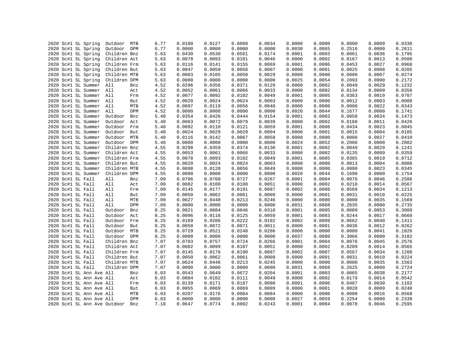|  |                              |                            |     | 6.77 | 0.0100 | 0.0127 | 0.0060 | 0.0034 | 0.0000 | 0.0000 | 0.0000 | 0.0009 | 0.0330 |
|--|------------------------------|----------------------------|-----|------|--------|--------|--------|--------|--------|--------|--------|--------|--------|
|  | 2020 Sc#1 SL Spring          | Outdoor MTB<br>Outdoor DPM |     |      | 0.0000 | 0.0000 |        | 0.0000 | 0.0030 | 0.0065 |        |        | 0.2611 |
|  | 2020 Sc#1 SL Spring          |                            |     | 6.77 |        |        | 0.0000 |        |        |        | 0.2516 | 0.0000 |        |
|  | 2020 Sc#1 SL Spring          | Children Bnz               |     | 5.63 | 0.0430 | 0.0530 | 0.0561 | 0.0174 | 0.0001 | 0.0003 | 0.0061 | 0.0036 | 0.1795 |
|  | 2020 Sc#1 SL Spring          | Children Act               |     | 5.63 | 0.0078 | 0.0093 | 0.0101 | 0.0046 | 0.0000 | 0.0002 | 0.0167 | 0.0013 | 0.0500 |
|  | 2020 Sc#1 SL Spring          | Children Frm               |     | 5.63 | 0.0116 | 0.0141 | 0.0155 | 0.0069 | 0.0001 | 0.0006 | 0.0453 | 0.0027 | 0.0968 |
|  | 2020 Sc#1 SL Spring          | Children But               |     | 5.63 | 0.0047 | 0.0058 | 0.0058 | 0.0007 | 0.0000 | 0.0001 | 0.0025 | 0.0008 | 0.0205 |
|  | 2020 Sc#1 SL Spring          | Children MTB               |     | 5.63 | 0.0083 | 0.0105 | 0.0050 | 0.0029 | 0.0000 | 0.0000 | 0.0000 | 0.0007 | 0.0274 |
|  | 2020 Sc#1 SL Spring          | Children DPM               |     | 5.63 | 0.0000 | 0.0000 | 0.0000 | 0.0000 | 0.0025 | 0.0054 | 0.2093 | 0.0000 | 0.2172 |
|  | 2020 Sc#1 SL Summer All      |                            | Bnz | 4.52 | 0.0296 | 0.0356 | 0.0371 | 0.0129 | 0.0000 | 0.0002 | 0.0049 | 0.0029 | 0.1232 |
|  | 2020 Sc#1 SL Summer          | All                        | Act | 4.52 | 0.0052 | 0.0061 | 0.0066 | 0.0033 | 0.0000 | 0.0002 | 0.0134 | 0.0009 | 0.0356 |
|  | 2020 Sc#1 SL Summer All      |                            | Frm | 4.52 | 0.0077 | 0.0092 | 0.0102 | 0.0049 | 0.0001 | 0.0005 | 0.0363 | 0.0019 | 0.0707 |
|  | 2020 Sc#1 SL Summer All      |                            | But | 4.52 | 0.0020 | 0.0024 | 0.0024 | 0.0003 | 0.0000 | 0.0000 | 0.0012 | 0.0003 | 0.0088 |
|  | 2020 Sc#1 SL Summer          | All                        | MTB | 4.52 | 0.0097 | 0.0119 | 0.0056 | 0.0048 | 0.0000 | 0.0000 | 0.0000 | 0.0022 | 0.0343 |
|  | 2020 Sc#1 SL Summer          | All                        | DPM | 4.52 | 0.0000 | 0.0000 | 0.0000 | 0.0000 | 0.0020 | 0.0044 | 0.1677 | 0.0000 | 0.1741 |
|  | 2020 Sc#1 SL Summer          | Outdoor                    | Bnz | 5.40 | 0.0354 | 0.0426 | 0.0444 | 0.0154 | 0.0001 | 0.0003 | 0.0058 | 0.0034 | 0.1473 |
|  | 2020 Sc#1 SL Summer          | Outdoor                    | Act | 5.40 | 0.0063 | 0.0072 | 0.0079 | 0.0039 | 0.0000 | 0.0002 | 0.0160 | 0.0011 | 0.0426 |
|  | 2020 Sc#1 SL Summer          | Outdoor                    | Frm | 5.40 | 0.0092 | 0.0110 | 0.0121 | 0.0059 | 0.0001 | 0.0006 | 0.0434 | 0.0023 | 0.0845 |
|  | 2020 Sc#1 SL Summer          | Outdoor But                |     | 5.40 | 0.0024 | 0.0029 | 0.0029 | 0.0004 | 0.0000 | 0.0001 | 0.0015 | 0.0004 | 0.0105 |
|  | 2020 Sc#1 SL Summer          | Outdoor MTB                |     | 5.40 | 0.0116 | 0.0142 | 0.0067 | 0.0058 | 0.0000 | 0.0000 | 0.0000 | 0.0027 | 0.0410 |
|  | 2020 Sc#1 SL Summer          | Outdoor DPM                |     | 5.40 | 0.0000 | 0.0000 | 0.0000 | 0.0000 | 0.0024 | 0.0052 | 0.2006 | 0.0000 | 0.2082 |
|  | 2020 Sc#1 SL Summer          | Children Bnz               |     | 4.55 | 0.0298 | 0.0359 | 0.0374 | 0.0130 | 0.0001 | 0.0002 | 0.0049 | 0.0029 | 0.1241 |
|  | 2020 Sc#1 SL Summer          | Children Act               |     | 4.55 | 0.0053 | 0.0061 | 0.0066 | 0.0033 | 0.0000 | 0.0002 | 0.0135 | 0.0009 | 0.0359 |
|  | 2020 Sc#1 SL Summer          | Children Frm               |     | 4.55 | 0.0078 | 0.0093 | 0.0102 | 0.0049 | 0.0001 | 0.0005 | 0.0365 | 0.0019 | 0.0712 |
|  | 2020 Sc#1 SL Summer          | Children But               |     | 4.55 | 0.0020 | 0.0024 | 0.0024 | 0.0003 | 0.0000 | 0.0000 | 0.0013 | 0.0004 | 0.0088 |
|  | 2020 Sc#1 SL Summer          | Children MTB               |     | 4.55 | 0.0098 | 0.0120 | 0.0056 | 0.0049 | 0.0000 | 0.0000 | 0.0000 | 0.0023 | 0.0345 |
|  | 2020 Sc#1 SL Summer          | Children DPM               |     | 4.55 | 0.0000 | 0.0000 | 0.0000 | 0.0000 | 0.0020 | 0.0044 | 0.1690 | 0.0000 | 0.1754 |
|  | 2020 Sc#1 SL Fall            | All                        | Bnz | 7.09 | 0.0706 | 0.0760 | 0.0727 | 0.0267 | 0.0001 | 0.0004 | 0.0076 | 0.0046 | 0.2586 |
|  | 2020 Sc#1 SL Fall            | All                        | Act | 7.09 | 0.0082 | 0.0100 | 0.0108 | 0.0051 | 0.0000 | 0.0002 | 0.0210 | 0.0014 | 0.0567 |
|  | 2020 Sc#1 SL Fall            | All                        | Frm | 7.09 | 0.0145 | 0.0177 | 0.0191 | 0.0087 | 0.0002 | 0.0008 | 0.0569 | 0.0034 | 0.1213 |
|  | 2020 Sc#1 SL Fall            | All                        | But | 7.09 | 0.0050 | 0.0062 | 0.0061 | 0.0009 | 0.0000 | 0.0001 | 0.0031 | 0.0010 | 0.0225 |
|  | 2020 Sc#1 SL Fall            | All                        | MTB | 7.09 | 0.0627 | 0.0448 | 0.0213 | 0.0246 | 0.0000 | 0.0000 | 0.0000 | 0.0035 | 0.1569 |
|  | 2020 Sc#1 SL Fall            | All                        | DPM | 7.09 | 0.0000 | 0.0000 | 0.0000 | 0.0000 | 0.0031 | 0.0068 | 0.2635 | 0.0000 | 0.2735 |
|  | 2020 Sc#1 SL Fall            | Outdoor                    | Bnz | 8.25 | 0.0821 | 0.0884 | 0.0846 | 0.0310 | 0.0001 | 0.0005 | 0.0089 | 0.0053 | 0.3009 |
|  | 2020 Sc#1 SL Fall            | Outdoor                    | Act | 8.25 | 0.0096 | 0.0116 | 0.0125 | 0.0059 | 0.0001 | 0.0003 | 0.0244 | 0.0017 | 0.0660 |
|  | 2020 Sc#1 SL Fall            | Outdoor                    | Frm | 8.25 | 0.0169 | 0.0206 | 0.0222 | 0.0102 | 0.0002 | 0.0009 | 0.0662 | 0.0040 | 0.1411 |
|  | 2020 Sc#1 SL Fall            | Outdoor                    | But | 8.25 | 0.0058 | 0.0072 | 0.0071 | 0.0011 | 0.0000 | 0.0001 | 0.0036 | 0.0012 | 0.0262 |
|  | 2020 Sc#1 SL Fall            | Outdoor                    | MTB | 8.25 | 0.0729 | 0.0521 | 0.0248 | 0.0286 | 0.0000 | 0.0000 | 0.0000 | 0.0041 | 0.1826 |
|  | 2020 Sc#1 SL Fall            | Outdoor DPM                |     | 8.25 | 0.0000 | 0.0000 | 0.0000 | 0.0000 | 0.0037 | 0.0080 | 0.3066 | 0.0000 | 0.3182 |
|  | 2020 Sc#1 SL Fall            | Children Bnz               |     | 7.07 | 0.0703 | 0.0757 | 0.0724 | 0.0266 | 0.0001 | 0.0004 | 0.0076 | 0.0045 | 0.2576 |
|  | 2020 Sc#1 SL Fall            | Children Act               |     | 7.07 | 0.0082 | 0.0099 | 0.0107 | 0.0051 | 0.0000 | 0.0002 | 0.0209 | 0.0014 | 0.0565 |
|  | 2020 Sc#1 SL Fall            | Children Frm               |     | 7.07 | 0.0145 | 0.0176 | 0.0190 | 0.0087 | 0.0002 | 0.0007 | 0.0567 | 0.0034 | 0.1208 |
|  | 2020 Sc#1 SL Fall            | Children But               |     | 7.07 | 0.0050 | 0.0062 | 0.0061 | 0.0009 | 0.0000 | 0.0001 | 0.0031 | 0.0010 | 0.0224 |
|  | 2020 Sc#1 SL Fall            | Children MTB               |     | 7.07 | 0.0624 | 0.0446 | 0.0213 | 0.0245 | 0.0000 | 0.0000 | 0.0000 | 0.0035 | 0.1563 |
|  | 2020 Sc#1 SL Fall            | Children DPM               |     | 7.07 | 0.0000 | 0.0000 | 0.0000 | 0.0000 | 0.0031 | 0.0068 | 0.2625 | 0.0000 | 0.2724 |
|  | 2020 Sc#1 SL Ann Ave All     |                            | Bnz | 6.03 | 0.0543 | 0.0649 | 0.0672 | 0.0204 | 0.0001 | 0.0003 | 0.0065 | 0.0038 | 0.2177 |
|  | 2020 Sc#1 SL Ann Ave All     |                            | Act | 6.03 | 0.0084 | 0.0102 | 0.0111 | 0.0049 | 0.0000 | 0.0002 | 0.0179 | 0.0014 | 0.0542 |
|  | 2020 Sc#1 SL Ann Ave All     |                            | Frm | 6.03 | 0.0139 | 0.0171 | 0.0187 | 0.0080 | 0.0001 | 0.0006 | 0.0487 | 0.0030 | 0.1102 |
|  | 2020 Sc#1 SL Ann Ave All     |                            | But | 6.03 | 0.0055 | 0.0069 | 0.0069 | 0.0009 | 0.0000 | 0.0001 | 0.0028 | 0.0009 | 0.0240 |
|  | 2020 Sc#1 SL Ann Ave All     |                            | MTB | 6.03 | 0.0207 | 0.0176 | 0.0084 | 0.0084 | 0.0000 | 0.0000 | 0.0000 | 0.0016 | 0.0568 |
|  | 2020 Sc#1 SL Ann Ave All     |                            | DPM | 6.03 | 0.0000 | 0.0000 | 0.0000 | 0.0000 | 0.0027 | 0.0059 | 0.2254 | 0.0000 | 0.2339 |
|  | 2020 Sc#1 SL Ann Ave Outdoor |                            | Bnz | 7.18 | 0.0647 | 0.0774 | 0.0802 | 0.0243 | 0.0001 | 0.0004 | 0.0078 | 0.0046 | 0.2595 |
|  |                              |                            |     |      |        |        |        |        |        |        |        |        |        |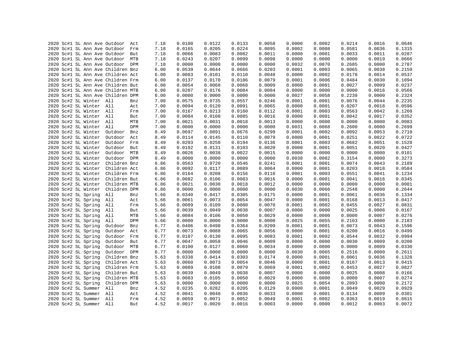|  |  |                         | 2020 Sc#1 SL Ann Ave Outdoor      | Act | 7.18 | 0.0100 | 0.0122 | 0.0133 | 0.0058 | 0.0000 | 0.0002 | 0.0214 | 0.0016 | 0.0646 |
|--|--|-------------------------|-----------------------------------|-----|------|--------|--------|--------|--------|--------|--------|--------|--------|--------|
|  |  |                         | 2020 Sc#1 SL Ann Ave Outdoor      | Frm | 7.18 | 0.0165 | 0.0205 | 0.0224 | 0.0095 | 0.0002 | 0.0008 | 0.0581 | 0.0036 | 0.1315 |
|  |  |                         | 2020 Sc#1 SL Ann Ave Outdoor But  |     | 7.18 | 0.0066 | 0.0083 | 0.0082 | 0.0011 | 0.0000 | 0.0001 | 0.0033 | 0.0011 | 0.0287 |
|  |  |                         | 2020 Sc#1 SL Ann Ave Outdoor MTB  |     | 7.18 | 0.0243 | 0.0207 | 0.0099 | 0.0098 | 0.0000 | 0.0000 | 0.0000 | 0.0019 | 0.0666 |
|  |  |                         | 2020 Sc#1 SL Ann Ave Outdoor DPM  |     | 7.18 | 0.0000 | 0.0000 | 0.0000 | 0.0000 | 0.0032 | 0.0070 | 0.2685 | 0.0000 | 0.2787 |
|  |  |                         | 2020 Sc#1 SL Ann Ave Children Bnz |     | 6.00 | 0.0539 | 0.0644 | 0.0666 | 0.0203 | 0.0001 | 0.0003 | 0.0065 | 0.0038 | 0.2159 |
|  |  |                         | 2020 Sc#1 SL Ann Ave Children Act |     | 6.00 | 0.0083 | 0.0101 | 0.0110 | 0.0048 | 0.0000 | 0.0002 | 0.0178 | 0.0014 | 0.0537 |
|  |  |                         | 2020 Sc#1 SL Ann Ave Children Frm |     | 6.00 | 0.0137 | 0.0170 | 0.0186 | 0.0079 | 0.0001 | 0.0006 | 0.0484 | 0.0030 | 0.1094 |
|  |  |                         | 2020 Sc#1 SL Ann Ave Children But |     | 6.00 | 0.0054 | 0.0068 | 0.0068 | 0.0009 | 0.0000 | 0.0001 | 0.0027 | 0.0009 | 0.0237 |
|  |  |                         | 2020 Sc#1 SL Ann Ave Children MTB |     | 6.00 | 0.0207 | 0.0176 | 0.0084 | 0.0084 | 0.0000 | 0.0000 | 0.0000 | 0.0016 | 0.0566 |
|  |  |                         | 2020 Sc#1 SL Ann Ave Children DPM |     | 6.00 | 0.0000 | 0.0000 | 0.0000 | 0.0000 | 0.0027 | 0.0058 | 0.2239 | 0.0000 | 0.2324 |
|  |  | 2020 Sc#2 SL Winter All |                                   | Bnz | 7.00 | 0.0575 | 0.0735 | 0.0557 | 0.0246 | 0.0001 | 0.0001 | 0.0076 | 0.0044 | 0.2235 |
|  |  | 2020 Sc#2 SL Winter All |                                   | Act | 7.00 | 0.0094 | 0.0120 | 0.0091 | 0.0065 | 0.0000 | 0.0001 | 0.0207 | 0.0018 | 0.0596 |
|  |  | 2020 Sc#2 SL Winter All |                                   | Frm | 7.00 | 0.0167 | 0.0213 | 0.0160 | 0.0112 | 0.0001 | 0.0003 | 0.0563 | 0.0042 | 0.1260 |
|  |  | 2020 Sc#2 SL Winter All |                                   | But | 7.00 | 0.0084 | 0.0108 | 0.0085 | 0.0016 | 0.0000 | 0.0001 | 0.0042 | 0.0017 | 0.0352 |
|  |  | 2020 Sc#2 SL Winter All |                                   | MTB | 7.00 | 0.0021 | 0.0031 | 0.0018 | 0.0013 | 0.0000 | 0.0000 | 0.0000 | 0.0000 | 0.0083 |
|  |  | 2020 Sc#2 SL Winter All |                                   | DPM | 7.00 | 0.0000 | 0.0000 | 0.0000 | 0.0000 | 0.0031 | 0.0068 | 0.2600 | 0.0000 | 0.2699 |
|  |  | 2020 Sc#2 SL Winter     | Outdoor                           | Bnz | 8.49 | 0.0697 | 0.0891 | 0.0676 | 0.0299 | 0.0001 | 0.0002 | 0.0092 | 0.0053 | 0.2710 |
|  |  | 2020 Sc#2 SL Winter     | Outdoor                           | Act | 8.49 | 0.0114 | 0.0145 | 0.0110 | 0.0079 | 0.0000 | 0.0001 | 0.0251 | 0.0022 | 0.0722 |
|  |  | 2020 Sc#2 SL Winter     | Outdoor Frm                       |     | 8.49 | 0.0203 | 0.0258 | 0.0194 | 0.0136 | 0.0001 | 0.0003 | 0.0682 | 0.0051 | 0.1528 |
|  |  | 2020 Sc#2 SL Winter     | Outdoor But                       |     | 8.49 | 0.0102 | 0.0131 | 0.0103 | 0.0020 | 0.0000 | 0.0001 | 0.0051 | 0.0020 | 0.0427 |
|  |  | 2020 Sc#2 SL Winter     | Outdoor MTB                       |     | 8.49 | 0.0026 | 0.0038 | 0.0022 | 0.0015 | 0.0000 | 0.0000 | 0.0000 | 0.0000 | 0.0101 |
|  |  | 2020 Sc#2 SL Winter     | Outdoor DPM                       |     | 8.49 | 0.0000 | 0.0000 | 0.0000 | 0.0000 | 0.0038 | 0.0082 | 0.3154 | 0.0000 | 0.3273 |
|  |  | 2020 Sc#2 SL Winter     | Children Bnz                      |     | 6.86 | 0.0563 | 0.0720 | 0.0546 | 0.0241 | 0.0001 | 0.0001 | 0.0074 | 0.0043 | 0.2189 |
|  |  | 2020 Sc#2 SL Winter     | Children Act                      |     | 6.86 | 0.0092 | 0.0117 | 0.0089 | 0.0064 | 0.0000 | 0.0001 | 0.0203 | 0.0018 | 0.0584 |
|  |  | 2020 Sc#2 SL Winter     | Children Frm                      |     | 6.86 | 0.0164 | 0.0208 | 0.0156 | 0.0110 | 0.0001 | 0.0003 | 0.0551 | 0.0041 | 0.1234 |
|  |  | 2020 Sc#2 SL Winter     | Children But                      |     | 6.86 | 0.0082 | 0.0106 | 0.0083 | 0.0016 | 0.0000 | 0.0001 | 0.0041 | 0.0016 | 0.0345 |
|  |  |                         |                                   |     |      |        |        |        |        |        |        |        |        |        |
|  |  |                         | 2020 Sc#2 SL Winter Children MTB  |     | 6.86 | 0.0021 | 0.0030 | 0.0018 | 0.0012 | 0.0000 | 0.0000 | 0.0000 | 0.0000 | 0.0081 |
|  |  | 2020 Sc#2 SL Winter     | Children DPM                      |     | 6.86 | 0.0000 | 0.0000 | 0.0000 | 0.0000 | 0.0030 | 0.0066 | 0.2548 | 0.0000 | 0.2644 |
|  |  | 2020 Sc#2 SL Spring     | All                               | Bnz | 5.66 | 0.0340 | 0.0417 | 0.0305 | 0.0175 | 0.0000 | 0.0001 | 0.0061 | 0.0036 | 0.1334 |
|  |  | 2020 Sc#2 SL Spring     | All                               | Act | 5.66 | 0.0061 | 0.0073 | 0.0054 | 0.0047 | 0.0000 | 0.0001 | 0.0168 | 0.0013 | 0.0417 |
|  |  | 2020 Sc#2 SL Spring     | All                               | Frm | 5.66 | 0.0089 | 0.0109 | 0.0080 | 0.0070 | 0.0001 | 0.0002 | 0.0455 | 0.0027 | 0.0831 |
|  |  | 2020 Sc#2 SL Spring     | All                               | But | 5.66 | 0.0039 | 0.0049 | 0.0038 | 0.0007 | 0.0000 | 0.0000 | 0.0025 | 0.0008 | 0.0167 |
|  |  | 2020 Sc#2 SL Spring     | All                               | MTB | 5.66 | 0.0084 | 0.0106 | 0.0050 | 0.0029 | 0.0000 | 0.0000 | 0.0000 | 0.0007 | 0.0276 |
|  |  | 2020 Sc#2 SL Spring     | All                               | DPM | 5.66 | 0.0000 | 0.0000 | 0.0000 | 0.0000 | 0.0025 | 0.0055 | 0.2103 | 0.0000 | 0.2183 |
|  |  | 2020 Sc#2 SL Spring     | Outdoor                           | Bnz | 6.77 | 0.0406 | 0.0498 | 0.0364 | 0.0209 | 0.0001 | 0.0001 | 0.0073 | 0.0043 | 0.1596 |
|  |  | 2020 Sc#2 SL Spring     | Outdoor                           | Act | 6.77 | 0.0073 | 0.0088 | 0.0065 | 0.0056 | 0.0000 | 0.0001 | 0.0200 | 0.0016 | 0.0499 |
|  |  | 2020 Sc#2 SL Spring     | Outdoor                           | Frm | 6.77 | 0.0107 | 0.0130 | 0.0095 | 0.0083 | 0.0001 | 0.0002 | 0.0544 | 0.0032 | 0.0994 |
|  |  | 2020 Sc#2 SL Spring     | Outdoor But                       |     | 6.77 | 0.0047 | 0.0058 | 0.0046 | 0.0009 | 0.0000 | 0.0000 | 0.0030 | 0.0009 | 0.0200 |
|  |  | 2020 Sc#2 SL Spring     | Outdoor MTB                       |     | 6.77 | 0.0100 | 0.0127 | 0.0060 | 0.0034 | 0.0000 | 0.0000 | 0.0000 | 0.0009 | 0.0330 |
|  |  | 2020 Sc#2 SL Spring     | Outdoor DPM                       |     | 6.77 | 0.0000 | 0.0000 | 0.0000 | 0.0000 | 0.0030 | 0.0065 | 0.2516 | 0.0000 | 0.2611 |
|  |  | 2020 Sc#2 SL Spring     | Children Bnz                      |     | 5.63 | 0.0338 | 0.0414 | 0.0303 | 0.0174 | 0.0000 | 0.0001 | 0.0061 | 0.0036 | 0.1328 |
|  |  | 2020 Sc#2 SL Spring     | Children Act                      |     | 5.63 | 0.0060 | 0.0073 | 0.0054 | 0.0046 | 0.0000 | 0.0001 | 0.0167 | 0.0013 | 0.0415 |
|  |  | 2020 Sc#2 SL Spring     | Children Frm                      |     | 5.63 | 0.0089 | 0.0108 | 0.0079 | 0.0069 | 0.0001 | 0.0002 | 0.0453 | 0.0027 | 0.0827 |
|  |  | 2020 Sc#2 SL Spring     | Children But                      |     | 5.63 | 0.0039 | 0.0049 | 0.0038 | 0.0007 | 0.0000 | 0.0000 | 0.0025 | 0.0008 | 0.0166 |
|  |  | 2020 Sc#2 SL Spring     | Children MTB                      |     | 5.63 | 0.0083 | 0.0105 | 0.0050 | 0.0029 | 0.0000 | 0.0000 | 0.0000 | 0.0007 | 0.0274 |
|  |  | 2020 Sc#2 SL Spring     | Children DPM                      |     | 5.63 | 0.0000 | 0.0000 | 0.0000 | 0.0000 | 0.0025 | 0.0054 | 0.2093 | 0.0000 | 0.2172 |
|  |  | 2020 Sc#2 SL Summer     | All                               | Bnz | 4.52 | 0.0235 | 0.0282 | 0.0205 | 0.0129 | 0.0000 | 0.0001 | 0.0049 | 0.0029 | 0.0929 |
|  |  | 2020 Sc#2 SL Summer All |                                   | Act | 4.52 | 0.0041 | 0.0048 | 0.0036 | 0.0033 | 0.0000 | 0.0001 | 0.0134 | 0.0009 | 0.0301 |
|  |  | 2020 Sc#2 SL Summer All |                                   | Frm | 4.52 | 0.0059 | 0.0071 | 0.0052 | 0.0049 | 0.0001 | 0.0002 | 0.0363 | 0.0019 | 0.0615 |
|  |  | 2020 Sc#2 SL Summer All |                                   | But | 4.52 | 0.0017 | 0.0020 | 0.0016 | 0.0003 | 0.0000 | 0.0000 | 0.0012 | 0.0003 | 0.0072 |
|  |  |                         |                                   |     |      |        |        |        |        |        |        |        |        |        |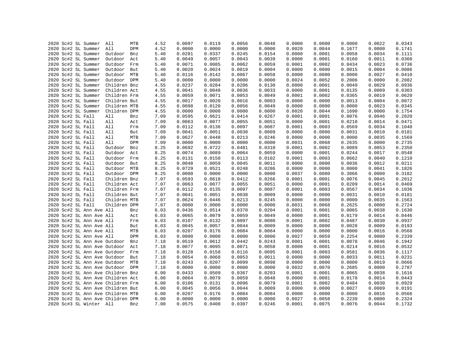|  | 2020 Sc#2 SL Summer               | All          | MTB | 4.52 | 0.0097 | 0.0119 | 0.0056 | 0.0048 | 0.0000 | 0.0000 | 0.0000 | 0.0022 | 0.0343 |
|--|-----------------------------------|--------------|-----|------|--------|--------|--------|--------|--------|--------|--------|--------|--------|
|  | 2020 Sc#2 SL Summer               | All          | DPM | 4.52 | 0.0000 | 0.0000 | 0.0000 | 0.0000 | 0.0020 | 0.0044 | 0.1677 | 0.0000 | 0.1741 |
|  | 2020 Sc#2 SL Summer               | Outdoor      | Bnz | 5.40 | 0.0281 | 0.0337 | 0.0245 | 0.0154 | 0.0000 | 0.0001 | 0.0058 | 0.0034 | 0.1111 |
|  | 2020 Sc#2 SL Summer               | Outdoor      | Act | 5.40 | 0.0049 | 0.0057 | 0.0043 | 0.0039 | 0.0000 | 0.0001 | 0.0160 | 0.0011 | 0.0360 |
|  | 2020 Sc#2 SL Summer               | Outdoor      | Frm | 5.40 | 0.0071 | 0.0085 | 0.0062 | 0.0059 | 0.0001 | 0.0002 | 0.0434 | 0.0023 | 0.0736 |
|  | 2020 Sc#2 SL Summer               | Outdoor      | But | 5.40 | 0.0020 | 0.0024 | 0.0019 | 0.0004 | 0.0000 | 0.0000 | 0.0015 | 0.0004 | 0.0086 |
|  | 2020 Sc#2 SL Summer               | Outdoor MTB  |     | 5.40 | 0.0116 | 0.0142 | 0.0067 | 0.0058 | 0.0000 | 0.0000 | 0.0000 | 0.0027 | 0.0410 |
|  | 2020 Sc#2 SL Summer               | Outdoor DPM  |     | 5.40 | 0.0000 | 0.0000 | 0.0000 | 0.0000 | 0.0024 | 0.0052 | 0.2006 | 0.0000 | 0.2082 |
|  | 2020 Sc#2 SL Summer               | Children Bnz |     | 4.55 | 0.0237 | 0.0284 | 0.0206 | 0.0130 | 0.0000 | 0.0001 | 0.0049 | 0.0029 | 0.0936 |
|  | 2020 Sc#2 SL Summer               | Children Act |     | 4.55 | 0.0041 | 0.0048 | 0.0036 | 0.0033 | 0.0000 | 0.0001 | 0.0135 | 0.0009 | 0.0303 |
|  | 2020 Sc#2 SL Summer               | Children Frm |     | 4.55 | 0.0059 | 0.0071 | 0.0053 | 0.0049 | 0.0001 | 0.0002 | 0.0365 | 0.0019 | 0.0620 |
|  | 2020 Sc#2 SL Summer               | Children But |     | 4.55 | 0.0017 | 0.0020 | 0.0016 | 0.0003 | 0.0000 | 0.0000 | 0.0013 | 0.0004 | 0.0072 |
|  | 2020 Sc#2 SL Summer               | Children MTB |     | 4.55 | 0.0098 | 0.0120 | 0.0056 | 0.0049 | 0.0000 | 0.0000 | 0.0000 | 0.0023 | 0.0345 |
|  | 2020 Sc#2 SL Summer               | Children DPM |     | 4.55 | 0.0000 | 0.0000 | 0.0000 | 0.0000 | 0.0020 | 0.0044 | 0.1690 | 0.0000 | 0.1754 |
|  | 2020 Sc#2 SL Fall                 | All          | Bnz | 7.09 | 0.0595 | 0.0621 | 0.0414 | 0.0267 | 0.0001 | 0.0001 | 0.0076 | 0.0046 | 0.2020 |
|  | 2020 Sc#2 SL Fall                 | All          | Act | 7.09 | 0.0063 | 0.0077 | 0.0055 | 0.0051 | 0.0000 | 0.0001 | 0.0210 | 0.0014 | 0.0471 |
|  | 2020 Sc#2 SL Fall                 | All          | Frm | 7.09 | 0.0112 | 0.0136 | 0.0097 | 0.0087 | 0.0001 | 0.0003 | 0.0569 | 0.0034 | 0.1040 |
|  | 2020 Sc#2 SL Fall                 | All          | But | 7.09 | 0.0041 | 0.0051 | 0.0038 | 0.0009 | 0.0000 | 0.0000 | 0.0031 | 0.0010 | 0.0181 |
|  | 2020 Sc#2 SL Fall                 | All          | MTB | 7.09 | 0.0627 | 0.0448 | 0.0213 | 0.0246 | 0.0000 | 0.0000 | 0.0000 | 0.0035 | 0.1569 |
|  |                                   | All          |     |      |        |        |        |        |        |        |        |        | 0.2735 |
|  | 2020 Sc#2 SL Fall                 |              | DPM | 7.09 | 0.0000 | 0.0000 | 0.0000 | 0.0000 | 0.0031 | 0.0068 | 0.2635 | 0.0000 |        |
|  | 2020 Sc#2 SL Fall                 | Outdoor      | Bnz | 8.25 | 0.0692 | 0.0722 | 0.0481 | 0.0310 | 0.0001 | 0.0002 | 0.0089 | 0.0053 | 0.2350 |
|  | 2020 Sc#2 SL Fall                 | Outdoor      | Act | 8.25 | 0.0074 | 0.0089 | 0.0064 | 0.0059 | 0.0000 | 0.0001 | 0.0244 | 0.0017 | 0.0548 |
|  | 2020 Sc#2 SL Fall                 | Outdoor      | Frm | 8.25 | 0.0131 | 0.0158 | 0.0113 | 0.0102 | 0.0001 | 0.0003 | 0.0662 | 0.0040 | 0.1210 |
|  | 2020 Sc#2 SL Fall                 | Outdoor But  |     | 8.25 | 0.0048 | 0.0059 | 0.0045 | 0.0011 | 0.0000 | 0.0000 | 0.0036 | 0.0012 | 0.0211 |
|  | 2020 Sc#2 SL Fall                 | Outdoor MTB  |     | 8.25 | 0.0729 | 0.0521 | 0.0248 | 0.0286 | 0.0000 | 0.0000 | 0.0000 | 0.0041 | 0.1826 |
|  | 2020 Sc#2 SL Fall                 | Outdoor DPM  |     | 8.25 | 0.0000 | 0.0000 | 0.0000 | 0.0000 | 0.0037 | 0.0080 | 0.3066 | 0.0000 | 0.3182 |
|  | 2020 Sc#2 SL Fall                 | Children Bnz |     | 7.07 | 0.0593 | 0.0618 | 0.0412 | 0.0266 | 0.0001 | 0.0001 | 0.0076 | 0.0045 | 0.2012 |
|  | 2020 Sc#2 SL Fall                 | Children Act |     | 7.07 | 0.0063 | 0.0077 | 0.0055 | 0.0051 | 0.0000 | 0.0001 | 0.0209 | 0.0014 | 0.0469 |
|  | 2020 Sc#2 SL Fall                 | Children Frm |     | 7.07 | 0.0112 | 0.0135 | 0.0097 | 0.0087 | 0.0001 | 0.0003 | 0.0567 | 0.0034 | 0.1036 |
|  | 2020 Sc#2 SL Fall                 | Children But |     | 7.07 | 0.0041 | 0.0051 | 0.0038 | 0.0009 | 0.0000 | 0.0000 | 0.0031 | 0.0010 | 0.0181 |
|  | 2020 Sc#2 SL Fall                 | Children MTB |     | 7.07 | 0.0624 | 0.0446 | 0.0213 | 0.0245 | 0.0000 | 0.0000 | 0.0000 | 0.0035 | 0.1563 |
|  | 2020 Sc#2 SL Fall                 | Children DPM |     | 7.07 | 0.0000 | 0.0000 | 0.0000 | 0.0000 | 0.0031 | 0.0068 | 0.2625 | 0.0000 | 0.2724 |
|  | 2020 Sc#2 SL Ann Ave All          |              | Bnz | 6.03 | 0.0436 | 0.0514 | 0.0370 | 0.0204 | 0.0001 | 0.0001 | 0.0065 | 0.0038 | 0.1630 |
|  | 2020 Sc#2 SL Ann Ave All          |              | Act | 6.03 | 0.0065 | 0.0079 | 0.0059 | 0.0049 | 0.0000 | 0.0001 | 0.0179 | 0.0014 | 0.0446 |
|  | 2020 Sc#2 SL Ann Ave All          |              | Frm | 6.03 | 0.0107 | 0.0132 | 0.0097 | 0.0080 | 0.0001 | 0.0002 | 0.0487 | 0.0030 | 0.0937 |
|  | 2020 Sc#2 SL Ann Ave All          |              | But | 6.03 | 0.0045 | 0.0057 | 0.0044 | 0.0009 | 0.0000 | 0.0000 | 0.0028 | 0.0009 | 0.0193 |
|  | 2020 Sc#2 SL Ann Ave All          |              | MTB | 6.03 | 0.0207 | 0.0176 | 0.0084 | 0.0084 | 0.0000 | 0.0000 | 0.0000 | 0.0016 | 0.0568 |
|  | 2020 Sc#2 SL Ann Ave All          |              | DPM | 6.03 | 0.0000 | 0.0000 | 0.0000 | 0.0000 | 0.0027 | 0.0059 | 0.2254 | 0.0000 | 0.2339 |
|  | 2020 Sc#2 SL Ann Ave Outdoor      |              | Bnz | 7.18 | 0.0519 | 0.0612 | 0.0442 | 0.0243 | 0.0001 | 0.0001 | 0.0078 | 0.0046 | 0.1942 |
|  | 2020 Sc#2 SL Ann Ave Outdoor      |              | Act | 7.18 | 0.0077 | 0.0095 | 0.0071 | 0.0058 | 0.0000 | 0.0001 | 0.0214 | 0.0016 | 0.0532 |
|  | 2020 Sc#2 SL Ann Ave Outdoor      |              | Frm | 7.18 | 0.0128 | 0.0158 | 0.0116 | 0.0095 | 0.0001 | 0.0003 | 0.0581 | 0.0036 | 0.1117 |
|  | 2020 Sc#2 SL Ann Ave Outdoor      |              | But | 7.18 | 0.0054 | 0.0068 | 0.0053 | 0.0011 | 0.0000 | 0.0000 | 0.0033 | 0.0011 | 0.0231 |
|  | 2020 Sc#2 SL Ann Ave Outdoor MTB  |              |     | 7.18 | 0.0243 | 0.0207 | 0.0099 | 0.0098 | 0.0000 | 0.0000 | 0.0000 | 0.0019 | 0.0666 |
|  | 2020 Sc#2 SL Ann Ave Outdoor DPM  |              |     | 7.18 | 0.0000 | 0.0000 | 0.0000 | 0.0000 | 0.0032 | 0.0070 | 0.2685 | 0.0000 | 0.2787 |
|  | 2020 Sc#2 SL Ann Ave Children Bnz |              |     | 6.00 | 0.0433 | 0.0509 | 0.0367 | 0.0203 | 0.0001 | 0.0001 | 0.0065 | 0.0038 | 0.1616 |
|  | 2020 Sc#2 SL Ann Ave Children Act |              |     | 6.00 | 0.0064 | 0.0079 | 0.0059 | 0.0048 | 0.0000 | 0.0001 | 0.0178 | 0.0014 | 0.0443 |
|  | 2020 Sc#2 SL Ann Ave Children Frm |              |     | 6.00 | 0.0106 | 0.0131 | 0.0096 | 0.0079 | 0.0001 | 0.0002 | 0.0484 | 0.0030 | 0.0929 |
|  | 2020 Sc#2 SL Ann Ave Children But |              |     | 6.00 | 0.0045 | 0.0056 | 0.0044 | 0.0009 | 0.0000 | 0.0000 | 0.0027 | 0.0009 | 0.0191 |
|  | 2020 Sc#2 SL Ann Ave Children MTB |              |     | 6.00 | 0.0207 | 0.0176 | 0.0084 | 0.0084 | 0.0000 | 0.0000 | 0.0000 | 0.0016 | 0.0566 |
|  | 2020 Sc#2 SL Ann Ave Children DPM |              |     | 6.00 | 0.0000 | 0.0000 | 0.0000 | 0.0000 | 0.0027 | 0.0058 | 0.2239 | 0.0000 | 0.2324 |
|  | 2020 Sc#3 SL Winter All           |              | Bnz | 7.00 | 0.0575 | 0.0408 | 0.0307 | 0.0246 | 0.0001 | 0.0075 | 0.0076 | 0.0044 | 0.1732 |
|  |                                   |              |     |      |        |        |        |        |        |        |        |        |        |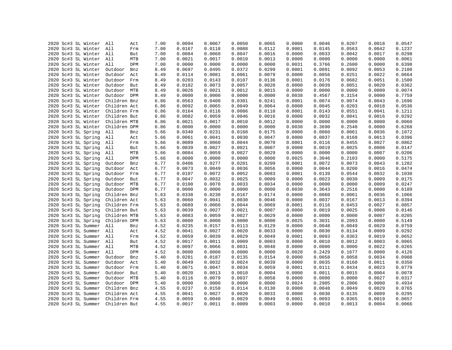|      | 2020 Sc#3 SL Winter     | All          | Act | 7.00 | 0.0094           | 0.0067 | 0.0050           | 0.0065           | 0.0000 | 0.0046           | 0.0207 | 0.0018           | 0.0547           |
|------|-------------------------|--------------|-----|------|------------------|--------|------------------|------------------|--------|------------------|--------|------------------|------------------|
|      | 2020 Sc#3 SL Winter     | All          | Frm | 7.00 | 0.0167           | 0.0118 | 0.0088           | 0.0112           | 0.0001 | 0.0145           | 0.0563 | 0.0042           | 0.1237           |
|      | 2020 Sc#3 SL Winter All |              | But | 7.00 | 0.0084           | 0.0060 | 0.0047           | 0.0016           | 0.0000 | 0.0033           | 0.0042 | 0.0017           | 0.0298           |
|      | 2020 Sc#3 SL Winter     | All          | MTB | 7.00 | 0.0021           | 0.0017 | 0.0010           | 0.0013           | 0.0000 | 0.0000           | 0.0000 | 0.0000           | 0.0061           |
|      | 2020 Sc#3 SL Winter All |              | DPM | 7.00 | 0.0000           | 0.0000 | 0.0000           | 0.0000           | 0.0031 | 0.3766           | 0.2600 | 0.0000           | 0.6398           |
|      | 2020 Sc#3 SL Winter     |              |     |      | 0.0697           | 0.0495 |                  |                  | 0.0001 | 0.0091           | 0.0092 |                  |                  |
|      |                         | Outdoor      | Bnz | 8.49 |                  |        | 0.0372           | 0.0299           |        |                  |        | 0.0053           | 0.2100           |
|      | 2020 Sc#3 SL Winter     | Outdoor Act  |     | 8.49 | 0.0114           | 0.0081 | 0.0061           | 0.0079           | 0.0000 | 0.0056           | 0.0251 | 0.0022           | 0.0664           |
|      | 2020 Sc#3 SL Winter     | Outdoor Frm  |     | 8.49 | 0.0203           | 0.0143 | 0.0107           | 0.0136           | 0.0001 | 0.0176           | 0.0682 | 0.0051           | 0.1500           |
|      | 2020 Sc#3 SL Winter     | Outdoor But  |     | 8.49 | 0.0102           | 0.0073 | 0.0057           | 0.0020           | 0.0000 | 0.0039           | 0.0051 | 0.0020           | 0.0362           |
|      | 2020 Sc#3 SL Winter     | Outdoor MTB  |     | 8.49 | 0.0026           | 0.0021 | 0.0012           | 0.0015           | 0.0000 | 0.0000           | 0.0000 | 0.0000           | 0.0074           |
|      | 2020 Sc#3 SL Winter     | Outdoor DPM  |     | 8.49 | 0.0000           | 0.0000 | 0.0000           | 0.0000           | 0.0038 | 0.4567           | 0.3154 | 0.0000           | 0.7759           |
|      | 2020 Sc#3 SL Winter     | Children Bnz |     | 6.86 | 0.0563           | 0.0400 | 0.0301           | 0.0241           | 0.0001 | 0.0074           | 0.0074 | 0.0043           | 0.1696           |
|      | 2020 Sc#3 SL Winter     | Children Act |     | 6.86 | 0.0092           | 0.0065 | 0.0049           | 0.0064           | 0.0000 | 0.0045           | 0.0203 | 0.0018           | 0.0536           |
|      | 2020 Sc#3 SL Winter     | Children Frm |     | 6.86 | 0.0164           | 0.0116 | 0.0086           | 0.0110           | 0.0001 | 0.0143           | 0.0551 | 0.0041           | 0.1211           |
|      | 2020 Sc#3 SL Winter     | Children But |     | 6.86 | 0.0082           | 0.0059 | 0.0046           | 0.0016           | 0.0000 | 0.0032           | 0.0041 | 0.0016           | 0.0292           |
|      | 2020 Sc#3 SL Winter     | Children MTB |     | 6.86 | 0.0021           | 0.0017 | 0.0010           | 0.0012           | 0.0000 | 0.0000           | 0.0000 | 0.0000           | 0.0060           |
|      | 2020 Sc#3 SL Winter     | Children DPM |     | 6.86 | 0.0000           | 0.0000 | 0.0000           | 0.0000           | 0.0030 | 0.3690           | 0.2548 | 0.0000           | 0.6268           |
|      | 2020 Sc#3 SL Spring     | All          | Bnz | 5.66 | 0.0340           | 0.0231 | 0.0168           | 0.0175           | 0.0000 | 0.0060           | 0.0061 | 0.0036           | 0.1072           |
|      | 2020 Sc#3 SL Spring     | All          | Act | 5.66 | 0.0061           | 0.0041 | 0.0030           | 0.0047           | 0.0000 | 0.0037           | 0.0168 | 0.0013           | 0.0396           |
|      | 2020 Sc#3 SL Spring     | All          | Frm | 5.66 | 0.0089           | 0.0060 | 0.0044           | 0.0070           | 0.0001 | 0.0116           | 0.0455 | 0.0027           | 0.0862           |
|      | 2020 Sc#3 SL Spring     | All          | But | 5.66 | 0.0039           | 0.0027 | 0.0021           | 0.0007           | 0.0000 | 0.0019           | 0.0025 | 0.0008           | 0.0147           |
|      | 2020 Sc#3 SL Spring     | All          | MTB | 5.66 | 0.0084           | 0.0059 | 0.0027           | 0.0029           | 0.0000 | 0.0000           | 0.0000 | 0.0007           | 0.0206           |
|      | 2020 Sc#3 SL Spring     | All          | DPM | 5.66 | 0.0000           | 0.0000 | 0.0000           | 0.0000           | 0.0025 | 0.3046           | 0.2103 | 0.0000           | 0.5175           |
|      | 2020 Sc#3 SL Spring     | Outdoor      | Bnz | 6.77 | 0.0406           | 0.0277 | 0.0201           | 0.0209           | 0.0001 | 0.0072           | 0.0073 | 0.0043           | 0.1282           |
|      | 2020 Sc#3 SL Spring     | Outdoor      | Act | 6.77 | 0.0073           | 0.0049 | 0.0036           | 0.0056           | 0.0000 | 0.0044           | 0.0200 | 0.0016           | 0.0474           |
|      | 2020 Sc#3 SL Spring     | Outdoor      | Frm | 6.77 | 0.0107           | 0.0072 | 0.0052           | 0.0083           | 0.0001 | 0.0139           | 0.0544 | 0.0032           | 0.1030           |
|      | 2020 Sc#3 SL Spring     | Outdoor      | But | 6.77 | 0.0047           | 0.0032 | 0.0025           | 0.0009           | 0.0000 | 0.0023           | 0.0030 | 0.0009           | 0.0175           |
|      | 2020 Sc#3 SL Spring     | Outdoor MTB  |     | 6.77 | 0.0100           | 0.0070 | 0.0033           | 0.0034           | 0.0000 | 0.0000           | 0.0000 | 0.0009           | 0.0247           |
|      | 2020 Sc#3 SL Spring     | Outdoor DPM  |     | 6.77 | 0.0000           | 0.0000 | 0.0000           | 0.0000           | 0.0030 | 0.3643           | 0.2516 | 0.0000           | 0.6189           |
|      | 2020 Sc#3 SL Spring     | Children Bnz |     | 5.63 | 0.0338           | 0.0230 | 0.0167           | 0.0174           | 0.0000 | 0.0060           | 0.0061 | 0.0036           | 0.1066           |
|      | 2020 Sc#3 SL Spring     | Children Act |     | 5.63 | 0.0060           | 0.0041 | 0.0030           | 0.0046           | 0.0000 | 0.0037           | 0.0167 | 0.0013           | 0.0394           |
|      | 2020 Sc#3 SL Spring     | Children Frm |     | 5.63 | 0.0089           | 0.0060 | 0.0044           | 0.0069           | 0.0001 | 0.0116           | 0.0453 | 0.0027           | 0.0857           |
|      | 2020 Sc#3 SL Spring     | Children But |     | 5.63 | 0.0039           | 0.0027 | 0.0021           | 0.0007           | 0.0000 | 0.0019           | 0.0025 | 0.0008           | 0.0146           |
|      | 2020 Sc#3 SL Spring     | Children MTB |     | 5.63 | 0.0083           | 0.0059 | 0.0027           | 0.0029           | 0.0000 | 0.0000           | 0.0000 | 0.0007           | 0.0205           |
|      |                         |              |     |      |                  |        |                  |                  |        |                  |        |                  |                  |
|      | 2020 Sc#3 SL Spring     | Children DPM |     | 5.63 | 0.0000<br>0.0235 | 0.0000 | 0.0000<br>0.0113 | 0.0000<br>0.0129 | 0.0025 | 0.3031<br>0.0048 | 0.2093 | 0.0000<br>0.0029 | 0.5149<br>0.0759 |
|      | 2020 Sc#3 SL Summer     | All          | Bnz | 4.52 |                  | 0.0157 |                  |                  | 0.0000 |                  | 0.0049 |                  |                  |
|      | 2020 Sc#3 SL Summer     | All          | Act | 4.52 | 0.0041           | 0.0027 | 0.0020           | 0.0033           | 0.0000 | 0.0030           | 0.0134 | 0.0009           | 0.0292           |
|      | 2020 Sc#3 SL Summer     | All          | Frm | 4.52 | 0.0059           | 0.0039 | 0.0029           | 0.0049           | 0.0001 | 0.0093           | 0.0363 | 0.0019           | 0.0652           |
|      | 2020 Sc#3 SL Summer All |              | But | 4.52 | 0.0017           | 0.0011 | 0.0009           | 0.0003           | 0.0000 | 0.0010           | 0.0012 | 0.0003           | 0.0065           |
|      | 2020 Sc#3 SL Summer     | All          | MTB | 4.52 | 0.0097           | 0.0066 | 0.0031           | 0.0048           | 0.0000 | 0.0000           | 0.0000 | 0.0022           | 0.0265           |
|      | 2020 Sc#3 SL Summer     | All          | DPM | 4.52 | 0.0000           | 0.0000 | 0.0000           | 0.0000           | 0.0020 | 0.2429           | 0.1677 | 0.0000           | 0.4126           |
|      | 2020 Sc#3 SL Summer     | Outdoor      | Bnz | 5.40 | 0.0281           | 0.0187 | 0.0135           | 0.0154           | 0.0000 | 0.0058           | 0.0058 | 0.0034           | 0.0908           |
|      | 2020 Sc#3 SL Summer     | Outdoor Act  |     | 5.40 | 0.0049           | 0.0032 | 0.0024           | 0.0039           | 0.0000 | 0.0035           | 0.0160 | 0.0011           | 0.0350           |
|      | 2020 Sc#3 SL Summer     | Outdoor Frm  |     | 5.40 | 0.0071           | 0.0047 | 0.0034           | 0.0059           | 0.0001 | 0.0111           | 0.0434 | 0.0023           | 0.0779           |
|      | 2020 Sc#3 SL Summer     | Outdoor But  |     | 5.40 | 0.0020           | 0.0013 | 0.0010           | 0.0004           | 0.0000 | 0.0011           | 0.0015 | 0.0004           | 0.0078           |
|      | 2020 Sc#3 SL Summer     | Outdoor MTB  |     | 5.40 | 0.0116           | 0.0079 | 0.0037           | 0.0058           | 0.0000 | 0.0000           | 0.0000 | 0.0027           | 0.0317           |
|      | 2020 Sc#3 SL Summer     | Outdoor DPM  |     | 5.40 | 0.0000           | 0.0000 | 0.0000           | 0.0000           | 0.0024 | 0.2905           | 0.2006 | 0.0000           | 0.4934           |
| 2020 | Sc#3 SL Summer          | Children Bnz |     | 4.55 | 0.0237           | 0.0158 | 0.0114           | 0.0130           | 0.0000 | 0.0048           | 0.0049 | 0.0029           | 0.0765           |
|      | 2020 Sc#3 SL Summer     | Children Act |     | 4.55 | 0.0041           | 0.0027 | 0.0020           | 0.0033           | 0.0000 | 0.0030           | 0.0135 | 0.0009           | 0.0295           |
|      | 2020 Sc#3 SL Summer     | Children Frm |     | 4.55 | 0.0059           | 0.0040 | 0.0029           | 0.0049           | 0.0001 | 0.0093           | 0.0365 | 0.0019           | 0.0657           |
|      | 2020 Sc#3 SL Summer     | Children But |     | 4.55 | 0.0017           | 0.0011 | 0.0009           | 0.0003           | 0.0000 | 0.0010           | 0.0013 | 0.0004           | 0.0066           |